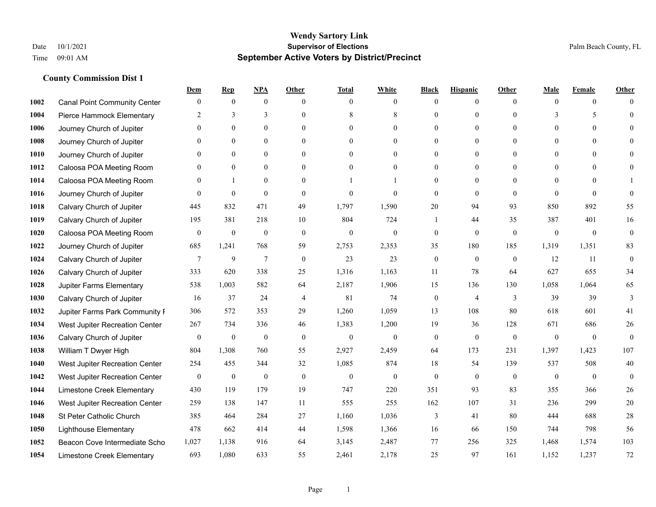|      |                                     | Dem              | <b>Rep</b>       | NPA              | <b>Other</b>   | <b>Total</b>     | <b>White</b>     | <b>Black</b>     | <b>Hispanic</b>  | <b>Other</b> | <b>Male</b>  | <b>Female</b>  | <b>Other</b>     |
|------|-------------------------------------|------------------|------------------|------------------|----------------|------------------|------------------|------------------|------------------|--------------|--------------|----------------|------------------|
| 1002 | <b>Canal Point Community Center</b> | $\overline{0}$   | $\mathbf{0}$     | $\mathbf{0}$     | $\theta$       | $\theta$         | $\overline{0}$   | $\mathbf{0}$     | $\boldsymbol{0}$ | $\theta$     | $\theta$     | $\overline{0}$ | $\Omega$         |
| 1004 | Pierce Hammock Elementary           | 2                | 3                | 3                | $\theta$       | 8                | 8                | $\theta$         | $\mathbf{0}$     | $\Omega$     | 3            | 5              | $\theta$         |
| 1006 | Journey Church of Jupiter           | $\Omega$         | $\theta$         | $\theta$         | $\Omega$       | $\Omega$         | $\Omega$         | $\Omega$         | $\theta$         | $\Omega$     | $\Omega$     | $\Omega$       | $\Omega$         |
| 1008 | Journey Church of Jupiter           | $\overline{0}$   | $\mathbf{0}$     | $\boldsymbol{0}$ | $\overline{0}$ | $\mathbf{0}$     | $\boldsymbol{0}$ | $\mathbf{0}$     | $\mathbf{0}$     | $\mathbf{0}$ | $\mathbf{0}$ | $\mathbf{0}$   | $\theta$         |
| 1010 | Journey Church of Jupiter           | $\theta$         | $\mathbf{0}$     | $\mathbf{0}$     | $\theta$       | $\theta$         | $\overline{0}$   | $\mathbf{0}$     | $\mathbf{0}$     | $\theta$     | $\theta$     | $\theta$       | $\theta$         |
| 1012 | Caloosa POA Meeting Room            | $\overline{0}$   | $\mathbf{0}$     | $\mathbf{0}$     | $\theta$       | $\Omega$         | $\overline{0}$   | $\mathbf{0}$     | $\mathbf{0}$     | $\Omega$     | $\mathbf{0}$ | $\theta$       | $\mathbf{0}$     |
| 1014 | Caloosa POA Meeting Room            | $\theta$         | $\mathbf{1}$     | $\theta$         | $\theta$       |                  | 1                | $\mathbf{0}$     | $\theta$         | $\Omega$     | $\Omega$     | $\Omega$       |                  |
| 1016 | Journey Church of Jupiter           | $\theta$         | $\boldsymbol{0}$ | $\mathbf{0}$     | $\theta$       | $\theta$         | $\Omega$         | $\mathbf{0}$     | $\theta$         | $\Omega$     | $\theta$     | $\theta$       | $\theta$         |
| 1018 | Calvary Church of Jupiter           | 445              | 832              | 471              | 49             | 1,797            | 1,590            | 20               | 94               | 93           | 850          | 892            | 55               |
| 1019 | Calvary Church of Jupiter           | 195              | 381              | 218              | 10             | 804              | 724              |                  | 44               | 35           | 387          | 401            | 16               |
| 1020 | Caloosa POA Meeting Room            | $\overline{0}$   | $\boldsymbol{0}$ | $\mathbf{0}$     | $\theta$       | $\theta$         | $\mathbf{0}$     | $\mathbf{0}$     | $\theta$         | $\theta$     | $\theta$     | $\theta$       | $\mathbf{0}$     |
| 1022 | Journey Church of Jupiter           | 685              | 1,241            | 768              | 59             | 2,753            | 2,353            | 35               | 180              | 185          | 1,319        | 1,351          | 83               |
| 1024 | Calvary Church of Jupiter           | $\tau$           | $\overline{9}$   | $\overline{7}$   | $\mathbf{0}$   | 23               | 23               | $\boldsymbol{0}$ | $\mathbf{0}$     | $\mathbf{0}$ | 12           | 11             | $\boldsymbol{0}$ |
| 1026 | Calvary Church of Jupiter           | 333              | 620              | 338              | 25             | 1,316            | 1,163            | 11               | 78               | 64           | 627          | 655            | 34               |
| 1028 | Jupiter Farms Elementary            | 538              | 1,003            | 582              | 64             | 2,187            | 1,906            | 15               | 136              | 130          | 1,058        | 1,064          | 65               |
| 1030 | Calvary Church of Jupiter           | 16               | 37               | 24               | 4              | 81               | 74               | $\boldsymbol{0}$ | $\overline{4}$   | 3            | 39           | 39             | 3                |
| 1032 | Jupiter Farms Park Community I      | 306              | 572              | 353              | 29             | 1,260            | 1,059            | 13               | 108              | 80           | 618          | 601            | 41               |
| 1034 | West Jupiter Recreation Center      | 267              | 734              | 336              | 46             | 1,383            | 1,200            | 19               | 36               | 128          | 671          | 686            | 26               |
| 1036 | Calvary Church of Jupiter           | $\boldsymbol{0}$ | $\boldsymbol{0}$ | $\mathbf{0}$     | $\mathbf{0}$   | $\mathbf{0}$     | $\mathbf{0}$     | $\mathbf{0}$     | $\mathbf{0}$     | $\theta$     | $\mathbf{0}$ | $\mathbf{0}$   | $\mathbf{0}$     |
| 1038 | William T Dwyer High                | 804              | 1,308            | 760              | 55             | 2,927            | 2,459            | 64               | 173              | 231          | 1,397        | 1.423          | 107              |
| 1040 | West Jupiter Recreation Center      | 254              | 455              | 344              | 32             | 1,085            | 874              | 18               | 54               | 139          | 537          | 508            | $40\,$           |
| 1042 | West Jupiter Recreation Center      | $\boldsymbol{0}$ | $\boldsymbol{0}$ | $\boldsymbol{0}$ | $\mathbf{0}$   | $\boldsymbol{0}$ | $\mathbf{0}$     | $\boldsymbol{0}$ | $\theta$         | $\mathbf{0}$ | $\mathbf{0}$ | $\overline{0}$ | $\mathbf{0}$     |
| 1044 | Limestone Creek Elementary          | 430              | 119              | 179              | 19             | 747              | 220              | 351              | 93               | 83           | 355          | 366            | 26               |
| 1046 | West Jupiter Recreation Center      | 259              | 138              | 147              | 11             | 555              | 255              | 162              | 107              | 31           | 236          | 299            | 20               |
| 1048 | St Peter Catholic Church            | 385              | 464              | 284              | 27             | 1,160            | 1,036            | 3                | 41               | 80           | 444          | 688            | 28               |
| 1050 | <b>Lighthouse Elementary</b>        | 478              | 662              | 414              | 44             | 1,598            | 1,366            | 16               | 66               | 150          | 744          | 798            | 56               |
| 1052 | Beacon Cove Intermediate Scho       | 1,027            | 1,138            | 916              | 64             | 3,145            | 2,487            | 77               | 256              | 325          | 1,468        | 1,574          | 103              |
| 1054 | Limestone Creek Elementary          | 693              | 1.080            | 633              | 55             | 2,461            | 2,178            | 25               | 97               | 161          | 1.152        | 1,237          | 72               |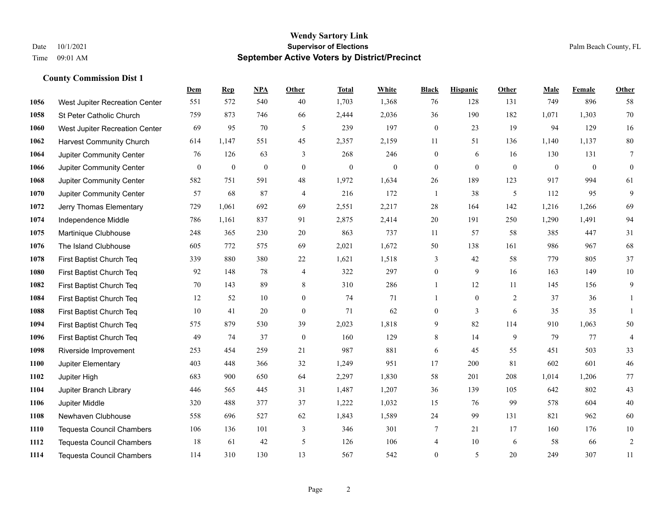|      |                                  | Dem          | <b>Rep</b>       | NPA              | <b>Other</b>   | <b>Total</b>     | <b>White</b>     | <b>Black</b>     | <b>Hispanic</b> | <b>Other</b>   | <b>Male</b>  | <b>Female</b> | Other            |
|------|----------------------------------|--------------|------------------|------------------|----------------|------------------|------------------|------------------|-----------------|----------------|--------------|---------------|------------------|
| 1056 | West Jupiter Recreation Center   | 551          | 572              | 540              | 40             | 1,703            | 1,368            | 76               | 128             | 131            | 749          | 896           | 58               |
| 1058 | St Peter Catholic Church         | 759          | 873              | 746              | 66             | 2,444            | 2,036            | 36               | 190             | 182            | 1,071        | 1,303         | 70               |
| 1060 | West Jupiter Recreation Center   | 69           | 95               | 70               | 5              | 239              | 197              | $\boldsymbol{0}$ | 23              | 19             | 94           | 129           | 16               |
| 1062 | <b>Harvest Community Church</b>  | 614          | 1,147            | 551              | 45             | 2,357            | 2,159            | 11               | 51              | 136            | 1,140        | 1,137         | $80\,$           |
| 1064 | Jupiter Community Center         | 76           | 126              | 63               | 3              | 268              | 246              | $\boldsymbol{0}$ | 6               | 16             | 130          | 131           | $\overline{7}$   |
| 1066 | Jupiter Community Center         | $\mathbf{0}$ | $\boldsymbol{0}$ | $\boldsymbol{0}$ | $\mathbf{0}$   | $\boldsymbol{0}$ | $\boldsymbol{0}$ | $\boldsymbol{0}$ | $\mathbf{0}$    | $\overline{0}$ | $\mathbf{0}$ | $\mathbf{0}$  | $\boldsymbol{0}$ |
| 1068 | Jupiter Community Center         | 582          | 751              | 591              | $48\,$         | 1,972            | 1,634            | $26\,$           | 189             | 123            | 917          | 994           | 61               |
| 1070 | Jupiter Community Center         | 57           | 68               | 87               | $\overline{4}$ | 216              | 172              | $\mathbf{1}$     | 38              | 5              | 112          | 95            | 9                |
| 1072 | Jerry Thomas Elementary          | 729          | 1,061            | 692              | 69             | 2,551            | 2,217            | 28               | 164             | 142            | 1,216        | 1,266         | 69               |
| 1074 | Independence Middle              | 786          | 1,161            | 837              | 91             | 2,875            | 2,414            | 20               | 191             | 250            | 1,290        | 1,491         | 94               |
| 1075 | Martinique Clubhouse             | 248          | 365              | 230              | 20             | 863              | 737              | 11               | 57              | 58             | 385          | 447           | 31               |
| 1076 | The Island Clubhouse             | 605          | 772              | 575              | 69             | 2,021            | 1,672            | 50               | 138             | 161            | 986          | 967           | 68               |
| 1078 | First Baptist Church Teq         | 339          | 880              | 380              | $22\,$         | 1,621            | 1,518            | 3                | 42              | 58             | 779          | 805           | 37               |
| 1080 | First Baptist Church Teq         | 92           | 148              | 78               | $\overline{4}$ | 322              | 297              | $\boldsymbol{0}$ | 9               | 16             | 163          | 149           | $10\,$           |
| 1082 | First Baptist Church Teq         | 70           | 143              | 89               | 8              | 310              | 286              | 1                | 12              | 11             | 145          | 156           | $\mathbf{9}$     |
| 1084 | First Baptist Church Teq         | 12           | 52               | 10               | $\overline{0}$ | 74               | 71               | $\mathbf{1}$     | $\mathbf{0}$    | 2              | 37           | 36            | $\mathbf{1}$     |
| 1088 | First Baptist Church Teq         | 10           | 41               | 20               | $\mathbf{0}$   | 71               | 62               | $\boldsymbol{0}$ | $\overline{3}$  | 6              | 35           | 35            | $\mathbf{1}$     |
| 1094 | First Baptist Church Teq         | 575          | 879              | 530              | 39             | 2,023            | 1,818            | 9                | 82              | 114            | 910          | 1,063         | $50\,$           |
| 1096 | First Baptist Church Teq         | 49           | 74               | 37               | $\mathbf{0}$   | 160              | 129              | 8                | 14              | 9              | 79           | 77            | $\overline{4}$   |
| 1098 | Riverside Improvement            | 253          | 454              | 259              | 21             | 987              | 881              | 6                | 45              | 55             | 451          | 503           | 33               |
| 1100 | Jupiter Elementary               | 403          | 448              | 366              | 32             | 1,249            | 951              | 17               | 200             | 81             | 602          | 601           | $46\,$           |
| 1102 | Jupiter High                     | 683          | 900              | 650              | 64             | 2,297            | 1,830            | 58               | 201             | 208            | 1,014        | 1,206         | 77               |
| 1104 | Jupiter Branch Library           | 446          | 565              | 445              | 31             | 1,487            | 1,207            | 36               | 139             | 105            | 642          | 802           | 43               |
| 1106 | Jupiter Middle                   | 320          | 488              | 377              | 37             | 1,222            | 1,032            | 15               | 76              | 99             | 578          | 604           | 40               |
| 1108 | Newhaven Clubhouse               | 558          | 696              | 527              | 62             | 1,843            | 1,589            | $24\,$           | 99              | 131            | 821          | 962           | 60               |
| 1110 | <b>Tequesta Council Chambers</b> | 106          | 136              | 101              | 3              | 346              | 301              | 7                | 21              | 17             | 160          | 176           | $10\,$           |
| 1112 | <b>Tequesta Council Chambers</b> | 18           | 61               | 42               | 5              | 126              | 106              | 4                | 10              | 6              | 58           | 66            | $\sqrt{2}$       |
| 1114 | Tequesta Council Chambers        | 114          | 310              | 130              | 13             | 567              | 542              | $\mathbf{0}$     | 5               | 20             | 249          | 307           | 11               |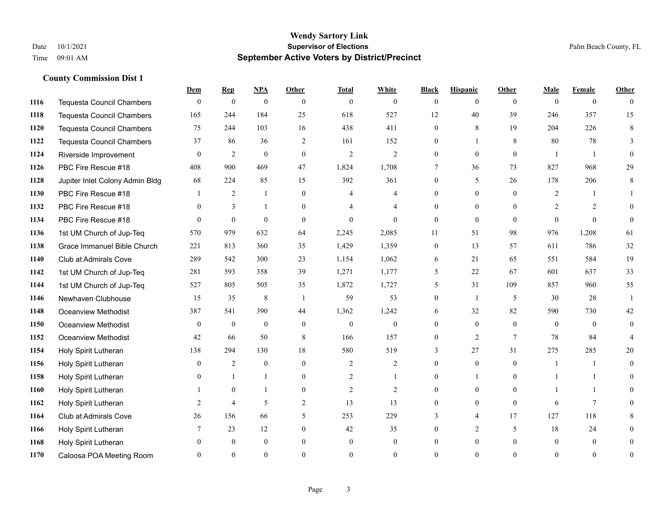|      |                                  | Dem            | <b>Rep</b>       | NPA              | <b>Other</b>   | <b>Total</b>   | <b>White</b>   | <b>Black</b>     | <b>Hispanic</b> | <b>Other</b> | <b>Male</b>    | <b>Female</b>  | <b>Other</b>   |
|------|----------------------------------|----------------|------------------|------------------|----------------|----------------|----------------|------------------|-----------------|--------------|----------------|----------------|----------------|
| 1116 | <b>Tequesta Council Chambers</b> | $\mathbf{0}$   | $\boldsymbol{0}$ | $\boldsymbol{0}$ | $\overline{0}$ | $\mathbf{0}$   | $\overline{0}$ | $\mathbf{0}$     | $\mathbf{0}$    | $\theta$     | $\mathbf{0}$   | $\overline{0}$ | $\theta$       |
| 1118 | <b>Tequesta Council Chambers</b> | 165            | 244              | 184              | 25             | 618            | 527            | 12               | 40              | 39           | 246            | 357            | 15             |
| 1120 | Tequesta Council Chambers        | 75             | 244              | 103              | 16             | 438            | 411            | $\mathbf{0}$     | 8               | 19           | 204            | 226            | 8              |
| 1122 | <b>Tequesta Council Chambers</b> | 37             | 86               | 36               | $\sqrt{2}$     | 161            | 152            | $\boldsymbol{0}$ | $\mathbf{1}$    | $\,8\,$      | 80             | 78             | 3              |
| 1124 | Riverside Improvement            | $\overline{0}$ | 2                | $\mathbf{0}$     | $\overline{0}$ | 2              | $\overline{2}$ | $\overline{0}$   | $\mathbf{0}$    | $\theta$     |                |                | $\theta$       |
| 1126 | PBC Fire Rescue #18              | 408            | 900              | 469              | 47             | 1,824          | 1,708          | 7                | 36              | 73           | 827            | 968            | 29             |
| 1128 | Jupiter Inlet Colony Admin Bldg  | 68             | 224              | 85               | 15             | 392            | 361            | $\mathbf{0}$     | 5               | 26           | 178            | 206            | 8              |
| 1130 | PBC Fire Rescue #18              |                | $\overline{2}$   | $\mathbf{1}$     | $\overline{0}$ | $\overline{4}$ | 4              | $\mathbf{0}$     | $\overline{0}$  | $\Omega$     | $\overline{2}$ | -1             |                |
| 1132 | PBC Fire Rescue #18              | $\mathbf{0}$   | $\overline{3}$   | $\mathbf{1}$     | $\overline{0}$ |                | 4              | $\mathbf{0}$     | $\mathbf{0}$    | $\theta$     | $\overline{2}$ | 2              | $\theta$       |
| 1134 | PBC Fire Rescue #18              | $\overline{0}$ | $\mathbf{0}$     | $\mathbf{0}$     | $\Omega$       | $\theta$       | $\overline{0}$ | $\mathbf{0}$     | $\mathbf{0}$    | $\theta$     | $\theta$       | $\theta$       | $\mathbf{0}$   |
| 1136 | 1st UM Church of Jup-Teq         | 570            | 979              | 632              | 64             | 2,245          | 2,085          | 11               | 51              | 98           | 976            | 1,208          | 61             |
| 1138 | Grace Immanuel Bible Church      | 221            | 813              | 360              | 35             | 1,429          | 1,359          | $\boldsymbol{0}$ | 13              | 57           | 611            | 786            | 32             |
| 1140 | Club at Admirals Cove            | 289            | 542              | 300              | 23             | 1,154          | 1,062          | 6                | 21              | 65           | 551            | 584            | 19             |
| 1142 | 1st UM Church of Jup-Teq         | 281            | 593              | 358              | 39             | 1,271          | 1,177          | 5                | 22              | 67           | 601            | 637            | 33             |
| 1144 | 1st UM Church of Jup-Teq         | 527            | 805              | 505              | 35             | 1,872          | 1,727          | 5                | 31              | 109          | 857            | 960            | 55             |
| 1146 | Newhaven Clubhouse               | 15             | 35               | 8                | $\overline{1}$ | 59             | 53             | $\overline{0}$   | $\mathbf{1}$    | 5            | 30             | 28             | 1              |
| 1148 | Oceanview Methodist              | 387            | 541              | 390              | 44             | 1,362          | 1,242          | 6                | 32              | 82           | 590            | 730            | $42\,$         |
| 1150 | Oceanview Methodist              | $\mathbf{0}$   | $\mathbf{0}$     | $\mathbf{0}$     | $\Omega$       | $\mathbf{0}$   | $\overline{0}$ | $\overline{0}$   | $\mathbf{0}$    | $\theta$     | $\theta$       | $\theta$       | $\mathbf{0}$   |
| 1152 | Oceanview Methodist              | 42             | 66               | 50               | 8              | 166            | 157            | $\mathbf{0}$     | 2               | $\tau$       | 78             | 84             | 4              |
| 1154 | Holy Spirit Lutheran             | 138            | 294              | 130              | 18             | 580            | 519            | 3                | 27              | 31           | 275            | 285            | 20             |
| 1156 | Holy Spirit Lutheran             | $\mathbf{0}$   | 2                | $\mathbf{0}$     | $\Omega$       | 2              | $\overline{2}$ | $\overline{0}$   | $\mathbf{0}$    | $\theta$     |                | -1             | $\overline{0}$ |
| 1158 | Holy Spirit Lutheran             | $\mathbf{0}$   | $\mathbf{1}$     | $\mathbf{1}$     | $\overline{0}$ | 2              | -1             | $\boldsymbol{0}$ | 1               | $\theta$     |                |                | $\theta$       |
| 1160 | Holy Spirit Lutheran             |                | $\theta$         | $\mathbf{1}$     | $\overline{0}$ | $\overline{2}$ | $\overline{2}$ | $\overline{0}$   | $\mathbf{0}$    | $\theta$     |                | $\mathbf{1}$   | $\theta$       |
| 1162 | Holy Spirit Lutheran             | 2              | $\overline{4}$   | 5                | $\overline{2}$ | 13             | 13             | $\mathbf{0}$     | $\theta$        | $\theta$     | 6              | $\tau$         | $\Omega$       |
| 1164 | Club at Admirals Cove            | 26             | 156              | 66               | 5              | 253            | 229            | 3                | $\overline{4}$  | 17           | 127            | 118            | 8              |
| 1166 | Holy Spirit Lutheran             | 7              | 23               | 12               | $\overline{0}$ | 42             | 35             | $\Omega$         | 2               | 5            | 18             | 24             | 0              |
| 1168 | Holy Spirit Lutheran             | 0              | $\theta$         | $\overline{0}$   | $\theta$       | $\theta$       | $\mathbf{0}$   | $\mathbf{0}$     | $\mathbf{0}$    | $\Omega$     | $\theta$       | $\mathbf{0}$   |                |
| 1170 | Caloosa POA Meeting Room         | 0              | $\Omega$         | $\Omega$         | $\Omega$       |                | $\Omega$       | $\Omega$         | $\Omega$        | $\Omega$     | $\Omega$       | $\Omega$       | $\mathbf{0}$   |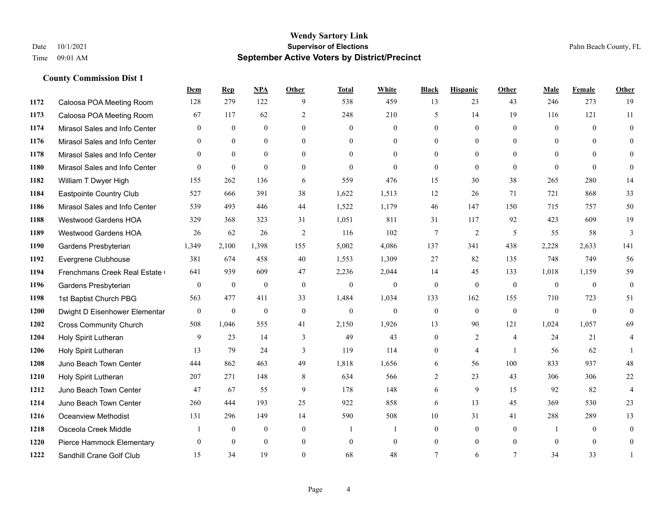|      |                               | Dem              | <b>Rep</b>       | NPA            | <b>Other</b>   | Total          | <b>White</b>     | <b>Black</b>     | <b>Hispanic</b> | <b>Other</b>   | <b>Male</b>    | Female   | <b>Other</b>     |
|------|-------------------------------|------------------|------------------|----------------|----------------|----------------|------------------|------------------|-----------------|----------------|----------------|----------|------------------|
| 1172 | Caloosa POA Meeting Room      | 128              | 279              | 122            | 9              | 538            | 459              | 13               | 23              | 43             | 246            | 273      | 19               |
| 1173 | Caloosa POA Meeting Room      | 67               | 117              | 62             | 2              | 248            | 210              | 5                | 14              | 19             | 116            | 121      | 11               |
| 1174 | Mirasol Sales and Info Center | $\theta$         | $\theta$         | $\theta$       | $\Omega$       | $\Omega$       | $\Omega$         | $\Omega$         | $\theta$        | $\Omega$       | $\theta$       | $\Omega$ | $\theta$         |
| 1176 | Mirasol Sales and Info Center | $\mathbf{0}$     | $\overline{0}$   | $\overline{0}$ | $\overline{0}$ | $\mathbf{0}$   | $\boldsymbol{0}$ | $\mathbf{0}$     | $\mathbf{0}$    | $\overline{0}$ | $\overline{0}$ | $\theta$ | $\overline{0}$   |
| 1178 | Mirasol Sales and Info Center | $\theta$         | $\theta$         | $\theta$       | $\theta$       | $\Omega$       | $\Omega$         | $\mathbf{0}$     | $\theta$        | $\theta$       | $\theta$       | $\Omega$ | $\theta$         |
| 1180 | Mirasol Sales and Info Center | $\overline{0}$   | $\mathbf{0}$     | $\mathbf{0}$   | $\theta$       | $\theta$       | $\Omega$         | $\theta$         | $\theta$        | $\Omega$       | $\theta$       | $\theta$ | $\theta$         |
| 1182 | William T Dwyer High          | 155              | 262              | 136            | 6              | 559            | 476              | 15               | 30              | 38             | 265            | 280      | 14               |
| 1184 | Eastpointe Country Club       | 527              | 666              | 391            | 38             | 1,622          | 1,513            | 12               | 26              | 71             | 721            | 868      | 33               |
| 1186 | Mirasol Sales and Info Center | 539              | 493              | 446            | 44             | 1,522          | 1,179            | 46               | 147             | 150            | 715            | 757      | 50               |
| 1188 | <b>Westwood Gardens HOA</b>   | 329              | 368              | 323            | 31             | 1,051          | 811              | 31               | 117             | 92             | 423            | 609      | 19               |
| 1189 | Westwood Gardens HOA          | 26               | 62               | 26             | 2              | 116            | 102              | 7                | 2               | 5              | 55             | 58       | 3                |
| 1190 | Gardens Presbyterian          | 1,349            | 2,100            | 1,398          | 155            | 5,002          | 4,086            | 137              | 341             | 438            | 2,228          | 2,633    | 141              |
| 1192 | Evergrene Clubhouse           | 381              | 674              | 458            | 40             | 1,553          | 1,309            | 27               | 82              | 135            | 748            | 749      | 56               |
| 1194 | Frenchmans Creek Real Estate  | 641              | 939              | 609            | 47             | 2,236          | 2,044            | 14               | 45              | 133            | 1,018          | 1,159    | 59               |
| 1196 | Gardens Presbyterian          | $\boldsymbol{0}$ | $\boldsymbol{0}$ | $\mathbf{0}$   | $\mathbf{0}$   | $\mathbf{0}$   | $\boldsymbol{0}$ | $\mathbf{0}$     | $\mathbf{0}$    | $\mathbf{0}$   | $\overline{0}$ | $\theta$ | $\boldsymbol{0}$ |
| 1198 | 1st Baptist Church PBG        | 563              | 477              | 411            | 33             | 1,484          | 1,034            | 133              | 162             | 155            | 710            | 723      | 51               |
| 1200 | Dwight D Eisenhower Elementar | $\mathbf{0}$     | $\mathbf{0}$     | $\mathbf{0}$   | $\theta$       | $\mathbf{0}$   | $\mathbf{0}$     | $\boldsymbol{0}$ | $\theta$        | $\theta$       | $\mathbf{0}$   | $\theta$ | $\mathbf{0}$     |
| 1202 | <b>Cross Community Church</b> | 508              | 1,046            | 555            | 41             | 2,150          | 1,926            | 13               | 90              | 121            | 1,024          | 1,057    | 69               |
| 1204 | Holy Spirit Lutheran          | 9                | 23               | 14             | 3              | 49             | 43               | $\mathbf{0}$     | 2               | 4              | 24             | 21       | $\overline{4}$   |
| 1206 | Holy Spirit Lutheran          | 13               | 79               | 24             | 3              | 119            | 114              | $\mathbf{0}$     | $\overline{4}$  | $\overline{1}$ | 56             | 62       |                  |
| 1208 | Juno Beach Town Center        | 444              | 862              | 463            | 49             | 1,818          | 1,656            | 6                | 56              | 100            | 833            | 937      | 48               |
| 1210 | Holy Spirit Lutheran          | 207              | 271              | 148            | 8              | 634            | 566              | 2                | 23              | 43             | 306            | 306      | $22\,$           |
| 1212 | Juno Beach Town Center        | 47               | 67               | 55             | 9              | 178            | 148              | 6                | 9               | 15             | 92             | 82       | $\overline{4}$   |
| 1214 | Juno Beach Town Center        | 260              | 444              | 193            | 25             | 922            | 858              | 6                | 13              | 45             | 369            | 530      | 23               |
| 1216 | <b>Oceanview Methodist</b>    | 131              | 296              | 149            | 14             | 590            | 508              | 10               | 31              | 41             | 288            | 289      | 13               |
| 1218 | Osceola Creek Middle          | 1                | $\overline{0}$   | $\mathbf{0}$   | $\mathbf{0}$   | $\overline{1}$ | 1                | $\mathbf{0}$     | $\mathbf{0}$    | $\theta$       |                | $\theta$ | $\overline{0}$   |
| 1220 | Pierce Hammock Elementary     | $\Omega$         | $\theta$         | $\theta$       | $\overline{0}$ | $\theta$       | $\mathbf{0}$     | $\mathbf{0}$     | $\mathbf{0}$    | $\theta$       | $\theta$       | $\theta$ | $\mathbf{0}$     |
| 1222 | Sandhill Crane Golf Club      | 15               | 34               | 19             | $\Omega$       | 68             | 48               | $\tau$           | 6               | $\tau$         | 34             | 33       | 1                |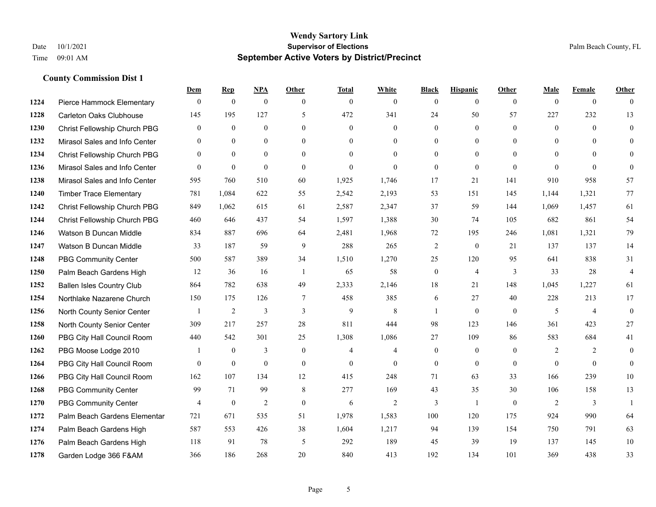|      |                                  | Dem            | <b>Rep</b>       | NPA              | <b>Other</b>   | <b>Total</b>   | <b>White</b>   | <b>Black</b>     | <b>Hispanic</b>  | <b>Other</b> | <b>Male</b>  | <b>Female</b>  | <b>Other</b>   |
|------|----------------------------------|----------------|------------------|------------------|----------------|----------------|----------------|------------------|------------------|--------------|--------------|----------------|----------------|
| 1224 | Pierce Hammock Elementary        | $\mathbf{0}$   | $\theta$         | $\boldsymbol{0}$ | $\theta$       | $\mathbf{0}$   | $\overline{0}$ | $\mathbf{0}$     | $\mathbf{0}$     | $\theta$     | $\theta$     | $\overline{0}$ | $\Omega$       |
| 1228 | <b>Carleton Oaks Clubhouse</b>   | 145            | 195              | 127              | 5              | 472            | 341            | 24               | 50               | 57           | 227          | 232            | 13             |
| 1230 | Christ Fellowship Church PBG     | $\theta$       | $\mathbf{0}$     | $\mathbf{0}$     | $\Omega$       | $\theta$       | $\Omega$       | $\theta$         | $\theta$         | $\Omega$     | $\theta$     | $\Omega$       | $\theta$       |
| 1232 | Mirasol Sales and Info Center    | $\mathbf{0}$   | $\boldsymbol{0}$ | $\mathbf{0}$     | $\overline{0}$ | $\overline{0}$ | $\overline{0}$ | $\boldsymbol{0}$ | $\boldsymbol{0}$ | $\mathbf{0}$ | $\mathbf{0}$ | $\mathbf{0}$   | $\theta$       |
| 1234 | Christ Fellowship Church PBG     | $\overline{0}$ | $\mathbf{0}$     | $\Omega$         | $\theta$       | $\Omega$       | $\overline{0}$ | $\mathbf{0}$     | $\mathbf{0}$     | $\theta$     | $\theta$     | $\theta$       | $\overline{0}$ |
| 1236 | Mirasol Sales and Info Center    | $\theta$       | $\mathbf{0}$     | $\mathbf{0}$     | $\theta$       | $\mathbf{0}$   | $\overline{0}$ | $\mathbf{0}$     | $\mathbf{0}$     | $\Omega$     | $\Omega$     | $\theta$       | $\theta$       |
| 1238 | Mirasol Sales and Info Center    | 595            | 760              | 510              | 60             | 1,925          | 1.746          | 17               | 21               | 141          | 910          | 958            | 57             |
| 1240 | <b>Timber Trace Elementary</b>   | 781            | 1,084            | 622              | 55             | 2,542          | 2,193          | 53               | 151              | 145          | 1,144        | 1,321          | 77             |
| 1242 | Christ Fellowship Church PBG     | 849            | 1,062            | 615              | 61             | 2,587          | 2,347          | 37               | 59               | 144          | 1,069        | 1,457          | 61             |
| 1244 | Christ Fellowship Church PBG     | 460            | 646              | 437              | 54             | 1,597          | 1,388          | 30               | 74               | 105          | 682          | 861            | 54             |
| 1246 | Watson B Duncan Middle           | 834            | 887              | 696              | 64             | 2,481          | 1,968          | 72               | 195              | 246          | 1,081        | 1,321          | 79             |
| 1247 | Watson B Duncan Middle           | 33             | 187              | 59               | 9              | 288            | 265            | $\sqrt{2}$       | $\boldsymbol{0}$ | 21           | 137          | 137            | 14             |
| 1248 | <b>PBG Community Center</b>      | 500            | 587              | 389              | 34             | 1,510          | 1,270          | 25               | 120              | 95           | 641          | 838            | 31             |
| 1250 | Palm Beach Gardens High          | 12             | 36               | 16               | $\overline{1}$ | 65             | 58             | $\boldsymbol{0}$ | $\overline{4}$   | 3            | 33           | 28             | $\overline{4}$ |
| 1252 | <b>Ballen Isles Country Club</b> | 864            | 782              | 638              | 49             | 2,333          | 2,146          | 18               | 21               | 148          | 1,045        | 1,227          | 61             |
| 1254 | Northlake Nazarene Church        | 150            | 175              | 126              | $\tau$         | 458            | 385            | 6                | 27               | 40           | 228          | 213            | 17             |
| 1256 | North County Senior Center       | -1             | 2                | 3                | 3              | 9              | 8              | 1                | $\mathbf{0}$     | $\mathbf{0}$ | 5            | $\overline{4}$ | $\mathbf{0}$   |
| 1258 | North County Senior Center       | 309            | 217              | 257              | 28             | 811            | 444            | 98               | 123              | 146          | 361          | 423            | 27             |
| 1260 | PBG City Hall Council Room       | 440            | 542              | 301              | 25             | 1,308          | 1,086          | 27               | 109              | 86           | 583          | 684            | 41             |
| 1262 | PBG Moose Lodge 2010             |                | $\mathbf{0}$     | 3                | $\theta$       | $\overline{4}$ | $\overline{4}$ | $\mathbf{0}$     | $\mathbf{0}$     | $\theta$     | 2            | 2              | $\theta$       |
| 1264 | PBG City Hall Council Room       | $\theta$       | $\boldsymbol{0}$ | $\mathbf{0}$     | $\theta$       | $\mathbf{0}$   | $\overline{0}$ | $\boldsymbol{0}$ | $\mathbf{0}$     | $\theta$     | $\Omega$     | $\theta$       | $\mathbf{0}$   |
| 1266 | PBG City Hall Council Room       | 162            | 107              | 134              | 12             | 415            | 248            | 71               | 63               | 33           | 166          | 239            | 10             |
| 1268 | <b>PBG Community Center</b>      | 99             | 71               | 99               | 8              | 277            | 169            | 43               | 35               | 30           | 106          | 158            | 13             |
| 1270 | <b>PBG Community Center</b>      | $\overline{4}$ | $\mathbf{0}$     | $\overline{2}$   | $\theta$       | 6              | $\overline{c}$ | 3                | $\mathbf{1}$     | $\theta$     | 2            | 3              | $\overline{1}$ |
| 1272 | Palm Beach Gardens Elementar     | 721            | 671              | 535              | 51             | 1,978          | 1,583          | 100              | 120              | 175          | 924          | 990            | 64             |
| 1274 | Palm Beach Gardens High          | 587            | 553              | 426              | 38             | 1,604          | 1,217          | 94               | 139              | 154          | 750          | 791            | 63             |
| 1276 | Palm Beach Gardens High          | 118            | 91               | 78               | 5              | 292            | 189            | 45               | 39               | 19           | 137          | 145            | 10             |
| 1278 | Garden Lodge 366 F&AM            | 366            | 186              | 268              | 20             | 840            | 413            | 192              | 134              | 101          | 369          | 438            | 33             |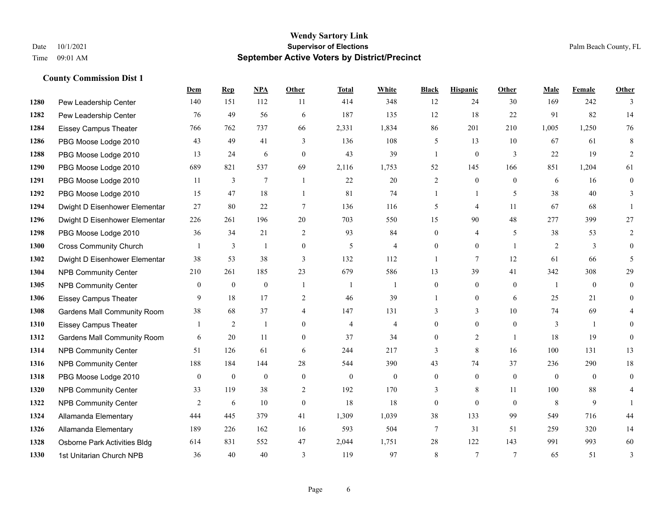|      |                                    | Dem            | <b>Rep</b>       | NPA            | <b>Other</b>   | <b>Total</b>   | <b>White</b>   | <b>Black</b>     | <b>Hispanic</b> | <b>Other</b>   | <b>Male</b>  | Female       | <b>Other</b>   |
|------|------------------------------------|----------------|------------------|----------------|----------------|----------------|----------------|------------------|-----------------|----------------|--------------|--------------|----------------|
| 1280 | Pew Leadership Center              | 140            | 151              | 112            | 11             | 414            | 348            | 12               | 24              | 30             | 169          | 242          | 3              |
| 1282 | Pew Leadership Center              | 76             | 49               | 56             | 6              | 187            | 135            | 12               | 18              | 22             | 91           | 82           | 14             |
| 1284 | <b>Eissey Campus Theater</b>       | 766            | 762              | 737            | 66             | 2,331          | 1,834          | 86               | 201             | 210            | 1,005        | 1,250        | 76             |
| 1286 | PBG Moose Lodge 2010               | 43             | 49               | 41             | 3              | 136            | 108            | 5                | 13              | 10             | 67           | 61           | 8              |
| 1288 | PBG Moose Lodge 2010               | 13             | 24               | 6              | $\theta$       | 43             | 39             | $\mathbf{1}$     | $\overline{0}$  | 3              | 22           | 19           | 2              |
| 1290 | PBG Moose Lodge 2010               | 689            | 821              | 537            | 69             | 2,116          | 1,753          | 52               | 145             | 166            | 851          | 1,204        | 61             |
| 1291 | PBG Moose Lodge 2010               | 11             | 3                | $\overline{7}$ | -1             | 22             | 20             | $\overline{c}$   | $\overline{0}$  | $\theta$       | 6            | 16           | $\overline{0}$ |
| 1292 | PBG Moose Lodge 2010               | 15             | 47               | 18             | $\overline{1}$ | 81             | 74             | $\mathbf{1}$     | $\mathbf{1}$    | 5              | 38           | 40           | 3              |
| 1294 | Dwight D Eisenhower Elementar      | 27             | 80               | 22             | $\tau$         | 136            | 116            | 5                | 4               | 11             | 67           | 68           |                |
| 1296 | Dwight D Eisenhower Elementar      | 226            | 261              | 196            | 20             | 703            | 550            | 15               | 90              | 48             | 277          | 399          | 27             |
| 1298 | PBG Moose Lodge 2010               | 36             | 34               | 21             | 2              | 93             | 84             | $\overline{0}$   | 4               | 5              | 38           | 53           | $\overline{2}$ |
| 1300 | <b>Cross Community Church</b>      |                | 3                | $\mathbf{1}$   | $\mathbf{0}$   | 5              | $\overline{4}$ | $\overline{0}$   | $\overline{0}$  | $\mathbf{1}$   | 2            | 3            | $\overline{0}$ |
| 1302 | Dwight D Eisenhower Elementar      | 38             | 53               | 38             | 3              | 132            | 112            | $\mathbf{1}$     | 7               | 12             | 61           | 66           | 5              |
| 1304 | <b>NPB Community Center</b>        | 210            | 261              | 185            | 23             | 679            | 586            | 13               | 39              | 41             | 342          | 308          | 29             |
| 1305 | <b>NPB Community Center</b>        | $\overline{0}$ | $\mathbf{0}$     | $\mathbf{0}$   | $\overline{1}$ | -1             | 1              | $\overline{0}$   | $\overline{0}$  | $\theta$       | $\mathbf{1}$ | $\theta$     | $\overline{0}$ |
| 1306 | <b>Eissey Campus Theater</b>       | 9              | 18               | 17             | $\overline{2}$ | 46             | 39             |                  | $\overline{0}$  | 6              | 25           | 21           | $\overline{0}$ |
| 1308 | <b>Gardens Mall Community Room</b> | 38             | 68               | 37             | $\overline{4}$ | 147            | 131            | 3                | 3               | 10             | 74           | 69           |                |
| 1310 | <b>Eissey Campus Theater</b>       |                | 2                |                | $\theta$       | $\overline{4}$ | $\overline{4}$ | $\overline{0}$   | $\overline{0}$  | $\theta$       | 3            | $\mathbf{1}$ | $\theta$       |
| 1312 | <b>Gardens Mall Community Room</b> | 6              | 20               | 11             | $\mathbf{0}$   | 37             | 34             | $\overline{0}$   | $\overline{2}$  | $\overline{1}$ | 18           | 19           | $\Omega$       |
| 1314 | <b>NPB Community Center</b>        | 51             | 126              | 61             | 6              | 244            | 217            | 3                | 8               | 16             | 100          | 131          | 13             |
| 1316 | <b>NPB Community Center</b>        | 188            | 184              | 144            | 28             | 544            | 390            | 43               | 74              | 37             | 236          | 290          | $18\,$         |
| 1318 | PBG Moose Lodge 2010               | $\mathbf{0}$   | $\boldsymbol{0}$ | $\mathbf{0}$   | $\mathbf{0}$   | $\mathbf{0}$   | $\mathbf{0}$   | $\overline{0}$   | $\mathbf{0}$    | $\mathbf{0}$   | $\mathbf{0}$ | $\theta$     | $\overline{0}$ |
| 1320 | <b>NPB Community Center</b>        | 33             | 119              | 38             | 2              | 192            | 170            | 3                | 8               | 11             | 100          | 88           | 4              |
| 1322 | <b>NPB Community Center</b>        | 2              | 6                | 10             | $\mathbf{0}$   | 18             | 18             | $\boldsymbol{0}$ | $\overline{0}$  | $\theta$       | 8            | 9            |                |
| 1324 | Allamanda Elementary               | 444            | 445              | 379            | 41             | 1,309          | 1,039          | 38               | 133             | 99             | 549          | 716          | 44             |
| 1326 | Allamanda Elementary               | 189            | 226              | 162            | 16             | 593            | 504            | 7                | 31              | 51             | 259          | 320          | 14             |
| 1328 | Osborne Park Activities Bldg       | 614            | 831              | 552            | 47             | 2,044          | 1,751          | 28               | 122             | 143            | 991          | 993          | 60             |
| 1330 | 1st Unitarian Church NPB           | 36             | 40               | 40             | 3              | 119            | 97             | 8                | 7               | $\overline{7}$ | 65           | 51           | 3              |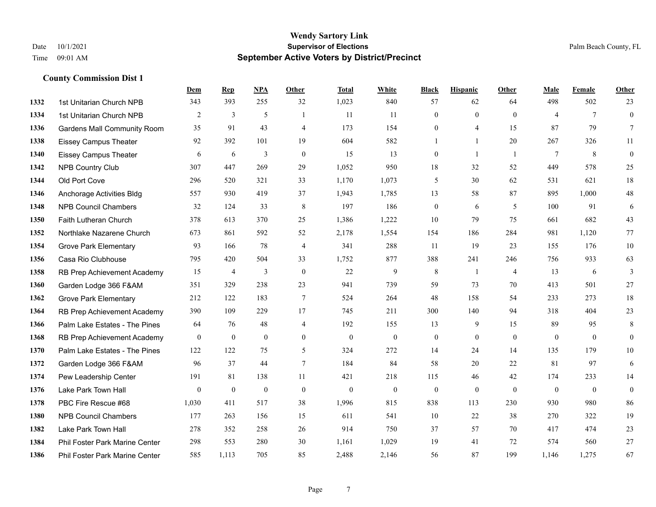|      |                                    | Dem            | <b>Rep</b>     | NPA            | <b>Other</b>   | <b>Total</b> | <b>White</b>   | <b>Black</b>     | <b>Hispanic</b> | <b>Other</b>   | <b>Male</b>    | <b>Female</b>   | <b>Other</b>     |
|------|------------------------------------|----------------|----------------|----------------|----------------|--------------|----------------|------------------|-----------------|----------------|----------------|-----------------|------------------|
| 1332 | 1st Unitarian Church NPB           | 343            | 393            | 255            | 32             | 1,023        | 840            | 57               | 62              | 64             | 498            | 502             | 23               |
| 1334 | 1st Unitarian Church NPB           | $\overline{2}$ | 3              | 5              | $\mathbf{1}$   | 11           | 11             | $\mathbf{0}$     | $\mathbf{0}$    | $\theta$       | $\overline{4}$ | $7\phantom{.0}$ | $\mathbf{0}$     |
| 1336 | <b>Gardens Mall Community Room</b> | 35             | 91             | 43             | $\overline{4}$ | 173          | 154            | $\theta$         | 4               | 15             | 87             | 79              | $7\overline{ }$  |
| 1338 | <b>Eissey Campus Theater</b>       | 92             | 392            | 101            | 19             | 604          | 582            | 1                | $\mathbf{1}$    | 20             | 267            | 326             | $11\,$           |
| 1340 | <b>Eissey Campus Theater</b>       | 6              | 6              | 3              | $\mathbf{0}$   | 15           | 13             | $\overline{0}$   | $\mathbf{1}$    | $\overline{1}$ | $\tau$         | 8               | $\boldsymbol{0}$ |
| 1342 | NPB Country Club                   | 307            | 447            | 269            | 29             | 1,052        | 950            | 18               | 32              | 52             | 449            | 578             | 25               |
| 1344 | Old Port Cove                      | 296            | 520            | 321            | 33             | 1,170        | 1,073          | 5                | 30              | 62             | 531            | 621             | 18               |
| 1346 | Anchorage Activities Bldg          | 557            | 930            | 419            | 37             | 1,943        | 1,785          | 13               | 58              | 87             | 895            | 1,000           | $48\,$           |
| 1348 | <b>NPB Council Chambers</b>        | 32             | 124            | 33             | 8              | 197          | 186            | $\boldsymbol{0}$ | 6               | 5              | 100            | 91              | 6                |
| 1350 | Faith Lutheran Church              | 378            | 613            | 370            | 25             | 1,386        | 1,222          | 10               | 79              | 75             | 661            | 682             | 43               |
| 1352 | Northlake Nazarene Church          | 673            | 861            | 592            | 52             | 2,178        | 1,554          | 154              | 186             | 284            | 981            | 1.120           | 77               |
| 1354 | <b>Grove Park Elementary</b>       | 93             | 166            | 78             | $\overline{4}$ | 341          | 288            | 11               | 19              | 23             | 155            | 176             | $10\,$           |
| 1356 | Casa Rio Clubhouse                 | 795            | 420            | 504            | 33             | 1,752        | 877            | 388              | 241             | 246            | 756            | 933             | 63               |
| 1358 | RB Prep Achievement Academy        | 15             | $\overline{4}$ | $\mathfrak{Z}$ | $\mathbf{0}$   | 22           | 9              | 8                | -1              | $\overline{4}$ | 13             | 6               | 3                |
| 1360 | Garden Lodge 366 F&AM              | 351            | 329            | 238            | 23             | 941          | 739            | 59               | 73              | 70             | 413            | 501             | 27               |
| 1362 | <b>Grove Park Elementary</b>       | 212            | 122            | 183            | $\tau$         | 524          | 264            | 48               | 158             | 54             | 233            | 273             | 18               |
| 1364 | RB Prep Achievement Academy        | 390            | 109            | 229            | 17             | 745          | 211            | 300              | 140             | 94             | 318            | 404             | 23               |
| 1366 | Palm Lake Estates - The Pines      | 64             | 76             | 48             | $\overline{4}$ | 192          | 155            | 13               | 9               | 15             | 89             | 95              | $\,8\,$          |
| 1368 | RB Prep Achievement Academy        | $\mathbf{0}$   | $\mathbf{0}$   | $\mathbf{0}$   | $\overline{0}$ | $\mathbf{0}$ | $\overline{0}$ | $\boldsymbol{0}$ | $\mathbf{0}$    | $\theta$       | $\mathbf{0}$   | $\mathbf{0}$    | $\mathbf{0}$     |
| 1370 | Palm Lake Estates - The Pines      | 122            | 122            | 75             | 5              | 324          | 272            | 14               | 24              | 14             | 135            | 179             | 10               |
| 1372 | Garden Lodge 366 F&AM              | 96             | 37             | 44             | $\tau$         | 184          | 84             | 58               | 20              | 22             | 81             | 97              | 6                |
| 1374 | Pew Leadership Center              | 191            | 81             | 138            | 11             | 421          | 218            | 115              | 46              | 42             | 174            | 233             | 14               |
| 1376 | Lake Park Town Hall                | $\mathbf{0}$   | $\mathbf{0}$   | $\mathbf{0}$   | $\mathbf{0}$   | $\mathbf{0}$ | $\mathbf{0}$   | $\mathbf{0}$     | $\mathbf{0}$    | $\theta$       | $\mathbf{0}$   | $\mathbf{0}$    | $\boldsymbol{0}$ |
| 1378 | PBC Fire Rescue #68                | 1,030          | 411            | 517            | 38             | 1,996        | 815            | 838              | 113             | 230            | 930            | 980             | 86               |
| 1380 | <b>NPB Council Chambers</b>        | 177            | 263            | 156            | 15             | 611          | 541            | 10               | 22              | 38             | 270            | 322             | 19               |
| 1382 | Lake Park Town Hall                | 278            | 352            | 258            | 26             | 914          | 750            | 37               | 57              | 70             | 417            | 474             | 23               |
| 1384 | Phil Foster Park Marine Center     | 298            | 553            | 280            | 30             | 1,161        | 1,029          | 19               | 41              | 72             | 574            | 560             | 27               |
| 1386 | Phil Foster Park Marine Center     | 585            | 1.113          | 705            | 85             | 2,488        | 2,146          | 56               | 87              | 199            | 1.146          | 1,275           | 67               |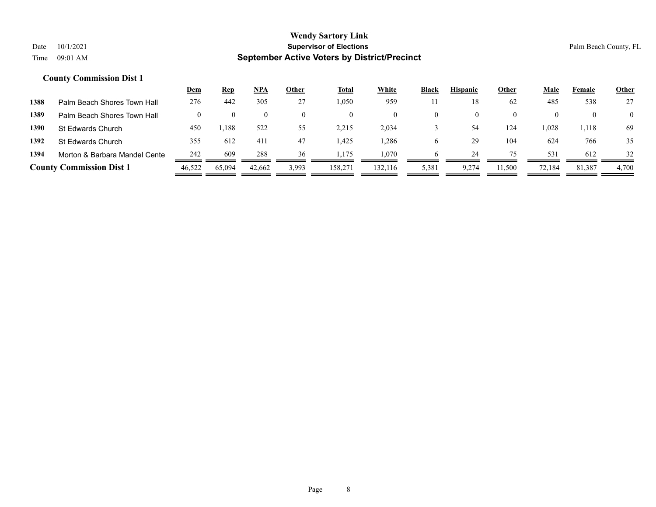|      |                                 | <u>Dem</u> | <b>Rep</b> | <u>NPA</u> | Other | <b>Total</b> | <b>White</b> | <b>Black</b> | <b>Hispanic</b> | <b>Other</b> | <u>Male</u> | Female   | <b>Other</b>   |
|------|---------------------------------|------------|------------|------------|-------|--------------|--------------|--------------|-----------------|--------------|-------------|----------|----------------|
| 1388 | Palm Beach Shores Town Hall     | 276        | 442        | 305        | 27    | 1,050        | 959          |              | 18              | 62           | 485         | 538      | 27             |
| 1389 | Palm Beach Shores Town Hall     |            |            | $\theta$   |       | $\theta$     |              | $\theta$     |                 | $\theta$     | $\theta$    | $\theta$ | $\overline{0}$ |
| 1390 | St Edwards Church               | 450        | ,188       | 522        | 55    | 2,215        | 2,034        |              | -54             | 124          | 1,028       | 1,118    | 69             |
| 1392 | St Edwards Church               | 355        | 612        | 411        | 47    | 425. ا       | .286         | O            | 29              | 104          | 624         | 766      | 35             |
| 1394 | Morton & Barbara Mandel Cente   | 242        | 609        | 288        | 36    | . 175        | 1.070        | <sub>6</sub> | 24              | 75           | 531         | 612      | 32             |
|      | <b>County Commission Dist 1</b> | 46,522     | 65,094     | 42,662     | 3,993 | 158,27       | 132.116      | 5,381        | 9,274           | 11,500       | 72,184      | 81,387   | 4,700          |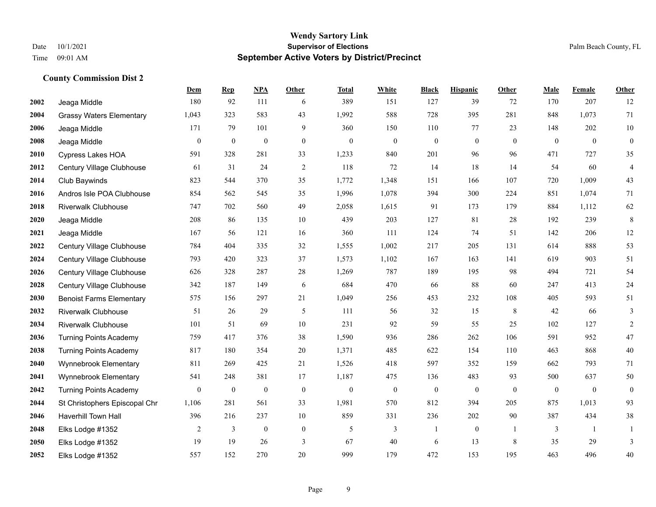|      |                                 | Dem              | <b>Rep</b>       | NPA              | <b>Other</b>     | <b>Total</b>     | <b>White</b>     | <b>Black</b>     | <b>Hispanic</b>  | <b>Other</b>   | <b>Male</b>  | <b>Female</b> | <b>Other</b>     |
|------|---------------------------------|------------------|------------------|------------------|------------------|------------------|------------------|------------------|------------------|----------------|--------------|---------------|------------------|
| 2002 | Jeaga Middle                    | 180              | 92               | 111              | 6                | 389              | 151              | 127              | 39               | 72             | 170          | 207           | 12               |
| 2004 | <b>Grassy Waters Elementary</b> | 1,043            | 323              | 583              | 43               | 1,992            | 588              | 728              | 395              | 281            | 848          | 1,073         | 71               |
| 2006 | Jeaga Middle                    | 171              | 79               | 101              | 9                | 360              | 150              | 110              | 77               | 23             | 148          | 202           | $10\,$           |
| 2008 | Jeaga Middle                    | $\mathbf{0}$     | $\boldsymbol{0}$ | $\boldsymbol{0}$ | $\boldsymbol{0}$ | $\mathbf{0}$     | $\boldsymbol{0}$ | $\boldsymbol{0}$ | $\boldsymbol{0}$ | $\mathbf{0}$   | $\mathbf{0}$ | $\mathbf{0}$  | $\boldsymbol{0}$ |
| 2010 | Cypress Lakes HOA               | 591              | 328              | 281              | 33               | 1,233            | 840              | 201              | 96               | 96             | 471          | 727           | 35               |
| 2012 | Century Village Clubhouse       | 61               | 31               | 24               | $\overline{c}$   | 118              | 72               | 14               | 18               | 14             | 54           | 60            | $\overline{4}$   |
| 2014 | Club Baywinds                   | 823              | 544              | 370              | 35               | 1,772            | 1,348            | 151              | 166              | 107            | 720          | 1,009         | 43               |
| 2016 | Andros Isle POA Clubhouse       | 854              | 562              | 545              | 35               | 1,996            | 1,078            | 394              | 300              | 224            | 851          | 1,074         | 71               |
| 2018 | <b>Riverwalk Clubhouse</b>      | 747              | 702              | 560              | 49               | 2,058            | 1,615            | 91               | 173              | 179            | 884          | 1,112         | 62               |
| 2020 | Jeaga Middle                    | 208              | 86               | 135              | 10               | 439              | 203              | 127              | 81               | 28             | 192          | 239           | $\,8\,$          |
| 2021 | Jeaga Middle                    | 167              | 56               | 121              | 16               | 360              | 111              | 124              | 74               | 51             | 142          | 206           | $12\,$           |
| 2022 | Century Village Clubhouse       | 784              | 404              | 335              | 32               | 1,555            | 1,002            | 217              | 205              | 131            | 614          | 888           | 53               |
| 2024 | Century Village Clubhouse       | 793              | 420              | 323              | 37               | 1,573            | 1,102            | 167              | 163              | 141            | 619          | 903           | 51               |
| 2026 | Century Village Clubhouse       | 626              | 328              | 287              | 28               | 1,269            | 787              | 189              | 195              | 98             | 494          | 721           | 54               |
| 2028 | Century Village Clubhouse       | 342              | 187              | 149              | 6                | 684              | 470              | 66               | 88               | 60             | 247          | 413           | $24\,$           |
| 2030 | <b>Benoist Farms Elementary</b> | 575              | 156              | 297              | 21               | 1,049            | 256              | 453              | 232              | 108            | 405          | 593           | 51               |
| 2032 | <b>Riverwalk Clubhouse</b>      | 51               | 26               | 29               | 5                | 111              | 56               | 32               | 15               | 8              | 42           | 66            | 3                |
| 2034 | <b>Riverwalk Clubhouse</b>      | 101              | 51               | 69               | 10               | 231              | 92               | 59               | 55               | 25             | 102          | 127           | $\overline{c}$   |
| 2036 | <b>Turning Points Academy</b>   | 759              | 417              | 376              | 38               | 1,590            | 936              | 286              | 262              | 106            | 591          | 952           | $47\,$           |
| 2038 | <b>Turning Points Academy</b>   | 817              | 180              | 354              | 20               | 1,371            | 485              | 622              | 154              | 110            | 463          | 868           | $40\,$           |
| 2040 | Wynnebrook Elementary           | 811              | 269              | 425              | 21               | 1,526            | 418              | 597              | 352              | 159            | 662          | 793           | 71               |
| 2041 | Wynnebrook Elementary           | 541              | 248              | 381              | 17               | 1,187            | 475              | 136              | 483              | 93             | 500          | 637           | 50               |
| 2042 | <b>Turning Points Academy</b>   | $\boldsymbol{0}$ | $\boldsymbol{0}$ | $\boldsymbol{0}$ | $\boldsymbol{0}$ | $\boldsymbol{0}$ | $\boldsymbol{0}$ | $\boldsymbol{0}$ | $\boldsymbol{0}$ | $\overline{0}$ | $\mathbf{0}$ | $\mathbf{0}$  | $\boldsymbol{0}$ |
| 2044 | St Christophers Episcopal Chr   | 1,106            | 281              | 561              | 33               | 1,981            | 570              | 812              | 394              | 205            | 875          | 1,013         | 93               |
| 2046 | Haverhill Town Hall             | 396              | 216              | 237              | 10               | 859              | 331              | 236              | 202              | 90             | 387          | 434           | 38               |
| 2048 | Elks Lodge #1352                | 2                | 3                | $\boldsymbol{0}$ | $\mathbf{0}$     | 5                | 3                | $\mathbf{1}$     | $\boldsymbol{0}$ | $\overline{1}$ | 3            | -1            | 1                |
| 2050 | Elks Lodge #1352                | 19               | 19               | 26               | 3                | 67               | 40               | 6                | 13               | 8              | 35           | 29            | 3                |
| 2052 | Elks Lodge #1352                | 557              | 152              | 270              | 20               | 999              | 179              | 472              | 153              | 195            | 463          | 496           | 40               |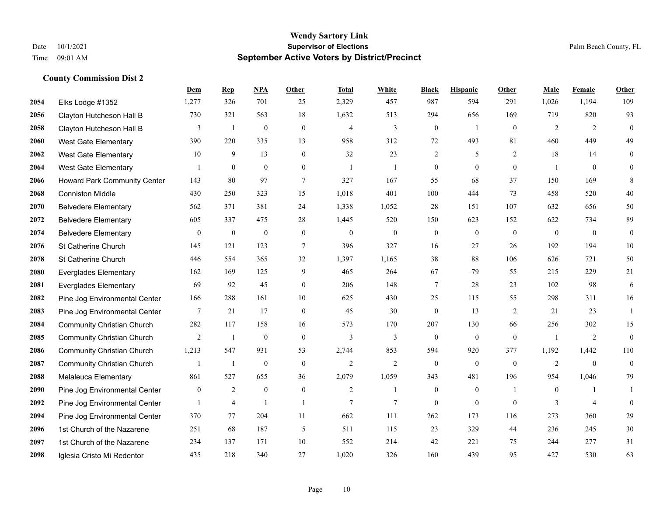|      |                                   | Dem             | <b>Rep</b>       | NPA              | <b>Other</b>     | <b>Total</b>   | <b>White</b>   | <b>Black</b>     | <b>Hispanic</b>  | Other          | <b>Male</b>    | <b>Female</b> | <b>Other</b> |
|------|-----------------------------------|-----------------|------------------|------------------|------------------|----------------|----------------|------------------|------------------|----------------|----------------|---------------|--------------|
| 2054 | Elks Lodge #1352                  | 1,277           | 326              | 701              | 25               | 2,329          | 457            | 987              | 594              | 291            | 1,026          | 1,194         | 109          |
| 2056 | Clayton Hutcheson Hall B          | 730             | 321              | 563              | 18               | 1,632          | 513            | 294              | 656              | 169            | 719            | 820           | 93           |
| 2058 | Clayton Hutcheson Hall B          | 3               | $\mathbf{1}$     | $\boldsymbol{0}$ | $\boldsymbol{0}$ | $\overline{4}$ | 3              | $\boldsymbol{0}$ | $\mathbf{1}$     | $\overline{0}$ | 2              | 2             | $\mathbf{0}$ |
| 2060 | <b>West Gate Elementary</b>       | 390             | 220              | 335              | 13               | 958            | 312            | 72               | 493              | 81             | 460            | 449           | 49           |
| 2062 | <b>West Gate Elementary</b>       | 10              | 9                | 13               | $\mathbf{0}$     | 32             | 23             | 2                | 5                | 2              | 18             | 14            | $\mathbf{0}$ |
| 2064 | West Gate Elementary              |                 | $\boldsymbol{0}$ | $\boldsymbol{0}$ | $\mathbf{0}$     | $\overline{1}$ | 1              | $\boldsymbol{0}$ | $\boldsymbol{0}$ | $\mathbf{0}$   | -1             | $\mathbf{0}$  | $\mathbf{0}$ |
| 2066 | Howard Park Community Center      | 143             | 80               | 97               | $\tau$           | 327            | 167            | 55               | 68               | 37             | 150            | 169           | 8            |
| 2068 | <b>Conniston Middle</b>           | 430             | 250              | 323              | 15               | 1,018          | 401            | 100              | 444              | 73             | 458            | 520           | 40           |
| 2070 | <b>Belvedere Elementary</b>       | 562             | 371              | 381              | 24               | 1,338          | 1,052          | 28               | 151              | 107            | 632            | 656           | 50           |
| 2072 | <b>Belvedere Elementary</b>       | 605             | 337              | 475              | 28               | 1,445          | 520            | 150              | 623              | 152            | 622            | 734           | 89           |
| 2074 | <b>Belvedere Elementary</b>       | $\mathbf{0}$    | $\mathbf{0}$     | $\mathbf{0}$     | $\mathbf{0}$     | $\Omega$       | $\mathbf{0}$   | $\mathbf{0}$     | $\mathbf{0}$     | $\theta$       | $\mathbf{0}$   | $\theta$      | $\mathbf{0}$ |
| 2076 | St Catherine Church               | 145             | 121              | 123              | $\tau$           | 396            | 327            | 16               | 27               | 26             | 192            | 194           | 10           |
| 2078 | St Catherine Church               | 446             | 554              | 365              | 32               | 1,397          | 1,165          | 38               | 88               | 106            | 626            | 721           | 50           |
| 2080 | <b>Everglades Elementary</b>      | 162             | 169              | 125              | 9                | 465            | 264            | 67               | 79               | 55             | 215            | 229           | $21\,$       |
| 2081 | <b>Everglades Elementary</b>      | 69              | 92               | 45               | $\mathbf{0}$     | 206            | 148            | 7                | 28               | 23             | 102            | 98            | 6            |
| 2082 | Pine Jog Environmental Center     | 166             | 288              | 161              | 10               | 625            | 430            | 25               | 115              | 55             | 298            | 311           | 16           |
| 2083 | Pine Jog Environmental Center     | $7\phantom{.0}$ | 21               | 17               | $\boldsymbol{0}$ | 45             | 30             | $\boldsymbol{0}$ | 13               | 2              | 21             | 23            | 1            |
| 2084 | <b>Community Christian Church</b> | 282             | 117              | 158              | 16               | 573            | 170            | 207              | 130              | 66             | 256            | 302           | 15           |
| 2085 | <b>Community Christian Church</b> | $\overline{2}$  | -1               | $\mathbf{0}$     | $\mathbf{0}$     | 3              | 3              | $\mathbf{0}$     | $\theta$         | $\theta$       | $\overline{1}$ | 2             | $\theta$     |
| 2086 | <b>Community Christian Church</b> | 1,213           | 547              | 931              | 53               | 2,744          | 853            | 594              | 920              | 377            | 1,192          | 1,442         | 110          |
| 2087 | <b>Community Christian Church</b> | $\mathbf{1}$    | $\mathbf{1}$     | $\boldsymbol{0}$ | $\mathbf{0}$     | $\overline{2}$ | $\overline{2}$ | $\theta$         | $\mathbf{0}$     | $\theta$       | 2              | $\theta$      | $\mathbf{0}$ |
| 2088 | Melaleuca Elementary              | 861             | 527              | 655              | 36               | 2,079          | 1,059          | 343              | 481              | 196            | 954            | 1,046         | 79           |
| 2090 | Pine Jog Environmental Center     | $\bf{0}$        | $\overline{2}$   | $\boldsymbol{0}$ | $\boldsymbol{0}$ | $\overline{2}$ | 1              | $\boldsymbol{0}$ | $\boldsymbol{0}$ | -1             | $\overline{0}$ |               |              |
| 2092 | Pine Jog Environmental Center     | 1               | $\overline{4}$   | $\mathbf{1}$     | $\mathbf{1}$     | 7              | 7              | $\theta$         | $\theta$         | $\theta$       | 3              | 4             | $\mathbf{0}$ |
| 2094 | Pine Jog Environmental Center     | 370             | 77               | 204              | 11               | 662            | 111            | 262              | 173              | 116            | 273            | 360           | 29           |
| 2096 | 1st Church of the Nazarene        | 251             | 68               | 187              | 5                | 511            | 115            | 23               | 329              | 44             | 236            | 245           | 30           |
| 2097 | 1st Church of the Nazarene        | 234             | 137              | 171              | 10               | 552            | 214            | 42               | 221              | 75             | 244            | 277           | 31           |
| 2098 | Iglesia Cristo Mi Redentor        | 435             | 218              | 340              | 27               | 1,020          | 326            | 160              | 439              | 95             | 427            | 530           | 63           |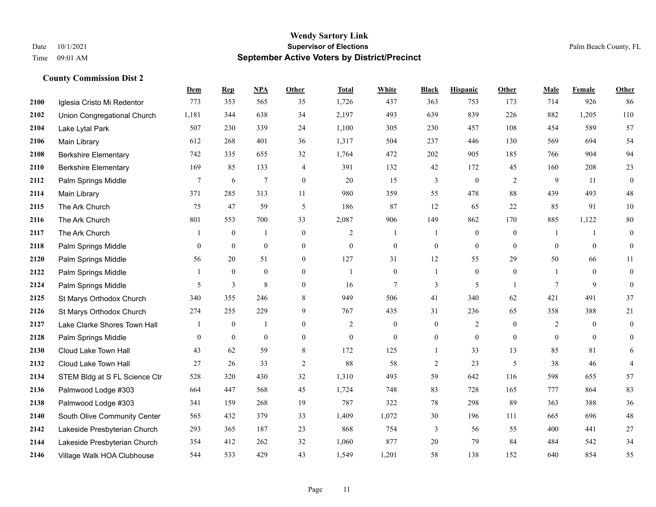|      |                               | Dem              | <b>Rep</b>       | NPA              | <b>Other</b>     | <b>Total</b>   | <b>White</b>   | <b>Black</b>     | <b>Hispanic</b>  | <b>Other</b>   | <b>Male</b>  | <b>Female</b>  | Other            |
|------|-------------------------------|------------------|------------------|------------------|------------------|----------------|----------------|------------------|------------------|----------------|--------------|----------------|------------------|
| 2100 | Iglesia Cristo Mi Redentor    | 773              | 353              | 565              | 35               | 1,726          | 437            | 363              | 753              | 173            | 714          | 926            | 86               |
| 2102 | Union Congregational Church   | 1,181            | 344              | 638              | 34               | 2,197          | 493            | 639              | 839              | 226            | 882          | 1,205          | 110              |
| 2104 | Lake Lytal Park               | 507              | 230              | 339              | 24               | 1,100          | 305            | 230              | 457              | 108            | 454          | 589            | 57               |
| 2106 | Main Library                  | 612              | 268              | 401              | 36               | 1,317          | 504            | 237              | 446              | 130            | 569          | 694            | 54               |
| 2108 | <b>Berkshire Elementary</b>   | 742              | 335              | 655              | 32               | 1,764          | 472            | 202              | 905              | 185            | 766          | 904            | 94               |
| 2110 | <b>Berkshire Elementary</b>   | 169              | 85               | 133              | $\overline{4}$   | 391            | 132            | 42               | 172              | 45             | 160          | 208            | 23               |
| 2112 | Palm Springs Middle           | $\tau$           | 6                | $\overline{7}$   | $\mathbf{0}$     | 20             | 15             | $\mathfrak{Z}$   | $\boldsymbol{0}$ | $\overline{2}$ | 9            | 11             | $\boldsymbol{0}$ |
| 2114 | Main Library                  | 371              | 285              | 313              | 11               | 980            | 359            | 55               | 478              | 88             | 439          | 493            | $48\,$           |
| 2115 | The Ark Church                | 75               | 47               | 59               | 5                | 186            | 87             | 12               | 65               | 22             | 85           | 91             | $10\,$           |
| 2116 | The Ark Church                | 801              | 553              | 700              | 33               | 2,087          | 906            | 149              | 862              | 170            | 885          | 1,122          | $80\,$           |
| 2117 | The Ark Church                | 1                | $\overline{0}$   | $\mathbf{1}$     | $\boldsymbol{0}$ | 2              | -1             | 1                | $\boldsymbol{0}$ | $\overline{0}$ | -1           | 1              | $\boldsymbol{0}$ |
| 2118 | Palm Springs Middle           | $\overline{0}$   | $\mathbf{0}$     | $\boldsymbol{0}$ | $\overline{0}$   | $\mathbf{0}$   | $\overline{0}$ | $\boldsymbol{0}$ | $\mathbf{0}$     | $\mathbf{0}$   | $\mathbf{0}$ | $\mathbf{0}$   | $\boldsymbol{0}$ |
| 2120 | Palm Springs Middle           | 56               | 20               | 51               | $\overline{0}$   | 127            | 31             | 12               | 55               | 29             | 50           | 66             | 11               |
| 2122 | Palm Springs Middle           |                  | $\mathbf{0}$     | $\bf{0}$         | $\mathbf{0}$     | $\mathbf{1}$   | $\mathbf{0}$   | 1                | $\boldsymbol{0}$ | $\bf{0}$       |              | $\bf{0}$       | $\boldsymbol{0}$ |
| 2124 | Palm Springs Middle           | 5                | 3                | $\,8\,$          | $\mathbf{0}$     | 16             | $\tau$         | 3                | 5                | -1             | $\tau$       | 9              | $\boldsymbol{0}$ |
| 2125 | St Marys Orthodox Church      | 340              | 355              | 246              | 8                | 949            | 506            | 41               | 340              | 62             | 421          | 491            | 37               |
| 2126 | St Marys Orthodox Church      | 274              | 255              | 229              | 9                | 767            | 435            | 31               | 236              | 65             | 358          | 388            | 21               |
| 2127 | Lake Clarke Shores Town Hall  |                  | $\mathbf{0}$     | $\overline{1}$   | $\overline{0}$   | $\overline{2}$ | $\mathbf{0}$   | $\boldsymbol{0}$ | $\overline{2}$   | $\theta$       | 2            | $\overline{0}$ | $\boldsymbol{0}$ |
| 2128 | Palm Springs Middle           | $\boldsymbol{0}$ | $\boldsymbol{0}$ | $\bf{0}$         | $\boldsymbol{0}$ | $\theta$       | $\mathbf{0}$   | $\boldsymbol{0}$ | $\boldsymbol{0}$ | $\mathbf{0}$   | $\mathbf{0}$ | $\mathbf{0}$   | $\boldsymbol{0}$ |
| 2130 | Cloud Lake Town Hall          | 43               | 62               | 59               | 8                | 172            | 125            | $\mathbf{1}$     | 33               | 13             | 85           | 81             | 6                |
| 2132 | Cloud Lake Town Hall          | 27               | 26               | 33               | $\overline{2}$   | 88             | 58             | $\overline{c}$   | 23               | 5              | 38           | 46             | $\overline{4}$   |
| 2134 | STEM Bldg at S FL Science Ctr | 528              | 320              | 430              | 32               | 1,310          | 493            | 59               | 642              | 116            | 598          | 655            | 57               |
| 2136 | Palmwood Lodge #303           | 664              | 447              | 568              | 45               | 1,724          | 748            | 83               | 728              | 165            | 777          | 864            | 83               |
| 2138 | Palmwood Lodge #303           | 341              | 159              | 268              | 19               | 787            | 322            | 78               | 298              | 89             | 363          | 388            | 36               |
| 2140 | South Olive Community Center  | 565              | 432              | 379              | 33               | 1,409          | 1,072          | 30               | 196              | 111            | 665          | 696            | $48\,$           |
| 2142 | Lakeside Presbyterian Church  | 293              | 365              | 187              | 23               | 868            | 754            | 3                | 56               | 55             | 400          | 441            | $27\,$           |
| 2144 | Lakeside Presbyterian Church  | 354              | 412              | 262              | 32               | 1,060          | 877            | 20               | 79               | 84             | 484          | 542            | 34               |
| 2146 | Village Walk HOA Clubhouse    | 544              | 533              | 429              | 43               | 1,549          | 1,201          | 58               | 138              | 152            | 640          | 854            | 55               |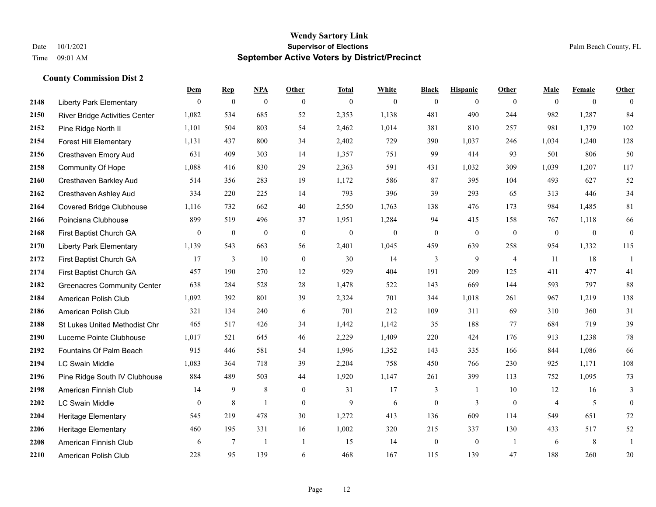|      |                                    | Dem            | <b>Rep</b>       | NPA              | <b>Other</b>             | <b>Total</b> | <b>White</b>   | <b>Black</b>     | <b>Hispanic</b> | <b>Other</b>   | <b>Male</b>    | <b>Female</b>  | <b>Other</b>     |
|------|------------------------------------|----------------|------------------|------------------|--------------------------|--------------|----------------|------------------|-----------------|----------------|----------------|----------------|------------------|
| 2148 | <b>Liberty Park Elementary</b>     | $\mathbf{0}$   | $\bf{0}$         | $\boldsymbol{0}$ | $\overline{0}$           | $\mathbf{0}$ | $\overline{0}$ | $\mathbf{0}$     | $\mathbf{0}$    | $\theta$       | $\mathbf{0}$   | $\overline{0}$ | $\theta$         |
| 2150 | River Bridge Activities Center     | 1,082          | 534              | 685              | 52                       | 2,353        | 1,138          | 481              | 490             | 244            | 982            | 1,287          | 84               |
| 2152 | Pine Ridge North II                | 1,101          | 504              | 803              | 54                       | 2,462        | 1,014          | 381              | 810             | 257            | 981            | 1,379          | 102              |
| 2154 | <b>Forest Hill Elementary</b>      | 1,131          | 437              | 800              | 34                       | 2,402        | 729            | 390              | 1,037           | 246            | 1,034          | 1,240          | 128              |
| 2156 | Cresthaven Emory Aud               | 631            | 409              | 303              | 14                       | 1,357        | 751            | 99               | 414             | 93             | 501            | 806            | 50               |
| 2158 | <b>Community Of Hope</b>           | 1,088          | 416              | 830              | 29                       | 2,363        | 591            | 431              | 1,032           | 309            | 1,039          | 1,207          | 117              |
| 2160 | Cresthaven Barkley Aud             | 514            | 356              | 283              | 19                       | 1,172        | 586            | 87               | 395             | 104            | 493            | 627            | 52               |
| 2162 | Cresthaven Ashley Aud              | 334            | 220              | 225              | 14                       | 793          | 396            | 39               | 293             | 65             | 313            | 446            | 34               |
| 2164 | <b>Covered Bridge Clubhouse</b>    | 1,116          | 732              | 662              | 40                       | 2,550        | 1,763          | 138              | 476             | 173            | 984            | 1,485          | 81               |
| 2166 | Poinciana Clubhouse                | 899            | 519              | 496              | 37                       | 1,951        | 1,284          | 94               | 415             | 158            | 767            | 1,118          | 66               |
| 2168 | First Baptist Church GA            | $\overline{0}$ | $\boldsymbol{0}$ | $\boldsymbol{0}$ | $\mathbf{0}$             | $\mathbf{0}$ | $\mathbf{0}$   | $\boldsymbol{0}$ | $\mathbf{0}$    | $\mathbf{0}$   | $\mathbf{0}$   | $\mathbf{0}$   | $\boldsymbol{0}$ |
| 2170 | <b>Liberty Park Elementary</b>     | 1,139          | 543              | 663              | 56                       | 2,401        | 1,045          | 459              | 639             | 258            | 954            | 1,332          | 115              |
| 2172 | First Baptist Church GA            | 17             | 3                | 10               | $\mathbf{0}$             | 30           | 14             | 3                | 9               | $\overline{4}$ | 11             | 18             | 1                |
| 2174 | First Baptist Church GA            | 457            | 190              | 270              | 12                       | 929          | 404            | 191              | 209             | 125            | 411            | 477            | 41               |
| 2182 | <b>Greenacres Community Center</b> | 638            | 284              | 528              | 28                       | 1,478        | 522            | 143              | 669             | 144            | 593            | 797            | 88               |
| 2184 | American Polish Club               | 1,092          | 392              | 801              | 39                       | 2,324        | 701            | 344              | 1,018           | 261            | 967            | 1,219          | 138              |
| 2186 | American Polish Club               | 321            | 134              | 240              | 6                        | 701          | 212            | 109              | 311             | 69             | 310            | 360            | 31               |
| 2188 | St Lukes United Methodist Chr      | 465            | 517              | 426              | 34                       | 1,442        | 1,142          | 35               | 188             | 77             | 684            | 719            | 39               |
| 2190 | Lucerne Pointe Clubhouse           | 1,017          | 521              | 645              | 46                       | 2,229        | 1,409          | 220              | 424             | 176            | 913            | 1,238          | $78\,$           |
| 2192 | Fountains Of Palm Beach            | 915            | 446              | 581              | 54                       | 1,996        | 1,352          | 143              | 335             | 166            | 844            | 1,086          | 66               |
| 2194 | <b>LC Swain Middle</b>             | 1,083          | 364              | 718              | 39                       | 2,204        | 758            | 450              | 766             | 230            | 925            | 1,171          | 108              |
| 2196 | Pine Ridge South IV Clubhouse      | 884            | 489              | 503              | 44                       | 1,920        | 1,147          | 261              | 399             | 113            | 752            | 1,095          | 73               |
| 2198 | American Finnish Club              | 14             | 9                | 8                | $\overline{0}$           | 31           | 17             | 3                | 1               | 10             | 12             | 16             | 3                |
| 2202 | <b>LC Swain Middle</b>             | $\overline{0}$ | 8                | $\mathbf{1}$     | $\Omega$                 | 9            | 6              | $\boldsymbol{0}$ | 3               | $\theta$       | $\overline{4}$ | 5              | $\mathbf{0}$     |
| 2204 | Heritage Elementary                | 545            | 219              | 478              | 30                       | 1,272        | 413            | 136              | 609             | 114            | 549            | 651            | $72\,$           |
| 2206 | <b>Heritage Elementary</b>         | 460            | 195              | 331              | 16                       | 1,002        | 320            | 215              | 337             | 130            | 433            | 517            | 52               |
| 2208 | American Finnish Club              | 6              | 7                | $\overline{1}$   | $\overline{\phantom{a}}$ | 15           | 14             | $\boldsymbol{0}$ | $\mathbf{0}$    | $\overline{1}$ | 6              | 8              | 1                |
| 2210 | American Polish Club               | 228            | 95               | 139              | 6                        | 468          | 167            | 115              | 139             | 47             | 188            | 260            | 20               |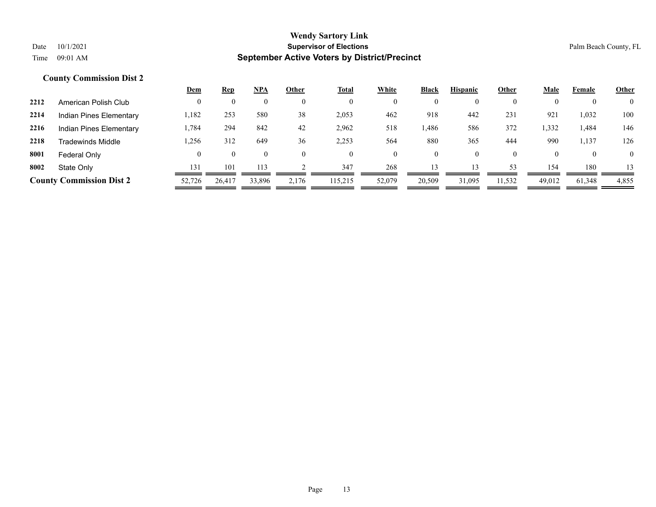|      |                                 | <u>Dem</u> | <u>Rep</u> | <b>NPA</b> | Other | <u>Total</u> | White  | <b>Black</b> | <b>Hispanic</b> | Other    | <b>Male</b>  | Female | <b>Other</b>   |
|------|---------------------------------|------------|------------|------------|-------|--------------|--------|--------------|-----------------|----------|--------------|--------|----------------|
| 2212 | American Polish Club            |            |            | $_{0}$     |       | $\theta$     |        | $\mathbf{0}$ | $\theta$        |          |              |        | $\overline{0}$ |
| 2214 | Indian Pines Elementary         | 1,182      | 253        | 580        | 38    | 2,053        | 462    | 918          | 442             | 231      | 921          | 1,032  | 100            |
| 2216 | Indian Pines Elementary         | .,784      | 294        | 842        | 42    | 2,962        | 518    | .486         | 586             | 372      | 1,332        | .484   | 146            |
| 2218 | Tradewinds Middle               | 1,256      | 312        | 649        | 36    | 2,253        | 564    | 880          | 365             | 444      | 990          | 1,137  | 126            |
| 8001 | Federal Only                    |            |            | $\theta$   |       | $\theta$     |        | $\mathbf{0}$ | $\mathbf{0}$    | $\theta$ | $\mathbf{U}$ |        | $\overline{0}$ |
| 8002 | State Only                      | 131        | 101        | 113        |       | 347          | 268    | 13           | 13              | 53       | 154          | 180    | 13             |
|      | <b>County Commission Dist 2</b> | 52,726     | 26,417     | 33,896     | 2,176 | 115,215      | 52,079 | 20,509       | 31,095          | 11,532   | 49,012       | 61,348 | 4,855          |
|      |                                 |            |            |            |       |              |        |              |                 |          |              |        |                |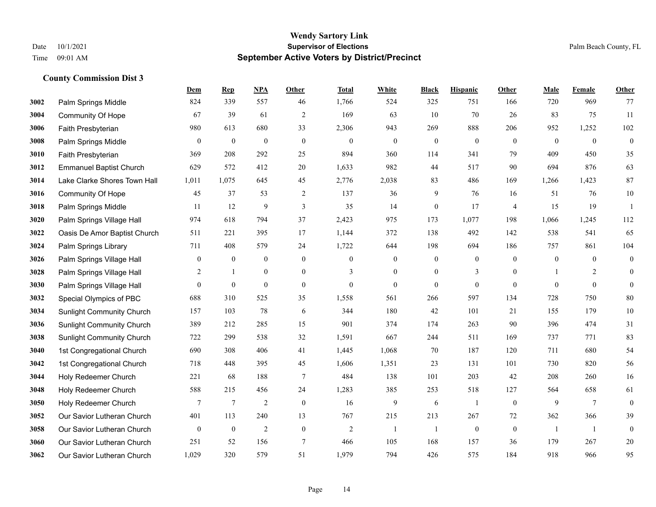|      |                                  | Dem              | <b>Rep</b>       | NPA              | <b>Other</b>     | <b>Total</b>   | <b>White</b>     | <b>Black</b>     | <b>Hispanic</b>  | <b>Other</b>   | <b>Male</b>    | Female          | Other            |
|------|----------------------------------|------------------|------------------|------------------|------------------|----------------|------------------|------------------|------------------|----------------|----------------|-----------------|------------------|
| 3002 | Palm Springs Middle              | 824              | 339              | 557              | 46               | 1,766          | 524              | 325              | 751              | 166            | 720            | 969             | 77               |
| 3004 | <b>Community Of Hope</b>         | 67               | 39               | 61               | $\overline{2}$   | 169            | 63               | 10               | 70               | 26             | 83             | 75              | 11               |
| 3006 | Faith Presbyterian               | 980              | 613              | 680              | 33               | 2,306          | 943              | 269              | 888              | 206            | 952            | 1,252           | 102              |
| 3008 | Palm Springs Middle              | $\boldsymbol{0}$ | $\boldsymbol{0}$ | $\boldsymbol{0}$ | $\boldsymbol{0}$ | $\mathbf{0}$   | $\boldsymbol{0}$ | $\boldsymbol{0}$ | $\boldsymbol{0}$ | $\mathbf{0}$   | $\mathbf{0}$   | $\mathbf{0}$    | $\boldsymbol{0}$ |
| 3010 | Faith Presbyterian               | 369              | 208              | 292              | 25               | 894            | 360              | 114              | 341              | 79             | 409            | 450             | 35               |
| 3012 | <b>Emmanuel Baptist Church</b>   | 629              | 572              | 412              | 20               | 1,633          | 982              | 44               | 517              | 90             | 694            | 876             | 63               |
| 3014 | Lake Clarke Shores Town Hall     | 1,011            | 1,075            | 645              | 45               | 2,776          | 2,038            | 83               | 486              | 169            | 1,266          | 1,423           | 87               |
| 3016 | <b>Community Of Hope</b>         | 45               | 37               | 53               | 2                | 137            | 36               | 9                | 76               | 16             | 51             | 76              | $10\,$           |
| 3018 | Palm Springs Middle              | 11               | 12               | 9                | $\overline{3}$   | 35             | 14               | $\boldsymbol{0}$ | 17               | $\overline{4}$ | 15             | 19              | $\overline{1}$   |
| 3020 | Palm Springs Village Hall        | 974              | 618              | 794              | 37               | 2,423          | 975              | 173              | 1,077            | 198            | 1,066          | 1,245           | 112              |
| 3022 | Oasis De Amor Baptist Church     | 511              | 221              | 395              | 17               | 1,144          | 372              | 138              | 492              | 142            | 538            | 541             | 65               |
| 3024 | Palm Springs Library             | 711              | 408              | 579              | 24               | 1,722          | 644              | 198              | 694              | 186            | 757            | 861             | 104              |
| 3026 | Palm Springs Village Hall        | $\boldsymbol{0}$ | $\boldsymbol{0}$ | $\boldsymbol{0}$ | $\mathbf{0}$     | $\mathbf{0}$   | $\mathbf{0}$     | $\boldsymbol{0}$ | $\boldsymbol{0}$ | $\theta$       | $\overline{0}$ | $\overline{0}$  | $\boldsymbol{0}$ |
| 3028 | Palm Springs Village Hall        | 2                | -1               | $\boldsymbol{0}$ | $\mathbf{0}$     | 3              | $\mathbf{0}$     | $\boldsymbol{0}$ | 3                | $\overline{0}$ |                | 2               | $\mathbf{0}$     |
| 3030 | Palm Springs Village Hall        | $\overline{0}$   | $\mathbf{0}$     | $\mathbf{0}$     | $\overline{0}$   | $\theta$       | $\mathbf{0}$     | $\mathbf{0}$     | $\mathbf{0}$     | $\theta$       | $\Omega$       | $\theta$        | $\mathbf{0}$     |
| 3032 | Special Olympics of PBC          | 688              | 310              | 525              | 35               | 1,558          | 561              | 266              | 597              | 134            | 728            | 750             | $80\,$           |
| 3034 | <b>Sunlight Community Church</b> | 157              | 103              | 78               | 6                | 344            | 180              | 42               | 101              | 21             | 155            | 179             | $10\,$           |
| 3036 | <b>Sunlight Community Church</b> | 389              | 212              | 285              | 15               | 901            | 374              | 174              | 263              | 90             | 396            | 474             | 31               |
| 3038 | <b>Sunlight Community Church</b> | 722              | 299              | 538              | 32               | 1,591          | 667              | 244              | 511              | 169            | 737            | 771             | 83               |
| 3040 | 1st Congregational Church        | 690              | 308              | 406              | 41               | 1,445          | 1,068            | 70               | 187              | 120            | 711            | 680             | 54               |
| 3042 | 1st Congregational Church        | 718              | 448              | 395              | 45               | 1,606          | 1,351            | 23               | 131              | 101            | 730            | 820             | 56               |
| 3044 | Holy Redeemer Church             | 221              | 68               | 188              | $\tau$           | 484            | 138              | 101              | 203              | 42             | 208            | 260             | 16               |
| 3048 | Holy Redeemer Church             | 588              | 215              | 456              | 24               | 1,283          | 385              | 253              | 518              | 127            | 564            | 658             | 61               |
| 3050 | Holy Redeemer Church             | $\tau$           | $\tau$           | $\overline{2}$   | $\mathbf{0}$     | 16             | 9                | 6                | $\mathbf{1}$     | $\mathbf{0}$   | 9              | $7\phantom{.0}$ | $\boldsymbol{0}$ |
| 3052 | Our Savior Lutheran Church       | 401              | 113              | 240              | 13               | 767            | 215              | 213              | 267              | 72             | 362            | 366             | 39               |
| 3058 | Our Savior Lutheran Church       | $\mathbf{0}$     | $\boldsymbol{0}$ | $\overline{2}$   | $\mathbf{0}$     | $\overline{c}$ | $\mathbf{1}$     | $\mathbf{1}$     | $\mathbf{0}$     | $\mathbf{0}$   | -1             | -1              | $\boldsymbol{0}$ |
| 3060 | Our Savior Lutheran Church       | 251              | 52               | 156              | 7                | 466            | 105              | 168              | 157              | 36             | 179            | 267             | $20\,$           |
| 3062 | Our Savior Lutheran Church       | 1,029            | 320              | 579              | 51               | 1,979          | 794              | 426              | 575              | 184            | 918            | 966             | 95               |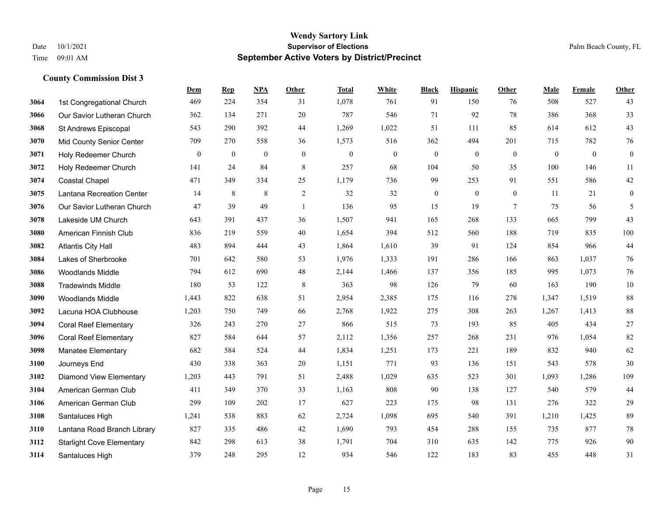|      |                                  | Dem          | <b>Rep</b>   | NPA            | <b>Other</b> | <b>Total</b> | <b>White</b>   | <b>Black</b> | <b>Hispanic</b> | <b>Other</b>    | <b>Male</b>  | Female   | <b>Other</b>     |
|------|----------------------------------|--------------|--------------|----------------|--------------|--------------|----------------|--------------|-----------------|-----------------|--------------|----------|------------------|
| 3064 | 1st Congregational Church        | 469          | 224          | 354            | 31           | 1,078        | 761            | 91           | 150             | 76              | 508          | 527      | 43               |
| 3066 | Our Savior Lutheran Church       | 362          | 134          | 271            | 20           | 787          | 546            | 71           | 92              | 78              | 386          | 368      | 33               |
| 3068 | St Andrews Episcopal             | 543          | 290          | 392            | 44           | 1,269        | 1,022          | 51           | 111             | 85              | 614          | 612      | 43               |
| 3070 | <b>Mid County Senior Center</b>  | 709          | 270          | 558            | 36           | 1,573        | 516            | 362          | 494             | 201             | 715          | 782      | 76               |
| 3071 | Holy Redeemer Church             | $\mathbf{0}$ | $\mathbf{0}$ | $\overline{0}$ | $\theta$     | $\theta$     | $\overline{0}$ | $\mathbf{0}$ | $\mathbf{0}$    | $\theta$        | $\mathbf{0}$ | $\theta$ | $\boldsymbol{0}$ |
| 3072 | Holy Redeemer Church             | 141          | 24           | 84             | 8            | 257          | 68             | 104          | 50              | 35              | 100          | 146      | 11               |
| 3074 | <b>Coastal Chapel</b>            | 471          | 349          | 334            | 25           | 1,179        | 736            | 99           | 253             | 91              | 551          | 586      | $42\,$           |
| 3075 | Lantana Recreation Center        | 14           | 8            | 8              | 2            | 32           | 32             | $\mathbf{0}$ | $\theta$        | $\theta$        | 11           | 21       | $\boldsymbol{0}$ |
| 3076 | Our Savior Lutheran Church       | 47           | 39           | 49             | $\mathbf{1}$ | 136          | 95             | 15           | 19              | $7\phantom{.0}$ | 75           | 56       | 5                |
| 3078 | Lakeside UM Church               | 643          | 391          | 437            | 36           | 1,507        | 941            | 165          | 268             | 133             | 665          | 799      | 43               |
| 3080 | American Finnish Club            | 836          | 219          | 559            | 40           | 1,654        | 394            | 512          | 560             | 188             | 719          | 835      | 100              |
| 3082 | <b>Atlantis City Hall</b>        | 483          | 894          | 444            | 43           | 1,864        | 1,610          | 39           | 91              | 124             | 854          | 966      | 44               |
| 3084 | Lakes of Sherbrooke              | 701          | 642          | 580            | 53           | 1,976        | 1,333          | 191          | 286             | 166             | 863          | 1,037    | 76               |
| 3086 | Woodlands Middle                 | 794          | 612          | 690            | 48           | 2,144        | 1,466          | 137          | 356             | 185             | 995          | 1,073    | $76\,$           |
| 3088 | <b>Tradewinds Middle</b>         | 180          | 53           | 122            | 8            | 363          | 98             | 126          | 79              | 60              | 163          | 190      | $10\,$           |
| 3090 | <b>Woodlands Middle</b>          | 1,443        | 822          | 638            | 51           | 2,954        | 2,385          | 175          | 116             | 278             | 1,347        | 1,519    | 88               |
| 3092 | Lacuna HOA Clubhouse             | 1,203        | 750          | 749            | 66           | 2,768        | 1,922          | 275          | 308             | 263             | 1,267        | 1,413    | $88\,$           |
| 3094 | <b>Coral Reef Elementary</b>     | 326          | 243          | 270            | 27           | 866          | 515            | 73           | 193             | 85              | 405          | 434      | $27\,$           |
| 3096 | <b>Coral Reef Elementary</b>     | 827          | 584          | 644            | 57           | 2,112        | 1,356          | 257          | 268             | 231             | 976          | 1,054    | 82               |
| 3098 | <b>Manatee Elementary</b>        | 682          | 584          | 524            | 44           | 1,834        | 1,251          | 173          | 221             | 189             | 832          | 940      | 62               |
| 3100 | Journeys End                     | 430          | 338          | 363            | 20           | 1,151        | 771            | 93           | 136             | 151             | 543          | 578      | 30               |
| 3102 | <b>Diamond View Elementary</b>   | 1,203        | 443          | 791            | 51           | 2,488        | 1,029          | 635          | 523             | 301             | 1,093        | 1,286    | 109              |
| 3104 | American German Club             | 411          | 349          | 370            | 33           | 1,163        | 808            | 90           | 138             | 127             | 540          | 579      | 44               |
| 3106 | American German Club             | 299          | 109          | 202            | 17           | 627          | 223            | 175          | 98              | 131             | 276          | 322      | 29               |
| 3108 | Santaluces High                  | 1,241        | 538          | 883            | 62           | 2,724        | 1,098          | 695          | 540             | 391             | 1,210        | 1.425    | 89               |
| 3110 | Lantana Road Branch Library      | 827          | 335          | 486            | 42           | 1,690        | 793            | 454          | 288             | 155             | 735          | 877      | $78\,$           |
| 3112 | <b>Starlight Cove Elementary</b> | 842          | 298          | 613            | 38           | 1,791        | 704            | 310          | 635             | 142             | 775          | 926      | $90\,$           |
| 3114 | Santaluces High                  | 379          | 248          | 295            | 12           | 934          | 546            | 122          | 183             | 83              | 455          | 448      | 31               |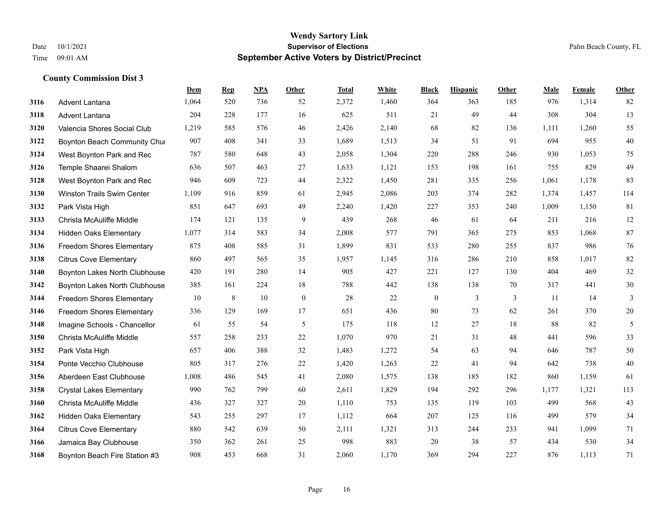|      |                                  | Dem   | <b>Rep</b> | NPA | <b>Other</b>     | <b>Total</b> | <b>White</b> | <b>Black</b>     | <b>Hispanic</b> | Other | <b>Male</b> | Female | <b>Other</b> |
|------|----------------------------------|-------|------------|-----|------------------|--------------|--------------|------------------|-----------------|-------|-------------|--------|--------------|
| 3116 | Advent Lantana                   | 1,064 | 520        | 736 | 52               | 2,372        | 1,460        | 364              | 363             | 185   | 976         | 1,314  | 82           |
| 3118 | Advent Lantana                   | 204   | 228        | 177 | 16               | 625          | 511          | 21               | 49              | 44    | 308         | 304    | 13           |
| 3120 | Valencia Shores Social Club      | 1,219 | 585        | 576 | 46               | 2,426        | 2,140        | 68               | 82              | 136   | 1,111       | 1,260  | 55           |
| 3122 | Boynton Beach Community Chui     | 907   | 408        | 341 | 33               | 1,689        | 1,513        | 34               | 51              | 91    | 694         | 955    | $40\,$       |
| 3124 | West Boynton Park and Rec        | 787   | 580        | 648 | 43               | 2,058        | 1,304        | 220              | 288             | 246   | 930         | 1.053  | 75           |
| 3126 | Temple Shaarei Shalom            | 636   | 507        | 463 | 27               | 1,633        | 1,121        | 153              | 198             | 161   | 755         | 829    | 49           |
| 3128 | West Boynton Park and Rec        | 946   | 609        | 723 | 44               | 2,322        | 1,450        | 281              | 335             | 256   | 1,061       | 1,178  | 83           |
| 3130 | Winston Trails Swim Center       | 1,109 | 916        | 859 | 61               | 2,945        | 2,086        | 203              | 374             | 282   | 1,374       | 1,457  | 114          |
| 3132 | Park Vista High                  | 851   | 647        | 693 | 49               | 2,240        | 1,420        | 227              | 353             | 240   | 1,009       | 1,150  | 81           |
| 3133 | Christa McAuliffe Middle         | 174   | 121        | 135 | 9                | 439          | 268          | 46               | 61              | 64    | 211         | 216    | 12           |
| 3134 | <b>Hidden Oaks Elementary</b>    | 1,077 | 314        | 583 | 34               | 2,008        | 577          | 791              | 365             | 275   | 853         | 1.068  | 87           |
| 3136 | Freedom Shores Elementary        | 875   | 408        | 585 | 31               | 1,899        | 831          | 533              | 280             | 255   | 837         | 986    | 76           |
| 3138 | <b>Citrus Cove Elementary</b>    | 860   | 497        | 565 | 35               | 1,957        | 1,145        | 316              | 286             | 210   | 858         | 1,017  | 82           |
| 3140 | Boynton Lakes North Clubhouse    | 420   | 191        | 280 | 14               | 905          | 427          | 221              | 127             | 130   | 404         | 469    | $32\,$       |
| 3142 | Boynton Lakes North Clubhouse    | 385   | 161        | 224 | 18               | 788          | 442          | 138              | 138             | 70    | 317         | 441    | 30           |
| 3144 | Freedom Shores Elementary        | 10    | 8          | 10  | $\boldsymbol{0}$ | 28           | 22           | $\boldsymbol{0}$ | $\mathfrak{Z}$  | 3     | 11          | 14     | 3            |
| 3146 | <b>Freedom Shores Elementary</b> | 336   | 129        | 169 | 17               | 651          | 436          | 80               | 73              | 62    | 261         | 370    | $20\,$       |
| 3148 | Imagine Schools - Chancellor     | 61    | 55         | 54  | 5                | 175          | 118          | 12               | 27              | 18    | 88          | 82     | 5            |
| 3150 | Christa McAuliffe Middle         | 557   | 258        | 233 | 22               | 1,070        | 970          | 21               | 31              | 48    | 441         | 596    | 33           |
| 3152 | Park Vista High                  | 657   | 406        | 388 | 32               | 1,483        | 1,272        | 54               | 63              | 94    | 646         | 787    | 50           |
| 3154 | Ponte Vecchio Clubhouse          | 805   | 317        | 276 | 22               | 1,420        | 1,263        | 22               | 41              | 94    | 642         | 738    | 40           |
| 3156 | Aberdeen East Clubhouse          | 1,008 | 486        | 545 | 41               | 2,080        | 1,575        | 138              | 185             | 182   | 860         | 1,159  | 61           |
| 3158 | <b>Crystal Lakes Elementary</b>  | 990   | 762        | 799 | 60               | 2,611        | 1,829        | 194              | 292             | 296   | 1,177       | 1,321  | 113          |
| 3160 | Christa McAuliffe Middle         | 436   | 327        | 327 | 20               | 1,110        | 753          | 135              | 119             | 103   | 499         | 568    | 43           |
| 3162 | <b>Hidden Oaks Elementary</b>    | 543   | 255        | 297 | 17               | 1.112        | 664          | 207              | 125             | 116   | 499         | 579    | 34           |
| 3164 | <b>Citrus Cove Elementary</b>    | 880   | 542        | 639 | 50               | 2,111        | 1,321        | 313              | 244             | 233   | 941         | 1,099  | 71           |
| 3166 | Jamaica Bay Clubhouse            | 350   | 362        | 261 | 25               | 998          | 883          | 20               | 38              | 57    | 434         | 530    | 34           |
| 3168 | Boynton Beach Fire Station #3    | 908   | 453        | 668 | 31               | 2,060        | 1,170        | 369              | 294             | 227   | 876         | 1,113  | 71           |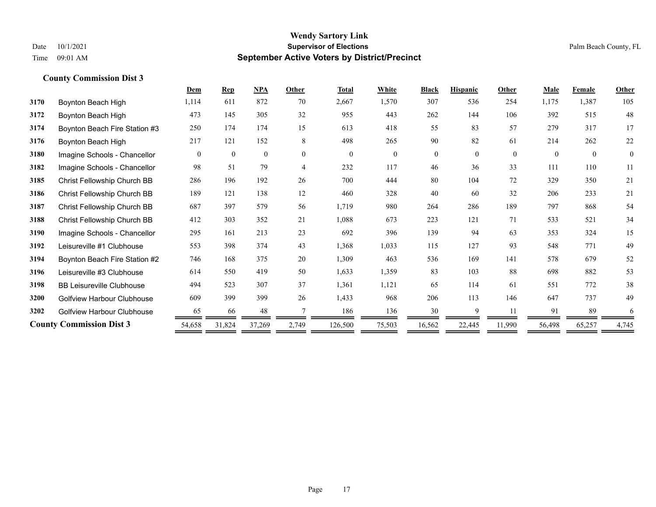|      |                                  | <b>Dem</b> | <b>Rep</b>   | <b>NPA</b>   | Other          | <b>Total</b> | White    | <b>Black</b> | <b>Hispanic</b> | Other    | <b>Male</b> | Female   | Other        |
|------|----------------------------------|------------|--------------|--------------|----------------|--------------|----------|--------------|-----------------|----------|-------------|----------|--------------|
| 3170 | Boynton Beach High               | 1,114      | 611          | 872          | 70             | 2,667        | 1,570    | 307          | 536             | 254      | 1,175       | 1,387    | 105          |
| 3172 | Boynton Beach High               | 473        | 145          | 305          | 32             | 955          | 443      | 262          | 144             | 106      | 392         | 515      | 48           |
| 3174 | Boynton Beach Fire Station #3    | 250        | 174          | 174          | 15             | 613          | 418      | 55           | 83              | 57       | 279         | 317      | 17           |
| 3176 | Boynton Beach High               | 217        | 121          | 152          | 8              | 498          | 265      | 90           | 82              | 61       | 214         | 262      | 22           |
| 3180 | Imagine Schools - Chancellor     | $\theta$   | $\mathbf{0}$ | $\mathbf{0}$ | $\theta$       | $\theta$     | $\Omega$ | $\Omega$     | $\theta$        | $\theta$ | $\Omega$    | $\theta$ | $\mathbf{0}$ |
| 3182 | Imagine Schools - Chancellor     | 98         | 51           | 79           | $\overline{4}$ | 232          | 117      | 46           | 36              | 33       | 111         | 110      | 11           |
| 3185 | Christ Fellowship Church BB      | 286        | 196          | 192          | 26             | 700          | 444      | 80           | 104             | 72       | 329         | 350      | 21           |
| 3186 | Christ Fellowship Church BB      | 189        | 121          | 138          | 12             | 460          | 328      | 40           | 60              | 32       | 206         | 233      | 21           |
| 3187 | Christ Fellowship Church BB      | 687        | 397          | 579          | 56             | 1,719        | 980      | 264          | 286             | 189      | 797         | 868      | 54           |
| 3188 | Christ Fellowship Church BB      | 412        | 303          | 352          | 21             | 1,088        | 673      | 223          | 121             | 71       | 533         | 521      | 34           |
| 3190 | Imagine Schools - Chancellor     | 295        | 161          | 213          | 23             | 692          | 396      | 139          | 94              | 63       | 353         | 324      | 15           |
| 3192 | Leisureville #1 Clubhouse        | 553        | 398          | 374          | 43             | 1,368        | 1,033    | 115          | 127             | 93       | 548         | 771      | 49           |
| 3194 | Boynton Beach Fire Station #2    | 746        | 168          | 375          | 20             | 1,309        | 463      | 536          | 169             | 141      | 578         | 679      | 52           |
| 3196 | Leisureville #3 Clubhouse        | 614        | 550          | 419          | 50             | 1,633        | 1,359    | 83           | 103             | 88       | 698         | 882      | 53           |
| 3198 | <b>BB Leisureville Clubhouse</b> | 494        | 523          | 307          | 37             | 1,361        | 1,121    | 65           | 114             | 61       | 551         | 772      | 38           |
| 3200 | Golfview Harbour Clubhouse       | 609        | 399          | 399          | 26             | 1,433        | 968      | 206          | 113             | 146      | 647         | 737      | 49           |
| 3202 | Golfview Harbour Clubhouse       | 65         | 66           | 48           |                | 186          | 136      | 30           | Q               | 11       | 91          | 89       | 6            |
|      | <b>County Commission Dist 3</b>  | 54,658     | 31,824       | 37,269       | 2,749          | 126,500      | 75,503   | 16,562       | 22,445          | 11,990   | 56,498      | 65,257   | 4,745        |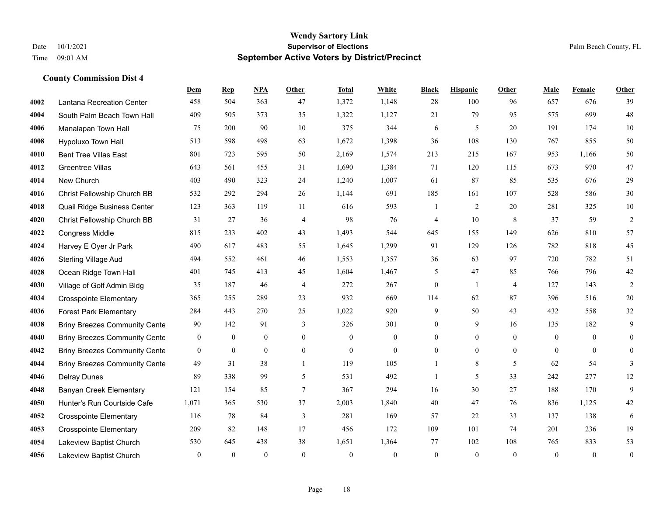|      |                                      | Dem              | <b>Rep</b>       | NPA              | <b>Other</b>   | <b>Total</b> | White          | <b>Black</b>             | <b>Hispanic</b>  | <b>Other</b>   | <b>Male</b>    | <b>Female</b>    | <b>Other</b>     |
|------|--------------------------------------|------------------|------------------|------------------|----------------|--------------|----------------|--------------------------|------------------|----------------|----------------|------------------|------------------|
| 4002 | Lantana Recreation Center            | 458              | 504              | 363              | 47             | 1,372        | 1,148          | 28                       | 100              | 96             | 657            | 676              | 39               |
| 4004 | South Palm Beach Town Hall           | 409              | 505              | 373              | 35             | 1,322        | 1,127          | 21                       | 79               | 95             | 575            | 699              | 48               |
| 4006 | Manalapan Town Hall                  | 75               | 200              | 90               | 10             | 375          | 344            | 6                        | 5                | 20             | 191            | 174              | 10               |
| 4008 | Hypoluxo Town Hall                   | 513              | 598              | 498              | 63             | 1,672        | 1,398          | 36                       | 108              | 130            | 767            | 855              | 50               |
| 4010 | <b>Bent Tree Villas East</b>         | 801              | 723              | 595              | 50             | 2,169        | 1,574          | 213                      | 215              | 167            | 953            | 1,166            | 50               |
| 4012 | <b>Greentree Villas</b>              | 643              | 561              | 455              | 31             | 1,690        | 1,384          | 71                       | 120              | 115            | 673            | 970              | 47               |
| 4014 | New Church                           | 403              | 490              | 323              | 24             | 1,240        | 1,007          | 61                       | 87               | 85             | 535            | 676              | 29               |
| 4016 | Christ Fellowship Church BB          | 532              | 292              | 294              | 26             | 1,144        | 691            | 185                      | 161              | 107            | 528            | 586              | 30               |
| 4018 | Quail Ridge Business Center          | 123              | 363              | 119              | 11             | 616          | 593            | 1                        | $\overline{2}$   | 20             | 281            | 325              | $10\,$           |
| 4020 | Christ Fellowship Church BB          | 31               | 27               | 36               | $\overline{4}$ | 98           | 76             | $\overline{\mathcal{A}}$ | 10               | 8              | 37             | 59               | $\sqrt{2}$       |
| 4022 | Congress Middle                      | 815              | 233              | 402              | 43             | 1,493        | 544            | 645                      | 155              | 149            | 626            | 810              | 57               |
| 4024 | Harvey E Oyer Jr Park                | 490              | 617              | 483              | 55             | 1,645        | 1,299          | 91                       | 129              | 126            | 782            | 818              | 45               |
| 4026 | <b>Sterling Village Aud</b>          | 494              | 552              | 461              | 46             | 1,553        | 1,357          | 36                       | 63               | 97             | 720            | 782              | 51               |
| 4028 | Ocean Ridge Town Hall                | 401              | 745              | 413              | 45             | 1,604        | 1,467          | 5                        | 47               | 85             | 766            | 796              | 42               |
| 4030 | Village of Golf Admin Bldg           | 35               | 187              | 46               | $\overline{4}$ | 272          | 267            | $\mathbf{0}$             | $\mathbf{1}$     | $\overline{4}$ | 127            | 143              | $\overline{c}$   |
| 4034 | <b>Crosspointe Elementary</b>        | 365              | 255              | 289              | 23             | 932          | 669            | 114                      | 62               | 87             | 396            | 516              | 20               |
| 4036 | <b>Forest Park Elementary</b>        | 284              | 443              | 270              | 25             | 1,022        | 920            | 9                        | 50               | 43             | 432            | 558              | 32               |
| 4038 | <b>Briny Breezes Community Cente</b> | 90               | 142              | 91               | 3              | 326          | 301            | $\boldsymbol{0}$         | 9                | 16             | 135            | 182              | 9                |
| 4040 | <b>Briny Breezes Community Cente</b> | $\boldsymbol{0}$ | $\boldsymbol{0}$ | $\boldsymbol{0}$ | $\mathbf{0}$   | $\mathbf{0}$ | $\mathbf{0}$   | $\boldsymbol{0}$         | $\boldsymbol{0}$ | $\overline{0}$ | $\overline{0}$ | $\boldsymbol{0}$ | $\overline{0}$   |
| 4042 | <b>Briny Breezes Community Cente</b> | $\overline{0}$   | $\mathbf{0}$     | $\mathbf{0}$     | $\overline{0}$ | $\mathbf{0}$ | $\mathbf{0}$   | $\mathbf{0}$             | $\overline{0}$   | $\overline{0}$ | $\overline{0}$ | $\mathbf{0}$     | $\boldsymbol{0}$ |
| 4044 | <b>Briny Breezes Community Cente</b> | 49               | 31               | 38               | $\mathbf{1}$   | 119          | 105            | 1                        | 8                | 5              | 62             | 54               | 3                |
| 4046 | <b>Delray Dunes</b>                  | 89               | 338              | 99               | 5              | 531          | 492            | $\mathbf{1}$             | 5                | 33             | 242            | 277              | 12               |
| 4048 | <b>Banyan Creek Elementary</b>       | 121              | 154              | 85               | $\overline{7}$ | 367          | 294            | 16                       | 30               | 27             | 188            | 170              | 9                |
| 4050 | Hunter's Run Courtside Cafe          | 1,071            | 365              | 530              | 37             | 2,003        | 1,840          | 40                       | 47               | 76             | 836            | 1,125            | $42\,$           |
| 4052 | <b>Crosspointe Elementary</b>        | 116              | 78               | 84               | 3              | 281          | 169            | 57                       | 22               | 33             | 137            | 138              | 6                |
| 4053 | <b>Crosspointe Elementary</b>        | 209              | 82               | 148              | 17             | 456          | 172            | 109                      | 101              | 74             | 201            | 236              | 19               |
| 4054 | Lakeview Baptist Church              | 530              | 645              | 438              | 38             | 1,651        | 1,364          | 77                       | 102              | 108            | 765            | 833              | 53               |
| 4056 | Lakeview Baptist Church              | $\mathbf{0}$     | $\mathbf{0}$     | $\mathbf{0}$     | $\theta$       | $\theta$     | $\overline{0}$ | $\boldsymbol{0}$         | $\mathbf{0}$     | $\theta$       | $\mathbf{0}$   | $\mathbf{0}$     | $\boldsymbol{0}$ |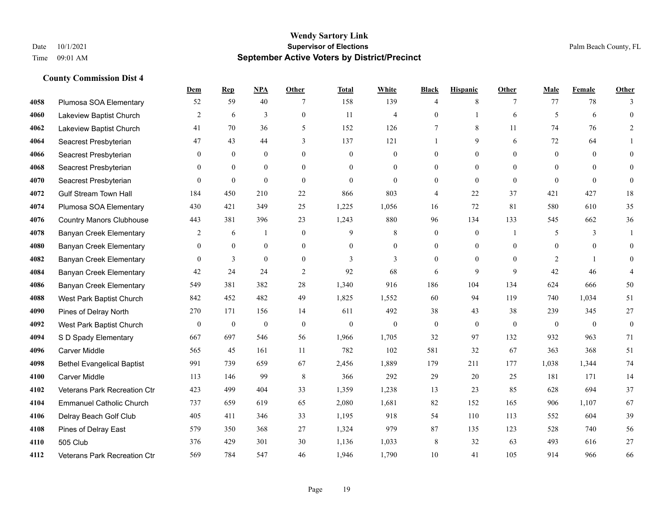|      |                                     | Dem            | <b>Rep</b>       | NPA              | <b>Other</b>   | <b>Total</b> | <b>White</b>     | <b>Black</b>     | <b>Hispanic</b> | <b>Other</b>   | <b>Male</b>    | <b>Female</b> | <b>Other</b>     |
|------|-------------------------------------|----------------|------------------|------------------|----------------|--------------|------------------|------------------|-----------------|----------------|----------------|---------------|------------------|
| 4058 | Plumosa SOA Elementary              | 52             | 59               | 40               | 7              | 158          | 139              | $\overline{4}$   | 8               | 7              | 77             | 78            | 3                |
| 4060 | Lakeview Baptist Church             | 2              | 6                | 3                | $\overline{0}$ | 11           | $\overline{4}$   | $\mathbf{0}$     | $\mathbf{1}$    | 6              | 5              | 6             | $\mathbf{0}$     |
| 4062 | Lakeview Baptist Church             | 41             | 70               | 36               | 5              | 152          | 126              | 7                | 8               | 11             | 74             | 76            | 2                |
| 4064 | Seacrest Presbyterian               | 47             | 43               | 44               | 3              | 137          | 121              |                  | 9               | 6              | 72             | 64            |                  |
| 4066 | Seacrest Presbyterian               | $\theta$       | $\theta$         | $\theta$         | $\Omega$       | $\theta$     | $\overline{0}$   | $\mathbf{0}$     | $\Omega$        | $\Omega$       | $\theta$       | $\Omega$      | $\theta$         |
| 4068 | Seacrest Presbyterian               | $\mathbf{0}$   | $\mathbf{0}$     | $\mathbf{0}$     | $\overline{0}$ | $\theta$     | $\boldsymbol{0}$ | $\mathbf{0}$     | $\mathbf{0}$    | $\theta$       | $\overline{0}$ | $\Omega$      | $\mathbf{0}$     |
| 4070 | Seacrest Presbyterian               | $\theta$       | $\mathbf{0}$     | $\mathbf{0}$     | $\overline{0}$ | $\theta$     | $\overline{0}$   | $\mathbf{0}$     | $\mathbf{0}$    | $\theta$       | $\theta$       | $\theta$      | $\mathbf{0}$     |
| 4072 | <b>Gulf Stream Town Hall</b>        | 184            | 450              | 210              | 22             | 866          | 803              | $\overline{4}$   | 22              | 37             | 421            | 427           | 18               |
| 4074 | Plumosa SOA Elementary              | 430            | 421              | 349              | 25             | 1,225        | 1,056            | 16               | 72              | 81             | 580            | 610           | 35               |
| 4076 | <b>Country Manors Clubhouse</b>     | 443            | 381              | 396              | 23             | 1,243        | 880              | 96               | 134             | 133            | 545            | 662           | 36               |
| 4078 | <b>Banyan Creek Elementary</b>      | 2              | 6                | $\mathbf{1}$     | $\Omega$       | 9            | 8                | $\mathbf{0}$     | $\mathbf{0}$    | $\overline{1}$ | 5              | 3             | 1                |
| 4080 | <b>Banyan Creek Elementary</b>      | $\mathbf{0}$   | $\mathbf{0}$     | $\mathbf{0}$     | $\overline{0}$ | $\theta$     | $\overline{0}$   | $\mathbf{0}$     | $\mathbf{0}$    | $\theta$       | $\overline{0}$ | $\theta$      | $\theta$         |
| 4082 | <b>Banyan Creek Elementary</b>      | $\theta$       | 3                | $\overline{0}$   | $\Omega$       | 3            | 3                | $\theta$         | $\Omega$        | $\Omega$       | 2              | $\mathbf{1}$  | $\Omega$         |
| 4084 | <b>Banyan Creek Elementary</b>      | 42             | 24               | 24               | $\mathfrak{2}$ | 92           | 68               | 6                | 9               | 9              | 42             | 46            | $\overline{4}$   |
| 4086 | <b>Banyan Creek Elementary</b>      | 549            | 381              | 382              | 28             | 1,340        | 916              | 186              | 104             | 134            | 624            | 666           | 50               |
| 4088 | West Park Baptist Church            | 842            | 452              | 482              | 49             | 1,825        | 1,552            | 60               | 94              | 119            | 740            | 1,034         | 51               |
| 4090 | Pines of Delray North               | 270            | 171              | 156              | 14             | 611          | 492              | 38               | 43              | 38             | 239            | 345           | 27               |
| 4092 | West Park Baptist Church            | $\overline{0}$ | $\boldsymbol{0}$ | $\boldsymbol{0}$ | $\theta$       | $\mathbf{0}$ | $\overline{0}$   | $\boldsymbol{0}$ | $\overline{0}$  | $\theta$       | $\mathbf{0}$   | $\theta$      | $\boldsymbol{0}$ |
| 4094 | S D Spady Elementary                | 667            | 697              | 546              | 56             | 1,966        | 1,705            | 32               | 97              | 132            | 932            | 963           | 71               |
| 4096 | <b>Carver Middle</b>                | 565            | 45               | 161              | 11             | 782          | 102              | 581              | 32              | 67             | 363            | 368           | 51               |
| 4098 | <b>Bethel Evangelical Baptist</b>   | 991            | 739              | 659              | 67             | 2,456        | 1,889            | 179              | 211             | 177            | 1,038          | 1,344         | 74               |
| 4100 | <b>Carver Middle</b>                | 113            | 146              | 99               | $\,8\,$        | 366          | 292              | 29               | 20              | 25             | 181            | 171           | 14               |
| 4102 | Veterans Park Recreation Ctr        | 423            | 499              | 404              | 33             | 1,359        | 1,238            | 13               | 23              | 85             | 628            | 694           | 37               |
| 4104 | <b>Emmanuel Catholic Church</b>     | 737            | 659              | 619              | 65             | 2,080        | 1,681            | 82               | 152             | 165            | 906            | 1,107         | 67               |
| 4106 | Delray Beach Golf Club              | 405            | 411              | 346              | 33             | 1,195        | 918              | 54               | 110             | 113            | 552            | 604           | 39               |
| 4108 | Pines of Delray East                | 579            | 350              | 368              | 27             | 1,324        | 979              | 87               | 135             | 123            | 528            | 740           | 56               |
| 4110 | 505 Club                            | 376            | 429              | 301              | 30             | 1,136        | 1,033            | 8                | 32              | 63             | 493            | 616           | $27\,$           |
| 4112 | <b>Veterans Park Recreation Ctr</b> | 569            | 784              | 547              | 46             | 1,946        | 1,790            | 10               | 41              | 105            | 914            | 966           | 66               |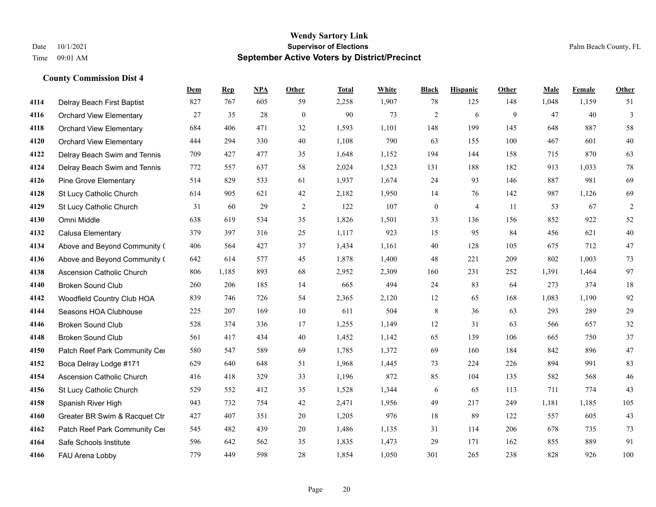|      |                                  | Dem | <b>Rep</b> | NPA | <b>Other</b>   | <b>Total</b> | <b>White</b> | <b>Black</b>     | <b>Hispanic</b> | <b>Other</b> | <b>Male</b> | <b>Female</b> | <b>Other</b>   |
|------|----------------------------------|-----|------------|-----|----------------|--------------|--------------|------------------|-----------------|--------------|-------------|---------------|----------------|
| 4114 | Delray Beach First Baptist       | 827 | 767        | 605 | 59             | 2,258        | 1,907        | 78               | 125             | 148          | 1,048       | 1,159         | 51             |
| 4116 | <b>Orchard View Elementary</b>   | 27  | 35         | 28  | $\mathbf{0}$   | 90           | 73           | $\overline{c}$   | 6               | 9            | 47          | 40            | $\mathfrak{Z}$ |
| 4118 | <b>Orchard View Elementary</b>   | 684 | 406        | 471 | 32             | 1,593        | 1,101        | 148              | 199             | 145          | 648         | 887           | 58             |
| 4120 | <b>Orchard View Elementary</b>   | 444 | 294        | 330 | 40             | 1,108        | 790          | 63               | 155             | 100          | 467         | 601           | $40\,$         |
| 4122 | Delray Beach Swim and Tennis     | 709 | 427        | 477 | 35             | 1,648        | 1,152        | 194              | 144             | 158          | 715         | 870           | 63             |
| 4124 | Delray Beach Swim and Tennis     | 772 | 557        | 637 | 58             | 2,024        | 1,523        | 131              | 188             | 182          | 913         | 1,033         | 78             |
| 4126 | <b>Pine Grove Elementary</b>     | 514 | 829        | 533 | 61             | 1,937        | 1,674        | 24               | 93              | 146          | 887         | 981           | 69             |
| 4128 | St Lucy Catholic Church          | 614 | 905        | 621 | 42             | 2,182        | 1,950        | 14               | 76              | 142          | 987         | 1,126         | 69             |
| 4129 | St Lucy Catholic Church          | 31  | 60         | 29  | $\overline{2}$ | 122          | 107          | $\boldsymbol{0}$ | $\overline{4}$  | 11           | 53          | 67            | $\sqrt{2}$     |
| 4130 | Omni Middle                      | 638 | 619        | 534 | 35             | 1,826        | 1,501        | 33               | 136             | 156          | 852         | 922           | 52             |
| 4132 | Calusa Elementary                | 379 | 397        | 316 | 25             | 1,117        | 923          | 15               | 95              | 84           | 456         | 621           | 40             |
| 4134 | Above and Beyond Community (     | 406 | 564        | 427 | 37             | 1,434        | 1,161        | 40               | 128             | 105          | 675         | 712           | 47             |
| 4136 | Above and Beyond Community (     | 642 | 614        | 577 | 45             | 1,878        | 1,400        | 48               | 221             | 209          | 802         | 1,003         | 73             |
| 4138 | <b>Ascension Catholic Church</b> | 806 | 1,185      | 893 | 68             | 2,952        | 2,309        | 160              | 231             | 252          | 1,391       | 1,464         | 97             |
| 4140 | <b>Broken Sound Club</b>         | 260 | 206        | 185 | 14             | 665          | 494          | 24               | 83              | 64           | 273         | 374           | 18             |
| 4142 | Woodfield Country Club HOA       | 839 | 746        | 726 | 54             | 2,365        | 2,120        | 12               | 65              | 168          | 1,083       | 1,190         | 92             |
| 4144 | Seasons HOA Clubhouse            | 225 | 207        | 169 | 10             | 611          | 504          | $\,$ 8 $\,$      | 36              | 63           | 293         | 289           | 29             |
| 4146 | <b>Broken Sound Club</b>         | 528 | 374        | 336 | 17             | 1,255        | 1,149        | 12               | 31              | 63           | 566         | 657           | 32             |
| 4148 | <b>Broken Sound Club</b>         | 561 | 417        | 434 | 40             | 1,452        | 1,142        | 65               | 139             | 106          | 665         | 750           | 37             |
| 4150 | Patch Reef Park Community Cer    | 580 | 547        | 589 | 69             | 1,785        | 1,372        | 69               | 160             | 184          | 842         | 896           | 47             |
| 4152 | Boca Delray Lodge #171           | 629 | 640        | 648 | 51             | 1,968        | 1,445        | 73               | 224             | 226          | 894         | 991           | 83             |
| 4154 | <b>Ascension Catholic Church</b> | 416 | 418        | 329 | 33             | 1,196        | 872          | 85               | 104             | 135          | 582         | 568           | 46             |
| 4156 | St Lucy Catholic Church          | 529 | 552        | 412 | 35             | 1,528        | 1,344        | 6                | 65              | 113          | 711         | 774           | 43             |
| 4158 | Spanish River High               | 943 | 732        | 754 | 42             | 2,471        | 1,956        | 49               | 217             | 249          | 1,181       | 1,185         | 105            |
| 4160 | Greater BR Swim & Racquet Ctr    | 427 | 407        | 351 | 20             | 1,205        | 976          | $18\,$           | 89              | 122          | 557         | 605           | $43\,$         |
| 4162 | Patch Reef Park Community Cer    | 545 | 482        | 439 | 20             | 1,486        | 1,135        | 31               | 114             | 206          | 678         | 735           | 73             |
| 4164 | Safe Schools Institute           | 596 | 642        | 562 | 35             | 1,835        | 1,473        | 29               | 171             | 162          | 855         | 889           | 91             |
| 4166 | FAU Arena Lobby                  | 779 | 449        | 598 | 28             | 1,854        | 1,050        | 301              | 265             | 238          | 828         | 926           | 100            |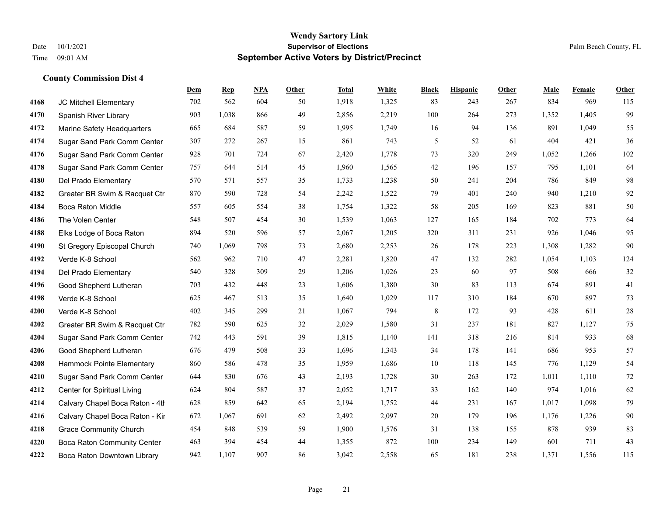|      |                                    | Dem | <b>Rep</b> | NPA | <b>Other</b> | <b>Total</b> | <b>White</b> | <b>Black</b> | <b>Hispanic</b> | <b>Other</b> | <b>Male</b> | <b>Female</b> | <b>Other</b> |
|------|------------------------------------|-----|------------|-----|--------------|--------------|--------------|--------------|-----------------|--------------|-------------|---------------|--------------|
| 4168 | JC Mitchell Elementary             | 702 | 562        | 604 | 50           | 1,918        | 1,325        | 83           | 243             | 267          | 834         | 969           | 115          |
| 4170 | Spanish River Library              | 903 | 1,038      | 866 | 49           | 2,856        | 2,219        | 100          | 264             | 273          | 1,352       | 1,405         | 99           |
| 4172 | Marine Safety Headquarters         | 665 | 684        | 587 | 59           | 1,995        | 1,749        | 16           | 94              | 136          | 891         | 1,049         | 55           |
| 4174 | Sugar Sand Park Comm Center        | 307 | 272        | 267 | 15           | 861          | 743          | 5            | 52              | 61           | 404         | 421           | 36           |
| 4176 | Sugar Sand Park Comm Center        | 928 | 701        | 724 | 67           | 2,420        | 1,778        | 73           | 320             | 249          | 1,052       | 1,266         | 102          |
| 4178 | Sugar Sand Park Comm Center        | 757 | 644        | 514 | 45           | 1,960        | 1,565        | 42           | 196             | 157          | 795         | 1,101         | 64           |
| 4180 | Del Prado Elementary               | 570 | 571        | 557 | 35           | 1,733        | 1,238        | 50           | 241             | 204          | 786         | 849           | 98           |
| 4182 | Greater BR Swim & Racquet Ctr      | 870 | 590        | 728 | 54           | 2,242        | 1,522        | 79           | 401             | 240          | 940         | 1,210         | 92           |
| 4184 | <b>Boca Raton Middle</b>           | 557 | 605        | 554 | 38           | 1,754        | 1,322        | 58           | 205             | 169          | 823         | 881           | 50           |
| 4186 | The Volen Center                   | 548 | 507        | 454 | 30           | 1,539        | 1,063        | 127          | 165             | 184          | 702         | 773           | 64           |
| 4188 | Elks Lodge of Boca Raton           | 894 | 520        | 596 | 57           | 2,067        | 1,205        | 320          | 311             | 231          | 926         | 1,046         | 95           |
| 4190 | St Gregory Episcopal Church        | 740 | 1,069      | 798 | 73           | 2,680        | 2,253        | 26           | 178             | 223          | 1,308       | 1,282         | 90           |
| 4192 | Verde K-8 School                   | 562 | 962        | 710 | 47           | 2,281        | 1,820        | 47           | 132             | 282          | 1,054       | 1,103         | 124          |
| 4194 | Del Prado Elementary               | 540 | 328        | 309 | 29           | 1,206        | 1,026        | 23           | 60              | 97           | 508         | 666           | $32\,$       |
| 4196 | Good Shepherd Lutheran             | 703 | 432        | 448 | 23           | 1,606        | 1,380        | 30           | 83              | 113          | 674         | 891           | 41           |
| 4198 | Verde K-8 School                   | 625 | 467        | 513 | 35           | 1,640        | 1,029        | 117          | 310             | 184          | 670         | 897           | 73           |
| 4200 | Verde K-8 School                   | 402 | 345        | 299 | 21           | 1,067        | 794          | 8            | 172             | 93           | 428         | 611           | $28\,$       |
| 4202 | Greater BR Swim & Racquet Ctr      | 782 | 590        | 625 | 32           | 2,029        | 1,580        | 31           | 237             | 181          | 827         | 1,127         | $75\,$       |
| 4204 | Sugar Sand Park Comm Center        | 742 | 443        | 591 | 39           | 1,815        | 1,140        | 141          | 318             | 216          | 814         | 933           | 68           |
| 4206 | Good Shepherd Lutheran             | 676 | 479        | 508 | 33           | 1,696        | 1,343        | 34           | 178             | 141          | 686         | 953           | 57           |
| 4208 | Hammock Pointe Elementary          | 860 | 586        | 478 | 35           | 1,959        | 1,686        | 10           | 118             | 145          | 776         | 1,129         | 54           |
| 4210 | Sugar Sand Park Comm Center        | 644 | 830        | 676 | 43           | 2,193        | 1,728        | 30           | 263             | 172          | 1,011       | 1,110         | $72\,$       |
| 4212 | Center for Spiritual Living        | 624 | 804        | 587 | 37           | 2,052        | 1,717        | 33           | 162             | 140          | 974         | 1,016         | 62           |
| 4214 | Calvary Chapel Boca Raton - 4th    | 628 | 859        | 642 | 65           | 2,194        | 1,752        | 44           | 231             | 167          | 1,017       | 1,098         | 79           |
| 4216 | Calvary Chapel Boca Raton - Kir    | 672 | 1,067      | 691 | 62           | 2,492        | 2,097        | $20\,$       | 179             | 196          | 1,176       | 1,226         | $90\,$       |
| 4218 | <b>Grace Community Church</b>      | 454 | 848        | 539 | 59           | 1,900        | 1,576        | 31           | 138             | 155          | 878         | 939           | 83           |
| 4220 | <b>Boca Raton Community Center</b> | 463 | 394        | 454 | 44           | 1,355        | 872          | 100          | 234             | 149          | 601         | 711           | 43           |
| 4222 | Boca Raton Downtown Library        | 942 | 1,107      | 907 | 86           | 3,042        | 2,558        | 65           | 181             | 238          | 1,371       | 1,556         | 115          |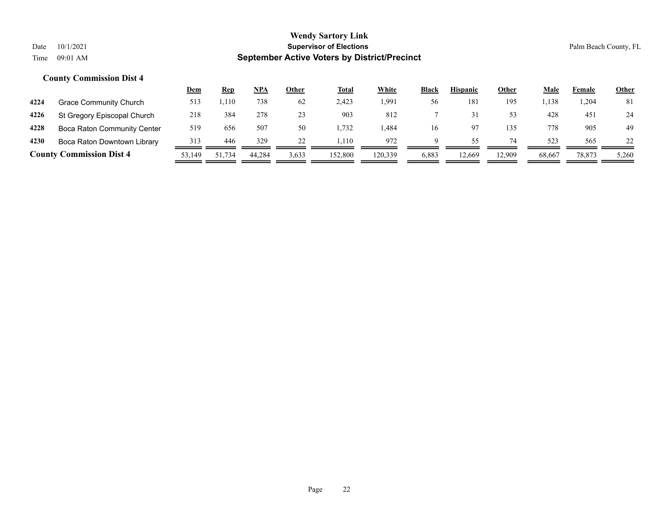|      |                                 | <u>Dem</u> | <b>Rep</b> | NPA    | Other | <b>Total</b> | <b>White</b> | <b>Black</b> | <b>Hispanic</b> | Other  | Male   | Female | <u>Other</u> |
|------|---------------------------------|------------|------------|--------|-------|--------------|--------------|--------------|-----------------|--------|--------|--------|--------------|
| 4224 | Grace Community Church          | 513        | .,110      | 738    | 62    | 2.423        | 1,991        | 56           | 181             | 195    | 1,138  | .204   | 81           |
| 4226 | St Gregory Episcopal Church     | 218        | 384        | 278    | 23    | 903          | 812          |              |                 | 53     | 428    | 451    | 24           |
| 4228 | Boca Raton Community Center     | 519        | 656        | 507    | 50    | .732         | .484         | 16           |                 | 135    | 778    | 905    | 49           |
| 4230 | Boca Raton Downtown Library     | 313        | 446        | 329    |       | .110         | 972          | Q            | 55.             | 74     | 523    | 565    |              |
|      | <b>County Commission Dist 4</b> | 53,149     | 51.734     | 44.284 | 3,633 | 152,800      | 120,339      | 6,883        | 12,669          | 12.909 | 68,667 | 78,873 | 5,260        |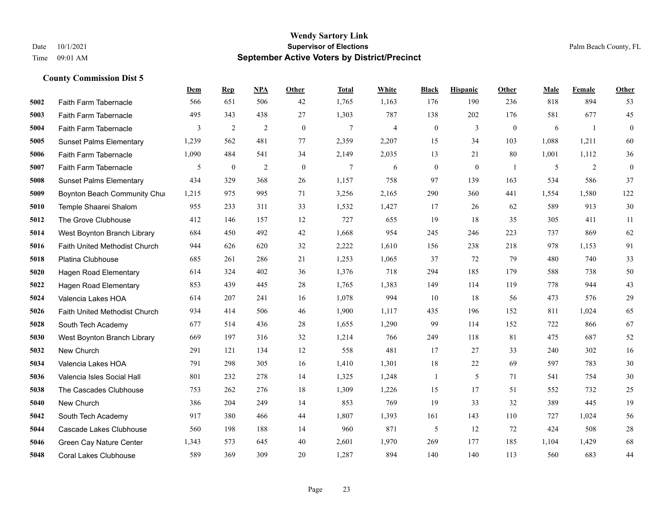|      |                                | Dem   | <b>Rep</b>     | NPA            | <b>Other</b> | <b>Total</b>   | White | <b>Black</b>     | <b>Hispanic</b>  | Other          | <b>Male</b> | Female | Other            |
|------|--------------------------------|-------|----------------|----------------|--------------|----------------|-------|------------------|------------------|----------------|-------------|--------|------------------|
| 5002 | Faith Farm Tabernacle          | 566   | 651            | 506            | 42           | 1,765          | 1,163 | 176              | 190              | 236            | 818         | 894    | 53               |
| 5003 | Faith Farm Tabernacle          | 495   | 343            | 438            | 27           | 1,303          | 787   | 138              | 202              | 176            | 581         | 677    | 45               |
| 5004 | Faith Farm Tabernacle          | 3     | $\overline{c}$ | $\overline{2}$ | $\mathbf{0}$ | $\overline{7}$ | 4     | $\boldsymbol{0}$ | 3                | $\overline{0}$ | 6           | -1     | $\mathbf{0}$     |
| 5005 | <b>Sunset Palms Elementary</b> | 1,239 | 562            | 481            | 77           | 2,359          | 2,207 | 15               | 34               | 103            | 1,088       | 1,211  | 60               |
| 5006 | Faith Farm Tabernacle          | 1,090 | 484            | 541            | 34           | 2,149          | 2,035 | 13               | 21               | 80             | 1,001       | 1,112  | 36               |
| 5007 | Faith Farm Tabernacle          | 5     | $\bf{0}$       | 2              | $\mathbf{0}$ | 7              | 6     | $\boldsymbol{0}$ | $\boldsymbol{0}$ | -1             | 5           | 2      | $\boldsymbol{0}$ |
| 5008 | <b>Sunset Palms Elementary</b> | 434   | 329            | 368            | 26           | 1,157          | 758   | 97               | 139              | 163            | 534         | 586    | 37               |
| 5009 | Boynton Beach Community Chur   | 1,215 | 975            | 995            | 71           | 3,256          | 2,165 | 290              | 360              | 441            | 1,554       | 1,580  | 122              |
| 5010 | Temple Shaarei Shalom          | 955   | 233            | 311            | 33           | 1,532          | 1,427 | 17               | 26               | 62             | 589         | 913    | 30               |
| 5012 | The Grove Clubhouse            | 412   | 146            | 157            | 12           | 727            | 655   | 19               | 18               | 35             | 305         | 411    | 11               |
| 5014 | West Boynton Branch Library    | 684   | 450            | 492            | 42           | 1,668          | 954   | 245              | 246              | 223            | 737         | 869    | 62               |
| 5016 | Faith United Methodist Church  | 944   | 626            | 620            | 32           | 2,222          | 1,610 | 156              | 238              | 218            | 978         | 1,153  | 91               |
| 5018 | Platina Clubhouse              | 685   | 261            | 286            | 21           | 1,253          | 1,065 | 37               | 72               | 79             | 480         | 740    | 33               |
| 5020 | Hagen Road Elementary          | 614   | 324            | 402            | 36           | 1,376          | 718   | 294              | 185              | 179            | 588         | 738    | 50               |
| 5022 | Hagen Road Elementary          | 853   | 439            | 445            | 28           | 1,765          | 1,383 | 149              | 114              | 119            | 778         | 944    | 43               |
| 5024 | Valencia Lakes HOA             | 614   | 207            | 241            | 16           | 1,078          | 994   | 10               | 18               | 56             | 473         | 576    | 29               |
| 5026 | Faith United Methodist Church  | 934   | 414            | 506            | 46           | 1,900          | 1,117 | 435              | 196              | 152            | 811         | 1,024  | 65               |
| 5028 | South Tech Academy             | 677   | 514            | 436            | 28           | 1,655          | 1,290 | 99               | 114              | 152            | 722         | 866    | 67               |
| 5030 | West Boynton Branch Library    | 669   | 197            | 316            | 32           | 1,214          | 766   | 249              | 118              | 81             | 475         | 687    | 52               |
| 5032 | New Church                     | 291   | 121            | 134            | 12           | 558            | 481   | 17               | 27               | 33             | 240         | 302    | 16               |
| 5034 | Valencia Lakes HOA             | 791   | 298            | 305            | 16           | 1,410          | 1,301 | 18               | 22               | 69             | 597         | 783    | 30               |
| 5036 | Valencia Isles Social Hall     | 801   | 232            | 278            | 14           | 1,325          | 1,248 |                  | 5                | 71             | 541         | 754    | $30\,$           |
| 5038 | The Cascades Clubhouse         | 753   | 262            | 276            | 18           | 1,309          | 1,226 | 15               | 17               | 51             | 552         | 732    | 25               |
| 5040 | New Church                     | 386   | 204            | 249            | 14           | 853            | 769   | 19               | 33               | 32             | 389         | 445    | 19               |
| 5042 | South Tech Academy             | 917   | 380            | 466            | 44           | 1,807          | 1,393 | 161              | 143              | 110            | 727         | 1.024  | 56               |
| 5044 | Cascade Lakes Clubhouse        | 560   | 198            | 188            | 14           | 960            | 871   | 5                | 12               | 72             | 424         | 508    | $28\,$           |
| 5046 | Green Cay Nature Center        | 1,343 | 573            | 645            | 40           | 2,601          | 1,970 | 269              | 177              | 185            | 1,104       | 1,429  | 68               |
| 5048 | <b>Coral Lakes Clubhouse</b>   | 589   | 369            | 309            | 20           | 1,287          | 894   | 140              | 140              | 113            | 560         | 683    | 44               |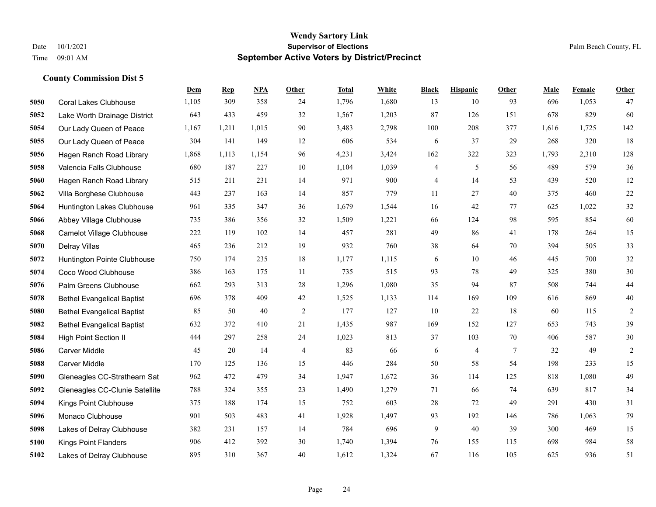|      |                                   | Dem   | <b>Rep</b> | NPA   | <b>Other</b> | <b>Total</b> | <b>White</b> | <b>Black</b> | <b>Hispanic</b> | <b>Other</b>    | <b>Male</b> | Female | Other          |
|------|-----------------------------------|-------|------------|-------|--------------|--------------|--------------|--------------|-----------------|-----------------|-------------|--------|----------------|
| 5050 | <b>Coral Lakes Clubhouse</b>      | 1,105 | 309        | 358   | 24           | 1,796        | 1,680        | 13           | 10              | 93              | 696         | 1,053  | 47             |
| 5052 | Lake Worth Drainage District      | 643   | 433        | 459   | 32           | 1,567        | 1,203        | 87           | 126             | 151             | 678         | 829    | 60             |
| 5054 | Our Lady Queen of Peace           | 1,167 | 1,211      | 1,015 | 90           | 3,483        | 2,798        | 100          | 208             | 377             | 1,616       | 1,725  | 142            |
| 5055 | Our Lady Queen of Peace           | 304   | 141        | 149   | 12           | 606          | 534          | 6            | 37              | 29              | 268         | 320    | 18             |
| 5056 | Hagen Ranch Road Library          | 1,868 | 1,113      | 1,154 | 96           | 4,231        | 3,424        | 162          | 322             | 323             | 1,793       | 2,310  | 128            |
| 5058 | Valencia Falls Clubhouse          | 680   | 187        | 227   | 10           | 1,104        | 1,039        | 4            | 5               | 56              | 489         | 579    | $36\,$         |
| 5060 | Hagen Ranch Road Library          | 515   | 211        | 231   | 14           | 971          | 900          | 4            | 14              | 53              | 439         | 520    | 12             |
| 5062 | Villa Borghese Clubhouse          | 443   | 237        | 163   | 14           | 857          | 779          | 11           | 27              | 40              | 375         | 460    | 22             |
| 5064 | Huntington Lakes Clubhouse        | 961   | 335        | 347   | 36           | 1,679        | 1,544        | 16           | 42              | 77              | 625         | 1,022  | 32             |
| 5066 | Abbey Village Clubhouse           | 735   | 386        | 356   | 32           | 1,509        | 1,221        | 66           | 124             | 98              | 595         | 854    | 60             |
| 5068 | <b>Camelot Village Clubhouse</b>  | 222   | 119        | 102   | 14           | 457          | 281          | 49           | 86              | 41              | 178         | 264    | 15             |
| 5070 | Delray Villas                     | 465   | 236        | 212   | 19           | 932          | 760          | 38           | 64              | 70              | 394         | 505    | 33             |
| 5072 | Huntington Pointe Clubhouse       | 750   | 174        | 235   | 18           | 1,177        | 1,115        | 6            | 10              | 46              | 445         | 700    | $32\,$         |
| 5074 | Coco Wood Clubhouse               | 386   | 163        | 175   | 11           | 735          | 515          | 93           | 78              | 49              | 325         | 380    | $30\,$         |
| 5076 | Palm Greens Clubhouse             | 662   | 293        | 313   | 28           | 1,296        | 1,080        | 35           | 94              | 87              | 508         | 744    | 44             |
| 5078 | <b>Bethel Evangelical Baptist</b> | 696   | 378        | 409   | 42           | 1,525        | 1,133        | 114          | 169             | 109             | 616         | 869    | 40             |
| 5080 | <b>Bethel Evangelical Baptist</b> | 85    | 50         | 40    | 2            | 177          | 127          | 10           | 22              | 18              | 60          | 115    | $\overline{c}$ |
| 5082 | <b>Bethel Evangelical Baptist</b> | 632   | 372        | 410   | 21           | 1,435        | 987          | 169          | 152             | 127             | 653         | 743    | 39             |
| 5084 | <b>High Point Section II</b>      | 444   | 297        | 258   | 24           | 1,023        | 813          | 37           | 103             | $70\,$          | 406         | 587    | $30\,$         |
| 5086 | Carver Middle                     | 45    | 20         | 14    | 4            | 83           | 66           | 6            | $\overline{4}$  | $7\phantom{.0}$ | 32          | 49     | $\overline{2}$ |
| 5088 | <b>Carver Middle</b>              | 170   | 125        | 136   | 15           | 446          | 284          | 50           | 58              | 54              | 198         | 233    | 15             |
| 5090 | Gleneagles CC-Strathearn Sat      | 962   | 472        | 479   | 34           | 1,947        | 1,672        | 36           | 114             | 125             | 818         | 1,080  | 49             |
| 5092 | Gleneagles CC-Clunie Satellite    | 788   | 324        | 355   | 23           | 1,490        | 1,279        | 71           | 66              | 74              | 639         | 817    | 34             |
| 5094 | Kings Point Clubhouse             | 375   | 188        | 174   | 15           | 752          | 603          | 28           | 72              | 49              | 291         | 430    | 31             |
| 5096 | Monaco Clubhouse                  | 901   | 503        | 483   | 41           | 1,928        | 1,497        | 93           | 192             | 146             | 786         | 1,063  | 79             |
| 5098 | Lakes of Delray Clubhouse         | 382   | 231        | 157   | 14           | 784          | 696          | 9            | 40              | 39              | 300         | 469    | 15             |
| 5100 | <b>Kings Point Flanders</b>       | 906   | 412        | 392   | 30           | 1,740        | 1,394        | 76           | 155             | 115             | 698         | 984    | 58             |
| 5102 | Lakes of Delray Clubhouse         | 895   | 310        | 367   | 40           | 1,612        | 1,324        | 67           | 116             | 105             | 625         | 936    | 51             |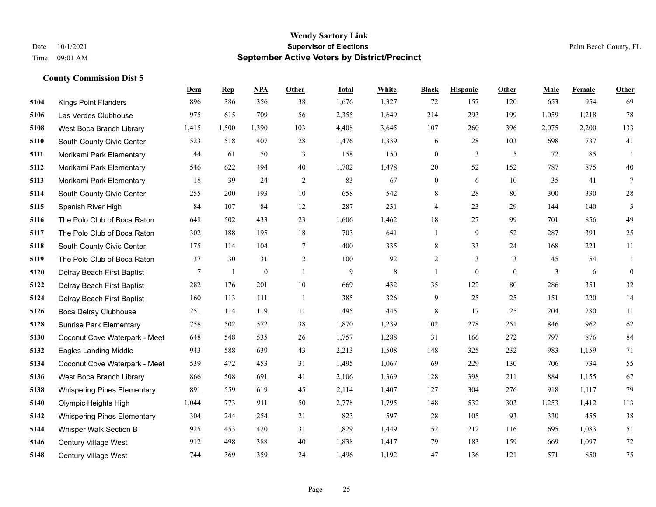|      |                                    | Dem   | <b>Rep</b>   | NPA              | <b>Other</b>   | <b>Total</b> | <b>White</b> | <b>Black</b> | <b>Hispanic</b> | <b>Other</b>   | <b>Male</b>    | Female | <b>Other</b>     |
|------|------------------------------------|-------|--------------|------------------|----------------|--------------|--------------|--------------|-----------------|----------------|----------------|--------|------------------|
| 5104 | <b>Kings Point Flanders</b>        | 896   | 386          | 356              | 38             | 1,676        | 1,327        | 72           | 157             | 120            | 653            | 954    | 69               |
| 5106 | Las Verdes Clubhouse               | 975   | 615          | 709              | 56             | 2,355        | 1,649        | 214          | 293             | 199            | 1,059          | 1,218  | 78               |
| 5108 | West Boca Branch Library           | 1,415 | 1,500        | 1,390            | 103            | 4,408        | 3,645        | 107          | 260             | 396            | 2,075          | 2,200  | 133              |
| 5110 | South County Civic Center          | 523   | 518          | 407              | 28             | 1,476        | 1,339        | 6            | 28              | 103            | 698            | 737    | 41               |
| 5111 | Morikami Park Elementary           | 44    | 61           | 50               | 3              | 158          | 150          | $\mathbf{0}$ | 3               | 5              | 72             | 85     | $\mathbf{1}$     |
| 5112 | Morikami Park Elementary           | 546   | 622          | 494              | 40             | 1,702        | 1,478        | 20           | 52              | 152            | 787            | 875    | 40               |
| 5113 | Morikami Park Elementary           | 18    | 39           | 24               | $\overline{2}$ | 83           | 67           | $\mathbf{0}$ | 6               | 10             | 35             | 41     | $\tau$           |
| 5114 | South County Civic Center          | 255   | 200          | 193              | 10             | 658          | 542          | 8            | 28              | 80             | 300            | 330    | $28\,$           |
| 5115 | Spanish River High                 | 84    | 107          | 84               | 12             | 287          | 231          | 4            | 23              | 29             | 144            | 140    | 3                |
| 5116 | The Polo Club of Boca Raton        | 648   | 502          | 433              | 23             | 1,606        | 1,462        | 18           | 27              | 99             | 701            | 856    | 49               |
| 5117 | The Polo Club of Boca Raton        | 302   | 188          | 195              | 18             | 703          | 641          | $\mathbf{1}$ | 9               | 52             | 287            | 391    | 25               |
| 5118 | South County Civic Center          | 175   | 114          | 104              | 7              | 400          | 335          | 8            | 33              | 24             | 168            | 221    | 11               |
| 5119 | The Polo Club of Boca Raton        | 37    | 30           | 31               | $\overline{2}$ | 100          | 92           | 2            | 3               | 3              | 45             | 54     | 1                |
| 5120 | Delray Beach First Baptist         | 7     | $\mathbf{1}$ | $\boldsymbol{0}$ | $\mathbf{1}$   | 9            | $\,$ 8 $\,$  | $\mathbf{1}$ | $\mathbf{0}$    | $\overline{0}$ | $\mathfrak{Z}$ | 6      | $\boldsymbol{0}$ |
| 5122 | Delray Beach First Baptist         | 282   | 176          | 201              | 10             | 669          | 432          | 35           | 122             | 80             | 286            | 351    | 32               |
| 5124 | Delray Beach First Baptist         | 160   | 113          | 111              | $\overline{1}$ | 385          | 326          | 9            | 25              | 25             | 151            | 220    | 14               |
| 5126 | Boca Delray Clubhouse              | 251   | 114          | 119              | 11             | 495          | 445          | $\,$ 8 $\,$  | 17              | 25             | 204            | 280    | 11               |
| 5128 | <b>Sunrise Park Elementary</b>     | 758   | 502          | 572              | 38             | 1,870        | 1,239        | 102          | 278             | 251            | 846            | 962    | 62               |
| 5130 | Coconut Cove Waterpark - Meet      | 648   | 548          | 535              | 26             | 1,757        | 1,288        | 31           | 166             | 272            | 797            | 876    | 84               |
| 5132 | Eagles Landing Middle              | 943   | 588          | 639              | 43             | 2,213        | 1,508        | 148          | 325             | 232            | 983            | 1,159  | 71               |
| 5134 | Coconut Cove Waterpark - Meet      | 539   | 472          | 453              | 31             | 1,495        | 1,067        | 69           | 229             | 130            | 706            | 734    | 55               |
| 5136 | West Boca Branch Library           | 866   | 508          | 691              | 41             | 2,106        | 1,369        | 128          | 398             | 211            | 884            | 1,155  | 67               |
| 5138 | <b>Whispering Pines Elementary</b> | 891   | 559          | 619              | 45             | 2,114        | 1,407        | 127          | 304             | 276            | 918            | 1,117  | 79               |
| 5140 | Olympic Heights High               | 1,044 | 773          | 911              | 50             | 2,778        | 1,795        | 148          | 532             | 303            | 1,253          | 1,412  | 113              |
| 5142 | <b>Whispering Pines Elementary</b> | 304   | 244          | 254              | 21             | 823          | 597          | 28           | 105             | 93             | 330            | 455    | 38               |
| 5144 | Whisper Walk Section B             | 925   | 453          | 420              | 31             | 1,829        | 1,449        | 52           | 212             | 116            | 695            | 1,083  | 51               |
| 5146 | <b>Century Village West</b>        | 912   | 498          | 388              | 40             | 1,838        | 1,417        | 79           | 183             | 159            | 669            | 1,097  | 72               |
| 5148 | Century Village West               | 744   | 369          | 359              | 24             | 1,496        | 1,192        | 47           | 136             | 121            | 571            | 850    | 75               |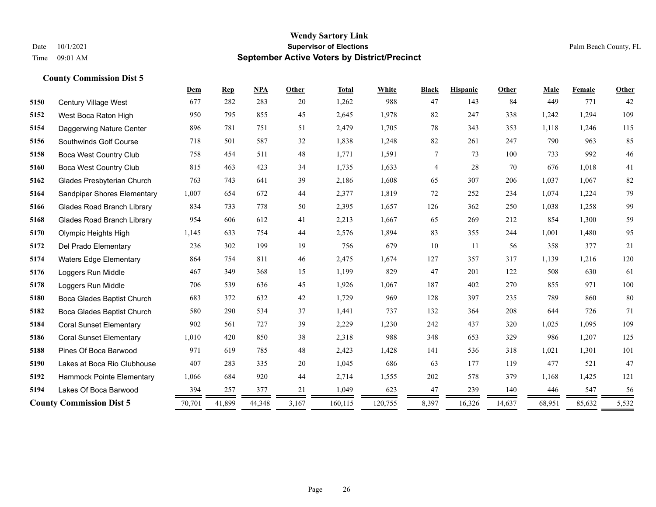|      |                                   | Dem    | <b>Rep</b> | NPA    | Other | <b>Total</b> | White   | <b>Black</b> | <b>Hispanic</b> | Other  | Male   | Female | Other |
|------|-----------------------------------|--------|------------|--------|-------|--------------|---------|--------------|-----------------|--------|--------|--------|-------|
| 5150 | <b>Century Village West</b>       | 677    | 282        | 283    | 20    | 1,262        | 988     | 47           | 143             | 84     | 449    | 771    | 42    |
| 5152 | West Boca Raton High              | 950    | 795        | 855    | 45    | 2,645        | 1,978   | 82           | 247             | 338    | 1,242  | 1,294  | 109   |
| 5154 | Daggerwing Nature Center          | 896    | 781        | 751    | 51    | 2,479        | 1,705   | 78           | 343             | 353    | 1,118  | 1,246  | 115   |
| 5156 | Southwinds Golf Course            | 718    | 501        | 587    | 32    | 1,838        | 1,248   | 82           | 261             | 247    | 790    | 963    | 85    |
| 5158 | Boca West Country Club            | 758    | 454        | 511    | 48    | 1,771        | 1,591   | $\tau$       | 73              | 100    | 733    | 992    | 46    |
| 5160 | Boca West Country Club            | 815    | 463        | 423    | 34    | 1,735        | 1,633   | 4            | 28              | 70     | 676    | 1,018  | 41    |
| 5162 | Glades Presbyterian Church        | 763    | 743        | 641    | 39    | 2,186        | 1,608   | 65           | 307             | 206    | 1,037  | 1,067  | 82    |
| 5164 | Sandpiper Shores Elementary       | 1,007  | 654        | 672    | 44    | 2,377        | 1,819   | 72           | 252             | 234    | 1.074  | 1,224  | 79    |
| 5166 | <b>Glades Road Branch Library</b> | 834    | 733        | 778    | 50    | 2,395        | 1,657   | 126          | 362             | 250    | 1,038  | 1,258  | 99    |
| 5168 | <b>Glades Road Branch Library</b> | 954    | 606        | 612    | 41    | 2,213        | 1,667   | 65           | 269             | 212    | 854    | 1,300  | 59    |
| 5170 | Olympic Heights High              | 1,145  | 633        | 754    | 44    | 2,576        | 1,894   | 83           | 355             | 244    | 1,001  | 1,480  | 95    |
| 5172 | Del Prado Elementary              | 236    | 302        | 199    | 19    | 756          | 679     | 10           | 11              | 56     | 358    | 377    | 21    |
| 5174 | <b>Waters Edge Elementary</b>     | 864    | 754        | 811    | 46    | 2,475        | 1,674   | 127          | 357             | 317    | 1,139  | 1,216  | 120   |
| 5176 | Loggers Run Middle                | 467    | 349        | 368    | 15    | 1,199        | 829     | 47           | 201             | 122    | 508    | 630    | 61    |
| 5178 | Loggers Run Middle                | 706    | 539        | 636    | 45    | 1,926        | 1,067   | 187          | 402             | 270    | 855    | 971    | 100   |
| 5180 | Boca Glades Baptist Church        | 683    | 372        | 632    | 42    | 1,729        | 969     | 128          | 397             | 235    | 789    | 860    | 80    |
| 5182 | Boca Glades Baptist Church        | 580    | 290        | 534    | 37    | 1,441        | 737     | 132          | 364             | 208    | 644    | 726    | 71    |
| 5184 | <b>Coral Sunset Elementary</b>    | 902    | 561        | 727    | 39    | 2,229        | 1,230   | 242          | 437             | 320    | 1,025  | 1,095  | 109   |
| 5186 | <b>Coral Sunset Elementary</b>    | 1,010  | 420        | 850    | 38    | 2,318        | 988     | 348          | 653             | 329    | 986    | 1,207  | 125   |
| 5188 | Pines Of Boca Barwood             | 971    | 619        | 785    | 48    | 2,423        | 1,428   | 141          | 536             | 318    | 1,021  | 1,301  | 101   |
| 5190 | Lakes at Boca Rio Clubhouse       | 407    | 283        | 335    | 20    | 1,045        | 686     | 63           | 177             | 119    | 477    | 521    | 47    |
| 5192 | Hammock Pointe Elementary         | 1,066  | 684        | 920    | 44    | 2,714        | 1,555   | 202          | 578             | 379    | 1,168  | 1,425  | 121   |
| 5194 | Lakes Of Boca Barwood             | 394    | 257        | 377    | 21    | 1,049        | 623     | 47           | 239             | 140    | 446    | 547    | 56    |
|      | <b>County Commission Dist 5</b>   | 70,701 | 41,899     | 44,348 | 3,167 | 160,115      | 120,755 | 8,397        | 16,326          | 14,637 | 68,951 | 85,632 | 5,532 |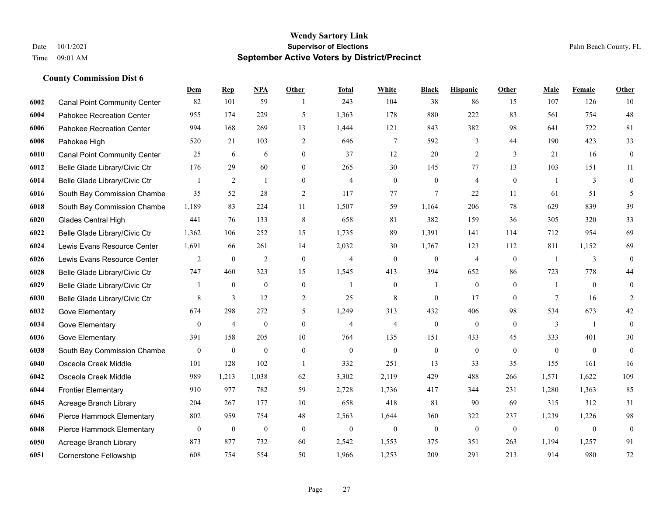|      |                                     | <b>Dem</b>       | <b>Rep</b>     | NPA              | <b>Other</b>     | Total          | <b>White</b>     | <b>Black</b>     | <b>Hispanic</b> | <b>Other</b> | <b>Male</b>    | Female         | <b>Other</b>     |
|------|-------------------------------------|------------------|----------------|------------------|------------------|----------------|------------------|------------------|-----------------|--------------|----------------|----------------|------------------|
| 6002 | <b>Canal Point Community Center</b> | 82               | 101            | 59               | -1               | 243            | 104              | 38               | 86              | 15           | 107            | 126            | 10               |
| 6004 | Pahokee Recreation Center           | 955              | 174            | 229              | 5                | 1,363          | 178              | 880              | 222             | 83           | 561            | 754            | 48               |
| 6006 | Pahokee Recreation Center           | 994              | 168            | 269              | 13               | 1,444          | 121              | 843              | 382             | 98           | 641            | 722            | 81               |
| 6008 | Pahokee High                        | 520              | 21             | 103              | $\overline{2}$   | 646            | $\tau$           | 592              | 3               | 44           | 190            | 423            | 33               |
| 6010 | <b>Canal Point Community Center</b> | 25               | 6              | 6                | $\overline{0}$   | 37             | 12               | 20               | 2               | 3            | 21             | 16             | $\boldsymbol{0}$ |
| 6012 | Belle Glade Library/Civic Ctr       | 176              | 29             | 60               | $\mathbf{0}$     | 265            | 30               | 145              | 77              | 13           | 103            | 151            | 11               |
| 6014 | Belle Glade Library/Civic Ctr       | 1                | 2              | $\mathbf{1}$     | $\mathbf{0}$     | $\overline{4}$ | $\mathbf{0}$     | $\boldsymbol{0}$ | $\overline{4}$  | $\mathbf{0}$ |                | 3              | $\boldsymbol{0}$ |
| 6016 | South Bay Commission Chambe         | 35               | 52             | 28               | 2                | 117            | 77               | $\tau$           | 22              | 11           | 61             | 51             | 5                |
| 6018 | South Bay Commission Chambe         | 1,189            | 83             | 224              | 11               | 1,507          | 59               | 1,164            | 206             | 78           | 629            | 839            | 39               |
| 6020 | <b>Glades Central High</b>          | 441              | 76             | 133              | 8                | 658            | 81               | 382              | 159             | 36           | 305            | 320            | 33               |
| 6022 | Belle Glade Library/Civic Ctr       | 1,362            | 106            | 252              | 15               | 1,735          | 89               | 1,391            | 141             | 114          | 712            | 954            | 69               |
| 6024 | Lewis Evans Resource Center         | 1,691            | 66             | 261              | 14               | 2,032          | 30               | 1,767            | 123             | 112          | 811            | 1,152          | 69               |
| 6026 | Lewis Evans Resource Center         | $\overline{2}$   | $\overline{0}$ | $\overline{2}$   | $\mathbf{0}$     | $\overline{4}$ | $\mathbf{0}$     | $\mathbf{0}$     | $\overline{4}$  | $\theta$     | $\overline{1}$ | 3              | $\mathbf{0}$     |
| 6028 | Belle Glade Library/Civic Ctr       | 747              | 460            | 323              | 15               | 1,545          | 413              | 394              | 652             | 86           | 723            | 778            | 44               |
| 6029 | Belle Glade Library/Civic Ctr       |                  | $\mathbf{0}$   | $\mathbf{0}$     | $\boldsymbol{0}$ |                | $\overline{0}$   |                  | $\mathbf{0}$    | $\theta$     |                | $\theta$       | $\mathbf{0}$     |
| 6030 | Belle Glade Library/Civic Ctr       | 8                | 3              | 12               | $\overline{2}$   | 25             | 8                | $\mathbf{0}$     | 17              | $\Omega$     | 7              | 16             | 2                |
| 6032 | Gove Elementary                     | 674              | 298            | 272              | 5                | 1,249          | 313              | 432              | 406             | 98           | 534            | 673            | 42               |
| 6034 | Gove Elementary                     | $\overline{0}$   | $\overline{4}$ | $\boldsymbol{0}$ | $\mathbf{0}$     | $\overline{4}$ | $\overline{4}$   | $\boldsymbol{0}$ | $\mathbf{0}$    | $\theta$     | 3              | $\overline{1}$ | $\mathbf{0}$     |
| 6036 | Gove Elementary                     | 391              | 158            | 205              | 10               | 764            | 135              | 151              | 433             | 45           | 333            | 401            | 30               |
| 6038 | South Bay Commission Chambe         | $\bf{0}$         | $\mathbf{0}$   | $\boldsymbol{0}$ | $\boldsymbol{0}$ | $\mathbf{0}$   | $\mathbf{0}$     | $\boldsymbol{0}$ | $\mathbf{0}$    | $\mathbf{0}$ | $\mathbf{0}$   | $\mathbf{0}$   | $\boldsymbol{0}$ |
| 6040 | Osceola Creek Middle                | 101              | 128            | 102              | $\mathbf{1}$     | 332            | 251              | 13               | 33              | 35           | 155            | 161            | 16               |
| 6042 | Osceola Creek Middle                | 989              | 1,213          | 1,038            | 62               | 3,302          | 2,119            | 429              | 488             | 266          | 1,571          | 1,622          | 109              |
| 6044 | <b>Frontier Elementary</b>          | 910              | 977            | 782              | 59               | 2,728          | 1,736            | 417              | 344             | 231          | 1,280          | 1,363          | 85               |
| 6045 | Acreage Branch Library              | 204              | 267            | 177              | 10               | 658            | 418              | 81               | 90              | 69           | 315            | 312            | 31               |
| 6046 | Pierce Hammock Elementary           | 802              | 959            | 754              | 48               | 2,563          | 1,644            | 360              | 322             | 237          | 1,239          | 1,226          | 98               |
| 6048 | Pierce Hammock Elementary           | $\boldsymbol{0}$ | $\mathbf{0}$   | $\boldsymbol{0}$ | $\mathbf{0}$     | $\theta$       | $\boldsymbol{0}$ | $\boldsymbol{0}$ | $\mathbf{0}$    | $\theta$     | $\mathbf{0}$   | $\mathbf{0}$   | $\boldsymbol{0}$ |
| 6050 | Acreage Branch Library              | 873              | 877            | 732              | 60               | 2,542          | 1,553            | 375              | 351             | 263          | 1,194          | 1,257          | 91               |
| 6051 | <b>Cornerstone Fellowship</b>       | 608              | 754            | 554              | 50               | 1,966          | 1,253            | 209              | 291             | 213          | 914            | 980            | 72               |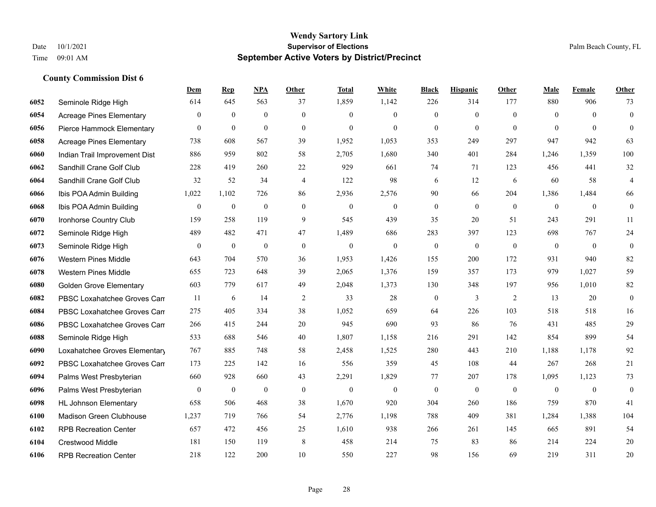|      |                                 | Dem              | <b>Rep</b>       | NPA              | <b>Other</b>     | <b>Total</b>     | <b>White</b>     | <b>Black</b>     | <b>Hispanic</b>  | <b>Other</b> | <b>Male</b>      | Female       | <b>Other</b>     |
|------|---------------------------------|------------------|------------------|------------------|------------------|------------------|------------------|------------------|------------------|--------------|------------------|--------------|------------------|
| 6052 | Seminole Ridge High             | 614              | 645              | 563              | 37               | 1,859            | 1,142            | 226              | 314              | 177          | 880              | 906          | 73               |
| 6054 | <b>Acreage Pines Elementary</b> | $\overline{0}$   | $\theta$         | $\overline{0}$   | $\mathbf{0}$     | $\theta$         | $\mathbf{0}$     | $\mathbf{0}$     | $\overline{0}$   | $\theta$     | $\theta$         | $\Omega$     | $\boldsymbol{0}$ |
| 6056 | Pierce Hammock Elementary       | $\overline{0}$   | $\mathbf{0}$     | $\mathbf{0}$     | $\theta$         | $\theta$         | $\theta$         | $\theta$         | $\overline{0}$   | $\Omega$     | $\Omega$         | $\Omega$     | $\theta$         |
| 6058 | <b>Acreage Pines Elementary</b> | 738              | 608              | 567              | 39               | 1,952            | 1,053            | 353              | 249              | 297          | 947              | 942          | 63               |
| 6060 | Indian Trail Improvement Dist   | 886              | 959              | 802              | 58               | 2,705            | 1,680            | 340              | 401              | 284          | 1,246            | 1,359        | 100              |
| 6062 | Sandhill Crane Golf Club        | 228              | 419              | 260              | 22               | 929              | 661              | 74               | 71               | 123          | 456              | 441          | 32               |
| 6064 | Sandhill Crane Golf Club        | 32               | 52               | 34               | $\overline{4}$   | 122              | 98               | 6                | 12               | 6            | 60               | 58           | $\overline{4}$   |
| 6066 | Ibis POA Admin Building         | 1,022            | 1,102            | 726              | 86               | 2,936            | 2,576            | 90               | 66               | 204          | 1,386            | 1,484        | 66               |
| 6068 | Ibis POA Admin Building         | $\boldsymbol{0}$ | $\mathbf{0}$     | $\mathbf{0}$     | $\boldsymbol{0}$ | $\mathbf{0}$     | $\boldsymbol{0}$ | $\mathbf{0}$     | $\mathbf{0}$     | $\mathbf{0}$ | $\mathbf{0}$     | $\mathbf{0}$ | $\mathbf{0}$     |
| 6070 | Ironhorse Country Club          | 159              | 258              | 119              | 9                | 545              | 439              | 35               | 20               | 51           | 243              | 291          | 11               |
| 6072 | Seminole Ridge High             | 489              | 482              | 471              | 47               | 1,489            | 686              | 283              | 397              | 123          | 698              | 767          | 24               |
| 6073 | Seminole Ridge High             | $\boldsymbol{0}$ | $\boldsymbol{0}$ | $\boldsymbol{0}$ | $\boldsymbol{0}$ | $\boldsymbol{0}$ | $\boldsymbol{0}$ | $\boldsymbol{0}$ | $\boldsymbol{0}$ | $\mathbf{0}$ | $\boldsymbol{0}$ | $\mathbf{0}$ | $\boldsymbol{0}$ |
| 6076 | <b>Western Pines Middle</b>     | 643              | 704              | 570              | 36               | 1,953            | 1,426            | 155              | 200              | 172          | 931              | 940          | 82               |
| 6078 | <b>Western Pines Middle</b>     | 655              | 723              | 648              | 39               | 2,065            | 1,376            | 159              | 357              | 173          | 979              | 1,027        | 59               |
| 6080 | <b>Golden Grove Elementary</b>  | 603              | 779              | 617              | 49               | 2,048            | 1,373            | 130              | 348              | 197          | 956              | 1,010        | 82               |
| 6082 | PBSC Loxahatchee Groves Can     | 11               | 6                | 14               | $\overline{c}$   | 33               | 28               | $\boldsymbol{0}$ | 3                | 2            | 13               | 20           | $\boldsymbol{0}$ |
| 6084 | PBSC Loxahatchee Groves Can     | 275              | 405              | 334              | 38               | 1,052            | 659              | 64               | 226              | 103          | 518              | 518          | 16               |
| 6086 | PBSC Loxahatchee Groves Can     | 266              | 415              | 244              | 20               | 945              | 690              | 93               | 86               | 76           | 431              | 485          | 29               |
| 6088 | Seminole Ridge High             | 533              | 688              | 546              | 40               | 1,807            | 1,158            | 216              | 291              | 142          | 854              | 899          | 54               |
| 6090 | Loxahatchee Groves Elementary   | 767              | 885              | 748              | 58               | 2,458            | 1,525            | 280              | 443              | 210          | 1,188            | 1.178        | 92               |
| 6092 | PBSC Loxahatchee Groves Can     | 173              | 225              | 142              | 16               | 556              | 359              | 45               | 108              | 44           | 267              | 268          | 21               |
| 6094 | Palms West Presbyterian         | 660              | 928              | 660              | 43               | 2,291            | 1,829            | 77               | 207              | 178          | 1,095            | 1,123        | 73               |
| 6096 | Palms West Presbyterian         | $\overline{0}$   | $\mathbf{0}$     | $\mathbf{0}$     | $\mathbf{0}$     | $\mathbf{0}$     | $\mathbf{0}$     | $\boldsymbol{0}$ | $\mathbf{0}$     | $\theta$     | $\overline{0}$   | $\theta$     | $\boldsymbol{0}$ |
| 6098 | <b>HL Johnson Elementary</b>    | 658              | 506              | 468              | 38               | 1,670            | 920              | 304              | 260              | 186          | 759              | 870          | 41               |
| 6100 | <b>Madison Green Clubhouse</b>  | 1,237            | 719              | 766              | 54               | 2,776            | 1,198            | 788              | 409              | 381          | 1,284            | 1,388        | 104              |
| 6102 | <b>RPB Recreation Center</b>    | 657              | 472              | 456              | 25               | 1,610            | 938              | 266              | 261              | 145          | 665              | 891          | 54               |
| 6104 | Crestwood Middle                | 181              | 150              | 119              | 8                | 458              | 214              | 75               | 83               | 86           | 214              | 224          | 20               |
| 6106 | <b>RPB Recreation Center</b>    | 218              | 122              | 200              | 10               | 550              | 227              | 98               | 156              | 69           | 219              | 311          | 20               |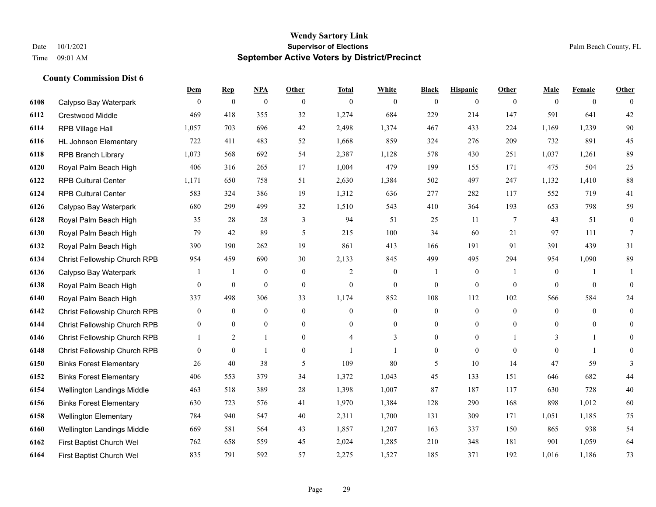|      |                                | Dem              | <b>Rep</b>       | NPA              | <b>Other</b>   | <b>Total</b>   | <b>White</b>     | <b>Black</b>     | <b>Hispanic</b>  | <b>Other</b> | <b>Male</b>      | <b>Female</b>  | <b>Other</b>     |
|------|--------------------------------|------------------|------------------|------------------|----------------|----------------|------------------|------------------|------------------|--------------|------------------|----------------|------------------|
| 6108 | Calypso Bay Waterpark          | $\mathbf{0}$     | $\boldsymbol{0}$ | $\boldsymbol{0}$ | $\theta$       | $\mathbf{0}$   | $\overline{0}$   | $\overline{0}$   | $\overline{0}$   | $\theta$     | $\theta$         | $\overline{0}$ | $\Omega$         |
| 6112 | <b>Crestwood Middle</b>        | 469              | 418              | 355              | 32             | 1,274          | 684              | 229              | 214              | 147          | 591              | 641            | 42               |
| 6114 | RPB Village Hall               | 1,057            | 703              | 696              | 42             | 2,498          | 1,374            | 467              | 433              | 224          | 1,169            | 1,239          | 90               |
| 6116 | <b>HL Johnson Elementary</b>   | 722              | 411              | 483              | 52             | 1,668          | 859              | 324              | 276              | 209          | 732              | 891            | 45               |
| 6118 | <b>RPB Branch Library</b>      | 1,073            | 568              | 692              | 54             | 2,387          | 1,128            | 578              | 430              | 251          | 1,037            | 1,261          | 89               |
| 6120 | Royal Palm Beach High          | 406              | 316              | 265              | 17             | 1,004          | 479              | 199              | 155              | 171          | 475              | 504            | $25\,$           |
| 6122 | <b>RPB Cultural Center</b>     | 1,171            | 650              | 758              | 51             | 2,630          | 1,384            | 502              | 497              | 247          | 1,132            | 1,410          | 88               |
| 6124 | <b>RPB Cultural Center</b>     | 583              | 324              | 386              | 19             | 1,312          | 636              | 277              | 282              | 117          | 552              | 719            | 41               |
| 6126 | Calypso Bay Waterpark          | 680              | 299              | 499              | 32             | 1,510          | 543              | 410              | 364              | 193          | 653              | 798            | 59               |
| 6128 | Royal Palm Beach High          | 35               | 28               | 28               | 3              | 94             | 51               | 25               | 11               | 7            | 43               | 51             | $\boldsymbol{0}$ |
| 6130 | Royal Palm Beach High          | 79               | 42               | 89               | 5              | 215            | 100              | 34               | 60               | 21           | 97               | 111            | $\tau$           |
| 6132 | Royal Palm Beach High          | 390              | 190              | 262              | 19             | 861            | 413              | 166              | 191              | 91           | 391              | 439            | 31               |
| 6134 | Christ Fellowship Church RPB   | 954              | 459              | 690              | 30             | 2,133          | 845              | 499              | 495              | 294          | 954              | 1,090          | 89               |
| 6136 | Calypso Bay Waterpark          |                  | -1               | $\boldsymbol{0}$ | $\mathbf{0}$   | 2              | $\boldsymbol{0}$ |                  | $\boldsymbol{0}$ | -1           | $\boldsymbol{0}$ |                |                  |
| 6138 | Royal Palm Beach High          | $\overline{0}$   | $\mathbf{0}$     | $\mathbf{0}$     | $\mathbf{0}$   | $\mathbf{0}$   | $\mathbf{0}$     | $\overline{0}$   | $\overline{0}$   | $\theta$     | $\theta$         | $\theta$       | $\mathbf{0}$     |
| 6140 | Royal Palm Beach High          | 337              | 498              | 306              | 33             | 1,174          | 852              | 108              | 112              | 102          | 566              | 584            | 24               |
| 6142 | Christ Fellowship Church RPB   | $\boldsymbol{0}$ | $\boldsymbol{0}$ | $\mathbf{0}$     | $\mathbf{0}$   | $\mathbf{0}$   | $\boldsymbol{0}$ | $\boldsymbol{0}$ | $\overline{0}$   | $\mathbf{0}$ | $\overline{0}$   | $\theta$       | $\overline{0}$   |
| 6144 | Christ Fellowship Church RPB   | $\theta$         | $\mathbf{0}$     | $\mathbf{0}$     | $\theta$       | $\Omega$       | $\overline{0}$   | $\overline{0}$   | $\overline{0}$   | $\theta$     | $\theta$         | $\theta$       | $\overline{0}$   |
| 6146 | Christ Fellowship Church RPB   |                  | $\overline{2}$   |                  | $\overline{0}$ | $\overline{4}$ | 3                | $\boldsymbol{0}$ | $\boldsymbol{0}$ |              | 3                |                | $\overline{0}$   |
| 6148 | Christ Fellowship Church RPB   | $\overline{0}$   | $\mathbf{0}$     | $\overline{1}$   | $\overline{0}$ | 1              | 1                | $\overline{0}$   | $\overline{0}$   | $\theta$     | $\theta$         | $\overline{1}$ | $\overline{0}$   |
| 6150 | <b>Binks Forest Elementary</b> | 26               | 40               | 38               | 5              | 109            | 80               | 5                | 10               | 14           | 47               | 59             | 3                |
| 6152 | <b>Binks Forest Elementary</b> | 406              | 553              | 379              | 34             | 1,372          | 1,043            | 45               | 133              | 151          | 646              | 682            | $44\,$           |
| 6154 | Wellington Landings Middle     | 463              | 518              | 389              | 28             | 1,398          | 1,007            | 87               | 187              | 117          | 630              | 728            | 40               |
| 6156 | <b>Binks Forest Elementary</b> | 630              | 723              | 576              | 41             | 1,970          | 1,384            | 128              | 290              | 168          | 898              | 1,012          | 60               |
| 6158 | <b>Wellington Elementary</b>   | 784              | 940              | 547              | 40             | 2,311          | 1,700            | 131              | 309              | 171          | 1,051            | 1,185          | 75               |
| 6160 | Wellington Landings Middle     | 669              | 581              | 564              | 43             | 1,857          | 1,207            | 163              | 337              | 150          | 865              | 938            | 54               |
| 6162 | First Baptist Church Wel       | 762              | 658              | 559              | 45             | 2,024          | 1,285            | 210              | 348              | 181          | 901              | 1,059          | 64               |
| 6164 | First Baptist Church Wel       | 835              | 791              | 592              | 57             | 2,275          | 1,527            | 185              | 371              | 192          | 1,016            | 1,186          | 73               |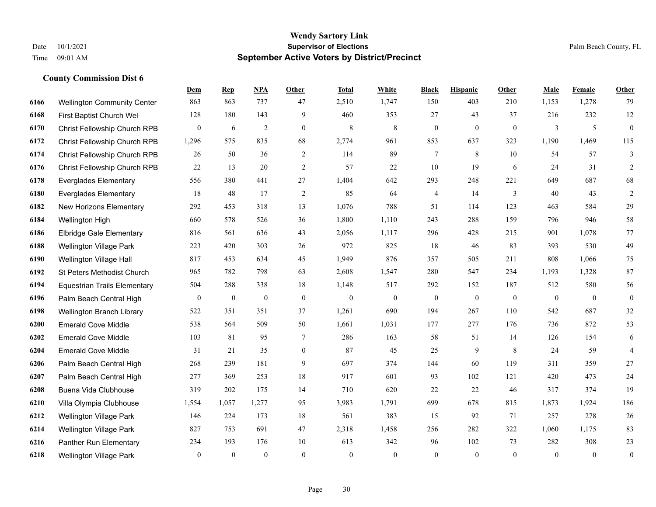|      |                                     | <b>Dem</b>       | <b>Rep</b>     | NPA            | <b>Other</b>   | <b>Total</b> | <b>White</b>     | <b>Black</b>     | <b>Hispanic</b> | <b>Other</b> | <b>Male</b>    | <b>Female</b>  | Other            |
|------|-------------------------------------|------------------|----------------|----------------|----------------|--------------|------------------|------------------|-----------------|--------------|----------------|----------------|------------------|
| 6166 | <b>Wellington Community Center</b>  | 863              | 863            | 737            | 47             | 2,510        | 1,747            | 150              | 403             | 210          | 1,153          | 1,278          | 79               |
| 6168 | First Baptist Church Wel            | 128              | 180            | 143            | 9              | 460          | 353              | 27               | 43              | 37           | 216            | 232            | $12\,$           |
| 6170 | Christ Fellowship Church RPB        | $\overline{0}$   | 6              | $\overline{2}$ | $\theta$       | 8            | $\,8\,$          | $\overline{0}$   | $\overline{0}$  | $\theta$     | 3              | 5              | $\mathbf{0}$     |
| 6172 | Christ Fellowship Church RPB        | 1,296            | 575            | 835            | 68             | 2,774        | 961              | 853              | 637             | 323          | 1,190          | 1,469          | 115              |
| 6174 | Christ Fellowship Church RPB        | 26               | 50             | 36             | $\overline{2}$ | 114          | 89               | 7                | 8               | 10           | 54             | 57             | 3                |
| 6176 | Christ Fellowship Church RPB        | 22               | 13             | 20             | 2              | 57           | 22               | 10               | 19              | 6            | 24             | 31             | 2                |
| 6178 | <b>Everglades Elementary</b>        | 556              | 380            | 441            | 27             | 1,404        | 642              | 293              | 248             | 221          | 649            | 687            | 68               |
| 6180 | <b>Everglades Elementary</b>        | 18               | 48             | 17             | 2              | 85           | 64               | 4                | 14              | 3            | 40             | 43             | $\overline{2}$   |
| 6182 | New Horizons Elementary             | 292              | 453            | 318            | 13             | 1,076        | 788              | 51               | 114             | 123          | 463            | 584            | 29               |
| 6184 | Wellington High                     | 660              | 578            | 526            | 36             | 1,800        | 1,110            | 243              | 288             | 159          | 796            | 946            | 58               |
| 6186 | <b>Elbridge Gale Elementary</b>     | 816              | 561            | 636            | 43             | 2,056        | 1,117            | 296              | 428             | 215          | 901            | 1,078          | 77               |
| 6188 | <b>Wellington Village Park</b>      | 223              | 420            | 303            | 26             | 972          | 825              | 18               | 46              | 83           | 393            | 530            | 49               |
| 6190 | Wellington Village Hall             | 817              | 453            | 634            | 45             | 1,949        | 876              | 357              | 505             | 211          | 808            | 1,066          | 75               |
| 6192 | St Peters Methodist Church          | 965              | 782            | 798            | 63             | 2,608        | 1,547            | 280              | 547             | 234          | 1,193          | 1,328          | 87               |
| 6194 | <b>Equestrian Trails Elementary</b> | 504              | 288            | 338            | 18             | 1,148        | 517              | 292              | 152             | 187          | 512            | 580            | 56               |
| 6196 | Palm Beach Central High             | $\boldsymbol{0}$ | $\mathbf{0}$   | $\bf{0}$       | $\mathbf{0}$   | $\theta$     | $\boldsymbol{0}$ | $\boldsymbol{0}$ | $\mathbf{0}$    | $\mathbf{0}$ | $\overline{0}$ | $\overline{0}$ | $\mathbf{0}$     |
| 6198 | Wellington Branch Library           | 522              | 351            | 351            | 37             | 1,261        | 690              | 194              | 267             | 110          | 542            | 687            | $32\,$           |
| 6200 | <b>Emerald Cove Middle</b>          | 538              | 564            | 509            | 50             | 1,661        | 1,031            | 177              | 277             | 176          | 736            | 872            | 53               |
| 6202 | <b>Emerald Cove Middle</b>          | 103              | 81             | 95             | 7              | 286          | 163              | 58               | 51              | 14           | 126            | 154            | 6                |
| 6204 | <b>Emerald Cove Middle</b>          | 31               | 21             | 35             | $\overline{0}$ | 87           | 45               | 25               | 9               | 8            | 24             | 59             | $\overline{4}$   |
| 6206 | Palm Beach Central High             | 268              | 239            | 181            | 9              | 697          | 374              | 144              | 60              | 119          | 311            | 359            | 27               |
| 6207 | Palm Beach Central High             | 277              | 369            | 253            | 18             | 917          | 601              | 93               | 102             | 121          | 420            | 473            | 24               |
| 6208 | <b>Buena Vida Clubhouse</b>         | 319              | 202            | 175            | 14             | 710          | 620              | 22               | 22              | 46           | 317            | 374            | 19               |
| 6210 | Villa Olympia Clubhouse             | 1,554            | 1,057          | 1,277          | 95             | 3,983        | 1,791            | 699              | 678             | 815          | 1,873          | 1,924          | 186              |
| 6212 | Wellington Village Park             | 146              | 224            | 173            | 18             | 561          | 383              | 15               | 92              | 71           | 257            | 278            | 26               |
| 6214 | <b>Wellington Village Park</b>      | 827              | 753            | 691            | 47             | 2,318        | 1,458            | 256              | 282             | 322          | 1,060          | 1,175          | 83               |
| 6216 | Panther Run Elementary              | 234              | 193            | 176            | 10             | 613          | 342              | 96               | 102             | 73           | 282            | 308            | 23               |
| 6218 | <b>Wellington Village Park</b>      | $\overline{0}$   | $\overline{0}$ | $\theta$       | $\theta$       | $\Omega$     | $\overline{0}$   | $\mathbf{0}$     | $\theta$        | $\theta$     | $\theta$       | $\theta$       | $\boldsymbol{0}$ |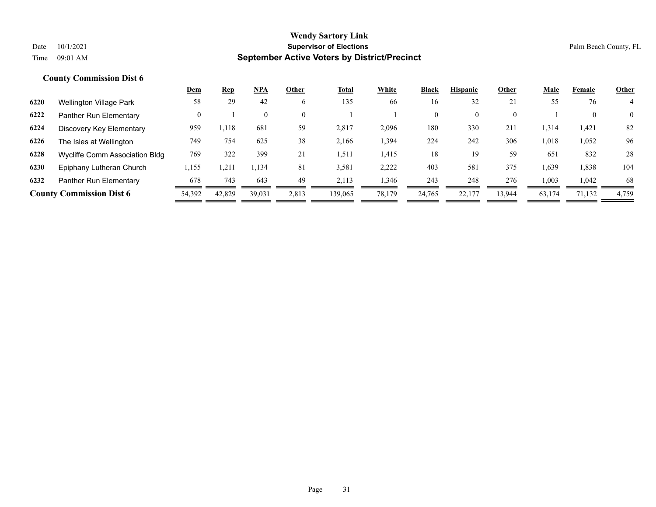|      |                                 | <b>Dem</b> | <b>Rep</b> | $NPA$  | Other    | <u>Total</u> | White  | <b>Black</b> | <b>Hispanic</b> | Other  | <b>Male</b> | Female | <b>Other</b>   |
|------|---------------------------------|------------|------------|--------|----------|--------------|--------|--------------|-----------------|--------|-------------|--------|----------------|
| 6220 | Wellington Village Park         | 58         | 29         | 42     | 6        | 135          | 66     | 16           | 32              | 21     | 55          | 76     | 4              |
| 6222 | Panther Run Elementary          | $\theta$   |            |        | $\Omega$ |              |        | $\mathbf{0}$ | $\Omega$        | 0      |             | 0      | $\overline{0}$ |
| 6224 | Discovery Key Elementary        | 959        | 1,118      | 681    | 59       | 2,817        | 2,096  | 180          | 330             | 211    | 1,314       | 1,421  | 82             |
| 6226 | The Isles at Wellington         | 749        | 754        | 625    | 38       | 2,166        | 1,394  | 224          | 242             | 306    | 1,018       | 1,052  | 96             |
| 6228 | Wycliffe Comm Association Bldg  | 769        | 322        | 399    | 21       | 1,511        | 1,415  | 18           | 19              | 59     | 651         | 832    | 28             |
| 6230 | Epiphany Lutheran Church        | 1,155      | 1,211      | 1,134  | 81       | 3,581        | 2,222  | 403          | 581             | 375    | 1,639       | 1,838  | 104            |
| 6232 | Panther Run Elementary          | 678        | 743        | 643    | 49       | 2.113        | 1,346  | 243          | 248             | 276    | 1,003       | 1.042  | 68             |
|      | <b>County Commission Dist 6</b> | 54,392     | 42,829     | 39,031 | 2,813    | 139,065      | 78,179 | 24,765       | 22,177          | 13,944 | 63,174      | 71,132 | 4,759          |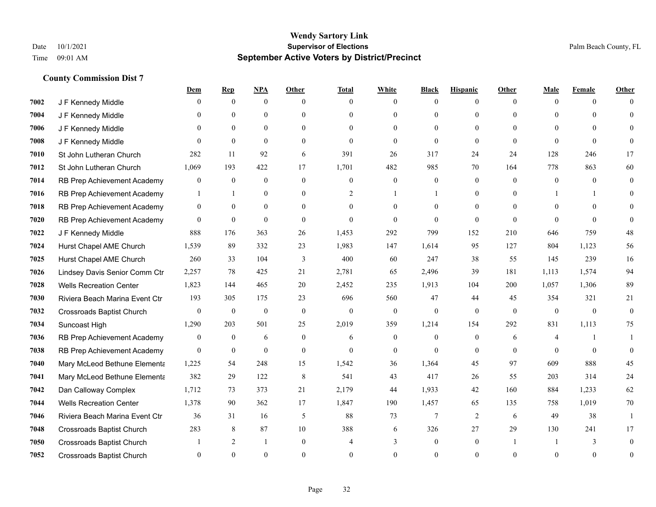|      |                                  | <u>Dem</u>     | <b>Rep</b>     | NPA              | <b>Other</b>     | <b>Total</b>   | <b>White</b>     | <b>Black</b>     | <b>Hispanic</b> | <b>Other</b> | <b>Male</b>  | <b>Female</b> | <b>Other</b> |
|------|----------------------------------|----------------|----------------|------------------|------------------|----------------|------------------|------------------|-----------------|--------------|--------------|---------------|--------------|
| 7002 | J F Kennedy Middle               | 0              | $\overline{0}$ | $\overline{0}$   | $\Omega$         | $\theta$       | $\mathbf{0}$     | $\theta$         | $\overline{0}$  | $\theta$     | $\theta$     | $\theta$      | $\Omega$     |
| 7004 | J F Kennedy Middle               | 0              | $\theta$       | $\theta$         | $\theta$         | $\Omega$       | $\mathbf{0}$     | $\theta$         | $\theta$        | $\Omega$     | $\theta$     | $\Omega$      | $\Omega$     |
| 7006 | J F Kennedy Middle               | 0              | $\Omega$       | $\theta$         | $\Omega$         | $\Omega$       | $\theta$         | $\Omega$         | $\theta$        | $\Omega$     | $\Omega$     | $\Omega$      | $\Omega$     |
| 7008 | J F Kennedy Middle               | $\Omega$       | $\mathbf{0}$   | $\mathbf{0}$     | $\overline{0}$   | $\mathbf{0}$   | $\mathbf{0}$     | $\mathbf{0}$     | $\mathbf{0}$    | $\mathbf{0}$ | $\theta$     | $\theta$      | $\Omega$     |
| 7010 | St John Lutheran Church          | 282            | 11             | 92               | 6                | 391            | 26               | 317              | 24              | 24           | 128          | 246           | 17           |
| 7012 | St John Lutheran Church          | 1,069          | 193            | 422              | 17               | 1,701          | 482              | 985              | 70              | 164          | 778          | 863           | 60           |
| 7014 | RB Prep Achievement Academy      | 0              | $\mathbf{0}$   | $\boldsymbol{0}$ | $\boldsymbol{0}$ | $\mathbf{0}$   | $\boldsymbol{0}$ | $\boldsymbol{0}$ | $\overline{0}$  | $\mathbf{0}$ | $\mathbf{0}$ | $\theta$      | $\mathbf{0}$ |
| 7016 | RB Prep Achievement Academy      | $\mathbf{1}$   | $\mathbf{1}$   | $\mathbf{0}$     | $\theta$         | 2              | $\mathbf{1}$     | -1               | $\theta$        | $\Omega$     |              | 1             | $\Omega$     |
| 7018 | RB Prep Achievement Academy      | $\overline{0}$ | $\mathbf{0}$   | $\overline{0}$   | $\overline{0}$   | $\theta$       | $\mathbf{0}$     | $\theta$         | $\mathbf{0}$    | $\Omega$     | $\theta$     | $\Omega$      | $\Omega$     |
| 7020 | RB Prep Achievement Academy      | $\overline{0}$ | $\mathbf{0}$   | $\theta$         | $\theta$         | $\theta$       | $\theta$         | $\theta$         | $\theta$        | $\Omega$     | $\Omega$     | $\Omega$      | $\Omega$     |
| 7022 | J F Kennedy Middle               | 888            | 176            | 363              | 26               | 1,453          | 292              | 799              | 152             | 210          | 646          | 759           | 48           |
| 7024 | Hurst Chapel AME Church          | 1,539          | 89             | 332              | 23               | 1,983          | 147              | 1,614            | 95              | 127          | 804          | 1,123         | 56           |
| 7025 | Hurst Chapel AME Church          | 260            | 33             | 104              | 3                | 400            | 60               | 247              | 38              | 55           | 145          | 239           | 16           |
| 7026 | Lindsey Davis Senior Comm Ctr    | 2,257          | 78             | 425              | 21               | 2,781          | 65               | 2,496            | 39              | 181          | 1,113        | 1,574         | 94           |
| 7028 | <b>Wells Recreation Center</b>   | 1,823          | 144            | 465              | 20               | 2,452          | 235              | 1,913            | 104             | 200          | 1,057        | 1,306         | 89           |
| 7030 | Riviera Beach Marina Event Ctr   | 193            | 305            | 175              | 23               | 696            | 560              | 47               | 44              | 45           | 354          | 321           | 21           |
| 7032 | <b>Crossroads Baptist Church</b> | $\overline{0}$ | $\mathbf{0}$   | $\mathbf{0}$     | $\mathbf{0}$     | $\mathbf{0}$   | $\mathbf{0}$     | $\mathbf{0}$     | $\mathbf{0}$    | $\theta$     | $\mathbf{0}$ | $\theta$      | $\theta$     |
| 7034 | Suncoast High                    | 1,290          | 203            | 501              | 25               | 2,019          | 359              | 1,214            | 154             | 292          | 831          | 1,113         | 75           |
| 7036 | RB Prep Achievement Academy      | 0              | $\overline{0}$ | 6                | $\mathbf{0}$     | 6              | $\mathbf{0}$     | $\mathbf{0}$     | $\mathbf{0}$    | 6            | 4            | 1             |              |
| 7038 | RB Prep Achievement Academy      | $\Omega$       | $\mathbf{0}$   | $\theta$         | $\mathbf{0}$     | $\theta$       | $\overline{0}$   | $\theta$         | $\theta$        | $\theta$     | $\theta$     | $\theta$      | $\Omega$     |
| 7040 | Mary McLeod Bethune Elementa     | 1,225          | 54             | 248              | 15               | 1,542          | 36               | 1,364            | 45              | 97           | 609          | 888           | 45           |
| 7041 | Mary McLeod Bethune Elementa     | 382            | 29             | 122              | 8                | 541            | 43               | 417              | 26              | 55           | 203          | 314           | 24           |
| 7042 | Dan Calloway Complex             | 1,712          | 73             | 373              | 21               | 2,179          | 44               | 1,933            | 42              | 160          | 884          | 1,233         | 62           |
| 7044 | <b>Wells Recreation Center</b>   | 1,378          | 90             | 362              | 17               | 1,847          | 190              | 1,457            | 65              | 135          | 758          | 1,019         | 70           |
| 7046 | Riviera Beach Marina Event Ctr   | 36             | 31             | 16               | 5                | 88             | 73               | $\overline{7}$   | $\mathfrak{2}$  | 6            | 49           | 38            |              |
| 7048 | Crossroads Baptist Church        | 283            | 8              | 87               | 10               | 388            | 6                | 326              | 27              | 29           | 130          | 241           | 17           |
| 7050 | <b>Crossroads Baptist Church</b> |                | $\overline{2}$ | $\mathbf{1}$     | $\Omega$         | $\overline{4}$ | 3                | $\mathbf{0}$     | $\mathbf{0}$    |              |              | 3             | $\Omega$     |
| 7052 | <b>Crossroads Baptist Church</b> | $\Omega$       | $\Omega$       | $\Omega$         | $\Omega$         | $\Omega$       | $\Omega$         | $\theta$         | $\Omega$        | $\Omega$     | $\Omega$     | $\theta$      | $\mathbf{0}$ |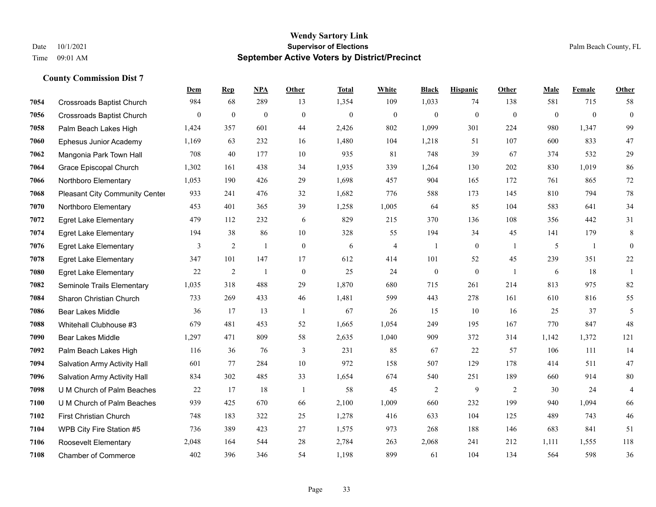|      |                                     | Dem          | <b>Rep</b>     | NPA            | <b>Other</b> | <b>Total</b> | <b>White</b>     | <b>Black</b>     | <b>Hispanic</b>  | <b>Other</b>   | <b>Male</b>    | Female       | <b>Other</b>             |
|------|-------------------------------------|--------------|----------------|----------------|--------------|--------------|------------------|------------------|------------------|----------------|----------------|--------------|--------------------------|
| 7054 | <b>Crossroads Baptist Church</b>    | 984          | 68             | 289            | 13           | 1,354        | 109              | 1,033            | 74               | 138            | 581            | 715          | 58                       |
| 7056 | <b>Crossroads Baptist Church</b>    | $\mathbf{0}$ | $\mathbf{0}$   | $\mathbf{0}$   | $\theta$     | $\mathbf{0}$ | $\boldsymbol{0}$ | $\mathbf{0}$     | $\mathbf{0}$     | $\theta$       | $\overline{0}$ | $\mathbf{0}$ | $\mathbf{0}$             |
| 7058 | Palm Beach Lakes High               | 1,424        | 357            | 601            | 44           | 2,426        | 802              | 1,099            | 301              | 224            | 980            | 1,347        | 99                       |
| 7060 | Ephesus Junior Academy              | 1,169        | 63             | 232            | 16           | 1,480        | 104              | 1,218            | 51               | 107            | 600            | 833          | 47                       |
| 7062 | Mangonia Park Town Hall             | 708          | 40             | 177            | 10           | 935          | 81               | 748              | 39               | 67             | 374            | 532          | 29                       |
| 7064 | Grace Episcopal Church              | 1,302        | 161            | 438            | 34           | 1,935        | 339              | 1,264            | 130              | 202            | 830            | 1,019        | 86                       |
| 7066 | Northboro Elementary                | 1,053        | 190            | 426            | 29           | 1,698        | 457              | 904              | 165              | 172            | 761            | 865          | $72\,$                   |
| 7068 | Pleasant City Community Center      | 933          | 241            | 476            | 32           | 1,682        | 776              | 588              | 173              | 145            | 810            | 794          | 78                       |
| 7070 | Northboro Elementary                | 453          | 401            | 365            | 39           | 1,258        | 1,005            | 64               | 85               | 104            | 583            | 641          | 34                       |
| 7072 | <b>Egret Lake Elementary</b>        | 479          | 112            | 232            | 6            | 829          | 215              | 370              | 136              | 108            | 356            | 442          | 31                       |
| 7074 | <b>Egret Lake Elementary</b>        | 194          | 38             | 86             | 10           | 328          | 55               | 194              | 34               | 45             | 141            | 179          | $\,8\,$                  |
| 7076 | <b>Egret Lake Elementary</b>        | 3            | $\overline{2}$ | 1              | $\mathbf{0}$ | 6            | $\overline{4}$   | $\overline{1}$   | $\mathbf{0}$     | -1             | 5              | $\mathbf{1}$ | $\theta$                 |
| 7078 | <b>Egret Lake Elementary</b>        | 347          | 101            | 147            | 17           | 612          | 414              | 101              | 52               | 45             | 239            | 351          | $22\,$                   |
| 7080 | <b>Egret Lake Elementary</b>        | 22           | $\sqrt{2}$     | $\overline{1}$ | $\mathbf{0}$ | 25           | 24               | $\boldsymbol{0}$ | $\boldsymbol{0}$ | $\overline{1}$ | 6              | 18           | 1                        |
| 7082 | Seminole Trails Elementary          | 1,035        | 318            | 488            | 29           | 1,870        | 680              | 715              | 261              | 214            | 813            | 975          | 82                       |
| 7084 | Sharon Christian Church             | 733          | 269            | 433            | 46           | 1,481        | 599              | 443              | 278              | 161            | 610            | 816          | 55                       |
| 7086 | <b>Bear Lakes Middle</b>            | 36           | 17             | 13             | -1           | 67           | 26               | 15               | 10               | 16             | 25             | 37           | $\mathfrak{H}$           |
| 7088 | Whitehall Clubhouse #3              | 679          | 481            | 453            | 52           | 1,665        | 1,054            | 249              | 195              | 167            | 770            | 847          | 48                       |
| 7090 | <b>Bear Lakes Middle</b>            | 1,297        | 471            | 809            | 58           | 2,635        | 1,040            | 909              | 372              | 314            | 1,142          | 1,372        | 121                      |
| 7092 | Palm Beach Lakes High               | 116          | 36             | 76             | 3            | 231          | 85               | 67               | 22               | 57             | 106            | 111          | 14                       |
| 7094 | <b>Salvation Army Activity Hall</b> | 601          | 77             | 284            | 10           | 972          | 158              | 507              | 129              | 178            | 414            | 511          | 47                       |
| 7096 | Salvation Army Activity Hall        | 834          | 302            | 485            | 33           | 1,654        | 674              | 540              | 251              | 189            | 660            | 914          | $80\,$                   |
| 7098 | U M Church of Palm Beaches          | 22           | 17             | 18             | -1           | 58           | 45               | $\overline{c}$   | 9                | 2              | 30             | 24           | $\overline{\mathcal{A}}$ |
| 7100 | U M Church of Palm Beaches          | 939          | 425            | 670            | 66           | 2,100        | 1,009            | 660              | 232              | 199            | 940            | 1.094        | 66                       |
| 7102 | First Christian Church              | 748          | 183            | 322            | 25           | 1,278        | 416              | 633              | 104              | 125            | 489            | 743          | 46                       |
| 7104 | WPB City Fire Station #5            | 736          | 389            | 423            | 27           | 1,575        | 973              | 268              | 188              | 146            | 683            | 841          | 51                       |
| 7106 | Roosevelt Elementary                | 2,048        | 164            | 544            | 28           | 2,784        | 263              | 2,068            | 241              | 212            | 1,111          | 1,555        | 118                      |
| 7108 | <b>Chamber of Commerce</b>          | 402          | 396            | 346            | 54           | 1,198        | 899              | 61               | 104              | 134            | 564            | 598          | 36                       |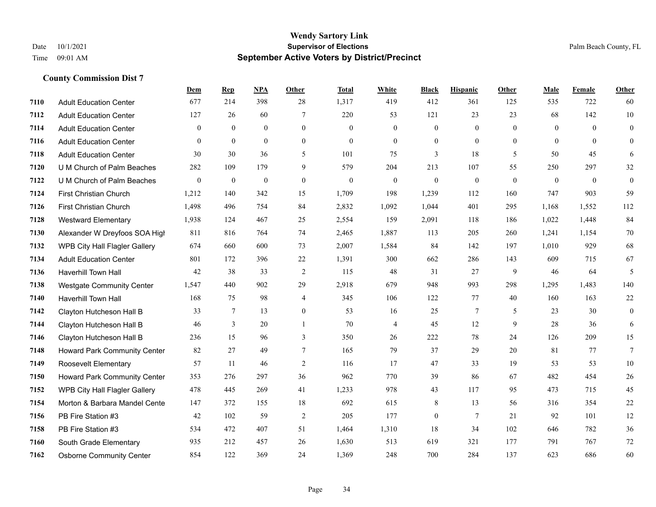|      |                                     | <b>Dem</b>       | <b>Rep</b>       | NPA              | <b>Other</b>     | <b>Total</b>     | <b>White</b>     | <b>Black</b>     | <b>Hispanic</b> | <b>Other</b> | <b>Male</b>    | Female       | <b>Other</b>     |
|------|-------------------------------------|------------------|------------------|------------------|------------------|------------------|------------------|------------------|-----------------|--------------|----------------|--------------|------------------|
| 7110 | <b>Adult Education Center</b>       | 677              | 214              | 398              | 28               | 1,317            | 419              | 412              | 361             | 125          | 535            | 722          | 60               |
| 7112 | <b>Adult Education Center</b>       | 127              | 26               | 60               | $\overline{7}$   | 220              | 53               | 121              | 23              | 23           | 68             | 142          | 10               |
| 7114 | <b>Adult Education Center</b>       | $\Omega$         | $\theta$         | $\theta$         | $\theta$         | $\Omega$         | $\theta$         | $\theta$         | $\theta$        | $\Omega$     | $\theta$       | $\Omega$     | $\theta$         |
| 7116 | <b>Adult Education Center</b>       | $\mathbf{0}$     | $\mathbf{0}$     | $\mathbf{0}$     | $\mathbf{0}$     | $\theta$         | $\boldsymbol{0}$ | $\boldsymbol{0}$ | $\mathbf{0}$    | $\mathbf{0}$ | $\overline{0}$ | $\mathbf{0}$ | $\mathbf{0}$     |
| 7118 | <b>Adult Education Center</b>       | 30               | 30               | 36               | 5                | 101              | 75               | 3                | 18              | 5            | 50             | 45           | 6                |
| 7120 | U M Church of Palm Beaches          | 282              | 109              | 179              | 9                | 579              | 204              | 213              | 107             | 55           | 250            | 297          | 32               |
| 7122 | U M Church of Palm Beaches          | $\boldsymbol{0}$ | $\boldsymbol{0}$ | $\boldsymbol{0}$ | $\boldsymbol{0}$ | $\boldsymbol{0}$ | $\boldsymbol{0}$ | $\boldsymbol{0}$ | $\mathbf{0}$    | $\mathbf{0}$ | $\mathbf{0}$   | $\mathbf{0}$ | $\boldsymbol{0}$ |
| 7124 | <b>First Christian Church</b>       | 1,212            | 140              | 342              | 15               | 1,709            | 198              | 1,239            | 112             | 160          | 747            | 903          | 59               |
| 7126 | First Christian Church              | 1,498            | 496              | 754              | 84               | 2,832            | 1,092            | 1,044            | 401             | 295          | 1,168          | 1,552        | 112              |
| 7128 | <b>Westward Elementary</b>          | 1,938            | 124              | 467              | 25               | 2,554            | 159              | 2,091            | 118             | 186          | 1,022          | 1,448        | 84               |
| 7130 | Alexander W Dreyfoos SOA High       | 811              | 816              | 764              | 74               | 2,465            | 1,887            | 113              | 205             | 260          | 1,241          | 1,154        | 70               |
| 7132 | WPB City Hall Flagler Gallery       | 674              | 660              | 600              | 73               | 2,007            | 1,584            | 84               | 142             | 197          | 1,010          | 929          | 68               |
| 7134 | <b>Adult Education Center</b>       | 801              | 172              | 396              | 22               | 1,391            | 300              | 662              | 286             | 143          | 609            | 715          | 67               |
| 7136 | Haverhill Town Hall                 | 42               | 38               | 33               | $\overline{2}$   | 115              | 48               | 31               | 27              | 9            | 46             | 64           | 5                |
| 7138 | <b>Westgate Community Center</b>    | 1,547            | 440              | 902              | 29               | 2,918            | 679              | 948              | 993             | 298          | 1,295          | 1,483        | 140              |
| 7140 | Haverhill Town Hall                 | 168              | 75               | 98               | 4                | 345              | 106              | 122              | 77              | 40           | 160            | 163          | $22\,$           |
| 7142 | Clayton Hutcheson Hall B            | 33               | $\tau$           | 13               | $\mathbf{0}$     | 53               | 16               | 25               | $\tau$          | 5            | 23             | 30           | $\mathbf{0}$     |
| 7144 | Clayton Hutcheson Hall B            | 46               | 3                | 20               | 1                | 70               | $\overline{4}$   | 45               | 12              | 9            | 28             | 36           | 6                |
| 7146 | Clayton Hutcheson Hall B            | 236              | 15               | 96               | 3                | 350              | 26               | 222              | 78              | 24           | 126            | 209          | 15               |
| 7148 | Howard Park Community Center        | 82               | 27               | 49               | $\tau$           | 165              | 79               | 37               | 29              | 20           | 81             | 77           | $\tau$           |
| 7149 | Roosevelt Elementary                | 57               | 11               | 46               | 2                | 116              | 17               | 47               | 33              | 19           | 53             | 53           | 10               |
| 7150 | <b>Howard Park Community Center</b> | 353              | 276              | 297              | 36               | 962              | 770              | 39               | 86              | 67           | 482            | 454          | 26               |
| 7152 | WPB City Hall Flagler Gallery       | 478              | 445              | 269              | 41               | 1,233            | 978              | 43               | 117             | 95           | 473            | 715          | 45               |
| 7154 | Morton & Barbara Mandel Cente       | 147              | 372              | 155              | 18               | 692              | 615              | 8                | 13              | 56           | 316            | 354          | 22               |
| 7156 | PB Fire Station #3                  | 42               | 102              | 59               | $\sqrt{2}$       | 205              | 177              | $\boldsymbol{0}$ | $\overline{7}$  | 21           | 92             | 101          | 12               |
| 7158 | PB Fire Station #3                  | 534              | 472              | 407              | 51               | 1,464            | 1,310            | 18               | 34              | 102          | 646            | 782          | 36               |
| 7160 | South Grade Elementary              | 935              | 212              | 457              | 26               | 1,630            | 513              | 619              | 321             | 177          | 791            | 767          | 72               |
| 7162 | <b>Osborne Community Center</b>     | 854              | 122              | 369              | 24               | 1,369            | 248              | 700              | 284             | 137          | 623            | 686          | 60               |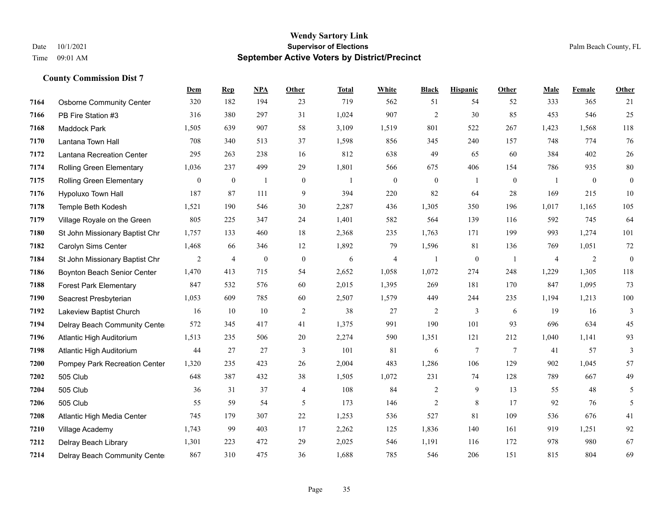|      |                                 | <b>Dem</b>       | <b>Rep</b>       | NPA          | <b>Other</b>     | <b>Total</b>   | <b>White</b>     | <b>Black</b>     | <b>Hispanic</b> | <b>Other</b>   | <b>Male</b>    | Female           | <b>Other</b>     |
|------|---------------------------------|------------------|------------------|--------------|------------------|----------------|------------------|------------------|-----------------|----------------|----------------|------------------|------------------|
| 7164 | <b>Osborne Community Center</b> | 320              | 182              | 194          | 23               | 719            | 562              | 51               | 54              | 52             | 333            | 365              | 21               |
| 7166 | PB Fire Station #3              | 316              | 380              | 297          | 31               | 1,024          | 907              | $\overline{2}$   | 30              | 85             | 453            | 546              | 25               |
| 7168 | <b>Maddock Park</b>             | 1,505            | 639              | 907          | 58               | 3,109          | 1,519            | 801              | 522             | 267            | 1,423          | 1,568            | 118              |
| 7170 | Lantana Town Hall               | 708              | 340              | 513          | 37               | 1,598          | 856              | 345              | 240             | 157            | 748            | 774              | 76               |
| 7172 | Lantana Recreation Center       | 295              | 263              | 238          | 16               | 812            | 638              | 49               | 65              | 60             | 384            | 402              | $26\,$           |
| 7174 | Rolling Green Elementary        | 1,036            | 237              | 499          | 29               | 1,801          | 566              | 675              | 406             | 154            | 786            | 935              | $80\,$           |
| 7175 | <b>Rolling Green Elementary</b> | $\boldsymbol{0}$ | $\boldsymbol{0}$ | $\mathbf{1}$ | $\boldsymbol{0}$ | $\overline{1}$ | $\boldsymbol{0}$ | $\boldsymbol{0}$ | $\mathbf{1}$    | $\mathbf{0}$   | -1             | $\boldsymbol{0}$ | $\boldsymbol{0}$ |
| 7176 | Hypoluxo Town Hall              | 187              | 87               | 111          | 9                | 394            | 220              | 82               | 64              | 28             | 169            | 215              | $10\,$           |
| 7178 | Temple Beth Kodesh              | 1,521            | 190              | 546          | 30               | 2,287          | 436              | 1,305            | 350             | 196            | 1,017          | 1,165            | 105              |
| 7179 | Village Royale on the Green     | 805              | 225              | 347          | 24               | 1,401          | 582              | 564              | 139             | 116            | 592            | 745              | 64               |
| 7180 | St John Missionary Baptist Chr  | 1,757            | 133              | 460          | 18               | 2,368          | 235              | 1,763            | 171             | 199            | 993            | 1,274            | 101              |
| 7182 | Carolyn Sims Center             | 1,468            | 66               | 346          | 12               | 1,892          | 79               | 1,596            | 81              | 136            | 769            | 1,051            | 72               |
| 7184 | St John Missionary Baptist Chr  | $\overline{2}$   | $\overline{4}$   | $\mathbf{0}$ | $\mathbf{0}$     | 6              | $\overline{4}$   |                  | $\mathbf{0}$    | $\overline{1}$ | $\overline{4}$ | $\overline{2}$   | $\mathbf{0}$     |
| 7186 | Boynton Beach Senior Center     | 1,470            | 413              | 715          | 54               | 2,652          | 1,058            | 1,072            | 274             | 248            | 1,229          | 1,305            | 118              |
| 7188 | <b>Forest Park Elementary</b>   | 847              | 532              | 576          | 60               | 2,015          | 1,395            | 269              | 181             | 170            | 847            | 1,095            | 73               |
| 7190 | Seacrest Presbyterian           | 1,053            | 609              | 785          | 60               | 2,507          | 1,579            | 449              | 244             | 235            | 1,194          | 1,213            | $100\,$          |
| 7192 | Lakeview Baptist Church         | 16               | 10               | 10           | $\overline{2}$   | 38             | 27               | $\overline{2}$   | $\overline{3}$  | 6              | 19             | 16               | 3                |
| 7194 | Delray Beach Community Cente    | 572              | 345              | 417          | 41               | 1,375          | 991              | 190              | 101             | 93             | 696            | 634              | 45               |
| 7196 | Atlantic High Auditorium        | 1,513            | 235              | 506          | 20               | 2,274          | 590              | 1,351            | 121             | 212            | 1,040          | 1,141            | 93               |
| 7198 | Atlantic High Auditorium        | 44               | 27               | 27           | 3                | 101            | 81               | 6                | 7               | $\overline{7}$ | 41             | 57               | 3                |
| 7200 | Pompey Park Recreation Center   | 1,320            | 235              | 423          | 26               | 2,004          | 483              | 1,286            | 106             | 129            | 902            | 1,045            | 57               |
| 7202 | 505 Club                        | 648              | 387              | 432          | 38               | 1,505          | 1,072            | 231              | 74              | 128            | 789            | 667              | 49               |
| 7204 | 505 Club                        | 36               | 31               | 37           | $\overline{4}$   | 108            | 84               | $\overline{c}$   | 9               | 13             | 55             | 48               | $5\overline{)}$  |
| 7206 | 505 Club                        | 55               | 59               | 54           | 5                | 173            | 146              | $\overline{2}$   | 8               | 17             | 92             | 76               | 5                |
| 7208 | Atlantic High Media Center      | 745              | 179              | 307          | $22\,$           | 1,253          | 536              | 527              | 81              | 109            | 536            | 676              | 41               |
| 7210 | Village Academy                 | 1,743            | 99               | 403          | 17               | 2,262          | 125              | 1,836            | 140             | 161            | 919            | 1,251            | 92               |
| 7212 | Delray Beach Library            | 1,301            | 223              | 472          | 29               | 2,025          | 546              | 1,191            | 116             | 172            | 978            | 980              | 67               |
| 7214 | Delray Beach Community Cente    | 867              | 310              | 475          | 36               | 1,688          | 785              | 546              | 206             | 151            | 815            | 804              | 69               |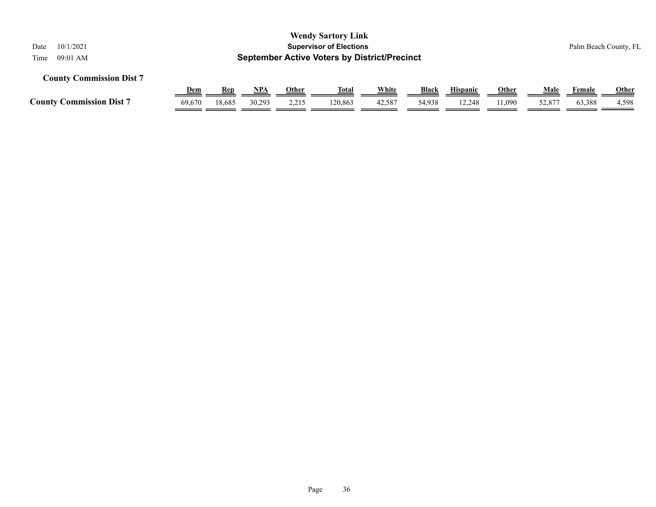| 10/1/2021<br>Date<br>09:01 AM<br>Time |                                                                                                                          |        |        |       | <b>Wendy Sartory Link</b><br><b>Supervisor of Elections</b><br><b>September Active Voters by District/Precinct</b> |        |        |        |        |        |        | Palm Beach County, FL |  |  |  |
|---------------------------------------|--------------------------------------------------------------------------------------------------------------------------|--------|--------|-------|--------------------------------------------------------------------------------------------------------------------|--------|--------|--------|--------|--------|--------|-----------------------|--|--|--|
| <b>County Commission Dist 7</b>       | White<br><b>Black</b><br>Other<br>Total<br><b>Hispanic</b><br>Male<br><u>Dem</u><br>NPA<br><u>Other</u><br>Rep<br>Female |        |        |       |                                                                                                                    |        |        |        |        |        |        |                       |  |  |  |
| <b>County Commission Dist 7</b>       | 69,670                                                                                                                   | 18,685 | 30.293 | 2,215 | 120,863                                                                                                            | 42,587 | 54,938 | 12.248 | 11,090 | 52,877 | 63,388 | <b>Other</b><br>4,598 |  |  |  |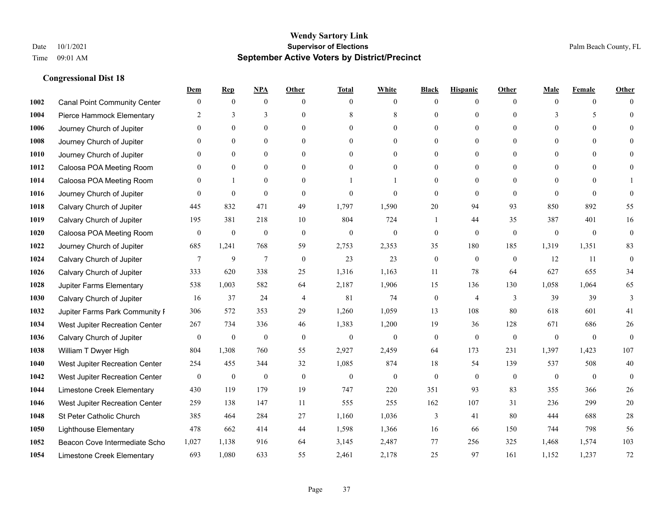|      |                                     | Dem            | <b>Rep</b>       | NPA              | <b>Other</b>   | <b>Total</b>     | <b>White</b>     | <b>Black</b>     | <b>Hispanic</b>  | <b>Other</b> | <b>Male</b>    | <b>Female</b>  | <b>Other</b>     |
|------|-------------------------------------|----------------|------------------|------------------|----------------|------------------|------------------|------------------|------------------|--------------|----------------|----------------|------------------|
| 1002 | <b>Canal Point Community Center</b> | $\overline{0}$ | $\mathbf{0}$     | $\mathbf{0}$     | $\Omega$       | $\theta$         | $\overline{0}$   | $\mathbf{0}$     | $\boldsymbol{0}$ | $\Omega$     | $\theta$       | $\overline{0}$ | $\Omega$         |
| 1004 | Pierce Hammock Elementary           | 2              | 3                | 3                | $\Omega$       | 8                | 8                | $\theta$         | $\theta$         | $\Omega$     | 3              | 5              | $\theta$         |
| 1006 | Journey Church of Jupiter           | $\Omega$       | $\theta$         | $\theta$         | $\Omega$       | $\Omega$         | $\Omega$         | $\Omega$         | $\theta$         | $\Omega$     | $\Omega$       | $\Omega$       | $\Omega$         |
| 1008 | Journey Church of Jupiter           | $\overline{0}$ | $\mathbf{0}$     | $\boldsymbol{0}$ | $\overline{0}$ | $\mathbf{0}$     | $\overline{0}$   | $\mathbf{0}$     | $\mathbf{0}$     | $\mathbf{0}$ | $\overline{0}$ | $\mathbf{0}$   | $\theta$         |
| 1010 | Journey Church of Jupiter           | $\theta$       | $\theta$         | $\mathbf{0}$     | $\theta$       | $\Omega$         | $\overline{0}$   | $\mathbf{0}$     | $\mathbf{0}$     | $\theta$     | $\theta$       | $\theta$       | $\theta$         |
| 1012 | Caloosa POA Meeting Room            | $\overline{0}$ | $\mathbf{0}$     | $\mathbf{0}$     | $\theta$       | $\Omega$         | $\overline{0}$   | $\theta$         | $\mathbf{0}$     | $\Omega$     | $\theta$       | $\Omega$       | $\theta$         |
| 1014 | Caloosa POA Meeting Room            | $\overline{0}$ | $\mathbf{1}$     | $\mathbf{0}$     | $\overline{0}$ |                  |                  | $\boldsymbol{0}$ | $\mathbf{0}$     | $\theta$     | $\mathbf{0}$   | $\theta$       |                  |
| 1016 | Journey Church of Jupiter           | $\theta$       | $\mathbf{0}$     | $\mathbf{0}$     | $\theta$       | $\theta$         | $\Omega$         | $\mathbf{0}$     | $\theta$         | $\theta$     | $\Omega$       | $\Omega$       | $\theta$         |
| 1018 | Calvary Church of Jupiter           | 445            | 832              | 471              | 49             | 1,797            | 1,590            | 20               | 94               | 93           | 850            | 892            | 55               |
| 1019 | Calvary Church of Jupiter           | 195            | 381              | 218              | 10             | 804              | 724              |                  | 44               | 35           | 387            | 401            | 16               |
| 1020 | Caloosa POA Meeting Room            | $\mathbf{0}$   | $\boldsymbol{0}$ | $\boldsymbol{0}$ | $\mathbf{0}$   | $\mathbf{0}$     | $\mathbf{0}$     | $\boldsymbol{0}$ | $\theta$         | $\theta$     | $\mathbf{0}$   | $\mathbf{0}$   | $\boldsymbol{0}$ |
| 1022 | Journey Church of Jupiter           | 685            | 1,241            | 768              | 59             | 2,753            | 2,353            | 35               | 180              | 185          | 1,319          | 1,351          | 83               |
| 1024 | Calvary Church of Jupiter           | $\tau$         | 9                | $\overline{7}$   | $\mathbf{0}$   | 23               | 23               | $\boldsymbol{0}$ | $\mathbf{0}$     | $\theta$     | 12             | 11             | $\boldsymbol{0}$ |
| 1026 | Calvary Church of Jupiter           | 333            | 620              | 338              | 25             | 1,316            | 1,163            | 11               | 78               | 64           | 627            | 655            | 34               |
| 1028 | Jupiter Farms Elementary            | 538            | 1,003            | 582              | 64             | 2,187            | 1,906            | 15               | 136              | 130          | 1,058          | 1,064          | 65               |
| 1030 | Calvary Church of Jupiter           | 16             | 37               | 24               | $\overline{4}$ | 81               | 74               | $\boldsymbol{0}$ | $\overline{4}$   | 3            | 39             | 39             | 3                |
| 1032 | Jupiter Farms Park Community F      | 306            | 572              | 353              | 29             | 1,260            | 1,059            | 13               | 108              | 80           | 618            | 601            | 41               |
| 1034 | West Jupiter Recreation Center      | 267            | 734              | 336              | 46             | 1,383            | 1,200            | 19               | 36               | 128          | 671            | 686            | $26\,$           |
| 1036 | Calvary Church of Jupiter           | $\bf{0}$       | $\boldsymbol{0}$ | $\boldsymbol{0}$ | $\mathbf{0}$   | $\mathbf{0}$     | $\boldsymbol{0}$ | $\boldsymbol{0}$ | $\theta$         | $\mathbf{0}$ | $\mathbf{0}$   | $\mathbf{0}$   | $\mathbf{0}$     |
| 1038 | William T Dwyer High                | 804            | 1,308            | 760              | 55             | 2,927            | 2,459            | 64               | 173              | 231          | 1,397          | 1,423          | 107              |
| 1040 | West Jupiter Recreation Center      | 254            | 455              | 344              | 32             | 1,085            | 874              | 18               | 54               | 139          | 537            | 508            | 40               |
| 1042 | West Jupiter Recreation Center      | $\bf{0}$       | $\boldsymbol{0}$ | $\boldsymbol{0}$ | $\mathbf{0}$   | $\boldsymbol{0}$ | $\boldsymbol{0}$ | $\boldsymbol{0}$ | $\boldsymbol{0}$ | $\mathbf{0}$ | $\mathbf{0}$   | $\overline{0}$ | $\mathbf{0}$     |
| 1044 | Limestone Creek Elementary          | 430            | 119              | 179              | 19             | 747              | 220              | 351              | 93               | 83           | 355            | 366            | 26               |
| 1046 | West Jupiter Recreation Center      | 259            | 138              | 147              | 11             | 555              | 255              | 162              | 107              | 31           | 236            | 299            | 20               |
| 1048 | St Peter Catholic Church            | 385            | 464              | 284              | 27             | 1,160            | 1,036            | 3                | 41               | 80           | 444            | 688            | 28               |
| 1050 | <b>Lighthouse Elementary</b>        | 478            | 662              | 414              | 44             | 1,598            | 1,366            | 16               | 66               | 150          | 744            | 798            | 56               |
| 1052 | Beacon Cove Intermediate Scho       | 1,027          | 1,138            | 916              | 64             | 3,145            | 2,487            | 77               | 256              | 325          | 1,468          | 1,574          | 103              |
| 1054 | Limestone Creek Elementary          | 693            | 1,080            | 633              | 55             | 2,461            | 2,178            | 25               | 97               | 161          | 1,152          | 1,237          | 72               |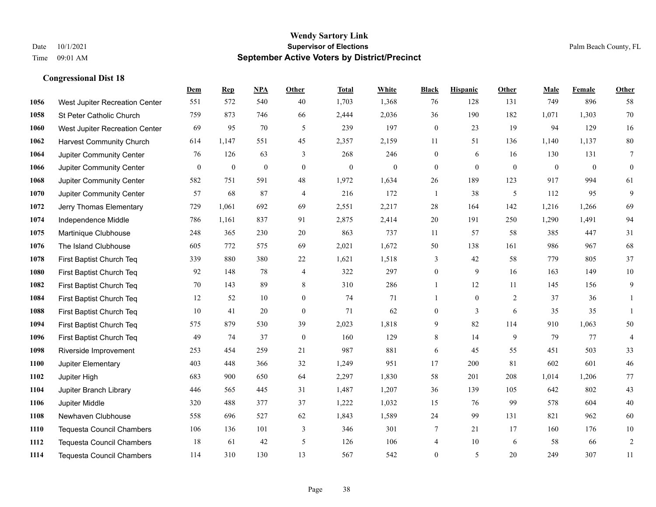|             |                                  | Dem              | <b>Rep</b>       | NPA          | <b>Other</b>   | <b>Total</b>     | <b>White</b>     | <b>Black</b>     | <b>Hispanic</b> | <b>Other</b> | <b>Male</b>  | <b>Female</b> | Other            |
|-------------|----------------------------------|------------------|------------------|--------------|----------------|------------------|------------------|------------------|-----------------|--------------|--------------|---------------|------------------|
| 1056        | West Jupiter Recreation Center   | 551              | 572              | 540          | 40             | 1,703            | 1,368            | 76               | 128             | 131          | 749          | 896           | 58               |
| 1058        | St Peter Catholic Church         | 759              | 873              | 746          | 66             | 2,444            | 2,036            | 36               | 190             | 182          | 1,071        | 1,303         | 70               |
| 1060        | West Jupiter Recreation Center   | 69               | 95               | 70           | 5              | 239              | 197              | $\boldsymbol{0}$ | 23              | 19           | 94           | 129           | 16               |
| 1062        | <b>Harvest Community Church</b>  | 614              | 1,147            | 551          | 45             | 2,357            | 2,159            | 11               | 51              | 136          | 1,140        | 1,137         | $80\,$           |
| 1064        | Jupiter Community Center         | 76               | 126              | 63           | 3              | 268              | 246              | $\boldsymbol{0}$ | 6               | 16           | 130          | 131           | $\overline{7}$   |
| 1066        | Jupiter Community Center         | $\boldsymbol{0}$ | $\boldsymbol{0}$ | $\mathbf{0}$ | $\overline{0}$ | $\boldsymbol{0}$ | $\boldsymbol{0}$ | $\boldsymbol{0}$ | $\mathbf{0}$    | $\mathbf{0}$ | $\mathbf{0}$ | $\mathbf{0}$  | $\boldsymbol{0}$ |
| 1068        | Jupiter Community Center         | 582              | 751              | 591          | 48             | 1,972            | 1,634            | $26\,$           | 189             | 123          | 917          | 994           | 61               |
| 1070        | Jupiter Community Center         | 57               | 68               | 87           | $\overline{4}$ | 216              | 172              | $\mathbf{1}$     | 38              | 5            | 112          | 95            | 9                |
| 1072        | Jerry Thomas Elementary          | 729              | 1,061            | 692          | 69             | 2,551            | 2,217            | 28               | 164             | 142          | 1,216        | 1,266         | 69               |
| 1074        | Independence Middle              | 786              | 1,161            | 837          | 91             | 2,875            | 2,414            | 20               | 191             | 250          | 1,290        | 1,491         | 94               |
| 1075        | Martinique Clubhouse             | 248              | 365              | 230          | 20             | 863              | 737              | 11               | 57              | 58           | 385          | 447           | 31               |
| 1076        | The Island Clubhouse             | 605              | 772              | 575          | 69             | 2,021            | 1,672            | 50               | 138             | 161          | 986          | 967           | 68               |
| 1078        | First Baptist Church Teq         | 339              | 880              | 380          | 22             | 1,621            | 1,518            | 3                | 42              | 58           | 779          | 805           | 37               |
| 1080        | First Baptist Church Teq         | 92               | 148              | 78           | 4              | 322              | 297              | $\boldsymbol{0}$ | 9               | 16           | 163          | 149           | $10\,$           |
| 1082        | First Baptist Church Teq         | 70               | 143              | 89           | 8              | 310              | 286              | $\mathbf{1}$     | 12              | 11           | 145          | 156           | 9                |
| 1084        | First Baptist Church Teq         | 12               | 52               | 10           | $\overline{0}$ | 74               | 71               | $\mathbf{1}$     | $\mathbf{0}$    | 2            | 37           | 36            | $\mathbf{1}$     |
| 1088        | First Baptist Church Teq         | 10               | 41               | 20           | $\overline{0}$ | 71               | 62               | $\boldsymbol{0}$ | 3               | 6            | 35           | 35            | $\mathbf{1}$     |
| 1094        | First Baptist Church Teq         | 575              | 879              | 530          | 39             | 2,023            | 1,818            | 9                | 82              | 114          | 910          | 1,063         | $50\,$           |
| 1096        | First Baptist Church Teq         | 49               | 74               | 37           | $\mathbf{0}$   | 160              | 129              | 8                | 14              | 9            | 79           | 77            | $\overline{4}$   |
| 1098        | Riverside Improvement            | 253              | 454              | 259          | 21             | 987              | 881              | 6                | 45              | 55           | 451          | 503           | 33               |
| 1100        | Jupiter Elementary               | 403              | 448              | 366          | 32             | 1,249            | 951              | 17               | 200             | 81           | 602          | 601           | $46\,$           |
| 1102        | Jupiter High                     | 683              | 900              | 650          | 64             | 2,297            | 1,830            | 58               | 201             | 208          | 1,014        | 1,206         | 77               |
| 1104        | Jupiter Branch Library           | 446              | 565              | 445          | 31             | 1,487            | 1,207            | 36               | 139             | 105          | 642          | 802           | 43               |
| 1106        | Jupiter Middle                   | 320              | 488              | 377          | 37             | 1,222            | 1,032            | 15               | 76              | 99           | 578          | 604           | 40               |
| 1108        | Newhaven Clubhouse               | 558              | 696              | 527          | 62             | 1,843            | 1,589            | $24\,$           | 99              | 131          | 821          | 962           | 60               |
| <b>1110</b> | <b>Tequesta Council Chambers</b> | 106              | 136              | 101          | 3              | 346              | 301              | 7                | 21              | 17           | 160          | 176           | $10\,$           |
| 1112        | <b>Tequesta Council Chambers</b> | 18               | 61               | 42           | 5              | 126              | 106              | 4                | 10              | 6            | 58           | 66            | $\sqrt{2}$       |
| 1114        | <b>Tequesta Council Chambers</b> | 114              | 310              | 130          | 13             | 567              | 542              | $\overline{0}$   | 5               | 20           | 249          | 307           | 11               |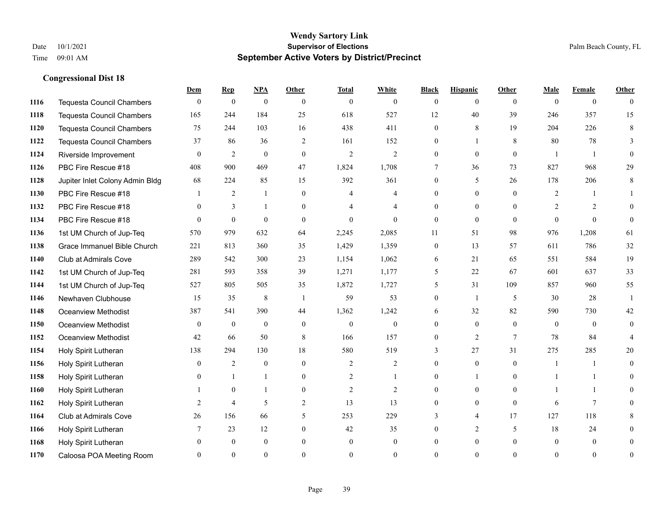|      |                                  | Dem            | <b>Rep</b>       | NPA              | <b>Other</b>   | <b>Total</b>   | <b>White</b>     | <b>Black</b>   | <b>Hispanic</b> | <b>Other</b>   | <b>Male</b>    | <b>Female</b>  | <b>Other</b>   |
|------|----------------------------------|----------------|------------------|------------------|----------------|----------------|------------------|----------------|-----------------|----------------|----------------|----------------|----------------|
| 1116 | <b>Tequesta Council Chambers</b> | $\mathbf{0}$   | $\boldsymbol{0}$ | $\boldsymbol{0}$ | $\theta$       | $\theta$       | $\overline{0}$   | $\mathbf{0}$   | $\mathbf{0}$    | $\theta$       | $\theta$       | $\overline{0}$ | $\theta$       |
| 1118 | <b>Tequesta Council Chambers</b> | 165            | 244              | 184              | 25             | 618            | 527              | 12             | 40              | 39             | 246            | 357            | 15             |
| 1120 | <b>Tequesta Council Chambers</b> | 75             | 244              | 103              | 16             | 438            | 411              | $\theta$       | 8               | 19             | 204            | 226            | 8              |
| 1122 | Tequesta Council Chambers        | 37             | 86               | 36               | $\overline{2}$ | 161            | 152              | 0              | 1               | 8              | 80             | 78             | 3              |
| 1124 | Riverside Improvement            | $\theta$       | 2                | $\mathbf{0}$     | $\theta$       | $\overline{2}$ | $\overline{2}$   | $\overline{0}$ | $\theta$        | $\theta$       | -1             |                | $\theta$       |
| 1126 | PBC Fire Rescue #18              | 408            | 900              | 469              | 47             | 1,824          | 1,708            | 7              | 36              | 73             | 827            | 968            | 29             |
| 1128 | Jupiter Inlet Colony Admin Bldg  | 68             | 224              | 85               | 15             | 392            | 361              | $\mathbf{0}$   | 5               | 26             | 178            | 206            | $\,8\,$        |
| 1130 | PBC Fire Rescue #18              |                | 2                | $\mathbf{1}$     | $\theta$       | $\overline{4}$ | 4                | $\Omega$       | $\theta$        | $\theta$       | 2              | $\mathbf{1}$   |                |
| 1132 | PBC Fire Rescue #18              | $\theta$       | 3                | 1                | $\Omega$       |                | 4                | $\overline{0}$ | $\mathbf{0}$    | $\theta$       | $\overline{2}$ | $\overline{2}$ | $\Omega$       |
| 1134 | PBC Fire Rescue #18              | $\theta$       | $\theta$         | $\theta$         | $\theta$       | $\Omega$       | $\theta$         | $\mathbf{0}$   | $\theta$        | $\theta$       | $\Omega$       | $\theta$       | $\theta$       |
| 1136 | 1st UM Church of Jup-Teq         | 570            | 979              | 632              | 64             | 2,245          | 2,085            | 11             | 51              | 98             | 976            | 1,208          | 61             |
| 1138 | Grace Immanuel Bible Church      | 221            | 813              | 360              | 35             | 1,429          | 1,359            | $\mathbf{0}$   | 13              | 57             | 611            | 786            | 32             |
| 1140 | Club at Admirals Cove            | 289            | 542              | 300              | 23             | 1,154          | 1,062            | 6              | 21              | 65             | 551            | 584            | 19             |
| 1142 | 1st UM Church of Jup-Teq         | 281            | 593              | 358              | 39             | 1,271          | 1,177            | 5              | 22              | 67             | 601            | 637            | 33             |
| 1144 | 1st UM Church of Jup-Teq         | 527            | 805              | 505              | 35             | 1,872          | 1,727            | 5              | 31              | 109            | 857            | 960            | 55             |
| 1146 | Newhaven Clubhouse               | 15             | 35               | $\,8\,$          | $\overline{1}$ | 59             | 53               | $\mathbf{0}$   | $\mathbf{1}$    | 5              | 30             | 28             | $\mathbf{1}$   |
| 1148 | Oceanview Methodist              | 387            | 541              | 390              | 44             | 1,362          | 1,242            | 6              | 32              | 82             | 590            | 730            | 42             |
| 1150 | Oceanview Methodist              | $\theta$       | $\mathbf{0}$     | $\mathbf{0}$     | $\overline{0}$ | $\mathbf{0}$   | $\boldsymbol{0}$ | $\overline{0}$ | $\mathbf{0}$    | $\theta$       | $\theta$       | $\theta$       | $\overline{0}$ |
| 1152 | Oceanview Methodist              | 42             | 66               | 50               | 8              | 166            | 157              | $\overline{0}$ | 2               | 7              | 78             | 84             |                |
| 1154 | Holy Spirit Lutheran             | 138            | 294              | 130              | 18             | 580            | 519              | 3              | 27              | 31             | 275            | 285            | 20             |
| 1156 | Holy Spirit Lutheran             | $\theta$       | 2                | $\theta$         | $\Omega$       | $\overline{2}$ | $\overline{2}$   | $\theta$       | $\theta$        | $\Omega$       | -1             |                | $\theta$       |
| 1158 | Holy Spirit Lutheran             | $\overline{0}$ | $\mathbf{1}$     | 1                | $\overline{0}$ | $\overline{2}$ | 1                | $\overline{0}$ | $\mathbf{1}$    | $\overline{0}$ |                | -1             | $\Omega$       |
| 1160 | Holy Spirit Lutheran             |                | $\mathbf{0}$     | 1                | $\overline{0}$ | $\overline{2}$ | $\overline{2}$   | $\Omega$       | $\mathbf{0}$    | $\theta$       |                | $\mathbf{1}$   | 0              |
| 1162 | Holy Spirit Lutheran             | 2              | $\overline{4}$   | 5                | 2              | 13             | 13               | $\theta$       | $\theta$        | $\theta$       | 6              | $\tau$         |                |
| 1164 | Club at Admirals Cove            | 26             | 156              | 66               | 5              | 253            | 229              | 3              | 4               | 17             | 127            | 118            | 8              |
| 1166 | Holy Spirit Lutheran             | 7              | 23               | 12               | $\overline{0}$ | 42             | 35               | 0              | $\overline{2}$  | 5              | 18             | 24             | $\theta$       |
| 1168 | Holy Spirit Lutheran             | $\Omega$       | $\mathbf{0}$     | $\mathbf{0}$     | $\theta$       | $\mathbf{0}$   | $\overline{0}$   | $\Omega$       | $\mathbf{0}$    | $\Omega$       | $\theta$       | $\mathbf{0}$   | $\theta$       |
| 1170 | Caloosa POA Meeting Room         | $\Omega$       | $\Omega$         | $\Omega$         | $\Omega$       | $\Omega$       | $\theta$         | $\Omega$       | $\Omega$        | $\Omega$       | $\Omega$       | $\theta$       | $\mathbf{0}$   |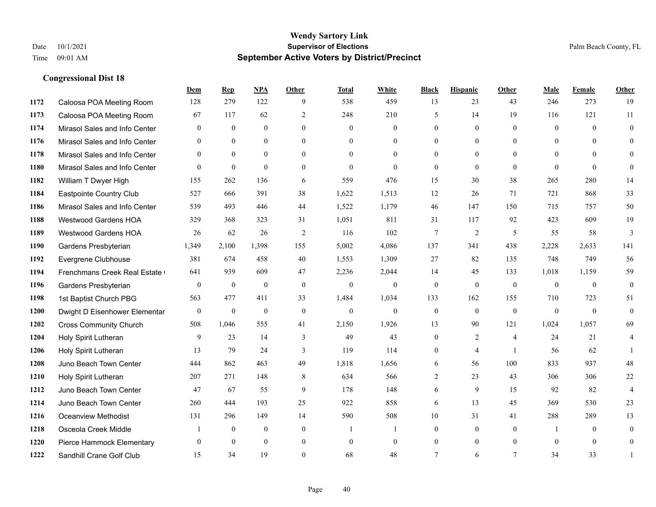|      |                               | Dem              | <b>Rep</b>   | NPA          | <b>Other</b>   | <b>Total</b> | <b>White</b>     | <b>Black</b> | <b>Hispanic</b> | <b>Other</b>   | <b>Male</b>  | Female   | <b>Other</b>     |
|------|-------------------------------|------------------|--------------|--------------|----------------|--------------|------------------|--------------|-----------------|----------------|--------------|----------|------------------|
| 1172 | Caloosa POA Meeting Room      | 128              | 279          | 122          | 9              | 538          | 459              | 13           | 23              | 43             | 246          | 273      | 19               |
| 1173 | Caloosa POA Meeting Room      | 67               | 117          | 62           | $\overline{2}$ | 248          | 210              | 5            | 14              | 19             | 116          | 121      | 11               |
| 1174 | Mirasol Sales and Info Center | $\theta$         | $\theta$     | $\theta$     | $\Omega$       | $\theta$     | $\overline{0}$   | $\theta$     | $\theta$        | $\Omega$       | $\theta$     | $\theta$ | $\theta$         |
| 1176 | Mirasol Sales and Info Center | $\mathbf{0}$     | $\mathbf{0}$ | $\mathbf{0}$ | $\overline{0}$ | $\mathbf{0}$ | $\overline{0}$   | $\mathbf{0}$ | $\mathbf{0}$    | $\overline{0}$ | $\mathbf{0}$ | $\theta$ | $\theta$         |
| 1178 | Mirasol Sales and Info Center | $\theta$         | $\theta$     | $\theta$     | $\theta$       | $\theta$     | $\theta$         | $\theta$     | $\theta$        | $\theta$       | $\theta$     | $\theta$ | $\theta$         |
| 1180 | Mirasol Sales and Info Center | $\Omega$         | $\mathbf{0}$ | $\mathbf{0}$ | $\theta$       | $\theta$     | $\theta$         | $\theta$     | $\theta$        | $\theta$       | $\Omega$     | $\theta$ | $\mathbf{0}$     |
| 1182 | William T Dwyer High          | 155              | 262          | 136          | 6              | 559          | 476              | 15           | 30              | 38             | 265          | 280      | 14               |
| 1184 | Eastpointe Country Club       | 527              | 666          | 391          | 38             | 1,622        | 1,513            | 12           | 26              | 71             | 721          | 868      | 33               |
| 1186 | Mirasol Sales and Info Center | 539              | 493          | 446          | 44             | 1,522        | 1,179            | 46           | 147             | 150            | 715          | 757      | 50               |
| 1188 | Westwood Gardens HOA          | 329              | 368          | 323          | 31             | 1,051        | 811              | 31           | 117             | 92             | 423          | 609      | 19               |
| 1189 | Westwood Gardens HOA          | 26               | 62           | 26           | 2              | 116          | 102              | 7            | 2               | 5              | 55           | 58       | 3                |
| 1190 | Gardens Presbyterian          | 1,349            | 2,100        | 1,398        | 155            | 5,002        | 4,086            | 137          | 341             | 438            | 2,228        | 2,633    | 141              |
| 1192 | Evergrene Clubhouse           | 381              | 674          | 458          | 40             | 1,553        | 1,309            | 27           | 82              | 135            | 748          | 749      | 56               |
| 1194 | Frenchmans Creek Real Estate  | 641              | 939          | 609          | 47             | 2,236        | 2,044            | 14           | 45              | 133            | 1,018        | 1,159    | 59               |
| 1196 | Gardens Presbyterian          | $\boldsymbol{0}$ | $\mathbf{0}$ | $\mathbf{0}$ | $\mathbf{0}$   | $\mathbf{0}$ | $\boldsymbol{0}$ | $\mathbf{0}$ | $\mathbf{0}$    | $\mathbf{0}$   | $\mathbf{0}$ | $\theta$ | $\boldsymbol{0}$ |
| 1198 | 1st Baptist Church PBG        | 563              | 477          | 411          | 33             | 1,484        | 1,034            | 133          | 162             | 155            | 710          | 723      | 51               |
| 1200 | Dwight D Eisenhower Elementar | $\mathbf{0}$     | $\mathbf{0}$ | $\mathbf{0}$ | $\theta$       | $\mathbf{0}$ | $\mathbf{0}$     | $\mathbf{0}$ | $\theta$        | $\theta$       | $\theta$     | $\theta$ | $\mathbf{0}$     |
| 1202 | <b>Cross Community Church</b> | 508              | 1,046        | 555          | 41             | 2,150        | 1,926            | 13           | 90              | 121            | 1,024        | 1,057    | 69               |
| 1204 | Holy Spirit Lutheran          | 9                | 23           | 14           | 3              | 49           | 43               | $\mathbf{0}$ | 2               | $\overline{4}$ | 24           | 21       | 4                |
| 1206 | Holy Spirit Lutheran          | 13               | 79           | 24           | 3              | 119          | 114              | $\mathbf{0}$ | $\overline{4}$  | $\overline{1}$ | 56           | 62       | 1                |
| 1208 | Juno Beach Town Center        | 444              | 862          | 463          | 49             | 1,818        | 1,656            | 6            | 56              | 100            | 833          | 937      | 48               |
| 1210 | Holy Spirit Lutheran          | 207              | 271          | 148          | 8              | 634          | 566              | 2            | 23              | 43             | 306          | 306      | 22               |
| 1212 | Juno Beach Town Center        | 47               | 67           | 55           | 9              | 178          | 148              | 6            | 9               | 15             | 92           | 82       | $\overline{4}$   |
| 1214 | Juno Beach Town Center        | 260              | 444          | 193          | 25             | 922          | 858              | 6            | 13              | 45             | 369          | 530      | 23               |
| 1216 | <b>Oceanview Methodist</b>    | 131              | 296          | 149          | 14             | 590          | 508              | $10\,$       | 31              | 41             | 288          | 289      | 13               |
| 1218 | Osceola Creek Middle          |                  | $\mathbf{0}$ | $\mathbf{0}$ | $\mathbf{0}$   | -1           | 1                | $\mathbf{0}$ | $\mathbf{0}$    | $\theta$       | 1            | $\theta$ | $\mathbf{0}$     |
| 1220 | Pierce Hammock Elementary     | $\theta$         | $\theta$     | $\theta$     | $\theta$       | $\mathbf{0}$ | $\overline{0}$   | $\mathbf{0}$ | $\theta$        | $\theta$       | $\theta$     | $\theta$ | $\mathbf{0}$     |
| 1222 | Sandhill Crane Golf Club      | 15               | 34           | 19           | $\Omega$       | 68           | 48               | $\tau$       | 6               | $\tau$         | 34           | 33       |                  |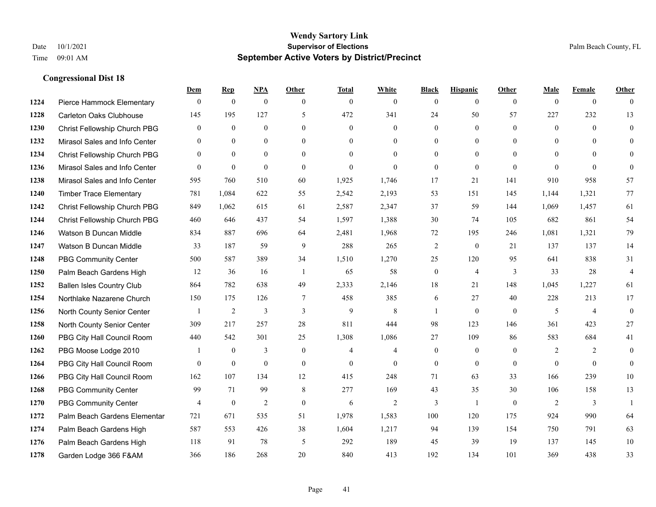|      |                                  | Dem                     | <b>Rep</b>     | <u>NPA</u>     | <b>Other</b>   | <b>Total</b>   | <b>White</b>   | <b>Black</b>   | <b>Hispanic</b>  | <b>Other</b>   | <b>Male</b>  | <b>Female</b>  | <b>Other</b>   |
|------|----------------------------------|-------------------------|----------------|----------------|----------------|----------------|----------------|----------------|------------------|----------------|--------------|----------------|----------------|
| 1224 | Pierce Hammock Elementary        | $\mathbf{0}$            | $\mathbf{0}$   | $\mathbf{0}$   | $\mathbf{0}$   | $\mathbf{0}$   | $\overline{0}$ | $\Omega$       | $\overline{0}$   | $\theta$       | $\mathbf{0}$ | $\overline{0}$ | $\theta$       |
| 1228 | <b>Carleton Oaks Clubhouse</b>   | 145                     | 195            | 127            | 5              | 472            | 341            | 24             | 50               | 57             | 227          | 232            | 13             |
| 1230 | Christ Fellowship Church PBG     | $\theta$                | $\mathbf{0}$   | $\theta$       | $\Omega$       | $\theta$       | $\Omega$       | $\Omega$       | $\Omega$         | $\Omega$       | $\theta$     | $\theta$       | $\theta$       |
| 1232 | Mirasol Sales and Info Center    | $\mathbf{0}$            | $\mathbf{0}$   | $\mathbf{0}$   | $\overline{0}$ | $\overline{0}$ | $\overline{0}$ | $\overline{0}$ | $\boldsymbol{0}$ | $\mathbf{0}$   | $\mathbf{0}$ | $\theta$       | $\theta$       |
| 1234 | Christ Fellowship Church PBG     | $\theta$                | $\theta$       | $\theta$       | $\theta$       | $\Omega$       | $\overline{0}$ | $\overline{0}$ | $\overline{0}$   | $\Omega$       | $\theta$     | $\theta$       | $\theta$       |
| 1236 | Mirasol Sales and Info Center    | $\Omega$                | $\mathbf{0}$   | $\mathbf{0}$   | $\theta$       | $\mathbf{0}$   | $\Omega$       | $\Omega$       | $\mathbf{0}$     | $\theta$       | $\theta$     | $\Omega$       | $\theta$       |
| 1238 | Mirasol Sales and Info Center    | 595                     | 760            | 510            | 60             | 1,925          | 1,746          | 17             | 21               | 141            | 910          | 958            | 57             |
| 1240 | <b>Timber Trace Elementary</b>   | 781                     | 1,084          | 622            | 55             | 2,542          | 2,193          | 53             | 151              | 145            | 1,144        | 1,321          | 77             |
| 1242 | Christ Fellowship Church PBG     | 849                     | 1,062          | 615            | 61             | 2,587          | 2,347          | 37             | 59               | 144            | 1,069        | 1,457          | 61             |
| 1244 | Christ Fellowship Church PBG     | 460                     | 646            | 437            | 54             | 1,597          | 1,388          | 30             | 74               | 105            | 682          | 861            | 54             |
| 1246 | Watson B Duncan Middle           | 834                     | 887            | 696            | 64             | 2,481          | 1,968          | 72             | 195              | 246            | 1,081        | 1,321          | 79             |
| 1247 | Watson B Duncan Middle           | 33                      | 187            | 59             | 9              | 288            | 265            | $\overline{c}$ | $\overline{0}$   | 21             | 137          | 137            | 14             |
| 1248 | <b>PBG Community Center</b>      | 500                     | 587            | 389            | 34             | 1,510          | 1,270          | 25             | 120              | 95             | 641          | 838            | 31             |
| 1250 | Palm Beach Gardens High          | 12                      | 36             | 16             | -1             | 65             | 58             | $\overline{0}$ | $\overline{4}$   | $\overline{3}$ | 33           | 28             | $\overline{4}$ |
| 1252 | <b>Ballen Isles Country Club</b> | 864                     | 782            | 638            | 49             | 2,333          | 2,146          | 18             | 21               | 148            | 1,045        | 1,227          | 61             |
| 1254 | Northlake Nazarene Church        | 150                     | 175            | 126            | $\tau$         | 458            | 385            | 6              | 27               | 40             | 228          | 213            | 17             |
| 1256 | North County Senior Center       | $\overline{\mathbf{1}}$ | $\mathfrak{2}$ | 3              | $\overline{3}$ | 9              | 8              | -1             | $\mathbf{0}$     | $\theta$       | 5            | $\overline{4}$ | $\mathbf{0}$   |
| 1258 | North County Senior Center       | 309                     | 217            | 257            | 28             | 811            | 444            | 98             | 123              | 146            | 361          | 423            | $27\,$         |
| 1260 | PBG City Hall Council Room       | 440                     | 542            | 301            | 25             | 1,308          | 1,086          | 27             | 109              | 86             | 583          | 684            | 41             |
| 1262 | PBG Moose Lodge 2010             |                         | $\mathbf{0}$   | 3              | $\mathbf{0}$   | $\overline{4}$ | $\overline{4}$ | $\mathbf{0}$   | $\overline{0}$   | $\theta$       | 2            | 2              | $\mathbf{0}$   |
| 1264 | PBG City Hall Council Room       | $\Omega$                | $\mathbf{0}$   | $\theta$       | $\Omega$       | $\theta$       | $\Omega$       | $\overline{0}$ | $\theta$         | $\theta$       | $\Omega$     | $\Omega$       | $\theta$       |
| 1266 | PBG City Hall Council Room       | 162                     | 107            | 134            | 12             | 415            | 248            | 71             | 63               | 33             | 166          | 239            | $10\,$         |
| 1268 | <b>PBG Community Center</b>      | 99                      | 71             | 99             | 8              | 277            | 169            | 43             | 35               | 30             | 106          | 158            | 13             |
| 1270 | <b>PBG Community Center</b>      | 4                       | $\mathbf{0}$   | $\overline{2}$ | $\theta$       | 6              | 2              | 3              | $\mathbf{1}$     | $\theta$       | 2            | 3              | $\mathbf{1}$   |
| 1272 | Palm Beach Gardens Elementar     | 721                     | 671            | 535            | 51             | 1,978          | 1,583          | 100            | 120              | 175            | 924          | 990            | 64             |
| 1274 | Palm Beach Gardens High          | 587                     | 553            | 426            | 38             | 1,604          | 1,217          | 94             | 139              | 154            | 750          | 791            | 63             |
| 1276 | Palm Beach Gardens High          | 118                     | 91             | 78             | 5              | 292            | 189            | 45             | 39               | 19             | 137          | 145            | 10             |
| 1278 | Garden Lodge 366 F&AM            | 366                     | 186            | 268            | 20             | 840            | 413            | 192            | 134              | 101            | 369          | 438            | 33             |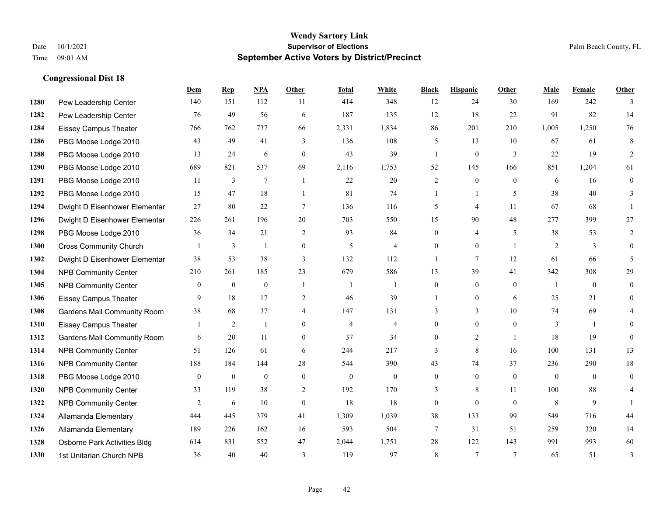|      |                                    | Dem          | <b>Rep</b>     | NPA            | <b>Other</b>     | <b>Total</b>   | <b>White</b>   | <b>Black</b>     | <b>Hispanic</b> | Other          | <b>Male</b>    | <b>Female</b> | <b>Other</b> |
|------|------------------------------------|--------------|----------------|----------------|------------------|----------------|----------------|------------------|-----------------|----------------|----------------|---------------|--------------|
| 1280 | Pew Leadership Center              | 140          | 151            | 112            | 11               | 414            | 348            | 12               | 24              | 30             | 169            | 242           | 3            |
| 1282 | Pew Leadership Center              | 76           | 49             | 56             | 6                | 187            | 135            | 12               | 18              | 22             | 91             | 82            | 14           |
| 1284 | <b>Eissey Campus Theater</b>       | 766          | 762            | 737            | 66               | 2,331          | 1,834          | 86               | 201             | 210            | 1,005          | 1,250         | 76           |
| 1286 | PBG Moose Lodge 2010               | 43           | 49             | 41             | 3                | 136            | 108            | 5                | 13              | 10             | 67             | 61            | 8            |
| 1288 | PBG Moose Lodge 2010               | 13           | 24             | 6              | $\theta$         | 43             | 39             | $\mathbf{1}$     | $\mathbf{0}$    | 3              | 22             | 19            | 2            |
| 1290 | PBG Moose Lodge 2010               | 689          | 821            | 537            | 69               | 2,116          | 1,753          | 52               | 145             | 166            | 851            | 1,204         | 61           |
| 1291 | PBG Moose Lodge 2010               | 11           | 3              | $\overline{7}$ | $\overline{1}$   | 22             | 20             | $\overline{c}$   | $\mathbf{0}$    | $\theta$       | 6              | 16            | $\mathbf{0}$ |
| 1292 | PBG Moose Lodge 2010               | 15           | 47             | 18             | $\overline{1}$   | 81             | 74             | $\mathbf{1}$     | $\mathbf{1}$    | 5              | 38             | 40            | 3            |
| 1294 | Dwight D Eisenhower Elementar      | 27           | 80             | $22\,$         | $\overline{7}$   | 136            | 116            | 5                | 4               | 11             | 67             | 68            |              |
| 1296 | Dwight D Eisenhower Elementar      | 226          | 261            | 196            | 20               | 703            | 550            | 15               | 90              | 48             | 277            | 399           | 27           |
| 1298 | PBG Moose Lodge 2010               | 36           | 34             | 21             | 2                | 93             | 84             | $\overline{0}$   | 4               | 5              | 38             | 53            | 2            |
| 1300 | <b>Cross Community Church</b>      |              | 3              | 1              | $\boldsymbol{0}$ | 5              | 4              | $\overline{0}$   | $\overline{0}$  | $\overline{1}$ | 2              | 3             | $\theta$     |
| 1302 | Dwight D Eisenhower Elementar      | 38           | 53             | 38             | 3                | 132            | 112            | 1                | 7               | 12             | 61             | 66            | 5            |
| 1304 | <b>NPB Community Center</b>        | 210          | 261            | 185            | 23               | 679            | 586            | 13               | 39              | 41             | 342            | 308           | 29           |
| 1305 | <b>NPB Community Center</b>        | $\mathbf{0}$ | $\mathbf{0}$   | $\mathbf{0}$   | $\overline{1}$   | $\overline{1}$ | $\mathbf{1}$   | $\overline{0}$   | $\overline{0}$  | $\theta$       | $\overline{1}$ | $\theta$      | $\mathbf{0}$ |
| 1306 | Eissey Campus Theater              | 9            | 18             | 17             | 2                | 46             | 39             | 1                | $\overline{0}$  | 6              | 25             | 21            | $\theta$     |
| 1308 | Gardens Mall Community Room        | 38           | 68             | 37             | $\overline{4}$   | 147            | 131            | 3                | 3               | 10             | 74             | 69            | 4            |
| 1310 | <b>Eissey Campus Theater</b>       |              | $\overline{c}$ | 1              | $\theta$         | $\overline{4}$ | $\overline{4}$ | $\overline{0}$   | $\overline{0}$  | $\theta$       | 3              |               | $\Omega$     |
| 1312 | <b>Gardens Mall Community Room</b> | 6            | 20             | 11             | $\mathbf{0}$     | 37             | 34             | $\overline{0}$   | $\overline{2}$  | $\overline{1}$ | 18             | 19            | $\Omega$     |
| 1314 | <b>NPB Community Center</b>        | 51           | 126            | 61             | 6                | 244            | 217            | 3                | 8               | 16             | 100            | 131           | 13           |
| 1316 | <b>NPB Community Center</b>        | 188          | 184            | 144            | 28               | 544            | 390            | 43               | 74              | 37             | 236            | 290           | $18\,$       |
| 1318 | PBG Moose Lodge 2010               | $\mathbf{0}$ | $\mathbf{0}$   | $\mathbf{0}$   | $\mathbf{0}$     | $\mathbf{0}$   | $\overline{0}$ | $\overline{0}$   | $\overline{0}$  | $\mathbf{0}$   | $\overline{0}$ | $\theta$      | $\theta$     |
| 1320 | <b>NPB Community Center</b>        | 33           | 119            | 38             | 2                | 192            | 170            | 3                | 8               | 11             | 100            | 88            | 4            |
| 1322 | <b>NPB Community Center</b>        | 2            | 6              | 10             | $\mathbf{0}$     | 18             | 18             | $\boldsymbol{0}$ | $\overline{0}$  | $\theta$       | 8              | 9             |              |
| 1324 | Allamanda Elementary               | 444          | 445            | 379            | 41               | 1,309          | 1,039          | 38               | 133             | 99             | 549            | 716           | 44           |
| 1326 | Allamanda Elementary               | 189          | 226            | 162            | 16               | 593            | 504            | 7                | 31              | 51             | 259            | 320           | 14           |
| 1328 | Osborne Park Activities Bldg       | 614          | 831            | 552            | 47               | 2,044          | 1,751          | 28               | 122             | 143            | 991            | 993           | 60           |
| 1330 | 1st Unitarian Church NPB           | 36           | 40             | 40             | 3                | 119            | 97             | 8                | $\tau$          | $\overline{7}$ | 65             | 51            | 3            |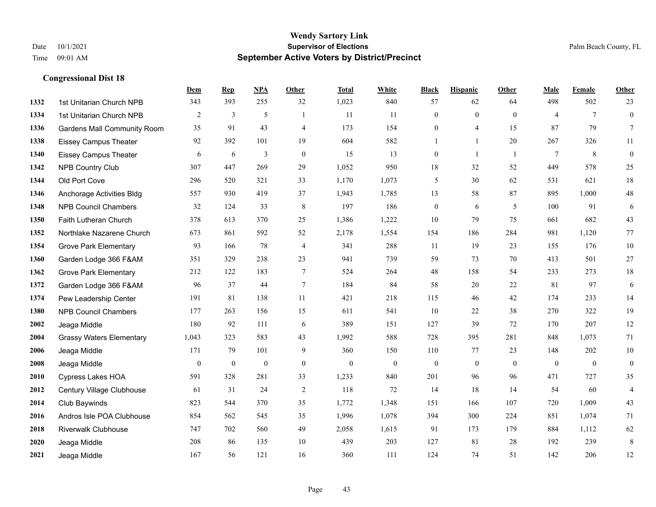|      |                                    | Dem          | <b>Rep</b>   | NPA          | <b>Other</b>   | <b>Total</b> | <b>White</b> | <b>Black</b>     | <b>Hispanic</b> | <b>Other</b>   | <b>Male</b>    | <b>Female</b> | Other                   |
|------|------------------------------------|--------------|--------------|--------------|----------------|--------------|--------------|------------------|-----------------|----------------|----------------|---------------|-------------------------|
| 1332 | 1st Unitarian Church NPB           | 343          | 393          | 255          | 32             | 1,023        | 840          | 57               | 62              | 64             | 498            | 502           | 23                      |
| 1334 | 1st Unitarian Church NPB           | 2            | 3            | 5            |                | 11           | 11           | $\boldsymbol{0}$ | $\mathbf{0}$    | $\theta$       | $\overline{4}$ | $\tau$        | $\boldsymbol{0}$        |
| 1336 | <b>Gardens Mall Community Room</b> | 35           | 91           | 43           | $\overline{4}$ | 173          | 154          | $\mathbf{0}$     | $\overline{4}$  | 15             | 87             | 79            | $\tau$                  |
| 1338 | <b>Eissey Campus Theater</b>       | 92           | 392          | 101          | 19             | 604          | 582          |                  | $\mathbf{1}$    | 20             | 267            | 326           | 11                      |
| 1340 | <b>Eissey Campus Theater</b>       | 6            | 6            | 3            | $\mathbf{0}$   | 15           | 13           | $\boldsymbol{0}$ | $\mathbf{1}$    | $\overline{1}$ | $\tau$         | 8             | $\boldsymbol{0}$        |
| 1342 | NPB Country Club                   | 307          | 447          | 269          | 29             | 1,052        | 950          | 18               | 32              | 52             | 449            | 578           | 25                      |
| 1344 | Old Port Cove                      | 296          | 520          | 321          | 33             | 1,170        | 1,073        | 5                | 30              | 62             | 531            | 621           | 18                      |
| 1346 | Anchorage Activities Bldg          | 557          | 930          | 419          | 37             | 1,943        | 1,785        | 13               | 58              | 87             | 895            | 1,000         | 48                      |
| 1348 | <b>NPB Council Chambers</b>        | 32           | 124          | 33           | 8              | 197          | 186          | $\boldsymbol{0}$ | 6               | 5              | 100            | 91            | $\sqrt{6}$              |
| 1350 | Faith Lutheran Church              | 378          | 613          | 370          | 25             | 1,386        | 1,222        | 10               | 79              | 75             | 661            | 682           | 43                      |
| 1352 | Northlake Nazarene Church          | 673          | 861          | 592          | 52             | 2,178        | 1,554        | 154              | 186             | 284            | 981            | 1,120         | 77                      |
| 1354 | <b>Grove Park Elementary</b>       | 93           | 166          | 78           | 4              | 341          | 288          | 11               | 19              | 23             | 155            | 176           | $10\,$                  |
| 1360 | Garden Lodge 366 F&AM              | 351          | 329          | 238          | 23             | 941          | 739          | 59               | 73              | 70             | 413            | 501           | 27                      |
| 1362 | <b>Grove Park Elementary</b>       | 212          | 122          | 183          | $\tau$         | 524          | 264          | 48               | 158             | 54             | 233            | 273           | $18\,$                  |
| 1372 | Garden Lodge 366 F&AM              | 96           | 37           | 44           | $\tau$         | 184          | 84           | 58               | 20              | 22             | 81             | 97            | $\sqrt{6}$              |
| 1374 | Pew Leadership Center              | 191          | 81           | 138          | 11             | 421          | 218          | 115              | 46              | 42             | 174            | 233           | 14                      |
| 1380 | <b>NPB Council Chambers</b>        | 177          | 263          | 156          | 15             | 611          | 541          | 10               | 22              | 38             | 270            | 322           | 19                      |
| 2002 | Jeaga Middle                       | 180          | 92           | 111          | 6              | 389          | 151          | 127              | 39              | 72             | 170            | 207           | 12                      |
| 2004 | <b>Grassy Waters Elementary</b>    | 1,043        | 323          | 583          | 43             | 1,992        | 588          | 728              | 395             | 281            | 848            | 1,073         | 71                      |
| 2006 | Jeaga Middle                       | 171          | 79           | 101          | 9              | 360          | 150          | 110              | 77              | 23             | 148            | 202           | $10\,$                  |
| 2008 | Jeaga Middle                       | $\mathbf{0}$ | $\mathbf{0}$ | $\mathbf{0}$ | $\mathbf{0}$   | $\theta$     | $\mathbf{0}$ | $\mathbf{0}$     | $\theta$        | $\theta$       | $\theta$       | $\mathbf{0}$  | $\boldsymbol{0}$        |
| 2010 | Cypress Lakes HOA                  | 591          | 328          | 281          | 33             | 1,233        | 840          | 201              | 96              | 96             | 471            | 727           | 35                      |
| 2012 | Century Village Clubhouse          | 61           | 31           | 24           | $\overline{2}$ | 118          | 72           | 14               | 18              | 14             | 54             | 60            | $\overline{\mathbf{4}}$ |
| 2014 | Club Baywinds                      | 823          | 544          | 370          | 35             | 1,772        | 1,348        | 151              | 166             | 107            | 720            | 1,009         | 43                      |
| 2016 | Andros Isle POA Clubhouse          | 854          | 562          | 545          | 35             | 1,996        | 1,078        | 394              | 300             | 224            | 851            | 1,074         | 71                      |
| 2018 | <b>Riverwalk Clubhouse</b>         | 747          | 702          | 560          | 49             | 2,058        | 1,615        | 91               | 173             | 179            | 884            | 1,112         | 62                      |
| 2020 | Jeaga Middle                       | 208          | 86           | 135          | 10             | 439          | 203          | 127              | 81              | 28             | 192            | 239           | $\,8\,$                 |
| 2021 | Jeaga Middle                       | 167          | 56           | 121          | 16             | 360          | 111          | 124              | 74              | 51             | 142            | 206           | 12                      |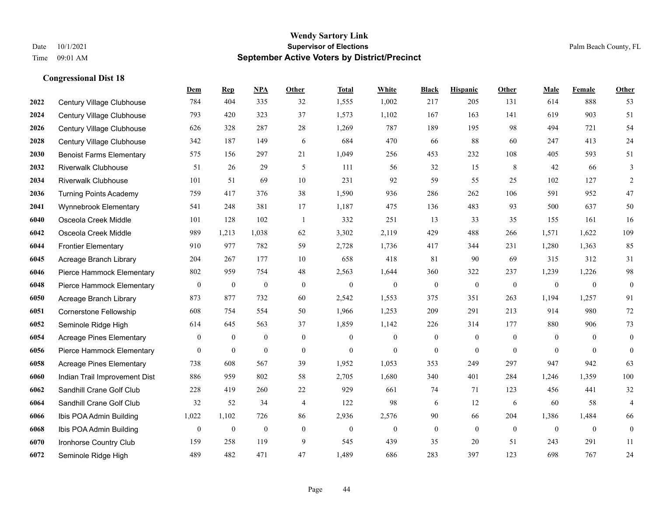|      |                                 | Dem              | <b>Rep</b>       | NPA              | <b>Other</b> | <b>Total</b> | White            | <b>Black</b>     | <b>Hispanic</b> | <b>Other</b>   | <b>Male</b>  | Female       | <b>Other</b>     |
|------|---------------------------------|------------------|------------------|------------------|--------------|--------------|------------------|------------------|-----------------|----------------|--------------|--------------|------------------|
| 2022 | Century Village Clubhouse       | 784              | 404              | 335              | 32           | 1,555        | 1,002            | 217              | 205             | 131            | 614          | 888          | 53               |
| 2024 | Century Village Clubhouse       | 793              | 420              | 323              | 37           | 1,573        | 1,102            | 167              | 163             | 141            | 619          | 903          | 51               |
| 2026 | Century Village Clubhouse       | 626              | 328              | 287              | 28           | 1,269        | 787              | 189              | 195             | 98             | 494          | 721          | 54               |
| 2028 | Century Village Clubhouse       | 342              | 187              | 149              | 6            | 684          | 470              | 66               | 88              | 60             | 247          | 413          | 24               |
| 2030 | <b>Benoist Farms Elementary</b> | 575              | 156              | 297              | 21           | 1,049        | 256              | 453              | 232             | 108            | 405          | 593          | 51               |
| 2032 | <b>Riverwalk Clubhouse</b>      | 51               | 26               | 29               | 5            | 111          | 56               | 32               | 15              | 8              | 42           | 66           | 3                |
| 2034 | <b>Riverwalk Clubhouse</b>      | 101              | 51               | 69               | 10           | 231          | 92               | 59               | 55              | 25             | 102          | 127          | 2                |
| 2036 | <b>Turning Points Academy</b>   | 759              | 417              | 376              | 38           | 1,590        | 936              | 286              | 262             | 106            | 591          | 952          | 47               |
| 2041 | Wynnebrook Elementary           | 541              | 248              | 381              | 17           | 1,187        | 475              | 136              | 483             | 93             | 500          | 637          | 50               |
| 6040 | Osceola Creek Middle            | 101              | 128              | 102              | -1           | 332          | 251              | 13               | 33              | 35             | 155          | 161          | 16               |
| 6042 | Osceola Creek Middle            | 989              | 1,213            | 1,038            | 62           | 3,302        | 2,119            | 429              | 488             | 266            | 1,571        | 1,622        | 109              |
| 6044 | <b>Frontier Elementary</b>      | 910              | 977              | 782              | 59           | 2,728        | 1,736            | 417              | 344             | 231            | 1,280        | 1,363        | 85               |
| 6045 | Acreage Branch Library          | 204              | 267              | 177              | 10           | 658          | 418              | 81               | 90              | 69             | 315          | 312          | 31               |
| 6046 | Pierce Hammock Elementary       | 802              | 959              | 754              | 48           | 2,563        | 1,644            | 360              | 322             | 237            | 1,239        | 1,226        | 98               |
| 6048 | Pierce Hammock Elementary       | $\boldsymbol{0}$ | $\bf{0}$         | $\boldsymbol{0}$ | $\mathbf{0}$ | $\mathbf{0}$ | $\mathbf{0}$     | $\mathbf{0}$     | $\theta$        | $\mathbf{0}$   | $\mathbf{0}$ | $\mathbf{0}$ | $\boldsymbol{0}$ |
| 6050 | Acreage Branch Library          | 873              | 877              | 732              | 60           | 2,542        | 1,553            | 375              | 351             | 263            | 1,194        | 1,257        | 91               |
| 6051 | Cornerstone Fellowship          | 608              | 754              | 554              | 50           | 1,966        | 1,253            | 209              | 291             | 213            | 914          | 980          | 72               |
| 6052 | Seminole Ridge High             | 614              | 645              | 563              | 37           | 1,859        | 1,142            | 226              | 314             | 177            | 880          | 906          | 73               |
| 6054 | <b>Acreage Pines Elementary</b> | $\overline{0}$   | $\boldsymbol{0}$ | $\boldsymbol{0}$ | $\mathbf{0}$ | $\mathbf{0}$ | $\mathbf{0}$     | $\mathbf{0}$     | $\mathbf{0}$    | $\overline{0}$ | $\theta$     | $\theta$     | $\mathbf{0}$     |
| 6056 | Pierce Hammock Elementary       | $\overline{0}$   | $\boldsymbol{0}$ | $\mathbf{0}$     | $\mathbf{0}$ | $\mathbf{0}$ | $\overline{0}$   | $\boldsymbol{0}$ | $\mathbf{0}$    | $\overline{0}$ | $\mathbf{0}$ | $\mathbf{0}$ | $\boldsymbol{0}$ |
| 6058 | <b>Acreage Pines Elementary</b> | 738              | 608              | 567              | 39           | 1,952        | 1,053            | 353              | 249             | 297            | 947          | 942          | 63               |
| 6060 | Indian Trail Improvement Dist   | 886              | 959              | 802              | 58           | 2,705        | 1,680            | 340              | 401             | 284            | 1,246        | 1,359        | 100              |
| 6062 | Sandhill Crane Golf Club        | 228              | 419              | 260              | 22           | 929          | 661              | 74               | 71              | 123            | 456          | 441          | 32               |
| 6064 | Sandhill Crane Golf Club        | 32               | 52               | 34               | 4            | 122          | 98               | 6                | 12              | 6              | 60           | 58           | $\overline{4}$   |
| 6066 | Ibis POA Admin Building         | 1,022            | 1,102            | 726              | 86           | 2,936        | 2,576            | 90               | 66              | 204            | 1,386        | 1,484        | 66               |
| 6068 | Ibis POA Admin Building         | $\boldsymbol{0}$ | $\boldsymbol{0}$ | $\boldsymbol{0}$ | $\mathbf{0}$ | $\mathbf{0}$ | $\boldsymbol{0}$ | $\boldsymbol{0}$ | $\mathbf{0}$    | $\overline{0}$ | $\mathbf{0}$ | $\theta$     | $\mathbf{0}$     |
| 6070 | Ironhorse Country Club          | 159              | 258              | 119              | 9            | 545          | 439              | 35               | 20              | 51             | 243          | 291          | 11               |
| 6072 | Seminole Ridge High             | 489              | 482              | 471              | 47           | 1,489        | 686              | 283              | 397             | 123            | 698          | 767          | 24               |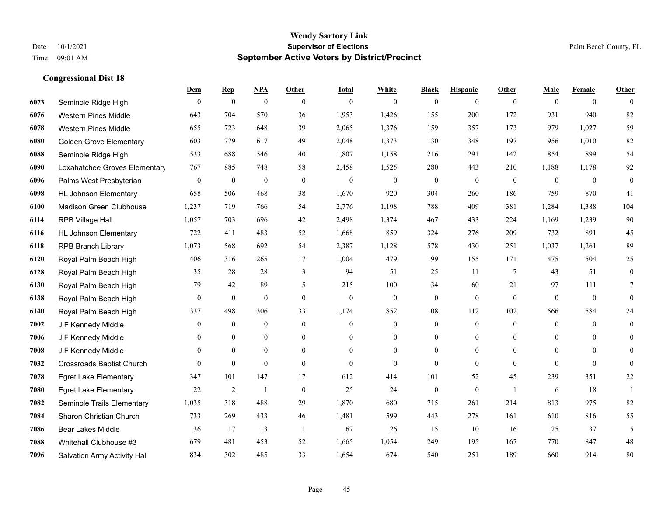|      |                                  | Dem              | <b>Rep</b>       | NPA              | <b>Other</b>   | <b>Total</b> | <b>White</b>     | <b>Black</b>     | <b>Hispanic</b>  | <b>Other</b>   | <b>Male</b>  | <b>Female</b>  | <b>Other</b>     |
|------|----------------------------------|------------------|------------------|------------------|----------------|--------------|------------------|------------------|------------------|----------------|--------------|----------------|------------------|
| 6073 | Seminole Ridge High              | $\mathbf{0}$     | $\boldsymbol{0}$ | $\boldsymbol{0}$ | $\theta$       | $\theta$     | $\overline{0}$   | $\mathbf{0}$     | $\mathbf{0}$     | $\theta$       | $\mathbf{0}$ | $\overline{0}$ | $\theta$         |
| 6076 | <b>Western Pines Middle</b>      | 643              | 704              | 570              | 36             | 1,953        | 1,426            | 155              | 200              | 172            | 931          | 940            | 82               |
| 6078 | <b>Western Pines Middle</b>      | 655              | 723              | 648              | 39             | 2,065        | 1,376            | 159              | 357              | 173            | 979          | 1,027          | 59               |
| 6080 | <b>Golden Grove Elementary</b>   | 603              | 779              | 617              | 49             | 2,048        | 1,373            | 130              | 348              | 197            | 956          | 1,010          | 82               |
| 6088 | Seminole Ridge High              | 533              | 688              | 546              | 40             | 1,807        | 1,158            | 216              | 291              | 142            | 854          | 899            | 54               |
| 6090 | Loxahatchee Groves Elementary    | 767              | 885              | 748              | 58             | 2,458        | 1,525            | 280              | 443              | 210            | 1,188        | 1,178          | 92               |
| 6096 | Palms West Presbyterian          | $\boldsymbol{0}$ | $\boldsymbol{0}$ | $\boldsymbol{0}$ | $\mathbf{0}$   | $\theta$     | $\mathbf{0}$     | $\boldsymbol{0}$ | $\mathbf{0}$     | $\mathbf{0}$   | $\mathbf{0}$ | $\mathbf{0}$   | $\boldsymbol{0}$ |
| 6098 | <b>HL Johnson Elementary</b>     | 658              | 506              | 468              | 38             | 1,670        | 920              | 304              | 260              | 186            | 759          | 870            | 41               |
| 6100 | Madison Green Clubhouse          | 1,237            | 719              | 766              | 54             | 2,776        | 1,198            | 788              | 409              | 381            | 1,284        | 1,388          | 104              |
| 6114 | RPB Village Hall                 | 1,057            | 703              | 696              | 42             | 2,498        | 1,374            | 467              | 433              | 224            | 1,169        | 1,239          | 90               |
| 6116 | <b>HL Johnson Elementary</b>     | 722              | 411              | 483              | 52             | 1,668        | 859              | 324              | 276              | 209            | 732          | 891            | 45               |
| 6118 | <b>RPB Branch Library</b>        | 1,073            | 568              | 692              | 54             | 2,387        | 1,128            | 578              | 430              | 251            | 1,037        | 1,261          | 89               |
| 6120 | Royal Palm Beach High            | 406              | 316              | 265              | 17             | 1,004        | 479              | 199              | 155              | 171            | 475          | 504            | 25               |
| 6128 | Royal Palm Beach High            | 35               | 28               | 28               | 3              | 94           | 51               | 25               | 11               | $\tau$         | 43           | 51             | $\boldsymbol{0}$ |
| 6130 | Royal Palm Beach High            | 79               | 42               | 89               | 5              | 215          | 100              | 34               | 60               | 21             | 97           | 111            | 7                |
| 6138 | Royal Palm Beach High            | $\mathbf{0}$     | $\mathbf{0}$     | $\mathbf{0}$     | $\theta$       | $\mathbf{0}$ | $\overline{0}$   | $\mathbf{0}$     | $\mathbf{0}$     | $\theta$       | $\mathbf{0}$ | $\mathbf{0}$   | $\mathbf{0}$     |
| 6140 | Royal Palm Beach High            | 337              | 498              | 306              | 33             | 1,174        | 852              | 108              | 112              | 102            | 566          | 584            | $24\,$           |
| 7002 | J F Kennedy Middle               | $\mathbf{0}$     | $\overline{0}$   | $\mathbf{0}$     | $\theta$       | $\theta$     | $\overline{0}$   | $\overline{0}$   | $\mathbf{0}$     | $\theta$       | $\theta$     | $\theta$       | $\overline{0}$   |
| 7006 | J F Kennedy Middle               | $\mathbf{0}$     | $\mathbf{0}$     | $\mathbf{0}$     | $\overline{0}$ | $\theta$     | $\overline{0}$   | $\overline{0}$   | $\mathbf{0}$     | $\theta$       | $\mathbf{0}$ | $\theta$       | $\theta$         |
| 7008 | J F Kennedy Middle               | $\mathbf{0}$     | $\mathbf{0}$     | $\mathbf{0}$     | $\overline{0}$ | $\mathbf{0}$ | $\boldsymbol{0}$ | $\boldsymbol{0}$ | $\boldsymbol{0}$ | $\overline{0}$ | $\mathbf{0}$ | $\mathbf{0}$   | $\mathbf{0}$     |
| 7032 | <b>Crossroads Baptist Church</b> | $\theta$         | $\mathbf{0}$     | $\mathbf{0}$     | $\theta$       | $\Omega$     | $\theta$         | $\mathbf{0}$     | $\theta$         | $\theta$       | $\theta$     | $\theta$       | $\theta$         |
| 7078 | <b>Egret Lake Elementary</b>     | 347              | 101              | 147              | 17             | 612          | 414              | 101              | 52               | 45             | 239          | 351            | $22\,$           |
| 7080 | <b>Egret Lake Elementary</b>     | 22               | $\overline{2}$   | $\overline{1}$   | $\mathbf{0}$   | 25           | 24               | $\boldsymbol{0}$ | $\mathbf{0}$     | $\overline{1}$ | 6            | 18             | -1               |
| 7082 | Seminole Trails Elementary       | 1,035            | 318              | 488              | 29             | 1,870        | 680              | 715              | 261              | 214            | 813          | 975            | 82               |
| 7084 | Sharon Christian Church          | 733              | 269              | 433              | 46             | 1,481        | 599              | 443              | 278              | 161            | 610          | 816            | 55               |
| 7086 | <b>Bear Lakes Middle</b>         | 36               | 17               | 13               | $\overline{1}$ | 67           | 26               | 15               | 10               | 16             | 25           | 37             | 5                |
| 7088 | Whitehall Clubhouse #3           | 679              | 481              | 453              | 52             | 1,665        | 1,054            | 249              | 195              | 167            | 770          | 847            | $48\,$           |
| 7096 | Salvation Army Activity Hall     | 834              | 302              | 485              | 33             | 1,654        | 674              | 540              | 251              | 189            | 660          | 914            | 80               |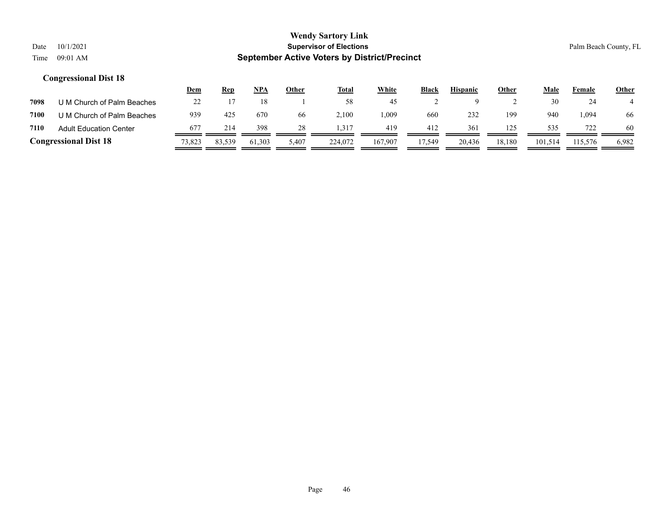|      |                               | <u>Dem</u>          | <u>Rep</u> | NPA    | Other | <u>Total</u> | <b>White</b> | Black  | <b>Hispanic</b> | Other  | Male    | Female  | <b>Other</b> |
|------|-------------------------------|---------------------|------------|--------|-------|--------------|--------------|--------|-----------------|--------|---------|---------|--------------|
| 7098 | U M Church of Palm Beaches    | $\mathcal{D}$<br>∠∠ |            |        |       | 58           | 45           |        |                 |        | 30      | 24      |              |
| 7100 | U M Church of Palm Beaches    | 939                 | 425        | 670    | 66    | 2,100        | .009         | 660    | 232             | 199    | 940     | 094. ا  | 66           |
| 7110 | <b>Adult Education Center</b> | 677                 | 214        | 398    | 28    | 1.317        | 419          | 412    | 361             | 125    | 535     | 722     | 60           |
|      | <b>Congressional Dist 18</b>  | 73,823              | 83,539     | 61,303 | 5,407 | 224,072      | 167,907      | 17.549 | 20,436          | 18,180 | 101.514 | 115,576 | 6,982        |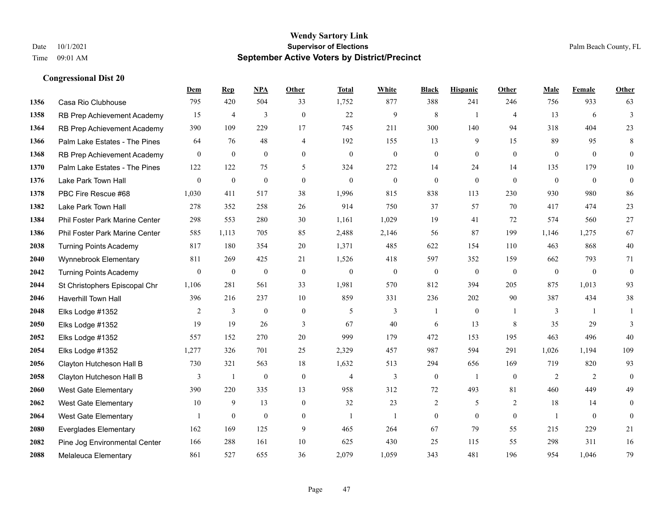|      |                                | Dem              | <b>Rep</b>       | NPA              | <b>Other</b>     | <b>Total</b>     | <b>White</b>     | <b>Black</b>     | <b>Hispanic</b>  | Other          | <b>Male</b>      | Female       | <b>Other</b>     |
|------|--------------------------------|------------------|------------------|------------------|------------------|------------------|------------------|------------------|------------------|----------------|------------------|--------------|------------------|
| 1356 | Casa Rio Clubhouse             | 795              | 420              | 504              | 33               | 1,752            | 877              | 388              | 241              | 246            | 756              | 933          | 63               |
| 1358 | RB Prep Achievement Academy    | 15               | $\overline{4}$   | 3                | $\theta$         | 22               | 9                | 8                | 1                | $\overline{4}$ | 13               | 6            | $\overline{3}$   |
| 1364 | RB Prep Achievement Academy    | 390              | 109              | 229              | 17               | 745              | 211              | 300              | 140              | 94             | 318              | 404          | 23               |
| 1366 | Palm Lake Estates - The Pines  | 64               | 76               | 48               | $\overline{4}$   | 192              | 155              | 13               | 9                | 15             | 89               | 95           | 8                |
| 1368 | RB Prep Achievement Academy    | $\theta$         | $\mathbf{0}$     | $\theta$         | $\theta$         | $\Omega$         | $\overline{0}$   | $\mathbf{0}$     | $\theta$         | $\theta$       | $\theta$         | $\theta$     | $\overline{0}$   |
| 1370 | Palm Lake Estates - The Pines  | 122              | 122              | 75               | 5                | 324              | 272              | 14               | 24               | 14             | 135              | 179          | 10               |
| 1376 | Lake Park Town Hall            | $\overline{0}$   | $\mathbf{0}$     | $\mathbf{0}$     | $\overline{0}$   | $\theta$         | $\mathbf{0}$     | $\mathbf{0}$     | $\mathbf{0}$     | $\theta$       | $\mathbf{0}$     | $\mathbf{0}$ | $\boldsymbol{0}$ |
| 1378 | PBC Fire Rescue #68            | 1,030            | 411              | 517              | 38               | 1,996            | 815              | 838              | 113              | 230            | 930              | 980          | 86               |
| 1382 | Lake Park Town Hall            | 278              | 352              | 258              | 26               | 914              | 750              | 37               | 57               | 70             | 417              | 474          | 23               |
| 1384 | Phil Foster Park Marine Center | 298              | 553              | 280              | 30               | 1,161            | 1,029            | 19               | 41               | 72             | 574              | 560          | 27               |
| 1386 | Phil Foster Park Marine Center | 585              | 1.113            | 705              | 85               | 2,488            | 2,146            | 56               | 87               | 199            | 1,146            | 1,275        | 67               |
| 2038 | <b>Turning Points Academy</b>  | 817              | 180              | 354              | 20               | 1,371            | 485              | 622              | 154              | 110            | 463              | 868          | $40\,$           |
| 2040 | Wynnebrook Elementary          | 811              | 269              | 425              | 21               | 1,526            | 418              | 597              | 352              | 159            | 662              | 793          | 71               |
| 2042 | <b>Turning Points Academy</b>  | $\boldsymbol{0}$ | $\boldsymbol{0}$ | $\boldsymbol{0}$ | $\boldsymbol{0}$ | $\boldsymbol{0}$ | $\boldsymbol{0}$ | $\boldsymbol{0}$ | $\boldsymbol{0}$ | $\mathbf{0}$   | $\boldsymbol{0}$ | $\mathbf{0}$ | $\boldsymbol{0}$ |
| 2044 | St Christophers Episcopal Chr  | 1,106            | 281              | 561              | 33               | 1,981            | 570              | 812              | 394              | 205            | 875              | 1,013        | 93               |
| 2046 | Haverhill Town Hall            | 396              | 216              | 237              | 10               | 859              | 331              | 236              | 202              | 90             | 387              | 434          | 38               |
| 2048 | Elks Lodge #1352               | $\overline{2}$   | $\mathfrak{Z}$   | $\boldsymbol{0}$ | $\mathbf{0}$     | 5                | 3                | 1                | $\boldsymbol{0}$ | $\overline{1}$ | 3                | -1           | $\mathbf{1}$     |
| 2050 | Elks Lodge #1352               | 19               | 19               | 26               | 3                | 67               | 40               | 6                | 13               | 8              | 35               | 29           | 3                |
| 2052 | Elks Lodge #1352               | 557              | 152              | 270              | 20               | 999              | 179              | 472              | 153              | 195            | 463              | 496          | 40               |
| 2054 | Elks Lodge #1352               | 1,277            | 326              | 701              | 25               | 2,329            | 457              | 987              | 594              | 291            | 1,026            | 1,194        | 109              |
| 2056 | Clayton Hutcheson Hall B       | 730              | 321              | 563              | 18               | 1,632            | 513              | 294              | 656              | 169            | 719              | 820          | 93               |
| 2058 | Clayton Hutcheson Hall B       | 3                | $\mathbf{1}$     | $\mathbf{0}$     | $\mathbf{0}$     | $\overline{4}$   | 3                | $\boldsymbol{0}$ | $\mathbf{1}$     | $\mathbf{0}$   | $\overline{2}$   | 2            | $\theta$         |
| 2060 | <b>West Gate Elementary</b>    | 390              | 220              | 335              | 13               | 958              | 312              | 72               | 493              | 81             | 460              | 449          | 49               |
| 2062 | <b>West Gate Elementary</b>    | 10               | 9                | 13               | $\overline{0}$   | 32               | 23               | $\overline{2}$   | 5                | 2              | 18               | 14           | $\overline{0}$   |
| 2064 | <b>West Gate Elementary</b>    |                  | $\mathbf{0}$     | $\theta$         | $\overline{0}$   | $\mathbf{1}$     | 1                | $\mathbf{0}$     | $\theta$         | $\theta$       | $\mathbf{1}$     | $\theta$     | $\mathbf{0}$     |
| 2080 | <b>Everglades Elementary</b>   | 162              | 169              | 125              | 9                | 465              | 264              | 67               | 79               | 55             | 215              | 229          | 21               |
| 2082 | Pine Jog Environmental Center  | 166              | 288              | 161              | 10               | 625              | 430              | 25               | 115              | 55             | 298              | 311          | 16               |
| 2088 | Melaleuca Elementary           | 861              | 527              | 655              | 36               | 2,079            | 1,059            | 343              | 481              | 196            | 954              | 1,046        | 79               |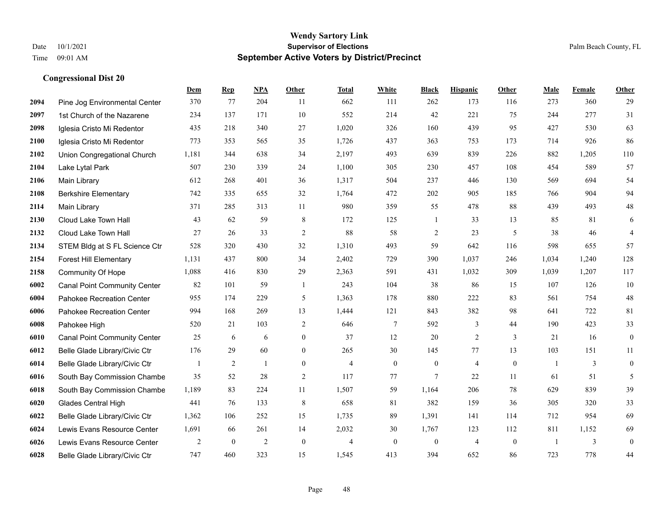|      |                                     | Dem            | <b>Rep</b>   | NPA            | <b>Other</b>   | <b>Total</b>   | <b>White</b>   | <b>Black</b>   | <b>Hispanic</b> | Other        | <b>Male</b>    | <b>Female</b> | <b>Other</b>     |
|------|-------------------------------------|----------------|--------------|----------------|----------------|----------------|----------------|----------------|-----------------|--------------|----------------|---------------|------------------|
| 2094 | Pine Jog Environmental Center       | 370            | 77           | 204            | 11             | 662            | 111            | 262            | 173             | 116          | 273            | 360           | 29               |
| 2097 | 1st Church of the Nazarene          | 234            | 137          | 171            | 10             | 552            | 214            | 42             | 221             | 75           | 244            | 277           | 31               |
| 2098 | Iglesia Cristo Mi Redentor          | 435            | 218          | 340            | 27             | 1,020          | 326            | 160            | 439             | 95           | 427            | 530           | 63               |
| 2100 | Iglesia Cristo Mi Redentor          | 773            | 353          | 565            | 35             | 1,726          | 437            | 363            | 753             | 173          | 714            | 926           | 86               |
| 2102 | Union Congregational Church         | 1,181          | 344          | 638            | 34             | 2,197          | 493            | 639            | 839             | 226          | 882            | 1,205         | 110              |
| 2104 | Lake Lytal Park                     | 507            | 230          | 339            | 24             | 1,100          | 305            | 230            | 457             | 108          | 454            | 589           | 57               |
| 2106 | Main Library                        | 612            | 268          | 401            | 36             | 1,317          | 504            | 237            | 446             | 130          | 569            | 694           | 54               |
| 2108 | <b>Berkshire Elementary</b>         | 742            | 335          | 655            | 32             | 1,764          | 472            | 202            | 905             | 185          | 766            | 904           | 94               |
| 2114 | Main Library                        | 371            | 285          | 313            | 11             | 980            | 359            | 55             | 478             | 88           | 439            | 493           | $48\,$           |
| 2130 | Cloud Lake Town Hall                | 43             | 62           | 59             | 8              | 172            | 125            | 1              | 33              | 13           | 85             | 81            | 6                |
| 2132 | Cloud Lake Town Hall                | 27             | 26           | 33             | $\mathfrak{2}$ | 88             | 58             | $\overline{c}$ | 23              | 5            | 38             | 46            | $\overline{4}$   |
| 2134 | STEM Bldg at S FL Science Ctr       | 528            | 320          | 430            | 32             | 1,310          | 493            | 59             | 642             | 116          | 598            | 655           | 57               |
| 2154 | <b>Forest Hill Elementary</b>       | 1,131          | 437          | 800            | 34             | 2,402          | 729            | 390            | 1,037           | 246          | 1,034          | 1,240         | 128              |
| 2158 | Community Of Hope                   | 1,088          | 416          | 830            | 29             | 2,363          | 591            | 431            | 1,032           | 309          | 1,039          | 1,207         | 117              |
| 6002 | <b>Canal Point Community Center</b> | 82             | 101          | 59             | -1             | 243            | 104            | 38             | 86              | 15           | 107            | 126           | 10               |
| 6004 | Pahokee Recreation Center           | 955            | 174          | 229            | 5              | 1,363          | 178            | 880            | 222             | 83           | 561            | 754           | $48\,$           |
| 6006 | Pahokee Recreation Center           | 994            | 168          | 269            | 13             | 1,444          | 121            | 843            | 382             | 98           | 641            | 722           | 81               |
| 6008 | Pahokee High                        | 520            | 21           | 103            | 2              | 646            | $\tau$         | 592            | 3               | 44           | 190            | 423           | 33               |
| 6010 | <b>Canal Point Community Center</b> | 25             | 6            | 6              | $\mathbf{0}$   | 37             | 12             | 20             | 2               | 3            | 21             | 16            | $\boldsymbol{0}$ |
| 6012 | Belle Glade Library/Civic Ctr       | 176            | 29           | 60             | $\mathbf{0}$   | 265            | 30             | 145            | 77              | 13           | 103            | 151           | 11               |
| 6014 | Belle Glade Library/Civic Ctr       | $\overline{1}$ | 2            | $\mathbf{1}$   | $\theta$       | $\overline{4}$ | $\overline{0}$ | $\overline{0}$ | 4               | $\mathbf{0}$ | $\overline{1}$ | 3             | $\mathbf{0}$     |
| 6016 | South Bay Commission Chambe         | 35             | 52           | 28             | 2              | 117            | 77             | 7              | 22              | 11           | 61             | 51            | 5                |
| 6018 | South Bay Commission Chambe         | 1,189          | 83           | 224            | 11             | 1,507          | 59             | 1,164          | 206             | 78           | 629            | 839           | 39               |
| 6020 | <b>Glades Central High</b>          | 441            | 76           | 133            | 8              | 658            | 81             | 382            | 159             | 36           | 305            | 320           | 33               |
| 6022 | Belle Glade Library/Civic Ctr       | 1,362          | 106          | 252            | 15             | 1,735          | 89             | 1,391          | 141             | 114          | 712            | 954           | 69               |
| 6024 | Lewis Evans Resource Center         | 1,691          | 66           | 261            | 14             | 2,032          | 30             | 1,767          | 123             | 112          | 811            | 1,152         | 69               |
| 6026 | Lewis Evans Resource Center         | 2              | $\mathbf{0}$ | $\overline{c}$ | $\mathbf{0}$   | $\overline{4}$ | $\overline{0}$ | $\mathbf{0}$   | $\overline{4}$  | $\mathbf{0}$ | -1             | 3             | $\boldsymbol{0}$ |
| 6028 | Belle Glade Library/Civic Ctr       | 747            | 460          | 323            | 15             | 1,545          | 413            | 394            | 652             | 86           | 723            | 778           | 44               |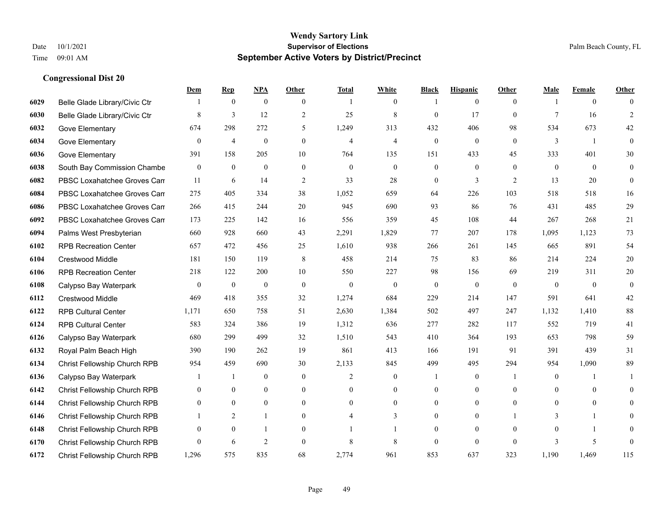|      |                                     | Dem              | <b>Rep</b>       | NPA              | <b>Other</b>     | <b>Total</b>   | <b>White</b>     | <b>Black</b>     | <b>Hispanic</b>  | <b>Other</b> | <b>Male</b>    | <b>Female</b>  | <b>Other</b>   |
|------|-------------------------------------|------------------|------------------|------------------|------------------|----------------|------------------|------------------|------------------|--------------|----------------|----------------|----------------|
| 6029 | Belle Glade Library/Civic Ctr       |                  | $\boldsymbol{0}$ | $\boldsymbol{0}$ | $\overline{0}$   |                | $\overline{0}$   |                  | $\mathbf{0}$     | $\theta$     |                | $\overline{0}$ | $\Omega$       |
| 6030 | Belle Glade Library/Civic Ctr       | 8                | $\overline{3}$   | 12               | $\overline{2}$   | 25             | $\,$ 8 $\,$      | $\mathbf{0}$     | 17               | $\theta$     | $\tau$         | 16             | $\overline{2}$ |
| 6032 | Gove Elementary                     | 674              | 298              | 272              | 5                | 1,249          | 313              | 432              | 406              | 98           | 534            | 673            | 42             |
| 6034 | Gove Elementary                     | $\boldsymbol{0}$ | $\overline{4}$   | $\boldsymbol{0}$ | $\boldsymbol{0}$ | $\overline{4}$ | $\overline{4}$   | $\boldsymbol{0}$ | $\boldsymbol{0}$ | $\mathbf{0}$ | $\mathfrak{Z}$ | -1             | $\mathbf{0}$   |
| 6036 | Gove Elementary                     | 391              | 158              | 205              | 10               | 764            | 135              | 151              | 433              | 45           | 333            | 401            | 30             |
| 6038 | South Bay Commission Chambe         | $\mathbf{0}$     | $\boldsymbol{0}$ | $\boldsymbol{0}$ | $\mathbf{0}$     | $\mathbf{0}$   | $\overline{0}$   | $\boldsymbol{0}$ | $\mathbf{0}$     | $\theta$     | $\mathbf{0}$   | $\overline{0}$ | $\overline{0}$ |
| 6082 | PBSC Loxahatchee Groves Can         | 11               | 6                | 14               | 2                | 33             | 28               | $\boldsymbol{0}$ | 3                | 2            | 13             | 20             | $\mathbf{0}$   |
| 6084 | PBSC Loxahatchee Groves Can         | 275              | 405              | 334              | 38               | 1,052          | 659              | 64               | 226              | 103          | 518            | 518            | 16             |
| 6086 | PBSC Loxahatchee Groves Can         | 266              | 415              | 244              | 20               | 945            | 690              | 93               | 86               | 76           | 431            | 485            | $29\,$         |
| 6092 | PBSC Loxahatchee Groves Can         | 173              | 225              | 142              | 16               | 556            | 359              | 45               | 108              | 44           | 267            | 268            | 21             |
| 6094 | Palms West Presbyterian             | 660              | 928              | 660              | 43               | 2,291          | 1,829            | 77               | 207              | 178          | 1,095          | 1,123          | 73             |
| 6102 | <b>RPB Recreation Center</b>        | 657              | 472              | 456              | 25               | 1,610          | 938              | 266              | 261              | 145          | 665            | 891            | 54             |
| 6104 | Crestwood Middle                    | 181              | 150              | 119              | 8                | 458            | 214              | 75               | 83               | 86           | 214            | 224            | $20\,$         |
| 6106 | <b>RPB Recreation Center</b>        | 218              | 122              | 200              | 10               | 550            | 227              | 98               | 156              | 69           | 219            | 311            | $20\,$         |
| 6108 | Calypso Bay Waterpark               | $\overline{0}$   | $\mathbf{0}$     | $\mathbf{0}$     | $\Omega$         | $\mathbf{0}$   | $\mathbf{0}$     | $\mathbf{0}$     | $\mathbf{0}$     | $\theta$     | $\theta$       | $\theta$       | $\mathbf{0}$   |
| 6112 | Crestwood Middle                    | 469              | 418              | 355              | 32               | 1,274          | 684              | 229              | 214              | 147          | 591            | 641            | $42\,$         |
| 6122 | <b>RPB Cultural Center</b>          | 1,171            | 650              | 758              | 51               | 2,630          | 1,384            | 502              | 497              | 247          | 1,132          | 1,410          | $88\,$         |
| 6124 | <b>RPB Cultural Center</b>          | 583              | 324              | 386              | 19               | 1,312          | 636              | 277              | 282              | 117          | 552            | 719            | 41             |
| 6126 | Calypso Bay Waterpark               | 680              | 299              | 499              | 32               | 1,510          | 543              | 410              | 364              | 193          | 653            | 798            | 59             |
| 6132 | Royal Palm Beach High               | 390              | 190              | 262              | 19               | 861            | 413              | 166              | 191              | 91           | 391            | 439            | 31             |
| 6134 | Christ Fellowship Church RPB        | 954              | 459              | 690              | 30               | 2,133          | 845              | 499              | 495              | 294          | 954            | 1,090          | 89             |
| 6136 | Calypso Bay Waterpark               |                  | 1                | $\boldsymbol{0}$ | $\overline{0}$   | 2              | $\boldsymbol{0}$ |                  | $\boldsymbol{0}$ | -1           | $\mathbf{0}$   |                | 1              |
| 6142 | Christ Fellowship Church RPB        | $\overline{0}$   | $\mathbf{0}$     | $\overline{0}$   | $\overline{0}$   | $\theta$       | $\overline{0}$   | $\mathbf{0}$     | $\mathbf{0}$     | $\theta$     | $\theta$       | $\theta$       | $\overline{0}$ |
| 6144 | <b>Christ Fellowship Church RPB</b> | $\theta$         | $\theta$         | $\theta$         | $\Omega$         | $\Omega$       | $\Omega$         | $\mathbf{0}$     | $\theta$         | $\theta$     | $\Omega$       | $\theta$       | $\Omega$       |
| 6146 | Christ Fellowship Church RPB        |                  | 2                | 1                | $\overline{0}$   |                | 3                | $\boldsymbol{0}$ | $\boldsymbol{0}$ |              | 3              | 1              | $\Omega$       |
| 6148 | Christ Fellowship Church RPB        | $\mathbf{0}$     | $\mathbf{0}$     | 1                | $\theta$         |                |                  | $\mathbf{0}$     | $\mathbf{0}$     | $\theta$     | $\theta$       |                | $\overline{0}$ |
| 6170 | Christ Fellowship Church RPB        | $\Omega$         | 6                | $\overline{2}$   | $\theta$         | 8              | 8                | $\mathbf{0}$     | $\theta$         | $\theta$     | 3              | 5              | $\mathbf{0}$   |
| 6172 | <b>Christ Fellowship Church RPB</b> | 1,296            | 575              | 835              | 68               | 2,774          | 961              | 853              | 637              | 323          | 1,190          | 1,469          | 115            |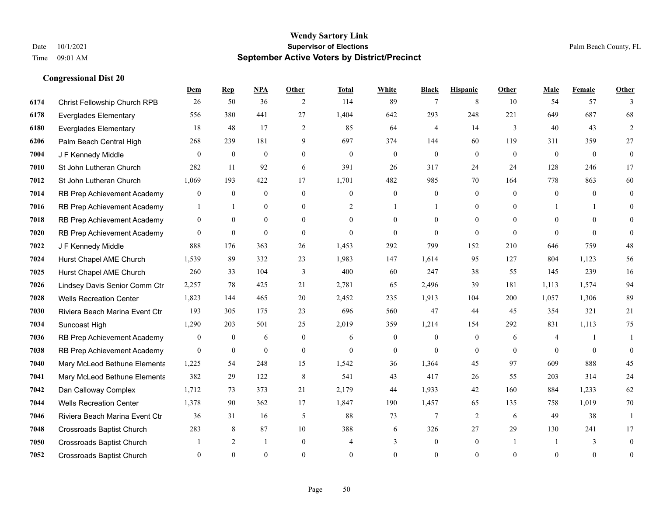|      |                                  | Dem            | <b>Rep</b>       | NPA          | Other            | Total        | <b>White</b>     | <b>Black</b>     | <b>Hispanic</b> | <b>Other</b> | <b>Male</b>    | <b>Female</b> | <b>Other</b>   |
|------|----------------------------------|----------------|------------------|--------------|------------------|--------------|------------------|------------------|-----------------|--------------|----------------|---------------|----------------|
| 6174 | Christ Fellowship Church RPB     | 26             | 50               | 36           | 2                | 114          | 89               | 7                | 8               | 10           | 54             | 57            | 3              |
| 6178 | <b>Everglades Elementary</b>     | 556            | 380              | 441          | 27               | 1,404        | 642              | 293              | 248             | 221          | 649            | 687           | 68             |
| 6180 | <b>Everglades Elementary</b>     | 18             | 48               | 17           | $\overline{c}$   | 85           | 64               | 4                | 14              | 3            | 40             | 43            | 2              |
| 6206 | Palm Beach Central High          | 268            | 239              | 181          | 9                | 697          | 374              | 144              | 60              | 119          | 311            | 359           | 27             |
| 7004 | J F Kennedy Middle               | $\theta$       | $\theta$         | $\mathbf{0}$ | $\overline{0}$   | $\theta$     | $\mathbf{0}$     | $\theta$         | $\theta$        | $\theta$     | $\theta$       | $\theta$      | $\mathbf{0}$   |
| 7010 | St John Lutheran Church          | 282            | 11               | 92           | 6                | 391          | 26               | 317              | 24              | 24           | 128            | 246           | 17             |
| 7012 | St John Lutheran Church          | 1,069          | 193              | 422          | 17               | 1,701        | 482              | 985              | 70              | 164          | 778            | 863           | 60             |
| 7014 | RB Prep Achievement Academy      | $\overline{0}$ | $\theta$         | $\theta$     | $\theta$         | $\Omega$     | $\theta$         | $\theta$         | $\Omega$        | $\theta$     | $\Omega$       | $\theta$      | $\theta$       |
| 7016 | RB Prep Achievement Academy      | 1              | -1               | $\mathbf{0}$ | $\boldsymbol{0}$ | 2            |                  |                  | $\mathbf{0}$    | $\theta$     |                |               | $\theta$       |
| 7018 | RB Prep Achievement Academy      | $\overline{0}$ | $\overline{0}$   | $\mathbf{0}$ | $\overline{0}$   | $\theta$     | $\theta$         | $\Omega$         | $\overline{0}$  | $\theta$     | $\theta$       | $\Omega$      | $\theta$       |
| 7020 | RB Prep Achievement Academy      | $\theta$       | $\theta$         | $\theta$     | $\theta$         | $\Omega$     | $\theta$         | $\theta$         | $\theta$        | $\Omega$     | $\Omega$       | $\Omega$      | $\Omega$       |
| 7022 | J F Kennedy Middle               | 888            | 176              | 363          | 26               | 1,453        | 292              | 799              | 152             | 210          | 646            | 759           | $48\,$         |
| 7024 | Hurst Chapel AME Church          | 1,539          | 89               | 332          | 23               | 1,983        | 147              | 1,614            | 95              | 127          | 804            | 1,123         | 56             |
| 7025 | Hurst Chapel AME Church          | 260            | 33               | 104          | 3                | 400          | 60               | 247              | 38              | 55           | 145            | 239           | 16             |
| 7026 | Lindsey Davis Senior Comm Ctr    | 2,257          | 78               | 425          | 21               | 2,781        | 65               | 2,496            | 39              | 181          | 1,113          | 1,574         | 94             |
| 7028 | <b>Wells Recreation Center</b>   | 1,823          | 144              | 465          | 20               | 2,452        | 235              | 1,913            | 104             | 200          | 1,057          | 1,306         | 89             |
| 7030 | Riviera Beach Marina Event Ctr   | 193            | 305              | 175          | 23               | 696          | 560              | 47               | 44              | 45           | 354            | 321           | 21             |
| 7034 | Suncoast High                    | 1,290          | 203              | 501          | 25               | 2,019        | 359              | 1,214            | 154             | 292          | 831            | 1,113         | 75             |
| 7036 | RB Prep Achievement Academy      | 0              | $\boldsymbol{0}$ | 6            | $\mathbf{0}$     | 6            | $\boldsymbol{0}$ | $\mathbf{0}$     | $\mathbf{0}$    | 6            | $\overline{4}$ |               | 1              |
| 7038 | RB Prep Achievement Academy      | $\overline{0}$ | $\mathbf{0}$     | $\mathbf{0}$ | $\boldsymbol{0}$ | $\mathbf{0}$ | $\boldsymbol{0}$ | $\mathbf{0}$     | $\mathbf{0}$    | $\mathbf{0}$ | $\theta$       | $\mathbf{0}$  | $\mathbf{0}$   |
| 7040 | Mary McLeod Bethune Elementa     | 1,225          | 54               | 248          | 15               | 1,542        | 36               | 1,364            | 45              | 97           | 609            | 888           | 45             |
| 7041 | Mary McLeod Bethune Elementa     | 382            | 29               | 122          | $\,8\,$          | 541          | 43               | 417              | 26              | 55           | 203            | 314           | 24             |
| 7042 | Dan Calloway Complex             | 1,712          | 73               | 373          | 21               | 2,179        | 44               | 1,933            | 42              | 160          | 884            | 1,233         | 62             |
| 7044 | <b>Wells Recreation Center</b>   | 1,378          | 90               | 362          | 17               | 1,847        | 190              | 1,457            | 65              | 135          | 758            | 1,019         | 70             |
| 7046 | Riviera Beach Marina Event Ctr   | 36             | 31               | 16           | 5                | 88           | 73               | $\overline{7}$   | $\overline{2}$  | 6            | 49             | 38            | -1             |
| 7048 | Crossroads Baptist Church        | 283            | 8                | 87           | 10               | 388          | 6                | 326              | 27              | 29           | 130            | 241           | 17             |
| 7050 | <b>Crossroads Baptist Church</b> |                | 2                | -1           | $\mathbf{0}$     |              | 3                | $\boldsymbol{0}$ | $\mathbf{0}$    |              |                | 3             | $\overline{0}$ |
| 7052 | <b>Crossroads Baptist Church</b> | $\theta$       | $\Omega$         | $\theta$     | $\theta$         | $\Omega$     | $\Omega$         | $\theta$         | $\Omega$        | $\Omega$     | $\Omega$       | $\theta$      | $\mathbf{0}$   |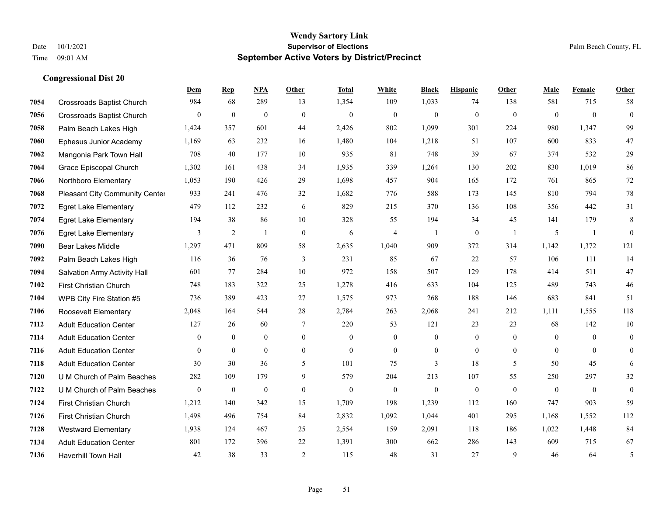**Congressional Dist 20**

#### **Wendy Sartory Link** Date  $10/1/2021$  Palm Beach County, FL Time 09:01 AM **September Active Voters by District/Precinct**

|      |                                       | <b>Dem</b>     | <b>Rep</b>   | <u>NPA</u>       | <b>Other</b>   | <b>Total</b>   | <b>White</b>   | <b>Black</b>     | <b>Hispanic</b> | <b>Other</b>   | <b>Male</b>  | Female         | Other            |
|------|---------------------------------------|----------------|--------------|------------------|----------------|----------------|----------------|------------------|-----------------|----------------|--------------|----------------|------------------|
| 7054 | Crossroads Baptist Church             | 984            | 68           | 289              | 13             | 1,354          | 109            | 1,033            | 74              | 138            | 581          | 715            | 58               |
| 7056 | Crossroads Baptist Church             | $\overline{0}$ | $\mathbf{0}$ | $\boldsymbol{0}$ | $\mathbf{0}$   | $\overline{0}$ | $\mathbf{0}$   | $\mathbf{0}$     | $\mathbf{0}$    | $\mathbf{0}$   | $\mathbf{0}$ | $\mathbf{0}$   | $\boldsymbol{0}$ |
| 7058 | Palm Beach Lakes High                 | 1,424          | 357          | 601              | 44             | 2,426          | 802            | 1,099            | 301             | 224            | 980          | 1,347          | 99               |
| 7060 | <b>Ephesus Junior Academy</b>         | 1,169          | 63           | 232              | 16             | 1,480          | 104            | 1,218            | 51              | 107            | 600          | 833            | 47               |
| 7062 | Mangonia Park Town Hall               | 708            | 40           | 177              | 10             | 935            | 81             | 748              | 39              | 67             | 374          | 532            | 29               |
| 7064 | Grace Episcopal Church                | 1,302          | 161          | 438              | 34             | 1,935          | 339            | 1,264            | 130             | 202            | 830          | 1.019          | 86               |
| 7066 | Northboro Elementary                  | 1,053          | 190          | 426              | 29             | 1,698          | 457            | 904              | 165             | 172            | 761          | 865            | 72               |
| 7068 | <b>Pleasant City Community Center</b> | 933            | 241          | 476              | 32             | 1,682          | 776            | 588              | 173             | 145            | 810          | 794            | 78               |
| 7072 | <b>Egret Lake Elementary</b>          | 479            | 112          | 232              | 6              | 829            | 215            | 370              | 136             | 108            | 356          | 442            | 31               |
| 7074 | <b>Egret Lake Elementary</b>          | 194            | 38           | 86               | 10             | 328            | 55             | 194              | 34              | 45             | 141          | 179            | $\,$ 8 $\,$      |
| 7076 | <b>Egret Lake Elementary</b>          | 3              | 2            | $\mathbf{1}$     | $\theta$       | 6              | 4              | $\overline{1}$   | $\mathbf{0}$    | $\overline{1}$ | 5            | $\overline{1}$ | $\overline{0}$   |
| 7090 | <b>Bear Lakes Middle</b>              | 1,297          | 471          | 809              | 58             | 2,635          | 1,040          | 909              | 372             | 314            | 1,142        | 1,372          | 121              |
| 7092 | Palm Beach Lakes High                 | 116            | 36           | 76               | $\overline{3}$ | 231            | 85             | 67               | 22              | 57             | 106          | 111            | 14               |
| 7094 | Salvation Army Activity Hall          | 601            | 77           | 284              | 10             | 972            | 158            | 507              | 129             | 178            | 414          | 511            | 47               |
| 7102 | First Christian Church                | 748            | 183          | 322              | 25             | 1,278          | 416            | 633              | 104             | 125            | 489          | 743            | 46               |
| 7104 | WPB City Fire Station #5              | 736            | 389          | 423              | 27             | 1,575          | 973            | 268              | 188             | 146            | 683          | 841            | 51               |
| 7106 | Roosevelt Elementary                  | 2,048          | 164          | 544              | 28             | 2,784          | 263            | 2,068            | 241             | 212            | 1,111        | 1,555          | 118              |
| 7112 | <b>Adult Education Center</b>         | 127            | 26           | 60               | $\tau$         | 220            | 53             | 121              | 23              | 23             | 68           | 142            | 10               |
| 7114 | <b>Adult Education Center</b>         | $\theta$       | $\mathbf{0}$ | $\overline{0}$   | $\theta$       | $\theta$       | $\overline{0}$ | $\mathbf{0}$     | $\mathbf{0}$    | $\theta$       | $\theta$     | $\theta$       | $\boldsymbol{0}$ |
| 7116 | <b>Adult Education Center</b>         | $\theta$       | $\theta$     | $\mathbf{0}$     | $\overline{0}$ | $\mathbf{0}$   | $\mathbf{0}$   | $\boldsymbol{0}$ | $\mathbf{0}$    | $\mathbf{0}$   | $\theta$     | $\Omega$       | $\overline{0}$   |
| 7118 | <b>Adult Education Center</b>         | 30             | 30           | 36               | 5              | 101            | 75             | 3                | 18              | 5              | 50           | 45             | 6                |
| 7120 | U M Church of Palm Beaches            | 282            | 109          | 179              | 9              | 579            | 204            | 213              | 107             | 55             | 250          | 297            | $32\,$           |
| 7122 | U M Church of Palm Beaches            | $\overline{0}$ | $\mathbf{0}$ | $\boldsymbol{0}$ | $\mathbf{0}$   | $\mathbf{0}$   | $\overline{0}$ | $\mathbf{0}$     | $\mathbf{0}$    | $\theta$       | $\mathbf{0}$ | $\mathbf{0}$   | $\boldsymbol{0}$ |
| 7124 | <b>First Christian Church</b>         | 1,212          | 140          | 342              | 15             | 1,709          | 198            | 1,239            | 112             | 160            | 747          | 903            | 59               |
| 7126 | <b>First Christian Church</b>         | 1,498          | 496          | 754              | 84             | 2,832          | 1,092          | 1,044            | 401             | 295            | 1,168        | 1,552          | 112              |
| 7128 | <b>Westward Elementary</b>            | 1,938          | 124          | 467              | 25             | 2,554          | 159            | 2,091            | 118             | 186            | 1,022        | 1,448          | 84               |
| 7134 | <b>Adult Education Center</b>         | 801            | 172          | 396              | 22             | 1,391          | 300            | 662              | 286             | 143            | 609          | 715            | 67               |
| 7136 | <b>Haverhill Town Hall</b>            | 42             | 38           | 33               | 2              | 115            | 48             | 31               | 27              | 9              | 46           | 64             | 5                |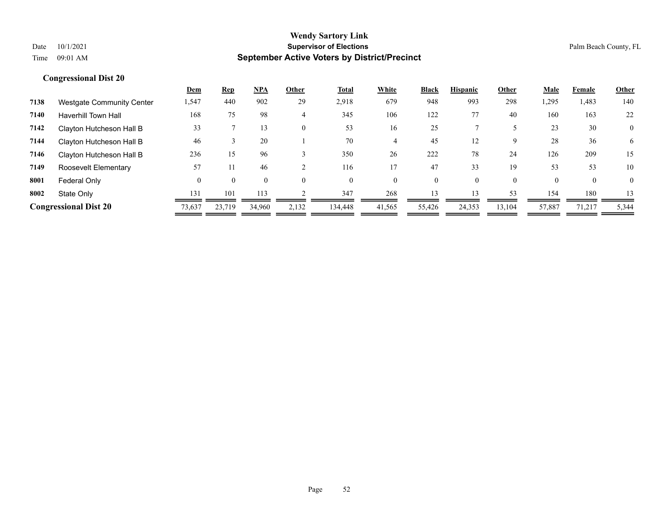|      |                                  | Dem      | <u>Rep</u> | <u>NPA</u> | Other | Total    | White  | <b>Black</b> | <b>Hispanic</b> | Other    | Male     | Female       | <b>Other</b>   |
|------|----------------------------------|----------|------------|------------|-------|----------|--------|--------------|-----------------|----------|----------|--------------|----------------|
| 7138 | <b>Westgate Community Center</b> | 1,547    | 440        | 902        | 29    | 2,918    | 679    | 948          | 993             | 298      | 1,295    | 1,483        | 140            |
| 7140 | <b>Haverhill Town Hall</b>       | 168      | 75         | 98         | 4     | 345      | 106    | 122          | 77              | 40       | 160      | 163          | 22             |
| 7142 | Clayton Hutcheson Hall B         | 33       |            | 13         |       | 53       | 16     | 25           |                 |          | 23       | 30           | $\overline{0}$ |
| 7144 | Clayton Hutcheson Hall B         | 46       |            | 20         |       | 70       | 4      | 45           | 12              | 9        | 28       | 36           | 6              |
| 7146 | Clayton Hutcheson Hall B         | 236      | 15         | 96         |       | 350      | 26     | 222          | 78              | 24       | 126      | 209          | 15             |
| 7149 | Roosevelt Elementary             | 57       |            | 46         |       | 116      | 17     | 47           | 33              | 19       | 53       | 53           | 10             |
| 8001 | Federal Only                     | $\Omega$ | $\theta$   | $\Omega$   |       | $\theta$ | 0      | 0            |                 | $\theta$ | $\theta$ | $\mathbf{0}$ | $\theta$       |
| 8002 | State Only                       | 131      | 101        | 113        |       | 347      | 268    | 13           | 13              | 53       | 154      | 180          | 13             |
|      | <b>Congressional Dist 20</b>     | 73,637   | 23.719     | 34.960     | 2,132 | 134,448  | 41,565 | 55,426       | 24,353          | 13,104   | 57,887   | 71,217       | 5,344          |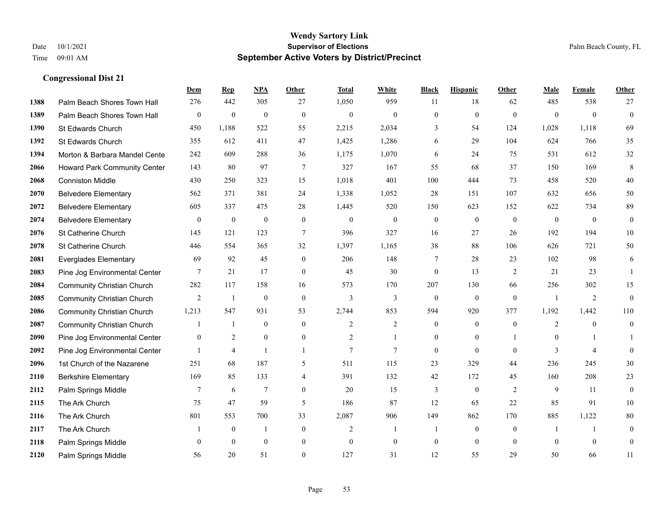|      |                                     | Dem            | <b>Rep</b>       | NPA              | <b>Other</b>   | <b>Total</b>   | <b>White</b>     | <b>Black</b>     | <b>Hispanic</b>  | <b>Other</b> | <b>Male</b>    | <b>Female</b>  | <b>Other</b>     |
|------|-------------------------------------|----------------|------------------|------------------|----------------|----------------|------------------|------------------|------------------|--------------|----------------|----------------|------------------|
| 1388 | Palm Beach Shores Town Hall         | 276            | 442              | 305              | 27             | 1,050          | 959              | 11               | 18               | 62           | 485            | 538            | 27               |
| 1389 | Palm Beach Shores Town Hall         | $\bf{0}$       | $\overline{0}$   | $\mathbf{0}$     | $\mathbf{0}$   | $\mathbf{0}$   | $\overline{0}$   | $\mathbf{0}$     | $\mathbf{0}$     | $\mathbf{0}$ | $\mathbf{0}$   | $\mathbf{0}$   | $\mathbf{0}$     |
| 1390 | St Edwards Church                   | 450            | 1,188            | 522              | 55             | 2,215          | 2,034            | 3                | 54               | 124          | 1,028          | 1,118          | 69               |
| 1392 | St Edwards Church                   | 355            | 612              | 411              | 47             | 1,425          | 1,286            | 6                | 29               | 104          | 624            | 766            | 35               |
| 1394 | Morton & Barbara Mandel Cente       | 242            | 609              | 288              | 36             | 1,175          | 1,070            | 6                | 24               | 75           | 531            | 612            | 32               |
| 2066 | <b>Howard Park Community Center</b> | 143            | 80               | 97               | $\overline{7}$ | 327            | 167              | 55               | 68               | 37           | 150            | 169            | 8                |
| 2068 | <b>Conniston Middle</b>             | 430            | 250              | 323              | 15             | 1,018          | 401              | 100              | 444              | 73           | 458            | 520            | $40\,$           |
| 2070 | <b>Belvedere Elementary</b>         | 562            | 371              | 381              | 24             | 1,338          | 1,052            | 28               | 151              | 107          | 632            | 656            | $50\,$           |
| 2072 | <b>Belvedere Elementary</b>         | 605            | 337              | 475              | 28             | 1,445          | 520              | 150              | 623              | 152          | 622            | 734            | 89               |
| 2074 | <b>Belvedere Elementary</b>         | $\mathbf{0}$   | $\boldsymbol{0}$ | $\mathbf{0}$     | $\mathbf{0}$   | $\mathbf{0}$   | $\boldsymbol{0}$ | $\boldsymbol{0}$ | $\mathbf{0}$     | $\theta$     | $\overline{0}$ | $\mathbf{0}$   | $\mathbf{0}$     |
| 2076 | St Catherine Church                 | 145            | 121              | 123              | 7              | 396            | 327              | 16               | 27               | 26           | 192            | 194            | $10\,$           |
| 2078 | St Catherine Church                 | 446            | 554              | 365              | 32             | 1,397          | 1,165            | 38               | 88               | 106          | 626            | 721            | 50               |
| 2081 | <b>Everglades Elementary</b>        | 69             | 92               | 45               | $\mathbf{0}$   | 206            | 148              | 7                | 28               | 23           | 102            | 98             | 6                |
| 2083 | Pine Jog Environmental Center       | 7              | 21               | 17               | $\mathbf{0}$   | 45             | 30               | $\boldsymbol{0}$ | 13               | 2            | 21             | 23             | $\mathbf{1}$     |
| 2084 | <b>Community Christian Church</b>   | 282            | 117              | 158              | 16             | 573            | 170              | 207              | 130              | 66           | 256            | 302            | 15               |
| 2085 | <b>Community Christian Church</b>   | $\overline{2}$ | -1               | $\boldsymbol{0}$ | $\mathbf{0}$   | 3              | 3                | $\mathbf{0}$     | $\boldsymbol{0}$ | $\mathbf{0}$ | -1             | $\overline{2}$ | $\mathbf{0}$     |
| 2086 | <b>Community Christian Church</b>   | 1,213          | 547              | 931              | 53             | 2,744          | 853              | 594              | 920              | 377          | 1,192          | 1,442          | 110              |
| 2087 | <b>Community Christian Church</b>   |                | -1               | $\mathbf{0}$     | $\mathbf{0}$   | 2              | 2                | $\boldsymbol{0}$ | $\overline{0}$   | $\mathbf{0}$ | $\overline{2}$ | $\theta$       | $\boldsymbol{0}$ |
| 2090 | Pine Jog Environmental Center       | $\mathbf{0}$   | $\overline{2}$   | $\mathbf{0}$     | $\overline{0}$ | $\overline{c}$ | 1                | $\overline{0}$   | $\mathbf{0}$     |              | $\overline{0}$ |                |                  |
| 2092 | Pine Jog Environmental Center       |                | $\overline{4}$   | $\mathbf{1}$     | $\mathbf{1}$   | $\overline{7}$ | $\tau$           | $\overline{0}$   | $\Omega$         | $\theta$     | 3              | $\overline{4}$ | $\overline{0}$   |
| 2096 | 1st Church of the Nazarene          | 251            | 68               | 187              | 5              | 511            | 115              | 23               | 329              | 44           | 236            | 245            | $30\,$           |
| 2110 | <b>Berkshire Elementary</b>         | 169            | 85               | 133              | 4              | 391            | 132              | 42               | 172              | 45           | 160            | 208            | 23               |
| 2112 | Palm Springs Middle                 | 7              | 6                | 7                | $\overline{0}$ | 20             | 15               | 3                | $\boldsymbol{0}$ | 2            | 9              | 11             | $\mathbf{0}$     |
| 2115 | The Ark Church                      | 75             | 47               | 59               | 5              | 186            | 87               | 12               | 65               | 22           | 85             | 91             | 10               |
| 2116 | The Ark Church                      | 801            | 553              | 700              | 33             | 2,087          | 906              | 149              | 862              | 170          | 885            | 1,122          | $80\,$           |
| 2117 | The Ark Church                      |                | $\boldsymbol{0}$ |                  | $\mathbf{0}$   | $\overline{2}$ | 1                | -1               | $\overline{0}$   | $\mathbf{0}$ | $\overline{1}$ |                | $\mathbf{0}$     |
| 2118 | Palm Springs Middle                 | $\mathbf{0}$   | $\mathbf{0}$     | $\mathbf{0}$     | $\mathbf{0}$   | $\theta$       | $\overline{0}$   | $\boldsymbol{0}$ | $\mathbf{0}$     | $\mathbf{0}$ | $\theta$       | $\mathbf{0}$   | $\mathbf{0}$     |
| 2120 | Palm Springs Middle                 | 56             | 20               | 51               | $\Omega$       | 127            | 31               | 12               | 55               | 29           | 50             | 66             | 11               |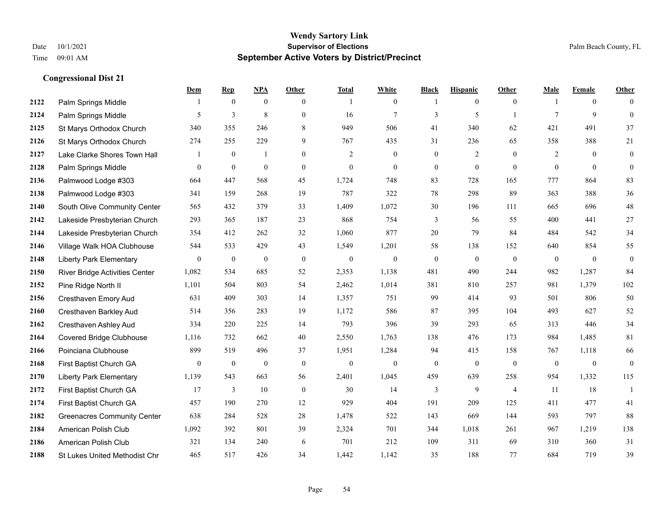|      |                                      | Dem            | <b>Rep</b>     | NPA          | Other            | <b>Total</b>   | <b>White</b>     | <b>Black</b>     | <b>Hispanic</b>  | <b>Other</b>   | <b>Male</b>    | <b>Female</b>  | <b>Other</b>     |
|------|--------------------------------------|----------------|----------------|--------------|------------------|----------------|------------------|------------------|------------------|----------------|----------------|----------------|------------------|
| 2122 | Palm Springs Middle                  | 1              | $\overline{0}$ | $\mathbf{0}$ | $\overline{0}$   | $\overline{1}$ | $\boldsymbol{0}$ | -1               | $\boldsymbol{0}$ | $\mathbf{0}$   |                | $\overline{0}$ | $\Omega$         |
| 2124 | Palm Springs Middle                  | 5              | $\overline{3}$ | 8            | $\overline{0}$   | 16             | $\overline{7}$   | 3                | 5                | $\overline{1}$ | $\tau$         | 9              | $\theta$         |
| 2125 | St Marys Orthodox Church             | 340            | 355            | 246          | 8                | 949            | 506              | 41               | 340              | 62             | 421            | 491            | 37               |
| 2126 | St Marys Orthodox Church             | 274            | 255            | 229          | 9                | 767            | 435              | 31               | 236              | 65             | 358            | 388            | 21               |
| 2127 | Lake Clarke Shores Town Hall         | 1              | $\overline{0}$ | $\mathbf{1}$ | $\overline{0}$   | 2              | $\mathbf{0}$     | $\mathbf{0}$     | $\overline{2}$   | $\theta$       | 2              | $\theta$       | $\boldsymbol{0}$ |
| 2128 | Palm Springs Middle                  | $\overline{0}$ | $\mathbf{0}$   | $\mathbf{0}$ | $\overline{0}$   | $\mathbf{0}$   | $\mathbf{0}$     | $\mathbf{0}$     | $\mathbf{0}$     | $\theta$       | $\overline{0}$ | $\theta$       | $\mathbf{0}$     |
| 2136 | Palmwood Lodge #303                  | 664            | 447            | 568          | 45               | 1,724          | 748              | 83               | 728              | 165            | 777            | 864            | 83               |
| 2138 | Palmwood Lodge #303                  | 341            | 159            | 268          | 19               | 787            | 322              | $78\,$           | 298              | 89             | 363            | 388            | 36               |
| 2140 | South Olive Community Center         | 565            | 432            | 379          | 33               | 1,409          | 1,072            | 30               | 196              | 111            | 665            | 696            | 48               |
| 2142 | Lakeside Presbyterian Church         | 293            | 365            | 187          | 23               | 868            | 754              | 3                | 56               | 55             | 400            | 441            | 27               |
| 2144 | Lakeside Presbyterian Church         | 354            | 412            | 262          | 32               | 1,060          | 877              | 20               | 79               | 84             | 484            | 542            | 34               |
| 2146 | Village Walk HOA Clubhouse           | 544            | 533            | 429          | 43               | 1,549          | 1,201            | 58               | 138              | 152            | 640            | 854            | 55               |
| 2148 | <b>Liberty Park Elementary</b>       | $\overline{0}$ | $\mathbf{0}$   | $\mathbf{0}$ | $\mathbf{0}$     | $\mathbf{0}$   | $\mathbf{0}$     | $\boldsymbol{0}$ | $\mathbf{0}$     | $\theta$       | $\overline{0}$ | $\mathbf{0}$   | $\boldsymbol{0}$ |
| 2150 | River Bridge Activities Center       | 1,082          | 534            | 685          | 52               | 2,353          | 1,138            | 481              | 490              | 244            | 982            | 1,287          | 84               |
| 2152 | Pine Ridge North II                  | 1,101          | 504            | 803          | 54               | 2,462          | 1,014            | 381              | 810              | 257            | 981            | 1,379          | 102              |
| 2156 | Cresthaven Emory Aud                 | 631            | 409            | 303          | 14               | 1,357          | 751              | 99               | 414              | 93             | 501            | 806            | 50               |
| 2160 | Cresthaven Barkley Aud               | 514            | 356            | 283          | 19               | 1,172          | 586              | 87               | 395              | 104            | 493            | 627            | 52               |
| 2162 | Cresthaven Ashley Aud                | 334            | 220            | 225          | 14               | 793            | 396              | 39               | 293              | 65             | 313            | 446            | 34               |
| 2164 | <b>Covered Bridge Clubhouse</b>      | 1,116          | 732            | 662          | 40               | 2,550          | 1,763            | 138              | 476              | 173            | 984            | 1,485          | 81               |
| 2166 | Poinciana Clubhouse                  | 899            | 519            | 496          | 37               | 1,951          | 1,284            | 94               | 415              | 158            | 767            | 1,118          | 66               |
| 2168 | First Baptist Church GA              | $\overline{0}$ | $\mathbf{0}$   | $\mathbf{0}$ | $\theta$         | $\mathbf{0}$   | $\mathbf{0}$     | $\boldsymbol{0}$ | $\overline{0}$   | $\theta$       | $\overline{0}$ | $\mathbf{0}$   | $\boldsymbol{0}$ |
| 2170 | <b>Liberty Park Elementary</b>       | 1,139          | 543            | 663          | 56               | 2,401          | 1,045            | 459              | 639              | 258            | 954            | 1,332          | 115              |
| 2172 | First Baptist Church GA              | 17             | 3              | 10           | $\boldsymbol{0}$ | 30             | 14               | 3                | 9                | $\overline{4}$ | 11             | 18             | $\mathbf{1}$     |
| 2174 | First Baptist Church GA              | 457            | 190            | 270          | 12               | 929            | 404              | 191              | 209              | 125            | 411            | 477            | 41               |
| 2182 | <b>Greenacres Community Center</b>   | 638            | 284            | 528          | 28               | 1,478          | 522              | 143              | 669              | 144            | 593            | 797            | 88               |
| 2184 | American Polish Club                 | 1,092          | 392            | 801          | 39               | 2,324          | 701              | 344              | 1,018            | 261            | 967            | 1,219          | 138              |
| 2186 | American Polish Club                 | 321            | 134            | 240          | 6                | 701            | 212              | 109              | 311              | 69             | 310            | 360            | 31               |
| 2188 | <b>St Lukes United Methodist Chr</b> | 465            | 517            | 426          | 34               | 1,442          | 1,142            | 35               | 188              | 77             | 684            | 719            | 39               |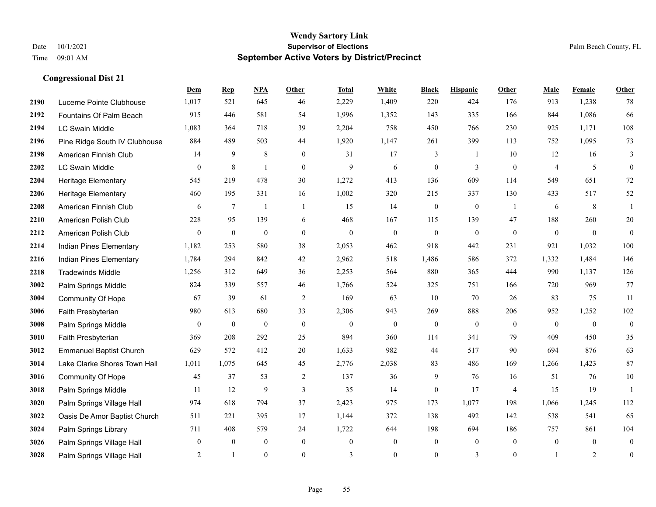|      |                                | Dem            | <b>Rep</b>      | NPA              | Other            | <b>Total</b>   | <b>White</b>     | <b>Black</b>     | <b>Hispanic</b> | Other          | <b>Male</b>    | Female         | <b>Other</b>     |
|------|--------------------------------|----------------|-----------------|------------------|------------------|----------------|------------------|------------------|-----------------|----------------|----------------|----------------|------------------|
| 2190 | Lucerne Pointe Clubhouse       | 1,017          | 521             | 645              | 46               | 2,229          | 1,409            | 220              | 424             | 176            | 913            | 1,238          | 78               |
| 2192 | Fountains Of Palm Beach        | 915            | 446             | 581              | 54               | 1,996          | 1,352            | 143              | 335             | 166            | 844            | 1,086          | 66               |
| 2194 | <b>LC Swain Middle</b>         | 1,083          | 364             | 718              | 39               | 2,204          | 758              | 450              | 766             | 230            | 925            | 1,171          | 108              |
| 2196 | Pine Ridge South IV Clubhouse  | 884            | 489             | 503              | 44               | 1,920          | 1,147            | 261              | 399             | 113            | 752            | 1,095          | 73               |
| 2198 | American Finnish Club          | 14             | 9               | 8                | $\mathbf{0}$     | 31             | 17               | 3                | $\mathbf{1}$    | 10             | 12             | 16             | 3                |
| 2202 | <b>LC Swain Middle</b>         | 0              | $\,8\,$         | $\overline{1}$   | $\mathbf{0}$     | 9              | 6                | $\boldsymbol{0}$ | 3               | $\mathbf{0}$   | $\overline{4}$ | 5              | $\mathbf{0}$     |
| 2204 | Heritage Elementary            | 545            | 219             | 478              | 30               | 1,272          | 413              | 136              | 609             | 114            | 549            | 651            | $72\,$           |
| 2206 | Heritage Elementary            | 460            | 195             | 331              | 16               | 1,002          | 320              | 215              | 337             | 130            | 433            | 517            | 52               |
| 2208 | American Finnish Club          | 6              | $7\phantom{.0}$ | $\mathbf{1}$     | $\mathbf{1}$     | 15             | 14               | $\boldsymbol{0}$ | $\mathbf{0}$    | -1             | 6              | 8              | $\mathbf{1}$     |
| 2210 | American Polish Club           | 228            | 95              | 139              | 6                | 468            | 167              | 115              | 139             | 47             | 188            | 260            | $20\,$           |
| 2212 | American Polish Club           | $\overline{0}$ | $\mathbf{0}$    | $\mathbf{0}$     | $\overline{0}$   | $\mathbf{0}$   | $\mathbf{0}$     | $\mathbf{0}$     | $\mathbf{0}$    | $\theta$       | $\mathbf{0}$   | $\mathbf{0}$   | $\mathbf{0}$     |
| 2214 | Indian Pines Elementary        | 1,182          | 253             | 580              | 38               | 2,053          | 462              | 918              | 442             | 231            | 921            | 1,032          | 100              |
| 2216 | Indian Pines Elementary        | 1,784          | 294             | 842              | 42               | 2,962          | 518              | 1,486            | 586             | 372            | 1,332          | 1,484          | 146              |
| 2218 | <b>Tradewinds Middle</b>       | 1,256          | 312             | 649              | 36               | 2,253          | 564              | 880              | 365             | 444            | 990            | 1,137          | 126              |
| 3002 | Palm Springs Middle            | 824            | 339             | 557              | 46               | 1,766          | 524              | 325              | 751             | 166            | 720            | 969            | 77               |
| 3004 | Community Of Hope              | 67             | 39              | 61               | $\overline{2}$   | 169            | 63               | 10               | 70              | 26             | 83             | 75             | 11               |
| 3006 | Faith Presbyterian             | 980            | 613             | 680              | 33               | 2,306          | 943              | 269              | 888             | 206            | 952            | 1,252          | 102              |
| 3008 | Palm Springs Middle            | $\overline{0}$ | $\mathbf{0}$    | $\mathbf{0}$     | $\mathbf{0}$     | $\theta$       | $\mathbf{0}$     | $\mathbf{0}$     | $\mathbf{0}$    | $\theta$       | $\theta$       | $\theta$       | $\mathbf{0}$     |
| 3010 | Faith Presbyterian             | 369            | 208             | 292              | 25               | 894            | 360              | 114              | 341             | 79             | 409            | 450            | 35               |
| 3012 | <b>Emmanuel Baptist Church</b> | 629            | 572             | 412              | 20               | 1,633          | 982              | 44               | 517             | 90             | 694            | 876            | 63               |
| 3014 | Lake Clarke Shores Town Hall   | 1,011          | 1,075           | 645              | 45               | 2,776          | 2,038            | 83               | 486             | 169            | 1,266          | 1,423          | 87               |
| 3016 | Community Of Hope              | 45             | 37              | 53               | $\overline{c}$   | 137            | 36               | 9                | 76              | 16             | 51             | 76             | $10\,$           |
| 3018 | Palm Springs Middle            | 11             | 12              | 9                | 3                | 35             | 14               | $\mathbf{0}$     | 17              | $\overline{4}$ | 15             | 19             | $\mathbf{1}$     |
| 3020 | Palm Springs Village Hall      | 974            | 618             | 794              | 37               | 2,423          | 975              | 173              | 1,077           | 198            | 1,066          | 1,245          | 112              |
| 3022 | Oasis De Amor Baptist Church   | 511            | 221             | 395              | 17               | 1,144          | 372              | 138              | 492             | 142            | 538            | 541            | 65               |
| 3024 | Palm Springs Library           | 711            | 408             | 579              | 24               | 1,722          | 644              | 198              | 694             | 186            | 757            | 861            | 104              |
| 3026 | Palm Springs Village Hall      | $\overline{0}$ | $\overline{0}$  | $\boldsymbol{0}$ | $\boldsymbol{0}$ | $\theta$       | $\boldsymbol{0}$ | $\boldsymbol{0}$ | $\mathbf{0}$    | $\overline{0}$ | $\mathbf{0}$   | $\overline{0}$ | $\boldsymbol{0}$ |
| 3028 | Palm Springs Village Hall      | 2              | $\mathbf{1}$    | $\theta$         | $\overline{0}$   | $\overline{3}$ | $\mathbf{0}$     | $\boldsymbol{0}$ | 3               | $\theta$       |                | 2              | $\boldsymbol{0}$ |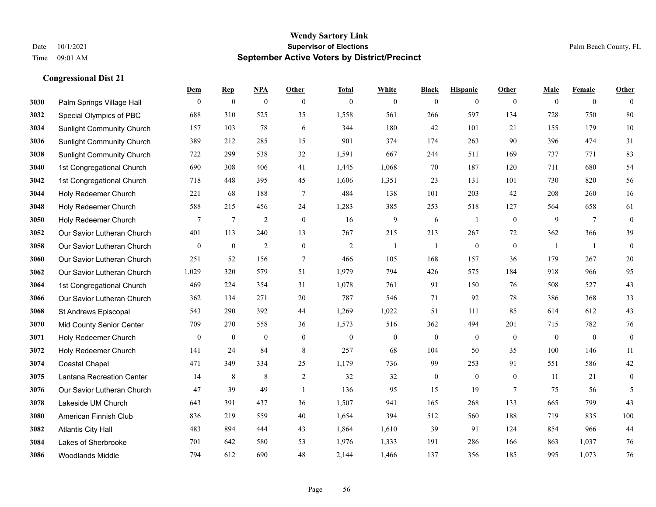|      |                                  | Dem              | <b>Rep</b>       | NPA              | <b>Other</b>   | <b>Total</b>   | <b>White</b> | <b>Black</b>     | <b>Hispanic</b>  | <b>Other</b>    | <b>Male</b>  | <b>Female</b>   | <b>Other</b>     |
|------|----------------------------------|------------------|------------------|------------------|----------------|----------------|--------------|------------------|------------------|-----------------|--------------|-----------------|------------------|
| 3030 | Palm Springs Village Hall        | $\mathbf{0}$     | $\boldsymbol{0}$ | $\boldsymbol{0}$ | $\mathbf{0}$   | $\mathbf{0}$   | $\mathbf{0}$ | $\boldsymbol{0}$ | $\mathbf{0}$     | $\overline{0}$  | $\mathbf{0}$ | $\overline{0}$  | $\theta$         |
| 3032 | Special Olympics of PBC          | 688              | 310              | 525              | 35             | 1,558          | 561          | 266              | 597              | 134             | 728          | 750             | 80               |
| 3034 | <b>Sunlight Community Church</b> | 157              | 103              | 78               | 6              | 344            | 180          | 42               | 101              | 21              | 155          | 179             | 10               |
| 3036 | <b>Sunlight Community Church</b> | 389              | 212              | 285              | 15             | 901            | 374          | 174              | 263              | 90              | 396          | 474             | 31               |
| 3038 | <b>Sunlight Community Church</b> | 722              | 299              | 538              | 32             | 1,591          | 667          | 244              | 511              | 169             | 737          | 771             | 83               |
| 3040 | 1st Congregational Church        | 690              | 308              | 406              | 41             | 1,445          | 1,068        | 70               | 187              | 120             | 711          | 680             | 54               |
| 3042 | 1st Congregational Church        | 718              | 448              | 395              | 45             | 1,606          | 1,351        | 23               | 131              | 101             | 730          | 820             | 56               |
| 3044 | Holy Redeemer Church             | 221              | 68               | 188              | 7              | 484            | 138          | 101              | 203              | 42              | 208          | 260             | 16               |
| 3048 | Holy Redeemer Church             | 588              | 215              | 456              | 24             | 1,283          | 385          | 253              | 518              | 127             | 564          | 658             | 61               |
| 3050 | Holy Redeemer Church             | $\tau$           | $\tau$           | 2                | $\mathbf{0}$   | 16             | 9            | 6                | $\mathbf{1}$     | $\mathbf{0}$    | 9            | $7\phantom{.0}$ | $\boldsymbol{0}$ |
| 3052 | Our Savior Lutheran Church       | 401              | 113              | 240              | 13             | 767            | 215          | 213              | 267              | 72              | 362          | 366             | 39               |
| 3058 | Our Savior Lutheran Church       | $\mathbf{0}$     | $\boldsymbol{0}$ | $\overline{2}$   | $\mathbf{0}$   | $\overline{2}$ | $\mathbf{1}$ | 1                | $\mathbf{0}$     | $\mathbf{0}$    | -1           | -1              | $\mathbf{0}$     |
| 3060 | Our Savior Lutheran Church       | 251              | 52               | 156              | $\overline{7}$ | 466            | 105          | 168              | 157              | 36              | 179          | 267             | $20\,$           |
| 3062 | Our Savior Lutheran Church       | 1,029            | 320              | 579              | 51             | 1,979          | 794          | 426              | 575              | 184             | 918          | 966             | 95               |
| 3064 | 1st Congregational Church        | 469              | 224              | 354              | 31             | 1,078          | 761          | 91               | 150              | 76              | 508          | 527             | 43               |
| 3066 | Our Savior Lutheran Church       | 362              | 134              | 271              | 20             | 787            | 546          | 71               | 92               | 78              | 386          | 368             | 33               |
| 3068 | St Andrews Episcopal             | 543              | 290              | 392              | 44             | 1,269          | 1,022        | 51               | 111              | 85              | 614          | 612             | 43               |
| 3070 | Mid County Senior Center         | 709              | 270              | 558              | 36             | 1,573          | 516          | 362              | 494              | 201             | 715          | 782             | $76\,$           |
| 3071 | Holy Redeemer Church             | $\boldsymbol{0}$ | $\boldsymbol{0}$ | $\boldsymbol{0}$ | $\mathbf{0}$   | $\mathbf{0}$   | $\mathbf{0}$ | $\boldsymbol{0}$ | $\boldsymbol{0}$ | $\mathbf{0}$    | $\mathbf{0}$ | $\mathbf{0}$    | $\boldsymbol{0}$ |
| 3072 | Holy Redeemer Church             | 141              | 24               | 84               | $\,8\,$        | 257            | 68           | 104              | 50               | 35              | 100          | 146             | 11               |
| 3074 | <b>Coastal Chapel</b>            | 471              | 349              | 334              | 25             | 1,179          | 736          | 99               | 253              | 91              | 551          | 586             | $42\,$           |
| 3075 | Lantana Recreation Center        | 14               | 8                | 8                | $\overline{2}$ | 32             | 32           | $\boldsymbol{0}$ | $\boldsymbol{0}$ | $\mathbf{0}$    | 11           | 21              | $\boldsymbol{0}$ |
| 3076 | Our Savior Lutheran Church       | 47               | 39               | 49               | $\overline{1}$ | 136            | 95           | 15               | 19               | $7\phantom{.0}$ | 75           | 56              | 5                |
| 3078 | Lakeside UM Church               | 643              | 391              | 437              | 36             | 1,507          | 941          | 165              | 268              | 133             | 665          | 799             | 43               |
| 3080 | American Finnish Club            | 836              | 219              | 559              | 40             | 1,654          | 394          | 512              | 560              | 188             | 719          | 835             | 100              |
| 3082 | <b>Atlantis City Hall</b>        | 483              | 894              | 444              | 43             | 1,864          | 1,610        | 39               | 91               | 124             | 854          | 966             | 44               |
| 3084 | Lakes of Sherbrooke              | 701              | 642              | 580              | 53             | 1,976          | 1,333        | 191              | 286              | 166             | 863          | 1,037           | 76               |
| 3086 | <b>Woodlands Middle</b>          | 794              | 612              | 690              | 48             | 2,144          | 1,466        | 137              | 356              | 185             | 995          | 1,073           | 76               |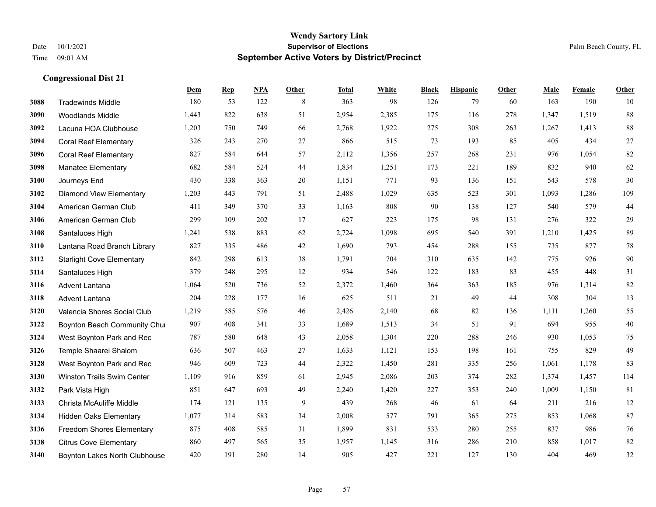|      |                                   | Dem   | <b>Rep</b> | NPA | <b>Other</b> | <b>Total</b> | <b>White</b> | <b>Black</b> | <b>Hispanic</b> | <b>Other</b> | <b>Male</b> | Female | <b>Other</b> |
|------|-----------------------------------|-------|------------|-----|--------------|--------------|--------------|--------------|-----------------|--------------|-------------|--------|--------------|
| 3088 | <b>Tradewinds Middle</b>          | 180   | 53         | 122 | 8            | 363          | 98           | 126          | 79              | 60           | 163         | 190    | 10           |
| 3090 | <b>Woodlands Middle</b>           | 1.443 | 822        | 638 | 51           | 2,954        | 2,385        | 175          | 116             | 278          | 1,347       | 1,519  | 88           |
| 3092 | Lacuna HOA Clubhouse              | 1,203 | 750        | 749 | 66           | 2,768        | 1,922        | 275          | 308             | 263          | 1,267       | 1,413  | $88\,$       |
| 3094 | <b>Coral Reef Elementary</b>      | 326   | 243        | 270 | 27           | 866          | 515          | 73           | 193             | 85           | 405         | 434    | $27\,$       |
| 3096 | <b>Coral Reef Elementary</b>      | 827   | 584        | 644 | 57           | 2,112        | 1,356        | 257          | 268             | 231          | 976         | 1,054  | $82\,$       |
| 3098 | <b>Manatee Elementary</b>         | 682   | 584        | 524 | 44           | 1,834        | 1,251        | 173          | 221             | 189          | 832         | 940    | 62           |
| 3100 | Journeys End                      | 430   | 338        | 363 | 20           | 1,151        | 771          | 93           | 136             | 151          | 543         | 578    | 30           |
| 3102 | <b>Diamond View Elementary</b>    | 1,203 | 443        | 791 | 51           | 2,488        | 1,029        | 635          | 523             | 301          | 1,093       | 1,286  | 109          |
| 3104 | American German Club              | 411   | 349        | 370 | 33           | 1,163        | 808          | 90           | 138             | 127          | 540         | 579    | $44$         |
| 3106 | American German Club              | 299   | 109        | 202 | 17           | 627          | 223          | 175          | 98              | 131          | 276         | 322    | $29\,$       |
| 3108 | Santaluces High                   | 1,241 | 538        | 883 | 62           | 2,724        | 1,098        | 695          | 540             | 391          | 1,210       | 1,425  | 89           |
| 3110 | Lantana Road Branch Library       | 827   | 335        | 486 | 42           | 1,690        | 793          | 454          | 288             | 155          | 735         | 877    | $78\,$       |
| 3112 | <b>Starlight Cove Elementary</b>  | 842   | 298        | 613 | 38           | 1,791        | 704          | 310          | 635             | 142          | 775         | 926    | $90\,$       |
| 3114 | Santaluces High                   | 379   | 248        | 295 | 12           | 934          | 546          | 122          | 183             | 83           | 455         | 448    | 31           |
| 3116 | Advent Lantana                    | 1,064 | 520        | 736 | 52           | 2,372        | 1,460        | 364          | 363             | 185          | 976         | 1,314  | 82           |
| 3118 | <b>Advent Lantana</b>             | 204   | 228        | 177 | 16           | 625          | 511          | 21           | 49              | 44           | 308         | 304    | 13           |
| 3120 | Valencia Shores Social Club       | 1,219 | 585        | 576 | 46           | 2,426        | 2,140        | 68           | 82              | 136          | 1,111       | 1,260  | 55           |
| 3122 | Boynton Beach Community Chur      | 907   | 408        | 341 | 33           | 1,689        | 1,513        | 34           | 51              | 91           | 694         | 955    | $40\,$       |
| 3124 | West Boynton Park and Rec         | 787   | 580        | 648 | 43           | 2,058        | 1,304        | 220          | 288             | 246          | 930         | 1,053  | 75           |
| 3126 | Temple Shaarei Shalom             | 636   | 507        | 463 | 27           | 1,633        | 1,121        | 153          | 198             | 161          | 755         | 829    | 49           |
| 3128 | West Boynton Park and Rec         | 946   | 609        | 723 | 44           | 2,322        | 1,450        | 281          | 335             | 256          | 1,061       | 1,178  | 83           |
| 3130 | <b>Winston Trails Swim Center</b> | 1,109 | 916        | 859 | 61           | 2,945        | 2,086        | 203          | 374             | 282          | 1,374       | 1,457  | 114          |
| 3132 | Park Vista High                   | 851   | 647        | 693 | 49           | 2,240        | 1,420        | 227          | 353             | 240          | 1,009       | 1,150  | 81           |
| 3133 | Christa McAuliffe Middle          | 174   | 121        | 135 | 9            | 439          | 268          | 46           | 61              | 64           | 211         | 216    | 12           |
| 3134 | <b>Hidden Oaks Elementary</b>     | 1,077 | 314        | 583 | 34           | 2,008        | 577          | 791          | 365             | 275          | 853         | 1,068  | 87           |
| 3136 | <b>Freedom Shores Elementary</b>  | 875   | 408        | 585 | 31           | 1,899        | 831          | 533          | 280             | 255          | 837         | 986    | $76\,$       |
| 3138 | <b>Citrus Cove Elementary</b>     | 860   | 497        | 565 | 35           | 1,957        | 1,145        | 316          | 286             | 210          | 858         | 1,017  | 82           |
| 3140 | Boynton Lakes North Clubhouse     | 420   | 191        | 280 | 14           | 905          | 427          | 221          | 127             | 130          | 404         | 469    | $32\,$       |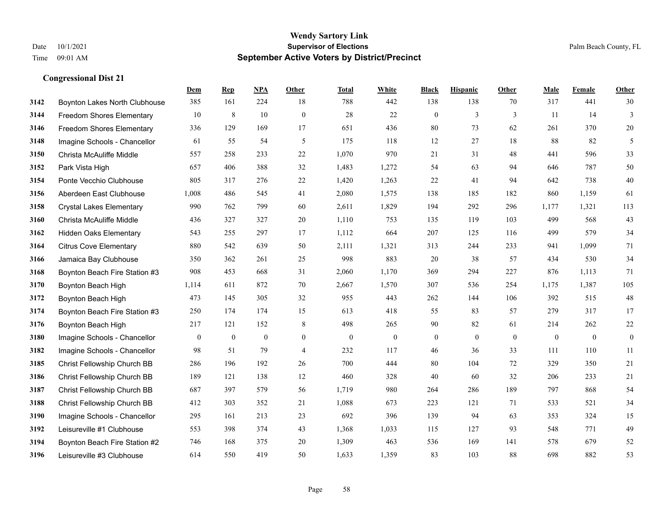|      |                                  | Dem          | <b>Rep</b>   | NPA          | Other          | <b>Total</b> | <b>White</b>     | <b>Black</b>   | <b>Hispanic</b> | <b>Other</b> | <b>Male</b>    | Female       | <b>Other</b>     |
|------|----------------------------------|--------------|--------------|--------------|----------------|--------------|------------------|----------------|-----------------|--------------|----------------|--------------|------------------|
| 3142 | Boynton Lakes North Clubhouse    | 385          | 161          | 224          | 18             | 788          | 442              | 138            | 138             | 70           | 317            | 441          | 30               |
| 3144 | <b>Freedom Shores Elementary</b> | 10           | 8            | 10           | $\mathbf{0}$   | 28           | 22               | $\overline{0}$ | 3               | 3            | 11             | 14           | 3                |
| 3146 | Freedom Shores Elementary        | 336          | 129          | 169          | 17             | 651          | 436              | 80             | 73              | 62           | 261            | 370          | 20               |
| 3148 | Imagine Schools - Chancellor     | 61           | 55           | 54           | 5              | 175          | 118              | 12             | 27              | 18           | 88             | 82           | 5                |
| 3150 | Christa McAuliffe Middle         | 557          | 258          | 233          | 22             | 1.070        | 970              | 21             | 31              | 48           | 441            | 596          | 33               |
| 3152 | Park Vista High                  | 657          | 406          | 388          | 32             | 1,483        | 1,272            | 54             | 63              | 94           | 646            | 787          | 50               |
| 3154 | Ponte Vecchio Clubhouse          | 805          | 317          | 276          | 22             | 1,420        | 1,263            | 22             | 41              | 94           | 642            | 738          | 40               |
| 3156 | Aberdeen East Clubhouse          | 1,008        | 486          | 545          | 41             | 2,080        | 1,575            | 138            | 185             | 182          | 860            | 1,159        | 61               |
| 3158 | <b>Crystal Lakes Elementary</b>  | 990          | 762          | 799          | 60             | 2,611        | 1,829            | 194            | 292             | 296          | 1,177          | 1,321        | 113              |
| 3160 | Christa McAuliffe Middle         | 436          | 327          | 327          | 20             | 1,110        | 753              | 135            | 119             | 103          | 499            | 568          | 43               |
| 3162 | <b>Hidden Oaks Elementary</b>    | 543          | 255          | 297          | 17             | 1,112        | 664              | 207            | 125             | 116          | 499            | 579          | 34               |
| 3164 | <b>Citrus Cove Elementary</b>    | 880          | 542          | 639          | 50             | 2,111        | 1,321            | 313            | 244             | 233          | 941            | 1,099        | 71               |
| 3166 | Jamaica Bay Clubhouse            | 350          | 362          | 261          | 25             | 998          | 883              | 20             | 38              | 57           | 434            | 530          | 34               |
| 3168 | Boynton Beach Fire Station #3    | 908          | 453          | 668          | 31             | 2,060        | 1,170            | 369            | 294             | 227          | 876            | 1,113        | 71               |
| 3170 | Boynton Beach High               | 1,114        | 611          | 872          | 70             | 2,667        | 1,570            | 307            | 536             | 254          | 1,175          | 1,387        | 105              |
| 3172 | Boynton Beach High               | 473          | 145          | 305          | 32             | 955          | 443              | 262            | 144             | 106          | 392            | 515          | 48               |
| 3174 | Boynton Beach Fire Station #3    | 250          | 174          | 174          | 15             | 613          | 418              | 55             | 83              | 57           | 279            | 317          | 17               |
| 3176 | Boynton Beach High               | 217          | 121          | 152          | 8              | 498          | 265              | 90             | 82              | 61           | 214            | 262          | 22               |
| 3180 | Imagine Schools - Chancellor     | $\mathbf{0}$ | $\mathbf{0}$ | $\mathbf{0}$ | $\overline{0}$ | $\mathbf{0}$ | $\boldsymbol{0}$ | $\mathbf{0}$   | $\overline{0}$  | $\theta$     | $\overline{0}$ | $\mathbf{0}$ | $\boldsymbol{0}$ |
| 3182 | Imagine Schools - Chancellor     | 98           | 51           | 79           | $\overline{4}$ | 232          | 117              | 46             | 36              | 33           | 111            | 110          | 11               |
| 3185 | Christ Fellowship Church BB      | 286          | 196          | 192          | 26             | 700          | 444              | 80             | 104             | 72           | 329            | 350          | 21               |
| 3186 | Christ Fellowship Church BB      | 189          | 121          | 138          | 12             | 460          | 328              | 40             | 60              | 32           | 206            | 233          | 21               |
| 3187 | Christ Fellowship Church BB      | 687          | 397          | 579          | 56             | 1,719        | 980              | 264            | 286             | 189          | 797            | 868          | 54               |
| 3188 | Christ Fellowship Church BB      | 412          | 303          | 352          | 21             | 1,088        | 673              | 223            | 121             | 71           | 533            | 521          | 34               |
| 3190 | Imagine Schools - Chancellor     | 295          | 161          | 213          | 23             | 692          | 396              | 139            | 94              | 63           | 353            | 324          | 15               |
| 3192 | Leisureville #1 Clubhouse        | 553          | 398          | 374          | 43             | 1,368        | 1,033            | 115            | 127             | 93           | 548            | 771          | 49               |
| 3194 | Boynton Beach Fire Station #2    | 746          | 168          | 375          | 20             | 1,309        | 463              | 536            | 169             | 141          | 578            | 679          | 52               |
| 3196 | Leisureville #3 Clubhouse        | 614          | 550          | 419          | 50             | 1,633        | 1,359            | 83             | 103             | 88           | 698            | 882          | 53               |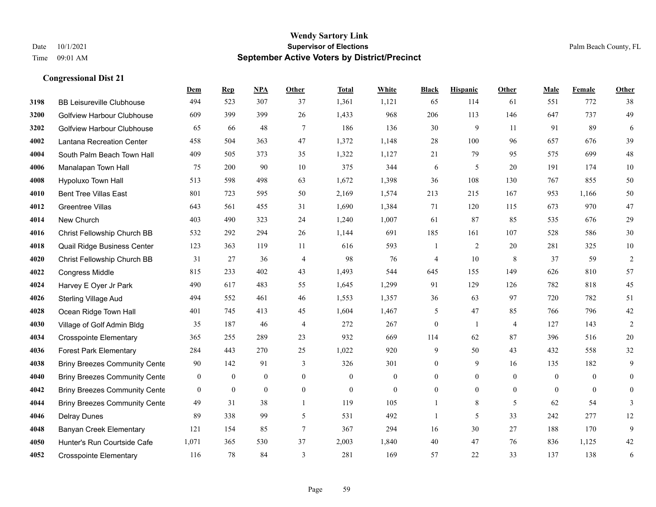**Congressional Dist 21**

#### **Wendy Sartory Link** Date 10/1/2021 **Supervisor of Elections** Palm Beach County, FL Time 09:01 AM **September Active Voters by District/Precinct**

## **Dem Rep NPA Other Total White Black Hispanic Other Male Female Other** BB Leisureville Clubhouse 494 523 307 37 1,361 1,121 65 114 61 551 772 38 Golfview Harbour Clubhouse 609 399 399 26 1,433 968 206 113 146 647 737 49 Golfview Harbour Clubhouse 65 66 48 7 186 136 30 9 11 91 89 6 Lantana Recreation Center 458 504 363 47 1,372 1,148 28 100 96 657 676 39 South Palm Beach Town Hall 409 505 373 35 1,322 1,127 21 79 95 575 699 48 Manalapan Town Hall 75 200 90 10 375 344 6 5 20 191 174 10 Hypoluxo Town Hall 513 598 498 63 1,672 1,398 36 108 130 767 855 50 Bent Tree Villas East 801 723 595 50 2,169 1,574 213 215 167 953 1,166 50 Greentree Villas 643 561 455 31 1,690 1,384 71 120 115 673 970 47 New Church 403 490 323 24 1,240 1,007 61 87 85 535 676 29 Christ Fellowship Church BB 532 292 294 26 1,144 691 185 161 107 528 586 30 Quail Ridge Business Center 123 363 119 11 616 593 1 2 20 281 325 10 Christ Fellowship Church BB 31 27 36 4 98 76 4 10 8 37 59 2 Congress Middle 815 233 402 43 1,493 544 645 155 149 626 810 57 Harvey E Oyer Jr Park 490 617 483 55 1,645 1,299 91 129 126 782 818 45 Sterling Village Aud 494 552 461 46 1,553 1,357 36 63 97 720 782 51 Ocean Ridge Town Hall 401 745 413 45 1,604 1,467 5 47 85 766 796 42 Village of Golf Admin Bldg 35 187 46 4 272 267 0 1 4 127 143 2 Crosspointe Elementary 365 255 289 23 932 669 114 62 87 396 516 20 Forest Park Elementary 284 443 270 25 1,022 920 9 50 43 432 558 32 Briny Breezes Community Cente 90 142 91 3 326 301 0 9 16 135 182 9 Briny Breezes Community Center 0 0 0 0 0 0 0 0 0 0 0 0 Briny Breezes Community Center 0 0 0 0 0 0 0 0 0 0 0 0 Briny Breezes Community Cente 49 31 38 1 119 105 1 8 5 62 54 3 Delray Dunes 89 338 99 5 531 492 1 5 33 242 277 12 Banyan Creek Elementary 121 154 85 7 367 294 16 30 27 188 170 9 Hunter's Run Courtside Cafe 1,071 365 530 37 2,003 1,840 40 47 76 836 1,125 42

Crosspointe Elementary 116 78 84 3 281 169 57 22 33 137 138 6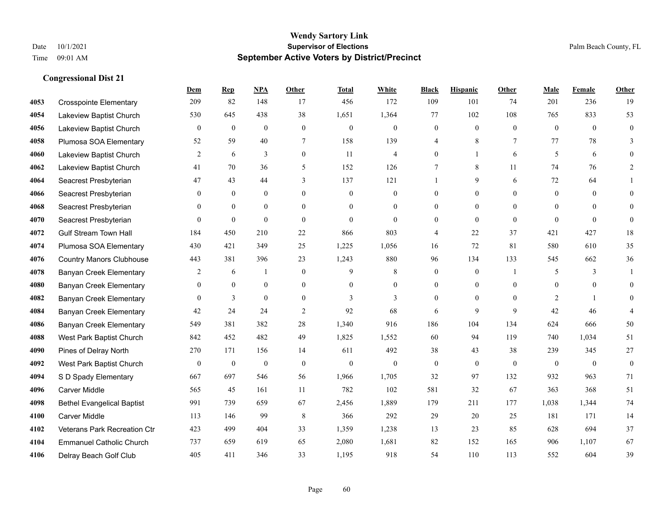**Congressional Dist 21**

#### **Wendy Sartory Link** Date  $10/1/2021$  Palm Beach County, FL Time 09:01 AM **September Active Voters by District/Precinct**

|      |                                   | Dem              | <b>Rep</b>       | NPA              | Other            | <b>Total</b>   | White            | <b>Black</b>     | <b>Hispanic</b>  | Other          | Male           | Female         | Other            |
|------|-----------------------------------|------------------|------------------|------------------|------------------|----------------|------------------|------------------|------------------|----------------|----------------|----------------|------------------|
| 4053 | <b>Crosspointe Elementary</b>     | 209              | 82               | 148              | 17               | 456            | 172              | 109              | 101              | 74             | 201            | 236            | 19               |
| 4054 | Lakeview Baptist Church           | 530              | 645              | 438              | 38               | 1,651          | 1,364            | 77               | 102              | 108            | 765            | 833            | 53               |
| 4056 | Lakeview Baptist Church           | $\boldsymbol{0}$ | $\boldsymbol{0}$ | $\boldsymbol{0}$ | $\boldsymbol{0}$ | $\mathbf{0}$   | $\boldsymbol{0}$ | $\boldsymbol{0}$ | $\boldsymbol{0}$ | $\overline{0}$ | $\mathbf{0}$   | $\overline{0}$ | $\boldsymbol{0}$ |
| 4058 | Plumosa SOA Elementary            | 52               | 59               | 40               | $\tau$           | 158            | 139              | 4                | 8                | 7              | 77             | 78             | 3                |
| 4060 | Lakeview Baptist Church           | $\overline{c}$   | 6                | 3                | $\mathbf{0}$     | 11             | $\overline{4}$   | $\overline{0}$   | $\mathbf{1}$     | 6              | 5              | 6              | $\Omega$         |
| 4062 | Lakeview Baptist Church           | 41               | 70               | 36               | 5                | 152            | 126              | 7                | 8                | 11             | 74             | 76             | 2                |
| 4064 | Seacrest Presbyterian             | 47               | 43               | 44               | 3                | 137            | 121              |                  | 9                | 6              | 72             | 64             |                  |
| 4066 | Seacrest Presbyterian             | $\Omega$         | $\theta$         | $\theta$         | $\theta$         | $\theta$       | $\mathbf{0}$     | $\overline{0}$   | $\theta$         | $\Omega$       | $\theta$       | $\Omega$       | $\theta$         |
| 4068 | Seacrest Presbyterian             | $\Omega$         | $\mathbf{0}$     | $\theta$         | $\theta$         | $\theta$       | $\overline{0}$   | $\theta$         | $\mathbf{0}$     | $\Omega$       | $\theta$       | $\Omega$       | $\theta$         |
| 4070 | Seacrest Presbyterian             | $\theta$         | $\mathbf{0}$     | $\theta$         | $\theta$         | $\overline{0}$ | $\mathbf{0}$     | $\overline{0}$   | $\theta$         | $\theta$       | $\theta$       | $\theta$       | $\theta$         |
| 4072 | <b>Gulf Stream Town Hall</b>      | 184              | 450              | 210              | 22               | 866            | 803              | 4                | 22               | 37             | 421            | 427            | 18               |
| 4074 | Plumosa SOA Elementary            | 430              | 421              | 349              | 25               | 1,225          | 1,056            | 16               | 72               | 81             | 580            | 610            | 35               |
| 4076 | <b>Country Manors Clubhouse</b>   | 443              | 381              | 396              | 23               | 1,243          | 880              | 96               | 134              | 133            | 545            | 662            | 36               |
| 4078 | Banyan Creek Elementary           | 2                | 6                | 1                | $\theta$         | 9              | 8                | $\boldsymbol{0}$ | $\mathbf{0}$     |                | 5              | 3              | 1                |
| 4080 | <b>Banyan Creek Elementary</b>    | $\mathbf{0}$     | $\boldsymbol{0}$ | $\mathbf{0}$     | $\overline{0}$   | $\theta$       | $\overline{0}$   | $\overline{0}$   | $\mathbf{0}$     | $\theta$       | $\mathbf{0}$   | $\overline{0}$ | $\theta$         |
| 4082 | Banyan Creek Elementary           | $\Omega$         | 3                | $\theta$         | $\theta$         | 3              | 3                | $\Omega$         | $\Omega$         | $\Omega$       | $\overline{2}$ | $\mathbf{1}$   | $\theta$         |
| 4084 | <b>Banyan Creek Elementary</b>    | 42               | 24               | 24               | 2                | 92             | 68               | 6                | 9                | 9              | 42             | 46             | $\overline{4}$   |
| 4086 | Banyan Creek Elementary           | 549              | 381              | 382              | 28               | 1,340          | 916              | 186              | 104              | 134            | 624            | 666            | 50               |
| 4088 | West Park Baptist Church          | 842              | 452              | 482              | 49               | 1,825          | 1,552            | 60               | 94               | 119            | 740            | 1.034          | 51               |
| 4090 | Pines of Delray North             | 270              | 171              | 156              | 14               | 611            | 492              | 38               | 43               | 38             | 239            | 345            | 27               |
| 4092 | West Park Baptist Church          | $\mathbf{0}$     | $\boldsymbol{0}$ | $\boldsymbol{0}$ | $\theta$         | $\mathbf{0}$   | $\mathbf{0}$     | $\boldsymbol{0}$ | $\mathbf{0}$     | $\overline{0}$ | $\mathbf{0}$   | $\theta$       | $\mathbf{0}$     |
| 4094 | S D Spady Elementary              | 667              | 697              | 546              | 56               | 1,966          | 1,705            | 32               | 97               | 132            | 932            | 963            | 71               |
| 4096 | Carver Middle                     | 565              | 45               | 161              | 11               | 782            | 102              | 581              | 32               | 67             | 363            | 368            | 51               |
| 4098 | <b>Bethel Evangelical Baptist</b> | 991              | 739              | 659              | 67               | 2,456          | 1,889            | 179              | 211              | 177            | 1,038          | 1,344          | 74               |
| 4100 | <b>Carver Middle</b>              | 113              | 146              | 99               | 8                | 366            | 292              | 29               | 20               | 25             | 181            | 171            | 14               |
| 4102 | Veterans Park Recreation Ctr      | 423              | 499              | 404              | 33               | 1,359          | 1,238            | 13               | 23               | 85             | 628            | 694            | 37               |
| 4104 | <b>Emmanuel Catholic Church</b>   | 737              | 659              | 619              | 65               | 2,080          | 1,681            | 82               | 152              | 165            | 906            | 1,107          | 67               |
| 4106 | Delray Beach Golf Club            | 405              | 411              | 346              | 33               | 1.195          | 918              | 54               | 110              | 113            | 552            | 604            | 39               |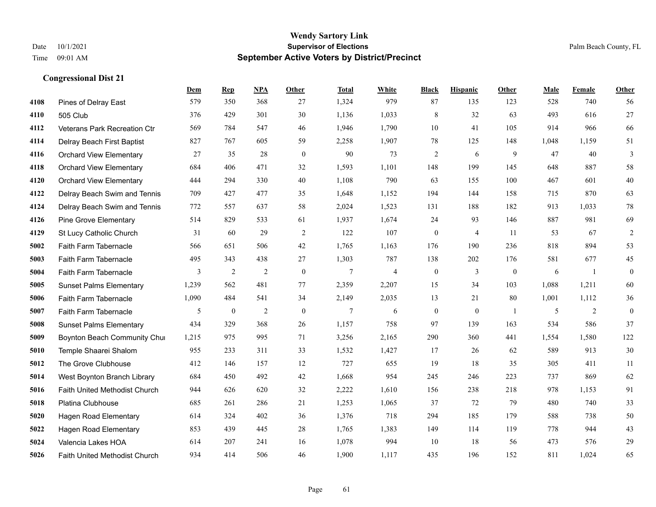|      |                                      | Dem   | <b>Rep</b>       | NPA            | <b>Other</b> | <b>Total</b>   | <b>White</b>   | <b>Black</b>     | <b>Hispanic</b> | Other        | <b>Male</b> | Female         | <b>Other</b>     |
|------|--------------------------------------|-------|------------------|----------------|--------------|----------------|----------------|------------------|-----------------|--------------|-------------|----------------|------------------|
| 4108 | Pines of Delray East                 | 579   | 350              | 368            | 27           | 1,324          | 979            | 87               | 135             | 123          | 528         | 740            | 56               |
| 4110 | 505 Club                             | 376   | 429              | 301            | 30           | 1,136          | 1,033          | $\,8\,$          | 32              | 63           | 493         | 616            | 27               |
| 4112 | Veterans Park Recreation Ctr         | 569   | 784              | 547            | 46           | 1,946          | 1,790          | 10               | 41              | 105          | 914         | 966            | 66               |
| 4114 | Delray Beach First Baptist           | 827   | 767              | 605            | 59           | 2,258          | 1,907          | 78               | 125             | 148          | 1,048       | 1,159          | 51               |
| 4116 | <b>Orchard View Elementary</b>       | 27    | 35               | 28             | $\theta$     | 90             | 73             | $\overline{2}$   | 6               | 9            | 47          | 40             | 3                |
| 4118 | <b>Orchard View Elementary</b>       | 684   | 406              | 471            | 32           | 1,593          | 1,101          | 148              | 199             | 145          | 648         | 887            | 58               |
| 4120 | <b>Orchard View Elementary</b>       | 444   | 294              | 330            | 40           | 1,108          | 790            | 63               | 155             | 100          | 467         | 601            | 40               |
| 4122 | Delray Beach Swim and Tennis         | 709   | 427              | 477            | 35           | 1,648          | 1,152          | 194              | 144             | 158          | 715         | 870            | 63               |
| 4124 | Delray Beach Swim and Tennis         | 772   | 557              | 637            | 58           | 2,024          | 1,523          | 131              | 188             | 182          | 913         | 1,033          | 78               |
| 4126 | <b>Pine Grove Elementary</b>         | 514   | 829              | 533            | 61           | 1,937          | 1,674          | 24               | 93              | 146          | 887         | 981            | 69               |
| 4129 | St Lucy Catholic Church              | 31    | 60               | 29             | 2            | 122            | 107            | $\mathbf{0}$     | $\overline{4}$  | 11           | 53          | 67             | $\overline{2}$   |
| 5002 | Faith Farm Tabernacle                | 566   | 651              | 506            | 42           | 1,765          | 1,163          | 176              | 190             | 236          | 818         | 894            | 53               |
| 5003 | Faith Farm Tabernacle                | 495   | 343              | 438            | 27           | 1,303          | 787            | 138              | 202             | 176          | 581         | 677            | 45               |
| 5004 | Faith Farm Tabernacle                | 3     | $\overline{2}$   | $\overline{2}$ | $\mathbf{0}$ | 7              | $\overline{4}$ | $\boldsymbol{0}$ | 3               | $\mathbf{0}$ | 6           | -1             | $\boldsymbol{0}$ |
| 5005 | <b>Sunset Palms Elementary</b>       | 1,239 | 562              | 481            | 77           | 2,359          | 2,207          | 15               | 34              | 103          | 1,088       | 1,211          | 60               |
| 5006 | Faith Farm Tabernacle                | 1,090 | 484              | 541            | 34           | 2,149          | 2,035          | 13               | 21              | 80           | 1,001       | 1,112          | 36               |
| 5007 | Faith Farm Tabernacle                | 5     | $\boldsymbol{0}$ | $\mathfrak{2}$ | $\mathbf{0}$ | $\overline{7}$ | 6              | $\boldsymbol{0}$ | $\mathbf{0}$    | -1           | 5           | $\overline{2}$ | $\boldsymbol{0}$ |
| 5008 | <b>Sunset Palms Elementary</b>       | 434   | 329              | 368            | 26           | 1,157          | 758            | 97               | 139             | 163          | 534         | 586            | 37               |
| 5009 | Boynton Beach Community Chur         | 1,215 | 975              | 995            | 71           | 3,256          | 2,165          | 290              | 360             | 441          | 1,554       | 1,580          | 122              |
| 5010 | Temple Shaarei Shalom                | 955   | 233              | 311            | 33           | 1,532          | 1,427          | 17               | 26              | 62           | 589         | 913            | 30               |
| 5012 | The Grove Clubhouse                  | 412   | 146              | 157            | 12           | 727            | 655            | 19               | 18              | 35           | 305         | 411            | 11               |
| 5014 | West Boynton Branch Library          | 684   | 450              | 492            | 42           | 1,668          | 954            | 245              | 246             | 223          | 737         | 869            | 62               |
| 5016 | Faith United Methodist Church        | 944   | 626              | 620            | 32           | 2,222          | 1,610          | 156              | 238             | 218          | 978         | 1,153          | 91               |
| 5018 | Platina Clubhouse                    | 685   | 261              | 286            | 21           | 1,253          | 1,065          | 37               | 72              | 79           | 480         | 740            | 33               |
| 5020 | <b>Hagen Road Elementary</b>         | 614   | 324              | 402            | 36           | 1,376          | 718            | 294              | 185             | 179          | 588         | 738            | 50               |
| 5022 | Hagen Road Elementary                | 853   | 439              | 445            | 28           | 1,765          | 1,383          | 149              | 114             | 119          | 778         | 944            | 43               |
| 5024 | Valencia Lakes HOA                   | 614   | 207              | 241            | 16           | 1,078          | 994            | 10               | 18              | 56           | 473         | 576            | 29               |
| 5026 | <b>Faith United Methodist Church</b> | 934   | 414              | 506            | 46           | 1,900          | 1,117          | 435              | 196             | 152          | 811         | 1,024          | 65               |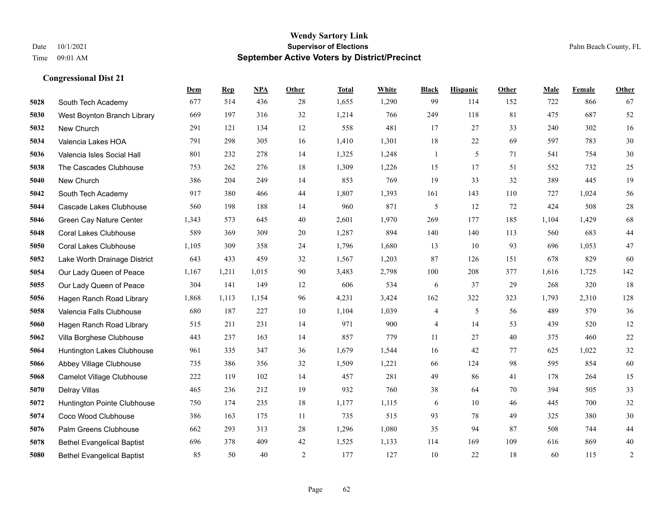|      |                                   | Dem   | <b>Rep</b> | NPA   | <b>Other</b>   | <b>Total</b> | White | <b>Black</b>             | <b>Hispanic</b> | <b>Other</b> | <b>Male</b> | Female | <b>Other</b>   |
|------|-----------------------------------|-------|------------|-------|----------------|--------------|-------|--------------------------|-----------------|--------------|-------------|--------|----------------|
| 5028 | South Tech Academy                | 677   | 514        | 436   | 28             | 1,655        | 1,290 | 99                       | 114             | 152          | 722         | 866    | 67             |
| 5030 | West Boynton Branch Library       | 669   | 197        | 316   | 32             | 1,214        | 766   | 249                      | 118             | 81           | 475         | 687    | 52             |
| 5032 | New Church                        | 291   | 121        | 134   | 12             | 558          | 481   | 17                       | 27              | 33           | 240         | 302    | 16             |
| 5034 | Valencia Lakes HOA                | 791   | 298        | 305   | 16             | 1,410        | 1,301 | 18                       | 22              | 69           | 597         | 783    | $30\,$         |
| 5036 | Valencia Isles Social Hall        | 801   | 232        | 278   | 14             | 1,325        | 1,248 | $\mathbf{1}$             | 5               | 71           | 541         | 754    | 30             |
| 5038 | The Cascades Clubhouse            | 753   | 262        | 276   | 18             | 1,309        | 1,226 | 15                       | 17              | 51           | 552         | 732    | $25\,$         |
| 5040 | New Church                        | 386   | 204        | 249   | 14             | 853          | 769   | 19                       | 33              | 32           | 389         | 445    | 19             |
| 5042 | South Tech Academy                | 917   | 380        | 466   | 44             | 1,807        | 1,393 | 161                      | 143             | 110          | 727         | 1.024  | 56             |
| 5044 | Cascade Lakes Clubhouse           | 560   | 198        | 188   | 14             | 960          | 871   | 5                        | 12              | 72           | 424         | 508    | $28\,$         |
| 5046 | Green Cay Nature Center           | 1,343 | 573        | 645   | 40             | 2,601        | 1,970 | 269                      | 177             | 185          | 1,104       | 1,429  | 68             |
| 5048 | <b>Coral Lakes Clubhouse</b>      | 589   | 369        | 309   | 20             | 1,287        | 894   | 140                      | 140             | 113          | 560         | 683    | $44\,$         |
| 5050 | <b>Coral Lakes Clubhouse</b>      | 1,105 | 309        | 358   | 24             | 1,796        | 1,680 | 13                       | 10              | 93           | 696         | 1,053  | $47\,$         |
| 5052 | Lake Worth Drainage District      | 643   | 433        | 459   | 32             | 1,567        | 1,203 | 87                       | 126             | 151          | 678         | 829    | 60             |
| 5054 | Our Lady Queen of Peace           | 1,167 | 1,211      | 1,015 | 90             | 3,483        | 2,798 | 100                      | 208             | 377          | 1,616       | 1,725  | 142            |
| 5055 | Our Lady Queen of Peace           | 304   | 141        | 149   | 12             | 606          | 534   | 6                        | 37              | 29           | 268         | 320    | 18             |
| 5056 | Hagen Ranch Road Library          | 1,868 | 1,113      | 1,154 | 96             | 4,231        | 3,424 | 162                      | 322             | 323          | 1,793       | 2,310  | 128            |
| 5058 | Valencia Falls Clubhouse          | 680   | 187        | 227   | 10             | 1,104        | 1,039 | $\overline{\mathcal{A}}$ | 5               | 56           | 489         | 579    | 36             |
| 5060 | Hagen Ranch Road Library          | 515   | 211        | 231   | 14             | 971          | 900   | 4                        | 14              | 53           | 439         | 520    | $12\,$         |
| 5062 | Villa Borghese Clubhouse          | 443   | 237        | 163   | 14             | 857          | 779   | 11                       | 27              | 40           | 375         | 460    | $22\,$         |
| 5064 | Huntington Lakes Clubhouse        | 961   | 335        | 347   | 36             | 1,679        | 1,544 | 16                       | 42              | 77           | 625         | 1,022  | $32\,$         |
| 5066 | Abbey Village Clubhouse           | 735   | 386        | 356   | 32             | 1,509        | 1,221 | 66                       | 124             | 98           | 595         | 854    | 60             |
| 5068 | <b>Camelot Village Clubhouse</b>  | 222   | 119        | 102   | 14             | 457          | 281   | 49                       | 86              | 41           | 178         | 264    | 15             |
| 5070 | Delray Villas                     | 465   | 236        | 212   | 19             | 932          | 760   | 38                       | 64              | 70           | 394         | 505    | 33             |
| 5072 | Huntington Pointe Clubhouse       | 750   | 174        | 235   | 18             | 1,177        | 1,115 | 6                        | 10              | 46           | 445         | 700    | $32\,$         |
| 5074 | Coco Wood Clubhouse               | 386   | 163        | 175   | 11             | 735          | 515   | 93                       | 78              | 49           | 325         | 380    | 30             |
| 5076 | Palm Greens Clubhouse             | 662   | 293        | 313   | 28             | 1,296        | 1,080 | 35                       | 94              | 87           | 508         | 744    | $44\,$         |
| 5078 | <b>Bethel Evangelical Baptist</b> | 696   | 378        | 409   | 42             | 1,525        | 1,133 | 114                      | 169             | 109          | 616         | 869    | $40\,$         |
| 5080 | <b>Bethel Evangelical Baptist</b> | 85    | 50         | 40    | $\overline{2}$ | 177          | 127   | 10                       | 22              | 18           | 60          | 115    | $\overline{2}$ |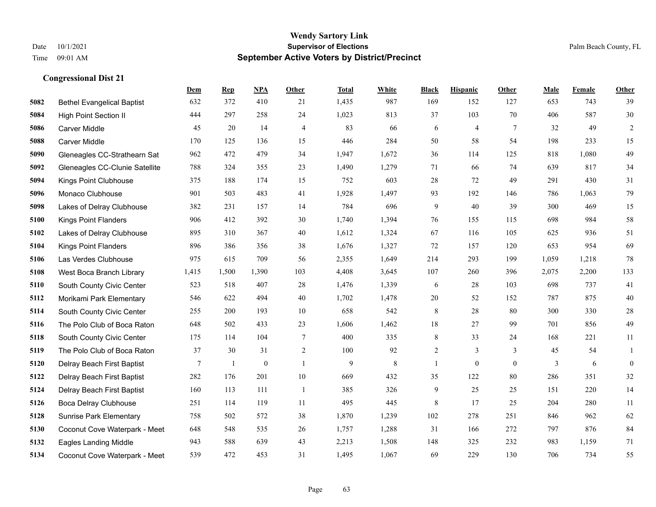|      |                                   | Dem   | <b>Rep</b>   | NPA          | <b>Other</b>   | <b>Total</b> | <b>White</b> | <b>Black</b>   | <b>Hispanic</b> | <b>Other</b> | <b>Male</b> | <b>Female</b> | <b>Other</b>   |
|------|-----------------------------------|-------|--------------|--------------|----------------|--------------|--------------|----------------|-----------------|--------------|-------------|---------------|----------------|
| 5082 | <b>Bethel Evangelical Baptist</b> | 632   | 372          | 410          | 21             | 1,435        | 987          | 169            | 152             | 127          | 653         | 743           | 39             |
| 5084 | <b>High Point Section II</b>      | 444   | 297          | 258          | 24             | 1,023        | 813          | 37             | 103             | 70           | 406         | 587           | 30             |
| 5086 | <b>Carver Middle</b>              | 45    | 20           | 14           | $\overline{4}$ | 83           | 66           | 6              | $\overline{4}$  | $\tau$       | 32          | 49            | $\overline{c}$ |
| 5088 | <b>Carver Middle</b>              | 170   | 125          | 136          | 15             | 446          | 284          | 50             | 58              | 54           | 198         | 233           | 15             |
| 5090 | Gleneagles CC-Strathearn Sat      | 962   | 472          | 479          | 34             | 1,947        | 1,672        | 36             | 114             | 125          | 818         | 1.080         | 49             |
| 5092 | Gleneagles CC-Clunie Satellite    | 788   | 324          | 355          | 23             | 1,490        | 1,279        | 71             | 66              | 74           | 639         | 817           | 34             |
| 5094 | Kings Point Clubhouse             | 375   | 188          | 174          | 15             | 752          | 603          | 28             | 72              | 49           | 291         | 430           | 31             |
| 5096 | Monaco Clubhouse                  | 901   | 503          | 483          | 41             | 1,928        | 1,497        | 93             | 192             | 146          | 786         | 1,063         | 79             |
| 5098 | Lakes of Delray Clubhouse         | 382   | 231          | 157          | 14             | 784          | 696          | 9              | 40              | 39           | 300         | 469           | 15             |
| 5100 | Kings Point Flanders              | 906   | 412          | 392          | 30             | 1,740        | 1,394        | 76             | 155             | 115          | 698         | 984           | 58             |
| 5102 | Lakes of Delray Clubhouse         | 895   | 310          | 367          | 40             | 1,612        | 1,324        | 67             | 116             | 105          | 625         | 936           | 51             |
| 5104 | <b>Kings Point Flanders</b>       | 896   | 386          | 356          | 38             | 1,676        | 1,327        | 72             | 157             | 120          | 653         | 954           | 69             |
| 5106 | Las Verdes Clubhouse              | 975   | 615          | 709          | 56             | 2,355        | 1,649        | 214            | 293             | 199          | 1,059       | 1,218         | 78             |
| 5108 | West Boca Branch Library          | 1,415 | 1,500        | 1,390        | 103            | 4,408        | 3,645        | 107            | 260             | 396          | 2,075       | 2,200         | 133            |
| 5110 | South County Civic Center         | 523   | 518          | 407          | 28             | 1,476        | 1,339        | 6              | 28              | 103          | 698         | 737           | 41             |
| 5112 | Morikami Park Elementary          | 546   | 622          | 494          | 40             | 1,702        | 1,478        | 20             | 52              | 152          | 787         | 875           | $40\,$         |
| 5114 | South County Civic Center         | 255   | 200          | 193          | 10             | 658          | 542          | $8\,$          | 28              | 80           | 300         | 330           | 28             |
| 5116 | The Polo Club of Boca Raton       | 648   | 502          | 433          | 23             | 1,606        | 1,462        | $18\,$         | 27              | 99           | 701         | 856           | 49             |
| 5118 | South County Civic Center         | 175   | 114          | 104          | $\tau$         | 400          | 335          | 8              | 33              | 24           | 168         | 221           | 11             |
| 5119 | The Polo Club of Boca Raton       | 37    | 30           | 31           | $\sqrt{2}$     | 100          | 92           | $\overline{c}$ | 3               | 3            | 45          | 54            | 1              |
| 5120 | Delray Beach First Baptist        | 7     | $\mathbf{1}$ | $\mathbf{0}$ | $\overline{1}$ | 9            | 8            | $\mathbf{1}$   | $\mathbf{0}$    | $\theta$     | 3           | 6             | $\mathbf{0}$   |
| 5122 | Delray Beach First Baptist        | 282   | 176          | 201          | $10\,$         | 669          | 432          | 35             | 122             | 80           | 286         | 351           | $32\,$         |
| 5124 | Delray Beach First Baptist        | 160   | 113          | 111          | -1             | 385          | 326          | 9              | 25              | 25           | 151         | 220           | 14             |
| 5126 | Boca Delray Clubhouse             | 251   | 114          | 119          | 11             | 495          | 445          | $\,8\,$        | 17              | 25           | 204         | 280           | 11             |
| 5128 | <b>Sunrise Park Elementary</b>    | 758   | 502          | 572          | 38             | 1,870        | 1,239        | 102            | 278             | 251          | 846         | 962           | 62             |
| 5130 | Coconut Cove Waterpark - Meet     | 648   | 548          | 535          | 26             | 1,757        | 1,288        | 31             | 166             | 272          | 797         | 876           | 84             |
| 5132 | <b>Eagles Landing Middle</b>      | 943   | 588          | 639          | 43             | 2,213        | 1,508        | 148            | 325             | 232          | 983         | 1,159         | 71             |
| 5134 | Coconut Cove Waterpark - Meet     | 539   | 472          | 453          | 31             | 1,495        | 1,067        | 69             | 229             | 130          | 706         | 734           | 55             |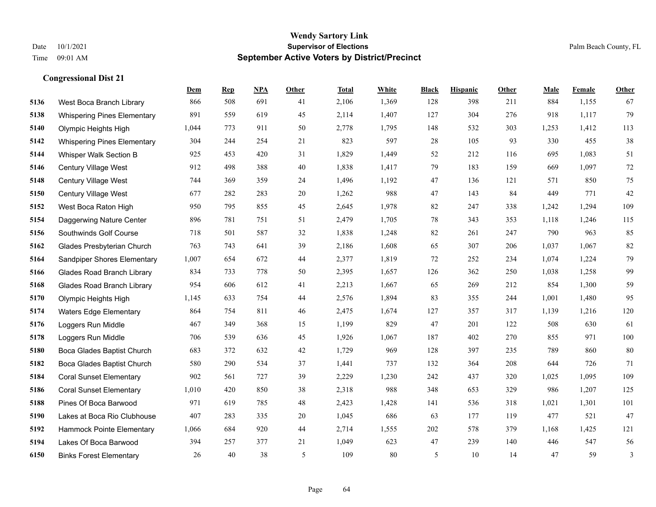**Congressional Dist 21**

#### **Wendy Sartory Link** Date 10/1/2021 **Supervisor of Elections** Palm Beach County, FL Time 09:01 AM **September Active Voters by District/Precinct**

## **Dem Rep NPA Other Total White Black Hispanic Other Male Female Other** West Boca Branch Library 866 508 691 41 2,106 1,369 128 398 211 884 1,155 67 Whispering Pines Elementary 891 559 619 45 2,114 1,407 127 304 276 918 1,117 79 Olympic Heights High 1,044 773 911 50 2,778 1,795 148 532 303 1,253 1,412 113 Whispering Pines Elementary 304 244 254 21 823 597 28 105 93 330 455 38 Whisper Walk Section B 925 453 420 31 1,829 1,449 52 212 116 695 1,083 51 Century Village West 912 498 388 40 1,838 1,417 79 183 159 669 1,097 72 Century Village West 744 369 359 24 1,496 1,192 47 136 121 571 850 75 Century Village West 677 282 283 20 1,262 988 47 143 84 449 771 42 West Boca Raton High 950 795 855 45 2,645 1,978 82 247 338 1,242 1,294 109 Daggerwing Nature Center 896 781 751 51 2,479 1,705 78 343 353 1,118 1,246 115 Southwinds Golf Course 718 501 587 32 1,838 1,248 82 261 247 790 963 85 Glades Presbyterian Church 763 743 641 39 2,186 1,608 65 307 206 1,037 1,067 82 Sandpiper Shores Elementary 1,007 654 672 44 2,377 1,819 72 252 234 1,074 1,224 79 Glades Road Branch Library 834 733 778 50 2,395 1,657 126 362 250 1,038 1,258 99 Glades Road Branch Library 954 606 612 41 2,213 1,667 65 269 212 854 1,300 59 Olympic Heights High 1,145 633 754 44 2,576 1,894 83 355 244 1,001 1,480 95 Waters Edge Elementary 864 754 811 46 2,475 1,674 127 357 317 1,139 1,216 120 Loggers Run Middle 467 349 368 15 1,199 829 47 201 122 508 630 61 Loggers Run Middle 706 539 636 45 1,926 1,067 187 402 270 855 971 100 Boca Glades Baptist Church 683 372 632 42 1,729 969 128 397 235 789 860 80 Boca Glades Baptist Church 580 290 534 37 1,441 737 132 364 208 644 726 71 Coral Sunset Elementary 902 561 727 39 2,229 1,230 242 437 320 1,025 1,095 109 Coral Sunset Elementary 1,010 420 850 38 2,318 988 348 653 329 986 1,207 125 Pines Of Boca Barwood 971 619 785 48 2,423 1,428 141 536 318 1,021 1,301 101 Lakes at Boca Rio Clubhouse 407 283 335 20 1,045 686 63 177 119 477 521 47 Hammock Pointe Elementary 1,066 684 920 44 2,714 1,555 202 578 379 1,168 1,425 121 Lakes Of Boca Barwood 394 257 377 21 1,049 623 47 239 140 446 547 56 Binks Forest Elementary 26 40 38 5 109 80 5 10 14 47 59 3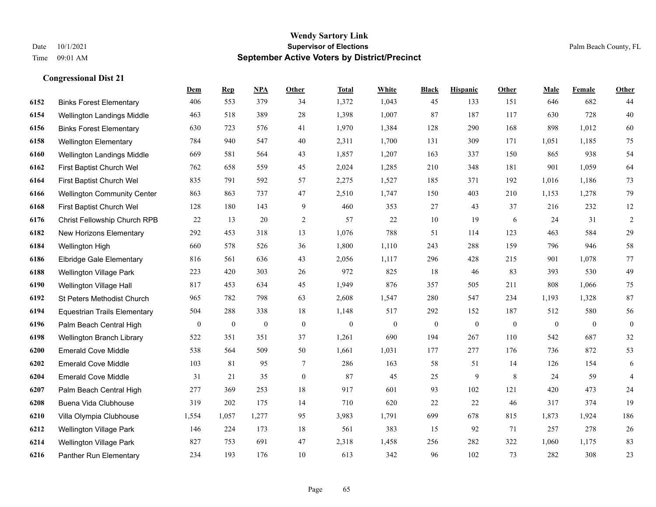|      |                                     | Dem          | <b>Rep</b>       | NPA          | <b>Other</b>     | <b>Total</b> | <b>White</b>   | <b>Black</b>     | <b>Hispanic</b> | <b>Other</b> | <b>Male</b>  | <b>Female</b> | <b>Other</b>     |
|------|-------------------------------------|--------------|------------------|--------------|------------------|--------------|----------------|------------------|-----------------|--------------|--------------|---------------|------------------|
| 6152 | <b>Binks Forest Elementary</b>      | 406          | 553              | 379          | 34               | 1,372        | 1,043          | 45               | 133             | 151          | 646          | 682           | 44               |
| 6154 | Wellington Landings Middle          | 463          | 518              | 389          | 28               | 1,398        | 1,007          | 87               | 187             | 117          | 630          | 728           | 40               |
| 6156 | <b>Binks Forest Elementary</b>      | 630          | 723              | 576          | 41               | 1,970        | 1,384          | 128              | 290             | 168          | 898          | 1,012         | 60               |
| 6158 | <b>Wellington Elementary</b>        | 784          | 940              | 547          | 40               | 2,311        | 1,700          | 131              | 309             | 171          | 1,051        | 1,185         | $75\,$           |
| 6160 | Wellington Landings Middle          | 669          | 581              | 564          | 43               | 1,857        | 1,207          | 163              | 337             | 150          | 865          | 938           | 54               |
| 6162 | First Baptist Church Wel            | 762          | 658              | 559          | 45               | 2,024        | 1,285          | 210              | 348             | 181          | 901          | 1,059         | 64               |
| 6164 | First Baptist Church Wel            | 835          | 791              | 592          | 57               | 2,275        | 1,527          | 185              | 371             | 192          | 1,016        | 1,186         | 73               |
| 6166 | <b>Wellington Community Center</b>  | 863          | 863              | 737          | 47               | 2,510        | 1,747          | 150              | 403             | 210          | 1,153        | 1,278         | 79               |
| 6168 | First Baptist Church Wel            | 128          | 180              | 143          | 9                | 460          | 353            | 27               | 43              | 37           | 216          | 232           | 12               |
| 6176 | Christ Fellowship Church RPB        | 22           | 13               | 20           | 2                | 57           | 22             | 10               | 19              | 6            | 24           | 31            | $\overline{c}$   |
| 6182 | New Horizons Elementary             | 292          | 453              | 318          | 13               | 1,076        | 788            | 51               | 114             | 123          | 463          | 584           | 29               |
| 6184 | Wellington High                     | 660          | 578              | 526          | 36               | 1,800        | 1,110          | 243              | 288             | 159          | 796          | 946           | 58               |
| 6186 | <b>Elbridge Gale Elementary</b>     | 816          | 561              | 636          | 43               | 2,056        | 1,117          | 296              | 428             | 215          | 901          | 1,078         | 77               |
| 6188 | <b>Wellington Village Park</b>      | 223          | 420              | 303          | 26               | 972          | 825            | 18               | 46              | 83           | 393          | 530           | 49               |
| 6190 | Wellington Village Hall             | 817          | 453              | 634          | 45               | 1,949        | 876            | 357              | 505             | 211          | 808          | 1,066         | 75               |
| 6192 | St Peters Methodist Church          | 965          | 782              | 798          | 63               | 2,608        | 1,547          | 280              | 547             | 234          | 1,193        | 1,328         | 87               |
| 6194 | <b>Equestrian Trails Elementary</b> | 504          | 288              | 338          | 18               | 1,148        | 517            | 292              | 152             | 187          | 512          | 580           | 56               |
| 6196 | Palm Beach Central High             | $\mathbf{0}$ | $\boldsymbol{0}$ | $\mathbf{0}$ | $\mathbf{0}$     | $\mathbf{0}$ | $\overline{0}$ | $\boldsymbol{0}$ | $\mathbf{0}$    | $\mathbf{0}$ | $\mathbf{0}$ | $\theta$      | $\boldsymbol{0}$ |
| 6198 | Wellington Branch Library           | 522          | 351              | 351          | 37               | 1,261        | 690            | 194              | 267             | 110          | 542          | 687           | $32\,$           |
| 6200 | <b>Emerald Cove Middle</b>          | 538          | 564              | 509          | 50               | 1,661        | 1,031          | 177              | 277             | 176          | 736          | 872           | 53               |
| 6202 | <b>Emerald Cove Middle</b>          | 103          | 81               | 95           | $\tau$           | 286          | 163            | 58               | 51              | 14           | 126          | 154           | 6                |
| 6204 | <b>Emerald Cove Middle</b>          | 31           | 21               | 35           | $\boldsymbol{0}$ | 87           | 45             | $25\,$           | 9               | 8            | 24           | 59            | $\overline{4}$   |
| 6207 | Palm Beach Central High             | 277          | 369              | 253          | 18               | 917          | 601            | 93               | 102             | 121          | 420          | 473           | $24\,$           |
| 6208 | Buena Vida Clubhouse                | 319          | 202              | 175          | 14               | 710          | 620            | 22               | 22              | 46           | 317          | 374           | 19               |
| 6210 | Villa Olympia Clubhouse             | 1,554        | 1,057            | 1,277        | 95               | 3,983        | 1,791          | 699              | 678             | 815          | 1,873        | 1,924         | 186              |
| 6212 | Wellington Village Park             | 146          | 224              | 173          | 18               | 561          | 383            | 15               | 92              | 71           | 257          | 278           | $26\,$           |
| 6214 | <b>Wellington Village Park</b>      | 827          | 753              | 691          | 47               | 2,318        | 1,458          | 256              | 282             | 322          | 1,060        | 1,175         | 83               |
| 6216 | Panther Run Elementary              | 234          | 193              | 176          | 10               | 613          | 342            | 96               | 102             | 73           | 282          | 308           | 23               |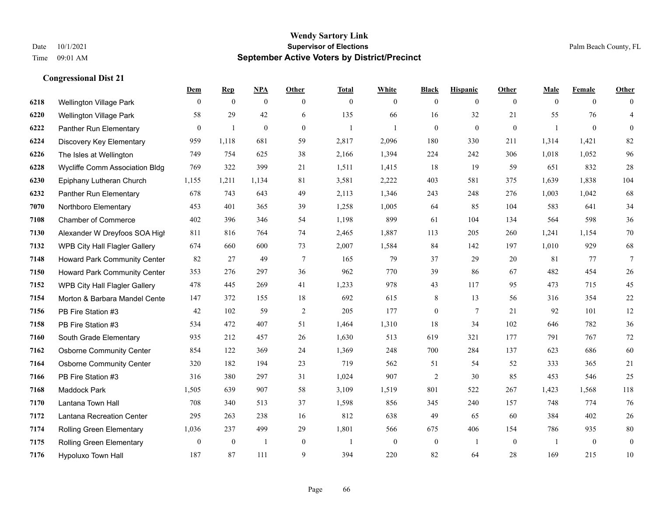|      |                                     | Dem            | <b>Rep</b>       | NPA              | <b>Other</b>   | <b>Total</b>   | <b>White</b>   | <b>Black</b>     | <b>Hispanic</b> | <b>Other</b>   | <b>Male</b>  | <b>Female</b>  | <b>Other</b>    |
|------|-------------------------------------|----------------|------------------|------------------|----------------|----------------|----------------|------------------|-----------------|----------------|--------------|----------------|-----------------|
| 6218 | Wellington Village Park             | $\mathbf{0}$   | $\mathbf{0}$     | $\boldsymbol{0}$ | $\overline{0}$ | $\mathbf{0}$   | $\overline{0}$ | $\mathbf{0}$     | $\mathbf{0}$    | $\overline{0}$ | $\mathbf{0}$ | $\overline{0}$ | $\theta$        |
| 6220 | <b>Wellington Village Park</b>      | 58             | 29               | 42               | 6              | 135            | 66             | 16               | 32              | 21             | 55           | 76             | $\overline{4}$  |
| 6222 | Panther Run Elementary              | $\overline{0}$ | $\mathbf{1}$     | $\mathbf{0}$     | $\Omega$       | $\overline{1}$ | $\mathbf{1}$   | $\mathbf{0}$     | $\mathbf{0}$    | $\theta$       | $\mathbf{1}$ | $\theta$       | $\theta$        |
| 6224 | Discovery Key Elementary            | 959            | 1,118            | 681              | 59             | 2,817          | 2,096          | 180              | 330             | 211            | 1,314        | 1,421          | 82              |
| 6226 | The Isles at Wellington             | 749            | 754              | 625              | 38             | 2,166          | 1,394          | 224              | 242             | 306            | 1,018        | 1,052          | 96              |
| 6228 | Wycliffe Comm Association Bldg      | 769            | 322              | 399              | 21             | 1,511          | 1,415          | 18               | 19              | 59             | 651          | 832            | $28\,$          |
| 6230 | Epiphany Lutheran Church            | 1,155          | 1,211            | 1,134            | 81             | 3,581          | 2,222          | 403              | 581             | 375            | 1,639        | 1,838          | 104             |
| 6232 | Panther Run Elementary              | 678            | 743              | 643              | 49             | 2,113          | 1,346          | 243              | 248             | 276            | 1,003        | 1,042          | 68              |
| 7070 | Northboro Elementary                | 453            | 401              | 365              | 39             | 1,258          | 1,005          | 64               | 85              | 104            | 583          | 641            | 34              |
| 7108 | <b>Chamber of Commerce</b>          | 402            | 396              | 346              | 54             | 1,198          | 899            | 61               | 104             | 134            | 564          | 598            | 36              |
| 7130 | Alexander W Dreyfoos SOA High       | 811            | 816              | 764              | 74             | 2,465          | 1,887          | 113              | 205             | 260            | 1,241        | 1,154          | $70\,$          |
| 7132 | WPB City Hall Flagler Gallery       | 674            | 660              | 600              | 73             | 2,007          | 1,584          | 84               | 142             | 197            | 1,010        | 929            | 68              |
| 7148 | <b>Howard Park Community Center</b> | 82             | 27               | 49               | $\tau$         | 165            | 79             | 37               | 29              | 20             | 81           | 77             | $7\phantom{.0}$ |
| 7150 | Howard Park Community Center        | 353            | 276              | 297              | 36             | 962            | 770            | 39               | 86              | 67             | 482          | 454            | $26\,$          |
| 7152 | WPB City Hall Flagler Gallery       | 478            | 445              | 269              | 41             | 1,233          | 978            | 43               | 117             | 95             | 473          | 715            | 45              |
| 7154 | Morton & Barbara Mandel Cente       | 147            | 372              | 155              | 18             | 692            | 615            | 8                | 13              | 56             | 316          | 354            | $22\,$          |
| 7156 | PB Fire Station #3                  | 42             | 102              | 59               | $\overline{2}$ | 205            | 177            | $\boldsymbol{0}$ | $\overline{7}$  | 21             | 92           | 101            | 12              |
| 7158 | PB Fire Station #3                  | 534            | 472              | 407              | 51             | 1,464          | 1,310          | 18               | 34              | 102            | 646          | 782            | $36\,$          |
| 7160 | South Grade Elementary              | 935            | 212              | 457              | 26             | 1,630          | 513            | 619              | 321             | 177            | 791          | 767            | $72\,$          |
| 7162 | <b>Osborne Community Center</b>     | 854            | 122              | 369              | 24             | 1,369          | 248            | 700              | 284             | 137            | 623          | 686            | 60              |
| 7164 | <b>Osborne Community Center</b>     | 320            | 182              | 194              | 23             | 719            | 562            | 51               | 54              | 52             | 333          | 365            | 21              |
| 7166 | PB Fire Station #3                  | 316            | 380              | 297              | 31             | 1,024          | 907            | $\overline{2}$   | 30              | 85             | 453          | 546            | 25              |
| 7168 | <b>Maddock Park</b>                 | 1,505          | 639              | 907              | 58             | 3,109          | 1,519          | 801              | 522             | 267            | 1,423        | 1,568          | 118             |
| 7170 | Lantana Town Hall                   | 708            | 340              | 513              | 37             | 1,598          | 856            | 345              | 240             | 157            | 748          | 774            | 76              |
| 7172 | Lantana Recreation Center           | 295            | 263              | 238              | 16             | 812            | 638            | 49               | 65              | 60             | 384          | 402            | $26\,$          |
| 7174 | <b>Rolling Green Elementary</b>     | 1,036          | 237              | 499              | 29             | 1,801          | 566            | 675              | 406             | 154            | 786          | 935            | $80\,$          |
| 7175 | Rolling Green Elementary            | $\overline{0}$ | $\boldsymbol{0}$ | $\overline{1}$   | $\mathbf{0}$   | -1             | $\mathbf{0}$   | $\boldsymbol{0}$ | 1               | $\overline{0}$ | -1           | $\mathbf{0}$   | $\mathbf{0}$    |
| 7176 | Hypoluxo Town Hall                  | 187            | 87               | 111              | 9              | 394            | 220            | 82               | 64              | 28             | 169          | 215            | 10              |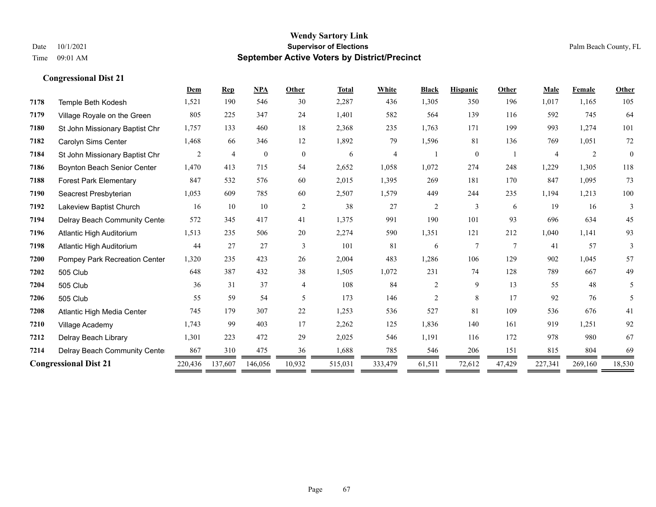|      |                                | Dem     | <b>Rep</b>     | <b>NPA</b>   | Other          | <b>Total</b> | White   | <b>Black</b>   | <b>Hispanic</b> | Other  | <b>Male</b> | Female  | Other        |
|------|--------------------------------|---------|----------------|--------------|----------------|--------------|---------|----------------|-----------------|--------|-------------|---------|--------------|
| 7178 | Temple Beth Kodesh             | 1,521   | 190            | 546          | 30             | 2,287        | 436     | 1,305          | 350             | 196    | 1,017       | 1,165   | 105          |
| 7179 | Village Royale on the Green    | 805     | 225            | 347          | 24             | 1,401        | 582     | 564            | 139             | 116    | 592         | 745     | 64           |
| 7180 | St John Missionary Baptist Chr | 1,757   | 133            | 460          | 18             | 2,368        | 235     | 1,763          | 171             | 199    | 993         | 1,274   | 101          |
| 7182 | Carolyn Sims Center            | 1,468   | 66             | 346          | 12             | 1,892        | 79      | 1,596          | 81              | 136    | 769         | 1,051   | 72           |
| 7184 | St John Missionary Baptist Chr | 2       | $\overline{4}$ | $\mathbf{0}$ | $\overline{0}$ | 6            | 4       |                | $\mathbf{0}$    |        | 4           | 2       | $\mathbf{0}$ |
| 7186 | Boynton Beach Senior Center    | 1,470   | 413            | 715          | 54             | 2,652        | 1,058   | 1,072          | 274             | 248    | 1,229       | 1,305   | 118          |
| 7188 | <b>Forest Park Elementary</b>  | 847     | 532            | 576          | 60             | 2,015        | 1,395   | 269            | 181             | 170    | 847         | 1,095   | 73           |
| 7190 | Seacrest Presbyterian          | 1,053   | 609            | 785          | 60             | 2,507        | 1,579   | 449            | 244             | 235    | 1,194       | 1,213   | 100          |
| 7192 | Lakeview Baptist Church        | 16      | 10             | 10           | 2              | 38           | 27      | $\overline{c}$ | 3               | 6      | 19          | 16      | 3            |
| 7194 | Delray Beach Community Cente   | 572     | 345            | 417          | 41             | 1,375        | 991     | 190            | 101             | 93     | 696         | 634     | 45           |
| 7196 | Atlantic High Auditorium       | 1,513   | 235            | 506          | 20             | 2,274        | 590     | 1,351          | 121             | 212    | 1,040       | 1,141   | 93           |
| 7198 | Atlantic High Auditorium       | 44      | 27             | 27           | 3              | 101          | 81      | 6              | $\overline{7}$  | $\tau$ | 41          | 57      | 3            |
| 7200 | Pompey Park Recreation Center  | 1,320   | 235            | 423          | 26             | 2,004        | 483     | 1,286          | 106             | 129    | 902         | 1,045   | 57           |
| 7202 | 505 Club                       | 648     | 387            | 432          | 38             | 1,505        | 1,072   | 231            | 74              | 128    | 789         | 667     | 49           |
| 7204 | 505 Club                       | 36      | 31             | 37           | $\overline{4}$ | 108          | 84      | $\overline{c}$ | 9               | 13     | 55          | 48      | 5            |
| 7206 | 505 Club                       | 55      | 59             | 54           | 5              | 173          | 146     | $\overline{c}$ | 8               | 17     | 92          | 76      | 5            |
| 7208 | Atlantic High Media Center     | 745     | 179            | 307          | 22             | 1,253        | 536     | 527            | 81              | 109    | 536         | 676     | 41           |
| 7210 | Village Academy                | 1,743   | 99             | 403          | 17             | 2,262        | 125     | 1,836          | 140             | 161    | 919         | 1,251   | 92           |
| 7212 | Delray Beach Library           | 1,301   | 223            | 472          | 29             | 2,025        | 546     | 1,191          | 116             | 172    | 978         | 980     | 67           |
| 7214 | Delray Beach Community Cente   | 867     | 310            | 475          | 36             | 1,688        | 785     | 546            | 206             | 151    | 815         | 804     | 69           |
|      | <b>Congressional Dist 21</b>   | 220,436 | 137,607        | 146,056      | 10,932         | 515,031      | 333,479 | 61,511         | 72,612          | 47,429 | 227,341     | 269,160 | 18,530       |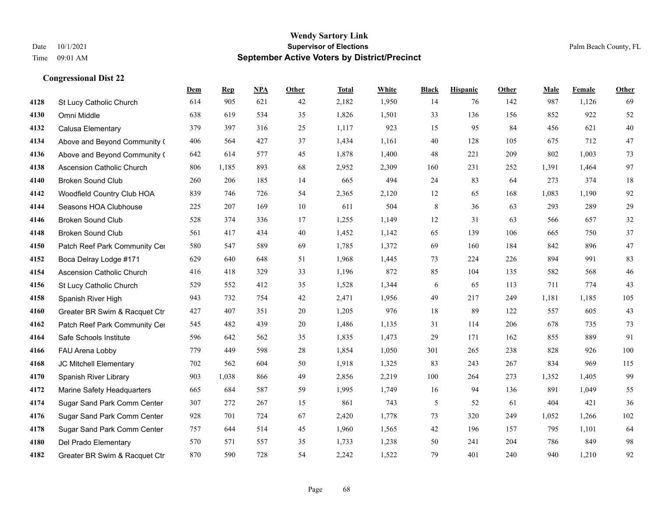|      |                                  | Dem | <b>Rep</b> | NPA | <b>Other</b> | <b>Total</b> | <b>White</b> | <b>Black</b> | <b>Hispanic</b> | <b>Other</b> | <b>Male</b> | Female | <b>Other</b> |
|------|----------------------------------|-----|------------|-----|--------------|--------------|--------------|--------------|-----------------|--------------|-------------|--------|--------------|
| 4128 | St Lucy Catholic Church          | 614 | 905        | 621 | 42           | 2,182        | 1,950        | 14           | 76              | 142          | 987         | 1,126  | 69           |
| 4130 | Omni Middle                      | 638 | 619        | 534 | 35           | 1,826        | 1,501        | 33           | 136             | 156          | 852         | 922    | 52           |
| 4132 | Calusa Elementary                | 379 | 397        | 316 | 25           | 1,117        | 923          | 15           | 95              | 84           | 456         | 621    | 40           |
| 4134 | Above and Beyond Community (     | 406 | 564        | 427 | 37           | 1,434        | 1,161        | 40           | 128             | 105          | 675         | 712    | 47           |
| 4136 | Above and Beyond Community (     | 642 | 614        | 577 | 45           | 1,878        | 1,400        | 48           | 221             | 209          | 802         | 1,003  | 73           |
| 4138 | <b>Ascension Catholic Church</b> | 806 | 1,185      | 893 | 68           | 2,952        | 2,309        | 160          | 231             | 252          | 1,391       | 1,464  | 97           |
| 4140 | <b>Broken Sound Club</b>         | 260 | 206        | 185 | 14           | 665          | 494          | 24           | 83              | 64           | 273         | 374    | 18           |
| 4142 | Woodfield Country Club HOA       | 839 | 746        | 726 | 54           | 2,365        | 2,120        | 12           | 65              | 168          | 1,083       | 1,190  | 92           |
| 4144 | Seasons HOA Clubhouse            | 225 | 207        | 169 | $10\,$       | 611          | 504          | $\,8\,$      | 36              | 63           | 293         | 289    | 29           |
| 4146 | <b>Broken Sound Club</b>         | 528 | 374        | 336 | 17           | 1,255        | 1,149        | 12           | 31              | 63           | 566         | 657    | 32           |
| 4148 | <b>Broken Sound Club</b>         | 561 | 417        | 434 | 40           | 1,452        | 1,142        | 65           | 139             | 106          | 665         | 750    | 37           |
| 4150 | Patch Reef Park Community Cer    | 580 | 547        | 589 | 69           | 1,785        | 1,372        | 69           | 160             | 184          | 842         | 896    | 47           |
| 4152 | Boca Delray Lodge #171           | 629 | 640        | 648 | 51           | 1,968        | 1,445        | 73           | 224             | 226          | 894         | 991    | 83           |
| 4154 | <b>Ascension Catholic Church</b> | 416 | 418        | 329 | 33           | 1,196        | 872          | 85           | 104             | 135          | 582         | 568    | 46           |
| 4156 | St Lucy Catholic Church          | 529 | 552        | 412 | 35           | 1,528        | 1,344        | 6            | 65              | 113          | 711         | 774    | 43           |
| 4158 | Spanish River High               | 943 | 732        | 754 | 42           | 2,471        | 1,956        | 49           | 217             | 249          | 1,181       | 1,185  | 105          |
| 4160 | Greater BR Swim & Racquet Ctr    | 427 | 407        | 351 | 20           | 1,205        | 976          | 18           | 89              | 122          | 557         | 605    | 43           |
| 4162 | Patch Reef Park Community Cer    | 545 | 482        | 439 | 20           | 1,486        | 1,135        | 31           | 114             | 206          | 678         | 735    | 73           |
| 4164 | Safe Schools Institute           | 596 | 642        | 562 | 35           | 1,835        | 1,473        | 29           | 171             | 162          | 855         | 889    | 91           |
| 4166 | FAU Arena Lobby                  | 779 | 449        | 598 | 28           | 1,854        | 1,050        | 301          | 265             | 238          | 828         | 926    | 100          |
| 4168 | JC Mitchell Elementary           | 702 | 562        | 604 | 50           | 1,918        | 1,325        | 83           | 243             | 267          | 834         | 969    | 115          |
| 4170 | Spanish River Library            | 903 | 1,038      | 866 | 49           | 2,856        | 2,219        | 100          | 264             | 273          | 1,352       | 1,405  | 99           |
| 4172 | Marine Safety Headquarters       | 665 | 684        | 587 | 59           | 1,995        | 1,749        | 16           | 94              | 136          | 891         | 1,049  | 55           |
| 4174 | Sugar Sand Park Comm Center      | 307 | 272        | 267 | 15           | 861          | 743          | 5            | 52              | 61           | 404         | 421    | 36           |
| 4176 | Sugar Sand Park Comm Center      | 928 | 701        | 724 | 67           | 2,420        | 1,778        | 73           | 320             | 249          | 1,052       | 1,266  | 102          |
| 4178 | Sugar Sand Park Comm Center      | 757 | 644        | 514 | 45           | 1,960        | 1,565        | 42           | 196             | 157          | 795         | 1,101  | 64           |
| 4180 | Del Prado Elementary             | 570 | 571        | 557 | 35           | 1,733        | 1,238        | 50           | 241             | 204          | 786         | 849    | 98           |
| 4182 | Greater BR Swim & Racquet Ctr    | 870 | 590        | 728 | 54           | 2,242        | 1,522        | 79           | 401             | 240          | 940         | 1,210  | 92           |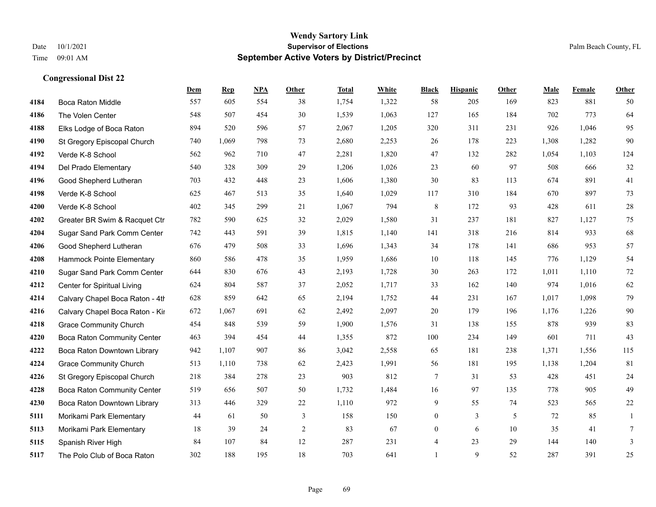|      |                                    | Dem    | <b>Rep</b> | NPA | <b>Other</b>   | <b>Total</b> | <b>White</b> | <b>Black</b>   | <b>Hispanic</b> | <b>Other</b> | <b>Male</b> | <b>Female</b> | <b>Other</b> |
|------|------------------------------------|--------|------------|-----|----------------|--------------|--------------|----------------|-----------------|--------------|-------------|---------------|--------------|
| 4184 | Boca Raton Middle                  | 557    | 605        | 554 | 38             | 1,754        | 1,322        | 58             | 205             | 169          | 823         | 881           | 50           |
| 4186 | The Volen Center                   | 548    | 507        | 454 | 30             | 1,539        | 1,063        | 127            | 165             | 184          | 702         | 773           | 64           |
| 4188 | Elks Lodge of Boca Raton           | 894    | 520        | 596 | 57             | 2,067        | 1,205        | 320            | 311             | 231          | 926         | 1,046         | 95           |
| 4190 | St Gregory Episcopal Church        | 740    | 1,069      | 798 | 73             | 2,680        | 2,253        | 26             | 178             | 223          | 1,308       | 1,282         | 90           |
| 4192 | Verde K-8 School                   | 562    | 962        | 710 | 47             | 2,281        | 1,820        | 47             | 132             | 282          | 1,054       | 1,103         | 124          |
| 4194 | Del Prado Elementary               | 540    | 328        | 309 | 29             | 1,206        | 1,026        | 23             | 60              | 97           | 508         | 666           | 32           |
| 4196 | Good Shepherd Lutheran             | 703    | 432        | 448 | 23             | 1,606        | 1,380        | 30             | 83              | 113          | 674         | 891           | 41           |
| 4198 | Verde K-8 School                   | 625    | 467        | 513 | 35             | 1,640        | 1,029        | 117            | 310             | 184          | 670         | 897           | 73           |
| 4200 | Verde K-8 School                   | 402    | 345        | 299 | 21             | 1,067        | 794          | $\,$ 8 $\,$    | 172             | 93           | 428         | 611           | 28           |
| 4202 | Greater BR Swim & Racquet Ctr      | 782    | 590        | 625 | 32             | 2,029        | 1,580        | 31             | 237             | 181          | 827         | 1,127         | 75           |
| 4204 | Sugar Sand Park Comm Center        | 742    | 443        | 591 | 39             | 1,815        | 1,140        | 141            | 318             | 216          | 814         | 933           | 68           |
| 4206 | Good Shepherd Lutheran             | 676    | 479        | 508 | 33             | 1,696        | 1,343        | 34             | 178             | 141          | 686         | 953           | 57           |
| 4208 | Hammock Pointe Elementary          | 860    | 586        | 478 | 35             | 1,959        | 1,686        | 10             | 118             | 145          | 776         | 1,129         | 54           |
| 4210 | Sugar Sand Park Comm Center        | 644    | 830        | 676 | 43             | 2,193        | 1,728        | 30             | 263             | 172          | 1,011       | 1,110         | $72\,$       |
| 4212 | Center for Spiritual Living        | 624    | 804        | 587 | 37             | 2,052        | 1,717        | 33             | 162             | 140          | 974         | 1,016         | 62           |
| 4214 | Calvary Chapel Boca Raton - 4th    | 628    | 859        | 642 | 65             | 2,194        | 1,752        | 44             | 231             | 167          | 1,017       | 1,098         | 79           |
| 4216 | Calvary Chapel Boca Raton - Kir    | 672    | 1,067      | 691 | 62             | 2,492        | 2,097        | 20             | 179             | 196          | 1,176       | 1,226         | $90\,$       |
| 4218 | <b>Grace Community Church</b>      | 454    | 848        | 539 | 59             | 1,900        | 1,576        | 31             | 138             | 155          | 878         | 939           | 83           |
| 4220 | <b>Boca Raton Community Center</b> | 463    | 394        | 454 | 44             | 1,355        | 872          | 100            | 234             | 149          | 601         | 711           | 43           |
| 4222 | Boca Raton Downtown Library        | 942    | 1,107      | 907 | 86             | 3,042        | 2,558        | 65             | 181             | 238          | 1,371       | 1,556         | 115          |
| 4224 | <b>Grace Community Church</b>      | 513    | 1,110      | 738 | 62             | 2,423        | 1,991        | 56             | 181             | 195          | 1,138       | 1,204         | 81           |
| 4226 | St Gregory Episcopal Church        | 218    | 384        | 278 | 23             | 903          | 812          | $\tau$         | 31              | 53           | 428         | 451           | 24           |
| 4228 | Boca Raton Community Center        | 519    | 656        | 507 | 50             | 1,732        | 1,484        | 16             | 97              | 135          | 778         | 905           | 49           |
| 4230 | Boca Raton Downtown Library        | 313    | 446        | 329 | 22             | 1,110        | 972          | 9              | 55              | 74           | 523         | 565           | $22\,$       |
| 5111 | Morikami Park Elementary           | 44     | 61         | 50  | 3              | 158          | 150          | $\overline{0}$ | $\overline{3}$  | 5            | 72          | 85            | $\mathbf{1}$ |
| 5113 | Morikami Park Elementary           | $18\,$ | 39         | 24  | $\overline{c}$ | 83           | 67           | $\overline{0}$ | 6               | 10           | 35          | 41            | 7            |
| 5115 | Spanish River High                 | 84     | 107        | 84  | 12             | 287          | 231          | 4              | 23              | 29           | 144         | 140           | 3            |
| 5117 | The Polo Club of Boca Raton        | 302    | 188        | 195 | 18             | 703          | 641          | $\mathbf{1}$   | 9               | 52           | 287         | 391           | 25           |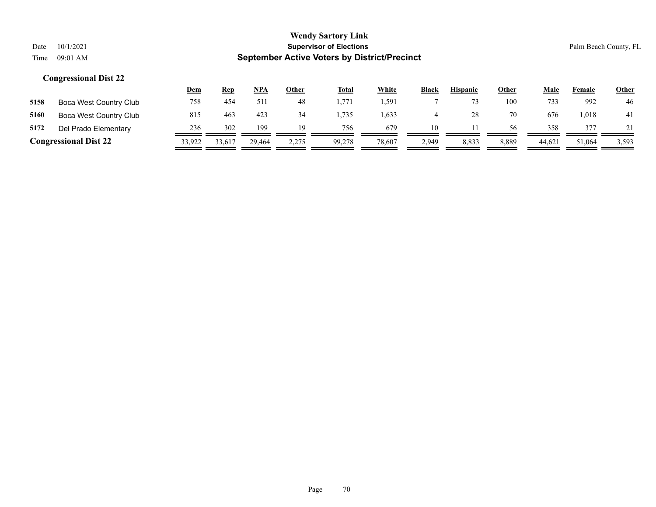|      |                              | <u>Dem</u> | <b>Rep</b> | NPA    | <u>Other</u> | <b>Total</b> | <b>White</b> | <b>Black</b> | <b>Hispanic</b> | <u>Other</u> | Male  | Female | <b>Other</b> |
|------|------------------------------|------------|------------|--------|--------------|--------------|--------------|--------------|-----------------|--------------|-------|--------|--------------|
| 5158 | Boca West Country Club       | 758        | 454        | 51.    | 48           | . 771        | 1.591        |              |                 | 100          | 733   | 992    | 46           |
| 5160 | Boca West Country Club       | 815        | 463        | 423    | 34           | .735         | 1,633        |              |                 | 70           | 676   | 1,018  | 41           |
| 5172 | Del Prado Elementary         | 236        | 302        | 199    | 19           | 756          | 679          | 10           |                 | 56           | 358   | 377    | 21           |
|      | <b>Congressional Dist 22</b> | 33,922     | 33,617     | 29.464 | 2,275        | 99.278       | 78,607       | 2,949        | 8,833           | 8,889        | 44,62 | 51,064 | 3,593        |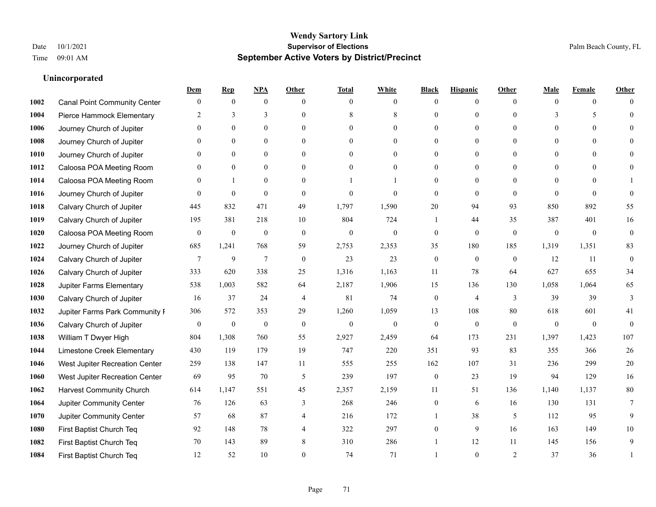#### **Unincorporated**

|      |                                     | Dem              | <b>Rep</b>       | NPA              | <b>Other</b>   | <b>Total</b>     | <b>White</b>     | <b>Black</b>     | <b>Hispanic</b>  | <b>Other</b>   | <b>Male</b>  | <b>Female</b>  | <b>Other</b>     |
|------|-------------------------------------|------------------|------------------|------------------|----------------|------------------|------------------|------------------|------------------|----------------|--------------|----------------|------------------|
| 1002 | <b>Canal Point Community Center</b> | $\mathbf{0}$     | $\mathbf{0}$     | $\boldsymbol{0}$ | $\Omega$       | $\Omega$         | $\overline{0}$   | $\mathbf{0}$     | $\boldsymbol{0}$ | $\theta$       | $\theta$     | $\overline{0}$ | $\Omega$         |
| 1004 | Pierce Hammock Elementary           | 2                | 3                | 3                | $\theta$       | 8                | 8                | $\theta$         | $\mathbf{0}$     | $\theta$       | 3            | 5              | $\theta$         |
| 1006 | Journey Church of Jupiter           | $\Omega$         | $\theta$         | $\theta$         | $\Omega$       | $\Omega$         | $\Omega$         | $\Omega$         | $\theta$         | $\Omega$       | $\Omega$     | $\Omega$       | $\Omega$         |
| 1008 | Journey Church of Jupiter           | 0                | $\mathbf{0}$     | $\mathbf{0}$     | $\overline{0}$ | $\theta$         | $\overline{0}$   | $\overline{0}$   | $\boldsymbol{0}$ | $\theta$       | $\mathbf{0}$ | $\mathbf{0}$   |                  |
| 1010 | Journey Church of Jupiter           | 0                | $\mathbf{0}$     | $\mathbf{0}$     | $\theta$       | $\Omega$         | $\overline{0}$   | $\overline{0}$   | $\mathbf{0}$     | $\theta$       | $\theta$     | $\theta$       | $\Omega$         |
| 1012 | Caloosa POA Meeting Room            | 0                | $\mathbf{0}$     | $\mathbf{0}$     | $\theta$       | $\Omega$         | $\mathbf{0}$     | $\overline{0}$   | $\mathbf{0}$     | $\Omega$       | $\theta$     | $\Omega$       | $\mathbf{0}$     |
| 1014 | Caloosa POA Meeting Room            | $\theta$         | $\mathbf{1}$     | $\mathbf{0}$     | $\theta$       |                  | 1                | $\overline{0}$   | $\mathbf{0}$     | $\theta$       | $\theta$     | $\Omega$       |                  |
| 1016 | Journey Church of Jupiter           | $\Omega$         | $\mathbf{0}$     | $\mathbf{0}$     | $\theta$       | $\theta$         | $\overline{0}$   | $\mathbf{0}$     | $\mathbf{0}$     | $\theta$       | $\Omega$     | $\theta$       | $\theta$         |
| 1018 | Calvary Church of Jupiter           | 445              | 832              | 471              | 49             | 1,797            | 1,590            | 20               | 94               | 93             | 850          | 892            | 55               |
| 1019 | Calvary Church of Jupiter           | 195              | 381              | 218              | 10             | 804              | 724              | 1                | 44               | 35             | 387          | 401            | 16               |
| 1020 | Caloosa POA Meeting Room            | $\overline{0}$   | $\boldsymbol{0}$ | $\mathbf{0}$     | $\theta$       | $\mathbf{0}$     | $\mathbf{0}$     | $\mathbf{0}$     | $\mathbf{0}$     | $\theta$       | $\theta$     | $\theta$       | $\mathbf{0}$     |
| 1022 | Journey Church of Jupiter           | 685              | 1,241            | 768              | 59             | 2,753            | 2,353            | 35               | 180              | 185            | 1,319        | 1,351          | 83               |
| 1024 | Calvary Church of Jupiter           | 7                | 9                | $\overline{7}$   | $\mathbf{0}$   | 23               | 23               | $\boldsymbol{0}$ | $\mathbf{0}$     | $\overline{0}$ | 12           | 11             | $\boldsymbol{0}$ |
| 1026 | Calvary Church of Jupiter           | 333              | 620              | 338              | 25             | 1,316            | 1,163            | 11               | 78               | 64             | 627          | 655            | 34               |
| 1028 | Jupiter Farms Elementary            | 538              | 1,003            | 582              | 64             | 2,187            | 1,906            | 15               | 136              | 130            | 1,058        | 1,064          | 65               |
| 1030 | Calvary Church of Jupiter           | 16               | 37               | 24               | $\overline{4}$ | 81               | 74               | $\boldsymbol{0}$ | 4                | 3              | 39           | 39             | 3                |
| 1032 | Jupiter Farms Park Community I      | 306              | 572              | 353              | 29             | 1,260            | 1,059            | 13               | 108              | 80             | 618          | 601            | 41               |
| 1036 | Calvary Church of Jupiter           | $\boldsymbol{0}$ | $\boldsymbol{0}$ | $\boldsymbol{0}$ | $\overline{0}$ | $\boldsymbol{0}$ | $\boldsymbol{0}$ | $\boldsymbol{0}$ | $\mathbf{0}$     | $\mathbf{0}$   | $\mathbf{0}$ | $\mathbf{0}$   | $\mathbf{0}$     |
| 1038 | William T Dwyer High                | 804              | 1,308            | 760              | 55             | 2,927            | 2,459            | 64               | 173              | 231            | 1,397        | 1,423          | 107              |
| 1044 | Limestone Creek Elementary          | 430              | 119              | 179              | 19             | 747              | 220              | 351              | 93               | 83             | 355          | 366            | 26               |
| 1046 | West Jupiter Recreation Center      | 259              | 138              | 147              | 11             | 555              | 255              | 162              | 107              | 31             | 236          | 299            | $20\,$           |
| 1060 | West Jupiter Recreation Center      | 69               | 95               | 70               | 5              | 239              | 197              | $\boldsymbol{0}$ | 23               | 19             | 94           | 129            | 16               |
| 1062 | <b>Harvest Community Church</b>     | 614              | 1,147            | 551              | 45             | 2,357            | 2,159            | 11               | 51               | 136            | 1,140        | 1,137          | 80               |
| 1064 | Jupiter Community Center            | 76               | 126              | 63               | 3              | 268              | 246              | $\boldsymbol{0}$ | 6                | 16             | 130          | 131            | $7\phantom{.0}$  |
| 1070 | Jupiter Community Center            | 57               | 68               | 87               | 4              | 216              | 172              | $\mathbf{1}$     | 38               | 5              | 112          | 95             | 9                |
| 1080 | First Baptist Church Teq            | 92               | 148              | 78               | $\overline{4}$ | 322              | 297              | $\overline{0}$   | 9                | 16             | 163          | 149            | 10               |
| 1082 | First Baptist Church Teq            | 70               | 143              | 89               | 8              | 310              | 286              |                  | 12               | 11             | 145          | 156            | 9                |
| 1084 | First Baptist Church Teq            | 12               | 52               | 10               | 0              | 74               | 71               |                  | $\theta$         | $\overline{2}$ | 37           | 36             | $\mathbf{1}$     |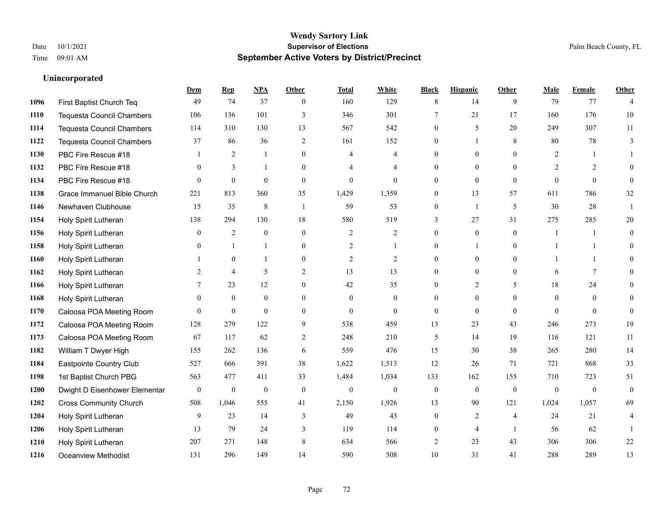#### **Unincorporated**

|      |                                  | Dem              | <b>Rep</b>       | NPA              | <b>Other</b>   | <b>Total</b>     | <b>White</b>     | <b>Black</b>     | <b>Hispanic</b>  | <b>Other</b>   | <b>Male</b>    | <b>Female</b>  | <b>Other</b>   |
|------|----------------------------------|------------------|------------------|------------------|----------------|------------------|------------------|------------------|------------------|----------------|----------------|----------------|----------------|
| 1096 | First Baptist Church Teq         | 49               | 74               | 37               | $\mathbf{0}$   | 160              | 129              | 8                | 14               | 9              | 79             | 77             | $\overline{4}$ |
| 1110 | <b>Tequesta Council Chambers</b> | 106              | 136              | 101              | 3              | 346              | 301              | $\overline{7}$   | 21               | 17             | 160            | 176            | 10             |
| 1114 | <b>Tequesta Council Chambers</b> | 114              | 310              | 130              | 13             | 567              | 542              | $\overline{0}$   | 5                | 20             | 249            | 307            | 11             |
| 1122 | <b>Tequesta Council Chambers</b> | 37               | 86               | 36               | $\overline{2}$ | 161              | 152              | $\overline{0}$   | 1                | 8              | 80             | 78             | 3              |
| 1130 | PBC Fire Rescue #18              |                  | 2                | $\mathbf{1}$     | $\Omega$       | $\overline{4}$   | $\overline{4}$   | $\Omega$         | $\Omega$         | $\Omega$       | 2              |                |                |
| 1132 | PBC Fire Rescue #18              | $\mathbf{0}$     | 3                | -1               | $\overline{0}$ | 4                | $\overline{4}$   | $\overline{0}$   | 0                | $\theta$       | 2              | 2              | 0              |
| 1134 | PBC Fire Rescue #18              | $\theta$         | $\mathbf{0}$     | $\mathbf{0}$     | $\mathbf{0}$   | $\mathbf{0}$     | $\overline{0}$   | $\overline{0}$   | $\mathbf{0}$     | $\theta$       | $\Omega$       | $\theta$       | $\theta$       |
| 1138 | Grace Immanuel Bible Church      | 221              | 813              | 360              | 35             | 1,429            | 1,359            | $\Omega$         | 13               | 57             | 611            | 786            | 32             |
| 1146 | Newhaven Clubhouse               | 15               | 35               | $\,$ 8 $\,$      | $\mathbf{1}$   | 59               | 53               | 0                | 1                | 5              | 30             | 28             |                |
| 1154 | Holy Spirit Lutheran             | 138              | 294              | 130              | 18             | 580              | 519              | 3                | 27               | 31             | 275            | 285            | 20             |
| 1156 | Holy Spirit Lutheran             | $\mathbf{0}$     | $\overline{2}$   | $\theta$         | $\theta$       | $\overline{2}$   | $\overline{2}$   | $\overline{0}$   | $\overline{0}$   | $\theta$       | $\overline{1}$ |                | $\theta$       |
| 1158 | Holy Spirit Lutheran             | $\theta$         |                  | $\mathbf{1}$     | $\mathbf{0}$   | 2                | $\mathbf{1}$     | $\overline{0}$   | 1                | $\theta$       | $\mathbf{1}$   | $\overline{1}$ | $\theta$       |
| 1160 | Holy Spirit Lutheran             |                  | $\mathbf{0}$     | $\mathbf{1}$     | $\theta$       | $\overline{2}$   | $\mathbf{2}$     | $\overline{0}$   | $\overline{0}$   | $\Omega$       | $\mathbf{1}$   |                | 0              |
| 1162 | Holy Spirit Lutheran             | 2                | $\overline{4}$   | 5                | $\mathbf{2}$   | 13               | 13               | $\overline{0}$   | $\boldsymbol{0}$ | $\mathbf{0}$   | 6              | $\tau$         | $\theta$       |
| 1166 | Holy Spirit Lutheran             | 7                | 23               | 12               | $\overline{0}$ | 42               | 35               | $\overline{0}$   | $\overline{2}$   | 5              | 18             | 24             | 0              |
| 1168 | Holy Spirit Lutheran             | $\theta$         | $\mathbf{0}$     | $\mathbf{0}$     | $\theta$       | $\overline{0}$   | $\overline{0}$   | $\theta$         | $\overline{0}$   | $\theta$       | $\theta$       | $\theta$       | 0              |
| 1170 | Caloosa POA Meeting Room         | $\theta$         | $\mathbf{0}$     | $\mathbf{0}$     | $\mathbf{0}$   | $\mathbf{0}$     | $\overline{0}$   | $\boldsymbol{0}$ | $\overline{0}$   | $\mathbf{0}$   | $\Omega$       | $\mathbf{0}$   | $\mathbf{0}$   |
| 1172 | Caloosa POA Meeting Room         | 128              | 279              | 122              | 9              | 538              | 459              | 13               | 23               | 43             | 246            | 273            | 19             |
| 1173 | Caloosa POA Meeting Room         | 67               | 117              | 62               | 2              | 248              | 210              | 5                | 14               | 19             | 116            | 121            | 11             |
| 1182 | William T Dwyer High             | 155              | 262              | 136              | 6              | 559              | 476              | 15               | 30               | 38             | 265            | 280            | 14             |
| 1184 | Eastpointe Country Club          | 527              | 666              | 391              | 38             | 1,622            | 1,513            | 12               | 26               | 71             | 721            | 868            | 33             |
| 1198 | 1st Baptist Church PBG           | 563              | 477              | 411              | 33             | 1,484            | 1,034            | 133              | 162              | 155            | 710            | 723            | 51             |
| 1200 | Dwight D Eisenhower Elementar    | $\boldsymbol{0}$ | $\boldsymbol{0}$ | $\boldsymbol{0}$ | $\mathbf{0}$   | $\boldsymbol{0}$ | $\boldsymbol{0}$ | $\boldsymbol{0}$ | $\mathbf{0}$     | $\theta$       | $\overline{0}$ | $\mathbf{0}$   | $\mathbf{0}$   |
| 1202 | <b>Cross Community Church</b>    | 508              | 1,046            | 555              | 41             | 2,150            | 1,926            | 13               | 90               | 121            | 1,024          | 1,057          | 69             |
| 1204 | Holy Spirit Lutheran             | 9                | 23               | 14               | 3              | 49               | 43               | $\Omega$         | $\overline{2}$   | $\overline{4}$ | 24             | 21             | 4              |
| 1206 | Holy Spirit Lutheran             | 13               | 79               | 24               | 3              | 119              | 114              | 0                | 4                | $\overline{1}$ | 56             | 62             |                |
| 1210 | Holy Spirit Lutheran             | 207              | 271              | 148              | 8              | 634              | 566              | 2                | 23               | 43             | 306            | 306            | $22\,$         |
| 1216 | <b>Oceanview Methodist</b>       | 131              | 296              | 149              | 14             | 590              | 508              | 10               | 31               | 41             | 288            | 289            | 13             |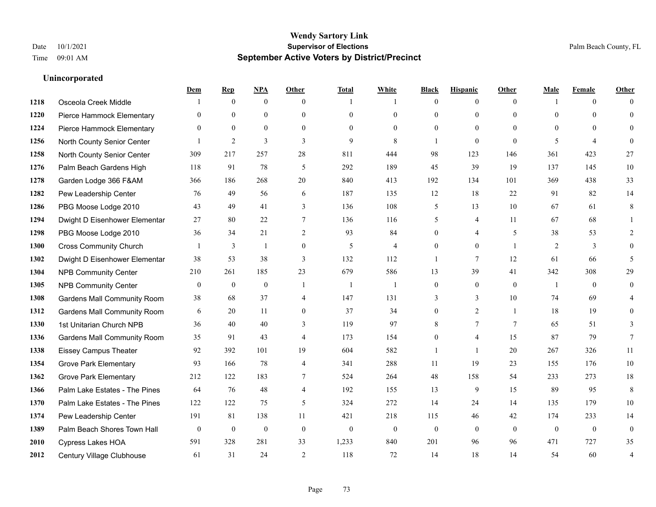|      |                                    | Dem          | <b>Rep</b>     | NPA              | <b>Other</b>     | <b>Total</b>   | <b>White</b>   | <b>Black</b>     | <b>Hispanic</b> | <b>Other</b>   | <b>Male</b>    | <b>Female</b>  | <b>Other</b>     |
|------|------------------------------------|--------------|----------------|------------------|------------------|----------------|----------------|------------------|-----------------|----------------|----------------|----------------|------------------|
| 1218 | Osceola Creek Middle               |              | $\mathbf{0}$   | $\boldsymbol{0}$ | $\theta$         | 1              | 1              | $\mathbf{0}$     | $\overline{0}$  | $\theta$       | $\mathbf{1}$   | $\overline{0}$ | $\Omega$         |
| 1220 | Pierce Hammock Elementary          | $\theta$     | $\mathbf{0}$   | $\mathbf{0}$     | $\theta$         | $\theta$       | $\overline{0}$ | $\theta$         | $\mathbf{0}$    | $\Omega$       | $\theta$       | $\theta$       | $\mathbf{0}$     |
| 1224 | Pierce Hammock Elementary          | $\Omega$     | $\theta$       | $\theta$         | $\theta$         | $\Omega$       | $\Omega$       | $\Omega$         | $\theta$        | $\Omega$       | $\Omega$       | $\Omega$       | $\Omega$         |
| 1256 | North County Senior Center         |              | $\overline{2}$ | 3                | 3                | 9              | 8              | $\mathbf{1}$     | $\mathbf{0}$    | $\mathbf{0}$   | 5              | $\overline{4}$ | $\theta$         |
| 1258 | North County Senior Center         | 309          | 217            | 257              | 28               | 811            | 444            | 98               | 123             | 146            | 361            | 423            | 27               |
| 1276 | Palm Beach Gardens High            | 118          | 91             | 78               | 5                | 292            | 189            | 45               | 39              | 19             | 137            | 145            | 10               |
| 1278 | Garden Lodge 366 F&AM              | 366          | 186            | 268              | 20               | 840            | 413            | 192              | 134             | 101            | 369            | 438            | 33               |
| 1282 | Pew Leadership Center              | 76           | 49             | 56               | 6                | 187            | 135            | 12               | 18              | 22             | 91             | 82             | 14               |
| 1286 | PBG Moose Lodge 2010               | 43           | 49             | 41               | 3                | 136            | 108            | 5                | 13              | 10             | 67             | 61             | 8                |
| 1294 | Dwight D Eisenhower Elementar      | 27           | 80             | 22               | $\tau$           | 136            | 116            | 5                | 4               | 11             | 67             | 68             |                  |
| 1298 | PBG Moose Lodge 2010               | 36           | 34             | 21               | 2                | 93             | 84             | $\theta$         | $\overline{4}$  | 5              | 38             | 53             | 2                |
| 1300 | <b>Cross Community Church</b>      |              | 3              | $\mathbf{1}$     | $\boldsymbol{0}$ | $\mathfrak{H}$ | $\overline{4}$ | $\mathbf{0}$     | $\mathbf{0}$    | $\overline{1}$ | $\overline{2}$ | 3              | $\mathbf{0}$     |
| 1302 | Dwight D Eisenhower Elementar      | 38           | 53             | 38               | 3                | 132            | 112            | 1                | $\tau$          | 12             | 61             | 66             | 5                |
| 1304 | <b>NPB Community Center</b>        | 210          | 261            | 185              | 23               | 679            | 586            | 13               | 39              | 41             | 342            | 308            | 29               |
| 1305 | <b>NPB Community Center</b>        | $\mathbf{0}$ | $\mathbf{0}$   | $\mathbf{0}$     | $\overline{1}$   | 1              | $\mathbf{1}$   | $\mathbf{0}$     | $\mathbf{0}$    | $\theta$       | -1             | $\theta$       | $\mathbf{0}$     |
| 1308 | <b>Gardens Mall Community Room</b> | 38           | 68             | 37               | $\overline{4}$   | 147            | 131            | 3                | 3               | 10             | 74             | 69             |                  |
| 1312 | <b>Gardens Mall Community Room</b> | 6            | 20             | 11               | $\overline{0}$   | 37             | 34             | $\boldsymbol{0}$ | $\overline{2}$  | $\mathbf{1}$   | 18             | 19             | $\theta$         |
| 1330 | 1st Unitarian Church NPB           | 36           | 40             | 40               | 3                | 119            | 97             | 8                | $\tau$          | 7              | 65             | 51             | 3                |
| 1336 | <b>Gardens Mall Community Room</b> | 35           | 91             | 43               | $\overline{4}$   | 173            | 154            | $\mathbf{0}$     | 4               | 15             | 87             | 79             | $7\phantom{.0}$  |
| 1338 | <b>Eissey Campus Theater</b>       | 92           | 392            | 101              | 19               | 604            | 582            | $\mathbf{1}$     | $\mathbf{1}$    | 20             | 267            | 326            | 11               |
| 1354 | <b>Grove Park Elementary</b>       | 93           | 166            | 78               | $\overline{4}$   | 341            | 288            | 11               | 19              | 23             | 155            | 176            | $10\,$           |
| 1362 | <b>Grove Park Elementary</b>       | 212          | 122            | 183              | 7                | 524            | 264            | 48               | 158             | 54             | 233            | 273            | $18\,$           |
| 1366 | Palm Lake Estates - The Pines      | 64           | 76             | 48               | $\overline{4}$   | 192            | 155            | 13               | 9               | 15             | 89             | 95             | 8                |
| 1370 | Palm Lake Estates - The Pines      | 122          | 122            | 75               | 5                | 324            | 272            | 14               | 24              | 14             | 135            | 179            | 10               |
| 1374 | Pew Leadership Center              | 191          | 81             | 138              | 11               | 421            | 218            | 115              | 46              | 42             | 174            | 233            | 14               |
| 1389 | Palm Beach Shores Town Hall        | $\mathbf{0}$ | $\mathbf{0}$   | $\mathbf{0}$     | $\mathbf{0}$     | $\mathbf{0}$   | $\mathbf{0}$   | $\mathbf{0}$     | $\mathbf{0}$    | $\theta$       | $\mathbf{0}$   | $\overline{0}$ | $\boldsymbol{0}$ |
| 2010 | Cypress Lakes HOA                  | 591          | 328            | 281              | 33               | 1,233          | 840            | 201              | 96              | 96             | 471            | 727            | 35               |
| 2012 | Century Village Clubhouse          | 61           | 31             | 24               | 2                | 118            | 72             | 14               | 18              | 14             | 54             | 60             | $\overline{4}$   |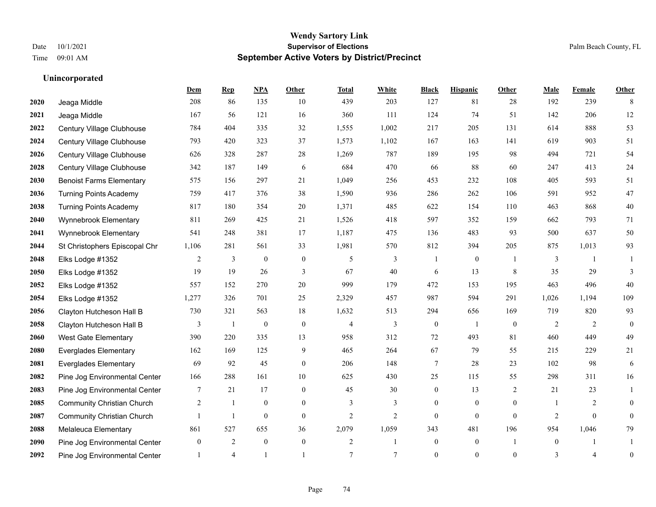|      |                                   | Dem              | <b>Rep</b>     | NPA              | <b>Other</b>   | <b>Total</b>   | <b>White</b>   | <b>Black</b>     | <b>Hispanic</b> | <b>Other</b>   | <b>Male</b>    | <b>Female</b>  | <b>Other</b>     |
|------|-----------------------------------|------------------|----------------|------------------|----------------|----------------|----------------|------------------|-----------------|----------------|----------------|----------------|------------------|
| 2020 | Jeaga Middle                      | 208              | 86             | 135              | 10             | 439            | 203            | 127              | 81              | 28             | 192            | 239            | 8                |
| 2021 | Jeaga Middle                      | 167              | 56             | 121              | 16             | 360            | 111            | 124              | 74              | 51             | 142            | 206            | 12               |
| 2022 | Century Village Clubhouse         | 784              | 404            | 335              | 32             | 1,555          | 1,002          | 217              | 205             | 131            | 614            | 888            | 53               |
| 2024 | Century Village Clubhouse         | 793              | 420            | 323              | 37             | 1,573          | 1,102          | 167              | 163             | 141            | 619            | 903            | 51               |
| 2026 | Century Village Clubhouse         | 626              | 328            | 287              | 28             | 1,269          | 787            | 189              | 195             | 98             | 494            | 721            | 54               |
| 2028 | Century Village Clubhouse         | 342              | 187            | 149              | 6              | 684            | 470            | 66               | 88              | 60             | 247            | 413            | 24               |
| 2030 | <b>Benoist Farms Elementary</b>   | 575              | 156            | 297              | 21             | 1,049          | 256            | 453              | 232             | 108            | 405            | 593            | 51               |
| 2036 | <b>Turning Points Academy</b>     | 759              | 417            | 376              | 38             | 1,590          | 936            | 286              | 262             | 106            | 591            | 952            | 47               |
| 2038 | <b>Turning Points Academy</b>     | 817              | 180            | 354              | $20\,$         | 1,371          | 485            | 622              | 154             | 110            | 463            | 868            | $40\,$           |
| 2040 | Wynnebrook Elementary             | 811              | 269            | 425              | 21             | 1,526          | 418            | 597              | 352             | 159            | 662            | 793            | 71               |
| 2041 | Wynnebrook Elementary             | 541              | 248            | 381              | 17             | 1,187          | 475            | 136              | 483             | 93             | 500            | 637            | 50               |
| 2044 | St Christophers Episcopal Chr     | 1,106            | 281            | 561              | 33             | 1,981          | 570            | 812              | 394             | 205            | 875            | 1,013          | 93               |
| 2048 | Elks Lodge #1352                  | 2                | 3              | $\mathbf{0}$     | $\mathbf{0}$   | 5              | 3              | $\mathbf{1}$     | $\overline{0}$  |                | 3              | $\overline{1}$ |                  |
| 2050 | Elks Lodge #1352                  | 19               | 19             | 26               | $\mathfrak{Z}$ | 67             | 40             | 6                | 13              | $\,8\,$        | 35             | 29             | 3                |
| 2052 | Elks Lodge #1352                  | 557              | 152            | 270              | 20             | 999            | 179            | 472              | 153             | 195            | 463            | 496            | 40               |
| 2054 | Elks Lodge #1352                  | 1,277            | 326            | 701              | 25             | 2,329          | 457            | 987              | 594             | 291            | 1,026          | 1,194          | 109              |
| 2056 | Clayton Hutcheson Hall B          | 730              | 321            | 563              | 18             | 1,632          | 513            | 294              | 656             | 169            | 719            | 820            | 93               |
| 2058 | Clayton Hutcheson Hall B          | 3                | -1             | $\boldsymbol{0}$ | $\mathbf{0}$   | $\overline{4}$ | 3              | $\boldsymbol{0}$ | $\mathbf{1}$    | $\overline{0}$ | 2              | 2              | $\mathbf{0}$     |
| 2060 | <b>West Gate Elementary</b>       | 390              | 220            | 335              | 13             | 958            | 312            | 72               | 493             | 81             | 460            | 449            | 49               |
| 2080 | <b>Everglades Elementary</b>      | 162              | 169            | 125              | 9              | 465            | 264            | 67               | 79              | 55             | 215            | 229            | 21               |
| 2081 | <b>Everglades Elementary</b>      | 69               | 92             | 45               | $\theta$       | 206            | 148            | 7                | 28              | 23             | 102            | 98             | 6                |
| 2082 | Pine Jog Environmental Center     | 166              | 288            | 161              | 10             | 625            | 430            | 25               | 115             | 55             | 298            | 311            | 16               |
| 2083 | Pine Jog Environmental Center     | 7                | 21             | 17               | $\mathbf{0}$   | 45             | 30             | $\mathbf{0}$     | 13              | 2              | 21             | 23             | 1                |
| 2085 | <b>Community Christian Church</b> | 2                | 1              | $\mathbf{0}$     | $\overline{0}$ | 3              | 3              | $\mathbf{0}$     | $\mathbf{0}$    | $\mathbf{0}$   | $\overline{1}$ | 2              | $\theta$         |
| 2087 | <b>Community Christian Church</b> |                  | $\mathbf{1}$   | $\mathbf{0}$     | $\theta$       | $\overline{2}$ | $\overline{2}$ | $\overline{0}$   | $\overline{0}$  | $\theta$       | 2              | $\Omega$       | $\theta$         |
| 2088 | Melaleuca Elementary              | 861              | 527            | 655              | 36             | 2,079          | 1,059          | 343              | 481             | 196            | 954            | 1,046          | 79               |
| 2090 | Pine Jog Environmental Center     | $\boldsymbol{0}$ | $\overline{2}$ | $\mathbf{0}$     | $\mathbf{0}$   | $\overline{2}$ | 1              | $\boldsymbol{0}$ | $\overline{0}$  |                | $\mathbf{0}$   |                |                  |
| 2092 | Pine Jog Environmental Center     |                  | $\overline{4}$ |                  |                | $\overline{7}$ | $\tau$         | $\theta$         | $\Omega$        | $\theta$       | 3              | $\overline{4}$ | $\boldsymbol{0}$ |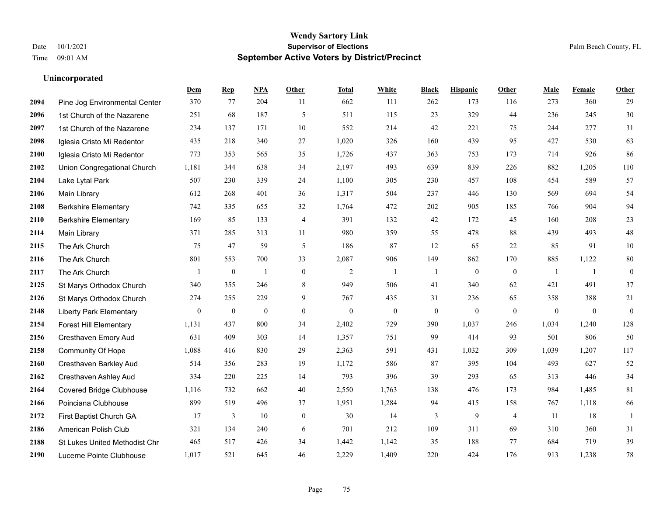|      |                                 | Dem              | <b>Rep</b>       | NPA              | <b>Other</b> | <b>Total</b>     | <b>White</b>     | <b>Black</b>     | <b>Hispanic</b>  | <b>Other</b>     | <b>Male</b>  | <b>Female</b>  | Other            |
|------|---------------------------------|------------------|------------------|------------------|--------------|------------------|------------------|------------------|------------------|------------------|--------------|----------------|------------------|
| 2094 | Pine Jog Environmental Center   | 370              | 77               | 204              | 11           | 662              | 111              | 262              | 173              | 116              | 273          | 360            | 29               |
| 2096 | 1st Church of the Nazarene      | 251              | 68               | 187              | 5            | 511              | 115              | 23               | 329              | 44               | 236          | 245            | $30\,$           |
| 2097 | 1st Church of the Nazarene      | 234              | 137              | 171              | 10           | 552              | 214              | 42               | 221              | 75               | 244          | 277            | 31               |
| 2098 | Iglesia Cristo Mi Redentor      | 435              | 218              | 340              | 27           | 1,020            | 326              | 160              | 439              | 95               | 427          | 530            | 63               |
| 2100 | Iglesia Cristo Mi Redentor      | 773              | 353              | 565              | 35           | 1,726            | 437              | 363              | 753              | 173              | 714          | 926            | 86               |
| 2102 | Union Congregational Church     | 1,181            | 344              | 638              | 34           | 2,197            | 493              | 639              | 839              | 226              | 882          | 1,205          | $110\,$          |
| 2104 | Lake Lytal Park                 | 507              | 230              | 339              | 24           | 1,100            | 305              | 230              | 457              | 108              | 454          | 589            | 57               |
| 2106 | Main Library                    | 612              | 268              | 401              | 36           | 1,317            | 504              | 237              | 446              | 130              | 569          | 694            | 54               |
| 2108 | <b>Berkshire Elementary</b>     | 742              | 335              | 655              | 32           | 1,764            | 472              | 202              | 905              | 185              | 766          | 904            | 94               |
| 2110 | <b>Berkshire Elementary</b>     | 169              | 85               | 133              | 4            | 391              | 132              | 42               | 172              | 45               | 160          | 208            | $23\,$           |
| 2114 | <b>Main Library</b>             | 371              | 285              | 313              | 11           | 980              | 359              | 55               | 478              | 88               | 439          | 493            | 48               |
| 2115 | The Ark Church                  | 75               | 47               | 59               | 5            | 186              | 87               | 12               | 65               | 22               | 85           | 91             | $10\,$           |
| 2116 | The Ark Church                  | 801              | 553              | 700              | 33           | 2,087            | 906              | 149              | 862              | 170              | 885          | 1,122          | $80\,$           |
| 2117 | The Ark Church                  |                  | $\boldsymbol{0}$ | $\overline{1}$   | $\mathbf{0}$ | $\overline{2}$   | -1               | -1               | $\boldsymbol{0}$ | $\boldsymbol{0}$ | -1           | -1             | $\boldsymbol{0}$ |
| 2125 | St Marys Orthodox Church        | 340              | 355              | 246              | 8            | 949              | 506              | 41               | 340              | 62               | 421          | 491            | 37               |
| 2126 | St Marys Orthodox Church        | 274              | 255              | 229              | 9            | 767              | 435              | 31               | 236              | 65               | 358          | 388            | 21               |
| 2148 | <b>Liberty Park Elementary</b>  | $\boldsymbol{0}$ | $\boldsymbol{0}$ | $\boldsymbol{0}$ | $\mathbf{0}$ | $\boldsymbol{0}$ | $\boldsymbol{0}$ | $\boldsymbol{0}$ | $\mathbf{0}$     | $\boldsymbol{0}$ | $\mathbf{0}$ | $\overline{0}$ | $\boldsymbol{0}$ |
| 2154 | <b>Forest Hill Elementary</b>   | 1,131            | 437              | 800              | 34           | 2,402            | 729              | 390              | 1,037            | 246              | 1,034        | 1,240          | 128              |
| 2156 | Cresthaven Emory Aud            | 631              | 409              | 303              | 14           | 1,357            | 751              | 99               | 414              | 93               | 501          | 806            | $50\,$           |
| 2158 | Community Of Hope               | 1,088            | 416              | 830              | 29           | 2,363            | 591              | 431              | 1,032            | 309              | 1,039        | 1,207          | 117              |
| 2160 | Cresthaven Barkley Aud          | 514              | 356              | 283              | 19           | 1,172            | 586              | 87               | 395              | 104              | 493          | 627            | 52               |
| 2162 | Cresthaven Ashley Aud           | 334              | 220              | 225              | 14           | 793              | 396              | 39               | 293              | 65               | 313          | 446            | 34               |
| 2164 | <b>Covered Bridge Clubhouse</b> | 1,116            | 732              | 662              | 40           | 2,550            | 1,763            | 138              | 476              | 173              | 984          | 1,485          | 81               |
| 2166 | Poinciana Clubhouse             | 899              | 519              | 496              | 37           | 1,951            | 1,284            | 94               | 415              | 158              | 767          | 1,118          | 66               |
| 2172 | First Baptist Church GA         | 17               | 3                | 10               | $\mathbf{0}$ | 30               | 14               | 3                | 9                | $\overline{4}$   | 11           | 18             | $\overline{1}$   |
| 2186 | American Polish Club            | 321              | 134              | 240              | 6            | 701              | 212              | 109              | 311              | 69               | 310          | 360            | 31               |
| 2188 | St Lukes United Methodist Chr   | 465              | 517              | 426              | 34           | 1,442            | 1,142            | 35               | 188              | 77               | 684          | 719            | 39               |
| 2190 | Lucerne Pointe Clubhouse        | 1,017            | 521              | 645              | 46           | 2,229            | 1,409            | 220              | 424              | 176              | 913          | 1,238          | $78\,$           |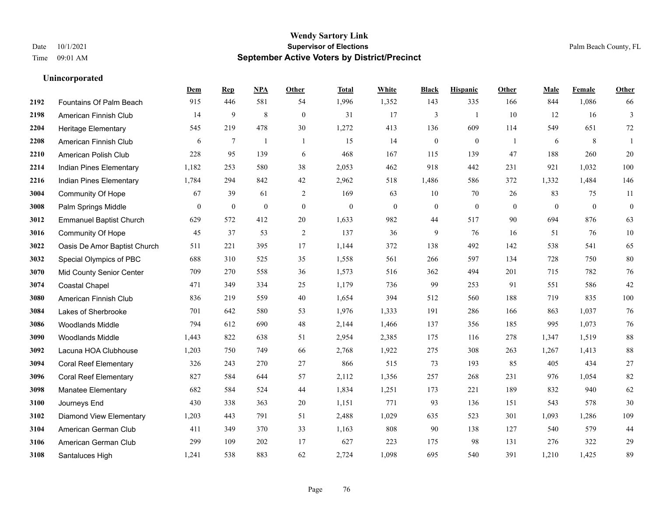**Unincorporated**

#### **Wendy Sartory Link** Date 10/1/2021 **Supervisor of Elections** Palm Beach County, FL Time 09:01 AM **September Active Voters by District/Precinct**

#### **Dem Rep NPA Other Total White Black Hispanic Other Male Female Other** Fountains Of Palm Beach 915 446 581 54 1,996 1,352 143 335 166 844 1,086 66 American Finnish Club 14 9 8 0 31 17 3 1 10 12 16 3 Heritage Elementary 545 219 478 30 1,272 413 136 609 114 549 651 72 American Finnish Club 6 7 1 1 15 14 0 0 1 6 8 1 American Polish Club 228 95 139 6 468 167 115 139 47 188 260 20 Indian Pines Elementary 1,182 253 580 38 2,053 462 918 442 231 921 1,032 100 Indian Pines Elementary 1,784 294 842 42 2,962 518 1,486 586 372 1,332 1,484 146 Community Of Hope 67 39 61 2 169 63 10 70 26 83 75 11 Palm Springs Middle 0 0 0 0 0 0 0 0 0 0 0 0 Emmanuel Baptist Church 629 572 412 20 1,633 982 44 517 90 694 876 63 Community Of Hope 45 37 53 2 137 36 9 76 16 51 76 10 Oasis De Amor Baptist Church 511 221 395 17 1,144 372 138 492 142 538 541 65 Special Olympics of PBC 688 310 525 35 1,558 561 266 597 134 728 750 80 Mid County Senior Center 709 270 558 36 1,573 516 362 494 201 715 782 76 Coastal Chapel 471 349 334 25 1,179 736 99 253 91 551 586 42 American Finnish Club 836 219 559 40 1,654 394 512 560 188 719 835 100 Lakes of Sherbrooke 701 642 580 53 1,976 1,333 191 286 166 863 1,037 76 Woodlands Middle 794 612 690 48 2,144 1,466 137 356 185 995 1,073 76 Woodlands Middle 1,443 822 638 51 2,954 2,385 175 116 278 1,347 1,519 88 Lacuna HOA Clubhouse 1,203 750 749 66 2,768 1,922 275 308 263 1,267 1,413 88 Coral Reef Elementary 326 243 270 27 866 515 73 193 85 405 434 27 Coral Reef Elementary 827 584 644 57 2,112 1,356 257 268 231 976 1,054 82 Manatee Elementary 682 584 524 44 1,834 1,251 173 221 189 832 940 62 Journeys End 430 338 363 20 1,151 771 93 136 151 543 578 30 Diamond View Elementary 1,203 443 791 51 2,488 1,029 635 523 301 1,093 1,286 109 American German Club 411 349 370 33 1,163 808 90 138 127 540 579 44 American German Club 299 109 202 17 627 223 175 98 131 276 322 29 Santaluces High 1,241 538 883 62 2,724 1,098 695 540 391 1,210 1,425 89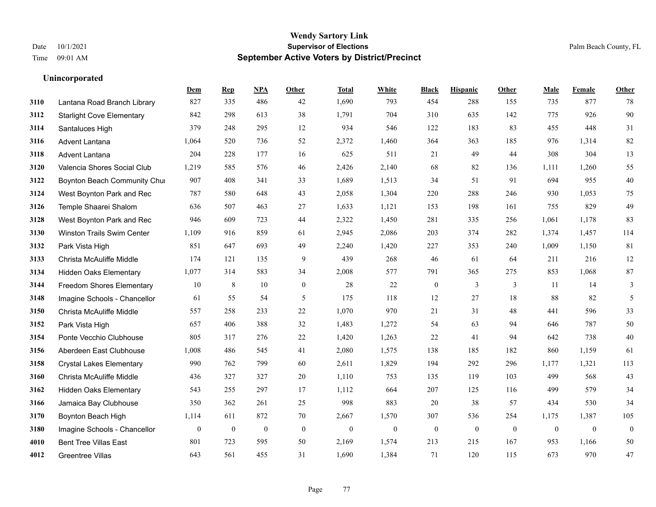**Unincorporated**

#### **Wendy Sartory Link** Date 10/1/2021 **Supervisor of Elections** Palm Beach County, FL Time 09:01 AM **September Active Voters by District/Precinct**

**Dem Rep NPA Other Total White Black Hispanic Other Male Female Other**

#### Lantana Road Branch Library 827 335 486 42 1,690 793 454 288 155 735 877 78 Starlight Cove Elementary 842 298 613 38 1,791 704 310 635 142 775 926 90 Santaluces High 379 248 295 12 934 546 122 183 83 455 448 31 Advent Lantana 1,064 520 736 52 2,372 1,460 364 363 185 976 1,314 82 Advent Lantana 204 228 177 16 625 511 21 49 44 308 304 13 Valencia Shores Social Club 1,219 585 576 46 2,426 2,140 68 82 136 1,111 1,260 55 **3122 Boynton Beach Community Chu**rch 907 408 341 33 1,689 1,513 34 51 91 694 955 40 West Boynton Park and Rec 787 580 648 43 2,058 1,304 220 288 246 930 1,053 75 Temple Shaarei Shalom 636 507 463 27 1,633 1,121 153 198 161 755 829 49 West Boynton Park and Rec 946 609 723 44 2,322 1,450 281 335 256 1,061 1,178 83 Winston Trails Swim Center 1,109 916 859 61 2,945 2,086 203 374 282 1,374 1,457 114 Park Vista High 851 647 693 49 2,240 1,420 227 353 240 1,009 1,150 81 Christa McAuliffe Middle 174 121 135 9 439 268 46 61 64 211 216 12 Hidden Oaks Elementary 1,077 314 583 34 2,008 577 791 365 275 853 1,068 87 Freedom Shores Elementary 10 8 10 0 28 22 0 3 3 11 14 3 Imagine Schools - Chancellor 61 55 54 5 175 118 12 27 18 88 82 5 Christa McAuliffe Middle 557 258 233 22 1,070 970 21 31 48 441 596 33 Park Vista High 657 406 388 32 1,483 1,272 54 63 94 646 787 50 Ponte Vecchio Clubhouse 805 317 276 22 1,420 1,263 22 41 94 642 738 40 Aberdeen East Clubhouse 1,008 486 545 41 2,080 1,575 138 185 182 860 1,159 61 Crystal Lakes Elementary 990 762 799 60 2,611 1,829 194 292 296 1,177 1,321 113 Christa McAuliffe Middle 436 327 327 20 1,110 753 135 119 103 499 568 43 Hidden Oaks Elementary 543 255 297 17 1,112 664 207 125 116 499 579 34 Jamaica Bay Clubhouse 350 362 261 25 998 883 20 38 57 434 530 34 Boynton Beach High 1,114 611 872 70 2,667 1,570 307 536 254 1,175 1,387 105

 Imagine Schools - Chancellor 0 0 0 0 0 0 0 0 0 0 0 0 Bent Tree Villas East 801 723 595 50 2,169 1,574 213 215 167 953 1,166 50 Greentree Villas 643 561 455 31 1,690 1,384 71 120 115 673 970 47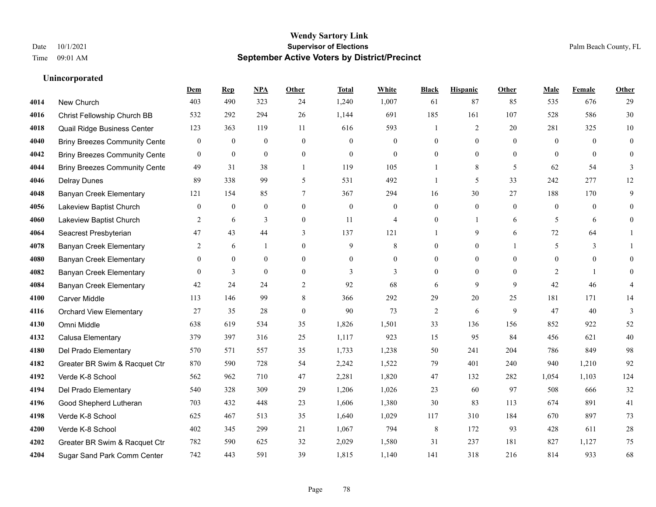|      |                                      | Dem              | <b>Rep</b>       | NPA              | <b>Other</b>   | <b>Total</b> | <b>White</b>     | <b>Black</b>     | <b>Hispanic</b>  | <b>Other</b> | <b>Male</b>    | Female         | <b>Other</b>     |
|------|--------------------------------------|------------------|------------------|------------------|----------------|--------------|------------------|------------------|------------------|--------------|----------------|----------------|------------------|
| 4014 | New Church                           | 403              | 490              | 323              | 24             | 1,240        | 1,007            | 61               | 87               | 85           | 535            | 676            | 29               |
| 4016 | Christ Fellowship Church BB          | 532              | 292              | 294              | 26             | 1,144        | 691              | 185              | 161              | 107          | 528            | 586            | $30\,$           |
| 4018 | Quail Ridge Business Center          | 123              | 363              | 119              | 11             | 616          | 593              | 1                | 2                | 20           | 281            | 325            | $10\,$           |
| 4040 | <b>Briny Breezes Community Cente</b> | $\boldsymbol{0}$ | $\boldsymbol{0}$ | $\boldsymbol{0}$ | $\mathbf{0}$   | $\theta$     | $\boldsymbol{0}$ | $\boldsymbol{0}$ | $\boldsymbol{0}$ | $\mathbf{0}$ | $\mathbf{0}$   | $\overline{0}$ | $\boldsymbol{0}$ |
| 4042 | <b>Briny Breezes Community Cente</b> | $\overline{0}$   | $\mathbf{0}$     | $\mathbf{0}$     | $\overline{0}$ | $\Omega$     | $\overline{0}$   | $\overline{0}$   | $\theta$         | $\theta$     | $\theta$       | $\theta$       | $\mathbf{0}$     |
| 4044 | <b>Briny Breezes Community Cente</b> | 49               | 31               | 38               | $\overline{1}$ | 119          | 105              |                  | 8                | 5            | 62             | 54             | 3                |
| 4046 | <b>Delray Dunes</b>                  | 89               | 338              | 99               | 5              | 531          | 492              | 1                | 5                | 33           | 242            | 277            | 12               |
| 4048 | <b>Banyan Creek Elementary</b>       | 121              | 154              | 85               | 7              | 367          | 294              | 16               | 30               | 27           | 188            | 170            | 9                |
| 4056 | Lakeview Baptist Church              | $\mathbf{0}$     | $\boldsymbol{0}$ | $\mathbf{0}$     | $\overline{0}$ | $\mathbf{0}$ | $\mathbf{0}$     | $\overline{0}$   | $\mathbf{0}$     | $\theta$     | $\mathbf{0}$   | $\theta$       | $\theta$         |
| 4060 | Lakeview Baptist Church              | 2                | 6                | 3                | $\overline{0}$ | 11           | $\overline{4}$   | $\overline{0}$   | $\mathbf{1}$     | 6            | 5              | 6              | $\mathbf{0}$     |
| 4064 | Seacrest Presbyterian                | 47               | 43               | 44               | 3              | 137          | 121              | 1                | 9                | 6            | 72             | 64             | 1                |
| 4078 | <b>Banyan Creek Elementary</b>       | 2                | 6                | $\mathbf{1}$     | $\Omega$       | 9            | 8                | $\theta$         | $\mathbf{0}$     |              | 5              | 3              |                  |
| 4080 | Banyan Creek Elementary              | $\mathbf{0}$     | $\mathbf{0}$     | $\mathbf{0}$     | $\theta$       | $\theta$     | $\boldsymbol{0}$ | $\overline{0}$   | $\mathbf{0}$     | $\Omega$     | $\theta$       | $\mathbf{0}$   | $\theta$         |
| 4082 | <b>Banyan Creek Elementary</b>       | $\mathbf{0}$     | 3                | $\mathbf{0}$     | $\overline{0}$ | 3            | 3                | $\overline{0}$   | $\mathbf{0}$     | $\theta$     | $\overline{2}$ | $\mathbf{1}$   | $\theta$         |
| 4084 | <b>Banyan Creek Elementary</b>       | 42               | 24               | 24               | $\overline{2}$ | 92           | 68               | 6                | 9                | 9            | 42             | 46             | 4                |
| 4100 | Carver Middle                        | 113              | 146              | 99               | 8              | 366          | 292              | 29               | 20               | 25           | 181            | 171            | 14               |
| 4116 | <b>Orchard View Elementary</b>       | 27               | 35               | 28               | $\overline{0}$ | 90           | 73               | 2                | 6                | 9            | 47             | 40             | 3                |
| 4130 | Omni Middle                          | 638              | 619              | 534              | 35             | 1,826        | 1,501            | 33               | 136              | 156          | 852            | 922            | 52               |
| 4132 | Calusa Elementary                    | 379              | 397              | 316              | 25             | 1,117        | 923              | 15               | 95               | 84           | 456            | 621            | $40\,$           |
| 4180 | Del Prado Elementary                 | 570              | 571              | 557              | 35             | 1,733        | 1,238            | 50               | 241              | 204          | 786            | 849            | 98               |
| 4182 | Greater BR Swim & Racquet Ctr        | 870              | 590              | 728              | 54             | 2,242        | 1,522            | 79               | 401              | 240          | 940            | 1,210          | 92               |
| 4192 | Verde K-8 School                     | 562              | 962              | 710              | 47             | 2,281        | 1,820            | 47               | 132              | 282          | 1,054          | 1,103          | 124              |
| 4194 | Del Prado Elementary                 | 540              | 328              | 309              | 29             | 1,206        | 1,026            | 23               | 60               | 97           | 508            | 666            | $32\,$           |
| 4196 | Good Shepherd Lutheran               | 703              | 432              | 448              | 23             | 1,606        | 1,380            | 30               | 83               | 113          | 674            | 891            | 41               |
| 4198 | Verde K-8 School                     | 625              | 467              | 513              | 35             | 1,640        | 1,029            | 117              | 310              | 184          | 670            | 897            | 73               |
| 4200 | Verde K-8 School                     | 402              | 345              | 299              | 21             | 1,067        | 794              | 8                | 172              | 93           | 428            | 611            | $28\,$           |
| 4202 | Greater BR Swim & Racquet Ctr        | 782              | 590              | 625              | 32             | 2,029        | 1,580            | 31               | 237              | 181          | 827            | 1.127          | 75               |
| 4204 | Sugar Sand Park Comm Center          | 742              | 443              | 591              | 39             | 1,815        | 1,140            | 141              | 318              | 216          | 814            | 933            | 68               |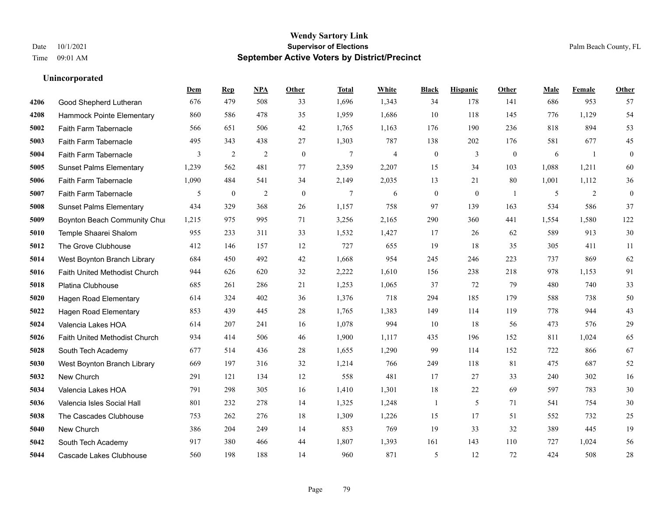|      |                                | Dem   | <b>Rep</b>     | NPA            | <b>Other</b> | <b>Total</b>   | White          | <b>Black</b>     | <b>Hispanic</b> | Other          | <b>Male</b> | <b>Female</b>  | <b>Other</b> |
|------|--------------------------------|-------|----------------|----------------|--------------|----------------|----------------|------------------|-----------------|----------------|-------------|----------------|--------------|
| 4206 | Good Shepherd Lutheran         | 676   | 479            | 508            | 33           | 1,696          | 1,343          | 34               | 178             | 141            | 686         | 953            | 57           |
| 4208 | Hammock Pointe Elementary      | 860   | 586            | 478            | 35           | 1,959          | 1,686          | 10               | 118             | 145            | 776         | 1,129          | 54           |
| 5002 | Faith Farm Tabernacle          | 566   | 651            | 506            | 42           | 1,765          | 1,163          | 176              | 190             | 236            | 818         | 894            | 53           |
| 5003 | Faith Farm Tabernacle          | 495   | 343            | 438            | 27           | 1,303          | 787            | 138              | 202             | 176            | 581         | 677            | 45           |
| 5004 | Faith Farm Tabernacle          | 3     | $\overline{2}$ | 2              | $\theta$     | $\overline{7}$ | $\overline{4}$ | $\boldsymbol{0}$ | $\overline{3}$  | $\theta$       | 6           | $\overline{1}$ | $\mathbf{0}$ |
| 5005 | <b>Sunset Palms Elementary</b> | 1,239 | 562            | 481            | 77           | 2,359          | 2,207          | 15               | 34              | 103            | 1,088       | 1,211          | 60           |
| 5006 | Faith Farm Tabernacle          | 1,090 | 484            | 541            | 34           | 2,149          | 2,035          | 13               | 21              | 80             | 1,001       | 1,112          | 36           |
| 5007 | Faith Farm Tabernacle          | 5     | $\mathbf{0}$   | $\overline{2}$ | $\theta$     | 7              | 6              | $\mathbf{0}$     | $\theta$        | $\overline{1}$ | 5           | 2              | $\theta$     |
| 5008 | <b>Sunset Palms Elementary</b> | 434   | 329            | 368            | 26           | 1,157          | 758            | 97               | 139             | 163            | 534         | 586            | 37           |
| 5009 | Boynton Beach Community Chur   | 1,215 | 975            | 995            | 71           | 3,256          | 2,165          | 290              | 360             | 441            | 1,554       | 1,580          | 122          |
| 5010 | Temple Shaarei Shalom          | 955   | 233            | 311            | 33           | 1,532          | 1,427          | 17               | 26              | 62             | 589         | 913            | 30           |
| 5012 | The Grove Clubhouse            | 412   | 146            | 157            | 12           | 727            | 655            | 19               | 18              | 35             | 305         | 411            | 11           |
| 5014 | West Boynton Branch Library    | 684   | 450            | 492            | 42           | 1,668          | 954            | 245              | 246             | 223            | 737         | 869            | 62           |
| 5016 | Faith United Methodist Church  | 944   | 626            | 620            | 32           | 2,222          | 1,610          | 156              | 238             | 218            | 978         | 1,153          | 91           |
| 5018 | Platina Clubhouse              | 685   | 261            | 286            | 21           | 1,253          | 1,065          | 37               | 72              | 79             | 480         | 740            | 33           |
| 5020 | Hagen Road Elementary          | 614   | 324            | 402            | 36           | 1,376          | 718            | 294              | 185             | 179            | 588         | 738            | 50           |
| 5022 | <b>Hagen Road Elementary</b>   | 853   | 439            | 445            | 28           | 1,765          | 1,383          | 149              | 114             | 119            | 778         | 944            | 43           |
| 5024 | Valencia Lakes HOA             | 614   | 207            | 241            | 16           | 1,078          | 994            | 10               | 18              | 56             | 473         | 576            | 29           |
| 5026 | Faith United Methodist Church  | 934   | 414            | 506            | 46           | 1,900          | 1,117          | 435              | 196             | 152            | 811         | 1,024          | 65           |
| 5028 | South Tech Academy             | 677   | 514            | 436            | 28           | 1,655          | 1,290          | 99               | 114             | 152            | 722         | 866            | 67           |
| 5030 | West Boynton Branch Library    | 669   | 197            | 316            | 32           | 1,214          | 766            | 249              | 118             | 81             | 475         | 687            | 52           |
| 5032 | New Church                     | 291   | 121            | 134            | 12           | 558            | 481            | 17               | 27              | 33             | 240         | 302            | 16           |
| 5034 | Valencia Lakes HOA             | 791   | 298            | 305            | 16           | 1,410          | 1,301          | $18\,$           | 22              | 69             | 597         | 783            | 30           |
| 5036 | Valencia Isles Social Hall     | 801   | 232            | 278            | 14           | 1,325          | 1,248          | 1                | 5               | 71             | 541         | 754            | 30           |
| 5038 | The Cascades Clubhouse         | 753   | 262            | 276            | 18           | 1,309          | 1,226          | 15               | 17              | 51             | 552         | 732            | 25           |
| 5040 | New Church                     | 386   | 204            | 249            | 14           | 853            | 769            | 19               | 33              | 32             | 389         | 445            | 19           |
| 5042 | South Tech Academy             | 917   | 380            | 466            | 44           | 1,807          | 1,393          | 161              | 143             | 110            | 727         | 1.024          | 56           |
| 5044 | Cascade Lakes Clubhouse        | 560   | 198            | 188            | 14           | 960            | 871            | 5                | 12              | 72             | 424         | 508            | 28           |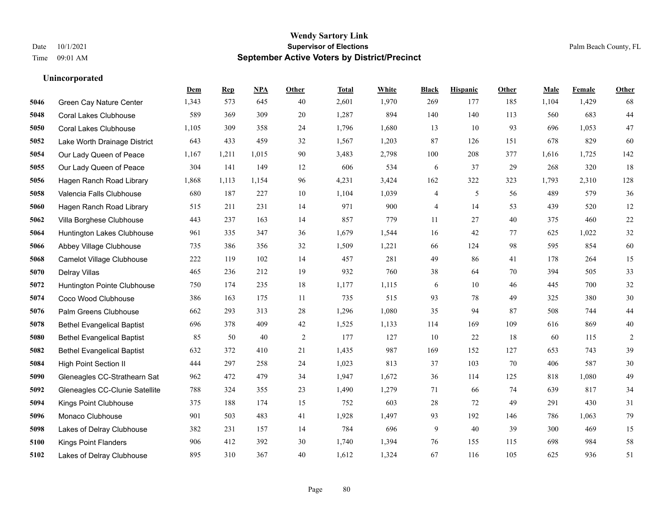**Unincorporated**

#### **Wendy Sartory Link** Date 10/1/2021 **Supervisor of Elections** Palm Beach County, FL Time 09:01 AM **September Active Voters by District/Precinct**

|      |                                   | Dem   | <b>Rep</b> | <b>NPA</b> | Other  | <b>Total</b> | White | <b>Black</b> | <b>Hispanic</b> | Other | Male  | Female | <b>Other</b> |
|------|-----------------------------------|-------|------------|------------|--------|--------------|-------|--------------|-----------------|-------|-------|--------|--------------|
| 5046 | <b>Green Cay Nature Center</b>    | 1,343 | 573        | 645        | 40     | 2,601        | 1,970 | 269          | 177             | 185   | 1,104 | 1,429  | 68           |
| 5048 | <b>Coral Lakes Clubhouse</b>      | 589   | 369        | 309        | 20     | 1,287        | 894   | 140          | 140             | 113   | 560   | 683    | 44           |
| 5050 | <b>Coral Lakes Clubhouse</b>      | 1,105 | 309        | 358        | 24     | 1,796        | 1,680 | 13           | 10              | 93    | 696   | 1,053  | 47           |
| 5052 | Lake Worth Drainage District      | 643   | 433        | 459        | 32     | 1,567        | 1,203 | 87           | 126             | 151   | 678   | 829    | 60           |
| 5054 | Our Lady Queen of Peace           | 1,167 | 1,211      | 1,015      | 90     | 3,483        | 2,798 | 100          | 208             | 377   | 1,616 | 1,725  | 142          |
| 5055 | Our Lady Queen of Peace           | 304   | 141        | 149        | 12     | 606          | 534   | 6            | 37              | 29    | 268   | 320    | 18           |
| 5056 | Hagen Ranch Road Library          | 1,868 | 1,113      | 1,154      | 96     | 4,231        | 3,424 | 162          | 322             | 323   | 1,793 | 2,310  | 128          |
| 5058 | Valencia Falls Clubhouse          | 680   | 187        | 227        | 10     | 1,104        | 1,039 | 4            | 5               | 56    | 489   | 579    | 36           |
| 5060 | Hagen Ranch Road Library          | 515   | 211        | 231        | 14     | 971          | 900   | 4            | 14              | 53    | 439   | 520    | 12           |
| 5062 | Villa Borghese Clubhouse          | 443   | 237        | 163        | 14     | 857          | 779   | 11           | 27              | 40    | 375   | 460    | $22\,$       |
| 5064 | Huntington Lakes Clubhouse        | 961   | 335        | 347        | 36     | 1,679        | 1,544 | 16           | 42              | 77    | 625   | 1,022  | $32\,$       |
| 5066 | Abbey Village Clubhouse           | 735   | 386        | 356        | 32     | 1,509        | 1,221 | 66           | 124             | 98    | 595   | 854    | 60           |
| 5068 | <b>Camelot Village Clubhouse</b>  | 222   | 119        | 102        | 14     | 457          | 281   | 49           | 86              | 41    | 178   | 264    | 15           |
| 5070 | <b>Delray Villas</b>              | 465   | 236        | 212        | 19     | 932          | 760   | $38\,$       | 64              | 70    | 394   | 505    | 33           |
| 5072 | Huntington Pointe Clubhouse       | 750   | 174        | 235        | $18\,$ | 1,177        | 1,115 | 6            | 10              | 46    | 445   | 700    | $32\,$       |
| 5074 | Coco Wood Clubhouse               | 386   | 163        | 175        | -11    | 735          | 515   | 93           | 78              | 49    | 325   | 380    | 30           |
| 5076 | Palm Greens Clubhouse             | 662   | 293        | 313        | 28     | 1,296        | 1,080 | 35           | 94              | 87    | 508   | 744    | $44$         |
| 5078 | <b>Bethel Evangelical Baptist</b> | 696   | 378        | 409        | 42     | 1,525        | 1,133 | 114          | 169             | 109   | 616   | 869    | 40           |
| 5080 | <b>Bethel Evangelical Baptist</b> | 85    | 50         | 40         | 2      | 177          | 127   | 10           | 22              | 18    | 60    | 115    | 2            |
| 5082 | <b>Bethel Evangelical Baptist</b> | 632   | 372        | 410        | 21     | 1,435        | 987   | 169          | 152             | 127   | 653   | 743    | 39           |
| 5084 | <b>High Point Section II</b>      | 444   | 297        | 258        | 24     | 1,023        | 813   | 37           | 103             | 70    | 406   | 587    | 30           |
| 5090 | Gleneagles CC-Strathearn Sat      | 962   | 472        | 479        | 34     | 1,947        | 1,672 | 36           | 114             | 125   | 818   | 1,080  | 49           |
| 5092 | Gleneagles CC-Clunie Satellite    | 788   | 324        | 355        | 23     | 1,490        | 1,279 | 71           | 66              | 74    | 639   | 817    | 34           |
| 5094 | Kings Point Clubhouse             | 375   | 188        | 174        | 15     | 752          | 603   | $28\,$       | 72              | 49    | 291   | 430    | 31           |
| 5096 | Monaco Clubhouse                  | 901   | 503        | 483        | 41     | 1,928        | 1,497 | 93           | 192             | 146   | 786   | 1,063  | 79           |
| 5098 | Lakes of Delray Clubhouse         | 382   | 231        | 157        | 14     | 784          | 696   | 9            | 40              | 39    | 300   | 469    | 15           |
| 5100 | <b>Kings Point Flanders</b>       | 906   | 412        | 392        | 30     | 1,740        | 1,394 | 76           | 155             | 115   | 698   | 984    | 58           |
| 5102 | Lakes of Delray Clubhouse         | 895   | 310        | 367        | 40     | 1.612        | 1.324 | 67           | 116             | 105   | 625   | 936    | 51           |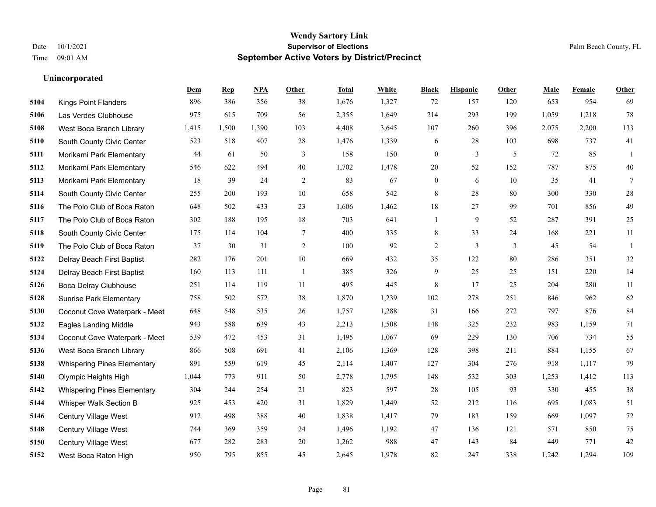|      |                                    | Dem   | <b>Rep</b> | NPA   | <b>Other</b>   | <b>Total</b> | White | <b>Black</b>     | <b>Hispanic</b> | <b>Other</b> | <b>Male</b> | Female | <b>Other</b> |
|------|------------------------------------|-------|------------|-------|----------------|--------------|-------|------------------|-----------------|--------------|-------------|--------|--------------|
| 5104 | <b>Kings Point Flanders</b>        | 896   | 386        | 356   | 38             | 1,676        | 1,327 | 72               | 157             | 120          | 653         | 954    | 69           |
| 5106 | Las Verdes Clubhouse               | 975   | 615        | 709   | 56             | 2,355        | 1,649 | 214              | 293             | 199          | 1,059       | 1,218  | 78           |
| 5108 | West Boca Branch Library           | 1,415 | 1,500      | 1,390 | 103            | 4,408        | 3,645 | 107              | 260             | 396          | 2,075       | 2,200  | 133          |
| 5110 | South County Civic Center          | 523   | 518        | 407   | 28             | 1,476        | 1,339 | 6                | 28              | 103          | 698         | 737    | 41           |
| 5111 | Morikami Park Elementary           | 44    | 61         | 50    | 3              | 158          | 150   | $\boldsymbol{0}$ | 3               | 5            | 72          | 85     | 1            |
| 5112 | Morikami Park Elementary           | 546   | 622        | 494   | 40             | 1,702        | 1,478 | 20               | 52              | 152          | 787         | 875    | 40           |
| 5113 | Morikami Park Elementary           | 18    | 39         | 24    | $\overline{c}$ | 83           | 67    | $\boldsymbol{0}$ | 6               | 10           | 35          | 41     | $\tau$       |
| 5114 | South County Civic Center          | 255   | 200        | 193   | 10             | 658          | 542   | 8                | 28              | 80           | 300         | 330    | $28\,$       |
| 5116 | The Polo Club of Boca Raton        | 648   | 502        | 433   | 23             | 1,606        | 1,462 | 18               | 27              | 99           | 701         | 856    | 49           |
| 5117 | The Polo Club of Boca Raton        | 302   | 188        | 195   | 18             | 703          | 641   | -1               | 9               | 52           | 287         | 391    | 25           |
| 5118 | South County Civic Center          | 175   | 114        | 104   | $\tau$         | 400          | 335   | 8                | 33              | 24           | 168         | 221    | 11           |
| 5119 | The Polo Club of Boca Raton        | 37    | 30         | 31    | $\overline{c}$ | 100          | 92    | $\overline{c}$   | $\overline{3}$  | 3            | 45          | 54     | -1           |
| 5122 | Delray Beach First Baptist         | 282   | 176        | 201   | $10\,$         | 669          | 432   | 35               | 122             | 80           | 286         | 351    | 32           |
| 5124 | Delray Beach First Baptist         | 160   | 113        | 111   | $\overline{1}$ | 385          | 326   | $\mathbf{9}$     | 25              | 25           | 151         | 220    | 14           |
| 5126 | Boca Delray Clubhouse              | 251   | 114        | 119   | 11             | 495          | 445   | 8                | 17              | 25           | 204         | 280    | 11           |
| 5128 | <b>Sunrise Park Elementary</b>     | 758   | 502        | 572   | 38             | 1,870        | 1,239 | 102              | 278             | 251          | 846         | 962    | 62           |
| 5130 | Coconut Cove Waterpark - Meet      | 648   | 548        | 535   | 26             | 1,757        | 1,288 | 31               | 166             | 272          | 797         | 876    | 84           |
| 5132 | <b>Eagles Landing Middle</b>       | 943   | 588        | 639   | 43             | 2,213        | 1,508 | 148              | 325             | 232          | 983         | 1,159  | 71           |
| 5134 | Coconut Cove Waterpark - Meet      | 539   | 472        | 453   | 31             | 1,495        | 1,067 | 69               | 229             | 130          | 706         | 734    | 55           |
| 5136 | West Boca Branch Library           | 866   | 508        | 691   | 41             | 2,106        | 1,369 | 128              | 398             | 211          | 884         | 1,155  | 67           |
| 5138 | <b>Whispering Pines Elementary</b> | 891   | 559        | 619   | 45             | 2,114        | 1,407 | 127              | 304             | 276          | 918         | 1,117  | 79           |
| 5140 | Olympic Heights High               | 1,044 | 773        | 911   | 50             | 2,778        | 1,795 | 148              | 532             | 303          | 1,253       | 1,412  | 113          |
| 5142 | <b>Whispering Pines Elementary</b> | 304   | 244        | 254   | 21             | 823          | 597   | 28               | 105             | 93           | 330         | 455    | 38           |
| 5144 | Whisper Walk Section B             | 925   | 453        | 420   | 31             | 1,829        | 1,449 | 52               | 212             | 116          | 695         | 1,083  | 51           |
| 5146 | Century Village West               | 912   | 498        | 388   | 40             | 1,838        | 1,417 | 79               | 183             | 159          | 669         | 1.097  | 72           |
| 5148 | Century Village West               | 744   | 369        | 359   | 24             | 1,496        | 1,192 | 47               | 136             | 121          | 571         | 850    | 75           |
| 5150 | <b>Century Village West</b>        | 677   | 282        | 283   | 20             | 1,262        | 988   | 47               | 143             | 84           | 449         | 771    | 42           |
| 5152 | West Boca Raton High               | 950   | 795        | 855   | 45             | 2,645        | 1,978 | 82               | 247             | 338          | 1,242       | 1,294  | 109          |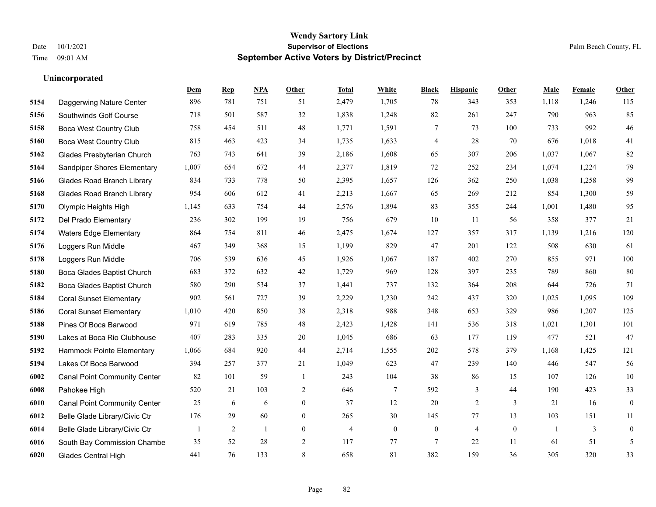**Unincorporated**

#### **Wendy Sartory Link** Date 10/1/2021 **Supervisor of Elections** Palm Beach County, FL Time 09:01 AM **September Active Voters by District/Precinct**

**Dem Rep NPA Other Total White Black Hispanic Other Male Female Other**

# Daggerwing Nature Center 896 781 751 51 2,479 1,705 78 343 353 1,118 1,246 115

| Southwinds Golf Course              | 718          | 501            | 587 | 32               | 1,838          | 1,248          | 82               | 261            | 247          | 790          | 963   | 85               |
|-------------------------------------|--------------|----------------|-----|------------------|----------------|----------------|------------------|----------------|--------------|--------------|-------|------------------|
| <b>Boca West Country Club</b>       | 758          | 454            | 511 | 48               | 1,771          | 1,591          | 7                | 73             | 100          | 733          | 992   | 46               |
| Boca West Country Club              | 815          | 463            | 423 | 34               | 1,735          | 1,633          | 4                | 28             | 70           | 676          | 1,018 | 41               |
| Glades Presbyterian Church          | 763          | 743            | 641 | 39               | 2,186          | 1,608          | 65               | 307            | 206          | 1,037        | 1,067 | 82               |
| Sandpiper Shores Elementary         | 1,007        | 654            | 672 | 44               | 2,377          | 1,819          | 72               | 252            | 234          | 1,074        | 1,224 | 79               |
| <b>Glades Road Branch Library</b>   | 834          | 733            | 778 | 50               | 2,395          | 1,657          | 126              | 362            | 250          | 1,038        | 1,258 | 99               |
| <b>Glades Road Branch Library</b>   | 954          | 606            | 612 | 41               | 2,213          | 1,667          | 65               | 269            | 212          | 854          | 1,300 | 59               |
| Olympic Heights High                | 1,145        | 633            | 754 | 44               | 2,576          | 1,894          | 83               | 355            | 244          | 1,001        | 1,480 | 95               |
| Del Prado Elementary                | 236          | 302            | 199 | 19               | 756            | 679            | 10               | 11             | 56           | 358          | 377   | 21               |
| <b>Waters Edge Elementary</b>       | 864          | 754            | 811 | 46               | 2,475          | 1,674          | 127              | 357            | 317          | 1,139        | 1,216 | 120              |
| Loggers Run Middle                  | 467          | 349            | 368 | 15               | 1,199          | 829            | 47               | 201            | 122          | 508          | 630   | 61               |
| Loggers Run Middle                  | 706          | 539            | 636 | 45               | 1,926          | 1,067          | 187              | 402            | 270          | 855          | 971   | 100              |
| Boca Glades Baptist Church          | 683          | 372            | 632 | 42               | 1,729          | 969            | 128              | 397            | 235          | 789          | 860   | 80               |
| Boca Glades Baptist Church          | 580          | 290            | 534 | 37               | 1,441          | 737            | 132              | 364            | 208          | 644          | 726   | 71               |
| <b>Coral Sunset Elementary</b>      | 902          | 561            | 727 | 39               | 2,229          | 1,230          | 242              | 437            | 320          | 1,025        | 1,095 | 109              |
| <b>Coral Sunset Elementary</b>      | 1,010        | 420            | 850 | 38               | 2,318          | 988            | 348              | 653            | 329          | 986          | 1,207 | 125              |
| Pines Of Boca Barwood               | 971          | 619            | 785 | 48               | 2,423          | 1,428          | 141              | 536            | 318          | 1,021        | 1,301 | 101              |
| Lakes at Boca Rio Clubhouse         | 407          | 283            | 335 | 20               | 1,045          | 686            | 63               | 177            | 119          | 477          | 521   | 47               |
| Hammock Pointe Elementary           | 1,066        | 684            | 920 | 44               | 2,714          | 1,555          | 202              | 578            | 379          | 1,168        | 1,425 | 121              |
| Lakes Of Boca Barwood               | 394          | 257            | 377 | 21               | 1,049          | 623            | 47               | 239            | 140          | 446          | 547   | 56               |
| <b>Canal Point Community Center</b> | 82           | 101            | 59  | -1               | 243            | 104            | 38               | 86             | 15           | 107          | 126   | $10\,$           |
| Pahokee High                        | 520          | 21             | 103 | 2                | 646            | $\tau$         | 592              | 3              | 44           | 190          | 423   | 33               |
| <b>Canal Point Community Center</b> | 25           | 6              | 6   | $\overline{0}$   | 37             | 12             | 20               | $\overline{2}$ | 3            | 21           | 16    | $\mathbf{0}$     |
| Belle Glade Library/Civic Ctr       | 176          | 29             | 60  | $\overline{0}$   | 265            | 30             | 145              | 77             | 13           | 103          | 151   | 11               |
| Belle Glade Library/Civic Ctr       | $\mathbf{1}$ | $\overline{c}$ | 1   | $\boldsymbol{0}$ | $\overline{4}$ | $\overline{0}$ | $\boldsymbol{0}$ | $\overline{4}$ | $\mathbf{0}$ | $\mathbf{1}$ | 3     | $\boldsymbol{0}$ |
| South Bay Commission Chambe         | 35           | 52             | 28  | 2                | 117            | 77             | $\tau$           | 22             | 11           | 61           | 51    | 5                |
| <b>Glades Central High</b>          | 441          | 76             | 133 | 8                | 658            | 81             | 382              | 159            | 36           | 305          | 320   | 33               |
|                                     |              |                |     |                  |                |                |                  |                |              |              |       |                  |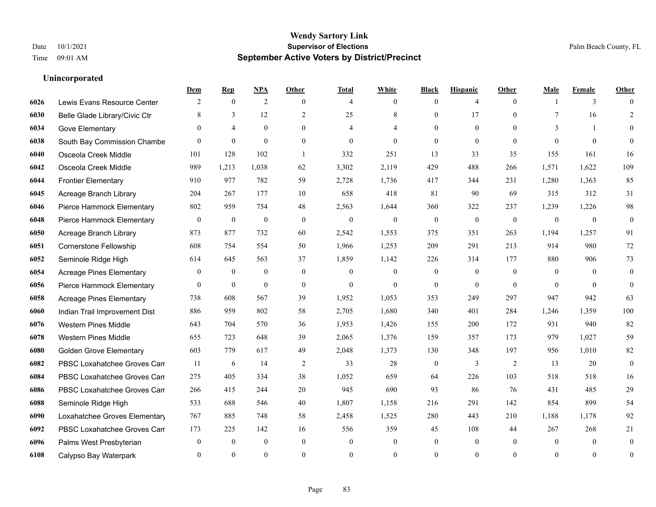|      |                                 | Dem          | <b>Rep</b>     | <u>NPA</u>       | <b>Other</b>   | <b>Total</b>   | <b>White</b>   | <b>Black</b>     | <b>Hispanic</b> | <b>Other</b> | <b>Male</b>    | <b>Female</b> | <b>Other</b>     |
|------|---------------------------------|--------------|----------------|------------------|----------------|----------------|----------------|------------------|-----------------|--------------|----------------|---------------|------------------|
| 6026 | Lewis Evans Resource Center     | 2            | $\mathbf{0}$   | 2                | $\theta$       | $\overline{4}$ | $\overline{0}$ | $\mathbf{0}$     | $\overline{4}$  | $\theta$     |                | 3             | $\Omega$         |
| 6030 | Belle Glade Library/Civic Ctr   | 8            | 3              | 12               | 2              | 25             | 8              | $\mathbf{0}$     | 17              | $\theta$     | 7              | 16            | $\overline{2}$   |
| 6034 | Gove Elementary                 | $\Omega$     | $\overline{4}$ | $\theta$         | $\Omega$       | $\overline{4}$ | 4              | $\theta$         | $\theta$        | $\Omega$     | 3              | $\mathbf{1}$  | $\Omega$         |
| 6038 | South Bay Commission Chambe     | $\mathbf{0}$ | $\mathbf{0}$   | $\mathbf{0}$     | $\mathbf{0}$   | $\mathbf{0}$   | $\mathbf{0}$   | $\boldsymbol{0}$ | $\mathbf{0}$    | $\mathbf{0}$ | $\theta$       | $\mathbf{0}$  | $\theta$         |
| 6040 | Osceola Creek Middle            | 101          | 128            | 102              | $\overline{1}$ | 332            | 251            | 13               | 33              | 35           | 155            | 161           | 16               |
| 6042 | Osceola Creek Middle            | 989          | 1,213          | 1,038            | 62             | 3,302          | 2,119          | 429              | 488             | 266          | 1,571          | 1,622         | 109              |
| 6044 | <b>Frontier Elementary</b>      | 910          | 977            | 782              | 59             | 2,728          | 1,736          | 417              | 344             | 231          | 1,280          | 1,363         | 85               |
| 6045 | Acreage Branch Library          | 204          | 267            | 177              | 10             | 658            | 418            | 81               | 90              | 69           | 315            | 312           | 31               |
| 6046 | Pierce Hammock Elementary       | 802          | 959            | 754              | 48             | 2,563          | 1,644          | 360              | 322             | 237          | 1,239          | 1,226         | 98               |
| 6048 | Pierce Hammock Elementary       | $\bf{0}$     | $\bf{0}$       | $\boldsymbol{0}$ | $\theta$       | $\mathbf{0}$   | $\overline{0}$ | $\boldsymbol{0}$ | $\mathbf{0}$    | $\mathbf{0}$ | $\overline{0}$ | $\mathbf{0}$  | $\boldsymbol{0}$ |
| 6050 | Acreage Branch Library          | 873          | 877            | 732              | 60             | 2,542          | 1,553          | 375              | 351             | 263          | 1,194          | 1,257         | 91               |
| 6051 | Cornerstone Fellowship          | 608          | 754            | 554              | 50             | 1,966          | 1,253          | 209              | 291             | 213          | 914            | 980           | 72               |
| 6052 | Seminole Ridge High             | 614          | 645            | 563              | 37             | 1,859          | 1,142          | 226              | 314             | 177          | 880            | 906           | 73               |
| 6054 | <b>Acreage Pines Elementary</b> | $\mathbf{0}$ | $\overline{0}$ | $\mathbf{0}$     | $\overline{0}$ | $\mathbf{0}$   | $\overline{0}$ | $\mathbf{0}$     | $\mathbf{0}$    | $\theta$     | $\overline{0}$ | $\theta$      | $\mathbf{0}$     |
| 6056 | Pierce Hammock Elementary       | $\theta$     | $\mathbf{0}$   | $\mathbf{0}$     | $\Omega$       | $\theta$       | $\Omega$       | $\mathbf{0}$     | $\theta$        | $\theta$     | $\Omega$       | $\Omega$      | $\mathbf{0}$     |
| 6058 | <b>Acreage Pines Elementary</b> | 738          | 608            | 567              | 39             | 1,952          | 1,053          | 353              | 249             | 297          | 947            | 942           | 63               |
| 6060 | Indian Trail Improvement Dist   | 886          | 959            | 802              | 58             | 2,705          | 1,680          | 340              | 401             | 284          | 1,246          | 1,359         | 100              |
| 6076 | <b>Western Pines Middle</b>     | 643          | 704            | 570              | 36             | 1,953          | 1,426          | 155              | 200             | 172          | 931            | 940           | 82               |
| 6078 | <b>Western Pines Middle</b>     | 655          | 723            | 648              | 39             | 2,065          | 1,376          | 159              | 357             | 173          | 979            | 1,027         | 59               |
| 6080 | <b>Golden Grove Elementary</b>  | 603          | 779            | 617              | 49             | 2,048          | 1,373          | 130              | 348             | 197          | 956            | 1,010         | 82               |
| 6082 | PBSC Loxahatchee Groves Can     | 11           | 6              | 14               | 2              | 33             | 28             | $\boldsymbol{0}$ | 3               | 2            | 13             | 20            | $\mathbf{0}$     |
| 6084 | PBSC Loxahatchee Groves Can     | 275          | 405            | 334              | 38             | 1,052          | 659            | 64               | 226             | 103          | 518            | 518           | 16               |
| 6086 | PBSC Loxahatchee Groves Can     | 266          | 415            | 244              | 20             | 945            | 690            | 93               | 86              | 76           | 431            | 485           | 29               |
| 6088 | Seminole Ridge High             | 533          | 688            | 546              | 40             | 1,807          | 1,158          | 216              | 291             | 142          | 854            | 899           | 54               |
| 6090 | Loxahatchee Groves Elementary   | 767          | 885            | 748              | 58             | 2,458          | 1,525          | 280              | 443             | 210          | 1,188          | 1,178         | 92               |
| 6092 | PBSC Loxahatchee Groves Can     | 173          | 225            | 142              | 16             | 556            | 359            | 45               | 108             | 44           | 267            | 268           | 21               |
| 6096 | Palms West Presbyterian         | $\mathbf{0}$ | $\mathbf{0}$   | $\mathbf{0}$     | $\Omega$       | $\theta$       | $\mathbf{0}$   | $\mathbf{0}$     | $\mathbf{0}$    | $\theta$     | $\theta$       | $\theta$      | $\mathbf{0}$     |
| 6108 | Calypso Bay Waterpark           | $\Omega$     | $\Omega$       | $\theta$         | $\Omega$       | $\Omega$       | $\Omega$       | $\theta$         | $\theta$        | $\Omega$     | $\Omega$       | $\theta$      | $\mathbf{0}$     |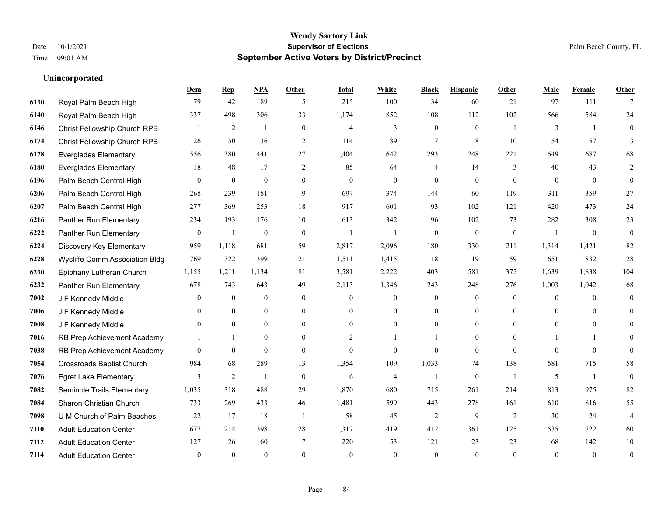|      |                                  | Dem            | <b>Rep</b>       | NPA              | <b>Other</b>   | <b>Total</b>   | <b>White</b>   | <b>Black</b>   | <b>Hispanic</b>  | <b>Other</b>   | <b>Male</b>    | Female         | <b>Other</b> |
|------|----------------------------------|----------------|------------------|------------------|----------------|----------------|----------------|----------------|------------------|----------------|----------------|----------------|--------------|
| 6130 | Royal Palm Beach High            | 79             | 42               | 89               | 5              | 215            | 100            | 34             | 60               | 21             | 97             | 111            | 7            |
| 6140 | Royal Palm Beach High            | 337            | 498              | 306              | 33             | 1,174          | 852            | 108            | 112              | 102            | 566            | 584            | 24           |
| 6146 | Christ Fellowship Church RPB     |                | 2                | $\overline{1}$   | $\theta$       | $\overline{4}$ | 3              | $\overline{0}$ | $\overline{0}$   | $\overline{1}$ | 3              | $\overline{1}$ | $\theta$     |
| 6174 | Christ Fellowship Church RPB     | 26             | 50               | 36               | $\sqrt{2}$     | 114            | 89             | $\overline{7}$ | $\,8\,$          | 10             | 54             | 57             | 3            |
| 6178 | <b>Everglades Elementary</b>     | 556            | 380              | 441              | 27             | 1,404          | 642            | 293            | 248              | 221            | 649            | 687            | 68           |
| 6180 | <b>Everglades Elementary</b>     | 18             | 48               | 17               | 2              | 85             | 64             | 4              | 14               | 3              | 40             | 43             | 2            |
| 6196 | Palm Beach Central High          | $\theta$       | $\mathbf{0}$     | $\theta$         | $\overline{0}$ | $\mathbf{0}$   | $\Omega$       | $\theta$       | $\Omega$         | $\theta$       | $\theta$       | $\theta$       | $\theta$     |
| 6206 | Palm Beach Central High          | 268            | 239              | 181              | 9              | 697            | 374            | 144            | 60               | 119            | 311            | 359            | $27\,$       |
| 6207 | Palm Beach Central High          | 277            | 369              | 253              | 18             | 917            | 601            | 93             | 102              | 121            | 420            | 473            | 24           |
| 6216 | Panther Run Elementary           | 234            | 193              | 176              | 10             | 613            | 342            | 96             | 102              | 73             | 282            | 308            | 23           |
| 6222 | Panther Run Elementary           | $\overline{0}$ | $\mathbf{1}$     | $\mathbf{0}$     | $\theta$       | $\mathbf{1}$   |                | $\theta$       | $\overline{0}$   | $\theta$       | $\overline{1}$ | $\theta$       | $\theta$     |
| 6224 | Discovery Key Elementary         | 959            | 1,118            | 681              | 59             | 2,817          | 2,096          | 180            | 330              | 211            | 1,314          | 1,421          | 82           |
| 6228 | Wycliffe Comm Association Bldg   | 769            | 322              | 399              | 21             | 1,511          | 1,415          | 18             | 19               | 59             | 651            | 832            | $28\,$       |
| 6230 | Epiphany Lutheran Church         | 1,155          | 1,211            | 1,134            | 81             | 3,581          | 2,222          | 403            | 581              | 375            | 1,639          | 1,838          | 104          |
| 6232 | Panther Run Elementary           | 678            | 743              | 643              | 49             | 2,113          | 1,346          | 243            | 248              | 276            | 1,003          | 1,042          | 68           |
| 7002 | J F Kennedy Middle               | $\theta$       | $\boldsymbol{0}$ | $\boldsymbol{0}$ | $\mathbf{0}$   | $\mathbf{0}$   | $\overline{0}$ | $\mathbf{0}$   | $\overline{0}$   | $\theta$       | $\mathbf{0}$   | $\theta$       | $\mathbf{0}$ |
| 7006 | J F Kennedy Middle               | $\overline{0}$ | $\overline{0}$   | $\boldsymbol{0}$ | $\overline{0}$ | $\mathbf{0}$   | $\overline{0}$ | $\overline{0}$ | $\overline{0}$   | $\overline{0}$ | $\overline{0}$ | $\overline{0}$ | $\theta$     |
| 7008 | J F Kennedy Middle               | $\theta$       | $\theta$         | $\mathbf{0}$     | $\theta$       | $\Omega$       | $\overline{0}$ | 0              | $\overline{0}$   | $\theta$       | $\theta$       | $\Omega$       | $\Omega$     |
| 7016 | RB Prep Achievement Academy      |                | $\mathbf{1}$     | $\mathbf{0}$     | $\theta$       | $\overline{2}$ | $\mathbf{1}$   |                | $\Omega$         | $\Omega$       |                |                | 0            |
| 7038 | RB Prep Achievement Academy      | $\Omega$       | $\theta$         | $\Omega$         | $\theta$       | $\theta$       | $\Omega$       | $\Omega$       | $\Omega$         | $\Omega$       | $\Omega$       | $\Omega$       | $\Omega$     |
| 7054 | <b>Crossroads Baptist Church</b> | 984            | 68               | 289              | 13             | 1,354          | 109            | 1,033          | 74               | 138            | 581            | 715            | 58           |
| 7076 | <b>Egret Lake Elementary</b>     | 3              | $\overline{2}$   | -1               | $\mathbf{0}$   | 6              | 4              | $\overline{1}$ | $\boldsymbol{0}$ | $\overline{1}$ | 5              | $\overline{1}$ | $\theta$     |
| 7082 | Seminole Trails Elementary       | 1,035          | 318              | 488              | 29             | 1,870          | 680            | 715            | 261              | 214            | 813            | 975            | 82           |
| 7084 | Sharon Christian Church          | 733            | 269              | 433              | 46             | 1,481          | 599            | 443            | 278              | 161            | 610            | 816            | 55           |
| 7098 | U M Church of Palm Beaches       | 22             | 17               | 18               | -1             | 58             | 45             | $\overline{c}$ | 9                | 2              | 30             | 24             | 4            |
| 7110 | <b>Adult Education Center</b>    | 677            | 214              | 398              | 28             | 1,317          | 419            | 412            | 361              | 125            | 535            | 722            | 60           |
| 7112 | <b>Adult Education Center</b>    | 127            | 26               | 60               | 7              | 220            | 53             | 121            | 23               | 23             | 68             | 142            | 10           |
| 7114 | <b>Adult Education Center</b>    | $\theta$       | $\theta$         | $\theta$         | $\Omega$       | $\theta$       | $\Omega$       | $\theta$       | $\Omega$         | $\Omega$       | $\Omega$       | $\Omega$       | $\mathbf{0}$ |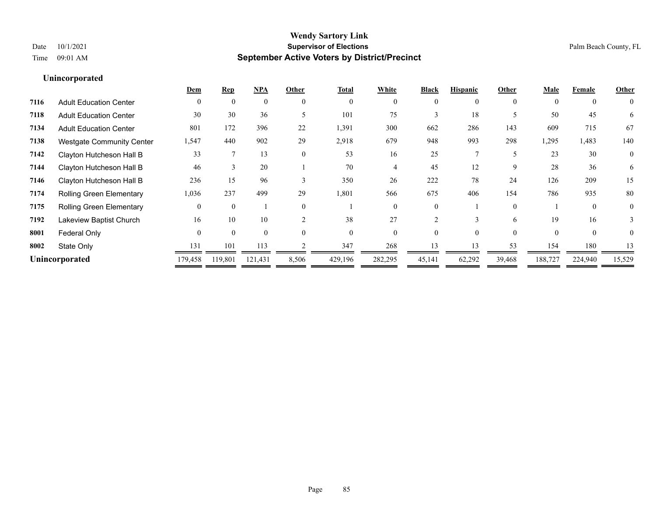|                                  | Dem            | Rep      | NPA      | Other         | <b>Total</b> | White    | <b>Black</b> | <b>Hispanic</b> | Other    | Male     | Female         | Other          |
|----------------------------------|----------------|----------|----------|---------------|--------------|----------|--------------|-----------------|----------|----------|----------------|----------------|
| <b>Adult Education Center</b>    | $\Omega$       | $\Omega$ | $\theta$ | $\theta$      | $\mathbf{0}$ | $\Omega$ | 0            | 0               | $\theta$ | $\Omega$ | $\overline{0}$ | $\theta$       |
| <b>Adult Education Center</b>    | 30             | 30       | 36       |               | 101          | 75       |              | 18              |          | 50       | 45             | 6              |
| <b>Adult Education Center</b>    | 801            | 172      | 396      | 22            | 1,391        | 300      | 662          | 286             | 143      | 609      | 715            | 67             |
| <b>Westgate Community Center</b> | 1,547          | 440      | 902      | 29            | 2,918        | 679      | 948          | 993             | 298      | 1,295    | 1,483          | 140            |
| Clayton Hutcheson Hall B         | 33             |          | 13       | $\theta$      | 53           | 16       | 25           |                 |          | 23       | 30             | $\overline{0}$ |
| Clayton Hutcheson Hall B         | 46             |          | 20       |               | 70           |          | 45           | 12              | 9        | 28       | 36             | 6              |
| Clayton Hutcheson Hall B         | 236            | 15       | 96       | $\mathcal{E}$ | 350          | 26       | 222          | 78              | 24       | 126      | 209            | 15             |
| <b>Rolling Green Elementary</b>  | 1,036          | 237      | 499      | 29            | 1,801        | 566      | 675          | 406             | 154      | 786      | 935            | 80             |
| <b>Rolling Green Elementary</b>  |                | $\Omega$ |          | $\theta$      |              | 0        |              |                 | $\theta$ |          | $\Omega$       | $\theta$       |
| Lakeview Baptist Church          | 16             | 10       | 10       | $\mathcal{D}$ | 38           | 27       |              | $\mathbf 3$     | 6        | 19       | 16             |                |
| Federal Only                     | $\Omega$       | $\Omega$ | $\theta$ | $\Omega$      | $\Omega$     | $\Omega$ | 0            | 0               | $\Omega$ | $\Omega$ | $\theta$       | $\theta$       |
| State Only                       | 131            | 101      | 113      |               | 347          | 268      | 13           | 13              | 53       | 154      | 180            | 13             |
|                                  | 179,458        | 119,801  | 121,431  | 8,506         | 429,196      | 282,295  | 45,141       | 62,292          | 39,468   | 188,727  | 224,940        | 15,529         |
|                                  | Unincorporated |          |          |               |              |          |              |                 |          |          |                |                |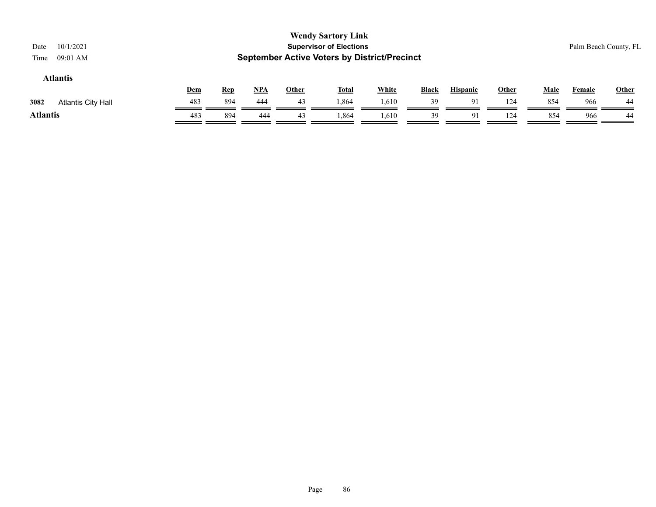| 10/1/2021<br>Date<br>09:01 AM<br>Time |     |            |       |              | <b>Wendy Sartory Link</b><br><b>Supervisor of Elections</b><br><b>September Active Voters by District/Precinct</b> |              |              |                 |       |             | Palm Beach County, FL |       |
|---------------------------------------|-----|------------|-------|--------------|--------------------------------------------------------------------------------------------------------------------|--------------|--------------|-----------------|-------|-------------|-----------------------|-------|
| <b>Atlantis</b>                       | Dem | <b>Rep</b> | $NPA$ | <b>Other</b> | <b>Total</b>                                                                                                       | <b>White</b> | <b>Black</b> | <b>Hispanic</b> | Other | <b>Male</b> | <b>Female</b>         | Other |
| 3082<br><b>Atlantis City Hall</b>     | 483 | 894        | 444   | 43           | 1,864                                                                                                              | 1,610        | 39           | 91              | 124   | 854         | 966                   | 44    |
| <b>Atlantis</b>                       | 483 | 894        | 444   | 43           | 1,864                                                                                                              | 1,610        | 39           | 91              | 124   | 854         | 966                   | 44    |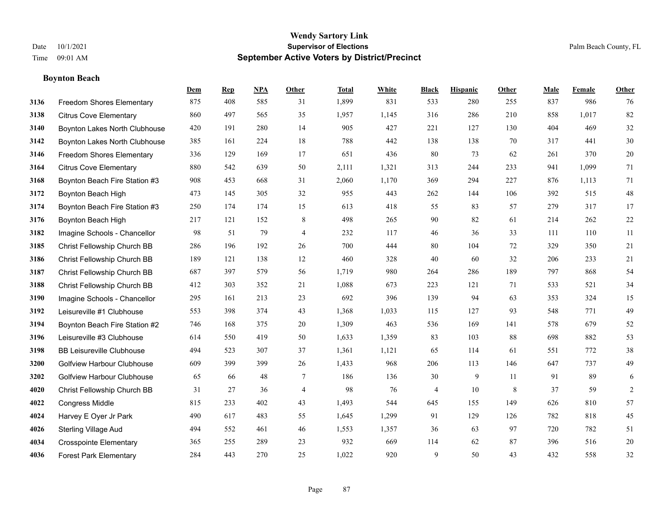#### **Boynton Beach**

|      |                                   | Dem | <b>Rep</b> | NPA | <b>Other</b>   | <b>Total</b> | <b>White</b> | <b>Black</b> | <b>Hispanic</b> | <b>Other</b> | <b>Male</b> | <b>Female</b> | <b>Other</b>   |
|------|-----------------------------------|-----|------------|-----|----------------|--------------|--------------|--------------|-----------------|--------------|-------------|---------------|----------------|
| 3136 | Freedom Shores Elementary         | 875 | 408        | 585 | 31             | 1,899        | 831          | 533          | 280             | 255          | 837         | 986           | 76             |
| 3138 | <b>Citrus Cove Elementary</b>     | 860 | 497        | 565 | 35             | 1,957        | 1,145        | 316          | 286             | 210          | 858         | 1,017         | 82             |
| 3140 | Boynton Lakes North Clubhouse     | 420 | 191        | 280 | 14             | 905          | 427          | 221          | 127             | 130          | 404         | 469           | $32\,$         |
| 3142 | Boynton Lakes North Clubhouse     | 385 | 161        | 224 | 18             | 788          | 442          | 138          | 138             | 70           | 317         | 441           | $30\,$         |
| 3146 | <b>Freedom Shores Elementary</b>  | 336 | 129        | 169 | 17             | 651          | 436          | 80           | 73              | 62           | 261         | 370           | $20\,$         |
| 3164 | <b>Citrus Cove Elementary</b>     | 880 | 542        | 639 | 50             | 2,111        | 1,321        | 313          | 244             | 233          | 941         | 1,099         | 71             |
| 3168 | Boynton Beach Fire Station #3     | 908 | 453        | 668 | 31             | 2,060        | 1,170        | 369          | 294             | 227          | 876         | 1,113         | 71             |
| 3172 | Boynton Beach High                | 473 | 145        | 305 | 32             | 955          | 443          | 262          | 144             | 106          | 392         | 515           | $48\,$         |
| 3174 | Boynton Beach Fire Station #3     | 250 | 174        | 174 | 15             | 613          | 418          | 55           | 83              | 57           | 279         | 317           | 17             |
| 3176 | Boynton Beach High                | 217 | 121        | 152 | 8              | 498          | 265          | 90           | 82              | 61           | 214         | 262           | 22             |
| 3182 | Imagine Schools - Chancellor      | 98  | 51         | 79  | $\overline{4}$ | 232          | 117          | 46           | 36              | 33           | 111         | 110           | 11             |
| 3185 | Christ Fellowship Church BB       | 286 | 196        | 192 | 26             | 700          | 444          | 80           | 104             | 72           | 329         | 350           | 21             |
| 3186 | Christ Fellowship Church BB       | 189 | 121        | 138 | 12             | 460          | 328          | 40           | 60              | 32           | 206         | 233           | 21             |
| 3187 | Christ Fellowship Church BB       | 687 | 397        | 579 | 56             | 1,719        | 980          | 264          | 286             | 189          | 797         | 868           | 54             |
| 3188 | Christ Fellowship Church BB       | 412 | 303        | 352 | 21             | 1,088        | 673          | 223          | 121             | 71           | 533         | 521           | 34             |
| 3190 | Imagine Schools - Chancellor      | 295 | 161        | 213 | 23             | 692          | 396          | 139          | 94              | 63           | 353         | 324           | 15             |
| 3192 | Leisureville #1 Clubhouse         | 553 | 398        | 374 | 43             | 1,368        | 1,033        | 115          | 127             | 93           | 548         | 771           | 49             |
| 3194 | Boynton Beach Fire Station #2     | 746 | 168        | 375 | 20             | 1,309        | 463          | 536          | 169             | 141          | 578         | 679           | $52\,$         |
| 3196 | Leisureville #3 Clubhouse         | 614 | 550        | 419 | 50             | 1,633        | 1,359        | 83           | 103             | 88           | 698         | 882           | 53             |
| 3198 | <b>BB Leisureville Clubhouse</b>  | 494 | 523        | 307 | 37             | 1,361        | 1,121        | 65           | 114             | 61           | 551         | 772           | $38\,$         |
| 3200 | <b>Golfview Harbour Clubhouse</b> | 609 | 399        | 399 | 26             | 1,433        | 968          | 206          | 113             | 146          | 647         | 737           | 49             |
| 3202 | <b>Golfview Harbour Clubhouse</b> | 65  | 66         | 48  | $\tau$         | 186          | 136          | 30           | 9               | 11           | 91          | 89            | $\sqrt{6}$     |
| 4020 | Christ Fellowship Church BB       | 31  | 27         | 36  | 4              | 98           | 76           | 4            | 10              | 8            | 37          | 59            | $\overline{c}$ |
| 4022 | <b>Congress Middle</b>            | 815 | 233        | 402 | 43             | 1,493        | 544          | 645          | 155             | 149          | 626         | 810           | 57             |
| 4024 | Harvey E Oyer Jr Park             | 490 | 617        | 483 | 55             | 1,645        | 1,299        | 91           | 129             | 126          | 782         | 818           | 45             |
| 4026 | <b>Sterling Village Aud</b>       | 494 | 552        | 461 | 46             | 1,553        | 1,357        | 36           | 63              | 97           | 720         | 782           | 51             |
| 4034 | <b>Crosspointe Elementary</b>     | 365 | 255        | 289 | 23             | 932          | 669          | 114          | 62              | 87           | 396         | 516           | $20\,$         |
| 4036 | <b>Forest Park Elementary</b>     | 284 | 443        | 270 | 25             | 1,022        | 920          | 9            | 50              | 43           | 432         | 558           | $32\,$         |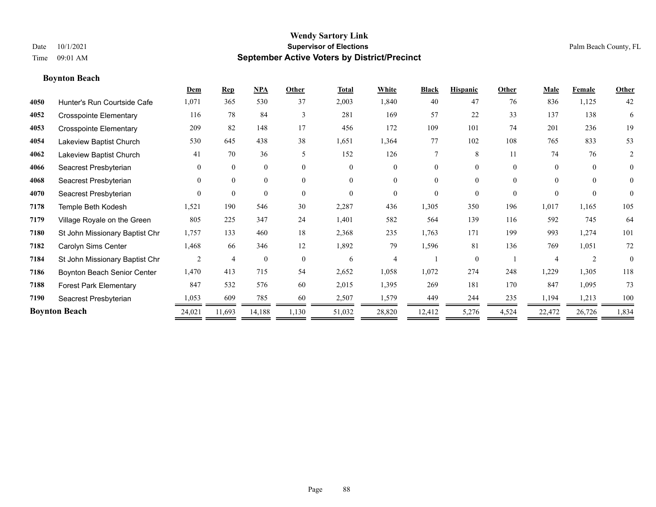#### **Boynton Beach**

|      |                                | Dem            | <b>Rep</b>     | <b>NPA</b>   | Other    | <b>Total</b> | White          | <b>Black</b> | <b>Hispanic</b> | Other    | Male                  | Female         | Other          |
|------|--------------------------------|----------------|----------------|--------------|----------|--------------|----------------|--------------|-----------------|----------|-----------------------|----------------|----------------|
| 4050 | Hunter's Run Courtside Cafe    | 1,071          | 365            | 530          | 37       | 2,003        | 1,840          | 40           | 47              | 76       | 836                   | 1,125          | 42             |
| 4052 | <b>Crosspointe Elementary</b>  | 116            | 78             | 84           | 3        | 281          | 169            | 57           | 22              | 33       | 137                   | 138            | 6              |
| 4053 | <b>Crosspointe Elementary</b>  | 209            | 82             | 148          | 17       | 456          | 172            | 109          | 101             | 74       | 201                   | 236            | 19             |
| 4054 | Lakeview Baptist Church        | 530            | 645            | 438          | 38       | 1,651        | 1,364          | 77           | 102             | 108      | 765                   | 833            | 53             |
| 4062 | Lakeview Baptist Church        | 41             | 70             | 36           | 5        | 152          | 126            | 7            | 8               | 11       | 74                    | 76             | 2              |
| 4066 | Seacrest Presbyterian          | $\overline{0}$ | $\mathbf{0}$   | $\mathbf{0}$ | $\Omega$ | $\Omega$     | $\overline{0}$ | $\Omega$     | $\Omega$        | $\theta$ | $\theta$              | $\theta$       | $\overline{0}$ |
| 4068 | Seacrest Presbyterian          | $\theta$       | $\theta$       | $\mathbf{0}$ | $\theta$ | $\Omega$     | $\theta$       | $\theta$     | $\theta$        | $\Omega$ | $\theta$              | $\theta$       | $\overline{0}$ |
| 4070 | Seacrest Presbyterian          | $\Omega$       | $\theta$       | $\theta$     | $\theta$ | $\Omega$     | $\theta$       | $\Omega$     | $\Omega$        | $\Omega$ | $\Omega$              | $\theta$       | $\theta$       |
| 7178 | Temple Beth Kodesh             | 1,521          | 190            | 546          | 30       | 2,287        | 436            | 1,305        | 350             | 196      | 1,017                 | 1,165          | 105            |
| 7179 | Village Royale on the Green    | 805            | 225            | 347          | 24       | 1,401        | 582            | 564          | 139             | 116      | 592                   | 745            | 64             |
| 7180 | St John Missionary Baptist Chr | 1,757          | 133            | 460          | 18       | 2,368        | 235            | 1,763        | 171             | 199      | 993                   | 1,274          | 101            |
| 7182 | Carolyn Sims Center            | 1,468          | 66             | 346          | 12       | 1,892        | 79             | 1,596        | 81              | 136      | 769                   | 1,051          | 72             |
| 7184 | St John Missionary Baptist Chr | 2              | $\overline{4}$ | $\mathbf{0}$ | $\theta$ | 6            | 4              |              | $\Omega$        |          | $\boldsymbol{\Delta}$ | $\mathfrak{D}$ | $\theta$       |
| 7186 | Boynton Beach Senior Center    | 1,470          | 413            | 715          | 54       | 2,652        | 1,058          | 1,072        | 274             | 248      | 1,229                 | 1,305          | 118            |
| 7188 | <b>Forest Park Elementary</b>  | 847            | 532            | 576          | 60       | 2,015        | 1,395          | 269          | 181             | 170      | 847                   | 1,095          | 73             |
| 7190 | Seacrest Presbyterian          | 1,053          | 609            | 785          | 60       | 2,507        | 1,579          | 449          | 244             | 235      | 1,194                 | 1,213          | 100            |
|      | <b>Boynton Beach</b>           | 24,021         | 11,693         | 14,188       | 1,130    | 51,032       | 28,820         | 12,412       | 5,276           | 4,524    | 22,472                | 26,726         | 1,834          |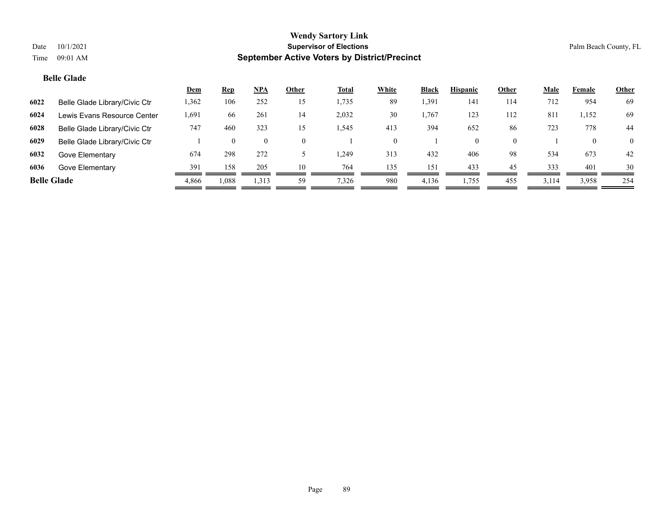#### **Belle Glade**

|                    |                               | <u>Dem</u> | <u>Rep</u> | <b>NPA</b> | Other | <b>Total</b> | White | <b>Black</b> | <b>Hispanic</b> | Other | Male  | Female       | <b>Other</b>   |
|--------------------|-------------------------------|------------|------------|------------|-------|--------------|-------|--------------|-----------------|-------|-------|--------------|----------------|
| 6022               | Belle Glade Library/Civic Ctr | 1,362      | 106        | 252        | 15    | 1,735        | 89    | 1,391        | 141             | 114   | 712   | 954          | 69             |
| 6024               | Lewis Evans Resource Center   | 1,691      | -66        | 261        | 14    | 2,032        | 30    | .,767        | 123             | 112   | 811   | 1,152        | 69             |
| 6028               | Belle Glade Library/Civic Ctr | 747        | 460        | 323        | 15    | 1,545        | 413   | 394          | 652             | 86    | 723   | 778          | 44             |
| 6029               | Belle Glade Library/Civic Ctr |            |            |            |       |              | 0     |              | $\Omega$        |       |       | $\mathbf{0}$ | $\overline{0}$ |
| 6032               | Gove Elementary               | 674        | 298        | 272        |       | 1,249        | 313   | 432          | 406             | 98    | 534   | 673          | 42             |
| 6036               | Gove Elementary               | 391        | 158        | 205        | 10    | 764          | 135   | 151          | 433             | 45    | 333   | 401          | 30             |
| <b>Belle Glade</b> |                               | 4,866      | 1,088      | 1,313      | 59    | 7,326        | 980   | 4,136        | 1,755           | 455   | 3,114 | 3,958        | 254            |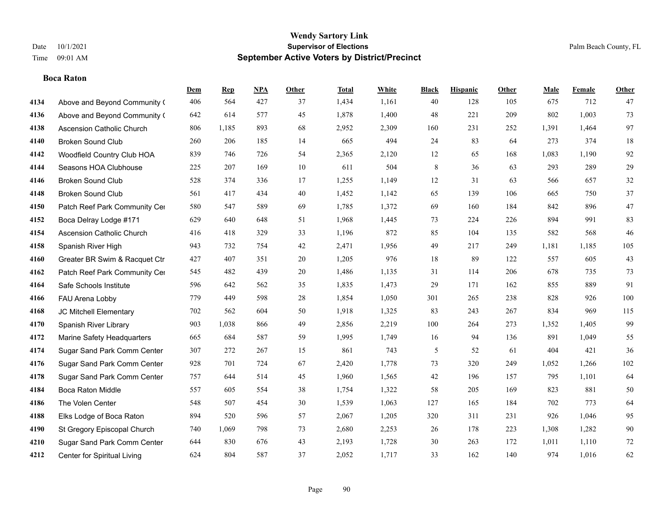**Boca Raton**

#### **Wendy Sartory Link** Date 10/1/2021 **Supervisor of Elections** Palm Beach County, FL Time 09:01 AM **September Active Voters by District/Precinct**

**Dem Rep NPA Other Total White Black Hispanic Other Male Female Other**

## Above and Beyond Community (406 564 427 37 1,434 1,161 40 128 105 675 712 47 Above and Beyond Community ( 642 614 577 45 1,878 1,400 48 221 209 802 1,003 73 Ascension Catholic Church 806 1,185 893 68 2,952 2,309 160 231 252 1,391 1,464 97 Broken Sound Club 260 206 185 14 665 494 24 83 64 273 374 18 Woodfield Country Club HOA 839 746 726 54 2,365 2,120 12 65 168 1,083 1,190 92 Seasons HOA Clubhouse 225 207 169 10 611 504 8 36 63 293 289 29 Broken Sound Club 528 374 336 17 1,255 1,149 12 31 63 566 657 32

| 4148 | <b>Broken Sound Club</b>         | 561 | 417   | 434 | 40 | 1,452 | 1,142 | 65  | 139 | 106 | 665   | 750   | 37  |
|------|----------------------------------|-----|-------|-----|----|-------|-------|-----|-----|-----|-------|-------|-----|
| 4150 | Patch Reef Park Community Cer    | 580 | 547   | 589 | 69 | 1,785 | 1,372 | 69  | 160 | 184 | 842   | 896   | 47  |
| 4152 | Boca Delray Lodge #171           | 629 | 640   | 648 | 51 | 1,968 | 1,445 | 73  | 224 | 226 | 894   | 991   | 83  |
| 4154 | <b>Ascension Catholic Church</b> | 416 | 418   | 329 | 33 | 1,196 | 872   | 85  | 104 | 135 | 582   | 568   | 46  |
| 4158 | Spanish River High               | 943 | 732   | 754 | 42 | 2,471 | 1,956 | 49  | 217 | 249 | 1,181 | 1,185 | 105 |
| 4160 | Greater BR Swim & Racquet Ctr    | 427 | 407   | 351 | 20 | 1,205 | 976   | 18  | 89  | 122 | 557   | 605   | 43  |
| 4162 | Patch Reef Park Community Cer    | 545 | 482   | 439 | 20 | 1,486 | 1,135 | 31  | 114 | 206 | 678   | 735   | 73  |
| 4164 | Safe Schools Institute           | 596 | 642   | 562 | 35 | 1,835 | 1,473 | 29  | 171 | 162 | 855   | 889   | 91  |
| 4166 | FAU Arena Lobby                  | 779 | 449   | 598 | 28 | 1,854 | 1,050 | 301 | 265 | 238 | 828   | 926   | 100 |
| 4168 | JC Mitchell Elementary           | 702 | 562   | 604 | 50 | 1,918 | 1,325 | 83  | 243 | 267 | 834   | 969   | 115 |
| 4170 | Spanish River Library            | 903 | 1,038 | 866 | 49 | 2,856 | 2,219 | 100 | 264 | 273 | 1,352 | 1,405 | 99  |
| 4172 | Marine Safety Headquarters       | 665 | 684   | 587 | 59 | 1,995 | 1,749 | 16  | 94  | 136 | 891   | 1,049 | 55  |
| 4174 | Sugar Sand Park Comm Center      | 307 | 272   | 267 | 15 | 861   | 743   | 5   | 52  | 61  | 404   | 421   | 36  |
| 4176 | Sugar Sand Park Comm Center      | 928 | 701   | 724 | 67 | 2,420 | 1,778 | 73  | 320 | 249 | 1,052 | 1,266 | 102 |
| 4178 | Sugar Sand Park Comm Center      | 757 | 644   | 514 | 45 | 1,960 | 1,565 | 42  | 196 | 157 | 795   | 1,101 | 64  |
| 4184 | <b>Boca Raton Middle</b>         | 557 | 605   | 554 | 38 | 1,754 | 1,322 | 58  | 205 | 169 | 823   | 881   | 50  |
| 4186 | The Volen Center                 | 548 | 507   | 454 | 30 | 1,539 | 1,063 | 127 | 165 | 184 | 702   | 773   | 64  |
| 4188 | Elks Lodge of Boca Raton         | 894 | 520   | 596 | 57 | 2,067 | 1,205 | 320 | 311 | 231 | 926   | 1,046 | 95  |
| 4190 | St Gregory Episcopal Church      | 740 | 1,069 | 798 | 73 | 2,680 | 2,253 | 26  | 178 | 223 | 1,308 | 1,282 | 90  |
| 4210 | Sugar Sand Park Comm Center      | 644 | 830   | 676 | 43 | 2,193 | 1,728 | 30  | 263 | 172 | 1,011 | 1,110 | 72  |
| 4212 | Center for Spiritual Living      | 624 | 804   | 587 | 37 | 2,052 | 1,717 | 33  | 162 | 140 | 974   | 1,016 | 62  |
|      |                                  |     |       |     |    |       |       |     |     |     |       |       |     |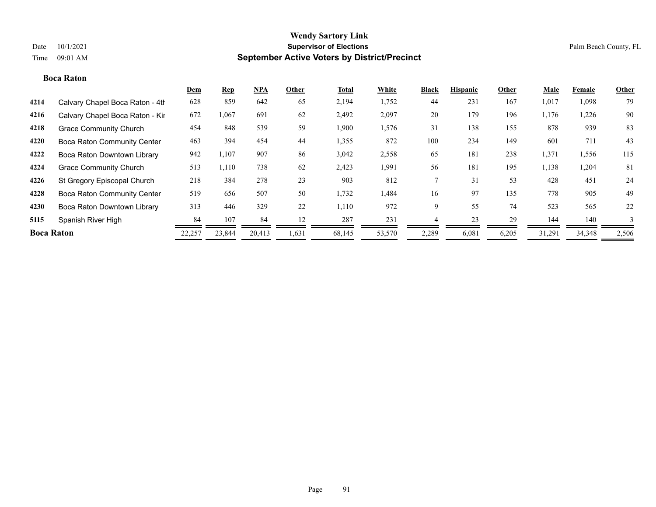#### **Boca Raton**

|                   |                                    | <b>Dem</b> | <b>Rep</b> | NPA    | Other | <b>Total</b> | White  | <b>Black</b> | <b>Hispanic</b> | Other | <b>Male</b> | <b>Female</b> | <b>Other</b> |
|-------------------|------------------------------------|------------|------------|--------|-------|--------------|--------|--------------|-----------------|-------|-------------|---------------|--------------|
| 4214              | Calvary Chapel Boca Raton - 4th    | 628        | 859        | 642    | 65    | 2,194        | 1,752  | 44           | 231             | 167   | 1,017       | 1,098         | 79           |
| 4216              | Calvary Chapel Boca Raton - Kir    | 672        | 1,067      | 691    | 62    | 2,492        | 2,097  | 20           | 179             | 196   | 1,176       | 1,226         | 90           |
| 4218              | <b>Grace Community Church</b>      | 454        | 848        | 539    | 59    | 1,900        | 1,576  | 31           | 138             | 155   | 878         | 939           | 83           |
| 4220              | <b>Boca Raton Community Center</b> | 463        | 394        | 454    | 44    | 1,355        | 872    | 100          | 234             | 149   | 601         | 711           | 43           |
| 4222              | Boca Raton Downtown Library        | 942        | 1,107      | 907    | 86    | 3,042        | 2,558  | 65           | 181             | 238   | 1,371       | 1,556         | 115          |
| 4224              | <b>Grace Community Church</b>      | 513        | 1,110      | 738    | 62    | 2,423        | 1,991  | 56           | 181             | 195   | 1,138       | 1,204         | 81           |
| 4226              | St Gregory Episcopal Church        | 218        | 384        | 278    | 23    | 903          | 812    |              | 31              | 53    | 428         | 451           | 24           |
| 4228              | <b>Boca Raton Community Center</b> | 519        | 656        | 507    | 50    | 1,732        | 1,484  | 16           | 97              | 135   | 778         | 905           | 49           |
| 4230              | Boca Raton Downtown Library        | 313        | 446        | 329    | 22    | 1,110        | 972    | 9            | 55              | 74    | 523         | 565           | 22           |
| 5115              | Spanish River High                 | 84         | 107        | 84     | 12    | 287          | 231    |              | 23              | 29    | 144         | 140           | 3            |
| <b>Boca Raton</b> |                                    | 22,257     | 23,844     | 20,413 | 1,631 | 68,145       | 53,570 | 2,289        | 6,081           | 6,205 | 31,291      | 34,348        | 2,506        |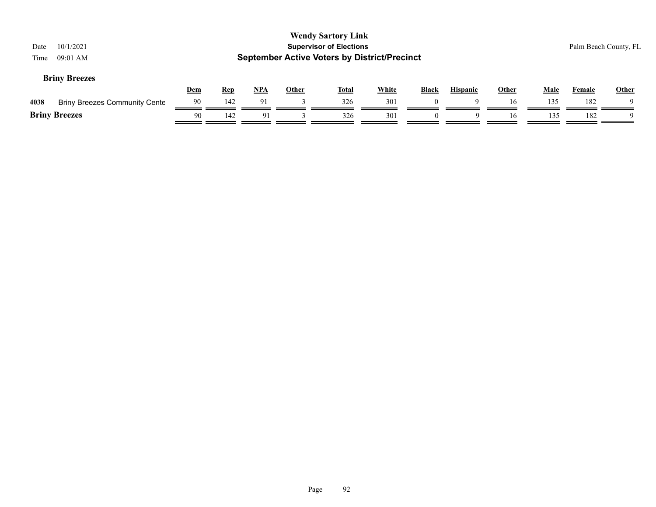| Date<br>Time | 10/1/2021<br>09:01 AM                |            |            |            |              | <b>Wendy Sartory Link</b><br><b>Supervisor of Elections</b><br><b>September Active Voters by District/Precinct</b> |              |              |                 |              |             |               | Palm Beach County, FL |
|--------------|--------------------------------------|------------|------------|------------|--------------|--------------------------------------------------------------------------------------------------------------------|--------------|--------------|-----------------|--------------|-------------|---------------|-----------------------|
|              | <b>Briny Breezes</b>                 | <u>Dem</u> | <b>Rep</b> | <u>NPA</u> | <b>Other</b> | <u>Total</u>                                                                                                       | <b>White</b> | <b>Black</b> | <b>Hispanic</b> | <b>Other</b> | <b>Male</b> | <b>Female</b> | <b>Other</b>          |
| 4038         | <b>Briny Breezes Community Cente</b> | 90         | 142        | 91         |              | 326                                                                                                                | 301          | $\theta$     |                 | 16           | 135         | 182           |                       |
|              | <b>Briny Breezes</b>                 | -90        | 142        | 91         |              | 326                                                                                                                | 301          | $\theta$     | 9               | 16           | 135         | 182           | Q                     |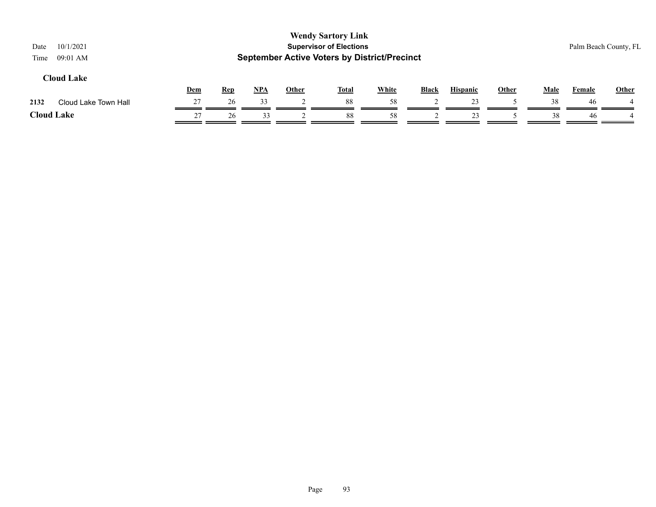| 10/1/2021<br>Date<br>09:01 AM<br>Time |     |            |       |              | <b>Wendy Sartory Link</b><br><b>Supervisor of Elections</b><br><b>September Active Voters by District/Precinct</b> |              |              |                 |              |             | Palm Beach County, FL |              |
|---------------------------------------|-----|------------|-------|--------------|--------------------------------------------------------------------------------------------------------------------|--------------|--------------|-----------------|--------------|-------------|-----------------------|--------------|
| <b>Cloud Lake</b>                     | Dem | <b>Rep</b> | $NPA$ | <b>Other</b> | <b>Total</b>                                                                                                       | <b>White</b> | <b>Black</b> | <b>Hispanic</b> | <b>Other</b> | <b>Male</b> | Female                | <b>Other</b> |
| Cloud Lake Town Hall<br>2132          | 27  | 26         | 33    |              | 88                                                                                                                 | 58           |              | 23              |              | 38          | 46                    |              |
| <b>Cloud Lake</b>                     | 27  | 26         | 33    |              | 88                                                                                                                 | 58           |              | 23              |              | 38          | 46                    |              |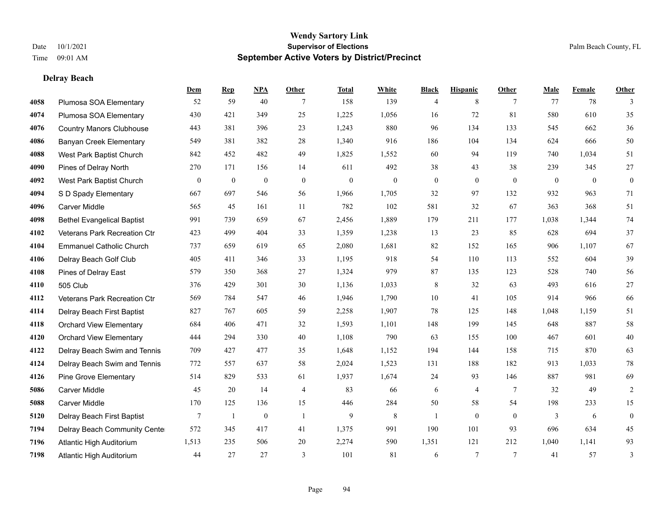**Delray Beach**

#### **Wendy Sartory Link** Date 10/1/2021 **Supervisor of Elections** Palm Beach County, FL Time 09:01 AM **September Active Voters by District/Precinct**

|      |                                   | Dem            | <b>Rep</b>       | <b>NPA</b>       | Other          | <b>Total</b>     | White        | <b>Black</b>     | <b>Hispanic</b>  | Other           | Male         | Female   | Other            |
|------|-----------------------------------|----------------|------------------|------------------|----------------|------------------|--------------|------------------|------------------|-----------------|--------------|----------|------------------|
| 4058 | Plumosa SOA Elementary            | 52             | 59               | 40               | 7              | 158              | 139          | $\overline{4}$   | 8                | 7               | 77           | 78       | 3                |
| 4074 | Plumosa SOA Elementary            | 430            | 421              | 349              | 25             | 1,225            | 1,056        | 16               | 72               | 81              | 580          | 610      | 35               |
| 4076 | <b>Country Manors Clubhouse</b>   | 443            | 381              | 396              | 23             | 1,243            | 880          | 96               | 134              | 133             | 545          | 662      | $36\,$           |
| 4086 | <b>Banyan Creek Elementary</b>    | 549            | 381              | 382              | 28             | 1,340            | 916          | 186              | 104              | 134             | 624          | 666      | 50               |
| 4088 | West Park Baptist Church          | 842            | 452              | 482              | 49             | 1,825            | 1,552        | 60               | 94               | 119             | 740          | 1,034    | 51               |
| 4090 | Pines of Delray North             | 270            | 171              | 156              | 14             | 611              | 492          | 38               | 43               | 38              | 239          | 345      | $27\,$           |
| 4092 | West Park Baptist Church          | $\overline{0}$ | $\boldsymbol{0}$ | $\boldsymbol{0}$ | $\mathbf{0}$   | $\boldsymbol{0}$ | $\mathbf{0}$ | $\boldsymbol{0}$ | $\boldsymbol{0}$ | $\mathbf{0}$    | $\mathbf{0}$ | $\bf{0}$ | $\boldsymbol{0}$ |
| 4094 | S D Spady Elementary              | 667            | 697              | 546              | 56             | 1,966            | 1,705        | 32               | 97               | 132             | 932          | 963      | 71               |
| 4096 | <b>Carver Middle</b>              | 565            | 45               | 161              | 11             | 782              | 102          | 581              | 32               | 67              | 363          | 368      | 51               |
| 4098 | <b>Bethel Evangelical Baptist</b> | 991            | 739              | 659              | 67             | 2,456            | 1,889        | 179              | 211              | 177             | 1,038        | 1,344    | 74               |
| 4102 | Veterans Park Recreation Ctr      | 423            | 499              | 404              | 33             | 1,359            | 1,238        | 13               | 23               | 85              | 628          | 694      | 37               |
| 4104 | <b>Emmanuel Catholic Church</b>   | 737            | 659              | 619              | 65             | 2,080            | 1,681        | 82               | 152              | 165             | 906          | 1,107    | 67               |
| 4106 | Delray Beach Golf Club            | 405            | 411              | 346              | 33             | 1,195            | 918          | 54               | 110              | 113             | 552          | 604      | 39               |
| 4108 | Pines of Delray East              | 579            | 350              | 368              | 27             | 1,324            | 979          | 87               | 135              | 123             | 528          | 740      | 56               |
| 4110 | 505 Club                          | 376            | 429              | 301              | 30             | 1,136            | 1,033        | $\,$ 8 $\,$      | 32               | 63              | 493          | 616      | $27\,$           |
| 4112 | Veterans Park Recreation Ctr      | 569            | 784              | 547              | 46             | 1,946            | 1,790        | 10               | 41               | 105             | 914          | 966      | 66               |
| 4114 | Delray Beach First Baptist        | 827            | 767              | 605              | 59             | 2,258            | 1,907        | 78               | 125              | 148             | 1,048        | 1,159    | 51               |
| 4118 | <b>Orchard View Elementary</b>    | 684            | 406              | 471              | 32             | 1,593            | 1,101        | 148              | 199              | 145             | 648          | 887      | 58               |
| 4120 | <b>Orchard View Elementary</b>    | 444            | 294              | 330              | $40\,$         | 1,108            | 790          | 63               | 155              | 100             | 467          | 601      | $40\,$           |
| 4122 | Delray Beach Swim and Tennis      | 709            | 427              | 477              | 35             | 1,648            | 1,152        | 194              | 144              | 158             | 715          | 870      | 63               |
| 4124 | Delray Beach Swim and Tennis      | 772            | 557              | 637              | 58             | 2,024            | 1,523        | 131              | 188              | 182             | 913          | 1,033    | 78               |
| 4126 | Pine Grove Elementary             | 514            | 829              | 533              | 61             | 1,937            | 1,674        | 24               | 93               | 146             | 887          | 981      | 69               |
| 5086 | <b>Carver Middle</b>              | 45             | 20               | 14               | $\overline{4}$ | 83               | 66           | 6                | $\overline{4}$   | $7\phantom{.0}$ | 32           | 49       | 2                |
| 5088 | <b>Carver Middle</b>              | 170            | 125              | 136              | 15             | 446              | 284          | 50               | 58               | 54              | 198          | 233      | 15               |
| 5120 | Delray Beach First Baptist        | $\overline{7}$ | -1               | $\boldsymbol{0}$ | -1             | $\overline{9}$   | $8\,$        | $\mathbf{1}$     | $\boldsymbol{0}$ | $\mathbf{0}$    | 3            | 6        | $\boldsymbol{0}$ |
| 7194 | Delray Beach Community Cente      | 572            | 345              | 417              | 41             | 1,375            | 991          | 190              | 101              | 93              | 696          | 634      | 45               |
| 7196 | Atlantic High Auditorium          | 1,513          | 235              | 506              | 20             | 2,274            | 590          | 1,351            | 121              | 212             | 1,040        | 1,141    | 93               |
| 7198 | <b>Atlantic High Auditorium</b>   | 44             | 27               | 27               | $\overline{3}$ | 101              | 81           | 6                | $\overline{7}$   | $\overline{7}$  | 41           | 57       | 3                |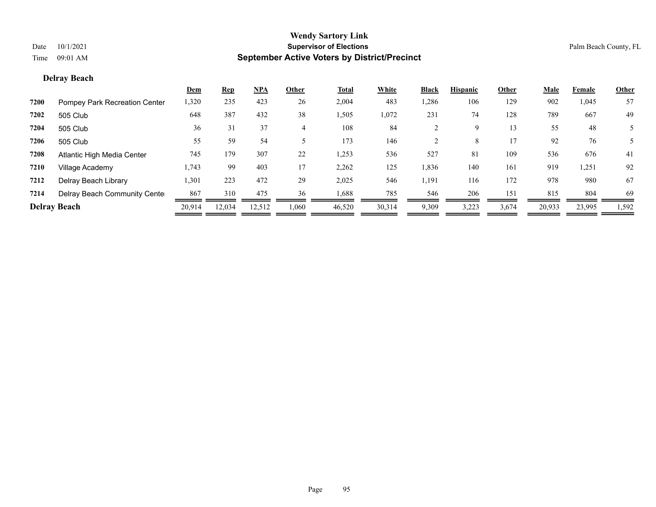#### **Delray Beach**

|      |                               | <u>Dem</u> | <b>Rep</b> | NPA    | Other | <b>Total</b> | White  | <b>Black</b> | <b>Hispanic</b> | Other | <u>Male</u> | Female | <u>Other</u> |
|------|-------------------------------|------------|------------|--------|-------|--------------|--------|--------------|-----------------|-------|-------------|--------|--------------|
| 7200 | Pompey Park Recreation Center | 1,320      | 235        | 423    | 26    | 2,004        | 483    | 1,286        | 106             | 129   | 902         | 1,045  | 57           |
| 7202 | 505 Club                      | 648        | 387        | 432    | 38    | 1,505        | 1,072  | 231          | 74              | 128   | 789         | 667    | 49           |
| 7204 | 505 Club                      | 36         | 31         | 37     |       | 108          | 84     |              | 9               | 13    | 55          | 48     |              |
| 7206 | 505 Club                      | 55         | 59         | 54     |       | 173          | 146    |              | 8               | 17    | 92          | 76     |              |
| 7208 | Atlantic High Media Center    | 745        | 179        | 307    | 22    | 1,253        | 536    | 527          | 81              | 109   | 536         | 676    | 41           |
| 7210 | Village Academy               | 1,743      | 99         | 403    | 17    | 2,262        | 125    | 1,836        | 140             | 161   | 919         | 1,251  | 92           |
| 7212 | Delray Beach Library          | 1,301      | 223        | 472    | 29    | 2,025        | 546    | 1,191        | 116             | 172   | 978         | 980    | 67           |
| 7214 | Delray Beach Community Cente  | 867        | 310        | 475    | 36    | 1,688        | 785    | 546          | 206             | 151   | 815         | 804    | 69           |
|      | <b>Delray Beach</b>           | 20,914     | 12,034     | 12,512 | .060  | 46,520       | 30,314 | 9,309        | 3,223           | 3,674 | 20,933      | 23,995 | 1,592        |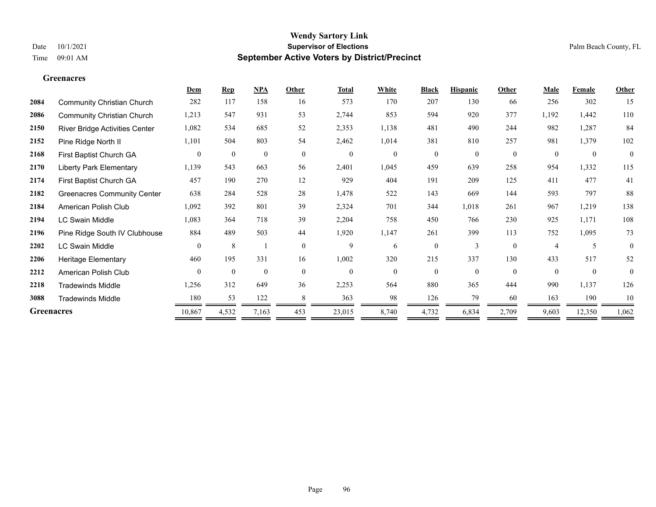#### **Greenacres**

|                   |                                    | Dem            | <b>Rep</b>       | NPA              | Other        | <b>Total</b>     | White            | <b>Black</b> | <b>Hispanic</b> | Other        | Male           | Female           | Other          |
|-------------------|------------------------------------|----------------|------------------|------------------|--------------|------------------|------------------|--------------|-----------------|--------------|----------------|------------------|----------------|
| 2084              | <b>Community Christian Church</b>  | 282            | 117              | 158              | 16           | 573              | 170              | 207          | 130             | 66           | 256            | 302              | 15             |
| 2086              | <b>Community Christian Church</b>  | 1,213          | 547              | 931              | 53           | 2,744            | 853              | 594          | 920             | 377          | 1,192          | 1,442            | 110            |
| 2150              | River Bridge Activities Center     | 1,082          | 534              | 685              | 52           | 2,353            | 1,138            | 481          | 490             | 244          | 982            | 1,287            | 84             |
| 2152              | Pine Ridge North II                | 1,101          | 504              | 803              | 54           | 2,462            | 1,014            | 381          | 810             | 257          | 981            | 1,379            | 102            |
| 2168              | First Baptist Church GA            | $\overline{0}$ | $\boldsymbol{0}$ | $\boldsymbol{0}$ | $\mathbf{0}$ | $\boldsymbol{0}$ | $\boldsymbol{0}$ | $\mathbf{0}$ | $\overline{0}$  | $\mathbf{0}$ | $\theta$       | $\boldsymbol{0}$ | $\overline{0}$ |
| 2170              | <b>Liberty Park Elementary</b>     | 1,139          | 543              | 663              | 56           | 2,401            | 1,045            | 459          | 639             | 258          | 954            | 1,332            | 115            |
| 2174              | First Baptist Church GA            | 457            | 190              | 270              | 12           | 929              | 404              | 191          | 209             | 125          | 411            | 477              | 41             |
| 2182              | <b>Greenacres Community Center</b> | 638            | 284              | 528              | 28           | 1,478            | 522              | 143          | 669             | 144          | 593            | 797              | 88             |
| 2184              | American Polish Club               | 1,092          | 392              | 801              | 39           | 2,324            | 701              | 344          | 1,018           | 261          | 967            | 1,219            | 138            |
| 2194              | <b>LC Swain Middle</b>             | 1,083          | 364              | 718              | 39           | 2,204            | 758              | 450          | 766             | 230          | 925            | 1,171            | 108            |
| 2196              | Pine Ridge South IV Clubhouse      | 884            | 489              | 503              | 44           | 1,920            | 1,147            | 261          | 399             | 113          | 752            | 1,095            | 73             |
| 2202              | <b>LC Swain Middle</b>             | $\theta$       | 8                |                  | $\theta$     | 9                | 6                | $\theta$     | 3               | $\theta$     | $\overline{4}$ | 5                | $\theta$       |
| 2206              | <b>Heritage Elementary</b>         | 460            | 195              | 331              | 16           | 1,002            | 320              | 215          | 337             | 130          | 433            | 517              | 52             |
| 2212              | American Polish Club               | $\theta$       | $\mathbf{0}$     | $\mathbf{0}$     | $\theta$     | $\mathbf{0}$     | $\theta$         | $\theta$     | $\theta$        | $\theta$     | $\theta$       | $\mathbf{0}$     | $\theta$       |
| 2218              | <b>Tradewinds Middle</b>           | 1,256          | 312              | 649              | 36           | 2,253            | 564              | 880          | 365             | 444          | 990            | 1,137            | 126            |
| 3088              | <b>Tradewinds Middle</b>           | 180            | 53               | 122              | 8            | 363              | 98               | 126          | 79              | 60           | 163            | 190              | 10             |
| <b>Greenacres</b> |                                    | 10,867         | 4,532            | 7,163            | 453          | 23,015           | 8,740            | 4,732        | 6,834           | 2,709        | 9,603          | 12,350           | 1,062          |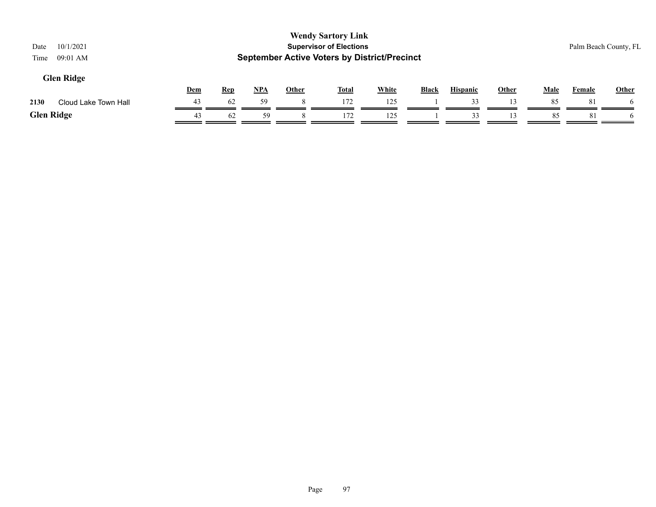| 10/1/2021<br>Date<br>$09:01$ AM<br>Time |            |            |       |              | <b>Wendy Sartory Link</b><br><b>Supervisor of Elections</b><br><b>September Active Voters by District/Precinct</b> |              |       |                 |                |             | Palm Beach County, FL |              |
|-----------------------------------------|------------|------------|-------|--------------|--------------------------------------------------------------------------------------------------------------------|--------------|-------|-----------------|----------------|-------------|-----------------------|--------------|
| <b>Glen Ridge</b>                       | <u>Dem</u> | <b>Rep</b> | $NPA$ | <b>Other</b> | <b>Total</b>                                                                                                       | <b>White</b> | Black | <b>Hispanic</b> | <b>Other</b>   | <b>Male</b> | Female                | <b>Other</b> |
| Cloud Lake Town Hall<br>2130            | 43         | 62         | 59    |              | 172                                                                                                                | 125          |       | 33              | $\overline{3}$ | 85          | 8                     | <sub>0</sub> |
| <b>Glen Ridge</b>                       | 43         | 62         | 59    |              | 172                                                                                                                | 125          |       | 33              |                | 85          | 81                    | <sub>n</sub> |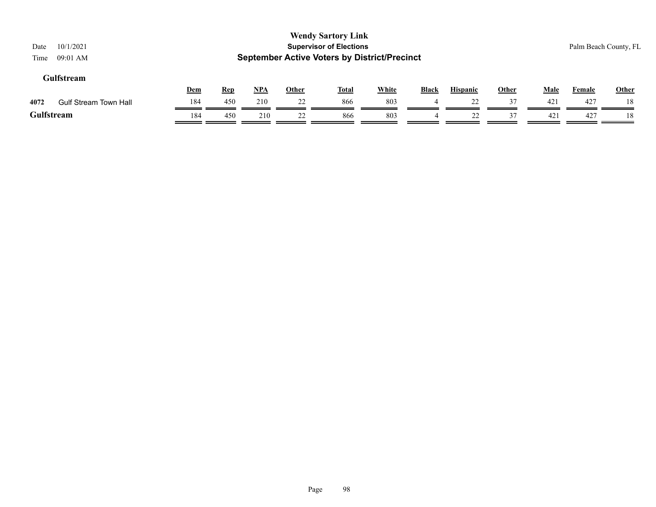| 10/1/2021<br>Date<br>09:01 AM<br>Time |     |            |       |              | <b>Wendy Sartory Link</b><br><b>Supervisor of Elections</b><br><b>September Active Voters by District/Precinct</b> |              |                |                 |              |             | Palm Beach County, FL |              |
|---------------------------------------|-----|------------|-------|--------------|--------------------------------------------------------------------------------------------------------------------|--------------|----------------|-----------------|--------------|-------------|-----------------------|--------------|
| Gulfstream                            | Dem | <b>Rep</b> | $NPA$ | <u>Other</u> | <b>Total</b>                                                                                                       | <b>White</b> | <b>Black</b>   | <b>Hispanic</b> | <b>Other</b> | <b>Male</b> | Female                | <b>Other</b> |
| 4072<br><b>Gulf Stream Town Hall</b>  | 184 | 450        | 210   | 22           | 866                                                                                                                | 803          | $\overline{4}$ | 22              | 37           | 421         | 427                   | 18           |
| Gulfstream                            | 184 | 450        | 210   | 22           | 866                                                                                                                | 803          | 4              | 22              | 37           | 421         | 427                   | 18           |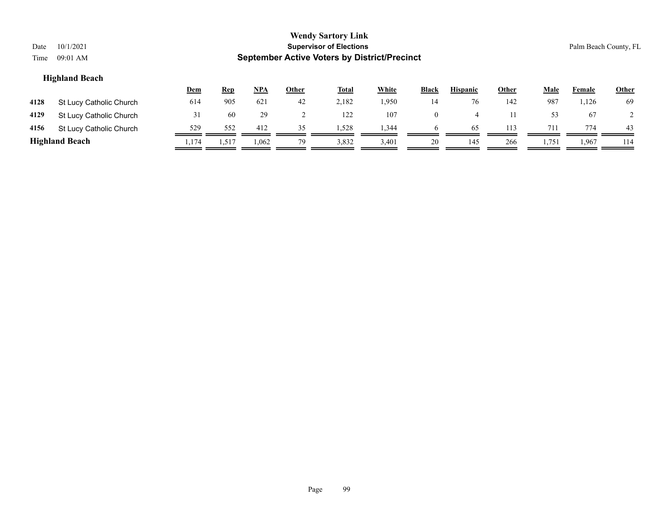| Date<br>Time | 10/1/2021<br>09:01 AM   |            |            |            |       | <b>Wendy Sartory Link</b><br><b>Supervisor of Elections</b><br><b>September Active Voters by District/Precinct</b> |              |                |                 |              |             |        | Palm Beach County, FL |
|--------------|-------------------------|------------|------------|------------|-------|--------------------------------------------------------------------------------------------------------------------|--------------|----------------|-----------------|--------------|-------------|--------|-----------------------|
|              | <b>Highland Beach</b>   | <u>Dem</u> | <u>Rep</u> | <u>NPA</u> | Other | <b>Total</b>                                                                                                       | <b>White</b> | <b>Black</b>   | <b>Hispanic</b> | <b>Other</b> | <b>Male</b> | Female | <b>Other</b>          |
| 4128         | St Lucy Catholic Church | 614        | 905        | 621        | 42    | 2,182                                                                                                              | 1,950        | 14             | 76              | 142          | 987         | 1,126  | -69                   |
| 4129         | St Lucy Catholic Church | 31         | 60         | 29         |       | 122                                                                                                                | 107          | $\overline{0}$ | 4               | 11           | 53          | 67     | 2                     |
| 4156         | St Lucy Catholic Church | 529        | 552        | 412        | 35    | 1,528                                                                                                              | 1,344        | 6              | 65              | 113          | 711         | 774    | 43                    |
|              | <b>Highland Beach</b>   | 1,174      | 1,517      | 1,062      | 79    | 3,832                                                                                                              | 3,401        | 20             | 145             | 266          | 1,751       | 1,967  | 114                   |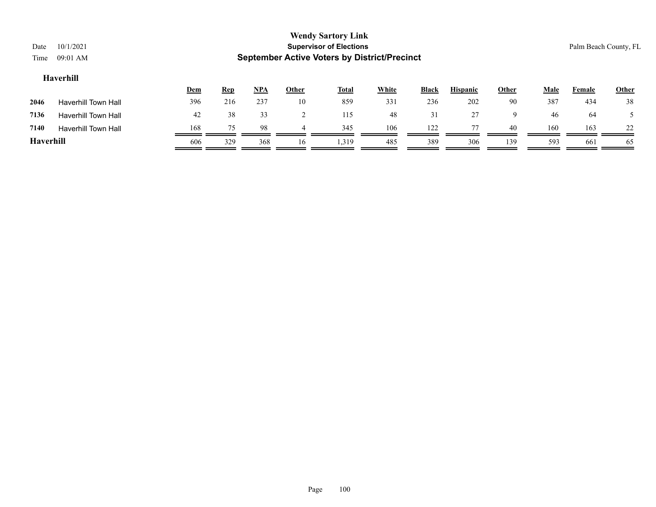| Date      | 10/1/2021                                                                                                                                         |     |     |     |    | <b>Wendy Sartory Link</b><br><b>Supervisor of Elections</b> |     |     |     |     |     | Palm Beach County, FL |     |
|-----------|---------------------------------------------------------------------------------------------------------------------------------------------------|-----|-----|-----|----|-------------------------------------------------------------|-----|-----|-----|-----|-----|-----------------------|-----|
| Time      | 09:01 AM                                                                                                                                          |     |     |     |    | <b>September Active Voters by District/Precinct</b>         |     |     |     |     |     |                       |     |
|           | Haverhill                                                                                                                                         |     |     |     |    |                                                             |     |     |     |     |     |                       |     |
|           | <b>White</b><br><b>Hispanic</b><br><u>NPA</u><br><b>Total</b><br><b>Black</b><br>Other<br><b>Male</b><br><u>Dem</u><br><b>Other</b><br><b>Rep</b> |     |     |     |    |                                                             |     |     |     |     |     |                       |     |
| 2046      | Haverhill Town Hall                                                                                                                               | 396 | 216 | 237 | 10 | 859                                                         | 331 | 236 | 202 | 90  | 387 | 434                   | 38  |
| 7136      | <b>Haverhill Town Hall</b>                                                                                                                        | 42  | 38  | 33  |    | 115                                                         | 48  | 31  | 27  | 9   | 46  | -64                   |     |
| 7140      | <b>Haverhill Town Hall</b>                                                                                                                        | 168 | 75  | 98  | 4  | 345                                                         | 106 | 122 | 77  | 40  | 160 | 163                   | 22  |
| Haverhill |                                                                                                                                                   | 606 | 329 | 368 | 16 | 1.319                                                       | 485 | 389 | 306 | 139 | 593 | 661                   | -65 |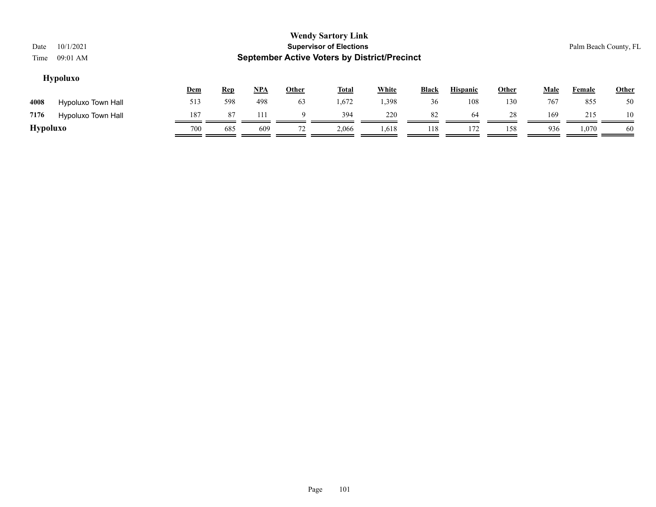| Date            | 10/1/2021          |                                                     |            |       |              | <b>Wendy Sartory Link</b><br><b>Supervisor of Elections</b> |              |              |                 |       |             |        | Palm Beach County, FL |  |
|-----------------|--------------------|-----------------------------------------------------|------------|-------|--------------|-------------------------------------------------------------|--------------|--------------|-----------------|-------|-------------|--------|-----------------------|--|
| Time            | 09:01 AM           | <b>September Active Voters by District/Precinct</b> |            |       |              |                                                             |              |              |                 |       |             |        |                       |  |
|                 | <b>Hypoluxo</b>    |                                                     |            |       |              |                                                             |              |              |                 |       |             |        |                       |  |
|                 |                    | <u>Dem</u>                                          | <b>Rep</b> | $NPA$ | <u>Other</u> | <b>Total</b>                                                | <b>White</b> | <b>Black</b> | <b>Hispanic</b> | Other | <b>Male</b> | Female | <b>Other</b>          |  |
| 4008            | Hypoluxo Town Hall | 513                                                 | 598        | 498   | 63           | 1,672                                                       | 1,398        | 36           | 108             | 130   | 767         | 855    | 50                    |  |
| 7176            | Hypoluxo Town Hall | 187                                                 | 87         | 111   | 9            | 394                                                         | 220          | 82           | 64              | 28    | 169         | 215    | 10                    |  |
| <b>Hypoluxo</b> |                    | 700                                                 | 685        | 609   | 72           | 2,066                                                       | 1,618        | 118          | 172             | 158   | 936         | 1,070  | 60                    |  |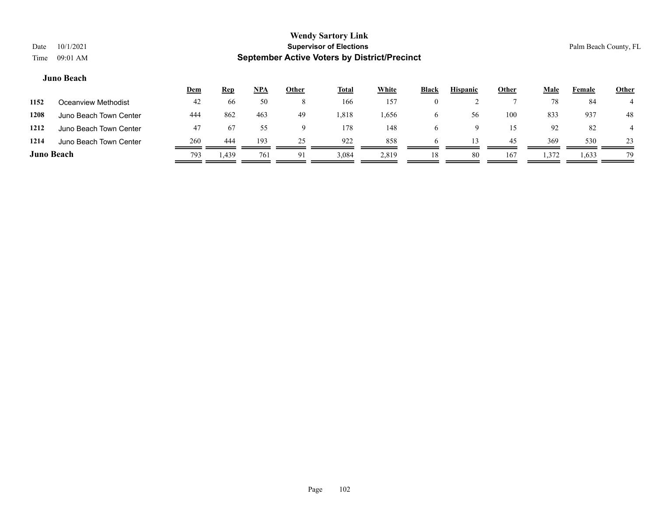|                   |                        | <u>Dem</u> | <b>Rep</b> | <u>NPA</u> | <u>Other</u> | <b>Total</b> | White | <b>Black</b> | <b>Hispanic</b> | Other | Male  | Female | <u>Other</u> |
|-------------------|------------------------|------------|------------|------------|--------------|--------------|-------|--------------|-----------------|-------|-------|--------|--------------|
| 1152              | Oceanview Methodist    | 42         | 66         | 50         | $\circ$      | 166          | 157   |              |                 |       | 78    | 84     |              |
| 1208              | Juno Beach Town Center | 444        | 862        | 463        | 49           | 1,818        | 1,656 | O            | 56              | 100   | 833   | 937    | 48           |
| 1212              | Juno Beach Town Center | 47         | 67         | 55         |              | 178          | 148   |              |                 | 15    | 92    | 82     |              |
| 1214              | Juno Beach Town Center | 260        | 444        | 193        | 25           | 922          | 858   |              |                 | 45    | 369   | 530    | 23           |
| <b>Juno Beach</b> |                        | 793        | 1,439      | 761        | 91           | 3,084        | 2,819 | 18           | 80              | 167   | 1,372 | 1,633  | 79           |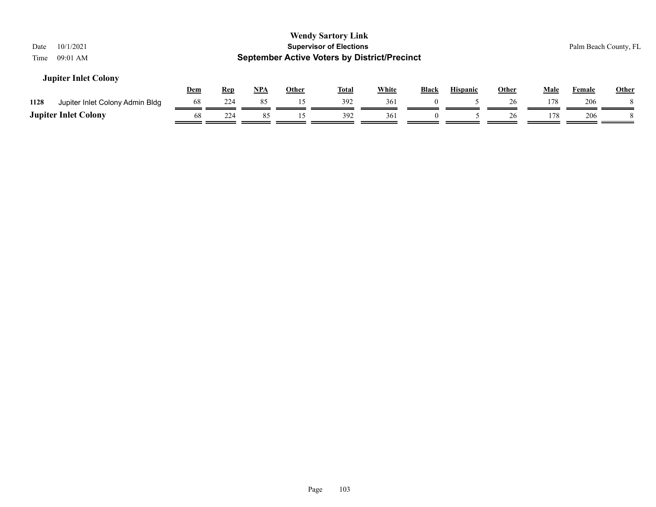| 10/1/2021<br>Date<br>$09:01$ AM<br>Time |            |            |     |              | <b>Wendy Sartory Link</b><br><b>Supervisor of Elections</b><br><b>September Active Voters by District/Precinct</b> |              |          |                 |              |      |        | Palm Beach County, FL |
|-----------------------------------------|------------|------------|-----|--------------|--------------------------------------------------------------------------------------------------------------------|--------------|----------|-----------------|--------------|------|--------|-----------------------|
| <b>Jupiter Inlet Colony</b>             | <b>Dem</b> | <b>Rep</b> | NPA | <b>Other</b> | <u>Total</u>                                                                                                       | <b>White</b> | Black    | <b>Hispanic</b> | <b>Other</b> | Male | Female | Other                 |
| 1128<br>Jupiter Inlet Colony Admin Bldg | 68         | 224        | 85  | 15           | 392                                                                                                                | 361          |          |                 | 26           | 178  | 206    |                       |
| <b>Jupiter Inlet Colony</b>             | 68         | 224        | 85  | 15           | 392                                                                                                                | 361          | $\theta$ |                 | 26           | 178  | 206    |                       |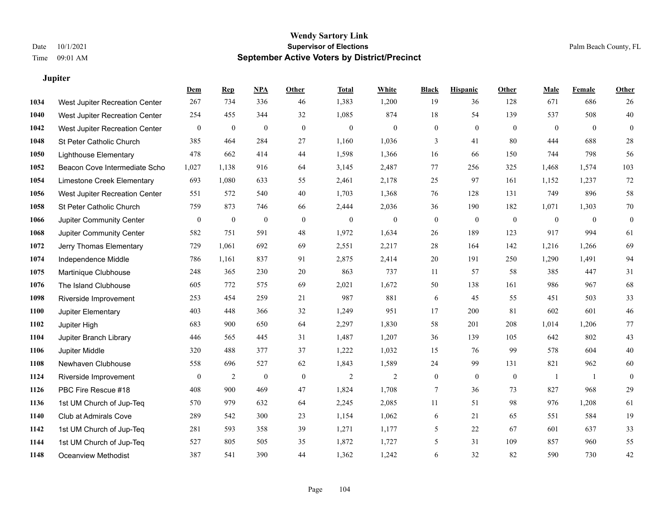#### **Jupiter**

|      |                                | Dem              | <b>Rep</b>       | NPA              | <b>Other</b> | <b>Total</b> | <b>White</b>   | <b>Black</b>     | <b>Hispanic</b>  | <b>Other</b> | <b>Male</b>    | <b>Female</b> | <b>Other</b>     |
|------|--------------------------------|------------------|------------------|------------------|--------------|--------------|----------------|------------------|------------------|--------------|----------------|---------------|------------------|
| 1034 | West Jupiter Recreation Center | 267              | 734              | 336              | 46           | 1,383        | 1,200          | 19               | 36               | 128          | 671            | 686           | 26               |
| 1040 | West Jupiter Recreation Center | 254              | 455              | 344              | 32           | 1,085        | 874            | 18               | 54               | 139          | 537            | 508           | 40               |
| 1042 | West Jupiter Recreation Center | $\mathbf{0}$     | $\mathbf{0}$     | $\mathbf{0}$     | $\mathbf{0}$ | $\mathbf{0}$ | $\mathbf{0}$   | $\mathbf{0}$     | $\mathbf{0}$     | $\theta$     | $\overline{0}$ | $\theta$      | $\mathbf{0}$     |
| 1048 | St Peter Catholic Church       | 385              | 464              | 284              | 27           | 1,160        | 1,036          | 3                | 41               | 80           | 444            | 688           | $28\,$           |
| 1050 | <b>Lighthouse Elementary</b>   | 478              | 662              | 414              | 44           | 1,598        | 1,366          | 16               | 66               | 150          | 744            | 798           | 56               |
| 1052 | Beacon Cove Intermediate Scho  | 1,027            | 1,138            | 916              | 64           | 3,145        | 2,487          | 77               | 256              | 325          | 1,468          | 1,574         | 103              |
| 1054 | Limestone Creek Elementary     | 693              | 1,080            | 633              | 55           | 2,461        | 2,178          | 25               | 97               | 161          | 1,152          | 1,237         | 72               |
| 1056 | West Jupiter Recreation Center | 551              | 572              | 540              | 40           | 1,703        | 1,368          | 76               | 128              | 131          | 749            | 896           | 58               |
| 1058 | St Peter Catholic Church       | 759              | 873              | 746              | 66           | 2,444        | 2,036          | 36               | 190              | 182          | 1,071          | 1,303         | $70\,$           |
| 1066 | Jupiter Community Center       | $\mathbf{0}$     | $\boldsymbol{0}$ | $\mathbf{0}$     | $\mathbf{0}$ | $\mathbf{0}$ | $\mathbf{0}$   | $\boldsymbol{0}$ | $\mathbf{0}$     | $\mathbf{0}$ | $\mathbf{0}$   | $\mathbf{0}$  | $\boldsymbol{0}$ |
| 1068 | Jupiter Community Center       | 582              | 751              | 591              | 48           | 1,972        | 1,634          | 26               | 189              | 123          | 917            | 994           | 61               |
| 1072 | Jerry Thomas Elementary        | 729              | 1,061            | 692              | 69           | 2,551        | 2,217          | 28               | 164              | 142          | 1,216          | 1,266         | 69               |
| 1074 | Independence Middle            | 786              | 1,161            | 837              | 91           | 2,875        | 2,414          | 20               | 191              | 250          | 1,290          | 1,491         | 94               |
| 1075 | Martinique Clubhouse           | 248              | 365              | 230              | $20\,$       | 863          | 737            | 11               | 57               | 58           | 385            | 447           | 31               |
| 1076 | The Island Clubhouse           | 605              | 772              | 575              | 69           | 2,021        | 1,672          | 50               | 138              | 161          | 986            | 967           | 68               |
| 1098 | Riverside Improvement          | 253              | 454              | 259              | 21           | 987          | 881            | 6                | 45               | 55           | 451            | 503           | 33               |
| 1100 | Jupiter Elementary             | 403              | 448              | 366              | 32           | 1,249        | 951            | 17               | 200              | 81           | 602            | 601           | $46\,$           |
| 1102 | Jupiter High                   | 683              | 900              | 650              | 64           | 2,297        | 1,830          | 58               | 201              | 208          | 1,014          | 1,206         | $77\,$           |
| 1104 | Jupiter Branch Library         | 446              | 565              | 445              | 31           | 1,487        | 1,207          | 36               | 139              | 105          | 642            | 802           | $43\,$           |
| 1106 | Jupiter Middle                 | 320              | 488              | 377              | 37           | 1,222        | 1,032          | 15               | 76               | 99           | 578            | 604           | $40\,$           |
| 1108 | Newhaven Clubhouse             | 558              | 696              | 527              | 62           | 1,843        | 1,589          | 24               | 99               | 131          | 821            | 962           | 60               |
| 1124 | Riverside Improvement          | $\boldsymbol{0}$ | $\overline{c}$   | $\boldsymbol{0}$ | $\mathbf{0}$ | $\sqrt{2}$   | $\overline{c}$ | $\boldsymbol{0}$ | $\boldsymbol{0}$ | $\mathbf{0}$ | -1             | -1            | $\boldsymbol{0}$ |
| 1126 | PBC Fire Rescue #18            | 408              | 900              | 469              | 47           | 1,824        | 1,708          | 7                | 36               | 73           | 827            | 968           | 29               |
| 1136 | 1st UM Church of Jup-Teq       | 570              | 979              | 632              | 64           | 2,245        | 2,085          | 11               | 51               | 98           | 976            | 1,208         | 61               |
| 1140 | Club at Admirals Cove          | 289              | 542              | 300              | 23           | 1,154        | 1,062          | 6                | 21               | 65           | 551            | 584           | 19               |
| 1142 | 1st UM Church of Jup-Teq       | 281              | 593              | 358              | 39           | 1,271        | 1,177          | 5                | 22               | 67           | 601            | 637           | 33               |
| 1144 | 1st UM Church of Jup-Teq       | 527              | 805              | 505              | 35           | 1,872        | 1,727          | 5                | 31               | 109          | 857            | 960           | 55               |
| 1148 | Oceanview Methodist            | 387              | 541              | 390              | 44           | 1,362        | 1,242          | 6                | 32               | 82           | 590            | 730           | 42               |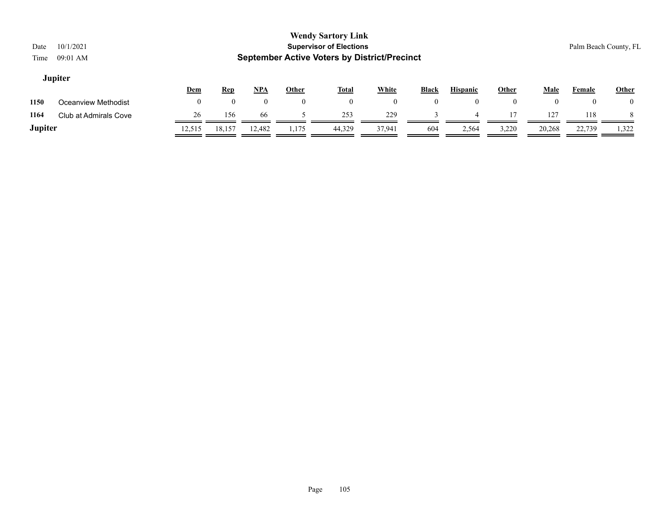| Date<br>Time   | 10/1/2021<br>09:01 AM |                  |            |            |                | <b>Wendy Sartory Link</b><br><b>Supervisor of Elections</b><br><b>September Active Voters by District/Precinct</b> |          |                |                 |                |        |        | Palm Beach County, FL |
|----------------|-----------------------|------------------|------------|------------|----------------|--------------------------------------------------------------------------------------------------------------------|----------|----------------|-----------------|----------------|--------|--------|-----------------------|
|                | <b>Jupiter</b>        | Dem              | <b>Rep</b> | <u>NPA</u> | <b>Other</b>   | <u>Total</u>                                                                                                       | White    | <b>Black</b>   | <b>Hispanic</b> | <b>Other</b>   | Male   | Female | Other                 |
| 1150           | Oceanview Methodist   | $\boldsymbol{0}$ |            | $\theta$   | $\overline{0}$ | $\mathbf{0}$                                                                                                       | $\Omega$ | $\overline{0}$ | $\Omega$        | $\overline{0}$ |        |        | $\theta$              |
| 1164           | Club at Admirals Cove | 26               | 156        | 66         |                | 253                                                                                                                | 229      |                |                 | 17             | 127    | 118    | 8                     |
| <b>Jupiter</b> |                       | 12,515           | 18,157     | 12,482     | 1,175          | 44,329                                                                                                             | 37,941   | 604            | 2,564           | 3,220          | 20,268 | 22,739 | 1,322                 |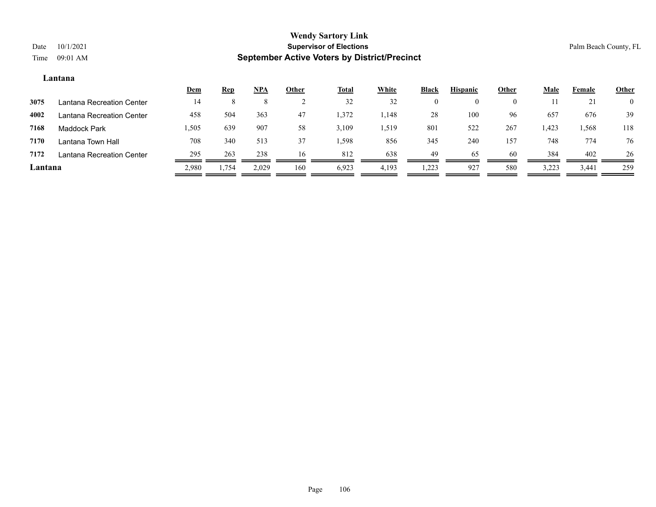#### **Lantana**

|         |                           | <u>Dem</u> | <b>Rep</b> | $NPA$ | <u>Other</u> | <u>Total</u> | White | Black    | <b>Hispanic</b> | <u>Other</u> | <u>Male</u> | Female | <b>Other</b>   |
|---------|---------------------------|------------|------------|-------|--------------|--------------|-------|----------|-----------------|--------------|-------------|--------|----------------|
| 3075    | Lantana Recreation Center | 14         |            |       |              | 32           | 32    | $\theta$ |                 |              |             | 21     | $\overline{0}$ |
| 4002    | Lantana Recreation Center | 458        | 504        | 363   | 47           | 1,372        | 1,148 | 28       | 100             | 96           | 657         | 676    | 39             |
| 7168    | Maddock Park              | .505       | 639        | 907   | 58           | 3,109        | 1,519 | 801      | 522             | 267          | 1,423       | 1,568  | 118            |
| 7170    | Lantana Town Hall         | 708        | 340        | 513   | 37           | 1,598        | 856   | 345      | 240             | 157          | 748         | 774    | 76             |
| 7172    | Lantana Recreation Center | 295        | 263        | 238   | 16           | 812          | 638   | 49       | 65              | 60           | 384         | 402    | 26             |
| Lantana |                           | 2,980      | 1,754      | 2,029 | 160          | 6,923        | 4,193 | 1,223    | 927             | 580          | 3,223       | 3,441  | 259            |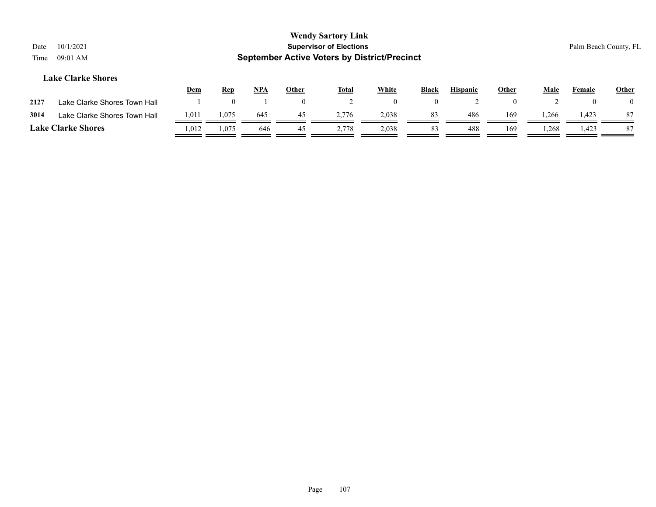| Date<br>Time | 10/1/2021<br>09:01 AM        |            |            |       |                | <b>Wendy Sartory Link</b><br><b>Supervisor of Elections</b><br><b>September Active Voters by District/Precinct</b> |              |          |                 |              |       |          | Palm Beach County, FL |
|--------------|------------------------------|------------|------------|-------|----------------|--------------------------------------------------------------------------------------------------------------------|--------------|----------|-----------------|--------------|-------|----------|-----------------------|
|              | <b>Lake Clarke Shores</b>    | <u>Dem</u> | <b>Rep</b> | $NPA$ | <b>Other</b>   | <u>Total</u>                                                                                                       | <b>White</b> | Black    | <b>Hispanic</b> | <b>Other</b> | Male  | Female   | <b>Other</b>          |
| 2127         | Lake Clarke Shores Town Hall |            |            |       | $\overline{0}$ |                                                                                                                    | $\theta$     | $\theta$ |                 | $\theta$     |       | $\theta$ |                       |
| 3014         | Lake Clarke Shores Town Hall | 1,011      | 1,075      | 645   | 45             | 2,776                                                                                                              | 2,038        | 83       | 486             | 169          | 1,266 | 1,423    | 87                    |
|              | <b>Lake Clarke Shores</b>    | 1,012      | 1.075      | 646   | 45             | 2.778                                                                                                              | 2,038        | 83       | 488             | 169          | 1,268 | 1,423    | -87                   |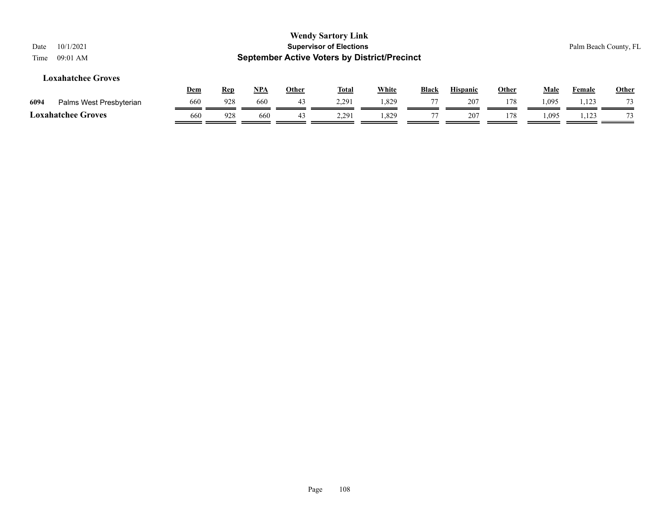| 10/1/2021<br>Date<br>$09:01$ AM<br>Time |            |            |            |              | <b>Wendy Sartory Link</b><br><b>Supervisor of Elections</b><br><b>September Active Voters by District/Precinct</b> |       |              |                 |              |             |               | Palm Beach County, FL |
|-----------------------------------------|------------|------------|------------|--------------|--------------------------------------------------------------------------------------------------------------------|-------|--------------|-----------------|--------------|-------------|---------------|-----------------------|
| <b>Loxahatchee Groves</b>               | <u>Dem</u> | <u>Rep</u> | <u>NPA</u> | <u>Other</u> | <b>Total</b>                                                                                                       | White | <b>Black</b> | <b>Hispanic</b> | <b>Other</b> | <b>Male</b> | <b>Female</b> | <b>Other</b>          |
| 6094<br>Palms West Presbyterian         | 660        | 928        | 660        | 43           | 2,291                                                                                                              | 1,829 | 77           | 207             | 178          | 1,095       | 1,123         |                       |
| <b>Loxahatchee Groves</b>               | 660        | 928        | 660        | 43           | 2,291                                                                                                              | .829  | 77           | 207             | 178          | 1,095       | 1,123         | 73                    |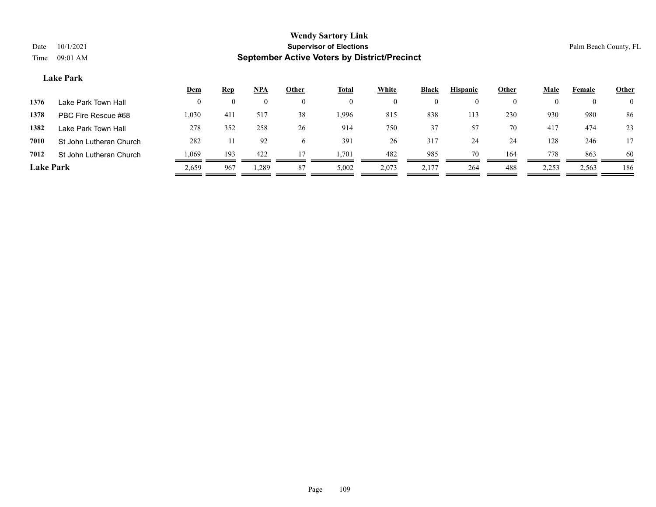#### **Lake Park**

|                  |                         | <u>Dem</u> | <b>Rep</b> | NPA      | <b>Other</b> | <b>Total</b> | White | <b>Black</b> | <b>Hispanic</b> | <b>Other</b> | <u>Male</u> | Female   | <b>Other</b>   |
|------------------|-------------------------|------------|------------|----------|--------------|--------------|-------|--------------|-----------------|--------------|-------------|----------|----------------|
| 1376             | Lake Park Town Hall     | $^{(1)}$   | $\theta$   | $\theta$ |              | $\left($     |       | $\bf{0}$     | $\theta$        |              |             | $\theta$ | $\overline{0}$ |
| 1378             | PBC Fire Rescue #68     | 1,030      | 411        | 517      | 38           | .996         | 815   | 838          | 113             | 230          | 930         | 980      | 86             |
| 1382             | Lake Park Town Hall     | 278        | 352        | 258      | 26           | 914          | 750   | 37           | 57              | 70           | 417         | 474      | 23             |
| 7010             | St John Lutheran Church | 282        |            | 92       | <sub>6</sub> | 391          | 26    | 317          | 24              | 24           | 128         | 246      | 17             |
| 7012             | St John Lutheran Church | 1,069      | 193        | 422      |              | l.701        | 482   | 985          | 70              | 164          | 778         | 863      | 60             |
| <b>Lake Park</b> |                         | 2,659      | 967        | .289     | 87           | 5,002        | 2,073 | 2,177        | 264             | 488          | 2,253       | 2,563    | 186            |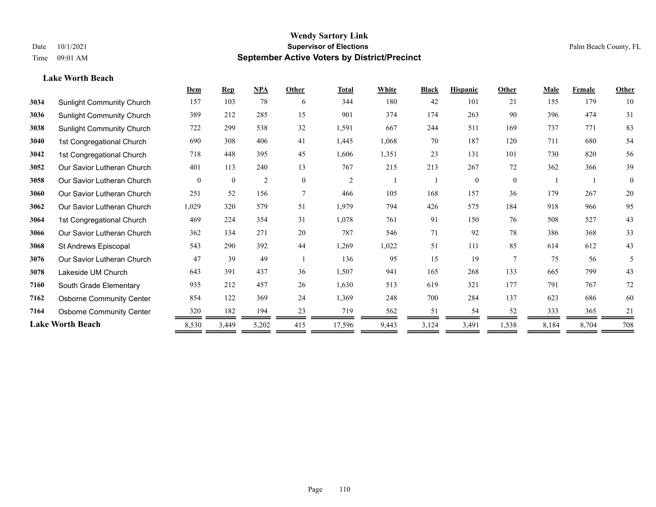**Lake Worth Beach**

#### **Wendy Sartory Link** Date 10/1/2021 **Supervisor of Elections** Palm Beach County, FL Time 09:01 AM **September Active Voters by District/Precinct**

# **Dem Rep NPA Other Total White Black Hispanic Other Male Female Other** Sunlight Community Church 157 103 78 6 344 180 42 101 21 155 179 10 Sunlight Community Church 389 212 285 15 901 374 174 263 90 396 474 31 Sunlight Community Church 722 299 538 32 1,591 667 244 511 169 737 771 83 1st Congregational Church 690 308 406 41 1,445 1,068 70 187 120 711 680 54 1st Congregational Church 718 448 395 45 1,606 1,351 23 131 101 730 820 56 Our Savior Lutheran Church 401 113 240 13 767 215 213 267 72 362 366 39 Our Savior Lutheran Church 0 0 0 2 0 0 2 1 1 0 0 0 1 1 0 Our Savior Lutheran Church 251 52 156 7 466 105 168 157 36 179 267 20 Our Savior Lutheran Church 1,029 320 579 51 1,979 794 426 575 184 918 966 95 1st Congregational Church 469 224 354 31 1,078 761 91 150 76 508 527 43 Our Savior Lutheran Church 362 134 271 20 787 546 71 92 78 386 368 33 St Andrews Episcopal 543 290 392 44 1,269 1,022 51 111 85 614 612 43 Our Savior Lutheran Church 47 39 49 1 136 95 15 19 7 75 56 5 Lakeside UM Church 643 391 437 36 1,507 941 165 268 133 665 799 43 South Grade Elementary 935 212 457 26 1,630 513 619 321 177 791 767 72 Osborne Community Center 854 122 369 24 1,369 248 700 284 137 623 686 60 **7164** Osborne Community Center  $\frac{320}{20} \frac{182}{20} \frac{194}{20} \frac{23}{20} \frac{719}{20} \frac{562}{20} \frac{51}{20} \frac{51}{20} \frac{54}{20} \frac{52}{20} \frac{333}{20} \frac{365}{20} \frac{21}{20} \frac{1}{20} \frac{56}{20} \frac{71}{20} \frac{56}{20} \frac{56}{20} \frac{71}{20} \frac{56}{20} \frac{$ **Lake Worth Beach** 8,530 3,449 5,202 415 17,596 9,443 3,124 3,491 1,538 8,184 8,704 708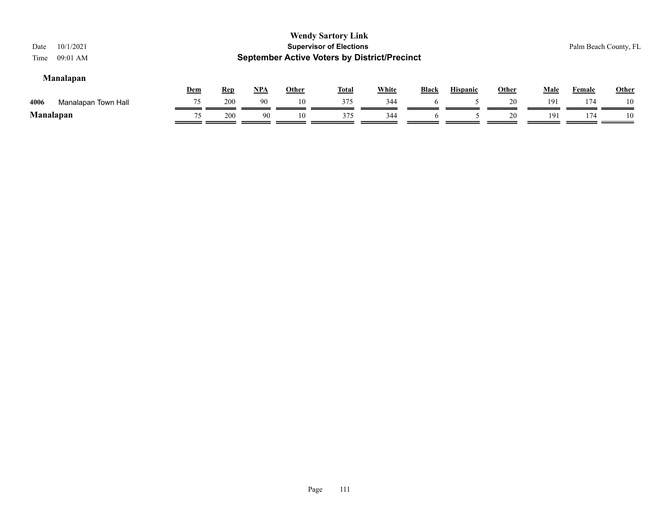| 10/1/2021<br>Date<br>$09:01$ AM<br>Time |     |            |       |       | <b>Wendy Sartory Link</b><br><b>Supervisor of Elections</b><br><b>September Active Voters by District/Precinct</b> |       |              |                 |       |      |        | Palm Beach County, FL |
|-----------------------------------------|-----|------------|-------|-------|--------------------------------------------------------------------------------------------------------------------|-------|--------------|-----------------|-------|------|--------|-----------------------|
| <b>Manalapan</b>                        | Dem | <b>Rep</b> | $NPA$ | Other | <u>Total</u>                                                                                                       | White | <b>Black</b> | <b>Hispanic</b> | Other | Male | Female | <b>Other</b>          |
| 4006<br>Manalapan Town Hall             | 75  | 200        | 90    | 10    | 375                                                                                                                | 344   | h            |                 | 20    | 191  | 174    | 10                    |
| <b>Manalapan</b>                        | 75  | 200        | 90    | 10    | 375                                                                                                                | 344   |              |                 | 20    | 191  | 174    | 10                    |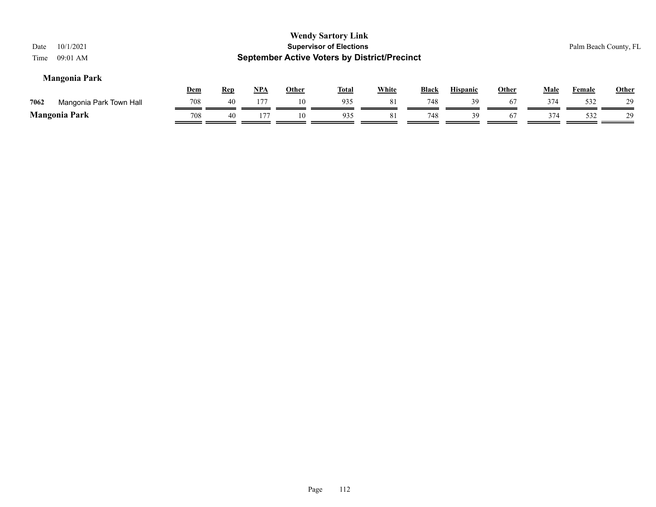| 10/1/2021<br>Date<br>$09:01$ AM<br>Time |            |            |            |              | <b>Wendy Sartory Link</b><br><b>Supervisor of Elections</b><br><b>September Active Voters by District/Precinct</b> |              |              |                 |              |             | Palm Beach County, FL |              |
|-----------------------------------------|------------|------------|------------|--------------|--------------------------------------------------------------------------------------------------------------------|--------------|--------------|-----------------|--------------|-------------|-----------------------|--------------|
| <b>Mangonia Park</b>                    | <u>Dem</u> | <b>Rep</b> | <u>NPA</u> | <b>Other</b> | <u>Total</u>                                                                                                       | <b>White</b> | <b>Black</b> | <b>Hispanic</b> | <b>Other</b> | <b>Male</b> | <b>Female</b>         | <b>Other</b> |
| 7062<br>Mangonia Park Town Hall         | 708        | 40         | 177        | 10           | 935                                                                                                                | -81          | 748          | 39              | 67           | 374         | 532                   | 29           |
| <b>Mangonia Park</b>                    | 708        | 40         | 177        | 10           | 935                                                                                                                | 81           | 748          | 39              | 67           | 374         | 532                   | 29           |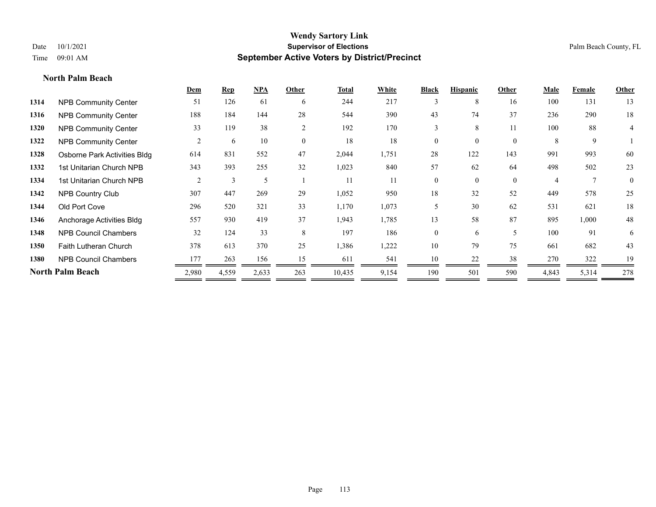**North Palm Beach**

# **Wendy Sartory Link** Date  $10/1/2021$  Palm Beach County, FL Time 09:01 AM **September Active Voters by District/Precinct**

|      |                              | Dem            | Rep   | NPA   | Other          | <b>Total</b> | White | <b>Black</b> | <b>Hispanic</b> | Other          | <b>Male</b>    | Female         | Other          |
|------|------------------------------|----------------|-------|-------|----------------|--------------|-------|--------------|-----------------|----------------|----------------|----------------|----------------|
| 1314 | <b>NPB Community Center</b>  | 51             | 126   | 61    | 6              | 244          | 217   | 3            | 8               | 16             | 100            | 131            | 13             |
| 1316 | <b>NPB Community Center</b>  | 188            | 184   | 144   | 28             | 544          | 390   | 43           | 74              | 37             | 236            | 290            | 18             |
| 1320 | <b>NPB Community Center</b>  | 33             | 119   | 38    | $\overline{2}$ | 192          | 170   | 3            | 8               | 11             | 100            | 88             | $\overline{4}$ |
| 1322 | <b>NPB Community Center</b>  | $\overline{2}$ | 6     | 10    | $\mathbf{0}$   | 18           | 18    | $\theta$     | $\overline{0}$  | $\overline{0}$ | 8              | 9              |                |
| 1328 | Osborne Park Activities Bldg | 614            | 831   | 552   | 47             | 2,044        | 1,751 | 28           | 122             | 143            | 991            | 993            | 60             |
| 1332 | 1st Unitarian Church NPB     | 343            | 393   | 255   | 32             | 1,023        | 840   | 57           | 62              | 64             | 498            | 502            | 23             |
| 1334 | 1st Unitarian Church NPB     | $\overline{2}$ | 3     |       |                | 11           | 11    | $\theta$     | $\theta$        | $\mathbf{0}$   | $\overline{4}$ | $\overline{7}$ | $\overline{0}$ |
| 1342 | <b>NPB Country Club</b>      | 307            | 447   | 269   | 29             | 1,052        | 950   | 18           | 32              | 52             | 449            | 578            | 25             |
| 1344 | Old Port Cove                | 296            | 520   | 321   | 33             | 1,170        | 1,073 | 5            | 30              | 62             | 531            | 621            | 18             |
| 1346 | Anchorage Activities Bldg    | 557            | 930   | 419   | 37             | 1,943        | 1,785 | 13           | 58              | 87             | 895            | 1,000          | 48             |
| 1348 | <b>NPB Council Chambers</b>  | 32             | 124   | 33    | 8              | 197          | 186   | $\theta$     | 6               | 5              | 100            | 91             | 6              |
| 1350 | <b>Faith Lutheran Church</b> | 378            | 613   | 370   | 25             | 1,386        | 1,222 | 10           | 79              | 75             | 661            | 682            | 43             |
| 1380 | <b>NPB Council Chambers</b>  | 177            | 263   | 156   | 15             | 611          | 541   | 10           | 22              | 38             | 270            | 322            | 19             |
|      | North Palm Beach             | 2,980          | 4,559 | 2,633 | 263            | 10,435       | 9,154 | 190          | 501             | 590            | 4,843          | 5,314          | 278            |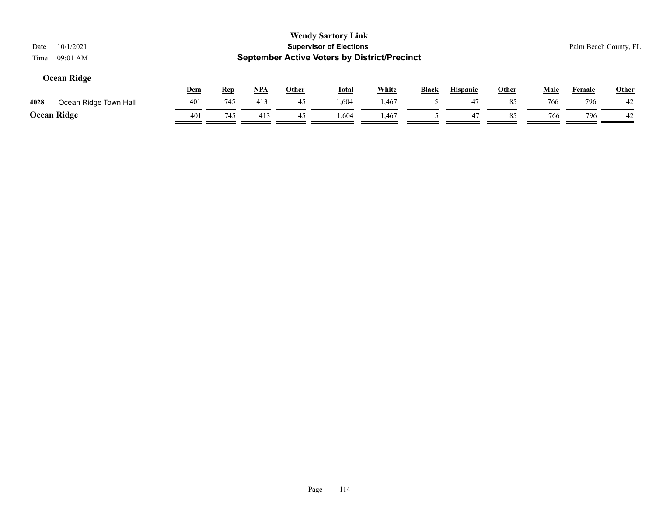| <b>Wendy Sartory Link</b><br><b>Supervisor of Elections</b><br>10/1/2021<br>Palm Beach County, FL<br>Date<br><b>September Active Voters by District/Precinct</b><br>$09:01$ AM<br>Time<br><b>Ocean Ridge</b> |            |            |            |              |              |              |              |                 |              |             |               |              |
|--------------------------------------------------------------------------------------------------------------------------------------------------------------------------------------------------------------|------------|------------|------------|--------------|--------------|--------------|--------------|-----------------|--------------|-------------|---------------|--------------|
|                                                                                                                                                                                                              | <u>Dem</u> | <b>Rep</b> | <u>NPA</u> | <u>Other</u> | <u>Total</u> | <b>White</b> | <b>Black</b> | <b>Hispanic</b> | <b>Other</b> | <b>Male</b> | <b>Female</b> | <b>Other</b> |
| 4028<br>Ocean Ridge Town Hall                                                                                                                                                                                | 401        | 745        | 413        | 45           | 1,604        | 1,467        |              | 47              | 85           | 766         | 796           | -42          |
| <b>Ocean Ridge</b>                                                                                                                                                                                           | 401        | 745        | 413        | 45           | 1,604        | 1,467        |              | 47              | 85           | 766         | 796           | 42           |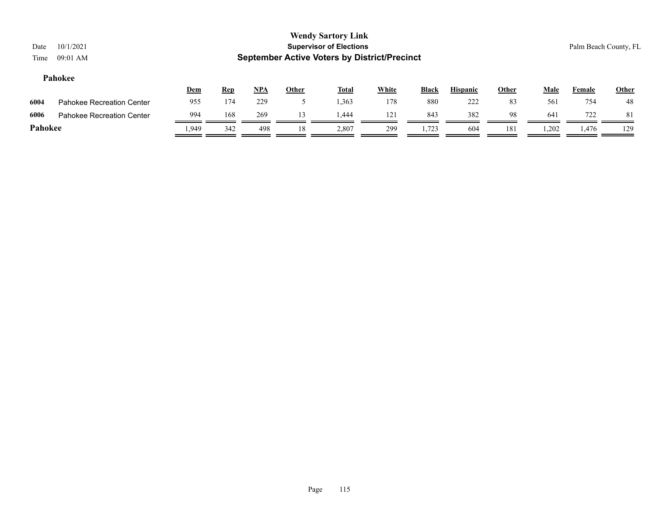| Date<br>Time | 10/1/2021<br>09:01 AM            |       |            |            |              | <b>Wendy Sartory Link</b><br><b>Supervisor of Elections</b><br><b>September Active Voters by District/Precinct</b> |              |              |                 |              |             | Palm Beach County, FL |       |
|--------------|----------------------------------|-------|------------|------------|--------------|--------------------------------------------------------------------------------------------------------------------|--------------|--------------|-----------------|--------------|-------------|-----------------------|-------|
|              | Pahokee                          | Dem   | <b>Rep</b> | <u>NPA</u> | <b>Other</b> | <b>Total</b>                                                                                                       | <b>White</b> | <b>Black</b> | <b>Hispanic</b> | <b>Other</b> | <b>Male</b> | Female                | Other |
| 6004         | <b>Pahokee Recreation Center</b> | 955   | 174        | 229        |              | 1,363                                                                                                              | 178          | 880          | 222             | 83           | 561         | 754                   | 48    |
| 6006         | Pahokee Recreation Center        | 994   | 168        | 269        | 13           | 444. ،                                                                                                             | 121          | 843          | 382             | 98           | 641         | 722                   | -81   |
| Pahokee      |                                  | 1,949 | 342        | 498        | 18           | 2,807                                                                                                              | 299          | 1,723        | 604             | 181          | 1,202       | 1,476                 | 129   |
|              |                                  |       |            |            |              |                                                                                                                    |              |              |                 |              |             |                       |       |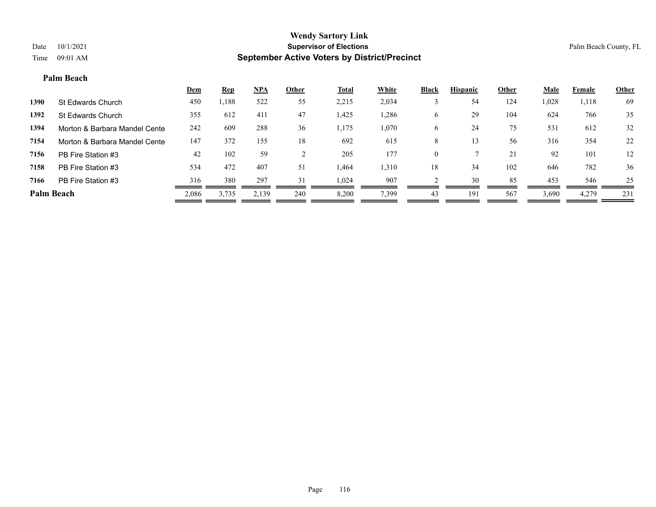#### **Palm Beach**

|                   |                               | <b>Dem</b> | <b>Rep</b> | NPA   | Other | <b>Total</b> | White | <b>Black</b> | <b>Hispanic</b> | Other | <b>Male</b> | Female | <b>Other</b> |
|-------------------|-------------------------------|------------|------------|-------|-------|--------------|-------|--------------|-----------------|-------|-------------|--------|--------------|
| 1390              | St Edwards Church             | 450        | ,188       | 522   | 55    | 2,215        | 2,034 |              | 54              | 124   | 1,028       | 1,118  | 69           |
| 1392              | St Edwards Church             | 355        | 612        | 411   | 47    | 1,425        | 1,286 | O            | 29              | 104   | 624         | 766    | 35           |
| 1394              | Morton & Barbara Mandel Cente | 242        | 609        | 288   | 36    | 1,175        | 1,070 | O            | 24              | 75    | 531         | 612    | 32           |
| 7154              | Morton & Barbara Mandel Cente | 147        | 372        | 155   | 18    | 692          | 615   | 8            |                 | 56    | 316         | 354    | 22           |
| 7156              | PB Fire Station #3            | 42         | 102        | 59    |       | 205          | 177   | $\theta$     |                 | 21    | 92          | 101    | 12           |
| 7158              | PB Fire Station #3            | 534        | 472        | 407   | 51    | 1,464        | 1,310 | 18           | 34              | 102   | 646         | 782    | 36           |
| 7166              | PB Fire Station #3            | 316        | 380        | 297   | 31    | 1.024        | 907   |              | 30              | 85    | 453         | 546    | 25           |
| <b>Palm Beach</b> |                               | 2,086      | 3,735      | 2,139 | 240   | 8,200        | 7,399 | 43           | 191             | 567   | 3,690       | 4,279  | 231          |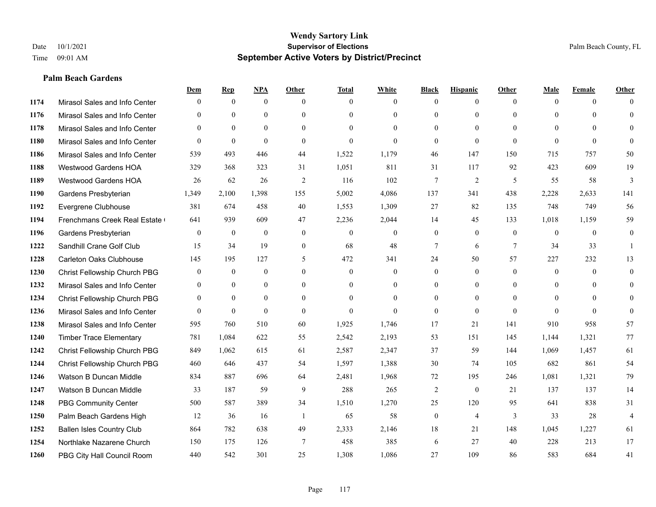#### **Palm Beach Gardens**

|      |                                  | Dem              | <b>Rep</b>       | NPA              | <b>Other</b>   | <b>Total</b>     | <b>White</b>     | <b>Black</b>     | <b>Hispanic</b> | <b>Other</b>   | <b>Male</b>    | <b>Female</b> | <b>Other</b>   |
|------|----------------------------------|------------------|------------------|------------------|----------------|------------------|------------------|------------------|-----------------|----------------|----------------|---------------|----------------|
| 1174 | Mirasol Sales and Info Center    | $\mathbf{0}$     | $\mathbf{0}$     | $\mathbf{0}$     | $\theta$       | $\theta$         | $\overline{0}$   | $\theta$         | $\mathbf{0}$    | $\theta$       | $\theta$       | $\theta$      | $\Omega$       |
| 1176 | Mirasol Sales and Info Center    | $\theta$         | $\theta$         | $\mathbf{0}$     | $\Omega$       | $\Omega$         | $\overline{0}$   | $\theta$         | $\theta$        | $\Omega$       | $\theta$       | $\Omega$      | $\theta$       |
| 1178 | Mirasol Sales and Info Center    | $\Omega$         | $\theta$         | $\theta$         | $\Omega$       | $\Omega$         | $\Omega$         | $\Omega$         | $\Omega$        | $\Omega$       | $\Omega$       | $\Omega$      | $\Omega$       |
| 1180 | Mirasol Sales and Info Center    | $\overline{0}$   | $\mathbf{0}$     | $\mathbf{0}$     | $\overline{0}$ | $\mathbf{0}$     | $\overline{0}$   | $\mathbf{0}$     | $\theta$        | $\theta$       | $\theta$       | $\theta$      | $\theta$       |
| 1186 | Mirasol Sales and Info Center    | 539              | 493              | 446              | 44             | 1,522            | 1,179            | 46               | 147             | 150            | 715            | 757           | 50             |
| 1188 | <b>Westwood Gardens HOA</b>      | 329              | 368              | 323              | 31             | 1,051            | 811              | 31               | 117             | 92             | 423            | 609           | 19             |
| 1189 | Westwood Gardens HOA             | 26               | 62               | 26               | $\overline{2}$ | 116              | 102              | 7                | $\overline{2}$  | 5              | 55             | 58            | 3              |
| 1190 | Gardens Presbyterian             | 1,349            | 2,100            | 1,398            | 155            | 5,002            | 4,086            | 137              | 341             | 438            | 2,228          | 2,633         | 141            |
| 1192 | Evergrene Clubhouse              | 381              | 674              | 458              | 40             | 1,553            | 1,309            | 27               | 82              | 135            | 748            | 749           | 56             |
| 1194 | Frenchmans Creek Real Estate     | 641              | 939              | 609              | 47             | 2,236            | 2,044            | 14               | 45              | 133            | 1,018          | 1,159         | 59             |
| 1196 | Gardens Presbyterian             | $\overline{0}$   | $\mathbf{0}$     | $\mathbf{0}$     | $\overline{0}$ | $\theta$         | $\boldsymbol{0}$ | $\mathbf{0}$     | $\mathbf{0}$    | $\theta$       | $\overline{0}$ | $\theta$      | $\overline{0}$ |
| 1222 | Sandhill Crane Golf Club         | 15               | 34               | 19               | $\overline{0}$ | 68               | 48               | 7                | 6               | $\tau$         | 34             | 33            | $\mathbf{1}$   |
| 1228 | <b>Carleton Oaks Clubhouse</b>   | 145              | 195              | 127              | 5              | 472              | 341              | 24               | 50              | 57             | 227            | 232           | 13             |
| 1230 | Christ Fellowship Church PBG     | $\boldsymbol{0}$ | $\boldsymbol{0}$ | $\boldsymbol{0}$ | $\overline{0}$ | $\boldsymbol{0}$ | $\boldsymbol{0}$ | $\boldsymbol{0}$ | $\mathbf{0}$    | $\overline{0}$ | $\mathbf{0}$   | $\mathbf{0}$  | $\overline{0}$ |
| 1232 | Mirasol Sales and Info Center    | $\overline{0}$   | $\mathbf{0}$     | $\mathbf{0}$     | $\theta$       | $\theta$         | $\overline{0}$   | $\mathbf{0}$     | $\mathbf{0}$    | $\theta$       | $\overline{0}$ | $\theta$      | $\mathbf{0}$   |
| 1234 | Christ Fellowship Church PBG     | $\theta$         | $\theta$         | $\theta$         | $\theta$       | $\Omega$         | $\Omega$         | $\Omega$         | $\theta$        | $\Omega$       | $\theta$       | $\Omega$      | $\theta$       |
| 1236 | Mirasol Sales and Info Center    | $\Omega$         | $\mathbf{0}$     | $\theta$         | $\theta$       | $\theta$         | $\Omega$         | $\mathbf{0}$     | $\theta$        | $\theta$       | $\Omega$       | $\Omega$      | $\theta$       |
| 1238 | Mirasol Sales and Info Center    | 595              | 760              | 510              | 60             | 1,925            | 1,746            | 17               | 21              | 141            | 910            | 958           | 57             |
| 1240 | <b>Timber Trace Elementary</b>   | 781              | 1,084            | 622              | 55             | 2,542            | 2,193            | 53               | 151             | 145            | 1,144          | 1,321         | 77             |
| 1242 | Christ Fellowship Church PBG     | 849              | 1.062            | 615              | 61             | 2,587            | 2,347            | 37               | 59              | 144            | 1.069          | 1,457         | 61             |
| 1244 | Christ Fellowship Church PBG     | 460              | 646              | 437              | 54             | 1,597            | 1,388            | 30               | 74              | 105            | 682            | 861           | 54             |
| 1246 | Watson B Duncan Middle           | 834              | 887              | 696              | 64             | 2,481            | 1,968            | 72               | 195             | 246            | 1,081          | 1,321         | 79             |
| 1247 | Watson B Duncan Middle           | 33               | 187              | 59               | 9              | 288              | 265              | $\overline{c}$   | $\theta$        | 21             | 137            | 137           | 14             |
| 1248 | <b>PBG Community Center</b>      | 500              | 587              | 389              | 34             | 1,510            | 1,270            | 25               | 120             | 95             | 641            | 838           | 31             |
| 1250 | Palm Beach Gardens High          | 12               | 36               | 16               | -1             | 65               | 58               | $\boldsymbol{0}$ | $\overline{4}$  | 3              | 33             | 28            | $\overline{4}$ |
| 1252 | <b>Ballen Isles Country Club</b> | 864              | 782              | 638              | 49             | 2,333            | 2,146            | 18               | 21              | 148            | 1,045          | 1,227         | 61             |
| 1254 | Northlake Nazarene Church        | 150              | 175              | 126              | 7              | 458              | 385              | 6                | 27              | 40             | 228            | 213           | 17             |
| 1260 | PBG City Hall Council Room       | 440              | 542              | 301              | 25             | 1,308            | 1,086            | 27               | 109             | 86             | 583            | 684           | 41             |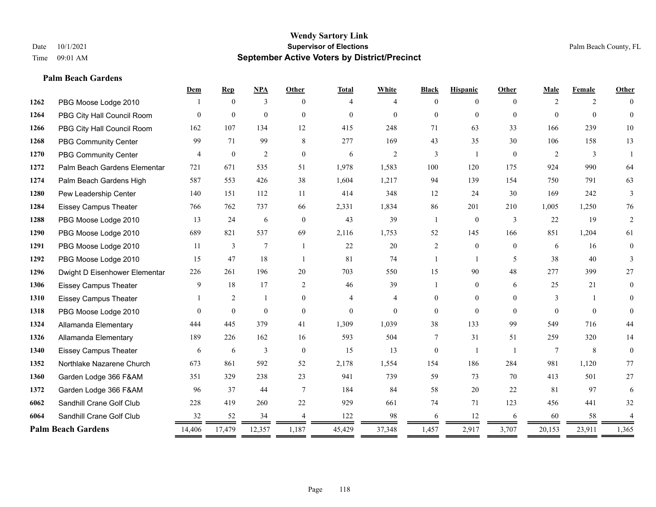# **Palm Beach Gardens**

|      |                               | Dem      | <b>Rep</b>       | NPA            | <b>Other</b>   | <b>Total</b>   | White          | <b>Black</b>   | <b>Hispanic</b> | Other          | Male           | Female   | <b>Other</b>   |
|------|-------------------------------|----------|------------------|----------------|----------------|----------------|----------------|----------------|-----------------|----------------|----------------|----------|----------------|
| 1262 | PBG Moose Lodge 2010          |          | $\theta$         | 3              | $\theta$       | 4              | 4              | $\Omega$       | $\theta$        | $\theta$       | $\overline{2}$ | 2        |                |
| 1264 | PBG City Hall Council Room    | $\Omega$ | $\mathbf{0}$     | $\mathbf{0}$   | $\Omega$       | $\Omega$       | $\theta$       | $\theta$       | $\overline{0}$  | $\Omega$       | $\Omega$       | $\theta$ | $\theta$       |
| 1266 | PBG City Hall Council Room    | 162      | 107              | 134            | 12             | 415            | 248            | 71             | 63              | 33             | 166            | 239      | $10\,$         |
| 1268 | <b>PBG Community Center</b>   | 99       | 71               | 99             | 8              | 277            | 169            | 43             | 35              | 30             | 106            | 158      | 13             |
| 1270 | PBG Community Center          | 4        | $\boldsymbol{0}$ | 2              | $\theta$       | 6              | 2              | 3              | $\mathbf{1}$    | $\theta$       | 2              | 3        |                |
| 1272 | Palm Beach Gardens Elementar  | 721      | 671              | 535            | 51             | 1,978          | 1,583          | 100            | 120             | 175            | 924            | 990      | 64             |
| 1274 | Palm Beach Gardens High       | 587      | 553              | 426            | 38             | 1,604          | 1,217          | 94             | 139             | 154            | 750            | 791      | 63             |
| 1280 | Pew Leadership Center         | 140      | 151              | 112            | 11             | 414            | 348            | 12             | 24              | 30             | 169            | 242      | 3              |
| 1284 | <b>Eissey Campus Theater</b>  | 766      | 762              | 737            | 66             | 2,331          | 1,834          | 86             | 201             | 210            | 1,005          | 1,250    | 76             |
| 1288 | PBG Moose Lodge 2010          | 13       | 24               | 6              | $\theta$       | 43             | 39             | $\mathbf{1}$   | $\overline{0}$  | 3              | 22             | 19       | $\overline{2}$ |
| 1290 | PBG Moose Lodge 2010          | 689      | 821              | 537            | 69             | 2,116          | 1,753          | 52             | 145             | 166            | 851            | 1,204    | 61             |
| 1291 | PBG Moose Lodge 2010          | 11       | 3                | $\overline{7}$ |                | 22             | 20             | $\overline{2}$ | $\overline{0}$  | $\theta$       | 6              | 16       | $\overline{0}$ |
| 1292 | PBG Moose Lodge 2010          | 15       | 47               | 18             | $\overline{1}$ | 81             | 74             | 1              | 1               | 5              | 38             | 40       | 3              |
| 1296 | Dwight D Eisenhower Elementar | 226      | 261              | 196            | 20             | 703            | 550            | 15             | 90              | 48             | 277            | 399      | 27             |
| 1306 | <b>Eissey Campus Theater</b>  | 9        | 18               | 17             | 2              | 46             | 39             | 1              | $\overline{0}$  | 6              | 25             | 21       | $\overline{0}$ |
| 1310 | <b>Eissey Campus Theater</b>  |          | $\overline{2}$   | 1              | $\mathbf{0}$   | $\overline{4}$ | $\overline{4}$ | $\mathbf{0}$   | $\overline{0}$  | $\theta$       | 3              | 1        | $\Omega$       |
| 1318 | PBG Moose Lodge 2010          | $\Omega$ | $\mathbf{0}$     | $\theta$       | $\theta$       | $\Omega$       | $\theta$       | $\Omega$       | $\Omega$        | $\Omega$       | $\Omega$       | $\Omega$ | $\Omega$       |
| 1324 | Allamanda Elementary          | 444      | 445              | 379            | 41             | 1,309          | 1,039          | 38             | 133             | 99             | 549            | 716      | 44             |
| 1326 | Allamanda Elementary          | 189      | 226              | 162            | 16             | 593            | 504            | 7              | 31              | 51             | 259            | 320      | 14             |
| 1340 | <b>Eissey Campus Theater</b>  | 6        | 6                | 3              | $\theta$       | 15             | 13             | $\overline{0}$ | -1              | $\overline{1}$ | 7              | 8        | $\overline{0}$ |
| 1352 | Northlake Nazarene Church     | 673      | 861              | 592            | 52             | 2,178          | 1,554          | 154            | 186             | 284            | 981            | 1,120    | 77             |
| 1360 | Garden Lodge 366 F&AM         | 351      | 329              | 238            | 23             | 941            | 739            | 59             | 73              | 70             | 413            | 501      | $27\,$         |
| 1372 | Garden Lodge 366 F&AM         | 96       | 37               | 44             | $\tau$         | 184            | 84             | 58             | 20              | 22             | 81             | 97       | 6              |
| 6062 | Sandhill Crane Golf Club      | 228      | 419              | 260            | 22             | 929            | 661            | 74             | 71              | 123            | 456            | 441      | 32             |
| 6064 | Sandhill Crane Golf Club      | 32       | 52               | 34             | $\overline{4}$ | 122            | 98             | 6              | 12              | 6              | 60             | 58       | 4              |
|      | <b>Palm Beach Gardens</b>     | 14,406   | 17,479           | 12,357         | 1,187          | 45,429         | 37,348         | 1,457          | 2,917           | 3,707          | 20,153         | 23,911   | 1,365          |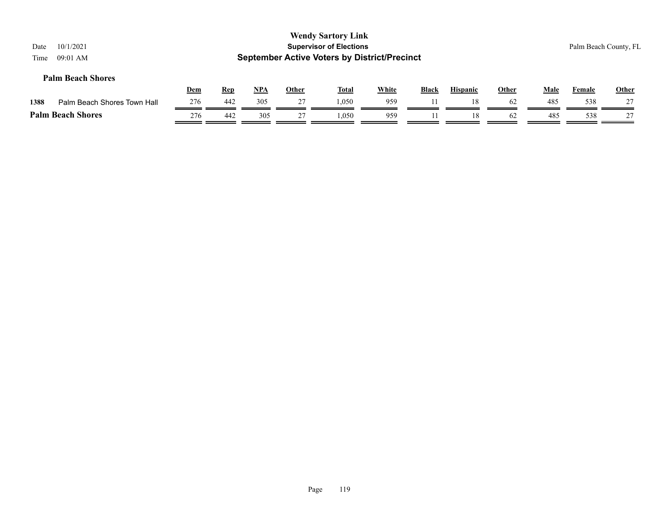| 10/1/2021<br>Date<br>$09:01$ AM<br>Time |            |            |            |              | <b>Wendy Sartory Link</b><br><b>Supervisor of Elections</b><br><b>September Active Voters by District/Precinct</b> |              |              |                 |              |      | Palm Beach County, FL |       |
|-----------------------------------------|------------|------------|------------|--------------|--------------------------------------------------------------------------------------------------------------------|--------------|--------------|-----------------|--------------|------|-----------------------|-------|
| <b>Palm Beach Shores</b>                | <b>Dem</b> | <u>Rep</u> | <u>NPA</u> | <u>Other</u> | <b>Total</b>                                                                                                       | <b>White</b> | <b>Black</b> | <b>Hispanic</b> | <b>Other</b> | Male | Female                | Other |
| 1388<br>Palm Beach Shores Town Hall     | 276        | 442        | 305        | 27           | 1.050                                                                                                              | 959          |              | 18              | 62           | 485  | 538                   | 27    |
| <b>Palm Beach Shores</b>                | 276        | 442        | 305        |              | 1.050                                                                                                              | 959          |              | 18              | 62           | 485  | 538                   | 27    |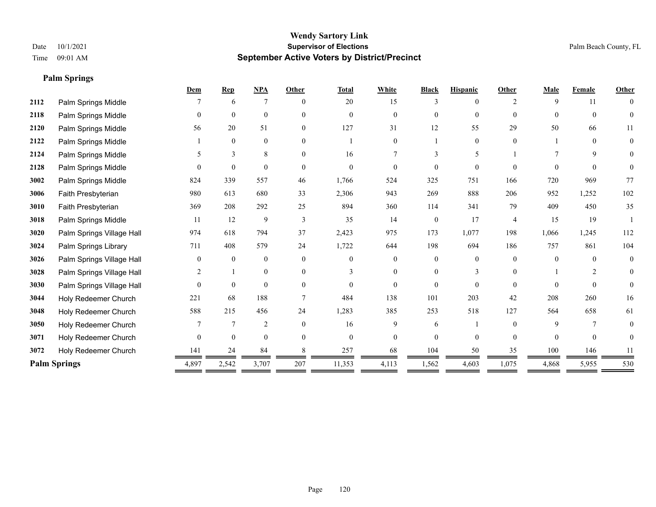**Palm Springs**

# **Wendy Sartory Link** Date 10/1/2021 **Supervisor of Elections** Palm Beach County, FL Time 09:01 AM **September Active Voters by District/Precinct**

|      |                           | Dem          | <b>Rep</b>   | NPA              | Other    | <b>Total</b> | White          | <b>Black</b> | <b>Hispanic</b> | Other          | Male     | Female   | <b>Other</b>   |
|------|---------------------------|--------------|--------------|------------------|----------|--------------|----------------|--------------|-----------------|----------------|----------|----------|----------------|
| 2112 | Palm Springs Middle       |              | 6            | 7                | $\Omega$ | 20           | 15             | 3            | 0               | $\mathfrak{D}$ | 9        | 11       | $\theta$       |
| 2118 | Palm Springs Middle       | $\theta$     | $\mathbf{0}$ | $\mathbf{0}$     | $\Omega$ | $\theta$     | $\overline{0}$ | $\theta$     | $\mathbf{0}$    | $\theta$       | $\Omega$ | $\theta$ | $\theta$       |
| 2120 | Palm Springs Middle       | 56           | 20           | 51               | $\theta$ | 127          | 31             | 12           | 55              | 29             | 50       | 66       | 11             |
| 2122 | Palm Springs Middle       |              | $\mathbf{0}$ | $\boldsymbol{0}$ | $\Omega$ |              | $\overline{0}$ |              | $\mathbf{0}$    | $\Omega$       |          | $\theta$ | $\mathbf{0}$   |
| 2124 | Palm Springs Middle       |              | 3            | $\,8\,$          | $\Omega$ | 16           |                |              | 5               |                |          | 9        | 0              |
| 2128 | Palm Springs Middle       |              | $\theta$     | $\theta$         | $\Omega$ | $\Omega$     | $\Omega$       | $\Omega$     | $\theta$        | $\Omega$       | $\Omega$ | $\Omega$ | $\overline{0}$ |
| 3002 | Palm Springs Middle       | 824          | 339          | 557              | 46       | 1,766        | 524            | 325          | 751             | 166            | 720      | 969      | 77             |
| 3006 | Faith Presbyterian        | 980          | 613          | 680              | 33       | 2,306        | 943            | 269          | 888             | 206            | 952      | 1,252    | 102            |
| 3010 | Faith Presbyterian        | 369          | 208          | 292              | 25       | 894          | 360            | 114          | 341             | 79             | 409      | 450      | 35             |
| 3018 | Palm Springs Middle       | 11           | 12           | 9                | 3        | 35           | 14             | $\mathbf{0}$ | 17              | $\overline{4}$ | 15       | 19       |                |
| 3020 | Palm Springs Village Hall | 974          | 618          | 794              | 37       | 2,423        | 975            | 173          | 1,077           | 198            | 1,066    | 1,245    | 112            |
| 3024 | Palm Springs Library      | 711          | 408          | 579              | 24       | 1,722        | 644            | 198          | 694             | 186            | 757      | 861      | 104            |
| 3026 | Palm Springs Village Hall | $\Omega$     | $\theta$     | $\mathbf{0}$     | $\Omega$ | $\Omega$     | $\theta$       | $\theta$     | $\Omega$        | $\Omega$       | $\Omega$ | $\theta$ | $\mathbf{0}$   |
| 3028 | Palm Springs Village Hall | 2            |              | $\mathbf{0}$     | $\theta$ | $\mathbf{3}$ | $\overline{0}$ | $\mathbf{0}$ | 3               | $\Omega$       |          | 2        | $\mathbf{0}$   |
| 3030 | Palm Springs Village Hall | $\theta$     | $\mathbf{0}$ | $\mathbf{0}$     | $\theta$ | $\theta$     | $\overline{0}$ | $\mathbf{0}$ | $\theta$        | $\Omega$       | $\theta$ | $\theta$ | $\overline{0}$ |
| 3044 | Holy Redeemer Church      | 221          | 68           | 188              |          | 484          | 138            | 101          | 203             | 42             | 208      | 260      | 16             |
| 3048 | Holy Redeemer Church      | 588          | 215          | 456              | 24       | 1,283        | 385            | 253          | 518             | 127            | 564      | 658      | 61             |
| 3050 | Holy Redeemer Church      |              | 7            | $\overline{2}$   | $\Omega$ | 16           | 9              | 6            |                 | $\Omega$       | 9        | 7        | $\overline{0}$ |
| 3071 | Holy Redeemer Church      | $\mathbf{0}$ | $\mathbf{0}$ | $\mathbf{0}$     | $\theta$ | $\mathbf{0}$ | $\overline{0}$ | $\mathbf{0}$ | $\mathbf{0}$    | $\Omega$       | $\theta$ | $\theta$ | $\overline{0}$ |
| 3072 | Holy Redeemer Church      | 141          | 24           | 84               |          | 257          | 68             | 104          | 50              | 35             | 100      | 146      | 11             |
|      | <b>Palm Springs</b>       | 4,897        | 2,542        | 3,707            | 207      | 11,353       | 4,113          | 1,562        | 4,603           | 1,075          | 4,868    | 5,955    | 530            |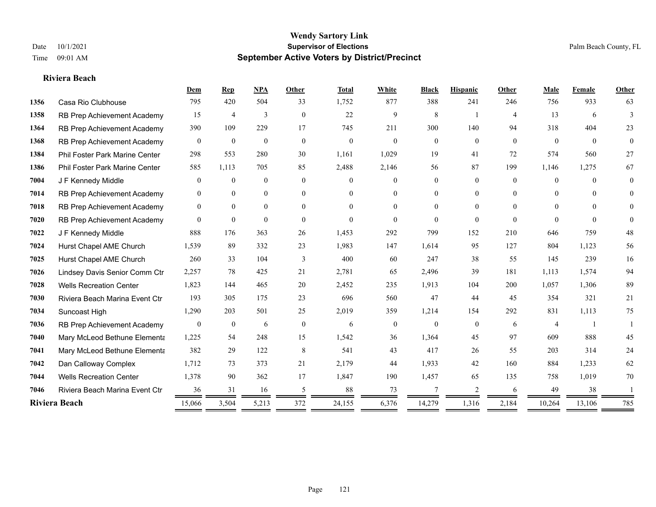#### **Riviera Beach**

|      |                                       | Dem            | $\mathbf{Rep}$   | <b>NPA</b>   | Other          | <b>Total</b> | White            | <b>Black</b>   | <b>Hispanic</b> | Other          | Male           | Female         | <b>Other</b>   |
|------|---------------------------------------|----------------|------------------|--------------|----------------|--------------|------------------|----------------|-----------------|----------------|----------------|----------------|----------------|
| 1356 | Casa Rio Clubhouse                    | 795            | 420              | 504          | 33             | 1,752        | 877              | 388            | 241             | 246            | 756            | 933            | 63             |
| 1358 | RB Prep Achievement Academy           | 15             | 4                | 3            | $\overline{0}$ | 22           | 9                | 8              |                 | $\overline{4}$ | 13             | 6              | 3              |
| 1364 | RB Prep Achievement Academy           | 390            | 109              | 229          | 17             | 745          | 211              | 300            | 140             | 94             | 318            | 404            | 23             |
| 1368 | RB Prep Achievement Academy           | $\overline{0}$ | $\mathbf{0}$     | $\theta$     | $\overline{0}$ | $\mathbf{0}$ | $\mathbf{0}$     | $\overline{0}$ | $\overline{0}$  | $\overline{0}$ | $\mathbf{0}$   | $\overline{0}$ | $\overline{0}$ |
| 1384 | <b>Phil Foster Park Marine Center</b> | 298            | 553              | 280          | 30             | 1,161        | 1,029            | 19             | 41              | 72             | 574            | 560            | 27             |
| 1386 | Phil Foster Park Marine Center        | 585            | 1,113            | 705          | 85             | 2,488        | 2,146            | 56             | 87              | 199            | 1,146          | 1,275          | 67             |
| 7004 | J F Kennedy Middle                    | $\overline{0}$ | $\mathbf{0}$     | $\mathbf{0}$ | $\mathbf{0}$   | $\Omega$     | $\overline{0}$   | $\overline{0}$ | $\overline{0}$  | $\theta$       | $\overline{0}$ | $\Omega$       | $\overline{0}$ |
| 7014 | RB Prep Achievement Academy           | $\theta$       | $\mathbf{0}$     | $\mathbf{0}$ | $\theta$       | $\Omega$     | $\overline{0}$   | $\theta$       | $\overline{0}$  | $\Omega$       | $\theta$       | $\Omega$       | $\theta$       |
| 7018 | RB Prep Achievement Academy           | $\mathbf{0}$   | $\mathbf{0}$     | $\mathbf{0}$ | $\theta$       | $\Omega$     | $\overline{0}$   | $\theta$       | $\overline{0}$  | $\Omega$       | $\theta$       | $\Omega$       | $\overline{0}$ |
| 7020 | RB Prep Achievement Academy           | $\Omega$       | $\overline{0}$   | $\theta$     | $\theta$       | $\theta$     | $\Omega$         | $\theta$       | $\Omega$        | $\theta$       | $\theta$       | $\theta$       | $\theta$       |
| 7022 | J F Kennedy Middle                    | 888            | 176              | 363          | 26             | 1,453        | 292              | 799            | 152             | 210            | 646            | 759            | 48             |
| 7024 | Hurst Chapel AME Church               | 1,539          | 89               | 332          | 23             | 1,983        | 147              | 1,614          | 95              | 127            | 804            | 1,123          | 56             |
| 7025 | Hurst Chapel AME Church               | 260            | 33               | 104          | 3              | 400          | 60               | 247            | 38              | 55             | 145            | 239            | 16             |
| 7026 | Lindsey Davis Senior Comm Ctr         | 2,257          | 78               | 425          | 21             | 2,781        | 65               | 2,496          | 39              | 181            | 1,113          | 1,574          | 94             |
| 7028 | <b>Wells Recreation Center</b>        | 1,823          | 144              | 465          | 20             | 2,452        | 235              | 1,913          | 104             | 200            | 1,057          | 1,306          | 89             |
| 7030 | Riviera Beach Marina Event Ctr        | 193            | 305              | 175          | 23             | 696          | 560              | 47             | 44              | 45             | 354            | 321            | 21             |
| 7034 | Suncoast High                         | 1,290          | 203              | 501          | 25             | 2,019        | 359              | 1,214          | 154             | 292            | 831            | 1,113          | 75             |
| 7036 | RB Prep Achievement Academy           | $\bf{0}$       | $\boldsymbol{0}$ | 6            | $\mathbf{0}$   | 6            | $\boldsymbol{0}$ | $\overline{0}$ | $\overline{0}$  | 6              | $\overline{4}$ |                |                |
| 7040 | Mary McLeod Bethune Elementa          | 1,225          | 54               | 248          | 15             | 1,542        | 36               | 1,364          | 45              | 97             | 609            | 888            | 45             |
| 7041 | Mary McLeod Bethune Elementa          | 382            | 29               | 122          | 8              | 541          | 43               | 417            | 26              | 55             | 203            | 314            | 24             |
| 7042 | Dan Calloway Complex                  | 1,712          | 73               | 373          | 21             | 2,179        | 44               | 1,933          | 42              | 160            | 884            | 1,233          | 62             |
| 7044 | <b>Wells Recreation Center</b>        | 1,378          | 90               | 362          | 17             | 1,847        | 190              | 1,457          | 65              | 135            | 758            | 1,019          | 70             |
| 7046 | Riviera Beach Marina Event Ctr        | 36             | 31               | 16           | 5              | 88           | 73               | 7              | 2               | 6              | 49             | 38             |                |
|      | Riviera Beach                         | 15,066         | 3,504            | 5,213        | 372            | 24,155       | 6,376            | 14,279         | 1,316           | 2,184          | 10,264         | 13,106         | 785            |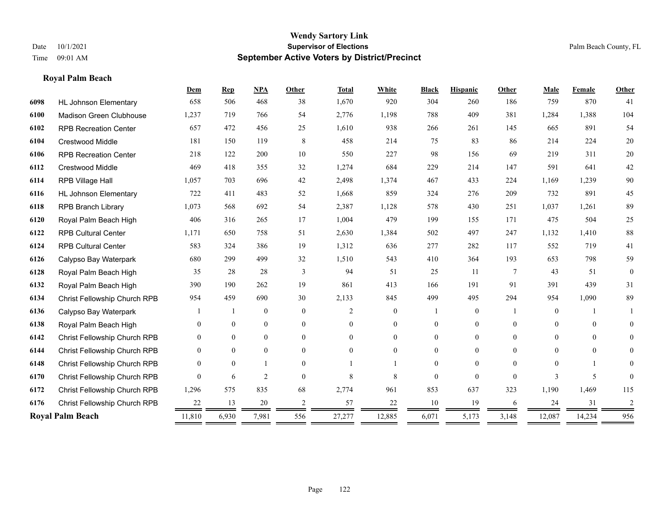# **Royal Palm Beach**

|      |                                | Dem              | <b>Rep</b>     | NPA              | <b>Other</b>   | <b>Total</b>   | White          | <b>Black</b>   | <b>Hispanic</b> | <b>Other</b>    | Male           | Female   | Other          |
|------|--------------------------------|------------------|----------------|------------------|----------------|----------------|----------------|----------------|-----------------|-----------------|----------------|----------|----------------|
| 6098 | <b>HL Johnson Elementary</b>   | 658              | 506            | 468              | 38             | 1,670          | 920            | 304            | 260             | 186             | 759            | 870      | 41             |
| 6100 | <b>Madison Green Clubhouse</b> | 1,237            | 719            | 766              | 54             | 2,776          | 1,198          | 788            | 409             | 381             | 1,284          | 1,388    | 104            |
| 6102 | <b>RPB Recreation Center</b>   | 657              | 472            | 456              | 25             | 1,610          | 938            | 266            | 261             | 145             | 665            | 891      | 54             |
| 6104 | <b>Crestwood Middle</b>        | 181              | 150            | 119              | 8              | 458            | 214            | 75             | 83              | 86              | 214            | 224      | $20\,$         |
| 6106 | <b>RPB Recreation Center</b>   | 218              | 122            | 200              | 10             | 550            | 227            | 98             | 156             | 69              | 219            | 311      | 20             |
| 6112 | Crestwood Middle               | 469              | 418            | 355              | 32             | 1,274          | 684            | 229            | 214             | 147             | 591            | 641      | $42\,$         |
| 6114 | RPB Village Hall               | 1,057            | 703            | 696              | 42             | 2,498          | 1,374          | 467            | 433             | 224             | 1,169          | 1,239    | 90             |
| 6116 | <b>HL Johnson Elementary</b>   | 722              | 411            | 483              | 52             | 1,668          | 859            | 324            | 276             | 209             | 732            | 891      | 45             |
| 6118 | <b>RPB Branch Library</b>      | 1,073            | 568            | 692              | 54             | 2,387          | 1,128          | 578            | 430             | 251             | 1,037          | 1,261    | 89             |
| 6120 | Royal Palm Beach High          | 406              | 316            | 265              | 17             | 1,004          | 479            | 199            | 155             | 171             | 475            | 504      | 25             |
| 6122 | <b>RPB Cultural Center</b>     | 1,171            | 650            | 758              | 51             | 2,630          | 1,384          | 502            | 497             | 247             | 1,132          | 1,410    | $88\,$         |
| 6124 | <b>RPB Cultural Center</b>     | 583              | 324            | 386              | 19             | 1,312          | 636            | 277            | 282             | 117             | 552            | 719      | 41             |
| 6126 | Calypso Bay Waterpark          | 680              | 299            | 499              | 32             | 1,510          | 543            | 410            | 364             | 193             | 653            | 798      | 59             |
| 6128 | Royal Palm Beach High          | 35               | 28             | 28               | 3              | 94             | 51             | 25             | 11              | $7\phantom{.0}$ | 43             | 51       | $\theta$       |
| 6132 | Royal Palm Beach High          | 390              | 190            | 262              | 19             | 861            | 413            | 166            | 191             | 91              | 391            | 439      | 31             |
| 6134 | Christ Fellowship Church RPB   | 954              | 459            | 690              | 30             | 2,133          | 845            | 499            | 495             | 294             | 954            | 1,090    | 89             |
| 6136 | Calypso Bay Waterpark          |                  |                | $\mathbf{0}$     | $\mathbf{0}$   | $\overline{2}$ | $\overline{0}$ |                | $\overline{0}$  |                 | $\overline{0}$ |          |                |
| 6138 | Royal Palm Beach High          | $\theta$         | $\overline{0}$ | $\boldsymbol{0}$ | $\overline{0}$ | $\Omega$       | 0              | $\mathbf{0}$   | $\overline{0}$  | $\theta$        | $\mathbf{0}$   | $\theta$ | $\overline{0}$ |
| 6142 | Christ Fellowship Church RPB   | $\theta$         | $\overline{0}$ | $\mathbf{0}$     | $\theta$       | $\Omega$       | $\overline{0}$ | $\overline{0}$ | $\overline{0}$  | $\theta$        | $\Omega$       | $\theta$ | $\overline{0}$ |
| 6144 | Christ Fellowship Church RPB   | $\theta$         | $\theta$       | $\theta$         | $\theta$       | $\theta$       | $\Omega$       | 0              | $\Omega$        | $\Omega$        | $\theta$       | $\theta$ | 0              |
| 6148 | Christ Fellowship Church RPB   | $\Omega$         | $\theta$       |                  | $\Omega$       |                |                | 0              | $\Omega$        | $\Omega$        | $\Omega$       |          | 0              |
| 6170 | Christ Fellowship Church RPB   | $\Omega$         | 6              | $\overline{2}$   | $\theta$       | 8              | 8              | $\theta$       | $\Omega$        | $\Omega$        | 3              | 5        |                |
| 6172 | Christ Fellowship Church RPB   | 1,296            | 575            | 835              | 68             | 2,774          | 961            | 853            | 637             | 323             | 1,190          | 1,469    | 115            |
| 6176 | Christ Fellowship Church RPB   | 22               | 13             | 20               | $\overline{c}$ | 57             | 22             | 10             | 19              | 6               | 24             | 31       | $\overline{2}$ |
|      | <b>Royal Palm Beach</b>        | 11,810<br>______ | 6,930          | 7,981            | 556            | 27,277         | 12,885         | 6,071          | 5,173           | 3,148           | 12,087         | 14,234   | 956            |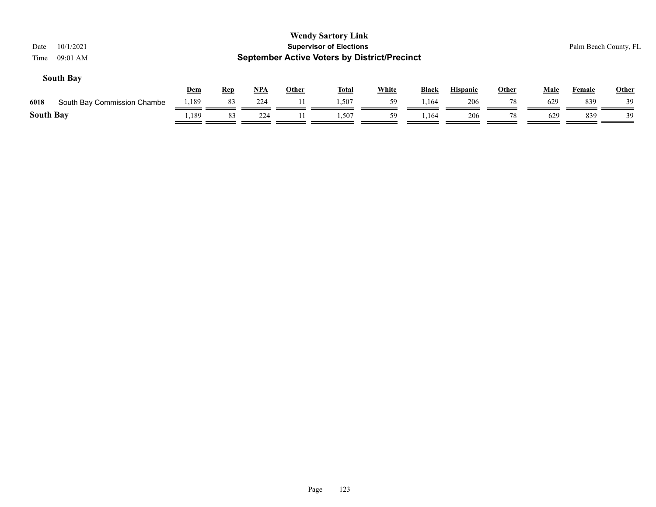| 10/1/2021<br>Date<br>$09:01$ AM<br>Time |            |            |       |              | <b>Wendy Sartory Link</b><br><b>Supervisor of Elections</b><br><b>September Active Voters by District/Precinct</b> |              |              |                 |       |             |        | Palm Beach County, FL |
|-----------------------------------------|------------|------------|-------|--------------|--------------------------------------------------------------------------------------------------------------------|--------------|--------------|-----------------|-------|-------------|--------|-----------------------|
| <b>South Bay</b>                        | <b>Dem</b> | <b>Rep</b> | $NPA$ | <b>Other</b> | <u>Total</u>                                                                                                       | <b>White</b> | <b>Black</b> | <b>Hispanic</b> | Other | <b>Male</b> | Female | <b>Other</b>          |
| South Bay Commission Chambe<br>6018     | 1,189      | 83         | 224   |              | 1.507                                                                                                              | 59           | 1,164        | 206             | 78    | 629         | 839    | 39                    |
| <b>South Bay</b>                        | ,189       | 83         | 224   |              | . 507                                                                                                              | 59           | .164         | 206             | 78    | 629         | 839    | 39                    |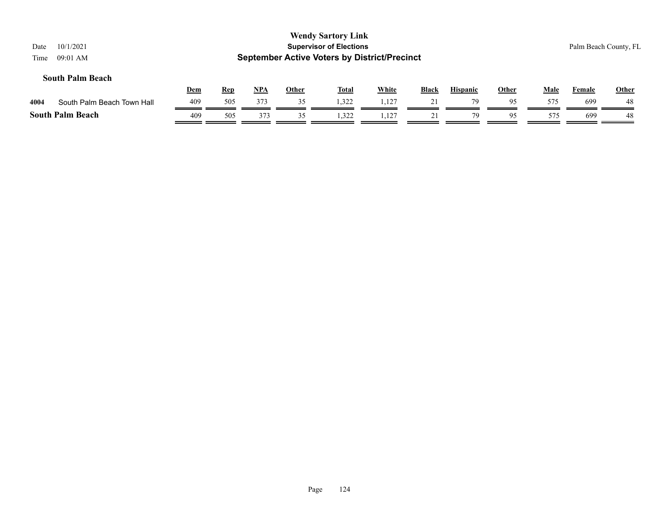| 10/1/2021<br>Date<br>09:01 AM<br>Time |     |            |       |              | <b>Wendy Sartory Link</b><br><b>Supervisor of Elections</b><br><b>September Active Voters by District/Precinct</b> |              |              |                 |              |             | Palm Beach County, FL |       |
|---------------------------------------|-----|------------|-------|--------------|--------------------------------------------------------------------------------------------------------------------|--------------|--------------|-----------------|--------------|-------------|-----------------------|-------|
| <b>South Palm Beach</b>               | Dem | <u>Rep</u> | $NPA$ | <b>Other</b> | <b>Total</b>                                                                                                       | <b>White</b> | <b>Black</b> | <b>Hispanic</b> | <b>Other</b> | <b>Male</b> | <b>Female</b>         | Other |
| South Palm Beach Town Hall<br>4004    | 409 | 505        | 373   | 35           | 1,322                                                                                                              | 1,127        | 21           | 79              | 95           | 575         | 699                   | 48    |
| <b>South Palm Beach</b>               | 409 | 505        | 373   | 35           | 1,322                                                                                                              | 1,127        |              | 79              | 95           | 575         | 699                   | 48    |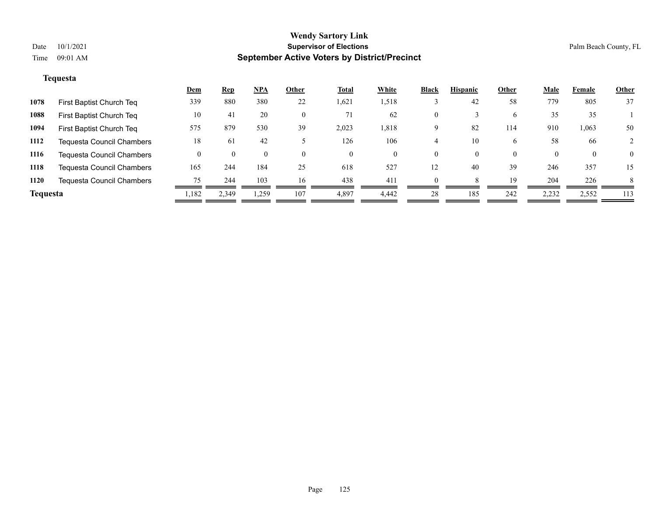# **Tequesta**

|                 |                                  | <u>Dem</u> | <b>Rep</b> | <u>NPA</u> | Other    | <b>Total</b> | White | <b>Black</b> | <b>Hispanic</b> | <b>Other</b> | <b>Male</b> | Female   | <b>Other</b> |
|-----------------|----------------------------------|------------|------------|------------|----------|--------------|-------|--------------|-----------------|--------------|-------------|----------|--------------|
| 1078            | First Baptist Church Teq         | 339        | 880        | 380        | 22       | 1,621        | 1,518 |              | 42              | 58           | 779         | 805      | 37           |
| 1088            | First Baptist Church Teq         | 10         | 41         | 20         | $\theta$ | 71           | 62    | 0            |                 | 6            | 35          | 35       |              |
| 1094            | First Baptist Church Teq         | 575        | 879        | 530        | 39       | 2,023        | 1,818 | 9            | 82              | 114          | 910         | 1,063    | 50           |
| 1112            | Tequesta Council Chambers        | 18         | 61         | 42         |          | 126          | 106   |              | 10              | 6            | 58          | 66       |              |
| 1116            | Tequesta Council Chambers        |            | $\theta$   | $\theta$   | $\theta$ | $\theta$     | 0     | 0            | $\theta$        | $\theta$     | $\theta$    | $\theta$ | $\theta$     |
| 1118            | <b>Tequesta Council Chambers</b> | 165        | 244        | 184        | 25       | 618          | 527   | 12           | 40              | 39           | 246         | 357      | 15           |
| 1120            | Tequesta Council Chambers        | 75         | 244        | 103        | 16       | 438          | 411   |              |                 | 19           | 204         | 226      | 8            |
| <b>Tequesta</b> |                                  | 1,182      | 2,349      | 1,259      | 107      | 4,897        | 4.442 | 28           | 185             | 242          | 2,232       | 2,552    | 113          |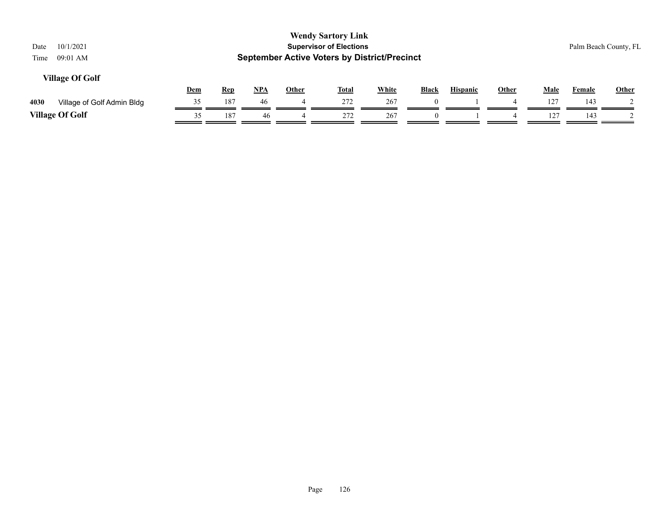| <b>Wendy Sartory Link</b><br><b>Supervisor of Elections</b><br>10/1/2021<br>Date<br><b>September Active Voters by District/Precinct</b><br>09:01 AM<br>Time<br><b>Village Of Golf</b> |     |            |     |              |              |              |              |                 |              |             |               | Palm Beach County, FL |
|---------------------------------------------------------------------------------------------------------------------------------------------------------------------------------------|-----|------------|-----|--------------|--------------|--------------|--------------|-----------------|--------------|-------------|---------------|-----------------------|
|                                                                                                                                                                                       | Dem | <b>Rep</b> | NPA | <b>Other</b> | <u>Total</u> | <b>White</b> | <b>Black</b> | <b>Hispanic</b> | <b>Other</b> | <b>Male</b> | <b>Female</b> | Other                 |
| 4030<br>Village of Golf Admin Bldg                                                                                                                                                    | 35  | 187        | 46  | 4            | 272          | 267          | $\theta$     |                 |              | 127         | 143           |                       |
| <b>Village Of Golf</b>                                                                                                                                                                | 35  | 187        | 46  | 4            | 272          | 267          |              |                 |              | 127         | 143           |                       |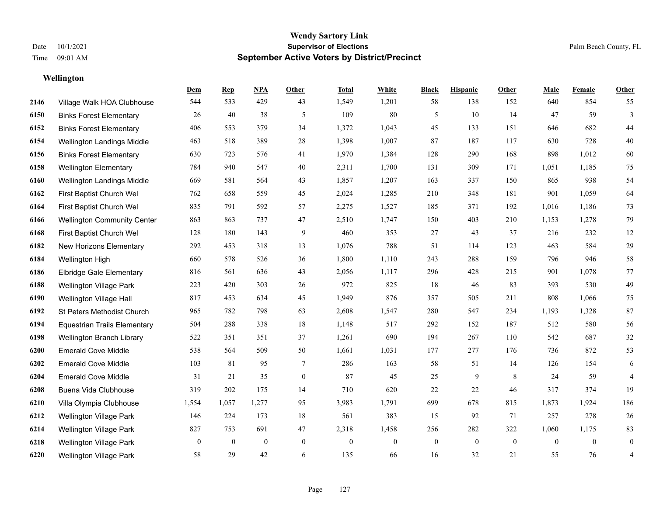# **Wellington**

|      |                                     | Dem          | <b>Rep</b>       | NPA              | <b>Other</b>   | <b>Total</b> | <b>White</b>     | <b>Black</b>     | <b>Hispanic</b> | <b>Other</b>     | <b>Male</b>    | Female         | <b>Other</b>     |
|------|-------------------------------------|--------------|------------------|------------------|----------------|--------------|------------------|------------------|-----------------|------------------|----------------|----------------|------------------|
| 2146 | Village Walk HOA Clubhouse          | 544          | 533              | 429              | 43             | 1,549        | 1,201            | 58               | 138             | 152              | 640            | 854            | 55               |
| 6150 | <b>Binks Forest Elementary</b>      | 26           | 40               | 38               | 5              | 109          | $80\,$           | 5                | 10              | 14               | 47             | 59             | $\mathfrak{Z}$   |
| 6152 | <b>Binks Forest Elementary</b>      | 406          | 553              | 379              | 34             | 1,372        | 1,043            | 45               | 133             | 151              | 646            | 682            | 44               |
| 6154 | Wellington Landings Middle          | 463          | 518              | 389              | 28             | 1,398        | 1,007            | 87               | 187             | 117              | 630            | 728            | $40\,$           |
| 6156 | <b>Binks Forest Elementary</b>      | 630          | 723              | 576              | 41             | 1,970        | 1,384            | 128              | 290             | 168              | 898            | 1,012          | 60               |
| 6158 | <b>Wellington Elementary</b>        | 784          | 940              | 547              | 40             | 2,311        | 1,700            | 131              | 309             | 171              | 1,051          | 1,185          | 75               |
| 6160 | Wellington Landings Middle          | 669          | 581              | 564              | 43             | 1,857        | 1,207            | 163              | 337             | 150              | 865            | 938            | 54               |
| 6162 | First Baptist Church Wel            | 762          | 658              | 559              | 45             | 2,024        | 1,285            | 210              | 348             | 181              | 901            | 1,059          | 64               |
| 6164 | First Baptist Church Wel            | 835          | 791              | 592              | 57             | 2,275        | 1,527            | 185              | 371             | 192              | 1,016          | 1,186          | 73               |
| 6166 | <b>Wellington Community Center</b>  | 863          | 863              | 737              | 47             | 2,510        | 1,747            | 150              | 403             | 210              | 1,153          | 1,278          | 79               |
| 6168 | First Baptist Church Wel            | 128          | 180              | 143              | 9              | 460          | 353              | 27               | 43              | 37               | 216            | 232            | 12               |
| 6182 | New Horizons Elementary             | 292          | 453              | 318              | 13             | 1,076        | 788              | 51               | 114             | 123              | 463            | 584            | $29\,$           |
| 6184 | Wellington High                     | 660          | 578              | 526              | 36             | 1,800        | 1,110            | 243              | 288             | 159              | 796            | 946            | $58\,$           |
| 6186 | <b>Elbridge Gale Elementary</b>     | 816          | 561              | 636              | 43             | 2,056        | 1,117            | 296              | 428             | 215              | 901            | 1,078          | $77\,$           |
| 6188 | Wellington Village Park             | 223          | 420              | 303              | 26             | 972          | 825              | 18               | 46              | 83               | 393            | 530            | 49               |
| 6190 | Wellington Village Hall             | 817          | 453              | 634              | 45             | 1,949        | 876              | 357              | 505             | 211              | 808            | 1,066          | 75               |
| 6192 | St Peters Methodist Church          | 965          | 782              | 798              | 63             | 2,608        | 1,547            | 280              | 547             | 234              | 1,193          | 1,328          | 87               |
| 6194 | <b>Equestrian Trails Elementary</b> | 504          | 288              | 338              | 18             | 1,148        | 517              | 292              | 152             | 187              | 512            | 580            | 56               |
| 6198 | Wellington Branch Library           | 522          | 351              | 351              | 37             | 1,261        | 690              | 194              | 267             | 110              | 542            | 687            | $32\,$           |
| 6200 | <b>Emerald Cove Middle</b>          | 538          | 564              | 509              | 50             | 1,661        | 1,031            | 177              | 277             | 176              | 736            | 872            | 53               |
| 6202 | <b>Emerald Cove Middle</b>          | 103          | 81               | 95               | 7              | 286          | 163              | 58               | 51              | 14               | 126            | 154            | 6                |
| 6204 | <b>Emerald Cove Middle</b>          | 31           | 21               | 35               | $\overline{0}$ | 87           | 45               | 25               | 9               | 8                | 24             | 59             | 4                |
| 6208 | Buena Vida Clubhouse                | 319          | 202              | 175              | 14             | 710          | 620              | 22               | 22              | 46               | 317            | 374            | 19               |
| 6210 | Villa Olympia Clubhouse             | 1,554        | 1,057            | 1,277            | 95             | 3,983        | 1,791            | 699              | 678             | 815              | 1,873          | 1,924          | 186              |
| 6212 | Wellington Village Park             | 146          | 224              | 173              | 18             | 561          | 383              | 15               | 92              | 71               | 257            | 278            | 26               |
| 6214 | Wellington Village Park             | 827          | 753              | 691              | 47             | 2,318        | 1,458            | 256              | 282             | 322              | 1,060          | 1,175          | 83               |
| 6218 | Wellington Village Park             | $\mathbf{0}$ | $\boldsymbol{0}$ | $\boldsymbol{0}$ | $\mathbf{0}$   | $\theta$     | $\boldsymbol{0}$ | $\boldsymbol{0}$ | $\mathbf{0}$    | $\boldsymbol{0}$ | $\overline{0}$ | $\overline{0}$ | $\boldsymbol{0}$ |
| 6220 | <b>Wellington Village Park</b>      | 58           | 29               | 42               | 6              | 135          | 66               | 16               | 32              | 21               | 55             | 76             | $\overline{4}$   |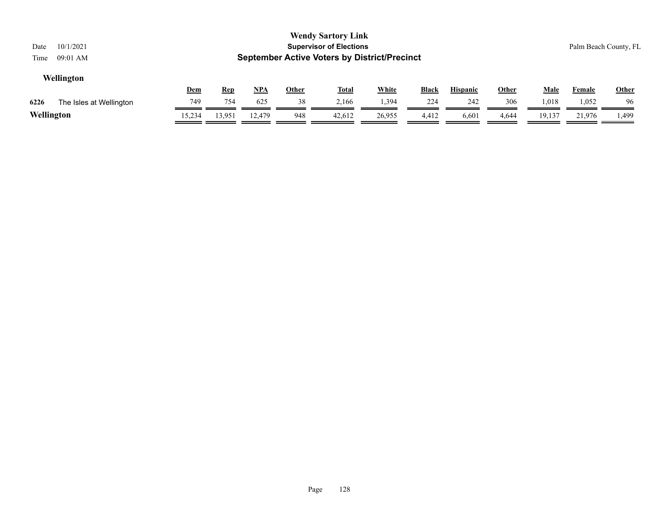| 10/1/2021<br>Date<br>$09:01$ AM<br>Time                                                                                                                         |        |        |        |     | <b>Wendy Sartory Link</b><br><b>Supervisor of Elections</b><br><b>September Active Voters by District/Precinct</b> |        |       |       |       |        |              | Palm Beach County, FL |
|-----------------------------------------------------------------------------------------------------------------------------------------------------------------|--------|--------|--------|-----|--------------------------------------------------------------------------------------------------------------------|--------|-------|-------|-------|--------|--------------|-----------------------|
| Wellington<br>NPA<br><b>White</b><br><b>Black</b><br><b>Hispanic</b><br><u>Dem</u><br><b>Other</b><br><b>Total</b><br><b>Other</b><br><b>Male</b><br><b>Rep</b> |        |        |        |     |                                                                                                                    |        |       |       |       | Female | <b>Other</b> |                       |
| 6226<br>The Isles at Wellington                                                                                                                                 | 749    | 754    | 625    | 38  | 2,166                                                                                                              | 1,394  | 224   | 242   | 306   | 1,018  | 1,052        | -96                   |
| Wellington                                                                                                                                                      | 15,234 | 13,951 | 12.479 | 948 | 42,612                                                                                                             | 26,955 | 4,412 | 6,601 | 4,644 | 19,137 | 21,976       | 1,499                 |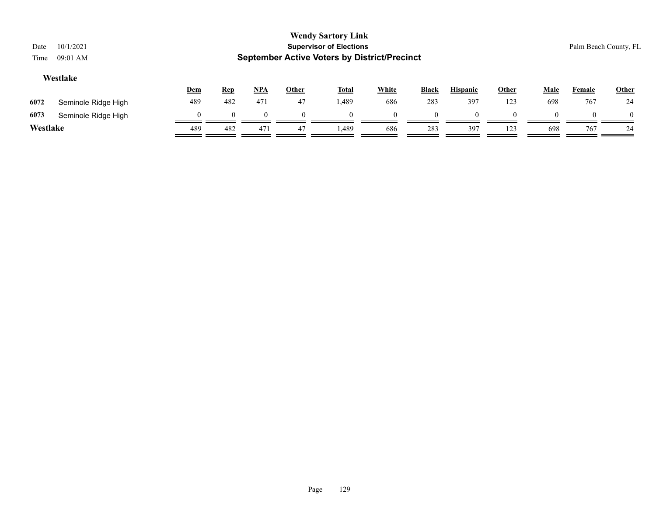| Date     | 10/1/2021           |          |            |     |              | <b>Wendy Sartory Link</b><br><b>Supervisor of Elections</b> |              |          |                 |       |             | Palm Beach County, FL |              |
|----------|---------------------|----------|------------|-----|--------------|-------------------------------------------------------------|--------------|----------|-----------------|-------|-------------|-----------------------|--------------|
| Time     | 09:01 AM            |          |            |     |              | <b>September Active Voters by District/Precinct</b>         |              |          |                 |       |             |                       |              |
| Westlake |                     |          |            |     |              |                                                             |              |          |                 |       |             |                       |              |
|          |                     | Dem      | <b>Rep</b> | NPA | <b>Other</b> | <b>Total</b>                                                | <b>White</b> | Black    | <b>Hispanic</b> | Other | <b>Male</b> | <b>Female</b>         | <b>Other</b> |
| 6072     | Seminole Ridge High | 489      | 482        | 471 | 47           | 1,489                                                       | 686          | 283      | 397             | 123   | 698         | 767                   | 24           |
| 6073     | Seminole Ridge High | $\Omega$ |            |     | $\theta$     |                                                             |              | $\theta$ |                 |       |             |                       | $\theta$     |
| Westlake |                     | 489      | 482        | 471 | 47           | 1.489                                                       | 686          | 283      | 397             | 123   | 698         | 767                   | 24           |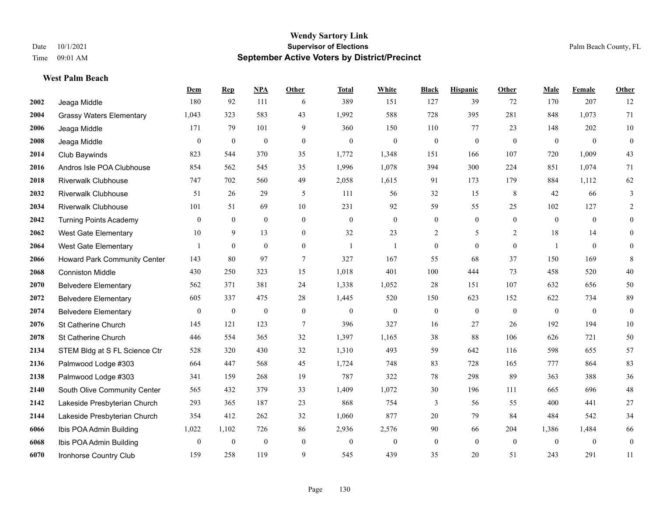**West Palm Beach**

# **Wendy Sartory Link** Date 10/1/2021 **Supervisor of Elections** Palm Beach County, FL Time 09:01 AM **September Active Voters by District/Precinct**

# **Dem Rep NPA Other Total White Black Hispanic Other Male Female Other**

| 2002 | Jeaga Middle                        | 180                      | 92               | 111              | 6              | 389              | 151          | 127              | 39             | 72           | 170            | 207            | 12             |
|------|-------------------------------------|--------------------------|------------------|------------------|----------------|------------------|--------------|------------------|----------------|--------------|----------------|----------------|----------------|
| 2004 | <b>Grassy Waters Elementary</b>     | 1,043                    | 323              | 583              | 43             | 1,992            | 588          | 728              | 395            | 281          | 848            | 1,073          | 71             |
| 2006 | Jeaga Middle                        | 171                      | 79               | 101              | 9              | 360              | 150          | 110              | 77             | 23           | 148            | 202            | $10\,$         |
| 2008 | Jeaga Middle                        | $\overline{0}$           | $\mathbf{0}$     | $\overline{0}$   | $\mathbf{0}$   | $\mathbf{0}$     | $\mathbf{0}$ | $\boldsymbol{0}$ | $\mathbf{0}$   | $\mathbf{0}$ | $\mathbf{0}$   | $\theta$       | $\mathbf{0}$   |
| 2014 | Club Baywinds                       | 823                      | 544              | 370              | 35             | 1,772            | 1,348        | 151              | 166            | 107          | 720            | 1,009          | 43             |
| 2016 | Andros Isle POA Clubhouse           | 854                      | 562              | 545              | 35             | 1,996            | 1,078        | 394              | 300            | 224          | 851            | 1,074          | 71             |
| 2018 | <b>Riverwalk Clubhouse</b>          | 747                      | 702              | 560              | 49             | 2,058            | 1,615        | 91               | 173            | 179          | 884            | 1,112          | 62             |
| 2032 | <b>Riverwalk Clubhouse</b>          | 51                       | 26               | 29               | 5              | 111              | 56           | 32               | 15             | 8            | 42             | 66             | 3              |
| 2034 | <b>Riverwalk Clubhouse</b>          | 101                      | 51               | 69               | 10             | 231              | 92           | 59               | 55             | 25           | 102            | 127            | $\overline{2}$ |
| 2042 | <b>Turning Points Academy</b>       | $\overline{0}$           | $\overline{0}$   | $\overline{0}$   | $\mathbf{0}$   | $\boldsymbol{0}$ | $\mathbf{0}$ | $\mathbf{0}$     | $\overline{0}$ | $\mathbf{0}$ | $\mathbf{0}$   | $\overline{0}$ | $\overline{0}$ |
| 2062 | <b>West Gate Elementary</b>         | 10                       | 9                | 13               | $\Omega$       | 32               | 23           | 2                | 5              | 2            | 18             | 14             | $\overline{0}$ |
| 2064 | <b>West Gate Elementary</b>         | $\overline{\phantom{a}}$ | $\mathbf{0}$     | $\overline{0}$   | $\mathbf{0}$   | $\overline{1}$   | $\mathbf{1}$ | $\theta$         | $\theta$       | $\theta$     | $\overline{1}$ | $\overline{0}$ | $\Omega$       |
| 2066 | <b>Howard Park Community Center</b> | 143                      | 80               | 97               | $\overline{7}$ | 327              | 167          | 55               | 68             | 37           | 150            | 169            | 8              |
| 2068 | <b>Conniston Middle</b>             | 430                      | 250              | 323              | 15             | 1,018            | 401          | 100              | 444            | 73           | 458            | 520            | 40             |
| 2070 | <b>Belvedere Elementary</b>         | 562                      | 371              | 381              | 24             | 1,338            | 1,052        | 28               | 151            | 107          | 632            | 656            | 50             |
| 2072 | <b>Belvedere Elementary</b>         | 605                      | 337              | 475              | 28             | 1,445            | 520          | 150              | 623            | 152          | 622            | 734            | 89             |
| 2074 | <b>Belvedere Elementary</b>         | $\overline{0}$           | $\boldsymbol{0}$ | $\overline{0}$   | $\theta$       | $\mathbf{0}$     | $\mathbf{0}$ | $\overline{0}$   | $\mathbf{0}$   | $\theta$     | $\mathbf{0}$   | $\overline{0}$ | $\overline{0}$ |
| 2076 | St Catherine Church                 | 145                      | 121              | 123              | $\tau$         | 396              | 327          | 16               | 27             | 26           | 192            | 194            | $10\,$         |
| 2078 | St Catherine Church                 | 446                      | 554              | 365              | 32             | 1,397            | 1,165        | 38               | 88             | 106          | 626            | 721            | 50             |
| 2134 | STEM Bldg at S FL Science Ctr       | 528                      | 320              | 430              | 32             | 1,310            | 493          | 59               | 642            | 116          | 598            | 655            | 57             |
| 2136 | Palmwood Lodge #303                 | 664                      | 447              | 568              | 45             | 1,724            | 748          | 83               | 728            | 165          | 777            | 864            | 83             |
| 2138 | Palmwood Lodge #303                 | 341                      | 159              | 268              | 19             | 787              | 322          | 78               | 298            | 89           | 363            | 388            | 36             |
| 2140 | South Olive Community Center        | 565                      | 432              | 379              | 33             | 1,409            | 1,072        | 30               | 196            | 111          | 665            | 696            | $48\,$         |
| 2142 | Lakeside Presbyterian Church        | 293                      | 365              | 187              | 23             | 868              | 754          | 3                | 56             | 55           | 400            | 441            | $27\,$         |
| 2144 | Lakeside Presbyterian Church        | 354                      | 412              | 262              | 32             | 1,060            | 877          | 20               | 79             | 84           | 484            | 542            | 34             |
| 6066 | Ibis POA Admin Building             | 1,022                    | 1,102            | 726              | 86             | 2,936            | 2,576        | 90               | 66             | 204          | 1,386          | 1,484          | 66             |
| 6068 | Ibis POA Admin Building             | $\overline{0}$           | $\boldsymbol{0}$ | $\boldsymbol{0}$ | $\theta$       | $\mathbf{0}$     | $\mathbf{0}$ | $\boldsymbol{0}$ | $\theta$       | $\mathbf{0}$ | $\theta$       | $\overline{0}$ | $\mathbf{0}$   |
| 6070 | Ironhorse Country Club              | 159                      | 258              | 119              | 9              | 545              | 439          | 35               | 20             | 51           | 243            | 291            | 11             |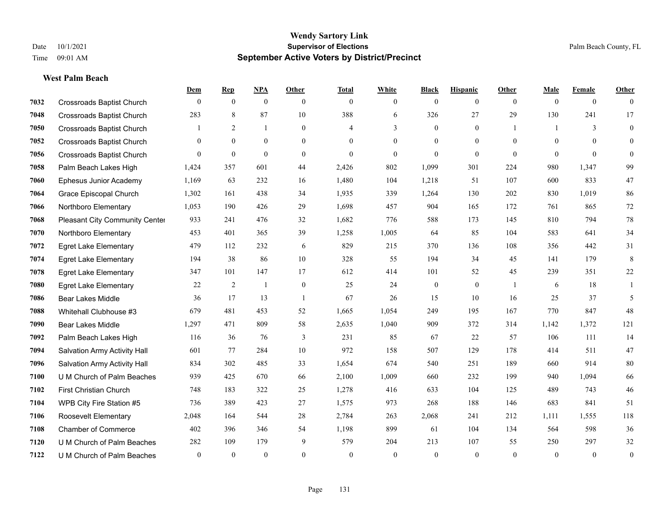# **West Palm Beach**

|      |                                       | Dem          | <b>Rep</b>     | NPA            | <b>Other</b>   | <b>Total</b>   | <b>White</b>   | <b>Black</b>     | <b>Hispanic</b> | <b>Other</b>   | <b>Male</b>  | <b>Female</b>  | <b>Other</b>     |
|------|---------------------------------------|--------------|----------------|----------------|----------------|----------------|----------------|------------------|-----------------|----------------|--------------|----------------|------------------|
| 7032 | <b>Crossroads Baptist Church</b>      | $\mathbf{0}$ | $\mathbf{0}$   | $\mathbf{0}$   | $\theta$       | $\theta$       | $\overline{0}$ | $\mathbf{0}$     | $\mathbf{0}$    | $\overline{0}$ | $\mathbf{0}$ | $\overline{0}$ | $\theta$         |
| 7048 | <b>Crossroads Baptist Church</b>      | 283          | 8              | 87             | 10             | 388            | 6              | 326              | 27              | 29             | 130          | 241            | 17               |
| 7050 | <b>Crossroads Baptist Church</b>      |              | $\overline{2}$ | $\mathbf{1}$   | $\overline{0}$ | $\overline{4}$ | 3              | $\mathbf{0}$     | $\mathbf{0}$    | $\overline{1}$ | $\mathbf{1}$ | 3              | $\mathbf{0}$     |
| 7052 | <b>Crossroads Baptist Church</b>      | $\mathbf{0}$ | $\mathbf{0}$   | $\mathbf{0}$   | $\overline{0}$ | $\theta$       | $\overline{0}$ | $\boldsymbol{0}$ | $\mathbf{0}$    | $\mathbf{0}$   | $\mathbf{0}$ | $\theta$       | $\mathbf{0}$     |
| 7056 | <b>Crossroads Baptist Church</b>      | $\theta$     | $\overline{0}$ | $\mathbf{0}$   | $\Omega$       | $\theta$       | $\overline{0}$ | $\mathbf{0}$     | $\overline{0}$  | $\theta$       | $\theta$     | $\theta$       | $\mathbf{0}$     |
| 7058 | Palm Beach Lakes High                 | 1,424        | 357            | 601            | 44             | 2,426          | 802            | 1,099            | 301             | 224            | 980          | 1,347          | 99               |
| 7060 | Ephesus Junior Academy                | 1,169        | 63             | 232            | 16             | 1,480          | 104            | 1,218            | 51              | 107            | 600          | 833            | 47               |
| 7064 | Grace Episcopal Church                | 1,302        | 161            | 438            | 34             | 1,935          | 339            | 1,264            | 130             | 202            | 830          | 1,019          | 86               |
| 7066 | Northboro Elementary                  | 1,053        | 190            | 426            | 29             | 1,698          | 457            | 904              | 165             | 172            | 761          | 865            | 72               |
| 7068 | <b>Pleasant City Community Center</b> | 933          | 241            | 476            | 32             | 1,682          | 776            | 588              | 173             | 145            | 810          | 794            | $78\,$           |
| 7070 | Northboro Elementary                  | 453          | 401            | 365            | 39             | 1,258          | 1,005          | 64               | 85              | 104            | 583          | 641            | 34               |
| 7072 | <b>Egret Lake Elementary</b>          | 479          | 112            | 232            | 6              | 829            | 215            | 370              | 136             | 108            | 356          | 442            | 31               |
| 7074 | <b>Egret Lake Elementary</b>          | 194          | 38             | 86             | 10             | 328            | 55             | 194              | 34              | 45             | 141          | 179            | 8                |
| 7078 | <b>Egret Lake Elementary</b>          | 347          | 101            | 147            | 17             | 612            | 414            | 101              | 52              | 45             | 239          | 351            | $22\,$           |
| 7080 | <b>Egret Lake Elementary</b>          | 22           | 2              | $\mathbf{1}$   | $\overline{0}$ | 25             | 24             | $\boldsymbol{0}$ | $\overline{0}$  |                | 6            | 18             | 1                |
| 7086 | Bear Lakes Middle                     | 36           | 17             | 13             | $\overline{1}$ | 67             | 26             | 15               | 10              | 16             | 25           | 37             | 5                |
| 7088 | Whitehall Clubhouse #3                | 679          | 481            | 453            | 52             | 1,665          | 1,054          | 249              | 195             | 167            | 770          | 847            | 48               |
| 7090 | <b>Bear Lakes Middle</b>              | 1,297        | 471            | 809            | 58             | 2,635          | 1,040          | 909              | 372             | 314            | 1,142        | 1,372          | 121              |
| 7092 | Palm Beach Lakes High                 | 116          | 36             | 76             | 3              | 231            | 85             | 67               | $22\,$          | 57             | 106          | 111            | 14               |
| 7094 | Salvation Army Activity Hall          | 601          | 77             | 284            | 10             | 972            | 158            | 507              | 129             | 178            | 414          | 511            | 47               |
| 7096 | Salvation Army Activity Hall          | 834          | 302            | 485            | 33             | 1,654          | 674            | 540              | 251             | 189            | 660          | 914            | 80               |
| 7100 | U M Church of Palm Beaches            | 939          | 425            | 670            | 66             | 2,100          | 1,009          | 660              | 232             | 199            | 940          | 1,094          | 66               |
| 7102 | First Christian Church                | 748          | 183            | 322            | 25             | 1,278          | 416            | 633              | 104             | 125            | 489          | 743            | $46\,$           |
| 7104 | WPB City Fire Station #5              | 736          | 389            | 423            | 27             | 1,575          | 973            | 268              | 188             | 146            | 683          | 841            | 51               |
| 7106 | Roosevelt Elementary                  | 2,048        | 164            | 544            | 28             | 2,784          | 263            | 2,068            | 241             | 212            | 1,111        | 1.555          | 118              |
| 7108 | <b>Chamber of Commerce</b>            | 402          | 396            | 346            | 54             | 1,198          | 899            | 61               | 104             | 134            | 564          | 598            | $36\,$           |
| 7120 | U M Church of Palm Beaches            | 282          | 109            | 179            | 9              | 579            | 204            | 213              | 107             | 55             | 250          | 297            | $32\,$           |
| 7122 | U M Church of Palm Beaches            | $\mathbf{0}$ | $\mathbf{0}$   | $\overline{0}$ | $\theta$       | $\theta$       | $\mathbf{0}$   | $\mathbf{0}$     | $\mathbf{0}$    | $\theta$       | $\theta$     | $\mathbf{0}$   | $\boldsymbol{0}$ |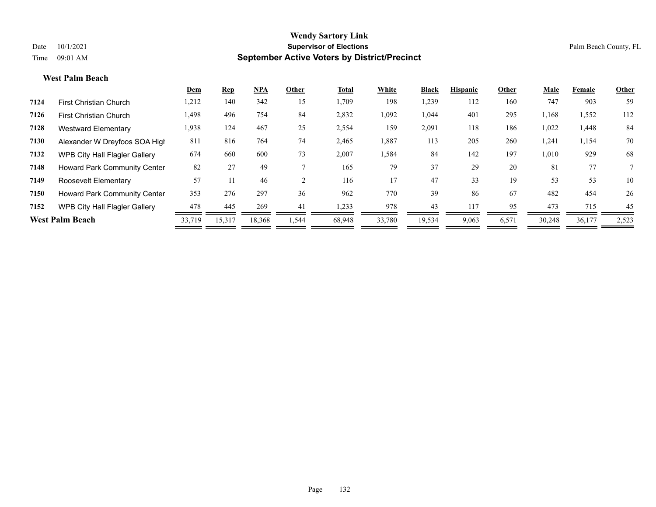#### **West Palm Beach**

|      |                                      | <u>Dem</u> | <b>Rep</b> | <b>NPA</b> | Other | <b>Total</b> | White  | <b>Black</b> | <b>Hispanic</b> | Other | Male   | Female | Other |
|------|--------------------------------------|------------|------------|------------|-------|--------------|--------|--------------|-----------------|-------|--------|--------|-------|
| 7124 | <b>First Christian Church</b>        | 1,212      | 140        | 342        | 15    | 1,709        | 198    | .239         | 112             | 160   | 747    | 903    | 59    |
| 7126 | <b>First Christian Church</b>        | 1,498      | 496        | 754        | 84    | 2,832        | 1,092  | 1,044        | 401             | 295   | 1,168  | 1,552  | 112   |
| 7128 | Westward Elementary                  | 1,938      | 124        | 467        | 25    | 2,554        | 159    | 2,091        | 118             | 186   | 1,022  | 1,448  | 84    |
| 7130 | Alexander W Dreyfoos SOA High        | 811        | 816        | 764        | 74    | 2,465        | 1,887  | 113          | 205             | 260   | 1,241  | 1,154  | 70    |
| 7132 | <b>WPB City Hall Flagler Gallery</b> | 674        | 660        | 600        | 73    | 2,007        | 1,584  | 84           | 142             | 197   | 1,010  | 929    | 68    |
| 7148 | <b>Howard Park Community Center</b>  | 82         | 27         | 49         |       | 165          | 79     | 37           | 29              | 20    | 81     | 77     |       |
| 7149 | Roosevelt Elementary                 | 57         |            | 46         |       | 116          | 17     | 47           | 33              | 19    | 53     | 53     | 10    |
| 7150 | <b>Howard Park Community Center</b>  | 353        | 276        | 297        | 36    | 962          | 770    | 39           | 86              | 67    | 482    | 454    | 26    |
| 7152 | <b>WPB City Hall Flagler Gallery</b> | 478        | 445        | 269        | 41    | 1,233        | 978    | 43           | 117             | 95    | 473    | 715    | 45    |
|      | <b>West Palm Beach</b>               | 33,719     | 15,317     | 18,368     | 544.  | 68,948       | 33,780 | 19,534       | 9,063           | 6,571 | 30,248 | 36,177 | 2,523 |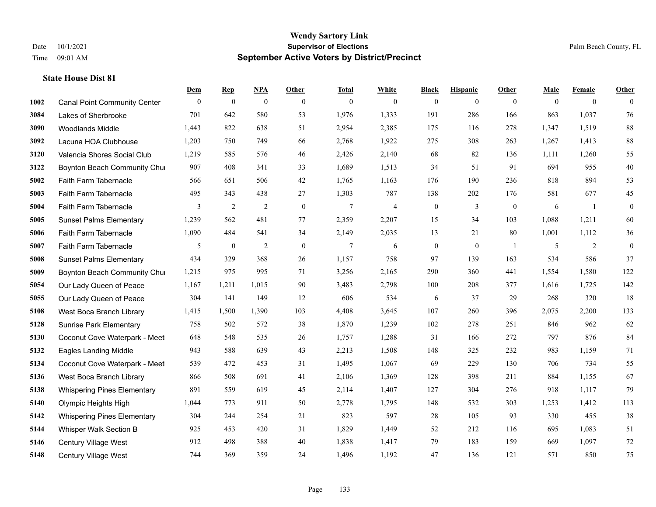|      |                                     | Dem          | <b>Rep</b>       | NPA              | <b>Other</b> | <b>Total</b> | <b>White</b>   | <b>Black</b>     | <b>Hispanic</b> | <b>Other</b>   | <b>Male</b> | <b>Female</b>  | <b>Other</b> |
|------|-------------------------------------|--------------|------------------|------------------|--------------|--------------|----------------|------------------|-----------------|----------------|-------------|----------------|--------------|
| 1002 | <b>Canal Point Community Center</b> | $\mathbf{0}$ | $\boldsymbol{0}$ | $\boldsymbol{0}$ | $\mathbf{0}$ | $\mathbf{0}$ | $\overline{0}$ | $\overline{0}$   | $\overline{0}$  | $\overline{0}$ | $\theta$    | $\overline{0}$ | $\theta$     |
| 3084 | Lakes of Sherbrooke                 | 701          | 642              | 580              | 53           | 1,976        | 1,333          | 191              | 286             | 166            | 863         | 1,037          | 76           |
| 3090 | <b>Woodlands Middle</b>             | 1,443        | 822              | 638              | 51           | 2,954        | 2,385          | 175              | 116             | 278            | 1,347       | 1,519          | $\bf 88$     |
| 3092 | Lacuna HOA Clubhouse                | 1,203        | 750              | 749              | 66           | 2,768        | 1,922          | 275              | 308             | 263            | 1,267       | 1,413          | $88\,$       |
| 3120 | Valencia Shores Social Club         | 1,219        | 585              | 576              | 46           | 2,426        | 2,140          | 68               | 82              | 136            | 1,111       | 1,260          | 55           |
| 3122 | Boynton Beach Community Chur        | 907          | 408              | 341              | 33           | 1,689        | 1,513          | 34               | 51              | 91             | 694         | 955            | $40\,$       |
| 5002 | Faith Farm Tabernacle               | 566          | 651              | 506              | $42\,$       | 1,765        | 1,163          | 176              | 190             | 236            | 818         | 894            | 53           |
| 5003 | Faith Farm Tabernacle               | 495          | 343              | 438              | 27           | 1,303        | 787            | 138              | 202             | 176            | 581         | 677            | 45           |
| 5004 | Faith Farm Tabernacle               | 3            | $\sqrt{2}$       | $\overline{2}$   | $\mathbf{0}$ | $\tau$       | $\overline{4}$ | $\boldsymbol{0}$ | 3               | $\mathbf{0}$   | 6           | $\mathbf{1}$   | $\mathbf{0}$ |
| 5005 | <b>Sunset Palms Elementary</b>      | 1,239        | 562              | 481              | 77           | 2,359        | 2,207          | 15               | 34              | 103            | 1,088       | 1,211          | 60           |
| 5006 | Faith Farm Tabernacle               | 1,090        | 484              | 541              | 34           | 2,149        | 2,035          | 13               | 21              | 80             | 1,001       | 1,112          | 36           |
| 5007 | Faith Farm Tabernacle               | 5            | $\boldsymbol{0}$ | $\sqrt{2}$       | $\mathbf{0}$ | $\tau$       | 6              | $\boldsymbol{0}$ | $\mathbf{0}$    | -1             | 5           | 2              | $\mathbf{0}$ |
| 5008 | <b>Sunset Palms Elementary</b>      | 434          | 329              | 368              | 26           | 1,157        | 758            | 97               | 139             | 163            | 534         | 586            | 37           |
| 5009 | Boynton Beach Community Chur        | 1,215        | 975              | 995              | 71           | 3,256        | 2,165          | 290              | 360             | 441            | 1,554       | 1,580          | 122          |
| 5054 | Our Lady Queen of Peace             | 1,167        | 1,211            | 1,015            | 90           | 3,483        | 2,798          | 100              | 208             | 377            | 1,616       | 1,725          | 142          |
| 5055 | Our Lady Queen of Peace             | 304          | 141              | 149              | 12           | 606          | 534            | 6                | 37              | 29             | 268         | 320            | 18           |
| 5108 | West Boca Branch Library            | 1,415        | 1,500            | 1,390            | 103          | 4,408        | 3,645          | 107              | 260             | 396            | 2,075       | 2,200          | 133          |
| 5128 | <b>Sunrise Park Elementary</b>      | 758          | 502              | 572              | 38           | 1,870        | 1,239          | 102              | 278             | 251            | 846         | 962            | 62           |
| 5130 | Coconut Cove Waterpark - Meet       | 648          | 548              | 535              | 26           | 1,757        | 1,288          | 31               | 166             | 272            | 797         | 876            | 84           |
| 5132 | <b>Eagles Landing Middle</b>        | 943          | 588              | 639              | 43           | 2,213        | 1,508          | 148              | 325             | 232            | 983         | 1,159          | 71           |
| 5134 | Coconut Cove Waterpark - Meet       | 539          | 472              | 453              | 31           | 1,495        | 1,067          | 69               | 229             | 130            | 706         | 734            | 55           |
| 5136 | West Boca Branch Library            | 866          | 508              | 691              | 41           | 2,106        | 1,369          | 128              | 398             | 211            | 884         | 1,155          | 67           |
| 5138 | <b>Whispering Pines Elementary</b>  | 891          | 559              | 619              | 45           | 2,114        | 1,407          | 127              | 304             | 276            | 918         | 1,117          | 79           |
| 5140 | Olympic Heights High                | 1,044        | 773              | 911              | 50           | 2,778        | 1,795          | 148              | 532             | 303            | 1,253       | 1,412          | 113          |
| 5142 | <b>Whispering Pines Elementary</b>  | 304          | 244              | 254              | 21           | 823          | 597            | $28\,$           | 105             | 93             | 330         | 455            | 38           |
| 5144 | Whisper Walk Section B              | 925          | 453              | 420              | 31           | 1,829        | 1,449          | 52               | 212             | 116            | 695         | 1,083          | 51           |
| 5146 | Century Village West                | 912          | 498              | 388              | 40           | 1,838        | 1,417          | 79               | 183             | 159            | 669         | 1,097          | 72           |
| 5148 | Century Village West                | 744          | 369              | 359              | 24           | 1,496        | 1,192          | 47               | 136             | 121            | 571         | 850            | 75           |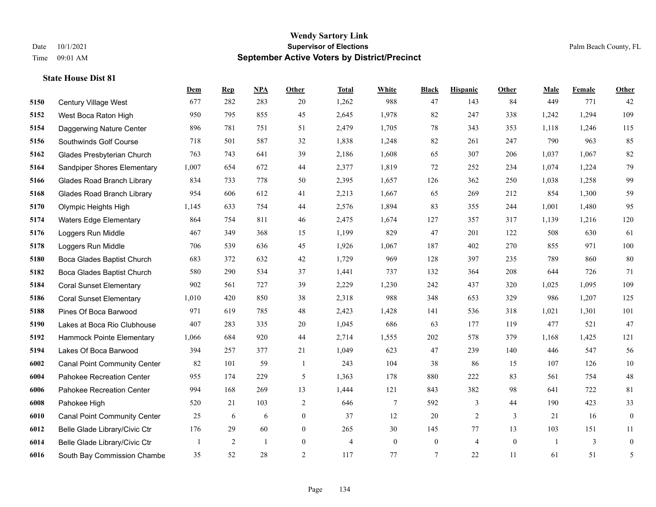|      |                                     | Dem   | <b>Rep</b>     | NPA | <b>Other</b>   | <b>Total</b>   | <b>White</b>   | <b>Black</b>     | <b>Hispanic</b> | Other        | <b>Male</b> | <b>Female</b> | <b>Other</b>     |
|------|-------------------------------------|-------|----------------|-----|----------------|----------------|----------------|------------------|-----------------|--------------|-------------|---------------|------------------|
| 5150 | Century Village West                | 677   | 282            | 283 | 20             | 1,262          | 988            | 47               | 143             | 84           | 449         | 771           | 42               |
| 5152 | West Boca Raton High                | 950   | 795            | 855 | 45             | 2,645          | 1,978          | 82               | 247             | 338          | 1,242       | 1,294         | 109              |
| 5154 | Daggerwing Nature Center            | 896   | 781            | 751 | 51             | 2,479          | 1,705          | 78               | 343             | 353          | 1,118       | 1,246         | 115              |
| 5156 | Southwinds Golf Course              | 718   | 501            | 587 | 32             | 1,838          | 1,248          | 82               | 261             | 247          | 790         | 963           | 85               |
| 5162 | Glades Presbyterian Church          | 763   | 743            | 641 | 39             | 2,186          | 1,608          | 65               | 307             | 206          | 1,037       | 1.067         | 82               |
| 5164 | Sandpiper Shores Elementary         | 1,007 | 654            | 672 | 44             | 2,377          | 1,819          | 72               | 252             | 234          | 1,074       | 1,224         | 79               |
| 5166 | <b>Glades Road Branch Library</b>   | 834   | 733            | 778 | 50             | 2,395          | 1,657          | 126              | 362             | 250          | 1,038       | 1,258         | 99               |
| 5168 | <b>Glades Road Branch Library</b>   | 954   | 606            | 612 | 41             | 2,213          | 1,667          | 65               | 269             | 212          | 854         | 1,300         | 59               |
| 5170 | Olympic Heights High                | 1,145 | 633            | 754 | 44             | 2,576          | 1,894          | 83               | 355             | 244          | 1,001       | 1,480         | 95               |
| 5174 | <b>Waters Edge Elementary</b>       | 864   | 754            | 811 | 46             | 2,475          | 1,674          | 127              | 357             | 317          | 1,139       | 1,216         | 120              |
| 5176 | Loggers Run Middle                  | 467   | 349            | 368 | 15             | 1,199          | 829            | 47               | 201             | 122          | 508         | 630           | 61               |
| 5178 | Loggers Run Middle                  | 706   | 539            | 636 | 45             | 1,926          | 1,067          | 187              | 402             | 270          | 855         | 971           | 100              |
| 5180 | Boca Glades Baptist Church          | 683   | 372            | 632 | 42             | 1,729          | 969            | 128              | 397             | 235          | 789         | 860           | 80               |
| 5182 | Boca Glades Baptist Church          | 580   | 290            | 534 | 37             | 1,441          | 737            | 132              | 364             | 208          | 644         | 726           | 71               |
| 5184 | <b>Coral Sunset Elementary</b>      | 902   | 561            | 727 | 39             | 2,229          | 1,230          | 242              | 437             | 320          | 1,025       | 1,095         | 109              |
| 5186 | <b>Coral Sunset Elementary</b>      | 1,010 | 420            | 850 | 38             | 2,318          | 988            | 348              | 653             | 329          | 986         | 1,207         | 125              |
| 5188 | Pines Of Boca Barwood               | 971   | 619            | 785 | 48             | 2,423          | 1,428          | 141              | 536             | 318          | 1,021       | 1,301         | 101              |
| 5190 | Lakes at Boca Rio Clubhouse         | 407   | 283            | 335 | 20             | 1,045          | 686            | 63               | 177             | 119          | 477         | 521           | 47               |
| 5192 | Hammock Pointe Elementary           | 1,066 | 684            | 920 | 44             | 2,714          | 1,555          | 202              | 578             | 379          | 1,168       | 1,425         | 121              |
| 5194 | Lakes Of Boca Barwood               | 394   | 257            | 377 | 21             | 1,049          | 623            | 47               | 239             | 140          | 446         | 547           | 56               |
| 6002 | <b>Canal Point Community Center</b> | 82    | 101            | 59  | $\overline{1}$ | 243            | 104            | 38               | 86              | 15           | 107         | 126           | $10\,$           |
| 6004 | Pahokee Recreation Center           | 955   | 174            | 229 | 5              | 1,363          | 178            | 880              | 222             | 83           | 561         | 754           | $48\,$           |
| 6006 | Pahokee Recreation Center           | 994   | 168            | 269 | 13             | 1,444          | 121            | 843              | 382             | 98           | 641         | 722           | 81               |
| 6008 | Pahokee High                        | 520   | 21             | 103 | 2              | 646            | $\tau$         | 592              | 3               | 44           | 190         | 423           | 33               |
| 6010 | <b>Canal Point Community Center</b> | 25    | 6              | 6   | $\overline{0}$ | 37             | 12             | 20               | $\overline{2}$  | 3            | 21          | 16            | $\boldsymbol{0}$ |
| 6012 | Belle Glade Library/Civic Ctr       | 176   | 29             | 60  | $\overline{0}$ | 265            | 30             | 145              | 77              | 13           | 103         | 151           | 11               |
| 6014 | Belle Glade Library/Civic Ctr       |       | $\overline{2}$ | -1  | $\overline{0}$ | $\overline{4}$ | $\overline{0}$ | $\boldsymbol{0}$ | $\overline{4}$  | $\mathbf{0}$ |             | 3             | $\boldsymbol{0}$ |
| 6016 | South Bay Commission Chambe         | 35    | 52             | 28  | 2              | 117            | 77             | $7\phantom{.0}$  | 22              | 11           | 61          | 51            | 5                |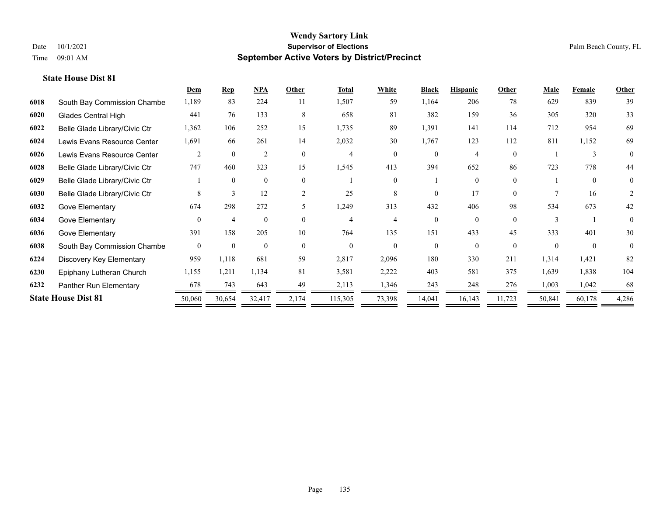|      |                               | Dem          | <b>Rep</b>     | NPA            | Other          | <b>Total</b>   | <b>White</b> | <b>Black</b> | <b>Hispanic</b> | Other    | <b>Male</b> | Female        | Other          |
|------|-------------------------------|--------------|----------------|----------------|----------------|----------------|--------------|--------------|-----------------|----------|-------------|---------------|----------------|
| 6018 | South Bay Commission Chambe   | 1,189        | 83             | 224            | 11             | 1,507          | 59           | 1,164        | 206             | 78       | 629         | 839           | 39             |
| 6020 | <b>Glades Central High</b>    | 441          | 76             | 133            | 8              | 658            | 81           | 382          | 159             | 36       | 305         | 320           | 33             |
| 6022 | Belle Glade Library/Civic Ctr | 1,362        | 106            | 252            | 15             | 1,735          | 89           | 1,391        | 141             | 114      | 712         | 954           | 69             |
| 6024 | Lewis Evans Resource Center   | 1,691        | 66             | 261            | 14             | 2,032          | 30           | 1,767        | 123             | 112      | 811         | 1,152         | 69             |
| 6026 | Lewis Evans Resource Center   | 2            | $\theta$       | $\overline{2}$ | $\theta$       | $\overline{4}$ | $\Omega$     | $\theta$     | 4               | $\Omega$ |             | $\mathcal{E}$ | $\theta$       |
| 6028 | Belle Glade Library/Civic Ctr | 747          | 460            | 323            | 15             | 1,545          | 413          | 394          | 652             | 86       | 723         | 778           | 44             |
| 6029 | Belle Glade Library/Civic Ctr |              | $\mathbf{0}$   | $\mathbf{0}$   | $\theta$       |                | $\Omega$     |              | $\theta$        | $\theta$ |             | $\mathbf{0}$  | $\overline{0}$ |
| 6030 | Belle Glade Library/Civic Ctr | 8            | 3              | 12             | $\overline{2}$ | 25             | 8            | $\theta$     | 17              | $\theta$ |             | 16            | 2              |
| 6032 | Gove Elementary               | 674          | 298            | 272            | 5.             | 1,249          | 313          | 432          | 406             | 98       | 534         | 673           | 42             |
| 6034 | Gove Elementary               | $\theta$     | $\overline{4}$ | $\Omega$       | $\Omega$       | $\overline{4}$ | 4            | $\theta$     | $\Omega$        | $\Omega$ |             |               | $\overline{0}$ |
| 6036 | Gove Elementary               | 391          | 158            | 205            | 10             | 764            | 135          | 151          | 433             | 45       | 333         | 401           | 30             |
| 6038 | South Bay Commission Chambe   | $\mathbf{0}$ | $\mathbf{0}$   | $\mathbf{0}$   | $\theta$       | $\theta$       | $\Omega$     | $\theta$     | $\theta$        | $\theta$ | $\Omega$    | $\theta$      | $\mathbf{0}$   |
| 6224 | Discovery Key Elementary      | 959          | 1,118          | 681            | 59             | 2,817          | 2,096        | 180          | 330             | 211      | 1,314       | 1,421         | 82             |
| 6230 | Epiphany Lutheran Church      | 1,155        | 1,211          | 1,134          | 81             | 3,581          | 2,222        | 403          | 581             | 375      | 1,639       | 1,838         | 104            |
| 6232 | Panther Run Elementary        | 678          | 743            | 643            | 49             | 2,113          | 1,346        | 243          | 248             | 276      | 1,003       | 1,042         | 68             |
|      | <b>State House Dist 81</b>    | 50,060       | 30,654         | 32,417         | 2,174          | 115,305        | 73,398       | 14,041       | 16,143          | 11,723   | 50,841      | 60,178        | 4,286          |
|      |                               |              |                |                |                |                |              |              |                 |          |             |               |                |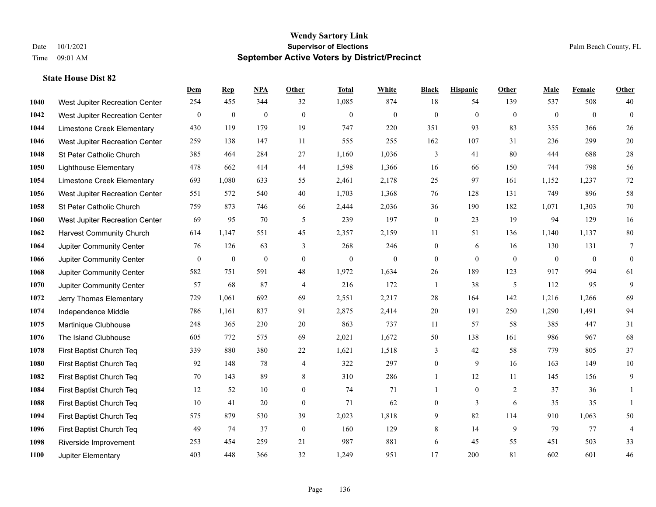|      |                                 | Dem              | <b>Rep</b>       | NPA          | <b>Other</b>   | <b>Total</b> | <b>White</b>   | <b>Black</b>   | <b>Hispanic</b> | Other          | <b>Male</b>    | <b>Female</b>  | <b>Other</b>    |
|------|---------------------------------|------------------|------------------|--------------|----------------|--------------|----------------|----------------|-----------------|----------------|----------------|----------------|-----------------|
| 1040 | West Jupiter Recreation Center  | 254              | 455              | 344          | 32             | 1,085        | 874            | 18             | 54              | 139            | 537            | 508            | 40              |
| 1042 | West Jupiter Recreation Center  | $\boldsymbol{0}$ | $\mathbf{0}$     | $\mathbf{0}$ | $\mathbf{0}$   | $\mathbf{0}$ | $\mathbf{0}$   | $\mathbf{0}$   | $\mathbf{0}$    | $\theta$       | $\overline{0}$ | $\overline{0}$ | $\mathbf{0}$    |
| 1044 | Limestone Creek Elementary      | 430              | 119              | 179          | 19             | 747          | 220            | 351            | 93              | 83             | 355            | 366            | 26              |
| 1046 | West Jupiter Recreation Center  | 259              | 138              | 147          | 11             | 555          | 255            | 162            | 107             | 31             | 236            | 299            | $20\,$          |
| 1048 | St Peter Catholic Church        | 385              | 464              | 284          | 27             | 1,160        | 1,036          | 3              | 41              | 80             | 444            | 688            | $28\,$          |
| 1050 | <b>Lighthouse Elementary</b>    | 478              | 662              | 414          | 44             | 1,598        | 1,366          | 16             | 66              | 150            | 744            | 798            | 56              |
| 1054 | Limestone Creek Elementary      | 693              | 1,080            | 633          | 55             | 2,461        | 2,178          | 25             | 97              | 161            | 1,152          | 1,237          | $72\,$          |
| 1056 | West Jupiter Recreation Center  | 551              | 572              | 540          | 40             | 1,703        | 1,368          | 76             | 128             | 131            | 749            | 896            | 58              |
| 1058 | St Peter Catholic Church        | 759              | 873              | 746          | 66             | 2,444        | 2,036          | 36             | 190             | 182            | 1,071          | 1,303          | $70\,$          |
| 1060 | West Jupiter Recreation Center  | 69               | 95               | 70           | 5              | 239          | 197            | $\mathbf{0}$   | 23              | 19             | 94             | 129            | 16              |
| 1062 | <b>Harvest Community Church</b> | 614              | 1,147            | 551          | 45             | 2,357        | 2,159          | 11             | 51              | 136            | 1,140          | 1,137          | $80\,$          |
| 1064 | Jupiter Community Center        | 76               | 126              | 63           | 3              | 268          | 246            | $\mathbf{0}$   | 6               | 16             | 130            | 131            | $7\phantom{.0}$ |
| 1066 | Jupiter Community Center        | $\mathbf{0}$     | $\boldsymbol{0}$ | $\mathbf{0}$ | $\theta$       | $\mathbf{0}$ | $\overline{0}$ | $\mathbf{0}$   | $\mathbf{0}$    | $\theta$       | $\overline{0}$ | $\overline{0}$ | $\mathbf{0}$    |
| 1068 | Jupiter Community Center        | 582              | 751              | 591          | 48             | 1,972        | 1,634          | $26\,$         | 189             | 123            | 917            | 994            | 61              |
| 1070 | Jupiter Community Center        | 57               | 68               | 87           | $\overline{4}$ | 216          | 172            | 1              | 38              | 5              | 112            | 95             | 9               |
| 1072 | Jerry Thomas Elementary         | 729              | 1,061            | 692          | 69             | 2,551        | 2,217          | 28             | 164             | 142            | 1,216          | 1,266          | 69              |
| 1074 | Independence Middle             | 786              | 1,161            | 837          | 91             | 2,875        | 2,414          | 20             | 191             | 250            | 1,290          | 1,491          | 94              |
| 1075 | Martinique Clubhouse            | 248              | 365              | 230          | 20             | 863          | 737            | 11             | 57              | 58             | 385            | 447            | 31              |
| 1076 | The Island Clubhouse            | 605              | 772              | 575          | 69             | 2,021        | 1,672          | 50             | 138             | 161            | 986            | 967            | 68              |
| 1078 | First Baptist Church Teq        | 339              | 880              | 380          | 22             | 1,621        | 1,518          | 3              | 42              | 58             | 779            | 805            | 37              |
| 1080 | First Baptist Church Teq        | 92               | 148              | 78           | $\overline{4}$ | 322          | 297            | $\overline{0}$ | 9               | 16             | 163            | 149            | $10\,$          |
| 1082 | First Baptist Church Teq        | 70               | 143              | 89           | 8              | 310          | 286            | $\mathbf{1}$   | 12              | 11             | 145            | 156            | 9               |
| 1084 | First Baptist Church Teq        | 12               | 52               | 10           | $\mathbf{0}$   | 74           | 71             | 1              | $\overline{0}$  | $\overline{2}$ | 37             | 36             |                 |
| 1088 | First Baptist Church Teq        | 10               | 41               | 20           | $\mathbf{0}$   | 71           | 62             | $\overline{0}$ | $\overline{3}$  | 6              | 35             | 35             | $\mathbf{1}$    |
| 1094 | First Baptist Church Teq        | 575              | 879              | 530          | 39             | 2,023        | 1,818          | 9              | 82              | 114            | 910            | 1,063          | $50\,$          |
| 1096 | First Baptist Church Teq        | 49               | 74               | 37           | $\mathbf{0}$   | 160          | 129            | 8              | 14              | 9              | 79             | 77             | $\overline{4}$  |
| 1098 | Riverside Improvement           | 253              | 454              | 259          | 21             | 987          | 881            | 6              | 45              | 55             | 451            | 503            | 33              |
| 1100 | Jupiter Elementary              | 403              | 448              | 366          | 32             | 1,249        | 951            | 17             | 200             | 81             | 602            | 601            | 46              |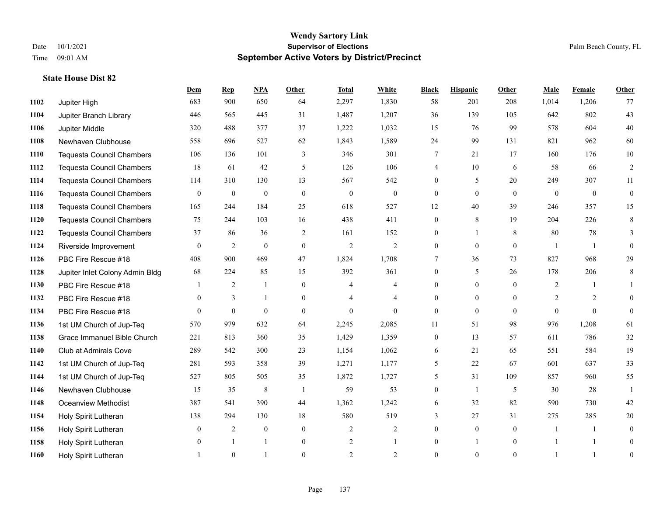|      |                                  | Dem          | <b>Rep</b>     | NPA          | <b>Other</b>   | <b>Total</b>     | <b>White</b>   | <b>Black</b>     | <b>Hispanic</b> | Other            | <b>Male</b>    | <b>Female</b> | <b>Other</b>   |
|------|----------------------------------|--------------|----------------|--------------|----------------|------------------|----------------|------------------|-----------------|------------------|----------------|---------------|----------------|
| 1102 | Jupiter High                     | 683          | 900            | 650          | 64             | 2,297            | 1,830          | 58               | 201             | 208              | 1,014          | 1,206         | 77             |
| 1104 | Jupiter Branch Library           | 446          | 565            | 445          | 31             | 1,487            | 1,207          | 36               | 139             | 105              | 642            | 802           | 43             |
| 1106 | Jupiter Middle                   | 320          | 488            | 377          | 37             | 1,222            | 1,032          | 15               | 76              | 99               | 578            | 604           | $40\,$         |
| 1108 | Newhaven Clubhouse               | 558          | 696            | 527          | 62             | 1,843            | 1,589          | 24               | 99              | 131              | 821            | 962           | 60             |
| 1110 | <b>Tequesta Council Chambers</b> | 106          | 136            | 101          | 3              | 346              | 301            | 7                | 21              | 17               | 160            | 176           | $10\,$         |
| 1112 | <b>Tequesta Council Chambers</b> | 18           | 61             | 42           | 5              | 126              | 106            | 4                | 10              | 6                | 58             | 66            | $\overline{2}$ |
| 1114 | <b>Tequesta Council Chambers</b> | 114          | 310            | 130          | 13             | 567              | 542            | $\overline{0}$   | 5               | 20               | 249            | 307           | 11             |
| 1116 | <b>Tequesta Council Chambers</b> | $\theta$     | $\mathbf{0}$   | $\mathbf{0}$ | $\theta$       | $\theta$         | $\theta$       | $\Omega$         | $\theta$        | $\Omega$         | $\theta$       | $\theta$      | $\theta$       |
| 1118 | <b>Tequesta Council Chambers</b> | 165          | 244            | 184          | 25             | 618              | 527            | 12               | 40              | 39               | 246            | 357           | 15             |
| 1120 | <b>Tequesta Council Chambers</b> | 75           | 244            | 103          | 16             | 438              | 411            | 0                | 8               | 19               | 204            | 226           | $\,8\,$        |
| 1122 | <b>Tequesta Council Chambers</b> | 37           | 86             | 36           | 2              | 161              | 152            | $\overline{0}$   | 1               | 8                | 80             | 78            | $\mathfrak{Z}$ |
| 1124 | Riverside Improvement            | $\theta$     | $\overline{2}$ | $\mathbf{0}$ | $\mathbf{0}$   | $\mathfrak{2}$   | $\mathfrak{2}$ | $\overline{0}$   | $\theta$        | $\theta$         | $\overline{1}$ | $\mathbf{1}$  | $\theta$       |
| 1126 | PBC Fire Rescue #18              | 408          | 900            | 469          | 47             | 1,824            | 1,708          | 7                | 36              | 73               | 827            | 968           | 29             |
| 1128 | Jupiter Inlet Colony Admin Bldg  | 68           | 224            | 85           | 15             | 392              | 361            | $\boldsymbol{0}$ | 5               | 26               | 178            | 206           | $\,8\,$        |
| 1130 | PBC Fire Rescue #18              |              | $\overline{2}$ | 1            | $\mathbf{0}$   | 4                | $\overline{4}$ | $\overline{0}$   | $\overline{0}$  | $\Omega$         | 2              |               |                |
| 1132 | PBC Fire Rescue #18              | $\theta$     | 3              | $\mathbf{1}$ | $\theta$       | 4                | $\overline{4}$ | $\theta$         | $\overline{0}$  | $\theta$         | $\overline{2}$ | 2             | $\theta$       |
| 1134 | PBC Fire Rescue #18              | $\theta$     | $\mathbf{0}$   | $\mathbf{0}$ | $\mathbf{0}$   | $\boldsymbol{0}$ | $\theta$       | $\boldsymbol{0}$ | $\overline{0}$  | $\mathbf{0}$     | $\overline{0}$ | $\theta$      | $\mathbf{0}$   |
| 1136 | 1st UM Church of Jup-Teq         | 570          | 979            | 632          | 64             | 2,245            | 2,085          | 11               | 51              | 98               | 976            | 1,208         | 61             |
| 1138 | Grace Immanuel Bible Church      | 221          | 813            | 360          | 35             | 1,429            | 1,359          | 0                | 13              | 57               | 611            | 786           | 32             |
| 1140 | Club at Admirals Cove            | 289          | 542            | 300          | 23             | 1,154            | 1,062          | 6                | 21              | 65               | 551            | 584           | 19             |
| 1142 | 1st UM Church of Jup-Teq         | 281          | 593            | 358          | 39             | 1,271            | 1,177          | 5                | 22              | 67               | 601            | 637           | 33             |
| 1144 | 1st UM Church of Jup-Teq         | 527          | 805            | 505          | 35             | 1,872            | 1,727          | 5                | 31              | 109              | 857            | 960           | 55             |
| 1146 | Newhaven Clubhouse               | 15           | 35             | 8            | $\overline{1}$ | 59               | 53             | 0                | 1               | 5                | 30             | 28            |                |
| 1148 | <b>Oceanview Methodist</b>       | 387          | 541            | 390          | 44             | 1,362            | 1,242          | 6                | 32              | 82               | 590            | 730           | 42             |
| 1154 | Holy Spirit Lutheran             | 138          | 294            | 130          | 18             | 580              | 519            | 3                | 27              | 31               | 275            | 285           | 20             |
| 1156 | Holy Spirit Lutheran             | $\mathbf{0}$ | 2              | $\mathbf{0}$ | $\mathbf{0}$   | 2                | 2              | $\overline{0}$   | $\overline{0}$  | $\theta$         | $\overline{1}$ |               | $\mathbf{0}$   |
| 1158 | Holy Spirit Lutheran             | $\theta$     |                | -1           | $\mathbf{0}$   | $\overline{c}$   |                | $\overline{0}$   |                 | $\boldsymbol{0}$ |                |               | $\theta$       |
| 1160 | Holy Spirit Lutheran             |              | $\theta$       |              | $\theta$       | $\mathfrak{D}$   | 2              | $\theta$         | $\theta$        | $\theta$         |                |               | $\overline{0}$ |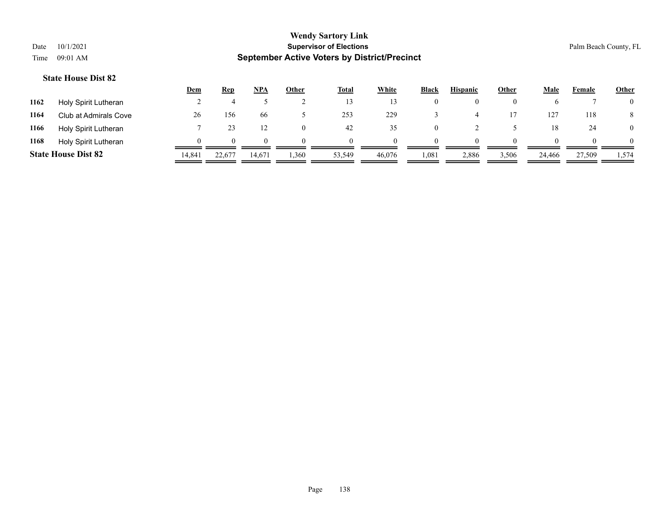|      |                            | <b>Dem</b> | <b>Rep</b>   | <b>NPA</b> | Other | <b>Total</b> | White  | <b>Black</b> | <b>Hispanic</b> | Other | Male   | Female | <b>Other</b>   |
|------|----------------------------|------------|--------------|------------|-------|--------------|--------|--------------|-----------------|-------|--------|--------|----------------|
| 1162 | Holy Spirit Lutheran       |            |              |            |       | 13           |        | $\bf{0}$     | $\theta$        |       |        |        | $\overline{0}$ |
| 1164 | Club at Admirals Cove      | 26         | 156          | 66         |       | 253          | 229    |              |                 |       | 127    | 118    | 8              |
| 1166 | Holy Spirit Lutheran       |            |              |            |       | 42           | 35     | 0            |                 |       | 18     | 24     | $\overline{0}$ |
| 1168 | Holy Spirit Lutheran       |            | $\mathbf{U}$ | 0          | 0     | $\theta$     |        | $\Omega$     | $\Omega$        |       |        |        | $\Omega$       |
|      | <b>State House Dist 82</b> | 14,841     | 22,677       | 14.671     | 1,360 | 53,549       | 46,076 | 1,081        | 2,886           | 3,506 | 24,466 | 27,509 | 1,574          |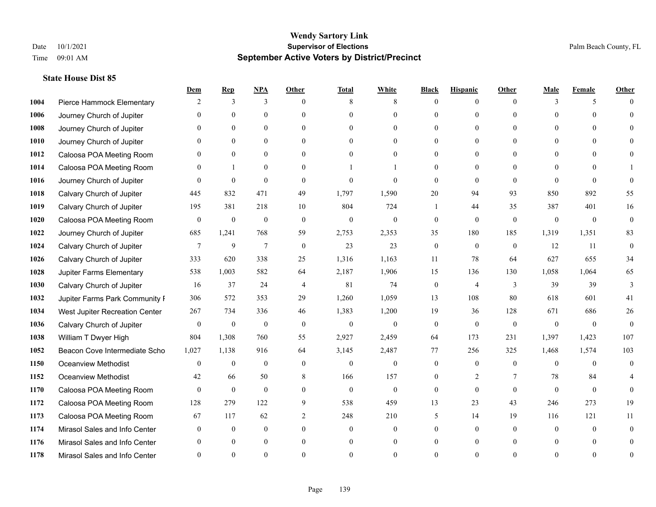|      |                                | Dem            | <b>Rep</b>       | NPA            | <b>Other</b> | <b>Total</b> | <b>White</b>     | <b>Black</b>     | <b>Hispanic</b>  | <b>Other</b> | <b>Male</b>  | <b>Female</b> | <b>Other</b> |
|------|--------------------------------|----------------|------------------|----------------|--------------|--------------|------------------|------------------|------------------|--------------|--------------|---------------|--------------|
| 1004 | Pierce Hammock Elementary      | 2              | 3                | 3              | $\Omega$     | 8            | 8                | $\mathbf{0}$     | $\mathbf{0}$     | $\theta$     | 3            | 5             | $\Omega$     |
| 1006 | Journey Church of Jupiter      | $\Omega$       | $\theta$         | $\mathbf{0}$   | $\Omega$     | $\Omega$     | $\overline{0}$   | $\theta$         | $\mathbf{0}$     | $\Omega$     | $\Omega$     | $\Omega$      | $\Omega$     |
| 1008 | Journey Church of Jupiter      | $\Omega$       | $\theta$         | $\theta$       | $\Omega$     | $\Omega$     | $\Omega$         | $\Omega$         | $\theta$         | $\Omega$     | $\Omega$     | $\Omega$      |              |
| 1010 | Journey Church of Jupiter      |                | $\mathbf{0}$     | $\mathbf{0}$   | $\mathbf{0}$ | $\theta$     | $\overline{0}$   | $\overline{0}$   | $\mathbf{0}$     | $\Omega$     | $\mathbf{0}$ | $\theta$      |              |
| 1012 | Caloosa POA Meeting Room       | $\Omega$       | $\theta$         | $\mathbf{0}$   | $\Omega$     | $\Omega$     | $\theta$         | $\Omega$         | $\theta$         | $\Omega$     | $\theta$     | $\Omega$      | $\Omega$     |
| 1014 | Caloosa POA Meeting Room       | $\Omega$       | -1               | $\mathbf{0}$   | $\Omega$     |              |                  | $\Omega$         | $\mathbf{0}$     | $\Omega$     | $\theta$     | 0             |              |
| 1016 | Journey Church of Jupiter      | $\Omega$       | $\theta$         | $\theta$       | $\theta$     | $\Omega$     | $\theta$         | $\theta$         | $\theta$         | $\theta$     | $\Omega$     | $\Omega$      | $\Omega$     |
| 1018 | Calvary Church of Jupiter      | 445            | 832              | 471            | 49           | 1,797        | 1,590            | 20               | 94               | 93           | 850          | 892           | 55           |
| 1019 | Calvary Church of Jupiter      | 195            | 381              | 218            | 10           | 804          | 724              |                  | 44               | 35           | 387          | 401           | 16           |
| 1020 | Caloosa POA Meeting Room       | $\mathbf{0}$   | $\mathbf{0}$     | $\mathbf{0}$   | $\mathbf{0}$ | $\mathbf{0}$ | $\boldsymbol{0}$ | $\mathbf{0}$     | $\mathbf{0}$     | $\mathbf{0}$ | $\mathbf{0}$ | $\mathbf{0}$  | $\mathbf{0}$ |
| 1022 | Journey Church of Jupiter      | 685            | 1,241            | 768            | 59           | 2,753        | 2,353            | 35               | 180              | 185          | 1,319        | 1,351         | 83           |
| 1024 | Calvary Church of Jupiter      | $\overline{7}$ | 9                | $\overline{7}$ | $\mathbf{0}$ | 23           | 23               | $\boldsymbol{0}$ | $\boldsymbol{0}$ | $\mathbf{0}$ | 12           | 11            | $\mathbf{0}$ |
| 1026 | Calvary Church of Jupiter      | 333            | 620              | 338            | 25           | 1,316        | 1,163            | 11               | 78               | 64           | 627          | 655           | 34           |
| 1028 | Jupiter Farms Elementary       | 538            | 1,003            | 582            | 64           | 2,187        | 1,906            | 15               | 136              | 130          | 1,058        | 1,064         | 65           |
| 1030 | Calvary Church of Jupiter      | 16             | 37               | 24             | 4            | 81           | 74               | $\mathbf{0}$     | $\overline{4}$   | 3            | 39           | 39            | 3            |
| 1032 | Jupiter Farms Park Community I | 306            | 572              | 353            | 29           | 1,260        | 1,059            | 13               | 108              | 80           | 618          | 601           | 41           |
| 1034 | West Jupiter Recreation Center | 267            | 734              | 336            | 46           | 1,383        | 1,200            | 19               | 36               | 128          | 671          | 686           | 26           |
| 1036 | Calvary Church of Jupiter      | $\mathbf{0}$   | $\boldsymbol{0}$ | $\mathbf{0}$   | $\theta$     | $\mathbf{0}$ | $\mathbf{0}$     | $\mathbf{0}$     | $\mathbf{0}$     | $\theta$     | $\theta$     | $\theta$      | $\theta$     |
| 1038 | William T Dwyer High           | 804            | 1,308            | 760            | 55           | 2,927        | 2,459            | 64               | 173              | 231          | 1,397        | 1,423         | 107          |
| 1052 | Beacon Cove Intermediate Scho  | 1,027          | 1,138            | 916            | 64           | 3,145        | 2,487            | 77               | 256              | 325          | 1,468        | 1,574         | 103          |
| 1150 | <b>Oceanview Methodist</b>     | $\mathbf{0}$   | $\boldsymbol{0}$ | $\mathbf{0}$   | $\theta$     | $\mathbf{0}$ | $\mathbf{0}$     | $\mathbf{0}$     | $\mathbf{0}$     | $\theta$     | $\theta$     | $\theta$      | $\mathbf{0}$ |
| 1152 | <b>Oceanview Methodist</b>     | 42             | 66               | 50             | 8            | 166          | 157              | $\overline{0}$   | $\overline{c}$   | 7            | 78           | 84            |              |
| 1170 | Caloosa POA Meeting Room       | $\theta$       | $\mathbf{0}$     | $\mathbf{0}$   | $\theta$     | $\mathbf{0}$ | $\mathbf{0}$     | $\mathbf{0}$     | $\theta$         | $\theta$     | $\theta$     | $\theta$      | $\theta$     |
| 1172 | Caloosa POA Meeting Room       | 128            | 279              | 122            | 9            | 538          | 459              | 13               | 23               | 43           | 246          | 273           | 19           |
| 1173 | Caloosa POA Meeting Room       | 67             | 117              | 62             | 2            | 248          | 210              | 5                | 14               | 19           | 116          | 121           | 11           |
| 1174 | Mirasol Sales and Info Center  | $\Omega$       | $\mathbf{0}$     | $\mathbf{0}$   | $\theta$     | $\theta$     | $\overline{0}$   | $\Omega$         | $\mathbf{0}$     | $\Omega$     | $\theta$     | $\theta$      | $\Omega$     |
| 1176 | Mirasol Sales and Info Center  |                | $\theta$         | $\theta$       | $\Omega$     | $\theta$     | $\overline{0}$   | $\overline{0}$   | $\theta$         | $\Omega$     |              | $\Omega$      | $\theta$     |
| 1178 | Mirasol Sales and Info Center  | $\Omega$       | $\Omega$         | $\Omega$       | $\Omega$     |              | $\Omega$         | $\Omega$         | $\Omega$         | $\Omega$     |              | $\Omega$      | $\theta$     |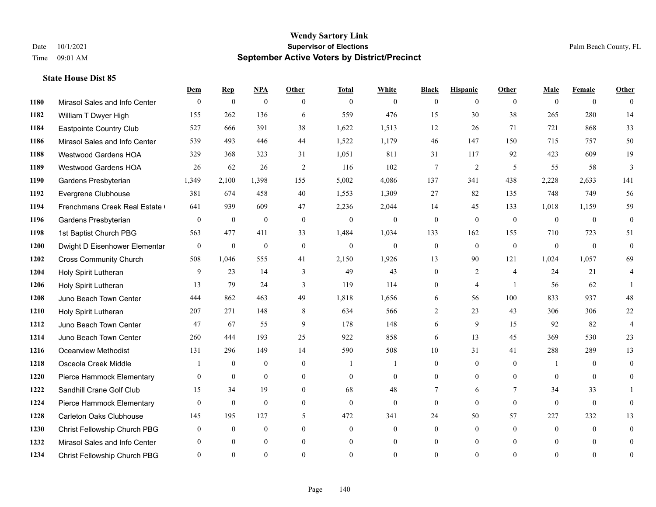|      |                                | Dem          | <b>Rep</b>       | $NPA$        | <b>Other</b>   | <b>Total</b>   | <b>White</b>   | <b>Black</b>     | <b>Hispanic</b>  | Other          | <b>Male</b>    | <b>Female</b>  | <b>Other</b>   |
|------|--------------------------------|--------------|------------------|--------------|----------------|----------------|----------------|------------------|------------------|----------------|----------------|----------------|----------------|
| 1180 | Mirasol Sales and Info Center  | $\mathbf{0}$ | $\boldsymbol{0}$ | $\mathbf{0}$ | $\theta$       | $\mathbf{0}$   | $\overline{0}$ | $\overline{0}$   | $\overline{0}$   | $\theta$       | $\theta$       | $\overline{0}$ | $\theta$       |
| 1182 | William T Dwyer High           | 155          | 262              | 136          | 6              | 559            | 476            | 15               | 30               | 38             | 265            | 280            | 14             |
| 1184 | Eastpointe Country Club        | 527          | 666              | 391          | 38             | 1,622          | 1,513          | 12               | 26               | 71             | 721            | 868            | 33             |
| 1186 | Mirasol Sales and Info Center  | 539          | 493              | 446          | 44             | 1,522          | 1,179          | 46               | 147              | 150            | 715            | 757            | 50             |
| 1188 | <b>Westwood Gardens HOA</b>    | 329          | 368              | 323          | 31             | 1,051          | 811            | 31               | 117              | 92             | 423            | 609            | 19             |
| 1189 | <b>Westwood Gardens HOA</b>    | 26           | 62               | 26           | 2              | 116            | 102            | 7                | 2                | 5              | 55             | 58             | 3              |
| 1190 | Gardens Presbyterian           | 1,349        | 2,100            | 1,398        | 155            | 5,002          | 4,086          | 137              | 341              | 438            | 2,228          | 2,633          | 141            |
| 1192 | Evergrene Clubhouse            | 381          | 674              | 458          | 40             | 1,553          | 1,309          | 27               | 82               | 135            | 748            | 749            | 56             |
| 1194 | Frenchmans Creek Real Estate   | 641          | 939              | 609          | 47             | 2,236          | 2,044          | 14               | 45               | 133            | 1,018          | 1,159          | 59             |
| 1196 | Gardens Presbyterian           | $\mathbf{0}$ | $\mathbf{0}$     | $\mathbf{0}$ | $\mathbf{0}$   | $\mathbf{0}$   | $\overline{0}$ | $\mathbf{0}$     | $\mathbf{0}$     | $\Omega$       | $\theta$       | $\theta$       | $\mathbf{0}$   |
| 1198 | 1st Baptist Church PBG         | 563          | 477              | 411          | 33             | 1,484          | 1,034          | 133              | 162              | 155            | 710            | 723            | 51             |
| 1200 | Dwight D Eisenhower Elementar  | $\mathbf{0}$ | $\mathbf{0}$     | $\mathbf{0}$ | $\mathbf{0}$   | $\overline{0}$ | $\overline{0}$ | $\boldsymbol{0}$ | $\mathbf{0}$     | $\mathbf{0}$   | $\mathbf{0}$   | $\theta$       | $\theta$       |
| 1202 | <b>Cross Community Church</b>  | 508          | 1,046            | 555          | 41             | 2,150          | 1,926          | 13               | 90               | 121            | 1,024          | 1,057          | 69             |
| 1204 | Holy Spirit Lutheran           | 9            | 23               | 14           | 3              | 49             | 43             | $\boldsymbol{0}$ | $\overline{c}$   | $\overline{4}$ | 24             | 21             | $\overline{4}$ |
| 1206 | Holy Spirit Lutheran           | 13           | 79               | 24           | 3              | 119            | 114            | 0                | 4                | $\overline{1}$ | 56             | 62             |                |
| 1208 | Juno Beach Town Center         | 444          | 862              | 463          | 49             | 1,818          | 1,656          | 6                | 56               | 100            | 833            | 937            | 48             |
| 1210 | Holy Spirit Lutheran           | 207          | 271              | 148          | 8              | 634            | 566            | $\overline{2}$   | 23               | 43             | 306            | 306            | 22             |
| 1212 | Juno Beach Town Center         | 47           | 67               | 55           | 9              | 178            | 148            | 6                | 9                | 15             | 92             | 82             | 4              |
| 1214 | Juno Beach Town Center         | 260          | 444              | 193          | 25             | 922            | 858            | 6                | 13               | 45             | 369            | 530            | 23             |
| 1216 | <b>Oceanview Methodist</b>     | 131          | 296              | 149          | 14             | 590            | 508            | 10               | 31               | 41             | 288            | 289            | 13             |
| 1218 | Osceola Creek Middle           |              | $\theta$         | $\theta$     | $\Omega$       | $\overline{1}$ |                | $\overline{0}$   | $\Omega$         | $\Omega$       | $\mathbf{1}$   | $\Omega$       | $\theta$       |
| 1220 | Pierce Hammock Elementary      | $\mathbf{0}$ | $\boldsymbol{0}$ | $\mathbf{0}$ | $\mathbf{0}$   | $\overline{0}$ | $\overline{0}$ | $\overline{0}$   | $\boldsymbol{0}$ | $\mathbf{0}$   | $\overline{0}$ | $\mathbf{0}$   | $\overline{0}$ |
| 1222 | Sandhill Crane Golf Club       | 15           | 34               | 19           | $\overline{0}$ | 68             | 48             | 7                | 6                | 7              | 34             | 33             |                |
| 1224 | Pierce Hammock Elementary      | $\theta$     | $\theta$         | $\theta$     | $\theta$       | $\theta$       | $\overline{0}$ | $\mathbf{0}$     | $\mathbf{0}$     | $\theta$       | $\theta$       | $\mathbf{0}$   | $\theta$       |
| 1228 | <b>Carleton Oaks Clubhouse</b> | 145          | 195              | 127          | $\mathfrak{H}$ | 472            | 341            | 24               | 50               | 57             | 227            | 232            | 13             |
| 1230 | Christ Fellowship Church PBG   | $\theta$     | $\mathbf{0}$     | $\mathbf{0}$ | $\theta$       | $\mathbf{0}$   | $\overline{0}$ | 0                | $\overline{0}$   | $\theta$       | $\theta$       | $\theta$       | $\mathbf{0}$   |
| 1232 | Mirasol Sales and Info Center  |              | $\Omega$         | $\theta$     | $\theta$       | $\theta$       | $\overline{0}$ | $\overline{0}$   | $\overline{0}$   | $\Omega$       | $\Omega$       | $\theta$       | $\mathbf{0}$   |
| 1234 | Christ Fellowship Church PBG   | $\Omega$     | $\Omega$         | $\theta$     | $\Omega$       | $\Omega$       | $\theta$       | $\theta$         | $\theta$         | $\Omega$       | $\Omega$       | $\Omega$       | $\mathbf{0}$   |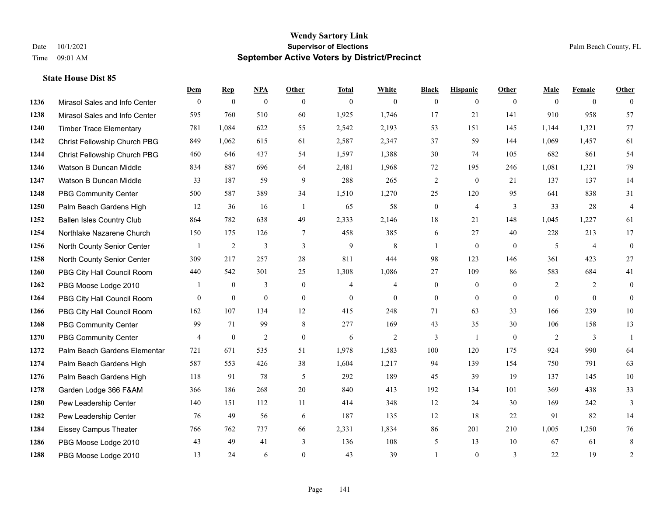**State House Dist 85**

#### **Wendy Sartory Link** Date 10/1/2021 **Supervisor of Elections** Palm Beach County, FL Time 09:01 AM **September Active Voters by District/Precinct**

# **Dem Rep NPA Other Total White Black Hispanic Other Male Female Other** Mirasol Sales and Info Center 0 0 0 0 0 0 0 0 0 0 0 0 Mirasol Sales and Info Center 595 760 510 60 1,925 1,746 17 21 141 910 958 57 Timber Trace Elementary 781 1,084 622 55 2,542 2,193 53 151 145 1,144 1,321 77 Christ Fellowship Church PBG 849 1,062 615 61 2,587 2,347 37 59 144 1,069 1,457 61 Christ Fellowship Church PBG 460 646 437 54 1,597 1,388 30 74 105 682 861 54 Watson B Duncan Middle 834 887 696 64 2,481 1,968 72 195 246 1,081 1,321 79 Watson B Duncan Middle 33 187 59 9 288 265 2 0 21 137 137 14 PBG Community Center 500 587 389 34 1,510 1,270 25 120 95 641 838 31 Palm Beach Gardens High 12 36 16 1 65 58 0 4 3 33 28 4 Ballen Isles Country Club 864 782 638 49 2,333 2,146 18 21 148 1,045 1,227 61 Northlake Nazarene Church 150 175 126 7 458 385 6 27 40 228 213 17 North County Senior Center 1 2 3 3 3 9 8 1 0 0 5 4 0 North County Senior Center 309 217 257 28 811 444 98 123 146 361 423 27 PBG City Hall Council Room 440 542 301 25 1,308 1,086 27 109 86 583 684 41 PBG Moose Lodge 2010 1 0 3 0 4 4 0 0 0 2 2 0 PBG City Hall Council Room 0 0 0 0 0 0 0 0 0 0 0 0 PBG City Hall Council Room 162 107 134 12 415 248 71 63 33 166 239 10 PBG Community Center 99 71 99 8 277 169 43 35 30 106 158 13 PBG Community Center  $\begin{array}{ccccccccccccc}\n4 & 0 & 2 & 0 & 6 & 2 & 3 & 1 & 0 & 2 & 3 & 1\n\end{array}$  Palm Beach Gardens Elementary 721 671 535 51 1,978 1,583 100 120 175 924 990 64 Palm Beach Gardens High 587 553 426 38 1,604 1,217 94 139 154 750 791 63 Palm Beach Gardens High 118 91 78 5 292 189 45 39 19 137 145 10 Garden Lodge 366 F&AM 366 186 268 20 840 413 192 134 101 369 438 33 Pew Leadership Center 140 151 112 11 414 348 12 24 30 169 242 3 Pew Leadership Center 76 49 56 6 187 135 12 18 22 91 82 14 Eissey Campus Theater 766 762 737 66 2,331 1,834 86 201 210 1,005 1,250 76 PBG Moose Lodge 2010 43 49 41 3 136 108 5 13 10 67 61 8 PBG Moose Lodge 2010 13 24 6 0 43 39 1 0 3 22 19 2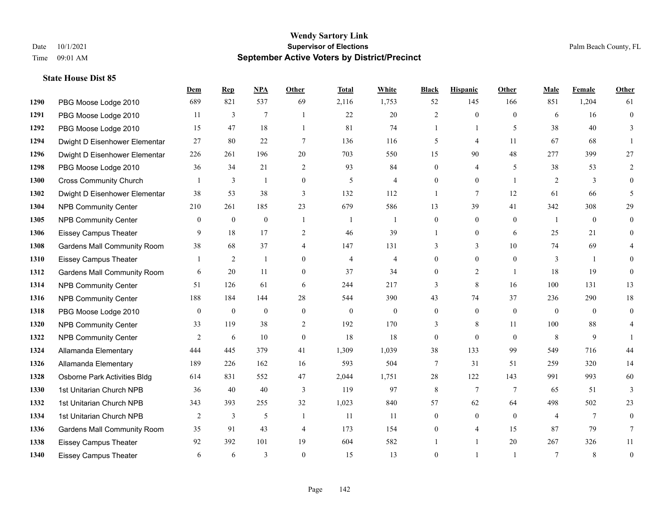**State House Dist 85**

#### **Wendy Sartory Link** Date 10/1/2021 **Supervisor of Elections** Palm Beach County, FL Time 09:01 AM **September Active Voters by District/Precinct**

# **Dem Rep NPA Other Total White Black Hispanic Other Male Female Other** PBG Moose Lodge 2010 689 821 537 69 2,116 1,753 52 145 166 851 1,204 61 PBG Moose Lodge 2010 11 3 7 1 22 20 2 0 0 6 16 0 **1292 PBG Moose Lodge 2010** 15 47 18 1 81 74 1 1 5 38 40 3 Dwight D Eisenhower Elementar 27 80 22 7 136 116 5 4 11 67 68 1 Dwight D Eisenhower Elementary 226 261 196 20 703 550 15 90 48 277 399 27 PBG Moose Lodge 2010 36 34 21 2 93 84 0 4 5 38 53 2 Cross Community Church 1 3 1 0 5 4 0 0 1 2 3 0 Dwight D Eisenhower Elementar 38 53 38 3 132 112 1 7 12 61 66 5 NPB Community Center 210 261 185 23 679 586 13 39 41 342 308 29 NPB Community Center 0 0 0 1 1 1 0 0 0 1 0 0 Eissey Campus Theater **9** 18 17 2 46 39 1 0 6 25 21 0 Gardens Mall Community Room 38 68 37 4 147 131 3 3 3 10 74 69 4 Eissey Campus Theater 1 2 1 0 4 4 0 0 0 3 1 0 **1312 Gardens Mall Community Room** 6 20 11 0 37 34 0 2 1 18 19 0 NPB Community Center 51 126 61 6 244 217 3 8 16 100 131 13 NPB Community Center 188 184 144 28 544 390 43 74 37 236 290 18 PBG Moose Lodge 2010 0 0 0 0 0 0 0 0 0 0 0 0 NPB Community Center **33** 119 38 2 192 170 3 8 11 100 88 4 **1322 NPB Community Center**  $\begin{array}{cccccccc} 2 & 6 & 10 & 0 & 18 & 18 & 0 & 0 & 8 & 9 & 1 \end{array}$  Allamanda Elementary 444 445 379 41 1,309 1,039 38 133 99 549 716 44 Allamanda Elementary 189 226 162 16 593 504 7 31 51 259 320 14 Osborne Park Activities Bldg 614 831 552 47 2,044 1,751 28 122 143 991 993 60 1st Unitarian Church NPB 36 40 40 3 119 97 8 7 7 65 51 3 1st Unitarian Church NPB 343 393 255 32 1,023 840 57 62 64 498 502 23 **1334 1st Unitarian Church NPB** 2 3 5 1 11 11 0 0 0 4 7 0 Gardens Mall Community Room 35 91 43 4 173 154 0 4 15 87 79 7 Eissey Campus Theater 92 392 101 19 604 582 1 1 20 267 326 11 Eissey Campus Theater 6 6 6 3 0 15 13 0 1 1 7 8 0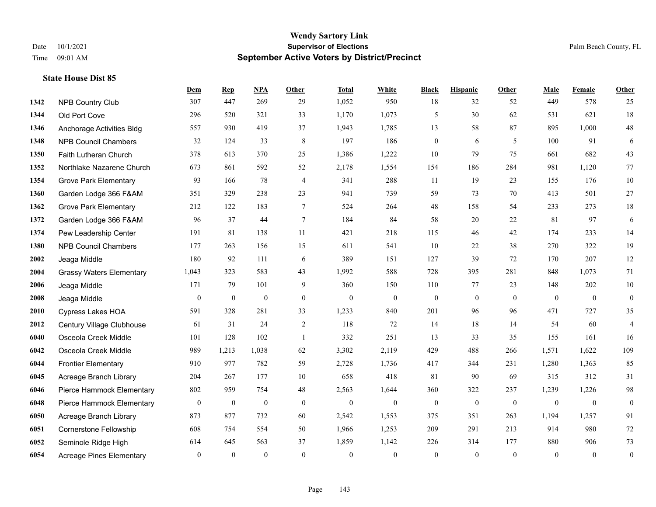|      |                                 | Dem          | <b>Rep</b>       | NPA              | <b>Other</b> | <b>Total</b>     | <b>White</b>     | <b>Black</b>     | <b>Hispanic</b>  | <b>Other</b>     | <b>Male</b>  | Female       | Other            |
|------|---------------------------------|--------------|------------------|------------------|--------------|------------------|------------------|------------------|------------------|------------------|--------------|--------------|------------------|
| 1342 | NPB Country Club                | 307          | 447              | 269              | 29           | 1,052            | 950              | 18               | 32               | 52               | 449          | 578          | 25               |
| 1344 | Old Port Cove                   | 296          | 520              | 321              | 33           | 1,170            | 1,073            | 5                | 30               | 62               | 531          | 621          | $18\,$           |
| 1346 | Anchorage Activities Bldg       | 557          | 930              | 419              | 37           | 1,943            | 1,785            | 13               | 58               | 87               | 895          | 1,000        | $48\,$           |
| 1348 | <b>NPB Council Chambers</b>     | 32           | 124              | 33               | $\,8\,$      | 197              | 186              | $\boldsymbol{0}$ | 6                | 5                | 100          | 91           | 6                |
| 1350 | Faith Lutheran Church           | 378          | 613              | 370              | 25           | 1,386            | 1,222            | 10               | 79               | 75               | 661          | 682          | 43               |
| 1352 | Northlake Nazarene Church       | 673          | 861              | 592              | 52           | 2,178            | 1,554            | 154              | 186              | 284              | 981          | 1,120        | 77               |
| 1354 | <b>Grove Park Elementary</b>    | 93           | 166              | 78               | 4            | 341              | 288              | 11               | 19               | 23               | 155          | 176          | $10\,$           |
| 1360 | Garden Lodge 366 F&AM           | 351          | 329              | 238              | 23           | 941              | 739              | 59               | 73               | 70               | 413          | 501          | 27               |
| 1362 | <b>Grove Park Elementary</b>    | 212          | 122              | 183              | $\tau$       | 524              | 264              | 48               | 158              | 54               | 233          | 273          | 18               |
| 1372 | Garden Lodge 366 F&AM           | 96           | 37               | 44               | $\tau$       | 184              | 84               | 58               | 20               | 22               | 81           | 97           | $\sqrt{6}$       |
| 1374 | Pew Leadership Center           | 191          | 81               | 138              | 11           | 421              | 218              | 115              | 46               | 42               | 174          | 233          | 14               |
| 1380 | <b>NPB Council Chambers</b>     | 177          | 263              | 156              | 15           | 611              | 541              | 10               | 22               | 38               | 270          | 322          | 19               |
| 2002 | Jeaga Middle                    | 180          | 92               | 111              | 6            | 389              | 151              | 127              | 39               | 72               | 170          | 207          | 12               |
| 2004 | <b>Grassy Waters Elementary</b> | 1,043        | 323              | 583              | 43           | 1,992            | 588              | 728              | 395              | 281              | 848          | 1,073        | 71               |
| 2006 | Jeaga Middle                    | 171          | 79               | 101              | 9            | 360              | 150              | 110              | 77               | 23               | 148          | 202          | $10\,$           |
| 2008 | Jeaga Middle                    | $\mathbf{0}$ | $\boldsymbol{0}$ | $\mathbf{0}$     | $\mathbf{0}$ | $\theta$         | $\boldsymbol{0}$ | $\boldsymbol{0}$ | $\mathbf{0}$     | $\theta$         | $\mathbf{0}$ | $\mathbf{0}$ | $\boldsymbol{0}$ |
| 2010 | <b>Cypress Lakes HOA</b>        | 591          | 328              | 281              | 33           | 1,233            | 840              | 201              | 96               | 96               | 471          | 727          | 35               |
| 2012 | Century Village Clubhouse       | 61           | 31               | 24               | 2            | 118              | 72               | 14               | 18               | 14               | 54           | 60           | $\overline{4}$   |
| 6040 | Osceola Creek Middle            | 101          | 128              | 102              | -1           | 332              | 251              | 13               | 33               | 35               | 155          | 161          | 16               |
| 6042 | Osceola Creek Middle            | 989          | 1,213            | 1,038            | 62           | 3,302            | 2,119            | 429              | 488              | 266              | 1,571        | 1,622        | 109              |
| 6044 | <b>Frontier Elementary</b>      | 910          | 977              | 782              | 59           | 2,728            | 1,736            | 417              | 344              | 231              | 1,280        | 1,363        | 85               |
| 6045 | Acreage Branch Library          | 204          | 267              | 177              | 10           | 658              | 418              | 81               | 90               | 69               | 315          | 312          | 31               |
| 6046 | Pierce Hammock Elementary       | 802          | 959              | 754              | 48           | 2,563            | 1,644            | 360              | 322              | 237              | 1,239        | 1,226        | 98               |
| 6048 | Pierce Hammock Elementary       | $\bf{0}$     | $\boldsymbol{0}$ | $\boldsymbol{0}$ | $\mathbf{0}$ | $\boldsymbol{0}$ | $\boldsymbol{0}$ | $\boldsymbol{0}$ | $\boldsymbol{0}$ | $\boldsymbol{0}$ | $\mathbf{0}$ | $\mathbf{0}$ | $\boldsymbol{0}$ |
| 6050 | Acreage Branch Library          | 873          | 877              | 732              | 60           | 2,542            | 1,553            | 375              | 351              | 263              | 1,194        | 1,257        | 91               |
| 6051 | Cornerstone Fellowship          | 608          | 754              | 554              | 50           | 1,966            | 1,253            | 209              | 291              | 213              | 914          | 980          | $72\,$           |
| 6052 | Seminole Ridge High             | 614          | 645              | 563              | 37           | 1,859            | 1,142            | 226              | 314              | 177              | 880          | 906          | $73\,$           |
| 6054 | <b>Acreage Pines Elementary</b> | $\mathbf{0}$ | $\mathbf{0}$     | $\mathbf{0}$     | $\theta$     | $\theta$         | $\mathbf{0}$     | $\theta$         | $\mathbf{0}$     | $\mathbf{0}$     | $\theta$     | $\mathbf{0}$ | $\boldsymbol{0}$ |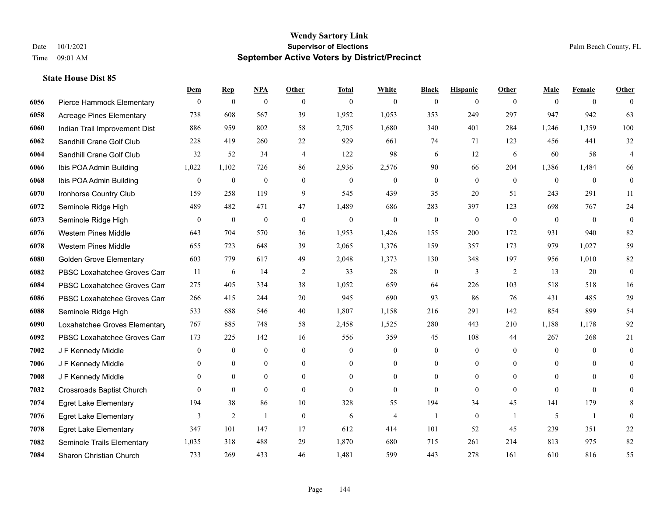|      |                                  | Dem              | <b>Rep</b>       | NPA              | <b>Other</b>     | <b>Total</b> | <b>White</b>     | <b>Black</b>     | <b>Hispanic</b>  | Other          | <b>Male</b>  | <b>Female</b>  | <b>Other</b>     |
|------|----------------------------------|------------------|------------------|------------------|------------------|--------------|------------------|------------------|------------------|----------------|--------------|----------------|------------------|
| 6056 | Pierce Hammock Elementary        | $\mathbf{0}$     | $\mathbf{0}$     | $\boldsymbol{0}$ | $\theta$         | $\theta$     | $\overline{0}$   | $\mathbf{0}$     | $\mathbf{0}$     | $\theta$       | $\theta$     | $\overline{0}$ | $\theta$         |
| 6058 | <b>Acreage Pines Elementary</b>  | 738              | 608              | 567              | 39               | 1,952        | 1,053            | 353              | 249              | 297            | 947          | 942            | 63               |
| 6060 | Indian Trail Improvement Dist    | 886              | 959              | 802              | 58               | 2,705        | 1,680            | 340              | 401              | 284            | 1,246        | 1,359          | 100              |
| 6062 | Sandhill Crane Golf Club         | 228              | 419              | 260              | 22               | 929          | 661              | 74               | 71               | 123            | 456          | 441            | $32\,$           |
| 6064 | Sandhill Crane Golf Club         | 32               | 52               | 34               | $\overline{4}$   | 122          | 98               | 6                | 12               | 6              | 60           | 58             | $\overline{4}$   |
| 6066 | Ibis POA Admin Building          | 1,022            | 1,102            | 726              | 86               | 2,936        | 2,576            | 90               | 66               | 204            | 1,386        | 1,484          | 66               |
| 6068 | Ibis POA Admin Building          | $\mathbf{0}$     | $\boldsymbol{0}$ | $\mathbf{0}$     | $\mathbf{0}$     | $\theta$     | $\mathbf{0}$     | $\boldsymbol{0}$ | $\mathbf{0}$     | $\mathbf{0}$   | $\mathbf{0}$ | $\mathbf{0}$   | $\boldsymbol{0}$ |
| 6070 | Ironhorse Country Club           | 159              | 258              | 119              | 9                | 545          | 439              | 35               | 20               | 51             | 243          | 291            | 11               |
| 6072 | Seminole Ridge High              | 489              | 482              | 471              | 47               | 1,489        | 686              | 283              | 397              | 123            | 698          | 767            | 24               |
| 6073 | Seminole Ridge High              | $\overline{0}$   | $\boldsymbol{0}$ | $\mathbf{0}$     | $\mathbf{0}$     | $\theta$     | $\overline{0}$   | $\mathbf{0}$     | $\mathbf{0}$     | $\mathbf{0}$   | $\mathbf{0}$ | $\overline{0}$ | $\boldsymbol{0}$ |
| 6076 | <b>Western Pines Middle</b>      | 643              | 704              | 570              | 36               | 1,953        | 1,426            | 155              | 200              | 172            | 931          | 940            | 82               |
| 6078 | <b>Western Pines Middle</b>      | 655              | 723              | 648              | 39               | 2,065        | 1,376            | 159              | 357              | 173            | 979          | 1.027          | 59               |
| 6080 | <b>Golden Grove Elementary</b>   | 603              | 779              | 617              | 49               | 2,048        | 1,373            | 130              | 348              | 197            | 956          | 1,010          | 82               |
| 6082 | PBSC Loxahatchee Groves Can      | 11               | 6                | 14               | $\overline{2}$   | 33           | 28               | $\boldsymbol{0}$ | $\mathfrak{Z}$   | $\overline{2}$ | 13           | 20             | $\boldsymbol{0}$ |
| 6084 | PBSC Loxahatchee Groves Can      | 275              | 405              | 334              | 38               | 1,052        | 659              | 64               | 226              | 103            | 518          | 518            | 16               |
| 6086 | PBSC Loxahatchee Groves Can      | 266              | 415              | 244              | 20               | 945          | 690              | 93               | 86               | 76             | 431          | 485            | 29               |
| 6088 | Seminole Ridge High              | 533              | 688              | 546              | 40               | 1,807        | 1,158            | 216              | 291              | 142            | 854          | 899            | 54               |
| 6090 | Loxahatchee Groves Elementary    | 767              | 885              | 748              | 58               | 2,458        | 1,525            | 280              | 443              | 210            | 1,188        | 1,178          | 92               |
| 6092 | PBSC Loxahatchee Groves Can      | 173              | 225              | 142              | 16               | 556          | 359              | 45               | 108              | 44             | 267          | 268            | 21               |
| 7002 | J F Kennedy Middle               | $\boldsymbol{0}$ | $\boldsymbol{0}$ | $\boldsymbol{0}$ | $\boldsymbol{0}$ | $\mathbf{0}$ | $\boldsymbol{0}$ | $\boldsymbol{0}$ | $\boldsymbol{0}$ | $\overline{0}$ | $\mathbf{0}$ | $\overline{0}$ | $\boldsymbol{0}$ |
| 7006 | J F Kennedy Middle               | $\theta$         | $\mathbf{0}$     | $\mathbf{0}$     | $\theta$         | $\theta$     | $\overline{0}$   | $\mathbf{0}$     | $\mathbf{0}$     | $\theta$       | $\theta$     | $\theta$       | $\theta$         |
| 7008 | J F Kennedy Middle               | $\theta$         | $\mathbf{0}$     | $\mathbf{0}$     | $\overline{0}$   | $\theta$     | $\overline{0}$   | $\overline{0}$   | $\mathbf{0}$     | $\Omega$       | $\theta$     | $\theta$       | $\Omega$         |
| 7032 | <b>Crossroads Baptist Church</b> | $\theta$         | $\mathbf{0}$     | $\mathbf{0}$     | $\overline{0}$   | $\theta$     | $\overline{0}$   | $\mathbf{0}$     | $\mathbf{0}$     | $\theta$       | $\mathbf{0}$ | $\theta$       | $\overline{0}$   |
| 7074 | <b>Egret Lake Elementary</b>     | 194              | 38               | 86               | 10               | 328          | 55               | 194              | 34               | 45             | 141          | 179            | 8                |
| 7076 | <b>Egret Lake Elementary</b>     | 3                | 2                | $\mathbf{1}$     | $\mathbf{0}$     | 6            | $\overline{4}$   | 1                | $\mathbf{0}$     | $\overline{1}$ | 5            | $\mathbf{1}$   | $\theta$         |
| 7078 | <b>Egret Lake Elementary</b>     | 347              | 101              | 147              | 17               | 612          | 414              | 101              | 52               | 45             | 239          | 351            | $22\,$           |
| 7082 | Seminole Trails Elementary       | 1,035            | 318              | 488              | 29               | 1,870        | 680              | 715              | 261              | 214            | 813          | 975            | 82               |
| 7084 | Sharon Christian Church          | 733              | 269              | 433              | 46               | 1,481        | 599              | 443              | 278              | 161            | 610          | 816            | 55               |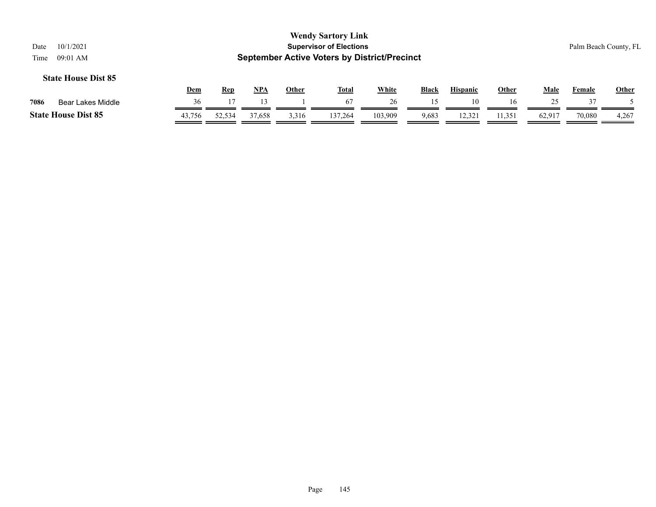|      |                            |            |            |               |              | <b>Wendy Sartory Link</b>                           |              |              |                 |              |             |        |                       |
|------|----------------------------|------------|------------|---------------|--------------|-----------------------------------------------------|--------------|--------------|-----------------|--------------|-------------|--------|-----------------------|
| Date | 10/1/2021                  |            |            |               |              | <b>Supervisor of Elections</b>                      |              |              |                 |              |             |        | Palm Beach County, FL |
| Time | $09:01$ AM                 |            |            |               |              | <b>September Active Voters by District/Precinct</b> |              |              |                 |              |             |        |                       |
|      | <b>State House Dist 85</b> | <b>Dem</b> | <u>Rep</u> | <u>NPA</u>    | <b>Other</b> | <u>Total</u>                                        | <b>White</b> | <b>Black</b> | <b>Hispanic</b> | <u>Other</u> | <u>Male</u> | Female | <b>Other</b>          |
| 7086 | Bear Lakes Middle          | 36         |            | $\mathcal{R}$ |              | 67                                                  | 26           |              | 10              | 16           | 25          |        |                       |

**State House Dist 85** 43,756 52,534 37,658 3,316 137,264 103,909 9,683 12,321 11,351 62,917 70,080 4,267

 $\overline{\phantom{a}}$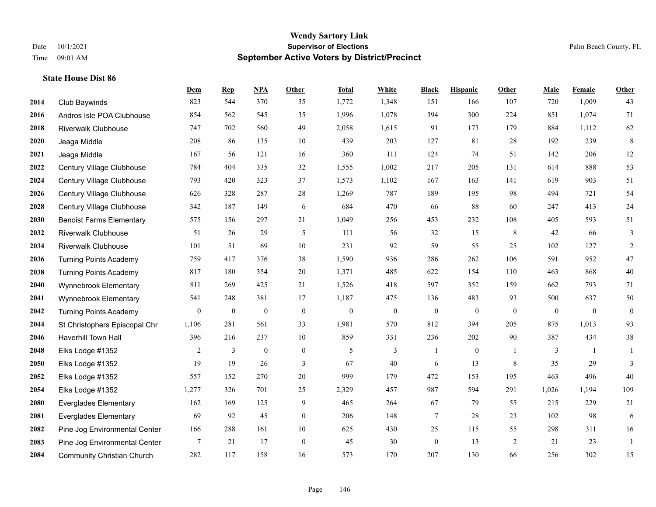|      |                                   | Dem              | <b>Rep</b>       | NPA              | <b>Other</b> | <b>Total</b>     | <b>White</b>     | <b>Black</b>     | <b>Hispanic</b> | <b>Other</b>     | <b>Male</b>  | <b>Female</b>    | <b>Other</b>   |
|------|-----------------------------------|------------------|------------------|------------------|--------------|------------------|------------------|------------------|-----------------|------------------|--------------|------------------|----------------|
| 2014 | Club Baywinds                     | 823              | 544              | 370              | 35           | 1,772            | 1,348            | 151              | 166             | 107              | 720          | 1,009            | 43             |
| 2016 | Andros Isle POA Clubhouse         | 854              | 562              | 545              | 35           | 1,996            | 1,078            | 394              | 300             | 224              | 851          | 1,074            | 71             |
| 2018 | <b>Riverwalk Clubhouse</b>        | 747              | 702              | 560              | 49           | 2,058            | 1,615            | 91               | 173             | 179              | 884          | 1,112            | 62             |
| 2020 | Jeaga Middle                      | 208              | 86               | 135              | 10           | 439              | 203              | 127              | 81              | 28               | 192          | 239              | $\,8\,$        |
| 2021 | Jeaga Middle                      | 167              | 56               | 121              | 16           | 360              | 111              | 124              | 74              | 51               | 142          | 206              | 12             |
| 2022 | Century Village Clubhouse         | 784              | 404              | 335              | 32           | 1,555            | 1,002            | 217              | 205             | 131              | 614          | 888              | 53             |
| 2024 | Century Village Clubhouse         | 793              | 420              | 323              | 37           | 1,573            | 1,102            | 167              | 163             | 141              | 619          | 903              | 51             |
| 2026 | Century Village Clubhouse         | 626              | 328              | 287              | 28           | 1,269            | 787              | 189              | 195             | 98               | 494          | 721              | 54             |
| 2028 | Century Village Clubhouse         | 342              | 187              | 149              | 6            | 684              | 470              | 66               | $88\,$          | 60               | 247          | 413              | 24             |
| 2030 | <b>Benoist Farms Elementary</b>   | 575              | 156              | 297              | 21           | 1,049            | 256              | 453              | 232             | 108              | 405          | 593              | 51             |
| 2032 | <b>Riverwalk Clubhouse</b>        | 51               | 26               | 29               | 5            | 111              | 56               | 32               | 15              | 8                | 42           | 66               | 3              |
| 2034 | <b>Riverwalk Clubhouse</b>        | 101              | 51               | 69               | 10           | 231              | 92               | 59               | 55              | 25               | 102          | 127              | $\overline{c}$ |
| 2036 | <b>Turning Points Academy</b>     | 759              | 417              | 376              | 38           | 1,590            | 936              | 286              | 262             | 106              | 591          | 952              | $47\,$         |
| 2038 | <b>Turning Points Academy</b>     | 817              | 180              | 354              | $20\,$       | 1,371            | 485              | 622              | 154             | 110              | 463          | 868              | 40             |
| 2040 | Wynnebrook Elementary             | 811              | 269              | 425              | 21           | 1,526            | 418              | 597              | 352             | 159              | 662          | 793              | 71             |
| 2041 | Wynnebrook Elementary             | 541              | 248              | 381              | 17           | 1,187            | 475              | 136              | 483             | 93               | 500          | 637              | 50             |
| 2042 | <b>Turning Points Academy</b>     | $\boldsymbol{0}$ | $\boldsymbol{0}$ | $\boldsymbol{0}$ | $\mathbf{0}$ | $\boldsymbol{0}$ | $\boldsymbol{0}$ | $\boldsymbol{0}$ | $\mathbf{0}$    | $\boldsymbol{0}$ | $\mathbf{0}$ | $\boldsymbol{0}$ | $\mathbf{0}$   |
| 2044 | St Christophers Episcopal Chr     | 1,106            | 281              | 561              | 33           | 1,981            | 570              | 812              | 394             | 205              | 875          | 1,013            | 93             |
| 2046 | Haverhill Town Hall               | 396              | 216              | 237              | 10           | 859              | 331              | 236              | 202             | 90               | 387          | 434              | $38\,$         |
| 2048 | Elks Lodge #1352                  | $\overline{2}$   | $\mathfrak{Z}$   | $\boldsymbol{0}$ | $\mathbf{0}$ | 5                | $\mathfrak{Z}$   | $\mathbf{1}$     | $\mathbf{0}$    | $\overline{1}$   | 3            | 1                | 1              |
| 2050 | Elks Lodge #1352                  | 19               | 19               | 26               | 3            | 67               | 40               | 6                | 13              | 8                | 35           | 29               | 3              |
| 2052 | Elks Lodge #1352                  | 557              | 152              | 270              | 20           | 999              | 179              | 472              | 153             | 195              | 463          | 496              | 40             |
| 2054 | Elks Lodge #1352                  | 1,277            | 326              | 701              | 25           | 2,329            | 457              | 987              | 594             | 291              | 1,026        | 1,194            | 109            |
| 2080 | <b>Everglades Elementary</b>      | 162              | 169              | 125              | 9            | 465              | 264              | 67               | 79              | 55               | 215          | 229              | 21             |
| 2081 | <b>Everglades Elementary</b>      | 69               | 92               | 45               | $\mathbf{0}$ | 206              | 148              | $\tau$           | 28              | 23               | 102          | 98               | 6              |
| 2082 | Pine Jog Environmental Center     | 166              | 288              | 161              | 10           | 625              | 430              | 25               | 115             | 55               | 298          | 311              | 16             |
| 2083 | Pine Jog Environmental Center     | $\tau$           | 21               | 17               | $\mathbf{0}$ | 45               | 30               | $\boldsymbol{0}$ | 13              | $\overline{2}$   | 21           | 23               | -1             |
| 2084 | <b>Community Christian Church</b> | 282              | 117              | 158              | 16           | 573              | 170              | 207              | 130             | 66               | 256          | 302              | 15             |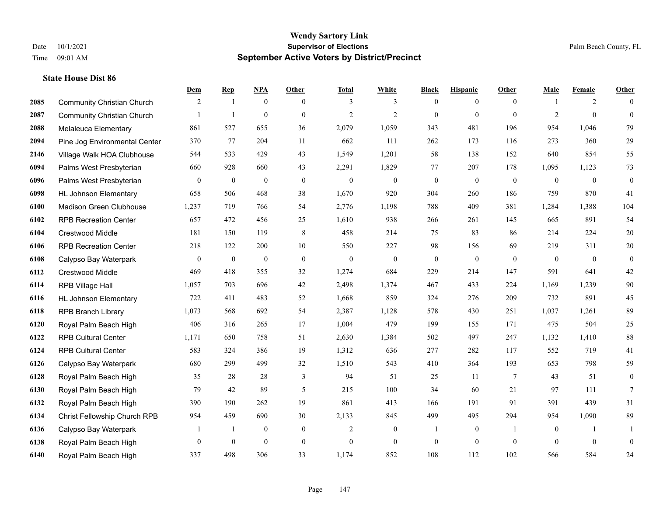|      |                                   | Dem            | <b>Rep</b>     | NPA              | Other            | <b>Total</b>     | <b>White</b>     | <b>Black</b>     | <b>Hispanic</b>  | <b>Other</b>             | <b>Male</b>  | <b>Female</b>  | <b>Other</b>     |
|------|-----------------------------------|----------------|----------------|------------------|------------------|------------------|------------------|------------------|------------------|--------------------------|--------------|----------------|------------------|
| 2085 | <b>Community Christian Church</b> | 2              | $\overline{1}$ | $\mathbf{0}$     | $\overline{0}$   | 3                | 3                | $\mathbf{0}$     | $\boldsymbol{0}$ | $\theta$                 |              | 2              | $\theta$         |
| 2087 | <b>Community Christian Church</b> |                | $\mathbf{1}$   | $\mathbf{0}$     | $\mathbf{0}$     | $\overline{2}$   | $\overline{2}$   | $\mathbf{0}$     | $\mathbf{0}$     | $\theta$                 | 2            | $\theta$       | $\mathbf{0}$     |
| 2088 | Melaleuca Elementary              | 861            | 527            | 655              | 36               | 2,079            | 1,059            | 343              | 481              | 196                      | 954          | 1,046          | 79               |
| 2094 | Pine Jog Environmental Center     | 370            | 77             | 204              | 11               | 662              | 111              | 262              | 173              | 116                      | 273          | 360            | 29               |
| 2146 | Village Walk HOA Clubhouse        | 544            | 533            | 429              | 43               | 1,549            | 1,201            | 58               | 138              | 152                      | 640          | 854            | 55               |
| 6094 | Palms West Presbyterian           | 660            | 928            | 660              | 43               | 2,291            | 1,829            | 77               | 207              | 178                      | 1,095        | 1,123          | 73               |
| 6096 | Palms West Presbyterian           | 0              | $\mathbf{0}$   | $\boldsymbol{0}$ | $\boldsymbol{0}$ | $\theta$         | $\boldsymbol{0}$ | $\boldsymbol{0}$ | $\boldsymbol{0}$ | $\mathbf{0}$             | $\mathbf{0}$ | $\mathbf{0}$   | $\boldsymbol{0}$ |
| 6098 | <b>HL Johnson Elementary</b>      | 658            | 506            | 468              | 38               | 1,670            | 920              | 304              | 260              | 186                      | 759          | 870            | 41               |
| 6100 | <b>Madison Green Clubhouse</b>    | 1,237          | 719            | 766              | 54               | 2,776            | 1,198            | 788              | 409              | 381                      | 1,284        | 1,388          | 104              |
| 6102 | <b>RPB Recreation Center</b>      | 657            | 472            | 456              | 25               | 1,610            | 938              | 266              | 261              | 145                      | 665          | 891            | 54               |
| 6104 | Crestwood Middle                  | 181            | 150            | 119              | $\,8\,$          | 458              | 214              | 75               | 83               | 86                       | 214          | 224            | $20\,$           |
| 6106 | <b>RPB Recreation Center</b>      | 218            | 122            | 200              | 10               | 550              | 227              | 98               | 156              | 69                       | 219          | 311            | $20\,$           |
| 6108 | Calypso Bay Waterpark             | 0              | $\mathbf{0}$   | $\boldsymbol{0}$ | $\boldsymbol{0}$ | $\boldsymbol{0}$ | $\boldsymbol{0}$ | $\boldsymbol{0}$ | $\boldsymbol{0}$ | $\mathbf{0}$             | $\mathbf{0}$ | $\overline{0}$ | $\boldsymbol{0}$ |
| 6112 | Crestwood Middle                  | 469            | 418            | 355              | 32               | 1,274            | 684              | 229              | 214              | 147                      | 591          | 641            | $42\,$           |
| 6114 | RPB Village Hall                  | 1,057          | 703            | 696              | 42               | 2,498            | 1,374            | 467              | 433              | 224                      | 1,169        | 1,239          | 90               |
| 6116 | <b>HL Johnson Elementary</b>      | 722            | 411            | 483              | 52               | 1,668            | 859              | 324              | 276              | 209                      | 732          | 891            | 45               |
| 6118 | <b>RPB Branch Library</b>         | 1,073          | 568            | 692              | 54               | 2,387            | 1,128            | 578              | 430              | 251                      | 1,037        | 1,261          | 89               |
| 6120 | Royal Palm Beach High             | 406            | 316            | 265              | 17               | 1,004            | 479              | 199              | 155              | 171                      | 475          | 504            | 25               |
| 6122 | <b>RPB Cultural Center</b>        | 1,171          | 650            | 758              | 51               | 2,630            | 1,384            | 502              | 497              | 247                      | 1,132        | 1,410          | $88\,$           |
| 6124 | <b>RPB Cultural Center</b>        | 583            | 324            | 386              | 19               | 1,312            | 636              | 277              | 282              | 117                      | 552          | 719            | 41               |
| 6126 | Calypso Bay Waterpark             | 680            | 299            | 499              | 32               | 1,510            | 543              | 410              | 364              | 193                      | 653          | 798            | 59               |
| 6128 | Royal Palm Beach High             | 35             | 28             | $28\,$           | 3                | 94               | 51               | $25\,$           | 11               | $\overline{7}$           | 43           | 51             | $\boldsymbol{0}$ |
| 6130 | Royal Palm Beach High             | 79             | 42             | 89               | 5                | 215              | 100              | 34               | 60               | 21                       | 97           | 111            | 7                |
| 6132 | Royal Palm Beach High             | 390            | 190            | 262              | 19               | 861              | 413              | 166              | 191              | 91                       | 391          | 439            | 31               |
| 6134 | Christ Fellowship Church RPB      | 954            | 459            | 690              | 30               | 2,133            | 845              | 499              | 495              | 294                      | 954          | 1,090          | 89               |
| 6136 | Calypso Bay Waterpark             |                | -1             | $\boldsymbol{0}$ | $\boldsymbol{0}$ | $\overline{2}$   | $\boldsymbol{0}$ |                  | $\boldsymbol{0}$ | $\overline{\phantom{a}}$ | $\mathbf{0}$ |                |                  |
| 6138 | Royal Palm Beach High             | $\overline{0}$ | $\overline{0}$ | $\mathbf{0}$     | $\boldsymbol{0}$ | $\theta$         | $\mathbf{0}$     | $\boldsymbol{0}$ | $\mathbf{0}$     | $\theta$                 | $\theta$     | $\mathbf{0}$   | $\mathbf{0}$     |
| 6140 | Royal Palm Beach High             | 337            | 498            | 306              | 33               | 1,174            | 852              | 108              | 112              | 102                      | 566          | 584            | 24               |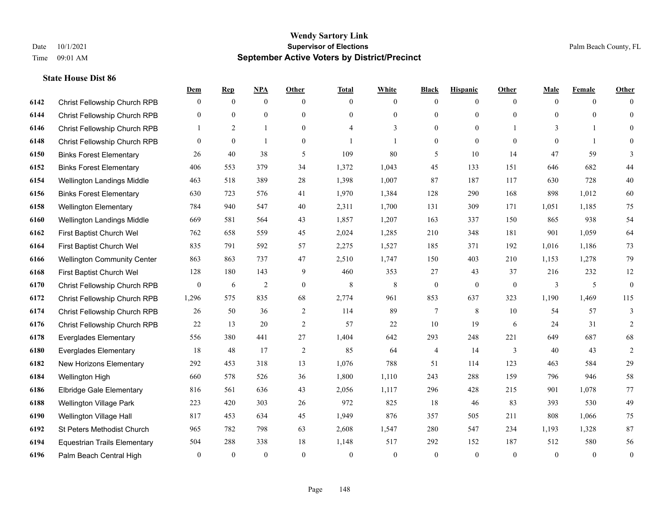|      |                                     | Dem              | <b>Rep</b>     | NPA            | Other            | <b>Total</b>   | <b>White</b>   | <b>Black</b>     | <b>Hispanic</b>  | <b>Other</b>   | <b>Male</b>  | <b>Female</b>  | <b>Other</b>     |
|------|-------------------------------------|------------------|----------------|----------------|------------------|----------------|----------------|------------------|------------------|----------------|--------------|----------------|------------------|
| 6142 | Christ Fellowship Church RPB        | $\overline{0}$   | $\overline{0}$ | $\mathbf{0}$   | $\mathbf{0}$     | $\theta$       | $\mathbf{0}$   | $\mathbf{0}$     | $\mathbf{0}$     | $\overline{0}$ | $\theta$     | $\overline{0}$ | $\Omega$         |
| 6144 | Christ Fellowship Church RPB        | $\overline{0}$   | $\mathbf{0}$   | $\mathbf{0}$   | $\mathbf{0}$     | $\theta$       | $\mathbf{0}$   | $\mathbf{0}$     | $\mathbf{0}$     | $\Omega$       | $\theta$     | $\theta$       | $\overline{0}$   |
| 6146 | Christ Fellowship Church RPB        | $\mathbf{1}$     | 2              | $\mathbf{1}$   | $\theta$         | $\overline{4}$ | 3              | $\theta$         | $\theta$         |                | 3            | $\mathbf{1}$   | $\theta$         |
| 6148 | Christ Fellowship Church RPB        | $\overline{0}$   | $\mathbf{0}$   | $\mathbf{1}$   | $\boldsymbol{0}$ |                | 1              | $\boldsymbol{0}$ | $\mathbf{0}$     | $\overline{0}$ | $\mathbf{0}$ | $\mathbf{1}$   | $\theta$         |
| 6150 | <b>Binks Forest Elementary</b>      | 26               | 40             | 38             | 5                | 109            | 80             | 5                | 10               | 14             | 47           | 59             | 3                |
| 6152 | <b>Binks Forest Elementary</b>      | 406              | 553            | 379            | 34               | 1,372          | 1,043          | 45               | 133              | 151            | 646          | 682            | 44               |
| 6154 | Wellington Landings Middle          | 463              | 518            | 389            | 28               | 1,398          | 1,007          | 87               | 187              | 117            | 630          | 728            | 40               |
| 6156 | <b>Binks Forest Elementary</b>      | 630              | 723            | 576            | 41               | 1,970          | 1,384          | 128              | 290              | 168            | 898          | 1,012          | 60               |
| 6158 | <b>Wellington Elementary</b>        | 784              | 940            | 547            | 40               | 2,311          | 1,700          | 131              | 309              | 171            | 1,051        | 1,185          | 75               |
| 6160 | Wellington Landings Middle          | 669              | 581            | 564            | 43               | 1,857          | 1,207          | 163              | 337              | 150            | 865          | 938            | 54               |
| 6162 | First Baptist Church Wel            | 762              | 658            | 559            | 45               | 2,024          | 1,285          | 210              | 348              | 181            | 901          | 1,059          | 64               |
| 6164 | First Baptist Church Wel            | 835              | 791            | 592            | 57               | 2,275          | 1,527          | 185              | 371              | 192            | 1,016        | 1,186          | 73               |
| 6166 | <b>Wellington Community Center</b>  | 863              | 863            | 737            | 47               | 2,510          | 1,747          | 150              | 403              | 210            | 1,153        | 1,278          | 79               |
| 6168 | First Baptist Church Wel            | 128              | 180            | 143            | 9                | 460            | 353            | 27               | 43               | 37             | 216          | 232            | $12\,$           |
| 6170 | Christ Fellowship Church RPB        | $\boldsymbol{0}$ | 6              | $\overline{2}$ | $\boldsymbol{0}$ | 8              | 8              | $\boldsymbol{0}$ | $\boldsymbol{0}$ | $\overline{0}$ | 3            | 5              | $\boldsymbol{0}$ |
| 6172 | Christ Fellowship Church RPB        | 1,296            | 575            | 835            | 68               | 2,774          | 961            | 853              | 637              | 323            | 1,190        | 1,469          | 115              |
| 6174 | Christ Fellowship Church RPB        | 26               | 50             | 36             | $\sqrt{2}$       | 114            | 89             | $\tau$           | 8                | 10             | 54           | 57             | 3                |
| 6176 | Christ Fellowship Church RPB        | 22               | 13             | 20             | 2                | 57             | 22             | 10               | 19               | 6              | 24           | 31             | 2                |
| 6178 | <b>Everglades Elementary</b>        | 556              | 380            | 441            | 27               | 1,404          | 642            | 293              | 248              | 221            | 649          | 687            | 68               |
| 6180 | <b>Everglades Elementary</b>        | 18               | 48             | 17             | $\overline{2}$   | 85             | 64             | 4                | 14               | 3              | 40           | 43             | $\mathfrak{2}$   |
| 6182 | New Horizons Elementary             | 292              | 453            | 318            | 13               | 1,076          | 788            | 51               | 114              | 123            | 463          | 584            | 29               |
| 6184 | Wellington High                     | 660              | 578            | 526            | 36               | 1,800          | 1,110          | 243              | 288              | 159            | 796          | 946            | 58               |
| 6186 | <b>Elbridge Gale Elementary</b>     | 816              | 561            | 636            | 43               | 2,056          | 1,117          | 296              | 428              | 215            | 901          | 1,078          | 77               |
| 6188 | <b>Wellington Village Park</b>      | 223              | 420            | 303            | 26               | 972            | 825            | 18               | 46               | 83             | 393          | 530            | 49               |
| 6190 | Wellington Village Hall             | 817              | 453            | 634            | 45               | 1,949          | 876            | 357              | 505              | 211            | 808          | 1,066          | $75\,$           |
| 6192 | St Peters Methodist Church          | 965              | 782            | 798            | 63               | 2,608          | 1,547          | 280              | 547              | 234            | 1,193        | 1,328          | 87               |
| 6194 | <b>Equestrian Trails Elementary</b> | 504              | 288            | 338            | 18               | 1,148          | 517            | 292              | 152              | 187            | 512          | 580            | 56               |
| 6196 | Palm Beach Central High             | $\overline{0}$   | $\mathbf{0}$   | $\mathbf{0}$   | $\theta$         | $\theta$       | $\overline{0}$ | $\theta$         | $\theta$         | $\theta$       | $\theta$     | $\theta$       | $\boldsymbol{0}$ |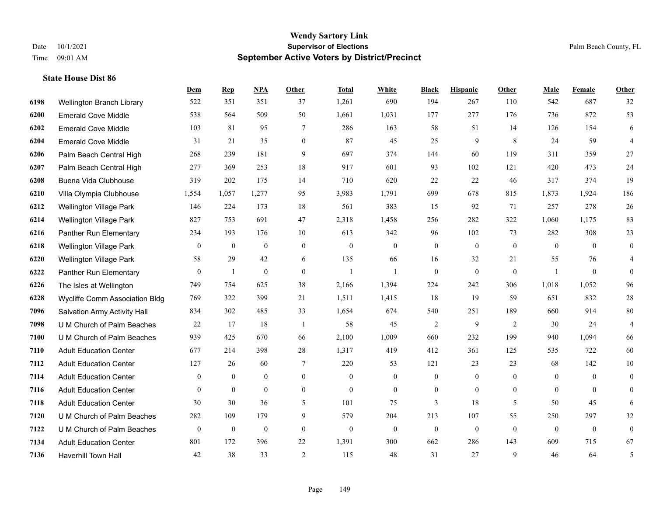|      |                                | Dem              | <b>Rep</b>       | NPA              | <b>Other</b>   | <b>Total</b>     | <b>White</b>     | <b>Black</b>     | <b>Hispanic</b>  | Other          | <b>Male</b>    | <b>Female</b>    | <b>Other</b>   |
|------|--------------------------------|------------------|------------------|------------------|----------------|------------------|------------------|------------------|------------------|----------------|----------------|------------------|----------------|
| 6198 | Wellington Branch Library      | 522              | 351              | 351              | 37             | 1,261            | 690              | 194              | 267              | 110            | 542            | 687              | 32             |
| 6200 | <b>Emerald Cove Middle</b>     | 538              | 564              | 509              | 50             | 1,661            | 1,031            | 177              | 277              | 176            | 736            | 872              | 53             |
| 6202 | <b>Emerald Cove Middle</b>     | 103              | 81               | 95               | 7              | 286              | 163              | 58               | 51               | 14             | 126            | 154              | 6              |
| 6204 | <b>Emerald Cove Middle</b>     | 31               | 21               | 35               | $\overline{0}$ | 87               | 45               | 25               | 9                | 8              | 24             | 59               | $\overline{4}$ |
| 6206 | Palm Beach Central High        | 268              | 239              | 181              | 9              | 697              | 374              | 144              | 60               | 119            | 311            | 359              | 27             |
| 6207 | Palm Beach Central High        | 277              | 369              | 253              | 18             | 917              | 601              | 93               | 102              | 121            | 420            | 473              | 24             |
| 6208 | Buena Vida Clubhouse           | 319              | 202              | 175              | 14             | 710              | 620              | 22               | 22               | 46             | 317            | 374              | 19             |
| 6210 | Villa Olympia Clubhouse        | 1,554            | 1,057            | 1,277            | 95             | 3,983            | 1,791            | 699              | 678              | 815            | 1,873          | 1,924            | 186            |
| 6212 | Wellington Village Park        | 146              | 224              | 173              | 18             | 561              | 383              | 15               | 92               | 71             | 257            | 278              | $26\,$         |
| 6214 | Wellington Village Park        | 827              | 753              | 691              | 47             | 2,318            | 1,458            | 256              | 282              | 322            | 1,060          | 1,175            | 83             |
| 6216 | Panther Run Elementary         | 234              | 193              | 176              | 10             | 613              | 342              | 96               | 102              | 73             | 282            | 308              | 23             |
| 6218 | Wellington Village Park        | $\mathbf{0}$     | $\overline{0}$   | $\mathbf{0}$     | $\mathbf{0}$   | $\boldsymbol{0}$ | $\boldsymbol{0}$ | $\overline{0}$   | $\mathbf{0}$     | $\mathbf{0}$   | $\mathbf{0}$   | $\theta$         | $\overline{0}$ |
| 6220 | Wellington Village Park        | 58               | 29               | 42               | 6              | 135              | 66               | 16               | 32               | 21             | 55             | 76               | 4              |
| 6222 | Panther Run Elementary         | $\boldsymbol{0}$ | 1                | $\boldsymbol{0}$ | $\mathbf{0}$   | $\mathbf{1}$     | 1                | $\boldsymbol{0}$ | $\overline{0}$   | $\mathbf{0}$   | $\overline{1}$ | $\boldsymbol{0}$ | $\mathbf{0}$   |
| 6226 | The Isles at Wellington        | 749              | 754              | 625              | 38             | 2,166            | 1,394            | 224              | 242              | 306            | 1,018          | 1,052            | 96             |
| 6228 | Wycliffe Comm Association Bldg | 769              | 322              | 399              | 21             | 1,511            | 1,415            | 18               | 19               | 59             | 651            | 832              | $28\,$         |
| 7096 | Salvation Army Activity Hall   | 834              | 302              | 485              | 33             | 1,654            | 674              | 540              | 251              | 189            | 660            | 914              | $80\,$         |
| 7098 | U M Church of Palm Beaches     | 22               | 17               | 18               | $\overline{1}$ | 58               | 45               | $\overline{c}$   | 9                | 2              | 30             | 24               | $\overline{4}$ |
| 7100 | U M Church of Palm Beaches     | 939              | 425              | 670              | 66             | 2,100            | 1,009            | 660              | 232              | 199            | 940            | 1,094            | 66             |
| 7110 | <b>Adult Education Center</b>  | 677              | 214              | 398              | 28             | 1,317            | 419              | 412              | 361              | 125            | 535            | 722              | 60             |
| 7112 | <b>Adult Education Center</b>  | 127              | 26               | 60               | 7              | 220              | 53               | 121              | 23               | 23             | 68             | 142              | 10             |
| 7114 | <b>Adult Education Center</b>  | $\mathbf{0}$     | $\overline{0}$   | $\mathbf{0}$     | $\overline{0}$ | $\theta$         | $\overline{0}$   | $\mathbf{0}$     | $\overline{0}$   | $\theta$       | $\mathbf{0}$   | $\theta$         | $\theta$       |
| 7116 | <b>Adult Education Center</b>  | $\overline{0}$   | $\overline{0}$   | $\boldsymbol{0}$ | $\overline{0}$ | $\mathbf{0}$     | $\mathbf{0}$     | $\boldsymbol{0}$ | $\overline{0}$   | $\overline{0}$ | $\overline{0}$ | $\overline{0}$   | $\overline{0}$ |
| 7118 | <b>Adult Education Center</b>  | 30               | 30               | 36               | 5              | 101              | 75               | 3                | 18               | 5              | 50             | 45               | 6              |
| 7120 | U M Church of Palm Beaches     | 282              | 109              | 179              | 9              | 579              | 204              | 213              | 107              | 55             | 250            | 297              | 32             |
| 7122 | U M Church of Palm Beaches     | $\boldsymbol{0}$ | $\boldsymbol{0}$ | $\boldsymbol{0}$ | $\mathbf{0}$   | $\theta$         | $\overline{0}$   | $\mathbf{0}$     | $\boldsymbol{0}$ | $\theta$       | $\mathbf{0}$   | $\mathbf{0}$     | $\overline{0}$ |
| 7134 | <b>Adult Education Center</b>  | 801              | 172              | 396              | 22             | 1,391            | 300              | 662              | 286              | 143            | 609            | 715              | 67             |
| 7136 | <b>Haverhill Town Hall</b>     | 42               | 38               | 33               | 2              | 115              | 48               | 31               | 27               | $\mathbf{Q}$   | 46             | 64               | 5              |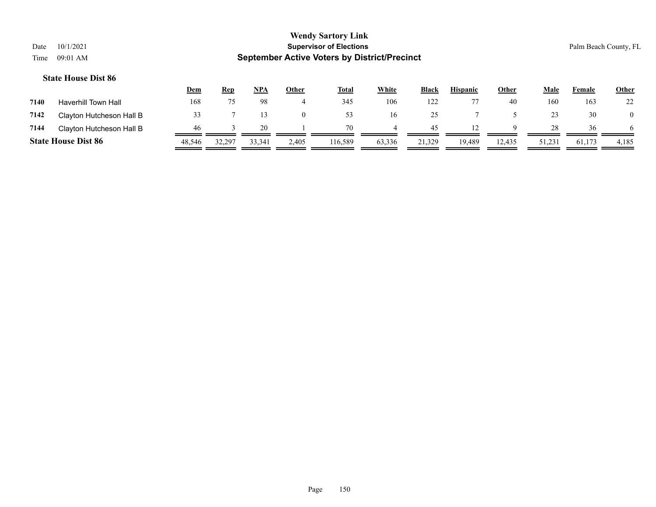## **Wendy Sartory Link** Date 10/1/2021 **Supervisor of Elections** Palm Beach County, FL Time 09:01 AM **September Active Voters by District/Precinct Dem Rep NPA Other Total White Black Hispanic Other Male Female Other State House Dist 86 7140** Haverhill Town Hall 168 75 98 4 345 106 122 77 40 160 163 22

| 7142 | Clayton Hutcheson Hall B   | 33     |        |              | $\Omega$ | 53      | 16       | 25     |        |        |        | 30     |       |
|------|----------------------------|--------|--------|--------------|----------|---------|----------|--------|--------|--------|--------|--------|-------|
| 7144 | Clayton Hutcheson Hall B   | -46    |        | $20^{\circ}$ |          | 70      | $\sim$ 4 | 45     | 12     | 9      | 28     | 36     | -6    |
|      | <b>State House Dist 86</b> | 48.546 | 32,297 | 33,341       | 2,405    | 116,589 | 63,336   | 21,329 | 19,489 | 12,435 | 51,231 | 61,173 | 4,185 |
|      |                            |        |        |              |          |         |          |        |        |        |        |        |       |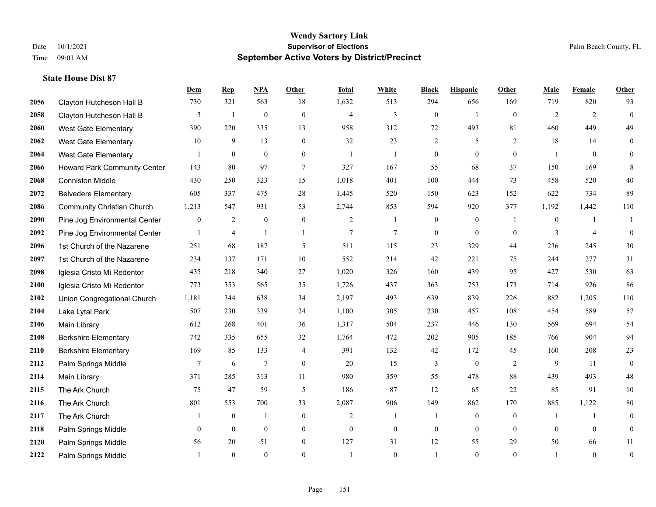|      |                                   | Dem          | <b>Rep</b>     | NPA              | <b>Other</b>   | <b>Total</b>   | <b>White</b>     | <b>Black</b>     | <b>Hispanic</b>  | <b>Other</b> | <b>Male</b>    | Female         | <b>Other</b>     |
|------|-----------------------------------|--------------|----------------|------------------|----------------|----------------|------------------|------------------|------------------|--------------|----------------|----------------|------------------|
| 2056 | Clayton Hutcheson Hall B          | 730          | 321            | 563              | 18             | 1,632          | 513              | 294              | 656              | 169          | 719            | 820            | 93               |
| 2058 | Clayton Hutcheson Hall B          | 3            | $\mathbf{1}$   | $\boldsymbol{0}$ | $\mathbf{0}$   | $\overline{4}$ | 3                | $\boldsymbol{0}$ | $\mathbf{1}$     | $\mathbf{0}$ | 2              | 2              | $\boldsymbol{0}$ |
| 2060 | <b>West Gate Elementary</b>       | 390          | 220            | 335              | 13             | 958            | 312              | 72               | 493              | 81           | 460            | 449            | 49               |
| 2062 | <b>West Gate Elementary</b>       | 10           | 9              | 13               | $\overline{0}$ | 32             | 23               | $\overline{c}$   | 5                | 2            | 18             | 14             | $\mathbf{0}$     |
| 2064 | West Gate Elementary              |              | $\mathbf{0}$   | $\overline{0}$   | $\overline{0}$ | -1             | -1               | $\boldsymbol{0}$ | $\mathbf{0}$     | $\theta$     |                | $\theta$       | $\boldsymbol{0}$ |
| 2066 | Howard Park Community Center      | 143          | 80             | 97               | 7              | 327            | 167              | 55               | 68               | 37           | 150            | 169            | 8                |
| 2068 | <b>Conniston Middle</b>           | 430          | 250            | 323              | 15             | 1,018          | 401              | 100              | 444              | 73           | 458            | 520            | $40\,$           |
| 2072 | <b>Belvedere Elementary</b>       | 605          | 337            | 475              | 28             | 1,445          | 520              | 150              | 623              | 152          | 622            | 734            | 89               |
| 2086 | <b>Community Christian Church</b> | 1,213        | 547            | 931              | 53             | 2,744          | 853              | 594              | 920              | 377          | 1,192          | 1,442          | 110              |
| 2090 | Pine Jog Environmental Center     | $\mathbf{0}$ | $\overline{c}$ | $\boldsymbol{0}$ | $\mathbf{0}$   | 2              | $\mathbf{1}$     | $\boldsymbol{0}$ | $\boldsymbol{0}$ | -1           | $\overline{0}$ | -1             | 1                |
| 2092 | Pine Jog Environmental Center     | $\mathbf{1}$ | $\overline{4}$ | $\mathbf{1}$     | $\overline{1}$ | 7              | $\overline{7}$   | $\boldsymbol{0}$ | $\mathbf{0}$     | $\theta$     | 3              | $\overline{4}$ | $\mathbf{0}$     |
| 2096 | 1st Church of the Nazarene        | 251          | 68             | 187              | 5              | 511            | 115              | 23               | 329              | 44           | 236            | 245            | 30               |
| 2097 | 1st Church of the Nazarene        | 234          | 137            | 171              | 10             | 552            | 214              | 42               | 221              | 75           | 244            | 277            | 31               |
| 2098 | Iglesia Cristo Mi Redentor        | 435          | 218            | 340              | 27             | 1,020          | 326              | 160              | 439              | 95           | 427            | 530            | 63               |
| 2100 | Iglesia Cristo Mi Redentor        | 773          | 353            | 565              | 35             | 1,726          | 437              | 363              | 753              | 173          | 714            | 926            | 86               |
| 2102 | Union Congregational Church       | 1,181        | 344            | 638              | 34             | 2,197          | 493              | 639              | 839              | 226          | 882            | 1,205          | 110              |
| 2104 | Lake Lytal Park                   | 507          | 230            | 339              | 24             | 1,100          | 305              | 230              | 457              | 108          | 454            | 589            | 57               |
| 2106 | Main Library                      | 612          | 268            | 401              | 36             | 1,317          | 504              | 237              | 446              | 130          | 569            | 694            | 54               |
| 2108 | <b>Berkshire Elementary</b>       | 742          | 335            | 655              | 32             | 1,764          | 472              | 202              | 905              | 185          | 766            | 904            | 94               |
| 2110 | <b>Berkshire Elementary</b>       | 169          | 85             | 133              | 4              | 391            | 132              | 42               | 172              | 45           | 160            | 208            | 23               |
| 2112 | Palm Springs Middle               | $\tau$       | 6              | $\overline{7}$   | $\Omega$       | 20             | 15               | 3                | $\mathbf{0}$     | 2            | 9              | 11             | $\mathbf{0}$     |
| 2114 | Main Library                      | 371          | 285            | 313              | 11             | 980            | 359              | 55               | 478              | 88           | 439            | 493            | $48\,$           |
| 2115 | The Ark Church                    | 75           | 47             | 59               | 5              | 186            | 87               | 12               | 65               | 22           | 85             | 91             | $10\,$           |
| 2116 | The Ark Church                    | 801          | 553            | 700              | 33             | 2,087          | 906              | 149              | 862              | 170          | 885            | 1,122          | $80\,$           |
| 2117 | The Ark Church                    | 1            | $\mathbf{0}$   | $\mathbf{1}$     | $\overline{0}$ | $\overline{2}$ | $\mathbf{1}$     | 1                | $\mathbf{0}$     | $\theta$     | -1             | $\mathbf{1}$   | $\boldsymbol{0}$ |
| 2118 | Palm Springs Middle               | $\mathbf{0}$ | $\mathbf{0}$   | $\mathbf{0}$     | $\overline{0}$ | $\mathbf{0}$   | $\boldsymbol{0}$ | $\boldsymbol{0}$ | $\mathbf{0}$     | $\mathbf{0}$ | $\mathbf{0}$   | $\mathbf{0}$   | $\boldsymbol{0}$ |
| 2120 | Palm Springs Middle               | 56           | 20             | 51               | $\overline{0}$ | 127            | 31               | 12               | 55               | 29           | 50             | 66             | 11               |
| 2122 | Palm Springs Middle               |              | $\theta$       | $\theta$         | $\Omega$       |                | $\theta$         | $\mathbf{1}$     | $\theta$         | $\theta$     |                | $\theta$       | $\boldsymbol{0}$ |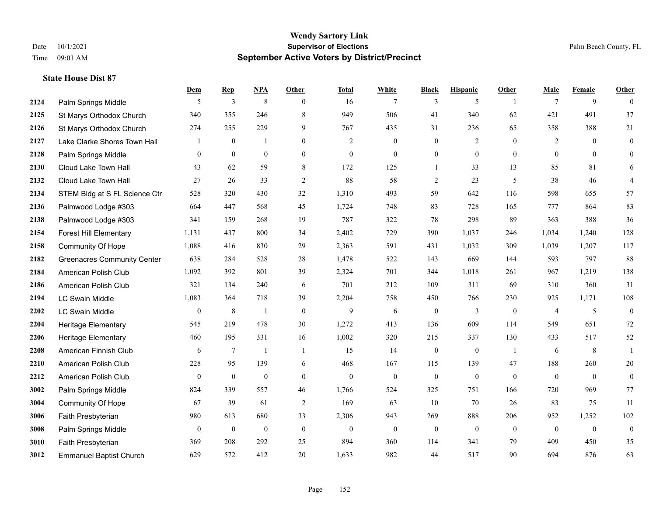**State House Dist 87**

## **Wendy Sartory Link** Date 10/1/2021 **Supervisor of Elections** Palm Beach County, FL Time 09:01 AM **September Active Voters by District/Precinct**

|      |                                    | Dem              | <b>Rep</b>       | NPA              | Other          | <b>Total</b>   | White            | <b>Black</b>     | <b>Hispanic</b>  | Other          | Male           | Female           | <b>Other</b>     |
|------|------------------------------------|------------------|------------------|------------------|----------------|----------------|------------------|------------------|------------------|----------------|----------------|------------------|------------------|
| 2124 | Palm Springs Middle                | 5                | 3                | $\,$ 8 $\,$      | $\theta$       | 16             | 7                | 3                | 5                |                | $\tau$         | 9                | $\theta$         |
| 2125 | St Marys Orthodox Church           | 340              | 355              | 246              | 8              | 949            | 506              | 41               | 340              | 62             | 421            | 491              | 37               |
| 2126 | St Marys Orthodox Church           | 274              | 255              | 229              | 9              | 767            | 435              | 31               | 236              | 65             | 358            | 388              | 21               |
| 2127 | Lake Clarke Shores Town Hall       | -1               | $\boldsymbol{0}$ | -1               | $\mathbf{0}$   | $\overline{2}$ | $\boldsymbol{0}$ | $\boldsymbol{0}$ | $\overline{2}$   | $\overline{0}$ | 2              | $\boldsymbol{0}$ | $\mathbf{0}$     |
| 2128 | Palm Springs Middle                | $\mathbf{0}$     | $\overline{0}$   | $\mathbf{0}$     | $\mathbf{0}$   | $\mathbf{0}$   | $\overline{0}$   | $\boldsymbol{0}$ | $\theta$         | $\overline{0}$ | $\mathbf{0}$   | $\mathbf{0}$     | $\overline{0}$   |
| 2130 | Cloud Lake Town Hall               | 43               | 62               | 59               | 8              | 172            | 125              | $\mathbf{1}$     | 33               | 13             | 85             | 81               | 6                |
| 2132 | Cloud Lake Town Hall               | 27               | 26               | 33               | $\overline{2}$ | 88             | 58               | $\overline{c}$   | 23               | 5              | 38             | 46               | $\overline{4}$   |
| 2134 | STEM Bldg at S FL Science Ctr      | 528              | 320              | 430              | 32             | 1,310          | 493              | 59               | 642              | 116            | 598            | 655              | 57               |
| 2136 | Palmwood Lodge #303                | 664              | 447              | 568              | 45             | 1,724          | 748              | 83               | 728              | 165            | 777            | 864              | 83               |
| 2138 | Palmwood Lodge #303                | 341              | 159              | 268              | 19             | 787            | 322              | 78               | 298              | 89             | 363            | 388              | $36\,$           |
| 2154 | <b>Forest Hill Elementary</b>      | 1,131            | 437              | 800              | 34             | 2,402          | 729              | 390              | 1,037            | 246            | 1,034          | 1,240            | 128              |
| 2158 | Community Of Hope                  | 1,088            | 416              | 830              | 29             | 2,363          | 591              | 431              | 1,032            | 309            | 1,039          | 1,207            | 117              |
| 2182 | <b>Greenacres Community Center</b> | 638              | 284              | 528              | 28             | 1,478          | 522              | 143              | 669              | 144            | 593            | 797              | 88               |
| 2184 | American Polish Club               | 1,092            | 392              | 801              | 39             | 2,324          | 701              | 344              | 1,018            | 261            | 967            | 1,219            | 138              |
| 2186 | American Polish Club               | 321              | 134              | 240              | 6              | 701            | 212              | 109              | 311              | 69             | 310            | 360              | 31               |
| 2194 | LC Swain Middle                    | 1,083            | 364              | 718              | 39             | 2,204          | 758              | 450              | 766              | 230            | 925            | 1,171            | 108              |
| 2202 | LC Swain Middle                    | $\boldsymbol{0}$ | 8                | -1               | $\mathbf{0}$   | 9              | 6                | $\boldsymbol{0}$ | 3                | $\mathbf{0}$   | $\overline{4}$ | 5                | $\boldsymbol{0}$ |
| 2204 | Heritage Elementary                | 545              | 219              | 478              | 30             | 1,272          | 413              | 136              | 609              | 114            | 549            | 651              | 72               |
| 2206 | <b>Heritage Elementary</b>         | 460              | 195              | 331              | 16             | 1,002          | 320              | 215              | 337              | 130            | 433            | 517              | 52               |
| 2208 | American Finnish Club              | 6                | $\tau$           | -1               | -1             | 15             | 14               | $\boldsymbol{0}$ | $\boldsymbol{0}$ | -1             | 6              | $\,8\,$          |                  |
| 2210 | American Polish Club               | 228              | 95               | 139              | 6              | 468            | 167              | 115              | 139              | 47             | 188            | 260              | 20               |
| 2212 | American Polish Club               | $\mathbf{0}$     | $\boldsymbol{0}$ | $\boldsymbol{0}$ | $\mathbf{0}$   | $\mathbf{0}$   | $\boldsymbol{0}$ | $\boldsymbol{0}$ | $\boldsymbol{0}$ | $\mathbf{0}$   | $\mathbf{0}$   | $\mathbf{0}$     | $\mathbf{0}$     |
| 3002 | Palm Springs Middle                | 824              | 339              | 557              | 46             | 1,766          | 524              | 325              | 751              | 166            | 720            | 969              | 77               |
| 3004 | Community Of Hope                  | 67               | 39               | 61               | 2              | 169            | 63               | 10               | 70               | 26             | 83             | 75               | 11               |
| 3006 | Faith Presbyterian                 | 980              | 613              | 680              | 33             | 2,306          | 943              | 269              | 888              | 206            | 952            | 1,252            | 102              |
| 3008 | Palm Springs Middle                | $\mathbf{0}$     | $\boldsymbol{0}$ | $\boldsymbol{0}$ | $\mathbf{0}$   | $\mathbf{0}$   | $\boldsymbol{0}$ | $\boldsymbol{0}$ | $\theta$         | $\overline{0}$ | $\mathbf{0}$   | $\mathbf{0}$     | $\boldsymbol{0}$ |
| 3010 | Faith Presbyterian                 | 369              | 208              | 292              | 25             | 894            | 360              | 114              | 341              | 79             | 409            | 450              | 35               |
| 3012 | <b>Emmanuel Baptist Church</b>     | 629              | 572              | 412              | 20             | 1,633          | 982              | 44               | 517              | 90             | 694            | 876              | 63               |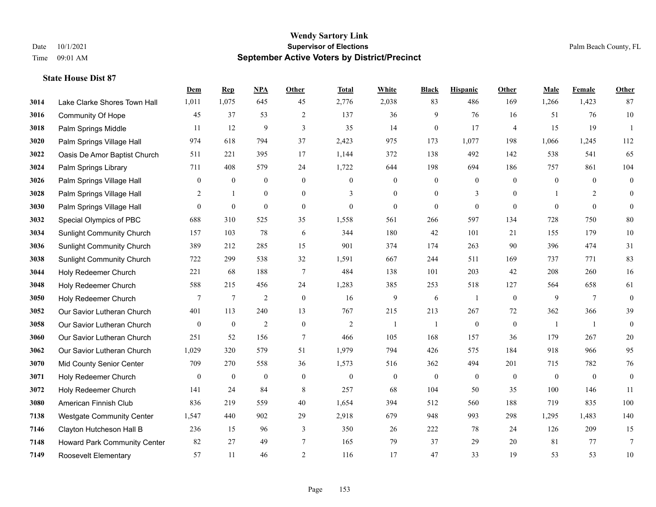|      |                                  | Dem            | <b>Rep</b>       | NPA              | <b>Other</b>   | <b>Total</b>     | White            | <b>Black</b>     | <b>Hispanic</b>  | <b>Other</b>   | <b>Male</b>  | <b>Female</b>   | <b>Other</b>     |
|------|----------------------------------|----------------|------------------|------------------|----------------|------------------|------------------|------------------|------------------|----------------|--------------|-----------------|------------------|
| 3014 | Lake Clarke Shores Town Hall     | 1,011          | 1,075            | 645              | 45             | 2,776            | 2,038            | 83               | 486              | 169            | 1,266        | 1,423           | 87               |
| 3016 | <b>Community Of Hope</b>         | 45             | 37               | 53               | $\overline{2}$ | 137              | 36               | 9                | 76               | 16             | 51           | 76              | $10\,$           |
| 3018 | Palm Springs Middle              | 11             | 12               | 9                | 3              | 35               | 14               | $\boldsymbol{0}$ | 17               | $\overline{4}$ | 15           | 19              | -1               |
| 3020 | Palm Springs Village Hall        | 974            | 618              | 794              | 37             | 2,423            | 975              | 173              | 1,077            | 198            | 1,066        | 1,245           | 112              |
| 3022 | Oasis De Amor Baptist Church     | 511            | 221              | 395              | 17             | 1,144            | 372              | 138              | 492              | 142            | 538          | 541             | 65               |
| 3024 | Palm Springs Library             | 711            | 408              | 579              | 24             | 1,722            | 644              | 198              | 694              | 186            | 757          | 861             | 104              |
| 3026 | Palm Springs Village Hall        | $\mathbf{0}$   | $\boldsymbol{0}$ | $\boldsymbol{0}$ | $\mathbf{0}$   | $\mathbf{0}$     | $\mathbf{0}$     | $\boldsymbol{0}$ | $\boldsymbol{0}$ | $\overline{0}$ | $\mathbf{0}$ | $\mathbf{0}$    | $\boldsymbol{0}$ |
| 3028 | Palm Springs Village Hall        | 2              | $\mathbf{1}$     | $\theta$         | $\Omega$       | 3                | $\Omega$         | $\mathbf{0}$     | 3                | $\Omega$       |              | 2               | $\mathbf{0}$     |
| 3030 | Palm Springs Village Hall        | $\overline{0}$ | $\boldsymbol{0}$ | $\boldsymbol{0}$ | $\mathbf{0}$   | $\boldsymbol{0}$ | $\mathbf{0}$     | $\boldsymbol{0}$ | $\mathbf{0}$     | $\mathbf{0}$   | $\theta$     | $\mathbf{0}$    | $\mathbf{0}$     |
| 3032 | Special Olympics of PBC          | 688            | 310              | 525              | 35             | 1,558            | 561              | 266              | 597              | 134            | 728          | 750             | 80               |
| 3034 | <b>Sunlight Community Church</b> | 157            | 103              | 78               | 6              | 344              | 180              | 42               | 101              | 21             | 155          | 179             | 10               |
| 3036 | <b>Sunlight Community Church</b> | 389            | 212              | 285              | 15             | 901              | 374              | 174              | 263              | 90             | 396          | 474             | 31               |
| 3038 | <b>Sunlight Community Church</b> | 722            | 299              | 538              | 32             | 1,591            | 667              | 244              | 511              | 169            | 737          | 771             | 83               |
| 3044 | Holy Redeemer Church             | 221            | 68               | 188              | $\overline{7}$ | 484              | 138              | 101              | 203              | 42             | 208          | 260             | 16               |
| 3048 | Holy Redeemer Church             | 588            | 215              | 456              | 24             | 1,283            | 385              | 253              | 518              | 127            | 564          | 658             | 61               |
| 3050 | Holy Redeemer Church             | 7              | $\overline{7}$   | $\overline{2}$   | $\mathbf{0}$   | 16               | 9                | 6                | 1                | $\mathbf{0}$   | 9            | $7\phantom{.0}$ | $\mathbf{0}$     |
| 3052 | Our Savior Lutheran Church       | 401            | 113              | 240              | 13             | 767              | 215              | 213              | 267              | 72             | 362          | 366             | 39               |
| 3058 | Our Savior Lutheran Church       | $\mathbf{0}$   | $\mathbf{0}$     | $\overline{2}$   | $\mathbf{0}$   | $\overline{2}$   | $\overline{1}$   | $\mathbf{1}$     | $\boldsymbol{0}$ | $\mathbf{0}$   | -1           | $\overline{1}$  | $\mathbf{0}$     |
| 3060 | Our Savior Lutheran Church       | 251            | 52               | 156              | $\tau$         | 466              | 105              | 168              | 157              | 36             | 179          | 267             | $20\,$           |
| 3062 | Our Savior Lutheran Church       | 1,029          | 320              | 579              | 51             | 1,979            | 794              | 426              | 575              | 184            | 918          | 966             | 95               |
| 3070 | Mid County Senior Center         | 709            | 270              | 558              | 36             | 1,573            | 516              | 362              | 494              | 201            | 715          | 782             | 76               |
| 3071 | Holy Redeemer Church             | $\mathbf{0}$   | $\boldsymbol{0}$ | $\boldsymbol{0}$ | $\mathbf{0}$   | $\boldsymbol{0}$ | $\boldsymbol{0}$ | $\boldsymbol{0}$ | $\mathbf{0}$     | $\mathbf{0}$   | $\mathbf{0}$ | $\mathbf{0}$    | $\boldsymbol{0}$ |
| 3072 | Holy Redeemer Church             | 141            | 24               | 84               | 8              | 257              | 68               | 104              | 50               | 35             | 100          | 146             | 11               |
| 3080 | American Finnish Club            | 836            | 219              | 559              | 40             | 1,654            | 394              | 512              | 560              | 188            | 719          | 835             | 100              |
| 7138 | <b>Westgate Community Center</b> | 1,547          | 440              | 902              | 29             | 2,918            | 679              | 948              | 993              | 298            | 1,295        | 1.483           | 140              |
| 7146 | Clayton Hutcheson Hall B         | 236            | 15               | 96               | 3              | 350              | 26               | 222              | 78               | 24             | 126          | 209             | 15               |
| 7148 | Howard Park Community Center     | 82             | 27               | 49               | $\overline{7}$ | 165              | 79               | 37               | 29               | 20             | 81           | 77              | $7\phantom{.0}$  |
| 7149 | <b>Roosevelt Elementary</b>      | 57             | 11               | 46               | 2              | 116              | 17               | 47               | 33               | 19             | 53           | 53              | 10               |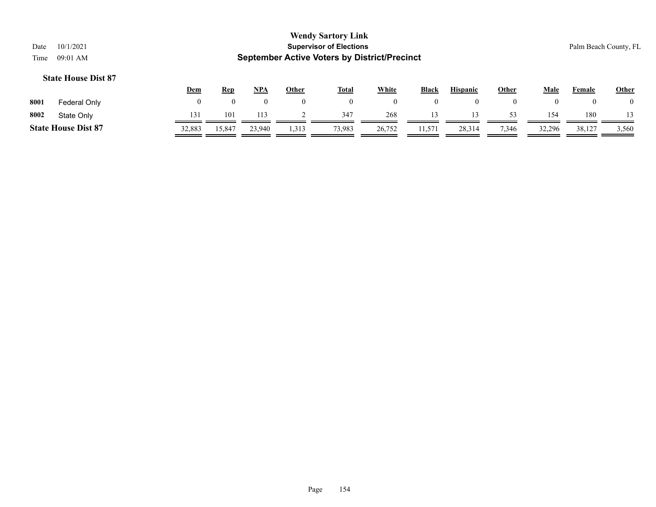| Date<br>Time | 10/1/2021<br>09:01 AM      |              |            |            |              | <b>Wendy Sartory Link</b><br><b>Supervisor of Elections</b><br><b>September Active Voters by District/Precinct</b> |                |              |                 |                |                  |        | Palm Beach County, FL |
|--------------|----------------------------|--------------|------------|------------|--------------|--------------------------------------------------------------------------------------------------------------------|----------------|--------------|-----------------|----------------|------------------|--------|-----------------------|
|              | <b>State House Dist 87</b> | <u>Dem</u>   | <b>Rep</b> | <u>NPA</u> | <b>Other</b> | <u>Total</u>                                                                                                       | <b>White</b>   | <b>Black</b> | <b>Hispanic</b> | <b>Other</b>   | <b>Male</b>      | Female | <b>Other</b>          |
| 8001         | Federal Only               | $\mathbf{0}$ | $\theta$   |            | $\bf{0}$     | $\overline{0}$                                                                                                     | $\overline{0}$ | $\mathbf{0}$ | $\overline{0}$  | $\overline{0}$ | $\boldsymbol{0}$ |        | $\bf{0}$              |
| 8002         | State Only                 | 131          | 101        | 113        |              | 347                                                                                                                | 268            | 13           | 13              | 53             | 154              | 180    |                       |
|              | <b>State House Dist 87</b> | 32,883       | 15,847     | 23,940     | 1,313        | 73,983                                                                                                             | 26,752         | 11,571       | 28,314          | 7,346          | 32,296           | 38,127 | 3,560                 |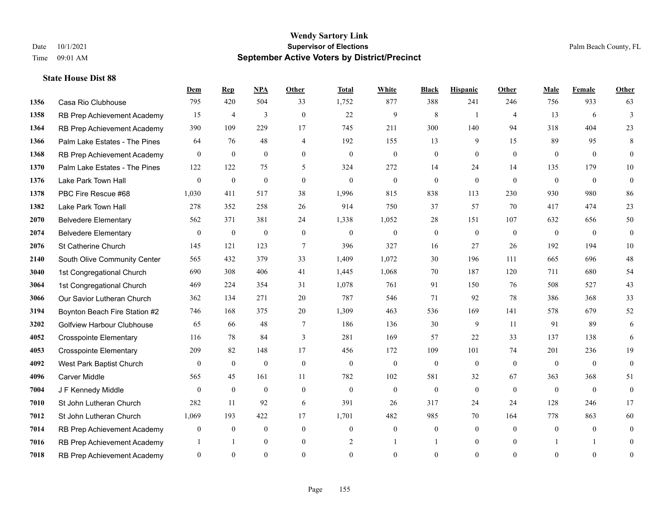**State House Dist 88**

#### **Wendy Sartory Link** Date 10/1/2021 **Supervisor of Elections** Palm Beach County, FL Time 09:01 AM **September Active Voters by District/Precinct**

Casa Rio Clubhouse 795 420 504 33 1,752 877 388 241 246 756 933 63

**Dem Rep NPA Other Total White Black Hispanic Other Male Female Other**

# RB Prep Achievement Academy 15 4 3 0 22 9 8 1 4 13 6 3 RB Prep Achievement Academy 390 109 229 17 745 211 300 140 94 318 404 23 Palm Lake Estates - The Pines 64 76 48 4 192 155 13 9 15 89 95 8 RB Prep Achievement Academy 0 0 0 0 0 0 0 0 0 0 0 0 Palm Lake Estates - The Pines 122 122 75 5 324 272 14 24 14 135 179 10 Lake Park Town Hall 0 0 0 0 0 0 0 0 0 0 0 0 PBC Fire Rescue #68 1,030 411 517 38 1,996 815 838 113 230 930 980 86 Lake Park Town Hall 278 352 258 26 914 750 37 57 70 417 474 23 Belvedere Elementary 562 371 381 24 1,338 1,052 28 151 107 632 656 50 Belvedere Elementary 0 0 0 0 0 0 0 0 0 0 0 0 St Catherine Church 145 121 123 7 396 327 16 27 26 192 194 10 South Olive Community Center 565 432 379 33 1,409 1,072 30 196 111 665 696 48 1st Congregational Church 690 308 406 41 1,445 1,068 70 187 120 711 680 54 1st Congregational Church 469 224 354 31 1,078 761 91 150 76 508 527 43 Our Savior Lutheran Church 362 134 271 20 787 546 71 92 78 386 368 33 Boynton Beach Fire Station #2 746 168 375 20 1,309 463 536 169 141 578 679 52 Golfview Harbour Clubhouse 65 66 48 7 186 136 30 9 11 91 89 6 Crosspointe Elementary 116 78 84 3 281 169 57 22 33 137 138 6 Crosspointe Elementary 209 82 148 17 456 172 109 101 74 201 236 19

| 4092 | West Park Baptist Church    | $\Omega$ | $\theta$ |     |              | O      |     | $\theta$ |    | $\theta$ | 0        | $\Omega$ | $\overline{0}$ |
|------|-----------------------------|----------|----------|-----|--------------|--------|-----|----------|----|----------|----------|----------|----------------|
| 4096 | Carver Middle               | 565      | 45       | 161 | П            | 782    | 102 | 581      | 32 | 67       | 363      | 368      | 51             |
| 7004 | J F Kennedy Middle          | $\Omega$ | $\theta$ |     |              | O      |     | $\bf{0}$ |    | $\left($ | $\bf{0}$ | $\theta$ | $\overline{0}$ |
| 7010 | St John Lutheran Church     | 282      |          | 92  | <sub>0</sub> | 391    | 26  | 317      | 24 | 24       | 128      | 246      |                |
| 7012 | St John Lutheran Church     | 1.069    | 193      | 422 |              | 1,701  | 482 | 985      | 70 | 164      | 778      | 863      | 60             |
| 7014 | RB Prep Achievement Academy | $\theta$ | $\theta$ |     |              | O      |     | $\Omega$ |    | $\left($ | $\theta$ | $\Omega$ | $\overline{0}$ |
| 7016 | RB Prep Achievement Academy |          |          |     |              |        |     |          |    | $\theta$ |          |          | $\Omega$       |
| 7018 | RB Prep Achievement Academy | $\Omega$ | $\Omega$ |     |              | $_{0}$ |     | 0        | 0  | $\left($ | $\theta$ | $\Omega$ | $\Omega$       |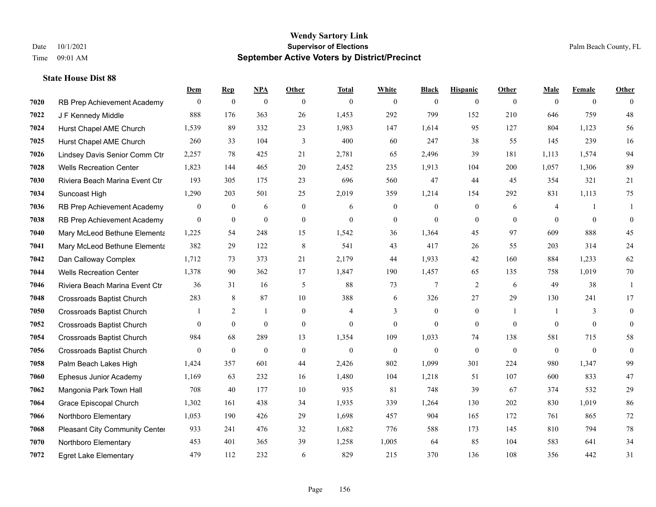|      |                                  | Dem              | <b>Rep</b>       | NPA              | <b>Other</b>     | <b>Total</b> | <b>White</b>     | <b>Black</b>     | <b>Hispanic</b>  | Other          | <b>Male</b>  | <b>Female</b>  | <b>Other</b>     |
|------|----------------------------------|------------------|------------------|------------------|------------------|--------------|------------------|------------------|------------------|----------------|--------------|----------------|------------------|
| 7020 | RB Prep Achievement Academy      | $\overline{0}$   | $\mathbf{0}$     | $\boldsymbol{0}$ | $\theta$         | $\theta$     | $\overline{0}$   | $\mathbf{0}$     | $\mathbf{0}$     | $\theta$       | $\mathbf{0}$ | $\overline{0}$ | $\theta$         |
| 7022 | J F Kennedy Middle               | 888              | 176              | 363              | 26               | 1,453        | 292              | 799              | 152              | 210            | 646          | 759            | 48               |
| 7024 | Hurst Chapel AME Church          | 1,539            | 89               | 332              | 23               | 1,983        | 147              | 1,614            | 95               | 127            | 804          | 1,123          | 56               |
| 7025 | Hurst Chapel AME Church          | 260              | 33               | 104              | 3                | 400          | 60               | 247              | 38               | 55             | 145          | 239            | 16               |
| 7026 | Lindsey Davis Senior Comm Ctr    | 2,257            | 78               | 425              | 21               | 2,781        | 65               | 2,496            | 39               | 181            | 1.113        | 1.574          | 94               |
| 7028 | <b>Wells Recreation Center</b>   | 1,823            | 144              | 465              | 20               | 2,452        | 235              | 1,913            | 104              | 200            | 1,057        | 1,306          | 89               |
| 7030 | Riviera Beach Marina Event Ctr   | 193              | 305              | 175              | 23               | 696          | 560              | 47               | 44               | 45             | 354          | 321            | 21               |
| 7034 | Suncoast High                    | 1,290            | 203              | 501              | 25               | 2,019        | 359              | 1,214            | 154              | 292            | 831          | 1,113          | 75               |
| 7036 | RB Prep Achievement Academy      | $\boldsymbol{0}$ | $\boldsymbol{0}$ | 6                | $\boldsymbol{0}$ | 6            | $\boldsymbol{0}$ | $\boldsymbol{0}$ | $\boldsymbol{0}$ | 6              | 4            | -1             | 1                |
| 7038 | RB Prep Achievement Academy      | $\mathbf{0}$     | $\bf{0}$         | $\mathbf{0}$     | $\overline{0}$   | $\theta$     | $\boldsymbol{0}$ | $\mathbf{0}$     | $\mathbf{0}$     | $\theta$       | $\theta$     | $\theta$       | $\mathbf{0}$     |
| 7040 | Mary McLeod Bethune Elementa     | 1,225            | 54               | 248              | 15               | 1,542        | 36               | 1,364            | 45               | 97             | 609          | 888            | 45               |
| 7041 | Mary McLeod Bethune Elementa     | 382              | 29               | 122              | 8                | 541          | 43               | 417              | 26               | 55             | 203          | 314            | 24               |
| 7042 | Dan Calloway Complex             | 1,712            | 73               | 373              | 21               | 2,179        | 44               | 1,933            | 42               | 160            | 884          | 1,233          | 62               |
| 7044 | <b>Wells Recreation Center</b>   | 1,378            | 90               | 362              | 17               | 1,847        | 190              | 1,457            | 65               | 135            | 758          | 1,019          | $70\,$           |
| 7046 | Riviera Beach Marina Event Ctr   | 36               | 31               | 16               | 5                | 88           | 73               | 7                | 2                | 6              | 49           | 38             | 1                |
| 7048 | <b>Crossroads Baptist Church</b> | 283              | 8                | 87               | 10               | 388          | 6                | 326              | 27               | 29             | 130          | 241            | 17               |
| 7050 | <b>Crossroads Baptist Church</b> |                  | $\overline{2}$   | $\mathbf{1}$     | $\mathbf{0}$     | 4            | 3                | $\boldsymbol{0}$ | $\boldsymbol{0}$ | $\overline{1}$ | -1           | 3              | $\boldsymbol{0}$ |
| 7052 | <b>Crossroads Baptist Church</b> | $\theta$         | $\mathbf{0}$     | $\mathbf{0}$     | $\mathbf{0}$     | $\theta$     | $\overline{0}$   | $\mathbf{0}$     | $\mathbf{0}$     | $\theta$       | $\theta$     | $\theta$       | $\mathbf{0}$     |
| 7054 | <b>Crossroads Baptist Church</b> | 984              | 68               | 289              | 13               | 1,354        | 109              | 1,033            | 74               | 138            | 581          | 715            | 58               |
| 7056 | <b>Crossroads Baptist Church</b> | $\mathbf{0}$     | $\boldsymbol{0}$ | $\mathbf{0}$     | $\mathbf{0}$     | $\theta$     | $\boldsymbol{0}$ | $\mathbf{0}$     | $\mathbf{0}$     | $\mathbf{0}$   | $\mathbf{0}$ | $\mathbf{0}$   | $\boldsymbol{0}$ |
| 7058 | Palm Beach Lakes High            | 1,424            | 357              | 601              | 44               | 2,426        | 802              | 1,099            | 301              | 224            | 980          | 1,347          | 99               |
| 7060 | Ephesus Junior Academy           | 1,169            | 63               | 232              | 16               | 1,480        | 104              | 1,218            | 51               | 107            | 600          | 833            | 47               |
| 7062 | Mangonia Park Town Hall          | 708              | 40               | 177              | 10               | 935          | 81               | 748              | 39               | 67             | 374          | 532            | 29               |
| 7064 | Grace Episcopal Church           | 1,302            | 161              | 438              | 34               | 1,935        | 339              | 1,264            | 130              | 202            | 830          | 1,019          | 86               |
| 7066 | Northboro Elementary             | 1,053            | 190              | 426              | 29               | 1,698        | 457              | 904              | 165              | 172            | 761          | 865            | 72               |
| 7068 | Pleasant City Community Center   | 933              | 241              | 476              | 32               | 1,682        | 776              | 588              | 173              | 145            | 810          | 794            | $78\,$           |
| 7070 | Northboro Elementary             | 453              | 401              | 365              | 39               | 1,258        | 1,005            | 64               | 85               | 104            | 583          | 641            | 34               |
| 7072 | <b>Egret Lake Elementary</b>     | 479              | 112              | 232              | 6                | 829          | 215              | 370              | 136              | 108            | 356          | 442            | 31               |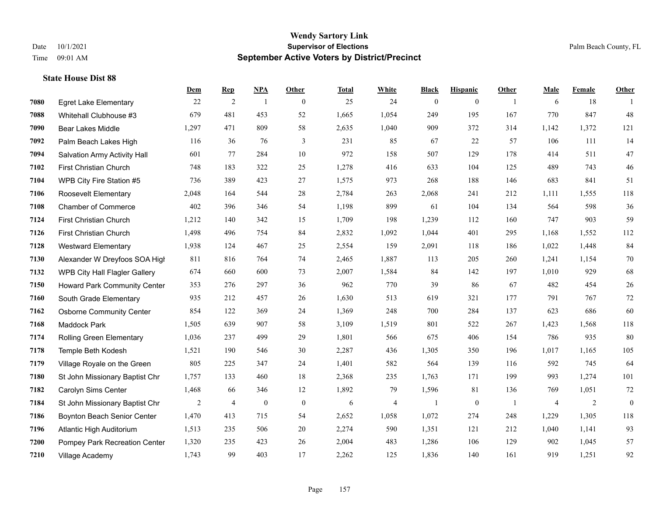|      |                                     | Dem   | <b>Rep</b>     | NPA              | <b>Other</b>   | <b>Total</b> | <b>White</b>   | <b>Black</b>     | <b>Hispanic</b> | <b>Other</b>   | <b>Male</b> | <b>Female</b> | <b>Other</b>   |
|------|-------------------------------------|-------|----------------|------------------|----------------|--------------|----------------|------------------|-----------------|----------------|-------------|---------------|----------------|
| 7080 | <b>Egret Lake Elementary</b>        | 22    | 2              | $\overline{1}$   | $\overline{0}$ | 25           | 24             | $\boldsymbol{0}$ | $\mathbf{0}$    | $\overline{1}$ | 6           | 18            | $\overline{1}$ |
| 7088 | Whitehall Clubhouse #3              | 679   | 481            | 453              | 52             | 1,665        | 1,054          | 249              | 195             | 167            | 770         | 847           | 48             |
| 7090 | <b>Bear Lakes Middle</b>            | 1,297 | 471            | 809              | 58             | 2,635        | 1,040          | 909              | 372             | 314            | 1,142       | 1,372         | 121            |
| 7092 | Palm Beach Lakes High               | 116   | 36             | 76               | 3              | 231          | 85             | 67               | 22              | 57             | 106         | 111           | 14             |
| 7094 | <b>Salvation Army Activity Hall</b> | 601   | 77             | 284              | 10             | 972          | 158            | 507              | 129             | 178            | 414         | 511           | 47             |
| 7102 | First Christian Church              | 748   | 183            | 322              | 25             | 1,278        | 416            | 633              | 104             | 125            | 489         | 743           | $46\,$         |
| 7104 | WPB City Fire Station #5            | 736   | 389            | 423              | 27             | 1,575        | 973            | 268              | 188             | 146            | 683         | 841           | 51             |
| 7106 | Roosevelt Elementary                | 2,048 | 164            | 544              | 28             | 2,784        | 263            | 2,068            | 241             | 212            | 1,111       | 1,555         | 118            |
| 7108 | <b>Chamber of Commerce</b>          | 402   | 396            | 346              | 54             | 1,198        | 899            | 61               | 104             | 134            | 564         | 598           | 36             |
| 7124 | First Christian Church              | 1,212 | 140            | 342              | 15             | 1,709        | 198            | 1,239            | 112             | 160            | 747         | 903           | 59             |
| 7126 | First Christian Church              | 1,498 | 496            | 754              | 84             | 2,832        | 1,092          | 1,044            | 401             | 295            | 1,168       | 1,552         | 112            |
| 7128 | <b>Westward Elementary</b>          | 1,938 | 124            | 467              | 25             | 2,554        | 159            | 2,091            | 118             | 186            | 1,022       | 1,448         | 84             |
| 7130 | Alexander W Dreyfoos SOA High       | 811   | 816            | 764              | 74             | 2,465        | 1,887          | 113              | 205             | 260            | 1,241       | 1,154         | $70\,$         |
| 7132 | WPB City Hall Flagler Gallery       | 674   | 660            | 600              | 73             | 2,007        | 1,584          | 84               | 142             | 197            | 1,010       | 929           | 68             |
| 7150 | Howard Park Community Center        | 353   | 276            | 297              | 36             | 962          | 770            | 39               | 86              | 67             | 482         | 454           | $26\,$         |
| 7160 | South Grade Elementary              | 935   | 212            | 457              | 26             | 1,630        | 513            | 619              | 321             | 177            | 791         | 767           | 72             |
| 7162 | <b>Osborne Community Center</b>     | 854   | 122            | 369              | 24             | 1,369        | 248            | 700              | 284             | 137            | 623         | 686           | 60             |
| 7168 | <b>Maddock Park</b>                 | 1,505 | 639            | 907              | 58             | 3,109        | 1,519          | 801              | 522             | 267            | 1,423       | 1,568         | 118            |
| 7174 | Rolling Green Elementary            | 1,036 | 237            | 499              | 29             | 1,801        | 566            | 675              | 406             | 154            | 786         | 935           | 80             |
| 7178 | Temple Beth Kodesh                  | 1,521 | 190            | 546              | 30             | 2,287        | 436            | 1,305            | 350             | 196            | 1,017       | 1,165         | 105            |
| 7179 | Village Royale on the Green         | 805   | 225            | 347              | 24             | 1,401        | 582            | 564              | 139             | 116            | 592         | 745           | 64             |
| 7180 | St John Missionary Baptist Chr      | 1,757 | 133            | 460              | 18             | 2,368        | 235            | 1,763            | 171             | 199            | 993         | 1,274         | 101            |
| 7182 | Carolyn Sims Center                 | 1,468 | 66             | 346              | 12             | 1,892        | 79             | 1,596            | 81              | 136            | 769         | 1,051         | $72\,$         |
| 7184 | St John Missionary Baptist Chr      | 2     | $\overline{4}$ | $\boldsymbol{0}$ | $\mathbf{0}$   | 6            | $\overline{4}$ | $\mathbf{1}$     | $\overline{0}$  | - 1            | 4           | 2             | $\mathbf{0}$   |
| 7186 | Boynton Beach Senior Center         | 1,470 | 413            | 715              | 54             | 2,652        | 1,058          | 1,072            | 274             | 248            | 1.229       | 1,305         | 118            |
| 7196 | Atlantic High Auditorium            | 1,513 | 235            | 506              | 20             | 2,274        | 590            | 1,351            | 121             | 212            | 1,040       | 1,141         | 93             |
| 7200 | Pompey Park Recreation Center       | 1,320 | 235            | 423              | 26             | 2,004        | 483            | 1,286            | 106             | 129            | 902         | 1,045         | 57             |
| 7210 | Village Academy                     | 1,743 | 99             | 403              | 17             | 2,262        | 125            | 1,836            | 140             | 161            | 919         | 1,251         | 92             |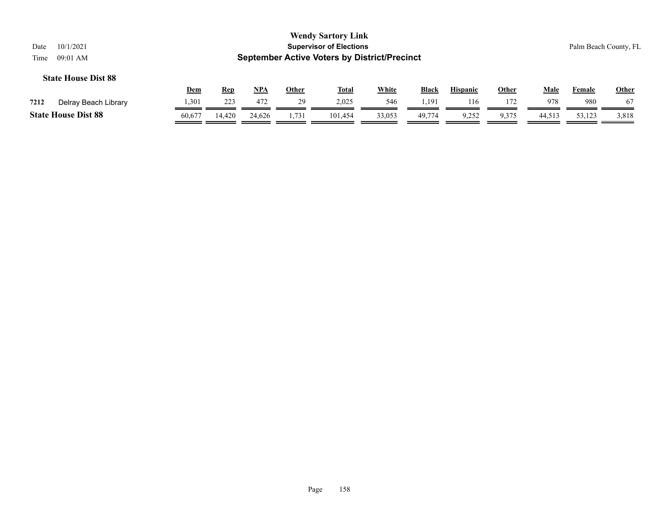| 10/1/2021<br>Date<br>09:01 AM<br>Time |            |            |            |              | <b>Wendy Sartory Link</b><br><b>Supervisor of Elections</b><br><b>September Active Voters by District/Precinct</b> |              |              |                 |              |             |        | Palm Beach County, FL |
|---------------------------------------|------------|------------|------------|--------------|--------------------------------------------------------------------------------------------------------------------|--------------|--------------|-----------------|--------------|-------------|--------|-----------------------|
| <b>State House Dist 88</b>            | <u>Dem</u> | <u>Rep</u> | <u>NPA</u> | <u>Other</u> | <u>Total</u>                                                                                                       | <b>White</b> | <b>Black</b> | <b>Hispanic</b> | <u>Other</u> | <u>Male</u> | Female | <b>Other</b>          |
| Delray Beach Library<br>7212          | 1,301      | 223        | 472        | 29           | 2.025                                                                                                              | 546          | 1.191        | 116             | 172          | 978         | 980    | 67                    |
| <b>State House Dist 88</b>            | 60.677     | 14.420     | 24.626     | 1,731        | 101.454                                                                                                            | 33,053       | 49,774       | 9,252           | 9,375        | 44,513      | 53,123 | 3,818                 |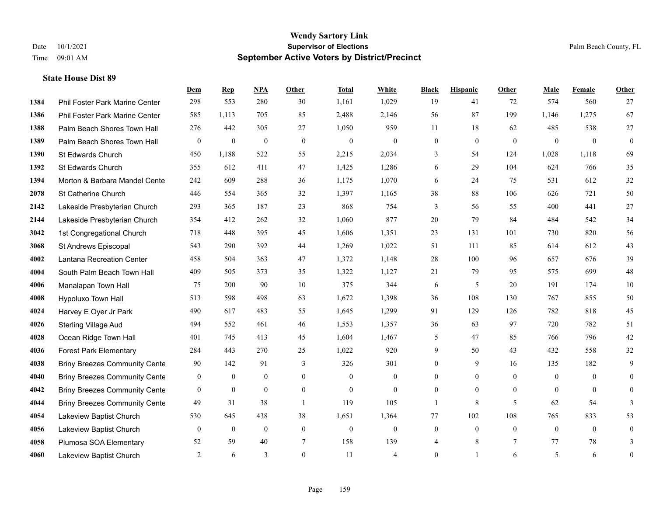|      |                                      | Dem              | <b>Rep</b>       | NPA              | <b>Other</b> | <b>Total</b>     | White            | <b>Black</b>     | <b>Hispanic</b>  | <b>Other</b> | <b>Male</b>    | Female         | Other            |
|------|--------------------------------------|------------------|------------------|------------------|--------------|------------------|------------------|------------------|------------------|--------------|----------------|----------------|------------------|
| 1384 | Phil Foster Park Marine Center       | 298              | 553              | 280              | 30           | 1,161            | 1,029            | 19               | 41               | 72           | 574            | 560            | 27               |
| 1386 | Phil Foster Park Marine Center       | 585              | 1,113            | 705              | 85           | 2,488            | 2,146            | 56               | 87               | 199          | 1,146          | 1,275          | 67               |
| 1388 | Palm Beach Shores Town Hall          | 276              | 442              | 305              | 27           | 1,050            | 959              | 11               | 18               | 62           | 485            | 538            | 27               |
| 1389 | Palm Beach Shores Town Hall          | $\boldsymbol{0}$ | $\boldsymbol{0}$ | $\mathbf{0}$     | $\mathbf{0}$ | $\mathbf{0}$     | $\mathbf{0}$     | $\boldsymbol{0}$ | $\mathbf{0}$     | $\mathbf{0}$ | $\mathbf{0}$   | $\mathbf{0}$   | $\mathbf{0}$     |
| 1390 | St Edwards Church                    | 450              | 1,188            | 522              | 55           | 2,215            | 2,034            | 3                | 54               | 124          | 1,028          | 1,118          | 69               |
| 1392 | St Edwards Church                    | 355              | 612              | 411              | 47           | 1,425            | 1,286            | 6                | 29               | 104          | 624            | 766            | 35               |
| 1394 | Morton & Barbara Mandel Cente        | 242              | 609              | 288              | 36           | 1,175            | 1,070            | 6                | 24               | 75           | 531            | 612            | 32               |
| 2078 | St Catherine Church                  | 446              | 554              | 365              | 32           | 1,397            | 1,165            | 38               | 88               | 106          | 626            | 721            | 50               |
| 2142 | Lakeside Presbyterian Church         | 293              | 365              | 187              | 23           | 868              | 754              | 3                | 56               | 55           | 400            | 441            | 27               |
| 2144 | Lakeside Presbyterian Church         | 354              | 412              | 262              | 32           | 1,060            | 877              | 20               | 79               | 84           | 484            | 542            | 34               |
| 3042 | 1st Congregational Church            | 718              | 448              | 395              | 45           | 1,606            | 1,351            | 23               | 131              | 101          | 730            | 820            | 56               |
| 3068 | St Andrews Episcopal                 | 543              | 290              | 392              | 44           | 1,269            | 1,022            | 51               | 111              | 85           | 614            | 612            | 43               |
| 4002 | Lantana Recreation Center            | 458              | 504              | 363              | 47           | 1,372            | 1,148            | 28               | 100              | 96           | 657            | 676            | 39               |
| 4004 | South Palm Beach Town Hall           | 409              | 505              | 373              | 35           | 1,322            | 1,127            | 21               | 79               | 95           | 575            | 699            | 48               |
| 4006 | Manalapan Town Hall                  | 75               | 200              | 90               | 10           | 375              | 344              | 6                | 5                | 20           | 191            | 174            | 10               |
| 4008 | Hypoluxo Town Hall                   | 513              | 598              | 498              | 63           | 1,672            | 1,398            | 36               | 108              | 130          | 767            | 855            | 50               |
| 4024 | Harvey E Oyer Jr Park                | 490              | 617              | 483              | 55           | 1,645            | 1,299            | 91               | 129              | 126          | 782            | 818            | 45               |
| 4026 | <b>Sterling Village Aud</b>          | 494              | 552              | 461              | 46           | 1,553            | 1,357            | 36               | 63               | 97           | 720            | 782            | 51               |
| 4028 | Ocean Ridge Town Hall                | 401              | 745              | 413              | 45           | 1,604            | 1,467            | 5                | 47               | 85           | 766            | 796            | $42\,$           |
| 4036 | <b>Forest Park Elementary</b>        | 284              | 443              | 270              | 25           | 1,022            | 920              | 9                | 50               | 43           | 432            | 558            | 32               |
| 4038 | <b>Briny Breezes Community Cente</b> | 90               | 142              | 91               | 3            | 326              | 301              | $\overline{0}$   | 9                | 16           | 135            | 182            | 9                |
| 4040 | <b>Briny Breezes Community Cente</b> | $\mathbf{0}$     | $\boldsymbol{0}$ | $\mathbf{0}$     | $\mathbf{0}$ | $\mathbf{0}$     | $\mathbf{0}$     | $\overline{0}$   | $\overline{0}$   | $\theta$     | $\overline{0}$ | $\theta$       | $\overline{0}$   |
| 4042 | <b>Briny Breezes Community Cente</b> | $\mathbf{0}$     | $\mathbf{0}$     | $\mathbf{0}$     | $\mathbf{0}$ | $\theta$         | $\mathbf{0}$     | $\overline{0}$   | $\overline{0}$   | $\theta$     | $\theta$       | $\theta$       | $\overline{0}$   |
| 4044 | <b>Briny Breezes Community Cente</b> | 49               | 31               | 38               | -1           | 119              | 105              | 1                | $\,8\,$          | 5            | 62             | 54             | 3                |
| 4054 | Lakeview Baptist Church              | 530              | 645              | 438              | 38           | 1,651            | 1,364            | 77               | 102              | 108          | 765            | 833            | 53               |
| 4056 | Lakeview Baptist Church              | $\mathbf{0}$     | $\boldsymbol{0}$ | $\boldsymbol{0}$ | $\mathbf{0}$ | $\boldsymbol{0}$ | $\boldsymbol{0}$ | $\boldsymbol{0}$ | $\boldsymbol{0}$ | $\mathbf{0}$ | $\mathbf{0}$   | $\overline{0}$ | $\boldsymbol{0}$ |
| 4058 | Plumosa SOA Elementary               | 52               | 59               | 40               | 7            | 158              | 139              | 4                | 8                | $\tau$       | 77             | 78             | 3                |
| 4060 | Lakeview Baptist Church              | 2                | 6                | 3                | $\theta$     | 11               | $\overline{4}$   | $\mathbf{0}$     | 1                | 6            | 5              | 6              | $\boldsymbol{0}$ |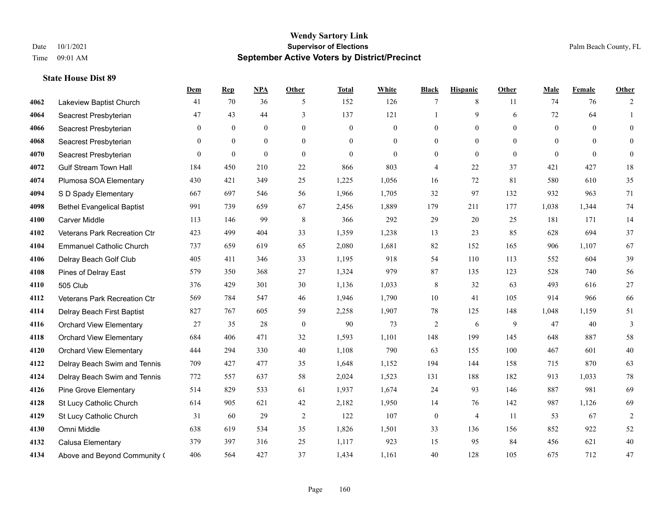|      |                                   | Dem          | <b>Rep</b>   | NPA            | <b>Other</b>   | <b>Total</b> | <b>White</b>     | <b>Black</b>     | <b>Hispanic</b> | <b>Other</b> | <b>Male</b>    | <b>Female</b> | <b>Other</b>   |
|------|-----------------------------------|--------------|--------------|----------------|----------------|--------------|------------------|------------------|-----------------|--------------|----------------|---------------|----------------|
| 4062 | Lakeview Baptist Church           | 41           | 70           | 36             | 5              | 152          | 126              | 7                | 8               | 11           | 74             | 76            | 2              |
| 4064 | Seacrest Presbyterian             | 47           | 43           | 44             | 3              | 137          | 121              | $\mathbf{1}$     | 9               | 6            | 72             | 64            | $\mathbf{1}$   |
| 4066 | Seacrest Presbyterian             | $\mathbf{0}$ | $\mathbf{0}$ | $\overline{0}$ | $\overline{0}$ | $\mathbf{0}$ | $\boldsymbol{0}$ | $\mathbf{0}$     | $\mathbf{0}$    | $\theta$     | $\overline{0}$ | $\theta$      | $\mathbf{0}$   |
| 4068 | Seacrest Presbyterian             | $\mathbf{0}$ | $\mathbf{0}$ | $\mathbf{0}$   | $\overline{0}$ | $\mathbf{0}$ | $\boldsymbol{0}$ | $\boldsymbol{0}$ | $\mathbf{0}$    | $\mathbf{0}$ | $\overline{0}$ | $\mathbf{0}$  | $\overline{0}$ |
| 4070 | Seacrest Presbyterian             | $\theta$     | $\mathbf{0}$ | $\theta$       | $\Omega$       | $\theta$     | $\Omega$         | $\overline{0}$   | $\overline{0}$  | $\theta$     | $\theta$       | $\theta$      | $\mathbf{0}$   |
| 4072 | <b>Gulf Stream Town Hall</b>      | 184          | 450          | 210            | 22             | 866          | 803              | 4                | 22              | 37           | 421            | 427           | 18             |
| 4074 | Plumosa SOA Elementary            | 430          | 421          | 349            | 25             | 1,225        | 1,056            | 16               | 72              | 81           | 580            | 610           | 35             |
| 4094 | S D Spady Elementary              | 667          | 697          | 546            | 56             | 1,966        | 1,705            | 32               | 97              | 132          | 932            | 963           | 71             |
| 4098 | <b>Bethel Evangelical Baptist</b> | 991          | 739          | 659            | 67             | 2,456        | 1,889            | 179              | 211             | 177          | 1,038          | 1,344         | 74             |
| 4100 | <b>Carver Middle</b>              | 113          | 146          | 99             | 8              | 366          | 292              | 29               | 20              | 25           | 181            | 171           | 14             |
| 4102 | Veterans Park Recreation Ctr      | 423          | 499          | 404            | 33             | 1,359        | 1,238            | 13               | 23              | 85           | 628            | 694           | 37             |
| 4104 | <b>Emmanuel Catholic Church</b>   | 737          | 659          | 619            | 65             | 2,080        | 1,681            | 82               | 152             | 165          | 906            | 1.107         | 67             |
| 4106 | Delray Beach Golf Club            | 405          | 411          | 346            | 33             | 1,195        | 918              | 54               | 110             | 113          | 552            | 604           | 39             |
| 4108 | Pines of Delray East              | 579          | 350          | 368            | 27             | 1,324        | 979              | 87               | 135             | 123          | 528            | 740           | 56             |
| 4110 | 505 Club                          | 376          | 429          | 301            | 30             | 1,136        | 1,033            | 8                | 32              | 63           | 493            | 616           | 27             |
| 4112 | Veterans Park Recreation Ctr      | 569          | 784          | 547            | 46             | 1,946        | 1,790            | 10               | 41              | 105          | 914            | 966           | 66             |
| 4114 | Delray Beach First Baptist        | 827          | 767          | 605            | 59             | 2,258        | 1,907            | 78               | 125             | 148          | 1,048          | 1,159         | 51             |
| 4116 | <b>Orchard View Elementary</b>    | 27           | 35           | 28             | $\theta$       | 90           | 73               | $\overline{c}$   | 6               | 9            | 47             | 40            | 3              |
| 4118 | <b>Orchard View Elementary</b>    | 684          | 406          | 471            | 32             | 1,593        | 1,101            | 148              | 199             | 145          | 648            | 887           | 58             |
| 4120 | <b>Orchard View Elementary</b>    | 444          | 294          | 330            | 40             | 1,108        | 790              | 63               | 155             | 100          | 467            | 601           | $40\,$         |
| 4122 | Delray Beach Swim and Tennis      | 709          | 427          | 477            | 35             | 1,648        | 1,152            | 194              | 144             | 158          | 715            | 870           | 63             |
| 4124 | Delray Beach Swim and Tennis      | 772          | 557          | 637            | 58             | 2,024        | 1,523            | 131              | 188             | 182          | 913            | 1,033         | 78             |
| 4126 | <b>Pine Grove Elementary</b>      | 514          | 829          | 533            | 61             | 1,937        | 1,674            | 24               | 93              | 146          | 887            | 981           | 69             |
| 4128 | St Lucy Catholic Church           | 614          | 905          | 621            | 42             | 2,182        | 1,950            | 14               | 76              | 142          | 987            | 1,126         | 69             |
| 4129 | St Lucy Catholic Church           | 31           | 60           | 29             | 2              | 122          | 107              | $\boldsymbol{0}$ | $\overline{4}$  | 11           | 53             | 67            | $\overline{2}$ |
| 4130 | Omni Middle                       | 638          | 619          | 534            | 35             | 1,826        | 1,501            | 33               | 136             | 156          | 852            | 922           | 52             |
| 4132 | Calusa Elementary                 | 379          | 397          | 316            | 25             | 1,117        | 923              | 15               | 95              | 84           | 456            | 621           | 40             |
| 4134 | Above and Beyond Community (      | 406          | 564          | 427            | 37             | 1,434        | 1,161            | 40               | 128             | 105          | 675            | 712           | 47             |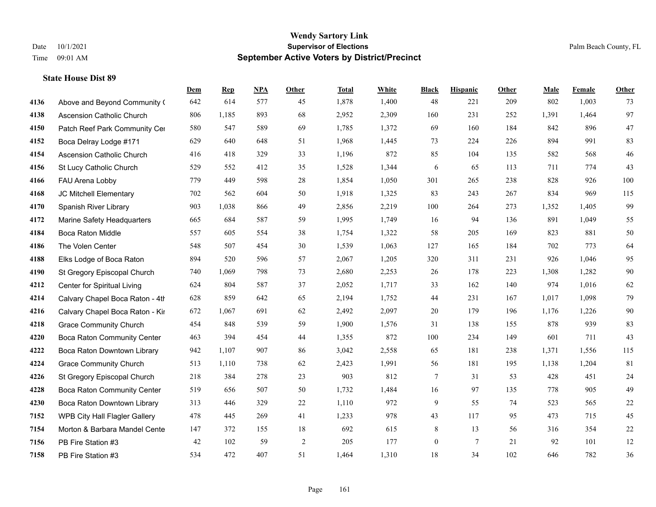|      |                                    | Dem | <b>Rep</b> | NPA | <b>Other</b> | <b>Total</b> | <b>White</b> | <b>Black</b>     | <b>Hispanic</b> | <b>Other</b> | <b>Male</b> | <b>Female</b> | Other  |
|------|------------------------------------|-----|------------|-----|--------------|--------------|--------------|------------------|-----------------|--------------|-------------|---------------|--------|
| 4136 | Above and Beyond Community (       | 642 | 614        | 577 | 45           | 1,878        | 1,400        | 48               | 221             | 209          | 802         | 1,003         | 73     |
| 4138 | <b>Ascension Catholic Church</b>   | 806 | 1,185      | 893 | 68           | 2,952        | 2,309        | 160              | 231             | 252          | 1,391       | 1,464         | 97     |
| 4150 | Patch Reef Park Community Cer      | 580 | 547        | 589 | 69           | 1,785        | 1,372        | 69               | 160             | 184          | 842         | 896           | $47\,$ |
| 4152 | Boca Delray Lodge #171             | 629 | 640        | 648 | 51           | 1,968        | 1,445        | 73               | 224             | 226          | 894         | 991           | 83     |
| 4154 | <b>Ascension Catholic Church</b>   | 416 | 418        | 329 | 33           | 1,196        | 872          | 85               | 104             | 135          | 582         | 568           | $46\,$ |
| 4156 | St Lucy Catholic Church            | 529 | 552        | 412 | 35           | 1,528        | 1,344        | 6                | 65              | 113          | 711         | 774           | 43     |
| 4166 | FAU Arena Lobby                    | 779 | 449        | 598 | 28           | 1,854        | 1,050        | 301              | 265             | 238          | 828         | 926           | 100    |
| 4168 | JC Mitchell Elementary             | 702 | 562        | 604 | 50           | 1,918        | 1,325        | 83               | 243             | 267          | 834         | 969           | 115    |
| 4170 | Spanish River Library              | 903 | 1,038      | 866 | 49           | 2,856        | 2,219        | 100              | 264             | 273          | 1,352       | 1,405         | 99     |
| 4172 | Marine Safety Headquarters         | 665 | 684        | 587 | 59           | 1,995        | 1,749        | 16               | 94              | 136          | 891         | 1,049         | 55     |
| 4184 | Boca Raton Middle                  | 557 | 605        | 554 | 38           | 1,754        | 1,322        | 58               | 205             | 169          | 823         | 881           | 50     |
| 4186 | The Volen Center                   | 548 | 507        | 454 | 30           | 1,539        | 1,063        | 127              | 165             | 184          | 702         | 773           | 64     |
| 4188 | Elks Lodge of Boca Raton           | 894 | 520        | 596 | 57           | 2,067        | 1,205        | 320              | 311             | 231          | 926         | 1,046         | 95     |
| 4190 | St Gregory Episcopal Church        | 740 | 1,069      | 798 | 73           | 2,680        | 2,253        | 26               | 178             | 223          | 1,308       | 1,282         | 90     |
| 4212 | Center for Spiritual Living        | 624 | 804        | 587 | 37           | 2,052        | 1,717        | 33               | 162             | 140          | 974         | 1,016         | 62     |
| 4214 | Calvary Chapel Boca Raton - 4th    | 628 | 859        | 642 | 65           | 2,194        | 1,752        | 44               | 231             | 167          | 1,017       | 1,098         | 79     |
| 4216 | Calvary Chapel Boca Raton - Kir    | 672 | 1,067      | 691 | 62           | 2,492        | 2,097        | $20\,$           | 179             | 196          | 1,176       | 1,226         | $90\,$ |
| 4218 | <b>Grace Community Church</b>      | 454 | 848        | 539 | 59           | 1,900        | 1,576        | 31               | 138             | 155          | 878         | 939           | 83     |
| 4220 | <b>Boca Raton Community Center</b> | 463 | 394        | 454 | 44           | 1,355        | 872          | 100              | 234             | 149          | 601         | 711           | 43     |
| 4222 | Boca Raton Downtown Library        | 942 | 1,107      | 907 | 86           | 3,042        | 2,558        | 65               | 181             | 238          | 1,371       | 1,556         | 115    |
| 4224 | <b>Grace Community Church</b>      | 513 | 1,110      | 738 | 62           | 2,423        | 1,991        | 56               | 181             | 195          | 1,138       | 1,204         | 81     |
| 4226 | St Gregory Episcopal Church        | 218 | 384        | 278 | 23           | 903          | 812          | 7                | 31              | 53           | 428         | 451           | 24     |
| 4228 | Boca Raton Community Center        | 519 | 656        | 507 | 50           | 1,732        | 1,484        | 16               | 97              | 135          | 778         | 905           | 49     |
| 4230 | Boca Raton Downtown Library        | 313 | 446        | 329 | 22           | 1,110        | 972          | 9                | 55              | 74           | 523         | 565           | $22\,$ |
| 7152 | WPB City Hall Flagler Gallery      | 478 | 445        | 269 | 41           | 1,233        | 978          | 43               | 117             | 95           | 473         | 715           | 45     |
| 7154 | Morton & Barbara Mandel Cente      | 147 | 372        | 155 | 18           | 692          | 615          | 8                | 13              | 56           | 316         | 354           | $22\,$ |
| 7156 | PB Fire Station #3                 | 42  | 102        | 59  | $\sqrt{2}$   | 205          | 177          | $\boldsymbol{0}$ | $7\phantom{.0}$ | 21           | 92          | 101           | $12\,$ |
| 7158 | PB Fire Station #3                 | 534 | 472        | 407 | 51           | 1,464        | 1,310        | 18               | 34              | 102          | 646         | 782           | 36     |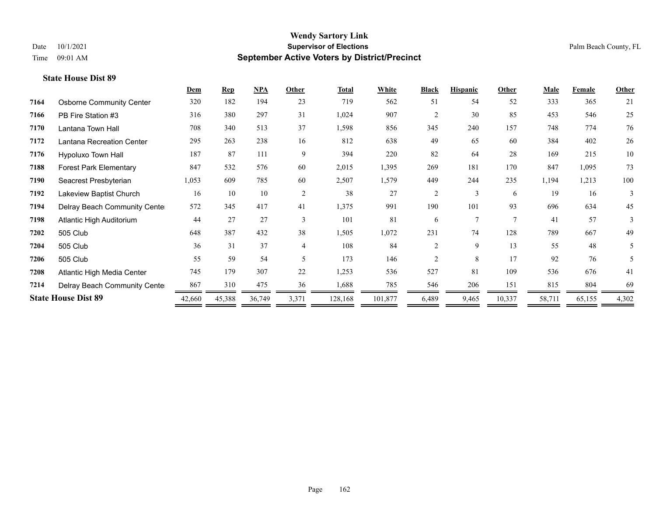|      |                                 | Dem    | <b>Rep</b> | <b>NPA</b> | Other          | <b>Total</b> | White   | <b>Black</b>   | <b>Hispanic</b> | Other  | <b>Male</b> | Female | Other |
|------|---------------------------------|--------|------------|------------|----------------|--------------|---------|----------------|-----------------|--------|-------------|--------|-------|
| 7164 | <b>Osborne Community Center</b> | 320    | 182        | 194        | 23             | 719          | 562     | 51             | 54              | 52     | 333         | 365    | 21    |
| 7166 | PB Fire Station #3              | 316    | 380        | 297        | 31             | 1,024        | 907     | $\overline{c}$ | 30              | 85     | 453         | 546    | 25    |
| 7170 | Lantana Town Hall               | 708    | 340        | 513        | 37             | 1,598        | 856     | 345            | 240             | 157    | 748         | 774    | 76    |
| 7172 | Lantana Recreation Center       | 295    | 263        | 238        | 16             | 812          | 638     | 49             | 65              | 60     | 384         | 402    | 26    |
| 7176 | Hypoluxo Town Hall              | 187    | 87         | 111        | 9              | 394          | 220     | 82             | 64              | 28     | 169         | 215    | 10    |
| 7188 | <b>Forest Park Elementary</b>   | 847    | 532        | 576        | 60             | 2,015        | 1,395   | 269            | 181             | 170    | 847         | 1,095  | 73    |
| 7190 | Seacrest Presbyterian           | 1,053  | 609        | 785        | 60             | 2,507        | 1,579   | 449            | 244             | 235    | 1,194       | 1,213  | 100   |
| 7192 | Lakeview Baptist Church         | 16     | 10         | 10         | 2              | 38           | 27      | $\overline{2}$ | 3               | 6      | 19          | 16     | 3     |
| 7194 | Delray Beach Community Cente    | 572    | 345        | 417        | 41             | 1,375        | 991     | 190            | 101             | 93     | 696         | 634    | 45    |
| 7198 | Atlantic High Auditorium        | 44     | 27         | 27         | 3              | 101          | 81      | 6              | $\tau$          | $\tau$ | 41          | 57     | 3     |
| 7202 | 505 Club                        | 648    | 387        | 432        | 38             | 1,505        | 1,072   | 231            | 74              | 128    | 789         | 667    | 49    |
| 7204 | 505 Club                        | 36     | 31         | 37         | $\overline{4}$ | 108          | 84      | $\overline{c}$ | 9               | 13     | 55          | 48     | 5     |
| 7206 | 505 Club                        | 55     | 59         | 54         | 5.             | 173          | 146     | $\mathfrak{D}$ | 8               | 17     | 92          | 76     | 5     |
| 7208 | Atlantic High Media Center      | 745    | 179        | 307        | 22             | 1,253        | 536     | 527            | 81              | 109    | 536         | 676    | 41    |
| 7214 | Delray Beach Community Cente    | 867    | 310        | 475        | 36             | 1,688        | 785     | 546            | 206             | 151    | 815         | 804    | 69    |
|      | <b>State House Dist 89</b>      | 42,660 | 45,388     | 36,749     | 3,371          | 128,168      | 101,877 | 6,489          | 9,465           | 10,337 | 58,711      | 65,155 | 4,302 |
|      |                                 |        |            |            |                |              |         |                |                 |        |             |        |       |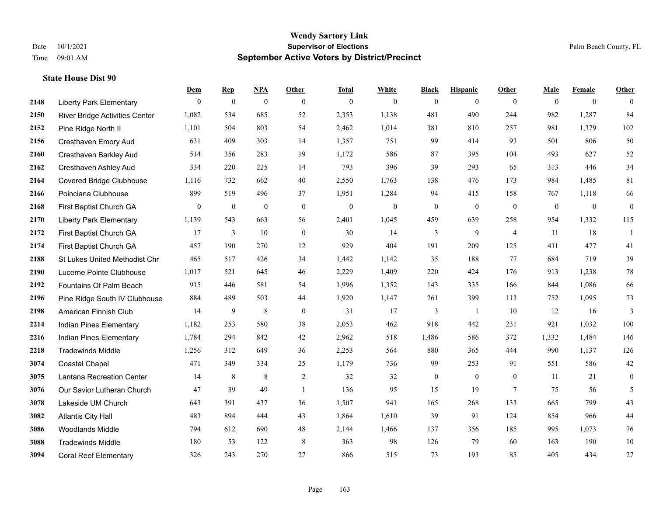|      |                                 | Dem              | <b>Rep</b>       | NPA              | Other            | <b>Total</b> | <b>White</b>     | <b>Black</b>     | <b>Hispanic</b>  | <b>Other</b>    | <b>Male</b>  | <b>Female</b>  | <b>Other</b>     |
|------|---------------------------------|------------------|------------------|------------------|------------------|--------------|------------------|------------------|------------------|-----------------|--------------|----------------|------------------|
| 2148 | <b>Liberty Park Elementary</b>  | $\overline{0}$   | $\mathbf{0}$     | $\boldsymbol{0}$ | $\mathbf{0}$     | $\mathbf{0}$ | $\mathbf{0}$     | $\boldsymbol{0}$ | $\mathbf{0}$     | $\theta$        | $\mathbf{0}$ | $\overline{0}$ | $\theta$         |
| 2150 | River Bridge Activities Center  | 1,082            | 534              | 685              | 52               | 2,353        | 1,138            | 481              | 490              | 244             | 982          | 1,287          | 84               |
| 2152 | Pine Ridge North II             | 1,101            | 504              | 803              | 54               | 2,462        | 1,014            | 381              | 810              | 257             | 981          | 1.379          | 102              |
| 2156 | Cresthaven Emory Aud            | 631              | 409              | 303              | 14               | 1,357        | 751              | 99               | 414              | 93              | 501          | 806            | 50               |
| 2160 | Cresthaven Barkley Aud          | 514              | 356              | 283              | 19               | 1,172        | 586              | 87               | 395              | 104             | 493          | 627            | $52\,$           |
| 2162 | Cresthaven Ashley Aud           | 334              | 220              | 225              | 14               | 793          | 396              | 39               | 293              | 65              | 313          | 446            | 34               |
| 2164 | <b>Covered Bridge Clubhouse</b> | 1,116            | 732              | 662              | 40               | 2,550        | 1,763            | 138              | 476              | 173             | 984          | 1.485          | 81               |
| 2166 | Poinciana Clubhouse             | 899              | 519              | 496              | 37               | 1,951        | 1,284            | 94               | 415              | 158             | 767          | 1,118          | 66               |
| 2168 | First Baptist Church GA         | $\boldsymbol{0}$ | $\boldsymbol{0}$ | $\boldsymbol{0}$ | $\boldsymbol{0}$ | $\mathbf{0}$ | $\boldsymbol{0}$ | $\boldsymbol{0}$ | $\boldsymbol{0}$ | $\mathbf{0}$    | $\mathbf{0}$ | $\mathbf{0}$   | $\boldsymbol{0}$ |
| 2170 | <b>Liberty Park Elementary</b>  | 1,139            | 543              | 663              | 56               | 2,401        | 1,045            | 459              | 639              | 258             | 954          | 1,332          | 115              |
| 2172 | First Baptist Church GA         | 17               | 3                | 10               | $\mathbf{0}$     | 30           | 14               | 3                | 9                | $\overline{4}$  | 11           | 18             | $\overline{1}$   |
| 2174 | First Baptist Church GA         | 457              | 190              | 270              | 12               | 929          | 404              | 191              | 209              | 125             | 411          | 477            | 41               |
| 2188 | St Lukes United Methodist Chr   | 465              | 517              | 426              | 34               | 1,442        | 1,142            | 35               | 188              | 77              | 684          | 719            | 39               |
| 2190 | Lucerne Pointe Clubhouse        | 1,017            | 521              | 645              | 46               | 2,229        | 1,409            | 220              | 424              | 176             | 913          | 1,238          | $78\,$           |
| 2192 | Fountains Of Palm Beach         | 915              | 446              | 581              | 54               | 1,996        | 1,352            | 143              | 335              | 166             | 844          | 1,086          | 66               |
| 2196 | Pine Ridge South IV Clubhouse   | 884              | 489              | 503              | 44               | 1,920        | 1,147            | 261              | 399              | 113             | 752          | 1,095          | $73\,$           |
| 2198 | American Finnish Club           | 14               | 9                | $\,8\,$          | $\boldsymbol{0}$ | 31           | 17               | 3                | -1               | 10              | 12           | 16             | 3                |
| 2214 | Indian Pines Elementary         | 1,182            | 253              | 580              | 38               | 2,053        | 462              | 918              | 442              | 231             | 921          | 1,032          | 100              |
| 2216 | Indian Pines Elementary         | 1,784            | 294              | 842              | 42               | 2,962        | 518              | 1,486            | 586              | 372             | 1,332        | 1,484          | 146              |
| 2218 | <b>Tradewinds Middle</b>        | 1,256            | 312              | 649              | 36               | 2,253        | 564              | 880              | 365              | 444             | 990          | 1,137          | 126              |
| 3074 | <b>Coastal Chapel</b>           | 471              | 349              | 334              | 25               | 1,179        | 736              | 99               | 253              | 91              | 551          | 586            | $42\,$           |
| 3075 | Lantana Recreation Center       | 14               | 8                | $\,8\,$          | $\overline{c}$   | 32           | 32               | $\boldsymbol{0}$ | $\boldsymbol{0}$ | $\overline{0}$  | 11           | 21             | $\boldsymbol{0}$ |
| 3076 | Our Savior Lutheran Church      | 47               | 39               | 49               | $\mathbf{1}$     | 136          | 95               | 15               | 19               | $7\phantom{.0}$ | 75           | 56             | 5                |
| 3078 | Lakeside UM Church              | 643              | 391              | 437              | 36               | 1,507        | 941              | 165              | 268              | 133             | 665          | 799            | 43               |
| 3082 | <b>Atlantis City Hall</b>       | 483              | 894              | 444              | 43               | 1,864        | 1,610            | 39               | 91               | 124             | 854          | 966            | 44               |
| 3086 | Woodlands Middle                | 794              | 612              | 690              | 48               | 2,144        | 1,466            | 137              | 356              | 185             | 995          | 1,073          | 76               |
| 3088 | <b>Tradewinds Middle</b>        | 180              | 53               | 122              | 8                | 363          | 98               | 126              | 79               | 60              | 163          | 190            | $10\,$           |
| 3094 | <b>Coral Reef Elementary</b>    | 326              | 243              | 270              | 27               | 866          | 515              | 73               | 193              | 85              | 405          | 434            | 27               |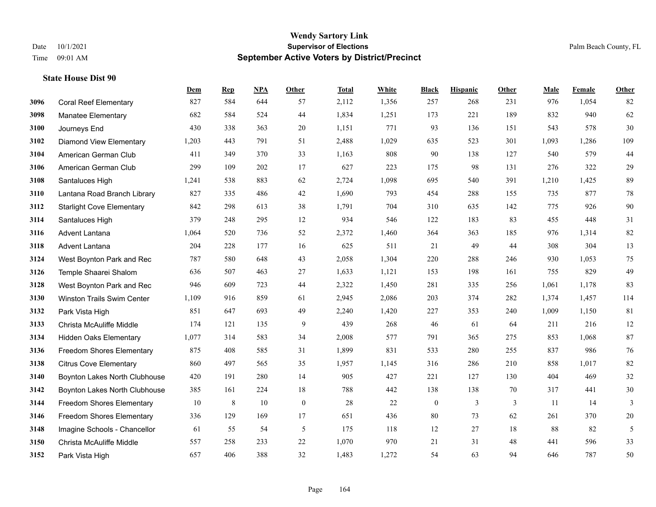|      |                                   | Dem   | <b>Rep</b> | NPA    | <b>Other</b> | <b>Total</b> | White | <b>Black</b>     | <b>Hispanic</b> | <b>Other</b> | <b>Male</b> | Female | <b>Other</b> |
|------|-----------------------------------|-------|------------|--------|--------------|--------------|-------|------------------|-----------------|--------------|-------------|--------|--------------|
| 3096 | <b>Coral Reef Elementary</b>      | 827   | 584        | 644    | 57           | 2,112        | 1,356 | 257              | 268             | 231          | 976         | 1,054  | 82           |
| 3098 | <b>Manatee Elementary</b>         | 682   | 584        | 524    | 44           | 1,834        | 1,251 | 173              | 221             | 189          | 832         | 940    | 62           |
| 3100 | Journeys End                      | 430   | 338        | 363    | 20           | 1,151        | 771   | 93               | 136             | 151          | 543         | 578    | 30           |
| 3102 | <b>Diamond View Elementary</b>    | 1,203 | 443        | 791    | 51           | 2,488        | 1,029 | 635              | 523             | 301          | 1,093       | 1,286  | 109          |
| 3104 | American German Club              | 411   | 349        | 370    | 33           | 1,163        | 808   | 90               | 138             | 127          | 540         | 579    | 44           |
| 3106 | American German Club              | 299   | 109        | 202    | 17           | 627          | 223   | 175              | 98              | 131          | 276         | 322    | 29           |
| 3108 | Santaluces High                   | 1,241 | 538        | 883    | 62           | 2,724        | 1,098 | 695              | 540             | 391          | 1,210       | 1,425  | 89           |
| 3110 | Lantana Road Branch Library       | 827   | 335        | 486    | 42           | 1,690        | 793   | 454              | 288             | 155          | 735         | 877    | 78           |
| 3112 | <b>Starlight Cove Elementary</b>  | 842   | 298        | 613    | 38           | 1,791        | 704   | 310              | 635             | 142          | 775         | 926    | 90           |
| 3114 | Santaluces High                   | 379   | 248        | 295    | 12           | 934          | 546   | 122              | 183             | 83           | 455         | 448    | 31           |
| 3116 | <b>Advent Lantana</b>             | 1,064 | 520        | 736    | 52           | 2,372        | 1,460 | 364              | 363             | 185          | 976         | 1,314  | 82           |
| 3118 | Advent Lantana                    | 204   | 228        | 177    | 16           | 625          | 511   | 21               | 49              | 44           | 308         | 304    | 13           |
| 3124 | West Boynton Park and Rec         | 787   | 580        | 648    | 43           | 2,058        | 1,304 | 220              | 288             | 246          | 930         | 1,053  | 75           |
| 3126 | Temple Shaarei Shalom             | 636   | 507        | 463    | $27\,$       | 1,633        | 1,121 | 153              | 198             | 161          | 755         | 829    | 49           |
| 3128 | West Boynton Park and Rec         | 946   | 609        | 723    | 44           | 2,322        | 1,450 | 281              | 335             | 256          | 1,061       | 1,178  | 83           |
| 3130 | <b>Winston Trails Swim Center</b> | 1,109 | 916        | 859    | 61           | 2,945        | 2,086 | 203              | 374             | 282          | 1,374       | 1,457  | 114          |
| 3132 | Park Vista High                   | 851   | 647        | 693    | 49           | 2,240        | 1,420 | 227              | 353             | 240          | 1,009       | 1,150  | 81           |
| 3133 | Christa McAuliffe Middle          | 174   | 121        | 135    | 9            | 439          | 268   | 46               | 61              | 64           | 211         | 216    | 12           |
| 3134 | <b>Hidden Oaks Elementary</b>     | 1,077 | 314        | 583    | 34           | 2,008        | 577   | 791              | 365             | 275          | 853         | 1,068  | 87           |
| 3136 | <b>Freedom Shores Elementary</b>  | 875   | 408        | 585    | 31           | 1,899        | 831   | 533              | 280             | 255          | 837         | 986    | 76           |
| 3138 | <b>Citrus Cove Elementary</b>     | 860   | 497        | 565    | 35           | 1,957        | 1,145 | 316              | 286             | 210          | 858         | 1.017  | 82           |
| 3140 | Boynton Lakes North Clubhouse     | 420   | 191        | 280    | 14           | 905          | 427   | 221              | 127             | 130          | 404         | 469    | 32           |
| 3142 | Boynton Lakes North Clubhouse     | 385   | 161        | 224    | 18           | 788          | 442   | 138              | 138             | 70           | 317         | 441    | 30           |
| 3144 | Freedom Shores Elementary         | 10    | 8          | $10\,$ | $\mathbf{0}$ | 28           | 22    | $\boldsymbol{0}$ | 3               | 3            | 11          | 14     | 3            |
| 3146 | Freedom Shores Elementary         | 336   | 129        | 169    | 17           | 651          | 436   | 80               | 73              | 62           | 261         | 370    | $20\,$       |
| 3148 | Imagine Schools - Chancellor      | 61    | 55         | 54     | 5            | 175          | 118   | 12               | 27              | 18           | 88          | 82     | $\sqrt{5}$   |
| 3150 | Christa McAuliffe Middle          | 557   | 258        | 233    | 22           | 1,070        | 970   | 21               | 31              | 48           | 441         | 596    | 33           |
| 3152 | Park Vista High                   | 657   | 406        | 388    | 32           | 1,483        | 1,272 | 54               | 63              | 94           | 646         | 787    | 50           |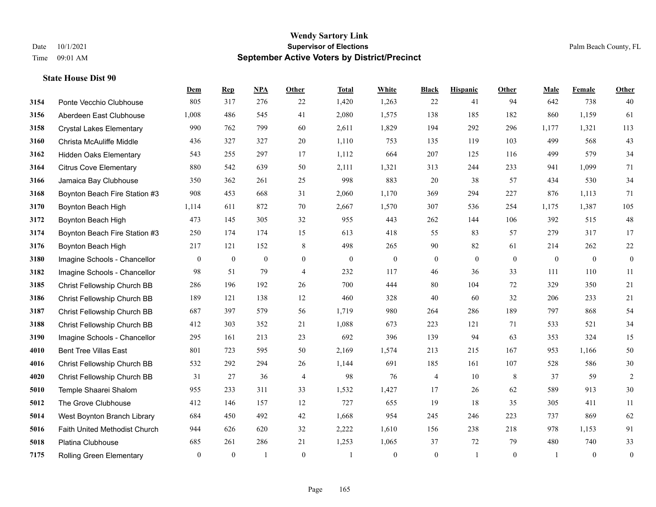|      |                                 | Dem            | <b>Rep</b>   | <b>NPA</b>     | Other          | <b>Total</b> | White          | <b>Black</b>     | <b>Hispanic</b> | Other        | Male         | Female       | Other            |
|------|---------------------------------|----------------|--------------|----------------|----------------|--------------|----------------|------------------|-----------------|--------------|--------------|--------------|------------------|
| 3154 | Ponte Vecchio Clubhouse         | 805            | 317          | 276            | 22             | 1,420        | 1,263          | 22               | 41              | 94           | 642          | 738          | 40               |
| 3156 | Aberdeen East Clubhouse         | 1,008          | 486          | 545            | 41             | 2,080        | 1,575          | 138              | 185             | 182          | 860          | 1,159        | 61               |
| 3158 | <b>Crystal Lakes Elementary</b> | 990            | 762          | 799            | 60             | 2,611        | 1,829          | 194              | 292             | 296          | 1,177        | 1,321        | 113              |
| 3160 | Christa McAuliffe Middle        | 436            | 327          | 327            | 20             | 1,110        | 753            | 135              | 119             | 103          | 499          | 568          | 43               |
| 3162 | <b>Hidden Oaks Elementary</b>   | 543            | 255          | 297            | 17             | 1,112        | 664            | 207              | 125             | 116          | 499          | 579          | 34               |
| 3164 | <b>Citrus Cove Elementary</b>   | 880            | 542          | 639            | 50             | 2,111        | 1,321          | 313              | 244             | 233          | 941          | 1,099        | 71               |
| 3166 | Jamaica Bay Clubhouse           | 350            | 362          | 261            | 25             | 998          | 883            | 20               | 38              | 57           | 434          | 530          | 34               |
| 3168 | Boynton Beach Fire Station #3   | 908            | 453          | 668            | 31             | 2,060        | 1,170          | 369              | 294             | 227          | 876          | 1,113        | 71               |
| 3170 | Boynton Beach High              | 1,114          | 611          | 872            | 70             | 2,667        | 1,570          | 307              | 536             | 254          | 1,175        | 1,387        | 105              |
| 3172 | Boynton Beach High              | 473            | 145          | 305            | 32             | 955          | 443            | 262              | 144             | 106          | 392          | 515          | 48               |
| 3174 | Boynton Beach Fire Station #3   | 250            | 174          | 174            | 15             | 613          | 418            | 55               | 83              | 57           | 279          | 317          | 17               |
| 3176 | Boynton Beach High              | 217            | 121          | 152            | $\,8\,$        | 498          | 265            | 90               | $82\,$          | 61           | 214          | 262          | $22\,$           |
| 3180 | Imagine Schools - Chancellor    | $\mathbf{0}$   | $\mathbf{0}$ | $\mathbf{0}$   | $\overline{0}$ | $\mathbf{0}$ | $\overline{0}$ | $\boldsymbol{0}$ | $\mathbf{0}$    | $\theta$     | $\mathbf{0}$ | $\mathbf{0}$ | $\boldsymbol{0}$ |
| 3182 | Imagine Schools - Chancellor    | 98             | 51           | 79             | $\overline{4}$ | 232          | 117            | 46               | 36              | 33           | 111          | 110          | 11               |
| 3185 | Christ Fellowship Church BB     | 286            | 196          | 192            | 26             | 700          | 444            | 80               | 104             | 72           | 329          | 350          | 21               |
| 3186 | Christ Fellowship Church BB     | 189            | 121          | 138            | 12             | 460          | 328            | 40               | 60              | 32           | 206          | 233          | 21               |
| 3187 | Christ Fellowship Church BB     | 687            | 397          | 579            | 56             | 1,719        | 980            | 264              | 286             | 189          | 797          | 868          | 54               |
| 3188 | Christ Fellowship Church BB     | 412            | 303          | 352            | 21             | 1,088        | 673            | 223              | 121             | 71           | 533          | 521          | 34               |
| 3190 | Imagine Schools - Chancellor    | 295            | 161          | 213            | 23             | 692          | 396            | 139              | 94              | 63           | 353          | 324          | 15               |
| 4010 | <b>Bent Tree Villas East</b>    | 801            | 723          | 595            | 50             | 2,169        | 1,574          | 213              | 215             | 167          | 953          | 1,166        | 50               |
| 4016 | Christ Fellowship Church BB     | 532            | 292          | 294            | 26             | 1,144        | 691            | 185              | 161             | 107          | 528          | 586          | $30\,$           |
| 4020 | Christ Fellowship Church BB     | 31             | 27           | 36             | $\overline{4}$ | 98           | 76             | 4                | 10              | 8            | 37           | 59           | 2                |
| 5010 | Temple Shaarei Shalom           | 955            | 233          | 311            | 33             | 1,532        | 1,427          | 17               | 26              | 62           | 589          | 913          | $30\,$           |
| 5012 | The Grove Clubhouse             | 412            | 146          | 157            | 12             | 727          | 655            | 19               | 18              | 35           | 305          | 411          | 11               |
| 5014 | West Boynton Branch Library     | 684            | 450          | 492            | 42             | 1,668        | 954            | 245              | 246             | 223          | 737          | 869          | 62               |
| 5016 | Faith United Methodist Church   | 944            | 626          | 620            | 32             | 2,222        | 1,610          | 156              | 238             | 218          | 978          | 1,153        | 91               |
| 5018 | Platina Clubhouse               | 685            | 261          | 286            | 21             | 1,253        | 1,065          | 37               | 72              | 79           | 480          | 740          | 33               |
| 7175 | <b>Rolling Green Elementary</b> | $\overline{0}$ | $\mathbf{0}$ | $\overline{1}$ | $\mathbf{0}$   |              | $\overline{0}$ | $\boldsymbol{0}$ | $\mathbf{1}$    | $\mathbf{0}$ |              | $\mathbf{0}$ | $\boldsymbol{0}$ |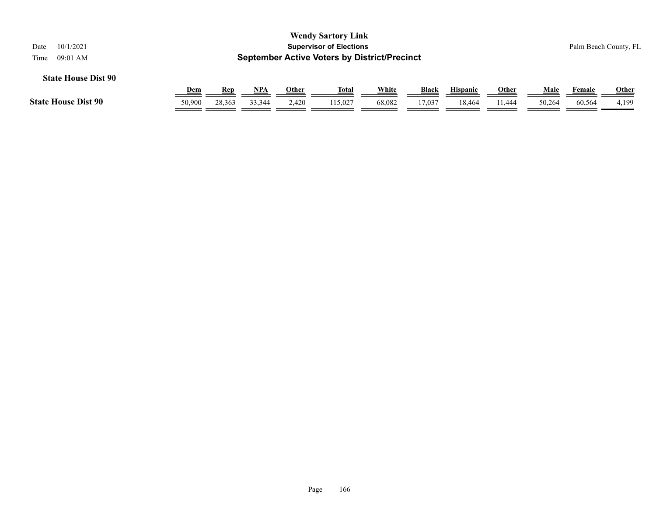| 10/1/2021<br>Date<br>09:01 AM<br>Time |                      |               |               |                | <b>Wendy Sartory Link</b><br><b>Supervisor of Elections</b><br><b>September Active Voters by District/Precinct</b> |                 |                        |                           |                        |                |                  | Palm Beach County, FL |
|---------------------------------------|----------------------|---------------|---------------|----------------|--------------------------------------------------------------------------------------------------------------------|-----------------|------------------------|---------------------------|------------------------|----------------|------------------|-----------------------|
| <b>State House Dist 90</b>            |                      |               |               |                |                                                                                                                    |                 |                        |                           |                        |                |                  |                       |
| <b>State House Dist 90</b>            | <u>Dem</u><br>50,900 | Rep<br>28,363 | NPA<br>33,344 | Other<br>2.420 | <u>Total</u><br>115,027                                                                                            | White<br>68,082 | <b>Black</b><br>17.037 | <b>Hispanic</b><br>18.464 | <u>Other</u><br>11.444 | Male<br>50,264 | Female<br>60,564 | <b>Other</b><br>4,199 |
|                                       |                      |               |               |                |                                                                                                                    |                 |                        |                           |                        |                |                  |                       |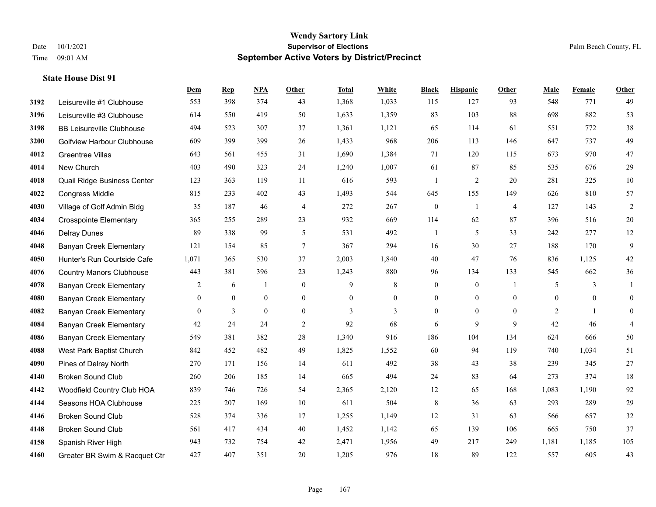**State House Dist 91**

## **Wendy Sartory Link** Date 10/1/2021 **Supervisor of Elections Supervisor of Elections** Palm Beach County, FL Time 09:01 AM **September Active Voters by District/Precinct**

|      |                                  | Dem            | $\mathbf{Rep}$   | NPA              | Other        | <b>Total</b> | White            | <b>Black</b>     | <b>Hispanic</b>  | Other                    | Male           | Female         | <b>Other</b>     |
|------|----------------------------------|----------------|------------------|------------------|--------------|--------------|------------------|------------------|------------------|--------------------------|----------------|----------------|------------------|
| 3192 | Leisureville #1 Clubhouse        | 553            | 398              | 374              | 43           | 1,368        | 1,033            | 115              | 127              | 93                       | 548            | 771            | 49               |
| 3196 | Leisureville #3 Clubhouse        | 614            | 550              | 419              | 50           | 1,633        | 1,359            | 83               | 103              | 88                       | 698            | 882            | 53               |
| 3198 | <b>BB Leisureville Clubhouse</b> | 494            | 523              | 307              | 37           | 1,361        | 1,121            | 65               | 114              | 61                       | 551            | 772            | 38               |
| 3200 | Golfview Harbour Clubhouse       | 609            | 399              | 399              | 26           | 1,433        | 968              | 206              | 113              | 146                      | 647            | 737            | 49               |
| 4012 | Greentree Villas                 | 643            | 561              | 455              | 31           | 1,690        | 1,384            | 71               | 120              | 115                      | 673            | 970            | 47               |
| 4014 | New Church                       | 403            | 490              | 323              | 24           | 1,240        | 1,007            | 61               | 87               | 85                       | 535            | 676            | 29               |
| 4018 | Quail Ridge Business Center      | 123            | 363              | 119              | 11           | 616          | 593              | $\overline{1}$   | 2                | 20                       | 281            | 325            | 10               |
| 4022 | <b>Congress Middle</b>           | 815            | 233              | 402              | 43           | 1,493        | 544              | 645              | 155              | 149                      | 626            | 810            | 57               |
| 4030 | Village of Golf Admin Bldg       | 35             | 187              | 46               | 4            | 272          | 267              | $\boldsymbol{0}$ | -1               | 4                        | 127            | 143            | $\overline{c}$   |
| 4034 | <b>Crosspointe Elementary</b>    | 365            | 255              | 289              | 23           | 932          | 669              | 114              | 62               | 87                       | 396            | 516            | $20\,$           |
| 4046 | <b>Delray Dunes</b>              | 89             | 338              | 99               | 5            | 531          | 492              |                  | 5                | 33                       | 242            | 277            | 12               |
| 4048 | <b>Banyan Creek Elementary</b>   | 121            | 154              | 85               | $\tau$       | 367          | 294              | 16               | 30               | 27                       | 188            | 170            | $\mathbf{9}$     |
| 4050 | Hunter's Run Courtside Cafe      | 1,071          | 365              | 530              | 37           | 2,003        | 1,840            | 40               | 47               | 76                       | 836            | 1,125          | $42\,$           |
| 4076 | <b>Country Manors Clubhouse</b>  | 443            | 381              | 396              | 23           | 1,243        | 880              | 96               | 134              | 133                      | 545            | 662            | 36               |
| 4078 | Banyan Creek Elementary          | $\overline{2}$ | 6                | 1                | $\mathbf{0}$ | 9            | 8                | $\boldsymbol{0}$ | $\mathbf{0}$     | $\overline{\phantom{a}}$ | 5              | 3              | $\mathbf{1}$     |
| 4080 | <b>Banyan Creek Elementary</b>   | $\overline{0}$ | $\boldsymbol{0}$ | $\boldsymbol{0}$ | $\mathbf{0}$ | $\mathbf{0}$ | $\boldsymbol{0}$ | $\boldsymbol{0}$ | $\boldsymbol{0}$ | $\overline{0}$           | $\overline{0}$ | $\overline{0}$ | $\boldsymbol{0}$ |
| 4082 | Banyan Creek Elementary          | $\mathbf{0}$   | 3                | $\mathbf{0}$     | $\mathbf{0}$ | 3            | 3                | $\boldsymbol{0}$ | $\mathbf{0}$     | $\overline{0}$           | 2              | $\mathbf{1}$   | $\overline{0}$   |
| 4084 | Banyan Creek Elementary          | 42             | 24               | 24               | 2            | 92           | 68               | 6                | 9                | 9                        | 42             | 46             | $\overline{4}$   |
| 4086 | Banyan Creek Elementary          | 549            | 381              | 382              | 28           | 1,340        | 916              | 186              | 104              | 134                      | 624            | 666            | 50               |
| 4088 | West Park Baptist Church         | 842            | 452              | 482              | 49           | 1,825        | 1,552            | 60               | 94               | 119                      | 740            | 1,034          | 51               |
| 4090 | Pines of Delray North            | 270            | 171              | 156              | 14           | 611          | 492              | 38               | 43               | 38                       | 239            | 345            | 27               |
| 4140 | <b>Broken Sound Club</b>         | 260            | 206              | 185              | 14           | 665          | 494              | 24               | 83               | 64                       | 273            | 374            | 18               |
| 4142 | Woodfield Country Club HOA       | 839            | 746              | 726              | 54           | 2,365        | 2,120            | 12               | 65               | 168                      | 1,083          | 1,190          | 92               |
| 4144 | Seasons HOA Clubhouse            | 225            | 207              | 169              | 10           | 611          | 504              | $\,$ 8 $\,$      | 36               | 63                       | 293            | 289            | 29               |
| 4146 | <b>Broken Sound Club</b>         | 528            | 374              | 336              | 17           | 1,255        | 1,149            | 12               | 31               | 63                       | 566            | 657            | $32\,$           |
| 4148 | <b>Broken Sound Club</b>         | 561            | 417              | 434              | 40           | 1,452        | 1,142            | 65               | 139              | 106                      | 665            | 750            | 37               |
| 4158 | Spanish River High               | 943            | 732              | 754              | 42           | 2,471        | 1,956            | 49               | 217              | 249                      | 1,181          | 1,185          | 105              |
| 4160 | Greater BR Swim & Racquet Ctr    | 427            | 407              | 351              | 20           | 1.205        | 976              | 18               | 89               | 122                      | 557            | 605            | 43               |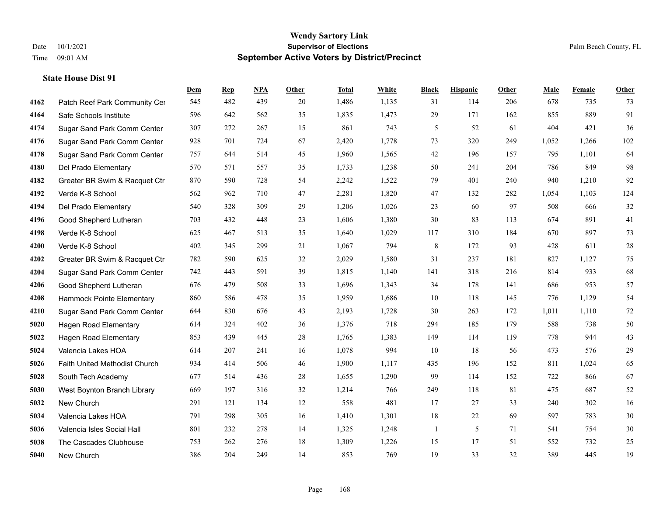|      |                               | Dem | <b>Rep</b> | NPA | <b>Other</b> | <b>Total</b> | White | <b>Black</b> | <b>Hispanic</b> | <b>Other</b> | <b>Male</b> | <b>Female</b> | <b>Other</b> |
|------|-------------------------------|-----|------------|-----|--------------|--------------|-------|--------------|-----------------|--------------|-------------|---------------|--------------|
| 4162 | Patch Reef Park Community Cer | 545 | 482        | 439 | 20           | 1,486        | 1,135 | 31           | 114             | 206          | 678         | 735           | 73           |
| 4164 | Safe Schools Institute        | 596 | 642        | 562 | 35           | 1,835        | 1,473 | 29           | 171             | 162          | 855         | 889           | 91           |
| 4174 | Sugar Sand Park Comm Center   | 307 | 272        | 267 | 15           | 861          | 743   | 5            | 52              | 61           | 404         | 421           | 36           |
| 4176 | Sugar Sand Park Comm Center   | 928 | 701        | 724 | 67           | 2,420        | 1,778 | 73           | 320             | 249          | 1,052       | 1,266         | 102          |
| 4178 | Sugar Sand Park Comm Center   | 757 | 644        | 514 | 45           | 1,960        | 1,565 | 42           | 196             | 157          | 795         | 1,101         | 64           |
| 4180 | Del Prado Elementary          | 570 | 571        | 557 | 35           | 1,733        | 1,238 | 50           | 241             | 204          | 786         | 849           | 98           |
| 4182 | Greater BR Swim & Racquet Ctr | 870 | 590        | 728 | 54           | 2,242        | 1,522 | 79           | 401             | 240          | 940         | 1,210         | 92           |
| 4192 | Verde K-8 School              | 562 | 962        | 710 | 47           | 2,281        | 1,820 | 47           | 132             | 282          | 1,054       | 1,103         | 124          |
| 4194 | Del Prado Elementary          | 540 | 328        | 309 | 29           | 1,206        | 1,026 | 23           | 60              | 97           | 508         | 666           | $32\,$       |
| 4196 | Good Shepherd Lutheran        | 703 | 432        | 448 | 23           | 1,606        | 1,380 | 30           | 83              | 113          | 674         | 891           | 41           |
| 4198 | Verde K-8 School              | 625 | 467        | 513 | 35           | 1,640        | 1,029 | 117          | 310             | 184          | 670         | 897           | 73           |
| 4200 | Verde K-8 School              | 402 | 345        | 299 | 21           | 1,067        | 794   | 8            | 172             | 93           | 428         | 611           | $28\,$       |
| 4202 | Greater BR Swim & Racquet Ctr | 782 | 590        | 625 | 32           | 2,029        | 1,580 | 31           | 237             | 181          | 827         | 1,127         | $75\,$       |
| 4204 | Sugar Sand Park Comm Center   | 742 | 443        | 591 | 39           | 1,815        | 1,140 | 141          | 318             | 216          | 814         | 933           | 68           |
| 4206 | Good Shepherd Lutheran        | 676 | 479        | 508 | 33           | 1,696        | 1,343 | 34           | 178             | 141          | 686         | 953           | 57           |
| 4208 | Hammock Pointe Elementary     | 860 | 586        | 478 | 35           | 1,959        | 1,686 | 10           | 118             | 145          | 776         | 1,129         | 54           |
| 4210 | Sugar Sand Park Comm Center   | 644 | 830        | 676 | 43           | 2,193        | 1,728 | 30           | 263             | 172          | 1,011       | 1,110         | $72\,$       |
| 5020 | <b>Hagen Road Elementary</b>  | 614 | 324        | 402 | 36           | 1,376        | 718   | 294          | 185             | 179          | 588         | 738           | $50\,$       |
| 5022 | <b>Hagen Road Elementary</b>  | 853 | 439        | 445 | 28           | 1,765        | 1,383 | 149          | 114             | 119          | 778         | 944           | 43           |
| 5024 | Valencia Lakes HOA            | 614 | 207        | 241 | 16           | 1,078        | 994   | 10           | 18              | 56           | 473         | 576           | 29           |
| 5026 | Faith United Methodist Church | 934 | 414        | 506 | 46           | 1,900        | 1,117 | 435          | 196             | 152          | 811         | 1,024         | 65           |
| 5028 | South Tech Academy            | 677 | 514        | 436 | 28           | 1,655        | 1,290 | 99           | 114             | 152          | 722         | 866           | 67           |
| 5030 | West Boynton Branch Library   | 669 | 197        | 316 | 32           | 1,214        | 766   | 249          | 118             | 81           | 475         | 687           | 52           |
| 5032 | New Church                    | 291 | 121        | 134 | 12           | 558          | 481   | 17           | 27              | 33           | 240         | 302           | 16           |
| 5034 | Valencia Lakes HOA            | 791 | 298        | 305 | 16           | 1,410        | 1,301 | 18           | 22              | 69           | 597         | 783           | $30\,$       |
| 5036 | Valencia Isles Social Hall    | 801 | 232        | 278 | 14           | 1,325        | 1,248 | 1            | 5               | 71           | 541         | 754           | $30\,$       |
| 5038 | The Cascades Clubhouse        | 753 | 262        | 276 | 18           | 1,309        | 1,226 | 15           | 17              | 51           | 552         | 732           | 25           |
| 5040 | New Church                    | 386 | 204        | 249 | 14           | 853          | 769   | 19           | 33              | 32           | 389         | 445           | 19           |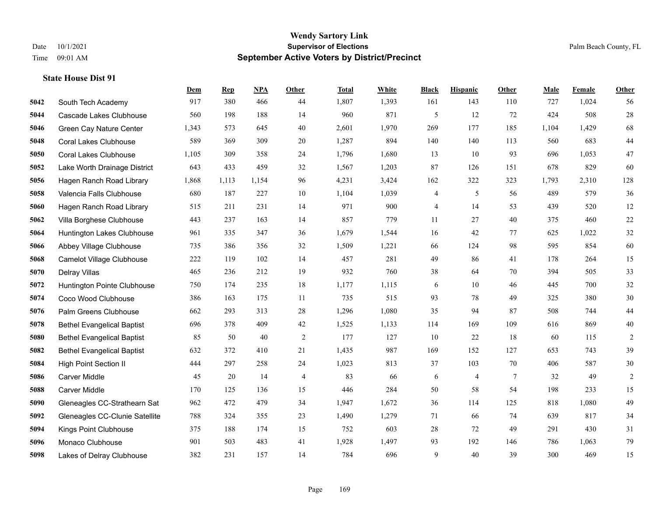**State House Dist 91**

#### **Wendy Sartory Link** Date 10/1/2021 **Supervisor of Elections** Palm Beach County, FL Time 09:01 AM **September Active Voters by District/Precinct**

## **Dem Rep NPA Other Total White Black Hispanic Other Male Female Other** South Tech Academy 917 380 466 44 1,807 1,393 161 143 110 727 1,024 56 Cascade Lakes Clubhouse 560 198 188 14 960 871 5 12 72 424 508 28 Green Cay Nature Center 1,343 573 645 40 2,601 1,970 269 177 185 1,104 1,429 68 Coral Lakes Clubhouse 589 369 309 20 1,287 894 140 140 113 560 683 44 Coral Lakes Clubhouse 1,105 309 358 24 1,796 1,680 13 10 93 696 1,053 47 Lake Worth Drainage District 643 433 459 32 1,567 1,203 87 126 151 678 829 60 Hagen Ranch Road Library 1,868 1,113 1,154 96 4,231 3,424 162 322 323 1,793 2,310 128 Valencia Falls Clubhouse 680 187 227 10 1,104 1,039 4 5 56 489 579 36 Hagen Ranch Road Library 515 211 231 14 971 900 4 14 53 439 520 12 Villa Borghese Clubhouse 443 237 163 14 857 779 11 27 40 375 460 22 Huntington Lakes Clubhouse 961 335 347 36 1,679 1,544 16 42 77 625 1,022 32 Abbey Village Clubhouse 735 386 356 32 1,509 1,221 66 124 98 595 854 60 Camelot Village Clubhouse 222 119 102 14 457 281 49 86 41 178 264 15 Delray Villas 465 236 212 19 932 760 38 64 70 394 505 33 Huntington Pointe Clubhouse 750 174 235 18 1,177 1,115 6 10 46 445 700 32 Coco Wood Clubhouse 386 163 175 11 735 515 93 78 49 325 380 30 Palm Greens Clubhouse 662 293 313 28 1,296 1,080 35 94 87 508 744 44 Bethel Evangelical Baptist 696 378 409 42 1,525 1,133 114 169 109 616 869 40 Bethel Evangelical Baptist 85 50 40 2 177 127 10 22 18 60 115 2 Bethel Evangelical Baptist 632 372 410 21 1,435 987 169 152 127 653 743 39 High Point Section II 444 297 258 24 1,023 813 37 103 70 406 587 30 Carver Middle 45 20 14 4 83 66 6 4 7 32 49 2 Carver Middle 170 125 136 15 446 284 50 58 54 198 233 15 Gleneagles CC-Strathearn Sat 962 472 479 34 1,947 1,672 36 114 125 818 1,080 49 Gleneagles CC-Clunie Satellite 788 324 355 23 1,490 1,279 71 66 74 639 817 34 Kings Point Clubhouse 375 188 174 15 752 603 28 72 49 291 430 31 Monaco Clubhouse 901 503 483 41 1,928 1,497 93 192 146 786 1,063 79 Lakes of Delray Clubhouse 382 231 157 14 784 696 9 40 39 300 469 15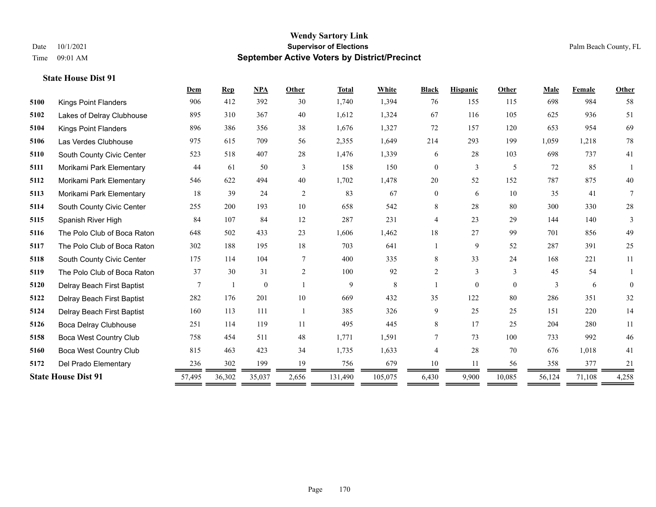| 906                         |                                                                                                                                                                                                                                                                                                                                                                                                                                                                                                                                                                                                    |                                                                                                                                       |                |         |         |                |                |          |        |        | Other    |
|-----------------------------|----------------------------------------------------------------------------------------------------------------------------------------------------------------------------------------------------------------------------------------------------------------------------------------------------------------------------------------------------------------------------------------------------------------------------------------------------------------------------------------------------------------------------------------------------------------------------------------------------|---------------------------------------------------------------------------------------------------------------------------------------|----------------|---------|---------|----------------|----------------|----------|--------|--------|----------|
| <b>Kings Point Flanders</b> | 412                                                                                                                                                                                                                                                                                                                                                                                                                                                                                                                                                                                                | 392                                                                                                                                   | 30             | 1,740   | 1,394   | 76             | 155            | 115      | 698    | 984    | 58       |
|                             | 310                                                                                                                                                                                                                                                                                                                                                                                                                                                                                                                                                                                                | 367                                                                                                                                   | 40             | 1,612   | 1,324   | 67             | 116            | 105      | 625    | 936    | 51       |
|                             | 386                                                                                                                                                                                                                                                                                                                                                                                                                                                                                                                                                                                                | 356                                                                                                                                   | 38             | 1,676   | 1,327   | 72             | 157            | 120      | 653    | 954    | 69       |
|                             | 615                                                                                                                                                                                                                                                                                                                                                                                                                                                                                                                                                                                                | 709                                                                                                                                   | 56             | 2,355   | 1,649   | 214            | 293            | 199      | 1,059  | 1,218  | $78\,$   |
|                             | 518                                                                                                                                                                                                                                                                                                                                                                                                                                                                                                                                                                                                | 407                                                                                                                                   | 28             | 1,476   | 1,339   | 6              | 28             | 103      | 698    | 737    | 41       |
|                             | 61                                                                                                                                                                                                                                                                                                                                                                                                                                                                                                                                                                                                 | 50                                                                                                                                    | 3              | 158     | 150     | $\overline{0}$ | $\overline{3}$ | 5        | 72     | 85     |          |
|                             | 622                                                                                                                                                                                                                                                                                                                                                                                                                                                                                                                                                                                                | 494                                                                                                                                   | 40             | 1,702   | 1,478   | 20             | 52             | 152      | 787    | 875    | 40       |
|                             | 39                                                                                                                                                                                                                                                                                                                                                                                                                                                                                                                                                                                                 | 24                                                                                                                                    | 2              | 83      | 67      | 0              | 6              | 10       | 35     | 41     | 7        |
|                             | 200                                                                                                                                                                                                                                                                                                                                                                                                                                                                                                                                                                                                | 193                                                                                                                                   | 10             | 658     | 542     | 8              | 28             | 80       | 300    | 330    | $28\,$   |
|                             | 107                                                                                                                                                                                                                                                                                                                                                                                                                                                                                                                                                                                                | 84                                                                                                                                    | 12             | 287     | 231     | 4              | 23             | 29       | 144    | 140    | 3        |
|                             | 502                                                                                                                                                                                                                                                                                                                                                                                                                                                                                                                                                                                                | 433                                                                                                                                   | 23             | 1,606   | 1,462   | 18             | 27             | 99       | 701    | 856    | 49       |
|                             | 188                                                                                                                                                                                                                                                                                                                                                                                                                                                                                                                                                                                                | 195                                                                                                                                   | 18             | 703     | 641     |                | 9              | 52       | 287    | 391    | 25       |
|                             | 114                                                                                                                                                                                                                                                                                                                                                                                                                                                                                                                                                                                                | 104                                                                                                                                   | $\tau$         | 400     | 335     | 8              | 33             | 24       | 168    | 221    | 11       |
|                             | 30                                                                                                                                                                                                                                                                                                                                                                                                                                                                                                                                                                                                 | 31                                                                                                                                    | 2              | 100     | 92      | $\overline{2}$ | 3              | 3        | 45     | 54     |          |
|                             |                                                                                                                                                                                                                                                                                                                                                                                                                                                                                                                                                                                                    | $\mathbf{0}$                                                                                                                          |                | 9       | 8       |                | $\overline{0}$ | $\Omega$ | 3      | 6      | $\theta$ |
|                             | 176                                                                                                                                                                                                                                                                                                                                                                                                                                                                                                                                                                                                | 201                                                                                                                                   | 10             | 669     | 432     | 35             | 122            | 80       | 286    | 351    | 32       |
|                             | 113                                                                                                                                                                                                                                                                                                                                                                                                                                                                                                                                                                                                | 111                                                                                                                                   | $\overline{1}$ | 385     | 326     | 9              | 25             | 25       | 151    | 220    | 14       |
|                             | 114                                                                                                                                                                                                                                                                                                                                                                                                                                                                                                                                                                                                | 119                                                                                                                                   | 11             | 495     | 445     | 8              | 17             | 25       | 204    | 280    | 11       |
|                             | 454                                                                                                                                                                                                                                                                                                                                                                                                                                                                                                                                                                                                | 511                                                                                                                                   | 48             | 1,771   | 1,591   | 7              | 73             | 100      | 733    | 992    | $46\,$   |
|                             | 463                                                                                                                                                                                                                                                                                                                                                                                                                                                                                                                                                                                                | 423                                                                                                                                   | 34             | 1,735   | 1,633   | 4              | 28             | 70       | 676    | 1,018  | 41       |
|                             | 302                                                                                                                                                                                                                                                                                                                                                                                                                                                                                                                                                                                                | 199                                                                                                                                   | 19             | 756     | 679     | 10             | 11             | 56       | 358    | 377    | 21       |
|                             | 36,302                                                                                                                                                                                                                                                                                                                                                                                                                                                                                                                                                                                             | 35,037                                                                                                                                | 2,656          | 131,490 | 105,075 | 6,430          | 9,900          | 10,085   | 56,124 | 71,108 | 4,258    |
|                             | Lakes of Delray Clubhouse<br><b>Kings Point Flanders</b><br>Las Verdes Clubhouse<br>South County Civic Center<br>Morikami Park Elementary<br>Morikami Park Elementary<br>Morikami Park Elementary<br>South County Civic Center<br>Spanish River High<br>The Polo Club of Boca Raton<br>The Polo Club of Boca Raton<br>South County Civic Center<br>The Polo Club of Boca Raton<br>Delray Beach First Baptist<br>Delray Beach First Baptist<br>Delray Beach First Baptist<br>Boca Delray Clubhouse<br>251<br><b>Boca West Country Club</b><br><b>Boca West Country Club</b><br>Del Prado Elementary | 895<br>896<br>975<br>523<br>44<br>546<br>18<br>255<br>84<br>648<br>302<br>175<br>37<br>7<br>282<br>160<br>758<br>815<br>236<br>57,495 |                |         |         |                |                |          |        |        |          |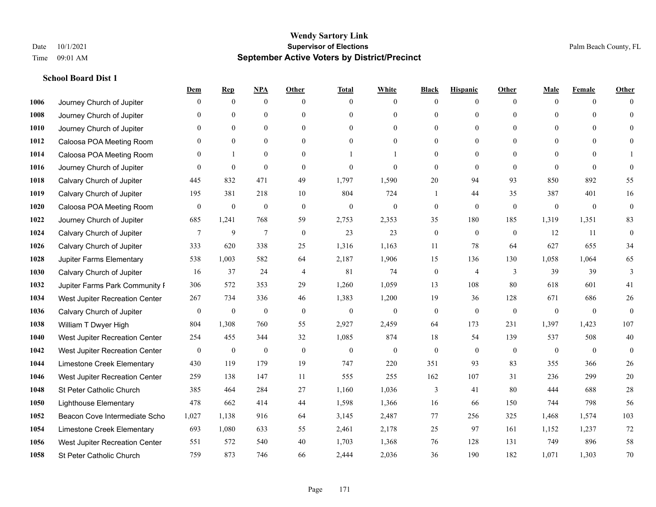|      |                                | Dem            | <b>Rep</b>       | NPA              | <b>Other</b>   | <b>Total</b>     | <b>White</b>     | <b>Black</b>     | <b>Hispanic</b> | <b>Other</b>   | <b>Male</b>  | <b>Female</b> | <b>Other</b> |
|------|--------------------------------|----------------|------------------|------------------|----------------|------------------|------------------|------------------|-----------------|----------------|--------------|---------------|--------------|
| 1006 | Journey Church of Jupiter      | $\theta$       | $\mathbf{0}$     | $\boldsymbol{0}$ | $\Omega$       | $\Omega$         | $\overline{0}$   | $\mathbf{0}$     | $\mathbf{0}$    | $\theta$       | $\theta$     | $\theta$      | $\Omega$     |
| 1008 | Journey Church of Jupiter      | $\theta$       | $\theta$         | $\mathbf{0}$     | $\theta$       | $\theta$         | $\overline{0}$   | $\theta$         | $\mathbf{0}$    | $\Omega$       | $\theta$     | $\Omega$      | $\theta$     |
| 1010 | Journey Church of Jupiter      | 0              | $\theta$         | $\theta$         | $\Omega$       | $\Omega$         | $\Omega$         | $\theta$         | $\theta$        | $\Omega$       | $\Omega$     | $\Omega$      | $\Omega$     |
| 1012 | Caloosa POA Meeting Room       | 0              | $\mathbf{0}$     | $\mathbf{0}$     | $\overline{0}$ | $\theta$         | $\overline{0}$   | $\overline{0}$   | $\mathbf{0}$    | $\theta$       | $\mathbf{0}$ | $\mathbf{0}$  | $\Omega$     |
| 1014 | Caloosa POA Meeting Room       | 0              |                  | $\mathbf{0}$     | $\theta$       |                  |                  | $\overline{0}$   | $\overline{0}$  | $\theta$       | $\theta$     | $\Omega$      |              |
| 1016 | Journey Church of Jupiter      | $\Omega$       | $\mathbf{0}$     | $\mathbf{0}$     | $\theta$       | $\theta$         | $\mathbf{0}$     | $\theta$         | $\mathbf{0}$    | $\theta$       | $\theta$     | $\theta$      | $\theta$     |
| 1018 | Calvary Church of Jupiter      | 445            | 832              | 471              | 49             | 1,797            | 1,590            | $20\,$           | 94              | 93             | 850          | 892           | 55           |
| 1019 | Calvary Church of Jupiter      | 195            | 381              | 218              | 10             | 804              | 724              | 1                | 44              | 35             | 387          | 401           | 16           |
| 1020 | Caloosa POA Meeting Room       | $\mathbf{0}$   | $\boldsymbol{0}$ | $\boldsymbol{0}$ | $\mathbf{0}$   | $\boldsymbol{0}$ | $\boldsymbol{0}$ | $\boldsymbol{0}$ | $\mathbf{0}$    | $\mathbf{0}$   | $\mathbf{0}$ | $\mathbf{0}$  | $\mathbf{0}$ |
| 1022 | Journey Church of Jupiter      | 685            | 1,241            | 768              | 59             | 2,753            | 2,353            | 35               | 180             | 185            | 1,319        | 1,351         | 83           |
| 1024 | Calvary Church of Jupiter      | 7              | 9                | $\tau$           | $\mathbf{0}$   | 23               | 23               | $\boldsymbol{0}$ | $\mathbf{0}$    | $\overline{0}$ | 12           | 11            | $\mathbf{0}$ |
| 1026 | Calvary Church of Jupiter      | 333            | 620              | 338              | 25             | 1,316            | 1,163            | 11               | 78              | 64             | 627          | 655           | 34           |
| 1028 | Jupiter Farms Elementary       | 538            | 1,003            | 582              | 64             | 2,187            | 1,906            | 15               | 136             | 130            | 1,058        | 1,064         | 65           |
| 1030 | Calvary Church of Jupiter      | 16             | 37               | 24               | $\overline{4}$ | 81               | 74               | $\boldsymbol{0}$ | 4               | 3              | 39           | 39            | 3            |
| 1032 | Jupiter Farms Park Community F | 306            | 572              | 353              | 29             | 1,260            | 1,059            | 13               | 108             | 80             | 618          | 601           | 41           |
| 1034 | West Jupiter Recreation Center | 267            | 734              | 336              | 46             | 1,383            | 1,200            | 19               | 36              | 128            | 671          | 686           | 26           |
| 1036 | Calvary Church of Jupiter      | $\overline{0}$ | $\boldsymbol{0}$ | $\mathbf{0}$     | $\mathbf{0}$   | $\mathbf{0}$     | $\overline{0}$   | $\boldsymbol{0}$ | $\mathbf{0}$    | $\theta$       | $\mathbf{0}$ | $\mathbf{0}$  | $\theta$     |
| 1038 | William T Dwyer High           | 804            | 1,308            | 760              | 55             | 2,927            | 2,459            | 64               | 173             | 231            | 1,397        | 1,423         | 107          |
| 1040 | West Jupiter Recreation Center | 254            | 455              | 344              | 32             | 1,085            | 874              | 18               | 54              | 139            | 537          | 508           | 40           |
| 1042 | West Jupiter Recreation Center | $\mathbf{0}$   | $\mathbf{0}$     | $\mathbf{0}$     | $\mathbf{0}$   | $\theta$         | $\mathbf{0}$     | $\mathbf{0}$     | $\mathbf{0}$    | $\theta$       | $\theta$     | $\theta$      | $\mathbf{0}$ |
| 1044 | Limestone Creek Elementary     | 430            | 119              | 179              | 19             | 747              | 220              | 351              | 93              | 83             | 355          | 366           | 26           |
| 1046 | West Jupiter Recreation Center | 259            | 138              | 147              | 11             | 555              | 255              | 162              | 107             | 31             | 236          | 299           | 20           |
| 1048 | St Peter Catholic Church       | 385            | 464              | 284              | 27             | 1,160            | 1,036            | 3                | 41              | 80             | 444          | 688           | $28\,$       |
| 1050 | <b>Lighthouse Elementary</b>   | 478            | 662              | 414              | 44             | 1,598            | 1,366            | 16               | 66              | 150            | 744          | 798           | 56           |
| 1052 | Beacon Cove Intermediate Scho  | 1,027          | 1,138            | 916              | 64             | 3,145            | 2,487            | $77\,$           | 256             | 325            | 1,468        | 1,574         | 103          |
| 1054 | Limestone Creek Elementary     | 693            | 1,080            | 633              | 55             | 2,461            | 2,178            | 25               | 97              | 161            | 1,152        | 1,237         | 72           |
| 1056 | West Jupiter Recreation Center | 551            | 572              | 540              | 40             | 1,703            | 1,368            | 76               | 128             | 131            | 749          | 896           | 58           |
| 1058 | St Peter Catholic Church       | 759            | 873              | 746              | 66             | 2,444            | 2,036            | 36               | 190             | 182            | 1,071        | 1,303         | 70           |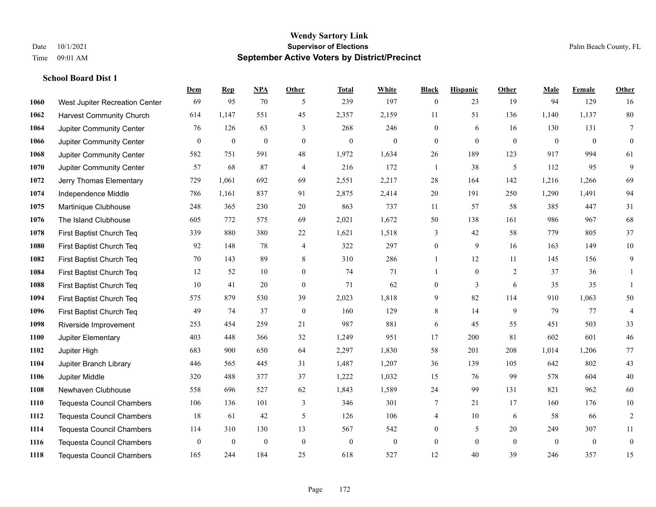|      |                                  | Dem              | <b>Rep</b>       | NPA              | <b>Other</b>     | <b>Total</b>     | <b>White</b>     | <b>Black</b>     | <b>Hispanic</b>  | <b>Other</b>   | <b>Male</b>  | <b>Female</b> | <b>Other</b>     |
|------|----------------------------------|------------------|------------------|------------------|------------------|------------------|------------------|------------------|------------------|----------------|--------------|---------------|------------------|
| 1060 | West Jupiter Recreation Center   | 69               | 95               | 70               | 5                | 239              | 197              | $\boldsymbol{0}$ | 23               | 19             | 94           | 129           | 16               |
| 1062 | <b>Harvest Community Church</b>  | 614              | 1,147            | 551              | 45               | 2,357            | 2,159            | 11               | 51               | 136            | 1,140        | 1,137         | 80               |
| 1064 | Jupiter Community Center         | 76               | 126              | 63               | 3                | 268              | 246              | $\mathbf{0}$     | 6                | 16             | 130          | 131           | $\tau$           |
| 1066 | Jupiter Community Center         | $\boldsymbol{0}$ | $\boldsymbol{0}$ | $\boldsymbol{0}$ | $\overline{0}$   | $\boldsymbol{0}$ | $\boldsymbol{0}$ | $\boldsymbol{0}$ | $\mathbf{0}$     | $\mathbf{0}$   | $\mathbf{0}$ | $\mathbf{0}$  | $\boldsymbol{0}$ |
| 1068 | Jupiter Community Center         | 582              | 751              | 591              | 48               | 1,972            | 1,634            | 26               | 189              | 123            | 917          | 994           | 61               |
| 1070 | Jupiter Community Center         | 57               | 68               | 87               | 4                | 216              | 172              | 1                | 38               | 5              | 112          | 95            | 9                |
| 1072 | Jerry Thomas Elementary          | 729              | 1,061            | 692              | 69               | 2,551            | 2,217            | 28               | 164              | 142            | 1,216        | 1,266         | 69               |
| 1074 | Independence Middle              | 786              | 1,161            | 837              | 91               | 2,875            | 2,414            | 20               | 191              | 250            | 1,290        | 1,491         | 94               |
| 1075 | Martinique Clubhouse             | 248              | 365              | 230              | 20               | 863              | 737              | 11               | 57               | 58             | 385          | 447           | 31               |
| 1076 | The Island Clubhouse             | 605              | 772              | 575              | 69               | 2,021            | 1,672            | 50               | 138              | 161            | 986          | 967           | 68               |
| 1078 | First Baptist Church Teq         | 339              | 880              | 380              | 22               | 1,621            | 1,518            | 3                | 42               | 58             | 779          | 805           | 37               |
| 1080 | First Baptist Church Teq         | 92               | 148              | 78               | 4                | 322              | 297              | $\boldsymbol{0}$ | 9                | 16             | 163          | 149           | $10\,$           |
| 1082 | First Baptist Church Teq         | 70               | 143              | 89               | 8                | 310              | 286              | $\mathbf{1}$     | 12               | 11             | 145          | 156           | 9                |
| 1084 | First Baptist Church Teq         | 12               | 52               | 10               | $\mathbf{0}$     | 74               | 71               | 1                | $\boldsymbol{0}$ | $\overline{2}$ | 37           | 36            | 1                |
| 1088 | First Baptist Church Teq         | 10               | 41               | 20               | $\overline{0}$   | 71               | 62               | $\mathbf{0}$     | 3                | 6              | 35           | 35            | 1                |
| 1094 | First Baptist Church Teq         | 575              | 879              | 530              | 39               | 2,023            | 1,818            | 9                | 82               | 114            | 910          | 1,063         | 50               |
| 1096 | First Baptist Church Teq         | 49               | 74               | 37               | $\boldsymbol{0}$ | 160              | 129              | 8                | 14               | 9              | 79           | 77            | $\overline{4}$   |
| 1098 | Riverside Improvement            | 253              | 454              | 259              | 21               | 987              | 881              | 6                | 45               | 55             | 451          | 503           | 33               |
| 1100 | Jupiter Elementary               | 403              | 448              | 366              | 32               | 1,249            | 951              | 17               | 200              | 81             | 602          | 601           | $46\,$           |
| 1102 | Jupiter High                     | 683              | 900              | 650              | 64               | 2,297            | 1,830            | 58               | 201              | 208            | 1,014        | 1,206         | 77               |
| 1104 | Jupiter Branch Library           | 446              | 565              | 445              | 31               | 1,487            | 1,207            | 36               | 139              | 105            | 642          | 802           | 43               |
| 1106 | Jupiter Middle                   | 320              | 488              | 377              | 37               | 1,222            | 1,032            | 15               | 76               | 99             | 578          | 604           | $40\,$           |
| 1108 | Newhaven Clubhouse               | 558              | 696              | 527              | 62               | 1,843            | 1,589            | $24\,$           | 99               | 131            | 821          | 962           | 60               |
| 1110 | <b>Tequesta Council Chambers</b> | 106              | 136              | 101              | 3                | 346              | 301              | 7                | 21               | 17             | 160          | 176           | $10\,$           |
| 1112 | Tequesta Council Chambers        | 18               | 61               | 42               | 5                | 126              | 106              | 4                | 10               | 6              | 58           | 66            | $\sqrt{2}$       |
| 1114 | <b>Tequesta Council Chambers</b> | 114              | 310              | 130              | 13               | 567              | 542              | $\mathbf{0}$     | 5                | 20             | 249          | 307           | 11               |
| 1116 | <b>Tequesta Council Chambers</b> | $\overline{0}$   | $\boldsymbol{0}$ | $\mathbf{0}$     | $\mathbf{0}$     | $\theta$         | $\boldsymbol{0}$ | $\boldsymbol{0}$ | $\mathbf{0}$     | $\mathbf{0}$   | $\mathbf{0}$ | $\mathbf{0}$  | $\boldsymbol{0}$ |
| 1118 | <b>Tequesta Council Chambers</b> | 165              | 244              | 184              | 25               | 618              | 527              | 12               | 40               | 39             | 246          | 357           | 15               |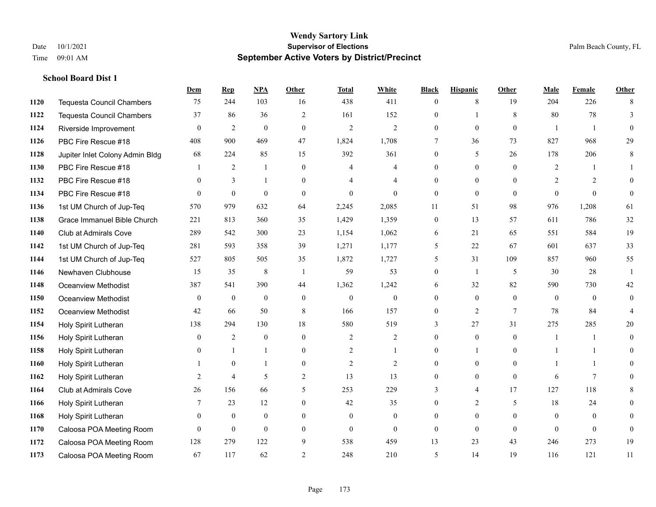|      |                                  | Dem            | <b>Rep</b>       | NPA               | <b>Other</b>   | <b>Total</b>             | <b>White</b>     | <b>Black</b>     | <b>Hispanic</b> | <b>Other</b>    | <b>Male</b>    | <b>Female</b>  | <b>Other</b>   |
|------|----------------------------------|----------------|------------------|-------------------|----------------|--------------------------|------------------|------------------|-----------------|-----------------|----------------|----------------|----------------|
| 1120 | <b>Tequesta Council Chambers</b> | 75             | 244              | 103               | 16             | 438                      | 411              | $\mathbf{0}$     | 8               | 19              | 204            | 226            | 8              |
| 1122 | <b>Tequesta Council Chambers</b> | 37             | 86               | 36                | 2              | 161                      | 152              | $\mathbf{0}$     | $\mathbf{1}$    | 8               | 80             | 78             | 3              |
| 1124 | Riverside Improvement            | $\Omega$       | $\overline{2}$   | $\mathbf{0}$      | $\Omega$       | $\overline{2}$           | $\overline{2}$   | $\theta$         | $\theta$        | $\Omega$        | $\overline{1}$ | $\overline{1}$ | $\theta$       |
| 1126 | PBC Fire Rescue #18              | 408            | 900              | 469               | 47             | 1,824                    | 1,708            | $7\phantom{.0}$  | 36              | 73              | 827            | 968            | 29             |
| 1128 | Jupiter Inlet Colony Admin Bldg  | 68             | 224              | 85                | 15             | 392                      | 361              | $\overline{0}$   | 5               | 26              | 178            | 206            | 8              |
| 1130 | PBC Fire Rescue #18              |                | 2                | $\mathbf{1}$      | $\overline{0}$ | 4                        | 4                | $\mathbf{0}$     | $\mathbf{0}$    | $\theta$        | 2              | -1             |                |
| 1132 | PBC Fire Rescue #18              | $\theta$       | 3                | $\mathbf{1}$      | $\Omega$       | $\boldsymbol{\varDelta}$ | $\overline{4}$   | $\mathbf{0}$     | $\mathbf{0}$    | $\theta$        | 2              | 2              | $\theta$       |
| 1134 | PBC Fire Rescue #18              | $\Omega$       | $\boldsymbol{0}$ | $\mathbf{0}$      | $\Omega$       | $\theta$                 | $\Omega$         | $\mathbf{0}$     | $\theta$        | $\theta$        | $\Omega$       | $\theta$       | $\theta$       |
| 1136 | 1st UM Church of Jup-Teq         | 570            | 979              | 632               | 64             | 2,245                    | 2,085            | 11               | 51              | 98              | 976            | 1,208          | 61             |
| 1138 | Grace Immanuel Bible Church      | 221            | 813              | 360               | 35             | 1,429                    | 1,359            | $\boldsymbol{0}$ | 13              | 57              | 611            | 786            | 32             |
| 1140 | Club at Admirals Cove            | 289            | 542              | 300               | 23             | 1,154                    | 1,062            | 6                | 21              | 65              | 551            | 584            | 19             |
| 1142 | 1st UM Church of Jup-Teq         | 281            | 593              | 358               | 39             | 1,271                    | 1,177            | 5                | 22              | 67              | 601            | 637            | 33             |
| 1144 | 1st UM Church of Jup-Teq         | 527            | 805              | 505               | 35             | 1,872                    | 1,727            | 5                | 31              | 109             | 857            | 960            | 55             |
| 1146 | Newhaven Clubhouse               | 15             | 35               | 8                 | $\overline{1}$ | 59                       | 53               | $\boldsymbol{0}$ | $\mathbf{1}$    | 5               | 30             | 28             | $\mathbf{1}$   |
| 1148 | Oceanview Methodist              | 387            | 541              | 390               | 44             | 1,362                    | 1,242            | 6                | 32              | 82              | 590            | 730            | 42             |
| 1150 | Oceanview Methodist              | $\mathbf{0}$   | $\bf{0}$         | $\boldsymbol{0}$  | $\overline{0}$ | $\mathbf{0}$             | $\boldsymbol{0}$ | $\mathbf{0}$     | $\mathbf{0}$    | $\theta$        | $\mathbf{0}$   | $\mathbf{0}$   | $\mathbf{0}$   |
| 1152 | <b>Oceanview Methodist</b>       | 42             | 66               | 50                | 8              | 166                      | 157              | $\overline{0}$   | $\mathfrak{2}$  | $7\phantom{.0}$ | 78             | 84             | $\overline{4}$ |
| 1154 | Holy Spirit Lutheran             | 138            | 294              | 130               | 18             | 580                      | 519              | 3                | 27              | 31              | 275            | 285            | 20             |
| 1156 | Holy Spirit Lutheran             | $\mathbf{0}$   | 2                | $\overline{0}$    | $\Omega$       | 2                        | $\overline{2}$   | $\mathbf{0}$     | $\mathbf{0}$    | $\Omega$        | $\overline{1}$ | $\mathbf{1}$   | $\theta$       |
| 1158 | Holy Spirit Lutheran             | 0              | $\mathbf{1}$     | $\mathbf{1}$      | $\Omega$       | $\overline{2}$           | 1                | $\mathbf{0}$     | $\mathbf{1}$    | $\theta$        |                | $\mathbf{1}$   | $\Omega$       |
| 1160 | Holy Spirit Lutheran             |                | $\mathbf{0}$     | $\mathbf{1}$      | $\overline{0}$ | $\overline{2}$           | 2                | $\mathbf{0}$     | $\overline{0}$  | $\theta$        |                | $\mathbf{1}$   | $\Omega$       |
| 1162 | Holy Spirit Lutheran             | 2              | $\overline{4}$   | 5                 | 2              | 13                       | 13               | $\mathbf{0}$     | $\mathbf{0}$    | $\theta$        | 6              | 7              | $\Omega$       |
| 1164 | Club at Admirals Cove            | 26             | 156              | 66                | 5              | 253                      | 229              | 3                | $\overline{4}$  | 17              | 127            | 118            | 8              |
| 1166 | Holy Spirit Lutheran             | 7              | 23               | $12 \overline{ }$ | $\Omega$       | 42                       | 35               | $\mathbf{0}$     | $\overline{2}$  | 5               | 18             | 24             | $\Omega$       |
| 1168 | Holy Spirit Lutheran             | $\overline{0}$ | $\bf{0}$         | $\boldsymbol{0}$  | $\overline{0}$ | $\mathbf{0}$             | $\boldsymbol{0}$ | $\mathbf{0}$     | $\mathbf{0}$    | $\theta$        | $\mathbf{0}$   | $\theta$       | $\Omega$       |
| 1170 | Caloosa POA Meeting Room         | $\theta$       | $\mathbf{0}$     | $\mathbf{0}$      | $\theta$       | $\theta$                 | $\overline{0}$   | $\mathbf{0}$     | $\mathbf{0}$    | $\theta$        | $\theta$       | $\theta$       | $\mathbf{0}$   |
| 1172 | Caloosa POA Meeting Room         | 128            | 279              | 122               | 9              | 538                      | 459              | 13               | 23              | 43              | 246            | 273            | 19             |
| 1173 | Caloosa POA Meeting Room         | 67             | 117              | 62                | $\overline{2}$ | 248                      | 210              | 5                | 14              | 19              | 116            | 121            | 11             |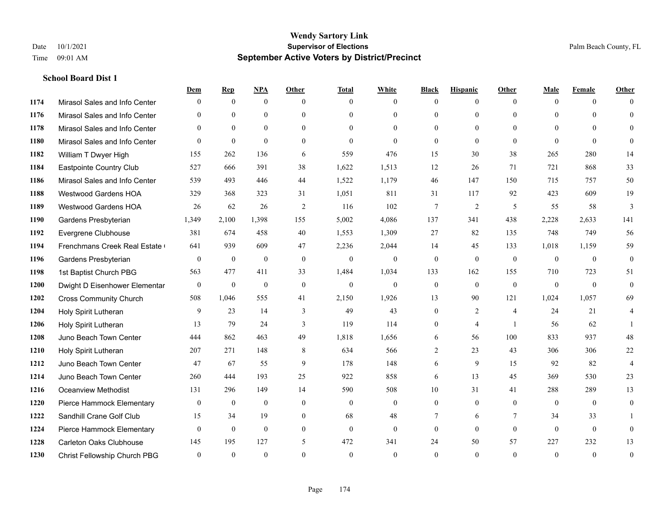|      |                                | Dem              | <b>Rep</b>       | NPA          | <b>Other</b>   | <b>Total</b> | <b>White</b>   | <b>Black</b>    | <b>Hispanic</b> | <b>Other</b>   | <b>Male</b>  | <b>Female</b> | <b>Other</b>   |
|------|--------------------------------|------------------|------------------|--------------|----------------|--------------|----------------|-----------------|-----------------|----------------|--------------|---------------|----------------|
| 1174 | Mirasol Sales and Info Center  | $\Omega$         | $\mathbf{0}$     | $\mathbf{0}$ | $\Omega$       | $\Omega$     | $\overline{0}$ | $\mathbf{0}$    | $\overline{0}$  | $\theta$       | $\theta$     | $\theta$      | $\Omega$       |
| 1176 | Mirasol Sales and Info Center  | $\Omega$         | $\theta$         | $\theta$     | $\Omega$       | $\Omega$     | $\overline{0}$ | $\theta$        | $\theta$        | $\Omega$       | $\theta$     | $\Omega$      | $\theta$       |
| 1178 | Mirasol Sales and Info Center  | $\Omega$         | $\theta$         | $\theta$     | $\Omega$       | $\Omega$     | $\Omega$       | $\Omega$        | $\Omega$        | $\Omega$       | $\Omega$     | $\Omega$      | $\Omega$       |
| 1180 | Mirasol Sales and Info Center  | $\theta$         | $\mathbf{0}$     | $\mathbf{0}$ | $\overline{0}$ | $\mathbf{0}$ | $\mathbf{0}$   | $\mathbf{0}$    | $\mathbf{0}$    | $\theta$       | $\theta$     | $\theta$      | $\Omega$       |
| 1182 | William T Dwyer High           | 155              | 262              | 136          | 6              | 559          | 476            | 15              | 30              | 38             | 265          | 280           | 14             |
| 1184 | Eastpointe Country Club        | 527              | 666              | 391          | 38             | 1,622        | 1,513          | 12              | 26              | 71             | 721          | 868           | 33             |
| 1186 | Mirasol Sales and Info Center  | 539              | 493              | 446          | 44             | 1,522        | 1,179          | 46              | 147             | 150            | 715          | 757           | 50             |
| 1188 | <b>Westwood Gardens HOA</b>    | 329              | 368              | 323          | 31             | 1,051        | 811            | 31              | 117             | 92             | 423          | 609           | 19             |
| 1189 | <b>Westwood Gardens HOA</b>    | 26               | 62               | 26           | 2              | 116          | 102            | $7\phantom{.0}$ | $\overline{2}$  | 5              | 55           | 58            | 3              |
| 1190 | Gardens Presbyterian           | 1,349            | 2,100            | 1,398        | 155            | 5,002        | 4,086          | 137             | 341             | 438            | 2,228        | 2,633         | 141            |
| 1192 | Evergrene Clubhouse            | 381              | 674              | 458          | 40             | 1,553        | 1,309          | 27              | 82              | 135            | 748          | 749           | 56             |
| 1194 | Frenchmans Creek Real Estate   | 641              | 939              | 609          | 47             | 2,236        | 2,044          | 14              | 45              | 133            | 1,018        | 1,159         | 59             |
| 1196 | Gardens Presbyterian           | $\mathbf{0}$     | $\mathbf{0}$     | $\mathbf{0}$ | $\theta$       | $\mathbf{0}$ | $\mathbf{0}$   | $\mathbf{0}$    | $\mathbf{0}$    | $\theta$       | $\theta$     | $\theta$      | $\mathbf{0}$   |
| 1198 | 1st Baptist Church PBG         | 563              | 477              | 411          | 33             | 1,484        | 1,034          | 133             | 162             | 155            | 710          | 723           | 51             |
| 1200 | Dwight D Eisenhower Elementar  | $\boldsymbol{0}$ | $\boldsymbol{0}$ | $\mathbf{0}$ | $\mathbf{0}$   | $\mathbf{0}$ | $\mathbf{0}$   | $\mathbf{0}$    | $\mathbf{0}$    | $\mathbf{0}$   | $\mathbf{0}$ | $\theta$      | $\mathbf{0}$   |
| 1202 | <b>Cross Community Church</b>  | 508              | 1,046            | 555          | 41             | 2,150        | 1,926          | 13              | 90              | 121            | 1,024        | 1,057         | 69             |
| 1204 | Holy Spirit Lutheran           | 9                | 23               | 14           | 3              | 49           | 43             | $\mathbf{0}$    | $\overline{2}$  | $\overline{4}$ | 24           | 21            | 4              |
| 1206 | Holy Spirit Lutheran           | 13               | 79               | 24           | 3              | 119          | 114            | $\mathbf{0}$    | $\overline{4}$  | $\overline{1}$ | 56           | 62            |                |
| 1208 | Juno Beach Town Center         | 444              | 862              | 463          | 49             | 1,818        | 1,656          | 6               | 56              | 100            | 833          | 937           | 48             |
| 1210 | Holy Spirit Lutheran           | 207              | 271              | 148          | 8              | 634          | 566            | $\overline{2}$  | 23              | 43             | 306          | 306           | $22\,$         |
| 1212 | Juno Beach Town Center         | 47               | 67               | 55           | 9              | 178          | 148            | 6               | 9               | 15             | 92           | 82            | $\overline{4}$ |
| 1214 | Juno Beach Town Center         | 260              | 444              | 193          | 25             | 922          | 858            | 6               | 13              | 45             | 369          | 530           | 23             |
| 1216 | <b>Oceanview Methodist</b>     | 131              | 296              | 149          | 14             | 590          | 508            | 10              | 31              | 41             | 288          | 289           | 13             |
| 1220 | Pierce Hammock Elementary      | $\mathbf{0}$     | $\mathbf{0}$     | $\mathbf{0}$ | $\theta$       | $\mathbf{0}$ | $\overline{0}$ | $\mathbf{0}$    | $\mathbf{0}$    | $\theta$       | $\theta$     | $\theta$      | $\mathbf{0}$   |
| 1222 | Sandhill Crane Golf Club       | 15               | 34               | 19           | $\mathbf{0}$   | 68           | 48             | 7               | 6               | $\tau$         | 34           | 33            |                |
| 1224 | Pierce Hammock Elementary      | $\theta$         | $\mathbf{0}$     | $\mathbf{0}$ | $\theta$       | $\theta$     | $\mathbf{0}$   | $\mathbf{0}$    | $\theta$        | $\theta$       | $\theta$     | $\theta$      | $\mathbf{0}$   |
| 1228 | <b>Carleton Oaks Clubhouse</b> | 145              | 195              | 127          | 5              | 472          | 341            | 24              | 50              | 57             | 227          | 232           | 13             |
| 1230 | Christ Fellowship Church PBG   | $\theta$         | $\theta$         | $\theta$     | $\Omega$       | $\Omega$     | $\theta$       | $\theta$        | $\Omega$        | $\Omega$       | $\Omega$     | $\theta$      | $\mathbf{0}$   |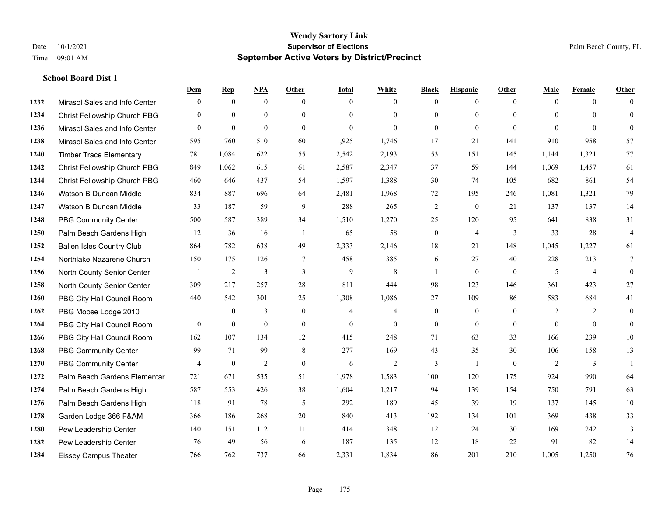|      |                                  | Dem            | <b>Rep</b>       | NPA              | <b>Other</b>   | <b>Total</b>   | <b>White</b>   | <b>Black</b>     | <b>Hispanic</b>  | <b>Other</b>   | <b>Male</b>    | <b>Female</b>  | <b>Other</b>     |
|------|----------------------------------|----------------|------------------|------------------|----------------|----------------|----------------|------------------|------------------|----------------|----------------|----------------|------------------|
| 1232 | Mirasol Sales and Info Center    | $\mathbf{0}$   | $\mathbf{0}$     | $\boldsymbol{0}$ | $\theta$       | $\Omega$       | $\overline{0}$ | $\mathbf{0}$     | $\mathbf{0}$     | $\theta$       | $\mathbf{0}$   | $\overline{0}$ | $\Omega$         |
| 1234 | Christ Fellowship Church PBG     | $\theta$       | $\mathbf{0}$     | $\mathbf{0}$     | $\theta$       | $\Omega$       | $\overline{0}$ | $\mathbf{0}$     | $\mathbf{0}$     | $\Omega$       | $\theta$       | $\Omega$       | $\mathbf{0}$     |
| 1236 | Mirasol Sales and Info Center    | $\Omega$       | $\mathbf{0}$     | $\theta$         | $\Omega$       | $\theta$       | $\Omega$       | $\theta$         | $\theta$         | $\Omega$       | $\Omega$       | $\Omega$       | $\Omega$         |
| 1238 | Mirasol Sales and Info Center    | 595            | 760              | 510              | 60             | 1,925          | 1,746          | 17               | 21               | 141            | 910            | 958            | 57               |
| 1240 | <b>Timber Trace Elementary</b>   | 781            | 1,084            | 622              | 55             | 2,542          | 2,193          | 53               | 151              | 145            | 1,144          | 1,321          | 77               |
| 1242 | Christ Fellowship Church PBG     | 849            | 1,062            | 615              | 61             | 2,587          | 2,347          | 37               | 59               | 144            | 1,069          | 1,457          | 61               |
| 1244 | Christ Fellowship Church PBG     | 460            | 646              | 437              | 54             | 1,597          | 1,388          | $30\,$           | 74               | 105            | 682            | 861            | 54               |
| 1246 | Watson B Duncan Middle           | 834            | 887              | 696              | 64             | 2,481          | 1,968          | 72               | 195              | 246            | 1,081          | 1,321          | 79               |
| 1247 | Watson B Duncan Middle           | 33             | 187              | 59               | 9              | 288            | 265            | 2                | $\bf{0}$         | 21             | 137            | 137            | 14               |
| 1248 | <b>PBG Community Center</b>      | 500            | 587              | 389              | 34             | 1,510          | 1,270          | 25               | 120              | 95             | 641            | 838            | 31               |
| 1250 | Palm Beach Gardens High          | 12             | 36               | 16               | -1             | 65             | 58             | $\boldsymbol{0}$ | $\overline{4}$   | 3              | 33             | 28             | $\overline{4}$   |
| 1252 | <b>Ballen Isles Country Club</b> | 864            | 782              | 638              | 49             | 2,333          | 2,146          | 18               | 21               | 148            | 1,045          | 1,227          | 61               |
| 1254 | Northlake Nazarene Church        | 150            | 175              | 126              | $\overline{7}$ | 458            | 385            | 6                | 27               | 40             | 228            | 213            | 17               |
| 1256 | North County Senior Center       |                | $\overline{c}$   | $\mathfrak{Z}$   | 3              | $\mathbf{9}$   | $\,$ 8 $\,$    | 1                | $\boldsymbol{0}$ | $\overline{0}$ | 5              | $\overline{4}$ | $\boldsymbol{0}$ |
| 1258 | North County Senior Center       | 309            | 217              | 257              | 28             | 811            | 444            | 98               | 123              | 146            | 361            | 423            | 27               |
| 1260 | PBG City Hall Council Room       | 440            | 542              | 301              | 25             | 1,308          | 1,086          | 27               | 109              | 86             | 583            | 684            | 41               |
| 1262 | PBG Moose Lodge 2010             |                | $\mathbf{0}$     | 3                | $\mathbf{0}$   | $\overline{4}$ | $\overline{4}$ | $\boldsymbol{0}$ | $\mathbf{0}$     | $\overline{0}$ | $\overline{2}$ | 2              | $\mathbf{0}$     |
| 1264 | PBG City Hall Council Room       | $\theta$       | $\boldsymbol{0}$ | $\boldsymbol{0}$ | $\mathbf{0}$   | $\mathbf{0}$   | $\mathbf{0}$   | $\mathbf{0}$     | $\overline{0}$   | $\overline{0}$ | $\overline{0}$ | $\theta$       | $\boldsymbol{0}$ |
| 1266 | PBG City Hall Council Room       | 162            | 107              | 134              | 12             | 415            | 248            | 71               | 63               | 33             | 166            | 239            | 10               |
| 1268 | <b>PBG Community Center</b>      | 99             | 71               | 99               | 8              | 277            | 169            | 43               | 35               | 30             | 106            | 158            | 13               |
| 1270 | <b>PBG Community Center</b>      | $\overline{4}$ | $\mathbf{0}$     | $\overline{2}$   | $\theta$       | 6              | $\overline{2}$ | 3                | $\mathbf{1}$     | $\Omega$       | $\overline{2}$ | 3              | $\mathbf{1}$     |
| 1272 | Palm Beach Gardens Elementar     | 721            | 671              | 535              | 51             | 1,978          | 1,583          | 100              | 120              | 175            | 924            | 990            | 64               |
| 1274 | Palm Beach Gardens High          | 587            | 553              | 426              | 38             | 1,604          | 1,217          | 94               | 139              | 154            | 750            | 791            | 63               |
| 1276 | Palm Beach Gardens High          | 118            | 91               | 78               | 5              | 292            | 189            | 45               | 39               | 19             | 137            | 145            | 10               |
| 1278 | Garden Lodge 366 F&AM            | 366            | 186              | 268              | $20\,$         | 840            | 413            | 192              | 134              | 101            | 369            | 438            | 33               |
| 1280 | Pew Leadership Center            | 140            | 151              | 112              | 11             | 414            | 348            | 12               | 24               | 30             | 169            | 242            | 3                |
| 1282 | Pew Leadership Center            | 76             | 49               | 56               | 6              | 187            | 135            | 12               | 18               | 22             | 91             | 82             | 14               |
| 1284 | <b>Eissey Campus Theater</b>     | 766            | 762              | 737              | 66             | 2,331          | 1,834          | 86               | 201              | 210            | 1,005          | 1,250          | 76               |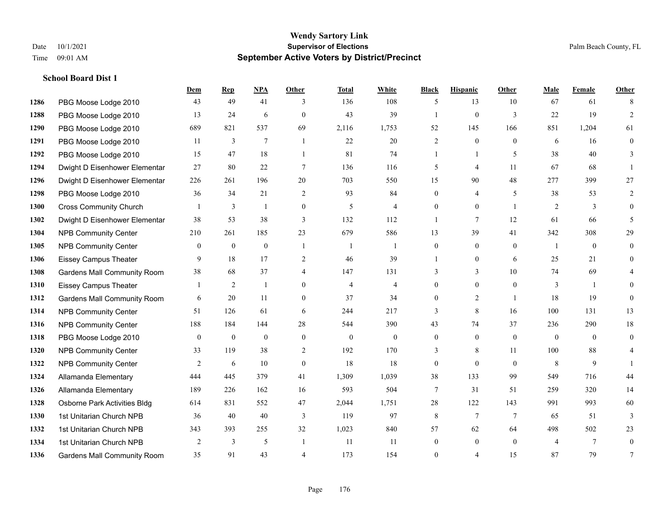**School Board Dist 1**

#### **Wendy Sartory Link** Date 10/1/2021 **Supervisor of Elections** Palm Beach County, FL Time 09:01 AM **September Active Voters by District/Precinct**

## **Dem Rep NPA Other Total White Black Hispanic Other Male Female Other** PBG Moose Lodge 2010 43 49 41 3 136 108 5 13 10 67 61 8 PBG Moose Lodge 2010 13 24 6 0 43 39 1 0 3 22 19 2 PBG Moose Lodge 2010 689 821 537 69 2,116 1,753 52 145 166 851 1,204 61 PBG Moose Lodge 2010 11 3 7 1 22 20 2 0 0 6 16 0 PBG Moose Lodge 2010 15 47 18 1 81 74 1 1 5 38 40 3 Dwight D Eisenhower Elementar 27 80 22 7 136 116 5 4 11 67 68 1 Dwight D Eisenhower Elementary 226 261 196 20 703 550 15 90 48 277 399 27 PBG Moose Lodge 2010 36 34 21 2 93 84 0 4 5 38 53 2 Cross Community Church 1 3 1 0 5 4 0 0 1 2 3 0 Dwight D Eisenhower Elementar 38 53 38 3 132 112 1 7 12 61 66 5 NPB Community Center 210 261 185 23 679 586 13 39 41 342 308 29 NPB Community Center 0 0 0 1 1 1 0 0 0 1 0 0 Eissey Campus Theater **9** 18 17 2 46 39 1 0 6 25 21 0 Gardens Mall Community Room 38 68 37 4 147 131 3 3 3 10 74 69 4 Eissey Campus Theater 1 2 1 0 4 4 0 0 0 3 1 0 Gardens Mall Community Room 6 20 11 0 37 34 0 2 1 18 19 0 NPB Community Center 51 126 61 6 244 217 3 8 16 100 131 13 NPB Community Center 188 184 144 28 544 390 43 74 37 236 290 18 PBG Moose Lodge 2010 0 0 0 0 0 0 0 0 0 0 0 0 NPB Community Center **33** 119 38 2 192 170 3 8 11 100 88 4 **1322 NPB Community Center**  $\begin{array}{cccccccc} 2 & 6 & 10 & 0 & 18 & 18 & 0 & 0 & 8 & 9 & 1 \end{array}$  Allamanda Elementary 444 445 379 41 1,309 1,039 38 133 99 549 716 44 Allamanda Elementary 189 226 162 16 593 504 7 31 51 259 320 14 Osborne Park Activities Bldg 614 831 552 47 2,044 1,751 28 122 143 991 993 60 1st Unitarian Church NPB 36 40 40 3 119 97 8 7 7 65 51 3 1st Unitarian Church NPB 343 393 255 32 1,023 840 57 62 64 498 502 23 **1334 1st Unitarian Church NPB** 2 3 5 1 11 11 0 0 0 4 7 0 Gardens Mall Community Room 35 91 43 4 173 154 0 4 15 87 79 7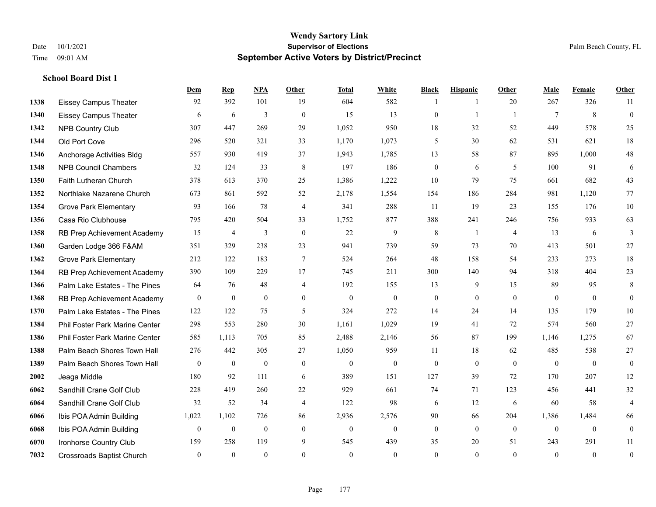**School Board Dist 1**

## **Wendy Sartory Link** Date  $10/1/2021$  Palm Beach County, FL Time 09:01 AM **September Active Voters by District/Precinct**

|      |                                  | Dem              | $\mathbf{Rep}$   | <b>NPA</b>   | Other          | <b>Total</b> | White            | <b>Black</b>     | <b>Hispanic</b>  | <b>Other</b>   | Male           | Female         | Other            |
|------|----------------------------------|------------------|------------------|--------------|----------------|--------------|------------------|------------------|------------------|----------------|----------------|----------------|------------------|
| 1338 | <b>Eissey Campus Theater</b>     | 92               | 392              | 101          | 19             | 604          | 582              | 1                | 1                | 20             | 267            | 326            | 11               |
| 1340 | <b>Eissey Campus Theater</b>     | 6                | 6                | 3            | $\mathbf{0}$   | 15           | 13               | $\boldsymbol{0}$ | $\mathbf{1}$     | $\overline{1}$ | $\tau$         | 8              | $\mathbf{0}$     |
| 1342 | NPB Country Club                 | 307              | 447              | 269          | 29             | 1,052        | 950              | $18\,$           | 32               | 52             | 449            | 578            | 25               |
| 1344 | Old Port Cove                    | 296              | 520              | 321          | 33             | 1,170        | 1,073            | 5                | 30               | 62             | 531            | 621            | 18               |
| 1346 | Anchorage Activities Bldg        | 557              | 930              | 419          | 37             | 1,943        | 1,785            | 13               | 58               | 87             | 895            | 1,000          | 48               |
| 1348 | <b>NPB Council Chambers</b>      | 32               | 124              | 33           | 8              | 197          | 186              | $\boldsymbol{0}$ | 6                | 5              | 100            | 91             | $\sqrt{6}$       |
| 1350 | Faith Lutheran Church            | 378              | 613              | 370          | 25             | 1,386        | 1,222            | 10               | 79               | 75             | 661            | 682            | 43               |
| 1352 | Northlake Nazarene Church        | 673              | 861              | 592          | 52             | 2,178        | 1,554            | 154              | 186              | 284            | 981            | 1,120          | 77               |
| 1354 | <b>Grove Park Elementary</b>     | 93               | 166              | 78           | $\overline{4}$ | 341          | 288              | 11               | 19               | 23             | 155            | 176            | 10               |
| 1356 | Casa Rio Clubhouse               | 795              | 420              | 504          | 33             | 1,752        | 877              | 388              | 241              | 246            | 756            | 933            | 63               |
| 1358 | RB Prep Achievement Academy      | 15               | 4                | 3            | $\mathbf{0}$   | 22           | 9                | 8                | $\mathbf{1}$     | $\overline{4}$ | 13             | 6              | 3                |
| 1360 | Garden Lodge 366 F&AM            | 351              | 329              | 238          | 23             | 941          | 739              | 59               | 73               | 70             | 413            | 501            | 27               |
| 1362 | <b>Grove Park Elementary</b>     | 212              | 122              | 183          | $\overline{7}$ | 524          | 264              | 48               | 158              | 54             | 233            | 273            | 18               |
| 1364 | RB Prep Achievement Academy      | 390              | 109              | 229          | 17             | 745          | 211              | 300              | 140              | 94             | 318            | 404            | 23               |
| 1366 | Palm Lake Estates - The Pines    | 64               | 76               | 48           | $\overline{4}$ | 192          | 155              | 13               | 9                | 15             | 89             | 95             | $\,$ 8 $\,$      |
| 1368 | RB Prep Achievement Academy      | $\boldsymbol{0}$ | $\boldsymbol{0}$ | $\mathbf{0}$ | $\overline{0}$ | $\mathbf{0}$ | $\boldsymbol{0}$ | $\mathbf{0}$     | $\boldsymbol{0}$ | $\overline{0}$ | $\overline{0}$ | $\overline{0}$ | $\boldsymbol{0}$ |
| 1370 | Palm Lake Estates - The Pines    | 122              | 122              | 75           | 5              | 324          | 272              | 14               | 24               | 14             | 135            | 179            | 10               |
| 1384 | Phil Foster Park Marine Center   | 298              | 553              | 280          | 30             | 1,161        | 1,029            | 19               | 41               | 72             | 574            | 560            | 27               |
| 1386 | Phil Foster Park Marine Center   | 585              | 1,113            | 705          | 85             | 2,488        | 2,146            | 56               | 87               | 199            | 1,146          | 1,275          | 67               |
| 1388 | Palm Beach Shores Town Hall      | 276              | 442              | 305          | 27             | 1,050        | 959              | 11               | 18               | 62             | 485            | 538            | 27               |
| 1389 | Palm Beach Shores Town Hall      | $\mathbf{0}$     | $\mathbf{0}$     | $\mathbf{0}$ | $\mathbf{0}$   | $\mathbf{0}$ | $\boldsymbol{0}$ | $\mathbf{0}$     | $\mathbf{0}$     | $\theta$       | $\mathbf{0}$   | $\mathbf{0}$   | $\mathbf{0}$     |
| 2002 | Jeaga Middle                     | 180              | 92               | 111          | 6              | 389          | 151              | 127              | 39               | 72             | 170            | 207            | 12               |
| 6062 | Sandhill Crane Golf Club         | 228              | 419              | 260          | $22\,$         | 929          | 661              | 74               | 71               | 123            | 456            | 441            | 32               |
| 6064 | Sandhill Crane Golf Club         | 32               | 52               | 34           | $\overline{4}$ | 122          | 98               | 6                | 12               | 6              | 60             | 58             | $\overline{4}$   |
| 6066 | Ibis POA Admin Building          | 1,022            | 1,102            | 726          | 86             | 2,936        | 2,576            | 90               | 66               | 204            | 1,386          | 1,484          | 66               |
| 6068 | Ibis POA Admin Building          | $\boldsymbol{0}$ | $\boldsymbol{0}$ | $\mathbf{0}$ | $\overline{0}$ | $\mathbf{0}$ | $\boldsymbol{0}$ | $\boldsymbol{0}$ | $\mathbf{0}$     | $\mathbf{0}$   | $\mathbf{0}$   | $\mathbf{0}$   | $\boldsymbol{0}$ |
| 6070 | Ironhorse Country Club           | 159              | 258              | 119          | 9              | 545          | 439              | 35               | 20               | 51             | 243            | 291            | 11               |
| 7032 | <b>Crossroads Baptist Church</b> | $\theta$         | $\mathbf{0}$     | $\theta$     | $\theta$       | $\theta$     | $\Omega$         | $\theta$         | $\theta$         | $\theta$       | $\theta$       | $\theta$       | $\boldsymbol{0}$ |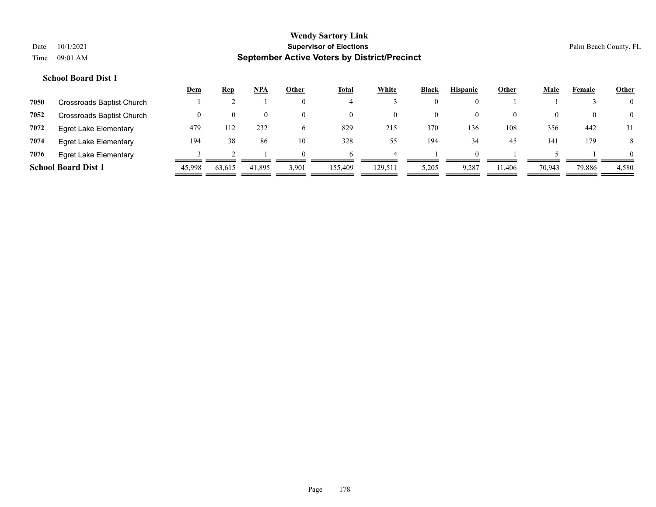|      |                              | <u>Dem</u> | <u>Rep</u>         | <u>NPA</u> | Other        | <b>Total</b> | White    | <b>Black</b> | <b>Hispanic</b> | Other    | <b>Male</b> | Female | <b>Other</b>   |
|------|------------------------------|------------|--------------------|------------|--------------|--------------|----------|--------------|-----------------|----------|-------------|--------|----------------|
| 7050 | Crossroads Baptist Church    |            |                    |            | $\theta$     |              |          | 0            |                 |          |             |        | $\overline{0}$ |
| 7052 | Crossroads Baptist Church    |            | $\left( 0 \right)$ | $\theta$   | $\theta$     | $\left($     | $\theta$ | 0            | $\theta$        | $\theta$ |             |        | $\overline{0}$ |
| 7072 | <b>Egret Lake Elementary</b> | 479        | 112                | 232        | <sub>0</sub> | 829          | 215      | 370          | 136             | 108      | 356         | 442    | 31             |
| 7074 | Egret Lake Elementary        | 194        | 38                 | 86         | 10           | 328          | 55       | 194          | 34              | 45       | 141         | 179    | 8              |
| 7076 | <b>Egret Lake Elementary</b> |            |                    |            | $\Omega$     |              |          |              | $\Omega$        |          |             |        | $\theta$       |
|      | <b>School Board Dist 1</b>   | 45,998     | 63,615             | 41,895     | 3,901        | 155,409      | 129,511  | 5,205        | 9,287           | 11,406   | 70,943      | 79,886 | 4,580          |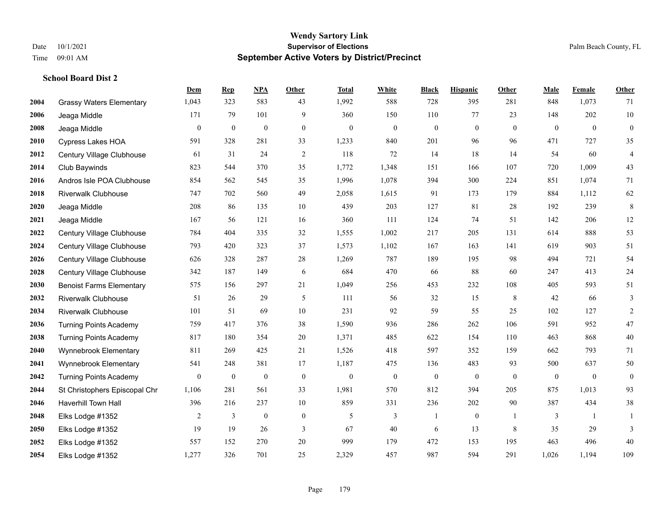**School Board Dist 2**

#### **Wendy Sartory Link** Date 10/1/2021 **Supervisor of Elections** Palm Beach County, FL Time 09:01 AM **September Active Voters by District/Precinct**

## **Dem Rep NPA Other Total White Black Hispanic Other Male Female Other** Grassy Waters Elementary 1,043 323 583 43 1,992 588 728 395 281 848 1,073 71 Jeaga Middle 171 79 101 9 360 150 110 77 23 148 202 10 Jeaga Middle 0 0 0 0 0 0 0 0 0 0 0 0 Cypress Lakes HOA 591 328 281 33 1,233 840 201 96 96 471 727 35 Century Village Clubhouse 61 31 24 2 118 72 14 18 14 54 60 4 Club Baywinds 823 544 370 35 1,772 1,348 151 166 107 720 1,009 43 Andros Isle POA Clubhouse 854 562 545 35 1,996 1,078 394 300 224 851 1,074 71 Riverwalk Clubhouse 747 702 560 49 2,058 1,615 91 173 179 884 1,112 62 Jeaga Middle 208 86 135 10 439 203 127 81 28 192 239 8 Jeaga Middle 167 56 121 16 360 111 124 74 51 142 206 12 Century Village Clubhouse 784 404 335 32 1,555 1,002 217 205 131 614 888 53 Century Village Clubhouse 793 420 323 37 1,573 1,102 167 163 141 619 903 51 Century Village Clubhouse 626 328 287 28 1,269 787 189 195 98 494 721 54 Century Village Clubhouse 342 187 149 6 684 470 66 88 60 247 413 24 Benoist Farms Elementary 575 156 297 21 1,049 256 453 232 108 405 593 51 Riverwalk Clubhouse 51 26 29 5 111 56 32 15 8 42 66 3 Riverwalk Clubhouse 101 51 69 10 231 92 59 55 25 102 127 2 Turning Points Academy 759 417 376 38 1,590 936 286 262 106 591 952 47 Turning Points Academy 817 180 354 20 1,371 485 622 154 110 463 868 40 Wynnebrook Elementary 811 269 425 21 1,526 418 597 352 159 662 793 71 Wynnebrook Elementary 541 248 381 17 1,187 475 136 483 93 500 637 50 Turning Points Academy 0 0 0 0 0 0 0 0 0 0 0 0 St Christophers Episcopal Chr 1,106 281 561 33 1,981 570 812 394 205 875 1,013 93 Haverhill Town Hall 396 216 237 10 859 331 236 202 90 387 434 38 Elks Lodge #1352 2 3 0 0 5 3 1 0 1 3 1 1 Elks Lodge #1352 19 19 26 3 67 40 6 13 8 35 29 3 Elks Lodge #1352 557 152 270 20 999 179 472 153 195 463 496 40 Elks Lodge #1352 1,277 326 701 25 2,329 457 987 594 291 1,026 1,194 109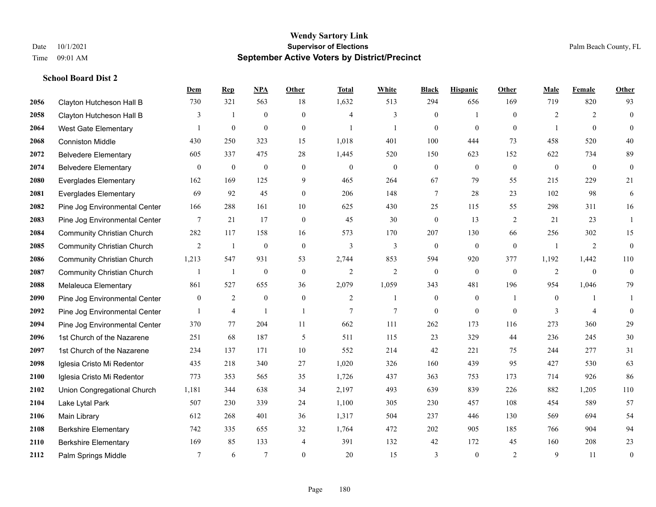|      |                                   | Dem            | <b>Rep</b>     | NPA              | Other            | <b>Total</b>     | <b>White</b>     | <b>Black</b>     | <b>Hispanic</b> | <b>Other</b>   | <b>Male</b>    | <b>Female</b>  | <b>Other</b>     |
|------|-----------------------------------|----------------|----------------|------------------|------------------|------------------|------------------|------------------|-----------------|----------------|----------------|----------------|------------------|
| 2056 | Clayton Hutcheson Hall B          | 730            | 321            | 563              | 18               | 1,632            | 513              | 294              | 656             | 169            | 719            | 820            | 93               |
| 2058 | Clayton Hutcheson Hall B          | 3              | $\mathbf{1}$   | $\mathbf{0}$     | $\overline{0}$   | $\overline{4}$   | 3                | $\mathbf{0}$     | $\mathbf{1}$    | $\theta$       | 2              | 2              | $\mathbf{0}$     |
| 2064 | <b>West Gate Elementary</b>       | 1              | $\mathbf{0}$   | $\boldsymbol{0}$ | $\overline{0}$   | $\overline{1}$   | $\mathbf{1}$     | $\mathbf{0}$     | $\mathbf{0}$    | $\theta$       |                | $\overline{0}$ | $\mathbf{0}$     |
| 2068 | <b>Conniston Middle</b>           | 430            | 250            | 323              | 15               | 1,018            | 401              | 100              | 444             | 73             | 458            | 520            | 40               |
| 2072 | <b>Belvedere Elementary</b>       | 605            | 337            | 475              | 28               | 1,445            | 520              | 150              | 623             | 152            | 622            | 734            | 89               |
| 2074 | <b>Belvedere Elementary</b>       | 0              | $\mathbf{0}$   | $\boldsymbol{0}$ | $\boldsymbol{0}$ | $\boldsymbol{0}$ | $\boldsymbol{0}$ | $\boldsymbol{0}$ | $\bf{0}$        | $\mathbf{0}$   | $\mathbf{0}$   | $\mathbf{0}$   | $\mathbf{0}$     |
| 2080 | <b>Everglades Elementary</b>      | 162            | 169            | 125              | 9                | 465              | 264              | 67               | 79              | 55             | 215            | 229            | 21               |
| 2081 | <b>Everglades Elementary</b>      | 69             | 92             | 45               | $\overline{0}$   | 206              | 148              | 7                | 28              | 23             | 102            | 98             | 6                |
| 2082 | Pine Jog Environmental Center     | 166            | 288            | 161              | 10               | 625              | 430              | 25               | 115             | 55             | 298            | 311            | 16               |
| 2083 | Pine Jog Environmental Center     | 7              | 21             | 17               | $\overline{0}$   | 45               | 30               | $\mathbf{0}$     | 13              | 2              | 21             | 23             | $\mathbf{1}$     |
| 2084 | <b>Community Christian Church</b> | 282            | 117            | 158              | 16               | 573              | 170              | 207              | 130             | 66             | 256            | 302            | 15               |
| 2085 | <b>Community Christian Church</b> | $\overline{c}$ | -1             | $\mathbf{0}$     | $\mathbf{0}$     | 3                | $\overline{3}$   | $\mathbf{0}$     | $\mathbf{0}$    | $\theta$       | $\overline{1}$ | 2              | $\mathbf{0}$     |
| 2086 | <b>Community Christian Church</b> | 1,213          | 547            | 931              | 53               | 2,744            | 853              | 594              | 920             | 377            | 1,192          | 1,442          | 110              |
| 2087 | <b>Community Christian Church</b> | 1              | -1             | $\boldsymbol{0}$ | $\mathbf{0}$     | $\overline{2}$   | $\overline{2}$   | $\mathbf{0}$     | $\mathbf{0}$    | $\mathbf{0}$   | 2              | $\mathbf{0}$   | $\mathbf{0}$     |
| 2088 | Melaleuca Elementary              | 861            | 527            | 655              | 36               | 2,079            | 1,059            | 343              | 481             | 196            | 954            | 1,046          | 79               |
| 2090 | Pine Jog Environmental Center     | $\mathbf{0}$   | 2              | $\boldsymbol{0}$ | $\mathbf{0}$     | 2                | 1                | $\boldsymbol{0}$ | $\mathbf{0}$    | $\overline{1}$ | $\mathbf{0}$   | -1             | 1                |
| 2092 | Pine Jog Environmental Center     | 1              | $\overline{4}$ | $\overline{1}$   | $\mathbf{1}$     | $\overline{7}$   | $\overline{7}$   | $\mathbf{0}$     | $\theta$        | $\theta$       | 3              | $\overline{4}$ | $\mathbf{0}$     |
| 2094 | Pine Jog Environmental Center     | 370            | 77             | 204              | 11               | 662              | 111              | 262              | 173             | 116            | 273            | 360            | 29               |
| 2096 | 1st Church of the Nazarene        | 251            | 68             | 187              | 5                | 511              | 115              | 23               | 329             | 44             | 236            | 245            | $30\,$           |
| 2097 | 1st Church of the Nazarene        | 234            | 137            | 171              | 10               | 552              | 214              | 42               | 221             | 75             | 244            | 277            | 31               |
| 2098 | Iglesia Cristo Mi Redentor        | 435            | 218            | 340              | 27               | 1,020            | 326              | 160              | 439             | 95             | 427            | 530            | 63               |
| 2100 | Iglesia Cristo Mi Redentor        | 773            | 353            | 565              | 35               | 1,726            | 437              | 363              | 753             | 173            | 714            | 926            | 86               |
| 2102 | Union Congregational Church       | 1,181          | 344            | 638              | 34               | 2,197            | 493              | 639              | 839             | 226            | 882            | 1,205          | 110              |
| 2104 | Lake Lytal Park                   | 507            | 230            | 339              | 24               | 1,100            | 305              | 230              | 457             | 108            | 454            | 589            | 57               |
| 2106 | Main Library                      | 612            | 268            | 401              | 36               | 1,317            | 504              | 237              | 446             | 130            | 569            | 694            | 54               |
| 2108 | <b>Berkshire Elementary</b>       | 742            | 335            | 655              | 32               | 1,764            | 472              | 202              | 905             | 185            | 766            | 904            | 94               |
| 2110 | <b>Berkshire Elementary</b>       | 169            | 85             | 133              | $\overline{4}$   | 391              | 132              | 42               | 172             | 45             | 160            | 208            | 23               |
| 2112 | Palm Springs Middle               | 7              | 6              | $\overline{7}$   | $\mathbf{0}$     | 20               | 15               | 3                | $\mathbf{0}$    | $\overline{2}$ | $\mathbf Q$    | 11             | $\boldsymbol{0}$ |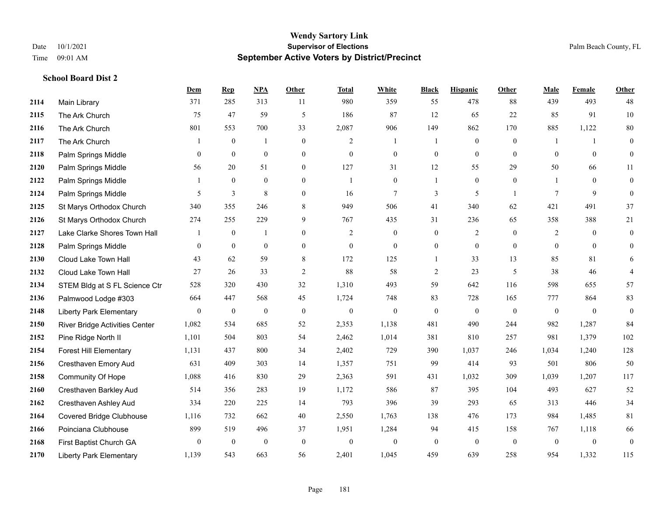**School Board Dist 2**

#### **Wendy Sartory Link** Date 10/1/2021 **Supervisor of Elections** Palm Beach County, FL Time 09:01 AM **September Active Voters by District/Precinct**

# **Dem Rep NPA Other Total White Black Hispanic Other Male Female Other** Main Library 371 285 313 11 980 359 55 478 88 439 493 48 The Ark Church 75 47 59 5 186 87 12 65 22 85 91 10 The Ark Church 801 553 700 33 2,087 906 149 862 170 885 1,122 80 The Ark Church 1 0 1 0 2 1 1 0 0 1 1 0 Palm Springs Middle 0 0 0 0 0 0 0 0 0 0 0 0 Palm Springs Middle 56 20 51 0 127 31 12 55 29 50 66 11 Palm Springs Middle 1 0 0 0 1 0 1 0 0 1 0 0 Palm Springs Middle 5 3 8 0 16 7 3 5 1 7 9 0 St Marys Orthodox Church 340 355 246 8 949 506 41 340 62 421 491 37 St Marys Orthodox Church 274 255 229 9 767 435 31 236 65 358 388 21 Lake Clarke Shores Town Hall  $\begin{array}{ccccccccc} 1 & 0 & 1 & 0 & 2 & 0 & 0 & 2 & 0 & 2 & 0 & 0 \end{array}$  Palm Springs Middle 0 0 0 0 0 0 0 0 0 0 0 0 Cloud Lake Town Hall 43 62 59 8 172 125 1 33 13 85 81 6 Cloud Lake Town Hall 27 26 33 2 88 58 2 23 5 38 46 4 STEM Bldg at S FL Science Ctr 528 320 430 32 1,310 493 59 642 116 598 655 57 Palmwood Lodge #303 664 447 568 45 1,724 748 83 728 165 777 864 83 Liberty Park Elementary 0 0 0 0 0 0 0 0 0 0 0 0 River Bridge Activities Center 1,082 534 685 52 2,353 1,138 481 490 244 982 1,287 84 Pine Ridge North II 1,101 504 803 54 2,462 1,014 381 810 257 981 1,379 102 Forest Hill Elementary 1,131 437 800 34 2,402 729 390 1,037 246 1,034 1,240 128 Cresthaven Emory Aud 631 409 303 14 1,357 751 99 414 93 501 806 50 Community Of Hope 1,088 416 830 29 2,363 591 431 1,032 309 1,039 1,207 117 Cresthaven Barkley Aud 514 356 283 19 1,172 586 87 395 104 493 627 52 Cresthaven Ashley Aud 334 220 225 14 793 396 39 293 65 313 446 34 Covered Bridge Clubhouse 1,116 732 662 40 2,550 1,763 138 476 173 984 1,485 81 Poinciana Clubhouse 899 519 496 37 1,951 1,284 94 415 158 767 1,118 66 First Baptist Church GA 0 0 0 0 0 0 0 0 0 0 0 0 Liberty Park Elementary 1,139 543 663 56 2,401 1,045 459 639 258 954 1,332 115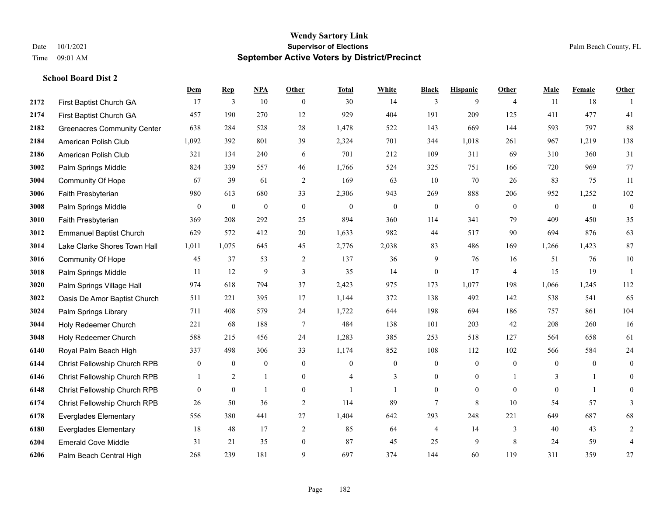**School Board Dist 2**

#### **Wendy Sartory Link** Date 10/1/2021 **Supervisor of Elections** Palm Beach County, FL Time 09:01 AM **September Active Voters by District/Precinct**

# **Dem Rep NPA Other Total White Black Hispanic Other Male Female Other** First Baptist Church GA 17 3 10 0 30 14 3 9 4 11 18 1 First Baptist Church GA 457 190 270 12 929 404 191 209 125 411 477 41 Greenacres Community Center 638 284 528 28 1,478 522 143 669 144 593 797 88 American Polish Club 1,092 392 801 39 2,324 701 344 1,018 261 967 1,219 138 American Polish Club 321 134 240 6 701 212 109 311 69 310 360 31 Palm Springs Middle 824 339 557 46 1,766 524 325 751 166 720 969 77 Community Of Hope 67 39 61 2 169 63 10 70 26 83 75 11 Faith Presbyterian 980 613 680 33 2,306 943 269 888 206 952 1,252 102 Palm Springs Middle 0 0 0 0 0 0 0 0 0 0 0 0 Faith Presbyterian 369 208 292 25 894 360 114 341 79 409 450 35 Emmanuel Baptist Church 629 572 412 20 1,633 982 44 517 90 694 876 63 Lake Clarke Shores Town Hall 1,011 1,075 645 45 2,776 2,038 83 486 169 1,266 1,423 87 Community Of Hope 45 37 53 2 137 36 9 76 16 51 76 10 Palm Springs Middle 1 11 12 9 3 35 14 0 17 4 15 19 1 Palm Springs Village Hall 974 618 794 37 2,423 975 173 1,077 198 1,066 1,245 112 Oasis De Amor Baptist Church 511 221 395 17 1,144 372 138 492 142 538 541 65 Palm Springs Library 711 408 579 24 1,722 644 198 694 186 757 861 104 Holy Redeemer Church 221 68 188 7 484 138 101 203 42 208 260 16 Holy Redeemer Church 588 215 456 24 1,283 385 253 518 127 564 658 61 Royal Palm Beach High 337 498 306 33 1,174 852 108 112 102 566 584 24 Christ Fellowship Church RPB 0 0 0 0 0 0 0 0 0 0 0 0 Christ Fellowship Church RPB 1 2 1 0 4 3 0 0 1 3 1 0 Christ Fellowship Church RPB 0 0 1 0 1 1 0 0 0 0 1 0 Christ Fellowship Church RPB 26 50 36 2 114 89 7 8 10 54 57 3 Everglades Elementary 556 380 441 27 1,404 642 293 248 221 649 687 68 Everglades Elementary 18 48 17 2 85 64 4 14 3 40 43 2 Emerald Cove Middle 31 21 35 0 87 45 25 9 8 24 59 4 Palm Beach Central High 268 239 181 9 697 374 144 60 119 311 359 27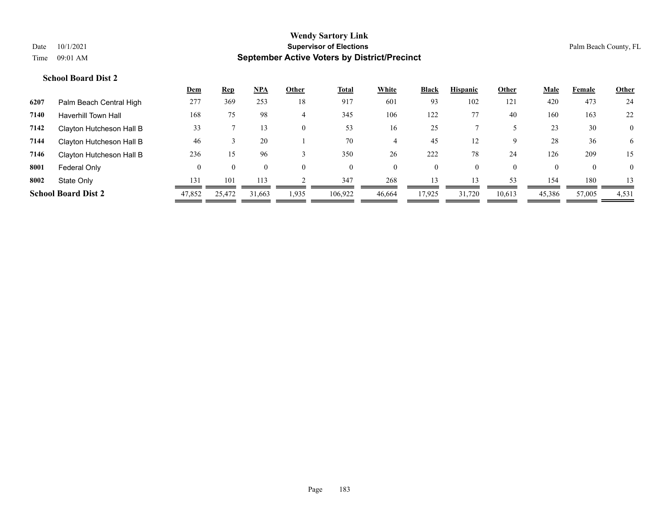| 473                                       |
|-------------------------------------------|
| 24                                        |
| 163<br>22                                 |
| 30<br>$\mathbf{0}$                        |
| 36<br>6                                   |
| 15<br>209                                 |
| $\overline{0}$<br>$\overline{0}$          |
| 180<br>13                                 |
| 45,386<br>57,005<br>4,531                 |
| 420<br>160<br>23<br>28<br>126<br>0<br>154 |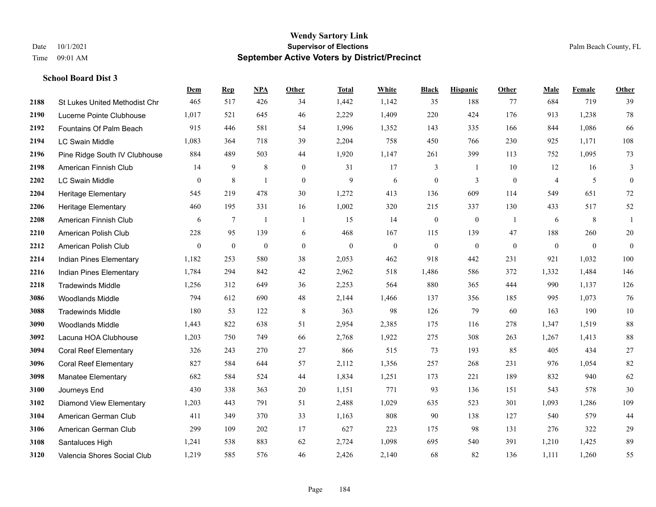|      |                                      | Dem          | <b>Rep</b> | NPA              | <b>Other</b>   | <b>Total</b> | White          | <b>Black</b>     | <b>Hispanic</b>  | <b>Other</b>   | <b>Male</b>    | Female       | <b>Other</b>     |
|------|--------------------------------------|--------------|------------|------------------|----------------|--------------|----------------|------------------|------------------|----------------|----------------|--------------|------------------|
| 2188 | <b>St Lukes United Methodist Chr</b> | 465          | 517        | 426              | 34             | 1,442        | 1,142          | 35               | 188              | 77             | 684            | 719          | 39               |
| 2190 | Lucerne Pointe Clubhouse             | 1,017        | 521        | 645              | 46             | 2,229        | 1,409          | 220              | 424              | 176            | 913            | 1,238        | $78\,$           |
| 2192 | Fountains Of Palm Beach              | 915          | 446        | 581              | 54             | 1,996        | 1,352          | 143              | 335              | 166            | 844            | 1,086        | 66               |
| 2194 | <b>LC Swain Middle</b>               | 1,083        | 364        | 718              | 39             | 2,204        | 758            | 450              | 766              | 230            | 925            | 1,171        | 108              |
| 2196 | Pine Ridge South IV Clubhouse        | 884          | 489        | 503              | 44             | 1,920        | 1,147          | 261              | 399              | 113            | 752            | 1.095        | 73               |
| 2198 | American Finnish Club                | 14           | 9          | $\,8\,$          | $\mathbf{0}$   | 31           | 17             | 3                | 1                | 10             | 12             | 16           | 3                |
| 2202 | LC Swain Middle                      | $\mathbf{0}$ | 8          | $\mathbf{1}$     | $\mathbf{0}$   | 9            | 6              | $\boldsymbol{0}$ | 3                | $\mathbf{0}$   | $\overline{4}$ | 5            | $\boldsymbol{0}$ |
| 2204 | Heritage Elementary                  | 545          | 219        | 478              | 30             | 1,272        | 413            | 136              | 609              | 114            | 549            | 651          | 72               |
| 2206 | <b>Heritage Elementary</b>           | 460          | 195        | 331              | 16             | 1,002        | 320            | 215              | 337              | 130            | 433            | 517          | $52\,$           |
| 2208 | American Finnish Club                | 6            | $\tau$     | $\mathbf{1}$     | $\overline{1}$ | 15           | 14             | $\boldsymbol{0}$ | $\mathbf{0}$     | $\overline{1}$ | 6              | 8            | 1                |
| 2210 | American Polish Club                 | 228          | 95         | 139              | 6              | 468          | 167            | 115              | 139              | 47             | 188            | 260          | $20\,$           |
| 2212 | American Polish Club                 | $\mathbf{0}$ | $\bf{0}$   | $\boldsymbol{0}$ | $\overline{0}$ | $\mathbf{0}$ | $\overline{0}$ | $\boldsymbol{0}$ | $\boldsymbol{0}$ | $\mathbf{0}$   | $\mathbf{0}$   | $\mathbf{0}$ | $\mathbf{0}$     |
| 2214 | Indian Pines Elementary              | 1,182        | 253        | 580              | 38             | 2,053        | 462            | 918              | 442              | 231            | 921            | 1,032        | 100              |
| 2216 | Indian Pines Elementary              | 1,784        | 294        | 842              | 42             | 2,962        | 518            | 1,486            | 586              | 372            | 1,332          | 1,484        | 146              |
| 2218 | <b>Tradewinds Middle</b>             | 1,256        | 312        | 649              | 36             | 2,253        | 564            | 880              | 365              | 444            | 990            | 1,137        | 126              |
| 3086 | <b>Woodlands Middle</b>              | 794          | 612        | 690              | 48             | 2,144        | 1,466          | 137              | 356              | 185            | 995            | 1,073        | 76               |
| 3088 | <b>Tradewinds Middle</b>             | 180          | 53         | 122              | $\,8\,$        | 363          | 98             | 126              | 79               | 60             | 163            | 190          | $10\,$           |
| 3090 | Woodlands Middle                     | 1,443        | 822        | 638              | 51             | 2,954        | 2,385          | 175              | 116              | 278            | 1,347          | 1,519        | $88\,$           |
| 3092 | Lacuna HOA Clubhouse                 | 1,203        | 750        | 749              | 66             | 2,768        | 1,922          | 275              | 308              | 263            | 1,267          | 1,413        | $88\,$           |
| 3094 | <b>Coral Reef Elementary</b>         | 326          | 243        | 270              | 27             | 866          | 515            | 73               | 193              | 85             | 405            | 434          | $27\,$           |
| 3096 | <b>Coral Reef Elementary</b>         | 827          | 584        | 644              | 57             | 2,112        | 1,356          | 257              | 268              | 231            | 976            | 1,054        | $82\,$           |
| 3098 | <b>Manatee Elementary</b>            | 682          | 584        | 524              | 44             | 1,834        | 1,251          | 173              | 221              | 189            | 832            | 940          | 62               |
| 3100 | Journeys End                         | 430          | 338        | 363              | 20             | 1,151        | 771            | 93               | 136              | 151            | 543            | 578          | $30\,$           |
| 3102 | <b>Diamond View Elementary</b>       | 1,203        | 443        | 791              | 51             | 2,488        | 1,029          | 635              | 523              | 301            | 1,093          | 1,286        | 109              |
| 3104 | American German Club                 | 411          | 349        | 370              | 33             | 1,163        | 808            | 90               | 138              | 127            | 540            | 579          | 44               |
| 3106 | American German Club                 | 299          | 109        | 202              | 17             | 627          | 223            | 175              | 98               | 131            | 276            | 322          | $29\,$           |
| 3108 | Santaluces High                      | 1,241        | 538        | 883              | 62             | 2,724        | 1,098          | 695              | 540              | 391            | 1,210          | 1,425        | 89               |
| 3120 | Valencia Shores Social Club          | 1,219        | 585        | 576              | 46             | 2,426        | 2,140          | 68               | 82               | 136            | 1,111          | 1,260        | 55               |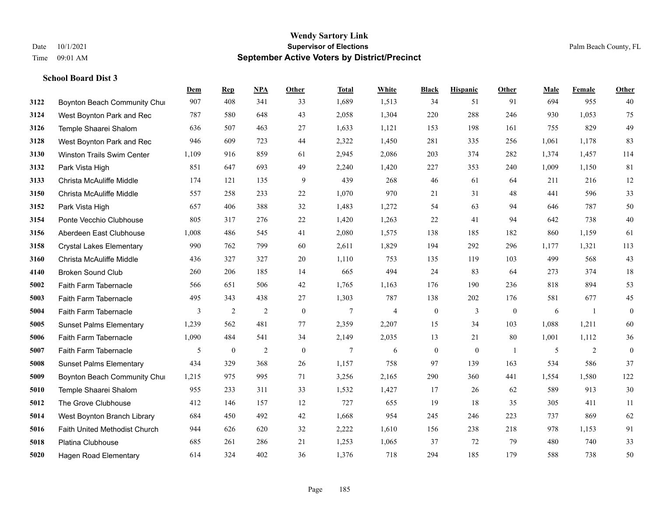|      |                                      | Dem   | <b>Rep</b>       | NPA            | <b>Other</b>     | <b>Total</b> | White          | <b>Black</b>     | <b>Hispanic</b>  | <b>Other</b> | <b>Male</b> | Female         | <b>Other</b>     |
|------|--------------------------------------|-------|------------------|----------------|------------------|--------------|----------------|------------------|------------------|--------------|-------------|----------------|------------------|
| 3122 | Boynton Beach Community Chur         | 907   | 408              | 341            | 33               | 1,689        | 1,513          | 34               | 51               | 91           | 694         | 955            | 40               |
| 3124 | West Boynton Park and Rec            | 787   | 580              | 648            | 43               | 2,058        | 1,304          | 220              | 288              | 246          | 930         | 1.053          | 75               |
| 3126 | Temple Shaarei Shalom                | 636   | 507              | 463            | 27               | 1,633        | 1,121          | 153              | 198              | 161          | 755         | 829            | 49               |
| 3128 | West Boynton Park and Rec            | 946   | 609              | 723            | 44               | 2,322        | 1,450          | 281              | 335              | 256          | 1,061       | 1,178          | 83               |
| 3130 | <b>Winston Trails Swim Center</b>    | 1,109 | 916              | 859            | 61               | 2,945        | 2,086          | 203              | 374              | 282          | 1.374       | 1.457          | 114              |
| 3132 | Park Vista High                      | 851   | 647              | 693            | 49               | 2,240        | 1,420          | 227              | 353              | 240          | 1,009       | 1,150          | 81               |
| 3133 | Christa McAuliffe Middle             | 174   | 121              | 135            | 9                | 439          | 268            | 46               | 61               | 64           | 211         | 216            | 12               |
| 3150 | Christa McAuliffe Middle             | 557   | 258              | 233            | 22               | 1,070        | 970            | 21               | 31               | 48           | 441         | 596            | 33               |
| 3152 | Park Vista High                      | 657   | 406              | 388            | 32               | 1,483        | 1,272          | 54               | 63               | 94           | 646         | 787            | $50\,$           |
| 3154 | Ponte Vecchio Clubhouse              | 805   | 317              | 276            | 22               | 1,420        | 1,263          | 22               | 41               | 94           | 642         | 738            | $40\,$           |
| 3156 | Aberdeen East Clubhouse              | 1,008 | 486              | 545            | 41               | 2,080        | 1,575          | 138              | 185              | 182          | 860         | 1,159          | 61               |
| 3158 | <b>Crystal Lakes Elementary</b>      | 990   | 762              | 799            | 60               | 2,611        | 1,829          | 194              | 292              | 296          | 1,177       | 1,321          | 113              |
| 3160 | Christa McAuliffe Middle             | 436   | 327              | 327            | 20               | 1,110        | 753            | 135              | 119              | 103          | 499         | 568            | 43               |
| 4140 | <b>Broken Sound Club</b>             | 260   | 206              | 185            | 14               | 665          | 494            | 24               | 83               | 64           | 273         | 374            | 18               |
| 5002 | Faith Farm Tabernacle                | 566   | 651              | 506            | 42               | 1,765        | 1,163          | 176              | 190              | 236          | 818         | 894            | 53               |
| 5003 | Faith Farm Tabernacle                | 495   | 343              | 438            | 27               | 1,303        | 787            | 138              | 202              | 176          | 581         | 677            | 45               |
| 5004 | Faith Farm Tabernacle                | 3     | $\overline{2}$   | $\overline{2}$ | $\boldsymbol{0}$ | 7            | $\overline{4}$ | $\boldsymbol{0}$ | 3                | $\mathbf{0}$ | 6           | -1             | $\boldsymbol{0}$ |
| 5005 | <b>Sunset Palms Elementary</b>       | 1,239 | 562              | 481            | 77               | 2,359        | 2,207          | 15               | 34               | 103          | 1,088       | 1,211          | 60               |
| 5006 | Faith Farm Tabernacle                | 1,090 | 484              | 541            | 34               | 2,149        | 2,035          | 13               | 21               | 80           | 1,001       | 1,112          | 36               |
| 5007 | Faith Farm Tabernacle                | 5     | $\boldsymbol{0}$ | $\overline{2}$ | $\boldsymbol{0}$ | 7            | 6              | $\boldsymbol{0}$ | $\boldsymbol{0}$ | -1           | 5           | $\overline{2}$ | $\boldsymbol{0}$ |
| 5008 | <b>Sunset Palms Elementary</b>       | 434   | 329              | 368            | 26               | 1,157        | 758            | 97               | 139              | 163          | 534         | 586            | 37               |
| 5009 | Boynton Beach Community Chur         | 1,215 | 975              | 995            | 71               | 3,256        | 2,165          | 290              | 360              | 441          | 1,554       | 1,580          | 122              |
| 5010 | Temple Shaarei Shalom                | 955   | 233              | 311            | 33               | 1,532        | 1,427          | 17               | 26               | 62           | 589         | 913            | $30\,$           |
| 5012 | The Grove Clubhouse                  | 412   | 146              | 157            | 12               | 727          | 655            | 19               | 18               | 35           | 305         | 411            | 11               |
| 5014 | West Boynton Branch Library          | 684   | 450              | 492            | 42               | 1,668        | 954            | 245              | 246              | 223          | 737         | 869            | 62               |
| 5016 | <b>Faith United Methodist Church</b> | 944   | 626              | 620            | 32               | 2,222        | 1,610          | 156              | 238              | 218          | 978         | 1,153          | 91               |
| 5018 | <b>Platina Clubhouse</b>             | 685   | 261              | 286            | 21               | 1,253        | 1,065          | 37               | 72               | 79           | 480         | 740            | 33               |
| 5020 | <b>Hagen Road Elementary</b>         | 614   | 324              | 402            | 36               | 1,376        | 718            | 294              | 185              | 179          | 588         | 738            | 50               |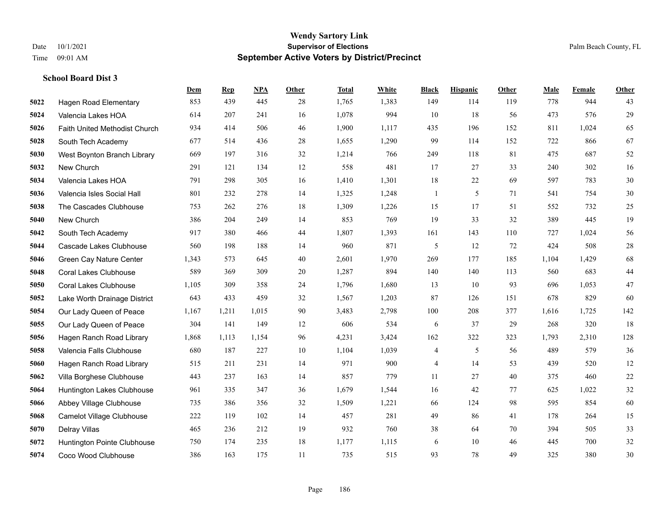|      |                               | Dem   | <b>Rep</b> | NPA   | <b>Other</b> | <b>Total</b> | White | <b>Black</b>             | <b>Hispanic</b> | <b>Other</b> | <b>Male</b> | Female | <b>Other</b> |
|------|-------------------------------|-------|------------|-------|--------------|--------------|-------|--------------------------|-----------------|--------------|-------------|--------|--------------|
| 5022 | Hagen Road Elementary         | 853   | 439        | 445   | 28           | 1,765        | 1,383 | 149                      | 114             | 119          | 778         | 944    | 43           |
| 5024 | Valencia Lakes HOA            | 614   | 207        | 241   | 16           | 1,078        | 994   | 10                       | 18              | 56           | 473         | 576    | 29           |
| 5026 | Faith United Methodist Church | 934   | 414        | 506   | 46           | 1,900        | 1,117 | 435                      | 196             | 152          | 811         | 1,024  | 65           |
| 5028 | South Tech Academy            | 677   | 514        | 436   | 28           | 1,655        | 1,290 | 99                       | 114             | 152          | 722         | 866    | 67           |
| 5030 | West Boynton Branch Library   | 669   | 197        | 316   | 32           | 1,214        | 766   | 249                      | 118             | 81           | 475         | 687    | 52           |
| 5032 | New Church                    | 291   | 121        | 134   | 12           | 558          | 481   | 17                       | 27              | 33           | 240         | 302    | 16           |
| 5034 | Valencia Lakes HOA            | 791   | 298        | 305   | 16           | 1,410        | 1,301 | 18                       | 22              | 69           | 597         | 783    | 30           |
| 5036 | Valencia Isles Social Hall    | 801   | 232        | 278   | 14           | 1,325        | 1,248 | $\mathbf{1}$             | 5               | 71           | 541         | 754    | 30           |
| 5038 | The Cascades Clubhouse        | 753   | 262        | 276   | 18           | 1,309        | 1,226 | 15                       | 17              | 51           | 552         | 732    | $25\,$       |
| 5040 | New Church                    | 386   | 204        | 249   | 14           | 853          | 769   | 19                       | 33              | 32           | 389         | 445    | 19           |
| 5042 | South Tech Academy            | 917   | 380        | 466   | 44           | 1,807        | 1,393 | 161                      | 143             | 110          | 727         | 1,024  | 56           |
| 5044 | Cascade Lakes Clubhouse       | 560   | 198        | 188   | 14           | 960          | 871   | 5                        | 12              | 72           | 424         | 508    | $28\,$       |
| 5046 | Green Cay Nature Center       | 1,343 | 573        | 645   | 40           | 2,601        | 1,970 | 269                      | 177             | 185          | 1,104       | 1,429  | 68           |
| 5048 | <b>Coral Lakes Clubhouse</b>  | 589   | 369        | 309   | 20           | 1,287        | 894   | 140                      | 140             | 113          | 560         | 683    | $44\,$       |
| 5050 | <b>Coral Lakes Clubhouse</b>  | 1,105 | 309        | 358   | 24           | 1,796        | 1,680 | 13                       | 10              | 93           | 696         | 1,053  | $47\,$       |
| 5052 | Lake Worth Drainage District  | 643   | 433        | 459   | 32           | 1,567        | 1,203 | 87                       | 126             | 151          | 678         | 829    | 60           |
| 5054 | Our Lady Queen of Peace       | 1,167 | 1,211      | 1,015 | 90           | 3,483        | 2,798 | 100                      | 208             | 377          | 1,616       | 1,725  | 142          |
| 5055 | Our Lady Queen of Peace       | 304   | 141        | 149   | 12           | 606          | 534   | 6                        | 37              | 29           | 268         | 320    | 18           |
| 5056 | Hagen Ranch Road Library      | 1,868 | 1,113      | 1,154 | 96           | 4,231        | 3,424 | 162                      | 322             | 323          | 1,793       | 2,310  | 128          |
| 5058 | Valencia Falls Clubhouse      | 680   | 187        | 227   | 10           | 1,104        | 1,039 | $\overline{\mathcal{A}}$ | 5               | 56           | 489         | 579    | 36           |
| 5060 | Hagen Ranch Road Library      | 515   | 211        | 231   | 14           | 971          | 900   | 4                        | 14              | 53           | 439         | 520    | 12           |
| 5062 | Villa Borghese Clubhouse      | 443   | 237        | 163   | 14           | 857          | 779   | 11                       | 27              | 40           | 375         | 460    | $22\,$       |
| 5064 | Huntington Lakes Clubhouse    | 961   | 335        | 347   | 36           | 1,679        | 1,544 | 16                       | 42              | 77           | 625         | 1,022  | $32\,$       |
| 5066 | Abbey Village Clubhouse       | 735   | 386        | 356   | 32           | 1,509        | 1,221 | 66                       | 124             | 98           | 595         | 854    | 60           |
| 5068 | Camelot Village Clubhouse     | 222   | 119        | 102   | 14           | 457          | 281   | 49                       | 86              | 41           | 178         | 264    | 15           |
| 5070 | Delray Villas                 | 465   | 236        | 212   | 19           | 932          | 760   | 38                       | 64              | 70           | 394         | 505    | 33           |
| 5072 | Huntington Pointe Clubhouse   | 750   | 174        | 235   | 18           | 1,177        | 1,115 | 6                        | 10              | 46           | 445         | 700    | $32\,$       |
| 5074 | Coco Wood Clubhouse           | 386   | 163        | 175   | 11           | 735          | 515   | 93                       | 78              | 49           | 325         | 380    | 30           |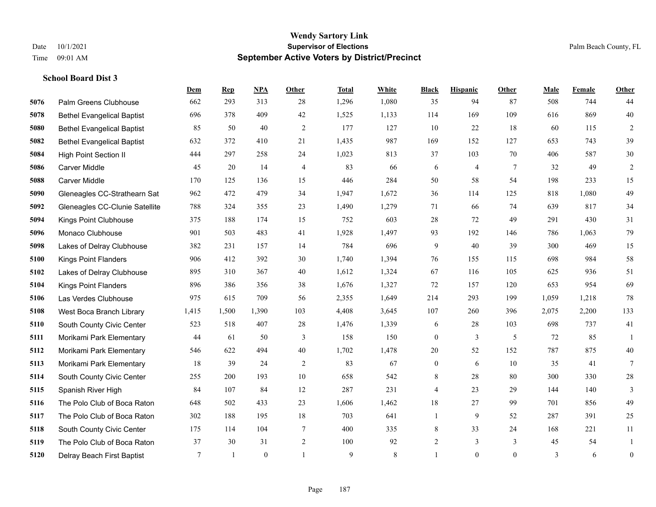|      |                                   | Dem    | <b>Rep</b>   | NPA          | <b>Other</b>   | <b>Total</b> | White | <b>Black</b>     | <b>Hispanic</b> | <b>Other</b>    | <b>Male</b> | Female | <b>Other</b>     |
|------|-----------------------------------|--------|--------------|--------------|----------------|--------------|-------|------------------|-----------------|-----------------|-------------|--------|------------------|
| 5076 | Palm Greens Clubhouse             | 662    | 293          | 313          | 28             | 1,296        | 1,080 | 35               | 94              | 87              | 508         | 744    | 44               |
| 5078 | <b>Bethel Evangelical Baptist</b> | 696    | 378          | 409          | 42             | 1,525        | 1,133 | 114              | 169             | 109             | 616         | 869    | 40               |
| 5080 | <b>Bethel Evangelical Baptist</b> | 85     | 50           | 40           | $\mathfrak{2}$ | 177          | 127   | 10               | 22              | 18              | 60          | 115    | $\sqrt{2}$       |
| 5082 | <b>Bethel Evangelical Baptist</b> | 632    | 372          | 410          | 21             | 1,435        | 987   | 169              | 152             | 127             | 653         | 743    | 39               |
| 5084 | <b>High Point Section II</b>      | 444    | 297          | 258          | 24             | 1,023        | 813   | 37               | 103             | 70              | 406         | 587    | $30\,$           |
| 5086 | Carver Middle                     | 45     | 20           | 14           | $\overline{4}$ | 83           | 66    | 6                | $\overline{4}$  | $7\phantom{.0}$ | 32          | 49     | $\sqrt{2}$       |
| 5088 | Carver Middle                     | 170    | 125          | 136          | 15             | 446          | 284   | 50               | 58              | 54              | 198         | 233    | 15               |
| 5090 | Gleneagles CC-Strathearn Sat      | 962    | 472          | 479          | 34             | 1,947        | 1,672 | 36               | 114             | 125             | 818         | 1,080  | 49               |
| 5092 | Gleneagles CC-Clunie Satellite    | 788    | 324          | 355          | 23             | 1,490        | 1,279 | 71               | 66              | 74              | 639         | 817    | 34               |
| 5094 | Kings Point Clubhouse             | 375    | 188          | 174          | 15             | 752          | 603   | 28               | 72              | 49              | 291         | 430    | 31               |
| 5096 | Monaco Clubhouse                  | 901    | 503          | 483          | 41             | 1,928        | 1,497 | 93               | 192             | 146             | 786         | 1,063  | 79               |
| 5098 | Lakes of Delray Clubhouse         | 382    | 231          | 157          | 14             | 784          | 696   | 9                | 40              | 39              | 300         | 469    | 15               |
| 5100 | <b>Kings Point Flanders</b>       | 906    | 412          | 392          | 30             | 1,740        | 1,394 | 76               | 155             | 115             | 698         | 984    | 58               |
| 5102 | Lakes of Delray Clubhouse         | 895    | 310          | 367          | 40             | 1,612        | 1,324 | 67               | 116             | 105             | 625         | 936    | 51               |
| 5104 | <b>Kings Point Flanders</b>       | 896    | 386          | 356          | 38             | 1,676        | 1,327 | 72               | 157             | 120             | 653         | 954    | 69               |
| 5106 | Las Verdes Clubhouse              | 975    | 615          | 709          | 56             | 2,355        | 1,649 | 214              | 293             | 199             | 1,059       | 1,218  | $78\,$           |
| 5108 | West Boca Branch Library          | 1,415  | 1,500        | 1,390        | 103            | 4,408        | 3,645 | 107              | 260             | 396             | 2,075       | 2,200  | 133              |
| 5110 | South County Civic Center         | 523    | 518          | 407          | 28             | 1,476        | 1,339 | 6                | 28              | 103             | 698         | 737    | 41               |
| 5111 | Morikami Park Elementary          | 44     | 61           | 50           | 3              | 158          | 150   | $\boldsymbol{0}$ | 3               | 5               | 72          | 85     | 1                |
| 5112 | Morikami Park Elementary          | 546    | 622          | 494          | 40             | 1,702        | 1,478 | 20               | 52              | 152             | 787         | 875    | 40               |
| 5113 | Morikami Park Elementary          | 18     | 39           | 24           | 2              | 83           | 67    | $\boldsymbol{0}$ | 6               | 10              | 35          | 41     | $7\phantom{.0}$  |
| 5114 | South County Civic Center         | 255    | 200          | 193          | $10\,$         | 658          | 542   | $\,$ 8 $\,$      | $28\,$          | 80              | 300         | 330    | $28\,$           |
| 5115 | Spanish River High                | 84     | 107          | 84           | 12             | 287          | 231   | 4                | 23              | 29              | 144         | 140    | 3                |
| 5116 | The Polo Club of Boca Raton       | 648    | 502          | 433          | 23             | 1,606        | 1,462 | 18               | 27              | 99              | 701         | 856    | 49               |
| 5117 | The Polo Club of Boca Raton       | 302    | 188          | 195          | 18             | 703          | 641   | $\mathbf{1}$     | 9               | 52              | 287         | 391    | 25               |
| 5118 | South County Civic Center         | 175    | 114          | 104          | 7              | 400          | 335   | 8                | 33              | 24              | 168         | 221    | 11               |
| 5119 | The Polo Club of Boca Raton       | 37     | 30           | 31           | 2              | 100          | 92    | $\overline{2}$   | 3               | 3               | 45          | 54     | 1                |
| 5120 | Delray Beach First Baptist        | $\tau$ | $\mathbf{1}$ | $\mathbf{0}$ | $\mathbf{1}$   | 9            | 8     | $\mathbf{1}$     | $\theta$        | $\overline{0}$  | 3           | 6      | $\boldsymbol{0}$ |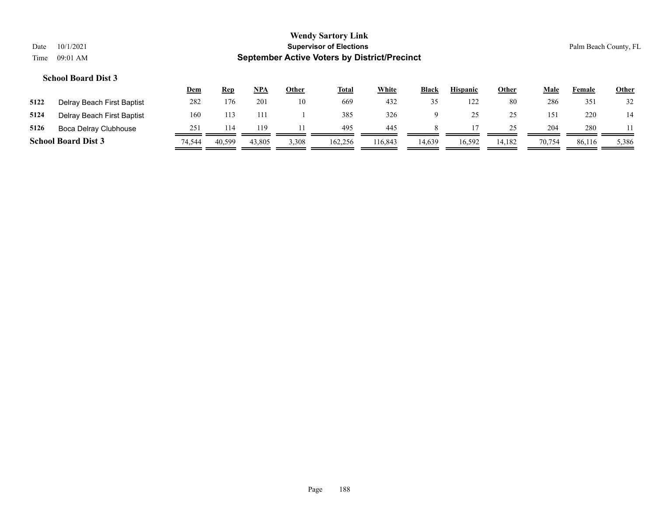# **Wendy Sartory Link** Date 10/1/2021 **Supervisor of Elections** Palm Beach County, FL Time 09:01 AM **September Active Voters by District/Precinct Dem Rep NPA Other Total White Black Hispanic Other Male Female Other School Board Dist 3**

|      | <b>School Board Dist 3</b> | 74.544 | 40,599 | 43,805 | 3,308 | 162,256 | 116,843 | 14,639 | 16,592         | 14,182   | 70.754 | 86,116 | 5,386 |
|------|----------------------------|--------|--------|--------|-------|---------|---------|--------|----------------|----------|--------|--------|-------|
| 5126 | Boca Delray Clubhouse      | 251    | 14     | 119    |       | 495     | 445     |        |                |          | 204    | 280    |       |
| 5124 | Delray Beach First Baptist | 160    | 113    |        |       | 385     | 326     |        |                | つく<br>-- |        | 220    | 14    |
| 5122 | Delray Beach First Baptist | 282    | 176    | 201    | 10    | 669     | 432     |        | $\overline{1}$ | 80       | 286    | 351    | 32    |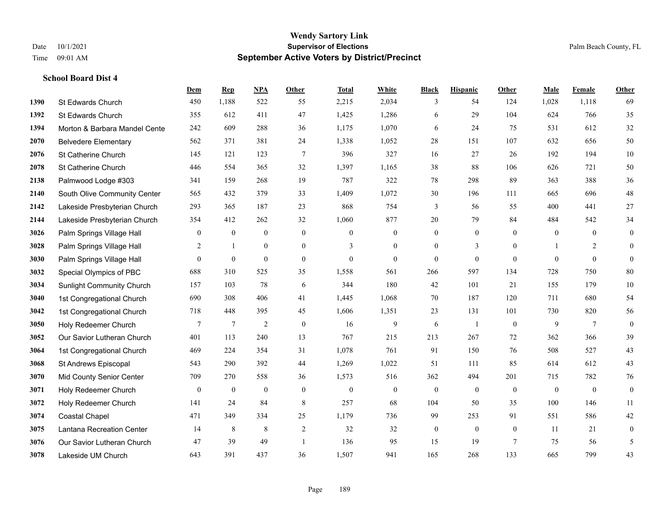|      |                                  | <b>Dem</b>       | <b>Rep</b>       | NPA              | <b>Other</b>   | <b>Total</b>   | White          | <b>Black</b>     | <b>Hispanic</b>  | <b>Other</b>   | <b>Male</b>    | Female         | <b>Other</b>     |
|------|----------------------------------|------------------|------------------|------------------|----------------|----------------|----------------|------------------|------------------|----------------|----------------|----------------|------------------|
| 1390 | St Edwards Church                | 450              | 1,188            | 522              | 55             | 2,215          | 2,034          | 3                | 54               | 124            | 1,028          | 1,118          | 69               |
| 1392 | St Edwards Church                | 355              | 612              | 411              | 47             | 1,425          | 1,286          | 6                | 29               | 104            | 624            | 766            | 35               |
| 1394 | Morton & Barbara Mandel Cente    | 242              | 609              | 288              | 36             | 1,175          | 1,070          | 6                | 24               | 75             | 531            | 612            | $32\,$           |
| 2070 | <b>Belvedere Elementary</b>      | 562              | 371              | 381              | 24             | 1,338          | 1,052          | 28               | 151              | 107            | 632            | 656            | 50               |
| 2076 | St Catherine Church              | 145              | 121              | 123              | $\overline{7}$ | 396            | 327            | 16               | 27               | 26             | 192            | 194            | $10\,$           |
| 2078 | St Catherine Church              | 446              | 554              | 365              | 32             | 1,397          | 1,165          | 38               | 88               | 106            | 626            | 721            | 50               |
| 2138 | Palmwood Lodge #303              | 341              | 159              | 268              | 19             | 787            | 322            | 78               | 298              | 89             | 363            | 388            | 36               |
| 2140 | South Olive Community Center     | 565              | 432              | 379              | 33             | 1,409          | 1,072          | 30               | 196              | 111            | 665            | 696            | $48\,$           |
| 2142 | Lakeside Presbyterian Church     | 293              | 365              | 187              | 23             | 868            | 754            | 3                | 56               | 55             | 400            | 441            | $27\,$           |
| 2144 | Lakeside Presbyterian Church     | 354              | 412              | 262              | 32             | 1,060          | 877            | 20               | 79               | 84             | 484            | 542            | 34               |
| 3026 | Palm Springs Village Hall        | $\boldsymbol{0}$ | $\boldsymbol{0}$ | $\mathbf{0}$     | $\mathbf{0}$   | $\mathbf{0}$   | $\mathbf{0}$   | $\boldsymbol{0}$ | $\boldsymbol{0}$ | $\overline{0}$ | $\overline{0}$ | $\overline{0}$ | $\boldsymbol{0}$ |
| 3028 | Palm Springs Village Hall        | 2                | $\mathbf{1}$     | $\mathbf{0}$     | $\overline{0}$ | 3              | $\mathbf{0}$   | $\mathbf{0}$     | 3                | $\theta$       |                | 2              | $\mathbf{0}$     |
| 3030 | Palm Springs Village Hall        | $\overline{0}$   | $\boldsymbol{0}$ | $\boldsymbol{0}$ | $\mathbf{0}$   | $\overline{0}$ | $\mathbf{0}$   | $\mathbf{0}$     | $\mathbf{0}$     | $\theta$       | $\mathbf{0}$   | $\mathbf{0}$   | $\mathbf{0}$     |
| 3032 | Special Olympics of PBC          | 688              | 310              | 525              | 35             | 1,558          | 561            | 266              | 597              | 134            | 728            | 750            | $80\,$           |
| 3034 | <b>Sunlight Community Church</b> | 157              | 103              | 78               | 6              | 344            | 180            | 42               | 101              | 21             | 155            | 179            | $10\,$           |
| 3040 | 1st Congregational Church        | 690              | 308              | 406              | 41             | 1,445          | 1,068          | 70               | 187              | 120            | 711            | 680            | 54               |
| 3042 | 1st Congregational Church        | 718              | 448              | 395              | 45             | 1,606          | 1,351          | 23               | 131              | 101            | 730            | 820            | 56               |
| 3050 | Holy Redeemer Church             | 7                | $\overline{7}$   | $\overline{2}$   | $\mathbf{0}$   | 16             | 9              | 6                | $\mathbf{1}$     | $\mathbf{0}$   | 9              | $\tau$         | $\boldsymbol{0}$ |
| 3052 | Our Savior Lutheran Church       | 401              | 113              | 240              | 13             | 767            | 215            | 213              | 267              | 72             | 362            | 366            | 39               |
| 3064 | 1st Congregational Church        | 469              | 224              | 354              | 31             | 1,078          | 761            | 91               | 150              | 76             | 508            | 527            | 43               |
| 3068 | St Andrews Episcopal             | 543              | 290              | 392              | 44             | 1,269          | 1,022          | 51               | 111              | 85             | 614            | 612            | 43               |
| 3070 | Mid County Senior Center         | 709              | 270              | 558              | 36             | 1,573          | 516            | 362              | 494              | 201            | 715            | 782            | 76               |
| 3071 | Holy Redeemer Church             | $\overline{0}$   | $\mathbf{0}$     | $\mathbf{0}$     | $\mathbf{0}$   | $\overline{0}$ | $\overline{0}$ | $\mathbf{0}$     | $\mathbf{0}$     | $\theta$       | $\theta$       | $\theta$       | $\boldsymbol{0}$ |
| 3072 | Holy Redeemer Church             | 141              | 24               | 84               | 8              | 257            | 68             | 104              | 50               | 35             | 100            | 146            | 11               |
| 3074 | Coastal Chapel                   | 471              | 349              | 334              | 25             | 1,179          | 736            | 99               | 253              | 91             | 551            | 586            | 42               |
| 3075 | Lantana Recreation Center        | 14               | $\,8\,$          | $\,8\,$          | $\sqrt{2}$     | 32             | 32             | $\boldsymbol{0}$ | $\boldsymbol{0}$ | $\mathbf{0}$   | 11             | 21             | $\boldsymbol{0}$ |
| 3076 | Our Savior Lutheran Church       | 47               | 39               | 49               | $\overline{1}$ | 136            | 95             | 15               | 19               | $\overline{7}$ | 75             | 56             | 5                |
| 3078 | Lakeside UM Church               | 643              | 391              | 437              | 36             | 1,507          | 941            | 165              | 268              | 133            | 665            | 799            | 43               |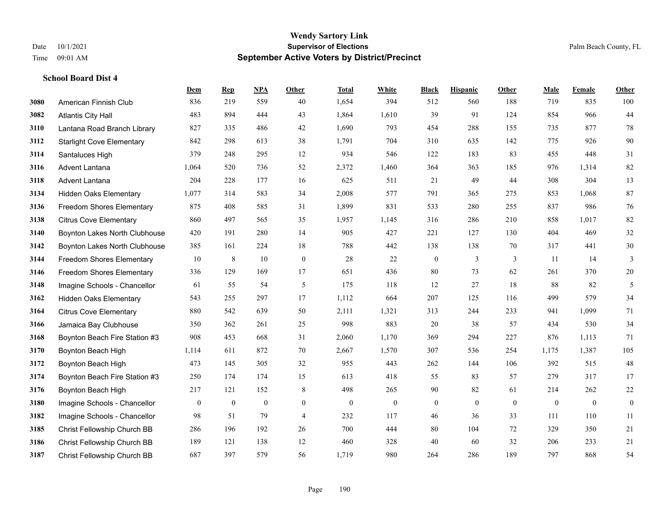|      |                                  | Dem          | <b>Rep</b>   | NPA            | <b>Other</b>   | <b>Total</b> | <b>White</b>   | <b>Black</b>     | <b>Hispanic</b> | <b>Other</b> | <b>Male</b>  | <b>Female</b> | <b>Other</b>     |
|------|----------------------------------|--------------|--------------|----------------|----------------|--------------|----------------|------------------|-----------------|--------------|--------------|---------------|------------------|
| 3080 | American Finnish Club            | 836          | 219          | 559            | 40             | 1,654        | 394            | 512              | 560             | 188          | 719          | 835           | 100              |
| 3082 | <b>Atlantis City Hall</b>        | 483          | 894          | 444            | 43             | 1,864        | 1,610          | 39               | 91              | 124          | 854          | 966           | 44               |
| 3110 | Lantana Road Branch Library      | 827          | 335          | 486            | 42             | 1,690        | 793            | 454              | 288             | 155          | 735          | 877           | $78\,$           |
| 3112 | <b>Starlight Cove Elementary</b> | 842          | 298          | 613            | 38             | 1,791        | 704            | 310              | 635             | 142          | 775          | 926           | 90               |
| 3114 | Santaluces High                  | 379          | 248          | 295            | 12             | 934          | 546            | 122              | 183             | 83           | 455          | 448           | 31               |
| 3116 | Advent Lantana                   | 1,064        | 520          | 736            | 52             | 2,372        | 1,460          | 364              | 363             | 185          | 976          | 1,314         | 82               |
| 3118 | Advent Lantana                   | 204          | 228          | 177            | 16             | 625          | 511            | 21               | 49              | 44           | 308          | 304           | 13               |
| 3134 | <b>Hidden Oaks Elementary</b>    | 1,077        | 314          | 583            | 34             | 2,008        | 577            | 791              | 365             | 275          | 853          | 1,068         | 87               |
| 3136 | <b>Freedom Shores Elementary</b> | 875          | 408          | 585            | 31             | 1,899        | 831            | 533              | 280             | 255          | 837          | 986           | 76               |
| 3138 | <b>Citrus Cove Elementary</b>    | 860          | 497          | 565            | 35             | 1,957        | 1,145          | 316              | 286             | 210          | 858          | 1.017         | 82               |
| 3140 | Boynton Lakes North Clubhouse    | 420          | 191          | 280            | 14             | 905          | 427            | 221              | 127             | 130          | 404          | 469           | $32\,$           |
| 3142 | Boynton Lakes North Clubhouse    | 385          | 161          | 224            | 18             | 788          | 442            | 138              | 138             | 70           | 317          | 441           | $30\,$           |
| 3144 | Freedom Shores Elementary        | 10           | $\,8\,$      | 10             | $\mathbf{0}$   | 28           | 22             | $\boldsymbol{0}$ | 3               | 3            | 11           | 14            | 3                |
| 3146 | Freedom Shores Elementary        | 336          | 129          | 169            | 17             | 651          | 436            | 80               | 73              | 62           | 261          | 370           | $20\,$           |
| 3148 | Imagine Schools - Chancellor     | 61           | 55           | 54             | 5              | 175          | 118            | 12               | 27              | 18           | 88           | 82            | 5                |
| 3162 | <b>Hidden Oaks Elementary</b>    | 543          | 255          | 297            | 17             | 1,112        | 664            | 207              | 125             | 116          | 499          | 579           | 34               |
| 3164 | <b>Citrus Cove Elementary</b>    | 880          | 542          | 639            | 50             | 2,111        | 1,321          | 313              | 244             | 233          | 941          | 1,099         | 71               |
| 3166 | Jamaica Bay Clubhouse            | 350          | 362          | 261            | 25             | 998          | 883            | 20               | 38              | 57           | 434          | 530           | 34               |
| 3168 | Boynton Beach Fire Station #3    | 908          | 453          | 668            | 31             | 2,060        | 1,170          | 369              | 294             | 227          | 876          | 1,113         | 71               |
| 3170 | Boynton Beach High               | 1,114        | 611          | 872            | 70             | 2,667        | 1,570          | 307              | 536             | 254          | 1,175        | 1,387         | 105              |
| 3172 | Boynton Beach High               | 473          | 145          | 305            | 32             | 955          | 443            | 262              | 144             | 106          | 392          | 515           | $48\,$           |
| 3174 | Boynton Beach Fire Station #3    | 250          | 174          | 174            | 15             | 613          | 418            | 55               | 83              | 57           | 279          | 317           | 17               |
| 3176 | Boynton Beach High               | 217          | 121          | 152            | 8              | 498          | 265            | 90               | 82              | 61           | 214          | 262           | $22\,$           |
| 3180 | Imagine Schools - Chancellor     | $\mathbf{0}$ | $\mathbf{0}$ | $\overline{0}$ | $\overline{0}$ | $\mathbf{0}$ | $\overline{0}$ | $\boldsymbol{0}$ | $\overline{0}$  | $\theta$     | $\mathbf{0}$ | $\mathbf{0}$  | $\boldsymbol{0}$ |
| 3182 | Imagine Schools - Chancellor     | 98           | 51           | 79             | $\overline{4}$ | 232          | 117            | 46               | 36              | 33           | 111          | 110           | $11\,$           |
| 3185 | Christ Fellowship Church BB      | 286          | 196          | 192            | 26             | 700          | 444            | 80               | 104             | 72           | 329          | 350           | 21               |
| 3186 | Christ Fellowship Church BB      | 189          | 121          | 138            | 12             | 460          | 328            | 40               | 60              | 32           | 206          | 233           | 21               |
| 3187 | Christ Fellowship Church BB      | 687          | 397          | 579            | 56             | 1,719        | 980            | 264              | 286             | 189          | 797          | 868           | 54               |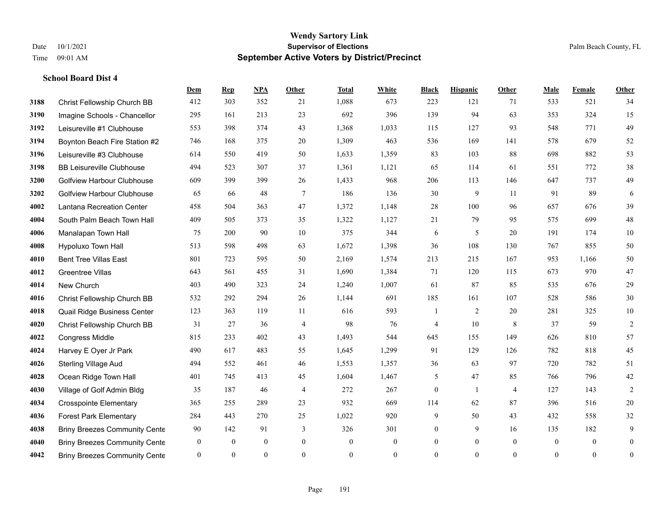**School Board Dist 4**

#### **Wendy Sartory Link** Date 10/1/2021 **Supervisor of Elections** Palm Beach County, FL Time 09:01 AM **September Active Voters by District/Precinct**

**Dem Rep NPA Other Total White Black Hispanic Other Male Female Other**

# Christ Fellowship Church BB 412 303 352 21 1,088 673 223 121 71 533 521 34 Imagine Schools - Chancellor 295 161 213 23 692 396 139 94 63 353 324 15 Leisureville #1 Clubhouse 553 398 374 43 1,368 1,033 115 127 93 548 771 49 Boynton Beach Fire Station #2 746 168 375 20 1,309 463 536 169 141 578 679 52 Leisureville #3 Clubhouse 614 550 419 50 1,633 1,359 83 103 88 698 882 53 BB Leisureville Clubhouse 494 523 307 37 1,361 1,121 65 114 61 551 772 38 Golfview Harbour Clubhouse 609 399 399 26 1,433 968 206 113 146 647 737 49 Golfview Harbour Clubhouse 65 66 48 7 186 136 30 9 11 91 89 6 Lantana Recreation Center 458 504 363 47 1,372 1,148 28 100 96 657 676 39 South Palm Beach Town Hall 409 505 373 35 1,322 1,127 21 79 95 575 699 48 Manalapan Town Hall 75 200 90 10 375 344 6 5 20 191 174 10 Hypoluxo Town Hall 513 598 498 63 1,672 1,398 36 108 130 767 855 50 Bent Tree Villas East 801 723 595 50 2,169 1,574 213 215 167 953 1,166 50 Greentree Villas 643 561 455 31 1,690 1,384 71 120 115 673 970 47 New Church 403 490 323 24 1,240 1,007 61 87 85 535 676 29 Christ Fellowship Church BB 532 292 294 26 1,144 691 185 161 107 528 586 30 Quail Ridge Business Center 123 363 119 11 616 593 1 2 20 281 325 10 Christ Fellowship Church BB 31 27 36 4 98 76 4 10 8 37 59 2 Congress Middle 815 233 402 43 1,493 544 645 155 149 626 810 57 Harvey E Oyer Jr Park 490 617 483 55 1,645 1,299 91 129 126 782 818 45 Sterling Village Aud 494 552 461 46 1,553 1,357 36 63 97 720 782 51 Ocean Ridge Town Hall 401 745 413 45 1,604 1,467 5 47 85 766 796 42 Village of Golf Admin Bldg 35 187 46 4 272 267 0 1 4 127 143 2 Crosspointe Elementary 365 255 289 23 932 669 114 62 87 396 516 20 Forest Park Elementary 284 443 270 25 1,022 920 9 50 43 432 558 32

**4038 Briny Breezes Community Cente** 90 142 91 3 326 301 0 9 16 135 182 9 Briny Breezes Community Center 0 0 0 0 0 0 0 0 0 0 0 0 Briny Breezes Community Center 0 0 0 0 0 0 0 0 0 0 0 0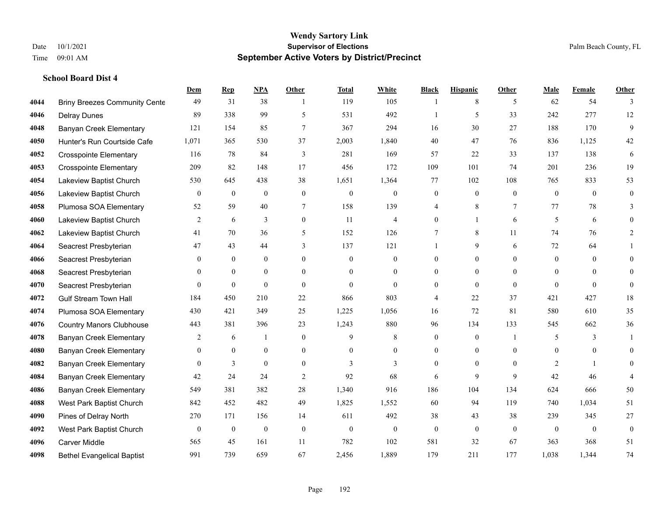|      |                                      | Dem            | <b>Rep</b>       | NPA              | <b>Other</b>   | <b>Total</b> | <b>White</b>     | <b>Black</b>     | <b>Hispanic</b> | <b>Other</b>   | <b>Male</b>    | <b>Female</b> | <b>Other</b>     |
|------|--------------------------------------|----------------|------------------|------------------|----------------|--------------|------------------|------------------|-----------------|----------------|----------------|---------------|------------------|
| 4044 | <b>Briny Breezes Community Cente</b> | 49             | 31               | 38               | $\overline{1}$ | 119          | 105              | -1               | 8               | 5              | 62             | 54            | 3                |
| 4046 | <b>Delray Dunes</b>                  | 89             | 338              | 99               | 5              | 531          | 492              | -1               | 5               | 33             | 242            | 277           | 12               |
| 4048 | <b>Banyan Creek Elementary</b>       | 121            | 154              | 85               | $\tau$         | 367          | 294              | 16               | 30              | 27             | 188            | 170           | 9                |
| 4050 | Hunter's Run Courtside Cafe          | 1,071          | 365              | 530              | 37             | 2,003        | 1,840            | 40               | 47              | 76             | 836            | 1,125         | 42               |
| 4052 | <b>Crosspointe Elementary</b>        | 116            | 78               | 84               | 3              | 281          | 169              | 57               | 22              | 33             | 137            | 138           | 6                |
| 4053 | <b>Crosspointe Elementary</b>        | 209            | 82               | 148              | 17             | 456          | 172              | 109              | 101             | 74             | 201            | 236           | 19               |
| 4054 | Lakeview Baptist Church              | 530            | 645              | 438              | 38             | 1,651        | 1,364            | 77               | 102             | 108            | 765            | 833           | 53               |
| 4056 | Lakeview Baptist Church              | $\overline{0}$ | $\boldsymbol{0}$ | $\overline{0}$   | $\overline{0}$ | $\mathbf{0}$ | $\boldsymbol{0}$ | $\mathbf{0}$     | $\mathbf{0}$    | $\theta$       | $\theta$       | $\theta$      | $\mathbf{0}$     |
| 4058 | Plumosa SOA Elementary               | 52             | 59               | 40               | 7              | 158          | 139              | 4                | $\,8\,$         | $\tau$         | 77             | 78            | 3                |
| 4060 | Lakeview Baptist Church              | 2              | 6                | 3                | $\overline{0}$ | 11           | $\overline{4}$   | $\mathbf{0}$     | $\mathbf{1}$    | 6              | 5              | 6             | $\theta$         |
| 4062 | Lakeview Baptist Church              | 41             | 70               | 36               | 5              | 152          | 126              | 7                | 8               | 11             | 74             | 76            | 2                |
| 4064 | Seacrest Presbyterian                | 47             | 43               | 44               | 3              | 137          | 121              | $\mathbf{1}$     | 9               | 6              | 72             | 64            |                  |
| 4066 | Seacrest Presbyterian                | $\Omega$       | $\overline{0}$   | $\overline{0}$   | $\Omega$       | $\theta$     | $\mathbf{0}$     | $\mathbf{0}$     | $\mathbf{0}$    | $\Omega$       | $\Omega$       | $\theta$      | $\Omega$         |
| 4068 | Seacrest Presbyterian                | 0              | $\mathbf{0}$     | $\overline{0}$   | $\overline{0}$ | $\mathbf{0}$ | $\boldsymbol{0}$ | $\boldsymbol{0}$ | $\mathbf{0}$    | $\overline{0}$ | $\overline{0}$ | $\mathbf{0}$  | $\theta$         |
| 4070 | Seacrest Presbyterian                | $\overline{0}$ | $\mathbf{0}$     | $\mathbf{0}$     | $\theta$       | $\theta$     | $\overline{0}$   | $\mathbf{0}$     | $\mathbf{0}$    | $\theta$       | $\theta$       | $\theta$      | $\mathbf{0}$     |
| 4072 | <b>Gulf Stream Town Hall</b>         | 184            | 450              | 210              | 22             | 866          | 803              | 4                | 22              | 37             | 421            | 427           | 18               |
| 4074 | Plumosa SOA Elementary               | 430            | 421              | 349              | 25             | 1,225        | 1,056            | 16               | 72              | 81             | 580            | 610           | 35               |
| 4076 | <b>Country Manors Clubhouse</b>      | 443            | 381              | 396              | 23             | 1,243        | 880              | 96               | 134             | 133            | 545            | 662           | 36               |
| 4078 | <b>Banyan Creek Elementary</b>       | 2              | 6                | 1                | $\overline{0}$ | 9            | 8                | $\boldsymbol{0}$ | $\mathbf{0}$    | $\overline{1}$ | 5              | 3             | 1                |
| 4080 | <b>Banyan Creek Elementary</b>       | $\theta$       | $\mathbf{0}$     | $\mathbf{0}$     | $\overline{0}$ | $\theta$     | $\overline{0}$   | $\mathbf{0}$     | $\mathbf{0}$    | $\theta$       | $\theta$       | $\theta$      | $\theta$         |
| 4082 | <b>Banyan Creek Elementary</b>       | $\Omega$       | $\overline{3}$   | $\theta$         | $\Omega$       | $\mathbf{3}$ | $\overline{3}$   | $\theta$         | $\theta$        | $\Omega$       | 2              |               | $\Omega$         |
| 4084 | Banyan Creek Elementary              | 42             | 24               | 24               | $\overline{2}$ | 92           | 68               | 6                | 9               | 9              | 42             | 46            |                  |
| 4086 | <b>Banyan Creek Elementary</b>       | 549            | 381              | 382              | 28             | 1,340        | 916              | 186              | 104             | 134            | 624            | 666           | 50               |
| 4088 | West Park Baptist Church             | 842            | 452              | 482              | 49             | 1,825        | 1,552            | 60               | 94              | 119            | 740            | 1,034         | 51               |
| 4090 | Pines of Delray North                | 270            | 171              | 156              | 14             | 611          | 492              | 38               | 43              | 38             | 239            | 345           | $27\,$           |
| 4092 | West Park Baptist Church             | $\mathbf{0}$   | $\boldsymbol{0}$ | $\boldsymbol{0}$ | $\mathbf{0}$   | $\mathbf{0}$ | $\mathbf{0}$     | $\mathbf{0}$     | $\mathbf{0}$    | $\theta$       | $\theta$       | $\theta$      | $\boldsymbol{0}$ |
| 4096 | <b>Carver Middle</b>                 | 565            | 45               | 161              | 11             | 782          | 102              | 581              | 32              | 67             | 363            | 368           | 51               |
| 4098 | <b>Bethel Evangelical Baptist</b>    | 991            | 739              | 659              | 67             | 2,456        | 1,889            | 179              | 211             | 177            | 1,038          | 1,344         | 74               |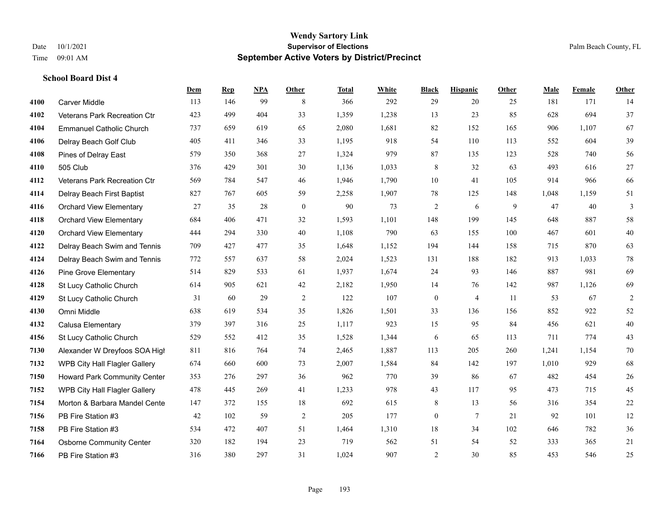**School Board Dist 4**

#### **Wendy Sartory Link** Date 10/1/2021 **Supervisor of Elections** Palm Beach County, FL Time 09:01 AM **September Active Voters by District/Precinct**

**Dem Rep NPA Other Total White Black Hispanic Other Male Female Other**

# Carver Middle 113 146 99 8 366 292 29 20 25 181 171 14 Veterans Park Recreation Ctr 423 499 404 33 1,359 1,238 13 23 85 628 694 37 Emmanuel Catholic Church 737 659 619 65 2,080 1,681 82 152 165 906 1,107 67 Delray Beach Golf Club 405 411 346 33 1,195 918 54 110 113 552 604 39 Pines of Delray East 579 350 368 27 1,324 979 87 135 123 528 740 56 505 Club 376 429 301 30 1,136 1,033 8 32 63 493 616 27 Veterans Park Recreation Ctr 569 784 547 46 1,946 1,790 10 41 105 914 966 66 Delray Beach First Baptist 827 767 605 59 2,258 1,907 78 125 148 1,048 1,159 51 Orchard View Elementary 27 35 28 0 90 73 2 6 9 47 40 3 Orchard View Elementary 684 406 471 32 1,593 1,101 148 199 145 648 887 58 Orchard View Elementary 444 294 330 40 1,108 790 63 155 100 467 601 40 Delray Beach Swim and Tennis 709 427 477 35 1,648 1,152 194 144 158 715 870 63 Delray Beach Swim and Tennis 772 557 637 58 2,024 1,523 131 188 182 913 1,033 78 Pine Grove Elementary 514 829 533 61 1,937 1,674 24 93 146 887 981 69 St Lucy Catholic Church 614 905 621 42 2,182 1,950 14 76 142 987 1,126 69 St Lucy Catholic Church 31 60 29 2 122 107 0 4 11 53 67 2 Omni Middle 638 619 534 35 1,826 1,501 33 136 156 852 922 52 Calusa Elementary 379 397 316 25 1,117 923 15 95 84 456 621 40 St Lucy Catholic Church 529 552 412 35 1,528 1,344 6 65 113 711 774 43 Alexander W Dreyfoos SOA High 811 816 764 74 2,465 1,887 113 205 260 1,241 1,154 70 WPB City Hall Flagler Gallery 674 660 600 73 2,007 1,584 84 142 197 1,010 929 68 Howard Park Community Center 353 276 297 36 962 770 39 86 67 482 454 26 WPB City Hall Flagler Gallery 478 445 269 41 1,233 978 43 117 95 473 715 45 Morton & Barbara Mandel Center 147 372 155 18 692 615 8 13 56 316 354 22 PB Fire Station #3 42 102 59 2 205 177 0 7 21 92 101 12 PB Fire Station #3 534 472 407 51 1,464 1,310 18 34 102 646 782 36 Osborne Community Center 320 182 194 23 719 562 51 54 52 333 365 21

PB Fire Station #3 316 380 297 31 1,024 907 2 30 85 453 546 25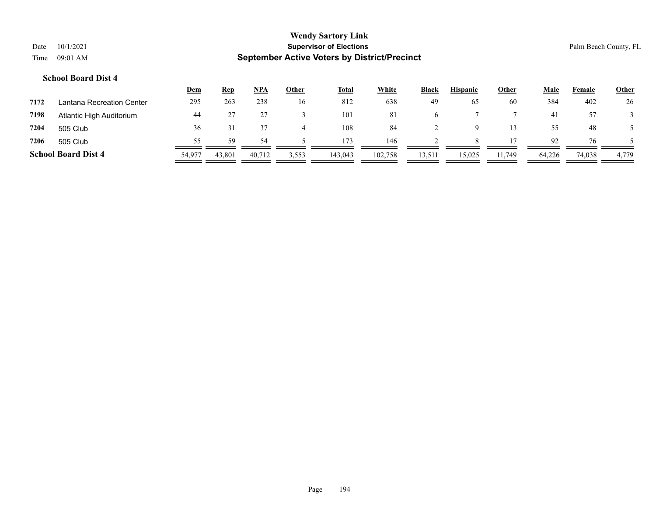|      |                            | <u>Dem</u> | <u>Rep</u> | <b>NPA</b> | Other | <b>Total</b> | White   | <b>Black</b> | <b>Hispanic</b> | Other  | Male   | Female | <b>Other</b> |
|------|----------------------------|------------|------------|------------|-------|--------------|---------|--------------|-----------------|--------|--------|--------|--------------|
| 7172 | Lantana Recreation Center  | 295        | 263        | 238        | 16    | 812          | 638     | 49           | 65              | 60     | 384    | 402    | 26           |
| 7198 | Atlantic High Auditorium   | 44         |            |            |       | 101          | 81      | <sub>0</sub> |                 |        | 4      | 57     |              |
| 7204 | 505 Club                   | 36         |            |            |       | 108          | 84      |              |                 |        | 55     | 48     |              |
| 7206 | 505 Club                   | 55         | 59.        | 54         |       | 173          | 146     |              |                 |        | 92     | 76     |              |
|      | <b>School Board Dist 4</b> | 54,977     | 43,801     | 40,712     | 3,553 | 143,043      | 102,758 | 13,511       | 15,025          | 11.749 | 64,226 | 74,038 | 4,779        |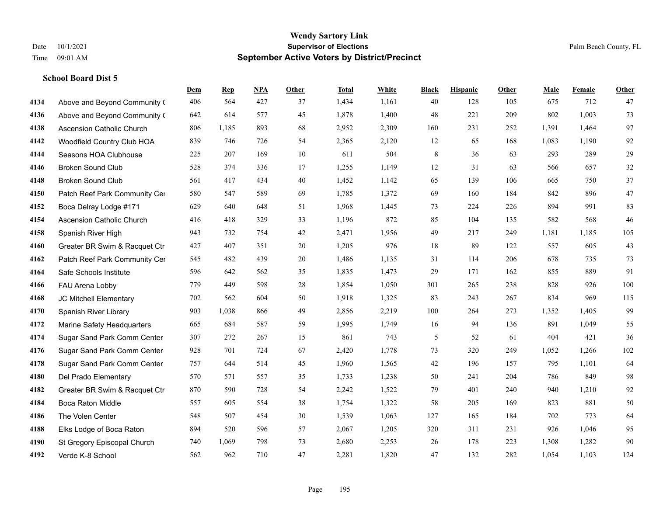|      |                                  | Dem | <b>Rep</b> | NPA | <b>Other</b> | <b>Total</b> | <b>White</b> | <b>Black</b> | <b>Hispanic</b> | <b>Other</b> | <b>Male</b> | <b>Female</b> | <b>Other</b> |
|------|----------------------------------|-----|------------|-----|--------------|--------------|--------------|--------------|-----------------|--------------|-------------|---------------|--------------|
| 4134 | Above and Beyond Community (     | 406 | 564        | 427 | 37           | 1,434        | 1,161        | 40           | 128             | 105          | 675         | 712           | 47           |
| 4136 | Above and Beyond Community (     | 642 | 614        | 577 | 45           | 1,878        | 1,400        | 48           | 221             | 209          | 802         | 1,003         | 73           |
| 4138 | <b>Ascension Catholic Church</b> | 806 | 1,185      | 893 | 68           | 2,952        | 2,309        | 160          | 231             | 252          | 1,391       | 1,464         | 97           |
| 4142 | Woodfield Country Club HOA       | 839 | 746        | 726 | 54           | 2,365        | 2,120        | 12           | 65              | 168          | 1,083       | 1,190         | 92           |
| 4144 | Seasons HOA Clubhouse            | 225 | 207        | 169 | 10           | 611          | 504          | 8            | 36              | 63           | 293         | 289           | $29\,$       |
| 4146 | <b>Broken Sound Club</b>         | 528 | 374        | 336 | 17           | 1,255        | 1,149        | 12           | 31              | 63           | 566         | 657           | $32\,$       |
| 4148 | <b>Broken Sound Club</b>         | 561 | 417        | 434 | 40           | 1,452        | 1,142        | 65           | 139             | 106          | 665         | 750           | 37           |
| 4150 | Patch Reef Park Community Cer    | 580 | 547        | 589 | 69           | 1,785        | 1,372        | 69           | 160             | 184          | 842         | 896           | $47\,$       |
| 4152 | Boca Delray Lodge #171           | 629 | 640        | 648 | 51           | 1,968        | 1,445        | 73           | 224             | 226          | 894         | 991           | 83           |
| 4154 | <b>Ascension Catholic Church</b> | 416 | 418        | 329 | 33           | 1,196        | 872          | 85           | 104             | 135          | 582         | 568           | 46           |
| 4158 | Spanish River High               | 943 | 732        | 754 | 42           | 2,471        | 1,956        | 49           | 217             | 249          | 1,181       | 1,185         | 105          |
| 4160 | Greater BR Swim & Racquet Ctr    | 427 | 407        | 351 | 20           | 1,205        | 976          | 18           | 89              | 122          | 557         | 605           | 43           |
| 4162 | Patch Reef Park Community Cer    | 545 | 482        | 439 | 20           | 1,486        | 1,135        | 31           | 114             | 206          | 678         | 735           | 73           |
| 4164 | Safe Schools Institute           | 596 | 642        | 562 | 35           | 1,835        | 1,473        | 29           | 171             | 162          | 855         | 889           | 91           |
| 4166 | FAU Arena Lobby                  | 779 | 449        | 598 | 28           | 1,854        | 1,050        | 301          | 265             | 238          | 828         | 926           | 100          |
| 4168 | JC Mitchell Elementary           | 702 | 562        | 604 | 50           | 1,918        | 1,325        | 83           | 243             | 267          | 834         | 969           | 115          |
| 4170 | Spanish River Library            | 903 | 1,038      | 866 | 49           | 2,856        | 2,219        | 100          | 264             | 273          | 1,352       | 1,405         | 99           |
| 4172 | Marine Safety Headquarters       | 665 | 684        | 587 | 59           | 1,995        | 1,749        | 16           | 94              | 136          | 891         | 1,049         | 55           |
| 4174 | Sugar Sand Park Comm Center      | 307 | 272        | 267 | 15           | 861          | 743          | 5            | 52              | 61           | 404         | 421           | 36           |
| 4176 | Sugar Sand Park Comm Center      | 928 | 701        | 724 | 67           | 2,420        | 1,778        | 73           | 320             | 249          | 1,052       | 1,266         | 102          |
| 4178 | Sugar Sand Park Comm Center      | 757 | 644        | 514 | 45           | 1,960        | 1,565        | 42           | 196             | 157          | 795         | 1,101         | 64           |
| 4180 | Del Prado Elementary             | 570 | 571        | 557 | 35           | 1,733        | 1,238        | 50           | 241             | 204          | 786         | 849           | 98           |
| 4182 | Greater BR Swim & Racquet Ctr    | 870 | 590        | 728 | 54           | 2,242        | 1,522        | 79           | 401             | 240          | 940         | 1,210         | 92           |
| 4184 | <b>Boca Raton Middle</b>         | 557 | 605        | 554 | 38           | 1,754        | 1,322        | 58           | 205             | 169          | 823         | 881           | 50           |
| 4186 | The Volen Center                 | 548 | 507        | 454 | 30           | 1,539        | 1,063        | 127          | 165             | 184          | 702         | 773           | 64           |
| 4188 | Elks Lodge of Boca Raton         | 894 | 520        | 596 | 57           | 2,067        | 1,205        | 320          | 311             | 231          | 926         | 1,046         | 95           |
| 4190 | St Gregory Episcopal Church      | 740 | 1,069      | 798 | 73           | 2,680        | 2,253        | 26           | 178             | 223          | 1,308       | 1,282         | 90           |
| 4192 | Verde K-8 School                 | 562 | 962        | 710 | 47           | 2,281        | 1,820        | 47           | 132             | 282          | 1,054       | 1,103         | 124          |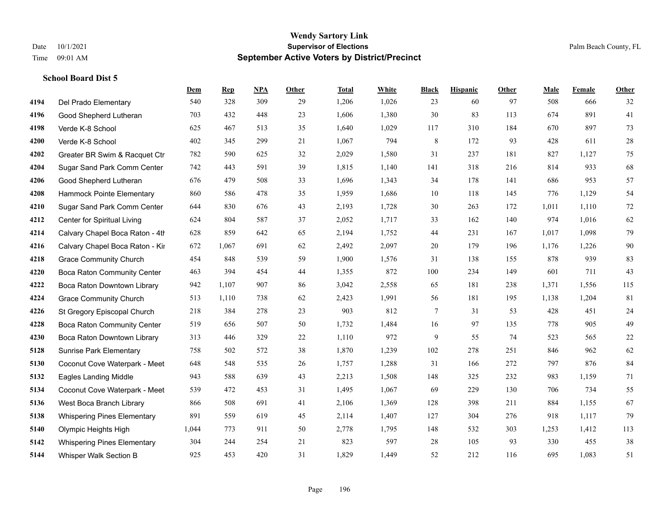|      |                                    | Dem   | <b>Rep</b> | NPA | <b>Other</b> | <b>Total</b> | <b>White</b> | <b>Black</b> | <b>Hispanic</b> | <b>Other</b> | <b>Male</b> | <b>Female</b> | <b>Other</b> |
|------|------------------------------------|-------|------------|-----|--------------|--------------|--------------|--------------|-----------------|--------------|-------------|---------------|--------------|
| 4194 | Del Prado Elementary               | 540   | 328        | 309 | 29           | 1,206        | 1,026        | 23           | 60              | 97           | 508         | 666           | 32           |
| 4196 | Good Shepherd Lutheran             | 703   | 432        | 448 | 23           | 1,606        | 1,380        | 30           | 83              | 113          | 674         | 891           | 41           |
| 4198 | Verde K-8 School                   | 625   | 467        | 513 | 35           | 1,640        | 1,029        | 117          | 310             | 184          | 670         | 897           | 73           |
| 4200 | Verde K-8 School                   | 402   | 345        | 299 | 21           | 1,067        | 794          | $\,$ 8 $\,$  | 172             | 93           | 428         | 611           | $28\,$       |
| 4202 | Greater BR Swim & Racquet Ctr      | 782   | 590        | 625 | 32           | 2,029        | 1,580        | 31           | 237             | 181          | 827         | 1.127         | 75           |
| 4204 | Sugar Sand Park Comm Center        | 742   | 443        | 591 | 39           | 1,815        | 1,140        | 141          | 318             | 216          | 814         | 933           | 68           |
| 4206 | Good Shepherd Lutheran             | 676   | 479        | 508 | 33           | 1,696        | 1,343        | 34           | 178             | 141          | 686         | 953           | 57           |
| 4208 | Hammock Pointe Elementary          | 860   | 586        | 478 | 35           | 1,959        | 1,686        | 10           | 118             | 145          | 776         | 1,129         | 54           |
| 4210 | Sugar Sand Park Comm Center        | 644   | 830        | 676 | 43           | 2,193        | 1,728        | 30           | 263             | 172          | 1,011       | 1,110         | $72\,$       |
| 4212 | Center for Spiritual Living        | 624   | 804        | 587 | 37           | 2,052        | 1,717        | 33           | 162             | 140          | 974         | 1,016         | 62           |
| 4214 | Calvary Chapel Boca Raton - 4th    | 628   | 859        | 642 | 65           | 2,194        | 1,752        | 44           | 231             | 167          | 1,017       | 1,098         | 79           |
| 4216 | Calvary Chapel Boca Raton - Kir    | 672   | 1,067      | 691 | 62           | 2,492        | 2,097        | 20           | 179             | 196          | 1,176       | 1,226         | $90\,$       |
| 4218 | <b>Grace Community Church</b>      | 454   | 848        | 539 | 59           | 1,900        | 1,576        | 31           | 138             | 155          | 878         | 939           | 83           |
| 4220 | <b>Boca Raton Community Center</b> | 463   | 394        | 454 | 44           | 1,355        | 872          | 100          | 234             | 149          | 601         | 711           | 43           |
| 4222 | Boca Raton Downtown Library        | 942   | 1,107      | 907 | 86           | 3,042        | 2,558        | 65           | 181             | 238          | 1,371       | 1,556         | 115          |
| 4224 | <b>Grace Community Church</b>      | 513   | 1,110      | 738 | 62           | 2,423        | 1,991        | 56           | 181             | 195          | 1,138       | 1,204         | 81           |
| 4226 | St Gregory Episcopal Church        | 218   | 384        | 278 | 23           | 903          | 812          | $\tau$       | 31              | 53           | 428         | 451           | 24           |
| 4228 | Boca Raton Community Center        | 519   | 656        | 507 | 50           | 1,732        | 1,484        | 16           | 97              | 135          | 778         | 905           | 49           |
| 4230 | Boca Raton Downtown Library        | 313   | 446        | 329 | 22           | 1,110        | 972          | 9            | 55              | 74           | 523         | 565           | $22\,$       |
| 5128 | <b>Sunrise Park Elementary</b>     | 758   | 502        | 572 | 38           | 1,870        | 1,239        | 102          | 278             | 251          | 846         | 962           | 62           |
| 5130 | Coconut Cove Waterpark - Meet      | 648   | 548        | 535 | 26           | 1,757        | 1,288        | 31           | 166             | 272          | 797         | 876           | 84           |
| 5132 | <b>Eagles Landing Middle</b>       | 943   | 588        | 639 | 43           | 2,213        | 1,508        | 148          | 325             | 232          | 983         | 1,159         | 71           |
| 5134 | Coconut Cove Waterpark - Meet      | 539   | 472        | 453 | 31           | 1,495        | 1,067        | 69           | 229             | 130          | 706         | 734           | 55           |
| 5136 | West Boca Branch Library           | 866   | 508        | 691 | 41           | 2,106        | 1,369        | 128          | 398             | 211          | 884         | 1,155         | 67           |
| 5138 | <b>Whispering Pines Elementary</b> | 891   | 559        | 619 | 45           | 2,114        | 1,407        | 127          | 304             | 276          | 918         | 1,117         | 79           |
| 5140 | Olympic Heights High               | 1,044 | 773        | 911 | 50           | 2,778        | 1,795        | 148          | 532             | 303          | 1,253       | 1,412         | 113          |
| 5142 | <b>Whispering Pines Elementary</b> | 304   | 244        | 254 | 21           | 823          | 597          | 28           | 105             | 93           | 330         | 455           | $38\,$       |
| 5144 | Whisper Walk Section B             | 925   | 453        | 420 | 31           | 1,829        | 1,449        | 52           | 212             | 116          | 695         | 1,083         | 51           |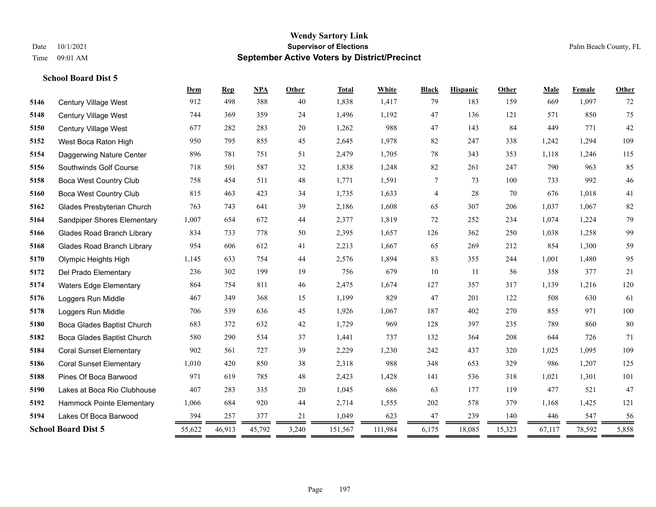|      |                                   | Dem    | <b>Rep</b> | <b>NPA</b> | Other | <b>Total</b> | White   | <b>Black</b> | <b>Hispanic</b> | <b>Other</b> | Male   | Female | Other |
|------|-----------------------------------|--------|------------|------------|-------|--------------|---------|--------------|-----------------|--------------|--------|--------|-------|
| 5146 | <b>Century Village West</b>       | 912    | 498        | 388        | 40    | 1,838        | 1,417   | 79           | 183             | 159          | 669    | 1,097  | 72    |
| 5148 | Century Village West              | 744    | 369        | 359        | 24    | 1,496        | 1,192   | 47           | 136             | 121          | 571    | 850    | 75    |
| 5150 | Century Village West              | 677    | 282        | 283        | 20    | 1,262        | 988     | 47           | 143             | 84           | 449    | 771    | 42    |
| 5152 | West Boca Raton High              | 950    | 795        | 855        | 45    | 2,645        | 1,978   | 82           | 247             | 338          | 1,242  | 1,294  | 109   |
| 5154 | Daggerwing Nature Center          | 896    | 781        | 751        | 51    | 2,479        | 1,705   | $78\,$       | 343             | 353          | 1,118  | 1,246  | 115   |
| 5156 | Southwinds Golf Course            | 718    | 501        | 587        | 32    | 1,838        | 1,248   | 82           | 261             | 247          | 790    | 963    | 85    |
| 5158 | <b>Boca West Country Club</b>     | 758    | 454        | 511        | 48    | 1,771        | 1,591   | $\tau$       | 73              | 100          | 733    | 992    | 46    |
| 5160 | <b>Boca West Country Club</b>     | 815    | 463        | 423        | 34    | 1,735        | 1,633   | 4            | 28              | 70           | 676    | 1,018  | 41    |
| 5162 | Glades Presbyterian Church        | 763    | 743        | 641        | 39    | 2,186        | 1,608   | 65           | 307             | 206          | 1,037  | 1,067  | 82    |
| 5164 | Sandpiper Shores Elementary       | 1,007  | 654        | 672        | 44    | 2,377        | 1,819   | 72           | 252             | 234          | 1,074  | 1,224  | 79    |
| 5166 | <b>Glades Road Branch Library</b> | 834    | 733        | 778        | 50    | 2,395        | 1,657   | 126          | 362             | 250          | 1,038  | 1,258  | 99    |
| 5168 | <b>Glades Road Branch Library</b> | 954    | 606        | 612        | 41    | 2,213        | 1,667   | 65           | 269             | 212          | 854    | 1,300  | 59    |
| 5170 | Olympic Heights High              | 1,145  | 633        | 754        | 44    | 2,576        | 1,894   | 83           | 355             | 244          | 1,001  | 1,480  | 95    |
| 5172 | Del Prado Elementary              | 236    | 302        | 199        | 19    | 756          | 679     | 10           | 11              | 56           | 358    | 377    | 21    |
| 5174 | <b>Waters Edge Elementary</b>     | 864    | 754        | 811        | 46    | 2,475        | 1,674   | 127          | 357             | 317          | 1,139  | 1,216  | 120   |
| 5176 | Loggers Run Middle                | 467    | 349        | 368        | 15    | 1,199        | 829     | 47           | 201             | 122          | 508    | 630    | 61    |
| 5178 | Loggers Run Middle                | 706    | 539        | 636        | 45    | 1,926        | 1,067   | 187          | 402             | 270          | 855    | 971    | 100   |
| 5180 | Boca Glades Baptist Church        | 683    | 372        | 632        | 42    | 1,729        | 969     | 128          | 397             | 235          | 789    | 860    | 80    |
| 5182 | Boca Glades Baptist Church        | 580    | 290        | 534        | 37    | 1,441        | 737     | 132          | 364             | 208          | 644    | 726    | 71    |
| 5184 | <b>Coral Sunset Elementary</b>    | 902    | 561        | 727        | 39    | 2,229        | 1,230   | 242          | 437             | 320          | 1,025  | 1,095  | 109   |
| 5186 | <b>Coral Sunset Elementary</b>    | 1,010  | 420        | 850        | 38    | 2,318        | 988     | 348          | 653             | 329          | 986    | 1,207  | 125   |
| 5188 | Pines Of Boca Barwood             | 971    | 619        | 785        | 48    | 2,423        | 1,428   | 141          | 536             | 318          | 1,021  | 1,301  | 101   |
| 5190 | Lakes at Boca Rio Clubhouse       | 407    | 283        | 335        | 20    | 1,045        | 686     | 63           | 177             | 119          | 477    | 521    | 47    |
| 5192 | Hammock Pointe Elementary         | 1,066  | 684        | 920        | 44    | 2,714        | 1,555   | 202          | 578             | 379          | 1,168  | 1,425  | 121   |
| 5194 | Lakes Of Boca Barwood             | 394    | 257        | 377        | 21    | 1,049        | 623     | 47           | 239             | 140          | 446    | 547    | 56    |
|      | <b>School Board Dist 5</b>        | 55,622 | 46,913     | 45,792     | 3,240 | 151,567      | 111,984 | 6,175        | 18,085          | 15,323       | 67,117 | 78,592 | 5,858 |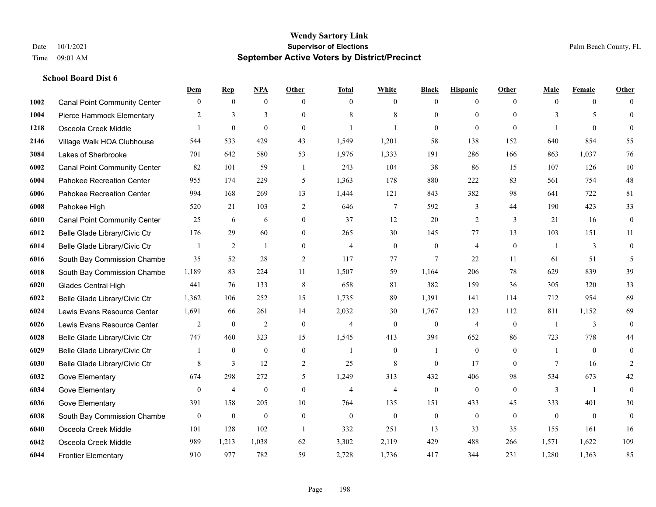|      |                                     | Dem              | <b>Rep</b>       | NPA              | <b>Other</b>     | <b>Total</b>   | <b>White</b>     | <b>Black</b>     | <b>Hispanic</b> | <b>Other</b>   | <b>Male</b>    | <b>Female</b>    | <b>Other</b>     |
|------|-------------------------------------|------------------|------------------|------------------|------------------|----------------|------------------|------------------|-----------------|----------------|----------------|------------------|------------------|
| 1002 | <b>Canal Point Community Center</b> | $\mathbf{0}$     | $\mathbf{0}$     | $\mathbf{0}$     | $\theta$         | $\theta$       | $\overline{0}$   | $\mathbf{0}$     | $\overline{0}$  | $\theta$       | $\theta$       | $\overline{0}$   | $\Omega$         |
| 1004 | Pierce Hammock Elementary           | 2                | 3                | 3                | $\Omega$         | 8              | 8                | $\mathbf{0}$     | $\mathbf{0}$    | $\theta$       | 3              | 5                | $\mathbf{0}$     |
| 1218 | Osceola Creek Middle                | $\mathbf{1}$     | $\mathbf{0}$     | $\theta$         | $\Omega$         |                | $\mathbf{1}$     | $\theta$         | $\theta$        | $\Omega$       | $\mathbf{1}$   | $\Omega$         | $\theta$         |
| 2146 | Village Walk HOA Clubhouse          | 544              | 533              | 429              | 43               | 1,549          | 1,201            | 58               | 138             | 152            | 640            | 854              | 55               |
| 3084 | Lakes of Sherbrooke                 | 701              | 642              | 580              | 53               | 1,976          | 1,333            | 191              | 286             | 166            | 863            | 1.037            | 76               |
| 6002 | <b>Canal Point Community Center</b> | 82               | 101              | 59               | -1               | 243            | 104              | 38               | 86              | 15             | 107            | 126              | 10               |
| 6004 | Pahokee Recreation Center           | 955              | 174              | 229              | 5                | 1,363          | 178              | 880              | 222             | 83             | 561            | 754              | 48               |
| 6006 | Pahokee Recreation Center           | 994              | 168              | 269              | 13               | 1,444          | 121              | 843              | 382             | 98             | 641            | 722              | 81               |
| 6008 | Pahokee High                        | 520              | 21               | 103              | $\overline{2}$   | 646            | $\tau$           | 592              | 3               | 44             | 190            | 423              | 33               |
| 6010 | <b>Canal Point Community Center</b> | 25               | 6                | 6                | $\overline{0}$   | 37             | 12               | 20               | $\overline{2}$  | 3              | 21             | 16               | $\boldsymbol{0}$ |
| 6012 | Belle Glade Library/Civic Ctr       | 176              | 29               | 60               | $\overline{0}$   | 265            | 30               | 145              | 77              | 13             | 103            | 151              | 11               |
| 6014 | Belle Glade Library/Civic Ctr       |                  | $\overline{2}$   | 1                | $\overline{0}$   | $\overline{4}$ | $\overline{0}$   | $\boldsymbol{0}$ | $\overline{4}$  | $\mathbf{0}$   |                | 3                | $\mathbf{0}$     |
| 6016 | South Bay Commission Chambe         | 35               | 52               | 28               | $\overline{2}$   | 117            | 77               | $\overline{7}$   | 22              | 11             | 61             | 51               | 5                |
| 6018 | South Bay Commission Chambe         | 1,189            | 83               | 224              | 11               | 1,507          | 59               | 1,164            | 206             | 78             | 629            | 839              | 39               |
| 6020 | Glades Central High                 | 441              | 76               | 133              | 8                | 658            | 81               | 382              | 159             | 36             | 305            | 320              | 33               |
| 6022 | Belle Glade Library/Civic Ctr       | 1,362            | 106              | 252              | 15               | 1,735          | 89               | 1,391            | 141             | 114            | 712            | 954              | 69               |
| 6024 | Lewis Evans Resource Center         | 1,691            | 66               | 261              | 14               | 2,032          | 30               | 1,767            | 123             | 112            | 811            | 1,152            | 69               |
| 6026 | Lewis Evans Resource Center         | 2                | $\boldsymbol{0}$ | $\overline{2}$   | $\mathbf{0}$     | $\overline{4}$ | $\mathbf{0}$     | $\mathbf{0}$     | $\overline{4}$  | $\overline{0}$ |                | 3                | $\mathbf{0}$     |
| 6028 | Belle Glade Library/Civic Ctr       | 747              | 460              | 323              | 15               | 1,545          | 413              | 394              | 652             | 86             | 723            | 778              | 44               |
| 6029 | Belle Glade Library/Civic Ctr       |                  | $\mathbf{0}$     | $\mathbf{0}$     | $\mathbf{0}$     | $\mathbf{1}$   | $\overline{0}$   | $\mathbf{1}$     | $\mathbf{0}$    | $\theta$       | -1             | $\theta$         | $\mathbf{0}$     |
| 6030 | Belle Glade Library/Civic Ctr       | 8                | 3                | 12               | 2                | 25             | 8                | $\theta$         | 17              | $\Omega$       | $\tau$         | 16               | $\overline{2}$   |
| 6032 | Gove Elementary                     | 674              | 298              | 272              | 5                | 1,249          | 313              | 432              | 406             | 98             | 534            | 673              | 42               |
| 6034 | Gove Elementary                     | $\mathbf{0}$     | $\overline{4}$   | $\mathbf{0}$     | $\mathbf{0}$     | $\overline{4}$ | $\overline{4}$   | $\mathbf{0}$     | $\mathbf{0}$    | $\theta$       | 3              | $\overline{1}$   | $\mathbf{0}$     |
| 6036 | Gove Elementary                     | 391              | 158              | 205              | 10               | 764            | 135              | 151              | 433             | 45             | 333            | 401              | 30               |
| 6038 | South Bay Commission Chambe         | $\boldsymbol{0}$ | $\boldsymbol{0}$ | $\boldsymbol{0}$ | $\boldsymbol{0}$ | $\mathbf{0}$   | $\boldsymbol{0}$ | $\boldsymbol{0}$ | $\mathbf{0}$    | $\mathbf{0}$   | $\overline{0}$ | $\boldsymbol{0}$ | $\mathbf{0}$     |
| 6040 | Osceola Creek Middle                | 101              | 128              | 102              | $\overline{1}$   | 332            | 251              | 13               | 33              | 35             | 155            | 161              | 16               |
| 6042 | Osceola Creek Middle                | 989              | 1,213            | 1,038            | 62               | 3,302          | 2,119            | 429              | 488             | 266            | 1,571          | 1,622            | 109              |
| 6044 | <b>Frontier Elementary</b>          | 910              | 977              | 782              | 59               | 2,728          | 1,736            | 417              | 344             | 231            | 1,280          | 1,363            | 85               |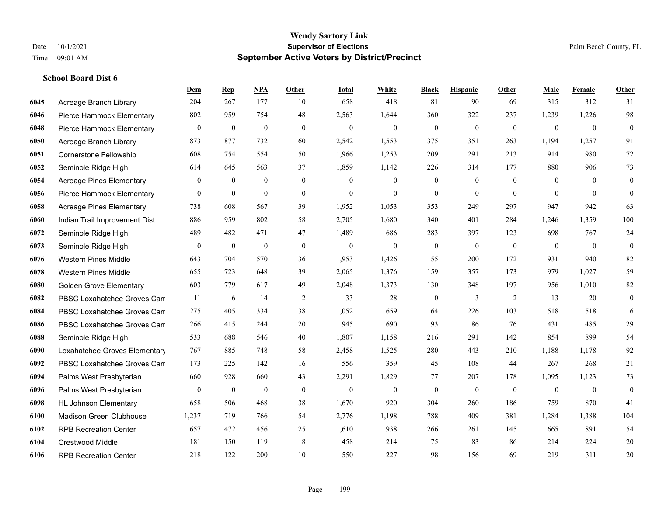**School Board Dist 6**

#### **Wendy Sartory Link** Date 10/1/2021 **Supervisor of Elections** Palm Beach County, FL Time 09:01 AM **September Active Voters by District/Precinct**

Acreage Branch Library 204 267 177 10 658 418 81 90 69 315 312 31

**Dem Rep NPA Other Total White Black Hispanic Other Male Female Other**

# Pierce Hammock Elementary 802 959 754 48 2,563 1,644 360 322 237 1,239 1,226 98 Pierce Hammock Elementary 0 0 0 0 0 0 0 0 0 0 0 0 Acreage Branch Library 873 877 732 60 2,542 1,553 375 351 263 1,194 1,257 91 Cornerstone Fellowship 608 754 554 50 1,966 1,253 209 291 213 914 980 72 Seminole Ridge High 614 645 563 37 1,859 1,142 226 314 177 880 906 73 Acreage Pines Elementary 0 0 0 0 0 0 0 0 0 0 0 0 Pierce Hammock Elementary 0 0 0 0 0 0 0 0 0 0 0 0 Acreage Pines Elementary 738 608 567 39 1,952 1,053 353 249 297 947 942 63 Indian Trail Improvement Dist 886 959 802 58 2,705 1,680 340 401 284 1,246 1,359 100 Seminole Ridge High 489 482 471 47 1,489 686 283 397 123 698 767 24 Seminole Ridge High 0 0 0 0 0 0 0 0 0 0 0 0 Western Pines Middle 643 704 570 36 1,953 1,426 155 200 172 931 940 82 Western Pines Middle 655 723 648 39 2,065 1,376 159 357 173 979 1,027 59 Golden Grove Elementary 603 779 617 49 2,048 1,373 130 348 197 956 1,010 82 **6082 PBSC Loxahatchee Groves Can** 11 6 14 2 33 28 0 3 2 13 20 0 PBSC Loxahatchee Groves Campus 275 405 334 38 1,052 659 64 226 103 518 518 16 PBSC Loxahatchee Groves Campus 266 415 244 20 945 690 93 86 76 431 485 29 Seminole Ridge High 533 688 546 40 1,807 1,158 216 291 142 854 899 54 Loxahatchee Groves Elementary 767 885 748 58 2,458 1,525 280 443 210 1,188 1,178 92 PBSC Loxahatchee Groves Campus 173 225 142 16 556 359 45 108 44 267 268 21

| UUJ4 | FBSC LOXanatchee Gloves Call   | 1/2  | دعد | 14Z | 1 V | υU       | <b>JJJ</b> | 拂                  | 1 V O              | 44. | 201   | 200   | ∠⊥             |
|------|--------------------------------|------|-----|-----|-----|----------|------------|--------------------|--------------------|-----|-------|-------|----------------|
| 6094 | Palms West Presbyterian        | 660  | 928 | 660 | 43  | 2,291    | .829       |                    | 207                | 178 | 1,095 | 1,123 | 73             |
| 6096 | Palms West Presbyterian        |      |     |     |     | $\theta$ |            | $\left( 0 \right)$ | $\left( 0 \right)$ | U   |       |       | $\overline{0}$ |
| 6098 | <b>HL Johnson Elementary</b>   | 658  | 506 | 468 | 38  | 1,670    | 920        | 304                | 260                | 186 | 759   | 870   | 41             |
| 6100 | <b>Madison Green Clubhouse</b> | .237 | 719 | 766 | 54  | 2.776    | ,198       | 788                | 409                | 381 | 1,284 | 1,388 | 104            |
| 6102 | <b>RPB Recreation Center</b>   | 657  | 472 | 456 | 25  | 1,610    | 938        | 266                | 261                | 145 | 665   | 891   | 54             |
| 6104 | Crestwood Middle               | 181  | 150 | 119 |     | 458      | 214        | 75                 | 83                 | -86 | 214   | 224   | 20             |
| 6106 | <b>RPB Recreation Center</b>   | 218  | 122 | 200 | 10  | 550      | 227        | 98                 | 156                | 69  | 219   | 311   | 20             |
|      |                                |      |     |     |     |          |            |                    |                    |     |       |       |                |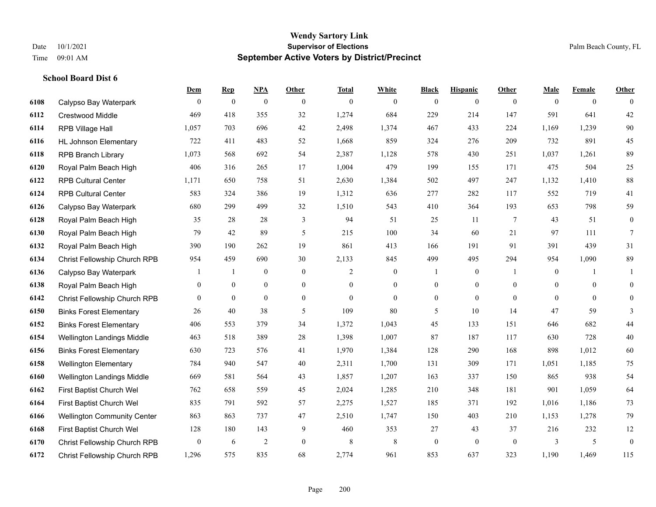|      |                                    | <b>Dem</b>       | <b>Rep</b>     | NPA              | <b>Other</b>     | <b>Total</b> | <b>White</b>     | <b>Black</b>     | <b>Hispanic</b>  | <b>Other</b> | <b>Male</b>    | <b>Female</b>  | <b>Other</b>     |
|------|------------------------------------|------------------|----------------|------------------|------------------|--------------|------------------|------------------|------------------|--------------|----------------|----------------|------------------|
| 6108 | Calypso Bay Waterpark              | $\overline{0}$   | $\mathbf{0}$   | $\boldsymbol{0}$ | $\overline{0}$   | $\theta$     | $\overline{0}$   | $\mathbf{0}$     | $\boldsymbol{0}$ | $\theta$     | $\mathbf{0}$   | $\overline{0}$ | $\theta$         |
| 6112 | <b>Crestwood Middle</b>            | 469              | 418            | 355              | 32               | 1,274        | 684              | 229              | 214              | 147          | 591            | 641            | $42\,$           |
| 6114 | RPB Village Hall                   | 1,057            | 703            | 696              | 42               | 2,498        | 1,374            | 467              | 433              | 224          | 1,169          | 1,239          | $90\,$           |
| 6116 | <b>HL Johnson Elementary</b>       | 722              | 411            | 483              | 52               | 1,668        | 859              | 324              | 276              | 209          | 732            | 891            | 45               |
| 6118 | <b>RPB Branch Library</b>          | 1,073            | 568            | 692              | 54               | 2,387        | 1,128            | 578              | 430              | 251          | 1,037          | 1,261          | 89               |
| 6120 | Royal Palm Beach High              | 406              | 316            | 265              | 17               | 1,004        | 479              | 199              | 155              | 171          | 475            | 504            | $25\,$           |
| 6122 | <b>RPB Cultural Center</b>         | 1,171            | 650            | 758              | 51               | 2,630        | 1,384            | 502              | 497              | 247          | 1,132          | 1,410          | $88\,$           |
| 6124 | <b>RPB Cultural Center</b>         | 583              | 324            | 386              | 19               | 1,312        | 636              | 277              | 282              | 117          | 552            | 719            | 41               |
| 6126 | Calypso Bay Waterpark              | 680              | 299            | 499              | 32               | 1,510        | 543              | 410              | 364              | 193          | 653            | 798            | 59               |
| 6128 | Royal Palm Beach High              | 35               | 28             | 28               | 3                | 94           | 51               | 25               | 11               | 7            | 43             | 51             | $\boldsymbol{0}$ |
| 6130 | Royal Palm Beach High              | 79               | 42             | 89               | 5                | 215          | 100              | 34               | 60               | 21           | 97             | 111            | $7\phantom{.0}$  |
| 6132 | Royal Palm Beach High              | 390              | 190            | 262              | 19               | 861          | 413              | 166              | 191              | 91           | 391            | 439            | 31               |
| 6134 | Christ Fellowship Church RPB       | 954              | 459            | 690              | 30               | 2,133        | 845              | 499              | 495              | 294          | 954            | 1,090          | 89               |
| 6136 | Calypso Bay Waterpark              |                  | 1              | $\bf{0}$         | $\boldsymbol{0}$ | 2            | $\boldsymbol{0}$ |                  | $\boldsymbol{0}$ | -1           | $\mathbf{0}$   | 1              | 1                |
| 6138 | Royal Palm Beach High              | 0                | $\overline{0}$ | $\mathbf{0}$     | $\overline{0}$   | $\theta$     | $\overline{0}$   | $\boldsymbol{0}$ | $\overline{0}$   | $\theta$     | $\overline{0}$ | $\mathbf{0}$   | $\mathbf{0}$     |
| 6142 | Christ Fellowship Church RPB       | $\overline{0}$   | $\mathbf{0}$   | $\mathbf{0}$     | $\overline{0}$   | $\theta$     | $\overline{0}$   | $\mathbf{0}$     | $\mathbf{0}$     | $\theta$     | $\theta$       | $\theta$       | $\overline{0}$   |
| 6150 | <b>Binks Forest Elementary</b>     | 26               | 40             | 38               | 5                | 109          | 80               | 5                | 10               | 14           | 47             | 59             | 3                |
| 6152 | <b>Binks Forest Elementary</b>     | 406              | 553            | 379              | 34               | 1,372        | 1,043            | 45               | 133              | 151          | 646            | 682            | 44               |
| 6154 | Wellington Landings Middle         | 463              | 518            | 389              | 28               | 1,398        | 1,007            | 87               | 187              | 117          | 630            | 728            | 40               |
| 6156 | <b>Binks Forest Elementary</b>     | 630              | 723            | 576              | 41               | 1,970        | 1,384            | 128              | 290              | 168          | 898            | 1,012          | 60               |
| 6158 | <b>Wellington Elementary</b>       | 784              | 940            | 547              | 40               | 2,311        | 1,700            | 131              | 309              | 171          | 1,051          | 1,185          | 75               |
| 6160 | Wellington Landings Middle         | 669              | 581            | 564              | 43               | 1,857        | 1,207            | 163              | 337              | 150          | 865            | 938            | 54               |
| 6162 | First Baptist Church Wel           | 762              | 658            | 559              | 45               | 2,024        | 1,285            | 210              | 348              | 181          | 901            | 1,059          | 64               |
| 6164 | First Baptist Church Wel           | 835              | 791            | 592              | 57               | 2,275        | 1,527            | 185              | 371              | 192          | 1,016          | 1,186          | 73               |
| 6166 | <b>Wellington Community Center</b> | 863              | 863            | 737              | 47               | 2,510        | 1,747            | 150              | 403              | 210          | 1,153          | 1,278          | 79               |
| 6168 | First Baptist Church Wel           | 128              | 180            | 143              | 9                | 460          | 353              | 27               | 43               | 37           | 216            | 232            | 12               |
| 6170 | Christ Fellowship Church RPB       | $\boldsymbol{0}$ | 6              | $\overline{2}$   | $\overline{0}$   | 8            | $\,$ 8 $\,$      | $\boldsymbol{0}$ | $\mathbf{0}$     | $\mathbf{0}$ | 3              | 5              | $\boldsymbol{0}$ |
| 6172 | Christ Fellowship Church RPB       | 1,296            | 575            | 835              | 68               | 2,774        | 961              | 853              | 637              | 323          | 1,190          | 1,469          | 115              |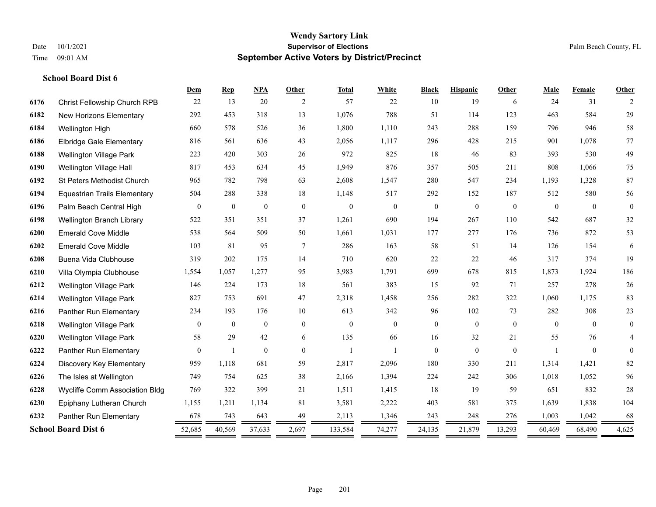|      |                                     | Dem          | <b>Rep</b>       | <b>NPA</b>       | Other          | <b>Total</b> | White          | <b>Black</b>     | <b>Hispanic</b> | Other        | Male     | Female       | Other          |
|------|-------------------------------------|--------------|------------------|------------------|----------------|--------------|----------------|------------------|-----------------|--------------|----------|--------------|----------------|
| 6176 | Christ Fellowship Church RPB        | 22           | 13               | 20               | 2              | 57           | 22             | 10               | 19              | 6            | 24       | 31           | 2              |
| 6182 | New Horizons Elementary             | 292          | 453              | 318              | 13             | 1,076        | 788            | 51               | 114             | 123          | 463      | 584          | 29             |
| 6184 | Wellington High                     | 660          | 578              | 526              | 36             | 1,800        | 1,110          | 243              | 288             | 159          | 796      | 946          | 58             |
| 6186 | <b>Elbridge Gale Elementary</b>     | 816          | 561              | 636              | 43             | 2,056        | 1,117          | 296              | 428             | 215          | 901      | 1.078        | 77             |
| 6188 | <b>Wellington Village Park</b>      | 223          | 420              | 303              | 26             | 972          | 825            | 18               | 46              | 83           | 393      | 530          | 49             |
| 6190 | Wellington Village Hall             | 817          | 453              | 634              | 45             | 1,949        | 876            | 357              | 505             | 211          | 808      | 1,066        | 75             |
| 6192 | St Peters Methodist Church          | 965          | 782              | 798              | 63             | 2,608        | 1,547          | 280              | 547             | 234          | 1,193    | 1,328        | 87             |
| 6194 | <b>Equestrian Trails Elementary</b> | 504          | 288              | 338              | 18             | 1,148        | 517            | 292              | 152             | 187          | 512      | 580          | 56             |
| 6196 | Palm Beach Central High             | $\mathbf{0}$ | $\boldsymbol{0}$ | $\boldsymbol{0}$ | $\mathbf{0}$   | $\mathbf{0}$ | $\mathbf{0}$   | $\boldsymbol{0}$ | $\mathbf{0}$    | $\mathbf{0}$ | $\theta$ | $\theta$     | $\mathbf{0}$   |
| 6198 | Wellington Branch Library           | 522          | 351              | 351              | 37             | 1,261        | 690            | 194              | 267             | 110          | 542      | 687          | 32             |
| 6200 | <b>Emerald Cove Middle</b>          | 538          | 564              | 509              | 50             | 1,661        | 1,031          | 177              | 277             | 176          | 736      | 872          | 53             |
| 6202 | <b>Emerald Cove Middle</b>          | 103          | 81               | 95               | 7              | 286          | 163            | 58               | 51              | 14           | 126      | 154          | 6              |
| 6208 | Buena Vida Clubhouse                | 319          | 202              | 175              | 14             | 710          | 620            | 22               | 22              | 46           | 317      | 374          | 19             |
| 6210 | Villa Olympia Clubhouse             | 1,554        | 1,057            | 1,277            | 95             | 3,983        | 1,791          | 699              | 678             | 815          | 1,873    | 1,924        | 186            |
| 6212 | Wellington Village Park             | 146          | 224              | 173              | 18             | 561          | 383            | 15               | 92              | 71           | 257      | 278          | $26\,$         |
| 6214 | Wellington Village Park             | 827          | 753              | 691              | 47             | 2,318        | 1,458          | 256              | 282             | 322          | 1,060    | 1,175        | 83             |
| 6216 | Panther Run Elementary              | 234          | 193              | 176              | 10             | 613          | 342            | 96               | 102             | 73           | 282      | 308          | 23             |
| 6218 | <b>Wellington Village Park</b>      | $\mathbf{0}$ | $\mathbf{0}$     | $\boldsymbol{0}$ | $\overline{0}$ | $\mathbf{0}$ | $\overline{0}$ | $\boldsymbol{0}$ | $\mathbf{0}$    | $\mathbf{0}$ | $\theta$ | $\theta$     | $\overline{0}$ |
| 6220 | Wellington Village Park             | 58           | 29               | 42               | 6              | 135          | 66             | 16               | 32              | 21           | 55       | 76           | 4              |
| 6222 | Panther Run Elementary              | $\mathbf{0}$ | $\mathbf{1}$     | $\boldsymbol{0}$ | $\overline{0}$ | $\mathbf{1}$ |                | $\mathbf{0}$     | $\mathbf{0}$    | $\theta$     |          | $\mathbf{0}$ | $\mathbf{0}$   |
| 6224 | Discovery Key Elementary            | 959          | 1,118            | 681              | 59             | 2,817        | 2,096          | 180              | 330             | 211          | 1,314    | 1,421        | 82             |
| 6226 | The Isles at Wellington             | 749          | 754              | 625              | 38             | 2,166        | 1,394          | 224              | 242             | 306          | 1,018    | 1,052        | 96             |
| 6228 | Wycliffe Comm Association Bldg      | 769          | 322              | 399              | 21             | 1,511        | 1,415          | 18               | 19              | 59           | 651      | 832          | $28\,$         |
| 6230 | Epiphany Lutheran Church            | 1,155        | 1,211            | 1,134            | 81             | 3,581        | 2,222          | 403              | 581             | 375          | 1,639    | 1,838        | 104            |
| 6232 | Panther Run Elementary              | 678          | 743              | 643              | 49             | 2,113        | 1,346          | 243              | 248             | 276          | 1,003    | 1,042        | 68             |
|      | <b>School Board Dist 6</b>          | 52,685       | 40,569           | 37,633           | 2,697          | 133,584      | 74,277         | 24,135           | 21,879          | 13,293       | 60,469   | 68,490       | 4,625          |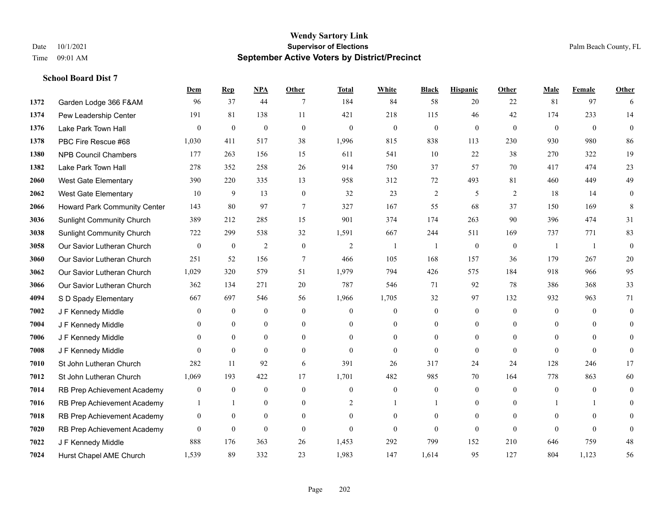|      |                                     | Dem              | <b>Rep</b>       | NPA              | <b>Other</b>     | <b>Total</b>     | <b>White</b>     | <b>Black</b>             | <b>Hispanic</b>  | <b>Other</b>     | <b>Male</b>      | Female         | <b>Other</b>     |
|------|-------------------------------------|------------------|------------------|------------------|------------------|------------------|------------------|--------------------------|------------------|------------------|------------------|----------------|------------------|
| 1372 | Garden Lodge 366 F&AM               | 96               | 37               | 44               | 7                | 184              | 84               | 58                       | 20               | 22               | 81               | 97             | 6                |
| 1374 | Pew Leadership Center               | 191              | 81               | 138              | 11               | 421              | 218              | 115                      | 46               | 42               | 174              | 233            | 14               |
| 1376 | Lake Park Town Hall                 | $\theta$         | $\mathbf{0}$     | $\mathbf{0}$     | $\theta$         | $\mathbf{0}$     | $\mathbf{0}$     | $\overline{0}$           | $\mathbf{0}$     | $\theta$         | $\theta$         | $\theta$       | $\Omega$         |
| 1378 | PBC Fire Rescue #68                 | 1,030            | 411              | 517              | 38               | 1,996            | 815              | 838                      | 113              | 230              | 930              | 980            | 86               |
| 1380 | <b>NPB Council Chambers</b>         | 177              | 263              | 156              | 15               | 611              | 541              | 10                       | 22               | 38               | 270              | 322            | 19               |
| 1382 | Lake Park Town Hall                 | 278              | 352              | 258              | 26               | 914              | 750              | 37                       | 57               | 70               | 417              | 474            | 23               |
| 2060 | <b>West Gate Elementary</b>         | 390              | 220              | 335              | 13               | 958              | 312              | 72                       | 493              | 81               | 460              | 449            | 49               |
| 2062 | <b>West Gate Elementary</b>         | 10               | 9                | 13               | $\mathbf{0}$     | 32               | 23               | $\overline{2}$           | 5                | 2                | 18               | 14             | $\boldsymbol{0}$ |
| 2066 | <b>Howard Park Community Center</b> | 143              | 80               | 97               | $\overline{7}$   | 327              | 167              | 55                       | 68               | 37               | 150              | 169            | 8                |
| 3036 | <b>Sunlight Community Church</b>    | 389              | 212              | 285              | 15               | 901              | 374              | 174                      | 263              | 90               | 396              | 474            | 31               |
| 3038 | <b>Sunlight Community Church</b>    | 722              | 299              | 538              | 32               | 1,591            | 667              | 244                      | 511              | 169              | 737              | 771            | 83               |
| 3058 | Our Savior Lutheran Church          | $\boldsymbol{0}$ | $\boldsymbol{0}$ | $\sqrt{2}$       | $\boldsymbol{0}$ | $\overline{2}$   | 1                | $\overline{\phantom{a}}$ | $\boldsymbol{0}$ | $\boldsymbol{0}$ | -1               | 1              | $\boldsymbol{0}$ |
| 3060 | Our Savior Lutheran Church          | 251              | 52               | 156              | $\overline{7}$   | 466              | 105              | 168                      | 157              | 36               | 179              | 267            | $20\,$           |
| 3062 | Our Savior Lutheran Church          | 1,029            | 320              | 579              | 51               | 1,979            | 794              | 426                      | 575              | 184              | 918              | 966            | 95               |
| 3066 | Our Savior Lutheran Church          | 362              | 134              | 271              | 20               | 787              | 546              | 71                       | 92               | 78               | 386              | 368            | 33               |
| 4094 | S D Spady Elementary                | 667              | 697              | 546              | 56               | 1,966            | 1,705            | 32                       | 97               | 132              | 932              | 963            | 71               |
| 7002 | J F Kennedy Middle                  | $\overline{0}$   | $\boldsymbol{0}$ | $\boldsymbol{0}$ | $\mathbf{0}$     | $\boldsymbol{0}$ | $\boldsymbol{0}$ | $\boldsymbol{0}$         | $\boldsymbol{0}$ | $\boldsymbol{0}$ | $\boldsymbol{0}$ | $\overline{0}$ | $\overline{0}$   |
| 7004 | J F Kennedy Middle                  | $\theta$         | $\mathbf{0}$     | $\mathbf{0}$     | $\theta$         | $\Omega$         | $\overline{0}$   | $\overline{0}$           | $\overline{0}$   | $\Omega$         | $\theta$         | $\theta$       | $\overline{0}$   |
| 7006 | J F Kennedy Middle                  | $\theta$         | $\mathbf{0}$     | $\mathbf{0}$     | $\theta$         | $\theta$         | $\mathbf{0}$     | $\Omega$                 | $\Omega$         | $\Omega$         | $\theta$         | $\Omega$       | $\theta$         |
| 7008 | J F Kennedy Middle                  | $\Omega$         | $\theta$         | $\theta$         | $\theta$         | $\theta$         | $\theta$         | $\Omega$                 | $\theta$         | $\theta$         | $\Omega$         | $\Omega$       | $\Omega$         |
| 7010 | St John Lutheran Church             | 282              | 11               | 92               | 6                | 391              | 26               | 317                      | 24               | 24               | 128              | 246            | 17               |
| 7012 | St John Lutheran Church             | 1,069            | 193              | 422              | 17               | 1,701            | 482              | 985                      | 70               | 164              | 778              | 863            | 60               |
| 7014 | RB Prep Achievement Academy         | $\boldsymbol{0}$ | $\mathbf{0}$     | $\mathbf{0}$     | $\mathbf{0}$     | $\theta$         | $\boldsymbol{0}$ | $\boldsymbol{0}$         | $\overline{0}$   | $\theta$         | $\mathbf{0}$     | $\overline{0}$ | $\overline{0}$   |
| 7016 | RB Prep Achievement Academy         | 1                | $\mathbf{1}$     | $\theta$         | $\theta$         | $\overline{2}$   | $\mathbf{1}$     | $\mathbf{1}$             | $\Omega$         | $\theta$         | $\mathbf{1}$     | $\mathbf{1}$   | $\theta$         |
| 7018 | RB Prep Achievement Academy         | $\boldsymbol{0}$ | $\boldsymbol{0}$ | $\mathbf{0}$     | $\overline{0}$   | $\theta$         | $\mathbf{0}$     | $\overline{0}$           | $\overline{0}$   | $\theta$         | $\mathbf{0}$     | $\theta$       | $\theta$         |
| 7020 | RB Prep Achievement Academy         | $\mathbf{0}$     | $\mathbf{0}$     | $\mathbf{0}$     | $\theta$         | $\theta$         | $\overline{0}$   | $\theta$                 | $\overline{0}$   | $\theta$         | $\theta$         | $\theta$       | $\mathbf{0}$     |
| 7022 | J F Kennedy Middle                  | 888              | 176              | 363              | 26               | 1,453            | 292              | 799                      | 152              | 210              | 646              | 759            | $48\,$           |
| 7024 | Hurst Chapel AME Church             | 1,539            | 89               | 332              | 23               | 1,983            | 147              | 1,614                    | 95               | 127              | 804              | 1.123          | 56               |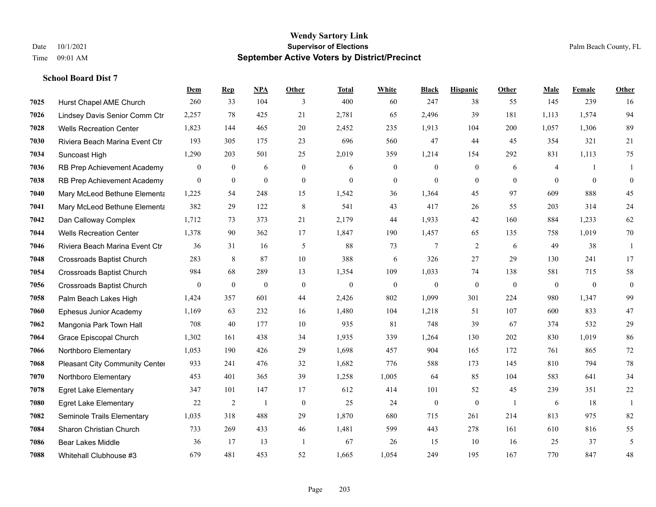|      |                                  | Dem            | <b>Rep</b>   | NPA          | <b>Other</b>   | Total        | <b>White</b>     | <b>Black</b>     | <b>Hispanic</b> | <b>Other</b>   | <b>Male</b>    | Female         | <b>Other</b> |
|------|----------------------------------|----------------|--------------|--------------|----------------|--------------|------------------|------------------|-----------------|----------------|----------------|----------------|--------------|
| 7025 | Hurst Chapel AME Church          | 260            | 33           | 104          | 3              | 400          | 60               | 247              | 38              | 55             | 145            | 239            | 16           |
| 7026 | Lindsey Davis Senior Comm Ctr    | 2,257          | 78           | 425          | 21             | 2,781        | 65               | 2,496            | 39              | 181            | 1,113          | 1,574          | 94           |
| 7028 | <b>Wells Recreation Center</b>   | 1,823          | 144          | 465          | 20             | 2,452        | 235              | 1,913            | 104             | 200            | 1,057          | 1,306          | 89           |
| 7030 | Riviera Beach Marina Event Ctr   | 193            | 305          | 175          | 23             | 696          | 560              | 47               | 44              | 45             | 354            | 321            | 21           |
| 7034 | Suncoast High                    | 1,290          | 203          | 501          | 25             | 2,019        | 359              | 1,214            | 154             | 292            | 831            | 1,113          | 75           |
| 7036 | RB Prep Achievement Academy      | $\mathbf{0}$   | $\mathbf{0}$ | 6            | $\overline{0}$ | 6            | $\boldsymbol{0}$ | $\boldsymbol{0}$ | $\mathbf{0}$    | 6              | 4              | $\overline{1}$ | -1           |
| 7038 | RB Prep Achievement Academy      | $\overline{0}$ | $\mathbf{0}$ | $\mathbf{0}$ | $\mathbf{0}$   | $\mathbf{0}$ | $\boldsymbol{0}$ | $\mathbf{0}$     | $\overline{0}$  | $\theta$       | $\theta$       | $\overline{0}$ | $\mathbf{0}$ |
| 7040 | Mary McLeod Bethune Elementa     | 1,225          | 54           | 248          | 15             | 1,542        | 36               | 1,364            | 45              | 97             | 609            | 888            | 45           |
| 7041 | Mary McLeod Bethune Elementa     | 382            | 29           | 122          | 8              | 541          | 43               | 417              | 26              | 55             | 203            | 314            | 24           |
| 7042 | Dan Calloway Complex             | 1,712          | 73           | 373          | 21             | 2,179        | 44               | 1,933            | 42              | 160            | 884            | 1,233          | 62           |
| 7044 | <b>Wells Recreation Center</b>   | 1,378          | 90           | 362          | 17             | 1,847        | 190              | 1,457            | 65              | 135            | 758            | 1.019          | 70           |
| 7046 | Riviera Beach Marina Event Ctr   | 36             | 31           | 16           | 5              | 88           | 73               | 7                | $\overline{2}$  | 6              | 49             | 38             | -1           |
| 7048 | <b>Crossroads Baptist Church</b> | 283            | 8            | 87           | 10             | 388          | 6                | 326              | 27              | 29             | 130            | 241            | 17           |
| 7054 | <b>Crossroads Baptist Church</b> | 984            | 68           | 289          | 13             | 1,354        | 109              | 1,033            | 74              | 138            | 581            | 715            | 58           |
| 7056 | <b>Crossroads Baptist Church</b> | $\mathbf{0}$   | $\bf{0}$     | $\mathbf{0}$ | $\mathbf{0}$   | $\mathbf{0}$ | $\boldsymbol{0}$ | $\mathbf{0}$     | $\mathbf{0}$    | $\theta$       | $\overline{0}$ | $\overline{0}$ | $\bf{0}$     |
| 7058 | Palm Beach Lakes High            | 1,424          | 357          | 601          | 44             | 2,426        | 802              | 1,099            | 301             | 224            | 980            | 1,347          | 99           |
| 7060 | Ephesus Junior Academy           | 1,169          | 63           | 232          | 16             | 1,480        | 104              | 1,218            | 51              | 107            | 600            | 833            | 47           |
| 7062 | Mangonia Park Town Hall          | 708            | 40           | 177          | 10             | 935          | 81               | 748              | 39              | 67             | 374            | 532            | 29           |
| 7064 | Grace Episcopal Church           | 1,302          | 161          | 438          | 34             | 1,935        | 339              | 1,264            | 130             | 202            | 830            | 1,019          | 86           |
| 7066 | Northboro Elementary             | 1,053          | 190          | 426          | 29             | 1,698        | 457              | 904              | 165             | 172            | 761            | 865            | $72\,$       |
| 7068 | Pleasant City Community Center   | 933            | 241          | 476          | 32             | 1,682        | 776              | 588              | 173             | 145            | 810            | 794            | 78           |
| 7070 | Northboro Elementary             | 453            | 401          | 365          | 39             | 1,258        | 1,005            | 64               | 85              | 104            | 583            | 641            | 34           |
| 7078 | <b>Egret Lake Elementary</b>     | 347            | 101          | 147          | 17             | 612          | 414              | 101              | 52              | 45             | 239            | 351            | $22\,$       |
| 7080 | <b>Egret Lake Elementary</b>     | 22             | 2            | $\mathbf{1}$ | $\overline{0}$ | 25           | 24               | $\boldsymbol{0}$ | $\overline{0}$  | $\overline{1}$ | 6              | 18             | $\mathbf{1}$ |
| 7082 | Seminole Trails Elementary       | 1,035          | 318          | 488          | 29             | 1,870        | 680              | 715              | 261             | 214            | 813            | 975            | 82           |
| 7084 | Sharon Christian Church          | 733            | 269          | 433          | 46             | 1,481        | 599              | 443              | 278             | 161            | 610            | 816            | 55           |
| 7086 | <b>Bear Lakes Middle</b>         | 36             | 17           | 13           | -1             | 67           | 26               | 15               | 10              | 16             | 25             | 37             | 5            |
| 7088 | Whitehall Clubhouse #3           | 679            | 481          | 453          | 52             | 1,665        | 1,054            | 249              | 195             | 167            | 770            | 847            | 48           |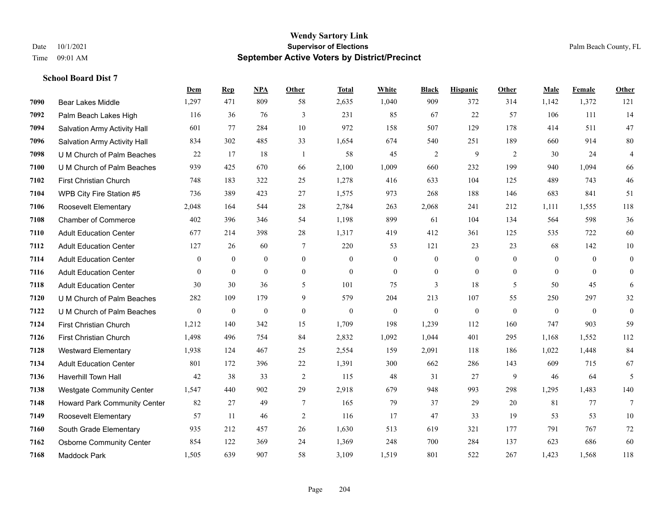|      |                                  | Dem            | <b>Rep</b>   | NPA            | <b>Other</b>     | <b>Total</b>   | White            | <b>Black</b>     | <b>Hispanic</b>  | Other        | <b>Male</b>    | Female         | <b>Other</b>     |
|------|----------------------------------|----------------|--------------|----------------|------------------|----------------|------------------|------------------|------------------|--------------|----------------|----------------|------------------|
| 7090 | Bear Lakes Middle                | 1,297          | 471          | 809            | 58               | 2,635          | 1,040            | 909              | 372              | 314          | 1,142          | 1,372          | 121              |
| 7092 | Palm Beach Lakes High            | 116            | 36           | 76             | 3                | 231            | 85               | 67               | 22               | 57           | 106            | 111            | 14               |
| 7094 | Salvation Army Activity Hall     | 601            | 77           | 284            | 10               | 972            | 158              | 507              | 129              | 178          | 414            | 511            | 47               |
| 7096 | Salvation Army Activity Hall     | 834            | 302          | 485            | 33               | 1,654          | 674              | 540              | 251              | 189          | 660            | 914            | 80               |
| 7098 | U M Church of Palm Beaches       | 22             | 17           | 18             | -1               | 58             | 45               | 2                | 9                | 2            | 30             | 24             | $\overline{4}$   |
| 7100 | U M Church of Palm Beaches       | 939            | 425          | 670            | 66               | 2,100          | 1,009            | 660              | 232              | 199          | 940            | 1,094          | 66               |
| 7102 | <b>First Christian Church</b>    | 748            | 183          | 322            | 25               | 1,278          | 416              | 633              | 104              | 125          | 489            | 743            | 46               |
| 7104 | WPB City Fire Station #5         | 736            | 389          | 423            | 27               | 1,575          | 973              | 268              | 188              | 146          | 683            | 841            | 51               |
| 7106 | Roosevelt Elementary             | 2,048          | 164          | 544            | 28               | 2,784          | 263              | 2,068            | 241              | 212          | 1,111          | 1,555          | 118              |
| 7108 | <b>Chamber of Commerce</b>       | 402            | 396          | 346            | 54               | 1,198          | 899              | 61               | 104              | 134          | 564            | 598            | 36               |
| 7110 | <b>Adult Education Center</b>    | 677            | 214          | 398            | 28               | 1,317          | 419              | 412              | 361              | 125          | 535            | 722            | 60               |
| 7112 | <b>Adult Education Center</b>    | 127            | 26           | 60             | 7                | 220            | 53               | 121              | 23               | 23           | 68             | 142            | $10\,$           |
| 7114 | <b>Adult Education Center</b>    | $\overline{0}$ | $\mathbf{0}$ | $\overline{0}$ | $\overline{0}$   | $\theta$       | $\mathbf{0}$     | $\mathbf{0}$     | $\mathbf{0}$     | $\theta$     | $\overline{0}$ | $\theta$       | $\boldsymbol{0}$ |
| 7116 | <b>Adult Education Center</b>    | $\mathbf{0}$   | $\mathbf{0}$ | $\overline{0}$ | $\boldsymbol{0}$ | $\mathbf{0}$   | $\boldsymbol{0}$ | $\boldsymbol{0}$ | $\boldsymbol{0}$ | $\mathbf{0}$ | $\mathbf{0}$   | $\overline{0}$ | $\mathbf{0}$     |
| 7118 | <b>Adult Education Center</b>    | 30             | 30           | 36             | 5                | 101            | 75               | 3                | 18               | 5            | 50             | 45             | 6                |
| 7120 | U M Church of Palm Beaches       | 282            | 109          | 179            | 9                | 579            | 204              | 213              | 107              | 55           | 250            | 297            | 32               |
| 7122 | U M Church of Palm Beaches       | $\mathbf{0}$   | $\mathbf{0}$ | $\mathbf{0}$   | $\mathbf{0}$     | $\overline{0}$ | $\mathbf{0}$     | $\mathbf{0}$     | $\mathbf{0}$     | $\theta$     | $\mathbf{0}$   | $\mathbf{0}$   | $\mathbf{0}$     |
| 7124 | <b>First Christian Church</b>    | 1,212          | 140          | 342            | 15               | 1,709          | 198              | 1,239            | 112              | 160          | 747            | 903            | 59               |
| 7126 | First Christian Church           | 1,498          | 496          | 754            | 84               | 2,832          | 1,092            | 1,044            | 401              | 295          | 1,168          | 1,552          | 112              |
| 7128 | <b>Westward Elementary</b>       | 1,938          | 124          | 467            | 25               | 2,554          | 159              | 2,091            | 118              | 186          | 1,022          | 1,448          | 84               |
| 7134 | <b>Adult Education Center</b>    | 801            | 172          | 396            | 22               | 1,391          | 300              | 662              | 286              | 143          | 609            | 715            | 67               |
| 7136 | <b>Haverhill Town Hall</b>       | 42             | 38           | 33             | $\overline{2}$   | 115            | 48               | 31               | 27               | 9            | 46             | 64             | 5                |
| 7138 | <b>Westgate Community Center</b> | 1,547          | 440          | 902            | 29               | 2,918          | 679              | 948              | 993              | 298          | 1,295          | 1,483          | 140              |
| 7148 | Howard Park Community Center     | 82             | 27           | 49             | $\tau$           | 165            | 79               | 37               | 29               | 20           | 81             | 77             | $\tau$           |
| 7149 | Roosevelt Elementary             | 57             | 11           | 46             | $\sqrt{2}$       | 116            | 17               | 47               | 33               | 19           | 53             | 53             | 10               |
| 7160 | South Grade Elementary           | 935            | 212          | 457            | 26               | 1,630          | 513              | 619              | 321              | 177          | 791            | 767            | 72               |
| 7162 | <b>Osborne Community Center</b>  | 854            | 122          | 369            | 24               | 1,369          | 248              | 700              | 284              | 137          | 623            | 686            | 60               |
| 7168 | <b>Maddock Park</b>              | 1,505          | 639          | 907            | 58               | 3,109          | 1,519            | 801              | 522              | 267          | 1,423          | 1,568          | 118              |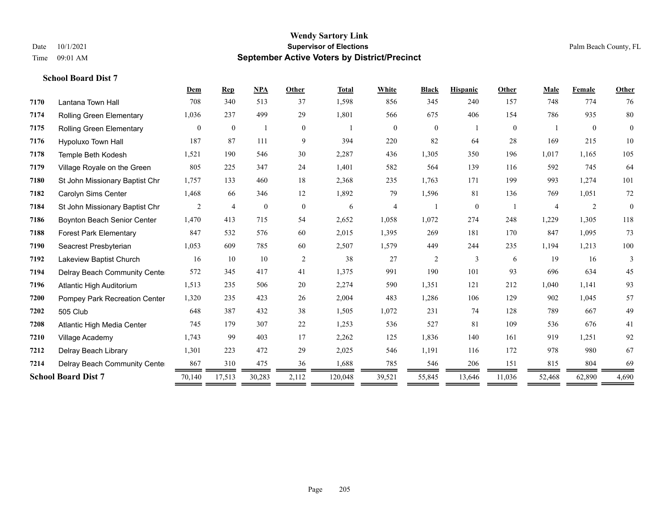|      |                                 | Dem            | <b>Rep</b>       | <b>NPA</b>       | Other          | <b>Total</b> | White          | <b>Black</b>     | <b>Hispanic</b> | Other          | Male           | Female         | Other          |
|------|---------------------------------|----------------|------------------|------------------|----------------|--------------|----------------|------------------|-----------------|----------------|----------------|----------------|----------------|
| 7170 | Lantana Town Hall               | 708            | 340              | 513              | 37             | 1,598        | 856            | 345              | 240             | 157            | 748            | 774            | 76             |
| 7174 | <b>Rolling Green Elementary</b> | 1,036          | 237              | 499              | 29             | 1,801        | 566            | 675              | 406             | 154            | 786            | 935            | 80             |
| 7175 | <b>Rolling Green Elementary</b> | $\overline{0}$ | $\boldsymbol{0}$ |                  | $\overline{0}$ |              | $\overline{0}$ | $\boldsymbol{0}$ |                 | $\overline{0}$ |                | $\overline{0}$ | $\overline{0}$ |
| 7176 | Hypoluxo Town Hall              | 187            | 87               | 111              | 9              | 394          | 220            | 82               | 64              | 28             | 169            | 215            | 10             |
| 7178 | Temple Beth Kodesh              | 1,521          | 190              | 546              | 30             | 2,287        | 436            | 1,305            | 350             | 196            | 1,017          | 1,165          | 105            |
| 7179 | Village Royale on the Green     | 805            | 225              | 347              | 24             | 1,401        | 582            | 564              | 139             | 116            | 592            | 745            | 64             |
| 7180 | St John Missionary Baptist Chr  | 1,757          | 133              | 460              | 18             | 2,368        | 235            | 1,763            | 171             | 199            | 993            | 1,274          | 101            |
| 7182 | Carolyn Sims Center             | 1,468          | 66               | 346              | 12             | 1,892        | 79             | 1,596            | 81              | 136            | 769            | 1,051          | 72             |
| 7184 | St John Missionary Baptist Chr  | 2              | $\overline{4}$   | $\boldsymbol{0}$ | $\overline{0}$ | 6            | 4              |                  | $\overline{0}$  |                | $\overline{4}$ | $\overline{2}$ | $\theta$       |
| 7186 | Boynton Beach Senior Center     | 1,470          | 413              | 715              | 54             | 2,652        | 1,058          | 1,072            | 274             | 248            | 1,229          | 1,305          | 118            |
| 7188 | <b>Forest Park Elementary</b>   | 847            | 532              | 576              | 60             | 2,015        | 1,395          | 269              | 181             | 170            | 847            | 1,095          | 73             |
| 7190 | Seacrest Presbyterian           | 1,053          | 609              | 785              | 60             | 2,507        | 1,579          | 449              | 244             | 235            | 1,194          | 1,213          | $100\,$        |
| 7192 | Lakeview Baptist Church         | 16             | 10               | 10               | 2              | 38           | 27             | $\overline{c}$   | 3               | 6              | 19             | 16             | 3              |
| 7194 | Delray Beach Community Cente    | 572            | 345              | 417              | 41             | 1,375        | 991            | 190              | 101             | 93             | 696            | 634            | 45             |
| 7196 | Atlantic High Auditorium        | 1,513          | 235              | 506              | 20             | 2,274        | 590            | 1,351            | 121             | 212            | 1,040          | 1,141          | 93             |
| 7200 | Pompey Park Recreation Center   | 1,320          | 235              | 423              | 26             | 2,004        | 483            | 1,286            | 106             | 129            | 902            | 1,045          | 57             |
| 7202 | 505 Club                        | 648            | 387              | 432              | 38             | 1,505        | 1,072          | 231              | 74              | 128            | 789            | 667            | 49             |
| 7208 | Atlantic High Media Center      | 745            | 179              | 307              | 22             | 1,253        | 536            | 527              | 81              | 109            | 536            | 676            | 41             |
| 7210 | Village Academy                 | 1,743          | 99               | 403              | 17             | 2,262        | 125            | 1,836            | 140             | 161            | 919            | 1,251          | 92             |
| 7212 | Delray Beach Library            | 1,301          | 223              | 472              | 29             | 2,025        | 546            | 1,191            | 116             | 172            | 978            | 980            | 67             |
| 7214 | Delray Beach Community Cente    | 867            | 310              | 475              | 36             | 1,688        | 785            | 546              | 206             | 151            | 815            | 804            | 69             |
|      | <b>School Board Dist 7</b>      | 70,140         | 17,513           | 30,283           | 2,112          | 120,048      | 39,521         | 55,845           | 13,646          | 11,036         | 52,468         | 62,890         | 4,690          |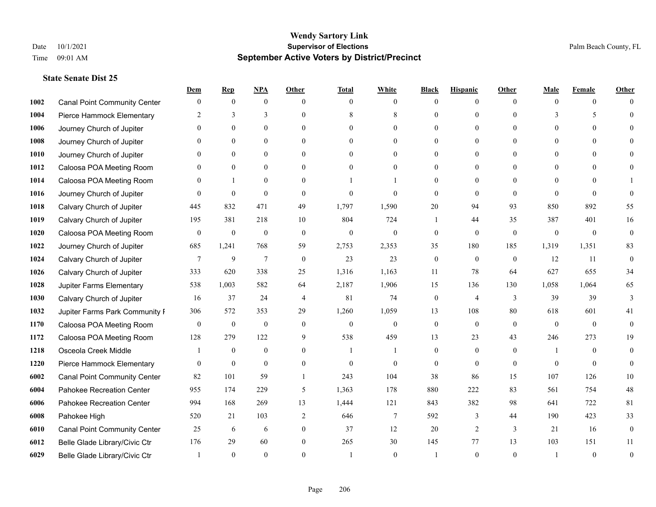|      |                                     | Dem              | <b>Rep</b>       | NPA              | <b>Other</b>   | <b>Total</b> | <b>White</b>     | <b>Black</b>     | <b>Hispanic</b> | <b>Other</b> | <b>Male</b>  | <b>Female</b>  | <b>Other</b>     |
|------|-------------------------------------|------------------|------------------|------------------|----------------|--------------|------------------|------------------|-----------------|--------------|--------------|----------------|------------------|
| 1002 | <b>Canal Point Community Center</b> | $\mathbf{0}$     | $\mathbf{0}$     | $\boldsymbol{0}$ | $\Omega$       | $\Omega$     | $\theta$         | $\theta$         | $\mathbf{0}$    | $\Omega$     | $\theta$     | $\theta$       | $\Omega$         |
| 1004 | Pierce Hammock Elementary           | 2                | 3                | 3                | $\Omega$       | 8            | 8                | $\theta$         | $\mathbf{0}$    | $\Omega$     | 3            | 5              | $\Omega$         |
| 1006 | Journey Church of Jupiter           | $\Omega$         | $\theta$         | $\theta$         | $\Omega$       | $\Omega$     | $\Omega$         | $\Omega$         | $\theta$        | $\Omega$     | $\Omega$     | $\Omega$       |                  |
| 1008 | Journey Church of Jupiter           |                  | $\mathbf{0}$     | $\mathbf{0}$     | $\mathbf{0}$   | $\theta$     | $\mathbf{0}$     | $\overline{0}$   | $\mathbf{0}$    | $\Omega$     | $\mathbf{0}$ | $\theta$       |                  |
| 1010 | Journey Church of Jupiter           | 0                | $\theta$         | $\mathbf{0}$     | $\Omega$       | $\Omega$     | $\overline{0}$   | $\Omega$         | $\theta$        | $\Omega$     | $\theta$     | $\Omega$       | $\Omega$         |
| 1012 | Caloosa POA Meeting Room            |                  | $\mathbf{0}$     | $\mathbf{0}$     | $\Omega$       | $\theta$     | $\mathbf{0}$     | $\Omega$         | $\mathbf{0}$    | $\Omega$     | $\theta$     | $\Omega$       |                  |
| 1014 | Caloosa POA Meeting Room            | $\Omega$         | $\mathbf{1}$     | $\mathbf{0}$     | $\theta$       |              |                  | $\overline{0}$   | $\mathbf{0}$    | $\theta$     | $\theta$     | $\theta$       |                  |
| 1016 | Journey Church of Jupiter           | $\Omega$         | $\mathbf{0}$     | $\theta$         | $\Omega$       | $\theta$     | $\theta$         | $\theta$         | $\theta$        | $\Omega$     | $\Omega$     | $\Omega$       | $\Omega$         |
| 1018 | Calvary Church of Jupiter           | 445              | 832              | 471              | 49             | 1,797        | 1,590            | 20               | 94              | 93           | 850          | 892            | 55               |
| 1019 | Calvary Church of Jupiter           | 195              | 381              | 218              | 10             | 804          | 724              | 1                | 44              | 35           | 387          | 401            | 16               |
| 1020 | Caloosa POA Meeting Room            | $\mathbf{0}$     | $\boldsymbol{0}$ | $\boldsymbol{0}$ | $\theta$       | $\mathbf{0}$ | $\mathbf{0}$     | $\mathbf{0}$     | $\mathbf{0}$    | $\theta$     | $\mathbf{0}$ | $\overline{0}$ | $\mathbf{0}$     |
| 1022 | Journey Church of Jupiter           | 685              | 1,241            | 768              | 59             | 2,753        | 2,353            | 35               | 180             | 185          | 1,319        | 1,351          | 83               |
| 1024 | Calvary Church of Jupiter           | 7                | 9                | $\overline{7}$   | $\theta$       | 23           | 23               | $\mathbf{0}$     | $\mathbf{0}$    | $\theta$     | 12           | 11             | $\mathbf{0}$     |
| 1026 | Calvary Church of Jupiter           | 333              | 620              | 338              | 25             | 1,316        | 1,163            | 11               | 78              | 64           | 627          | 655            | 34               |
| 1028 | Jupiter Farms Elementary            | 538              | 1,003            | 582              | 64             | 2,187        | 1,906            | 15               | 136             | 130          | 1,058        | 1,064          | 65               |
| 1030 | Calvary Church of Jupiter           | 16               | 37               | 24               | $\overline{4}$ | 81           | 74               | $\mathbf{0}$     | $\overline{4}$  | 3            | 39           | 39             | 3                |
| 1032 | Jupiter Farms Park Community I      | 306              | 572              | 353              | 29             | 1,260        | 1,059            | 13               | 108             | 80           | 618          | 601            | 41               |
| 1170 | Caloosa POA Meeting Room            | $\boldsymbol{0}$ | $\boldsymbol{0}$ | $\boldsymbol{0}$ | $\mathbf{0}$   | $\mathbf{0}$ | $\boldsymbol{0}$ | $\boldsymbol{0}$ | $\mathbf{0}$    | $\theta$     | $\theta$     | $\theta$       | $\mathbf{0}$     |
| 1172 | Caloosa POA Meeting Room            | 128              | 279              | 122              | 9              | 538          | 459              | 13               | 23              | 43           | 246          | 273            | 19               |
| 1218 | Osceola Creek Middle                |                  | $\mathbf{0}$     | $\mathbf{0}$     | $\theta$       | $\mathbf{1}$ |                  | $\mathbf{0}$     | $\mathbf{0}$    | $\theta$     | -1           | $\theta$       | $\theta$         |
| 1220 | Pierce Hammock Elementary           | $\theta$         | $\mathbf{0}$     | $\theta$         | $\Omega$       | $\theta$     | $\theta$         | $\theta$         | $\theta$        | $\Omega$     | $\Omega$     | $\Omega$       | $\theta$         |
| 6002 | <b>Canal Point Community Center</b> | 82               | 101              | 59               | -1             | 243          | 104              | 38               | 86              | 15           | 107          | 126            | $10\,$           |
| 6004 | Pahokee Recreation Center           | 955              | 174              | 229              | 5              | 1,363        | 178              | 880              | 222             | 83           | 561          | 754            | $48\,$           |
| 6006 | Pahokee Recreation Center           | 994              | 168              | 269              | 13             | 1,444        | 121              | 843              | 382             | 98           | 641          | 722            | 81               |
| 6008 | Pahokee High                        | 520              | 21               | 103              | $\overline{2}$ | 646          | $\tau$           | 592              | 3               | 44           | 190          | 423            | 33               |
| 6010 | <b>Canal Point Community Center</b> | 25               | 6                | 6                | $\mathbf{0}$   | 37           | 12               | 20               | 2               | 3            | 21           | 16             | $\boldsymbol{0}$ |
| 6012 | Belle Glade Library/Civic Ctr       | 176              | 29               | 60               | $\theta$       | 265          | 30               | 145              | 77              | 13           | 103          | 151            | 11               |
| 6029 | Belle Glade Library/Civic Ctr       |                  | $\Omega$         | $\Omega$         | $\Omega$       |              | $\theta$         |                  | $\Omega$        | $\Omega$     |              | $\theta$       | $\theta$         |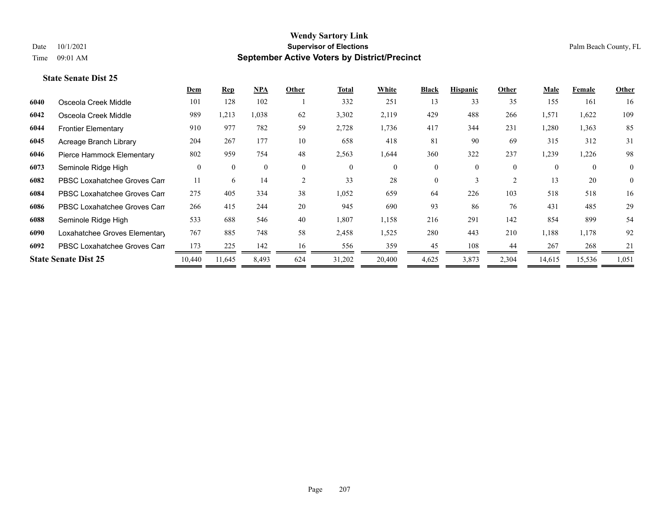# **Dem Rep NPA Other Total White Black Hispanic Other Male Female Other State Senate Dist 25**

| 6040 | Osceola Creek Middle          | 101      | 128      | 102      |                | 332      | 251      | 13       | 33       | 35       | 155      | 161      | 16             |
|------|-------------------------------|----------|----------|----------|----------------|----------|----------|----------|----------|----------|----------|----------|----------------|
| 6042 | Osceola Creek Middle          | 989      | 1,213    | 1,038    | 62             | 3,302    | 2,119    | 429      | 488      | 266      | 1,571    | 1,622    | 109            |
| 6044 | <b>Frontier Elementary</b>    | 910      | 977      | 782      | 59             | 2,728    | 1,736    | 417      | 344      | 231      | 1,280    | 1,363    | 85             |
| 6045 | Acreage Branch Library        | 204      | 267      | 177      | 10             | 658      | 418      | 81       | 90       | 69       | 315      | 312      | 31             |
| 6046 | Pierce Hammock Elementary     | 802      | 959      | 754      | 48             | 2,563    | 1,644    | 360      | 322      | 237      | 1,239    | 1,226    | 98             |
| 6073 | Seminole Ridge High           | $\theta$ | $\theta$ | $\theta$ | $\theta$       | $\theta$ | $\Omega$ | $\Omega$ | $\Omega$ | $\theta$ | $\Omega$ | $\theta$ | $\theta$       |
| 6082 | PBSC Loxahatchee Groves Can   | 11       | 6        | 14       | $\overline{2}$ | 33       | 28       | $\theta$ |          |          | 13       | 20       | $\overline{0}$ |
| 6084 | PBSC Loxahatchee Groves Can   | 275      | 405      | 334      | 38             | 1,052    | 659      | 64       | 226      | 103      | 518      | 518      | 16             |
| 6086 | PBSC Loxahatchee Groves Can   | 266      | 415      | 244      | 20             | 945      | 690      | 93       | 86       | 76       | 431      | 485      | 29             |
| 6088 | Seminole Ridge High           | 533      | 688      | 546      | 40             | 1,807    | 1,158    | 216      | 291      | 142      | 854      | 899      | 54             |
| 6090 | Loxahatchee Groves Elementary | 767      | 885      | 748      | 58             | 2,458    | 1,525    | 280      | 443      | 210      | 1,188    | 1,178    | 92             |
| 6092 | PBSC Loxahatchee Groves Can   | 173      | 225      | 142      | 16             | 556      | 359      | 45       | 108      | 44       | 267      | 268      | 21             |
|      | <b>State Senate Dist 25</b>   | 10,440   | 11,645   | 8,493    | 624            | 31,202   | 20,400   | 4,625    | 3,873    | 2,304    | 14,615   | 15,536   | 1,051          |
|      |                               |          |          |          |                |          |          |          |          |          |          |          |                |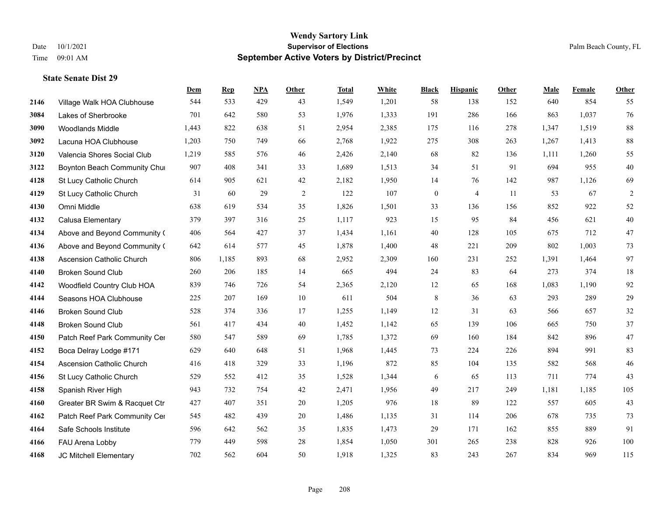|      |                                  | Dem   | <b>Rep</b> | NPA | <b>Other</b>   | <b>Total</b> | <b>White</b> | <b>Black</b> | <b>Hispanic</b> | <b>Other</b> | <b>Male</b> | <b>Female</b> | Other          |
|------|----------------------------------|-------|------------|-----|----------------|--------------|--------------|--------------|-----------------|--------------|-------------|---------------|----------------|
| 2146 | Village Walk HOA Clubhouse       | 544   | 533        | 429 | 43             | 1,549        | 1,201        | 58           | 138             | 152          | 640         | 854           | 55             |
| 3084 | Lakes of Sherbrooke              | 701   | 642        | 580 | 53             | 1,976        | 1,333        | 191          | 286             | 166          | 863         | 1,037         | 76             |
| 3090 | <b>Woodlands Middle</b>          | 1,443 | 822        | 638 | 51             | 2,954        | 2,385        | 175          | 116             | 278          | 1,347       | 1,519         | $88\,$         |
| 3092 | Lacuna HOA Clubhouse             | 1,203 | 750        | 749 | 66             | 2,768        | 1,922        | 275          | 308             | 263          | 1,267       | 1,413         | 88             |
| 3120 | Valencia Shores Social Club      | 1,219 | 585        | 576 | 46             | 2,426        | 2,140        | 68           | 82              | 136          | 1,111       | 1,260         | 55             |
| 3122 | Boynton Beach Community Chur     | 907   | 408        | 341 | 33             | 1,689        | 1,513        | 34           | 51              | 91           | 694         | 955           | 40             |
| 4128 | St Lucy Catholic Church          | 614   | 905        | 621 | 42             | 2,182        | 1,950        | 14           | 76              | 142          | 987         | 1,126         | 69             |
| 4129 | St Lucy Catholic Church          | 31    | 60         | 29  | $\overline{2}$ | 122          | 107          | $\mathbf{0}$ | $\overline{4}$  | 11           | 53          | 67            | $\overline{c}$ |
| 4130 | Omni Middle                      | 638   | 619        | 534 | 35             | 1,826        | 1,501        | 33           | 136             | 156          | 852         | 922           | 52             |
| 4132 | Calusa Elementary                | 379   | 397        | 316 | 25             | 1,117        | 923          | 15           | 95              | 84           | 456         | 621           | 40             |
| 4134 | Above and Beyond Community (     | 406   | 564        | 427 | 37             | 1,434        | 1,161        | 40           | 128             | 105          | 675         | 712           | 47             |
| 4136 | Above and Beyond Community (     | 642   | 614        | 577 | 45             | 1,878        | 1,400        | 48           | 221             | 209          | 802         | 1,003         | 73             |
| 4138 | Ascension Catholic Church        | 806   | 1,185      | 893 | 68             | 2,952        | 2,309        | 160          | 231             | 252          | 1,391       | 1,464         | 97             |
| 4140 | <b>Broken Sound Club</b>         | 260   | 206        | 185 | 14             | 665          | 494          | 24           | 83              | 64           | 273         | 374           | 18             |
| 4142 | Woodfield Country Club HOA       | 839   | 746        | 726 | 54             | 2,365        | 2,120        | 12           | 65              | 168          | 1,083       | 1,190         | 92             |
| 4144 | Seasons HOA Clubhouse            | 225   | 207        | 169 | 10             | 611          | 504          | 8            | 36              | 63           | 293         | 289           | 29             |
| 4146 | <b>Broken Sound Club</b>         | 528   | 374        | 336 | 17             | 1,255        | 1,149        | 12           | 31              | 63           | 566         | 657           | 32             |
| 4148 | <b>Broken Sound Club</b>         | 561   | 417        | 434 | 40             | 1,452        | 1,142        | 65           | 139             | 106          | 665         | 750           | 37             |
| 4150 | Patch Reef Park Community Cer    | 580   | 547        | 589 | 69             | 1,785        | 1,372        | 69           | 160             | 184          | 842         | 896           | 47             |
| 4152 | Boca Delray Lodge #171           | 629   | 640        | 648 | 51             | 1,968        | 1,445        | 73           | 224             | 226          | 894         | 991           | 83             |
| 4154 | <b>Ascension Catholic Church</b> | 416   | 418        | 329 | 33             | 1,196        | 872          | 85           | 104             | 135          | 582         | 568           | 46             |
| 4156 | St Lucy Catholic Church          | 529   | 552        | 412 | 35             | 1,528        | 1,344        | 6            | 65              | 113          | 711         | 774           | 43             |
| 4158 | Spanish River High               | 943   | 732        | 754 | 42             | 2,471        | 1,956        | 49           | 217             | 249          | 1,181       | 1,185         | 105            |
| 4160 | Greater BR Swim & Racquet Ctr    | 427   | 407        | 351 | 20             | 1,205        | 976          | 18           | 89              | 122          | 557         | 605           | 43             |
| 4162 | Patch Reef Park Community Cer    | 545   | 482        | 439 | 20             | 1,486        | 1,135        | 31           | 114             | 206          | 678         | 735           | 73             |
| 4164 | Safe Schools Institute           | 596   | 642        | 562 | 35             | 1,835        | 1,473        | 29           | 171             | 162          | 855         | 889           | 91             |
| 4166 | FAU Arena Lobby                  | 779   | 449        | 598 | 28             | 1,854        | 1,050        | 301          | 265             | 238          | 828         | 926           | 100            |
| 4168 | JC Mitchell Elementary           | 702   | 562        | 604 | 50             | 1,918        | 1,325        | 83           | 243             | 267          | 834         | 969           | 115            |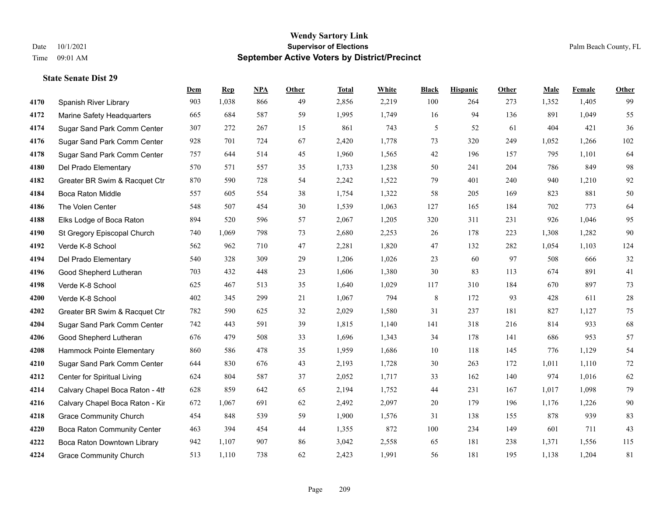|      |                                    | Dem | <b>Rep</b> | NPA | <b>Other</b> | <b>Total</b> | <b>White</b> | <b>Black</b> | <b>Hispanic</b> | <b>Other</b> | <b>Male</b> | <b>Female</b> | Other  |
|------|------------------------------------|-----|------------|-----|--------------|--------------|--------------|--------------|-----------------|--------------|-------------|---------------|--------|
| 4170 | Spanish River Library              | 903 | 1,038      | 866 | 49           | 2,856        | 2,219        | 100          | 264             | 273          | 1,352       | 1,405         | 99     |
| 4172 | Marine Safety Headquarters         | 665 | 684        | 587 | 59           | 1,995        | 1,749        | 16           | 94              | 136          | 891         | 1,049         | 55     |
| 4174 | Sugar Sand Park Comm Center        | 307 | 272        | 267 | 15           | 861          | 743          | 5            | 52              | 61           | 404         | 421           | 36     |
| 4176 | Sugar Sand Park Comm Center        | 928 | 701        | 724 | 67           | 2,420        | 1,778        | 73           | 320             | 249          | 1,052       | 1,266         | 102    |
| 4178 | Sugar Sand Park Comm Center        | 757 | 644        | 514 | 45           | 1,960        | 1,565        | $42\,$       | 196             | 157          | 795         | 1,101         | 64     |
| 4180 | Del Prado Elementary               | 570 | 571        | 557 | 35           | 1,733        | 1,238        | 50           | 241             | 204          | 786         | 849           | 98     |
| 4182 | Greater BR Swim & Racquet Ctr      | 870 | 590        | 728 | 54           | 2,242        | 1,522        | 79           | 401             | 240          | 940         | 1,210         | 92     |
| 4184 | Boca Raton Middle                  | 557 | 605        | 554 | 38           | 1,754        | 1,322        | 58           | 205             | 169          | 823         | 881           | $50\,$ |
| 4186 | The Volen Center                   | 548 | 507        | 454 | 30           | 1,539        | 1,063        | 127          | 165             | 184          | 702         | 773           | 64     |
| 4188 | Elks Lodge of Boca Raton           | 894 | 520        | 596 | 57           | 2,067        | 1,205        | 320          | 311             | 231          | 926         | 1,046         | 95     |
| 4190 | St Gregory Episcopal Church        | 740 | 1,069      | 798 | 73           | 2,680        | 2,253        | 26           | 178             | 223          | 1,308       | 1,282         | 90     |
| 4192 | Verde K-8 School                   | 562 | 962        | 710 | 47           | 2,281        | 1,820        | 47           | 132             | 282          | 1,054       | 1,103         | 124    |
| 4194 | Del Prado Elementary               | 540 | 328        | 309 | 29           | 1,206        | 1,026        | 23           | 60              | 97           | 508         | 666           | 32     |
| 4196 | Good Shepherd Lutheran             | 703 | 432        | 448 | 23           | 1,606        | 1,380        | $30\,$       | 83              | 113          | 674         | 891           | 41     |
| 4198 | Verde K-8 School                   | 625 | 467        | 513 | 35           | 1,640        | 1,029        | 117          | 310             | 184          | 670         | 897           | 73     |
| 4200 | Verde K-8 School                   | 402 | 345        | 299 | 21           | 1,067        | 794          | 8            | 172             | 93           | 428         | 611           | $28\,$ |
| 4202 | Greater BR Swim & Racquet Ctr      | 782 | 590        | 625 | 32           | 2,029        | 1,580        | 31           | 237             | 181          | 827         | 1,127         | 75     |
| 4204 | Sugar Sand Park Comm Center        | 742 | 443        | 591 | 39           | 1,815        | 1,140        | 141          | 318             | 216          | 814         | 933           | 68     |
| 4206 | Good Shepherd Lutheran             | 676 | 479        | 508 | 33           | 1,696        | 1,343        | 34           | 178             | 141          | 686         | 953           | 57     |
| 4208 | Hammock Pointe Elementary          | 860 | 586        | 478 | 35           | 1,959        | 1,686        | 10           | 118             | 145          | 776         | 1,129         | 54     |
| 4210 | Sugar Sand Park Comm Center        | 644 | 830        | 676 | 43           | 2,193        | 1,728        | 30           | 263             | 172          | 1,011       | 1,110         | $72\,$ |
| 4212 | Center for Spiritual Living        | 624 | 804        | 587 | 37           | 2,052        | 1,717        | 33           | 162             | 140          | 974         | 1,016         | 62     |
| 4214 | Calvary Chapel Boca Raton - 4th    | 628 | 859        | 642 | 65           | 2,194        | 1,752        | $44\,$       | 231             | 167          | 1,017       | 1,098         | 79     |
| 4216 | Calvary Chapel Boca Raton - Kir    | 672 | 1,067      | 691 | 62           | 2,492        | 2,097        | $20\,$       | 179             | 196          | 1,176       | 1,226         | $90\,$ |
| 4218 | <b>Grace Community Church</b>      | 454 | 848        | 539 | 59           | 1,900        | 1,576        | 31           | 138             | 155          | 878         | 939           | 83     |
| 4220 | <b>Boca Raton Community Center</b> | 463 | 394        | 454 | 44           | 1,355        | 872          | 100          | 234             | 149          | 601         | 711           | 43     |
| 4222 | Boca Raton Downtown Library        | 942 | 1,107      | 907 | 86           | 3,042        | 2,558        | 65           | 181             | 238          | 1,371       | 1,556         | 115    |
| 4224 | <b>Grace Community Church</b>      | 513 | 1,110      | 738 | 62           | 2,423        | 1,991        | 56           | 181             | 195          | 1,138       | 1,204         | 81     |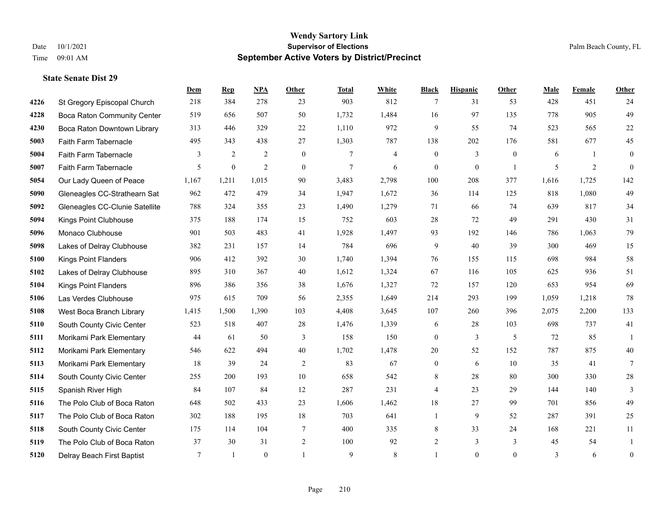|      |                                    | Dem    | <b>Rep</b>       | NPA            | <b>Other</b>     | <b>Total</b>   | <b>White</b>   | <b>Black</b>     | <b>Hispanic</b>  | <b>Other</b> | <b>Male</b> | Female         | <b>Other</b>     |
|------|------------------------------------|--------|------------------|----------------|------------------|----------------|----------------|------------------|------------------|--------------|-------------|----------------|------------------|
| 4226 | St Gregory Episcopal Church        | 218    | 384              | 278            | 23               | 903            | 812            | 7                | 31               | 53           | 428         | 451            | 24               |
| 4228 | <b>Boca Raton Community Center</b> | 519    | 656              | 507            | 50               | 1,732          | 1,484          | 16               | 97               | 135          | 778         | 905            | 49               |
| 4230 | Boca Raton Downtown Library        | 313    | 446              | 329            | 22               | 1,110          | 972            | 9                | 55               | 74           | 523         | 565            | $22\,$           |
| 5003 | Faith Farm Tabernacle              | 495    | 343              | 438            | 27               | 1,303          | 787            | 138              | 202              | 176          | 581         | 677            | 45               |
| 5004 | Faith Farm Tabernacle              | 3      | 2                | 2              | $\mathbf{0}$     | $\tau$         | $\overline{4}$ | $\mathbf{0}$     | 3                | $\theta$     | 6           | $\overline{1}$ | $\mathbf{0}$     |
| 5007 | Faith Farm Tabernacle              | 5      | $\boldsymbol{0}$ | $\overline{2}$ | $\boldsymbol{0}$ | $\overline{7}$ | 6              | $\boldsymbol{0}$ | $\boldsymbol{0}$ | -1           | 5           | $\overline{2}$ | $\mathbf{0}$     |
| 5054 | Our Lady Queen of Peace            | 1,167  | 1,211            | 1,015          | 90               | 3,483          | 2,798          | 100              | 208              | 377          | 1,616       | 1,725          | 142              |
| 5090 | Gleneagles CC-Strathearn Sat       | 962    | 472              | 479            | 34               | 1,947          | 1,672          | 36               | 114              | 125          | 818         | 1,080          | 49               |
| 5092 | Gleneagles CC-Clunie Satellite     | 788    | 324              | 355            | 23               | 1,490          | 1,279          | 71               | 66               | 74           | 639         | 817            | 34               |
| 5094 | Kings Point Clubhouse              | 375    | 188              | 174            | 15               | 752            | 603            | 28               | 72               | 49           | 291         | 430            | 31               |
| 5096 | Monaco Clubhouse                   | 901    | 503              | 483            | 41               | 1,928          | 1,497          | 93               | 192              | 146          | 786         | 1.063          | 79               |
| 5098 | Lakes of Delray Clubhouse          | 382    | 231              | 157            | 14               | 784            | 696            | 9                | 40               | 39           | 300         | 469            | 15               |
| 5100 | <b>Kings Point Flanders</b>        | 906    | 412              | 392            | 30               | 1,740          | 1,394          | 76               | 155              | 115          | 698         | 984            | 58               |
| 5102 | Lakes of Delray Clubhouse          | 895    | 310              | 367            | 40               | 1,612          | 1,324          | 67               | 116              | 105          | 625         | 936            | 51               |
| 5104 | <b>Kings Point Flanders</b>        | 896    | 386              | 356            | 38               | 1,676          | 1,327          | 72               | 157              | 120          | 653         | 954            | 69               |
| 5106 | Las Verdes Clubhouse               | 975    | 615              | 709            | 56               | 2,355          | 1,649          | 214              | 293              | 199          | 1,059       | 1,218          | 78               |
| 5108 | West Boca Branch Library           | 1,415  | 1,500            | 1,390          | 103              | 4,408          | 3,645          | 107              | 260              | 396          | 2,075       | 2,200          | 133              |
| 5110 | South County Civic Center          | 523    | 518              | 407            | 28               | 1,476          | 1,339          | 6                | 28               | 103          | 698         | 737            | 41               |
| 5111 | Morikami Park Elementary           | 44     | 61               | 50             | 3                | 158            | 150            | $\boldsymbol{0}$ | $\overline{3}$   | 5            | 72          | 85             | $\overline{1}$   |
| 5112 | Morikami Park Elementary           | 546    | 622              | 494            | 40               | 1,702          | 1,478          | $20\,$           | 52               | 152          | 787         | 875            | $40\,$           |
| 5113 | Morikami Park Elementary           | 18     | 39               | 24             | $\overline{2}$   | 83             | 67             | $\mathbf{0}$     | 6                | 10           | 35          | 41             | $\tau$           |
| 5114 | South County Civic Center          | 255    | 200              | 193            | $10\,$           | 658            | 542            | 8                | 28               | 80           | 300         | 330            | $28\,$           |
| 5115 | Spanish River High                 | 84     | 107              | 84             | 12               | 287            | 231            | 4                | 23               | 29           | 144         | 140            | 3                |
| 5116 | The Polo Club of Boca Raton        | 648    | 502              | 433            | 23               | 1,606          | 1,462          | 18               | 27               | 99           | 701         | 856            | 49               |
| 5117 | The Polo Club of Boca Raton        | 302    | 188              | 195            | 18               | 703            | 641            | $\mathbf{1}$     | 9                | 52           | 287         | 391            | 25               |
| 5118 | South County Civic Center          | 175    | 114              | 104            | 7                | 400            | 335            | 8                | 33               | 24           | 168         | 221            | 11               |
| 5119 | The Polo Club of Boca Raton        | 37     | 30               | 31             | 2                | 100            | 92             | 2                | 3                | 3            | 45          | 54             |                  |
| 5120 | Delray Beach First Baptist         | $\tau$ | $\mathbf{1}$     | $\theta$       |                  | 9              | 8              |                  | $\theta$         | $\theta$     | 3           | 6              | $\boldsymbol{0}$ |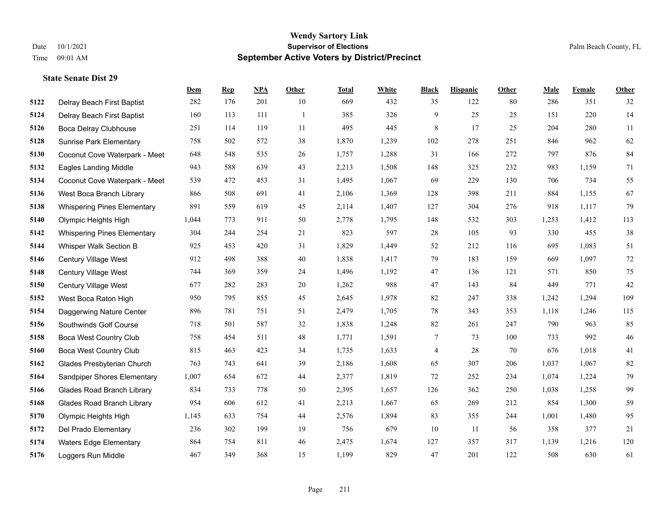|      |                                    | Dem   | <b>Rep</b> | NPA | <b>Other</b>   | <b>Total</b> | <b>White</b> | <b>Black</b>             | <b>Hispanic</b> | <b>Other</b> | <b>Male</b> | <b>Female</b> | <b>Other</b> |
|------|------------------------------------|-------|------------|-----|----------------|--------------|--------------|--------------------------|-----------------|--------------|-------------|---------------|--------------|
| 5122 | Delray Beach First Baptist         | 282   | 176        | 201 | 10             | 669          | 432          | 35                       | 122             | 80           | 286         | 351           | 32           |
| 5124 | Delray Beach First Baptist         | 160   | 113        | 111 | $\overline{1}$ | 385          | 326          | 9                        | 25              | 25           | 151         | 220           | 14           |
| 5126 | Boca Delray Clubhouse              | 251   | 114        | 119 | 11             | 495          | 445          | 8                        | 17              | 25           | 204         | 280           | 11           |
| 5128 | <b>Sunrise Park Elementary</b>     | 758   | 502        | 572 | 38             | 1,870        | 1,239        | 102                      | 278             | 251          | 846         | 962           | 62           |
| 5130 | Coconut Cove Waterpark - Meet      | 648   | 548        | 535 | 26             | 1,757        | 1,288        | 31                       | 166             | 272          | 797         | 876           | 84           |
| 5132 | <b>Eagles Landing Middle</b>       | 943   | 588        | 639 | 43             | 2,213        | 1,508        | 148                      | 325             | 232          | 983         | 1,159         | 71           |
| 5134 | Coconut Cove Waterpark - Meet      | 539   | 472        | 453 | 31             | 1,495        | 1,067        | 69                       | 229             | 130          | 706         | 734           | 55           |
| 5136 | West Boca Branch Library           | 866   | 508        | 691 | 41             | 2,106        | 1,369        | 128                      | 398             | 211          | 884         | 1,155         | 67           |
| 5138 | <b>Whispering Pines Elementary</b> | 891   | 559        | 619 | 45             | 2,114        | 1,407        | 127                      | 304             | 276          | 918         | 1,117         | 79           |
| 5140 | Olympic Heights High               | 1,044 | 773        | 911 | 50             | 2,778        | 1,795        | 148                      | 532             | 303          | 1,253       | 1,412         | 113          |
| 5142 | <b>Whispering Pines Elementary</b> | 304   | 244        | 254 | 21             | 823          | 597          | 28                       | 105             | 93           | 330         | 455           | $38\,$       |
| 5144 | Whisper Walk Section B             | 925   | 453        | 420 | 31             | 1,829        | 1,449        | 52                       | 212             | 116          | 695         | 1,083         | 51           |
| 5146 | <b>Century Village West</b>        | 912   | 498        | 388 | 40             | 1,838        | 1,417        | 79                       | 183             | 159          | 669         | 1,097         | $72\,$       |
| 5148 | Century Village West               | 744   | 369        | 359 | 24             | 1,496        | 1,192        | 47                       | 136             | 121          | 571         | 850           | 75           |
| 5150 | Century Village West               | 677   | 282        | 283 | 20             | 1,262        | 988          | 47                       | 143             | 84           | 449         | 771           | $42\,$       |
| 5152 | West Boca Raton High               | 950   | 795        | 855 | 45             | 2,645        | 1,978        | 82                       | 247             | 338          | 1,242       | 1,294         | 109          |
| 5154 | Daggerwing Nature Center           | 896   | 781        | 751 | 51             | 2,479        | 1,705        | 78                       | 343             | 353          | 1,118       | 1,246         | 115          |
| 5156 | Southwinds Golf Course             | 718   | 501        | 587 | 32             | 1,838        | 1,248        | 82                       | 261             | 247          | 790         | 963           | 85           |
| 5158 | <b>Boca West Country Club</b>      | 758   | 454        | 511 | 48             | 1,771        | 1,591        | 7                        | 73              | 100          | 733         | 992           | $46\,$       |
| 5160 | <b>Boca West Country Club</b>      | 815   | 463        | 423 | 34             | 1,735        | 1,633        | $\overline{\mathcal{A}}$ | 28              | 70           | 676         | 1,018         | 41           |
| 5162 | Glades Presbyterian Church         | 763   | 743        | 641 | 39             | 2,186        | 1,608        | 65                       | 307             | 206          | 1,037       | 1,067         | $82\,$       |
| 5164 | Sandpiper Shores Elementary        | 1,007 | 654        | 672 | 44             | 2,377        | 1,819        | 72                       | 252             | 234          | 1,074       | 1,224         | 79           |
| 5166 | <b>Glades Road Branch Library</b>  | 834   | 733        | 778 | 50             | 2,395        | 1,657        | 126                      | 362             | 250          | 1,038       | 1,258         | 99           |
| 5168 | <b>Glades Road Branch Library</b>  | 954   | 606        | 612 | 41             | 2,213        | 1,667        | 65                       | 269             | 212          | 854         | 1,300         | 59           |
| 5170 | Olympic Heights High               | 1,145 | 633        | 754 | 44             | 2,576        | 1,894        | 83                       | 355             | 244          | 1,001       | 1,480         | 95           |
| 5172 | Del Prado Elementary               | 236   | 302        | 199 | 19             | 756          | 679          | 10                       | 11              | 56           | 358         | 377           | 21           |
| 5174 | <b>Waters Edge Elementary</b>      | 864   | 754        | 811 | 46             | 2,475        | 1,674        | 127                      | 357             | 317          | 1,139       | 1,216         | 120          |
| 5176 | Loggers Run Middle                 | 467   | 349        | 368 | 15             | 1,199        | 829          | 47                       | 201             | 122          | 508         | 630           | 61           |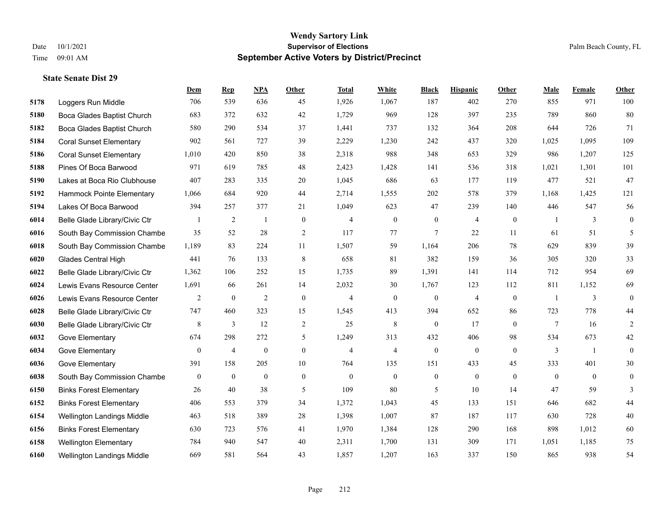**State Senate Dist 29**

#### **Wendy Sartory Link** Date 10/1/2021 **Supervisor of Elections** Palm Beach County, FL Time 09:01 AM **September Active Voters by District/Precinct**

# **Dem Rep NPA Other Total White Black Hispanic Other Male Female Other** Loggers Run Middle 706 539 636 45 1,926 1,067 187 402 270 855 971 100 Boca Glades Baptist Church 683 372 632 42 1,729 969 128 397 235 789 860 80 Boca Glades Baptist Church 580 290 534 37 1,441 737 132 364 208 644 726 71 Coral Sunset Elementary 902 561 727 39 2,229 1,230 242 437 320 1,025 1,095 109 Coral Sunset Elementary 1,010 420 850 38 2,318 988 348 653 329 986 1,207 125 Pines Of Boca Barwood 971 619 785 48 2,423 1,428 141 536 318 1,021 1,301 101 Lakes at Boca Rio Clubhouse 407 283 335 20 1,045 686 63 177 119 477 521 47 Hammock Pointe Elementary 1,066 684 920 44 2,714 1,555 202 578 379 1,168 1,425 121 Lakes Of Boca Barwood 394 257 377 21 1,049 623 47 239 140 446 547 56 Belle Glade Library/Civic Ctr 1 2 1 0 4 0 0 4 0 1 3 0 South Bay Commission Chambe 35 52 28 2 117 77 7 22 11 61 51 5 South Bay Commission Chambe 1,189 83 224 11 1,507 59 1,164 206 78 629 839 39 Glades Central High 441 76 133 8 658 81 382 159 36 305 320 33 Belle Glade Library/Civic Ctr 1,362 106 252 15 1,735 89 1,391 141 114 712 954 69 Lewis Evans Resource Center 1,691 66 261 14 2,032 30 1,767 123 112 811 1,152 69 Lewis Evans Resource Center  $\begin{array}{ccccccccccccc}\n2 & 0 & 2 & 0 & 4 & 0 & 4 & 0 & 1 & 3 & 0\n\end{array}$  Belle Glade Library/Civic Ctr 747 460 323 15 1,545 413 394 652 86 723 778 44 Belle Glade Library/Civic Ctr 8 3 12 2 25 8 0 17 0 7 16 2 Gove Elementary 674 298 272 5 1,249 313 432 406 98 534 673 42 Gove Elementary 0 4 0 4 4 0 0 0 3 1 0 Gove Elementary 391 158 205 10 764 135 151 433 45 333 401 30 South Bay Commission Chambers 0 0 0 0 0 0 0 0 0 0 0 0 Binks Forest Elementary 26 40 38 5 109 80 5 10 14 47 59 3 Binks Forest Elementary 406 553 379 34 1,372 1,043 45 133 151 646 682 44 Wellington Landings Middle 463 518 389 28 1,398 1,007 87 187 117 630 728 40 Binks Forest Elementary 630 723 576 41 1,970 1,384 128 290 168 898 1,012 60 Wellington Elementary 784 940 547 40 2,311 1,700 131 309 171 1,051 1,185 75 Wellington Landings Middle 669 581 564 43 1,857 1,207 163 337 150 865 938 54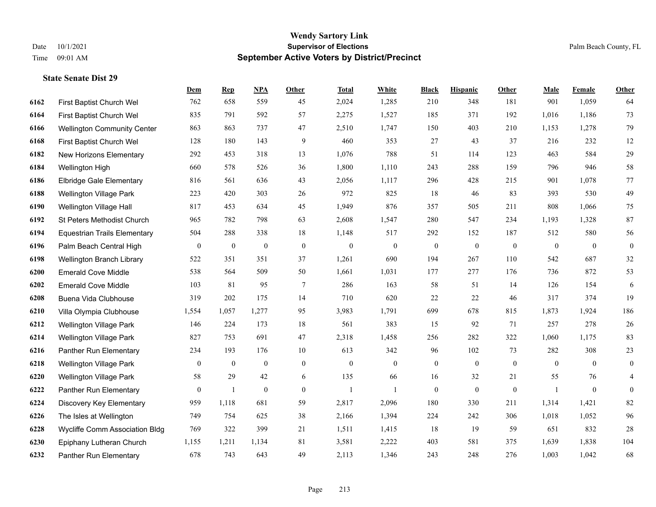|      |                                     | Dem              | <b>Rep</b>       | NPA              | <b>Other</b>   | <b>Total</b>     | <b>White</b>   | <b>Black</b>     | <b>Hispanic</b>  | <b>Other</b>   | <b>Male</b>    | <b>Female</b>  | <b>Other</b>     |
|------|-------------------------------------|------------------|------------------|------------------|----------------|------------------|----------------|------------------|------------------|----------------|----------------|----------------|------------------|
| 6162 | First Baptist Church Wel            | 762              | 658              | 559              | 45             | 2,024            | 1,285          | 210              | 348              | 181            | 901            | 1,059          | 64               |
| 6164 | First Baptist Church Wel            | 835              | 791              | 592              | 57             | 2,275            | 1,527          | 185              | 371              | 192            | 1,016          | 1,186          | 73               |
| 6166 | <b>Wellington Community Center</b>  | 863              | 863              | 737              | 47             | 2,510            | 1,747          | 150              | 403              | 210            | 1,153          | 1,278          | 79               |
| 6168 | First Baptist Church Wel            | 128              | 180              | 143              | 9              | 460              | 353            | 27               | 43               | 37             | 216            | 232            | 12               |
| 6182 | New Horizons Elementary             | 292              | 453              | 318              | 13             | 1,076            | 788            | 51               | 114              | 123            | 463            | 584            | 29               |
| 6184 | Wellington High                     | 660              | 578              | 526              | 36             | 1,800            | 1,110          | 243              | 288              | 159            | 796            | 946            | $58\,$           |
| 6186 | <b>Elbridge Gale Elementary</b>     | 816              | 561              | 636              | 43             | 2,056            | 1,117          | 296              | 428              | 215            | 901            | 1,078          | 77               |
| 6188 | <b>Wellington Village Park</b>      | 223              | 420              | 303              | 26             | 972              | 825            | 18               | 46               | 83             | 393            | 530            | 49               |
| 6190 | Wellington Village Hall             | 817              | 453              | 634              | 45             | 1,949            | 876            | 357              | 505              | 211            | 808            | 1,066          | $75\,$           |
| 6192 | St Peters Methodist Church          | 965              | 782              | 798              | 63             | 2,608            | 1,547          | 280              | 547              | 234            | 1,193          | 1,328          | 87               |
| 6194 | <b>Equestrian Trails Elementary</b> | 504              | 288              | 338              | 18             | 1,148            | 517            | 292              | 152              | 187            | 512            | 580            | 56               |
| 6196 | Palm Beach Central High             | $\boldsymbol{0}$ | $\boldsymbol{0}$ | $\boldsymbol{0}$ | $\mathbf{0}$   | $\boldsymbol{0}$ | $\mathbf{0}$   | $\boldsymbol{0}$ | $\boldsymbol{0}$ | $\overline{0}$ | $\overline{0}$ | $\overline{0}$ | $\boldsymbol{0}$ |
| 6198 | Wellington Branch Library           | 522              | 351              | 351              | 37             | 1,261            | 690            | 194              | 267              | 110            | 542            | 687            | $32\,$           |
| 6200 | <b>Emerald Cove Middle</b>          | 538              | 564              | 509              | 50             | 1,661            | 1,031          | 177              | 277              | 176            | 736            | 872            | 53               |
| 6202 | <b>Emerald Cove Middle</b>          | 103              | 81               | 95               | 7              | 286              | 163            | 58               | 51               | 14             | 126            | 154            | $\sqrt{6}$       |
| 6208 | Buena Vida Clubhouse                | 319              | 202              | 175              | 14             | 710              | 620            | 22               | 22               | 46             | 317            | 374            | 19               |
| 6210 | Villa Olympia Clubhouse             | 1,554            | 1,057            | 1,277            | 95             | 3,983            | 1,791          | 699              | 678              | 815            | 1,873          | 1,924          | 186              |
| 6212 | <b>Wellington Village Park</b>      | 146              | 224              | 173              | 18             | 561              | 383            | 15               | 92               | 71             | 257            | 278            | $26\,$           |
| 6214 | Wellington Village Park             | 827              | 753              | 691              | 47             | 2,318            | 1,458          | 256              | 282              | 322            | 1,060          | 1,175          | 83               |
| 6216 | Panther Run Elementary              | 234              | 193              | 176              | $10\,$         | 613              | 342            | 96               | 102              | 73             | 282            | 308            | $23\,$           |
| 6218 | <b>Wellington Village Park</b>      | $\overline{0}$   | $\boldsymbol{0}$ | $\boldsymbol{0}$ | $\overline{0}$ | $\mathbf{0}$     | $\overline{0}$ | $\boldsymbol{0}$ | $\mathbf{0}$     | $\overline{0}$ | $\theta$       | $\overline{0}$ | $\boldsymbol{0}$ |
| 6220 | Wellington Village Park             | 58               | 29               | 42               | 6              | 135              | 66             | 16               | 32               | 21             | 55             | 76             | 4                |
| 6222 | Panther Run Elementary              | $\boldsymbol{0}$ | $\mathbf{1}$     | $\boldsymbol{0}$ | $\overline{0}$ | 1                | 1              | $\boldsymbol{0}$ | $\boldsymbol{0}$ | $\mathbf{0}$   |                | $\mathbf{0}$   | $\boldsymbol{0}$ |
| 6224 | Discovery Key Elementary            | 959              | 1,118            | 681              | 59             | 2,817            | 2,096          | 180              | 330              | 211            | 1,314          | 1,421          | 82               |
| 6226 | The Isles at Wellington             | 749              | 754              | 625              | 38             | 2,166            | 1,394          | 224              | 242              | 306            | 1,018          | 1,052          | 96               |
| 6228 | Wycliffe Comm Association Bldg      | 769              | 322              | 399              | 21             | 1,511            | 1,415          | 18               | 19               | 59             | 651            | 832            | $28\,$           |
| 6230 | Epiphany Lutheran Church            | 1,155            | 1,211            | 1,134            | 81             | 3,581            | 2,222          | 403              | 581              | 375            | 1,639          | 1,838          | 104              |
| 6232 | Panther Run Elementary              | 678              | 743              | 643              | 49             | 2,113            | 1,346          | 243              | 248              | 276            | 1,003          | 1,042          | 68               |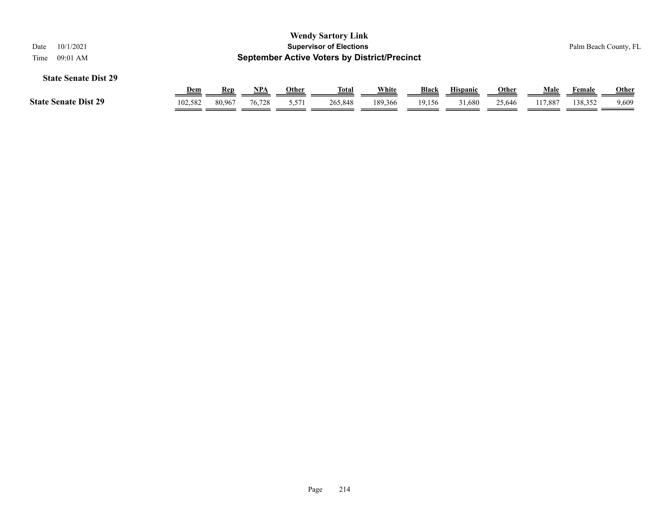| <b>Wendy Sartory Link</b><br><b>Supervisor of Elections</b><br>10/1/2021<br>Date<br><b>September Active Voters by District/Precinct</b><br>09:01 AM<br>Time |            |        |        |       |              |         |              |                 |              |         |         | Palm Beach County, FL |
|-------------------------------------------------------------------------------------------------------------------------------------------------------------|------------|--------|--------|-------|--------------|---------|--------------|-----------------|--------------|---------|---------|-----------------------|
| <b>State Senate Dist 29</b>                                                                                                                                 |            |        |        |       |              |         |              |                 |              |         |         |                       |
|                                                                                                                                                             | <u>Dem</u> | Rep    | NPA    | Other | <b>Total</b> | White   | <b>Black</b> | <b>Hispanic</b> | <b>Other</b> | Male    | Female  | Other                 |
| <b>State Senate Dist 29</b>                                                                                                                                 | 102,582    | 80,967 | 76,728 | 5,571 | 265,848      | 189,366 | 19,156       | 31,680          | 25,646       | 117,887 | 138,352 | 9,609                 |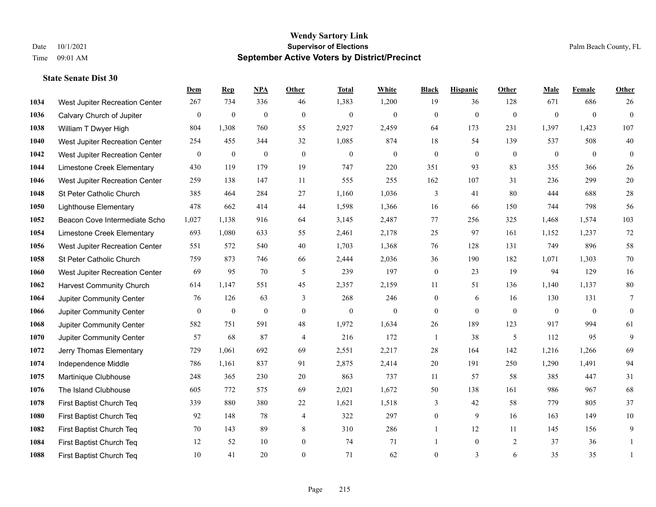|      |                                 | Dem          | <b>Rep</b>       | NPA          | <b>Other</b>     | <b>Total</b>     | <b>White</b>   | <b>Black</b>   | <b>Hispanic</b> | Other          | <b>Male</b>    | <b>Female</b>  | <b>Other</b>   |
|------|---------------------------------|--------------|------------------|--------------|------------------|------------------|----------------|----------------|-----------------|----------------|----------------|----------------|----------------|
| 1034 | West Jupiter Recreation Center  | 267          | 734              | 336          | 46               | 1,383            | 1,200          | 19             | 36              | 128            | 671            | 686            | 26             |
| 1036 | Calvary Church of Jupiter       | $\mathbf{0}$ | $\mathbf{0}$     | $\mathbf{0}$ | $\mathbf{0}$     | $\mathbf{0}$     | $\overline{0}$ | $\mathbf{0}$   | $\mathbf{0}$    | $\overline{0}$ | $\overline{0}$ | $\overline{0}$ | $\mathbf{0}$   |
| 1038 | William T Dwyer High            | 804          | 1,308            | 760          | 55               | 2,927            | 2,459          | 64             | 173             | 231            | 1,397          | 1,423          | 107            |
| 1040 | West Jupiter Recreation Center  | 254          | 455              | 344          | 32               | 1,085            | 874            | 18             | 54              | 139            | 537            | 508            | $40\,$         |
| 1042 | West Jupiter Recreation Center  | $\mathbf{0}$ | $\boldsymbol{0}$ | $\mathbf{0}$ | $\theta$         | $\overline{0}$   | $\mathbf{0}$   | $\overline{0}$ | $\mathbf{0}$    | $\theta$       | $\theta$       | $\theta$       | $\theta$       |
| 1044 | Limestone Creek Elementary      | 430          | 119              | 179          | 19               | 747              | 220            | 351            | 93              | 83             | 355            | 366            | 26             |
| 1046 | West Jupiter Recreation Center  | 259          | 138              | 147          | 11               | 555              | 255            | 162            | 107             | 31             | 236            | 299            | $20\,$         |
| 1048 | St Peter Catholic Church        | 385          | 464              | 284          | 27               | 1,160            | 1,036          | 3              | 41              | 80             | 444            | 688            | $28\,$         |
| 1050 | <b>Lighthouse Elementary</b>    | 478          | 662              | 414          | 44               | 1,598            | 1,366          | 16             | 66              | 150            | 744            | 798            | 56             |
| 1052 | Beacon Cove Intermediate Scho   | 1,027        | 1,138            | 916          | 64               | 3,145            | 2,487          | 77             | 256             | 325            | 1,468          | 1,574          | 103            |
| 1054 | Limestone Creek Elementary      | 693          | 1,080            | 633          | 55               | 2,461            | 2,178          | 25             | 97              | 161            | 1,152          | 1,237          | $72\,$         |
| 1056 | West Jupiter Recreation Center  | 551          | 572              | 540          | 40               | 1,703            | 1,368          | 76             | 128             | 131            | 749            | 896            | 58             |
| 1058 | St Peter Catholic Church        | 759          | 873              | 746          | 66               | 2,444            | 2,036          | 36             | 190             | 182            | 1,071          | 1,303          | $70\,$         |
| 1060 | West Jupiter Recreation Center  | 69           | 95               | 70           | 5                | 239              | 197            | $\mathbf{0}$   | 23              | 19             | 94             | 129            | 16             |
| 1062 | <b>Harvest Community Church</b> | 614          | 1,147            | 551          | 45               | 2,357            | 2,159          | 11             | 51              | 136            | 1,140          | 1,137          | $80\,$         |
| 1064 | Jupiter Community Center        | 76           | 126              | 63           | 3                | 268              | 246            | $\mathbf{0}$   | 6               | 16             | 130            | 131            | 7              |
| 1066 | Jupiter Community Center        | $\mathbf{0}$ | $\mathbf{0}$     | $\mathbf{0}$ | $\mathbf{0}$     | $\boldsymbol{0}$ | $\mathbf{0}$   | $\mathbf{0}$   | $\mathbf{0}$    | $\mathbf{0}$   | $\mathbf{0}$   | $\mathbf{0}$   | $\mathbf{0}$   |
| 1068 | Jupiter Community Center        | 582          | 751              | 591          | 48               | 1,972            | 1,634          | 26             | 189             | 123            | 917            | 994            | 61             |
| 1070 | Jupiter Community Center        | 57           | 68               | 87           | $\overline{4}$   | 216              | 172            | $\mathbf{1}$   | 38              | 5              | 112            | 95             | $\overline{9}$ |
| 1072 | Jerry Thomas Elementary         | 729          | 1,061            | 692          | 69               | 2,551            | 2,217          | 28             | 164             | 142            | 1,216          | 1,266          | 69             |
| 1074 | Independence Middle             | 786          | 1,161            | 837          | 91               | 2,875            | 2,414          | $20\,$         | 191             | 250            | 1,290          | 1,491          | 94             |
| 1075 | Martinique Clubhouse            | 248          | 365              | 230          | $20\,$           | 863              | 737            | 11             | 57              | 58             | 385            | 447            | 31             |
| 1076 | The Island Clubhouse            | 605          | 772              | 575          | 69               | 2,021            | 1,672          | 50             | 138             | 161            | 986            | 967            | 68             |
| 1078 | First Baptist Church Teq        | 339          | 880              | 380          | $22\,$           | 1,621            | 1,518          | 3              | 42              | 58             | 779            | 805            | 37             |
| 1080 | First Baptist Church Teq        | 92           | 148              | 78           | $\overline{4}$   | 322              | 297            | $\overline{0}$ | 9               | 16             | 163            | 149            | $10\,$         |
| 1082 | First Baptist Church Teq        | 70           | 143              | 89           | 8                | 310              | 286            | 1              | 12              | 11             | 145            | 156            | 9              |
| 1084 | First Baptist Church Teq        | 12           | 52               | 10           | $\boldsymbol{0}$ | 74               | 71             |                | $\mathbf{0}$    | 2              | 37             | 36             | 1              |
| 1088 | First Baptist Church Teq        | 10           | 41               | 20           | $\theta$         | 71               | 62             | $\overline{0}$ | 3               | 6              | 35             | 35             | 1              |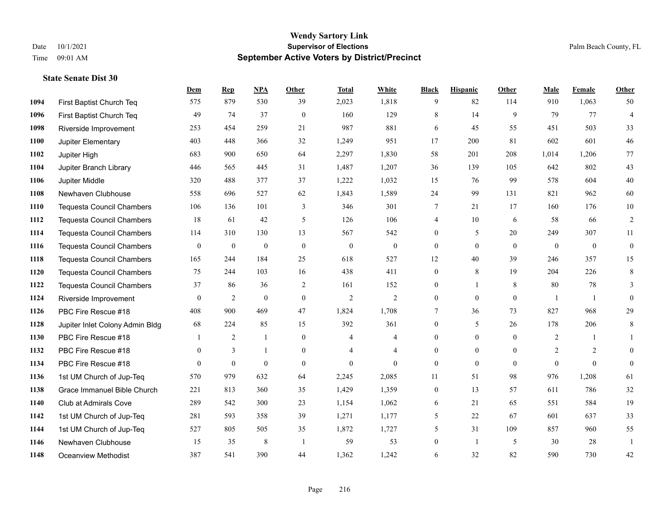**State Senate Dist 30**

#### **Wendy Sartory Link** Date 10/1/2021 **Supervisor of Elections** Palm Beach County, FL Time 09:01 AM **September Active Voters by District/Precinct**

# **Dem Rep NPA Other Total White Black Hispanic Other Male Female Other**

| 1094 | First Baptist Church Teq         | 575          | 879            | 530              | 39               | 2,023            | 1,818          | 9                | 82             | 114          | 910            | 1,063          | 50             |
|------|----------------------------------|--------------|----------------|------------------|------------------|------------------|----------------|------------------|----------------|--------------|----------------|----------------|----------------|
| 1096 | First Baptist Church Teq         | 49           | 74             | 37               | $\overline{0}$   | 160              | 129            | 8                | 14             | 9            | 79             | 77             | $\overline{4}$ |
| 1098 | Riverside Improvement            | 253          | 454            | 259              | 21               | 987              | 881            | 6                | 45             | 55           | 451            | 503            | 33             |
| 1100 | Jupiter Elementary               | 403          | 448            | 366              | 32               | 1,249            | 951            | 17               | 200            | 81           | 602            | 601            | $46\,$         |
| 1102 | Jupiter High                     | 683          | 900            | 650              | 64               | 2,297            | 1,830          | 58               | 201            | 208          | 1,014          | 1,206          | 77             |
| 1104 | Jupiter Branch Library           | 446          | 565            | 445              | 31               | 1,487            | 1,207          | 36               | 139            | 105          | 642            | 802            | 43             |
| 1106 | Jupiter Middle                   | 320          | 488            | 377              | 37               | 1,222            | 1,032          | 15               | 76             | 99           | 578            | 604            | 40             |
| 1108 | Newhaven Clubhouse               | 558          | 696            | 527              | 62               | 1,843            | 1,589          | 24               | 99             | 131          | 821            | 962            | 60             |
| 1110 | <b>Tequesta Council Chambers</b> | 106          | 136            | 101              | 3                | 346              | 301            | $7\phantom{.0}$  | 21             | 17           | 160            | 176            | $10\,$         |
| 1112 | <b>Tequesta Council Chambers</b> | 18           | 61             | 42               | $\mathfrak{H}$   | 126              | 106            | $\overline{4}$   | 10             | 6            | 58             | 66             | $\overline{2}$ |
| 1114 | <b>Tequesta Council Chambers</b> | 114          | 310            | 130              | 13               | 567              | 542            | $\Omega$         | 5              | 20           | 249            | 307            | $11\,$         |
| 1116 | <b>Tequesta Council Chambers</b> | $\mathbf{0}$ | $\mathbf{0}$   | $\boldsymbol{0}$ | $\mathbf{0}$     | $\boldsymbol{0}$ | $\mathbf{0}$   | $\Omega$         | $\overline{0}$ | $\theta$     | $\mathbf{0}$   | $\overline{0}$ | $\overline{0}$ |
| 1118 | Tequesta Council Chambers        | 165          | 244            | 184              | 25               | 618              | 527            | 12               | 40             | 39           | 246            | 357            | 15             |
| 1120 | <b>Tequesta Council Chambers</b> | 75           | 244            | 103              | 16               | 438              | 411            | $\mathbf{0}$     | 8              | 19           | 204            | 226            | $\,$ 8 $\,$    |
| 1122 | <b>Tequesta Council Chambers</b> | 37           | 86             | 36               | 2                | 161              | 152            | $\theta$         | $\mathbf{1}$   | 8            | 80             | 78             | 3              |
| 1124 | Riverside Improvement            | $\mathbf{0}$ | $\overline{2}$ | $\boldsymbol{0}$ | $\boldsymbol{0}$ | $\sqrt{2}$       | $\overline{2}$ | $\overline{0}$   | $\overline{0}$ | $\mathbf{0}$ |                | $\overline{1}$ | $\overline{0}$ |
| 1126 | PBC Fire Rescue #18              | 408          | 900            | 469              | 47               | 1,824            | 1,708          | $\tau$           | 36             | 73           | 827            | 968            | 29             |
| 1128 | Jupiter Inlet Colony Admin Bldg  | 68           | 224            | 85               | 15               | 392              | 361            | $\overline{0}$   | 5              | 26           | 178            | 206            | 8              |
| 1130 | PBC Fire Rescue #18              |              | 2              |                  | $\overline{0}$   | $\overline{4}$   | 4              | $\overline{0}$   | $\overline{0}$ | $\mathbf{0}$ | $\overline{2}$ | $\mathbf{1}$   |                |
| 1132 | PBC Fire Rescue #18              | $\theta$     | 3              | 1                | $\theta$         | $\overline{4}$   | $\overline{4}$ | $\Omega$         | $\overline{0}$ | $\theta$     | $\overline{2}$ | $\overline{2}$ | $\Omega$       |
| 1134 | PBC Fire Rescue #18              | $\theta$     | $\overline{0}$ | $\mathbf{0}$     | $\overline{0}$   | $\mathbf{0}$     | $\Omega$       | $\theta$         | $\overline{0}$ | $\theta$     | $\theta$       | $\theta$       | $\theta$       |
| 1136 | 1st UM Church of Jup-Teq         | 570          | 979            | 632              | 64               | 2,245            | 2,085          | 11               | 51             | 98           | 976            | 1,208          | 61             |
| 1138 | Grace Immanuel Bible Church      | 221          | 813            | 360              | 35               | 1,429            | 1,359          | $\boldsymbol{0}$ | 13             | 57           | 611            | 786            | $32\,$         |
| 1140 | Club at Admirals Cove            | 289          | 542            | 300              | 23               | 1,154            | 1,062          | 6                | 21             | 65           | 551            | 584            | 19             |
| 1142 | 1st UM Church of Jup-Teq         | 281          | 593            | 358              | 39               | 1,271            | 1,177          | 5                | 22             | 67           | 601            | 637            | 33             |
| 1144 | 1st UM Church of Jup-Teq         | 527          | 805            | 505              | 35               | 1,872            | 1,727          | 5                | 31             | 109          | 857            | 960            | 55             |
| 1146 | Newhaven Clubhouse               | 15           | 35             | $\,$ 8 $\,$      | -1               | 59               | 53             | $\overline{0}$   | $\mathbf{1}$   | 5            | 30             | 28             | -1             |
| 1148 | Oceanview Methodist              | 387          | 541            | 390              | 44               | 1,362            | 1,242          | 6                | 32             | 82           | 590            | 730            | 42             |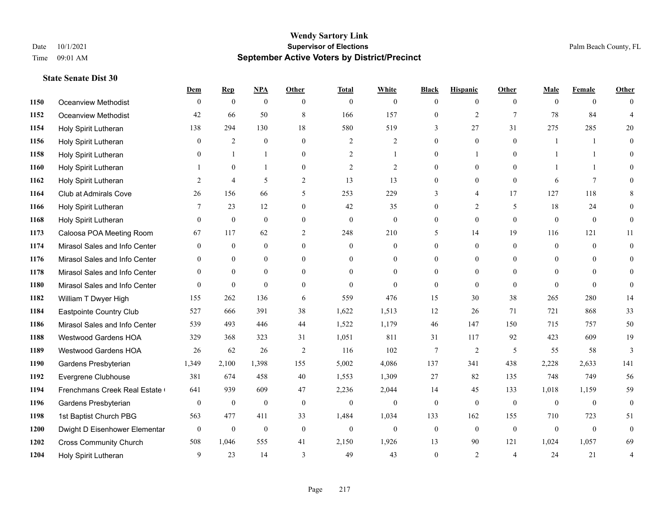|      |                               | Dem            | <b>Rep</b>       | NPA              | <b>Other</b>   | <b>Total</b>   | <b>White</b>     | <b>Black</b>     | <b>Hispanic</b> | <b>Other</b>   | <b>Male</b>  | <b>Female</b>   | <b>Other</b>   |
|------|-------------------------------|----------------|------------------|------------------|----------------|----------------|------------------|------------------|-----------------|----------------|--------------|-----------------|----------------|
| 1150 | Oceanview Methodist           | $\mathbf{0}$   | $\mathbf{0}$     | $\mathbf{0}$     | $\theta$       | $\theta$       | $\overline{0}$   | $\mathbf{0}$     | $\overline{0}$  | $\theta$       | $\theta$     | $\overline{0}$  | $\Omega$       |
| 1152 | <b>Oceanview Methodist</b>    | 42             | 66               | 50               | 8              | 166            | 157              | $\mathbf{0}$     | $\overline{2}$  | $\tau$         | 78           | 84              | $\overline{4}$ |
| 1154 | Holy Spirit Lutheran          | 138            | 294              | 130              | 18             | 580            | 519              | 3                | 27              | 31             | 275          | 285             | 20             |
| 1156 | Holy Spirit Lutheran          | $\mathbf{0}$   | $\overline{2}$   | $\mathbf{0}$     | $\overline{0}$ | $\overline{2}$ | $\overline{c}$   | $\boldsymbol{0}$ | $\mathbf{0}$    | $\mathbf{0}$   |              | 1               | $\theta$       |
| 1158 | Holy Spirit Lutheran          | $\Omega$       | $\mathbf{1}$     | $\mathbf{1}$     | $\Omega$       | 2              | $\mathbf{1}$     | $\mathbf{0}$     | $\mathbf{1}$    | $\theta$       |              | $\mathbf{1}$    | $\Omega$       |
| 1160 | Holy Spirit Lutheran          |                | $\mathbf{0}$     | $\mathbf{1}$     | $\overline{0}$ | $\overline{2}$ | 2                | $\mathbf{0}$     | $\mathbf{0}$    | $\theta$       |              | -1              | $\theta$       |
| 1162 | Holy Spirit Lutheran          | 2              | $\overline{4}$   | 5                | $\overline{2}$ | 13             | 13               | $\mathbf{0}$     | $\mathbf{0}$    | $\theta$       | 6            | $7\phantom{.0}$ | $\Omega$       |
| 1164 | Club at Admirals Cove         | 26             | 156              | 66               | 5              | 253            | 229              | 3                | $\overline{4}$  | 17             | 127          | 118             | 8              |
| 1166 | Holy Spirit Lutheran          | 7              | 23               | 12               | $\overline{0}$ | 42             | 35               | $\boldsymbol{0}$ | $\overline{c}$  | 5              | 18           | 24              | $\Omega$       |
| 1168 | Holy Spirit Lutheran          | $\theta$       | $\mathbf{0}$     | $\overline{0}$   | $\overline{0}$ | $\mathbf{0}$   | $\overline{0}$   | $\mathbf{0}$     | $\theta$        | $\theta$       | $\theta$     | $\overline{0}$  | $\mathbf{0}$   |
| 1173 | Caloosa POA Meeting Room      | 67             | 117              | 62               | $\overline{2}$ | 248            | 210              | 5                | 14              | 19             | 116          | 121             | 11             |
| 1174 | Mirasol Sales and Info Center | $\overline{0}$ | $\mathbf{0}$     | $\overline{0}$   | $\Omega$       | $\theta$       | $\overline{0}$   | $\mathbf{0}$     | $\mathbf{0}$    | $\theta$       | $\mathbf{0}$ | $\theta$        | $\mathbf{0}$   |
| 1176 | Mirasol Sales and Info Center | $\Omega$       | $\overline{0}$   | $\overline{0}$   | $\Omega$       | $\Omega$       | $\overline{0}$   | $\Omega$         | $\mathbf{0}$    | $\theta$       | $\theta$     | $\Omega$        | $\theta$       |
| 1178 | Mirasol Sales and Info Center | $\mathbf{0}$   | $\mathbf{0}$     | $\mathbf{0}$     | $\overline{0}$ | $\mathbf{0}$   | $\boldsymbol{0}$ | $\boldsymbol{0}$ | $\mathbf{0}$    | $\overline{0}$ | $\mathbf{0}$ | $\mathbf{0}$    | $\theta$       |
| 1180 | Mirasol Sales and Info Center | $\theta$       | $\mathbf{0}$     | $\mathbf{0}$     | $\theta$       | $\Omega$       | $\Omega$         | $\mathbf{0}$     | $\theta$        | $\theta$       | $\Omega$     | $\Omega$        | $\theta$       |
| 1182 | William T Dwyer High          | 155            | 262              | 136              | 6              | 559            | 476              | 15               | 30              | 38             | 265          | 280             | 14             |
| 1184 | Eastpointe Country Club       | 527            | 666              | 391              | 38             | 1,622          | 1,513            | 12               | 26              | 71             | 721          | 868             | 33             |
| 1186 | Mirasol Sales and Info Center | 539            | 493              | 446              | 44             | 1,522          | 1,179            | 46               | 147             | 150            | 715          | 757             | 50             |
| 1188 | <b>Westwood Gardens HOA</b>   | 329            | 368              | 323              | 31             | 1,051          | 811              | 31               | 117             | 92             | 423          | 609             | 19             |
| 1189 | Westwood Gardens HOA          | 26             | 62               | 26               | $\overline{2}$ | 116            | 102              | $\overline{7}$   | $\mathfrak{2}$  | 5              | 55           | 58              | 3              |
| 1190 | Gardens Presbyterian          | 1,349          | 2,100            | 1,398            | 155            | 5,002          | 4,086            | 137              | 341             | 438            | 2,228        | 2,633           | 141            |
| 1192 | Evergrene Clubhouse           | 381            | 674              | 458              | 40             | 1,553          | 1,309            | 27               | 82              | 135            | 748          | 749             | 56             |
| 1194 | Frenchmans Creek Real Estate  | 641            | 939              | 609              | 47             | 2,236          | 2,044            | 14               | 45              | 133            | 1,018        | 1,159           | 59             |
| 1196 | Gardens Presbyterian          | $\overline{0}$ | $\boldsymbol{0}$ | $\boldsymbol{0}$ | $\mathbf{0}$   | $\mathbf{0}$   | $\mathbf{0}$     | $\boldsymbol{0}$ | $\mathbf{0}$    | $\mathbf{0}$   | $\mathbf{0}$ | $\mathbf{0}$    | $\mathbf{0}$   |
| 1198 | 1st Baptist Church PBG        | 563            | 477              | 411              | 33             | 1,484          | 1,034            | 133              | 162             | 155            | 710          | 723             | 51             |
| 1200 | Dwight D Eisenhower Elementar | $\mathbf{0}$   | $\boldsymbol{0}$ | $\boldsymbol{0}$ | $\mathbf{0}$   | $\mathbf{0}$   | $\boldsymbol{0}$ | $\mathbf{0}$     | $\mathbf{0}$    | $\theta$       | $\mathbf{0}$ | $\overline{0}$  | $\mathbf{0}$   |
| 1202 | <b>Cross Community Church</b> | 508            | 1,046            | 555              | 41             | 2,150          | 1,926            | 13               | 90              | 121            | 1,024        | 1,057           | 69             |
| 1204 | Holy Spirit Lutheran          | 9              | 23               | 14               | 3              | 49             | 43               | $\theta$         | $\overline{c}$  | $\overline{4}$ | 24           | 21              | 4              |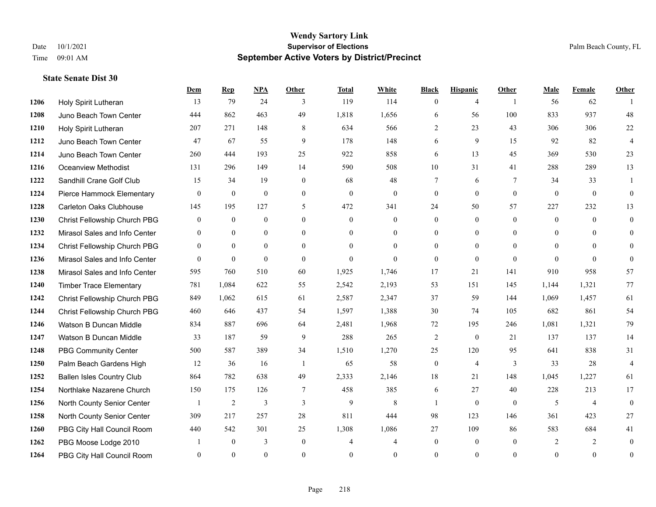|      |                                  | Dem            | <b>Rep</b>     | NPA            | <b>Other</b>   | <b>Total</b>   | <b>White</b>   | <b>Black</b>     | <b>Hispanic</b> | <b>Other</b>   | <b>Male</b> | <b>Female</b>  | <b>Other</b>     |
|------|----------------------------------|----------------|----------------|----------------|----------------|----------------|----------------|------------------|-----------------|----------------|-------------|----------------|------------------|
| 1206 | Holy Spirit Lutheran             | 13             | 79             | 24             | 3              | 119            | 114            | $\mathbf{0}$     | $\overline{4}$  | $\overline{1}$ | 56          | 62             |                  |
| 1208 | Juno Beach Town Center           | 444            | 862            | 463            | 49             | 1,818          | 1,656          | 6                | 56              | 100            | 833         | 937            | 48               |
| 1210 | Holy Spirit Lutheran             | 207            | 271            | 148            | 8              | 634            | 566            | 2                | 23              | 43             | 306         | 306            | 22               |
| 1212 | Juno Beach Town Center           | 47             | 67             | 55             | 9              | 178            | 148            | 6                | 9               | 15             | 92          | 82             | $\overline{4}$   |
| 1214 | Juno Beach Town Center           | 260            | 444            | 193            | 25             | 922            | 858            | 6                | 13              | 45             | 369         | 530            | 23               |
| 1216 | <b>Oceanview Methodist</b>       | 131            | 296            | 149            | 14             | 590            | 508            | 10               | 31              | 41             | 288         | 289            | 13               |
| 1222 | Sandhill Crane Golf Club         | 15             | 34             | 19             | $\overline{0}$ | 68             | 48             | $7\phantom{.0}$  | 6               | $\tau$         | 34          | 33             | 1                |
| 1224 | Pierce Hammock Elementary        | $\theta$       | $\mathbf{0}$   | $\theta$       | $\Omega$       | $\Omega$       | $\overline{0}$ | $\mathbf{0}$     | $\theta$        | $\theta$       | $\theta$    | $\theta$       | $\theta$         |
| 1228 | Carleton Oaks Clubhouse          | 145            | 195            | 127            | 5              | 472            | 341            | 24               | 50              | 57             | 227         | 232            | 13               |
| 1230 | Christ Fellowship Church PBG     | $\overline{0}$ | $\overline{0}$ | $\mathbf{0}$   | $\overline{0}$ | $\theta$       | $\overline{0}$ | $\mathbf{0}$     | $\overline{0}$  | $\theta$       | $\theta$    | $\theta$       | $\mathbf{0}$     |
| 1232 | Mirasol Sales and Info Center    | $\theta$       | $\theta$       | $\theta$       | $\Omega$       | $\theta$       | $\overline{0}$ | $\mathbf{0}$     | $\theta$        | $\theta$       | $\Omega$    | $\theta$       | $\theta$         |
| 1234 | Christ Fellowship Church PBG     | $\overline{0}$ | $\mathbf{0}$   | $\overline{0}$ | $\theta$       | $\Omega$       | $\overline{0}$ | $\mathbf{0}$     | $\mathbf{0}$    | $\theta$       | $\theta$    | $\Omega$       | $\theta$         |
| 1236 | Mirasol Sales and Info Center    | $\Omega$       | $\mathbf{0}$   | $\mathbf{0}$   | $\Omega$       | $\Omega$       | $\Omega$       | $\theta$         | $\theta$        | $\Omega$       | $\Omega$    | $\Omega$       | $\theta$         |
| 1238 | Mirasol Sales and Info Center    | 595            | 760            | 510            | 60             | 1,925          | 1,746          | 17               | 21              | 141            | 910         | 958            | 57               |
| 1240 | <b>Timber Trace Elementary</b>   | 781            | 1,084          | 622            | 55             | 2,542          | 2,193          | 53               | 151             | 145            | 1,144       | 1,321          | 77               |
| 1242 | Christ Fellowship Church PBG     | 849            | 1,062          | 615            | 61             | 2,587          | 2,347          | 37               | 59              | 144            | 1,069       | 1,457          | 61               |
| 1244 | Christ Fellowship Church PBG     | 460            | 646            | 437            | 54             | 1,597          | 1,388          | 30               | 74              | 105            | 682         | 861            | 54               |
| 1246 | Watson B Duncan Middle           | 834            | 887            | 696            | 64             | 2,481          | 1,968          | 72               | 195             | 246            | 1,081       | 1,321          | 79               |
| 1247 | Watson B Duncan Middle           | 33             | 187            | 59             | 9              | 288            | 265            | $\overline{c}$   | $\mathbf{0}$    | 21             | 137         | 137            | 14               |
| 1248 | <b>PBG Community Center</b>      | 500            | 587            | 389            | 34             | 1,510          | 1,270          | 25               | 120             | 95             | 641         | 838            | 31               |
| 1250 | Palm Beach Gardens High          | 12             | 36             | 16             | $\overline{1}$ | 65             | 58             | $\boldsymbol{0}$ | $\overline{4}$  | 3              | 33          | 28             | $\overline{4}$   |
| 1252 | <b>Ballen Isles Country Club</b> | 864            | 782            | 638            | 49             | 2,333          | 2,146          | 18               | 21              | 148            | 1,045       | 1,227          | 61               |
| 1254 | Northlake Nazarene Church        | 150            | 175            | 126            | $\tau$         | 458            | 385            | 6                | 27              | 40             | 228         | 213            | 17               |
| 1256 | North County Senior Center       | 1              | 2              | 3              | 3              | 9              | 8              | 1                | $\mathbf{0}$    | $\theta$       | 5           | $\overline{4}$ | $\mathbf{0}$     |
| 1258 | North County Senior Center       | 309            | 217            | 257            | 28             | 811            | 444            | 98               | 123             | 146            | 361         | 423            | 27               |
| 1260 | PBG City Hall Council Room       | 440            | 542            | 301            | 25             | 1,308          | 1,086          | 27               | 109             | 86             | 583         | 684            | 41               |
| 1262 | PBG Moose Lodge 2010             |                | $\mathbf{0}$   | 3              | $\overline{0}$ | $\overline{4}$ | $\overline{4}$ | $\boldsymbol{0}$ | $\mathbf{0}$    | $\overline{0}$ | 2           | 2              | $\mathbf{0}$     |
| 1264 | PBG City Hall Council Room       | $\Omega$       | $\theta$       | $\theta$       | $\Omega$       | $\Omega$       | $\Omega$       | $\theta$         | $\theta$        | $\theta$       | $\Omega$    | $\theta$       | $\boldsymbol{0}$ |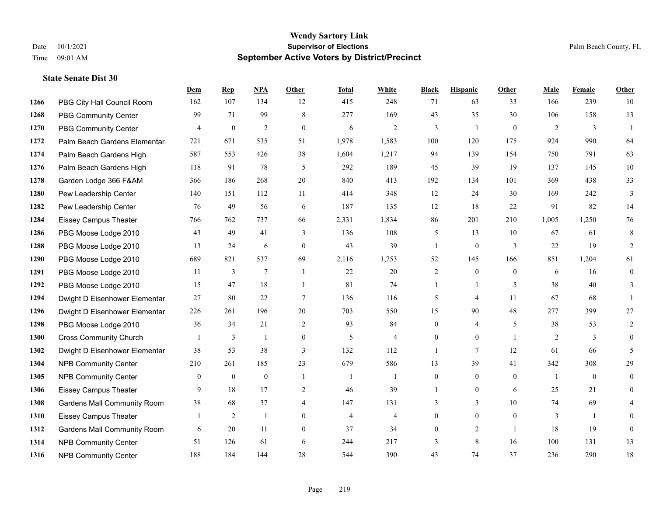#### **Wendy Sartory Link** Date 10/1/2021 **Supervisor of Elections** Palm Beach County, FL Time 09:01 AM **September Active Voters by District/Precinct**

**Dem Rep NPA Other Total White Black Hispanic Other Male Female Other**

# PBG City Hall Council Room 162 107 134 12 415 248 71 63 33 166 239 10 PBG Community Center 99 71 99 8 277 169 43 35 30 106 158 13 PBG Community Center  $\begin{array}{ccccccccccccc}\n4 & 0 & 2 & 0 & 6 & 2 & 3 & 1 & 0 & 2 & 3 & 1\n\end{array}$  Palm Beach Gardens Elementary 721 671 535 51 1,978 1,583 100 120 175 924 990 64 Palm Beach Gardens High 587 553 426 38 1,604 1,217 94 139 154 750 791 63 Palm Beach Gardens High 118 91 78 5 292 189 45 39 19 137 145 10 Garden Lodge 366 F&AM 366 186 268 20 840 413 192 134 101 369 438 33 Pew Leadership Center 140 151 112 11 414 348 12 24 30 169 242 3 Pew Leadership Center 76 49 56 6 187 135 12 18 22 91 82 14 Eissey Campus Theater 766 762 737 66 2,331 1,834 86 201 210 1,005 1,250 76 PBG Moose Lodge 2010 43 49 41 3 136 108 5 13 10 67 61 8 PBG Moose Lodge 2010 13 24 6 0 43 39 1 0 3 22 19 2 PBG Moose Lodge 2010 689 821 537 69 2,116 1,753 52 145 166 851 1,204 61 PBG Moose Lodge 2010 11 3 7 1 22 20 2 0 0 6 16 0 PBG Moose Lodge 2010 15 47 18 1 81 74 1 1 5 38 40 3 Dwight D Eisenhower Elementar 27 80 22 7 136 116 5 4 11 67 68 1 Dwight D Eisenhower Elementary 226 261 196 20 703 550 15 90 48 277 399 27 PBG Moose Lodge 2010 36 34 21 2 93 84 0 4 5 38 53 2 Cross Community Church 1 3 1 0 5 4 0 0 1 2 3 0 Dwight D Eisenhower Elementar 38 53 38 3 132 112 1 7 12 61 66 5 NPB Community Center 210 261 185 23 679 586 13 39 41 342 308 29 1305 NPB Community Center  $\begin{array}{ccccccccccccc}\n & 0 & 0 & 0 & 1 & 1 & 0 & 0 & 0 & 1 & 0 & 0\n\end{array}$  Eissey Campus Theater 9 18 17 2 46 39 1 0 6 25 21 0 Gardens Mall Community Room 38 68 37 4 147 131 3 3 10 74 69 4 Eissey Campus Theater 1 2 1 0 4 4 0 0 0 3 1 0 Gardens Mall Community Room 6 20 11 0 37 34 0 2 1 18 19 0

 NPB Community Center 51 126 61 6 244 217 3 8 16 100 131 13 NPB Community Center 188 184 144 28 544 390 43 74 37 236 290 18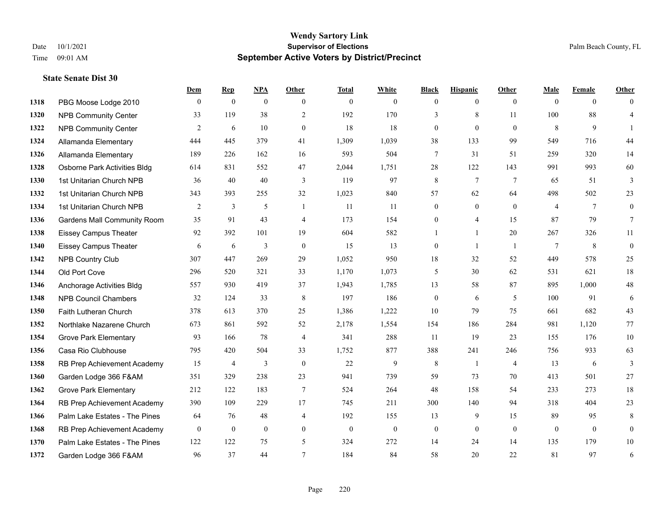# **Wendy Sartory Link** Date 10/1/2021 **Supervisor of Elections Supervisor of Elections** Palm Beach County, FL Time 09:01 AM **September Active Voters by District/Precinct**

|      |                                    | Dem          | $\mathbf{Rep}$ | <b>NPA</b>     | Other          | <b>Total</b> | White          | <b>Black</b>     | <b>Hispanic</b>  | Other          | Male           | Female         | Other            |
|------|------------------------------------|--------------|----------------|----------------|----------------|--------------|----------------|------------------|------------------|----------------|----------------|----------------|------------------|
| 1318 | PBG Moose Lodge 2010               | $\theta$     | $\mathbf{0}$   | $\overline{0}$ | $\theta$       | $\mathbf{0}$ | $\overline{0}$ | $\mathbf{0}$     | $\overline{0}$   | $\theta$       | $\theta$       | $\theta$       | $\theta$         |
| 1320 | <b>NPB Community Center</b>        | 33           | 119            | 38             | 2              | 192          | 170            | 3                | 8                | 11             | 100            | 88             | $\overline{4}$   |
| 1322 | <b>NPB Community Center</b>        | 2            | 6              | 10             | $\overline{0}$ | 18           | 18             | $\boldsymbol{0}$ | $\mathbf{0}$     | $\mathbf{0}$   | 8              | 9              | -1               |
| 1324 | Allamanda Elementary               | 444          | 445            | 379            | 41             | 1,309        | 1,039          | 38               | 133              | 99             | 549            | 716            | 44               |
| 1326 | Allamanda Elementary               | 189          | 226            | 162            | 16             | 593          | 504            | 7                | 31               | 51             | 259            | 320            | 14               |
| 1328 | Osborne Park Activities Bldg       | 614          | 831            | 552            | 47             | 2,044        | 1,751          | 28               | 122              | 143            | 991            | 993            | 60               |
| 1330 | 1st Unitarian Church NPB           | 36           | 40             | 40             | 3              | 119          | 97             | 8                | $\tau$           | 7              | 65             | 51             | 3                |
| 1332 | 1st Unitarian Church NPB           | 343          | 393            | 255            | 32             | 1,023        | 840            | 57               | 62               | 64             | 498            | 502            | 23               |
| 1334 | 1st Unitarian Church NPB           | 2            | 3              | 5              | $\overline{1}$ | 11           | 11             | $\mathbf{0}$     | $\mathbf{0}$     | $\theta$       | $\overline{4}$ | 7              | $\boldsymbol{0}$ |
| 1336 | <b>Gardens Mall Community Room</b> | 35           | 91             | 43             | $\overline{4}$ | 173          | 154            | $\boldsymbol{0}$ | $\overline{4}$   | 15             | 87             | 79             | $\tau$           |
| 1338 | <b>Eissey Campus Theater</b>       | 92           | 392            | 101            | 19             | 604          | 582            |                  | $\mathbf{1}$     | 20             | 267            | 326            | 11               |
| 1340 | <b>Eissey Campus Theater</b>       | 6            | 6              | 3              | $\mathbf{0}$   | 15           | 13             | $\mathbf{0}$     | $\mathbf{1}$     | $\overline{1}$ | 7              | 8              | $\mathbf{0}$     |
| 1342 | NPB Country Club                   | 307          | 447            | 269            | 29             | 1,052        | 950            | 18               | 32               | 52             | 449            | 578            | 25               |
| 1344 | Old Port Cove                      | 296          | 520            | 321            | 33             | 1,170        | 1,073          | 5                | 30               | 62             | 531            | 621            | 18               |
| 1346 | Anchorage Activities Bldg          | 557          | 930            | 419            | 37             | 1,943        | 1,785          | 13               | 58               | 87             | 895            | 1,000          | $48\,$           |
| 1348 | <b>NPB Council Chambers</b>        | 32           | 124            | 33             | 8              | 197          | 186            | $\mathbf{0}$     | 6                | 5              | 100            | 91             | 6                |
| 1350 | Faith Lutheran Church              | 378          | 613            | 370            | 25             | 1,386        | 1,222          | 10               | 79               | 75             | 661            | 682            | 43               |
| 1352 | Northlake Nazarene Church          | 673          | 861            | 592            | 52             | 2,178        | 1,554          | 154              | 186              | 284            | 981            | 1,120          | 77               |
| 1354 | <b>Grove Park Elementary</b>       | 93           | 166            | 78             | $\overline{4}$ | 341          | 288            | 11               | 19               | 23             | 155            | 176            | $10\,$           |
| 1356 | Casa Rio Clubhouse                 | 795          | 420            | 504            | 33             | 1,752        | 877            | 388              | 241              | 246            | 756            | 933            | 63               |
| 1358 | RB Prep Achievement Academy        | 15           | 4              | 3              | $\mathbf{0}$   | 22           | 9              | 8                | 1                | $\overline{4}$ | 13             | 6              | 3                |
| 1360 | Garden Lodge 366 F&AM              | 351          | 329            | 238            | 23             | 941          | 739            | 59               | 73               | 70             | 413            | 501            | 27               |
| 1362 | <b>Grove Park Elementary</b>       | 212          | 122            | 183            | $\overline{7}$ | 524          | 264            | 48               | 158              | 54             | 233            | 273            | 18               |
| 1364 | RB Prep Achievement Academy        | 390          | 109            | 229            | 17             | 745          | 211            | 300              | 140              | 94             | 318            | 404            | 23               |
| 1366 | Palm Lake Estates - The Pines      | 64           | 76             | 48             | $\overline{4}$ | 192          | 155            | 13               | 9                | 15             | 89             | 95             | $\,$ 8 $\,$      |
| 1368 | RB Prep Achievement Academy        | $\mathbf{0}$ | $\mathbf{0}$   | $\overline{0}$ | $\mathbf{0}$   | $\mathbf{0}$ | $\mathbf{0}$   | $\boldsymbol{0}$ | $\boldsymbol{0}$ | $\overline{0}$ | $\mathbf{0}$   | $\overline{0}$ | $\mathbf{0}$     |
| 1370 | Palm Lake Estates - The Pines      | 122          | 122            | 75             | 5              | 324          | 272            | 14               | 24               | 14             | 135            | 179            | $10\,$           |
| 1372 | Garden Lodge 366 F&AM              | 96           | 37             | 44             | $\overline{7}$ | 184          | 84             | 58               | 20               | 22             | 81             | 97             | 6                |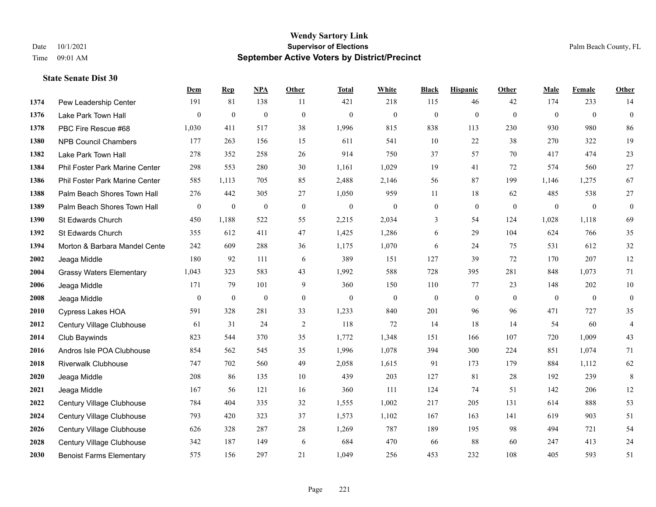# **Wendy Sartory Link** Date 10/1/2021 **Supervisor of Elections Supervisor of Elections** Palm Beach County, FL Time 09:01 AM **September Active Voters by District/Precinct**

|      |                                 | Dem            | <b>Rep</b>       | <b>NPA</b>   | Other            | <b>Total</b>     | White            | <b>Black</b>     | <b>Hispanic</b>  | Other          | <b>Male</b>    | Female       | Other            |
|------|---------------------------------|----------------|------------------|--------------|------------------|------------------|------------------|------------------|------------------|----------------|----------------|--------------|------------------|
| 1374 | Pew Leadership Center           | 191            | 81               | 138          | -11              | 421              | 218              | 115              | 46               | 42             | 174            | 233          | 14               |
| 1376 | Lake Park Town Hall             | $\overline{0}$ | $\mathbf{0}$     | $\bf{0}$     | $\boldsymbol{0}$ | $\mathbf{0}$     | $\boldsymbol{0}$ | $\boldsymbol{0}$ | $\boldsymbol{0}$ | $\mathbf{0}$   | $\mathbf{0}$   | $\mathbf{0}$ | $\boldsymbol{0}$ |
| 1378 | PBC Fire Rescue #68             | 1,030          | 411              | 517          | 38               | 1,996            | 815              | 838              | 113              | 230            | 930            | 980          | 86               |
| 1380 | <b>NPB Council Chambers</b>     | 177            | 263              | 156          | 15               | 611              | 541              | 10               | 22               | 38             | 270            | 322          | 19               |
| 1382 | Lake Park Town Hall             | 278            | 352              | 258          | 26               | 914              | 750              | 37               | 57               | 70             | 417            | 474          | 23               |
| 1384 | Phil Foster Park Marine Center  | 298            | 553              | 280          | 30               | 1,161            | 1,029            | 19               | 41               | 72             | 574            | 560          | 27               |
| 1386 | Phil Foster Park Marine Center  | 585            | 1,113            | 705          | 85               | 2,488            | 2,146            | 56               | 87               | 199            | 1,146          | 1,275        | 67               |
| 1388 | Palm Beach Shores Town Hall     | 276            | 442              | 305          | 27               | 1,050            | 959              | 11               | 18               | 62             | 485            | 538          | 27               |
| 1389 | Palm Beach Shores Town Hall     | $\mathbf{0}$   | $\boldsymbol{0}$ | $\mathbf{0}$ | $\boldsymbol{0}$ | $\boldsymbol{0}$ | $\boldsymbol{0}$ | $\boldsymbol{0}$ | $\boldsymbol{0}$ | $\overline{0}$ | $\overline{0}$ | $\mathbf{0}$ | $\boldsymbol{0}$ |
| 1390 | St Edwards Church               | 450            | 1,188            | 522          | 55               | 2,215            | 2,034            | 3                | 54               | 124            | 1,028          | 1,118        | 69               |
| 1392 | St Edwards Church               | 355            | 612              | 411          | 47               | 1,425            | 1,286            | 6                | 29               | 104            | 624            | 766          | 35               |
| 1394 | Morton & Barbara Mandel Cente   | 242            | 609              | 288          | 36               | 1,175            | 1,070            | 6                | 24               | 75             | 531            | 612          | 32               |
| 2002 | Jeaga Middle                    | 180            | 92               | 111          | 6                | 389              | 151              | 127              | 39               | 72             | 170            | 207          | 12               |
| 2004 | <b>Grassy Waters Elementary</b> | 1,043          | 323              | 583          | 43               | 1,992            | 588              | 728              | 395              | 281            | 848            | 1,073        | 71               |
| 2006 | Jeaga Middle                    | 171            | 79               | 101          | 9                | 360              | 150              | 110              | 77               | 23             | 148            | 202          | $10\,$           |
| 2008 | Jeaga Middle                    | $\overline{0}$ | $\boldsymbol{0}$ | $\bf{0}$     | $\mathbf{0}$     | $\mathbf{0}$     | $\boldsymbol{0}$ | $\boldsymbol{0}$ | $\mathbf{0}$     | $\theta$       | $\mathbf{0}$   | $\mathbf{0}$ | $\boldsymbol{0}$ |
| 2010 | Cypress Lakes HOA               | 591            | 328              | 281          | 33               | 1,233            | 840              | 201              | 96               | 96             | 471            | 727          | 35               |
| 2012 | Century Village Clubhouse       | 61             | 31               | 24           | $\overline{2}$   | 118              | 72               | 14               | 18               | 14             | 54             | 60           | $\overline{4}$   |
| 2014 | Club Baywinds                   | 823            | 544              | 370          | 35               | 1,772            | 1,348            | 151              | 166              | 107            | 720            | 1,009        | 43               |
| 2016 | Andros Isle POA Clubhouse       | 854            | 562              | 545          | 35               | 1,996            | 1,078            | 394              | 300              | 224            | 851            | 1,074        | 71               |
| 2018 | <b>Riverwalk Clubhouse</b>      | 747            | 702              | 560          | 49               | 2,058            | 1,615            | 91               | 173              | 179            | 884            | 1,112        | 62               |
| 2020 | Jeaga Middle                    | 208            | 86               | 135          | 10               | 439              | 203              | 127              | 81               | 28             | 192            | 239          | $\,$ 8 $\,$      |
| 2021 | Jeaga Middle                    | 167            | 56               | 121          | 16               | 360              | 111              | 124              | 74               | 51             | 142            | 206          | 12               |
| 2022 | Century Village Clubhouse       | 784            | 404              | 335          | 32               | 1,555            | 1,002            | 217              | 205              | 131            | 614            | 888          | 53               |
| 2024 | Century Village Clubhouse       | 793            | 420              | 323          | 37               | 1,573            | 1,102            | 167              | 163              | 141            | 619            | 903          | 51               |
| 2026 | Century Village Clubhouse       | 626            | 328              | 287          | 28               | 1,269            | 787              | 189              | 195              | 98             | 494            | 721          | 54               |
| 2028 | Century Village Clubhouse       | 342            | 187              | 149          | 6                | 684              | 470              | 66               | 88               | 60             | 247            | 413          | 24               |
| 2030 | <b>Benoist Farms Elementary</b> | 575            | 156              | 297          | 21               | 1.049            | 256              | 453              | 232              | 108            | 405            | 593          | 51               |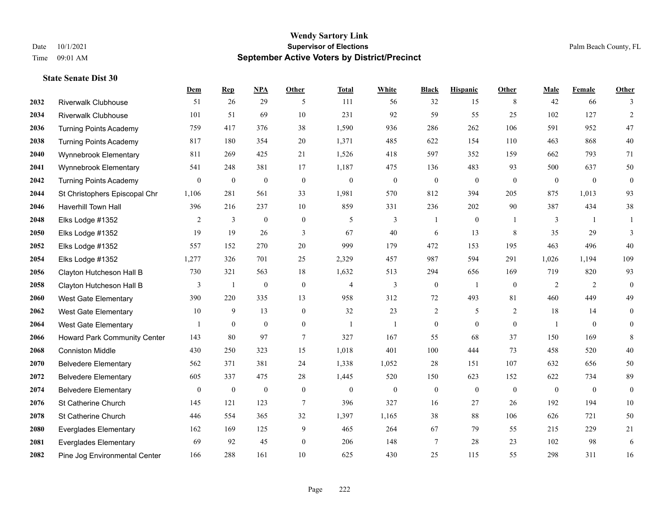|      |                               | <b>Dem</b>       | <b>Rep</b>       | NPA              | <b>Other</b>     | <b>Total</b>   | <b>White</b>     | <b>Black</b>     | <b>Hispanic</b>  | <b>Other</b> | <b>Male</b>  | <b>Female</b>  | <b>Other</b>     |
|------|-------------------------------|------------------|------------------|------------------|------------------|----------------|------------------|------------------|------------------|--------------|--------------|----------------|------------------|
| 2032 | <b>Riverwalk Clubhouse</b>    | 51               | 26               | 29               | 5                | 111            | 56               | 32               | 15               | 8            | 42           | 66             | 3                |
| 2034 | <b>Riverwalk Clubhouse</b>    | 101              | 51               | 69               | 10               | 231            | 92               | 59               | 55               | 25           | 102          | 127            | 2                |
| 2036 | <b>Turning Points Academy</b> | 759              | 417              | 376              | 38               | 1,590          | 936              | 286              | 262              | 106          | 591          | 952            | 47               |
| 2038 | <b>Turning Points Academy</b> | 817              | 180              | 354              | 20               | 1,371          | 485              | 622              | 154              | 110          | 463          | 868            | $40\,$           |
| 2040 | Wynnebrook Elementary         | 811              | 269              | 425              | 21               | 1,526          | 418              | 597              | 352              | 159          | 662          | 793            | 71               |
| 2041 | Wynnebrook Elementary         | 541              | 248              | 381              | 17               | 1,187          | 475              | 136              | 483              | 93           | 500          | 637            | 50               |
| 2042 | <b>Turning Points Academy</b> | $\boldsymbol{0}$ | $\mathbf{0}$     | $\boldsymbol{0}$ | $\boldsymbol{0}$ | $\theta$       | $\boldsymbol{0}$ | $\boldsymbol{0}$ | $\theta$         | $\mathbf{0}$ | $\mathbf{0}$ | $\mathbf{0}$   | $\boldsymbol{0}$ |
| 2044 | St Christophers Episcopal Chr | 1,106            | 281              | 561              | 33               | 1,981          | 570              | 812              | 394              | 205          | 875          | 1,013          | 93               |
| 2046 | Haverhill Town Hall           | 396              | 216              | 237              | 10               | 859            | 331              | 236              | 202              | 90           | 387          | 434            | 38               |
| 2048 | Elks Lodge #1352              | 2                | 3                | $\mathbf{0}$     | $\boldsymbol{0}$ | 5              | 3                |                  | $\mathbf{0}$     | -1           | 3            | $\overline{1}$ | 1                |
| 2050 | Elks Lodge #1352              | 19               | 19               | 26               | 3                | 67             | 40               | 6                | 13               | 8            | 35           | 29             | 3                |
| 2052 | Elks Lodge #1352              | 557              | 152              | 270              | 20               | 999            | 179              | 472              | 153              | 195          | 463          | 496            | 40               |
| 2054 | Elks Lodge #1352              | 1,277            | 326              | 701              | 25               | 2,329          | 457              | 987              | 594              | 291          | 1,026        | 1,194          | 109              |
| 2056 | Clayton Hutcheson Hall B      | 730              | 321              | 563              | $18\,$           | 1,632          | 513              | 294              | 656              | 169          | 719          | 820            | 93               |
| 2058 | Clayton Hutcheson Hall B      | 3                | $\mathbf{1}$     | $\boldsymbol{0}$ | $\boldsymbol{0}$ | $\overline{4}$ | 3                | $\boldsymbol{0}$ | $\overline{1}$   | $\mathbf{0}$ | 2            | 2              | $\mathbf{0}$     |
| 2060 | West Gate Elementary          | 390              | 220              | 335              | 13               | 958            | 312              | 72               | 493              | 81           | 460          | 449            | 49               |
| 2062 | West Gate Elementary          | 10               | 9                | 13               | $\boldsymbol{0}$ | 32             | 23               | $\sqrt{2}$       | 5                | 2            | 18           | 14             | $\mathbf{0}$     |
| 2064 | West Gate Elementary          |                  | $\mathbf{0}$     | $\overline{0}$   | $\overline{0}$   | $\overline{1}$ | 1                | $\boldsymbol{0}$ | $\mathbf{0}$     | $\theta$     | 1            | $\theta$       | $\overline{0}$   |
| 2066 | Howard Park Community Center  | 143              | 80               | 97               | 7                | 327            | 167              | 55               | 68               | 37           | 150          | 169            | 8                |
| 2068 | <b>Conniston Middle</b>       | 430              | 250              | 323              | 15               | 1,018          | 401              | 100              | 444              | 73           | 458          | 520            | $40\,$           |
| 2070 | <b>Belvedere Elementary</b>   | 562              | 371              | 381              | 24               | 1,338          | 1,052            | 28               | 151              | 107          | 632          | 656            | 50               |
| 2072 | <b>Belvedere Elementary</b>   | 605              | 337              | 475              | 28               | 1,445          | 520              | 150              | 623              | 152          | 622          | 734            | 89               |
| 2074 | <b>Belvedere Elementary</b>   | $\mathbf{0}$     | $\boldsymbol{0}$ | $\boldsymbol{0}$ | $\boldsymbol{0}$ | $\theta$       | $\boldsymbol{0}$ | $\boldsymbol{0}$ | $\boldsymbol{0}$ | $\mathbf{0}$ | $\mathbf{0}$ | $\mathbf{0}$   | $\boldsymbol{0}$ |
| 2076 | St Catherine Church           | 145              | 121              | 123              | 7                | 396            | 327              | 16               | 27               | 26           | 192          | 194            | 10               |
| 2078 | St Catherine Church           | 446              | 554              | 365              | 32               | 1,397          | 1,165            | 38               | 88               | 106          | 626          | 721            | 50               |
| 2080 | <b>Everglades Elementary</b>  | 162              | 169              | 125              | 9                | 465            | 264              | 67               | 79               | 55           | 215          | 229            | 21               |
| 2081 | <b>Everglades Elementary</b>  | 69               | 92               | 45               | $\boldsymbol{0}$ | 206            | 148              | 7                | 28               | 23           | 102          | 98             | 6                |
| 2082 | Pine Jog Environmental Center | 166              | 288              | 161              | 10               | 625            | 430              | 25               | 115              | 55           | 298          | 311            | 16               |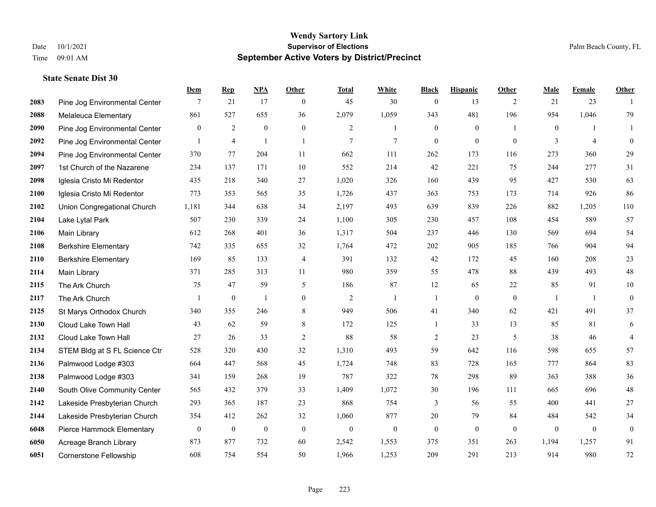|      |                               | Dem              | <b>Rep</b>       | NPA              | <b>Other</b>     | <b>Total</b>   | <b>White</b>     | <b>Black</b>     | <b>Hispanic</b>  | <b>Other</b>   | <b>Male</b>    | <b>Female</b>  | <b>Other</b>     |
|------|-------------------------------|------------------|------------------|------------------|------------------|----------------|------------------|------------------|------------------|----------------|----------------|----------------|------------------|
| 2083 | Pine Jog Environmental Center | 7                | 21               | 17               | $\overline{0}$   | 45             | 30               | $\boldsymbol{0}$ | 13               | 2              | 21             | 23             | $\mathbf{1}$     |
| 2088 | Melaleuca Elementary          | 861              | 527              | 655              | 36               | 2,079          | 1,059            | 343              | 481              | 196            | 954            | 1,046          | 79               |
| 2090 | Pine Jog Environmental Center | $\overline{0}$   | $\overline{c}$   | $\boldsymbol{0}$ | $\overline{0}$   | 2              | $\mathbf{1}$     | $\boldsymbol{0}$ | $\mathbf{0}$     | $\overline{1}$ | $\overline{0}$ | -1             | $\mathbf{1}$     |
| 2092 | Pine Jog Environmental Center | $\mathbf{1}$     | $\overline{4}$   | $\overline{1}$   | $\mathbf{1}$     | $\overline{7}$ | $\tau$           | $\mathbf{0}$     | $\mathbf{0}$     | $\theta$       | 3              | $\overline{4}$ | $\mathbf{0}$     |
| 2094 | Pine Jog Environmental Center | 370              | 77               | 204              | 11               | 662            | 111              | 262              | 173              | 116            | 273            | 360            | 29               |
| 2097 | 1st Church of the Nazarene    | 234              | 137              | 171              | 10               | 552            | 214              | 42               | 221              | 75             | 244            | 277            | 31               |
| 2098 | Iglesia Cristo Mi Redentor    | 435              | 218              | 340              | 27               | 1,020          | 326              | 160              | 439              | 95             | 427            | 530            | 63               |
| 2100 | Iglesia Cristo Mi Redentor    | 773              | 353              | 565              | 35               | 1,726          | 437              | 363              | 753              | 173            | 714            | 926            | 86               |
| 2102 | Union Congregational Church   | 1,181            | 344              | 638              | 34               | 2,197          | 493              | 639              | 839              | 226            | 882            | 1,205          | 110              |
| 2104 | Lake Lytal Park               | 507              | 230              | 339              | 24               | 1,100          | 305              | 230              | 457              | 108            | 454            | 589            | 57               |
| 2106 | Main Library                  | 612              | 268              | 401              | 36               | 1,317          | 504              | 237              | 446              | 130            | 569            | 694            | 54               |
| 2108 | <b>Berkshire Elementary</b>   | 742              | 335              | 655              | 32               | 1,764          | 472              | 202              | 905              | 185            | 766            | 904            | 94               |
| 2110 | <b>Berkshire Elementary</b>   | 169              | 85               | 133              | 4                | 391            | 132              | 42               | 172              | 45             | 160            | 208            | $23\,$           |
| 2114 | Main Library                  | 371              | 285              | 313              | 11               | 980            | 359              | 55               | 478              | 88             | 439            | 493            | $48\,$           |
| 2115 | The Ark Church                | 75               | 47               | 59               | 5                | 186            | 87               | 12               | 65               | 22             | 85             | 91             | $10\,$           |
| 2117 | The Ark Church                | $\mathbf{1}$     | $\boldsymbol{0}$ | $\overline{1}$   | $\overline{0}$   | $\overline{2}$ | $\mathbf{1}$     | 1                | $\mathbf{0}$     | $\mathbf{0}$   | $\overline{1}$ | -1             | $\mathbf{0}$     |
| 2125 | St Marys Orthodox Church      | 340              | 355              | 246              | 8                | 949            | 506              | 41               | 340              | 62             | 421            | 491            | 37               |
| 2130 | Cloud Lake Town Hall          | 43               | 62               | 59               | 8                | 172            | 125              | $\mathbf{1}$     | 33               | 13             | 85             | 81             | 6                |
| 2132 | Cloud Lake Town Hall          | 27               | 26               | 33               | $\sqrt{2}$       | 88             | 58               | $\overline{c}$   | 23               | $\mathfrak{H}$ | 38             | 46             | $\overline{4}$   |
| 2134 | STEM Bldg at S FL Science Ctr | 528              | 320              | 430              | 32               | 1,310          | 493              | 59               | 642              | 116            | 598            | 655            | 57               |
| 2136 | Palmwood Lodge #303           | 664              | 447              | 568              | 45               | 1,724          | 748              | 83               | 728              | 165            | 777            | 864            | 83               |
| 2138 | Palmwood Lodge #303           | 341              | 159              | 268              | 19               | 787            | 322              | 78               | 298              | 89             | 363            | 388            | $36\,$           |
| 2140 | South Olive Community Center  | 565              | 432              | 379              | 33               | 1,409          | 1,072            | 30               | 196              | 111            | 665            | 696            | $48\,$           |
| 2142 | Lakeside Presbyterian Church  | 293              | 365              | 187              | 23               | 868            | 754              | 3                | 56               | 55             | 400            | 441            | $27\,$           |
| 2144 | Lakeside Presbyterian Church  | 354              | 412              | 262              | 32               | 1,060          | 877              | 20               | 79               | 84             | 484            | 542            | 34               |
| 6048 | Pierce Hammock Elementary     | $\boldsymbol{0}$ | $\boldsymbol{0}$ | $\boldsymbol{0}$ | $\boldsymbol{0}$ | $\mathbf{0}$   | $\boldsymbol{0}$ | $\boldsymbol{0}$ | $\boldsymbol{0}$ | $\mathbf{0}$   | $\mathbf{0}$   | $\mathbf{0}$   | $\boldsymbol{0}$ |
| 6050 | Acreage Branch Library        | 873              | 877              | 732              | 60               | 2,542          | 1,553            | 375              | 351              | 263            | 1,194          | 1,257          | 91               |
| 6051 | <b>Cornerstone Fellowship</b> | 608              | 754              | 554              | 50               | 1,966          | 1,253            | 209              | 291              | 213            | 914            | 980            | $72\,$           |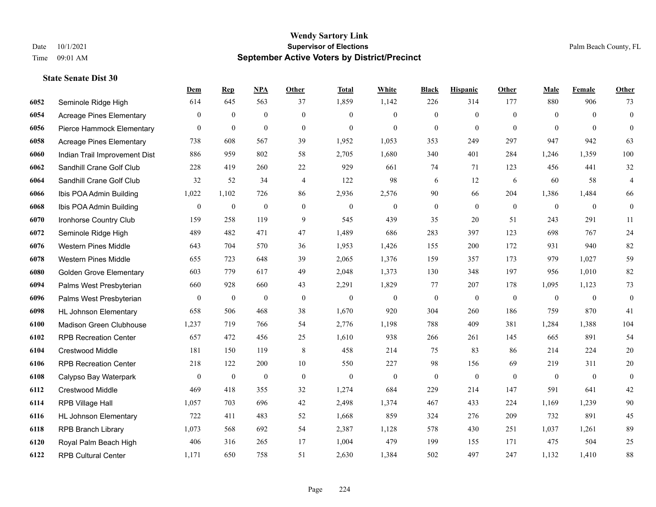|      |                                 | <b>Dem</b>       | <b>Rep</b>       | <u>NPA</u>       | <b>Other</b>     | <b>Total</b>     | <b>White</b>     | <b>Black</b>     | <b>Hispanic</b>  | <b>Other</b> | <b>Male</b>    | Female           | <b>Other</b>     |
|------|---------------------------------|------------------|------------------|------------------|------------------|------------------|------------------|------------------|------------------|--------------|----------------|------------------|------------------|
| 6052 | Seminole Ridge High             | 614              | 645              | 563              | 37               | 1,859            | 1,142            | 226              | 314              | 177          | 880            | 906              | 73               |
| 6054 | <b>Acreage Pines Elementary</b> | $\overline{0}$   | $\mathbf{0}$     | $\mathbf{0}$     | $\mathbf{0}$     | $\theta$         | $\overline{0}$   | $\mathbf{0}$     | $\overline{0}$   | $\theta$     | $\theta$       | $\Omega$         | $\boldsymbol{0}$ |
| 6056 | Pierce Hammock Elementary       | $\boldsymbol{0}$ | $\mathbf{0}$     | $\bf{0}$         | $\overline{0}$   | $\theta$         | $\mathbf{0}$     | $\mathbf{0}$     | $\boldsymbol{0}$ | $\theta$     | $\theta$       | $\theta$         | $\overline{0}$   |
| 6058 | <b>Acreage Pines Elementary</b> | 738              | 608              | 567              | 39               | 1,952            | 1,053            | 353              | 249              | 297          | 947            | 942              | 63               |
| 6060 | Indian Trail Improvement Dist   | 886              | 959              | 802              | 58               | 2,705            | 1,680            | 340              | 401              | 284          | 1,246          | 1.359            | 100              |
| 6062 | Sandhill Crane Golf Club        | 228              | 419              | 260              | 22               | 929              | 661              | 74               | 71               | 123          | 456            | 441              | 32               |
| 6064 | Sandhill Crane Golf Club        | 32               | 52               | 34               | $\overline{4}$   | 122              | 98               | 6                | 12               | 6            | 60             | 58               | 4                |
| 6066 | Ibis POA Admin Building         | 1,022            | 1,102            | 726              | 86               | 2,936            | 2,576            | 90               | 66               | 204          | 1,386          | 1,484            | 66               |
| 6068 | Ibis POA Admin Building         | $\boldsymbol{0}$ | $\boldsymbol{0}$ | $\boldsymbol{0}$ | $\boldsymbol{0}$ | $\boldsymbol{0}$ | $\boldsymbol{0}$ | $\boldsymbol{0}$ | $\boldsymbol{0}$ | $\mathbf{0}$ | $\mathbf{0}$   | $\boldsymbol{0}$ | $\mathbf{0}$     |
| 6070 | Ironhorse Country Club          | 159              | 258              | 119              | 9                | 545              | 439              | 35               | 20               | 51           | 243            | 291              | 11               |
| 6072 | Seminole Ridge High             | 489              | 482              | 471              | 47               | 1,489            | 686              | 283              | 397              | 123          | 698            | 767              | 24               |
| 6076 | <b>Western Pines Middle</b>     | 643              | 704              | 570              | 36               | 1,953            | 1,426            | 155              | 200              | 172          | 931            | 940              | 82               |
| 6078 | <b>Western Pines Middle</b>     | 655              | 723              | 648              | 39               | 2,065            | 1,376            | 159              | 357              | 173          | 979            | 1,027            | 59               |
| 6080 | <b>Golden Grove Elementary</b>  | 603              | 779              | 617              | 49               | 2,048            | 1,373            | 130              | 348              | 197          | 956            | 1,010            | 82               |
| 6094 | Palms West Presbyterian         | 660              | 928              | 660              | 43               | 2,291            | 1,829            | 77               | 207              | 178          | 1,095          | 1,123            | 73               |
| 6096 | Palms West Presbyterian         | $\overline{0}$   | $\mathbf{0}$     | $\mathbf{0}$     | $\mathbf{0}$     | $\theta$         | $\boldsymbol{0}$ | $\boldsymbol{0}$ | $\mathbf{0}$     | $\theta$     | $\overline{0}$ | $\mathbf{0}$     | $\boldsymbol{0}$ |
| 6098 | <b>HL Johnson Elementary</b>    | 658              | 506              | 468              | 38               | 1,670            | 920              | 304              | 260              | 186          | 759            | 870              | 41               |
| 6100 | <b>Madison Green Clubhouse</b>  | 1,237            | 719              | 766              | 54               | 2,776            | 1,198            | 788              | 409              | 381          | 1,284          | 1,388            | 104              |
| 6102 | <b>RPB Recreation Center</b>    | 657              | 472              | 456              | 25               | 1,610            | 938              | 266              | 261              | 145          | 665            | 891              | 54               |
| 6104 | <b>Crestwood Middle</b>         | 181              | 150              | 119              | $\,8\,$          | 458              | 214              | 75               | 83               | 86           | 214            | 224              | 20               |
| 6106 | <b>RPB Recreation Center</b>    | 218              | 122              | 200              | 10               | 550              | 227              | 98               | 156              | 69           | 219            | 311              | 20               |
| 6108 | Calypso Bay Waterpark           | $\boldsymbol{0}$ | $\boldsymbol{0}$ | $\boldsymbol{0}$ | $\mathbf{0}$     | $\boldsymbol{0}$ | $\boldsymbol{0}$ | $\boldsymbol{0}$ | $\mathbf{0}$     | $\mathbf{0}$ | $\mathbf{0}$   | $\mathbf{0}$     | $\overline{0}$   |
| 6112 | Crestwood Middle                | 469              | 418              | 355              | 32               | 1,274            | 684              | 229              | 214              | 147          | 591            | 641              | $42\,$           |
| 6114 | RPB Village Hall                | 1,057            | 703              | 696              | 42               | 2,498            | 1,374            | 467              | 433              | 224          | 1,169          | 1,239            | 90               |
| 6116 | <b>HL Johnson Elementary</b>    | 722              | 411              | 483              | 52               | 1,668            | 859              | 324              | 276              | 209          | 732            | 891              | 45               |
| 6118 | <b>RPB Branch Library</b>       | 1,073            | 568              | 692              | 54               | 2,387            | 1,128            | 578              | 430              | 251          | 1,037          | 1,261            | 89               |
| 6120 | Royal Palm Beach High           | 406              | 316              | 265              | 17               | 1,004            | 479              | 199              | 155              | 171          | 475            | 504              | 25               |
| 6122 | <b>RPB Cultural Center</b>      | 1,171            | 650              | 758              | 51               | 2,630            | 1,384            | 502              | 497              | 247          | 1,132          | 1,410            | 88               |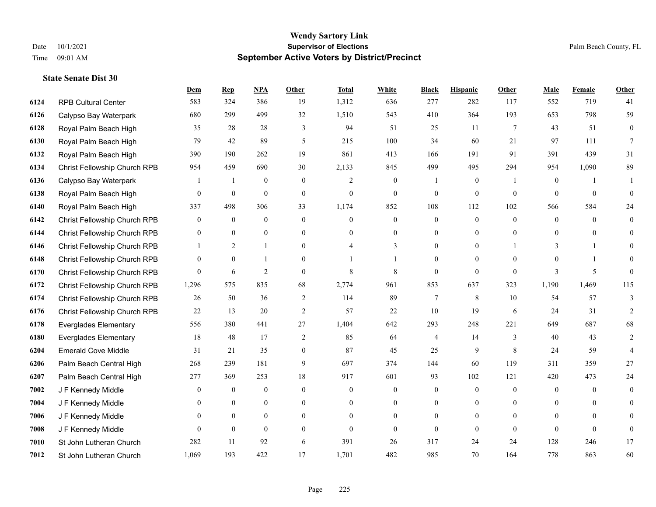|      |                              | Dem            | <b>Rep</b>       | NPA              | <b>Other</b>   | <b>Total</b>   | <b>White</b>     | <b>Black</b>   | <b>Hispanic</b>  | <b>Other</b>    | <b>Male</b>      | Female       | <b>Other</b>   |
|------|------------------------------|----------------|------------------|------------------|----------------|----------------|------------------|----------------|------------------|-----------------|------------------|--------------|----------------|
| 6124 | <b>RPB Cultural Center</b>   | 583            | 324              | 386              | 19             | 1,312          | 636              | 277            | 282              | 117             | 552              | 719          | 41             |
| 6126 | Calypso Bay Waterpark        | 680            | 299              | 499              | 32             | 1,510          | 543              | 410            | 364              | 193             | 653              | 798          | 59             |
| 6128 | Royal Palm Beach High        | 35             | 28               | 28               | 3              | 94             | 51               | 25             | 11               | $7\phantom{.0}$ | 43               | 51           | $\overline{0}$ |
| 6130 | Royal Palm Beach High        | 79             | 42               | 89               | 5              | 215            | 100              | 34             | 60               | 21              | 97               | 111          | 7              |
| 6132 | Royal Palm Beach High        | 390            | 190              | 262              | 19             | 861            | 413              | 166            | 191              | 91              | 391              | 439          | 31             |
| 6134 | Christ Fellowship Church RPB | 954            | 459              | 690              | 30             | 2,133          | 845              | 499            | 495              | 294             | 954              | 1,090        | 89             |
| 6136 | Calypso Bay Waterpark        | $\mathbf{1}$   | 1                | $\boldsymbol{0}$ | $\overline{0}$ | $\overline{2}$ | $\boldsymbol{0}$ |                | $\boldsymbol{0}$ | -1              | $\boldsymbol{0}$ | $\mathbf{1}$ | 1              |
| 6138 | Royal Palm Beach High        | 0              | $\boldsymbol{0}$ | $\mathbf{0}$     | $\Omega$       | $\theta$       | $\overline{0}$   | $\mathbf{0}$   | $\mathbf{0}$     | $\theta$        | $\theta$         | $\theta$     | $\Omega$       |
| 6140 | Royal Palm Beach High        | 337            | 498              | 306              | 33             | 1,174          | 852              | 108            | 112              | 102             | 566              | 584          | 24             |
| 6142 | Christ Fellowship Church RPB | 0              | $\mathbf{0}$     | $\mathbf{0}$     | $\overline{0}$ | $\theta$       | $\overline{0}$   | $\overline{0}$ | $\mathbf{0}$     | $\theta$        | $\theta$         | $\theta$     | $\overline{0}$ |
| 6144 | Christ Fellowship Church RPB | 0              | $\mathbf{0}$     | $\overline{0}$   | $\overline{0}$ | $\theta$       | $\overline{0}$   | $\overline{0}$ | $\mathbf{0}$     | $\theta$        | $\overline{0}$   | $\theta$     | $\theta$       |
| 6146 | Christ Fellowship Church RPB |                | 2                | $\mathbf{1}$     | $\Omega$       |                | 3                | $\theta$       | $\mathbf{0}$     |                 | 3                |              | $\Omega$       |
| 6148 | Christ Fellowship Church RPB | 0              | $\mathbf{0}$     | 1                | $\Omega$       |                |                  | $\theta$       | $\theta$         | $\Omega$        | $\Omega$         |              | 0              |
| 6170 | Christ Fellowship Church RPB | $\overline{0}$ | 6                | $\overline{2}$   | $\Omega$       | $\,$ 8 $\,$    | 8                | $\mathbf{0}$   | $\mathbf{0}$     | $\mathbf{0}$    | $\mathbf{3}$     | 5            | $\Omega$       |
| 6172 | Christ Fellowship Church RPB | 1,296          | 575              | 835              | 68             | 2,774          | 961              | 853            | 637              | 323             | 1,190            | 1,469        | 115            |
| 6174 | Christ Fellowship Church RPB | 26             | 50               | 36               | 2              | 114            | 89               | 7              | 8                | 10              | 54               | 57           | 3              |
| 6176 | Christ Fellowship Church RPB | 22             | 13               | 20               | $\mathfrak{2}$ | 57             | 22               | 10             | 19               | 6               | 24               | 31           | $\overline{c}$ |
| 6178 | <b>Everglades Elementary</b> | 556            | 380              | 441              | 27             | 1,404          | 642              | 293            | 248              | 221             | 649              | 687          | 68             |
| 6180 | <b>Everglades Elementary</b> | 18             | 48               | 17               | 2              | 85             | 64               | 4              | 14               | 3               | 40               | 43           | 2              |
| 6204 | <b>Emerald Cove Middle</b>   | 31             | 21               | 35               | $\overline{0}$ | 87             | 45               | 25             | 9                | 8               | 24               | 59           | 4              |
| 6206 | Palm Beach Central High      | 268            | 239              | 181              | 9              | 697            | 374              | 144            | 60               | 119             | 311              | 359          | 27             |
| 6207 | Palm Beach Central High      | 277            | 369              | 253              | 18             | 917            | 601              | 93             | 102              | 121             | 420              | 473          | 24             |
| 7002 | J F Kennedy Middle           | 0              | $\boldsymbol{0}$ | $\mathbf{0}$     | $\overline{0}$ | $\theta$       | $\boldsymbol{0}$ | $\mathbf{0}$   | $\mathbf{0}$     | $\theta$        | $\mathbf{0}$     | $\theta$     | $\overline{0}$ |
| 7004 | J F Kennedy Middle           | 0              | $\theta$         | $\overline{0}$   | $\Omega$       | $\theta$       | $\overline{0}$   | $\mathbf{0}$   | $\mathbf{0}$     | $\theta$        | $\theta$         | $\Omega$     | $\Omega$       |
| 7006 | J F Kennedy Middle           | $\overline{0}$ | $\overline{0}$   | $\boldsymbol{0}$ | $\overline{0}$ | $\Omega$       | $\boldsymbol{0}$ | $\overline{0}$ | $\mathbf{0}$     | $\Omega$        | $\overline{0}$   | $\Omega$     | $\Omega$       |
| 7008 | J F Kennedy Middle           | 0              | $\mathbf{0}$     | $\mathbf{0}$     | $\theta$       | $\theta$       | $\overline{0}$   | $\theta$       | $\mathbf{0}$     | $\Omega$        | $\theta$         | $\theta$     | $\mathbf{0}$   |
| 7010 | St John Lutheran Church      | 282            | 11               | 92               | 6              | 391            | 26               | 317            | 24               | 24              | 128              | 246          | 17             |
| 7012 | St John Lutheran Church      | 1,069          | 193              | 422              | 17             | 1,701          | 482              | 985            | 70               | 164             | 778              | 863          | 60             |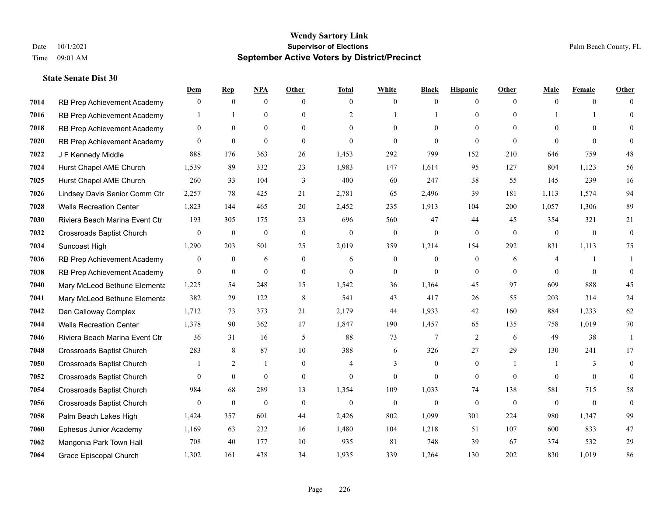|      |                                  | Dem            | <b>Rep</b>       | NPA              | <b>Other</b>   | <b>Total</b>   | <b>White</b>     | <b>Black</b> | <b>Hispanic</b> | <b>Other</b>   | <b>Male</b>    | <b>Female</b>  | <b>Other</b> |
|------|----------------------------------|----------------|------------------|------------------|----------------|----------------|------------------|--------------|-----------------|----------------|----------------|----------------|--------------|
| 7014 | RB Prep Achievement Academy      | $\mathbf{0}$   | $\mathbf{0}$     | $\overline{0}$   | $\theta$       | $\theta$       | $\mathbf{0}$     | $\theta$     | $\mathbf{0}$    | $\theta$       | $\theta$       | $\theta$       | $\Omega$     |
| 7016 | RB Prep Achievement Academy      |                |                  | $\overline{0}$   | $\Omega$       | 2              |                  |              | $\theta$        | $\Omega$       |                |                | $\theta$     |
| 7018 | RB Prep Achievement Academy      | $\theta$       | $\theta$         | $\theta$         | $\Omega$       | $\Omega$       | $\Omega$         | $\Omega$     | $\Omega$        | $\Omega$       | $\Omega$       | $\Omega$       | $\Omega$     |
| 7020 | RB Prep Achievement Academy      | $\overline{0}$ | $\mathbf{0}$     | $\mathbf{0}$     | $\overline{0}$ | $\theta$       | $\theta$         | $\theta$     | $\mathbf{0}$    | $\theta$       | $\theta$       | $\theta$       | $\Omega$     |
| 7022 | J F Kennedy Middle               | 888            | 176              | 363              | 26             | 1,453          | 292              | 799          | 152             | 210            | 646            | 759            | 48           |
| 7024 | Hurst Chapel AME Church          | 1,539          | 89               | 332              | 23             | 1,983          | 147              | 1,614        | 95              | 127            | 804            | 1,123          | 56           |
| 7025 | Hurst Chapel AME Church          | 260            | 33               | 104              | 3              | 400            | 60               | 247          | 38              | 55             | 145            | 239            | 16           |
| 7026 | Lindsey Davis Senior Comm Ctr    | 2,257          | 78               | 425              | 21             | 2,781          | 65               | 2,496        | 39              | 181            | 1,113          | 1,574          | 94           |
| 7028 | <b>Wells Recreation Center</b>   | 1,823          | 144              | 465              | 20             | 2,452          | 235              | 1,913        | 104             | 200            | 1,057          | 1,306          | 89           |
| 7030 | Riviera Beach Marina Event Ctr   | 193            | 305              | 175              | 23             | 696            | 560              | 47           | 44              | 45             | 354            | 321            | 21           |
| 7032 | <b>Crossroads Baptist Church</b> | $\mathbf{0}$   | $\boldsymbol{0}$ | $\boldsymbol{0}$ | $\mathbf{0}$   | $\mathbf{0}$   | $\boldsymbol{0}$ | $\mathbf{0}$ | $\mathbf{0}$    | $\theta$       | $\overline{0}$ | $\overline{0}$ | $\mathbf{0}$ |
| 7034 | Suncoast High                    | 1,290          | 203              | 501              | 25             | 2,019          | 359              | 1,214        | 154             | 292            | 831            | 1,113          | 75           |
| 7036 | RB Prep Achievement Academy      | $\overline{0}$ | $\overline{0}$   | 6                | $\overline{0}$ | 6              | $\mathbf{0}$     | $\theta$     | $\mathbf{0}$    | 6              | 4              |                | 1            |
| 7038 | RB Prep Achievement Academy      | $\mathbf{0}$   | $\boldsymbol{0}$ | $\mathbf{0}$     | $\overline{0}$ | $\theta$       | $\boldsymbol{0}$ | $\mathbf{0}$ | $\mathbf{0}$    | $\Omega$       | $\theta$       | $\theta$       | $\theta$     |
| 7040 | Mary McLeod Bethune Elementa     | 1,225          | 54               | 248              | 15             | 1,542          | 36               | 1,364        | 45              | 97             | 609            | 888            | 45           |
| 7041 | Mary McLeod Bethune Elementa     | 382            | 29               | 122              | 8              | 541            | 43               | 417          | 26              | 55             | 203            | 314            | 24           |
| 7042 | Dan Calloway Complex             | 1,712          | 73               | 373              | 21             | 2,179          | 44               | 1,933        | 42              | 160            | 884            | 1,233          | 62           |
| 7044 | <b>Wells Recreation Center</b>   | 1,378          | 90               | 362              | 17             | 1,847          | 190              | 1,457        | 65              | 135            | 758            | 1,019          | 70           |
| 7046 | Riviera Beach Marina Event Ctr   | 36             | 31               | 16               | 5              | 88             | 73               | 7            | 2               | 6              | 49             | 38             | -1           |
| 7048 | <b>Crossroads Baptist Church</b> | 283            | 8                | 87               | 10             | 388            | 6                | 326          | 27              | 29             | 130            | 241            | 17           |
| 7050 | <b>Crossroads Baptist Church</b> |                | 2                | $\mathbf{1}$     | $\Omega$       | $\overline{4}$ | 3                | $\Omega$     | $\theta$        | $\overline{1}$ |                | $\mathcal{E}$  | $\theta$     |
| 7052 | <b>Crossroads Baptist Church</b> | 0              | $\boldsymbol{0}$ | $\mathbf{0}$     | $\overline{0}$ | $\theta$       | $\mathbf{0}$     | $\mathbf{0}$ | $\mathbf{0}$    | $\Omega$       | $\overline{0}$ | $\mathbf{0}$   | $\mathbf{0}$ |
| 7054 | <b>Crossroads Baptist Church</b> | 984            | 68               | 289              | 13             | 1,354          | 109              | 1,033        | 74              | 138            | 581            | 715            | 58           |
| 7056 | <b>Crossroads Baptist Church</b> | $\mathbf{0}$   | $\mathbf{0}$     | $\mathbf{0}$     | $\theta$       | $\theta$       | $\mathbf{0}$     | $\theta$     | $\theta$        | $\Omega$       | $\mathbf{0}$   | $\theta$       | $\theta$     |
| 7058 | Palm Beach Lakes High            | 1,424          | 357              | 601              | 44             | 2,426          | 802              | 1,099        | 301             | 224            | 980            | 1,347          | 99           |
| 7060 | Ephesus Junior Academy           | 1,169          | 63               | 232              | 16             | 1,480          | 104              | 1,218        | 51              | 107            | 600            | 833            | 47           |
| 7062 | Mangonia Park Town Hall          | 708            | 40               | 177              | 10             | 935            | 81               | 748          | 39              | 67             | 374            | 532            | 29           |
| 7064 | Grace Episcopal Church           | 1,302          | 161              | 438              | 34             | 1,935          | 339              | 1,264        | 130             | 202            | 830            | 1,019          | 86           |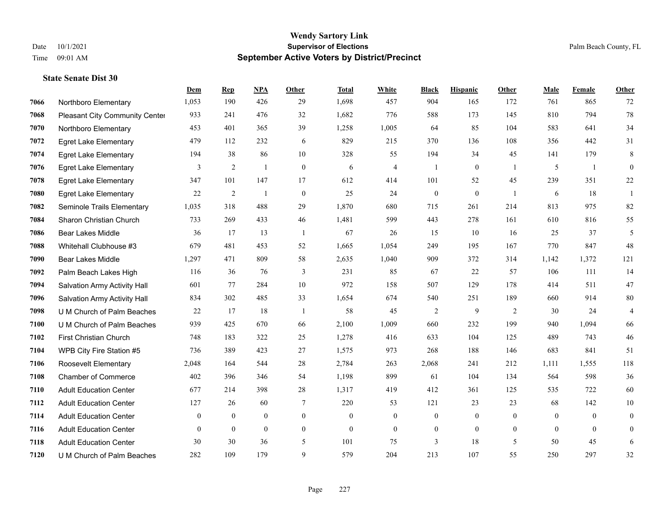|      |                                       | Dem            | <b>Rep</b>     | NPA            | <b>Other</b>   | <b>Total</b> | <b>White</b>             | <b>Black</b>     | <b>Hispanic</b> | Other          | <b>Male</b>  | Female         | <b>Other</b>   |
|------|---------------------------------------|----------------|----------------|----------------|----------------|--------------|--------------------------|------------------|-----------------|----------------|--------------|----------------|----------------|
| 7066 | Northboro Elementary                  | 1,053          | 190            | 426            | 29             | 1,698        | 457                      | 904              | 165             | 172            | 761          | 865            | 72             |
| 7068 | <b>Pleasant City Community Center</b> | 933            | 241            | 476            | 32             | 1,682        | 776                      | 588              | 173             | 145            | 810          | 794            | $78\,$         |
| 7070 | Northboro Elementary                  | 453            | 401            | 365            | 39             | 1,258        | 1,005                    | 64               | 85              | 104            | 583          | 641            | 34             |
| 7072 | <b>Egret Lake Elementary</b>          | 479            | 112            | 232            | 6              | 829          | 215                      | 370              | 136             | 108            | 356          | 442            | 31             |
| 7074 | <b>Egret Lake Elementary</b>          | 194            | 38             | 86             | 10             | 328          | 55                       | 194              | 34              | 45             | 141          | 179            | 8              |
| 7076 | <b>Egret Lake Elementary</b>          | 3              | $\overline{2}$ | $\mathbf{1}$   | $\mathbf{0}$   | 6            | $\overline{\mathcal{L}}$ | -1               | $\overline{0}$  | $\overline{1}$ | 5            | -1             | $\overline{0}$ |
| 7078 | <b>Egret Lake Elementary</b>          | 347            | 101            | 147            | 17             | 612          | 414                      | 101              | 52              | 45             | 239          | 351            | $22\,$         |
| 7080 | <b>Egret Lake Elementary</b>          | 22             | $\overline{2}$ | $\mathbf{1}$   | $\mathbf{0}$   | 25           | 24                       | $\overline{0}$   | $\overline{0}$  | $\overline{1}$ | 6            | 18             | $\mathbf{1}$   |
| 7082 | Seminole Trails Elementary            | 1,035          | 318            | 488            | 29             | 1,870        | 680                      | 715              | 261             | 214            | 813          | 975            | 82             |
| 7084 | Sharon Christian Church               | 733            | 269            | 433            | 46             | 1,481        | 599                      | 443              | 278             | 161            | 610          | 816            | 55             |
| 7086 | <b>Bear Lakes Middle</b>              | 36             | 17             | 13             | $\overline{1}$ | 67           | 26                       | 15               | 10              | 16             | 25           | 37             | 5              |
| 7088 | Whitehall Clubhouse #3                | 679            | 481            | 453            | 52             | 1,665        | 1,054                    | 249              | 195             | 167            | 770          | 847            | 48             |
| 7090 | <b>Bear Lakes Middle</b>              | 1,297          | 471            | 809            | 58             | 2,635        | 1,040                    | 909              | 372             | 314            | 1,142        | 1,372          | 121            |
| 7092 | Palm Beach Lakes High                 | 116            | 36             | 76             | $\mathfrak{Z}$ | 231          | 85                       | 67               | 22              | 57             | 106          | 111            | 14             |
| 7094 | Salvation Army Activity Hall          | 601            | 77             | 284            | 10             | 972          | 158                      | 507              | 129             | 178            | 414          | 511            | $47\,$         |
| 7096 | Salvation Army Activity Hall          | 834            | 302            | 485            | 33             | 1,654        | 674                      | 540              | 251             | 189            | 660          | 914            | $80\,$         |
| 7098 | U M Church of Palm Beaches            | 22             | 17             | 18             | -1             | 58           | 45                       | $\overline{2}$   | 9               | 2              | 30           | 24             | 4              |
| 7100 | U M Church of Palm Beaches            | 939            | 425            | 670            | 66             | 2,100        | 1,009                    | 660              | 232             | 199            | 940          | 1,094          | 66             |
| 7102 | First Christian Church                | 748            | 183            | 322            | 25             | 1,278        | 416                      | 633              | 104             | 125            | 489          | 743            | $46\,$         |
| 7104 | WPB City Fire Station #5              | 736            | 389            | 423            | 27             | 1,575        | 973                      | 268              | 188             | 146            | 683          | 841            | 51             |
| 7106 | Roosevelt Elementary                  | 2,048          | 164            | 544            | 28             | 2,784        | 263                      | 2,068            | 241             | 212            | 1,111        | 1,555          | 118            |
| 7108 | <b>Chamber of Commerce</b>            | 402            | 396            | 346            | 54             | 1,198        | 899                      | 61               | 104             | 134            | 564          | 598            | 36             |
| 7110 | <b>Adult Education Center</b>         | 677            | 214            | 398            | 28             | 1,317        | 419                      | 412              | 361             | 125            | 535          | 722            | 60             |
| 7112 | <b>Adult Education Center</b>         | 127            | 26             | 60             | 7              | 220          | 53                       | 121              | 23              | 23             | 68           | 142            | $10\,$         |
| 7114 | <b>Adult Education Center</b>         | $\overline{0}$ | $\mathbf{0}$   | $\mathbf{0}$   | $\mathbf{0}$   | $\Omega$     | $\overline{0}$           | $\overline{0}$   | $\overline{0}$  | $\theta$       | $\Omega$     | $\theta$       | $\mathbf{0}$   |
| 7116 | <b>Adult Education Center</b>         | $\overline{0}$ | $\mathbf{0}$   | $\overline{0}$ | $\mathbf{0}$   | $\theta$     | $\mathbf{0}$             | $\boldsymbol{0}$ | $\overline{0}$  | $\mathbf{0}$   | $\mathbf{0}$ | $\overline{0}$ | $\mathbf{0}$   |
| 7118 | <b>Adult Education Center</b>         | 30             | 30             | 36             | 5              | 101          | 75                       | 3                | 18              | 5              | 50           | 45             | 6              |
| 7120 | U M Church of Palm Beaches            | 282            | 109            | 179            | 9              | 579          | 204                      | 213              | 107             | 55             | 250          | 297            | 32             |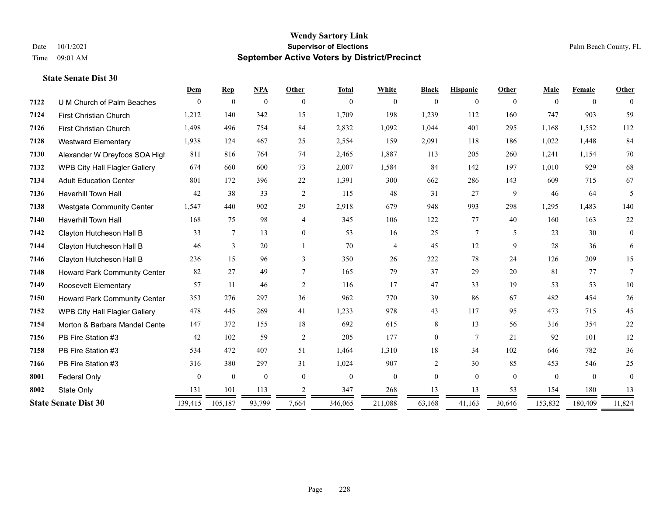#### **Wendy Sartory Link** Date 10/1/2021 **Supervisor of Elections** Palm Beach County, FL Time 09:01 AM **September Active Voters by District/Precinct**

# **Dem Rep NPA Other Total White Black Hispanic Other Male Female Other** U M Church of Palm Beaches 0 0 0 0 0 0 0 0 0 0 0 0 First Christian Church 1,212 140 342 15 1,709 198 1,239 112 160 747 903 59 First Christian Church 1,498 496 754 84 2,832 1,092 1,044 401 295 1,168 1,552 112 Westward Elementary 1,938 124 467 25 2,554 159 2,091 118 186 1,022 1,448 84 Alexander W Dreyfoos SOA High 811 816 764 74 2,465 1,887 113 205 260 1,241 1,154 70 WPB City Hall Flagler Gallery 674 660 600 73 2,007 1,584 84 142 197 1,010 929 68 Adult Education Center 801 172 396 22 1,391 300 662 286 143 609 715 67 Haverhill Town Hall 42 38 33 2 115 48 31 27 9 46 64 5 Westgate Community Center 1,547 440 902 29 2,918 679 948 993 298 1,295 1,483 140 Haverhill Town Hall 168 75 98 4 345 106 122 77 40 160 163 22 Clayton Hutcheson Hall B 33 7 13 0 53 16 25 7 5 23 30 0 Clayton Hutcheson Hall B 46 3 20 1 70 4 45 12 9 28 36 6 Clayton Hutcheson Hall B 236 15 96 3 350 26 222 78 24 126 209 15 Howard Park Community Center 82 27 49 7 165 79 37 29 20 81 77 7 Roosevelt Elementary 57 11 46 2 116 17 47 33 19 53 53 10 Howard Park Community Center 353 276 297 36 962 770 39 86 67 482 454 26 WPB City Hall Flagler Gallery 478 445 269 41 1,233 978 43 117 95 473 715 45 Morton & Barbara Mandel Center 147 372 155 18 692 615 8 13 56 316 354 22 PB Fire Station #3 42 102 59 2 205 177 0 7 21 92 101 12 PB Fire Station #3 534 472 407 51 1,464 1,310 18 34 102 646 782 36 PB Fire Station #3 316 380 297 31 1,024 907 2 30 85 453 546 25 **8001 Federal Only 0 0 0 0 0 0 0 0 0** 0 State Only 131 101 113 2 347 268 13 13 53 154 180 13 **State Senate Dist 30** 139,415 105,187 93,799 7,664 346,065 211,088 63,168 41,163 30,646 153,832 180,409 11,824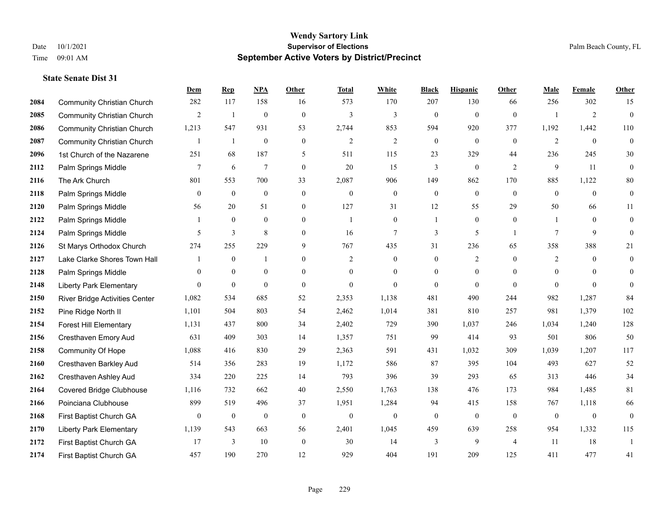|      |                                       | Dem            | <b>Rep</b>     | NPA              | <b>Other</b>     | <b>Total</b>   | <b>White</b>     | <b>Black</b>     | <b>Hispanic</b>  | <b>Other</b>   | <b>Male</b>    | <b>Female</b>  | <b>Other</b>     |
|------|---------------------------------------|----------------|----------------|------------------|------------------|----------------|------------------|------------------|------------------|----------------|----------------|----------------|------------------|
| 2084 | <b>Community Christian Church</b>     | 282            | 117            | 158              | 16               | 573            | 170              | 207              | 130              | 66             | 256            | 302            | 15               |
| 2085 | <b>Community Christian Church</b>     | $\overline{2}$ | $\mathbf{1}$   | $\overline{0}$   | $\mathbf{0}$     | 3              | 3                | $\mathbf{0}$     | $\mathbf{0}$     | $\theta$       |                | $\overline{2}$ | $\mathbf{0}$     |
| 2086 | <b>Community Christian Church</b>     | 1,213          | 547            | 931              | 53               | 2,744          | 853              | 594              | 920              | 377            | 1,192          | 1,442          | 110              |
| 2087 | <b>Community Christian Church</b>     | $\mathbf{1}$   | $\mathbf{1}$   | $\boldsymbol{0}$ | $\boldsymbol{0}$ | $\overline{c}$ | $\sqrt{2}$       | $\boldsymbol{0}$ | $\mathbf{0}$     | $\mathbf{0}$   | $\overline{2}$ | $\mathbf{0}$   | $\boldsymbol{0}$ |
| 2096 | 1st Church of the Nazarene            | 251            | 68             | 187              | 5                | 511            | 115              | 23               | 329              | 44             | 236            | 245            | $30\,$           |
| 2112 | Palm Springs Middle                   | $\tau$         | 6              | $\overline{7}$   | $\boldsymbol{0}$ | 20             | 15               | 3                | $\boldsymbol{0}$ | $\overline{2}$ | 9              | 11             | $\boldsymbol{0}$ |
| 2116 | The Ark Church                        | 801            | 553            | 700              | 33               | 2,087          | 906              | 149              | 862              | 170            | 885            | 1,122          | $80\,$           |
| 2118 | Palm Springs Middle                   | $\theta$       | $\mathbf{0}$   | $\mathbf{0}$     | $\Omega$         | $\theta$       | $\overline{0}$   | $\mathbf{0}$     | $\mathbf{0}$     | $\theta$       | $\theta$       | $\theta$       | $\mathbf{0}$     |
| 2120 | Palm Springs Middle                   | 56             | 20             | 51               | $\overline{0}$   | 127            | 31               | 12               | 55               | 29             | 50             | 66             | 11               |
| 2122 | Palm Springs Middle                   | 1              | $\mathbf{0}$   | $\overline{0}$   | $\overline{0}$   | -1             | $\overline{0}$   | 1                | $\mathbf{0}$     | $\overline{0}$ | 1              | $\overline{0}$ | $\boldsymbol{0}$ |
| 2124 | Palm Springs Middle                   | 5              | $\overline{3}$ | 8                | $\overline{0}$   | 16             | $\tau$           | 3                | 5                | $\overline{1}$ | 7              | 9              | $\mathbf{0}$     |
| 2126 | St Marys Orthodox Church              | 274            | 255            | 229              | 9                | 767            | 435              | 31               | 236              | 65             | 358            | 388            | 21               |
| 2127 | Lake Clarke Shores Town Hall          |                | $\bf{0}$       | $\overline{1}$   | $\overline{0}$   | 2              | $\boldsymbol{0}$ | $\boldsymbol{0}$ | 2                | $\theta$       | 2              | $\theta$       | 0                |
| 2128 | Palm Springs Middle                   | $\mathbf{0}$   | $\mathbf{0}$   | $\mathbf{0}$     | $\overline{0}$   | $\mathbf{0}$   | $\overline{0}$   | $\boldsymbol{0}$ | $\mathbf{0}$     | $\theta$       | $\overline{0}$ | $\theta$       | $\mathbf{0}$     |
| 2148 | <b>Liberty Park Elementary</b>        | $\Omega$       | $\mathbf{0}$   | $\mathbf{0}$     | $\Omega$         | $\theta$       | $\Omega$         | $\mathbf{0}$     | $\theta$         | $\Omega$       | $\theta$       | $\Omega$       | $\theta$         |
| 2150 | <b>River Bridge Activities Center</b> | 1,082          | 534            | 685              | 52               | 2,353          | 1,138            | 481              | 490              | 244            | 982            | 1,287          | 84               |
| 2152 | Pine Ridge North II                   | 1,101          | 504            | 803              | 54               | 2,462          | 1,014            | 381              | 810              | 257            | 981            | 1,379          | 102              |
| 2154 | Forest Hill Elementary                | 1,131          | 437            | 800              | 34               | 2,402          | 729              | 390              | 1,037            | 246            | 1,034          | 1,240          | 128              |
| 2156 | Cresthaven Emory Aud                  | 631            | 409            | 303              | 14               | 1,357          | 751              | 99               | 414              | 93             | 501            | 806            | 50               |
| 2158 | <b>Community Of Hope</b>              | 1,088          | 416            | 830              | 29               | 2,363          | 591              | 431              | 1,032            | 309            | 1,039          | 1,207          | 117              |
| 2160 | Cresthaven Barkley Aud                | 514            | 356            | 283              | 19               | 1,172          | 586              | 87               | 395              | 104            | 493            | 627            | 52               |
| 2162 | Cresthaven Ashley Aud                 | 334            | 220            | 225              | 14               | 793            | 396              | 39               | 293              | 65             | 313            | 446            | 34               |
| 2164 | <b>Covered Bridge Clubhouse</b>       | 1,116          | 732            | 662              | 40               | 2,550          | 1,763            | 138              | 476              | 173            | 984            | 1,485          | 81               |
| 2166 | Poinciana Clubhouse                   | 899            | 519            | 496              | 37               | 1,951          | 1,284            | 94               | 415              | 158            | 767            | 1,118          | 66               |
| 2168 | First Baptist Church GA               | $\overline{0}$ | $\mathbf{0}$   | $\overline{0}$   | $\mathbf{0}$     | $\mathbf{0}$   | $\mathbf{0}$     | $\mathbf{0}$     | $\mathbf{0}$     | $\theta$       | $\mathbf{0}$   | $\theta$       | $\mathbf{0}$     |
| 2170 | <b>Liberty Park Elementary</b>        | 1,139          | 543            | 663              | 56               | 2,401          | 1,045            | 459              | 639              | 258            | 954            | 1,332          | 115              |
| 2172 | First Baptist Church GA               | 17             | 3              | 10               | $\mathbf{0}$     | 30             | 14               | 3                | 9                | $\overline{4}$ | 11             | 18             | $\overline{1}$   |
| 2174 | First Baptist Church GA               | 457            | 190            | 270              | 12               | 929            | 404              | 191              | 209              | 125            | 411            | 477            | 41               |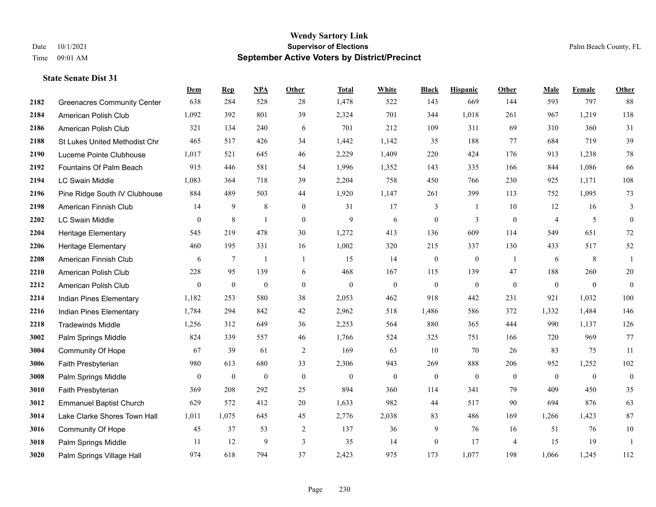|      |                                    | Dem          | <b>Rep</b>       | NPA              | <b>Other</b>     | <b>Total</b>     | <b>White</b>     | <b>Black</b>     | <b>Hispanic</b>  | Other          | <b>Male</b>    | <b>Female</b>  | Other            |
|------|------------------------------------|--------------|------------------|------------------|------------------|------------------|------------------|------------------|------------------|----------------|----------------|----------------|------------------|
| 2182 | <b>Greenacres Community Center</b> | 638          | 284              | 528              | 28               | 1,478            | 522              | 143              | 669              | 144            | 593            | 797            | 88               |
| 2184 | American Polish Club               | 1,092        | 392              | 801              | 39               | 2,324            | 701              | 344              | 1,018            | 261            | 967            | 1,219          | 138              |
| 2186 | American Polish Club               | 321          | 134              | 240              | 6                | 701              | 212              | 109              | 311              | 69             | 310            | 360            | 31               |
| 2188 | St Lukes United Methodist Chr      | 465          | 517              | 426              | 34               | 1,442            | 1,142            | 35               | 188              | 77             | 684            | 719            | 39               |
| 2190 | Lucerne Pointe Clubhouse           | 1,017        | 521              | 645              | 46               | 2,229            | 1,409            | 220              | 424              | 176            | 913            | 1,238          | $78\,$           |
| 2192 | Fountains Of Palm Beach            | 915          | 446              | 581              | 54               | 1,996            | 1,352            | 143              | 335              | 166            | 844            | 1,086          | 66               |
| 2194 | <b>LC Swain Middle</b>             | 1,083        | 364              | 718              | 39               | 2,204            | 758              | 450              | 766              | 230            | 925            | 1,171          | 108              |
| 2196 | Pine Ridge South IV Clubhouse      | 884          | 489              | 503              | 44               | 1,920            | 1,147            | 261              | 399              | 113            | 752            | 1,095          | 73               |
| 2198 | American Finnish Club              | 14           | 9                | $8\,$            | $\boldsymbol{0}$ | 31               | 17               | 3                | -1               | 10             | 12             | 16             | 3                |
| 2202 | <b>LC Swain Middle</b>             | $\mathbf{0}$ | $\,$ 8 $\,$      | 1                | $\mathbf{0}$     | 9                | 6                | $\boldsymbol{0}$ | 3                | $\mathbf{0}$   | $\overline{4}$ | 5              | $\boldsymbol{0}$ |
| 2204 | Heritage Elementary                | 545          | 219              | 478              | 30               | 1,272            | 413              | 136              | 609              | 114            | 549            | 651            | 72               |
| 2206 | <b>Heritage Elementary</b>         | 460          | 195              | 331              | 16               | 1,002            | 320              | 215              | 337              | 130            | 433            | 517            | 52               |
| 2208 | American Finnish Club              | 6            | 7                | 1                | $\overline{1}$   | 15               | 14               | $\bf{0}$         | $\mathbf{0}$     | $\overline{1}$ | 6              | 8              | $\mathbf{1}$     |
| 2210 | American Polish Club               | 228          | 95               | 139              | 6                | 468              | 167              | 115              | 139              | 47             | 188            | 260            | $20\,$           |
| 2212 | American Polish Club               | $\mathbf{0}$ | $\boldsymbol{0}$ | $\boldsymbol{0}$ | $\mathbf{0}$     | $\boldsymbol{0}$ | $\boldsymbol{0}$ | $\boldsymbol{0}$ | $\boldsymbol{0}$ | $\mathbf{0}$   | $\mathbf{0}$   | $\mathbf{0}$   | $\overline{0}$   |
| 2214 | Indian Pines Elementary            | 1,182        | 253              | 580              | 38               | 2,053            | 462              | 918              | 442              | 231            | 921            | 1,032          | 100              |
| 2216 | Indian Pines Elementary            | 1,784        | 294              | 842              | 42               | 2,962            | 518              | 1,486            | 586              | 372            | 1,332          | 1,484          | 146              |
| 2218 | <b>Tradewinds Middle</b>           | 1,256        | 312              | 649              | 36               | 2,253            | 564              | 880              | 365              | 444            | 990            | 1,137          | 126              |
| 3002 | Palm Springs Middle                | 824          | 339              | 557              | 46               | 1,766            | 524              | 325              | 751              | 166            | 720            | 969            | 77               |
| 3004 | Community Of Hope                  | 67           | 39               | 61               | $\overline{2}$   | 169              | 63               | 10               | 70               | 26             | 83             | 75             | 11               |
| 3006 | Faith Presbyterian                 | 980          | 613              | 680              | 33               | 2,306            | 943              | 269              | 888              | 206            | 952            | 1,252          | 102              |
| 3008 | Palm Springs Middle                | $\mathbf{0}$ | $\boldsymbol{0}$ | $\boldsymbol{0}$ | $\mathbf{0}$     | $\boldsymbol{0}$ | $\mathbf{0}$     | $\mathbf{0}$     | $\mathbf{0}$     | $\mathbf{0}$   | $\mathbf{0}$   | $\overline{0}$ | $\overline{0}$   |
| 3010 | Faith Presbyterian                 | 369          | 208              | 292              | 25               | 894              | 360              | 114              | 341              | 79             | 409            | 450            | 35               |
| 3012 | <b>Emmanuel Baptist Church</b>     | 629          | 572              | 412              | 20               | 1,633            | 982              | 44               | 517              | 90             | 694            | 876            | 63               |
| 3014 | Lake Clarke Shores Town Hall       | 1,011        | 1,075            | 645              | 45               | 2,776            | 2,038            | 83               | 486              | 169            | 1,266          | 1,423          | 87               |
| 3016 | <b>Community Of Hope</b>           | 45           | 37               | 53               | 2                | 137              | 36               | 9                | 76               | 16             | 51             | 76             | $10\,$           |
| 3018 | Palm Springs Middle                | 11           | 12               | 9                | $\overline{3}$   | 35               | 14               | $\boldsymbol{0}$ | 17               | $\overline{4}$ | 15             | 19             | -1               |
| 3020 | Palm Springs Village Hall          | 974          | 618              | 794              | 37               | 2,423            | 975              | 173              | 1,077            | 198            | 1,066          | 1,245          | 112              |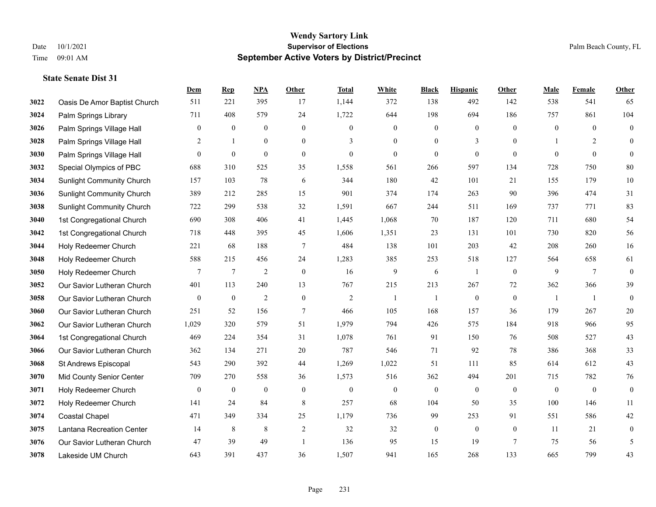|      |                                  | Dem            | <b>Rep</b>       | NPA              | <b>Other</b>     | <b>Total</b>     | <b>White</b>     | <b>Black</b>     | <b>Hispanic</b>  | <b>Other</b>   | <b>Male</b>      | <b>Female</b>  | <b>Other</b>     |
|------|----------------------------------|----------------|------------------|------------------|------------------|------------------|------------------|------------------|------------------|----------------|------------------|----------------|------------------|
| 3022 | Oasis De Amor Baptist Church     | 511            | 221              | 395              | 17               | 1,144            | 372              | 138              | 492              | 142            | 538              | 541            | 65               |
| 3024 | Palm Springs Library             | 711            | 408              | 579              | 24               | 1,722            | 644              | 198              | 694              | 186            | 757              | 861            | 104              |
| 3026 | Palm Springs Village Hall        | 0              | $\boldsymbol{0}$ | $\boldsymbol{0}$ | $\mathbf{0}$     | $\mathbf{0}$     | $\boldsymbol{0}$ | $\boldsymbol{0}$ | $\mathbf{0}$     | $\overline{0}$ | $\overline{0}$   | $\overline{0}$ | $\boldsymbol{0}$ |
| 3028 | Palm Springs Village Hall        | 2              | 1                | $\boldsymbol{0}$ | $\boldsymbol{0}$ | 3                | $\boldsymbol{0}$ | $\boldsymbol{0}$ | 3                | $\mathbf{0}$   |                  | $\overline{c}$ | $\mathbf{0}$     |
| 3030 | Palm Springs Village Hall        | $\theta$       | $\mathbf{0}$     | $\boldsymbol{0}$ | $\mathbf{0}$     | $\theta$         | $\mathbf{0}$     | $\mathbf{0}$     | $\boldsymbol{0}$ | $\theta$       | $\theta$         | $\theta$       | $\mathbf{0}$     |
| 3032 | Special Olympics of PBC          | 688            | 310              | 525              | 35               | 1,558            | 561              | 266              | 597              | 134            | 728              | 750            | 80               |
| 3034 | <b>Sunlight Community Church</b> | 157            | 103              | 78               | 6                | 344              | 180              | 42               | 101              | 21             | 155              | 179            | 10               |
| 3036 | <b>Sunlight Community Church</b> | 389            | 212              | 285              | 15               | 901              | 374              | 174              | 263              | 90             | 396              | 474            | 31               |
| 3038 | <b>Sunlight Community Church</b> | 722            | 299              | 538              | 32               | 1,591            | 667              | 244              | 511              | 169            | 737              | 771            | 83               |
| 3040 | 1st Congregational Church        | 690            | 308              | 406              | 41               | 1,445            | 1,068            | 70               | 187              | 120            | 711              | 680            | 54               |
| 3042 | 1st Congregational Church        | 718            | 448              | 395              | 45               | 1,606            | 1,351            | 23               | 131              | 101            | 730              | 820            | 56               |
| 3044 | Holy Redeemer Church             | 221            | 68               | 188              | $\overline{7}$   | 484              | 138              | 101              | 203              | 42             | 208              | 260            | 16               |
| 3048 | Holy Redeemer Church             | 588            | 215              | 456              | 24               | 1,283            | 385              | 253              | 518              | 127            | 564              | 658            | 61               |
| 3050 | Holy Redeemer Church             | 7              | $\overline{7}$   | $\overline{2}$   | $\boldsymbol{0}$ | 16               | $\overline{9}$   | 6                | -1               | $\mathbf{0}$   | 9                | $\overline{7}$ | $\boldsymbol{0}$ |
| 3052 | Our Savior Lutheran Church       | 401            | 113              | 240              | 13               | 767              | 215              | 213              | 267              | 72             | 362              | 366            | 39               |
| 3058 | Our Savior Lutheran Church       | $\overline{0}$ | $\boldsymbol{0}$ | $\overline{2}$   | $\boldsymbol{0}$ | $\overline{2}$   | 1                | $\overline{1}$   | $\mathbf{0}$     | $\mathbf{0}$   | -1               | -1             | $\mathbf{0}$     |
| 3060 | Our Savior Lutheran Church       | 251            | 52               | 156              | $\tau$           | 466              | 105              | 168              | 157              | 36             | 179              | 267            | $20\,$           |
| 3062 | Our Savior Lutheran Church       | 1,029          | 320              | 579              | 51               | 1,979            | 794              | 426              | 575              | 184            | 918              | 966            | 95               |
| 3064 | 1st Congregational Church        | 469            | 224              | 354              | 31               | 1,078            | 761              | 91               | 150              | 76             | 508              | 527            | 43               |
| 3066 | Our Savior Lutheran Church       | 362            | 134              | 271              | 20               | 787              | 546              | 71               | 92               | 78             | 386              | 368            | 33               |
| 3068 | St Andrews Episcopal             | 543            | 290              | 392              | 44               | 1,269            | 1,022            | 51               | 111              | 85             | 614              | 612            | 43               |
| 3070 | Mid County Senior Center         | 709            | 270              | 558              | 36               | 1,573            | 516              | 362              | 494              | 201            | 715              | 782            | 76               |
| 3071 | Holy Redeemer Church             | $\mathbf{0}$   | $\boldsymbol{0}$ | $\boldsymbol{0}$ | $\boldsymbol{0}$ | $\boldsymbol{0}$ | $\boldsymbol{0}$ | $\boldsymbol{0}$ | $\boldsymbol{0}$ | $\mathbf{0}$   | $\boldsymbol{0}$ | $\mathbf{0}$   | $\boldsymbol{0}$ |
| 3072 | Holy Redeemer Church             | 141            | 24               | 84               | 8                | 257              | 68               | 104              | 50               | 35             | 100              | 146            | 11               |
| 3074 | Coastal Chapel                   | 471            | 349              | 334              | 25               | 1,179            | 736              | 99               | 253              | 91             | 551              | 586            | 42               |
| 3075 | Lantana Recreation Center        | 14             | 8                | 8                | $\overline{2}$   | 32               | 32               | $\boldsymbol{0}$ | $\mathbf{0}$     | $\mathbf{0}$   | 11               | 21             | $\boldsymbol{0}$ |
| 3076 | Our Savior Lutheran Church       | 47             | 39               | 49               | $\mathbf{1}$     | 136              | 95               | 15               | 19               | 7              | 75               | 56             | 5                |
| 3078 | Lakeside UM Church               | 643            | 391              | 437              | 36               | 1,507            | 941              | 165              | 268              | 133            | 665              | 799            | 43               |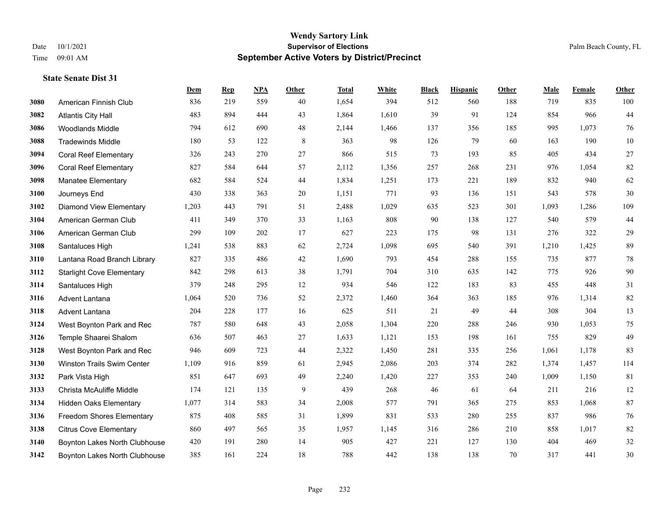|      |                                  | Dem   | <b>Rep</b> | NPA | <b>Other</b> | <b>Total</b> | <b>White</b> | <b>Black</b> | <b>Hispanic</b> | <b>Other</b> | <b>Male</b> | <b>Female</b> | <b>Other</b> |
|------|----------------------------------|-------|------------|-----|--------------|--------------|--------------|--------------|-----------------|--------------|-------------|---------------|--------------|
| 3080 | American Finnish Club            | 836   | 219        | 559 | 40           | 1,654        | 394          | 512          | 560             | 188          | 719         | 835           | 100          |
| 3082 | <b>Atlantis City Hall</b>        | 483   | 894        | 444 | 43           | 1,864        | 1,610        | 39           | 91              | 124          | 854         | 966           | 44           |
| 3086 | <b>Woodlands Middle</b>          | 794   | 612        | 690 | 48           | 2,144        | 1,466        | 137          | 356             | 185          | 995         | 1,073         | 76           |
| 3088 | <b>Tradewinds Middle</b>         | 180   | 53         | 122 | $\,8\,$      | 363          | 98           | 126          | 79              | 60           | 163         | 190           | $10\,$       |
| 3094 | <b>Coral Reef Elementary</b>     | 326   | 243        | 270 | 27           | 866          | 515          | 73           | 193             | 85           | 405         | 434           | $27\,$       |
| 3096 | <b>Coral Reef Elementary</b>     | 827   | 584        | 644 | 57           | 2,112        | 1,356        | 257          | 268             | 231          | 976         | 1,054         | 82           |
| 3098 | <b>Manatee Elementary</b>        | 682   | 584        | 524 | 44           | 1,834        | 1,251        | 173          | 221             | 189          | 832         | 940           | 62           |
| 3100 | Journeys End                     | 430   | 338        | 363 | 20           | 1,151        | 771          | 93           | 136             | 151          | 543         | 578           | 30           |
| 3102 | Diamond View Elementary          | 1,203 | 443        | 791 | 51           | 2,488        | 1,029        | 635          | 523             | 301          | 1,093       | 1,286         | 109          |
| 3104 | American German Club             | 411   | 349        | 370 | 33           | 1,163        | 808          | 90           | 138             | 127          | 540         | 579           | 44           |
| 3106 | American German Club             | 299   | 109        | 202 | 17           | 627          | 223          | 175          | 98              | 131          | 276         | 322           | $29\,$       |
| 3108 | Santaluces High                  | 1,241 | 538        | 883 | 62           | 2,724        | 1,098        | 695          | 540             | 391          | 1,210       | 1,425         | 89           |
| 3110 | Lantana Road Branch Library      | 827   | 335        | 486 | 42           | 1,690        | 793          | 454          | 288             | 155          | 735         | 877           | $78\,$       |
| 3112 | <b>Starlight Cove Elementary</b> | 842   | 298        | 613 | 38           | 1,791        | 704          | 310          | 635             | 142          | 775         | 926           | $90\,$       |
| 3114 | Santaluces High                  | 379   | 248        | 295 | 12           | 934          | 546          | 122          | 183             | 83           | 455         | 448           | 31           |
| 3116 | Advent Lantana                   | 1,064 | 520        | 736 | 52           | 2,372        | 1,460        | 364          | 363             | 185          | 976         | 1,314         | 82           |
| 3118 | Advent Lantana                   | 204   | 228        | 177 | 16           | 625          | 511          | 21           | 49              | 44           | 308         | 304           | 13           |
| 3124 | West Boynton Park and Rec        | 787   | 580        | 648 | 43           | 2,058        | 1,304        | 220          | 288             | 246          | 930         | 1,053         | $75\,$       |
| 3126 | Temple Shaarei Shalom            | 636   | 507        | 463 | 27           | 1,633        | 1,121        | 153          | 198             | 161          | 755         | 829           | 49           |
| 3128 | West Boynton Park and Rec        | 946   | 609        | 723 | 44           | 2,322        | 1,450        | 281          | 335             | 256          | 1,061       | 1,178         | 83           |
| 3130 | Winston Trails Swim Center       | 1,109 | 916        | 859 | 61           | 2,945        | 2,086        | 203          | 374             | 282          | 1,374       | 1,457         | 114          |
| 3132 | Park Vista High                  | 851   | 647        | 693 | 49           | 2,240        | 1,420        | 227          | 353             | 240          | 1,009       | 1,150         | $81\,$       |
| 3133 | Christa McAuliffe Middle         | 174   | 121        | 135 | 9            | 439          | 268          | 46           | 61              | -64          | 211         | 216           | $12\,$       |
| 3134 | <b>Hidden Oaks Elementary</b>    | 1,077 | 314        | 583 | 34           | 2,008        | 577          | 791          | 365             | 275          | 853         | 1,068         | 87           |
| 3136 | <b>Freedom Shores Elementary</b> | 875   | 408        | 585 | 31           | 1,899        | 831          | 533          | 280             | 255          | 837         | 986           | 76           |
| 3138 | <b>Citrus Cove Elementary</b>    | 860   | 497        | 565 | 35           | 1,957        | 1,145        | 316          | 286             | 210          | 858         | 1,017         | 82           |
| 3140 | Boynton Lakes North Clubhouse    | 420   | 191        | 280 | 14           | 905          | 427          | 221          | 127             | 130          | 404         | 469           | 32           |
| 3142 | Boynton Lakes North Clubhouse    | 385   | 161        | 224 | 18           | 788          | 442          | 138          | 138             | 70           | 317         | 441           | 30           |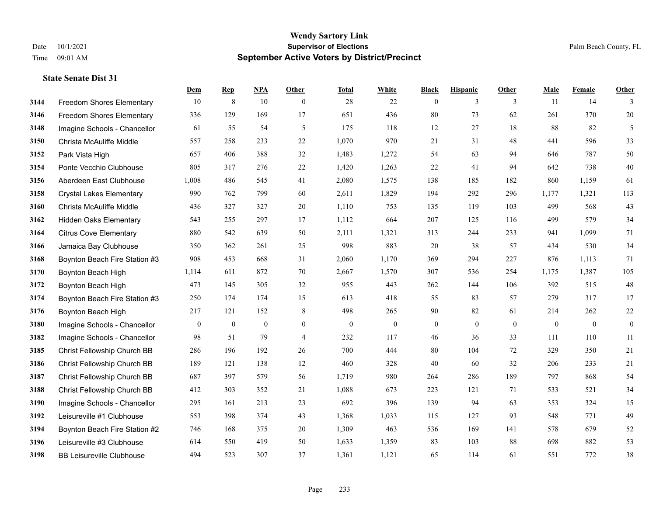#### **Wendy Sartory Link** Date 10/1/2021 **Supervisor of Elections** Palm Beach County, FL Time 09:01 AM **September Active Voters by District/Precinct**

Freedom Shores Elementary 10 8 10 0 28 22 0 3 3 11 14 3

**Dem Rep NPA Other Total White Black Hispanic Other Male Female Other**

# Freedom Shores Elementary 336 129 169 17 651 436 80 73 62 261 370 20 Imagine Schools - Chancellor 61 55 54 5 175 118 12 27 18 88 82 5 Christa McAuliffe Middle 557 258 233 22 1,070 970 21 31 48 441 596 33 Park Vista High 657 406 388 32 1,483 1,272 54 63 94 646 787 50 Ponte Vecchio Clubhouse 805 317 276 22 1,420 1,263 22 41 94 642 738 40 Aberdeen East Clubhouse 1,008 486 545 41 2,080 1,575 138 185 182 860 1,159 61 Crystal Lakes Elementary 990 762 799 60 2,611 1,829 194 292 296 1,177 1,321 113 Christa McAuliffe Middle 436 327 327 20 1,110 753 135 119 103 499 568 43 Hidden Oaks Elementary 543 255 297 17 1,112 664 207 125 116 499 579 34 Citrus Cove Elementary 880 542 639 50 2,111 1,321 313 244 233 941 1,099 71 Jamaica Bay Clubhouse 350 362 261 25 998 883 20 38 57 434 530 34 Boynton Beach Fire Station #3 908 453 668 31 2,060 1,170 369 294 227 876 1,113 71 Boynton Beach High 1,114 611 872 70 2,667 1,570 307 536 254 1,175 1,387 105 Boynton Beach High 473 145 305 32 955 443 262 144 106 392 515 48 Boynton Beach Fire Station #3 250 174 174 15 613 418 55 83 57 279 317 17 Boynton Beach High 217 121 152 8 498 265 90 82 61 214 262 22 Imagine Schools - Chancellor 0 0 0 0 0 0 0 0 0 0 0 0 Imagine Schools - Chancellor 98 51 79 4 232 117 46 36 33 111 110 11

| 3185 | Christ Fellowship Church BB      | 286 | 196 | 192 | 26 | 700   | 444   | 80  | 104 | 72  | 329 | 350 | 21 |
|------|----------------------------------|-----|-----|-----|----|-------|-------|-----|-----|-----|-----|-----|----|
| 3186 | Christ Fellowship Church BB      | 189 | 121 | 138 | 12 | 460   | 328   | 40  | 60  | 32  | 206 | 233 | 21 |
| 3187 | Christ Fellowship Church BB      | 687 | 397 | 579 | 56 | 1,719 | 980   | 264 | 286 | 189 | 797 | 868 | 54 |
| 3188 | Christ Fellowship Church BB      | 412 | 303 | 352 | 21 | 1,088 | 673   | 223 | 121 | 71  | 533 | 521 | 34 |
| 3190 | Imagine Schools - Chancellor     | 295 | 161 | 213 | 23 | 692   | 396   | 139 | 94  | 63  | 353 | 324 | 15 |
| 3192 | Leisureville #1 Clubhouse        | 553 | 398 | 374 | 43 | 1,368 | 1,033 | 115 | 127 | 93  | 548 | 771 | 49 |
| 3194 | Boynton Beach Fire Station #2    | 746 | 168 | 375 | 20 | 1,309 | 463   | 536 | 169 | 141 | 578 | 679 | 52 |
| 3196 | Leisureville #3 Clubhouse        | 614 | 550 | 419 | 50 | 1,633 | 1,359 | 83  | 103 | 88  | 698 | 882 | 53 |
| 3198 | <b>BB Leisureville Clubhouse</b> | 494 | 523 | 307 | 37 | 1,361 | 1,121 | 65  | 114 | 61  | 551 | 772 | 38 |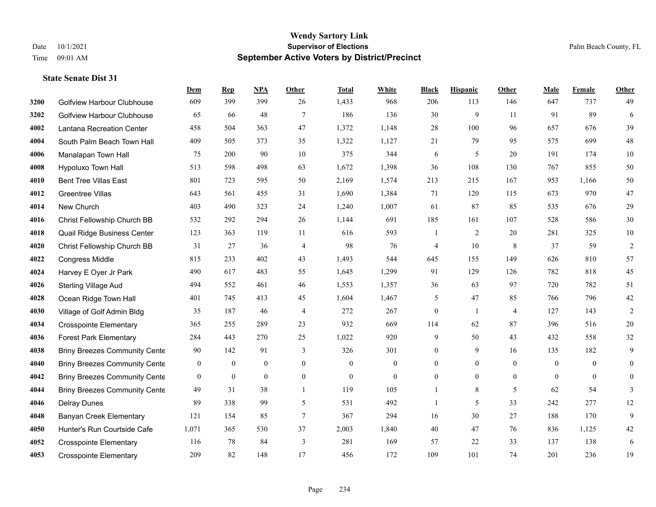|      |                                      | Dem            | <b>Rep</b>     | NPA              | <b>Other</b>   | <b>Total</b>     | <b>White</b>     | <b>Black</b>   | <b>Hispanic</b> | Other          | <b>Male</b>  | <b>Female</b>  | <b>Other</b>   |
|------|--------------------------------------|----------------|----------------|------------------|----------------|------------------|------------------|----------------|-----------------|----------------|--------------|----------------|----------------|
| 3200 | Golfview Harbour Clubhouse           | 609            | 399            | 399              | 26             | 1,433            | 968              | 206            | 113             | 146            | 647          | 737            | 49             |
| 3202 | <b>Golfview Harbour Clubhouse</b>    | 65             | 66             | 48               | $\tau$         | 186              | 136              | 30             | 9               | 11             | 91           | 89             | 6              |
| 4002 | Lantana Recreation Center            | 458            | 504            | 363              | 47             | 1,372            | 1,148            | 28             | 100             | 96             | 657          | 676            | 39             |
| 4004 | South Palm Beach Town Hall           | 409            | 505            | 373              | 35             | 1,322            | 1,127            | 21             | 79              | 95             | 575          | 699            | $48\,$         |
| 4006 | Manalapan Town Hall                  | 75             | 200            | 90               | 10             | 375              | 344              | 6              | 5               | 20             | 191          | 174            | $10\,$         |
| 4008 | Hypoluxo Town Hall                   | 513            | 598            | 498              | 63             | 1,672            | 1,398            | 36             | 108             | 130            | 767          | 855            | 50             |
| 4010 | <b>Bent Tree Villas East</b>         | 801            | 723            | 595              | 50             | 2,169            | 1,574            | 213            | 215             | 167            | 953          | 1,166          | $50\,$         |
| 4012 | <b>Greentree Villas</b>              | 643            | 561            | 455              | 31             | 1,690            | 1,384            | 71             | 120             | 115            | 673          | 970            | $47\,$         |
| 4014 | New Church                           | 403            | 490            | 323              | 24             | 1,240            | 1,007            | 61             | 87              | 85             | 535          | 676            | $29\,$         |
| 4016 | Christ Fellowship Church BB          | 532            | 292            | 294              | 26             | 1,144            | 691              | 185            | 161             | 107            | 528          | 586            | $30\,$         |
| 4018 | Quail Ridge Business Center          | 123            | 363            | 119              | 11             | 616              | 593              | -1             | 2               | 20             | 281          | 325            | 10             |
| 4020 | Christ Fellowship Church BB          | 31             | 27             | 36               | $\overline{4}$ | 98               | 76               | 4              | 10              | 8              | 37           | 59             | $\overline{2}$ |
| 4022 | Congress Middle                      | 815            | 233            | 402              | 43             | 1,493            | 544              | 645            | 155             | 149            | 626          | 810            | 57             |
| 4024 | Harvey E Oyer Jr Park                | 490            | 617            | 483              | 55             | 1,645            | 1,299            | 91             | 129             | 126            | 782          | 818            | 45             |
| 4026 | <b>Sterling Village Aud</b>          | 494            | 552            | 461              | 46             | 1,553            | 1,357            | 36             | 63              | 97             | 720          | 782            | 51             |
| 4028 | Ocean Ridge Town Hall                | 401            | 745            | 413              | 45             | 1,604            | 1,467            | 5              | 47              | 85             | 766          | 796            | $42\,$         |
| 4030 | Village of Golf Admin Bldg           | 35             | 187            | 46               | $\overline{4}$ | 272              | 267              | $\overline{0}$ | $\mathbf{1}$    | $\overline{4}$ | 127          | 143            | $\overline{2}$ |
| 4034 | <b>Crosspointe Elementary</b>        | 365            | 255            | 289              | 23             | 932              | 669              | 114            | 62              | 87             | 396          | 516            | $20\,$         |
| 4036 | <b>Forest Park Elementary</b>        | 284            | 443            | 270              | 25             | 1,022            | 920              | 9              | 50              | 43             | 432          | 558            | $32\,$         |
| 4038 | <b>Briny Breezes Community Cente</b> | 90             | 142            | 91               | 3              | 326              | 301              | $\overline{0}$ | 9               | 16             | 135          | 182            | 9              |
| 4040 | <b>Briny Breezes Community Cente</b> | $\overline{0}$ | $\overline{0}$ | $\mathbf{0}$     | $\theta$       | $\theta$         | $\overline{0}$   | $\overline{0}$ | $\overline{0}$  | $\theta$       | $\theta$     | $\theta$       | $\theta$       |
| 4042 | <b>Briny Breezes Community Cente</b> | $\overline{0}$ | $\mathbf{0}$   | $\boldsymbol{0}$ | $\mathbf{0}$   | $\boldsymbol{0}$ | $\boldsymbol{0}$ | $\overline{0}$ | $\overline{0}$  | $\mathbf{0}$   | $\mathbf{0}$ | $\overline{0}$ | $\overline{0}$ |
| 4044 | <b>Briny Breezes Community Cente</b> | 49             | 31             | 38               | $\mathbf{1}$   | 119              | 105              | 1              | 8               | 5              | 62           | 54             | 3              |
| 4046 | <b>Delray Dunes</b>                  | 89             | 338            | 99               | 5              | 531              | 492              | $\mathbf{1}$   | 5               | 33             | 242          | 277            | 12             |
| 4048 | <b>Banyan Creek Elementary</b>       | 121            | 154            | 85               | $\tau$         | 367              | 294              | 16             | 30              | 27             | 188          | 170            | 9              |
| 4050 | Hunter's Run Courtside Cafe          | 1,071          | 365            | 530              | 37             | 2,003            | 1,840            | 40             | 47              | 76             | 836          | 1,125          | 42             |
| 4052 | <b>Crosspointe Elementary</b>        | 116            | 78             | 84               | 3              | 281              | 169              | 57             | 22              | 33             | 137          | 138            | 6              |
| 4053 | <b>Crosspointe Elementary</b>        | 209            | 82             | 148              | 17             | 456              | 172              | 109            | 101             | 74             | 201          | 236            | 19             |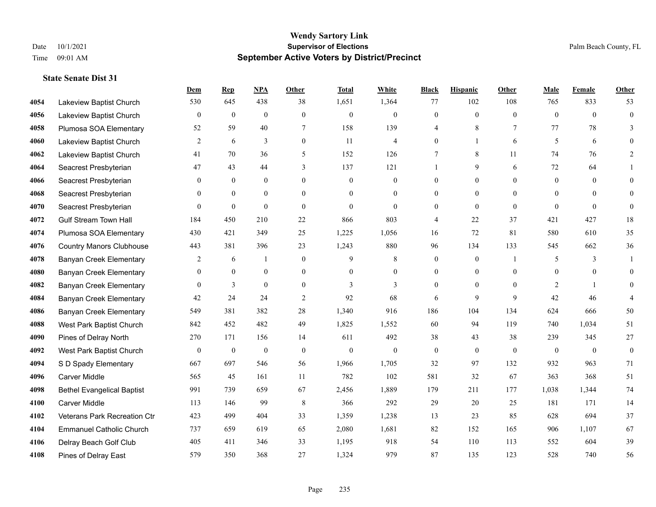|      |                                   | Dem            | <b>Rep</b>       | NPA              | <b>Other</b>     | <b>Total</b> | <b>White</b>     | <b>Black</b>     | <b>Hispanic</b>  | <b>Other</b>   | <b>Male</b>      | <b>Female</b>    | <b>Other</b>     |
|------|-----------------------------------|----------------|------------------|------------------|------------------|--------------|------------------|------------------|------------------|----------------|------------------|------------------|------------------|
| 4054 | Lakeview Baptist Church           | 530            | 645              | 438              | 38               | 1,651        | 1,364            | 77               | 102              | 108            | 765              | 833              | 53               |
| 4056 | Lakeview Baptist Church           | $\mathbf{0}$   | $\mathbf{0}$     | $\mathbf{0}$     | $\Omega$         | $\theta$     | $\overline{0}$   | $\mathbf{0}$     | $\mathbf{0}$     | $\theta$       | $\theta$         | $\theta$         | $\mathbf{0}$     |
| 4058 | Plumosa SOA Elementary            | 52             | 59               | 40               | 7                | 158          | 139              | 4                | 8                | 7              | 77               | 78               | 3                |
| 4060 | Lakeview Baptist Church           | 2              | 6                | 3                | $\overline{0}$   | 11           | $\overline{4}$   | $\boldsymbol{0}$ | $\mathbf{1}$     | 6              | 5                | 6                | $\theta$         |
| 4062 | Lakeview Baptist Church           | 41             | 70               | 36               | 5                | 152          | 126              | 7                | 8                | 11             | 74               | 76               | $\overline{2}$   |
| 4064 | Seacrest Presbyterian             | 47             | 43               | 44               | 3                | 137          | 121              | 1                | 9                | 6              | 72               | 64               |                  |
| 4066 | Seacrest Presbyterian             | $\mathbf{0}$   | $\mathbf{0}$     | $\mathbf{0}$     | $\overline{0}$   | $\mathbf{0}$ | $\boldsymbol{0}$ | $\mathbf{0}$     | $\mathbf{0}$     | $\theta$       | $\mathbf{0}$     | $\theta$         | $\Omega$         |
| 4068 | Seacrest Presbyterian             | $\Omega$       | $\theta$         | $\theta$         | $\Omega$         | $\Omega$     | $\Omega$         | $\theta$         | $\theta$         | $\Omega$       | $\Omega$         | $\Omega$         | $\theta$         |
| 4070 | Seacrest Presbyterian             | $\mathbf{0}$   | $\boldsymbol{0}$ | $\mathbf{0}$     | $\overline{0}$   | $\mathbf{0}$ | $\mathbf{0}$     | $\boldsymbol{0}$ | $\mathbf{0}$     | $\mathbf{0}$   | $\theta$         | $\theta$         | $\mathbf{0}$     |
| 4072 | <b>Gulf Stream Town Hall</b>      | 184            | 450              | 210              | 22               | 866          | 803              | 4                | 22               | 37             | 421              | 427              | $18\,$           |
| 4074 | Plumosa SOA Elementary            | 430            | 421              | 349              | 25               | 1,225        | 1,056            | 16               | 72               | 81             | 580              | 610              | 35               |
| 4076 | <b>Country Manors Clubhouse</b>   | 443            | 381              | 396              | 23               | 1,243        | 880              | 96               | 134              | 133            | 545              | 662              | 36               |
| 4078 | <b>Banyan Creek Elementary</b>    | 2              | 6                | $\mathbf{1}$     | $\overline{0}$   | 9            | 8                | $\mathbf{0}$     | $\mathbf{0}$     | $\overline{1}$ | 5                | 3                | 1                |
| 4080 | <b>Banyan Creek Elementary</b>    | $\mathbf{0}$   | $\boldsymbol{0}$ | $\boldsymbol{0}$ | $\boldsymbol{0}$ | $\mathbf{0}$ | $\boldsymbol{0}$ | $\boldsymbol{0}$ | $\boldsymbol{0}$ | $\mathbf{0}$   | $\boldsymbol{0}$ | $\boldsymbol{0}$ | $\theta$         |
| 4082 | <b>Banyan Creek Elementary</b>    | $\Omega$       | 3                | $\overline{0}$   | $\theta$         | 3            | 3                | $\mathbf{0}$     | $\mathbf{0}$     | $\theta$       | 2                |                  | $\overline{0}$   |
| 4084 | <b>Banyan Creek Elementary</b>    | 42             | 24               | 24               | 2                | 92           | 68               | 6                | 9                | 9              | 42               | 46               | 4                |
| 4086 | <b>Banyan Creek Elementary</b>    | 549            | 381              | 382              | 28               | 1,340        | 916              | 186              | 104              | 134            | 624              | 666              | 50               |
| 4088 | West Park Baptist Church          | 842            | 452              | 482              | 49               | 1,825        | 1,552            | 60               | 94               | 119            | 740              | 1,034            | 51               |
| 4090 | Pines of Delray North             | 270            | 171              | 156              | 14               | 611          | 492              | 38               | 43               | 38             | 239              | 345              | 27               |
| 4092 | West Park Baptist Church          | $\overline{0}$ | $\boldsymbol{0}$ | $\boldsymbol{0}$ | $\mathbf{0}$     | $\mathbf{0}$ | $\boldsymbol{0}$ | $\boldsymbol{0}$ | $\boldsymbol{0}$ | $\mathbf{0}$   | $\mathbf{0}$     | $\mathbf{0}$     | $\boldsymbol{0}$ |
| 4094 | S D Spady Elementary              | 667            | 697              | 546              | 56               | 1,966        | 1,705            | 32               | 97               | 132            | 932              | 963              | 71               |
| 4096 | <b>Carver Middle</b>              | 565            | 45               | 161              | 11               | 782          | 102              | 581              | 32               | 67             | 363              | 368              | 51               |
| 4098 | <b>Bethel Evangelical Baptist</b> | 991            | 739              | 659              | 67               | 2,456        | 1,889            | 179              | 211              | 177            | 1,038            | 1,344            | $74\,$           |
| 4100 | <b>Carver Middle</b>              | 113            | 146              | 99               | 8                | 366          | 292              | 29               | 20               | 25             | 181              | 171              | 14               |
| 4102 | Veterans Park Recreation Ctr      | 423            | 499              | 404              | 33               | 1,359        | 1,238            | 13               | 23               | 85             | 628              | 694              | 37               |
| 4104 | <b>Emmanuel Catholic Church</b>   | 737            | 659              | 619              | 65               | 2,080        | 1,681            | 82               | 152              | 165            | 906              | 1,107            | 67               |
| 4106 | Delray Beach Golf Club            | 405            | 411              | 346              | 33               | 1,195        | 918              | 54               | 110              | 113            | 552              | 604              | 39               |
| 4108 | Pines of Delray East              | 579            | 350              | 368              | 27               | 1,324        | 979              | 87               | 135              | 123            | 528              | 740              | 56               |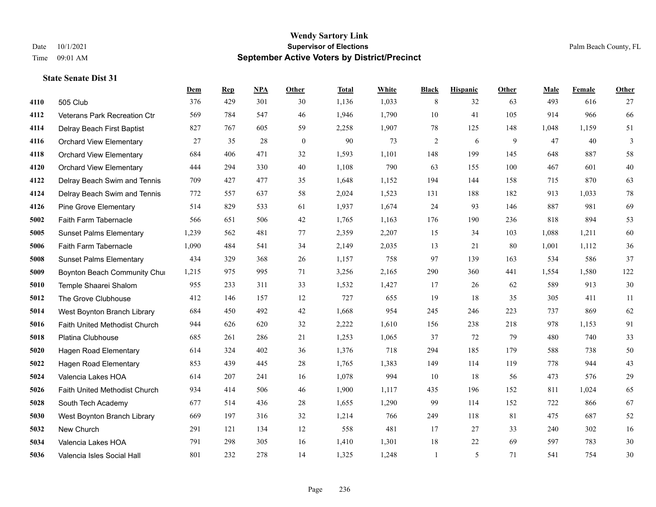#### **Wendy Sartory Link** Date 10/1/2021 **Supervisor of Elections** Palm Beach County, FL Time 09:01 AM **September Active Voters by District/Precinct**

505 Club 376 429 301 30 1,136 1,033 8 32 63 493 616 27

**Dem Rep NPA Other Total White Black Hispanic Other Male Female Other**

# Veterans Park Recreation Ctr 569 784 547 46 1,946 1,790 10 41 105 914 966 66 Delray Beach First Baptist 827 767 605 59 2,258 1,907 78 125 148 1,048 1,159 51 Orchard View Elementary 27 35 28 0 90 73 2 6 9 47 40 3 Orchard View Elementary 684 406 471 32 1,593 1,101 148 199 145 648 887 58 Orchard View Elementary 444 294 330 40 1,108 790 63 155 100 467 601 40 Delray Beach Swim and Tennis 709 427 477 35 1,648 1,152 194 144 158 715 870 63 Delray Beach Swim and Tennis 772 557 637 58 2,024 1,523 131 188 182 913 1,033 78 Pine Grove Elementary 514 829 533 61 1,937 1,674 24 93 146 887 981 69 Faith Farm Tabernacle 566 651 506 42 1,765 1,163 176 190 236 818 894 53 Sunset Palms Elementary 1,239 562 481 77 2,359 2,207 15 34 103 1,088 1,211 60 Faith Farm Tabernacle 1,090 484 541 34 2,149 2,035 13 21 80 1,001 1,112 36 Sunset Palms Elementary 434 329 368 26 1,157 758 97 139 163 534 586 37 Boynton Beach Community Church 1,215 975 995 71 3,256 2,165 290 360 441 1,554 1,580 122 Temple Shaarei Shalom 955 233 311 33 1,532 1,427 17 26 62 589 913 30 The Grove Clubhouse 412 146 157 12 727 655 19 18 35 305 411 11 West Boynton Branch Library 684 450 492 42 1,668 954 245 246 223 737 869 62 Faith United Methodist Church 944 626 620 32 2,222 1,610 156 238 218 978 1,153 91 Platina Clubhouse 685 261 286 21 1,253 1,065 37 72 79 480 740 33 Hagen Road Elementary 614 324 402 36 1,376 718 294 185 179 588 738 50 Hagen Road Elementary 853 439 445 28 1,765 1,383 149 114 119 778 944 43 Valencia Lakes HOA 614 207 241 16 1,078 994 10 18 56 473 576 29 Faith United Methodist Church 934 414 506 46 1,900 1,117 435 196 152 811 1,024 65

| 5028 | South Tech Academy          | 677 | 514 | 436 | 28 | 1,655 | ,290  | 99  | 114 | 152 | 722 | 866 | -67 |
|------|-----------------------------|-----|-----|-----|----|-------|-------|-----|-----|-----|-----|-----|-----|
| 5030 | West Boynton Branch Library | 669 | 197 | 316 | 32 | 1,214 | 766   | 249 | 118 |     | 475 | 687 | 52  |
| 5032 | New Church                  | 291 | 121 | 134 | 12 | 558   | 481   |     | 27  | 33  | 240 | 302 | 16  |
| 5034 | Valencia Lakes HOA          | 791 | 298 | 305 | 16 | 1.410 | 1,301 | 18  | 22  | 69  | 597 | 783 | 30  |
| 5036 | Valencia Isles Social Hall  | 801 | 232 | 278 | 14 | 1,325 | 248.  |     |     |     | 541 | 754 | 30  |
|      |                             |     |     |     |    |       |       |     |     |     |     |     |     |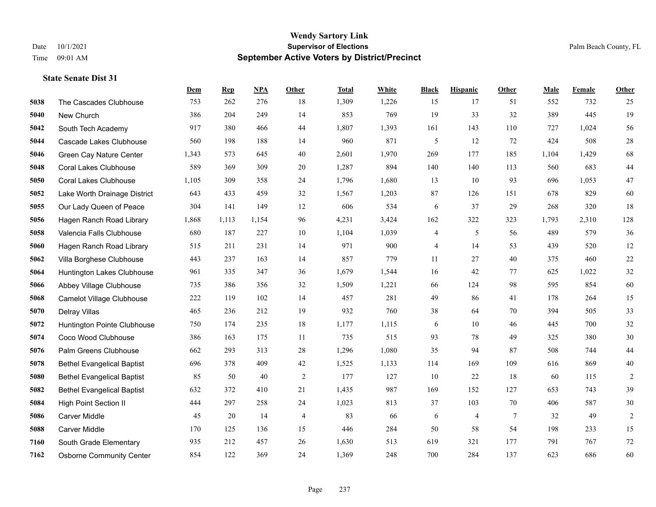|      |                                   | Dem   | <b>Rep</b> | NPA   | <b>Other</b>   | <b>Total</b> | <b>White</b> | <b>Black</b> | <b>Hispanic</b> | <b>Other</b> | <b>Male</b> | Female | <b>Other</b>   |
|------|-----------------------------------|-------|------------|-------|----------------|--------------|--------------|--------------|-----------------|--------------|-------------|--------|----------------|
| 5038 | The Cascades Clubhouse            | 753   | 262        | 276   | 18             | 1,309        | 1,226        | 15           | 17              | 51           | 552         | 732    | 25             |
| 5040 | New Church                        | 386   | 204        | 249   | 14             | 853          | 769          | 19           | 33              | 32           | 389         | 445    | 19             |
| 5042 | South Tech Academy                | 917   | 380        | 466   | 44             | 1,807        | 1,393        | 161          | 143             | 110          | 727         | 1.024  | 56             |
| 5044 | Cascade Lakes Clubhouse           | 560   | 198        | 188   | 14             | 960          | 871          | 5            | 12              | 72           | 424         | 508    | $28\,$         |
| 5046 | Green Cay Nature Center           | 1,343 | 573        | 645   | 40             | 2,601        | 1,970        | 269          | 177             | 185          | 1,104       | 1,429  | 68             |
| 5048 | <b>Coral Lakes Clubhouse</b>      | 589   | 369        | 309   | 20             | 1,287        | 894          | 140          | 140             | 113          | 560         | 683    | $44\,$         |
| 5050 | <b>Coral Lakes Clubhouse</b>      | 1,105 | 309        | 358   | 24             | 1,796        | 1,680        | 13           | 10              | 93           | 696         | 1,053  | 47             |
| 5052 | Lake Worth Drainage District      | 643   | 433        | 459   | 32             | 1,567        | 1,203        | 87           | 126             | 151          | 678         | 829    | 60             |
| 5055 | Our Lady Queen of Peace           | 304   | 141        | 149   | 12             | 606          | 534          | 6            | 37              | 29           | 268         | 320    | 18             |
| 5056 | Hagen Ranch Road Library          | 1,868 | 1,113      | 1,154 | 96             | 4,231        | 3,424        | 162          | 322             | 323          | 1,793       | 2,310  | 128            |
| 5058 | Valencia Falls Clubhouse          | 680   | 187        | 227   | 10             | 1,104        | 1,039        | 4            | 5               | 56           | 489         | 579    | 36             |
| 5060 | Hagen Ranch Road Library          | 515   | 211        | 231   | 14             | 971          | 900          | 4            | 14              | 53           | 439         | 520    | 12             |
| 5062 | Villa Borghese Clubhouse          | 443   | 237        | 163   | 14             | 857          | 779          | 11           | 27              | 40           | 375         | 460    | $22\,$         |
| 5064 | Huntington Lakes Clubhouse        | 961   | 335        | 347   | 36             | 1,679        | 1,544        | 16           | 42              | 77           | 625         | 1,022  | $32\,$         |
| 5066 | Abbey Village Clubhouse           | 735   | 386        | 356   | 32             | 1,509        | 1,221        | 66           | 124             | 98           | 595         | 854    | 60             |
| 5068 | Camelot Village Clubhouse         | 222   | 119        | 102   | 14             | 457          | 281          | 49           | 86              | 41           | 178         | 264    | 15             |
| 5070 | Delray Villas                     | 465   | 236        | 212   | 19             | 932          | 760          | 38           | 64              | 70           | 394         | 505    | 33             |
| 5072 | Huntington Pointe Clubhouse       | 750   | 174        | 235   | 18             | 1,177        | 1,115        | 6            | 10              | 46           | 445         | 700    | $32\,$         |
| 5074 | Coco Wood Clubhouse               | 386   | 163        | 175   | 11             | 735          | 515          | 93           | 78              | 49           | 325         | 380    | $30\,$         |
| 5076 | Palm Greens Clubhouse             | 662   | 293        | 313   | 28             | 1,296        | 1,080        | 35           | 94              | 87           | 508         | 744    | $44\,$         |
| 5078 | <b>Bethel Evangelical Baptist</b> | 696   | 378        | 409   | 42             | 1,525        | 1,133        | 114          | 169             | 109          | 616         | 869    | $40\,$         |
| 5080 | <b>Bethel Evangelical Baptist</b> | 85    | 50         | 40    | $\overline{2}$ | 177          | 127          | 10           | 22              | 18           | 60          | 115    | $\overline{c}$ |
| 5082 | <b>Bethel Evangelical Baptist</b> | 632   | 372        | 410   | 21             | 1,435        | 987          | 169          | 152             | 127          | 653         | 743    | 39             |
| 5084 | <b>High Point Section II</b>      | 444   | 297        | 258   | 24             | 1,023        | 813          | 37           | 103             | 70           | 406         | 587    | $30\,$         |
| 5086 | Carver Middle                     | 45    | $20\,$     | 14    | $\overline{4}$ | 83           | 66           | 6            | 4               | $\tau$       | 32          | 49     | $\sqrt{2}$     |
| 5088 | Carver Middle                     | 170   | 125        | 136   | 15             | 446          | 284          | 50           | 58              | 54           | 198         | 233    | 15             |
| 7160 | South Grade Elementary            | 935   | 212        | 457   | 26             | 1,630        | 513          | 619          | 321             | 177          | 791         | 767    | $72\,$         |
| 7162 | <b>Osborne Community Center</b>   | 854   | 122        | 369   | 24             | 1,369        | 248          | 700          | 284             | 137          | 623         | 686    | 60             |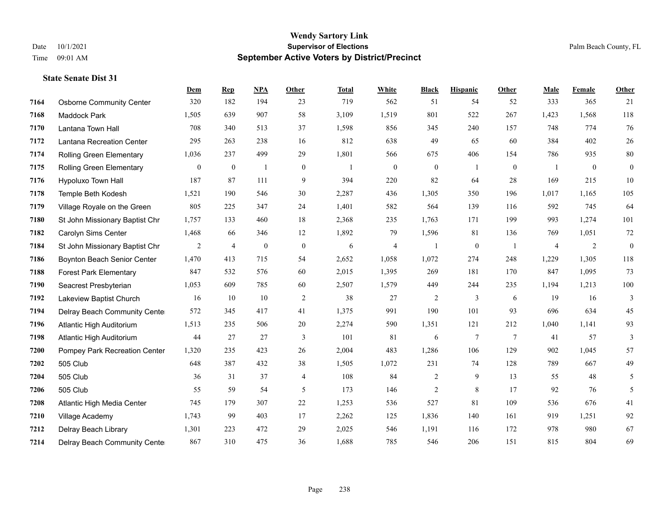#### **Wendy Sartory Link** Date 10/1/2021 **Supervisor of Elections** Palm Beach County, FL Time 09:01 AM **September Active Voters by District/Precinct**

# **Dem Rep NPA Other Total White Black Hispanic Other Male Female Other** Osborne Community Center 320 182 194 23 719 562 51 54 52 333 365 21 Maddock Park 1,505 639 907 58 3,109 1,519 801 522 267 1,423 1,568 118 Lantana Town Hall 708 340 513 37 1,598 856 345 240 157 748 774 76 Lantana Recreation Center 295 263 238 16 812 638 49 65 60 384 402 26 Rolling Green Elementary 1,036 237 499 29 1,801 566 675 406 154 786 935 80 Rolling Green Elementary 0 0 1 0 1 0 0 1 0 1 0 0 Hypoluxo Town Hall 187 87 111 9 394 220 82 64 28 169 215 10 Temple Beth Kodesh 1,521 190 546 30 2,287 436 1,305 350 196 1,017 1,165 105 Village Royale on the Green 805 225 347 24 1,401 582 564 139 116 592 745 64 St John Missionary Baptist Chr 1,757 133 460 18 2,368 235 1,763 171 199 993 1,274 101 Carolyn Sims Center 1,468 66 346 12 1,892 79 1,596 81 136 769 1,051 72 St John Missionary Baptist Chr 2 4 0 0 6 4 1 0 1 4 2 0 Boynton Beach Senior Center 1,470 413 715 54 2,652 1,058 1,072 274 248 1,229 1,305 118 Forest Park Elementary 847 532 576 60 2,015 1,395 269 181 170 847 1,095 73 Seacrest Presbyterian 1,053 609 785 60 2,507 1,579 449 244 235 1,194 1,213 100 Lakeview Baptist Church 16 10 10 2 38 27 2 3 6 19 16 3 Delray Beach Community Center 572 345 417 41 1,375 991 190 101 93 696 634 45 Atlantic High Auditorium 1,513 235 506 20 2,274 590 1,351 121 212 1,040 1,141 93 Atlantic High Auditorium 44 27 27 3 101 81 6 7 7 41 57 3 Pompey Park Recreation Center 1,320 235 423 26 2,004 483 1,286 106 129 902 1,045 57 505 Club 648 387 432 38 1,505 1,072 231 74 128 789 667 49 505 Club 36 31 37 4 108 84 2 9 13 55 48 5 505 Club 55 59 54 5 173 146 2 8 17 92 76 5 Atlantic High Media Center 745 179 307 22 1,253 536 527 81 109 536 676 41 Village Academy 1,743 99 403 17 2,262 125 1,836 140 161 919 1,251 92 Delray Beach Library 1,301 223 472 29 2,025 546 1,191 116 172 978 980 67 Delray Beach Community Center 867 310 475 36 1,688 785 546 206 151 815 804 69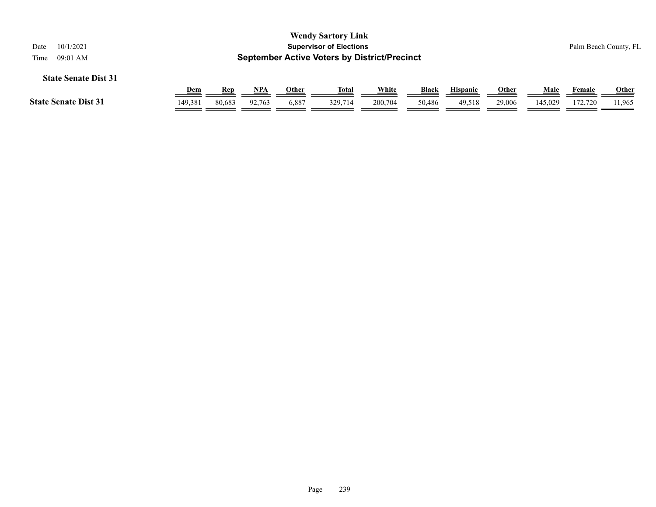| 10/1/2021<br>Date<br>09:01 AM<br>Time |            |            |            |       | <b>Wendy Sartory Link</b><br><b>Supervisor of Elections</b><br><b>September Active Voters by District/Precinct</b> |         |              |                 |              |         |         | Palm Beach County, FL |
|---------------------------------------|------------|------------|------------|-------|--------------------------------------------------------------------------------------------------------------------|---------|--------------|-----------------|--------------|---------|---------|-----------------------|
| <b>State Senate Dist 31</b>           |            |            |            |       |                                                                                                                    |         |              |                 |              |         |         |                       |
|                                       | <u>Dem</u> | <u>Rep</u> | <b>NPA</b> | Other | <u>Total</u>                                                                                                       | White   | <b>Black</b> | <b>Hispanic</b> | <u>Other</u> | Male    | Female  | <b>Other</b>          |
| <b>State Senate Dist 31</b>           | 149.381    | 80,683     | 92.763     | 6,887 | 329,714                                                                                                            | 200,704 | 50,486       | 49.518          | 29,006       | 145,029 | 172.720 | 11,965                |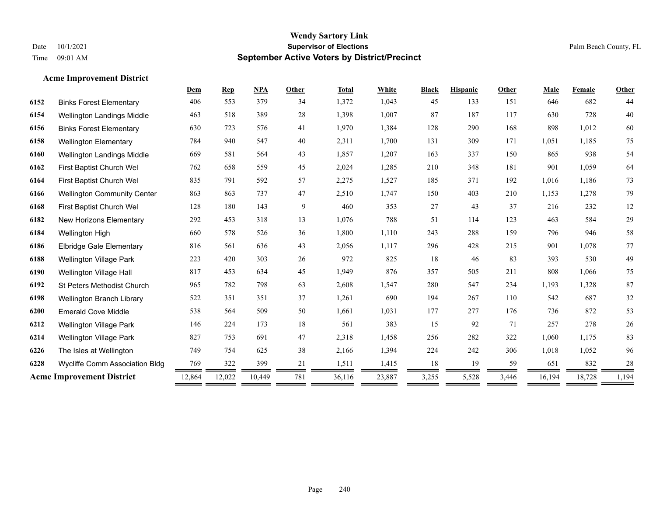# **Acme Improvement District**

|                                    | Dem                              | <b>Rep</b> | <b>NPA</b> | <b>Other</b> | <b>Total</b> | White  | <b>Black</b> | <b>Hispanic</b> | Other | Male   | Female | Other  |
|------------------------------------|----------------------------------|------------|------------|--------------|--------------|--------|--------------|-----------------|-------|--------|--------|--------|
| <b>Binks Forest Elementary</b>     | 406                              | 553        | 379        | 34           | 1,372        | 1,043  | 45           | 133             | 151   | 646    | 682    | 44     |
| <b>Wellington Landings Middle</b>  | 463                              | 518        | 389        | 28           | 1,398        | 1,007  | 87           | 187             | 117   | 630    | 728    | 40     |
| <b>Binks Forest Elementary</b>     | 630                              | 723        | 576        | 41           | 1,970        | 1,384  | 128          | 290             | 168   | 898    | 1,012  | 60     |
| <b>Wellington Elementary</b>       | 784                              | 940        | 547        | 40           | 2,311        | 1,700  | 131          | 309             | 171   | 1,051  | 1,185  | 75     |
| Wellington Landings Middle         | 669                              | 581        | 564        | 43           | 1,857        | 1,207  | 163          | 337             | 150   | 865    | 938    | 54     |
| First Baptist Church Wel           | 762                              | 658        | 559        | 45           | 2,024        | 1,285  | 210          | 348             | 181   | 901    | 1,059  | 64     |
| First Baptist Church Wel           | 835                              | 791        | 592        | 57           | 2,275        | 1,527  | 185          | 371             | 192   | 1,016  | 1,186  | 73     |
| <b>Wellington Community Center</b> | 863                              | 863        | 737        | 47           | 2,510        | 1,747  | 150          | 403             | 210   | 1,153  | 1,278  | 79     |
| First Baptist Church Wel           | 128                              | 180        | 143        | 9            | 460          | 353    | 27           | 43              | 37    | 216    | 232    | $12\,$ |
| New Horizons Elementary            | 292                              | 453        | 318        | 13           | 1,076        | 788    | 51           | 114             | 123   | 463    | 584    | 29     |
| Wellington High                    | 660                              | 578        | 526        | 36           | 1,800        | 1,110  | 243          | 288             | 159   | 796    | 946    | $58\,$ |
| <b>Elbridge Gale Elementary</b>    | 816                              | 561        | 636        | 43           | 2,056        | 1,117  | 296          | 428             | 215   | 901    | 1,078  | 77     |
| <b>Wellington Village Park</b>     | 223                              | 420        | 303        | 26           | 972          | 825    | 18           | 46              | 83    | 393    | 530    | 49     |
| Wellington Village Hall            | 817                              | 453        | 634        | 45           | 1,949        | 876    | 357          | 505             | 211   | 808    | 1,066  | 75     |
| St Peters Methodist Church         | 965                              | 782        | 798        | 63           | 2,608        | 1,547  | 280          | 547             | 234   | 1,193  | 1,328  | 87     |
| Wellington Branch Library          | 522                              | 351        | 351        | 37           | 1,261        | 690    | 194          | 267             | 110   | 542    | 687    | 32     |
| <b>Emerald Cove Middle</b>         | 538                              | 564        | 509        | 50           | 1,661        | 1,031  | 177          | 277             | 176   | 736    | 872    | 53     |
| <b>Wellington Village Park</b>     | 146                              | 224        | 173        | 18           | 561          | 383    | 15           | 92              | 71    | 257    | 278    | $26\,$ |
| <b>Wellington Village Park</b>     | 827                              | 753        | 691        | 47           | 2,318        | 1,458  | 256          | 282             | 322   | 1,060  | 1,175  | 83     |
| The Isles at Wellington            | 749                              | 754        | 625        | 38           | 2,166        | 1,394  | 224          | 242             | 306   | 1,018  | 1,052  | 96     |
| Wycliffe Comm Association Bldg     | 769                              | 322        | 399        | 21           | 1,511        | 1,415  | 18           | 19              | 59    | 651    | 832    | 28     |
|                                    | 12,864                           | 12,022     | 10,449     | 781          | 36,116       | 23,887 | 3,255        | 5,528           | 3,446 | 16,194 | 18,728 | 1,194  |
|                                    | <b>Acme Improvement District</b> |            |            |              |              |        |              |                 |       |        |        |        |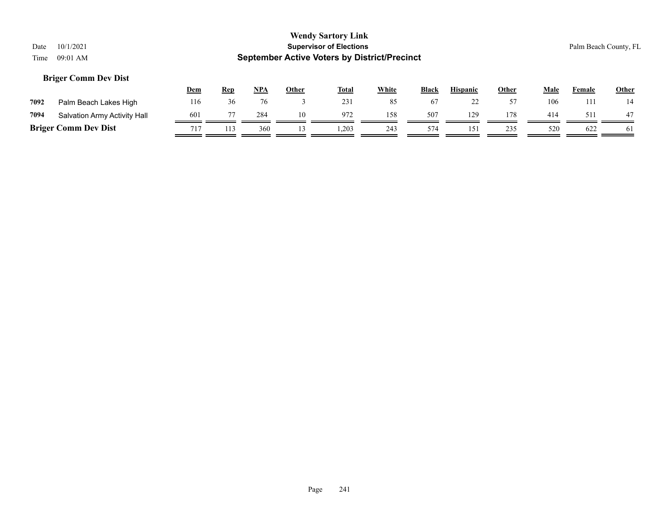# **Dem Rep NPA Other Total White Black Hispanic Other Male Female Other 7092** Palm Beach Lakes High 116 36 76 3 231 85 67 22 57 106 111 14 **7094** Salvation Army Activity Hall  $\frac{601}{\sqrt{77}} \frac{77}{\sqrt{7}} \frac{284}{\sqrt{77}} \frac{10}{\sqrt{77}} \frac{972}{\sqrt{77}} \frac{158}{\sqrt{77}} \frac{507}{\sqrt{77}} \frac{129}{\sqrt{77}} \frac{1129}{\sqrt{77}} \frac{414}{\sqrt{77}} \frac{511}{\sqrt{77}} \frac{47}{\sqrt{77}}$

**Briger Comm Dev Dist**  $\frac{717}{211} \frac{113}{200} \frac{360}{20} \frac{13}{20} \frac{1}{2} \frac{1}{2} \frac{1}{2} \frac{1}{2} \frac{243}{243} \frac{574}{20} \frac{151}{20} \frac{235}{20} \frac{520}{20} \frac{622}{20} \frac{1}{2} \frac{622}{20} \frac{1}{2} \frac{1}{2} \frac{1}{2} \frac{1}{2} \frac{1}{2} \frac{1}{2} \frac{1}{2} \$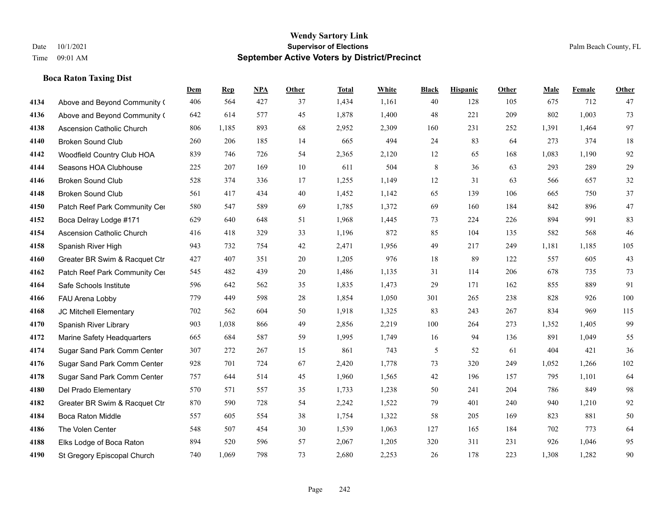# **Boca Raton Taxing Dist**

|      |                                  | Dem | <b>Rep</b> | NPA | <b>Other</b> | <b>Total</b> | <b>White</b> | <b>Black</b> | <b>Hispanic</b> | <b>Other</b> | <b>Male</b> | <b>Female</b> | <b>Other</b> |
|------|----------------------------------|-----|------------|-----|--------------|--------------|--------------|--------------|-----------------|--------------|-------------|---------------|--------------|
| 4134 | Above and Beyond Community (     | 406 | 564        | 427 | 37           | 1,434        | 1,161        | 40           | 128             | 105          | 675         | 712           | 47           |
| 4136 | Above and Beyond Community (     | 642 | 614        | 577 | 45           | 1,878        | 1,400        | 48           | 221             | 209          | 802         | 1,003         | 73           |
| 4138 | <b>Ascension Catholic Church</b> | 806 | 1,185      | 893 | 68           | 2,952        | 2,309        | 160          | 231             | 252          | 1,391       | 1,464         | 97           |
| 4140 | <b>Broken Sound Club</b>         | 260 | 206        | 185 | 14           | 665          | 494          | 24           | 83              | 64           | 273         | 374           | $18\,$       |
| 4142 | Woodfield Country Club HOA       | 839 | 746        | 726 | 54           | 2,365        | 2,120        | 12           | 65              | 168          | 1,083       | 1,190         | 92           |
| 4144 | Seasons HOA Clubhouse            | 225 | 207        | 169 | $10\,$       | 611          | 504          | 8            | 36              | 63           | 293         | 289           | 29           |
| 4146 | <b>Broken Sound Club</b>         | 528 | 374        | 336 | 17           | 1,255        | 1,149        | 12           | 31              | 63           | 566         | 657           | $32\,$       |
| 4148 | <b>Broken Sound Club</b>         | 561 | 417        | 434 | 40           | 1,452        | 1,142        | 65           | 139             | 106          | 665         | 750           | 37           |
| 4150 | Patch Reef Park Community Cer    | 580 | 547        | 589 | 69           | 1,785        | 1,372        | 69           | 160             | 184          | 842         | 896           | 47           |
| 4152 | Boca Delray Lodge #171           | 629 | 640        | 648 | 51           | 1,968        | 1,445        | 73           | 224             | 226          | 894         | 991           | 83           |
| 4154 | Ascension Catholic Church        | 416 | 418        | 329 | 33           | 1,196        | 872          | 85           | 104             | 135          | 582         | 568           | 46           |
| 4158 | Spanish River High               | 943 | 732        | 754 | 42           | 2,471        | 1,956        | 49           | 217             | 249          | 1,181       | 1,185         | 105          |
| 4160 | Greater BR Swim & Racquet Ctr    | 427 | 407        | 351 | 20           | 1,205        | 976          | 18           | 89              | 122          | 557         | 605           | 43           |
| 4162 | Patch Reef Park Community Cer    | 545 | 482        | 439 | $20\,$       | 1,486        | 1,135        | 31           | 114             | 206          | 678         | 735           | 73           |
| 4164 | Safe Schools Institute           | 596 | 642        | 562 | 35           | 1,835        | 1,473        | 29           | 171             | 162          | 855         | 889           | 91           |
| 4166 | FAU Arena Lobby                  | 779 | 449        | 598 | 28           | 1,854        | 1,050        | 301          | 265             | 238          | 828         | 926           | 100          |
| 4168 | JC Mitchell Elementary           | 702 | 562        | 604 | 50           | 1,918        | 1,325        | 83           | 243             | 267          | 834         | 969           | 115          |
| 4170 | Spanish River Library            | 903 | 1,038      | 866 | 49           | 2,856        | 2,219        | 100          | 264             | 273          | 1,352       | 1,405         | 99           |
| 4172 | Marine Safety Headquarters       | 665 | 684        | 587 | 59           | 1,995        | 1,749        | 16           | 94              | 136          | 891         | 1,049         | 55           |
| 4174 | Sugar Sand Park Comm Center      | 307 | 272        | 267 | 15           | 861          | 743          | 5            | 52              | 61           | 404         | 421           | 36           |
| 4176 | Sugar Sand Park Comm Center      | 928 | 701        | 724 | 67           | 2,420        | 1,778        | 73           | 320             | 249          | 1,052       | 1,266         | 102          |
| 4178 | Sugar Sand Park Comm Center      | 757 | 644        | 514 | 45           | 1,960        | 1,565        | 42           | 196             | 157          | 795         | 1,101         | 64           |
| 4180 | Del Prado Elementary             | 570 | 571        | 557 | 35           | 1,733        | 1,238        | 50           | 241             | 204          | 786         | 849           | 98           |
| 4182 | Greater BR Swim & Racquet Ctr    | 870 | 590        | 728 | 54           | 2,242        | 1,522        | 79           | 401             | 240          | 940         | 1,210         | 92           |
| 4184 | Boca Raton Middle                | 557 | 605        | 554 | 38           | 1,754        | 1,322        | 58           | 205             | 169          | 823         | 881           | $50\,$       |
| 4186 | The Volen Center                 | 548 | 507        | 454 | 30           | 1,539        | 1,063        | 127          | 165             | 184          | 702         | 773           | 64           |
| 4188 | Elks Lodge of Boca Raton         | 894 | 520        | 596 | 57           | 2,067        | 1,205        | 320          | 311             | 231          | 926         | 1,046         | 95           |
| 4190 | St Gregory Episcopal Church      | 740 | 1,069      | 798 | 73           | 2,680        | 2,253        | 26           | 178             | 223          | 1,308       | 1,282         | 90           |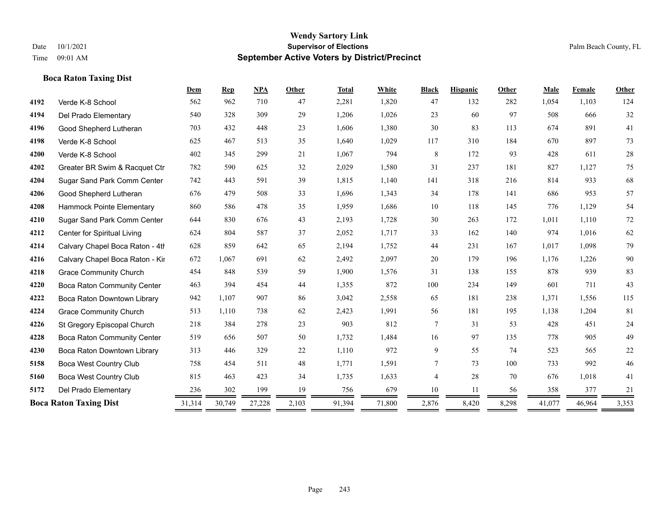# **Boca Raton Taxing Dist**

|      |                                 | Dem    | Rep    | NPA    | Other | <b>Total</b> | White  | <b>Black</b> | <b>Hispanic</b> | Other | Male   | Female | Other  |
|------|---------------------------------|--------|--------|--------|-------|--------------|--------|--------------|-----------------|-------|--------|--------|--------|
| 4192 | Verde K-8 School                | 562    | 962    | 710    | 47    | 2,281        | 1,820  | 47           | 132             | 282   | 1,054  | 1,103  | 124    |
| 4194 | Del Prado Elementary            | 540    | 328    | 309    | 29    | 1,206        | 1,026  | 23           | 60              | 97    | 508    | 666    | 32     |
| 4196 | Good Shepherd Lutheran          | 703    | 432    | 448    | 23    | 1,606        | 1,380  | 30           | 83              | 113   | 674    | 891    | 41     |
| 4198 | Verde K-8 School                | 625    | 467    | 513    | 35    | 1,640        | 1,029  | 117          | 310             | 184   | 670    | 897    | 73     |
| 4200 | Verde K-8 School                | 402    | 345    | 299    | 21    | 1,067        | 794    | $\,8\,$      | 172             | 93    | 428    | 611    | $28\,$ |
| 4202 | Greater BR Swim & Racquet Ctr   | 782    | 590    | 625    | 32    | 2,029        | 1,580  | 31           | 237             | 181   | 827    | 1.127  | 75     |
| 4204 | Sugar Sand Park Comm Center     | 742    | 443    | 591    | 39    | 1,815        | 1,140  | 141          | 318             | 216   | 814    | 933    | 68     |
| 4206 | Good Shepherd Lutheran          | 676    | 479    | 508    | 33    | 1,696        | 1,343  | 34           | 178             | 141   | 686    | 953    | 57     |
| 4208 | Hammock Pointe Elementary       | 860    | 586    | 478    | 35    | 1,959        | 1,686  | 10           | 118             | 145   | 776    | 1,129  | 54     |
| 4210 | Sugar Sand Park Comm Center     | 644    | 830    | 676    | 43    | 2,193        | 1,728  | 30           | 263             | 172   | 1,011  | 1,110  | 72     |
| 4212 | Center for Spiritual Living     | 624    | 804    | 587    | 37    | 2,052        | 1,717  | 33           | 162             | 140   | 974    | 1,016  | 62     |
| 4214 | Calvary Chapel Boca Raton - 4th | 628    | 859    | 642    | 65    | 2,194        | 1,752  | 44           | 231             | 167   | 1,017  | 1,098  | 79     |
| 4216 | Calvary Chapel Boca Raton - Kir | 672    | 1,067  | 691    | 62    | 2,492        | 2,097  | 20           | 179             | 196   | 1,176  | 1,226  | $90\,$ |
| 4218 | <b>Grace Community Church</b>   | 454    | 848    | 539    | 59    | 1,900        | 1,576  | 31           | 138             | 155   | 878    | 939    | 83     |
| 4220 | Boca Raton Community Center     | 463    | 394    | 454    | 44    | 1,355        | 872    | 100          | 234             | 149   | 601    | 711    | 43     |
| 4222 | Boca Raton Downtown Library     | 942    | 1,107  | 907    | 86    | 3,042        | 2,558  | 65           | 181             | 238   | 1,371  | 1,556  | 115    |
| 4224 | <b>Grace Community Church</b>   | 513    | 1,110  | 738    | 62    | 2,423        | 1,991  | 56           | 181             | 195   | 1,138  | 1,204  | 81     |
| 4226 | St Gregory Episcopal Church     | 218    | 384    | 278    | 23    | 903          | 812    | 7            | 31              | 53    | 428    | 451    | $24\,$ |
| 4228 | Boca Raton Community Center     | 519    | 656    | 507    | 50    | 1,732        | 1,484  | 16           | 97              | 135   | 778    | 905    | 49     |
| 4230 | Boca Raton Downtown Library     | 313    | 446    | 329    | 22    | 1,110        | 972    | 9            | 55              | 74    | 523    | 565    | 22     |
| 5158 | <b>Boca West Country Club</b>   | 758    | 454    | 511    | 48    | 1,771        | 1,591  | 7            | 73              | 100   | 733    | 992    | 46     |
| 5160 | <b>Boca West Country Club</b>   | 815    | 463    | 423    | 34    | 1,735        | 1,633  | 4            | 28              | 70    | 676    | 1,018  | 41     |
| 5172 | Del Prado Elementary            | 236    | 302    | 199    | 19    | 756          | 679    | 10           | 11              | 56    | 358    | 377    | 21     |
|      | <b>Boca Raton Taxing Dist</b>   | 31,314 | 30,749 | 27,228 | 2,103 | 91,394       | 71,800 | 2,876        | 8,420           | 8,298 | 41,077 | 46,964 | 3,353  |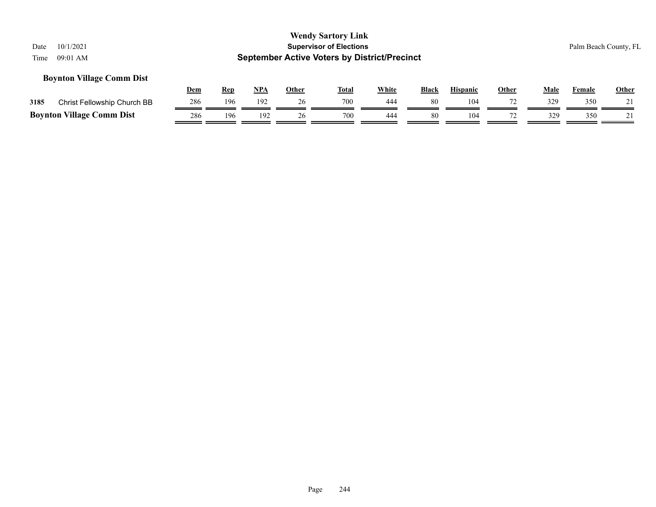# **Boynton Village Comm Dist**

|      |                                  | Dem | Rep | <b>NPA</b> | Other | <b>Total</b> | White | <b>Black</b> | <b>Hispanic</b> | <b>Other</b> | Male | Female | <b>Other</b> |
|------|----------------------------------|-----|-----|------------|-------|--------------|-------|--------------|-----------------|--------------|------|--------|--------------|
| 3185 | Christ Fellowship Church BB      | 286 | 196 | 192        |       | 700          | 444   | 80           | 104             |              |      | 350    |              |
|      | <b>Boynton Village Comm Dist</b> | 286 | 196 | 192        | 26    | 700          | 444   | 80           | 104             |              |      | 350    |              |

Page 244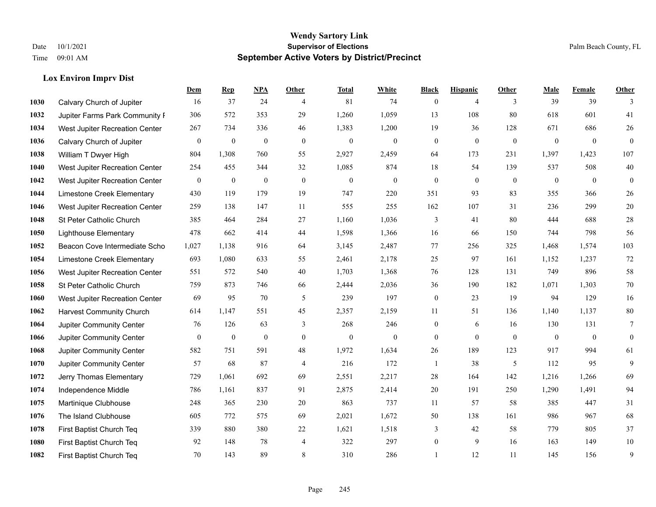# **Lox Environ Imprv Dist**

|      |                                 | Dem              | <b>Rep</b>       | NPA              | <b>Other</b>   | <b>Total</b>     | <b>White</b>     | <b>Black</b>     | <b>Hispanic</b> | <b>Other</b>   | <b>Male</b>  | Female       | <b>Other</b>     |
|------|---------------------------------|------------------|------------------|------------------|----------------|------------------|------------------|------------------|-----------------|----------------|--------------|--------------|------------------|
| 1030 | Calvary Church of Jupiter       | 16               | 37               | 24               | $\overline{4}$ | 81               | 74               | $\mathbf{0}$     | $\overline{4}$  | 3              | 39           | 39           | 3                |
| 1032 | Jupiter Farms Park Community I  | 306              | 572              | 353              | 29             | 1,260            | 1,059            | 13               | 108             | 80             | 618          | 601          | 41               |
| 1034 | West Jupiter Recreation Center  | 267              | 734              | 336              | 46             | 1,383            | 1,200            | 19               | 36              | 128            | 671          | 686          | $26\,$           |
| 1036 | Calvary Church of Jupiter       | $\boldsymbol{0}$ | $\boldsymbol{0}$ | $\boldsymbol{0}$ | $\mathbf{0}$   | $\boldsymbol{0}$ | $\mathbf{0}$     | $\boldsymbol{0}$ | $\mathbf{0}$    | $\overline{0}$ | $\mathbf{0}$ | $\mathbf{0}$ | $\mathbf{0}$     |
| 1038 | William T Dwyer High            | 804              | 1,308            | 760              | 55             | 2,927            | 2,459            | 64               | 173             | 231            | 1,397        | 1,423        | 107              |
| 1040 | West Jupiter Recreation Center  | 254              | 455              | 344              | 32             | 1,085            | 874              | 18               | 54              | 139            | 537          | 508          | $40\,$           |
| 1042 | West Jupiter Recreation Center  | $\mathbf{0}$     | $\boldsymbol{0}$ | $\mathbf{0}$     | $\mathbf{0}$   | $\theta$         | $\boldsymbol{0}$ | $\boldsymbol{0}$ | $\mathbf{0}$    | $\mathbf{0}$   | $\mathbf{0}$ | $\mathbf{0}$ | $\boldsymbol{0}$ |
| 1044 | Limestone Creek Elementary      | 430              | 119              | 179              | 19             | 747              | 220              | 351              | 93              | 83             | 355          | 366          | 26               |
| 1046 | West Jupiter Recreation Center  | 259              | 138              | 147              | 11             | 555              | 255              | 162              | 107             | 31             | 236          | 299          | $20\,$           |
| 1048 | St Peter Catholic Church        | 385              | 464              | 284              | 27             | 1,160            | 1,036            | 3                | 41              | 80             | 444          | 688          | $28\,$           |
| 1050 | <b>Lighthouse Elementary</b>    | 478              | 662              | 414              | 44             | 1,598            | 1,366            | 16               | 66              | 150            | 744          | 798          | 56               |
| 1052 | Beacon Cove Intermediate Scho   | 1,027            | 1,138            | 916              | 64             | 3,145            | 2,487            | 77               | 256             | 325            | 1,468        | 1,574        | 103              |
| 1054 | Limestone Creek Elementary      | 693              | 1,080            | 633              | 55             | 2,461            | 2,178            | 25               | 97              | 161            | 1,152        | 1,237        | 72               |
| 1056 | West Jupiter Recreation Center  | 551              | 572              | 540              | 40             | 1,703            | 1,368            | 76               | 128             | 131            | 749          | 896          | 58               |
| 1058 | St Peter Catholic Church        | 759              | 873              | 746              | 66             | 2,444            | 2,036            | 36               | 190             | 182            | 1,071        | 1,303        | $70\,$           |
| 1060 | West Jupiter Recreation Center  | 69               | 95               | 70               | 5              | 239              | 197              | $\boldsymbol{0}$ | 23              | 19             | 94           | 129          | 16               |
| 1062 | <b>Harvest Community Church</b> | 614              | 1,147            | 551              | 45             | 2,357            | 2,159            | 11               | 51              | 136            | 1,140        | 1,137        | $80\,$           |
| 1064 | Jupiter Community Center        | 76               | 126              | 63               | 3              | 268              | 246              | $\boldsymbol{0}$ | 6               | 16             | 130          | 131          | 7                |
| 1066 | Jupiter Community Center        | $\mathbf{0}$     | $\boldsymbol{0}$ | $\boldsymbol{0}$ | $\mathbf{0}$   | $\boldsymbol{0}$ | $\mathbf{0}$     | $\mathbf{0}$     | $\mathbf{0}$    | $\overline{0}$ | $\mathbf{0}$ | $\mathbf{0}$ | $\mathbf{0}$     |
| 1068 | Jupiter Community Center        | 582              | 751              | 591              | 48             | 1,972            | 1,634            | $26\,$           | 189             | 123            | 917          | 994          | 61               |
| 1070 | Jupiter Community Center        | 57               | 68               | 87               | $\overline{4}$ | 216              | 172              | 1                | 38              | 5              | 112          | 95           | 9                |
| 1072 | Jerry Thomas Elementary         | 729              | 1,061            | 692              | 69             | 2,551            | 2,217            | 28               | 164             | 142            | 1,216        | 1,266        | 69               |
| 1074 | Independence Middle             | 786              | 1,161            | 837              | 91             | 2,875            | 2,414            | $20\,$           | 191             | 250            | 1,290        | 1,491        | 94               |
| 1075 | Martinique Clubhouse            | 248              | 365              | 230              | 20             | 863              | 737              | 11               | 57              | 58             | 385          | 447          | 31               |
| 1076 | The Island Clubhouse            | 605              | 772              | 575              | 69             | 2,021            | 1,672            | 50               | 138             | 161            | 986          | 967          | 68               |
| 1078 | First Baptist Church Teq        | 339              | 880              | 380              | 22             | 1,621            | 1,518            | 3                | 42              | 58             | 779          | 805          | 37               |
| 1080 | First Baptist Church Teq        | 92               | 148              | 78               | $\overline{4}$ | 322              | 297              | $\boldsymbol{0}$ | 9               | 16             | 163          | 149          | $10\,$           |
| 1082 | First Baptist Church Teq        | 70               | 143              | 89               | 8              | 310              | 286              | $\mathbf{1}$     | 12              | 11             | 145          | 156          | 9                |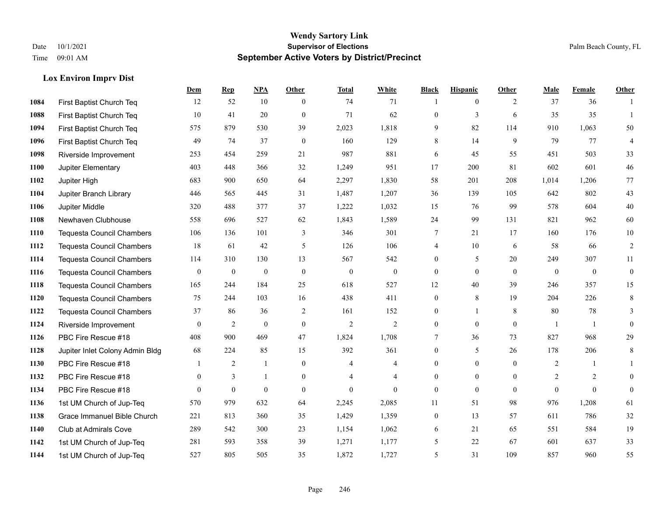# **Lox Environ Imprv Dist**

|      |                                  | Dem          | <b>Rep</b>       | NPA              | <b>Other</b>   | <b>Total</b>   | <b>White</b>     | <b>Black</b>     | <b>Hispanic</b> | <b>Other</b> | <b>Male</b>  | <b>Female</b>  | <b>Other</b>     |
|------|----------------------------------|--------------|------------------|------------------|----------------|----------------|------------------|------------------|-----------------|--------------|--------------|----------------|------------------|
| 1084 | First Baptist Church Teq         | 12           | 52               | 10               | $\theta$       | 74             | 71               | 1                | $\mathbf{0}$    | 2            | 37           | 36             | $\mathbf{1}$     |
| 1088 | First Baptist Church Teq         | 10           | 41               | 20               | $\theta$       | 71             | 62               | $\mathbf{0}$     | 3               | 6            | 35           | 35             | $\mathbf{1}$     |
| 1094 | First Baptist Church Teq         | 575          | 879              | 530              | 39             | 2,023          | 1,818            | 9                | 82              | 114          | 910          | 1,063          | 50               |
| 1096 | First Baptist Church Teq         | 49           | 74               | 37               | $\mathbf{0}$   | 160            | 129              | 8                | 14              | 9            | 79           | 77             | $\overline{4}$   |
| 1098 | Riverside Improvement            | 253          | 454              | 259              | 21             | 987            | 881              | 6                | 45              | 55           | 451          | 503            | 33               |
| 1100 | Jupiter Elementary               | 403          | 448              | 366              | 32             | 1,249          | 951              | 17               | 200             | 81           | 602          | 601            | $46\,$           |
| 1102 | Jupiter High                     | 683          | 900              | 650              | 64             | 2,297          | 1,830            | 58               | 201             | 208          | 1,014        | 1,206          | 77               |
| 1104 | Jupiter Branch Library           | 446          | 565              | 445              | 31             | 1,487          | 1,207            | 36               | 139             | 105          | 642          | 802            | 43               |
| 1106 | Jupiter Middle                   | 320          | 488              | 377              | 37             | 1,222          | 1,032            | 15               | 76              | 99           | 578          | 604            | $40\,$           |
| 1108 | Newhaven Clubhouse               | 558          | 696              | 527              | 62             | 1,843          | 1,589            | 24               | 99              | 131          | 821          | 962            | 60               |
| 1110 | <b>Tequesta Council Chambers</b> | 106          | 136              | 101              | 3              | 346            | 301              | 7                | 21              | 17           | 160          | 176            | 10               |
| 1112 | <b>Tequesta Council Chambers</b> | 18           | 61               | 42               | 5              | 126            | 106              | 4                | 10              | 6            | 58           | 66             | $\sqrt{2}$       |
| 1114 | <b>Tequesta Council Chambers</b> | 114          | 310              | 130              | 13             | 567            | 542              | $\boldsymbol{0}$ | 5               | 20           | 249          | 307            | 11               |
| 1116 | <b>Tequesta Council Chambers</b> | $\mathbf{0}$ | $\boldsymbol{0}$ | $\boldsymbol{0}$ | $\mathbf{0}$   | $\theta$       | $\boldsymbol{0}$ | $\boldsymbol{0}$ | $\mathbf{0}$    | $\mathbf{0}$ | $\mathbf{0}$ | $\mathbf{0}$   | $\boldsymbol{0}$ |
| 1118 | <b>Tequesta Council Chambers</b> | 165          | 244              | 184              | 25             | 618            | 527              | 12               | 40              | 39           | 246          | 357            | 15               |
| 1120 | <b>Tequesta Council Chambers</b> | 75           | 244              | 103              | 16             | 438            | 411              | $\mathbf{0}$     | 8               | 19           | 204          | 226            | 8                |
| 1122 | Tequesta Council Chambers        | 37           | 86               | 36               | 2              | 161            | 152              | $\mathbf{0}$     | $\mathbf{1}$    | 8            | 80           | 78             | 3                |
| 1124 | Riverside Improvement            | $\mathbf{0}$ | $\overline{2}$   | $\mathbf{0}$     | $\overline{0}$ | $\sqrt{2}$     | $\overline{c}$   | $\boldsymbol{0}$ | $\overline{0}$  | $\mathbf{0}$ | $\mathbf{1}$ | $\overline{1}$ | $\mathbf{0}$     |
| 1126 | PBC Fire Rescue #18              | 408          | 900              | 469              | 47             | 1,824          | 1,708            | 7                | 36              | 73           | 827          | 968            | 29               |
| 1128 | Jupiter Inlet Colony Admin Bldg  | 68           | 224              | 85               | 15             | 392            | 361              | $\mathbf{0}$     | 5               | 26           | 178          | 206            | 8                |
| 1130 | PBC Fire Rescue #18              |              | 2                | -1               | $\overline{0}$ | 4              | 4                | $\mathbf{0}$     | $\mathbf{0}$    | $\theta$     | 2            | 1              | $\mathbf{1}$     |
| 1132 | PBC Fire Rescue #18              | $\theta$     | 3                | $\mathbf{1}$     | $\overline{0}$ | $\overline{4}$ | $\overline{4}$   | $\overline{0}$   | $\theta$        | $\theta$     | 2            | 2              | $\theta$         |
| 1134 | PBC Fire Rescue #18              | $\theta$     | $\mathbf{0}$     | $\mathbf{0}$     | $\theta$       | $\theta$       | $\theta$         | $\mathbf{0}$     | $\theta$        | $\Omega$     | $\Omega$     | $\theta$       | $\mathbf{0}$     |
| 1136 | 1st UM Church of Jup-Teq         | 570          | 979              | 632              | 64             | 2,245          | 2,085            | 11               | 51              | 98           | 976          | 1,208          | 61               |
| 1138 | Grace Immanuel Bible Church      | 221          | 813              | 360              | 35             | 1,429          | 1,359            | $\boldsymbol{0}$ | 13              | 57           | 611          | 786            | $32\,$           |
| 1140 | Club at Admirals Cove            | 289          | 542              | 300              | 23             | 1,154          | 1,062            | 6                | 21              | 65           | 551          | 584            | 19               |
| 1142 | 1st UM Church of Jup-Teq         | 281          | 593              | 358              | 39             | 1,271          | 1,177            | 5                | 22              | 67           | 601          | 637            | 33               |
| 1144 | 1st UM Church of Jup-Teq         | 527          | 805              | 505              | 35             | 1,872          | 1,727            | 5                | 31              | 109          | 857          | 960            | 55               |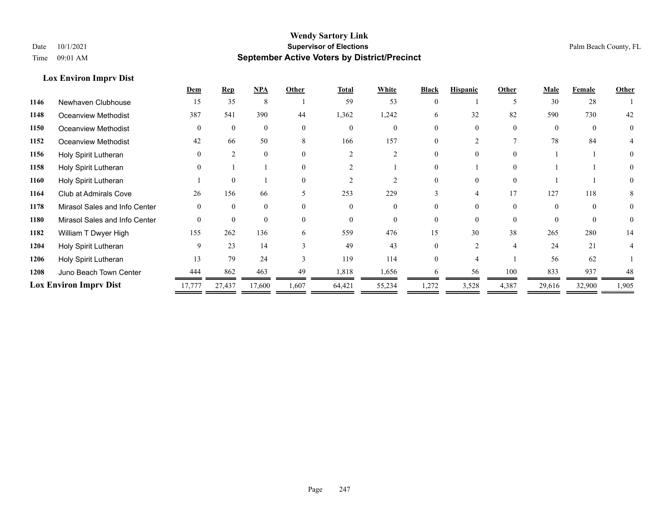# **Lox Environ Imprv Dist**

|      |                               | Dem      | <b>Rep</b>    | NPA      | Other                    | <b>Total</b> | White  | <b>Black</b> | <b>Hispanic</b> | Other    | <b>Male</b> | Female   | Other    |
|------|-------------------------------|----------|---------------|----------|--------------------------|--------------|--------|--------------|-----------------|----------|-------------|----------|----------|
| 1146 | Newhaven Clubhouse            | 15       | 35            | 8        |                          | 59           | 53     |              |                 |          | 30          | 28       |          |
| 1148 | Oceanview Methodist           | 387      | 541           | 390      | 44                       | 1,362        | 1,242  | 6            | 32              | 82       | 590         | 730      | 42       |
| 1150 | Oceanview Methodist           | $\Omega$ | $\theta$      | $\theta$ | $\Omega$                 | $\Omega$     |        |              |                 | $\Omega$ | $\Omega$    | $\Omega$ | $\theta$ |
| 1152 | Oceanview Methodist           | 42       | 66            | 50       | 8                        | 166          | 157    |              |                 |          | 78          | 84       |          |
| 1156 | Holy Spirit Lutheran          | $\Omega$ | $\mathcal{L}$ | $\Omega$ | $\Omega$                 |              |        |              |                 | $\Omega$ |             |          | $\Omega$ |
| 1158 | Holy Spirit Lutheran          |          |               |          | $\Omega$                 |              |        |              |                 | $\Omega$ |             |          |          |
| 1160 | Holy Spirit Lutheran          |          | $\theta$      |          |                          |              |        |              |                 | $\Omega$ |             |          |          |
| 1164 | Club at Admirals Cove         | 26       | 156           | 66       | $\overline{\phantom{1}}$ | 253          | 229    |              |                 | 17       | 127         | 118      | 8        |
| 1178 | Mirasol Sales and Info Center | $\Omega$ | $\Omega$      | $\Omega$ | $\Omega$                 | $\Omega$     |        |              |                 | $\Omega$ | $\Omega$    | $\Omega$ | $\theta$ |
| 1180 | Mirasol Sales and Info Center | $\Omega$ | $\theta$      | $\Omega$ |                          | $\theta$     |        |              |                 | $\Omega$ |             | $\Omega$ |          |
| 1182 | William T Dwyer High          | 155      | 262           | 136      | 6                        | 559          | 476    | 15           | 30              | 38       | 265         | 280      | 14       |
| 1204 | Holy Spirit Lutheran          | 9        | 23            | 14       |                          | 49           | 43     |              |                 | 4        | 24          | 21       |          |
| 1206 | Holy Spirit Lutheran          | 13       | 79            | 24       | $\mathcal{E}$            | 119          | 114    |              |                 |          | 56          | 62       |          |
| 1208 | Juno Beach Town Center        | 444      | 862           | 463      | 49                       | 1,818        | 1,656  | 6            | 56              | 100      | 833         | 937      | 48       |
|      | <b>Lox Environ Imprv Dist</b> | 17,777   | 27,437        | 17,600   | 1,607                    | 64,421       | 55,234 | 1,272        | 3,528           | 4,387    | 29,616      | 32,900   | 1,905    |
|      |                               |          |               |          |                          |              |        |              |                 |          |             |          |          |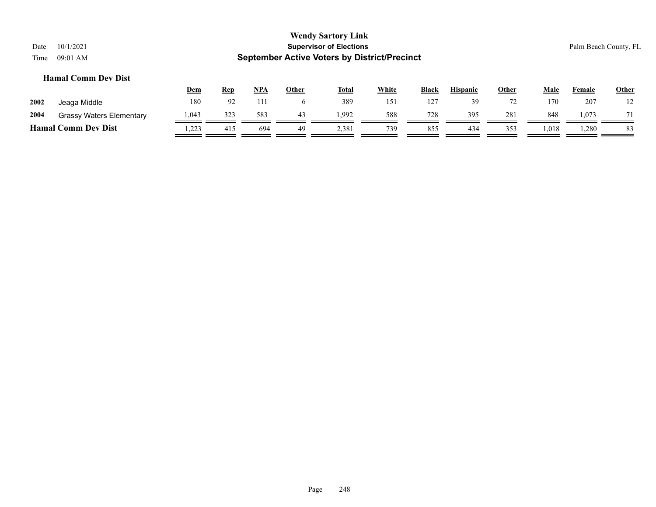|      |                                 | <u>Dem</u> | <u>Rep</u> | <b>NPA</b> | Other | <b>Total</b> | White | <b>Black</b> | <b>Hispanic</b> | Other | Male  | Female | <u>Other</u> |
|------|---------------------------------|------------|------------|------------|-------|--------------|-------|--------------|-----------------|-------|-------|--------|--------------|
| 2002 | Jeaga Middle                    | 180        | 92         | 111        |       | 389          | 151   | 127          |                 | 72    | 170   | 207    | 12           |
| 2004 | <b>Grassy Waters Elementary</b> | 1,043      | 323        | 583        | 43    | 1,992        | 588   | 728          | 395             | 281   | 848   | 1,073  | $\mathbf{r}$ |
|      | <b>Hamal Comm Dev Dist</b>      | .223       | 415        | 694        | 49    | 2,381        | 739   | 855          | 434             | 353   | 1,018 | 1.280  | 83           |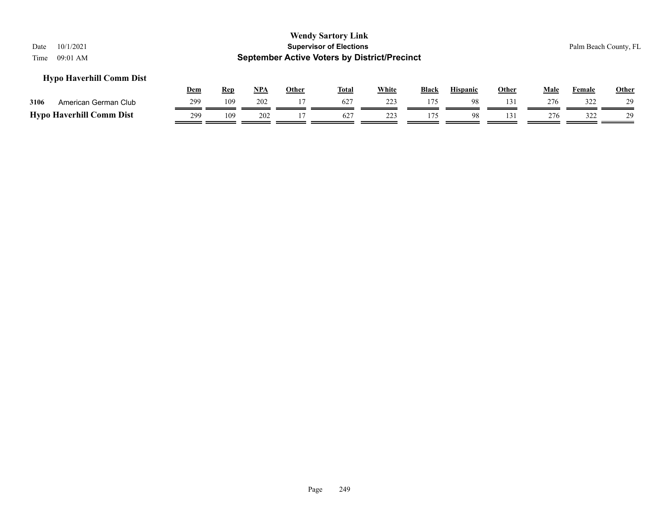# **Hypo Haverhill Comm Dist**

|      |                                 | Dem | Rep | <b>NPA</b> | Other | <b>Total</b> | <b>White</b> | <b>Black</b> | <b>Hispanic</b> | Other | Male | $\mathbf{r}$ . The set of $\mathbf{r}$<br>Female | Other |
|------|---------------------------------|-----|-----|------------|-------|--------------|--------------|--------------|-----------------|-------|------|--------------------------------------------------|-------|
| 3106 | American German Club            | 299 | 109 | 202        |       |              | 223          | 175          | 98              |       | 276  | 322                                              | 29    |
|      | <b>Hypo Haverhill Comm Dist</b> | 299 | 109 | 202        |       | 627          | 223          |              | 98              |       | 276  | 377<br>ے بے ب                                    | 29    |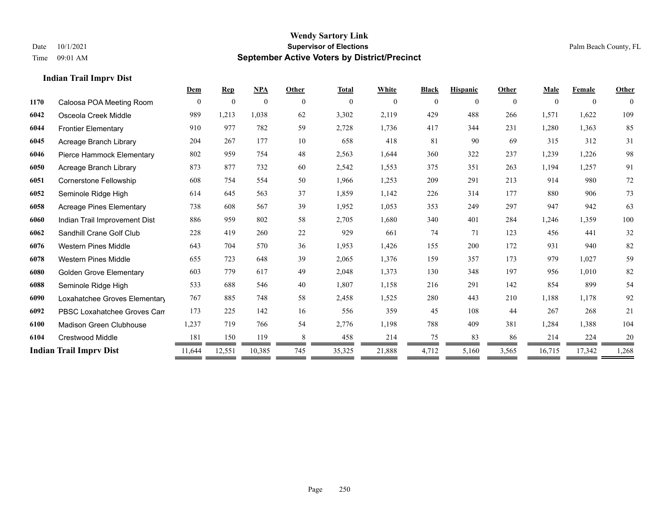**Indian Trail Imprv Dist**

### **Wendy Sartory Link** Date 10/1/2021 **Supervisor of Elections** Palm Beach County, FL Time 09:01 AM **September Active Voters by District/Precinct**

|      |                                | Dem          | <b>Rep</b>   | NPA          | Other          | <b>Total</b> | White    | <b>Black</b>   | <b>Hispanic</b> | Other          | <b>Male</b>  | Female         | Other        |
|------|--------------------------------|--------------|--------------|--------------|----------------|--------------|----------|----------------|-----------------|----------------|--------------|----------------|--------------|
| 1170 | Caloosa POA Meeting Room       | $\mathbf{0}$ | $\mathbf{0}$ | $\mathbf{0}$ | $\overline{0}$ | $\mathbf{0}$ | $\theta$ | $\overline{0}$ | $\mathbf{0}$    | $\overline{0}$ | $\mathbf{0}$ | $\overline{0}$ | $\mathbf{0}$ |
| 6042 | Osceola Creek Middle           | 989          | 1,213        | 1,038        | 62             | 3,302        | 2,119    | 429            | 488             | 266            | 1,571        | 1,622          | 109          |
| 6044 | <b>Frontier Elementary</b>     | 910          | 977          | 782          | 59             | 2,728        | 1,736    | 417            | 344             | 231            | 1,280        | 1,363          | 85           |
| 6045 | Acreage Branch Library         | 204          | 267          | 177          | 10             | 658          | 418      | 81             | 90              | 69             | 315          | 312            | 31           |
| 6046 | Pierce Hammock Elementary      | 802          | 959          | 754          | 48             | 2,563        | 1,644    | 360            | 322             | 237            | 1,239        | 1,226          | 98           |
| 6050 | Acreage Branch Library         | 873          | 877          | 732          | 60             | 2,542        | 1,553    | 375            | 351             | 263            | 1,194        | 1,257          | 91           |
| 6051 | Cornerstone Fellowship         | 608          | 754          | 554          | 50             | 1,966        | 1,253    | 209            | 291             | 213            | 914          | 980            | 72           |
| 6052 | Seminole Ridge High            | 614          | 645          | 563          | 37             | 1,859        | 1,142    | 226            | 314             | 177            | 880          | 906            | 73           |
| 6058 | Acreage Pines Elementary       | 738          | 608          | 567          | 39             | 1,952        | 1,053    | 353            | 249             | 297            | 947          | 942            | 63           |
| 6060 | Indian Trail Improvement Dist  | 886          | 959          | 802          | 58             | 2,705        | 1,680    | 340            | 401             | 284            | 1,246        | 1,359          | 100          |
| 6062 | Sandhill Crane Golf Club       | 228          | 419          | 260          | $22\,$         | 929          | 661      | 74             | 71              | 123            | 456          | 441            | 32           |
| 6076 | <b>Western Pines Middle</b>    | 643          | 704          | 570          | 36             | 1,953        | 1,426    | 155            | 200             | 172            | 931          | 940            | 82           |
| 6078 | <b>Western Pines Middle</b>    | 655          | 723          | 648          | 39             | 2,065        | 1,376    | 159            | 357             | 173            | 979          | 1,027          | 59           |
| 6080 | <b>Golden Grove Elementary</b> | 603          | 779          | 617          | 49             | 2,048        | 1,373    | 130            | 348             | 197            | 956          | 1,010          | 82           |
| 6088 | Seminole Ridge High            | 533          | 688          | 546          | 40             | 1,807        | 1,158    | 216            | 291             | 142            | 854          | 899            | 54           |
| 6090 | Loxahatchee Groves Elementary  | 767          | 885          | 748          | 58             | 2,458        | 1,525    | 280            | 443             | 210            | 1,188        | 1,178          | 92           |
| 6092 | PBSC Loxahatchee Groves Can    | 173          | 225          | 142          | 16             | 556          | 359      | 45             | 108             | 44             | 267          | 268            | 21           |
| 6100 | <b>Madison Green Clubhouse</b> | 1,237        | 719          | 766          | 54             | 2,776        | 1,198    | 788            | 409             | 381            | 1,284        | 1,388          | 104          |

 Crestwood Middle 181 150 119 8 458 214 75 83 86 214 224 20 **Indian Trail Imprv Dist** 11,644 12,551 10,385 745 35,325 21,888 4,712 5,160 3,565 16,715 17,342 1,268

Page 250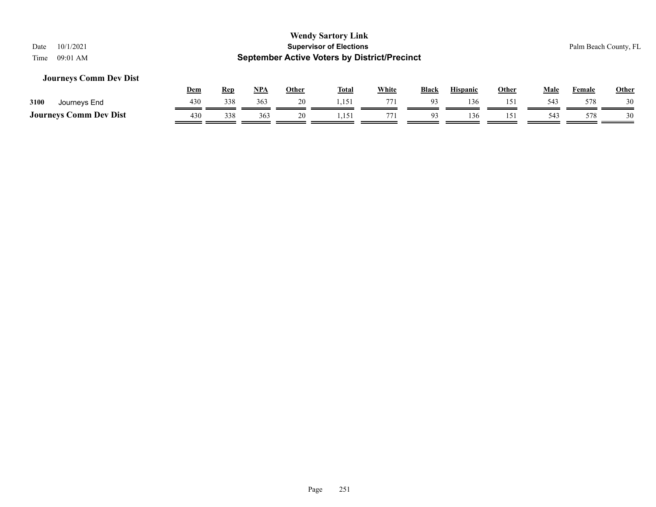# **Journeys Comm Dev Dist**

|                               | Dem | Ren | NPA | Other | <b>Total</b> | <b>White</b> | <b>Black</b> | Hispanic | Other | Male | Female | <b>Other</b> |
|-------------------------------|-----|-----|-----|-------|--------------|--------------|--------------|----------|-------|------|--------|--------------|
| 3100<br>Journeys End          | 430 | 338 | 363 | 20    | .            | 771          | $\Omega$     | 136      | 151   | 543  | 578    | 30           |
| <b>Journeys Comm Dev Dist</b> | 430 | 338 | 363 | 20    | .            | 771          |              | 136      | 151   | 543  | 578    |              |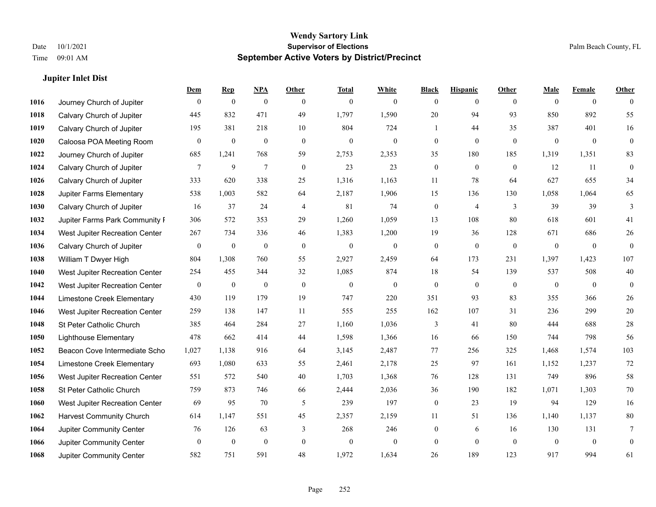# **Jupiter Inlet Dist**

|      |                                 | Dem              | <b>Rep</b>       | $NPA$            | <b>Other</b>   | <b>Total</b>     | <b>White</b>     | <b>Black</b>     | <b>Hispanic</b> | <b>Other</b>   | <b>Male</b>      | <b>Female</b>  | <b>Other</b>     |
|------|---------------------------------|------------------|------------------|------------------|----------------|------------------|------------------|------------------|-----------------|----------------|------------------|----------------|------------------|
| 1016 | Journey Church of Jupiter       | $\theta$         | $\boldsymbol{0}$ | $\boldsymbol{0}$ | $\theta$       | $\mathbf{0}$     | $\overline{0}$   | $\overline{0}$   | $\overline{0}$  | $\theta$       | $\mathbf{0}$     | $\overline{0}$ | $\theta$         |
| 1018 | Calvary Church of Jupiter       | 445              | 832              | 471              | 49             | 1,797            | 1,590            | 20               | 94              | 93             | 850              | 892            | 55               |
| 1019 | Calvary Church of Jupiter       | 195              | 381              | 218              | 10             | 804              | 724              | $\mathbf{1}$     | 44              | 35             | 387              | 401            | 16               |
| 1020 | Caloosa POA Meeting Room        | $\boldsymbol{0}$ | $\boldsymbol{0}$ | $\boldsymbol{0}$ | $\mathbf{0}$   | $\boldsymbol{0}$ | $\boldsymbol{0}$ | $\boldsymbol{0}$ | $\mathbf{0}$    | $\mathbf{0}$   | $\boldsymbol{0}$ | $\mathbf{0}$   | $\boldsymbol{0}$ |
| 1022 | Journey Church of Jupiter       | 685              | 1,241            | 768              | 59             | 2,753            | 2,353            | 35               | 180             | 185            | 1,319            | 1,351          | 83               |
| 1024 | Calvary Church of Jupiter       | 7                | 9                | $\overline{7}$   | $\mathbf{0}$   | 23               | 23               | $\boldsymbol{0}$ | $\mathbf{0}$    | $\overline{0}$ | 12               | 11             | $\mathbf{0}$     |
| 1026 | Calvary Church of Jupiter       | 333              | 620              | 338              | 25             | 1,316            | 1,163            | 11               | 78              | 64             | 627              | 655            | 34               |
| 1028 | Jupiter Farms Elementary        | 538              | 1,003            | 582              | 64             | 2,187            | 1,906            | 15               | 136             | 130            | 1,058            | 1,064          | 65               |
| 1030 | Calvary Church of Jupiter       | 16               | 37               | 24               | $\overline{4}$ | 81               | 74               | $\boldsymbol{0}$ | $\overline{4}$  | 3              | 39               | 39             | 3                |
| 1032 | Jupiter Farms Park Community F  | 306              | 572              | 353              | 29             | 1,260            | 1,059            | 13               | 108             | 80             | 618              | 601            | 41               |
| 1034 | West Jupiter Recreation Center  | 267              | 734              | 336              | 46             | 1,383            | 1,200            | 19               | 36              | 128            | 671              | 686            | $26\,$           |
| 1036 | Calvary Church of Jupiter       | $\bf{0}$         | $\boldsymbol{0}$ | $\boldsymbol{0}$ | $\mathbf{0}$   | $\boldsymbol{0}$ | $\boldsymbol{0}$ | $\boldsymbol{0}$ | $\mathbf{0}$    | $\mathbf{0}$   | $\mathbf{0}$     | $\mathbf{0}$   | $\mathbf{0}$     |
| 1038 | William T Dwyer High            | 804              | 1,308            | 760              | 55             | 2,927            | 2,459            | 64               | 173             | 231            | 1,397            | 1,423          | 107              |
| 1040 | West Jupiter Recreation Center  | 254              | 455              | 344              | 32             | 1,085            | 874              | $18\,$           | 54              | 139            | 537              | 508            | $40\,$           |
| 1042 | West Jupiter Recreation Center  | $\mathbf{0}$     | $\boldsymbol{0}$ | $\boldsymbol{0}$ | $\overline{0}$ | $\boldsymbol{0}$ | $\boldsymbol{0}$ | $\boldsymbol{0}$ | $\mathbf{0}$    | $\theta$       | $\mathbf{0}$     | $\overline{0}$ | $\boldsymbol{0}$ |
| 1044 | Limestone Creek Elementary      | 430              | 119              | 179              | 19             | 747              | 220              | 351              | 93              | 83             | 355              | 366            | $26\,$           |
| 1046 | West Jupiter Recreation Center  | 259              | 138              | 147              | 11             | 555              | 255              | 162              | 107             | 31             | 236              | 299            | $20\,$           |
| 1048 | St Peter Catholic Church        | 385              | 464              | 284              | 27             | 1,160            | 1,036            | 3                | 41              | 80             | 444              | 688            | $28\,$           |
| 1050 | <b>Lighthouse Elementary</b>    | 478              | 662              | 414              | 44             | 1,598            | 1,366            | 16               | 66              | 150            | 744              | 798            | 56               |
| 1052 | Beacon Cove Intermediate Scho   | 1,027            | 1,138            | 916              | 64             | 3,145            | 2,487            | 77               | 256             | 325            | 1,468            | 1,574          | 103              |
| 1054 | Limestone Creek Elementary      | 693              | 1,080            | 633              | 55             | 2,461            | 2,178            | 25               | 97              | 161            | 1,152            | 1,237          | 72               |
| 1056 | West Jupiter Recreation Center  | 551              | 572              | 540              | 40             | 1,703            | 1,368            | 76               | 128             | 131            | 749              | 896            | 58               |
| 1058 | St Peter Catholic Church        | 759              | 873              | 746              | 66             | 2,444            | 2,036            | 36               | 190             | 182            | 1,071            | 1,303          | $70\,$           |
| 1060 | West Jupiter Recreation Center  | 69               | 95               | 70               | 5              | 239              | 197              | $\boldsymbol{0}$ | 23              | 19             | 94               | 129            | 16               |
| 1062 | <b>Harvest Community Church</b> | 614              | 1,147            | 551              | 45             | 2,357            | 2,159            | 11               | 51              | 136            | 1,140            | 1,137          | $80\,$           |
| 1064 | Jupiter Community Center        | 76               | 126              | 63               | 3              | 268              | 246              | $\boldsymbol{0}$ | 6               | 16             | 130              | 131            | 7                |
| 1066 | Jupiter Community Center        | $\mathbf{0}$     | $\mathbf{0}$     | $\mathbf{0}$     | $\mathbf{0}$   | $\mathbf{0}$     | $\overline{0}$   | $\overline{0}$   | $\theta$        | $\theta$       | $\theta$         | $\overline{0}$ | $\mathbf{0}$     |
| 1068 | Jupiter Community Center        | 582              | 751              | 591              | 48             | 1,972            | 1,634            | 26               | 189             | 123            | 917              | 994            | 61               |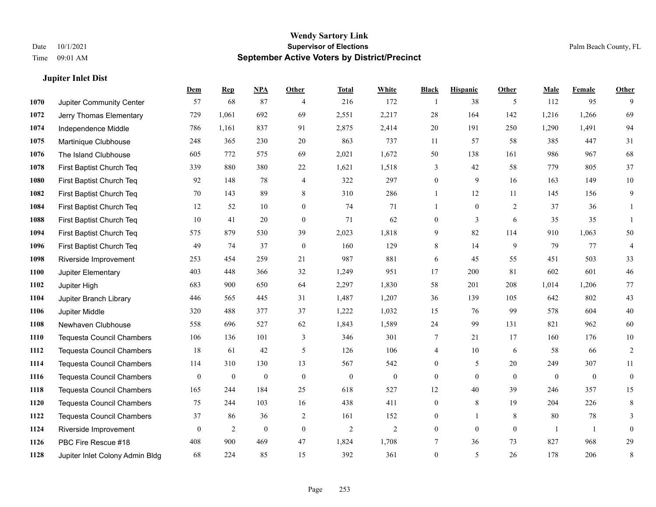|      | <b>Jupiter Inlet Dist</b>        |                  |                  |                  |                  |                |              |                         |                 |                |                  |              |                  |
|------|----------------------------------|------------------|------------------|------------------|------------------|----------------|--------------|-------------------------|-----------------|----------------|------------------|--------------|------------------|
|      |                                  | Dem              | <b>Rep</b>       | <b>NPA</b>       | Other            | <b>Total</b>   | White        | <b>Black</b>            | <b>Hispanic</b> | Other          | Male             | Female       | Other            |
| 1070 | Jupiter Community Center         | 57               | 68               | 87               | $\overline{4}$   | 216            | 172          | $\overline{\mathbf{1}}$ | 38              | 5              | 112              | 95           | 9                |
| 1072 | Jerry Thomas Elementary          | 729              | 1,061            | 692              | 69               | 2,551          | 2,217        | 28                      | 164             | 142            | 1,216            | 1,266        | 69               |
| 1074 | Independence Middle              | 786              | 1,161            | 837              | 91               | 2,875          | 2,414        | $20\,$                  | 191             | 250            | 1,290            | 1,491        | 94               |
| 1075 | Martinique Clubhouse             | 248              | 365              | 230              | 20               | 863            | 737          | 11                      | 57              | 58             | 385              | 447          | 31               |
| 1076 | The Island Clubhouse             | 605              | 772              | 575              | 69               | 2,021          | 1,672        | 50                      | 138             | 161            | 986              | 967          | 68               |
| 1078 | First Baptist Church Teq         | 339              | 880              | 380              | 22               | 1,621          | 1,518        | 3                       | 42              | 58             | 779              | 805          | 37               |
| 1080 | First Baptist Church Teq         | 92               | 148              | 78               | $\overline{4}$   | 322            | 297          | $\boldsymbol{0}$        | 9               | 16             | 163              | 149          | $10\,$           |
| 1082 | First Baptist Church Teq         | 70               | 143              | 89               | 8                | 310            | 286          | $\mathbf{1}$            | 12              | 11             | 145              | 156          | 9                |
| 1084 | First Baptist Church Teq         | 12               | 52               | 10               | $\mathbf{0}$     | 74             | 71           | 1                       | $\mathbf{0}$    | $\overline{2}$ | 37               | 36           | 1                |
| 1088 | First Baptist Church Teq         | 10               | 41               | 20               | $\mathbf{0}$     | 71             | 62           | $\boldsymbol{0}$        | 3               | 6              | 35               | 35           | 1                |
| 1094 | First Baptist Church Teq         | 575              | 879              | 530              | 39               | 2,023          | 1,818        | 9                       | 82              | 114            | 910              | 1,063        | 50               |
| 1096 | First Baptist Church Teq         | 49               | 74               | 37               | $\mathbf{0}$     | 160            | 129          | 8                       | 14              | 9              | 79               | 77           | $\overline{4}$   |
| 1098 | Riverside Improvement            | 253              | 454              | 259              | 21               | 987            | 881          | 6                       | 45              | 55             | 451              | 503          | 33               |
| 1100 | Jupiter Elementary               | 403              | 448              | 366              | 32               | 1,249          | 951          | 17                      | 200             | 81             | 602              | 601          | 46               |
| 1102 | Jupiter High                     | 683              | 900              | 650              | 64               | 2,297          | 1,830        | 58                      | 201             | 208            | 1,014            | 1,206        | 77               |
| 1104 | Jupiter Branch Library           | 446              | 565              | 445              | 31               | 1,487          | 1,207        | 36                      | 139             | 105            | 642              | 802          | 43               |
| 1106 | Jupiter Middle                   | 320              | 488              | 377              | 37               | 1,222          | 1,032        | 15                      | 76              | 99             | 578              | 604          | 40               |
| 1108 | Newhaven Clubhouse               | 558              | 696              | 527              | 62               | 1,843          | 1,589        | 24                      | 99              | 131            | 821              | 962          | 60               |
| 1110 | <b>Tequesta Council Chambers</b> | 106              | 136              | 101              | 3                | 346            | 301          | 7                       | 21              | 17             | 160              | 176          | $10\,$           |
| 1112 | <b>Tequesta Council Chambers</b> | 18               | 61               | 42               | $\mathfrak{H}$   | 126            | 106          | 4                       | 10              | 6              | 58               | 66           | $\sqrt{2}$       |
| 1114 | <b>Tequesta Council Chambers</b> | 114              | 310              | 130              | 13               | 567            | 542          | $\overline{0}$          | 5               | 20             | 249              | 307          | 11               |
| 1116 | Tequesta Council Chambers        | $\boldsymbol{0}$ | $\boldsymbol{0}$ | $\boldsymbol{0}$ | $\boldsymbol{0}$ | $\mathbf{0}$   | $\mathbf{0}$ | $\boldsymbol{0}$        | $\mathbf{0}$    | $\mathbf{0}$   | $\boldsymbol{0}$ | $\mathbf{0}$ | $\boldsymbol{0}$ |
| 1118 | <b>Tequesta Council Chambers</b> | 165              | 244              | 184              | 25               | 618            | 527          | 12                      | 40              | 39             | 246              | 357          | 15               |
| 1120 | <b>Tequesta Council Chambers</b> | 75               | 244              | 103              | 16               | 438            | 411          | $\boldsymbol{0}$        | 8               | 19             | 204              | 226          | $\,$ 8 $\,$      |
| 1122 | <b>Tequesta Council Chambers</b> | 37               | 86               | 36               | $\overline{2}$   | 161            | 152          | $\boldsymbol{0}$        | $\mathbf{1}$    | 8              | 80               | $78\,$       | 3                |
| 1124 | Riverside Improvement            | $\mathbf{0}$     | $\overline{2}$   | $\mathbf{0}$     | $\boldsymbol{0}$ | $\overline{2}$ | $\mathbf{2}$ | $\boldsymbol{0}$        | $\mathbf{0}$    | $\mathbf{0}$   | $\mathbf{1}$     | -1           | $\mathbf{0}$     |
| 1126 | PBC Fire Rescue #18              | 408              | 900              | 469              | 47               | 1,824          | 1,708        | 7                       | 36              | 73             | 827              | 968          | 29               |
| 1128 | Jupiter Inlet Colony Admin Bldg  | 68               | 224              | 85               | 15               | 392            | 361          | $\overline{0}$          | 5               | 26             | 178              | 206          | $\,$ 8 $\,$      |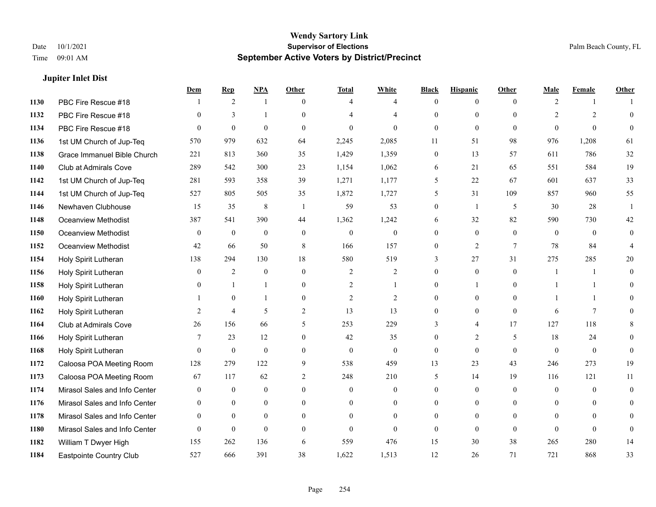## **Jupiter Inlet Dist**

|      |                               | Dem            | <b>Rep</b>     | NPA          | <b>Other</b>   | <b>Total</b>   | <b>White</b>   | <b>Black</b>     | <b>Hispanic</b> | <b>Other</b>    | <b>Male</b>    | <b>Female</b>  | <b>Other</b>   |
|------|-------------------------------|----------------|----------------|--------------|----------------|----------------|----------------|------------------|-----------------|-----------------|----------------|----------------|----------------|
| 1130 | PBC Fire Rescue #18           |                | 2              | 1            | $\theta$       | 4              | $\overline{4}$ | $\mathbf{0}$     | $\overline{0}$  | $\theta$        | $\overline{2}$ | $\mathbf{1}$   |                |
| 1132 | PBC Fire Rescue #18           | $\theta$       | 3              | 1            | $\Omega$       |                | $\overline{4}$ | $\theta$         | $\mathbf{0}$    | $\Omega$        | 2              | $\overline{2}$ | $\mathbf{0}$   |
| 1134 | PBC Fire Rescue #18           | $\Omega$       | $\mathbf{0}$   | $\theta$     | $\Omega$       | $\theta$       | $\Omega$       | $\Omega$         | $\theta$        | $\Omega$        | $\Omega$       | $\Omega$       | $\theta$       |
| 1136 | 1st UM Church of Jup-Teq      | 570            | 979            | 632          | 64             | 2,245          | 2,085          | 11               | 51              | 98              | 976            | 1,208          | 61             |
| 1138 | Grace Immanuel Bible Church   | 221            | 813            | 360          | 35             | 1,429          | 1,359          | $\mathbf{0}$     | 13              | 57              | 611            | 786            | $32\,$         |
| 1140 | Club at Admirals Cove         | 289            | 542            | 300          | 23             | 1,154          | 1,062          | 6                | 21              | 65              | 551            | 584            | 19             |
| 1142 | 1st UM Church of Jup-Teq      | 281            | 593            | 358          | 39             | 1,271          | 1,177          | 5                | 22              | 67              | 601            | 637            | 33             |
| 1144 | 1st UM Church of Jup-Teq      | 527            | 805            | 505          | 35             | 1,872          | 1,727          | 5                | 31              | 109             | 857            | 960            | 55             |
| 1146 | Newhaven Clubhouse            | 15             | 35             | $\,8\,$      | -1             | 59             | 53             | $\boldsymbol{0}$ | 1               | 5               | 30             | 28             |                |
| 1148 | <b>Oceanview Methodist</b>    | 387            | 541            | 390          | 44             | 1,362          | 1,242          | 6                | 32              | 82              | 590            | 730            | 42             |
| 1150 | Oceanview Methodist           | $\theta$       | $\mathbf{0}$   | $\mathbf{0}$ | $\theta$       | $\mathbf{0}$   | $\overline{0}$ | $\theta$         | $\theta$        | $\Omega$        | $\theta$       | $\theta$       | $\theta$       |
| 1152 | <b>Oceanview Methodist</b>    | 42             | 66             | 50           | $\,8\,$        | 166            | 157            | $\boldsymbol{0}$ | $\overline{2}$  | $7\phantom{.0}$ | 78             | 84             | $\overline{4}$ |
| 1154 | Holy Spirit Lutheran          | 138            | 294            | 130          | 18             | 580            | 519            | 3                | 27              | 31              | 275            | 285            | 20             |
| 1156 | Holy Spirit Lutheran          | $\overline{0}$ | 2              | $\mathbf{0}$ | $\mathbf{0}$   | 2              | $\overline{c}$ | $\mathbf{0}$     | $\mathbf{0}$    | $\mathbf{0}$    | -1             | -1             | $\theta$       |
| 1158 | Holy Spirit Lutheran          | $\Omega$       | $\mathbf{1}$   | $\mathbf{1}$ | $\theta$       | $\overline{2}$ | 1              | $\theta$         | $\mathbf{1}$    | $\Omega$        |                | $\mathbf{1}$   | $\theta$       |
| 1160 | Holy Spirit Lutheran          |                | $\mathbf{0}$   | $\mathbf{1}$ | $\overline{0}$ | $\overline{2}$ | $\overline{c}$ | $\mathbf{0}$     | $\theta$        | $\theta$        | $\mathbf{1}$   | $\mathbf{1}$   | $\theta$       |
| 1162 | Holy Spirit Lutheran          | 2              | $\overline{4}$ | 5            | $\overline{2}$ | 13             | 13             | $\boldsymbol{0}$ | $\mathbf{0}$    | $\overline{0}$  | 6              | $\tau$         | 0              |
| 1164 | Club at Admirals Cove         | 26             | 156            | 66           | 5              | 253            | 229            | 3                | 4               | 17              | 127            | 118            | 8              |
| 1166 | Holy Spirit Lutheran          | 7              | 23             | 12           | $\theta$       | 42             | 35             | $\mathbf{0}$     | $\overline{2}$  | 5               | 18             | 24             | $\theta$       |
| 1168 | Holy Spirit Lutheran          | $\Omega$       | $\theta$       | $\theta$     | $\theta$       | $\mathbf{0}$   | $\mathbf{0}$   | $\theta$         | $\theta$        | $\theta$        | $\theta$       | $\theta$       | $\theta$       |
| 1172 | Caloosa POA Meeting Room      | 128            | 279            | 122          | 9              | 538            | 459            | 13               | 23              | 43              | 246            | 273            | 19             |
| 1173 | Caloosa POA Meeting Room      | 67             | 117            | 62           | $\overline{c}$ | 248            | 210            | 5                | 14              | 19              | 116            | 121            | 11             |
| 1174 | Mirasol Sales and Info Center | $\theta$       | $\mathbf{0}$   | $\mathbf{0}$ | $\theta$       | $\theta$       | $\overline{0}$ | $\mathbf{0}$     | $\mathbf{0}$    | $\theta$        | $\theta$       | $\theta$       | $\mathbf{0}$   |
| 1176 | Mirasol Sales and Info Center | $\theta$       | $\theta$       | $\theta$     | $\Omega$       | $\theta$       | $\Omega$       | $\theta$         | $\theta$        | $\theta$        | $\theta$       | $\Omega$       | $\Omega$       |
| 1178 | Mirasol Sales and Info Center | $\overline{0}$ | $\mathbf{0}$   | $\mathbf{0}$ | $\theta$       | $\theta$       | $\overline{0}$ | $\overline{0}$   | $\mathbf{0}$    | $\theta$        | $\overline{0}$ | $\theta$       | $\Omega$       |
| 1180 | Mirasol Sales and Info Center | $\Omega$       | $\mathbf{0}$   | $\mathbf{0}$ | $\theta$       | $\theta$       | $\theta$       | $\theta$         | $\mathbf{0}$    | $\theta$        | $\theta$       | $\theta$       | $\overline{0}$ |
| 1182 | William T Dwyer High          | 155            | 262            | 136          | 6              | 559            | 476            | 15               | 30              | 38              | 265            | 280            | 14             |
| 1184 | Eastpointe Country Club       | 527            | 666            | 391          | 38             | 1,622          | 1,513          | 12               | 26              | 71              | 721            | 868            | 33             |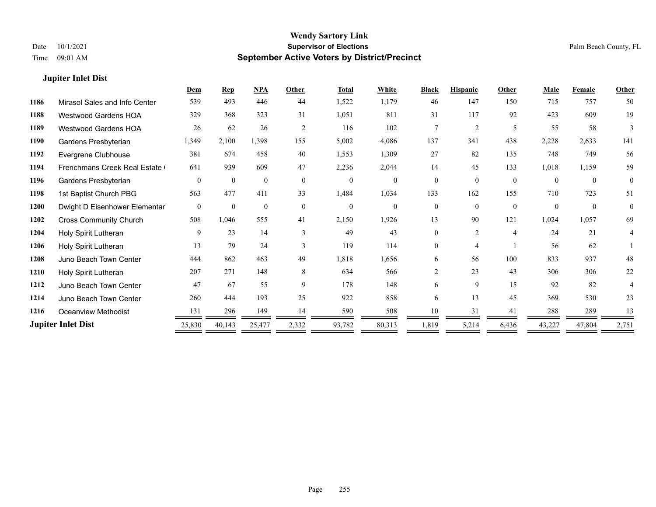## **Jupiter Inlet Dist**

|      |                               | Dem            | <b>Rep</b>   | NPA          | Other        | <b>Total</b> | White          | <b>Black</b>   | <b>Hispanic</b> | Other          | Male     | <b>Female</b> | <b>Other</b>   |
|------|-------------------------------|----------------|--------------|--------------|--------------|--------------|----------------|----------------|-----------------|----------------|----------|---------------|----------------|
| 1186 | Mirasol Sales and Info Center | 539            | 493          | 446          | 44           | 1,522        | 1,179          | 46             | 147             | 150            | 715      | 757           | 50             |
| 1188 | Westwood Gardens HOA          | 329            | 368          | 323          | 31           | 1,051        | 811            | 31             | 117             | 92             | 423      | 609           | 19             |
| 1189 | <b>Westwood Gardens HOA</b>   | 26             | 62           | 26           | 2            | 116          | 102            | $\tau$         | 2               | 5              | 55       | 58            | 3              |
| 1190 | Gardens Presbyterian          | 1,349          | 2,100        | 1,398        | 155          | 5,002        | 4,086          | 137            | 341             | 438            | 2,228    | 2,633         | 141            |
| 1192 | Evergrene Clubhouse           | 381            | 674          | 458          | 40           | 1,553        | 1,309          | 27             | 82              | 135            | 748      | 749           | 56             |
| 1194 | Frenchmans Creek Real Estate  | 641            | 939          | 609          | 47           | 2,236        | 2,044          | 14             | 45              | 133            | 1,018    | 1,159         | 59             |
| 1196 | Gardens Presbyterian          | $\theta$       | $\theta$     | $\Omega$     | $\theta$     | $\theta$     | $\theta$       | $\theta$       | $\theta$        | $\theta$       | $\theta$ | $\theta$      | $\theta$       |
| 1198 | 1st Baptist Church PBG        | 563            | 477          | 411          | 33           | 1,484        | 1,034          | 133            | 162             | 155            | 710      | 723           | 51             |
| 1200 | Dwight D Eisenhower Elementar | $\overline{0}$ | $\mathbf{0}$ | $\mathbf{0}$ | $\mathbf{0}$ | $\mathbf{0}$ | $\overline{0}$ | $\theta$       | $\theta$        | $\theta$       | $\Omega$ | $\theta$      | $\overline{0}$ |
| 1202 | <b>Cross Community Church</b> | 508            | 1,046        | 555          | 41           | 2,150        | 1,926          | 13             | 90              | 121            | 1,024    | 1,057         | 69             |
| 1204 | Holy Spirit Lutheran          | 9              | 23           | 14           | $\mathbf{3}$ | 49           | 43             | 0              | $\overline{2}$  | $\overline{4}$ | 24       | 21            | 4              |
| 1206 | Holy Spirit Lutheran          | 13             | 79           | 24           | $\mathbf{3}$ | 119          | 114            | 0              | 4               |                | 56       | 62            |                |
| 1208 | Juno Beach Town Center        | 444            | 862          | 463          | 49           | 1,818        | 1,656          | 6              | 56              | 100            | 833      | 937           | 48             |
| 1210 | Holy Spirit Lutheran          | 207            | 271          | 148          | 8            | 634          | 566            | $\overline{2}$ | 23              | 43             | 306      | 306           | 22             |
| 1212 | Juno Beach Town Center        | 47             | 67           | 55           | 9            | 178          | 148            | 6              | 9               | 15             | 92       | 82            |                |
| 1214 | Juno Beach Town Center        | 260            | 444          | 193          | 25           | 922          | 858            | 6              | 13              | 45             | 369      | 530           | 23             |
| 1216 | Oceanview Methodist           | 131            | 296          | 149          | 14           | 590          | 508            | 10             | 31              | 41             | 288      | 289           | 13             |
|      | <b>Jupiter Inlet Dist</b>     | 25,830         | 40,143       | 25,477       | 2,332        | 93,782       | 80,313         | 1,819          | 5,214           | 6,436          | 43,227   | 47,804        | 2,751          |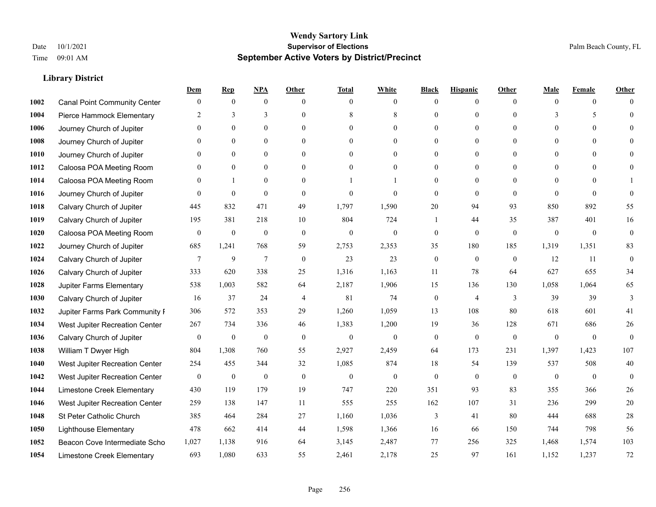|      |                                     | Dem              | <b>Rep</b>       | NPA              | <b>Other</b>   | <b>Total</b>     | <b>White</b>     | <b>Black</b>     | <b>Hispanic</b>  | <b>Other</b> | <b>Male</b>  | <b>Female</b>  | <b>Other</b>     |
|------|-------------------------------------|------------------|------------------|------------------|----------------|------------------|------------------|------------------|------------------|--------------|--------------|----------------|------------------|
| 1002 | <b>Canal Point Community Center</b> | $\mathbf{0}$     | $\mathbf{0}$     | $\boldsymbol{0}$ | $\theta$       | $\theta$         | $\overline{0}$   | $\mathbf{0}$     | $\boldsymbol{0}$ | $\theta$     | $\theta$     | $\overline{0}$ | $\Omega$         |
| 1004 | Pierce Hammock Elementary           | 2                | 3                | 3                | $\Omega$       | 8                | $\,$ 8 $\,$      | $\mathbf{0}$     | $\mathbf{0}$     | $\Omega$     | 3            | 5              | $\theta$         |
| 1006 | Journey Church of Jupiter           | $\Omega$         | $\theta$         | $\theta$         | $\Omega$       | $\Omega$         | $\Omega$         | $\theta$         | $\theta$         | $\Omega$     | $\Omega$     | $\Omega$       | $\Omega$         |
| 1008 | Journey Church of Jupiter           | $\mathbf{0}$     | $\mathbf{0}$     | $\mathbf{0}$     | $\overline{0}$ | $\theta$         | $\boldsymbol{0}$ | $\mathbf{0}$     | $\mathbf{0}$     | $\mathbf{0}$ | $\mathbf{0}$ | $\mathbf{0}$   | $\theta$         |
| 1010 | Journey Church of Jupiter           | $\Omega$         | $\mathbf{0}$     | $\mathbf{0}$     | $\theta$       | $\theta$         | $\overline{0}$   | $\mathbf{0}$     | $\overline{0}$   | $\theta$     | $\theta$     | $\theta$       | $\theta$         |
| 1012 | Caloosa POA Meeting Room            | $\mathbf{0}$     | $\mathbf{0}$     | $\mathbf{0}$     | $\theta$       | $\theta$         | $\overline{0}$   | $\mathbf{0}$     | $\mathbf{0}$     | $\Omega$     | $\mathbf{0}$ | $\theta$       | $\mathbf{0}$     |
| 1014 | Caloosa POA Meeting Room            | $\Omega$         | $\mathbf{1}$     | $\theta$         | $\theta$       |                  | 1                | $\mathbf{0}$     | $\mathbf{0}$     | $\Omega$     | $\Omega$     | $\Omega$       |                  |
| 1016 | Journey Church of Jupiter           | $\Omega$         | $\mathbf{0}$     | $\mathbf{0}$     | $\theta$       | $\theta$         | $\mathbf{0}$     | $\mathbf{0}$     | $\mathbf{0}$     | $\theta$     | $\theta$     | $\theta$       | $\theta$         |
| 1018 | Calvary Church of Jupiter           | 445              | 832              | 471              | 49             | 1,797            | 1,590            | 20               | 94               | 93           | 850          | 892            | 55               |
| 1019 | Calvary Church of Jupiter           | 195              | 381              | 218              | 10             | 804              | 724              | -1               | 44               | 35           | 387          | 401            | 16               |
| 1020 | Caloosa POA Meeting Room            | $\mathbf{0}$     | $\boldsymbol{0}$ | $\mathbf{0}$     | $\theta$       | $\theta$         | $\mathbf{0}$     | $\mathbf{0}$     | $\theta$         | $\theta$     | $\theta$     | $\theta$       | $\mathbf{0}$     |
| 1022 | Journey Church of Jupiter           | 685              | 1,241            | 768              | 59             | 2,753            | 2,353            | 35               | 180              | 185          | 1,319        | 1,351          | 83               |
| 1024 | Calvary Church of Jupiter           | 7                | 9                | $\overline{7}$   | $\mathbf{0}$   | 23               | 23               | $\boldsymbol{0}$ | $\mathbf{0}$     | $\mathbf{0}$ | 12           | 11             | $\boldsymbol{0}$ |
| 1026 | Calvary Church of Jupiter           | 333              | 620              | 338              | 25             | 1,316            | 1,163            | 11               | 78               | 64           | 627          | 655            | 34               |
| 1028 | Jupiter Farms Elementary            | 538              | 1,003            | 582              | 64             | 2,187            | 1,906            | 15               | 136              | 130          | 1,058        | 1,064          | 65               |
| 1030 | Calvary Church of Jupiter           | 16               | 37               | 24               | $\overline{4}$ | 81               | 74               | $\boldsymbol{0}$ | 4                | 3            | 39           | 39             | 3                |
| 1032 | Jupiter Farms Park Community I      | 306              | 572              | 353              | 29             | 1,260            | 1,059            | 13               | 108              | 80           | 618          | 601            | 41               |
| 1034 | West Jupiter Recreation Center      | 267              | 734              | 336              | 46             | 1,383            | 1,200            | 19               | 36               | 128          | 671          | 686            | 26               |
| 1036 | Calvary Church of Jupiter           | $\boldsymbol{0}$ | $\boldsymbol{0}$ | $\mathbf{0}$     | $\mathbf{0}$   | $\mathbf{0}$     | $\mathbf{0}$     | $\mathbf{0}$     | $\mathbf{0}$     | $\theta$     | $\mathbf{0}$ | $\mathbf{0}$   | $\mathbf{0}$     |
| 1038 | William T Dwyer High                | 804              | 1,308            | 760              | 55             | 2,927            | 2,459            | 64               | 173              | 231          | 1,397        | 1.423          | 107              |
| 1040 | West Jupiter Recreation Center      | 254              | 455              | 344              | 32             | 1,085            | 874              | 18               | 54               | 139          | 537          | 508            | $40\,$           |
| 1042 | West Jupiter Recreation Center      | $\boldsymbol{0}$ | $\boldsymbol{0}$ | $\boldsymbol{0}$ | $\mathbf{0}$   | $\boldsymbol{0}$ | $\mathbf{0}$     | $\boldsymbol{0}$ | $\mathbf{0}$     | $\mathbf{0}$ | $\mathbf{0}$ | $\overline{0}$ | $\mathbf{0}$     |
| 1044 | Limestone Creek Elementary          | 430              | 119              | 179              | 19             | 747              | 220              | 351              | 93               | 83           | 355          | 366            | 26               |
| 1046 | West Jupiter Recreation Center      | 259              | 138              | 147              | 11             | 555              | 255              | 162              | 107              | 31           | 236          | 299            | 20               |
| 1048 | St Peter Catholic Church            | 385              | 464              | 284              | 27             | 1,160            | 1,036            | 3                | 41               | 80           | 444          | 688            | 28               |
| 1050 | <b>Lighthouse Elementary</b>        | 478              | 662              | 414              | 44             | 1,598            | 1,366            | 16               | 66               | 150          | 744          | 798            | 56               |
| 1052 | Beacon Cove Intermediate Scho       | 1,027            | 1,138            | 916              | 64             | 3,145            | 2,487            | 77               | 256              | 325          | 1,468        | 1,574          | 103              |
| 1054 | Limestone Creek Elementary          | 693              | 1,080            | 633              | 55             | 2,461            | 2,178            | 25               | 97               | 161          | 1.152        | 1,237          | 72               |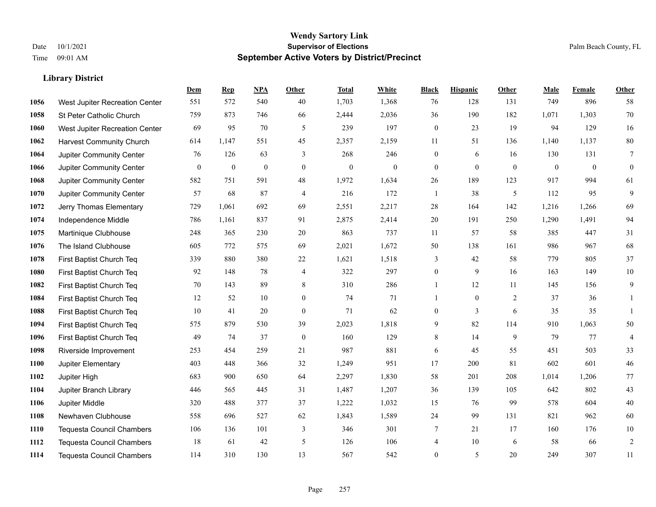|             |                                  | Dem          | <b>Rep</b>       | NPA              | <b>Other</b>     | <b>Total</b>     | <b>White</b>   | <b>Black</b>     | <b>Hispanic</b> | <b>Other</b> | <b>Male</b>    | <b>Female</b> | Other                    |
|-------------|----------------------------------|--------------|------------------|------------------|------------------|------------------|----------------|------------------|-----------------|--------------|----------------|---------------|--------------------------|
| 1056        | West Jupiter Recreation Center   | 551          | 572              | 540              | 40               | 1,703            | 1,368          | 76               | 128             | 131          | 749            | 896           | 58                       |
| 1058        | St Peter Catholic Church         | 759          | 873              | 746              | 66               | 2,444            | 2,036          | 36               | 190             | 182          | 1,071          | 1,303         | 70                       |
| 1060        | West Jupiter Recreation Center   | 69           | 95               | 70               | 5                | 239              | 197            | $\boldsymbol{0}$ | 23              | 19           | 94             | 129           | 16                       |
| 1062        | <b>Harvest Community Church</b>  | 614          | 1,147            | 551              | 45               | 2,357            | 2,159          | 11               | 51              | 136          | 1,140          | 1,137         | $80\,$                   |
| 1064        | Jupiter Community Center         | 76           | 126              | 63               | 3                | 268              | 246            | $\boldsymbol{0}$ | 6               | 16           | 130            | 131           | $\overline{7}$           |
| 1066        | Jupiter Community Center         | $\mathbf{0}$ | $\boldsymbol{0}$ | $\boldsymbol{0}$ | $\mathbf{0}$     | $\boldsymbol{0}$ | $\overline{0}$ | $\boldsymbol{0}$ | $\mathbf{0}$    | $\mathbf{0}$ | $\overline{0}$ | $\mathbf{0}$  | $\boldsymbol{0}$         |
| 1068        | Jupiter Community Center         | 582          | 751              | 591              | 48               | 1,972            | 1,634          | 26               | 189             | 123          | 917            | 994           | 61                       |
| 1070        | Jupiter Community Center         | 57           | 68               | 87               | $\overline{4}$   | 216              | 172            | $\mathbf{1}$     | 38              | 5            | 112            | 95            | 9                        |
| 1072        | Jerry Thomas Elementary          | 729          | 1,061            | 692              | 69               | 2,551            | 2,217          | 28               | 164             | 142          | 1,216          | 1,266         | 69                       |
| 1074        | Independence Middle              | 786          | 1,161            | 837              | 91               | 2,875            | 2,414          | 20               | 191             | 250          | 1,290          | 1,491         | 94                       |
| 1075        | Martinique Clubhouse             | 248          | 365              | 230              | 20               | 863              | 737            | 11               | 57              | 58           | 385            | 447           | 31                       |
| 1076        | The Island Clubhouse             | 605          | 772              | 575              | 69               | 2,021            | 1,672          | 50               | 138             | 161          | 986            | 967           | 68                       |
| 1078        | First Baptist Church Teq         | 339          | 880              | 380              | 22               | 1,621            | 1,518          | 3                | 42              | 58           | 779            | 805           | 37                       |
| 1080        | First Baptist Church Teq         | 92           | 148              | 78               | 4                | 322              | 297            | $\boldsymbol{0}$ | 9               | 16           | 163            | 149           | $10\,$                   |
| 1082        | First Baptist Church Teq         | 70           | 143              | 89               | 8                | 310              | 286            | $\mathbf{1}$     | 12              | 11           | 145            | 156           | 9                        |
| 1084        | First Baptist Church Teq         | 12           | 52               | 10               | $\overline{0}$   | 74               | 71             | $\mathbf{1}$     | $\mathbf{0}$    | 2            | 37             | 36            | $\mathbf{1}$             |
| 1088        | First Baptist Church Teq         | 10           | 41               | 20               | $\overline{0}$   | 71               | 62             | $\overline{0}$   | 3               | 6            | 35             | 35            |                          |
| 1094        | First Baptist Church Teq         | 575          | 879              | 530              | 39               | 2,023            | 1,818          | 9                | 82              | 114          | 910            | 1,063         | 50                       |
| 1096        | First Baptist Church Teq         | 49           | 74               | 37               | $\boldsymbol{0}$ | 160              | 129            | 8                | 14              | 9            | 79             | 77            | $\overline{\mathcal{A}}$ |
| 1098        | Riverside Improvement            | 253          | 454              | 259              | 21               | 987              | 881            | 6                | 45              | 55           | 451            | 503           | 33                       |
| 1100        | Jupiter Elementary               | 403          | 448              | 366              | 32               | 1,249            | 951            | 17               | 200             | 81           | 602            | 601           | 46                       |
| 1102        | Jupiter High                     | 683          | 900              | 650              | 64               | 2,297            | 1,830          | 58               | 201             | 208          | 1,014          | 1,206         | 77                       |
| 1104        | Jupiter Branch Library           | 446          | 565              | 445              | 31               | 1,487            | 1,207          | 36               | 139             | 105          | 642            | 802           | 43                       |
| 1106        | Jupiter Middle                   | 320          | 488              | 377              | 37               | 1,222            | 1,032          | 15               | 76              | 99           | 578            | 604           | 40                       |
| 1108        | Newhaven Clubhouse               | 558          | 696              | 527              | 62               | 1,843            | 1,589          | 24               | 99              | 131          | 821            | 962           | 60                       |
| <b>1110</b> | <b>Tequesta Council Chambers</b> | 106          | 136              | 101              | 3                | 346              | 301            | 7                | 21              | 17           | 160            | 176           | 10                       |
| 1112        | <b>Tequesta Council Chambers</b> | 18           | 61               | 42               | 5                | 126              | 106            | 4                | 10              | 6            | 58             | 66            | $\sqrt{2}$               |
| 1114        | <b>Tequesta Council Chambers</b> | 114          | 310              | 130              | 13               | 567              | 542            | $\mathbf{0}$     | 5               | 20           | 249            | 307           | 11                       |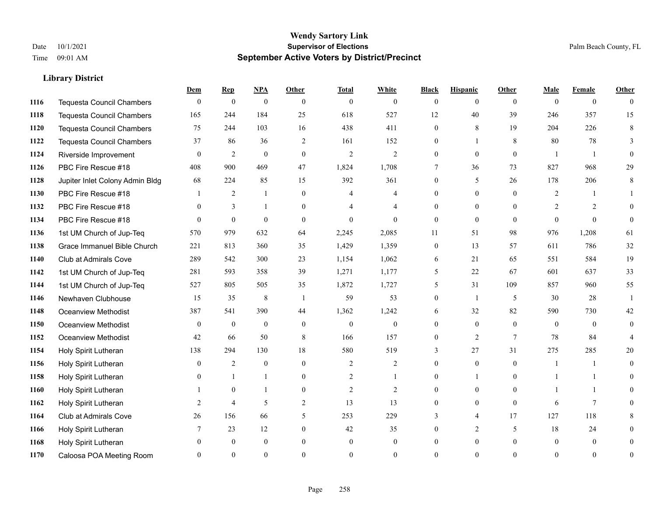|      |                                  | Dem          | <b>Rep</b>       | $NPA$        | <b>Other</b>     | <b>Total</b>     | <b>White</b>   | <b>Black</b>     | <b>Hispanic</b> | <b>Other</b> | <b>Male</b>    | <b>Female</b>  | Other          |
|------|----------------------------------|--------------|------------------|--------------|------------------|------------------|----------------|------------------|-----------------|--------------|----------------|----------------|----------------|
| 1116 | <b>Tequesta Council Chambers</b> | $\mathbf{0}$ | $\boldsymbol{0}$ | $\mathbf{0}$ | $\theta$         | $\overline{0}$   | $\overline{0}$ | $\mathbf{0}$     | $\overline{0}$  | $\theta$     | $\theta$       | $\overline{0}$ | $\theta$       |
| 1118 | <b>Tequesta Council Chambers</b> | 165          | 244              | 184          | 25               | 618              | 527            | 12               | 40              | 39           | 246            | 357            | 15             |
| 1120 | <b>Tequesta Council Chambers</b> | 75           | 244              | 103          | 16               | 438              | 411            | $\Omega$         | 8               | 19           | 204            | 226            | 8              |
| 1122 | Tequesta Council Chambers        | 37           | 86               | 36           | $\overline{2}$   | 161              | 152            | $\overline{0}$   |                 | 8            | 80             | 78             | 3              |
| 1124 | Riverside Improvement            | $\theta$     | $\overline{2}$   | $\mathbf{0}$ | $\theta$         | $\overline{2}$   | 2              | $\Omega$         | $\theta$        | $\theta$     | $\overline{1}$ | $\overline{1}$ | $\Omega$       |
| 1126 | PBC Fire Rescue #18              | 408          | 900              | 469          | 47               | 1,824            | 1,708          | 7                | 36              | 73           | 827            | 968            | 29             |
| 1128 | Jupiter Inlet Colony Admin Bldg  | 68           | 224              | 85           | 15               | 392              | 361            | $\overline{0}$   | 5               | 26           | 178            | 206            | $\,8\,$        |
| 1130 | PBC Fire Rescue #18              |              | $\overline{2}$   | $\mathbf{1}$ | $\theta$         | $\overline{4}$   | 4              | $\Omega$         | $\theta$        | $\Omega$     | 2              |                |                |
| 1132 | PBC Fire Rescue #18              | $\theta$     | 3                | $\mathbf{1}$ | $\mathbf{0}$     |                  | $\overline{4}$ | $\overline{0}$   | $\overline{0}$  | $\Omega$     | $\overline{2}$ | 2              | $\Omega$       |
| 1134 | PBC Fire Rescue #18              | $\Omega$     | $\theta$         | $\theta$     | $\theta$         | $\Omega$         | $\theta$       | $\mathbf{0}$     | $\mathbf{0}$    | $\Omega$     | $\Omega$       | $\Omega$       | $\theta$       |
| 1136 | 1st UM Church of Jup-Teq         | 570          | 979              | 632          | 64               | 2,245            | 2,085          | 11               | 51              | 98           | 976            | 1,208          | 61             |
| 1138 | Grace Immanuel Bible Church      | 221          | 813              | 360          | 35               | 1,429            | 1,359          | $\boldsymbol{0}$ | 13              | 57           | 611            | 786            | 32             |
| 1140 | Club at Admirals Cove            | 289          | 542              | 300          | 23               | 1,154            | 1,062          | 6                | 21              | 65           | 551            | 584            | 19             |
| 1142 | 1st UM Church of Jup-Teq         | 281          | 593              | 358          | 39               | 1,271            | 1,177          | 5                | 22              | 67           | 601            | 637            | 33             |
| 1144 | 1st UM Church of Jup-Teq         | 527          | 805              | 505          | 35               | 1,872            | 1,727          | 5                | 31              | 109          | 857            | 960            | 55             |
| 1146 | Newhaven Clubhouse               | 15           | 35               | $\,$ 8 $\,$  | $\overline{1}$   | 59               | 53             | $\overline{0}$   | 1               | 5            | 30             | 28             | -1             |
| 1148 | <b>Oceanview Methodist</b>       | 387          | 541              | 390          | 44               | 1,362            | 1,242          | 6                | 32              | 82           | 590            | 730            | 42             |
| 1150 | <b>Oceanview Methodist</b>       | $\theta$     | $\boldsymbol{0}$ | $\mathbf{0}$ | $\mathbf{0}$     | $\boldsymbol{0}$ | $\overline{0}$ | 0                | $\overline{0}$  | $\theta$     | $\theta$       | $\theta$       | 0              |
| 1152 | <b>Oceanview Methodist</b>       | 42           | 66               | 50           | 8                | 166              | 157            | $\overline{0}$   | 2               | 7            | 78             | 84             |                |
| 1154 | Holy Spirit Lutheran             | 138          | 294              | 130          | 18               | 580              | 519            | 3                | 27              | 31           | 275            | 285            | 20             |
| 1156 | Holy Spirit Lutheran             | $\Omega$     | $\overline{2}$   | $\mathbf{0}$ | $\Omega$         | $\overline{2}$   | $\overline{2}$ | $\Omega$         | $\Omega$        | $\Omega$     | $\mathbf{1}$   |                | $\Omega$       |
| 1158 | Holy Spirit Lutheran             |              |                  | 1            | $\boldsymbol{0}$ | $\overline{2}$   | 1              | 0                | 1               | $\theta$     |                |                | 0              |
| 1160 | Holy Spirit Lutheran             |              | $\mathbf{0}$     | -1           | $\overline{0}$   | $\overline{2}$   | $\overline{2}$ | 0                | $\overline{0}$  | $\Omega$     |                |                | 0              |
| 1162 | Holy Spirit Lutheran             | 2            | $\overline{4}$   | 5            | 2                | 13               | 13             | $\Omega$         | $\overline{0}$  | $\theta$     | 6              | $\overline{7}$ | 0              |
| 1164 | Club at Admirals Cove            | 26           | 156              | 66           | 5                | 253              | 229            | 3                | 4               | 17           | 127            | 118            | 8              |
| 1166 | Holy Spirit Lutheran             |              | 23               | 12           | $\overline{0}$   | 42               | 35             | 0                | $\overline{2}$  | 5            | 18             | 24             | 0              |
| 1168 | Holy Spirit Lutheran             |              | $\mathbf{0}$     | $\mathbf{0}$ | $\theta$         | $\mathbf{0}$     | $\theta$       | 0                | $\overline{0}$  | $\Omega$     | $\theta$       | $\overline{0}$ | 0              |
| 1170 | Caloosa POA Meeting Room         |              | $\Omega$         | $\Omega$     | $\Omega$         | $\Omega$         | $\theta$       | $\theta$         | $\Omega$        | $\Omega$     | $\Omega$       | $\Omega$       | $\overline{0}$ |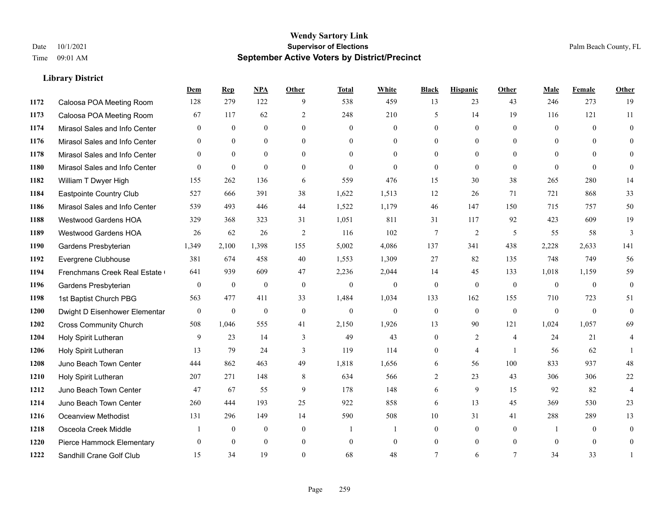|      |                               | Dem              | <b>Rep</b>       | NPA              | <b>Other</b>   | <b>Total</b> | <b>White</b>     | <b>Black</b>     | <b>Hispanic</b> | <b>Other</b>   | <b>Male</b>    | <b>Female</b>  | <b>Other</b>     |
|------|-------------------------------|------------------|------------------|------------------|----------------|--------------|------------------|------------------|-----------------|----------------|----------------|----------------|------------------|
| 1172 | Caloosa POA Meeting Room      | 128              | 279              | 122              | 9              | 538          | 459              | 13               | 23              | 43             | 246            | 273            | 19               |
| 1173 | Caloosa POA Meeting Room      | 67               | 117              | 62               | $\overline{2}$ | 248          | 210              | 5                | 14              | 19             | 116            | 121            | 11               |
| 1174 | Mirasol Sales and Info Center | $\theta$         | $\mathbf{0}$     | $\theta$         | $\Omega$       | $\Omega$     | $\overline{0}$   | $\theta$         | $\theta$        | $\Omega$       | $\theta$       | $\theta$       | $\theta$         |
| 1176 | Mirasol Sales and Info Center | $\mathbf{0}$     | $\mathbf{0}$     | $\boldsymbol{0}$ | $\overline{0}$ | $\mathbf{0}$ | $\boldsymbol{0}$ | $\overline{0}$   | $\mathbf{0}$    | $\overline{0}$ | $\mathbf{0}$   | $\mathbf{0}$   | $\mathbf{0}$     |
| 1178 | Mirasol Sales and Info Center | $\theta$         | $\theta$         | $\mathbf{0}$     | $\theta$       | $\theta$     | $\overline{0}$   | $\mathbf{0}$     | $\theta$        | $\theta$       | $\theta$       | $\Omega$       | $\theta$         |
| 1180 | Mirasol Sales and Info Center | $\mathbf{0}$     | $\mathbf{0}$     | $\mathbf{0}$     | $\theta$       | $\Omega$     | $\theta$         | $\mathbf{0}$     | $\theta$        | $\theta$       | $\theta$       | $\theta$       | $\mathbf{0}$     |
| 1182 | William T Dwyer High          | 155              | 262              | 136              | 6              | 559          | 476              | 15               | 30              | 38             | 265            | 280            | 14               |
| 1184 | Eastpointe Country Club       | 527              | 666              | 391              | 38             | 1,622        | 1,513            | 12               | 26              | 71             | 721            | 868            | 33               |
| 1186 | Mirasol Sales and Info Center | 539              | 493              | 446              | 44             | 1,522        | 1,179            | 46               | 147             | 150            | 715            | 757            | 50               |
| 1188 | <b>Westwood Gardens HOA</b>   | 329              | 368              | 323              | 31             | 1,051        | 811              | 31               | 117             | 92             | 423            | 609            | 19               |
| 1189 | Westwood Gardens HOA          | 26               | 62               | 26               | 2              | 116          | 102              | 7                | 2               | 5              | 55             | 58             | 3                |
| 1190 | Gardens Presbyterian          | 1,349            | 2,100            | 1,398            | 155            | 5,002        | 4,086            | 137              | 341             | 438            | 2,228          | 2,633          | 141              |
| 1192 | Evergrene Clubhouse           | 381              | 674              | 458              | 40             | 1,553        | 1,309            | 27               | 82              | 135            | 748            | 749            | 56               |
| 1194 | Frenchmans Creek Real Estate  | 641              | 939              | 609              | 47             | 2,236        | 2,044            | 14               | 45              | 133            | 1,018          | 1,159          | 59               |
| 1196 | Gardens Presbyterian          | $\boldsymbol{0}$ | $\boldsymbol{0}$ | $\mathbf{0}$     | $\mathbf{0}$   | $\theta$     | $\boldsymbol{0}$ | $\boldsymbol{0}$ | $\mathbf{0}$    | $\mathbf{0}$   | $\overline{0}$ | $\theta$       | $\boldsymbol{0}$ |
| 1198 | 1st Baptist Church PBG        | 563              | 477              | 411              | 33             | 1,484        | 1,034            | 133              | 162             | 155            | 710            | 723            | 51               |
| 1200 | Dwight D Eisenhower Elementar | $\mathbf{0}$     | $\mathbf{0}$     | $\mathbf{0}$     | $\theta$       | $\mathbf{0}$ | $\overline{0}$   | $\mathbf{0}$     | $\theta$        | $\theta$       | $\theta$       | $\theta$       | $\mathbf{0}$     |
| 1202 | <b>Cross Community Church</b> | 508              | 1,046            | 555              | 41             | 2,150        | 1,926            | 13               | 90              | 121            | 1,024          | 1,057          | 69               |
| 1204 | Holy Spirit Lutheran          | 9                | 23               | 14               | 3              | 49           | 43               | $\mathbf{0}$     | 2               | $\overline{4}$ | 24             | 21             | 4                |
| 1206 | Holy Spirit Lutheran          | 13               | 79               | 24               | 3              | 119          | 114              | $\mathbf{0}$     | $\overline{4}$  | $\overline{1}$ | 56             | 62             | $\mathbf{1}$     |
| 1208 | Juno Beach Town Center        | 444              | 862              | 463              | 49             | 1,818        | 1,656            | 6                | 56              | 100            | 833            | 937            | 48               |
| 1210 | Holy Spirit Lutheran          | 207              | 271              | 148              | 8              | 634          | 566              | $\overline{c}$   | 23              | 43             | 306            | 306            | 22               |
| 1212 | Juno Beach Town Center        | 47               | 67               | 55               | 9              | 178          | 148              | 6                | 9               | 15             | 92             | 82             | $\overline{4}$   |
| 1214 | Juno Beach Town Center        | 260              | 444              | 193              | 25             | 922          | 858              | 6                | 13              | 45             | 369            | 530            | 23               |
| 1216 | Oceanview Methodist           | 131              | 296              | 149              | 14             | 590          | 508              | $10\,$           | 31              | 41             | 288            | 289            | 13               |
| 1218 | Osceola Creek Middle          |                  | $\mathbf{0}$     | $\mathbf{0}$     | $\overline{0}$ |              | $\mathbf{1}$     | $\mathbf{0}$     | $\mathbf{0}$    | $\theta$       |                | $\theta$       | $\mathbf{0}$     |
| 1220 | Pierce Hammock Elementary     | $\theta$         | $\theta$         | $\theta$         | $\theta$       | $\mathbf{0}$ | $\overline{0}$   | $\overline{0}$   | $\mathbf{0}$    | $\theta$       | $\theta$       | $\overline{0}$ | $\overline{0}$   |
| 1222 | Sandhill Crane Golf Club      | 15               | 34               | 19               | $\Omega$       | 68           | 48               | $\tau$           | 6               | $\overline{7}$ | 34             | 33             |                  |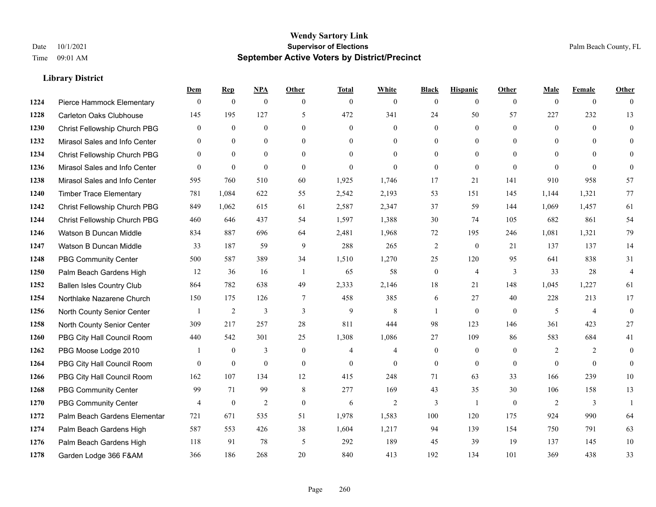#### **Wendy Sartory Link** Date 10/1/2021 **Supervisor of Elections** Palm Beach County, FL Time 09:01 AM **September Active Voters by District/Precinct**

Pierce Hammock Elementary 0 0 0 0 0 0 0 0 0 0 0 0

**Dem Rep NPA Other Total White Black Hispanic Other Male Female Other**

# Carleton Oaks Clubhouse 145 195 127 5 472 341 24 50 57 227 232 13 Christ Fellowship Church PBG 0 0 0 0 0 0 0 0 0 0 0 0 Mirasol Sales and Info Center 0 0 0 0 0 0 0 0 0 0 0 0 Christ Fellowship Church PBG 0 0 0 0 0 0 0 0 0 0 0 0 Mirasol Sales and Info Center 0 0 0 0 0 0 0 0 0 0 0 0 Mirasol Sales and Info Center 595 760 510 60 1,925 1,746 17 21 141 910 958 57 Timber Trace Elementary 781 1,084 622 55 2,542 2,193 53 151 145 1,144 1,321 77 Christ Fellowship Church PBG 849 1,062 615 61 2,587 2,347 37 59 144 1,069 1,457 61 Christ Fellowship Church PBG 460 646 437 54 1,597 1,388 30 74 105 682 861 54 Watson B Duncan Middle 834 887 696 64 2,481 1,968 72 195 246 1,081 1,321 79 Watson B Duncan Middle 33 187 59 9 288 265 2 0 21 137 137 14 PBG Community Center 500 587 389 34 1,510 1,270 25 120 95 641 838 31 Palm Beach Gardens High 12 36 16 1 65 58 0 4 3 33 28 4 Ballen Isles Country Club 864 782 638 49 2,333 2,146 18 21 148 1,045 1,227 61 Northlake Nazarene Church 150 175 126 7 458 385 6 27 40 228 213 17 North County Senior Center 1 2 3 3 3 9 8 1 0 0 5 4 0 North County Senior Center 309 217 257 28 811 444 98 123 146 361 423 27 PBG City Hall Council Room 440 542 301 25 1,308 1,086 27 109 86 583 684 41 PBG Moose Lodge 2010 1 0 3 0 4 4 0 0 0 2 2 0 PBG City Hall Council Room 0 0 0 0 0 0 0 0 0 0 0 0 PBG City Hall Council Room 162 107 134 12 415 248 71 63 33 166 239 10 PBG Community Center 99 71 99 8 277 169 43 35 30 106 158 13 PBG Community Center  $\begin{array}{ccccccccccccc}\n4 & 0 & 2 & 0 & 6 & 2 & 3 & 1 & 0 & 2 & 3 & 1\n\end{array}$

 Palm Beach Gardens Elementary 721 671 535 51 1,978 1,583 100 120 175 924 990 64 Palm Beach Gardens High 587 553 426 38 1,604 1,217 94 139 154 750 791 63 Palm Beach Gardens High 118 91 78 5 292 189 45 39 19 137 145 10 Garden Lodge 366 F&AM 366 186 268 20 840 413 192 134 101 369 438 33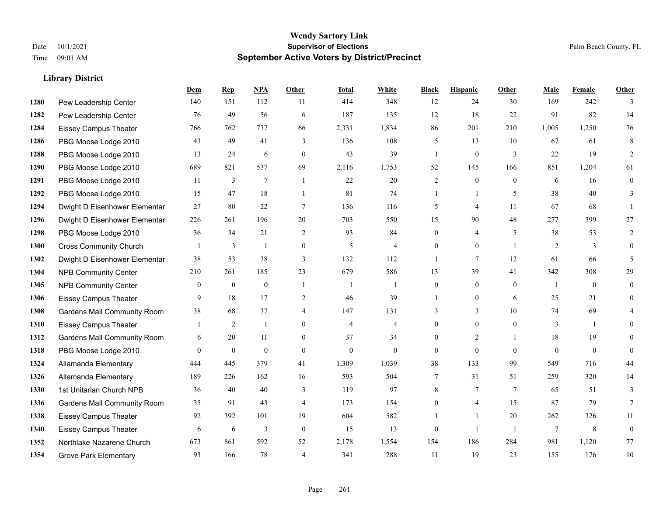#### **Wendy Sartory Link** Date 10/1/2021 **Supervisor of Elections** Palm Beach County, FL Time 09:01 AM **September Active Voters by District/Precinct**

# **Dem Rep NPA Other Total White Black Hispanic Other Male Female Other** Pew Leadership Center 140 151 112 11 414 348 12 24 30 169 242 3 Pew Leadership Center 76 49 56 6 187 135 12 18 22 91 82 14 Eissey Campus Theater 766 762 737 66 2,331 1,834 86 201 210 1,005 1,250 76 PBG Moose Lodge 2010 43 49 41 3 136 108 5 13 10 67 61 8 PBG Moose Lodge 2010 13 24 6 0 43 39 1 0 3 22 19 2 PBG Moose Lodge 2010 689 821 537 69 2,116 1,753 52 145 166 851 1,204 61 PBG Moose Lodge 2010 11 3 7 1 22 20 2 0 0 6 16 0 PBG Moose Lodge 2010 15 47 18 1 81 74 1 1 5 38 40 3 Dwight D Eisenhower Elementar 27 80 22 7 136 116 5 4 11 67 68 1 Dwight D Eisenhower Elementary 226 261 196 20 703 550 15 90 48 277 399 27 PBG Moose Lodge 2010 36 34 21 2 93 84 0 4 5 38 53 2 Cross Community Church 1 3 1 0 5 4 0 0 1 2 3 0 Dwight D Eisenhower Elementar 38 53 38 3 132 112 1 7 12 61 66 5 NPB Community Center 210 261 185 23 679 586 13 39 41 342 308 29 NPB Community Center 0 0 0 1 1 1 0 0 0 1 0 0 Eissey Campus Theater **9** 18 17 2 46 39 1 0 6 25 21 0 Gardens Mall Community Room 38 68 37 4 147 131 3 3 3 10 74 69 4 Eissey Campus Theater 1 2 1 0 4 4 0 0 0 3 1 0 **1312 Gardens Mall Community Room** 6 20 11 0 37 34 0 2 1 18 19 0 PBG Moose Lodge 2010 0 0 0 0 0 0 0 0 0 0 0 0 Allamanda Elementary 444 445 379 41 1,309 1,039 38 133 99 549 716 44 Allamanda Elementary 189 226 162 16 593 504 7 31 51 259 320 14 1st Unitarian Church NPB 36 40 40 3 119 97 8 7 7 65 51 3 Gardens Mall Community Room 35 91 43 4 173 154 0 4 15 87 79 7 Eissey Campus Theater 92 392 101 19 604 582 1 1 20 267 326 11 Eissey Campus Theater 6 6 6 3 0 15 13 0 1 1 7 8 0 Northlake Nazarene Church 673 861 592 52 2,178 1,554 154 186 284 981 1,120 77 **1354 Grove Park Elementary 023 166 78 4 341 288 11 19 23 155 176 10**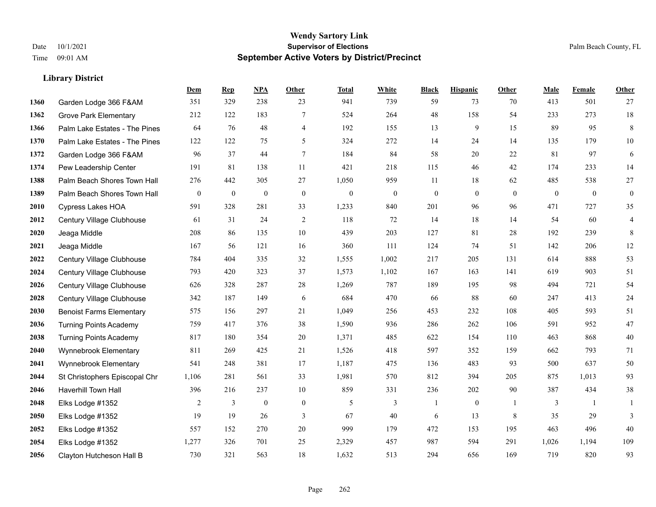## **Wendy Sartory Link** Date 10/1/2021 **Supervisor of Elections** Palm Beach County, FL Time 09:01 AM **September Active Voters by District/Precinct**

|      |                                 | Dem          | <b>Rep</b>   | NPA          | Other            | <b>Total</b>     | White            | <b>Black</b>     | <b>Hispanic</b> | <b>Other</b>   | Male         | Female         | Other            |
|------|---------------------------------|--------------|--------------|--------------|------------------|------------------|------------------|------------------|-----------------|----------------|--------------|----------------|------------------|
| 1360 | Garden Lodge 366 F&AM           | 351          | 329          | 238          | 23               | 941              | 739              | 59               | 73              | 70             | 413          | 501            | 27               |
| 1362 | <b>Grove Park Elementary</b>    | 212          | 122          | 183          | 7                | 524              | 264              | 48               | 158             | 54             | 233          | 273            | 18               |
| 1366 | Palm Lake Estates - The Pines   | 64           | 76           | 48           | $\overline{4}$   | 192              | 155              | 13               | 9               | 15             | 89           | 95             | $\,8\,$          |
| 1370 | Palm Lake Estates - The Pines   | 122          | 122          | 75           | 5                | 324              | 272              | 14               | 24              | 14             | 135          | 179            | 10               |
| 1372 | Garden Lodge 366 F&AM           | 96           | 37           | 44           | $\overline{7}$   | 184              | 84               | 58               | 20              | 22             | 81           | 97             | 6                |
| 1374 | Pew Leadership Center           | 191          | 81           | 138          | 11               | 421              | 218              | 115              | 46              | 42             | 174          | 233            | 14               |
| 1388 | Palm Beach Shores Town Hall     | 276          | 442          | 305          | 27               | 1,050            | 959              | 11               | 18              | 62             | 485          | 538            | $27\,$           |
| 1389 | Palm Beach Shores Town Hall     | $\mathbf{0}$ | $\mathbf{0}$ | $\mathbf{0}$ | $\boldsymbol{0}$ | $\boldsymbol{0}$ | $\boldsymbol{0}$ | $\boldsymbol{0}$ | $\mathbf{0}$    | $\overline{0}$ | $\mathbf{0}$ | $\mathbf{0}$   | $\boldsymbol{0}$ |
| 2010 | <b>Cypress Lakes HOA</b>        | 591          | 328          | 281          | 33               | 1,233            | 840              | 201              | 96              | 96             | 471          | 727            | 35               |
| 2012 | Century Village Clubhouse       | 61           | 31           | 24           | 2                | 118              | 72               | 14               | 18              | 14             | 54           | 60             | $\overline{4}$   |
| 2020 | Jeaga Middle                    | 208          | 86           | 135          | 10               | 439              | 203              | 127              | 81              | 28             | 192          | 239            | 8                |
| 2021 | Jeaga Middle                    | 167          | 56           | 121          | 16               | 360              | 111              | 124              | 74              | 51             | 142          | 206            | 12               |
| 2022 | Century Village Clubhouse       | 784          | 404          | 335          | 32               | 1,555            | 1,002            | 217              | 205             | 131            | 614          | 888            | 53               |
| 2024 | Century Village Clubhouse       | 793          | 420          | 323          | 37               | 1,573            | 1,102            | 167              | 163             | 141            | 619          | 903            | 51               |
| 2026 | Century Village Clubhouse       | 626          | 328          | 287          | 28               | 1,269            | 787              | 189              | 195             | 98             | 494          | 721            | 54               |
| 2028 | Century Village Clubhouse       | 342          | 187          | 149          | 6                | 684              | 470              | 66               | 88              | 60             | 247          | 413            | 24               |
| 2030 | <b>Benoist Farms Elementary</b> | 575          | 156          | 297          | 21               | 1,049            | 256              | 453              | 232             | 108            | 405          | 593            | 51               |
| 2036 | <b>Turning Points Academy</b>   | 759          | 417          | 376          | 38               | 1,590            | 936              | 286              | 262             | 106            | 591          | 952            | 47               |
| 2038 | <b>Turning Points Academy</b>   | 817          | 180          | 354          | 20               | 1,371            | 485              | 622              | 154             | 110            | 463          | 868            | $40\,$           |
| 2040 | Wynnebrook Elementary           | 811          | 269          | 425          | 21               | 1,526            | 418              | 597              | 352             | 159            | 662          | 793            | 71               |
| 2041 | Wynnebrook Elementary           | 541          | 248          | 381          | 17               | 1,187            | 475              | 136              | 483             | 93             | 500          | 637            | $50\,$           |
| 2044 | St Christophers Episcopal Chr   | 1,106        | 281          | 561          | 33               | 1,981            | 570              | 812              | 394             | 205            | 875          | 1,013          | 93               |
| 2046 | <b>Haverhill Town Hall</b>      | 396          | 216          | 237          | 10               | 859              | 331              | 236              | 202             | 90             | 387          | 434            | $38\,$           |
| 2048 | Elks Lodge #1352                | 2            | 3            | $\mathbf{0}$ | $\mathbf{0}$     | 5                | 3                | $\mathbf{1}$     | $\mathbf{0}$    |                | 3            | $\overline{1}$ |                  |
| 2050 | Elks Lodge #1352                | 19           | 19           | 26           | 3                | 67               | 40               | 6                | 13              | 8              | 35           | 29             | 3                |
| 2052 | Elks Lodge #1352                | 557          | 152          | 270          | 20               | 999              | 179              | 472              | 153             | 195            | 463          | 496            | 40               |
| 2054 | Elks Lodge #1352                | 1,277        | 326          | 701          | 25               | 2,329            | 457              | 987              | 594             | 291            | 1,026        | 1,194          | 109              |
| 2056 | Clayton Hutcheson Hall B        | 730          | 321          | 563          | 18               | 1,632            | 513              | 294              | 656             | 169            | 719          | 820            | 93               |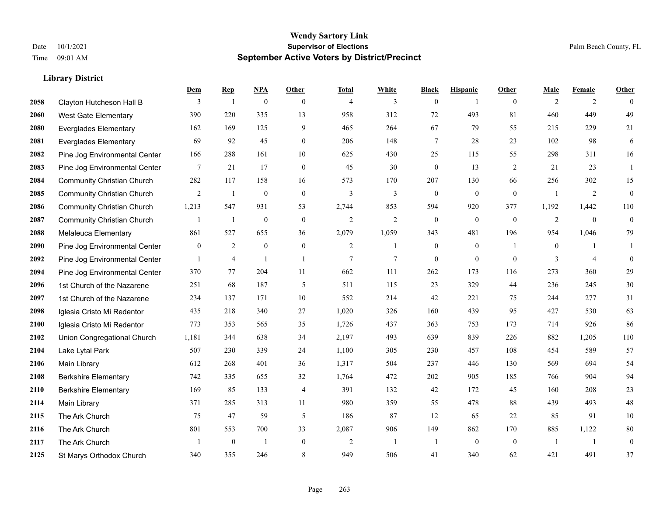|      |                                   | Dem          | <b>Rep</b>       | NPA              | <b>Other</b>   | <b>Total</b>   | <b>White</b> | <b>Black</b>     | <b>Hispanic</b>  | <b>Other</b>   | <b>Male</b>    | <b>Female</b>  | <b>Other</b>     |
|------|-----------------------------------|--------------|------------------|------------------|----------------|----------------|--------------|------------------|------------------|----------------|----------------|----------------|------------------|
| 2058 | Clayton Hutcheson Hall B          | 3            | 1                | $\boldsymbol{0}$ | $\mathbf{0}$   | $\overline{4}$ | 3            | $\boldsymbol{0}$ | 1                | $\overline{0}$ | 2              | 2              | $\theta$         |
| 2060 | <b>West Gate Elementary</b>       | 390          | 220              | 335              | 13             | 958            | 312          | 72               | 493              | 81             | 460            | 449            | 49               |
| 2080 | <b>Everglades Elementary</b>      | 162          | 169              | 125              | 9              | 465            | 264          | 67               | 79               | 55             | 215            | 229            | 21               |
| 2081 | <b>Everglades Elementary</b>      | 69           | 92               | 45               | $\mathbf{0}$   | 206            | 148          | 7                | 28               | 23             | 102            | 98             | 6                |
| 2082 | Pine Jog Environmental Center     | 166          | 288              | 161              | 10             | 625            | 430          | 25               | 115              | 55             | 298            | 311            | 16               |
| 2083 | Pine Jog Environmental Center     | 7            | 21               | 17               | $\mathbf{0}$   | 45             | 30           | $\boldsymbol{0}$ | 13               | 2              | 21             | 23             | $\mathbf{1}$     |
| 2084 | <b>Community Christian Church</b> | 282          | 117              | 158              | 16             | 573            | 170          | 207              | 130              | 66             | 256            | 302            | 15               |
| 2085 | <b>Community Christian Church</b> | 2            | $\mathbf{1}$     | $\mathbf{0}$     | $\theta$       | 3              | 3            | $\mathbf{0}$     | $\mathbf{0}$     | $\theta$       | $\mathbf{1}$   | 2              | $\boldsymbol{0}$ |
| 2086 | <b>Community Christian Church</b> | 1,213        | 547              | 931              | 53             | 2,744          | 853          | 594              | 920              | 377            | 1,192          | 1,442          | 110              |
| 2087 | <b>Community Christian Church</b> |              | $\mathbf{1}$     | $\boldsymbol{0}$ | $\mathbf{0}$   | $\overline{2}$ | 2            | $\boldsymbol{0}$ | $\boldsymbol{0}$ | $\overline{0}$ | $\overline{2}$ | $\mathbf{0}$   | $\boldsymbol{0}$ |
| 2088 | Melaleuca Elementary              | 861          | 527              | 655              | 36             | 2,079          | 1,059        | 343              | 481              | 196            | 954            | 1,046          | 79               |
| 2090 | Pine Jog Environmental Center     | $\mathbf{0}$ | 2                | $\mathbf{0}$     | $\mathbf{0}$   | 2              | $\mathbf{1}$ | $\boldsymbol{0}$ | $\mathbf{0}$     | $\overline{1}$ | $\overline{0}$ | 1              | 1                |
| 2092 | Pine Jog Environmental Center     | $\mathbf{1}$ | $\overline{4}$   | $\overline{1}$   | $\overline{1}$ | 7              | $\tau$       | $\mathbf{0}$     | $\mathbf{0}$     | $\theta$       | 3              | $\overline{4}$ | $\mathbf{0}$     |
| 2094 | Pine Jog Environmental Center     | 370          | 77               | 204              | 11             | 662            | 111          | 262              | 173              | 116            | 273            | 360            | 29               |
| 2096 | 1st Church of the Nazarene        | 251          | 68               | 187              | 5              | 511            | 115          | 23               | 329              | 44             | 236            | 245            | $30\,$           |
| 2097 | 1st Church of the Nazarene        | 234          | 137              | 171              | 10             | 552            | 214          | 42               | 221              | 75             | 244            | 277            | 31               |
| 2098 | Iglesia Cristo Mi Redentor        | 435          | 218              | 340              | 27             | 1,020          | 326          | 160              | 439              | 95             | 427            | 530            | 63               |
| 2100 | Iglesia Cristo Mi Redentor        | 773          | 353              | 565              | 35             | 1,726          | 437          | 363              | 753              | 173            | 714            | 926            | 86               |
| 2102 | Union Congregational Church       | 1,181        | 344              | 638              | 34             | 2,197          | 493          | 639              | 839              | 226            | 882            | 1,205          | $110\,$          |
| 2104 | Lake Lytal Park                   | 507          | 230              | 339              | 24             | 1,100          | 305          | 230              | 457              | 108            | 454            | 589            | 57               |
| 2106 | Main Library                      | 612          | 268              | 401              | 36             | 1,317          | 504          | 237              | 446              | 130            | 569            | 694            | 54               |
| 2108 | <b>Berkshire Elementary</b>       | 742          | 335              | 655              | 32             | 1,764          | 472          | 202              | 905              | 185            | 766            | 904            | 94               |
| 2110 | <b>Berkshire Elementary</b>       | 169          | 85               | 133              | $\overline{4}$ | 391            | 132          | 42               | 172              | 45             | 160            | 208            | $23\,$           |
| 2114 | Main Library                      | 371          | 285              | 313              | 11             | 980            | 359          | 55               | 478              | 88             | 439            | 493            | $48\,$           |
| 2115 | The Ark Church                    | 75           | 47               | 59               | 5              | 186            | 87           | 12               | 65               | 22             | 85             | 91             | $10\,$           |
| 2116 | The Ark Church                    | 801          | 553              | 700              | 33             | 2,087          | 906          | 149              | 862              | 170            | 885            | 1,122          | $80\,$           |
| 2117 | The Ark Church                    | $\mathbf{1}$ | $\boldsymbol{0}$ | $\overline{1}$   | $\overline{0}$ | $\overline{2}$ | $\mathbf{1}$ | 1                | $\mathbf{0}$     | $\overline{0}$ | $\overline{1}$ | 1              | $\boldsymbol{0}$ |
| 2125 | St Marys Orthodox Church          | 340          | 355              | 246              | 8              | 949            | 506          | 41               | 340              | 62             | 421            | 491            | 37               |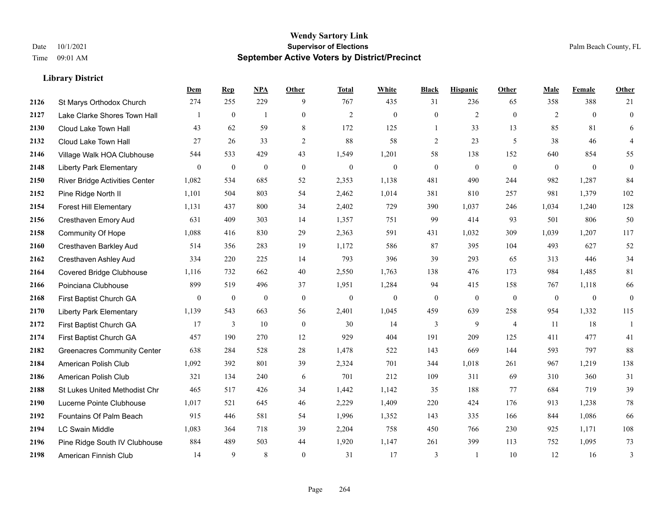|      |                                       | Dem              | <b>Rep</b>       | NPA              | <b>Other</b>   | <b>Total</b>     | <b>White</b>     | <b>Black</b>     | <b>Hispanic</b>  | <b>Other</b>   | <b>Male</b>  | Female       | <b>Other</b>     |
|------|---------------------------------------|------------------|------------------|------------------|----------------|------------------|------------------|------------------|------------------|----------------|--------------|--------------|------------------|
| 2126 | St Marys Orthodox Church              | 274              | 255              | 229              | 9              | 767              | 435              | 31               | 236              | 65             | 358          | 388          | 21               |
| 2127 | Lake Clarke Shores Town Hall          |                  | $\mathbf{0}$     | $\overline{1}$   | $\overline{0}$ | $\mathbf{2}$     | $\mathbf{0}$     | $\mathbf{0}$     | $\overline{2}$   | $\theta$       | 2            | $\theta$     | $\mathbf{0}$     |
| 2130 | Cloud Lake Town Hall                  | 43               | 62               | 59               | 8              | 172              | 125              | $\mathbf{1}$     | 33               | 13             | 85           | 81           | 6                |
| 2132 | Cloud Lake Town Hall                  | 27               | 26               | 33               | $\overline{c}$ | 88               | 58               | $\overline{c}$   | 23               | 5              | 38           | 46           | $\overline{4}$   |
| 2146 | Village Walk HOA Clubhouse            | 544              | 533              | 429              | 43             | 1,549            | 1,201            | 58               | 138              | 152            | 640          | 854          | 55               |
| 2148 | <b>Liberty Park Elementary</b>        | $\overline{0}$   | $\boldsymbol{0}$ | $\boldsymbol{0}$ | $\mathbf{0}$   | $\boldsymbol{0}$ | $\boldsymbol{0}$ | $\boldsymbol{0}$ | $\boldsymbol{0}$ | $\mathbf{0}$   | $\mathbf{0}$ | $\mathbf{0}$ | $\boldsymbol{0}$ |
| 2150 | <b>River Bridge Activities Center</b> | 1,082            | 534              | 685              | 52             | 2,353            | 1,138            | 481              | 490              | 244            | 982          | 1,287        | 84               |
| 2152 | Pine Ridge North II                   | 1,101            | 504              | 803              | 54             | 2,462            | 1,014            | 381              | 810              | 257            | 981          | 1,379        | 102              |
| 2154 | <b>Forest Hill Elementary</b>         | 1,131            | 437              | 800              | 34             | 2,402            | 729              | 390              | 1,037            | 246            | 1,034        | 1,240        | 128              |
| 2156 | Cresthaven Emory Aud                  | 631              | 409              | 303              | 14             | 1,357            | 751              | 99               | 414              | 93             | 501          | 806          | 50               |
| 2158 | <b>Community Of Hope</b>              | 1,088            | 416              | 830              | 29             | 2,363            | 591              | 431              | 1,032            | 309            | 1,039        | 1,207        | 117              |
| 2160 | Cresthaven Barkley Aud                | 514              | 356              | 283              | 19             | 1,172            | 586              | 87               | 395              | 104            | 493          | 627          | 52               |
| 2162 | Cresthaven Ashley Aud                 | 334              | 220              | 225              | 14             | 793              | 396              | 39               | 293              | 65             | 313          | 446          | 34               |
| 2164 | <b>Covered Bridge Clubhouse</b>       | 1,116            | 732              | 662              | 40             | 2,550            | 1,763            | 138              | 476              | 173            | 984          | 1,485        | 81               |
| 2166 | Poinciana Clubhouse                   | 899              | 519              | 496              | 37             | 1,951            | 1,284            | 94               | 415              | 158            | 767          | 1,118        | 66               |
| 2168 | First Baptist Church GA               | $\boldsymbol{0}$ | $\boldsymbol{0}$ | $\boldsymbol{0}$ | $\mathbf{0}$   | $\mathbf{0}$     | $\mathbf{0}$     | $\boldsymbol{0}$ | $\boldsymbol{0}$ | $\overline{0}$ | $\mathbf{0}$ | $\mathbf{0}$ | $\boldsymbol{0}$ |
| 2170 | <b>Liberty Park Elementary</b>        | 1,139            | 543              | 663              | 56             | 2,401            | 1,045            | 459              | 639              | 258            | 954          | 1,332        | 115              |
| 2172 | First Baptist Church GA               | 17               | 3                | 10               | $\mathbf{0}$   | 30               | 14               | 3                | 9                | $\overline{4}$ | 11           | 18           | $\mathbf{1}$     |
| 2174 | First Baptist Church GA               | 457              | 190              | 270              | 12             | 929              | 404              | 191              | 209              | 125            | 411          | 477          | 41               |
| 2182 | <b>Greenacres Community Center</b>    | 638              | 284              | 528              | 28             | 1,478            | 522              | 143              | 669              | 144            | 593          | 797          | 88               |
| 2184 | American Polish Club                  | 1,092            | 392              | 801              | 39             | 2,324            | 701              | 344              | 1,018            | 261            | 967          | 1,219        | 138              |
| 2186 | American Polish Club                  | 321              | 134              | 240              | 6              | 701              | 212              | 109              | 311              | 69             | 310          | 360          | 31               |
| 2188 | St Lukes United Methodist Chr         | 465              | 517              | 426              | 34             | 1,442            | 1,142            | 35               | 188              | 77             | 684          | 719          | 39               |
| 2190 | Lucerne Pointe Clubhouse              | 1,017            | 521              | 645              | 46             | 2,229            | 1,409            | 220              | 424              | 176            | 913          | 1,238        | $78\,$           |
| 2192 | Fountains Of Palm Beach               | 915              | 446              | 581              | 54             | 1,996            | 1,352            | 143              | 335              | 166            | 844          | 1,086        | 66               |
| 2194 | <b>LC Swain Middle</b>                | 1,083            | 364              | 718              | 39             | 2,204            | 758              | 450              | 766              | 230            | 925          | 1,171        | 108              |
| 2196 | Pine Ridge South IV Clubhouse         | 884              | 489              | 503              | 44             | 1,920            | 1,147            | 261              | 399              | 113            | 752          | 1,095        | 73               |
| 2198 | American Finnish Club                 | 14               | 9                | 8                | $\theta$       | 31               | 17               | 3                | 1                | 10             | 12           | 16           | $\mathfrak{Z}$   |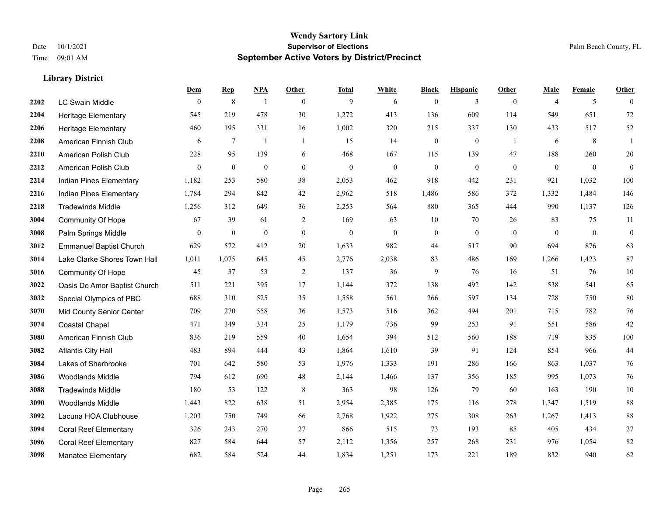|      |                                | Dem          | <b>Rep</b>       | NPA              | <b>Other</b>   | <b>Total</b>     | <b>White</b> | <b>Black</b>     | <b>Hispanic</b>  | <b>Other</b>   | <b>Male</b>      | <b>Female</b> | <b>Other</b>     |
|------|--------------------------------|--------------|------------------|------------------|----------------|------------------|--------------|------------------|------------------|----------------|------------------|---------------|------------------|
| 2202 | <b>LC Swain Middle</b>         | $\mathbf{0}$ | $\,$ 8 $\,$      | $\overline{1}$   | $\theta$       | 9                | 6            | $\mathbf{0}$     | 3                | $\overline{0}$ | $\overline{4}$   | 5             | $\theta$         |
| 2204 | <b>Heritage Elementary</b>     | 545          | 219              | 478              | 30             | 1,272            | 413          | 136              | 609              | 114            | 549              | 651           | 72               |
| 2206 | <b>Heritage Elementary</b>     | 460          | 195              | 331              | 16             | 1,002            | 320          | 215              | 337              | 130            | 433              | 517           | $52\,$           |
| 2208 | American Finnish Club          | 6            | $7\phantom{.0}$  | -1               | $\overline{1}$ | 15               | 14           | $\boldsymbol{0}$ | $\boldsymbol{0}$ | -1             | 6                | 8             | 1                |
| 2210 | American Polish Club           | 228          | 95               | 139              | 6              | 468              | 167          | 115              | 139              | 47             | 188              | 260           | $20\,$           |
| 2212 | American Polish Club           | $\mathbf{0}$ | $\boldsymbol{0}$ | $\boldsymbol{0}$ | $\mathbf{0}$   | $\boldsymbol{0}$ | $\mathbf{0}$ | $\boldsymbol{0}$ | $\boldsymbol{0}$ | $\mathbf{0}$   | $\boldsymbol{0}$ | $\mathbf{0}$  | $\boldsymbol{0}$ |
| 2214 | Indian Pines Elementary        | 1,182        | 253              | 580              | 38             | 2,053            | 462          | 918              | 442              | 231            | 921              | 1,032         | 100              |
| 2216 | Indian Pines Elementary        | 1,784        | 294              | 842              | 42             | 2,962            | 518          | 1,486            | 586              | 372            | 1,332            | 1,484         | 146              |
| 2218 | <b>Tradewinds Middle</b>       | 1,256        | 312              | 649              | 36             | 2,253            | 564          | 880              | 365              | 444            | 990              | 1,137         | 126              |
| 3004 | <b>Community Of Hope</b>       | 67           | 39               | 61               | 2              | 169              | 63           | 10               | 70               | 26             | 83               | 75            | 11               |
| 3008 | Palm Springs Middle            | $\theta$     | $\mathbf{0}$     | $\mathbf{0}$     | $\theta$       | $\overline{0}$   | $\mathbf{0}$ | $\mathbf{0}$     | $\mathbf{0}$     | $\theta$       | $\theta$         | $\theta$      | $\boldsymbol{0}$ |
| 3012 | <b>Emmanuel Baptist Church</b> | 629          | 572              | 412              | 20             | 1,633            | 982          | 44               | 517              | 90             | 694              | 876           | 63               |
| 3014 | Lake Clarke Shores Town Hall   | 1,011        | 1,075            | 645              | 45             | 2,776            | 2,038        | 83               | 486              | 169            | 1,266            | 1,423         | 87               |
| 3016 | Community Of Hope              | 45           | 37               | 53               | $\sqrt{2}$     | 137              | 36           | $\mathbf{9}$     | 76               | 16             | 51               | 76            | $10\,$           |
| 3022 | Oasis De Amor Baptist Church   | 511          | 221              | 395              | 17             | 1,144            | 372          | 138              | 492              | 142            | 538              | 541           | 65               |
| 3032 | Special Olympics of PBC        | 688          | 310              | 525              | 35             | 1,558            | 561          | 266              | 597              | 134            | 728              | 750           | 80               |
| 3070 | Mid County Senior Center       | 709          | 270              | 558              | 36             | 1,573            | 516          | 362              | 494              | 201            | 715              | 782           | $76\,$           |
| 3074 | <b>Coastal Chapel</b>          | 471          | 349              | 334              | 25             | 1,179            | 736          | 99               | 253              | 91             | 551              | 586           | 42               |
| 3080 | American Finnish Club          | 836          | 219              | 559              | 40             | 1,654            | 394          | 512              | 560              | 188            | 719              | 835           | 100              |
| 3082 | <b>Atlantis City Hall</b>      | 483          | 894              | 444              | 43             | 1,864            | 1,610        | 39               | 91               | 124            | 854              | 966           | $44\,$           |
| 3084 | Lakes of Sherbrooke            | 701          | 642              | 580              | 53             | 1,976            | 1,333        | 191              | 286              | 166            | 863              | 1,037         | 76               |
| 3086 | <b>Woodlands Middle</b>        | 794          | 612              | 690              | 48             | 2,144            | 1,466        | 137              | 356              | 185            | 995              | 1,073         | 76               |
| 3088 | <b>Tradewinds Middle</b>       | 180          | 53               | 122              | 8              | 363              | 98           | 126              | 79               | 60             | 163              | 190           | $10\,$           |
| 3090 | <b>Woodlands Middle</b>        | 1,443        | 822              | 638              | 51             | 2,954            | 2,385        | 175              | 116              | 278            | 1,347            | 1,519         | $88\,$           |
| 3092 | Lacuna HOA Clubhouse           | 1,203        | 750              | 749              | 66             | 2,768            | 1,922        | 275              | 308              | 263            | 1,267            | 1,413         | $88\,$           |
| 3094 | <b>Coral Reef Elementary</b>   | 326          | 243              | 270              | 27             | 866              | 515          | 73               | 193              | 85             | 405              | 434           | $27\,$           |
| 3096 | <b>Coral Reef Elementary</b>   | 827          | 584              | 644              | 57             | 2,112            | 1,356        | 257              | 268              | 231            | 976              | 1,054         | 82               |
| 3098 | <b>Manatee Elementary</b>      | 682          | 584              | 524              | 44             | 1,834            | 1,251        | 173              | 221              | 189            | 832              | 940           | 62               |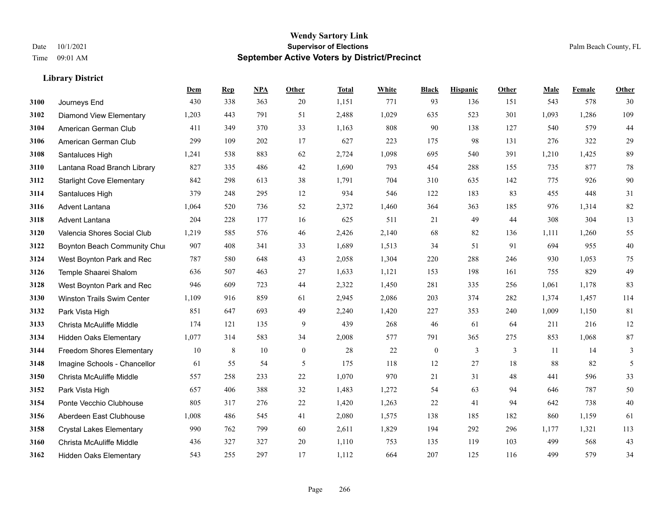## **Wendy Sartory Link** Date 10/1/2021 **Supervisor of Elections Supervisor of Elections** Palm Beach County, FL Time 09:01 AM **September Active Voters by District/Precinct**

|      |                                  | Dem   | <b>Rep</b> | <b>NPA</b> | <b>Other</b> | <b>Total</b> | White | <b>Black</b>     | <b>Hispanic</b> | Other | Male  | Female | Other  |
|------|----------------------------------|-------|------------|------------|--------------|--------------|-------|------------------|-----------------|-------|-------|--------|--------|
| 3100 | Journeys End                     | 430   | 338        | 363        | 20           | 1,151        | 771   | 93               | 136             | 151   | 543   | 578    | 30     |
| 3102 | <b>Diamond View Elementary</b>   | 1,203 | 443        | 791        | 51           | 2,488        | 1,029 | 635              | 523             | 301   | 1,093 | 1,286  | 109    |
| 3104 | American German Club             | 411   | 349        | 370        | 33           | 1,163        | 808   | 90               | 138             | 127   | 540   | 579    | 44     |
| 3106 | American German Club             | 299   | 109        | 202        | 17           | 627          | 223   | 175              | 98              | 131   | 276   | 322    | 29     |
| 3108 | Santaluces High                  | 1,241 | 538        | 883        | 62           | 2,724        | 1,098 | 695              | 540             | 391   | 1,210 | 1,425  | 89     |
| 3110 | Lantana Road Branch Library      | 827   | 335        | 486        | 42           | 1,690        | 793   | 454              | 288             | 155   | 735   | 877    | 78     |
| 3112 | <b>Starlight Cove Elementary</b> | 842   | 298        | 613        | 38           | 1,791        | 704   | 310              | 635             | 142   | 775   | 926    | 90     |
| 3114 | Santaluces High                  | 379   | 248        | 295        | 12           | 934          | 546   | 122              | 183             | 83    | 455   | 448    | $31\,$ |
| 3116 | <b>Advent Lantana</b>            | 1,064 | 520        | 736        | 52           | 2,372        | 1,460 | 364              | 363             | 185   | 976   | 1,314  | $82\,$ |
| 3118 | Advent Lantana                   | 204   | 228        | 177        | 16           | 625          | 511   | 21               | 49              | 44    | 308   | 304    | 13     |
| 3120 | Valencia Shores Social Club      | 1,219 | 585        | 576        | 46           | 2,426        | 2,140 | 68               | 82              | 136   | 1,111 | 1,260  | 55     |
| 3122 | Boynton Beach Community Chur     | 907   | 408        | 341        | 33           | 1,689        | 1,513 | 34               | 51              | 91    | 694   | 955    | 40     |
| 3124 | West Boynton Park and Rec        | 787   | 580        | 648        | 43           | 2,058        | 1,304 | 220              | 288             | 246   | 930   | 1,053  | 75     |
| 3126 | Temple Shaarei Shalom            | 636   | 507        | 463        | 27           | 1,633        | 1,121 | 153              | 198             | 161   | 755   | 829    | 49     |
| 3128 | West Boynton Park and Rec        | 946   | 609        | 723        | 44           | 2,322        | 1,450 | 281              | 335             | 256   | 1,061 | 1,178  | 83     |
| 3130 | Winston Trails Swim Center       | 1,109 | 916        | 859        | 61           | 2,945        | 2,086 | 203              | 374             | 282   | 1,374 | 1,457  | 114    |
| 3132 | Park Vista High                  | 851   | 647        | 693        | 49           | 2,240        | 1,420 | 227              | 353             | 240   | 1,009 | 1,150  | 81     |
| 3133 | Christa McAuliffe Middle         | 174   | 121        | 135        | 9            | 439          | 268   | 46               | 61              | 64    | 211   | 216    | $12\,$ |
| 3134 | <b>Hidden Oaks Elementary</b>    | 1,077 | 314        | 583        | 34           | 2,008        | 577   | 791              | 365             | 275   | 853   | 1,068  | $87\,$ |
| 3144 | Freedom Shores Elementary        | 10    | 8          | 10         | $\mathbf{0}$ | 28           | 22    | $\boldsymbol{0}$ | 3               | 3     | 11    | 14     | 3      |
| 3148 | Imagine Schools - Chancellor     | 61    | 55         | 54         | 5            | 175          | 118   | 12               | 27              | 18    | 88    | 82     | 5      |
| 3150 | Christa McAuliffe Middle         | 557   | 258        | 233        | 22           | 1,070        | 970   | 21               | 31              | 48    | 441   | 596    | 33     |
| 3152 | Park Vista High                  | 657   | 406        | 388        | 32           | 1,483        | 1,272 | 54               | 63              | 94    | 646   | 787    | 50     |
| 3154 | Ponte Vecchio Clubhouse          | 805   | 317        | 276        | 22           | 1,420        | 1,263 | 22               | 41              | 94    | 642   | 738    | 40     |
| 3156 | Aberdeen East Clubhouse          | 1,008 | 486        | 545        | 41           | 2,080        | 1,575 | 138              | 185             | 182   | 860   | 1,159  | 61     |
| 3158 | <b>Crystal Lakes Elementary</b>  | 990   | 762        | 799        | 60           | 2,611        | 1,829 | 194              | 292             | 296   | 1,177 | 1,321  | 113    |
| 3160 | Christa McAuliffe Middle         | 436   | 327        | 327        | 20           | 1,110        | 753   | 135              | 119             | 103   | 499   | 568    | 43     |
| 3162 | <b>Hidden Oaks Elementary</b>    | 543   | 255        | 297        | 17           | 1,112        | 664   | 207              | 125             | 116   | 499   | 579    | 34     |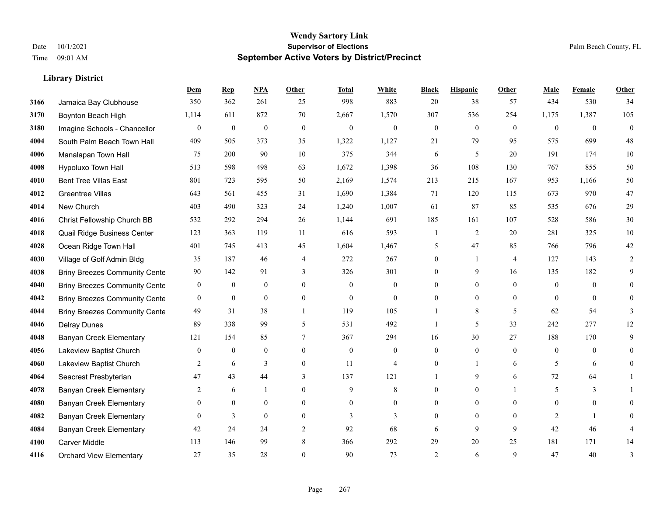## **Wendy Sartory Link** Date 10/1/2021 **Supervisor of Elections** Palm Beach County, FL Time 09:01 AM **September Active Voters by District/Precinct**

|      |                                      | Dem              | <b>Rep</b>       | NPA              | Other          | <b>Total</b>     | White            | <b>Black</b>     | <b>Hispanic</b> | Other          | Male           | Female         | Other        |
|------|--------------------------------------|------------------|------------------|------------------|----------------|------------------|------------------|------------------|-----------------|----------------|----------------|----------------|--------------|
| 3166 | Jamaica Bay Clubhouse                | 350              | 362              | 261              | 25             | 998              | 883              | 20               | 38              | 57             | 434            | 530            | 34           |
| 3170 | Boynton Beach High                   | 1,114            | 611              | 872              | 70             | 2,667            | 1,570            | 307              | 536             | 254            | 1,175          | 1,387          | 105          |
| 3180 | Imagine Schools - Chancellor         | $\mathbf{0}$     | $\boldsymbol{0}$ | $\boldsymbol{0}$ | $\mathbf{0}$   | $\boldsymbol{0}$ | $\boldsymbol{0}$ | $\boldsymbol{0}$ | $\mathbf{0}$    | $\mathbf{0}$   | $\mathbf{0}$   | $\mathbf{0}$   | $\mathbf{0}$ |
| 4004 | South Palm Beach Town Hall           | 409              | 505              | 373              | 35             | 1,322            | 1,127            | 21               | 79              | 95             | 575            | 699            | 48           |
| 4006 | Manalapan Town Hall                  | 75               | 200              | 90               | 10             | 375              | 344              | 6                | 5               | 20             | 191            | 174            | $10\,$       |
| 4008 | Hypoluxo Town Hall                   | 513              | 598              | 498              | 63             | 1,672            | 1,398            | 36               | 108             | 130            | 767            | 855            | 50           |
| 4010 | <b>Bent Tree Villas East</b>         | 801              | 723              | 595              | 50             | 2,169            | 1,574            | 213              | 215             | 167            | 953            | 1,166          | 50           |
| 4012 | Greentree Villas                     | 643              | 561              | 455              | 31             | 1,690            | 1,384            | 71               | 120             | 115            | 673            | 970            | 47           |
| 4014 | New Church                           | 403              | 490              | 323              | 24             | 1,240            | 1,007            | 61               | 87              | 85             | 535            | 676            | 29           |
| 4016 | Christ Fellowship Church BB          | 532              | 292              | 294              | 26             | 1,144            | 691              | 185              | 161             | 107            | 528            | 586            | 30           |
| 4018 | Quail Ridge Business Center          | 123              | 363              | 119              | 11             | 616              | 593              | $\mathbf{1}$     | $\overline{2}$  | 20             | 281            | 325            | 10           |
| 4028 | Ocean Ridge Town Hall                | 401              | 745              | 413              | 45             | 1,604            | 1,467            | 5                | 47              | 85             | 766            | 796            | $42\,$       |
| 4030 | Village of Golf Admin Bldg           | 35               | 187              | 46               | $\overline{4}$ | 272              | 267              | $\boldsymbol{0}$ | $\mathbf{1}$    | $\overline{4}$ | 127            | 143            | 2            |
| 4038 | <b>Briny Breezes Community Cente</b> | 90               | 142              | 91               | 3              | 326              | 301              | $\mathbf{0}$     | 9               | 16             | 135            | 182            | 9            |
| 4040 | <b>Briny Breezes Community Cente</b> | $\boldsymbol{0}$ | $\boldsymbol{0}$ | $\boldsymbol{0}$ | $\overline{0}$ | $\overline{0}$   | $\boldsymbol{0}$ | $\mathbf{0}$     | $\mathbf{0}$    | $\theta$       | $\overline{0}$ | $\mathbf{0}$   | $\theta$     |
| 4042 | <b>Briny Breezes Community Cente</b> | $\mathbf{0}$     | $\mathbf{0}$     | $\mathbf{0}$     | $\theta$       | $\mathbf{0}$     | $\mathbf{0}$     | $\Omega$         | $\overline{0}$  | $\theta$       | $\theta$       | $\theta$       | $\theta$     |
| 4044 | <b>Briny Breezes Community Cente</b> | 49               | 31               | 38               | $\mathbf{1}$   | 119              | 105              | 1                | $\,$ 8 $\,$     | 5              | 62             | 54             | 3            |
| 4046 | Delray Dunes                         | 89               | 338              | 99               | 5              | 531              | 492              | -1               | 5               | 33             | 242            | 277            | 12           |
| 4048 | Banyan Creek Elementary              | 121              | 154              | 85               | 7              | 367              | 294              | 16               | 30              | 27             | 188            | 170            | 9            |
| 4056 | Lakeview Baptist Church              | $\boldsymbol{0}$ | $\boldsymbol{0}$ | $\boldsymbol{0}$ | $\overline{0}$ | $\boldsymbol{0}$ | $\boldsymbol{0}$ | $\boldsymbol{0}$ | $\overline{0}$  | $\mathbf{0}$   | $\overline{0}$ | $\mathbf{0}$   | $\theta$     |
| 4060 | Lakeview Baptist Church              | 2                | 6                | 3                | $\overline{0}$ | 11               | $\overline{4}$   | $\mathbf{0}$     | $\mathbf{1}$    | 6              | 5              | 6              | $\mathbf{0}$ |
| 4064 | Seacrest Presbyterian                | 47               | 43               | 44               | 3              | 137              | 121              | $\mathbf{1}$     | 9               | 6              | 72             | 64             | 1            |
| 4078 | <b>Banyan Creek Elementary</b>       | 2                | 6                | 1                | $\overline{0}$ | 9                | 8                | $\boldsymbol{0}$ | $\mathbf{0}$    |                | 5              | 3              |              |
| 4080 | Banyan Creek Elementary              | $\theta$         | $\mathbf{0}$     | $\mathbf{0}$     | $\Omega$       | $\Omega$         | $\overline{0}$   | $\mathbf{0}$     | $\overline{0}$  | $\Omega$       | $\overline{0}$ | $\theta$       | $\theta$     |
| 4082 | <b>Banyan Creek Elementary</b>       | $\theta$         | 3                | $\theta$         | $\theta$       | 3                | 3                | $\mathbf{0}$     | $\mathbf{0}$    | $\theta$       | 2              | $\overline{1}$ | $\Omega$     |
| 4084 | <b>Banyan Creek Elementary</b>       | 42               | 24               | 24               | 2              | 92               | 68               | 6                | 9               | 9              | 42             | 46             | 4            |
| 4100 | <b>Carver Middle</b>                 | 113              | 146              | 99               | 8              | 366              | 292              | 29               | 20              | 25             | 181            | 171            | 14           |
| 4116 | <b>Orchard View Elementary</b>       | 27               | 35               | 28               | $\Omega$       | 90               | 73               | $\overline{2}$   | 6               | $\mathbf Q$    | 47             | 40             | 3            |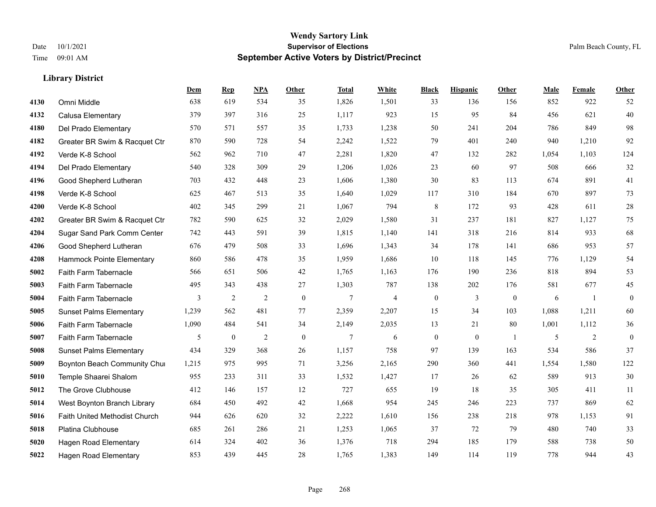|      |                                | Dem   | <b>Rep</b>       | NPA            | <b>Other</b> | <b>Total</b>   | <b>White</b>             | <b>Black</b>     | <b>Hispanic</b>  | <b>Other</b>   | <b>Male</b> | <b>Female</b> | Other            |
|------|--------------------------------|-------|------------------|----------------|--------------|----------------|--------------------------|------------------|------------------|----------------|-------------|---------------|------------------|
| 4130 | Omni Middle                    | 638   | 619              | 534            | 35           | 1,826          | 1,501                    | 33               | 136              | 156            | 852         | 922           | 52               |
| 4132 | Calusa Elementary              | 379   | 397              | 316            | 25           | 1,117          | 923                      | 15               | 95               | 84             | 456         | 621           | 40               |
| 4180 | Del Prado Elementary           | 570   | 571              | 557            | 35           | 1,733          | 1,238                    | 50               | 241              | 204            | 786         | 849           | 98               |
| 4182 | Greater BR Swim & Racquet Ctr  | 870   | 590              | 728            | 54           | 2,242          | 1,522                    | 79               | 401              | 240            | 940         | 1,210         | 92               |
| 4192 | Verde K-8 School               | 562   | 962              | 710            | 47           | 2,281          | 1,820                    | 47               | 132              | 282            | 1,054       | 1,103         | 124              |
| 4194 | Del Prado Elementary           | 540   | 328              | 309            | 29           | 1,206          | 1,026                    | 23               | 60               | 97             | 508         | 666           | $32\,$           |
| 4196 | Good Shepherd Lutheran         | 703   | 432              | 448            | 23           | 1,606          | 1,380                    | $30\,$           | 83               | 113            | 674         | 891           | 41               |
| 4198 | Verde K-8 School               | 625   | 467              | 513            | 35           | 1,640          | 1,029                    | 117              | 310              | 184            | 670         | 897           | $73\,$           |
| 4200 | Verde K-8 School               | 402   | 345              | 299            | 21           | 1,067          | 794                      | $\,$ 8 $\,$      | 172              | 93             | 428         | 611           | $28\,$           |
| 4202 | Greater BR Swim & Racquet Ctr  | 782   | 590              | 625            | 32           | 2,029          | 1,580                    | 31               | 237              | 181            | 827         | 1,127         | 75               |
| 4204 | Sugar Sand Park Comm Center    | 742   | 443              | 591            | 39           | 1,815          | 1,140                    | 141              | 318              | 216            | 814         | 933           | 68               |
| 4206 | Good Shepherd Lutheran         | 676   | 479              | 508            | 33           | 1,696          | 1,343                    | 34               | 178              | 141            | 686         | 953           | 57               |
| 4208 | Hammock Pointe Elementary      | 860   | 586              | 478            | 35           | 1,959          | 1,686                    | 10               | 118              | 145            | 776         | 1,129         | 54               |
| 5002 | Faith Farm Tabernacle          | 566   | 651              | 506            | $42\,$       | 1,765          | 1,163                    | 176              | 190              | 236            | 818         | 894           | 53               |
| 5003 | Faith Farm Tabernacle          | 495   | 343              | 438            | 27           | 1,303          | 787                      | 138              | 202              | 176            | 581         | 677           | 45               |
| 5004 | Faith Farm Tabernacle          | 3     | 2                | $\overline{2}$ | $\mathbf{0}$ | $\overline{7}$ | $\overline{\mathcal{L}}$ | $\boldsymbol{0}$ | 3                | $\overline{0}$ | 6           | -1            | $\boldsymbol{0}$ |
| 5005 | <b>Sunset Palms Elementary</b> | 1,239 | 562              | 481            | 77           | 2,359          | 2,207                    | 15               | 34               | 103            | 1,088       | 1,211         | 60               |
| 5006 | Faith Farm Tabernacle          | 1,090 | 484              | 541            | 34           | 2,149          | 2,035                    | 13               | 21               | 80             | 1,001       | 1,112         | $36\,$           |
| 5007 | Faith Farm Tabernacle          | 5     | $\boldsymbol{0}$ | $\overline{c}$ | $\mathbf{0}$ | $\tau$         | 6                        | $\bf{0}$         | $\boldsymbol{0}$ | $\overline{1}$ | 5           | 2             | $\boldsymbol{0}$ |
| 5008 | <b>Sunset Palms Elementary</b> | 434   | 329              | 368            | 26           | 1,157          | 758                      | 97               | 139              | 163            | 534         | 586           | 37               |
| 5009 | Boynton Beach Community Chur   | 1,215 | 975              | 995            | 71           | 3,256          | 2,165                    | 290              | 360              | 441            | 1,554       | 1,580         | 122              |
| 5010 | Temple Shaarei Shalom          | 955   | 233              | 311            | 33           | 1,532          | 1,427                    | 17               | 26               | 62             | 589         | 913           | $30\,$           |
| 5012 | The Grove Clubhouse            | 412   | 146              | 157            | 12           | 727            | 655                      | 19               | 18               | 35             | 305         | 411           | 11               |
| 5014 | West Boynton Branch Library    | 684   | 450              | 492            | 42           | 1,668          | 954                      | 245              | 246              | 223            | 737         | 869           | 62               |
| 5016 | Faith United Methodist Church  | 944   | 626              | 620            | 32           | 2,222          | 1,610                    | 156              | 238              | 218            | 978         | 1,153         | 91               |
| 5018 | Platina Clubhouse              | 685   | 261              | 286            | 21           | 1,253          | 1,065                    | 37               | 72               | 79             | 480         | 740           | 33               |
| 5020 | <b>Hagen Road Elementary</b>   | 614   | 324              | 402            | 36           | 1,376          | 718                      | 294              | 185              | 179            | 588         | 738           | 50               |
| 5022 | <b>Hagen Road Elementary</b>   | 853   | 439              | 445            | 28           | 1,765          | 1,383                    | 149              | 114              | 119            | 778         | 944           | 43               |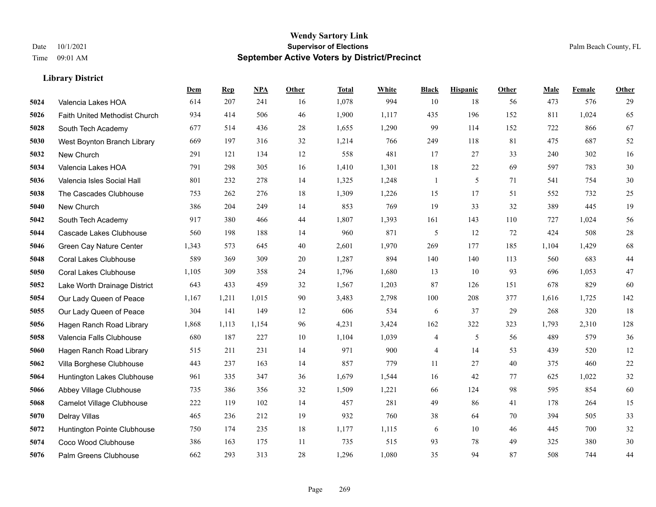|      |                               | <b>Dem</b> | <b>Rep</b> | NPA   | <b>Other</b> | <b>Total</b> | <b>White</b> | <b>Black</b>   | <b>Hispanic</b> | <b>Other</b> | <b>Male</b> | Female | <b>Other</b> |
|------|-------------------------------|------------|------------|-------|--------------|--------------|--------------|----------------|-----------------|--------------|-------------|--------|--------------|
| 5024 | Valencia Lakes HOA            | 614        | 207        | 241   | 16           | 1,078        | 994          | 10             | 18              | 56           | 473         | 576    | 29           |
| 5026 | Faith United Methodist Church | 934        | 414        | 506   | 46           | 1,900        | 1,117        | 435            | 196             | 152          | 811         | 1,024  | 65           |
| 5028 | South Tech Academy            | 677        | 514        | 436   | 28           | 1,655        | 1,290        | 99             | 114             | 152          | 722         | 866    | 67           |
| 5030 | West Boynton Branch Library   | 669        | 197        | 316   | 32           | 1,214        | 766          | 249            | 118             | 81           | 475         | 687    | 52           |
| 5032 | New Church                    | 291        | 121        | 134   | 12           | 558          | 481          | 17             | 27              | 33           | 240         | 302    | 16           |
| 5034 | Valencia Lakes HOA            | 791        | 298        | 305   | 16           | 1,410        | 1,301        | 18             | 22              | 69           | 597         | 783    | 30           |
| 5036 | Valencia Isles Social Hall    | 801        | 232        | 278   | 14           | 1,325        | 1,248        | $\mathbf{1}$   | 5               | 71           | 541         | 754    | 30           |
| 5038 | The Cascades Clubhouse        | 753        | 262        | 276   | 18           | 1,309        | 1,226        | 15             | 17              | 51           | 552         | 732    | 25           |
| 5040 | New Church                    | 386        | 204        | 249   | 14           | 853          | 769          | 19             | 33              | 32           | 389         | 445    | 19           |
| 5042 | South Tech Academy            | 917        | 380        | 466   | 44           | 1,807        | 1,393        | 161            | 143             | 110          | 727         | 1,024  | 56           |
| 5044 | Cascade Lakes Clubhouse       | 560        | 198        | 188   | 14           | 960          | 871          | 5              | 12              | 72           | 424         | 508    | 28           |
| 5046 | Green Cay Nature Center       | 1,343      | 573        | 645   | 40           | 2,601        | 1,970        | 269            | 177             | 185          | 1,104       | 1,429  | 68           |
| 5048 | <b>Coral Lakes Clubhouse</b>  | 589        | 369        | 309   | 20           | 1,287        | 894          | 140            | 140             | 113          | 560         | 683    | $44$         |
| 5050 | <b>Coral Lakes Clubhouse</b>  | 1,105      | 309        | 358   | 24           | 1,796        | 1,680        | 13             | 10              | 93           | 696         | 1,053  | 47           |
| 5052 | Lake Worth Drainage District  | 643        | 433        | 459   | 32           | 1,567        | 1,203        | 87             | 126             | 151          | 678         | 829    | 60           |
| 5054 | Our Lady Queen of Peace       | 1,167      | 1,211      | 1,015 | 90           | 3,483        | 2,798        | 100            | 208             | 377          | 1,616       | 1,725  | 142          |
| 5055 | Our Lady Queen of Peace       | 304        | 141        | 149   | 12           | 606          | 534          | 6              | 37              | 29           | 268         | 320    | 18           |
| 5056 | Hagen Ranch Road Library      | 1,868      | 1,113      | 1,154 | 96           | 4,231        | 3,424        | 162            | 322             | 323          | 1,793       | 2,310  | 128          |
| 5058 | Valencia Falls Clubhouse      | 680        | 187        | 227   | 10           | 1,104        | 1,039        | $\overline{4}$ | 5               | 56           | 489         | 579    | 36           |
| 5060 | Hagen Ranch Road Library      | 515        | 211        | 231   | 14           | 971          | 900          | $\overline{4}$ | 14              | 53           | 439         | 520    | 12           |
| 5062 | Villa Borghese Clubhouse      | 443        | 237        | 163   | 14           | 857          | 779          | 11             | 27              | 40           | 375         | 460    | $22\,$       |
| 5064 | Huntington Lakes Clubhouse    | 961        | 335        | 347   | 36           | 1,679        | 1,544        | 16             | 42              | 77           | 625         | 1,022  | 32           |
| 5066 | Abbey Village Clubhouse       | 735        | 386        | 356   | 32           | 1,509        | 1,221        | 66             | 124             | 98           | 595         | 854    | 60           |
| 5068 | Camelot Village Clubhouse     | 222        | 119        | 102   | 14           | 457          | 281          | 49             | 86              | 41           | 178         | 264    | 15           |
| 5070 | Delray Villas                 | 465        | 236        | 212   | 19           | 932          | 760          | 38             | 64              | 70           | 394         | 505    | 33           |
| 5072 | Huntington Pointe Clubhouse   | 750        | 174        | 235   | 18           | 1,177        | 1,115        | 6              | 10              | 46           | 445         | 700    | 32           |
| 5074 | Coco Wood Clubhouse           | 386        | 163        | 175   | 11           | 735          | 515          | 93             | 78              | 49           | 325         | 380    | 30           |
| 5076 | Palm Greens Clubhouse         | 662        | 293        | 313   | 28           | 1,296        | 1,080        | 35             | 94              | 87           | 508         | 744    | 44           |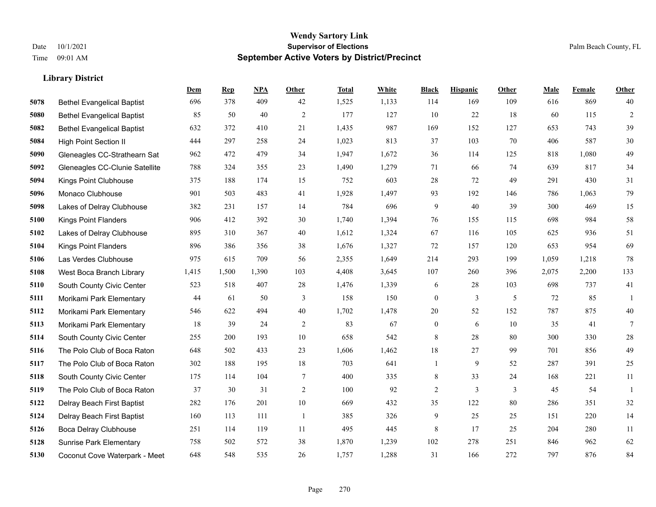#### **Wendy Sartory Link** Date 10/1/2021 **Supervisor of Elections** Palm Beach County, FL Time 09:01 AM **September Active Voters by District/Precinct**

# **Dem Rep NPA Other Total White Black Hispanic Other Male Female Other** Bethel Evangelical Baptist 696 378 409 42 1,525 1,133 114 169 109 616 869 40 Bethel Evangelical Baptist 85 50 40 2 177 127 10 22 18 60 115 2 Bethel Evangelical Baptist 632 372 410 21 1,435 987 169 152 127 653 743 39 High Point Section II 444 297 258 24 1,023 813 37 103 70 406 587 30 Gleneagles CC-Strathearn Sat 962 472 479 34 1,947 1,672 36 114 125 818 1,080 49 Gleneagles CC-Clunie Satellite 788 324 355 23 1,490 1,279 71 66 74 639 817 34 Kings Point Clubhouse 375 188 174 15 752 603 28 72 49 291 430 31 Monaco Clubhouse 901 503 483 41 1,928 1,497 93 192 146 786 1,063 79 Lakes of Delray Clubhouse 382 231 157 14 784 696 9 40 39 300 469 15 Kings Point Flanders 906 412 392 30 1,740 1,394 76 155 115 698 984 58 Lakes of Delray Clubhouse 895 310 367 40 1,612 1,324 67 116 105 625 936 51 Kings Point Flanders 896 386 356 38 1,676 1,327 72 157 120 653 954 69 Las Verdes Clubhouse 975 615 709 56 2,355 1,649 214 293 199 1,059 1,218 78 West Boca Branch Library 1,415 1,500 1,390 103 4,408 3,645 107 260 396 2,075 2,200 133 South County Civic Center 523 518 407 28 1,476 1,339 6 28 103 698 737 41 Morikami Park Elementary 44 61 50 3 158 150 0 3 5 72 85 1 Morikami Park Elementary 546 622 494 40 1,702 1,478 20 52 152 787 875 40 Morikami Park Elementary 18 39 24 2 83 67 0 6 10 35 41 7 South County Civic Center 255 200 193 10 658 542 8 28 80 300 330 28 The Polo Club of Boca Raton 648 502 433 23 1,606 1,462 18 27 99 701 856 49 The Polo Club of Boca Raton 302 188 195 18 703 641 1 9 52 287 391 25 South County Civic Center 175 114 104 7 400 335 8 33 24 168 221 11 The Polo Club of Boca Raton 37 30 31 2 100 92 2 3 3 45 54 1 Delray Beach First Baptist 282 176 201 10 669 432 35 122 80 286 351 32 Delray Beach First Baptist 160 113 111 1 385 326 9 25 25 151 220 14 Boca Delray Clubhouse 251 114 119 11 495 445 8 17 25 204 280 11 Sunrise Park Elementary 758 502 572 38 1,870 1,239 102 278 251 846 962 62 Coconut Cove Waterpark - Meet 648 548 535 26 1,757 1,288 31 166 272 797 876 84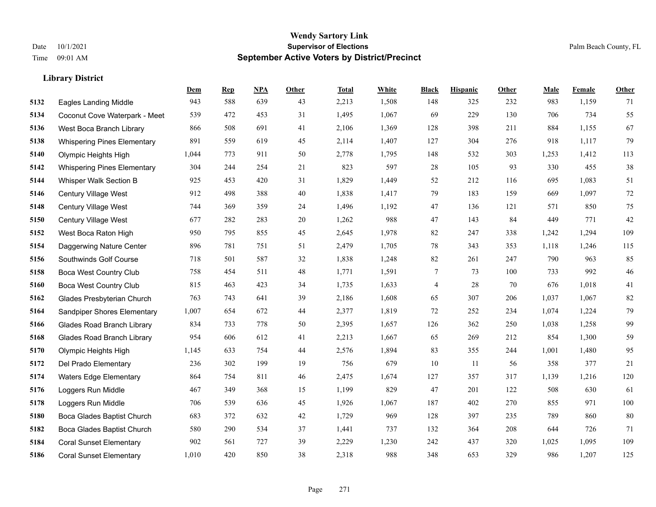|      |                                    | Dem   | <b>Rep</b> | NPA | <b>Other</b> | <b>Total</b> | <b>White</b> | <b>Black</b> | <b>Hispanic</b> | <b>Other</b> | <b>Male</b> | <b>Female</b> | <b>Other</b> |
|------|------------------------------------|-------|------------|-----|--------------|--------------|--------------|--------------|-----------------|--------------|-------------|---------------|--------------|
| 5132 | <b>Eagles Landing Middle</b>       | 943   | 588        | 639 | 43           | 2,213        | 1,508        | 148          | 325             | 232          | 983         | 1,159         | 71           |
| 5134 | Coconut Cove Waterpark - Meet      | 539   | 472        | 453 | 31           | 1,495        | 1,067        | 69           | 229             | 130          | 706         | 734           | 55           |
| 5136 | West Boca Branch Library           | 866   | 508        | 691 | 41           | 2,106        | 1,369        | 128          | 398             | 211          | 884         | 1,155         | 67           |
| 5138 | <b>Whispering Pines Elementary</b> | 891   | 559        | 619 | 45           | 2,114        | 1,407        | 127          | 304             | 276          | 918         | 1,117         | 79           |
| 5140 | Olympic Heights High               | 1,044 | 773        | 911 | 50           | 2,778        | 1,795        | 148          | 532             | 303          | 1,253       | 1,412         | 113          |
| 5142 | <b>Whispering Pines Elementary</b> | 304   | 244        | 254 | 21           | 823          | 597          | 28           | 105             | 93           | 330         | 455           | 38           |
| 5144 | Whisper Walk Section B             | 925   | 453        | 420 | 31           | 1,829        | 1,449        | 52           | 212             | 116          | 695         | 1,083         | 51           |
| 5146 | Century Village West               | 912   | 498        | 388 | 40           | 1,838        | 1,417        | 79           | 183             | 159          | 669         | 1,097         | $72\,$       |
| 5148 | Century Village West               | 744   | 369        | 359 | 24           | 1,496        | 1,192        | 47           | 136             | 121          | 571         | 850           | $75\,$       |
| 5150 | Century Village West               | 677   | 282        | 283 | 20           | 1,262        | 988          | 47           | 143             | 84           | 449         | 771           | 42           |
| 5152 | West Boca Raton High               | 950   | 795        | 855 | 45           | 2,645        | 1,978        | 82           | 247             | 338          | 1,242       | 1,294         | 109          |
| 5154 | Daggerwing Nature Center           | 896   | 781        | 751 | 51           | 2,479        | 1,705        | 78           | 343             | 353          | 1,118       | 1,246         | 115          |
| 5156 | Southwinds Golf Course             | 718   | 501        | 587 | 32           | 1,838        | 1,248        | 82           | 261             | 247          | 790         | 963           | 85           |
| 5158 | <b>Boca West Country Club</b>      | 758   | 454        | 511 | 48           | 1,771        | 1,591        | $\tau$       | 73              | 100          | 733         | 992           | $46\,$       |
| 5160 | <b>Boca West Country Club</b>      | 815   | 463        | 423 | 34           | 1,735        | 1,633        | 4            | 28              | 70           | 676         | 1,018         | 41           |
| 5162 | Glades Presbyterian Church         | 763   | 743        | 641 | 39           | 2,186        | 1,608        | 65           | 307             | 206          | 1,037       | 1,067         | 82           |
| 5164 | Sandpiper Shores Elementary        | 1,007 | 654        | 672 | 44           | 2,377        | 1,819        | 72           | 252             | 234          | 1,074       | 1,224         | 79           |
| 5166 | <b>Glades Road Branch Library</b>  | 834   | 733        | 778 | 50           | 2,395        | 1,657        | 126          | 362             | 250          | 1,038       | 1,258         | 99           |
| 5168 | <b>Glades Road Branch Library</b>  | 954   | 606        | 612 | 41           | 2,213        | 1,667        | 65           | 269             | 212          | 854         | 1,300         | 59           |
| 5170 | Olympic Heights High               | 1,145 | 633        | 754 | 44           | 2,576        | 1,894        | 83           | 355             | 244          | 1,001       | 1,480         | 95           |
| 5172 | Del Prado Elementary               | 236   | 302        | 199 | 19           | 756          | 679          | 10           | 11              | 56           | 358         | 377           | 21           |
| 5174 | <b>Waters Edge Elementary</b>      | 864   | 754        | 811 | 46           | 2,475        | 1,674        | 127          | 357             | 317          | 1,139       | 1,216         | 120          |
| 5176 | Loggers Run Middle                 | 467   | 349        | 368 | 15           | 1,199        | 829          | 47           | 201             | 122          | 508         | 630           | 61           |
| 5178 | Loggers Run Middle                 | 706   | 539        | 636 | 45           | 1,926        | 1,067        | 187          | 402             | 270          | 855         | 971           | 100          |
| 5180 | Boca Glades Baptist Church         | 683   | 372        | 632 | 42           | 1,729        | 969          | 128          | 397             | 235          | 789         | 860           | 80           |
| 5182 | Boca Glades Baptist Church         | 580   | 290        | 534 | 37           | 1,441        | 737          | 132          | 364             | 208          | 644         | 726           | 71           |
| 5184 | <b>Coral Sunset Elementary</b>     | 902   | 561        | 727 | 39           | 2,229        | 1,230        | 242          | 437             | 320          | 1,025       | 1,095         | 109          |
| 5186 | <b>Coral Sunset Elementary</b>     | 1,010 | 420        | 850 | 38           | 2,318        | 988          | 348          | 653             | 329          | 986         | 1,207         | 125          |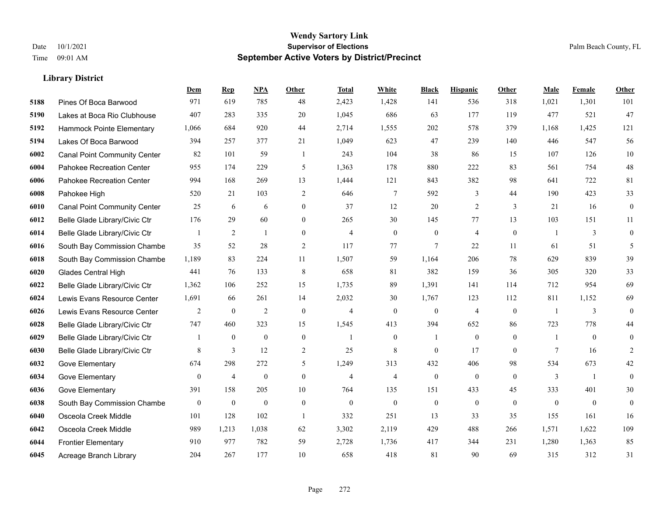|      |                                     | <b>Dem</b>       | <b>Rep</b>     | NPA              | Other            | <b>Total</b>   | <b>White</b>     | <b>Black</b>     | <b>Hispanic</b>  | Other          | <b>Male</b>    | <b>Female</b> | <b>Other</b>     |
|------|-------------------------------------|------------------|----------------|------------------|------------------|----------------|------------------|------------------|------------------|----------------|----------------|---------------|------------------|
| 5188 | Pines Of Boca Barwood               | 971              | 619            | 785              | 48               | 2,423          | 1,428            | 141              | 536              | 318            | 1,021          | 1,301         | 101              |
| 5190 | Lakes at Boca Rio Clubhouse         | 407              | 283            | 335              | 20               | 1,045          | 686              | 63               | 177              | 119            | 477            | 521           | 47               |
| 5192 | Hammock Pointe Elementary           | 1,066            | 684            | 920              | 44               | 2,714          | 1,555            | 202              | 578              | 379            | 1,168          | 1,425         | 121              |
| 5194 | Lakes Of Boca Barwood               | 394              | 257            | 377              | 21               | 1,049          | 623              | 47               | 239              | 140            | 446            | 547           | 56               |
| 6002 | <b>Canal Point Community Center</b> | 82               | 101            | 59               | -1               | 243            | 104              | 38               | 86               | 15             | 107            | 126           | 10               |
| 6004 | Pahokee Recreation Center           | 955              | 174            | 229              | 5                | 1,363          | 178              | 880              | 222              | 83             | 561            | 754           | 48               |
| 6006 | Pahokee Recreation Center           | 994              | 168            | 269              | 13               | 1,444          | 121              | 843              | 382              | 98             | 641            | 722           | 81               |
| 6008 | Pahokee High                        | 520              | 21             | 103              | 2                | 646            | 7                | 592              | 3                | 44             | 190            | 423           | 33               |
| 6010 | <b>Canal Point Community Center</b> | 25               | 6              | 6                | $\boldsymbol{0}$ | 37             | 12               | 20               | $\overline{2}$   | 3              | 21             | 16            | $\boldsymbol{0}$ |
| 6012 | Belle Glade Library/Civic Ctr       | 176              | 29             | 60               | $\overline{0}$   | 265            | 30               | 145              | 77               | 13             | 103            | 151           | 11               |
| 6014 | Belle Glade Library/Civic Ctr       | 1                | $\overline{2}$ | $\mathbf{1}$     | $\mathbf{0}$     | $\overline{4}$ | $\mathbf{0}$     | $\boldsymbol{0}$ | $\overline{4}$   | $\overline{0}$ | $\overline{1}$ | 3             | $\mathbf{0}$     |
| 6016 | South Bay Commission Chambe         | 35               | 52             | 28               | 2                | 117            | 77               | 7                | 22               | 11             | 61             | 51            | 5                |
| 6018 | South Bay Commission Chambe         | 1,189            | 83             | 224              | 11               | 1,507          | 59               | 1.164            | 206              | 78             | 629            | 839           | 39               |
| 6020 | Glades Central High                 | 441              | 76             | 133              | $\,8\,$          | 658            | 81               | 382              | 159              | 36             | 305            | 320           | 33               |
| 6022 | Belle Glade Library/Civic Ctr       | 1,362            | 106            | 252              | 15               | 1,735          | 89               | 1,391            | 141              | 114            | 712            | 954           | 69               |
| 6024 | Lewis Evans Resource Center         | 1,691            | 66             | 261              | 14               | 2,032          | 30               | 1,767            | 123              | 112            | 811            | 1,152         | 69               |
| 6026 | Lewis Evans Resource Center         | 2                | $\mathbf{0}$   | 2                | $\mathbf{0}$     | $\overline{4}$ | $\mathbf{0}$     | $\boldsymbol{0}$ | $\overline{4}$   | $\mathbf{0}$   | $\overline{1}$ | 3             | $\mathbf{0}$     |
| 6028 | Belle Glade Library/Civic Ctr       | 747              | 460            | 323              | 15               | 1,545          | 413              | 394              | 652              | 86             | 723            | 778           | 44               |
| 6029 | Belle Glade Library/Civic Ctr       | 1                | $\mathbf{0}$   | $\boldsymbol{0}$ | $\boldsymbol{0}$ | $\mathbf{1}$   | $\boldsymbol{0}$ | -1               | $\mathbf{0}$     | $\overline{0}$ | -1             | $\mathbf{0}$  | $\mathbf{0}$     |
| 6030 | Belle Glade Library/Civic Ctr       | 8                | 3              | 12               | 2                | 25             | 8                | $\theta$         | 17               | $\theta$       | 7              | 16            | 2                |
| 6032 | Gove Elementary                     | 674              | 298            | 272              | 5                | 1,249          | 313              | 432              | 406              | 98             | 534            | 673           | 42               |
| 6034 | Gove Elementary                     | $\boldsymbol{0}$ | $\overline{4}$ | $\boldsymbol{0}$ | $\boldsymbol{0}$ | $\overline{4}$ | $\overline{4}$   | $\boldsymbol{0}$ | $\boldsymbol{0}$ | $\mathbf{0}$   | 3              | -1            | $\mathbf{0}$     |
| 6036 | Gove Elementary                     | 391              | 158            | 205              | 10               | 764            | 135              | 151              | 433              | 45             | 333            | 401           | 30               |
| 6038 | South Bay Commission Chambe         | $\mathbf{0}$     | $\mathbf{0}$   | $\mathbf{0}$     | $\mathbf{0}$     | $\Omega$       | $\mathbf{0}$     | $\boldsymbol{0}$ | $\mathbf{0}$     | $\theta$       | $\theta$       | $\mathbf{0}$  | $\mathbf{0}$     |
| 6040 | Osceola Creek Middle                | 101              | 128            | 102              | $\mathbf{1}$     | 332            | 251              | 13               | 33               | 35             | 155            | 161           | 16               |
| 6042 | Osceola Creek Middle                | 989              | 1,213          | 1,038            | 62               | 3,302          | 2,119            | 429              | 488              | 266            | 1,571          | 1,622         | 109              |
| 6044 | <b>Frontier Elementary</b>          | 910              | 977            | 782              | 59               | 2,728          | 1,736            | 417              | 344              | 231            | 1,280          | 1,363         | 85               |
| 6045 | Acreage Branch Library              | 204              | 267            | 177              | 10               | 658            | 418              | 81               | 90               | 69             | 315            | 312           | 31               |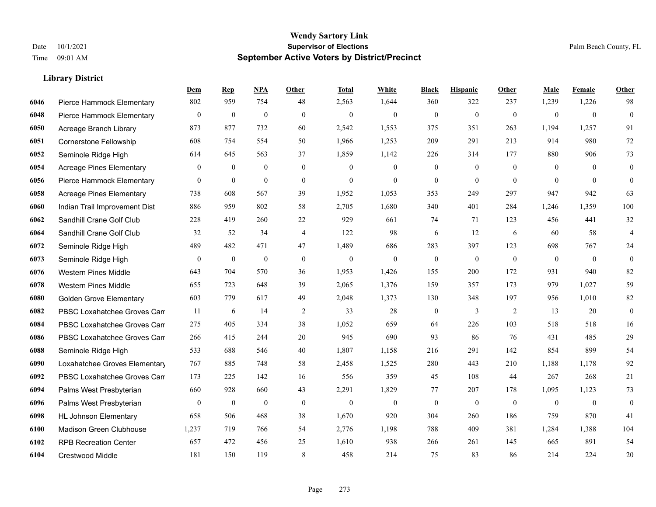|      |                                 | Dem              | <b>Rep</b>       | NPA              | <b>Other</b>   | <b>Total</b>     | White            | <b>Black</b>     | <b>Hispanic</b>  | Other          | <b>Male</b>    | Female         | <b>Other</b>     |
|------|---------------------------------|------------------|------------------|------------------|----------------|------------------|------------------|------------------|------------------|----------------|----------------|----------------|------------------|
| 6046 | Pierce Hammock Elementary       | 802              | 959              | 754              | 48             | 2,563            | 1,644            | 360              | 322              | 237            | 1,239          | 1,226          | 98               |
| 6048 | Pierce Hammock Elementary       | $\boldsymbol{0}$ | $\mathbf{0}$     | $\mathbf{0}$     | $\theta$       | $\mathbf{0}$     | $\mathbf{0}$     | $\mathbf{0}$     | $\mathbf{0}$     | $\mathbf{0}$   | $\mathbf{0}$   | $\overline{0}$ | $\overline{0}$   |
| 6050 | Acreage Branch Library          | 873              | 877              | 732              | 60             | 2,542            | 1,553            | 375              | 351              | 263            | 1,194          | 1,257          | 91               |
| 6051 | Cornerstone Fellowship          | 608              | 754              | 554              | 50             | 1,966            | 1,253            | 209              | 291              | 213            | 914            | 980            | 72               |
| 6052 | Seminole Ridge High             | 614              | 645              | 563              | 37             | 1,859            | 1,142            | 226              | 314              | 177            | 880            | 906            | 73               |
| 6054 | <b>Acreage Pines Elementary</b> | $\overline{0}$   | $\mathbf{0}$     | $\boldsymbol{0}$ | $\mathbf{0}$   | $\overline{0}$   | $\mathbf{0}$     | $\boldsymbol{0}$ | $\boldsymbol{0}$ | $\overline{0}$ | $\mathbf{0}$   | $\theta$       | $\overline{0}$   |
| 6056 | Pierce Hammock Elementary       | $\mathbf{0}$     | $\mathbf{0}$     | $\mathbf{0}$     | $\mathbf{0}$   | $\mathbf{0}$     | $\overline{0}$   | $\overline{0}$   | $\overline{0}$   | $\theta$       | $\theta$       | $\theta$       | $\overline{0}$   |
| 6058 | <b>Acreage Pines Elementary</b> | 738              | 608              | 567              | 39             | 1,952            | 1,053            | 353              | 249              | 297            | 947            | 942            | 63               |
| 6060 | Indian Trail Improvement Dist   | 886              | 959              | 802              | 58             | 2,705            | 1,680            | 340              | 401              | 284            | 1,246          | 1,359          | 100              |
| 6062 | Sandhill Crane Golf Club        | 228              | 419              | 260              | $22\,$         | 929              | 661              | 74               | 71               | 123            | 456            | 441            | 32               |
| 6064 | Sandhill Crane Golf Club        | 32               | 52               | 34               | $\overline{4}$ | 122              | 98               | 6                | 12               | 6              | 60             | 58             | 4                |
| 6072 | Seminole Ridge High             | 489              | 482              | 471              | 47             | 1,489            | 686              | 283              | 397              | 123            | 698            | 767            | 24               |
| 6073 | Seminole Ridge High             | $\bf{0}$         | $\boldsymbol{0}$ | $\boldsymbol{0}$ | $\mathbf{0}$   | $\boldsymbol{0}$ | $\mathbf{0}$     | $\boldsymbol{0}$ | $\boldsymbol{0}$ | $\mathbf{0}$   | $\mathbf{0}$   | $\overline{0}$ | $\boldsymbol{0}$ |
| 6076 | <b>Western Pines Middle</b>     | 643              | 704              | 570              | 36             | 1,953            | 1,426            | 155              | 200              | 172            | 931            | 940            | 82               |
| 6078 | <b>Western Pines Middle</b>     | 655              | 723              | 648              | 39             | 2,065            | 1,376            | 159              | 357              | 173            | 979            | 1.027          | 59               |
| 6080 | <b>Golden Grove Elementary</b>  | 603              | 779              | 617              | 49             | 2,048            | 1,373            | 130              | 348              | 197            | 956            | 1,010          | 82               |
| 6082 | PBSC Loxahatchee Groves Can     | 11               | 6                | 14               | 2              | 33               | 28               | $\mathbf{0}$     | 3                | 2              | 13             | 20             | $\overline{0}$   |
| 6084 | PBSC Loxahatchee Groves Can     | 275              | 405              | 334              | 38             | 1,052            | 659              | 64               | 226              | 103            | 518            | 518            | 16               |
| 6086 | PBSC Loxahatchee Groves Can     | 266              | 415              | 244              | 20             | 945              | 690              | 93               | 86               | 76             | 431            | 485            | 29               |
| 6088 | Seminole Ridge High             | 533              | 688              | 546              | 40             | 1,807            | 1,158            | 216              | 291              | 142            | 854            | 899            | 54               |
| 6090 | Loxahatchee Groves Elementary   | 767              | 885              | 748              | 58             | 2,458            | 1,525            | 280              | 443              | 210            | 1,188          | 1,178          | 92               |
| 6092 | PBSC Loxahatchee Groves Can     | 173              | 225              | 142              | 16             | 556              | 359              | 45               | 108              | 44             | 267            | 268            | 21               |
| 6094 | Palms West Presbyterian         | 660              | 928              | 660              | 43             | 2,291            | 1,829            | 77               | 207              | 178            | 1,095          | 1,123          | 73               |
| 6096 | Palms West Presbyterian         | $\mathbf{0}$     | $\boldsymbol{0}$ | $\boldsymbol{0}$ | $\mathbf{0}$   | $\boldsymbol{0}$ | $\boldsymbol{0}$ | $\boldsymbol{0}$ | $\boldsymbol{0}$ | $\mathbf{0}$   | $\overline{0}$ | $\overline{0}$ | $\overline{0}$   |
| 6098 | <b>HL Johnson Elementary</b>    | 658              | 506              | 468              | 38             | 1,670            | 920              | 304              | 260              | 186            | 759            | 870            | 41               |
| 6100 | Madison Green Clubhouse         | 1,237            | 719              | 766              | 54             | 2,776            | 1,198            | 788              | 409              | 381            | 1,284          | 1,388          | 104              |
| 6102 | <b>RPB Recreation Center</b>    | 657              | 472              | 456              | 25             | 1,610            | 938              | 266              | 261              | 145            | 665            | 891            | 54               |
| 6104 | Crestwood Middle                | 181              | 150              | 119              | 8              | 458              | 214              | 75               | 83               | 86             | 214            | 224            | 20               |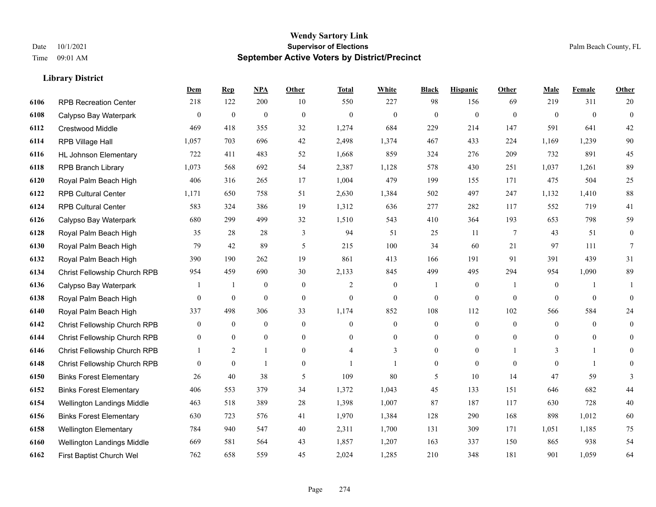#### **Wendy Sartory Link** Date 10/1/2021 **Supervisor of Elections** Palm Beach County, FL Time 09:01 AM **September Active Voters by District/Precinct**

# **Dem Rep NPA Other Total White Black Hispanic Other Male Female Other** RPB Recreation Center 218 122 200 10 550 227 98 156 69 219 311 20 Calypso Bay Waterpark 0 0 0 0 0 0 0 0 0 0 0 0 Crestwood Middle 469 418 355 32 1,274 684 229 214 147 591 641 42 RPB Village Hall 1,057 703 696 42 2,498 1,374 467 433 224 1,169 1,239 90 HL Johnson Elementary 722 411 483 52 1,668 859 324 276 209 732 891 45 RPB Branch Library 1,073 568 692 54 2,387 1,128 578 430 251 1,037 1,261 89 Royal Palm Beach High 406 316 265 17 1,004 479 199 155 171 475 504 25 RPB Cultural Center 1,171 650 758 51 2,630 1,384 502 497 247 1,132 1,410 88 RPB Cultural Center 583 324 386 19 1,312 636 277 282 117 552 719 41 Calypso Bay Waterpark 680 299 499 32 1,510 543 410 364 193 653 798 59 Royal Palm Beach High 35 28 28 3 94 51 25 11 7 43 51 0 Royal Palm Beach High 79 42 89 5 215 100 34 60 21 97 111 7 Royal Palm Beach High 390 190 262 19 861 413 166 191 91 391 439 31 Christ Fellowship Church RPB 954 459 690 30 2,133 845 499 495 294 954 1,090 89 Calypso Bay Waterpark 1 1 0 0 2 0 1 0 1 0 1 1 Royal Palm Beach High 0 0 0 0 0 0 0 0 0 0 0 0 Royal Palm Beach High 337 498 306 33 1,174 852 108 112 102 566 584 24 Christ Fellowship Church RPB 0 0 0 0 0 0 0 0 0 0 0 0 Christ Fellowship Church RPB 0 0 0 0 0 0 0 0 0 0 0 0 Christ Fellowship Church RPB 1 2 1 0 4 3 0 0 1 3 1 0 Christ Fellowship Church RPB 0 0 1 0 1 1 0 0 0 0 1 0 Binks Forest Elementary 26 40 38 5 109 80 5 10 14 47 59 3 Binks Forest Elementary 406 553 379 34 1,372 1,043 45 133 151 646 682 44 Wellington Landings Middle 463 518 389 28 1,398 1,007 87 187 117 630 728 40 Binks Forest Elementary 630 723 576 41 1,970 1,384 128 290 168 898 1,012 60 Wellington Elementary 784 940 547 40 2,311 1,700 131 309 171 1,051 1,185 75 Wellington Landings Middle 669 581 564 43 1,857 1,207 163 337 150 865 938 54

First Baptist Church Wel 762 658 559 45 2,024 1,285 210 348 181 901 1,059 64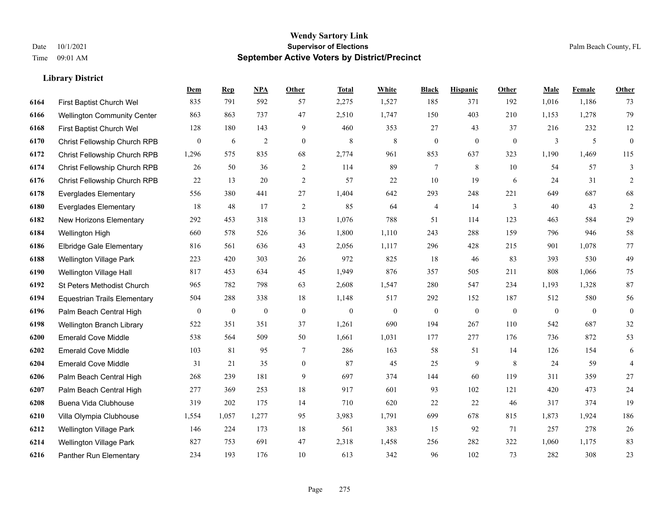## **Wendy Sartory Link** Date 10/1/2021 **Supervisor of Elections** Palm Beach County, FL Time 09:01 AM **September Active Voters by District/Precinct**

|      |                                     | Dem          | <b>Rep</b>   | NPA          | Other          | <b>Total</b> | White        | <b>Black</b>     | <b>Hispanic</b> | Other          | Male           | Female   | Other            |
|------|-------------------------------------|--------------|--------------|--------------|----------------|--------------|--------------|------------------|-----------------|----------------|----------------|----------|------------------|
| 6164 | First Baptist Church Wel            | 835          | 791          | 592          | 57             | 2,275        | 1,527        | 185              | 371             | 192            | 1,016          | 1,186    | 73               |
| 6166 | <b>Wellington Community Center</b>  | 863          | 863          | 737          | 47             | 2,510        | 1,747        | 150              | 403             | 210            | 1,153          | 1,278    | 79               |
| 6168 | First Baptist Church Wel            | 128          | 180          | 143          | 9              | 460          | 353          | 27               | 43              | 37             | 216            | 232      | 12               |
| 6170 | Christ Fellowship Church RPB        | $\mathbf{0}$ | 6            | $\sqrt{2}$   | $\mathbf{0}$   | $\,8\,$      | 8            | $\boldsymbol{0}$ | $\overline{0}$  | $\overline{0}$ | 3              | 5        | $\boldsymbol{0}$ |
| 6172 | Christ Fellowship Church RPB        | 1,296        | 575          | 835          | 68             | 2,774        | 961          | 853              | 637             | 323            | 1,190          | 1,469    | 115              |
| 6174 | Christ Fellowship Church RPB        | 26           | 50           | 36           | 2              | 114          | 89           | 7                | 8               | 10             | 54             | 57       | $\mathfrak{Z}$   |
| 6176 | Christ Fellowship Church RPB        | $22\,$       | 13           | 20           | 2              | 57           | 22           | 10               | 19              | 6              | 24             | 31       | $\overline{2}$   |
| 6178 | <b>Everglades Elementary</b>        | 556          | 380          | 441          | 27             | 1,404        | 642          | 293              | 248             | 221            | 649            | 687      | 68               |
| 6180 | <b>Everglades Elementary</b>        | 18           | 48           | 17           | $\overline{2}$ | 85           | 64           | 4                | 14              | 3              | 40             | 43       | $\sqrt{2}$       |
| 6182 | <b>New Horizons Elementary</b>      | 292          | 453          | 318          | 13             | 1,076        | 788          | 51               | 114             | 123            | 463            | 584      | 29               |
| 6184 | Wellington High                     | 660          | 578          | 526          | 36             | 1,800        | 1,110        | 243              | 288             | 159            | 796            | 946      | 58               |
| 6186 | <b>Elbridge Gale Elementary</b>     | 816          | 561          | 636          | 43             | 2,056        | 1,117        | 296              | 428             | 215            | 901            | 1,078    | $77\,$           |
| 6188 | <b>Wellington Village Park</b>      | 223          | 420          | 303          | 26             | 972          | 825          | 18               | 46              | 83             | 393            | 530      | 49               |
| 6190 | Wellington Village Hall             | 817          | 453          | 634          | 45             | 1,949        | 876          | 357              | 505             | 211            | 808            | 1,066    | $75\,$           |
| 6192 | St Peters Methodist Church          | 965          | 782          | 798          | 63             | 2,608        | 1,547        | 280              | 547             | 234            | 1,193          | 1,328    | $87\,$           |
| 6194 | <b>Equestrian Trails Elementary</b> | 504          | 288          | 338          | 18             | 1,148        | 517          | 292              | 152             | 187            | 512            | 580      | 56               |
| 6196 | Palm Beach Central High             | $\mathbf{0}$ | $\mathbf{0}$ | $\mathbf{0}$ | $\mathbf{0}$   | $\mathbf{0}$ | $\mathbf{0}$ | $\mathbf{0}$     | $\mathbf{0}$    | $\theta$       | $\overline{0}$ | $\theta$ | $\overline{0}$   |
| 6198 | Wellington Branch Library           | 522          | 351          | 351          | 37             | 1,261        | 690          | 194              | 267             | 110            | 542            | 687      | $32\,$           |
| 6200 | <b>Emerald Cove Middle</b>          | 538          | 564          | 509          | 50             | 1,661        | 1,031        | 177              | 277             | 176            | 736            | 872      | 53               |
| 6202 | <b>Emerald Cove Middle</b>          | 103          | 81           | 95           | $\tau$         | 286          | 163          | 58               | 51              | 14             | 126            | 154      | 6                |
| 6204 | <b>Emerald Cove Middle</b>          | 31           | 21           | 35           | $\mathbf{0}$   | 87           | 45           | 25               | 9               | 8              | 24             | 59       | $\overline{4}$   |
| 6206 | Palm Beach Central High             | 268          | 239          | 181          | 9              | 697          | 374          | 144              | 60              | 119            | 311            | 359      | 27               |
| 6207 | Palm Beach Central High             | 277          | 369          | 253          | 18             | 917          | 601          | 93               | 102             | 121            | 420            | 473      | $24\,$           |
| 6208 | Buena Vida Clubhouse                | 319          | 202          | 175          | 14             | 710          | 620          | 22               | 22              | 46             | 317            | 374      | 19               |
| 6210 | Villa Olympia Clubhouse             | 1,554        | 1,057        | 1,277        | 95             | 3,983        | 1,791        | 699              | 678             | 815            | 1,873          | 1,924    | 186              |
| 6212 | <b>Wellington Village Park</b>      | 146          | 224          | 173          | 18             | 561          | 383          | 15               | 92              | 71             | 257            | 278      | 26               |
| 6214 | <b>Wellington Village Park</b>      | 827          | 753          | 691          | 47             | 2,318        | 1,458        | 256              | 282             | 322            | 1,060          | 1,175    | 83               |
| 6216 | Panther Run Elementary              | 234          | 193          | 176          | 10             | 613          | 342          | 96               | 102             | 73             | 282            | 308      | 23               |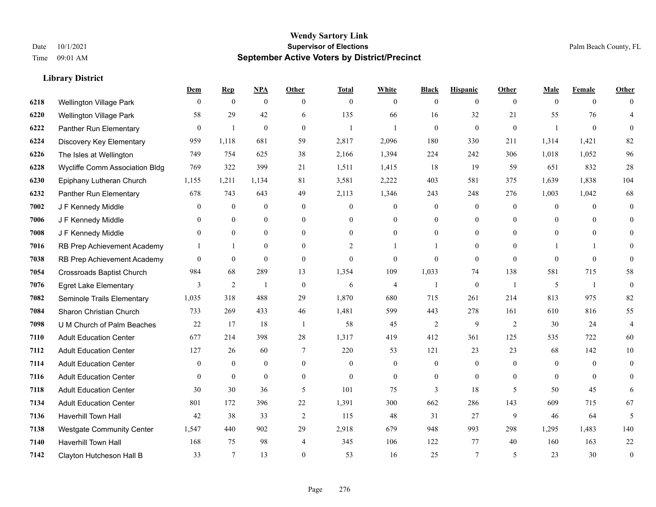|      |                                  | Dem          | <b>Rep</b>       | NPA              | <b>Other</b>   | <b>Total</b>   | <b>White</b>   | <b>Black</b>     | <b>Hispanic</b> | <b>Other</b>   | <b>Male</b>    | <b>Female</b>  | <b>Other</b>     |
|------|----------------------------------|--------------|------------------|------------------|----------------|----------------|----------------|------------------|-----------------|----------------|----------------|----------------|------------------|
| 6218 | Wellington Village Park          | $\mathbf{0}$ | $\mathbf{0}$     | $\boldsymbol{0}$ | $\theta$       | $\mathbf{0}$   | $\overline{0}$ | $\overline{0}$   | $\overline{0}$  | $\overline{0}$ | $\theta$       | $\overline{0}$ | $\Omega$         |
| 6220 | <b>Wellington Village Park</b>   | 58           | 29               | 42               | 6              | 135            | 66             | 16               | 32              | 21             | 55             | 76             | 4                |
| 6222 | Panther Run Elementary           | $\mathbf{0}$ | 1                | $\mathbf{0}$     | $\theta$       | 1              |                | $\mathbf{0}$     | $\overline{0}$  | $\mathbf{0}$   | $\overline{1}$ | $\mathbf{0}$   | $\theta$         |
| 6224 | Discovery Key Elementary         | 959          | 1,118            | 681              | 59             | 2,817          | 2,096          | 180              | 330             | 211            | 1,314          | 1,421          | 82               |
| 6226 | The Isles at Wellington          | 749          | 754              | 625              | 38             | 2,166          | 1,394          | 224              | 242             | 306            | 1,018          | 1,052          | 96               |
| 6228 | Wycliffe Comm Association Bldg   | 769          | 322              | 399              | 21             | 1,511          | 1,415          | 18               | 19              | 59             | 651            | 832            | $28\,$           |
| 6230 | Epiphany Lutheran Church         | 1,155        | 1,211            | 1,134            | 81             | 3,581          | 2,222          | 403              | 581             | 375            | 1,639          | 1,838          | 104              |
| 6232 | Panther Run Elementary           | 678          | 743              | 643              | 49             | 2,113          | 1,346          | 243              | 248             | 276            | 1,003          | 1,042          | 68               |
| 7002 | J F Kennedy Middle               | $\mathbf{0}$ | $\boldsymbol{0}$ | $\boldsymbol{0}$ | $\mathbf{0}$   | $\overline{0}$ | 0              | $\boldsymbol{0}$ | $\overline{0}$  | $\mathbf{0}$   | $\overline{0}$ | $\overline{0}$ | $\mathbf{0}$     |
| 7006 | J F Kennedy Middle               | $\theta$     | $\overline{0}$   | $\mathbf{0}$     | $\mathbf{0}$   | $\Omega$       | 0              | $\mathbf{0}$     | $\overline{0}$  | $\theta$       | $\theta$       | $\Omega$       | $\theta$         |
| 7008 | J F Kennedy Middle               | $\theta$     | $\theta$         | $\theta$         | $\theta$       | $\theta$       | $\overline{0}$ | $\Omega$         | $\Omega$        | $\theta$       | $\theta$       | $\theta$       | $\Omega$         |
| 7016 | RB Prep Achievement Academy      |              | $\mathbf{1}$     | $\mathbf{0}$     | $\Omega$       | $\overline{2}$ |                |                  | $\overline{0}$  | $\Omega$       |                |                | $\theta$         |
| 7038 | RB Prep Achievement Academy      | $\theta$     | $\mathbf{0}$     | $\theta$         | $\theta$       | $\theta$       | $\overline{0}$ | $\theta$         | $\overline{0}$  | $\theta$       | $\theta$       | $\theta$       | $\theta$         |
| 7054 | <b>Crossroads Baptist Church</b> | 984          | 68               | 289              | 13             | 1,354          | 109            | 1,033            | 74              | 138            | 581            | 715            | 58               |
| 7076 | <b>Egret Lake Elementary</b>     | 3            | 2                |                  | $\mathbf{0}$   | 6              | $\overline{4}$ |                  | $\mathbf{0}$    | $\overline{1}$ | 5              | $\overline{1}$ | $\mathbf{0}$     |
| 7082 | Seminole Trails Elementary       | 1,035        | 318              | 488              | 29             | 1,870          | 680            | 715              | 261             | 214            | 813            | 975            | 82               |
| 7084 | Sharon Christian Church          | 733          | 269              | 433              | 46             | 1,481          | 599            | 443              | 278             | 161            | 610            | 816            | 55               |
| 7098 | U M Church of Palm Beaches       | 22           | 17               | 18               | $\overline{1}$ | 58             | 45             | $\overline{c}$   | 9               | $\overline{2}$ | 30             | 24             | 4                |
| 7110 | <b>Adult Education Center</b>    | 677          | 214              | 398              | 28             | 1,317          | 419            | 412              | 361             | 125            | 535            | 722            | 60               |
| 7112 | <b>Adult Education Center</b>    | 127          | 26               | 60               | $\tau$         | 220            | 53             | 121              | 23              | 23             | 68             | 142            | $10\,$           |
| 7114 | <b>Adult Education Center</b>    | $\theta$     | $\overline{0}$   | $\mathbf{0}$     | $\theta$       | $\theta$       | $\overline{0}$ | $\mathbf{0}$     | $\overline{0}$  | $\theta$       | $\theta$       | $\theta$       | $\theta$         |
| 7116 | <b>Adult Education Center</b>    | $\theta$     | $\mathbf{0}$     | $\mathbf{0}$     | $\mathbf{0}$   | $\theta$       | $\overline{0}$ | $\overline{0}$   | $\mathbf{0}$    | $\theta$       | $\Omega$       | $\theta$       | $\Omega$         |
| 7118 | <b>Adult Education Center</b>    | 30           | 30               | 36               | 5              | 101            | 75             | 3                | 18              | 5              | 50             | 45             | 6                |
| 7134 | <b>Adult Education Center</b>    | 801          | 172              | 396              | 22             | 1,391          | 300            | 662              | 286             | 143            | 609            | 715            | 67               |
| 7136 | Haverhill Town Hall              | 42           | 38               | 33               | $\overline{2}$ | 115            | 48             | 31               | 27              | 9              | 46             | 64             | 5                |
| 7138 | <b>Westgate Community Center</b> | 1,547        | 440              | 902              | 29             | 2,918          | 679            | 948              | 993             | 298            | 1,295          | 1,483          | 140              |
| 7140 | Haverhill Town Hall              | 168          | 75               | 98               | $\overline{4}$ | 345            | 106            | 122              | 77              | 40             | 160            | 163            | $22\,$           |
| 7142 | Clayton Hutcheson Hall B         | 33           | $\tau$           | 13               | $\Omega$       | 53             | 16             | 25               | 7               | 5              | 23             | 30             | $\boldsymbol{0}$ |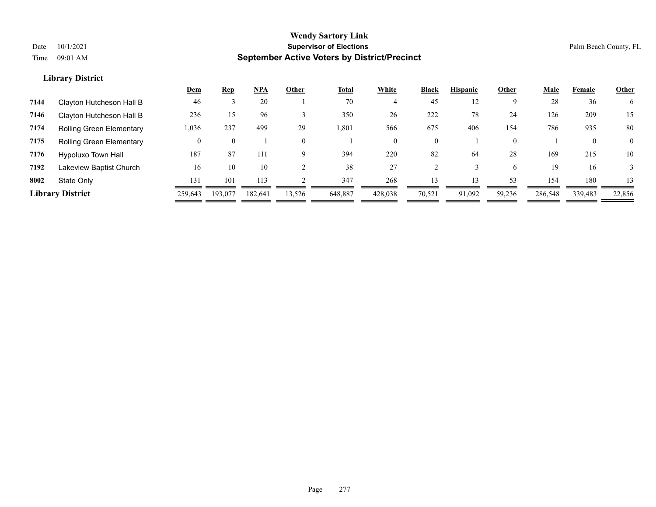|      |                                 | <u>Dem</u> | <u>Rep</u> | <b>NPA</b> | Other    | <b>Total</b> | White    | <b>Black</b>   | <b>Hispanic</b> | Other    | Male    | Female       | <b>Other</b> |
|------|---------------------------------|------------|------------|------------|----------|--------------|----------|----------------|-----------------|----------|---------|--------------|--------------|
| 7144 | Clayton Hutcheson Hall B        | 46         |            | 20         |          | 70           |          | 45             | 12              | 9        | 28      | 36           | 6            |
| 7146 | Clayton Hutcheson Hall B        | 236        | 15         | 96         |          | 350          | 26       | 222            | 78              | 24       | 126     | 209          | 15           |
| 7174 | <b>Rolling Green Elementary</b> | 1,036      | 237        | 499        | 29       | 1,801        | 566      | 675            | 406             | 154      | 786     | 935          | 80           |
| 7175 | <b>Rolling Green Elementary</b> | 0          | $\theta$   |            | $\theta$ |              | $\Omega$ | $\overline{0}$ |                 | $\theta$ |         | $\mathbf{0}$ | $\Omega$     |
| 7176 | Hypoluxo Town Hall              | 187        | 87         | 111        | 9        | 394          | 220      | 82             | -64             | 28       | 169     | 215          | 10           |
| 7192 | Lakeview Baptist Church         | 16         | 10         | 10         |          | 38           | 27       |                |                 | 6        | 19      | 16           |              |
| 8002 | State Only                      | 131        | 101        | 113        |          | 347          | 268      |                |                 | 53       | 154     | 180          | 13           |
|      | <b>Library District</b>         | 259,643    | 193,077    | 182,641    | 13,526   | 648,887      | 428,038  | 70,521         | 91,092          | 59,236   | 286,548 | 339,483      | 22,856       |
|      |                                 |            |            |            |          |              |          |                |                 |          |         |              |              |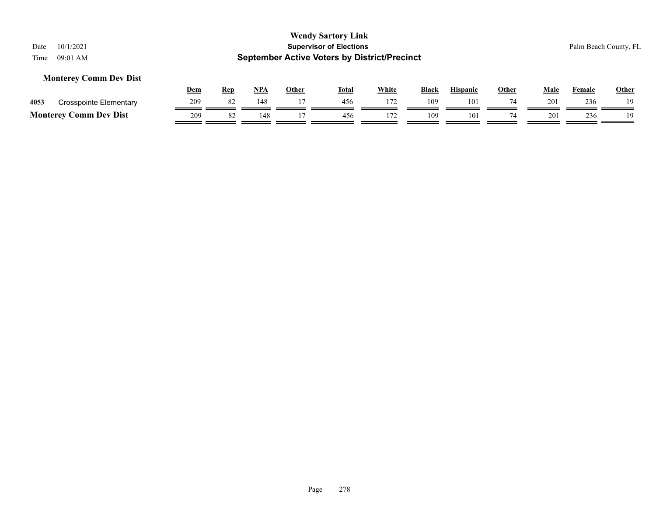## **Monterey Comm Dev Dist**

|      |                                         | Dem        | Rep | <b>NPA</b> | Other | <b>Total</b> | White | Black | Hispanic | Other | Male            | Female | <b>Other</b> |
|------|-----------------------------------------|------------|-----|------------|-------|--------------|-------|-------|----------|-------|-----------------|--------|--------------|
| 4053 | Crosspointe Elementary                  | <b>209</b> | -82 | 148        |       | 456          |       | 109   | 101      |       | 20 <sup>2</sup> | 236    | 19           |
|      | <b>Comm Dev Dist</b><br><b>Monterey</b> | 209        | -⊙∠ | 148        |       | 456          | 172   | 109   | 101      |       | 201             | 236    | 19           |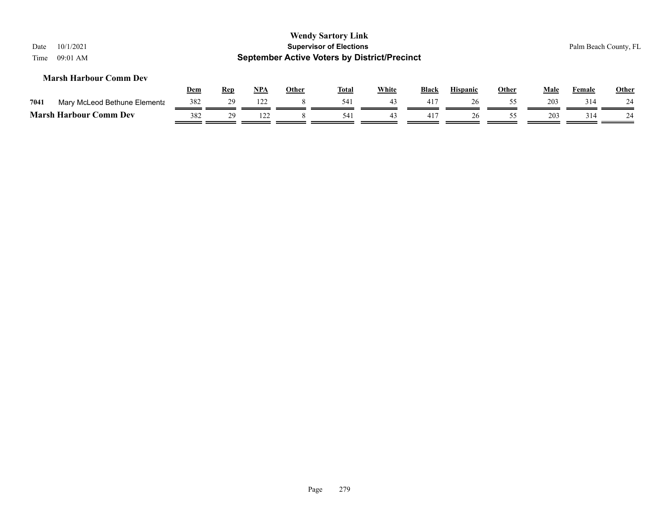| 10/1/2021<br>Date<br>$09:01$ AM<br>Time |            |            |            |       | <b>Wendy Sartory Link</b><br><b>Supervisor of Elections</b><br><b>September Active Voters by District/Precinct</b> |              |       |                 |              |      |        | Palm Beach County, FL |
|-----------------------------------------|------------|------------|------------|-------|--------------------------------------------------------------------------------------------------------------------|--------------|-------|-----------------|--------------|------|--------|-----------------------|
| <b>Marsh Harbour Comm Dev</b>           | <u>Dem</u> | <u>Rep</u> | <u>NPA</u> | Other | <u>Total</u>                                                                                                       | <b>White</b> | Black | <b>Hispanic</b> | <b>Other</b> | Male | Female | <b>Other</b>          |
| 7041<br>Mary McLeod Bethune Elementa    | 382        | 29         | 122        |       | 541                                                                                                                | 43           | 417   | 26              | 55           | 203  | 314    | 24                    |
| <b>Marsh Harbour Comm Dev</b>           | 382        | 29         | 122        |       | 541                                                                                                                | 43           | 417   | 26              | 55           | 203  | 314    | 24                    |
|                                         |            |            |            |       |                                                                                                                    |              |       |                 |              |      |        |                       |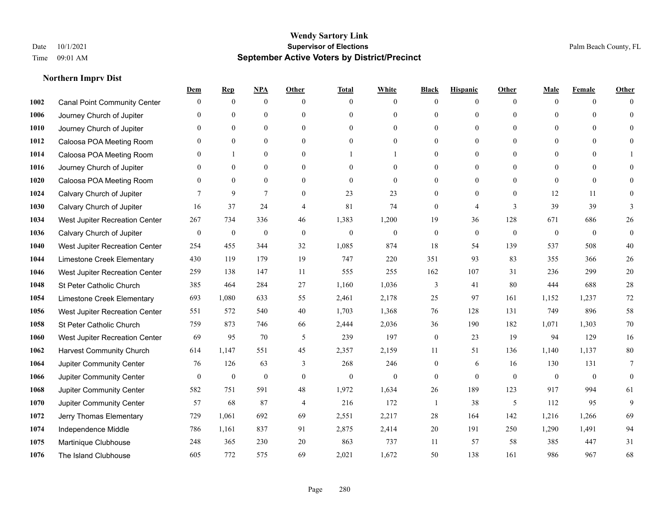|      |                                     | Dem              | <b>Rep</b>       | NPA              | <b>Other</b>   | <b>Total</b>     | <b>White</b>   | <b>Black</b>     | <b>Hispanic</b>  | <b>Other</b> | <b>Male</b>  | <b>Female</b>  | Other           |
|------|-------------------------------------|------------------|------------------|------------------|----------------|------------------|----------------|------------------|------------------|--------------|--------------|----------------|-----------------|
| 1002 | <b>Canal Point Community Center</b> | $\mathbf{0}$     | $\mathbf{0}$     | $\boldsymbol{0}$ | $\Omega$       | $\Omega$         | $\overline{0}$ | $\mathbf{0}$     | $\boldsymbol{0}$ | $\theta$     | $\theta$     | $\overline{0}$ | $\Omega$        |
| 1006 | Journey Church of Jupiter           | $\theta$         | $\theta$         | $\mathbf{0}$     | $\theta$       | $\Omega$         | $\overline{0}$ | $\overline{0}$   | $\mathbf{0}$     | $\theta$     | $\theta$     | $\theta$       | $\theta$        |
| 1010 | Journey Church of Jupiter           | 0                | $\theta$         | $\theta$         | $\Omega$       | $\Omega$         | $\Omega$       | $\Omega$         | $\theta$         | $\Omega$     | $\Omega$     | $\Omega$       | $\Omega$        |
| 1012 | Caloosa POA Meeting Room            | 0                | $\mathbf{0}$     | $\mathbf{0}$     | $\overline{0}$ | $\theta$         | $\overline{0}$ | $\overline{0}$   | $\boldsymbol{0}$ | $\theta$     | $\mathbf{0}$ | $\mathbf{0}$   | $\Omega$        |
| 1014 | Caloosa POA Meeting Room            | 0                |                  | $\mathbf{0}$     | $\theta$       |                  |                | $\overline{0}$   | $\mathbf{0}$     | $\theta$     | $\theta$     | $\Omega$       |                 |
| 1016 | Journey Church of Jupiter           | 0                | $\mathbf{0}$     | $\mathbf{0}$     | $\theta$       | $\Omega$         | $\mathbf{0}$   | $\overline{0}$   | $\mathbf{0}$     | $\Omega$     | $\theta$     | $\theta$       | $\Omega$        |
| 1020 | Caloosa POA Meeting Room            | $\overline{0}$   | $\mathbf{0}$     | $\mathbf{0}$     | $\overline{0}$ | $\mathbf{0}$     | $\mathbf{0}$   | $\boldsymbol{0}$ | $\boldsymbol{0}$ | $\mathbf{0}$ | $\mathbf{0}$ | $\mathbf{0}$   | $\mathbf{0}$    |
| 1024 | Calvary Church of Jupiter           |                  | 9                | $\overline{7}$   | $\theta$       | 23               | 23             | $\overline{0}$   | $\mathbf{0}$     | $\theta$     | 12           | 11             | $\Omega$        |
| 1030 | Calvary Church of Jupiter           | 16               | 37               | 24               | 4              | 81               | 74             | $\overline{0}$   | $\overline{4}$   | 3            | 39           | 39             | 3               |
| 1034 | West Jupiter Recreation Center      | 267              | 734              | 336              | 46             | 1,383            | 1,200          | 19               | 36               | 128          | 671          | 686            | 26              |
| 1036 | Calvary Church of Jupiter           | $\mathbf{0}$     | $\boldsymbol{0}$ | $\mathbf{0}$     | $\overline{0}$ | $\theta$         | $\mathbf{0}$   | $\boldsymbol{0}$ | $\mathbf{0}$     | $\theta$     | $\mathbf{0}$ | $\overline{0}$ | $\mathbf{0}$    |
| 1040 | West Jupiter Recreation Center      | 254              | 455              | 344              | 32             | 1,085            | 874            | 18               | 54               | 139          | 537          | 508            | $40\,$          |
| 1044 | Limestone Creek Elementary          | 430              | 119              | 179              | 19             | 747              | 220            | 351              | 93               | 83           | 355          | 366            | 26              |
| 1046 | West Jupiter Recreation Center      | 259              | 138              | 147              | 11             | 555              | 255            | 162              | 107              | 31           | 236          | 299            | $20\,$          |
| 1048 | St Peter Catholic Church            | 385              | 464              | 284              | 27             | 1,160            | 1,036          | 3                | 41               | 80           | 444          | 688            | $28\,$          |
| 1054 | Limestone Creek Elementary          | 693              | 1,080            | 633              | 55             | 2,461            | 2,178          | 25               | 97               | 161          | 1,152        | 1,237          | 72              |
| 1056 | West Jupiter Recreation Center      | 551              | 572              | 540              | 40             | 1,703            | 1,368          | 76               | 128              | 131          | 749          | 896            | 58              |
| 1058 | St Peter Catholic Church            | 759              | 873              | 746              | 66             | 2,444            | 2,036          | 36               | 190              | 182          | 1,071        | 1,303          | 70              |
| 1060 | West Jupiter Recreation Center      | 69               | 95               | 70               | 5              | 239              | 197            | $\boldsymbol{0}$ | 23               | 19           | 94           | 129            | 16              |
| 1062 | <b>Harvest Community Church</b>     | 614              | 1.147            | 551              | 45             | 2,357            | 2,159          | 11               | 51               | 136          | 1,140        | 1,137          | 80              |
| 1064 | Jupiter Community Center            | 76               | 126              | 63               | 3              | 268              | 246            | $\overline{0}$   | 6                | 16           | 130          | 131            | $7\phantom{.0}$ |
| 1066 | Jupiter Community Center            | $\boldsymbol{0}$ | $\boldsymbol{0}$ | $\boldsymbol{0}$ | $\mathbf{0}$   | $\boldsymbol{0}$ | $\overline{0}$ | $\boldsymbol{0}$ | $\mathbf{0}$     | $\mathbf{0}$ | $\mathbf{0}$ | $\mathbf{0}$   | $\mathbf{0}$    |
| 1068 | Jupiter Community Center            | 582              | 751              | 591              | 48             | 1,972            | 1,634          | 26               | 189              | 123          | 917          | 994            | 61              |
| 1070 | Jupiter Community Center            | 57               | 68               | 87               | $\overline{4}$ | 216              | 172            | 1                | 38               | 5            | 112          | 95             | 9               |
| 1072 | Jerry Thomas Elementary             | 729              | 1,061            | 692              | 69             | 2,551            | 2,217          | $28\,$           | 164              | 142          | 1,216        | 1,266          | 69              |
| 1074 | Independence Middle                 | 786              | 1,161            | 837              | 91             | 2,875            | 2,414          | 20               | 191              | 250          | 1,290        | 1,491          | 94              |
| 1075 | Martinique Clubhouse                | 248              | 365              | 230              | 20             | 863              | 737            | 11               | 57               | 58           | 385          | 447            | 31              |
| 1076 | The Island Clubhouse                | 605              | 772              | 575              | 69             | 2,021            | 1,672          | 50               | 138              | 161          | 986          | 967            | 68              |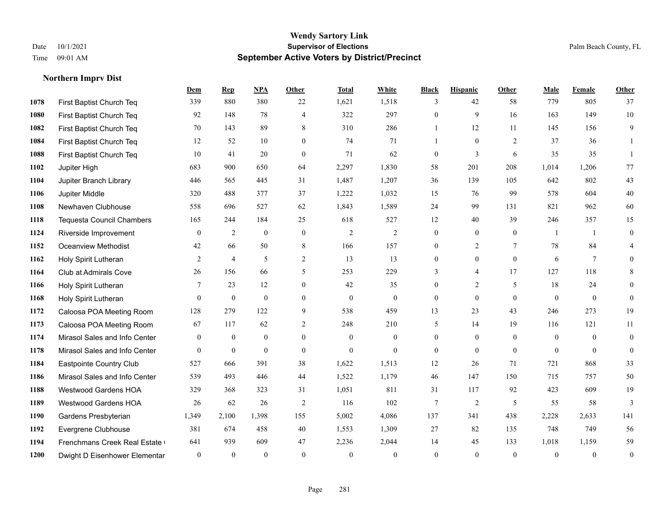|      |                                  | Dem            | <b>Rep</b>       | NPA              | <b>Other</b>   | <b>Total</b>     | White            | <b>Black</b>     | <b>Hispanic</b> | <b>Other</b>   | <b>Male</b>    | Female         | Other            |
|------|----------------------------------|----------------|------------------|------------------|----------------|------------------|------------------|------------------|-----------------|----------------|----------------|----------------|------------------|
| 1078 | First Baptist Church Teq         | 339            | 880              | 380              | 22             | 1,621            | 1,518            | 3                | 42              | 58             | 779            | 805            | 37               |
| 1080 | First Baptist Church Teq         | 92             | 148              | 78               | $\overline{4}$ | 322              | 297              | $\mathbf{0}$     | 9               | 16             | 163            | 149            | 10               |
| 1082 | First Baptist Church Teq         | 70             | 143              | 89               | 8              | 310              | 286              | $\mathbf{1}$     | 12              | 11             | 145            | 156            | 9                |
| 1084 | First Baptist Church Teq         | 12             | 52               | 10               | $\overline{0}$ | 74               | 71               | $\mathbf{1}$     | $\mathbf{0}$    | 2              | 37             | 36             | 1                |
| 1088 | First Baptist Church Teq         | 10             | 41               | 20               | $\overline{0}$ | 71               | 62               | $\boldsymbol{0}$ | $\mathfrak{Z}$  | 6              | 35             | 35             | 1                |
| 1102 | Jupiter High                     | 683            | 900              | 650              | 64             | 2,297            | 1,830            | 58               | 201             | 208            | 1,014          | 1,206          | 77               |
| 1104 | Jupiter Branch Library           | 446            | 565              | 445              | 31             | 1,487            | 1,207            | 36               | 139             | 105            | 642            | 802            | 43               |
| 1106 | Jupiter Middle                   | 320            | 488              | 377              | 37             | 1,222            | 1,032            | 15               | 76              | 99             | 578            | 604            | $40\,$           |
| 1108 | Newhaven Clubhouse               | 558            | 696              | 527              | 62             | 1,843            | 1,589            | 24               | 99              | 131            | 821            | 962            | 60               |
| 1118 | <b>Tequesta Council Chambers</b> | 165            | 244              | 184              | 25             | 618              | 527              | 12               | 40              | 39             | 246            | 357            | 15               |
| 1124 | Riverside Improvement            | $\overline{0}$ | 2                | $\mathbf{0}$     | $\mathbf{0}$   | 2                | $\overline{2}$   | $\mathbf{0}$     | $\mathbf{0}$    | $\overline{0}$ | $\overline{1}$ | -1             | $\boldsymbol{0}$ |
| 1152 | <b>Oceanview Methodist</b>       | 42             | 66               | 50               | 8              | 166              | 157              | $\mathbf{0}$     | $\overline{2}$  | $\tau$         | 78             | 84             | $\overline{4}$   |
| 1162 | Holy Spirit Lutheran             | $\overline{2}$ | $\overline{4}$   | 5                | 2              | 13               | 13               | $\mathbf{0}$     | $\mathbf{0}$    | $\theta$       | 6              | $\tau$         | $\overline{0}$   |
| 1164 | Club at Admirals Cove            | 26             | 156              | 66               | 5              | 253              | 229              | 3                | 4               | 17             | 127            | 118            | 8                |
| 1166 | Holy Spirit Lutheran             | 7              | 23               | 12               | $\Omega$       | 42               | 35               | $\mathbf{0}$     | $\overline{2}$  | 5              | 18             | 24             | $\theta$         |
| 1168 | Holy Spirit Lutheran             | $\overline{0}$ | $\boldsymbol{0}$ | $\mathbf{0}$     | $\overline{0}$ | $\boldsymbol{0}$ | $\boldsymbol{0}$ | $\mathbf{0}$     | $\mathbf{0}$    | $\overline{0}$ | $\mathbf{0}$   | $\mathbf{0}$   | $\mathbf{0}$     |
| 1172 | Caloosa POA Meeting Room         | 128            | 279              | 122              | 9              | 538              | 459              | 13               | 23              | 43             | 246            | 273            | 19               |
| 1173 | Caloosa POA Meeting Room         | 67             | 117              | 62               | $\overline{2}$ | 248              | 210              | 5                | 14              | 19             | 116            | 121            | $11\,$           |
| 1174 | Mirasol Sales and Info Center    | $\mathbf{0}$   | $\boldsymbol{0}$ | $\boldsymbol{0}$ | $\overline{0}$ | $\overline{0}$   | $\overline{0}$   | $\boldsymbol{0}$ | $\mathbf{0}$    | $\mathbf{0}$   | $\overline{0}$ | $\overline{0}$ | $\boldsymbol{0}$ |
| 1178 | Mirasol Sales and Info Center    | $\theta$       | $\mathbf{0}$     | $\mathbf{0}$     | $\theta$       | $\theta$         | $\overline{0}$   | $\mathbf{0}$     | $\theta$        | $\theta$       | $\theta$       | $\theta$       | $\mathbf{0}$     |
| 1184 | Eastpointe Country Club          | 527            | 666              | 391              | 38             | 1,622            | 1,513            | 12               | 26              | 71             | 721            | 868            | 33               |
| 1186 | Mirasol Sales and Info Center    | 539            | 493              | 446              | 44             | 1,522            | 1,179            | 46               | 147             | 150            | 715            | 757            | 50               |
| 1188 | <b>Westwood Gardens HOA</b>      | 329            | 368              | 323              | 31             | 1,051            | 811              | 31               | 117             | 92             | 423            | 609            | 19               |
| 1189 | Westwood Gardens HOA             | 26             | 62               | 26               | 2              | 116              | 102              | 7                | 2               | 5              | 55             | 58             | 3                |
| 1190 | Gardens Presbyterian             | 1,349          | 2,100            | 1,398            | 155            | 5,002            | 4,086            | 137              | 341             | 438            | 2,228          | 2,633          | 141              |
| 1192 | Evergrene Clubhouse              | 381            | 674              | 458              | 40             | 1,553            | 1,309            | 27               | 82              | 135            | 748            | 749            | 56               |
| 1194 | Frenchmans Creek Real Estate     | 641            | 939              | 609              | 47             | 2,236            | 2,044            | 14               | 45              | 133            | 1,018          | 1,159          | 59               |
| 1200 | Dwight D Eisenhower Elementar    | $\mathbf{0}$   | $\mathbf{0}$     | $\mathbf{0}$     | $\Omega$       | $\theta$         | $\mathbf{0}$     | $\mathbf{0}$     | $\theta$        | $\mathbf{0}$   | $\theta$       | $\theta$       | $\boldsymbol{0}$ |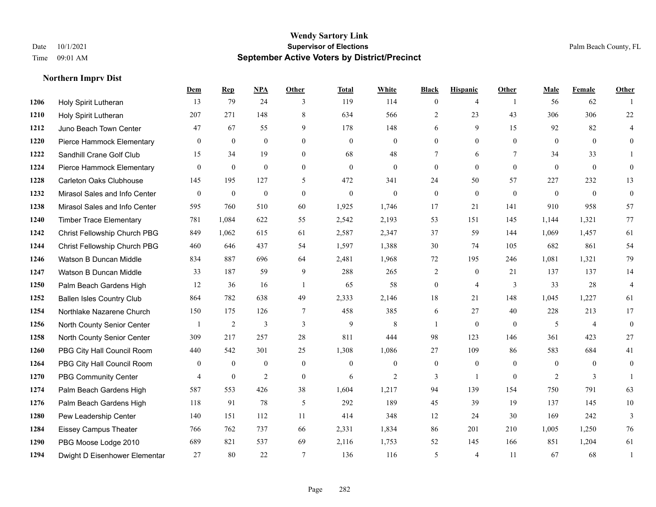|      |                                  | Dem              | <b>Rep</b>       | NPA              | <b>Other</b>   | <b>Total</b> | <b>White</b>     | <b>Black</b>     | <b>Hispanic</b> | <b>Other</b>   | <b>Male</b>    | Female         | <b>Other</b>     |
|------|----------------------------------|------------------|------------------|------------------|----------------|--------------|------------------|------------------|-----------------|----------------|----------------|----------------|------------------|
| 1206 | Holy Spirit Lutheran             | 13               | 79               | 24               | 3              | 119          | 114              | $\mathbf{0}$     | $\overline{4}$  | $\overline{1}$ | 56             | 62             | $\mathbf{1}$     |
| 1210 | Holy Spirit Lutheran             | 207              | 271              | 148              | 8              | 634          | 566              | $\overline{2}$   | 23              | 43             | 306            | 306            | $22\,$           |
| 1212 | Juno Beach Town Center           | 47               | 67               | 55               | 9              | 178          | 148              | 6                | 9               | 15             | 92             | 82             | 4                |
| 1220 | Pierce Hammock Elementary        | $\mathbf{0}$     | $\mathbf{0}$     | $\mathbf{0}$     | $\mathbf{0}$   | $\mathbf{0}$ | $\mathbf{0}$     | $\boldsymbol{0}$ | $\mathbf{0}$    | $\overline{0}$ | $\mathbf{0}$   | $\mathbf{0}$   | $\mathbf{0}$     |
| 1222 | Sandhill Crane Golf Club         | 15               | 34               | 19               | $\theta$       | 68           | 48               | $\tau$           | 6               | $\tau$         | 34             | 33             | 1                |
| 1224 | Pierce Hammock Elementary        | $\boldsymbol{0}$ | $\boldsymbol{0}$ | $\boldsymbol{0}$ | $\overline{0}$ | $\mathbf{0}$ | $\boldsymbol{0}$ | $\mathbf{0}$     | $\mathbf{0}$    | $\mathbf{0}$   | $\mathbf{0}$   | $\mathbf{0}$   | $\mathbf{0}$     |
| 1228 | <b>Carleton Oaks Clubhouse</b>   | 145              | 195              | 127              | 5              | 472          | 341              | 24               | 50              | 57             | 227            | 232            | 13               |
| 1232 | Mirasol Sales and Info Center    | $\mathbf{0}$     | $\overline{0}$   | $\mathbf{0}$     | $\Omega$       | $\theta$     | $\Omega$         | $\theta$         | $\theta$        | $\Omega$       | $\theta$       | $\theta$       | $\boldsymbol{0}$ |
| 1238 | Mirasol Sales and Info Center    | 595              | 760              | 510              | 60             | 1,925        | 1,746            | 17               | 21              | 141            | 910            | 958            | 57               |
| 1240 | <b>Timber Trace Elementary</b>   | 781              | 1,084            | 622              | 55             | 2,542        | 2,193            | 53               | 151             | 145            | 1,144          | 1,321          | 77               |
| 1242 | Christ Fellowship Church PBG     | 849              | 1,062            | 615              | 61             | 2,587        | 2,347            | 37               | 59              | 144            | 1,069          | 1,457          | 61               |
| 1244 | Christ Fellowship Church PBG     | 460              | 646              | 437              | 54             | 1,597        | 1,388            | 30               | 74              | 105            | 682            | 861            | 54               |
| 1246 | Watson B Duncan Middle           | 834              | 887              | 696              | 64             | 2,481        | 1,968            | 72               | 195             | 246            | 1,081          | 1,321          | 79               |
| 1247 | Watson B Duncan Middle           | 33               | 187              | 59               | 9              | 288          | 265              | 2                | $\overline{0}$  | 21             | 137            | 137            | 14               |
| 1250 | Palm Beach Gardens High          | 12               | 36               | 16               | $\overline{1}$ | 65           | 58               | $\mathbf{0}$     | $\overline{4}$  | 3              | 33             | 28             | $\overline{4}$   |
| 1252 | <b>Ballen Isles Country Club</b> | 864              | 782              | 638              | 49             | 2,333        | 2,146            | 18               | 21              | 148            | 1,045          | 1,227          | 61               |
| 1254 | Northlake Nazarene Church        | 150              | 175              | 126              | 7              | 458          | 385              | 6                | 27              | 40             | 228            | 213            | 17               |
| 1256 | North County Senior Center       |                  | 2                | 3                | 3              | 9            | 8                | $\mathbf{1}$     | $\mathbf{0}$    | $\theta$       | 5              | $\overline{4}$ | $\mathbf{0}$     |
| 1258 | North County Senior Center       | 309              | 217              | 257              | 28             | 811          | 444              | 98               | 123             | 146            | 361            | 423            | $27\,$           |
| 1260 | PBG City Hall Council Room       | 440              | 542              | 301              | 25             | 1,308        | 1,086            | 27               | 109             | 86             | 583            | 684            | 41               |
| 1264 | PBG City Hall Council Room       | $\theta$         | $\mathbf{0}$     | $\theta$         | $\theta$       | $\theta$     | $\overline{0}$   | $\mathbf{0}$     | $\theta$        | $\Omega$       | $\Omega$       | $\theta$       | $\mathbf{0}$     |
| 1270 | <b>PBG Community Center</b>      | 4                | $\boldsymbol{0}$ | $\overline{c}$   | $\mathbf{0}$   | 6            | $\overline{c}$   | 3                | $\mathbf{1}$    | $\mathbf{0}$   | $\overline{2}$ | $\mathfrak{Z}$ | $\mathbf{1}$     |
| 1274 | Palm Beach Gardens High          | 587              | 553              | 426              | 38             | 1,604        | 1,217            | 94               | 139             | 154            | 750            | 791            | 63               |
| 1276 | Palm Beach Gardens High          | 118              | 91               | 78               | 5              | 292          | 189              | 45               | 39              | 19             | 137            | 145            | 10               |
| 1280 | Pew Leadership Center            | 140              | 151              | 112              | 11             | 414          | 348              | 12               | 24              | 30             | 169            | 242            | $\overline{3}$   |
| 1284 | <b>Eissey Campus Theater</b>     | 766              | 762              | 737              | 66             | 2,331        | 1,834            | 86               | 201             | 210            | 1,005          | 1,250          | 76               |
| 1290 | PBG Moose Lodge 2010             | 689              | 821              | 537              | 69             | 2,116        | 1,753            | 52               | 145             | 166            | 851            | 1,204          | 61               |
| 1294 | Dwight D Eisenhower Elementar    | 27               | 80               | 22               | $\tau$         | 136          | 116              | 5                | 4               | 11             | 67             | 68             | 1                |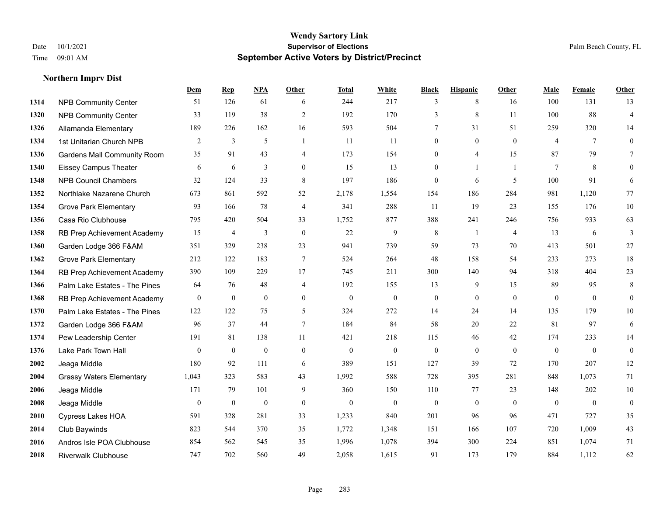**Northern Imprv Dist**

#### **Wendy Sartory Link** Date 10/1/2021 **Supervisor of Elections** Palm Beach County, FL Time 09:01 AM **September Active Voters by District/Precinct**

# **Dem Rep NPA Other Total White Black Hispanic Other Male Female Other** NPB Community Center 51 126 61 6 244 217 3 8 16 100 131 13 NPB Community Center **33** 119 38 2 192 170 3 8 11 100 88 4 Allamanda Elementary 189 226 162 16 593 504 7 31 51 259 320 14 1st Unitarian Church NPB 2 3 5 1 11 11 0 0 0 4 7 0 Gardens Mall Community Room 35 91 43 4 173 154 0 4 15 87 79 7 Eissey Campus Theater 6 6 6 3 0 15 13 0 1 1 7 8 0 NPB Council Chambers 32 124 33 8 197 186 0 6 5 100 91 6 Northlake Nazarene Church 673 861 592 52 2,178 1,554 154 186 284 981 1,120 77 **1354 Grove Park Elementary 00 93 166 78 4 341 288 11 19 23 155 176 10**  Casa Rio Clubhouse 795 420 504 33 1,752 877 388 241 246 756 933 63 RB Prep Achievement Academy 15 4 3 0 22 9 8 1 4 13 6 3 Garden Lodge 366 F&AM 351 329 238 23 941 739 59 73 70 413 501 27 Grove Park Elementary 212 122 183 7 524 264 48 158 54 233 273 18 RB Prep Achievement Academy 390 109 229 17 745 211 300 140 94 318 404 23 Palm Lake Estates - The Pines 64 76 48 4 192 155 13 9 15 89 95 8 RB Prep Achievement Academy 0 0 0 0 0 0 0 0 0 0 0 0 Palm Lake Estates - The Pines 122 122 75 5 324 272 14 24 14 135 179 10 Garden Lodge 366 F&AM 96 37 44 7 184 84 58 20 22 81 97 6 Pew Leadership Center 191 81 138 11 421 218 115 46 42 174 233 14 Lake Park Town Hall 0 0 0 0 0 0 0 0 0 0 0 0 Jeaga Middle 180 92 111 6 389 151 127 39 72 170 207 12 Grassy Waters Elementary 1,043 323 583 43 1,992 588 728 395 281 848 1,073 71 Jeaga Middle 171 79 101 9 360 150 110 77 23 148 202 10 Jeaga Middle 0 0 0 0 0 0 0 0 0 0 0 0 Cypress Lakes HOA 591 328 281 33 1,233 840 201 96 96 471 727 35 Club Baywinds 823 544 370 35 1,772 1,348 151 166 107 720 1,009 43 Andros Isle POA Clubhouse 854 562 545 35 1,996 1,078 394 300 224 851 1,074 71 Riverwalk Clubhouse 747 702 560 49 2,058 1,615 91 173 179 884 1,112 62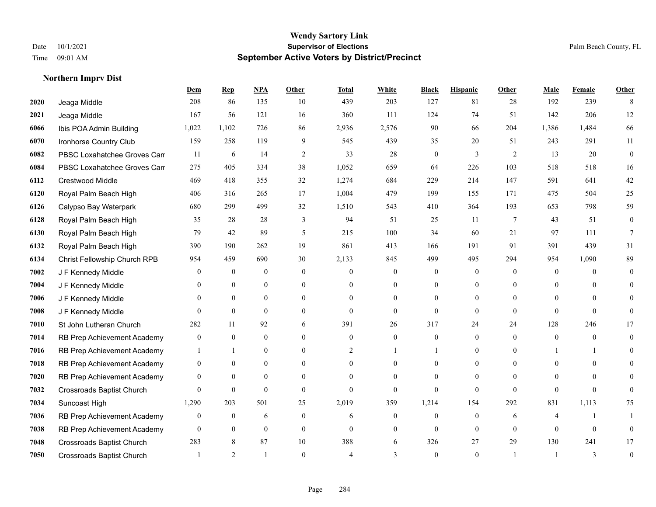**Northern Imprv Dist**

#### **Wendy Sartory Link** Date 10/1/2021 **Supervisor of Elections** Palm Beach County, FL Time 09:01 AM **September Active Voters by District/Precinct**

# **Dem Rep NPA Other Total White Black Hispanic Other Male Female Other** Jeaga Middle 208 86 135 10 439 203 127 81 28 192 239 8 Jeaga Middle 167 56 121 16 360 111 124 74 51 142 206 12 Ibis POA Admin Building 1,022 1,102 726 86 2,936 2,576 90 66 204 1,386 1,484 66 Ironhorse Country Club 159 258 119 9 545 439 35 20 51 243 291 11 **6082** PBSC Loxahatchee Groves Can 6  $14$  2  $33$  28 0  $3$  2  $13$  20 0 PBSC Loxahatchee Groves Campus 275 405 334 38 1,052 659 64 226 103 518 518 16 Crestwood Middle 469 418 355 32 1,274 684 229 214 147 591 641 42 Royal Palm Beach High 406 316 265 17 1,004 479 199 155 171 475 504 25 Calypso Bay Waterpark 680 299 499 32 1,510 543 410 364 193 653 798 59 Royal Palm Beach High 35 28 28 3 94 51 25 11 7 43 51 0 Royal Palm Beach High 79 42 89 5 215 100 34 60 21 97 111 7 Royal Palm Beach High 390 190 262 19 861 413 166 191 91 391 439 31 Christ Fellowship Church RPB 954 459 690 30 2,133 845 499 495 294 954 1,090 89 J F Kennedy Middle 0 0 0 0 0 0 0 0 0 0 0 0 J F Kennedy Middle 0 0 0 0 0 0 0 0 0 0 0 0 J F Kennedy Middle 0 0 0 0 0 0 0 0 0 0 0 0 J F Kennedy Middle 0 0 0 0 0 0 0 0 0 0 St John Lutheran Church 282 11 92 6 391 26 317 24 24 128 246 17 RB Prep Achievement Academy 0 0 0 0 0 0 0 0 0 0 0 0 RB Prep Achievement Academy 1 1 0 0 0 2 1 1 0 1 0 0 1 1 0 RB Prep Achievement Academy 0 0 0 0 0 0 0 0 0 0 0 0 RB Prep Achievement Academy 0 0 0 0 0 0 0 0 0 0 0 0 Crossroads Baptist Church 0 0 0 0 0 0 0 0 0 0 0 0 Suncoast High 1,290 203 501 25 2,019 359 1,214 154 292 831 1,113 75 RB Prep Achievement Academy 0 0 0 6 0 0 6 0 0 0 0 6 4 1 1 RB Prep Achievement Academy 0 0 0 0 0 0 0 0 0 0 0 0 Crossroads Baptist Church 283 8 87 10 388 6 326 27 29 130 241 17 Crossroads Baptist Church 1 2 1 0 4 3 0 1 1 3 0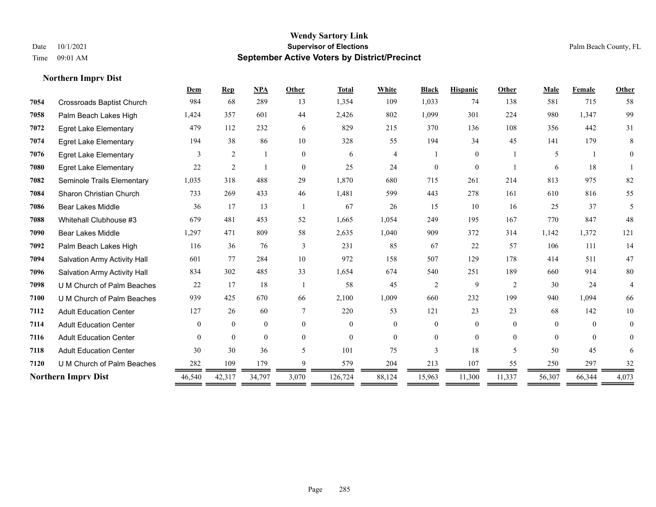|      |                                  | Dem            | <b>Rep</b>     | <b>NPA</b>     | Other    | <b>Total</b> | White          | <b>Black</b>   | <b>Hispanic</b> | Other                    | Male     | Female   | Other          |
|------|----------------------------------|----------------|----------------|----------------|----------|--------------|----------------|----------------|-----------------|--------------------------|----------|----------|----------------|
| 7054 | <b>Crossroads Baptist Church</b> | 984            | 68             | 289            | 13       | 1,354        | 109            | 1,033          | 74              | 138                      | 581      | 715      | 58             |
| 7058 | Palm Beach Lakes High            | 1,424          | 357            | 601            | 44       | 2,426        | 802            | 1,099          | 301             | 224                      | 980      | 1,347    | 99             |
| 7072 | <b>Egret Lake Elementary</b>     | 479            | 112            | 232            | 6        | 829          | 215            | 370            | 136             | 108                      | 356      | 442      | 31             |
| 7074 | <b>Egret Lake Elementary</b>     | 194            | 38             | 86             | 10       | 328          | 55             | 194            | 34              | 45                       | 141      | 179      | 8              |
| 7076 | <b>Egret Lake Elementary</b>     | 3              | $\overline{2}$ |                | $\theta$ | 6            | $\overline{4}$ |                | $\overline{0}$  |                          | 5        |          | $\theta$       |
| 7080 | <b>Egret Lake Elementary</b>     | 22             | $\overline{2}$ |                | $\theta$ | 25           | 24             | $\Omega$       | $\Omega$        |                          | 6        | 18       |                |
| 7082 | Seminole Trails Elementary       | 1,035          | 318            | 488            | 29       | 1,870        | 680            | 715            | 261             | 214                      | 813      | 975      | 82             |
| 7084 | Sharon Christian Church          | 733            | 269            | 433            | 46       | 1,481        | 599            | 443            | 278             | 161                      | 610      | 816      | 55             |
| 7086 | <b>Bear Lakes Middle</b>         | 36             | 17             | 13             |          | 67           | 26             | 15             | 10              | 16                       | 25       | 37       | 5              |
| 7088 | Whitehall Clubhouse #3           | 679            | 481            | 453            | 52       | 1,665        | 1,054          | 249            | 195             | 167                      | 770      | 847      | 48             |
| 7090 | <b>Bear Lakes Middle</b>         | 1,297          | 471            | 809            | 58       | 2,635        | 1,040          | 909            | 372             | 314                      | 1,142    | 1,372    | 121            |
| 7092 | Palm Beach Lakes High            | 116            | 36             | 76             | 3        | 231          | 85             | 67             | 22              | 57                       | 106      | 111      | 14             |
| 7094 | Salvation Army Activity Hall     | 601            | 77             | 284            | 10       | 972          | 158            | 507            | 129             | 178                      | 414      | 511      | 47             |
| 7096 | Salvation Army Activity Hall     | 834            | 302            | 485            | 33       | 1,654        | 674            | 540            | 251             | 189                      | 660      | 914      | 80             |
| 7098 | U M Church of Palm Beaches       | 22             | 17             | 18             |          | 58           | 45             | $\overline{2}$ | 9               | $\overline{2}$           | 30       | 24       | 4              |
| 7100 | U M Church of Palm Beaches       | 939            | 425            | 670            | 66       | 2,100        | 1,009          | 660            | 232             | 199                      | 940      | 1,094    | 66             |
| 7112 | <b>Adult Education Center</b>    | 127            | 26             | 60             | 7        | 220          | 53             | 121            | 23              | 23                       | 68       | 142      | 10             |
| 7114 | <b>Adult Education Center</b>    | $\overline{0}$ | $\mathbf{0}$   | $\overline{0}$ | $\theta$ | $\Omega$     | $\overline{0}$ | $\overline{0}$ | $\overline{0}$  | $\theta$                 | $\theta$ | $\Omega$ | $\overline{0}$ |
| 7116 | <b>Adult Education Center</b>    | $\Omega$       | $\theta$       | $\theta$       | $\theta$ | $\theta$     | $\Omega$       | $\Omega$       | $\Omega$        | $\theta$                 | $\theta$ | $\theta$ | $\theta$       |
| 7118 | <b>Adult Education Center</b>    | 30             | 30             | 36             | 5        | 101          | 75             | 3              | 18              | $\overline{\phantom{0}}$ | 50       | 45       | 6              |
| 7120 | U M Church of Palm Beaches       | 282            | 109            | 179            | 9        | 579          | 204            | 213            | 107             | 55                       | 250      | 297      | 32             |
|      | <b>Northern Imprv Dist</b>       | 46,540         | 42,317         | 34,797         | 3,070    | 126,724      | 88,124         | 15,963         | 11,300          | 11,337                   | 56,307   | 66,344   | 4,073          |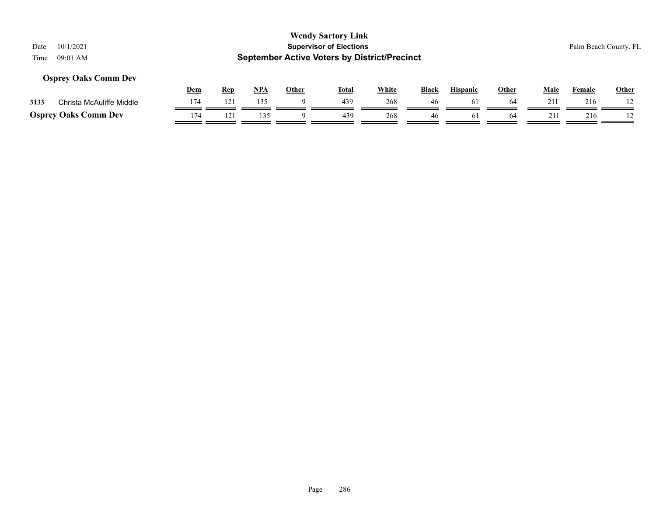# **Wendy Sartory Link** Date 10/1/2021 **Supervisor of Elections** Palm Beach County, FL Time 09:01 AM **September Active Voters by District/Precinct Dem Rep NPA Other Total White Black Hispanic Other Male Female Other Osprey Oaks Comm Dev**

| 121<br>135<br>439<br>268<br>216<br>Christa McAuliffe Middle<br>3133<br>46<br>174<br>268<br>135<br>439<br>216<br>46 |                             |  |  |  |  |  |  |  |
|--------------------------------------------------------------------------------------------------------------------|-----------------------------|--|--|--|--|--|--|--|
|                                                                                                                    |                             |  |  |  |  |  |  |  |
|                                                                                                                    | <b>Osprey Oaks Comm Dev</b> |  |  |  |  |  |  |  |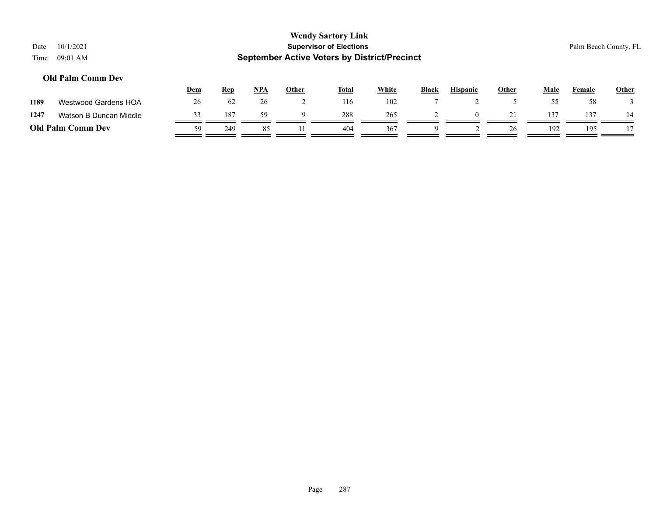| Date<br>Time | 10/1/2021<br>09:01 AM    |            |            |       |              | <b>Wendy Sartory Link</b><br><b>Supervisor of Elections</b><br><b>September Active Voters by District/Precinct</b> |              |              |                 |              |      |        | Palm Beach County, FL |
|--------------|--------------------------|------------|------------|-------|--------------|--------------------------------------------------------------------------------------------------------------------|--------------|--------------|-----------------|--------------|------|--------|-----------------------|
|              | <b>Old Palm Comm Dev</b> | <b>Dem</b> | <b>Rep</b> | $NPA$ | <b>Other</b> | <b>Total</b>                                                                                                       | <b>White</b> | <b>Black</b> | <b>Hispanic</b> | <b>Other</b> | Male | Female | <b>Other</b>          |
| 1189         | Westwood Gardens HOA     | 26         | 62         | 26    |              | 116                                                                                                                | 102          |              |                 |              | 55   | 58     |                       |
| 1247         | Watson B Duncan Middle   | 33         | 187        | 59    | 9            | 288                                                                                                                | 265          |              | $\theta$        | 21           | 137  | 137    | 14                    |
|              | <b>Old Palm Comm Dev</b> | 59         | 249        | 85    |              | 404                                                                                                                | 367          | 9            |                 | 26           | 192  | 195    |                       |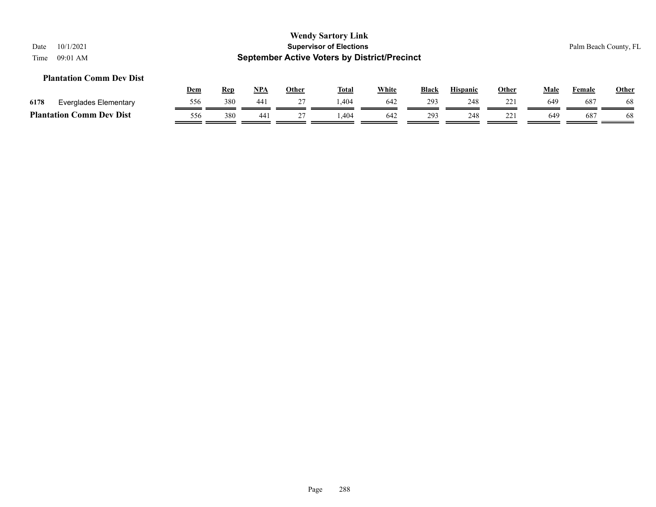#### **Plantation Comm Dev Dist**

|                                             |                       | <u>Dem</u> | <b>Rep</b> | <b>NPA</b> | Other | <b>Total</b> | <u>White</u> | Black | <b>Hispanic</b> | Other | Male            | Female | <b>Other</b> |
|---------------------------------------------|-----------------------|------------|------------|------------|-------|--------------|--------------|-------|-----------------|-------|-----------------|--------|--------------|
| 6178                                        | Everglades Elementary | 556        | 380        | 441        |       | 404.ء        | 642          | 293   | 248             |       | 649             | 687    | 68           |
| <b>Comm Dev Dist</b><br><b>Plantation (</b> |                       | 556        | 380        | 441        |       | .404         | 642          | 293   | 248             | 221   | 64 <sup>c</sup> | 687    | 68           |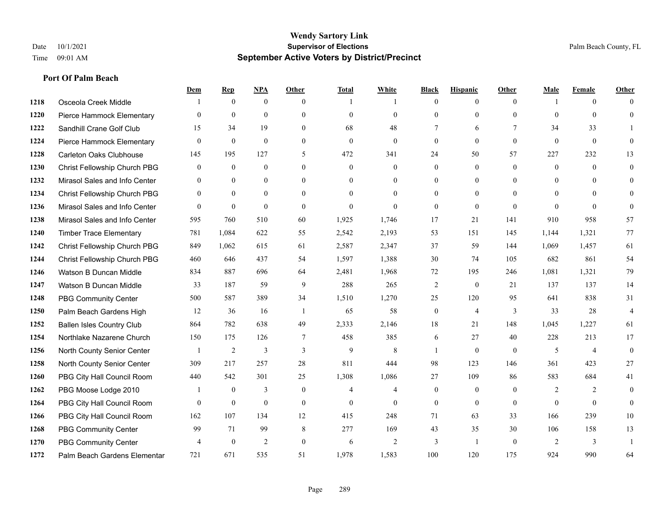|      |                                  | Dem            | <b>Rep</b>     | NPA            | <b>Other</b>   | <b>Total</b> | <b>White</b>   | <b>Black</b>     | <b>Hispanic</b> | <b>Other</b>   | <b>Male</b>    | <b>Female</b>  | <b>Other</b>   |
|------|----------------------------------|----------------|----------------|----------------|----------------|--------------|----------------|------------------|-----------------|----------------|----------------|----------------|----------------|
| 1218 | Osceola Creek Middle             |                | $\mathbf{0}$   | $\mathbf{0}$   | $\theta$       |              | -1             | $\mathbf{0}$     | $\overline{0}$  | $\theta$       |                | $\theta$       | $\Omega$       |
| 1220 | Pierce Hammock Elementary        | $\theta$       | $\mathbf{0}$   | $\mathbf{0}$   | $\theta$       | $\mathbf{0}$ | $\overline{0}$ | $\theta$         | $\mathbf{0}$    | $\theta$       | $\theta$       | $\theta$       | $\theta$       |
| 1222 | Sandhill Crane Golf Club         | 15             | 34             | 19             | $\Omega$       | 68           | 48             | 7                | 6               | $\tau$         | 34             | 33             |                |
| 1224 | Pierce Hammock Elementary        | $\mathbf{0}$   | $\mathbf{0}$   | $\mathbf{0}$   | $\mathbf{0}$   | $\mathbf{0}$ | $\overline{0}$ | $\boldsymbol{0}$ | $\mathbf{0}$    | $\overline{0}$ | $\mathbf{0}$   | $\mathbf{0}$   | $\Omega$       |
| 1228 | <b>Carleton Oaks Clubhouse</b>   | 145            | 195            | 127            | 5              | 472          | 341            | 24               | 50              | 57             | 227            | 232            | 13             |
| 1230 | Christ Fellowship Church PBG     | $\overline{0}$ | $\mathbf{0}$   | $\mathbf{0}$   | $\theta$       | $\mathbf{0}$ | $\mathbf{0}$   | $\mathbf{0}$     | $\mathbf{0}$    | $\theta$       | $\overline{0}$ | $\theta$       | $\mathbf{0}$   |
| 1232 | Mirasol Sales and Info Center    | $\theta$       | $\theta$       | $\mathbf{0}$   | $\theta$       | $\Omega$     | $\overline{0}$ | $\mathbf{0}$     | $\mathbf{0}$    | $\Omega$       | $\theta$       | $\Omega$       | $\Omega$       |
| 1234 | Christ Fellowship Church PBG     | $\Omega$       | $\theta$       | $\theta$       | $\Omega$       | $\Omega$     | $\overline{0}$ | $\theta$         | $\theta$        | $\Omega$       | $\theta$       | $\Omega$       | $\Omega$       |
| 1236 | Mirasol Sales and Info Center    | $\theta$       | $\mathbf{0}$   | $\mathbf{0}$   | $\theta$       | $\theta$     | $\Omega$       | $\mathbf{0}$     | $\mathbf{0}$    | $\theta$       | $\theta$       | $\theta$       | $\Omega$       |
| 1238 | Mirasol Sales and Info Center    | 595            | 760            | 510            | 60             | 1,925        | 1,746          | 17               | 21              | 141            | 910            | 958            | 57             |
| 1240 | <b>Timber Trace Elementary</b>   | 781            | 1,084          | 622            | 55             | 2,542        | 2,193          | 53               | 151             | 145            | 1,144          | 1,321          | 77             |
| 1242 | Christ Fellowship Church PBG     | 849            | 1,062          | 615            | 61             | 2,587        | 2,347          | 37               | 59              | 144            | 1,069          | 1,457          | 61             |
| 1244 | Christ Fellowship Church PBG     | 460            | 646            | 437            | 54             | 1,597        | 1,388          | 30               | 74              | 105            | 682            | 861            | 54             |
| 1246 | Watson B Duncan Middle           | 834            | 887            | 696            | 64             | 2,481        | 1,968          | 72               | 195             | 246            | 1,081          | 1,321          | 79             |
| 1247 | Watson B Duncan Middle           | 33             | 187            | 59             | 9              | 288          | 265            | $\overline{2}$   | $\mathbf{0}$    | 21             | 137            | 137            | 14             |
| 1248 | <b>PBG Community Center</b>      | 500            | 587            | 389            | 34             | 1,510        | 1,270          | 25               | 120             | 95             | 641            | 838            | 31             |
| 1250 | Palm Beach Gardens High          | 12             | 36             | 16             | -1             | 65           | 58             | $\boldsymbol{0}$ | $\overline{4}$  | 3              | 33             | 28             | $\overline{4}$ |
| 1252 | <b>Ballen Isles Country Club</b> | 864            | 782            | 638            | 49             | 2,333        | 2,146          | 18               | 21              | 148            | 1,045          | 1,227          | 61             |
| 1254 | Northlake Nazarene Church        | 150            | 175            | 126            | $\overline{7}$ | 458          | 385            | 6                | 27              | 40             | 228            | 213            | 17             |
| 1256 | North County Senior Center       | $\mathbf{1}$   | $\overline{2}$ | 3              | 3              | 9            | 8              | $\mathbf{1}$     | $\theta$        | $\theta$       | 5              | $\overline{4}$ | $\theta$       |
| 1258 | North County Senior Center       | 309            | 217            | 257            | 28             | 811          | 444            | 98               | 123             | 146            | 361            | 423            | 27             |
| 1260 | PBG City Hall Council Room       | 440            | 542            | 301            | 25             | 1,308        | 1,086          | 27               | 109             | 86             | 583            | 684            | 41             |
| 1262 | PBG Moose Lodge 2010             |                | $\mathbf{0}$   | 3              | $\mathbf{0}$   | 4            | $\overline{4}$ | $\mathbf{0}$     | $\mathbf{0}$    | $\theta$       | 2              | 2              | $\mathbf{0}$   |
| 1264 | PBG City Hall Council Room       | $\theta$       | $\mathbf{0}$   | $\theta$       | $\theta$       | $\theta$     | $\theta$       | $\mathbf{0}$     | $\theta$        | $\theta$       | $\theta$       | $\theta$       | $\theta$       |
| 1266 | PBG City Hall Council Room       | 162            | 107            | 134            | 12             | 415          | 248            | 71               | 63              | 33             | 166            | 239            | 10             |
| 1268 | <b>PBG Community Center</b>      | 99             | 71             | 99             | 8              | 277          | 169            | 43               | 35              | 30             | 106            | 158            | 13             |
| 1270 | <b>PBG Community Center</b>      | $\overline{4}$ | $\mathbf{0}$   | $\overline{2}$ | $\theta$       | 6            | $\overline{2}$ | 3                | $\overline{1}$  | $\theta$       | 2              | 3              |                |
| 1272 | Palm Beach Gardens Elementar     | 721            | 671            | 535            | 51             | 1,978        | 1,583          | 100              | 120             | 175            | 924            | 990            | 64             |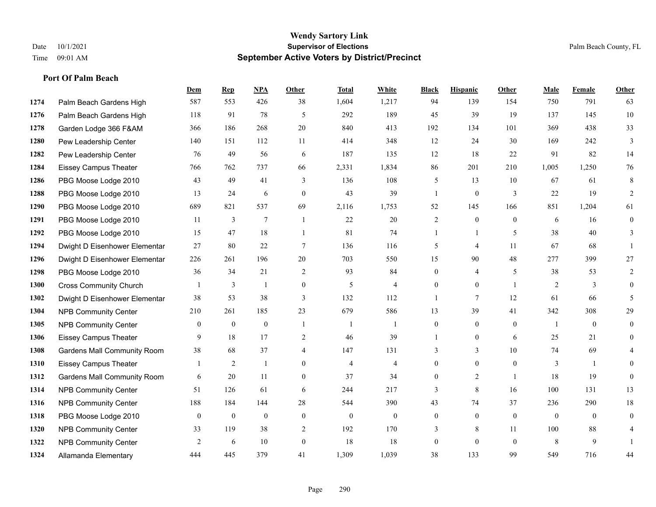|      |                                    | Dem            | <b>Rep</b>       | NPA              | <b>Other</b>   | <b>Total</b>   | <b>White</b>     | <b>Black</b>     | <b>Hispanic</b>  | <b>Other</b>   | <b>Male</b>  | <b>Female</b> | <b>Other</b>     |
|------|------------------------------------|----------------|------------------|------------------|----------------|----------------|------------------|------------------|------------------|----------------|--------------|---------------|------------------|
| 1274 | Palm Beach Gardens High            | 587            | 553              | 426              | 38             | 1,604          | 1,217            | 94               | 139              | 154            | 750          | 791           | 63               |
| 1276 | Palm Beach Gardens High            | 118            | 91               | 78               | 5              | 292            | 189              | 45               | 39               | 19             | 137          | 145           | 10               |
| 1278 | Garden Lodge 366 F&AM              | 366            | 186              | 268              | 20             | 840            | 413              | 192              | 134              | 101            | 369          | 438           | 33               |
| 1280 | Pew Leadership Center              | 140            | 151              | 112              | 11             | 414            | 348              | 12               | 24               | 30             | 169          | 242           | 3                |
| 1282 | Pew Leadership Center              | 76             | 49               | 56               | 6              | 187            | 135              | 12               | 18               | 22             | 91           | 82            | 14               |
| 1284 | <b>Eissey Campus Theater</b>       | 766            | 762              | 737              | 66             | 2,331          | 1,834            | 86               | 201              | 210            | 1,005        | 1,250         | 76               |
| 1286 | PBG Moose Lodge 2010               | 43             | 49               | 41               | 3              | 136            | 108              | 5                | 13               | 10             | 67           | 61            | 8                |
| 1288 | PBG Moose Lodge 2010               | 13             | 24               | 6                | $\overline{0}$ | 43             | 39               | $\mathbf{1}$     | $\boldsymbol{0}$ | 3              | 22           | 19            | $\overline{2}$   |
| 1290 | PBG Moose Lodge 2010               | 689            | 821              | 537              | 69             | 2,116          | 1,753            | 52               | 145              | 166            | 851          | 1,204         | 61               |
| 1291 | PBG Moose Lodge 2010               | 11             | 3                | $\tau$           | $\mathbf{1}$   | 22             | 20               | $\overline{c}$   | $\mathbf{0}$     | $\theta$       | 6            | 16            | $\boldsymbol{0}$ |
| 1292 | PBG Moose Lodge 2010               | 15             | 47               | 18               | $\mathbf{1}$   | 81             | 74               | $\mathbf{1}$     | $\mathbf{1}$     | 5              | 38           | 40            | 3                |
| 1294 | Dwight D Eisenhower Elementar      | 27             | 80               | 22               | $\tau$         | 136            | 116              | 5                | $\overline{4}$   | 11             | 67           | 68            | $\mathbf{1}$     |
| 1296 | Dwight D Eisenhower Elementar      | 226            | 261              | 196              | 20             | 703            | 550              | 15               | 90               | 48             | 277          | 399           | 27               |
| 1298 | PBG Moose Lodge 2010               | 36             | 34               | 21               | 2              | 93             | 84               | $\boldsymbol{0}$ | 4                | 5              | 38           | 53            | 2                |
| 1300 | <b>Cross Community Church</b>      |                | 3                | $\mathbf{1}$     | $\overline{0}$ | 5              | $\overline{4}$   | $\mathbf{0}$     | $\mathbf{0}$     | $\overline{1}$ | 2            | 3             | $\mathbf{0}$     |
| 1302 | Dwight D Eisenhower Elementar      | 38             | 53               | 38               | 3              | 132            | 112              | $\mathbf{1}$     | $\overline{7}$   | 12             | 61           | 66            | 5                |
| 1304 | <b>NPB Community Center</b>        | 210            | 261              | 185              | 23             | 679            | 586              | 13               | 39               | 41             | 342          | 308           | 29               |
| 1305 | <b>NPB Community Center</b>        | $\overline{0}$ | $\mathbf{0}$     | $\mathbf{0}$     | $\overline{1}$ |                | $\mathbf{1}$     | $\mathbf{0}$     | $\mathbf{0}$     | $\theta$       | -1           | $\theta$      | $\mathbf{0}$     |
| 1306 | Eissey Campus Theater              | 9              | 18               | 17               | 2              | 46             | 39               | 1                | $\mathbf{0}$     | 6              | 25           | 21            | $\theta$         |
| 1308 | <b>Gardens Mall Community Room</b> | 38             | 68               | 37               | $\overline{4}$ | 147            | 131              | 3                | 3                | 10             | 74           | 69            |                  |
| 1310 | <b>Eissey Campus Theater</b>       | 1              | 2                | 1                | $\Omega$       | $\overline{4}$ | 4                | $\boldsymbol{0}$ | $\overline{0}$   | $\theta$       | 3            | $\mathbf{1}$  | $\Omega$         |
| 1312 | <b>Gardens Mall Community Room</b> | 6              | 20               | 11               | $\overline{0}$ | 37             | 34               | $\boldsymbol{0}$ | $\overline{2}$   | $\overline{1}$ | 18           | 19            | $\mathbf{0}$     |
| 1314 | <b>NPB Community Center</b>        | 51             | 126              | 61               | 6              | 244            | 217              | 3                | 8                | 16             | 100          | 131           | 13               |
| 1316 | <b>NPB Community Center</b>        | 188            | 184              | 144              | 28             | 544            | 390              | 43               | 74               | 37             | 236          | 290           | 18               |
| 1318 | PBG Moose Lodge 2010               | $\overline{0}$ | $\boldsymbol{0}$ | $\boldsymbol{0}$ | $\mathbf{0}$   | $\mathbf{0}$   | $\boldsymbol{0}$ | $\boldsymbol{0}$ | $\boldsymbol{0}$ | $\mathbf{0}$   | $\mathbf{0}$ | $\mathbf{0}$  | $\mathbf{0}$     |
| 1320 | <b>NPB Community Center</b>        | 33             | 119              | 38               | 2              | 192            | 170              | 3                | 8                | 11             | 100          | 88            | 4                |
| 1322 | <b>NPB Community Center</b>        | 2              | 6                | 10               | $\Omega$       | 18             | 18               | $\boldsymbol{0}$ | $\mathbf{0}$     | $\theta$       | 8            | 9             |                  |
| 1324 | Allamanda Elementary               | 444            | 445              | 379              | 41             | 1,309          | 1,039            | 38               | 133              | 99             | 549          | 716           | 44               |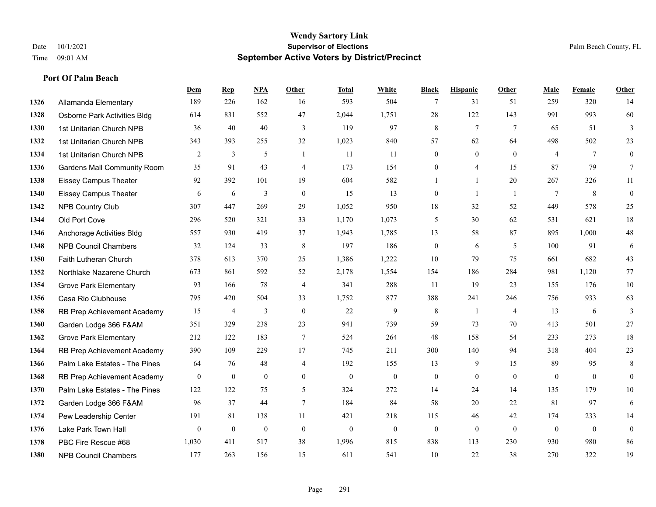**Port Of Palm Beach**

#### **Wendy Sartory Link** Date 10/1/2021 **Supervisor of Elections** Palm Beach County, FL Time 09:01 AM **September Active Voters by District/Precinct**

**Dem Rep NPA Other Total White Black Hispanic Other Male Female Other**

# Allamanda Elementary 189 226 162 16 593 504 7 31 51 259 320 14 Osborne Park Activities Bldg 614 831 552 47 2,044 1,751 28 122 143 991 993 60 1st Unitarian Church NPB 36 40 40 3 119 97 8 7 7 65 51 3 1st Unitarian Church NPB 343 393 255 32 1,023 840 57 62 64 498 502 23 1st Unitarian Church NPB 2 3 5 1 11 11 0 0 0 4 7 0 Gardens Mall Community Room 35 91 43 4 173 154 0 4 15 87 79 7 Eissey Campus Theater 92 392 101 19 604 582 1 1 20 267 326 11 Eissey Campus Theater 6 6 6 3 0 15 13 0 1 1 7 8 0 NPB Country Club 307 447 269 29 1,052 950 18 32 52 449 578 25 Old Port Cove 296 520 321 33 1,170 1,073 5 30 62 531 621 18 Anchorage Activities Bldg 557 930 419 37 1,943 1,785 13 58 87 895 1,000 48 NPB Council Chambers 32 124 33 8 197 186 0 6 5 100 91 6 Faith Lutheran Church 378 613 370 25 1,386 1,222 10 79 75 661 682 43 Northlake Nazarene Church 673 861 592 52 2,178 1,554 154 186 284 981 1,120 77 **1354 Grove Park Elementary 03 166 78 4 341 288 11 19 23 155 176 10**  Casa Rio Clubhouse 795 420 504 33 1,752 877 388 241 246 756 933 63 RB Prep Achievement Academy 15 4 3 0 22 9 8 1 4 13 6 3 Garden Lodge 366 F&AM 351 329 238 23 941 739 59 73 70 413 501 27 Grove Park Elementary 212 122 183 7 524 264 48 158 54 233 273 18 RB Prep Achievement Academy 390 109 229 17 745 211 300 140 94 318 404 23 Palm Lake Estates - The Pines 64 76 48 4 192 155 13 9 15 89 95 8 RB Prep Achievement Academy 0 0 0 0 0 0 0 0 0 0 0 0 Palm Lake Estates - The Pines 122 122 75 5 324 272 14 24 14 135 179 10 Garden Lodge 366 F&AM 96 37 44 7 184 84 58 20 22 81 97 6 Pew Leadership Center 191 81 138 11 421 218 115 46 42 174 233 14 Lake Park Town Hall 0 0 0 0 0 0 0 0 0 0 0 0 PBC Fire Rescue #68 1,030 411 517 38 1,996 815 838 113 230 930 980 86

NPB Council Chambers 177 263 156 15 611 541 10 22 38 270 322 19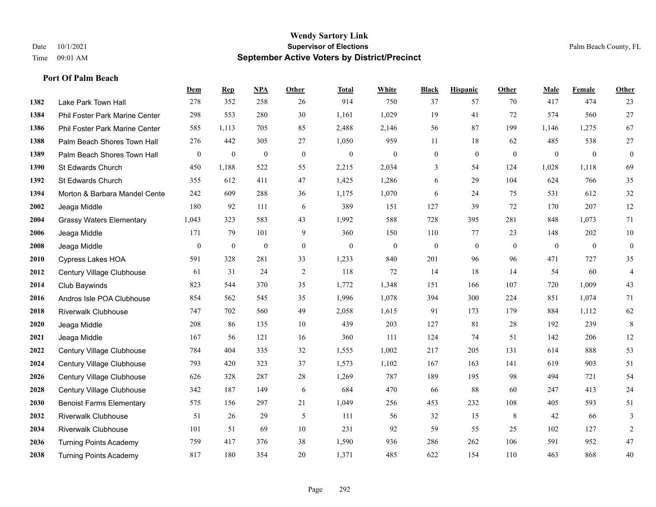**Port Of Palm Beach**

#### **Wendy Sartory Link** Date 10/1/2021 **Supervisor of Elections** Palm Beach County, FL Time 09:01 AM **September Active Voters by District/Precinct**

|      |                                       | Dem              | <b>Rep</b>       | NPA              | Other            | <b>Total</b>     | White            | <b>Black</b>     | <b>Hispanic</b> | Other          | Male           | Female       | Other            |
|------|---------------------------------------|------------------|------------------|------------------|------------------|------------------|------------------|------------------|-----------------|----------------|----------------|--------------|------------------|
| 1382 | Lake Park Town Hall                   | 278              | 352              | 258              | 26               | 914              | 750              | 37               | 57              | 70             | 417            | 474          | 23               |
| 1384 | <b>Phil Foster Park Marine Center</b> | 298              | 553              | 280              | 30               | 1,161            | 1,029            | 19               | 41              | 72             | 574            | 560          | $27\,$           |
| 1386 | Phil Foster Park Marine Center        | 585              | 1,113            | 705              | 85               | 2,488            | 2,146            | 56               | 87              | 199            | 1,146          | 1,275        | 67               |
| 1388 | Palm Beach Shores Town Hall           | 276              | 442              | 305              | 27               | 1,050            | 959              | 11               | 18              | 62             | 485            | 538          | $27\,$           |
| 1389 | Palm Beach Shores Town Hall           | $\boldsymbol{0}$ | $\boldsymbol{0}$ | $\mathbf{0}$     | $\boldsymbol{0}$ | $\boldsymbol{0}$ | $\boldsymbol{0}$ | $\boldsymbol{0}$ | $\mathbf{0}$    | $\overline{0}$ | $\overline{0}$ | $\mathbf{0}$ | $\boldsymbol{0}$ |
| 1390 | St Edwards Church                     | 450              | 1,188            | 522              | 55               | 2,215            | 2,034            | 3                | 54              | 124            | 1,028          | 1,118        | 69               |
| 1392 | St Edwards Church                     | 355              | 612              | 411              | 47               | 1,425            | 1,286            | 6                | 29              | 104            | 624            | 766          | 35               |
| 1394 | Morton & Barbara Mandel Cente         | 242              | 609              | 288              | 36               | 1,175            | 1,070            | 6                | 24              | 75             | 531            | 612          | 32               |
| 2002 | Jeaga Middle                          | 180              | 92               | 111              | 6                | 389              | 151              | 127              | 39              | 72             | 170            | 207          | 12               |
| 2004 | <b>Grassy Waters Elementary</b>       | 1,043            | 323              | 583              | 43               | 1,992            | 588              | 728              | 395             | 281            | 848            | 1,073        | 71               |
| 2006 | Jeaga Middle                          | 171              | 79               | 101              | 9                | 360              | 150              | 110              | 77              | 23             | 148            | 202          | $10\,$           |
| 2008 | Jeaga Middle                          | $\mathbf{0}$     | $\boldsymbol{0}$ | $\boldsymbol{0}$ | $\boldsymbol{0}$ | $\boldsymbol{0}$ | $\mathbf{0}$     | $\boldsymbol{0}$ | $\mathbf{0}$    | $\overline{0}$ | $\mathbf{0}$   | $\mathbf{0}$ | $\boldsymbol{0}$ |
| 2010 | <b>Cypress Lakes HOA</b>              | 591              | 328              | 281              | 33               | 1,233            | 840              | 201              | 96              | 96             | 471            | 727          | 35               |
| 2012 | Century Village Clubhouse             | 61               | 31               | 24               | $\overline{2}$   | 118              | 72               | 14               | 18              | 14             | 54             | 60           | $\overline{4}$   |
| 2014 | Club Baywinds                         | 823              | 544              | 370              | 35               | 1,772            | 1,348            | 151              | 166             | 107            | 720            | 1,009        | 43               |
| 2016 | Andros Isle POA Clubhouse             | 854              | 562              | 545              | 35               | 1,996            | 1,078            | 394              | 300             | 224            | 851            | 1,074        | 71               |
| 2018 | <b>Riverwalk Clubhouse</b>            | 747              | 702              | 560              | 49               | 2,058            | 1,615            | 91               | 173             | 179            | 884            | 1,112        | 62               |
| 2020 | Jeaga Middle                          | 208              | 86               | 135              | 10               | 439              | 203              | 127              | 81              | 28             | 192            | 239          | $\,8\,$          |
| 2021 | Jeaga Middle                          | 167              | 56               | 121              | 16               | 360              | 111              | 124              | 74              | 51             | 142            | 206          | 12               |
| 2022 | Century Village Clubhouse             | 784              | 404              | 335              | 32               | 1,555            | 1,002            | 217              | 205             | 131            | 614            | 888          | 53               |
| 2024 | Century Village Clubhouse             | 793              | 420              | 323              | 37               | 1,573            | 1,102            | 167              | 163             | 141            | 619            | 903          | 51               |
| 2026 | Century Village Clubhouse             | 626              | 328              | 287              | $28\,$           | 1,269            | 787              | 189              | 195             | 98             | 494            | 721          | 54               |
| 2028 | Century Village Clubhouse             | 342              | 187              | 149              | 6                | 684              | 470              | 66               | 88              | 60             | 247            | 413          | 24               |
| 2030 | <b>Benoist Farms Elementary</b>       | 575              | 156              | 297              | 21               | 1,049            | 256              | 453              | 232             | 108            | 405            | 593          | 51               |
| 2032 | <b>Riverwalk Clubhouse</b>            | 51               | 26               | 29               | 5                | 111              | 56               | 32               | 15              | 8              | 42             | 66           | $\mathfrak{Z}$   |
| 2034 | <b>Riverwalk Clubhouse</b>            | 101              | 51               | 69               | 10               | 231              | 92               | 59               | 55              | 25             | 102            | 127          | $\overline{2}$   |
| 2036 | <b>Turning Points Academy</b>         | 759              | 417              | 376              | 38               | 1,590            | 936              | 286              | 262             | 106            | 591            | 952          | 47               |
| 2038 | <b>Turning Points Academy</b>         | 817              | 180              | 354              | 20               | 1,371            | 485              | 622              | 154             | 110            | 463            | 868          | 40               |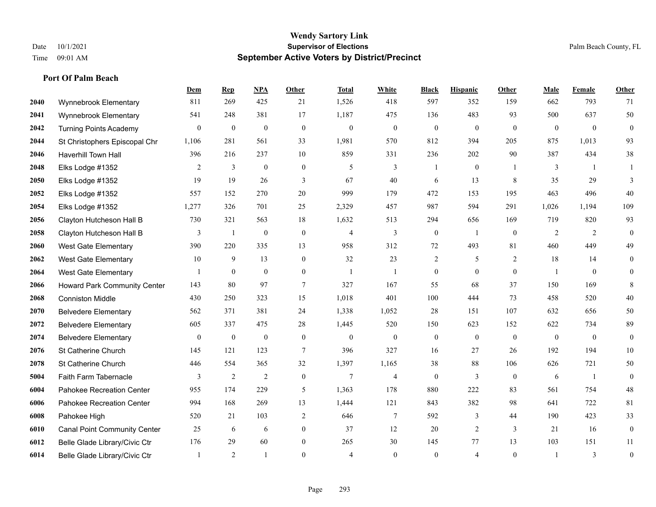|      |                                     | Dem              | <b>Rep</b>   | NPA              | <b>Other</b>     | <b>Total</b>     | <b>White</b>     | <b>Black</b>     | <b>Hispanic</b>  | <b>Other</b>   | <b>Male</b>    | <b>Female</b>  | <b>Other</b>     |
|------|-------------------------------------|------------------|--------------|------------------|------------------|------------------|------------------|------------------|------------------|----------------|----------------|----------------|------------------|
| 2040 | Wynnebrook Elementary               | 811              | 269          | 425              | 21               | 1,526            | 418              | 597              | 352              | 159            | 662            | 793            | 71               |
| 2041 | Wynnebrook Elementary               | 541              | 248          | 381              | 17               | 1,187            | 475              | 136              | 483              | 93             | 500            | 637            | 50               |
| 2042 | <b>Turning Points Academy</b>       | 0                | $\mathbf{0}$ | $\boldsymbol{0}$ | $\boldsymbol{0}$ | $\boldsymbol{0}$ | $\boldsymbol{0}$ | $\boldsymbol{0}$ | $\boldsymbol{0}$ | $\overline{0}$ | $\overline{0}$ | $\overline{0}$ | $\boldsymbol{0}$ |
| 2044 | St Christophers Episcopal Chr       | 1,106            | 281          | 561              | 33               | 1,981            | 570              | 812              | 394              | 205            | 875            | 1,013          | 93               |
| 2046 | Haverhill Town Hall                 | 396              | 216          | 237              | 10               | 859              | 331              | 236              | 202              | 90             | 387            | 434            | 38               |
| 2048 | Elks Lodge #1352                    | 2                | 3            | $\boldsymbol{0}$ | $\boldsymbol{0}$ | 5                | 3                |                  | $\boldsymbol{0}$ |                | 3              | -1             |                  |
| 2050 | Elks Lodge #1352                    | 19               | 19           | 26               | 3                | 67               | 40               | 6                | 13               | 8              | 35             | 29             | 3                |
| 2052 | Elks Lodge #1352                    | 557              | 152          | 270              | 20               | 999              | 179              | 472              | 153              | 195            | 463            | 496            | 40               |
| 2054 | Elks Lodge #1352                    | 1,277            | 326          | 701              | 25               | 2,329            | 457              | 987              | 594              | 291            | 1,026          | 1,194          | 109              |
| 2056 | Clayton Hutcheson Hall B            | 730              | 321          | 563              | 18               | 1,632            | 513              | 294              | 656              | 169            | 719            | 820            | 93               |
| 2058 | Clayton Hutcheson Hall B            | 3                | -1           | $\mathbf{0}$     | $\mathbf{0}$     | $\overline{4}$   | $\overline{3}$   | $\mathbf{0}$     | $\mathbf{1}$     | $\theta$       | 2              | 2              | $\mathbf{0}$     |
| 2060 | <b>West Gate Elementary</b>         | 390              | 220          | 335              | 13               | 958              | 312              | 72               | 493              | 81             | 460            | 449            | 49               |
| 2062 | West Gate Elementary                | 10               | 9            | 13               | $\overline{0}$   | 32               | 23               | $\overline{c}$   | 5                | 2              | 18             | 14             | $\boldsymbol{0}$ |
| 2064 | <b>West Gate Elementary</b>         | 1                | $\mathbf{0}$ | $\boldsymbol{0}$ | $\overline{0}$   | $\mathbf{1}$     | 1                | $\boldsymbol{0}$ | $\boldsymbol{0}$ | $\mathbf{0}$   |                | $\bf{0}$       | $\mathbf{0}$     |
| 2066 | <b>Howard Park Community Center</b> | 143              | 80           | 97               | 7                | 327              | 167              | 55               | 68               | 37             | 150            | 169            | $\,8\,$          |
| 2068 | <b>Conniston Middle</b>             | 430              | 250          | 323              | 15               | 1,018            | 401              | 100              | 444              | 73             | 458            | 520            | 40               |
| 2070 | <b>Belvedere Elementary</b>         | 562              | 371          | 381              | 24               | 1,338            | 1,052            | 28               | 151              | 107            | 632            | 656            | $50\,$           |
| 2072 | <b>Belvedere Elementary</b>         | 605              | 337          | 475              | 28               | 1,445            | 520              | 150              | 623              | 152            | 622            | 734            | 89               |
| 2074 | <b>Belvedere Elementary</b>         | $\boldsymbol{0}$ | $\mathbf{0}$ | $\boldsymbol{0}$ | $\boldsymbol{0}$ | $\mathbf{0}$     | $\boldsymbol{0}$ | $\boldsymbol{0}$ | $\mathbf{0}$     | $\mathbf{0}$   | $\mathbf{0}$   | $\mathbf{0}$   | $\mathbf{0}$     |
| 2076 | St Catherine Church                 | 145              | 121          | 123              | $7\phantom{.0}$  | 396              | 327              | 16               | 27               | 26             | 192            | 194            | $10\,$           |
| 2078 | St Catherine Church                 | 446              | 554          | 365              | 32               | 1,397            | 1,165            | 38               | 88               | 106            | 626            | 721            | 50               |
| 5004 | Faith Farm Tabernacle               | 3                | 2            | 2                | $\mathbf{0}$     | $\overline{7}$   | $\overline{4}$   | $\mathbf{0}$     | 3                | $\theta$       | 6              | $\mathbf{1}$   | $\mathbf{0}$     |
| 6004 | Pahokee Recreation Center           | 955              | 174          | 229              | 5                | 1,363            | 178              | 880              | 222              | 83             | 561            | 754            | 48               |
| 6006 | Pahokee Recreation Center           | 994              | 168          | 269              | 13               | 1,444            | 121              | 843              | 382              | 98             | 641            | 722            | 81               |
| 6008 | Pahokee High                        | 520              | 21           | 103              | $\overline{2}$   | 646              | $\overline{7}$   | 592              | 3                | 44             | 190            | 423            | 33               |
| 6010 | <b>Canal Point Community Center</b> | 25               | 6            | 6                | $\overline{0}$   | 37               | 12               | 20               | $\overline{2}$   | 3              | 21             | 16             | $\boldsymbol{0}$ |
| 6012 | Belle Glade Library/Civic Ctr       | 176              | 29           | 60               | $\overline{0}$   | 265              | 30               | 145              | 77               | 13             | 103            | 151            | 11               |
| 6014 | Belle Glade Library/Civic Ctr       |                  | 2            | $\mathbf{1}$     | $\theta$         | $\overline{4}$   | $\Omega$         | $\theta$         | $\overline{4}$   | $\theta$       |                | 3              | $\boldsymbol{0}$ |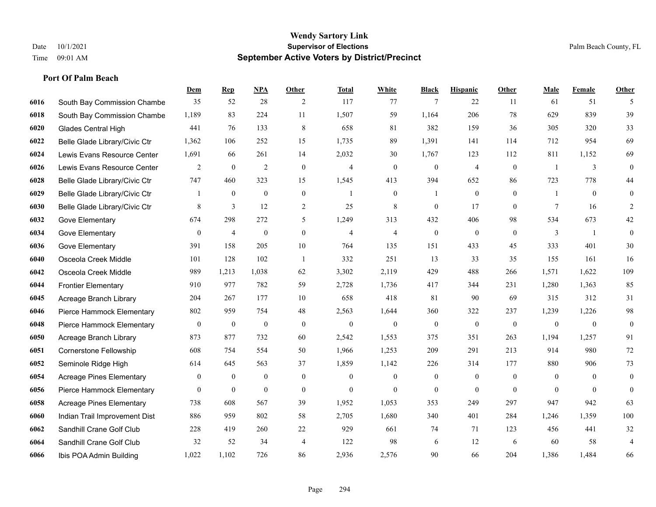|      |                                 | Dem            | <b>Rep</b>     | NPA              | <b>Other</b>     | <b>Total</b>   | <b>White</b>     | <b>Black</b>     | <b>Hispanic</b>  | Other          | <b>Male</b>    | <b>Female</b>  | <b>Other</b>     |
|------|---------------------------------|----------------|----------------|------------------|------------------|----------------|------------------|------------------|------------------|----------------|----------------|----------------|------------------|
| 6016 | South Bay Commission Chambe     | 35             | 52             | 28               | 2                | 117            | 77               | 7                | 22               | 11             | 61             | 51             | 5                |
| 6018 | South Bay Commission Chambe     | 1,189          | 83             | 224              | 11               | 1,507          | 59               | 1.164            | 206              | 78             | 629            | 839            | 39               |
| 6020 | <b>Glades Central High</b>      | 441            | 76             | 133              | 8                | 658            | 81               | 382              | 159              | 36             | 305            | 320            | 33               |
| 6022 | Belle Glade Library/Civic Ctr   | 1,362          | 106            | 252              | 15               | 1,735          | 89               | 1,391            | 141              | 114            | 712            | 954            | 69               |
| 6024 | Lewis Evans Resource Center     | 1,691          | 66             | 261              | 14               | 2,032          | 30               | 1,767            | 123              | 112            | 811            | 1,152          | 69               |
| 6026 | Lewis Evans Resource Center     | 2              | $\mathbf{0}$   | $\overline{2}$   | $\mathbf{0}$     | $\overline{4}$ | $\mathbf{0}$     | $\mathbf{0}$     | $\overline{4}$   | $\mathbf{0}$   | $\overline{1}$ | 3              | $\mathbf{0}$     |
| 6028 | Belle Glade Library/Civic Ctr   | 747            | 460            | 323              | 15               | 1,545          | 413              | 394              | 652              | 86             | 723            | 778            | $44\,$           |
| 6029 | Belle Glade Library/Civic Ctr   | 1              | $\overline{0}$ | $\mathbf{0}$     | $\mathbf{0}$     |                | $\mathbf{0}$     |                  | $\mathbf{0}$     | $\theta$       |                | $\theta$       | $\mathbf{0}$     |
| 6030 | Belle Glade Library/Civic Ctr   | 8              | $\mathfrak{Z}$ | 12               | $\overline{c}$   | 25             | 8                | $\boldsymbol{0}$ | 17               | $\mathbf{0}$   | 7              | 16             | 2                |
| 6032 | Gove Elementary                 | 674            | 298            | 272              | 5                | 1,249          | 313              | 432              | 406              | 98             | 534            | 673            | $42\,$           |
| 6034 | Gove Elementary                 | $\overline{0}$ | 4              | $\boldsymbol{0}$ | $\overline{0}$   | $\overline{4}$ | $\overline{4}$   | $\boldsymbol{0}$ | $\mathbf{0}$     | $\theta$       | 3              | $\mathbf{1}$   | $\mathbf{0}$     |
| 6036 | Gove Elementary                 | 391            | 158            | 205              | 10               | 764            | 135              | 151              | 433              | 45             | 333            | 401            | $30\,$           |
| 6040 | Osceola Creek Middle            | 101            | 128            | 102              | $\overline{1}$   | 332            | 251              | 13               | 33               | 35             | 155            | 161            | 16               |
| 6042 | Osceola Creek Middle            | 989            | 1,213          | 1,038            | 62               | 3,302          | 2,119            | 429              | 488              | 266            | 1,571          | 1,622          | 109              |
| 6044 | <b>Frontier Elementary</b>      | 910            | 977            | 782              | 59               | 2,728          | 1,736            | 417              | 344              | 231            | 1,280          | 1,363          | 85               |
| 6045 | Acreage Branch Library          | 204            | 267            | 177              | 10               | 658            | 418              | 81               | 90               | 69             | 315            | 312            | 31               |
| 6046 | Pierce Hammock Elementary       | 802            | 959            | 754              | 48               | 2,563          | 1,644            | 360              | 322              | 237            | 1,239          | 1,226          | 98               |
| 6048 | Pierce Hammock Elementary       | 0              | $\mathbf{0}$   | $\boldsymbol{0}$ | $\boldsymbol{0}$ | $\mathbf{0}$   | $\boldsymbol{0}$ | $\boldsymbol{0}$ | $\boldsymbol{0}$ | $\overline{0}$ | $\mathbf{0}$   | $\mathbf{0}$   | $\boldsymbol{0}$ |
| 6050 | Acreage Branch Library          | 873            | 877            | 732              | 60               | 2,542          | 1,553            | 375              | 351              | 263            | 1,194          | 1,257          | 91               |
| 6051 | Cornerstone Fellowship          | 608            | 754            | 554              | 50               | 1,966          | 1,253            | 209              | 291              | 213            | 914            | 980            | 72               |
| 6052 | Seminole Ridge High             | 614            | 645            | 563              | 37               | 1,859          | 1,142            | 226              | 314              | 177            | 880            | 906            | 73               |
| 6054 | <b>Acreage Pines Elementary</b> | 0              | $\bf{0}$       | $\boldsymbol{0}$ | $\boldsymbol{0}$ | $\mathbf{0}$   | $\boldsymbol{0}$ | $\boldsymbol{0}$ | $\boldsymbol{0}$ | $\overline{0}$ | $\mathbf{0}$   | $\overline{0}$ | $\boldsymbol{0}$ |
| 6056 | Pierce Hammock Elementary       | $\overline{0}$ | $\overline{0}$ | $\mathbf{0}$     | $\overline{0}$   | $\theta$       | $\mathbf{0}$     | $\mathbf{0}$     | $\mathbf{0}$     | $\theta$       | $\theta$       | $\theta$       | $\boldsymbol{0}$ |
| 6058 | <b>Acreage Pines Elementary</b> | 738            | 608            | 567              | 39               | 1,952          | 1,053            | 353              | 249              | 297            | 947            | 942            | 63               |
| 6060 | Indian Trail Improvement Dist   | 886            | 959            | 802              | 58               | 2,705          | 1,680            | 340              | 401              | 284            | 1,246          | 1,359          | 100              |
| 6062 | Sandhill Crane Golf Club        | 228            | 419            | 260              | 22               | 929            | 661              | 74               | 71               | 123            | 456            | 441            | 32               |
| 6064 | Sandhill Crane Golf Club        | 32             | 52             | 34               | $\overline{4}$   | 122            | 98               | 6                | 12               | 6              | 60             | 58             | $\overline{4}$   |
| 6066 | Ibis POA Admin Building         | 1,022          | 1,102          | 726              | 86               | 2,936          | 2,576            | 90               | 66               | 204            | 1,386          | 1,484          | 66               |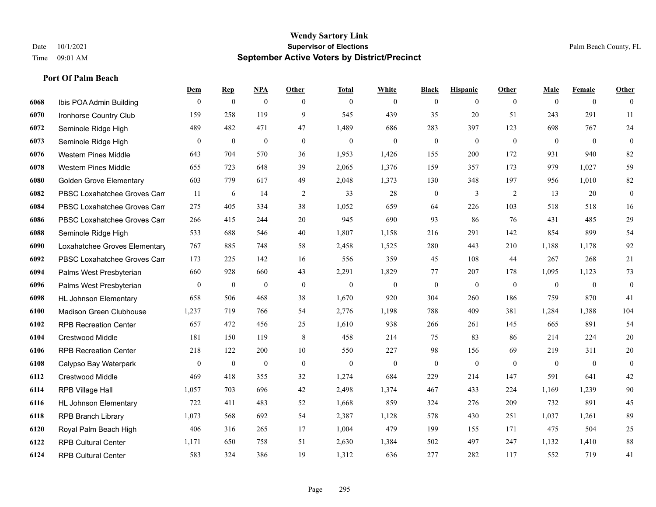|      |                                | Dem            | <b>Rep</b>       | NPA              | <b>Other</b> | <b>Total</b> | <b>White</b>     | <b>Black</b> | <b>Hispanic</b> | <b>Other</b>   | <b>Male</b>  | <b>Female</b>  | <b>Other</b>     |
|------|--------------------------------|----------------|------------------|------------------|--------------|--------------|------------------|--------------|-----------------|----------------|--------------|----------------|------------------|
| 6068 | Ibis POA Admin Building        | $\mathbf{0}$   | $\mathbf{0}$     | $\boldsymbol{0}$ | $\theta$     | $\mathbf{0}$ | $\overline{0}$   | $\mathbf{0}$ | $\overline{0}$  | $\overline{0}$ | $\mathbf{0}$ | $\overline{0}$ | $\theta$         |
| 6070 | Ironhorse Country Club         | 159            | 258              | 119              | 9            | 545          | 439              | 35           | 20              | 51             | 243          | 291            | 11               |
| 6072 | Seminole Ridge High            | 489            | 482              | 471              | 47           | 1,489        | 686              | 283          | 397             | 123            | 698          | 767            | $24\,$           |
| 6073 | Seminole Ridge High            | $\mathbf{0}$   | $\mathbf{0}$     | $\mathbf{0}$     | $\mathbf{0}$ | $\mathbf{0}$ | $\mathbf{0}$     | $\mathbf{0}$ | $\mathbf{0}$    | $\mathbf{0}$   | $\mathbf{0}$ | $\mathbf{0}$   | $\mathbf{0}$     |
| 6076 | Western Pines Middle           | 643            | 704              | 570              | 36           | 1,953        | 1,426            | 155          | 200             | 172            | 931          | 940            | 82               |
| 6078 | <b>Western Pines Middle</b>    | 655            | 723              | 648              | 39           | 2,065        | 1,376            | 159          | 357             | 173            | 979          | 1,027          | 59               |
| 6080 | <b>Golden Grove Elementary</b> | 603            | 779              | 617              | 49           | 2,048        | 1,373            | 130          | 348             | 197            | 956          | 1,010          | 82               |
| 6082 | PBSC Loxahatchee Groves Can    | 11             | 6                | 14               | 2            | 33           | 28               | $\mathbf{0}$ | 3               | 2              | 13           | 20             | $\mathbf{0}$     |
| 6084 | PBSC Loxahatchee Groves Can    | 275            | 405              | 334              | 38           | 1,052        | 659              | 64           | 226             | 103            | 518          | 518            | 16               |
| 6086 | PBSC Loxahatchee Groves Can    | 266            | 415              | 244              | 20           | 945          | 690              | 93           | 86              | 76             | 431          | 485            | 29               |
| 6088 | Seminole Ridge High            | 533            | 688              | 546              | 40           | 1,807        | 1,158            | 216          | 291             | 142            | 854          | 899            | 54               |
| 6090 | Loxahatchee Groves Elementary  | 767            | 885              | 748              | 58           | 2,458        | 1,525            | 280          | 443             | 210            | 1,188        | 1,178          | 92               |
| 6092 | PBSC Loxahatchee Groves Can    | 173            | 225              | 142              | 16           | 556          | 359              | 45           | 108             | 44             | 267          | 268            | 21               |
| 6094 | Palms West Presbyterian        | 660            | 928              | 660              | 43           | 2,291        | 1,829            | 77           | 207             | 178            | 1,095        | 1,123          | 73               |
| 6096 | Palms West Presbyterian        | $\overline{0}$ | $\boldsymbol{0}$ | $\boldsymbol{0}$ | $\mathbf{0}$ | $\mathbf{0}$ | $\boldsymbol{0}$ | $\mathbf{0}$ | $\mathbf{0}$    | $\overline{0}$ | $\mathbf{0}$ | $\overline{0}$ | $\boldsymbol{0}$ |
| 6098 | <b>HL Johnson Elementary</b>   | 658            | 506              | 468              | 38           | 1,670        | 920              | 304          | 260             | 186            | 759          | 870            | 41               |
| 6100 | Madison Green Clubhouse        | 1,237          | 719              | 766              | 54           | 2,776        | 1,198            | 788          | 409             | 381            | 1,284        | 1,388          | 104              |
| 6102 | <b>RPB Recreation Center</b>   | 657            | 472              | 456              | 25           | 1,610        | 938              | 266          | 261             | 145            | 665          | 891            | 54               |
| 6104 | Crestwood Middle               | 181            | 150              | 119              | $\,8\,$      | 458          | 214              | 75           | 83              | 86             | 214          | 224            | $20\,$           |
| 6106 | <b>RPB Recreation Center</b>   | 218            | 122              | 200              | 10           | 550          | 227              | 98           | 156             | 69             | 219          | 311            | $20\,$           |
| 6108 | Calypso Bay Waterpark          | $\mathbf{0}$   | $\mathbf{0}$     | $\mathbf{0}$     | $\theta$     | $\mathbf{0}$ | $\mathbf{0}$     | $\mathbf{0}$ | $\mathbf{0}$    | $\theta$       | $\theta$     | $\mathbf{0}$   | $\mathbf{0}$     |
| 6112 | Crestwood Middle               | 469            | 418              | 355              | 32           | 1,274        | 684              | 229          | 214             | 147            | 591          | 641            | $42\,$           |
| 6114 | RPB Village Hall               | 1,057          | 703              | 696              | 42           | 2,498        | 1,374            | 467          | 433             | 224            | 1,169        | 1,239          | $90\,$           |
| 6116 | <b>HL Johnson Elementary</b>   | 722            | 411              | 483              | 52           | 1,668        | 859              | 324          | 276             | 209            | 732          | 891            | 45               |
| 6118 | <b>RPB Branch Library</b>      | 1,073          | 568              | 692              | 54           | 2,387        | 1,128            | 578          | 430             | 251            | 1,037        | 1,261          | 89               |
| 6120 | Royal Palm Beach High          | 406            | 316              | 265              | 17           | 1,004        | 479              | 199          | 155             | 171            | 475          | 504            | $25\,$           |
| 6122 | <b>RPB Cultural Center</b>     | 1,171          | 650              | 758              | 51           | 2,630        | 1,384            | 502          | 497             | 247            | 1,132        | 1,410          | $88\,$           |
| 6124 | <b>RPB Cultural Center</b>     | 583            | 324              | 386              | 19           | 1,312        | 636              | 277          | 282             | 117            | 552          | 719            | 41               |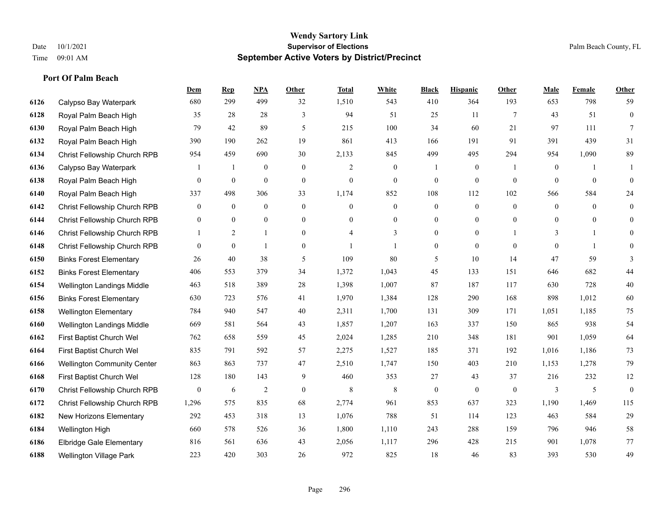**Port Of Palm Beach**

#### **Wendy Sartory Link** Date 10/1/2021 **Supervisor of Elections Supervisor of Elections** Palm Beach County, FL Time 09:01 AM **September Active Voters by District/Precinct**

|      |                                    | Dem              | <b>Rep</b>       | <b>NPA</b>       | Other            | <b>Total</b>     | White            | <b>Black</b>     | <b>Hispanic</b>  | Other           | Male           | Female           | Other          |
|------|------------------------------------|------------------|------------------|------------------|------------------|------------------|------------------|------------------|------------------|-----------------|----------------|------------------|----------------|
| 6126 | Calypso Bay Waterpark              | 680              | 299              | 499              | 32               | 1,510            | 543              | 410              | 364              | 193             | 653            | 798              | 59             |
| 6128 | Royal Palm Beach High              | 35               | 28               | 28               | 3                | 94               | 51               | 25               | 11               | $7\phantom{.0}$ | 43             | 51               | $\overline{0}$ |
| 6130 | Royal Palm Beach High              | 79               | 42               | 89               | $\mathfrak{H}$   | 215              | 100              | 34               | 60               | 21              | 97             | 111              | $\overline{7}$ |
| 6132 | Royal Palm Beach High              | 390              | 190              | 262              | 19               | 861              | 413              | 166              | 191              | 91              | 391            | 439              | 31             |
| 6134 | Christ Fellowship Church RPB       | 954              | 459              | 690              | 30               | 2,133            | 845              | 499              | 495              | 294             | 954            | 1,090            | 89             |
| 6136 | Calypso Bay Waterpark              |                  | 1                | $\boldsymbol{0}$ | $\boldsymbol{0}$ | $\overline{c}$   | $\boldsymbol{0}$ |                  | $\boldsymbol{0}$ |                 | $\mathbf{0}$   |                  | 1              |
| 6138 | Royal Palm Beach High              | $\mathbf{0}$     | 0                | $\overline{0}$   | $\boldsymbol{0}$ | $\boldsymbol{0}$ | $\boldsymbol{0}$ | $\boldsymbol{0}$ | $\mathbf{0}$     | $\mathbf{0}$    | $\overline{0}$ | $\overline{0}$   | $\theta$       |
| 6140 | Royal Palm Beach High              | 337              | 498              | 306              | 33               | 1,174            | 852              | 108              | 112              | 102             | 566            | 584              | 24             |
| 6142 | Christ Fellowship Church RPB       | $\theta$         | $\mathbf{0}$     | $\mathbf{0}$     | $\theta$         | $\theta$         | $\overline{0}$   | $\overline{0}$   | $\mathbf{0}$     | $\theta$        | $\overline{0}$ | $\theta$         | $\mathbf{0}$   |
| 6144 | Christ Fellowship Church RPB       | $\mathbf{0}$     | $\boldsymbol{0}$ | $\overline{0}$   | $\boldsymbol{0}$ | $\mathbf{0}$     | $\boldsymbol{0}$ | $\boldsymbol{0}$ | $\boldsymbol{0}$ | $\overline{0}$  | $\overline{0}$ | $\boldsymbol{0}$ | $\mathbf{0}$   |
| 6146 | Christ Fellowship Church RPB       |                  | 2                | $\mathbf{1}$     | $\theta$         | 4                | 3                | $\overline{0}$   | $\overline{0}$   |                 | 3              | -1               | $\overline{0}$ |
| 6148 | Christ Fellowship Church RPB       | $\theta$         | $\overline{0}$   | $\mathbf{1}$     | $\mathbf{0}$     |                  |                  | 0                | $\mathbf{0}$     | $\theta$        | $\theta$       | $\overline{1}$   | $\mathbf{0}$   |
| 6150 | <b>Binks Forest Elementary</b>     | 26               | 40               | 38               | 5                | 109              | 80               | 5                | 10               | 14              | 47             | 59               | 3              |
| 6152 | <b>Binks Forest Elementary</b>     | 406              | 553              | 379              | 34               | 1,372            | 1,043            | 45               | 133              | 151             | 646            | 682              | 44             |
| 6154 | Wellington Landings Middle         | 463              | 518              | 389              | 28               | 1,398            | 1,007            | 87               | 187              | 117             | 630            | 728              | 40             |
| 6156 | <b>Binks Forest Elementary</b>     | 630              | 723              | 576              | 41               | 1,970            | 1,384            | 128              | 290              | 168             | 898            | 1,012            | 60             |
| 6158 | <b>Wellington Elementary</b>       | 784              | 940              | 547              | 40               | 2,311            | 1,700            | 131              | 309              | 171             | 1,051          | 1,185            | 75             |
| 6160 | Wellington Landings Middle         | 669              | 581              | 564              | 43               | 1,857            | 1,207            | 163              | 337              | 150             | 865            | 938              | 54             |
| 6162 | First Baptist Church Wel           | 762              | 658              | 559              | 45               | 2,024            | 1,285            | 210              | 348              | 181             | 901            | 1,059            | 64             |
| 6164 | First Baptist Church Wel           | 835              | 791              | 592              | 57               | 2,275            | 1,527            | 185              | 371              | 192             | 1,016          | 1,186            | 73             |
| 6166 | <b>Wellington Community Center</b> | 863              | 863              | 737              | 47               | 2,510            | 1,747            | 150              | 403              | 210             | 1,153          | 1,278            | 79             |
| 6168 | First Baptist Church Wel           | 128              | 180              | 143              | 9                | 460              | 353              | 27               | 43               | 37              | 216            | 232              | $12\,$         |
| 6170 | Christ Fellowship Church RPB       | $\boldsymbol{0}$ | 6                | $\overline{c}$   | $\boldsymbol{0}$ | 8                | 8                | $\boldsymbol{0}$ | $\mathbf{0}$     | $\mathbf{0}$    | 3              | 5                | $\overline{0}$ |
| 6172 | Christ Fellowship Church RPB       | 1,296            | 575              | 835              | 68               | 2,774            | 961              | 853              | 637              | 323             | 1,190          | 1,469            | 115            |
| 6182 | New Horizons Elementary            | 292              | 453              | 318              | 13               | 1,076            | 788              | 51               | 114              | 123             | 463            | 584              | 29             |
| 6184 | Wellington High                    | 660              | 578              | 526              | 36               | 1,800            | 1,110            | 243              | 288              | 159             | 796            | 946              | 58             |
| 6186 | <b>Elbridge Gale Elementary</b>    | 816              | 561              | 636              | 43               | 2,056            | 1,117            | 296              | 428              | 215             | 901            | 1,078            | 77             |
| 6188 | Wellington Village Park            | 223              | 420              | 303              | 26               | 972              | 825              | 18               | 46               | 83              | 393            | 530              | 49             |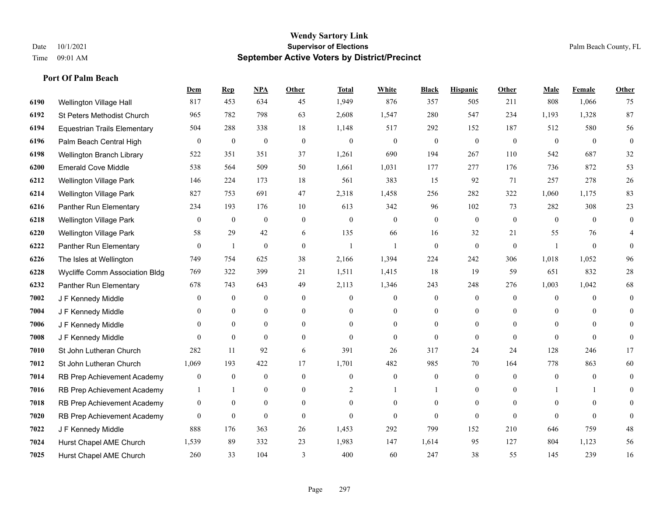**Port Of Palm Beach**

#### **Wendy Sartory Link** Date 10/1/2021 **Supervisor of Elections** Palm Beach County, FL Time 09:01 AM **September Active Voters by District/Precinct**

# **Dem Rep NPA Other Total White Black Hispanic Other Male Female Other** Wellington Village Hall 817 453 634 45 1,949 876 357 505 211 808 1,066 75 St Peters Methodist Church 965 782 798 63 2,608 1,547 280 547 234 1,193 1,328 87 Equestrian Trails Elementary 504 288 338 18 1,148 517 292 152 187 512 580 56 Palm Beach Central High 0 0 0 0 0 0 0 0 0 0 0 0 Wellington Branch Library 522 351 351 37 1,261 690 194 267 110 542 687 32 Emerald Cove Middle 538 564 509 50 1,661 1,031 177 277 176 736 872 53 Wellington Village Park 146 224 173 18 561 383 15 92 71 257 278 26 Wellington Village Park 827 753 691 47 2,318 1,458 256 282 322 1,060 1,175 83 Panther Run Elementary 234 193 176 10 613 342 96 102 73 282 308 23 Wellington Village Park 0 0 0 0 0 0 0 0 0 0 0 0 Wellington Village Park 58 29 42 6 135 66 16 32 21 55 76 4 Panther Run Elementary 0 1 0 0 1 1 0 0 0 1 0 0 The Isles at Wellington 749 754 625 38 2,166 1,394 224 242 306 1,018 1,052 96 Wycliffe Comm Association Bldg 769 322 399 21 1,511 1,415 18 19 59 651 832 28 Panther Run Elementary 678 743 643 49 2,113 1,346 243 248 276 1,003 1,042 68 J F Kennedy Middle 0 0 0 0 0 0 0 0 0 0 **7004 J F Kennedy Middle 0 0 0 0 0 0 0 0 0** 0 J F Kennedy Middle 0 0 0 0 0 0 0 0 0 0 J F Kennedy Middle 0 0 0 0 0 0 0 0 0 0 St John Lutheran Church 282 11 92 6 391 26 317 24 24 128 246 17 St John Lutheran Church 1,069 193 422 17 1,701 482 985 70 164 778 863 60 RB Prep Achievement Academy 0 0 0 0 0 0 0 0 0 0 0 0 RB Prep Achievement Academy 1 1 0 0 0 2 1 1 0 1 0 0 1 1 0 RB Prep Achievement Academy 0 0 0 0 0 0 0 0 0 0 0 0 RB Prep Achievement Academy 0 0 0 0 0 0 0 0 0 0 0 0 J F Kennedy Middle 888 176 363 26 1,453 292 799 152 210 646 759 48 Hurst Chapel AME Church 1,539 89 332 23 1,983 147 1,614 95 127 804 1,123 56 Hurst Chapel AME Church 260 33 104 3 400 60 247 38 55 145 239 16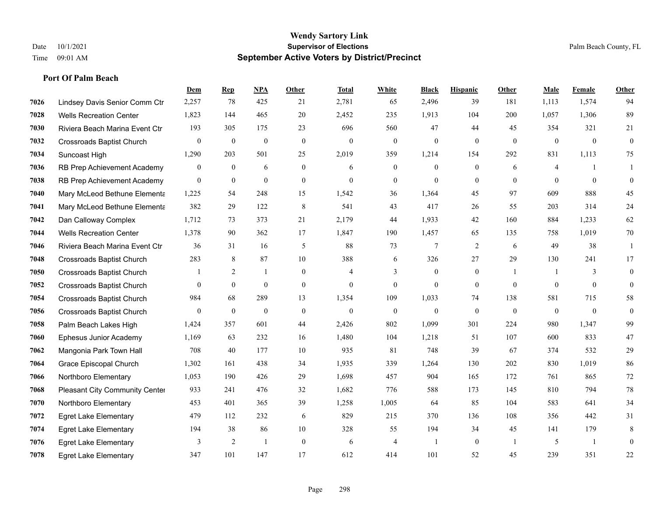|      |                                  | Dem              | <b>Rep</b>     | NPA              | <b>Other</b>     | <b>Total</b>     | <b>White</b>     | <b>Black</b>     | <b>Hispanic</b>  | Other        | <b>Male</b>  | Female       | <b>Other</b>     |
|------|----------------------------------|------------------|----------------|------------------|------------------|------------------|------------------|------------------|------------------|--------------|--------------|--------------|------------------|
| 7026 | Lindsey Davis Senior Comm Ctr    | 2,257            | 78             | 425              | 21               | 2,781            | 65               | 2,496            | 39               | 181          | 1,113        | 1,574        | 94               |
| 7028 | <b>Wells Recreation Center</b>   | 1,823            | 144            | 465              | 20               | 2,452            | 235              | 1,913            | 104              | 200          | 1.057        | 1,306        | 89               |
| 7030 | Riviera Beach Marina Event Ctr   | 193              | 305            | 175              | 23               | 696              | 560              | 47               | 44               | 45           | 354          | 321          | 21               |
| 7032 | <b>Crossroads Baptist Church</b> | $\boldsymbol{0}$ | $\mathbf{0}$   | $\boldsymbol{0}$ | $\boldsymbol{0}$ | $\boldsymbol{0}$ | $\boldsymbol{0}$ | $\mathbf{0}$     | $\mathbf{0}$     | $\mathbf{0}$ | $\mathbf{0}$ | $\mathbf{0}$ | $\boldsymbol{0}$ |
| 7034 | Suncoast High                    | 1,290            | 203            | 501              | 25               | 2,019            | 359              | 1.214            | 154              | 292          | 831          | 1,113        | 75               |
| 7036 | RB Prep Achievement Academy      | 0                | $\mathbf{0}$   | 6                | $\mathbf{0}$     | 6                | $\boldsymbol{0}$ | $\boldsymbol{0}$ | $\boldsymbol{0}$ | 6            | 4            |              | 1                |
| 7038 | RB Prep Achievement Academy      | $\overline{0}$   | $\mathbf{0}$   | $\mathbf{0}$     | $\mathbf{0}$     | $\theta$         | $\boldsymbol{0}$ | $\mathbf{0}$     | $\mathbf{0}$     | $\theta$     | $\theta$     | $\theta$     | $\mathbf{0}$     |
| 7040 | Mary McLeod Bethune Elementa     | 1,225            | 54             | 248              | 15               | 1,542            | 36               | 1,364            | 45               | 97           | 609          | 888          | 45               |
| 7041 | Mary McLeod Bethune Elementa     | 382              | 29             | 122              | 8                | 541              | 43               | 417              | 26               | 55           | 203          | 314          | 24               |
| 7042 | Dan Calloway Complex             | 1,712            | 73             | 373              | 21               | 2,179            | 44               | 1,933            | 42               | 160          | 884          | 1,233        | 62               |
| 7044 | <b>Wells Recreation Center</b>   | 1,378            | 90             | 362              | 17               | 1,847            | 190              | 1,457            | 65               | 135          | 758          | 1,019        | 70               |
| 7046 | Riviera Beach Marina Event Ctr   | 36               | 31             | 16               | 5                | 88               | 73               | 7                | $\overline{c}$   | 6            | 49           | 38           | 1                |
| 7048 | <b>Crossroads Baptist Church</b> | 283              | 8              | 87               | 10               | 388              | 6                | 326              | 27               | 29           | 130          | 241          | 17               |
| 7050 | Crossroads Baptist Church        | 1                | $\overline{2}$ | 1                | $\mathbf{0}$     | $\overline{4}$   | 3                | $\boldsymbol{0}$ | $\boldsymbol{0}$ | -1           |              | 3            | $\mathbf{0}$     |
| 7052 | <b>Crossroads Baptist Church</b> | 0                | $\mathbf{0}$   | $\mathbf{0}$     | $\boldsymbol{0}$ | $\mathbf{0}$     | $\mathbf{0}$     | $\mathbf{0}$     | $\overline{0}$   | $\theta$     | $\theta$     | $\theta$     | $\mathbf{0}$     |
| 7054 | <b>Crossroads Baptist Church</b> | 984              | 68             | 289              | 13               | 1,354            | 109              | 1,033            | 74               | 138          | 581          | 715          | 58               |
| 7056 | Crossroads Baptist Church        | $\overline{0}$   | $\mathbf{0}$   | $\boldsymbol{0}$ | $\boldsymbol{0}$ | $\mathbf{0}$     | $\boldsymbol{0}$ | $\mathbf{0}$     | $\mathbf{0}$     | $\mathbf{0}$ | $\mathbf{0}$ | $\mathbf{0}$ | $\mathbf{0}$     |
| 7058 | Palm Beach Lakes High            | 1,424            | 357            | 601              | 44               | 2,426            | 802              | 1,099            | 301              | 224          | 980          | 1,347        | 99               |
| 7060 | Ephesus Junior Academy           | 1,169            | 63             | 232              | 16               | 1,480            | 104              | 1,218            | 51               | 107          | 600          | 833          | 47               |
| 7062 | Mangonia Park Town Hall          | 708              | 40             | 177              | $10\,$           | 935              | 81               | 748              | 39               | 67           | 374          | 532          | 29               |
| 7064 | Grace Episcopal Church           | 1,302            | 161            | 438              | 34               | 1,935            | 339              | 1,264            | 130              | 202          | 830          | 1,019        | 86               |
| 7066 | Northboro Elementary             | 1,053            | 190            | 426              | 29               | 1,698            | 457              | 904              | 165              | 172          | 761          | 865          | $72\,$           |
| 7068 | Pleasant City Community Center   | 933              | 241            | 476              | 32               | 1,682            | 776              | 588              | 173              | 145          | 810          | 794          | $78\,$           |
| 7070 | Northboro Elementary             | 453              | 401            | 365              | 39               | 1,258            | 1,005            | 64               | 85               | 104          | 583          | 641          | 34               |
| 7072 | <b>Egret Lake Elementary</b>     | 479              | 112            | 232              | 6                | 829              | 215              | 370              | 136              | 108          | 356          | 442          | 31               |
| 7074 | <b>Egret Lake Elementary</b>     | 194              | 38             | 86               | 10               | 328              | 55               | 194              | 34               | 45           | 141          | 179          | 8                |
| 7076 | <b>Egret Lake Elementary</b>     | 3                | $\overline{2}$ | $\overline{1}$   | $\mathbf{0}$     | 6                | $\overline{4}$   |                  | $\mathbf{0}$     | -1           | 5            | -1           | $\mathbf{0}$     |
| 7078 | <b>Egret Lake Elementary</b>     | 347              | 101            | 147              | 17               | 612              | 414              | 101              | 52               | 45           | 239          | 351          | 22               |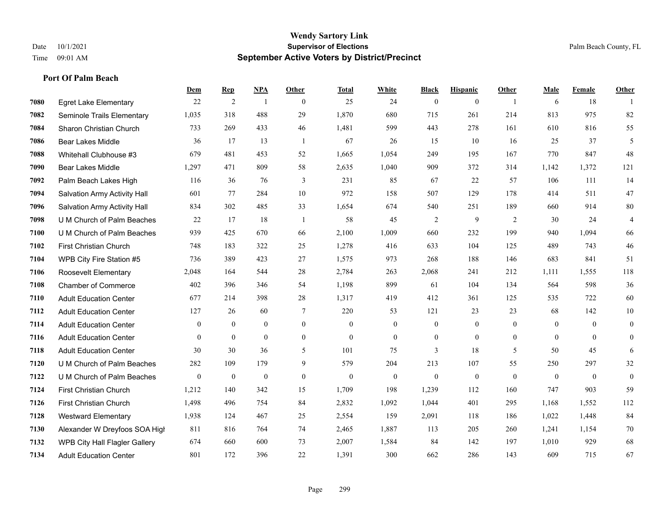**Port Of Palm Beach**

#### **Wendy Sartory Link** Date 10/1/2021 **Supervisor of Elections** Palm Beach County, FL Time 09:01 AM **September Active Voters by District/Precinct**

# **Dem Rep NPA Other Total White Black Hispanic Other Male Female Other** Egret Lake Elementary 22 2 1 0 25 24 0 0 1 6 18 1 Seminole Trails Elementary 1,035 318 488 29 1,870 680 715 261 214 813 975 82 Sharon Christian Church 733 269 433 46 1,481 599 443 278 161 610 816 55 Bear Lakes Middle 36 17 13 1 67 26 15 10 16 25 37 5 Whitehall Clubhouse #3 679 481 453 52 1,665 1,054 249 195 167 770 847 48 Bear Lakes Middle 1,297 471 809 58 2,635 1,040 909 372 314 1,142 1,372 121 Palm Beach Lakes High 116 36 76 3 231 85 67 22 57 106 111 14 Salvation Army Activity Hall 601 77 284 10 972 158 507 129 178 414 511 47 Salvation Army Activity Hall 834 302 485 33 1,654 674 540 251 189 660 914 80 U M Church of Palm Beaches 22 17 18 1 58 45 2 9 2 30 24 4 U M Church of Palm Beaches 939 425 670 66 2,100 1,009 660 232 199 940 1,094 66 First Christian Church 748 183 322 25 1,278 416 633 104 125 489 743 46 WPB City Fire Station #5 736 389 423 27 1,575 973 268 188 146 683 841 51 Roosevelt Elementary 2,048 164 544 28 2,784 263 2,068 241 212 1,111 1,555 118 Chamber of Commerce 402 396 346 54 1,198 899 61 104 134 564 598 36 Adult Education Center 677 214 398 28 1,317 419 412 361 125 535 722 60 Adult Education Center 127 26 60 7 220 53 121 23 23 68 142 10 Adult Education Center 0 0 0 0 0 0 0 0 0 0 0 0 Adult Education Center 0 0 0 0 0 0 0 0 0 0 0 0 Adult Education Center 30 30 36 5 101 75 3 18 5 50 45 6 U M Church of Palm Beaches 282 109 179 9 579 204 213 107 55 250 297 32 U M Church of Palm Beaches 0 0 0 0 0 0 0 0 0 0 0 0 First Christian Church 1,212 140 342 15 1,709 198 1,239 112 160 747 903 59 First Christian Church 1,498 496 754 84 2,832 1,092 1,044 401 295 1,168 1,552 112 Westward Elementary 1,938 124 467 25 2,554 159 2,091 118 186 1,022 1,448 84 Alexander W Dreyfoos SOA High 811 816 764 74 2,465 1,887 113 205 260 1,241 1,154 70 WPB City Hall Flagler Gallery 674 660 600 73 2,007 1,584 84 142 197 1,010 929 68 Adult Education Center 801 172 396 22 1,391 300 662 286 143 609 715 67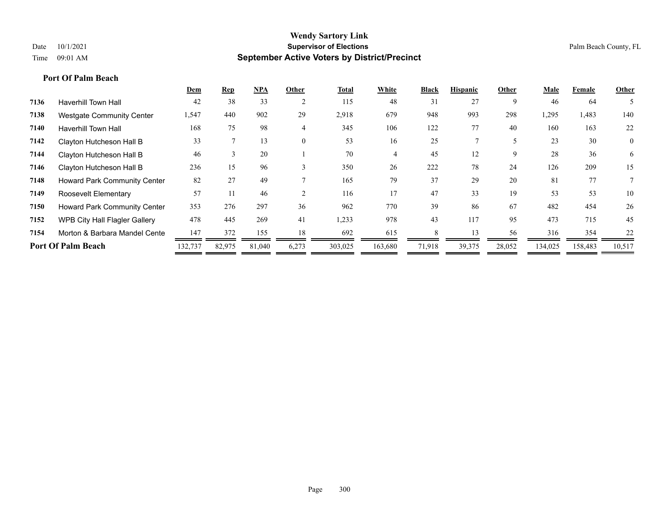|      |                                      | Dem     | <b>Rep</b> | <b>NPA</b> | Other          | Total   | White   | <b>Black</b> | <b>Hispanic</b> | Other  | Male    | Female  | Other          |
|------|--------------------------------------|---------|------------|------------|----------------|---------|---------|--------------|-----------------|--------|---------|---------|----------------|
| 7136 | <b>Haverhill Town Hall</b>           | 42      | 38         | 33         |                | 115     | 48      | 31           | 27              | 9      | 46      | 64      | 5              |
| 7138 | <b>Westgate Community Center</b>     | 1,547   | 440        | 902        | 29             | 2,918   | 679     | 948          | 993             | 298    | 1,295   | 1,483   | 140            |
| 7140 | <b>Haverhill Town Hall</b>           | 168     | 75         | 98         | 4              | 345     | 106     | 122          | 77              | 40     | 160     | 163     | 22             |
| 7142 | Clayton Hutcheson Hall B             | 33      |            | 13         | $\overline{0}$ | 53      | 16      | 25           |                 |        | 23      | 30      | $\overline{0}$ |
| 7144 | Clayton Hutcheson Hall B             | 46      | 3          | 20         |                | 70      | 4       | 45           | 12              | 9      | 28      | 36      | 6              |
| 7146 | Clayton Hutcheson Hall B             | 236     | 15         | 96         |                | 350     | 26      | 222          | 78              | 24     | 126     | 209     | 15             |
| 7148 | <b>Howard Park Community Center</b>  | 82      | 27         | 49         |                | 165     | 79      | 37           | 29              | 20     | 81      | 77      | 7              |
| 7149 | Roosevelt Elementary                 | 57      |            | 46         |                | 116     | 17      | 47           | 33              | 19     | 53      | 53      | 10             |
| 7150 | Howard Park Community Center         | 353     | 276        | 297        | 36             | 962     | 770     | 39           | 86              | 67     | 482     | 454     | 26             |
| 7152 | <b>WPB City Hall Flagler Gallery</b> | 478     | 445        | 269        | 41             | 1,233   | 978     | 43           | 117             | 95     | 473     | 715     | 45             |
| 7154 | Morton & Barbara Mandel Cente        | 147     | 372        | 155        | 18             | 692     | 615     | 8            | 13              | 56     | 316     | 354     | 22             |
|      | <b>Port Of Palm Beach</b>            | 132,737 | 82,975     | 81,040     | 6,273          | 303,025 | 163,680 | 71,918       | 39,375          | 28,052 | 134,025 | 158,483 | 10,517         |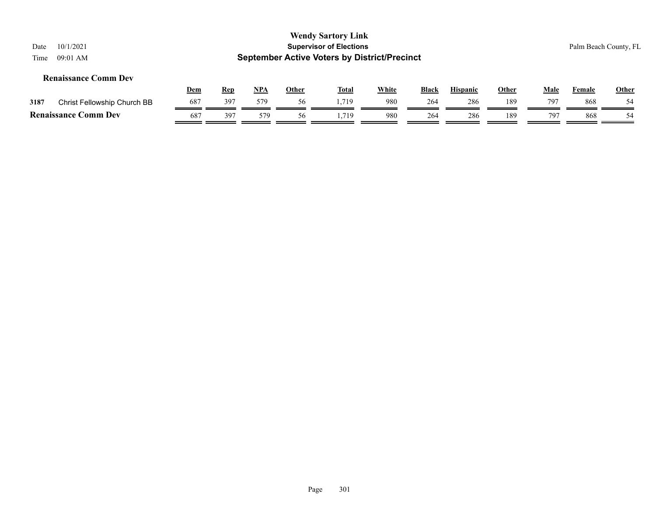| 10/1/2021<br>Date<br>09:01 AM<br>Time |            |            |            |              | <b>Wendy Sartory Link</b><br><b>Supervisor of Elections</b><br><b>September Active Voters by District/Precinct</b> |              |              |                 |              |             |               | Palm Beach County, FL |
|---------------------------------------|------------|------------|------------|--------------|--------------------------------------------------------------------------------------------------------------------|--------------|--------------|-----------------|--------------|-------------|---------------|-----------------------|
| <b>Renaissance Comm Dev</b>           | <u>Dem</u> | <u>Rep</u> | <u>NPA</u> | <b>Other</b> | <b>Total</b>                                                                                                       | <b>White</b> | <b>Black</b> | <b>Hispanic</b> | <u>Other</u> | <u>Male</u> | <b>Female</b> | <b>Other</b>          |
| 3187<br>Christ Fellowship Church BB   | 687        | 397        | 579        | 56           | 1.719                                                                                                              | 980          | 264          | 286             | 189          | 797         | 868           | 54                    |
| <b>Renaissance Comm Dev</b>           | 687        | 397        | 579        | 56           | . . 719                                                                                                            | 980          | 264          | 286             | 189          | 797         | 868           | 54                    |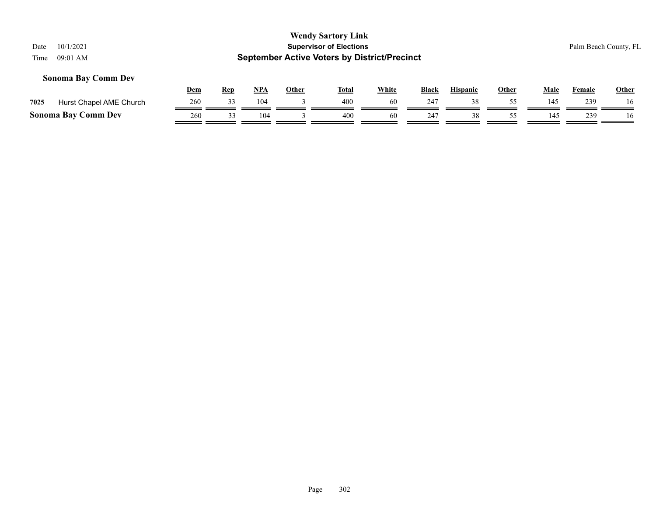# **Wendy Sartory Link** Date 10/1/2021 **Supervisor of Elections** Palm Beach County, FL Time 09:01 AM **September Active Voters by District/Precinct Dem Rep NPA Other Total White Black Hispanic Other Male Female Other Sonoma Bay Comm Dev 7025** Hurst Chapel AME Church 260 33 104 3 400 50 247 38 55 145 239 16 **Sonoma Bay Comm Dev**  $\frac{260}{\sqrt{33}} \frac{33}{\sqrt{104}} \frac{104}{\sqrt{33}} \frac{3}{\sqrt{104}} \frac{400}{\sqrt{100}} \frac{60}{\sqrt{100}} \frac{247}{\sqrt{100}} \frac{38}{\sqrt{100}} \frac{55}{\sqrt{100}} \frac{145}{\sqrt{100}} \frac{239}{\sqrt{100}} \frac{160}{\sqrt{100}} \frac{1}{\sqrt{100}} \frac{1}{\sqrt{100}} \frac{25}{\sqrt{100}} \$

-

-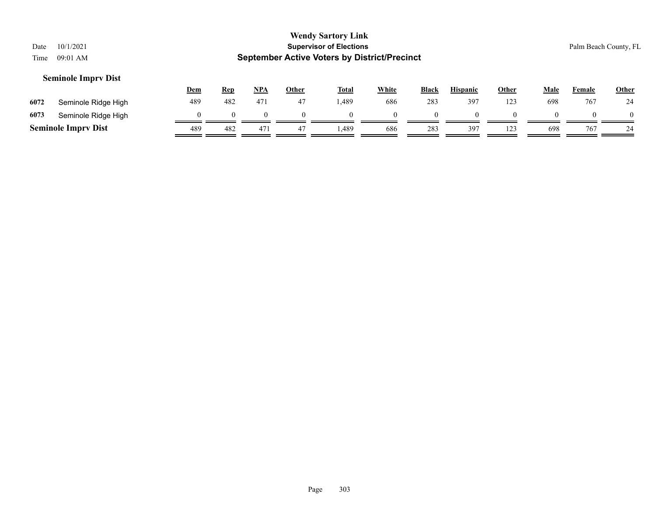| Date<br>Time | 10/1/2021<br>09:01 AM      |            |            |            |              | <b>Wendy Sartory Link</b><br><b>Supervisor of Elections</b><br><b>September Active Voters by District/Precinct</b> |              |          |                 |       |             |        | Palm Beach County, FL |
|--------------|----------------------------|------------|------------|------------|--------------|--------------------------------------------------------------------------------------------------------------------|--------------|----------|-----------------|-------|-------------|--------|-----------------------|
|              | <b>Seminole Imprv Dist</b> | <u>Dem</u> | <b>Rep</b> | <u>NPA</u> | <b>Other</b> | <u>Total</u>                                                                                                       | <b>White</b> | Black    | <b>Hispanic</b> | Other | <b>Male</b> | Female | <b>Other</b>          |
| 6072         | Seminole Ridge High        | 489        | 482        | 471        | 47           | 1,489                                                                                                              | 686          | 283      | 397             | 123   | 698         | 767    | 24                    |
| 6073         | Seminole Ridge High        |            | $\Omega$   | $\theta$   | $\Omega$     |                                                                                                                    |              | $\Omega$ |                 |       |             |        | $\Omega$              |
|              | <b>Seminole Imprv Dist</b> | 489        | 482        | 471        | 47           | .489                                                                                                               | 686          | 283      | 397             | 123   | 698         | 767    | 24                    |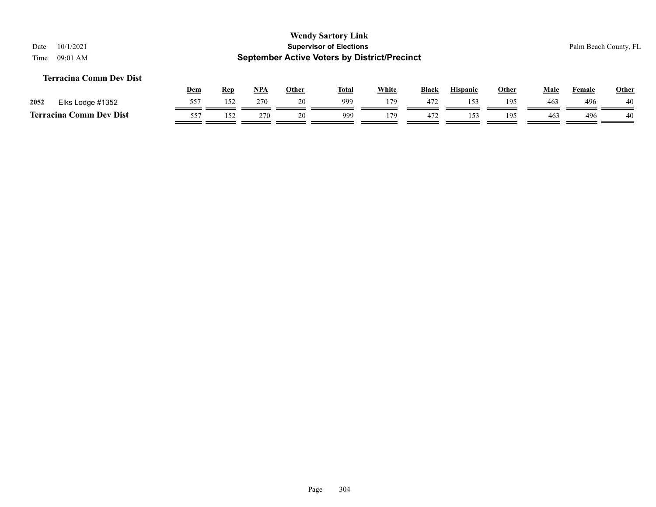#### **Terracina Comm Dev Dist**

|           |                  | Dem             | <b>Rep</b> | NP <sub>A</sub> | Other | <b>Total</b> | White | <b>Black</b> | <b>Hispanic</b> | Other | Male            | Female | <b>Other</b> |
|-----------|------------------|-----------------|------------|-----------------|-------|--------------|-------|--------------|-----------------|-------|-----------------|--------|--------------|
| 2052      | Elks Lodge #1352 | 557             | 152        | 270             | 20    | 999          | 179   | 472          |                 | 195   | 46 <sub>3</sub> | 496    | 40           |
| Terracina | Comm Dev Dist    | 55 <sub>1</sub> | 150        | 270             |       | 999          | 179   | 472          |                 | 195   | 463             | 496    | 40           |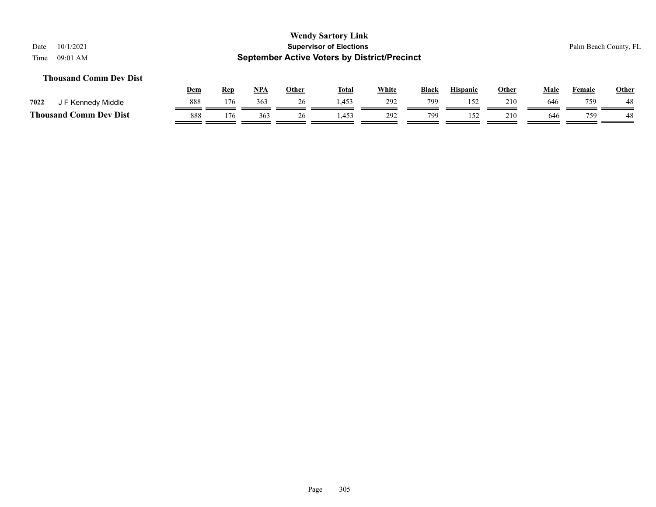#### **Thousand Comm Dev Dist**

|                               | Dem | Rep | <b>NPA</b> | Other | <b>Total</b> | <b>White</b> | <b>Black</b> | <b>Hispanic</b> | Other | Male | Female | <b>Other</b> |
|-------------------------------|-----|-----|------------|-------|--------------|--------------|--------------|-----------------|-------|------|--------|--------------|
| 7022<br>F Kennedy Middle      | 888 | 176 | 363        | ∠∪    | 1.453        | 292          | 799          |                 | 210   | 646  | 759    | 48           |
| <b>Thousand Comm Dev Dist</b> | 888 | 176 | 363        |       | .453         | 292          | 799          |                 | 210   | 646  | 759    | 48           |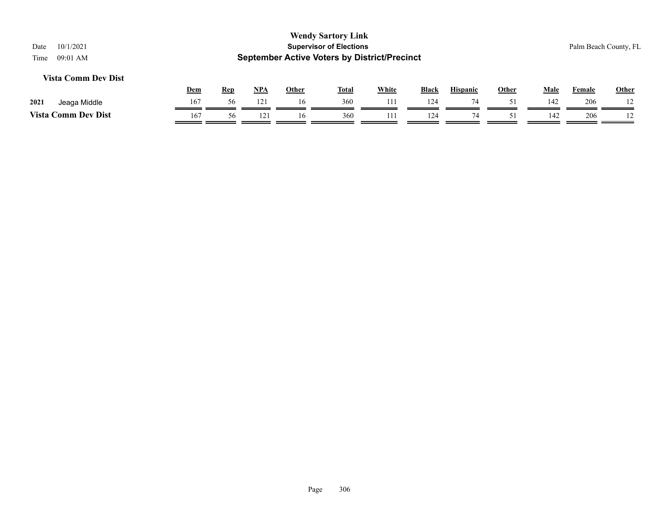| 10/1/2021<br>Date<br>$09:01$ AM<br>Time |            |            |     |              | <b>Wendy Sartory Link</b><br><b>Supervisor of Elections</b><br><b>September Active Voters by District/Precinct</b> |              |              |                 |       |             |               | Palm Beach County, FL |
|-----------------------------------------|------------|------------|-----|--------------|--------------------------------------------------------------------------------------------------------------------|--------------|--------------|-----------------|-------|-------------|---------------|-----------------------|
| Vista Comm Dev Dist                     |            |            |     |              |                                                                                                                    |              |              |                 |       |             |               |                       |
|                                         | <u>Dem</u> | <u>Rep</u> | NPA | <b>Other</b> | <u>Total</u>                                                                                                       | <b>White</b> | <b>Black</b> | <b>Hispanic</b> | Other | <u>Male</u> | <b>Female</b> | Other                 |
| 2021<br>Jeaga Middle                    | 167        | 56         | 121 | 16           | 360                                                                                                                | 111          | 124          | 74              | 51    | 142         | 206           |                       |
| <b>Vista Comm Dev Dist</b>              | 167        | 56         | 121 | 16           | 360                                                                                                                | 111          | 124          | 74              | 51    | 142         | 206           |                       |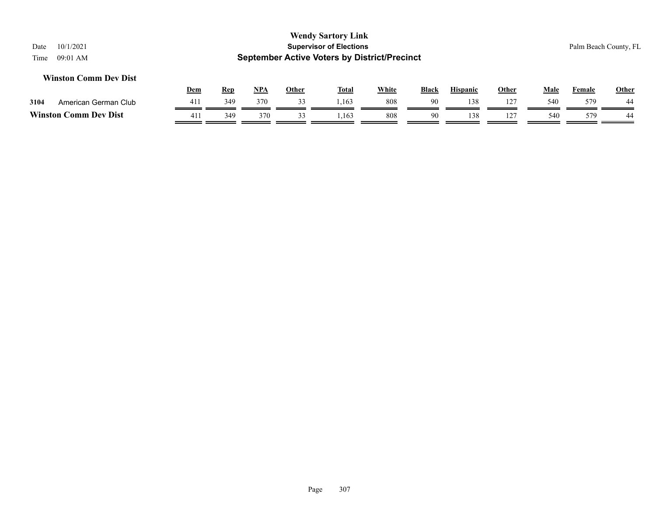#### **Winston Comm Dev Dist**

|           |                      | <u>Dem</u> | Rep             | <b>NPA</b> | Other | <b>Total</b> | White | <b>Black</b> | <b>Hispanic</b> | Other | Male | $\mathbf{r}$<br>Female | <b>Other</b>         |
|-----------|----------------------|------------|-----------------|------------|-------|--------------|-------|--------------|-----------------|-------|------|------------------------|----------------------|
| 3104      | American German Club | 411        | 34 <sub>9</sub> | 370        |       | ,163         | 808   | 90           | 38              | ר?    | 540  | 579                    | $\overline{A}$<br>44 |
| Winston ( | Comm Dev Dist        | 411        | 349             | 370        |       | 1,163        | 808   | 90           | 138             | . .   | 540  | 579                    | 44                   |

#### Page 307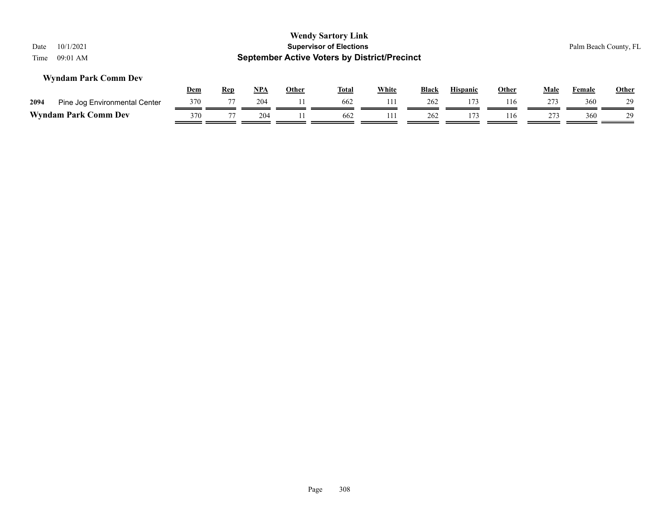| Date<br>Time | 10/1/2021<br>$09:01$ AM       |            |            |     |              | <b>Wendy Sartory Link</b><br><b>Supervisor of Elections</b><br><b>September Active Voters by District/Precinct</b> |              |              |                 |              |      |        | Palm Beach County, FL |
|--------------|-------------------------------|------------|------------|-----|--------------|--------------------------------------------------------------------------------------------------------------------|--------------|--------------|-----------------|--------------|------|--------|-----------------------|
|              | <b>Wyndam Park Comm Dev</b>   | <u>Dem</u> | <u>Rep</u> | NPA | <b>Other</b> | Total                                                                                                              | <b>White</b> | <b>Black</b> | <b>Hispanic</b> | <b>Other</b> | Male | Female | <b>Other</b>          |
| 2094         | Pine Jog Environmental Center | 370        | 77         | 204 |              | 662                                                                                                                | 111          | 262          | 173             | 116          | 273  | 360    | 29                    |
|              | <b>Wyndam Park Comm Dev</b>   | 370        | 77         | 204 | 11.          | 662                                                                                                                | 111          | 262          | 173             | 116          | 273  | 360    | 29                    |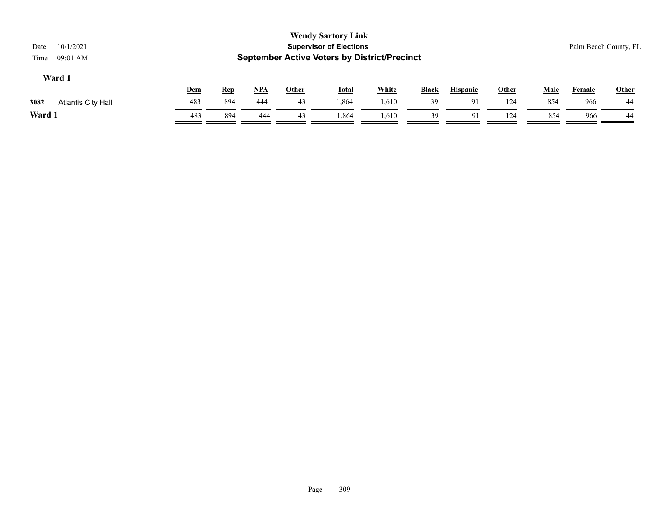| 10/1/2021<br>Date<br>09:01 AM<br>Time |            |            |       |              | <b>Wendy Sartory Link</b><br><b>Supervisor of Elections</b><br><b>September Active Voters by District/Precinct</b> |              |              |                 |       |             |               | Palm Beach County, FL |
|---------------------------------------|------------|------------|-------|--------------|--------------------------------------------------------------------------------------------------------------------|--------------|--------------|-----------------|-------|-------------|---------------|-----------------------|
| Ward 1                                | <u>Dem</u> | <b>Rep</b> | $NPA$ | <b>Other</b> | <b>Total</b>                                                                                                       | <b>White</b> | <b>Black</b> | <b>Hispanic</b> | Other | <b>Male</b> | <b>Female</b> | Other                 |
| 3082<br><b>Atlantis City Hall</b>     | 483        | 894        | 444   | 43           | 1.864                                                                                                              | 1,610        | 39           | 91              | 124   | 854         | 966           | 44                    |
| Ward 1                                | 483        | 894        | 444   | 43           | 1,864                                                                                                              | 1,610        | 39           | 91              | 124   | 854         | 966           | 44                    |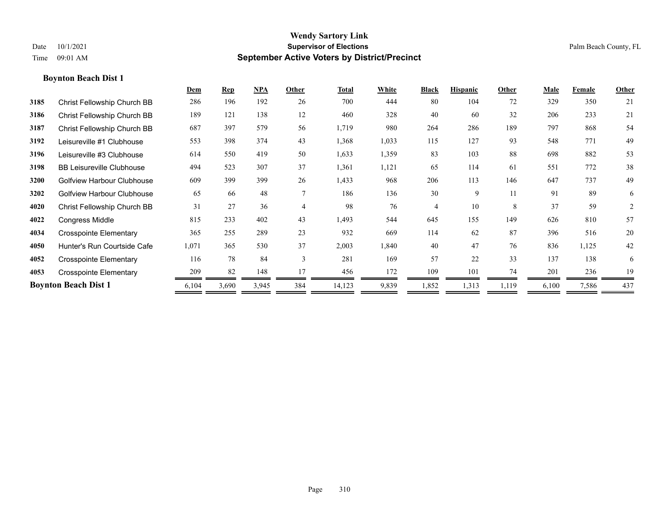|      |                                  | Dem   | <b>Rep</b> | NPA   | Other          | <b>Total</b> | White | <b>Black</b> | <b>Hispanic</b> | Other | <b>Male</b> | Female | Other |
|------|----------------------------------|-------|------------|-------|----------------|--------------|-------|--------------|-----------------|-------|-------------|--------|-------|
| 3185 | Christ Fellowship Church BB      | 286   | 196        | 192   | 26             | 700          | 444   | 80           | 104             | 72    | 329         | 350    | 21    |
| 3186 | Christ Fellowship Church BB      | 189   | 121        | 138   | 12             | 460          | 328   | 40           | 60              | 32    | 206         | 233    | 21    |
| 3187 | Christ Fellowship Church BB      | 687   | 397        | 579   | 56             | 1,719        | 980   | 264          | 286             | 189   | 797         | 868    | 54    |
| 3192 | Leisureville #1 Clubhouse        | 553   | 398        | 374   | 43             | 1,368        | 1,033 | 115          | 127             | 93    | 548         | 771    | 49    |
| 3196 | Leisureville #3 Clubhouse        | 614   | 550        | 419   | 50             | 1,633        | 1,359 | 83           | 103             | 88    | 698         | 882    | 53    |
| 3198 | <b>BB Leisureville Clubhouse</b> | 494   | 523        | 307   | 37             | 1,361        | 1,121 | 65           | 114             | 61    | 551         | 772    | 38    |
| 3200 | Golfview Harbour Clubhouse       | 609   | 399        | 399   | 26             | 1,433        | 968   | 206          | 113             | 146   | 647         | 737    | 49    |
| 3202 | Golfview Harbour Clubhouse       | 65    | 66         | 48    | $\tau$         | 186          | 136   | 30           | 9               | 11    | 91          | 89     | 6     |
| 4020 | Christ Fellowship Church BB      | 31    | 27         | 36    | $\overline{4}$ | 98           | 76    | 4            | 10              | 8     | 37          | 59     | 2     |
| 4022 | <b>Congress Middle</b>           | 815   | 233        | 402   | 43             | 1,493        | 544   | 645          | 155             | 149   | 626         | 810    | 57    |
| 4034 | <b>Crosspointe Elementary</b>    | 365   | 255        | 289   | 23             | 932          | 669   | 114          | 62              | 87    | 396         | 516    | 20    |
| 4050 | Hunter's Run Courtside Cafe      | 1,071 | 365        | 530   | 37             | 2,003        | 1,840 | 40           | 47              | 76    | 836         | 1,125  | 42    |
| 4052 | <b>Crosspointe Elementary</b>    | 116   | 78         | 84    | 3              | 281          | 169   | 57           | 22              | 33    | 137         | 138    | 6     |
| 4053 | <b>Crosspointe Elementary</b>    | 209   | 82         | 148   | 17             | 456          | 172   | 109          | 101             | 74    | 201         | 236    | 19    |
|      | <b>Boynton Beach Dist 1</b>      | 6,104 | 3,690      | 3,945 | 384            | 14,123       | 9,839 | 1,852        | 1,313           | 1,119 | 6,100       | 7,586  | 437   |
|      |                                  |       |            |       |                |              |       |              |                 |       |             |        |       |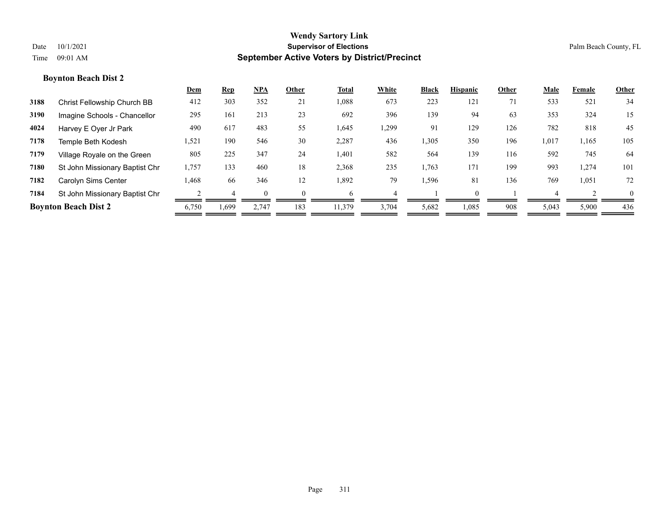|      |                                | <u>Dem</u> | <u>Rep</u> | <b>NPA</b> | Other    | Total  | White | <b>Black</b> | <b>Hispanic</b> | Other | Male  | Female | Other    |
|------|--------------------------------|------------|------------|------------|----------|--------|-------|--------------|-----------------|-------|-------|--------|----------|
| 3188 | Christ Fellowship Church BB    | 412        | 303        | 352        | 21       | 1,088  | 673   | 223          | 121             | 71    | 533   | 521    | 34       |
| 3190 | Imagine Schools - Chancellor   | 295        | 161        | 213        | 23       | 692    | 396   | 139          | 94              | 63    | 353   | 324    | 15       |
| 4024 | Harvey E Oyer Jr Park          | 490        | 617        | 483        | 55       | 1,645  | .,299 | 91           | 129             | 126   | 782   | 818    | 45       |
| 7178 | Temple Beth Kodesh             | 1,521      | 190        | 546        | 30       | 2,287  | 436   | 1,305        | 350             | 196   | 1,017 | 1,165  | 105      |
| 7179 | Village Royale on the Green    | 805        | 225        | 347        | 24       | 1,401  | 582   | 564          | 139             | 116   | 592   | 745    | 64       |
| 7180 | St John Missionary Baptist Chr | 1,757      | 133        | 460        | 18       | 2,368  | 235   | 1,763        | 171             | 199   | 993   | 1,274  | 101      |
| 7182 | Carolyn Sims Center            | 1,468      | 66         | 346        | 12       | 1,892  | 79    | 1,596        | 81              | 136   | 769   | 1,051  | 72       |
| 7184 | St John Missionary Baptist Chr |            |            |            | $\Omega$ | h      |       |              | $\Omega$        |       |       |        | $\theta$ |
|      | <b>Boynton Beach Dist 2</b>    | 6,750      | 1,699      | 2,747      | 183      | 11,379 | 3,704 | 5,682        | 1,085           | 908   | 5,043 | 5,900  | 436      |
|      |                                |            |            |            |          |        |       |              |                 |       |       |        |          |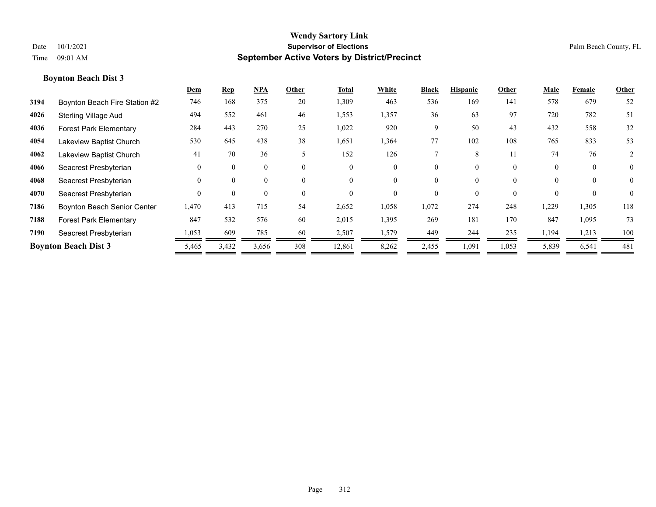|      |                                    | Dem      | $\mathbf{Rep}$ | <b>NPA</b> | Other    | <b>Total</b> | White    | <b>Black</b> | <b>Hispanic</b> | Other    | Male     | Female   | Other          |
|------|------------------------------------|----------|----------------|------------|----------|--------------|----------|--------------|-----------------|----------|----------|----------|----------------|
| 3194 | Boynton Beach Fire Station #2      | 746      | 168            | 375        | 20       | 1,309        | 463      | 536          | 169             | 141      | 578      | 679      | 52             |
| 4026 | <b>Sterling Village Aud</b>        | 494      | 552            | 461        | 46       | 1,553        | 1,357    | 36           | 63              | 97       | 720      | 782      | 51             |
| 4036 | <b>Forest Park Elementary</b>      | 284      | 443            | 270        | 25       | 1,022        | 920      | 9            | 50              | 43       | 432      | 558      | 32             |
| 4054 | Lakeview Baptist Church            | 530      | 645            | 438        | 38       | 1,651        | 1,364    | 77           | 102             | 108      | 765      | 833      | 53             |
| 4062 | Lakeview Baptist Church            | 41       | 70             | 36         | 5        | 152          | 126      |              | 8               | 11       | 74       | 76       | 2              |
| 4066 | Seacrest Presbyterian              | $\theta$ | $\Omega$       | $\theta$   | $\theta$ | $\theta$     | $\Omega$ | 0            | 0               | $\theta$ | $\theta$ | $\theta$ | $\overline{0}$ |
| 4068 | Seacrest Presbyterian              | $\Omega$ | $\Omega$       | $\theta$   | $\theta$ | $\theta$     | $\theta$ | 0            | 0               | $\theta$ | $\theta$ | $\theta$ | $\theta$       |
| 4070 | Seacrest Presbyterian              | $\Omega$ | $\Omega$       | $\theta$   | $\theta$ | $\theta$     | 0        | 0            | 0               | $\Omega$ |          | $\theta$ | $\theta$       |
| 7186 | <b>Boynton Beach Senior Center</b> | 1,470    | 413            | 715        | 54       | 2,652        | 1,058    | 1,072        | 274             | 248      | ,229     | 1,305    | 118            |
| 7188 | <b>Forest Park Elementary</b>      | 847      | 532            | 576        | 60       | 2,015        | 1,395    | 269          | 181             | 170      | 847      | 1,095    | 73             |
| 7190 | Seacrest Presbyterian              | 1,053    | 609            | 785        | 60       | 2,507        | 1,579    | 449          | 244             | 235      | 1,194    | 1,213    | 100            |
|      | <b>Boynton Beach Dist 3</b>        | 5,465    | 3,432          | 3,656      | 308      | 12,861       | 8,262    | 2,455        | 1,091           | 1,053    | 5,839    | 6,541    | 481            |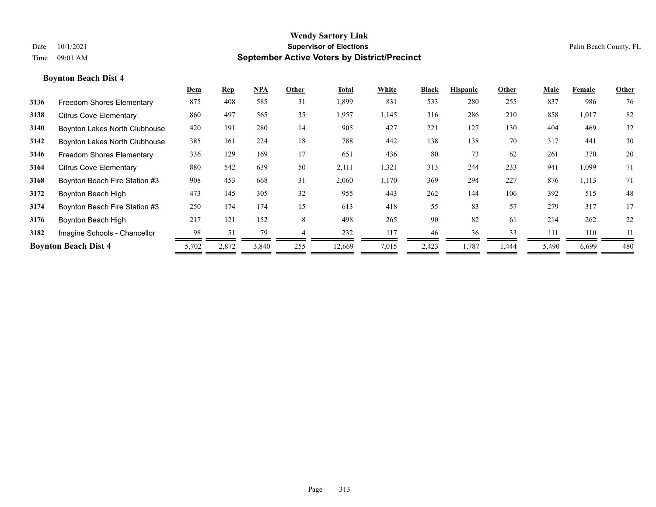|      |                                  | Dem   | <b>Rep</b> | <b>NPA</b> | Other | Total  | White | <b>Black</b> | <b>Hispanic</b> | Other | Male  | Female | Other |
|------|----------------------------------|-------|------------|------------|-------|--------|-------|--------------|-----------------|-------|-------|--------|-------|
| 3136 | <b>Freedom Shores Elementary</b> | 875   | 408        | 585        | 31    | 1,899  | 831   | 533          | 280             | 255   | 837   | 986    | 76    |
| 3138 | <b>Citrus Cove Elementary</b>    | 860   | 497        | 565        | 35    | 1,957  | 1,145 | 316          | 286             | 210   | 858   | 1,017  | 82    |
| 3140 | Boynton Lakes North Clubhouse    | 420   | 191        | 280        | 14    | 905    | 427   | 221          | 127             | 130   | 404   | 469    | 32    |
| 3142 | Boynton Lakes North Clubhouse    | 385   | 161        | 224        | 18    | 788    | 442   | 138          | 138             | 70    | 317   | 441    | 30    |
| 3146 | <b>Freedom Shores Elementary</b> | 336   | 129        | 169        | 17    | 651    | 436   | 80           | 73              | 62    | 261   | 370    | 20    |
| 3164 | <b>Citrus Cove Elementary</b>    | 880   | 542        | 639        | 50    | 2,111  | 1,321 | 313          | 244             | 233   | 941   | 1,099  | 71    |
| 3168 | Boynton Beach Fire Station #3    | 908   | 453        | 668        | 31    | 2,060  | 1,170 | 369          | 294             | 227   | 876   | 1,113  | 71    |
| 3172 | Boynton Beach High               | 473   | 145        | 305        | 32    | 955    | 443   | 262          | 144             | 106   | 392   | 515    | 48    |
| 3174 | Boynton Beach Fire Station #3    | 250   | 174        | 174        | 15    | 613    | 418   | 55           | 83              | 57    | 279   | 317    | 17    |
| 3176 | Boynton Beach High               | 217   | 121        | 152        | 8     | 498    | 265   | 90           | 82              | 61    | 214   | 262    | 22    |
| 3182 | Imagine Schools - Chancellor     | 98    | 51         | 79         |       | 232    | 117   | 46           | 36              | 33    | 111   | 110    | 11    |
|      | <b>Boynton Beach Dist 4</b>      | 5,702 | 2,872      | 3,840      | 255   | 12,669 | 7,015 | 2,423        | 1,787           | 1,444 | 5,490 | 6,699  | 480   |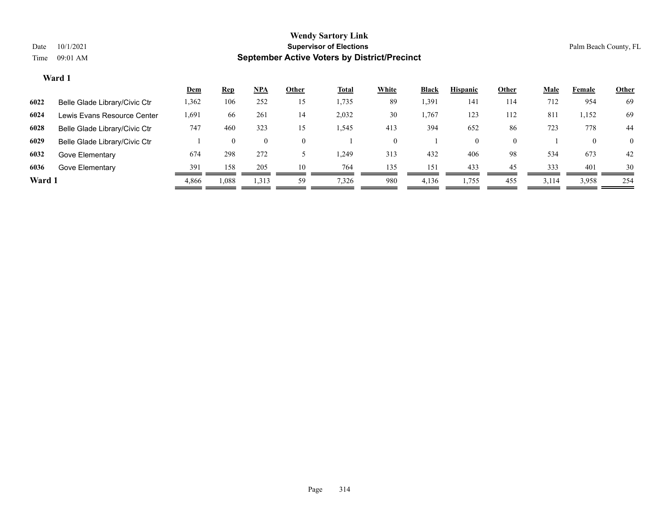|        |                               | <u>Dem</u> | <b>Rep</b> | NPA                | Other        | <u>Total</u> | White    | <b>Black</b> | <b>Hispanic</b> | Other    | <b>Male</b> | Female | <u>Other</u>   |
|--------|-------------------------------|------------|------------|--------------------|--------------|--------------|----------|--------------|-----------------|----------|-------------|--------|----------------|
| 6022   | Belle Glade Library/Civic Ctr | .362       | 106        | 252                | 15           | 1,735        | 89       | .391         | 141             | 114      | 712         | 954    | 69             |
| 6024   | Lewis Evans Resource Center   | 1,691      | 66         | 261                | 14           | 2,032        | 30       | ,767         | 123             | 112      | 811         | 1,152  | 69             |
| 6028   | Belle Glade Library/Civic Ctr | 747        | 460        | 323                | 15           | 1,545        | 413      | 394          | 652             | 86       | 723         | 778    | 44             |
| 6029   | Belle Glade Library/Civic Ctr |            | $\theta$   | $\left( 0 \right)$ | $\mathbf{0}$ |              | $^{(1)}$ |              | 0               | $\theta$ |             | 0      | $\overline{0}$ |
| 6032   | Gove Elementary               | 674        | 298        | 272                |              | 249. ا       | 313      | 432          | 406             | 98       | 534         | 673    | 42             |
| 6036   | Gove Elementary               | 391        | 158        | 205                | 10           | 764          | 135      | 151          | 433             | 45       | 333         | 401    | 30             |
| Ward 1 |                               | 4,866      | 1,088      | 1,313              | 59           | 7,326        | 980      | 4,136        | 1,755           | 455      | 3,114       | 3,958  | 254            |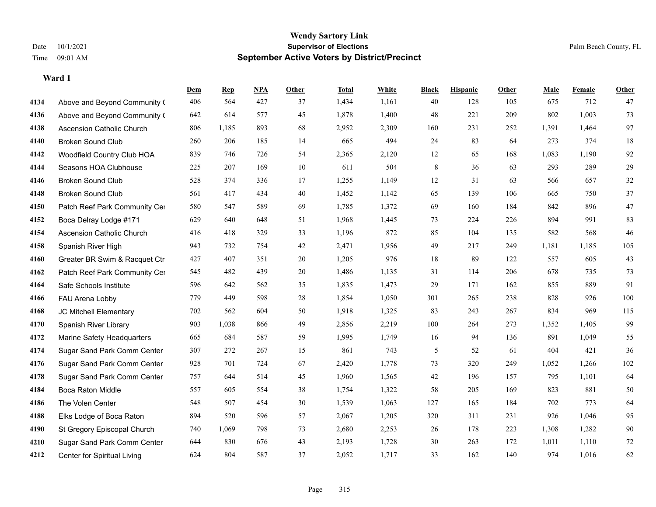|      |                                  | Dem | <b>Rep</b> | NPA | <b>Other</b> | <b>Total</b> | <b>White</b> | <b>Black</b> | <b>Hispanic</b> | Other | <b>Male</b> | <b>Female</b> | <b>Other</b> |
|------|----------------------------------|-----|------------|-----|--------------|--------------|--------------|--------------|-----------------|-------|-------------|---------------|--------------|
| 4134 | Above and Beyond Community (     | 406 | 564        | 427 | 37           | 1,434        | 1,161        | 40           | 128             | 105   | 675         | 712           | 47           |
| 4136 | Above and Beyond Community (     | 642 | 614        | 577 | 45           | 1,878        | 1,400        | 48           | 221             | 209   | 802         | 1,003         | 73           |
| 4138 | <b>Ascension Catholic Church</b> | 806 | 1,185      | 893 | 68           | 2,952        | 2,309        | 160          | 231             | 252   | 1,391       | 1,464         | 97           |
| 4140 | <b>Broken Sound Club</b>         | 260 | 206        | 185 | 14           | 665          | 494          | 24           | 83              | 64    | 273         | 374           | 18           |
| 4142 | Woodfield Country Club HOA       | 839 | 746        | 726 | 54           | 2,365        | 2,120        | 12           | 65              | 168   | 1,083       | 1,190         | 92           |
| 4144 | Seasons HOA Clubhouse            | 225 | 207        | 169 | 10           | 611          | 504          | 8            | 36              | 63    | 293         | 289           | $29\,$       |
| 4146 | <b>Broken Sound Club</b>         | 528 | 374        | 336 | 17           | 1,255        | 1,149        | $12\,$       | 31              | 63    | 566         | 657           | 32           |
| 4148 | <b>Broken Sound Club</b>         | 561 | 417        | 434 | 40           | 1,452        | 1,142        | 65           | 139             | 106   | 665         | 750           | 37           |
| 4150 | Patch Reef Park Community Cer    | 580 | 547        | 589 | 69           | 1,785        | 1,372        | 69           | 160             | 184   | 842         | 896           | $47\,$       |
| 4152 | Boca Delray Lodge #171           | 629 | 640        | 648 | 51           | 1,968        | 1,445        | 73           | 224             | 226   | 894         | 991           | 83           |
| 4154 | Ascension Catholic Church        | 416 | 418        | 329 | 33           | 1,196        | 872          | 85           | 104             | 135   | 582         | 568           | $46\,$       |
| 4158 | Spanish River High               | 943 | 732        | 754 | 42           | 2,471        | 1,956        | 49           | 217             | 249   | 1,181       | 1,185         | 105          |
| 4160 | Greater BR Swim & Racquet Ctr    | 427 | 407        | 351 | 20           | 1,205        | 976          | 18           | 89              | 122   | 557         | 605           | $43\,$       |
| 4162 | Patch Reef Park Community Cer    | 545 | 482        | 439 | $20\,$       | 1,486        | 1,135        | 31           | 114             | 206   | 678         | 735           | 73           |
| 4164 | Safe Schools Institute           | 596 | 642        | 562 | 35           | 1,835        | 1,473        | 29           | 171             | 162   | 855         | 889           | 91           |
| 4166 | FAU Arena Lobby                  | 779 | 449        | 598 | 28           | 1,854        | 1,050        | 301          | 265             | 238   | 828         | 926           | 100          |
| 4168 | JC Mitchell Elementary           | 702 | 562        | 604 | 50           | 1,918        | 1,325        | 83           | 243             | 267   | 834         | 969           | 115          |
| 4170 | Spanish River Library            | 903 | 1,038      | 866 | 49           | 2,856        | 2,219        | 100          | 264             | 273   | 1,352       | 1,405         | 99           |
| 4172 | Marine Safety Headquarters       | 665 | 684        | 587 | 59           | 1,995        | 1,749        | 16           | 94              | 136   | 891         | 1,049         | 55           |
| 4174 | Sugar Sand Park Comm Center      | 307 | 272        | 267 | 15           | 861          | 743          | 5            | 52              | 61    | 404         | 421           | 36           |
| 4176 | Sugar Sand Park Comm Center      | 928 | 701        | 724 | 67           | 2,420        | 1,778        | 73           | 320             | 249   | 1,052       | 1,266         | 102          |
| 4178 | Sugar Sand Park Comm Center      | 757 | 644        | 514 | 45           | 1,960        | 1,565        | 42           | 196             | 157   | 795         | 1,101         | 64           |
| 4184 | <b>Boca Raton Middle</b>         | 557 | 605        | 554 | 38           | 1,754        | 1,322        | 58           | 205             | 169   | 823         | 881           | $50\,$       |
| 4186 | The Volen Center                 | 548 | 507        | 454 | 30           | 1,539        | 1,063        | 127          | 165             | 184   | 702         | 773           | 64           |
| 4188 | Elks Lodge of Boca Raton         | 894 | 520        | 596 | 57           | 2,067        | 1,205        | 320          | 311             | 231   | 926         | 1,046         | 95           |
| 4190 | St Gregory Episcopal Church      | 740 | 1,069      | 798 | 73           | 2,680        | 2,253        | 26           | 178             | 223   | 1,308       | 1,282         | $90\,$       |
| 4210 | Sugar Sand Park Comm Center      | 644 | 830        | 676 | 43           | 2,193        | 1,728        | 30           | 263             | 172   | 1,011       | 1,110         | 72           |
| 4212 | Center for Spiritual Living      | 624 | 804        | 587 | 37           | 2,052        | 1,717        | 33           | 162             | 140   | 974         | 1,016         | 62           |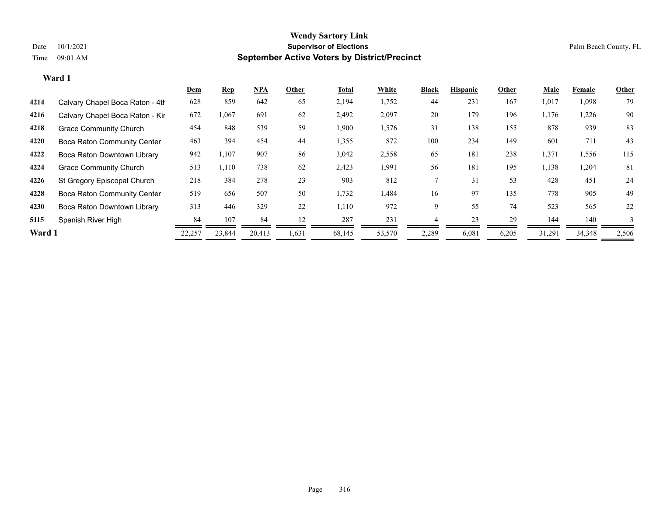|        |                                    | <u>Dem</u> | <b>Rep</b> | NPA    | Other | <b>Total</b> | White  | <b>Black</b> | <b>Hispanic</b> | Other | Male   | Female | Other |
|--------|------------------------------------|------------|------------|--------|-------|--------------|--------|--------------|-----------------|-------|--------|--------|-------|
| 4214   | Calvary Chapel Boca Raton - 4th    | 628        | 859        | 642    | 65    | 2,194        | 1,752  | 44           | 231             | 167   | 1,017  | 1,098  | 79    |
| 4216   | Calvary Chapel Boca Raton - Kir    | 672        | 1,067      | 691    | 62    | 2,492        | 2,097  | 20           | 179             | 196   | 1,176  | 1,226  | 90    |
| 4218   | <b>Grace Community Church</b>      | 454        | 848        | 539    | 59    | 1,900        | 1,576  | 31           | 138             | 155   | 878    | 939    | 83    |
| 4220   | <b>Boca Raton Community Center</b> | 463        | 394        | 454    | 44    | 1,355        | 872    | 100          | 234             | 149   | 601    | 711    | 43    |
| 4222   | Boca Raton Downtown Library        | 942        | 1,107      | 907    | 86    | 3,042        | 2,558  | 65           | 181             | 238   | 1,371  | 1,556  | 115   |
| 4224   | <b>Grace Community Church</b>      | 513        | 1,110      | 738    | 62    | 2,423        | 1,991  | 56           | 181             | 195   | 1,138  | 1,204  | 81    |
| 4226   | St Gregory Episcopal Church        | 218        | 384        | 278    | 23    | 903          | 812    |              | 31              | 53    | 428    | 451    | 24    |
| 4228   | <b>Boca Raton Community Center</b> | 519        | 656        | 507    | 50    | 1,732        | 1,484  | 16           | 97              | 135   | 778    | 905    | 49    |
| 4230   | Boca Raton Downtown Library        | 313        | 446        | 329    | 22    | 1,110        | 972    | 9            | 55              | 74    | 523    | 565    | 22    |
| 5115   | Spanish River High                 | 84         | 107        | 84     | 12    | 287          | 231    |              | 23              | 29    | 144    | 140    |       |
| Ward 1 |                                    | 22,257     | 23,844     | 20,413 | 1,631 | 68,145       | 53,570 | 2,289        | 6,081           | 6,205 | 31,291 | 34,348 | 2,506 |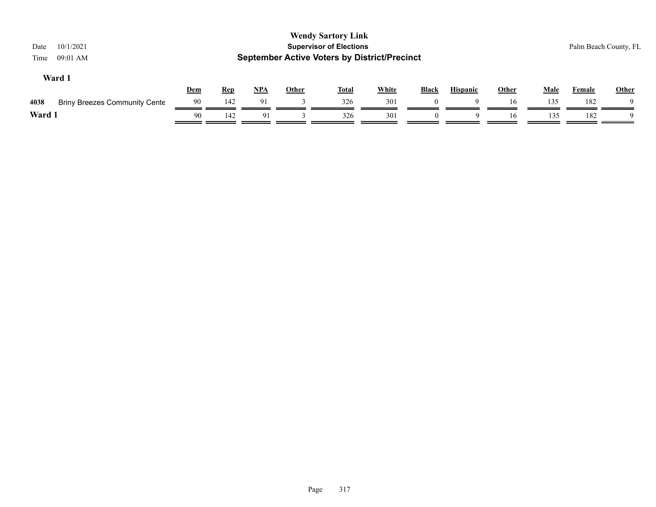| <b>Wendy Sartory Link</b><br><b>Supervisor of Elections</b><br>10/1/2021<br>Date<br><b>September Active Voters by District/Precinct</b><br>09:01 AM<br>Time |     |            |            |              |              |              |              |                 |              |             |        | Palm Beach County, FL |
|-------------------------------------------------------------------------------------------------------------------------------------------------------------|-----|------------|------------|--------------|--------------|--------------|--------------|-----------------|--------------|-------------|--------|-----------------------|
| Ward 1                                                                                                                                                      | Dem | <u>Rep</u> | <u>NPA</u> | <b>Other</b> | <u>Total</u> | <b>White</b> | <b>Black</b> | <b>Hispanic</b> | <u>Other</u> | <b>Male</b> | Female | <b>Other</b>          |
| 4038<br><b>Briny Breezes Community Cente</b>                                                                                                                | 90  | 142        | 91         |              | 326          | 301          |              | a               | 16           | 135         | 182    | Q                     |
| Ward 1                                                                                                                                                      | 90  | 142        | 91         |              | 326          | 301          |              |                 | 16           | 135         | 182    |                       |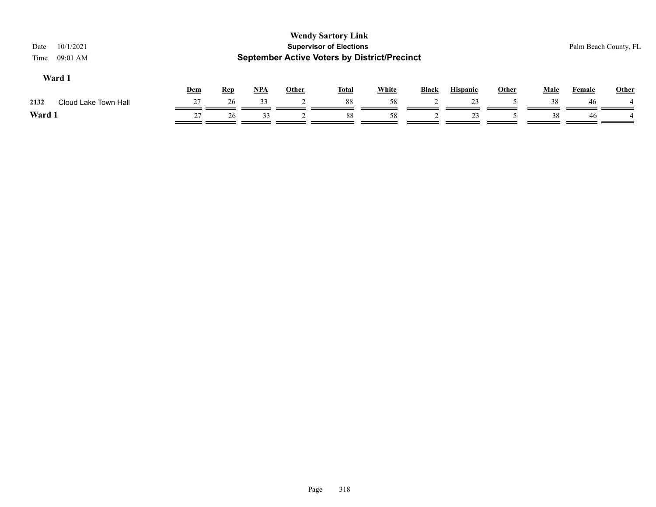| 10/1/2021<br>Date<br>09:01 AM<br>Time |     |            |            |              | <b>Wendy Sartory Link</b><br><b>Supervisor of Elections</b><br><b>September Active Voters by District/Precinct</b> |              |              |                 |       |             |        | Palm Beach County, FL |
|---------------------------------------|-----|------------|------------|--------------|--------------------------------------------------------------------------------------------------------------------|--------------|--------------|-----------------|-------|-------------|--------|-----------------------|
| Ward 1                                | Dem | <b>Rep</b> | <u>NPA</u> | <b>Other</b> | <b>Total</b>                                                                                                       | <b>White</b> | <b>Black</b> | <b>Hispanic</b> | Other | <b>Male</b> | Female | <b>Other</b>          |
| Cloud Lake Town Hall<br>2132          | 27  | 26         | 33         |              | 88                                                                                                                 | 58           |              | 23              |       | 38          | -46    |                       |
| Ward 1                                | 27  | 26         | 33         |              | 88                                                                                                                 | 58           |              | 23              |       | 38          | 46     |                       |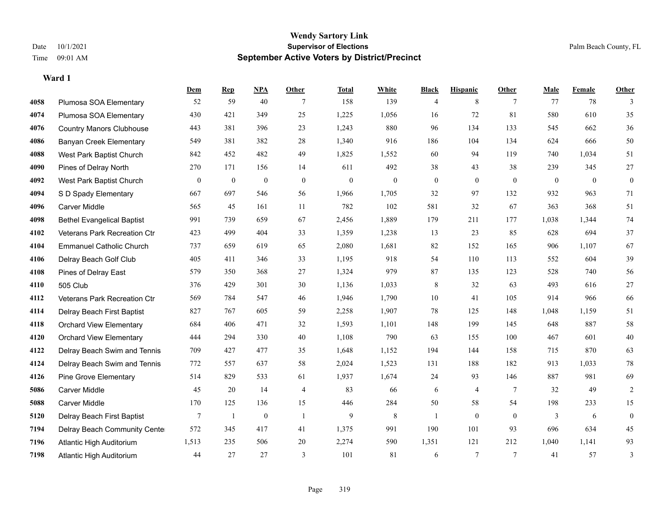**Ward 1**

#### **Wendy Sartory Link** Date 10/1/2021 **Supervisor of Elections** Palm Beach County, FL Time 09:01 AM **September Active Voters by District/Precinct**

# **Dem Rep NPA Other Total White Black Hispanic Other Male Female Other** Plumosa SOA Elementary 52 59 40 7 158 139 4 8 7 77 78 3 Plumosa SOA Elementary 430 421 349 25 1,225 1,056 16 72 81 580 610 35 Country Manors Clubhouse 443 381 396 23 1,243 880 96 134 133 545 662 36 Banyan Creek Elementary 549 381 382 28 1,340 916 186 104 134 624 666 50 West Park Baptist Church 842 452 482 49 1,825 1,552 60 94 119 740 1,034 51 Pines of Delray North 270 171 156 14 611 492 38 43 38 239 345 27 West Park Baptist Church 0 0 0 0 0 0 0 0 0 0 0 0 S D Spady Elementary 667 697 546 56 1,966 1,705 32 97 132 932 963 71 Carver Middle 565 45 161 11 782 102 581 32 67 363 368 51 Bethel Evangelical Baptist 991 739 659 67 2,456 1,889 179 211 177 1,038 1,344 74 Veterans Park Recreation Ctr 423 499 404 33 1,359 1,238 13 23 85 628 694 37 Emmanuel Catholic Church 737 659 619 65 2,080 1,681 82 152 165 906 1,107 67 Delray Beach Golf Club 405 411 346 33 1,195 918 54 110 113 552 604 39 Pines of Delray East 579 350 368 27 1,324 979 87 135 123 528 740 56 505 Club 376 429 301 30 1,136 1,033 8 32 63 493 616 27 Veterans Park Recreation Ctr 569 784 547 46 1,946 1,790 10 41 105 914 966 66 Delray Beach First Baptist 827 767 605 59 2,258 1,907 78 125 148 1,048 1,159 51 Orchard View Elementary 684 406 471 32 1,593 1,101 148 199 145 648 887 58 Orchard View Elementary 444 294 330 40 1,108 790 63 155 100 467 601 40 Delray Beach Swim and Tennis 709 427 477 35 1,648 1,152 194 144 158 715 870 63 Delray Beach Swim and Tennis 772 557 637 58 2,024 1,523 131 188 182 913 1,033 78 Pine Grove Elementary 514 829 533 61 1,937 1,674 24 93 146 887 981 69 Carver Middle 45 20 14 4 83 66 6 4 7 32 49 2 Carver Middle 170 125 136 15 446 284 50 58 54 198 233 15 Delray Beach First Baptist 7 1 0 1 9 8 1 0 0 3 6 0 Delray Beach Community Center 572 345 417 41 1,375 991 190 101 93 696 634 45 Atlantic High Auditorium 1,513 235 506 20 2,274 590 1,351 121 212 1,040 1,141 93 Atlantic High Auditorium 44 27 27 3 101 81 6 7 7 41 57 3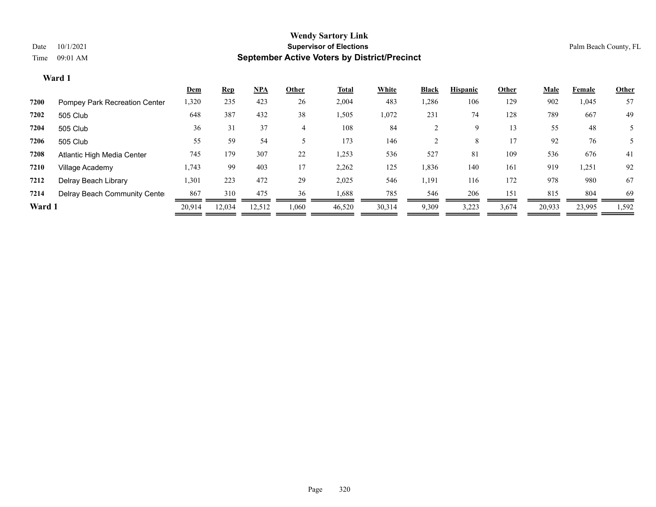|        |                               | <u>Dem</u> | <b>Rep</b> | NPA    | Other | Total  | White  | <b>Black</b> | <b>Hispanic</b> | Other | Male   | Female | Other |
|--------|-------------------------------|------------|------------|--------|-------|--------|--------|--------------|-----------------|-------|--------|--------|-------|
| 7200   | Pompey Park Recreation Center | 1,320      | 235        | 423    | 26    | 2,004  | 483    | 1,286        | 106             | 129   | 902    | 1,045  | 57    |
| 7202   | 505 Club                      | 648        | 387        | 432    | 38    | 1,505  | 1,072  | 231          | 74              | 128   | 789    | 667    | 49    |
| 7204   | 505 Club                      | 36         | 31         | 37     |       | 108    | 84     |              | 9               | 13    | 55     | 48     |       |
| 7206   | 505 Club                      | 55         | 59         | 54     |       | 173    | 146    |              | 8.              | 17    | 92     | 76     |       |
| 7208   | Atlantic High Media Center    | 745        | 179        | 307    | 22    | 1,253  | 536    | 527          | 81              | 109   | 536    | 676    | 41    |
| 7210   | Village Academy               | 1,743      | 99         | 403    | 17    | 2,262  | 125    | 1,836        | 140             | 161   | 919    | 1,251  | 92    |
| 7212   | Delray Beach Library          | 1,301      | 223        | 472    | 29    | 2,025  | 546    | 1,191        | 116             | 172   | 978    | 980    | 67    |
| 7214   | Delray Beach Community Cente  | 867        | 310        | 475    | 36    | 1,688  | 785    | 546          | 206             | 151   | 815    | 804    | 69    |
| Ward 1 |                               | 20,914     | 12,034     | 12,512 | 1,060 | 46,520 | 30,314 | 9,309        | 3,223           | 3,674 | 20,933 | 23,995 | 1,592 |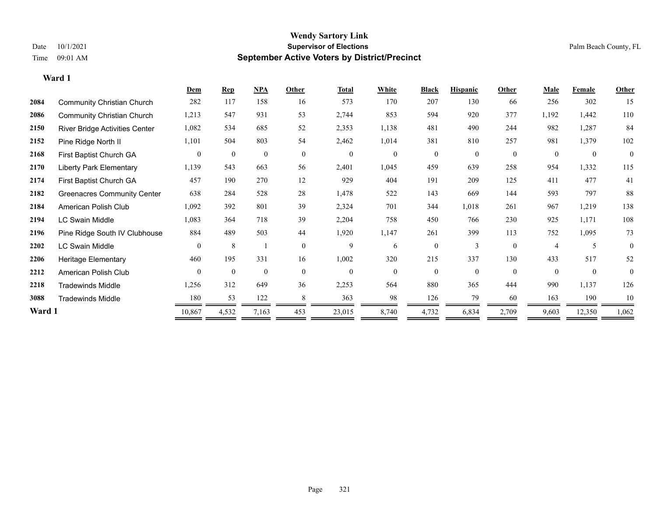|        |                                    | Dem            | <b>Rep</b>   | <b>NPA</b>     | Other          | <b>Total</b>     | White          | <b>Black</b> | <b>Hispanic</b> | Other        | Male           | Female           | Other          |
|--------|------------------------------------|----------------|--------------|----------------|----------------|------------------|----------------|--------------|-----------------|--------------|----------------|------------------|----------------|
| 2084   | <b>Community Christian Church</b>  | 282            | 117          | 158            | 16             | 573              | 170            | 207          | 130             | 66           | 256            | 302              | 15             |
| 2086   | <b>Community Christian Church</b>  | 1,213          | 547          | 931            | 53             | 2,744            | 853            | 594          | 920             | 377          | 1,192          | 1,442            | 110            |
| 2150   | River Bridge Activities Center     | 1,082          | 534          | 685            | 52             | 2,353            | 1,138          | 481          | 490             | 244          | 982            | 1,287            | 84             |
| 2152   | Pine Ridge North II                | 1,101          | 504          | 803            | 54             | 2,462            | 1,014          | 381          | 810             | 257          | 981            | 1,379            | 102            |
| 2168   | First Baptist Church GA            | $\overline{0}$ | $\mathbf{0}$ | $\overline{0}$ | $\overline{0}$ | $\boldsymbol{0}$ | $\overline{0}$ | $\mathbf{0}$ | $\overline{0}$  | $\mathbf{0}$ | $\overline{0}$ | $\boldsymbol{0}$ | $\overline{0}$ |
| 2170   | <b>Liberty Park Elementary</b>     | 1,139          | 543          | 663            | 56             | 2,401            | 1,045          | 459          | 639             | 258          | 954            | 1,332            | 115            |
| 2174   | First Baptist Church GA            | 457            | 190          | 270            | 12             | 929              | 404            | 191          | 209             | 125          | 411            | 477              | 41             |
| 2182   | <b>Greenacres Community Center</b> | 638            | 284          | 528            | 28             | 1,478            | 522            | 143          | 669             | 144          | 593            | 797              | 88             |
| 2184   | American Polish Club               | 1,092          | 392          | 801            | 39             | 2,324            | 701            | 344          | 1,018           | 261          | 967            | 1,219            | 138            |
| 2194   | <b>LC Swain Middle</b>             | 1,083          | 364          | 718            | 39             | 2,204            | 758            | 450          | 766             | 230          | 925            | 1,171            | 108            |
| 2196   | Pine Ridge South IV Clubhouse      | 884            | 489          | 503            | 44             | 1,920            | 1,147          | 261          | 399             | 113          | 752            | 1,095            | 73             |
| 2202   | <b>LC Swain Middle</b>             | $\theta$       | 8            |                | $\theta$       | 9                | 6              | $\mathbf{0}$ | 3               | $\theta$     | $\overline{A}$ | 5                | $\theta$       |
| 2206   | <b>Heritage Elementary</b>         | 460            | 195          | 331            | 16             | 1,002            | 320            | 215          | 337             | 130          | 433            | 517              | 52             |
| 2212   | American Polish Club               | $\Omega$       | $\mathbf{0}$ | $\mathbf{0}$   | $\overline{0}$ | $\mathbf{0}$     | $\mathbf{0}$   | $\mathbf{0}$ | $\theta$        | $\mathbf{0}$ | $\theta$       | $\mathbf{0}$     | $\theta$       |
| 2218   | <b>Tradewinds Middle</b>           | 1,256          | 312          | 649            | 36             | 2,253            | 564            | 880          | 365             | 444          | 990            | 1,137            | 126            |
| 3088   | <b>Tradewinds Middle</b>           | 180            | 53           | 122            | 8              | 363              | 98             | 126          | 79              | 60           | 163            | 190              | 10             |
| Ward 1 |                                    | 10,867         | 4,532        | 7,163          | 453            | 23,015           | 8,740          | 4,732        | 6,834           | 2,709        | 9,603          | 12,350           | 1,062          |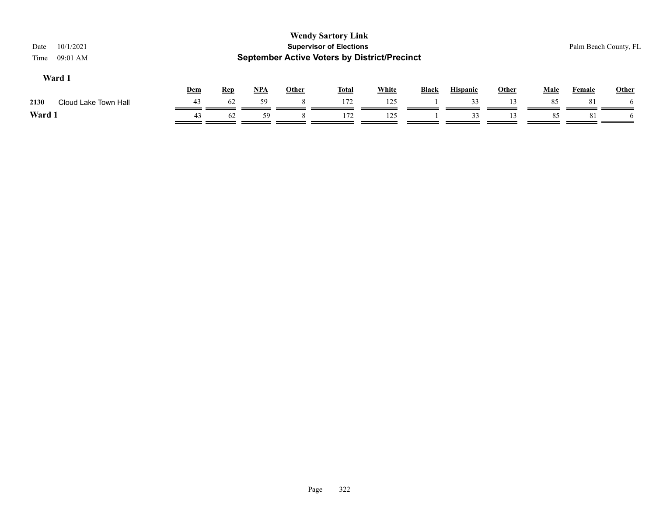| 10/1/2021<br>Date<br>09:01 AM<br>Time |     |            |            |              | <b>Wendy Sartory Link</b><br><b>Supervisor of Elections</b><br><b>September Active Voters by District/Precinct</b> |              |              |                 |              |             |        | Palm Beach County, FL |
|---------------------------------------|-----|------------|------------|--------------|--------------------------------------------------------------------------------------------------------------------|--------------|--------------|-----------------|--------------|-------------|--------|-----------------------|
| Ward 1                                | Dem | <b>Rep</b> | <u>NPA</u> | <b>Other</b> | <b>Total</b>                                                                                                       | <b>White</b> | <b>Black</b> | <b>Hispanic</b> | <u>Other</u> | <b>Male</b> | Female | Other                 |
| Cloud Lake Town Hall<br>2130          | 43  | 62         | 59         |              | 172                                                                                                                | 125          |              | 33              | 13.          | 85          | 8      |                       |
| Ward 1                                | 43  | 62         | 59         |              | 172                                                                                                                | 125          |              | 33              |              | 85          | 81     | <sub>t</sub>          |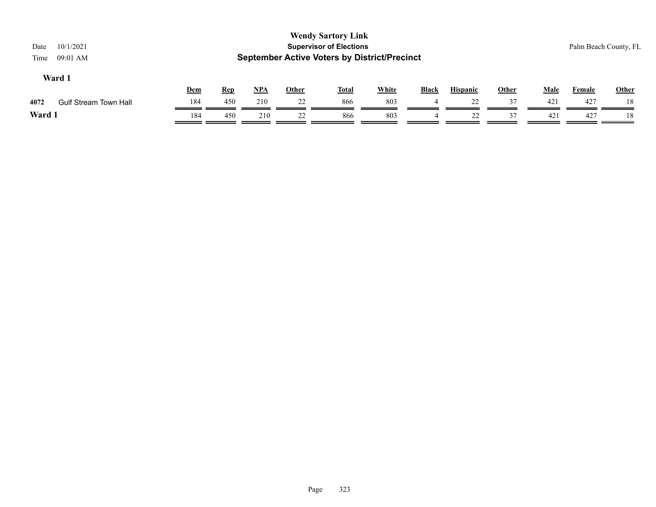| <b>Wendy Sartory Link</b><br><b>Supervisor of Elections</b><br>10/1/2021<br>Date<br><b>September Active Voters by District/Precinct</b><br>09:01 AM<br>Time |     |            |            |              |              |              |              |                 |              |             | Palm Beach County, FL |              |
|-------------------------------------------------------------------------------------------------------------------------------------------------------------|-----|------------|------------|--------------|--------------|--------------|--------------|-----------------|--------------|-------------|-----------------------|--------------|
| Ward 1                                                                                                                                                      | Dem | <u>Rep</u> | <u>NPA</u> | <b>Other</b> | <b>Total</b> | <b>White</b> | <b>Black</b> | <b>Hispanic</b> | <b>Other</b> | <b>Male</b> | <b>Female</b>         | <b>Other</b> |
| <b>Gulf Stream Town Hall</b><br>4072                                                                                                                        | 184 | 450        | 210        | 22           | 866          | 803          | 4            | 22              | 37           | 421         | 427                   | 18           |
| Ward 1                                                                                                                                                      | 184 | 450        | 210        | 22           | 866          | 803          | 4            | 22              | 37           | 421         | 427                   | 18           |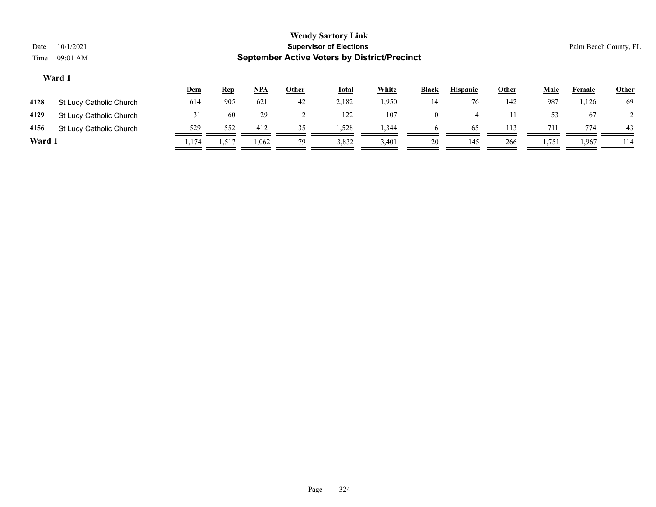| Date<br>Time | <b>Wendy Sartory Link</b><br><b>Supervisor of Elections</b><br>10/1/2021<br>Palm Beach County, FL<br><b>September Active Voters by District/Precinct</b><br>09:01 AM |       |            |            |       |              |              |                |                 |              |             |        |              |
|--------------|----------------------------------------------------------------------------------------------------------------------------------------------------------------------|-------|------------|------------|-------|--------------|--------------|----------------|-----------------|--------------|-------------|--------|--------------|
|              | Ward 1                                                                                                                                                               | Dem   | <b>Rep</b> | <u>NPA</u> | Other | <b>Total</b> | <b>White</b> | <b>Black</b>   | <b>Hispanic</b> | <b>Other</b> | <b>Male</b> | Female | <b>Other</b> |
| 4128         | St Lucy Catholic Church                                                                                                                                              | 614   | 905        | 621        | 42    | 2,182        | 1,950        | 14             | 76              | 142          | 987         | 1,126  | -69          |
| 4129         | St Lucy Catholic Church                                                                                                                                              | 31    | 60         | 29         |       | 122          | 107          | $\overline{0}$ | $\overline{4}$  | 11           | 53          | 67     | 2            |
| 4156         | St Lucy Catholic Church                                                                                                                                              | 529   | 552        | 412        | 35    | 1,528        | 1,344        | 6              | 65              | 113          | 711         | 774    | 43           |
| Ward 1       |                                                                                                                                                                      | 1,174 | 1,517      | 1,062      | 79    | 3,832        | 3,401        | 20             | 145             | 266          | 1,751       | 1,967  | 114          |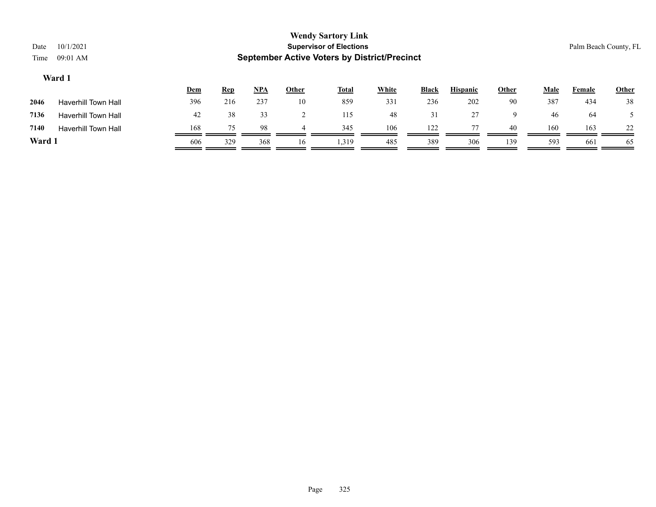| Date<br>Time | 10/1/2021<br>09:01 AM                                                                                                                                     |     |     |     |    | <b>Wendy Sartory Link</b><br><b>Supervisor of Elections</b><br><b>September Active Voters by District/Precinct</b> |     |     |     |     |     |     | Palm Beach County, FL |  |
|--------------|-----------------------------------------------------------------------------------------------------------------------------------------------------------|-----|-----|-----|----|--------------------------------------------------------------------------------------------------------------------|-----|-----|-----|-----|-----|-----|-----------------------|--|
|              | Ward 1<br><b>White</b><br><b>Hispanic</b><br>$NPA$<br>Other<br><b>Male</b><br>Dem<br><b>Other</b><br><b>Total</b><br><b>Black</b><br><u>Rep</u><br>Female |     |     |     |    |                                                                                                                    |     |     |     |     |     |     |                       |  |
| 2046         | Haverhill Town Hall                                                                                                                                       | 396 | 216 | 237 | 10 | 859                                                                                                                | 331 | 236 | 202 | 90  | 387 | 434 | <b>Other</b><br>38    |  |
| 7136         | <b>Haverhill Town Hall</b>                                                                                                                                | 42  | 38  | 33  |    | 115                                                                                                                | 48  | 31  | 27  | 9   | 46  | -64 |                       |  |
| 7140         | <b>Haverhill Town Hall</b>                                                                                                                                | 168 | 75  | 98  | 4  | 345                                                                                                                | 106 | 122 | 77  | 40  | 160 | 163 | 22                    |  |
| Ward 1       |                                                                                                                                                           | 606 | 329 | 368 | 16 | 1,319                                                                                                              | 485 | 389 | 306 | 139 | 593 | 661 | 65                    |  |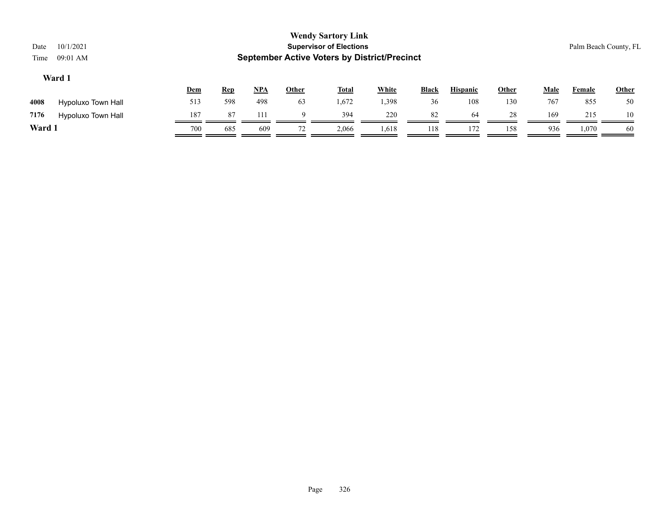| Date<br>Time                                                                                                                                                                 | 10/1/2021<br>09:01 AM |     |     |     |    | <b>Wendy Sartory Link</b><br><b>Supervisor of Elections</b><br><b>September Active Voters by District/Precinct</b> |       |     |     |     |     |       | Palm Beach County, FL |
|------------------------------------------------------------------------------------------------------------------------------------------------------------------------------|-----------------------|-----|-----|-----|----|--------------------------------------------------------------------------------------------------------------------|-------|-----|-----|-----|-----|-------|-----------------------|
| Ward 1<br><b>White</b><br><u>NPA</u><br><b>Hispanic</b><br>Other<br><b>Male</b><br><u>Other</u><br><b>Total</b><br><b>Black</b><br><u>Dem</u><br><b>Rep</b><br><b>Female</b> |                       |     |     |     |    |                                                                                                                    |       |     |     |     |     |       |                       |
| 4008                                                                                                                                                                         | Hypoluxo Town Hall    | 513 | 598 | 498 | 63 | 1,672                                                                                                              | 1,398 | 36  | 108 | 130 | 767 | 855   | 50                    |
| 7176                                                                                                                                                                         | Hypoluxo Town Hall    | 187 | 87  | 111 | 9  | 394                                                                                                                | 220   | 82  | 64  | 28  | 169 | 215   | 10                    |
| Ward 1                                                                                                                                                                       |                       | 700 | 685 | 609 | 72 | 2,066                                                                                                              | 1,618 | 118 | 172 | 158 | 936 | 1,070 | -60                   |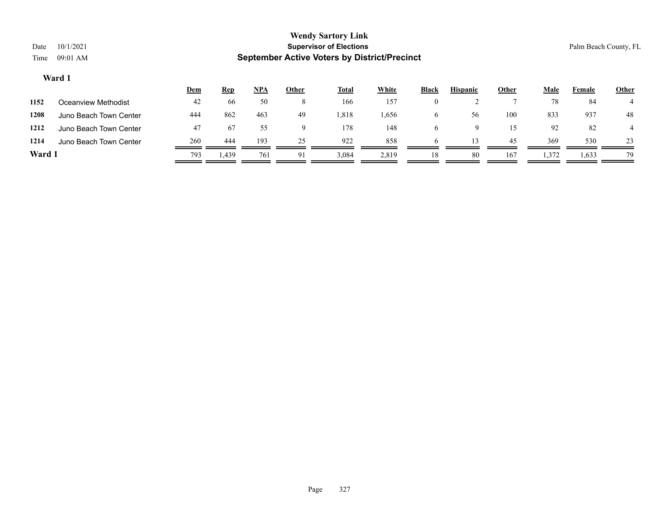# **Wendy Sartory Link** Date 10/1/2021 **Supervisor of Elections** Palm Beach County, FL Time 09:01 AM **September Active Voters by District/Precinct Dem Rep NPA Other Total White Black Hispanic Other Male Female Other Ward 1**

| 1152 | Oceanview Methodist    | 42  | 66   | 50  |    | 166   | 157   |    |    |     | 78    | 84    |    |
|------|------------------------|-----|------|-----|----|-------|-------|----|----|-----|-------|-------|----|
| 1208 | Juno Beach Town Center | 444 | 862  | 463 | 49 | 1,818 | 1,656 |    | 56 | 100 | 833   | 937   | 48 |
| 1212 | Juno Beach Town Center | 47  | 67   | 55  |    | 178   | 148   |    |    |     | 92    | 82    |    |
| 1214 | Juno Beach Town Center | 260 | 444  | 193 | 25 | 922   | 858   |    |    | 45  | 369   | 530   | 23 |
| Ward |                        | 793 | 439ء | 761 | 91 | 3,084 | 2,819 | 18 | 80 | 167 | 1,372 | 1,633 | 79 |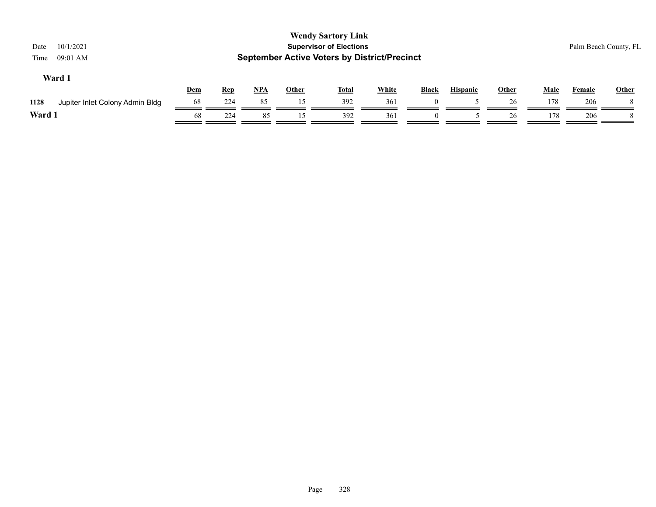| 10/1/2021<br>Date<br>09:01 AM<br>Time   |            |            |            |       | <b>Wendy Sartory Link</b><br><b>Supervisor of Elections</b><br><b>September Active Voters by District/Precinct</b> |              |              |                 |              |             |        | Palm Beach County, FL |
|-----------------------------------------|------------|------------|------------|-------|--------------------------------------------------------------------------------------------------------------------|--------------|--------------|-----------------|--------------|-------------|--------|-----------------------|
| Ward 1                                  | <b>Dem</b> | <u>Rep</u> | <u>NPA</u> | Other | <b>Total</b>                                                                                                       | <b>White</b> | <b>Black</b> | <b>Hispanic</b> | <b>Other</b> | <b>Male</b> | Female | <b>Other</b>          |
| 1128<br>Jupiter Inlet Colony Admin Bldg | 68         | 224        | 85         | 15    | 392                                                                                                                | 361          |              |                 | 26           | 178         | 206    |                       |
| Ward 1                                  | 68         | 224        | 85         | 15    | 392                                                                                                                | 361          | $\Omega$     |                 | 26           | 178         | 206    |                       |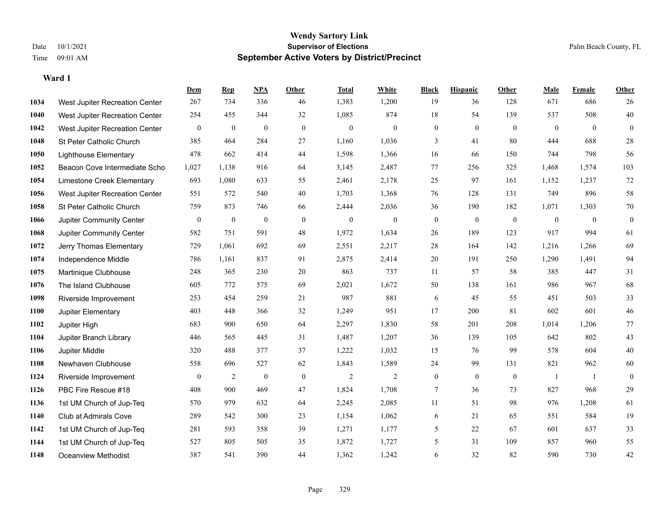|      |                                | Dem          | <b>Rep</b>       | NPA              | <b>Other</b>   | <b>Total</b> | <b>White</b> | <b>Black</b>     | <b>Hispanic</b>  | <b>Other</b>     | <b>Male</b>    | Female       | <b>Other</b>     |
|------|--------------------------------|--------------|------------------|------------------|----------------|--------------|--------------|------------------|------------------|------------------|----------------|--------------|------------------|
| 1034 | West Jupiter Recreation Center | 267          | 734              | 336              | 46             | 1,383        | 1,200        | 19               | 36               | 128              | 671            | 686          | 26               |
| 1040 | West Jupiter Recreation Center | 254          | 455              | 344              | 32             | 1,085        | 874          | 18               | 54               | 139              | 537            | 508          | 40               |
| 1042 | West Jupiter Recreation Center | $\mathbf{0}$ | $\boldsymbol{0}$ | $\mathbf{0}$     | $\overline{0}$ | $\mathbf{0}$ | $\mathbf{0}$ | $\mathbf{0}$     | $\mathbf{0}$     | $\theta$         | $\overline{0}$ | $\theta$     | $\mathbf{0}$     |
| 1048 | St Peter Catholic Church       | 385          | 464              | 284              | 27             | 1,160        | 1,036        | 3                | 41               | 80               | 444            | 688          | $28\,$           |
| 1050 | <b>Lighthouse Elementary</b>   | 478          | 662              | 414              | 44             | 1,598        | 1,366        | 16               | 66               | 150              | 744            | 798          | 56               |
| 1052 | Beacon Cove Intermediate Scho  | 1,027        | 1,138            | 916              | 64             | 3,145        | 2,487        | 77               | 256              | 325              | 1,468          | 1,574        | 103              |
| 1054 | Limestone Creek Elementary     | 693          | 1,080            | 633              | 55             | 2,461        | 2,178        | 25               | 97               | 161              | 1,152          | 1,237        | 72               |
| 1056 | West Jupiter Recreation Center | 551          | 572              | 540              | 40             | 1,703        | 1,368        | 76               | 128              | 131              | 749            | 896          | 58               |
| 1058 | St Peter Catholic Church       | 759          | 873              | 746              | 66             | 2,444        | 2,036        | 36               | 190              | 182              | 1,071          | 1,303        | $70\,$           |
| 1066 | Jupiter Community Center       | $\bf{0}$     | $\boldsymbol{0}$ | $\mathbf{0}$     | $\mathbf{0}$   | $\theta$     | $\mathbf{0}$ | $\boldsymbol{0}$ | $\mathbf{0}$     | $\mathbf{0}$     | $\mathbf{0}$   | $\mathbf{0}$ | $\boldsymbol{0}$ |
| 1068 | Jupiter Community Center       | 582          | 751              | 591              | 48             | 1,972        | 1,634        | 26               | 189              | 123              | 917            | 994          | 61               |
| 1072 | Jerry Thomas Elementary        | 729          | 1,061            | 692              | 69             | 2,551        | 2,217        | 28               | 164              | 142              | 1,216          | 1,266        | 69               |
| 1074 | Independence Middle            | 786          | 1,161            | 837              | 91             | 2,875        | 2,414        | 20               | 191              | 250              | 1,290          | 1,491        | 94               |
| 1075 | Martinique Clubhouse           | 248          | 365              | 230              | $20\,$         | 863          | 737          | 11               | 57               | 58               | 385            | 447          | 31               |
| 1076 | The Island Clubhouse           | 605          | 772              | 575              | 69             | 2,021        | 1,672        | 50               | 138              | 161              | 986            | 967          | 68               |
| 1098 | Riverside Improvement          | 253          | 454              | 259              | 21             | 987          | 881          | 6                | 45               | 55               | 451            | 503          | 33               |
| 1100 | Jupiter Elementary             | 403          | 448              | 366              | 32             | 1,249        | 951          | 17               | 200              | 81               | 602            | 601          | $46\,$           |
| 1102 | Jupiter High                   | 683          | 900              | 650              | 64             | 2,297        | 1,830        | 58               | 201              | 208              | 1,014          | 1,206        | $77\,$           |
| 1104 | Jupiter Branch Library         | 446          | 565              | 445              | 31             | 1,487        | 1,207        | 36               | 139              | 105              | 642            | 802          | $43\,$           |
| 1106 | Jupiter Middle                 | 320          | 488              | 377              | 37             | 1,222        | 1,032        | 15               | 76               | 99               | 578            | 604          | $40\,$           |
| 1108 | Newhaven Clubhouse             | 558          | 696              | 527              | 62             | 1,843        | 1,589        | 24               | 99               | 131              | 821            | 962          | 60               |
| 1124 | Riverside Improvement          | $\bf{0}$     | $\overline{2}$   | $\boldsymbol{0}$ | $\mathbf{0}$   | 2            | 2            | $\boldsymbol{0}$ | $\boldsymbol{0}$ | $\boldsymbol{0}$ | -1             | -1           | $\boldsymbol{0}$ |
| 1126 | PBC Fire Rescue #18            | 408          | 900              | 469              | 47             | 1,824        | 1,708        | 7                | 36               | 73               | 827            | 968          | 29               |
| 1136 | 1st UM Church of Jup-Teq       | 570          | 979              | 632              | 64             | 2,245        | 2,085        | 11               | 51               | 98               | 976            | 1,208        | 61               |
| 1140 | Club at Admirals Cove          | 289          | 542              | 300              | 23             | 1,154        | 1,062        | 6                | 21               | 65               | 551            | 584          | 19               |
| 1142 | 1st UM Church of Jup-Teq       | 281          | 593              | 358              | 39             | 1,271        | 1,177        | 5                | 22               | 67               | 601            | 637          | 33               |
| 1144 | 1st UM Church of Jup-Teq       | 527          | 805              | 505              | 35             | 1,872        | 1,727        | 5                | 31               | 109              | 857            | 960          | 55               |
| 1148 | Oceanview Methodist            | 387          | 541              | 390              | 44             | 1,362        | 1,242        | 6                | 32               | 82               | 590            | 730          | 42               |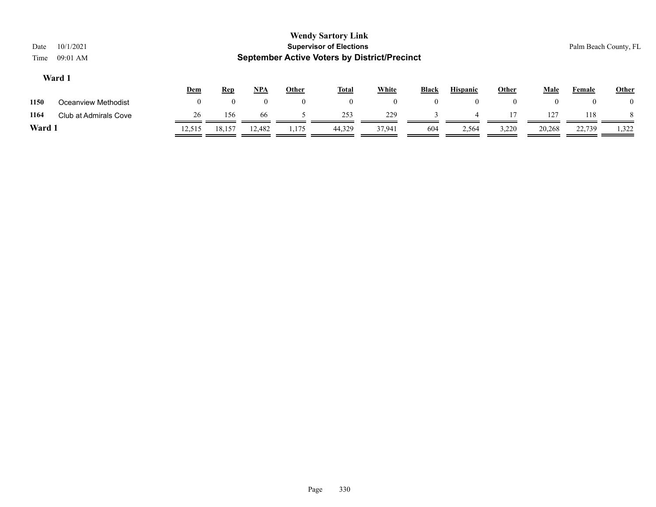| Date   | 10/1/2021             |              |            |          |              | <b>Wendy Sartory Link</b><br><b>Supervisor of Elections</b> |                |              |                 |              |              | Palm Beach County, FL |                |
|--------|-----------------------|--------------|------------|----------|--------------|-------------------------------------------------------------|----------------|--------------|-----------------|--------------|--------------|-----------------------|----------------|
| Time   | 09:01 AM              |              |            |          |              | <b>September Active Voters by District/Precinct</b>         |                |              |                 |              |              |                       |                |
|        | Ward 1                |              |            |          |              |                                                             |                |              |                 |              |              |                       |                |
|        |                       | <b>Dem</b>   | <u>Rep</u> | NPA      | <b>Other</b> | <b>Total</b>                                                | <b>White</b>   | <b>Black</b> | <b>Hispanic</b> | <b>Other</b> | <b>Male</b>  | <b>Female</b>         | <b>Other</b>   |
| 1150   | Oceanview Methodist   | $\mathbf{0}$ | $\theta$   | $\theta$ | $\mathbf{0}$ | $\mathbf{0}$                                                | $\overline{0}$ | $\theta$     | $\theta$        | $\mathbf{0}$ | $\mathbf{0}$ |                       | $\overline{0}$ |
| 1164   | Club at Admirals Cove | 26           | 156        | -66      |              | 253                                                         | 229            |              | $\overline{4}$  |              | 127          | 118                   | 8              |
| Ward 1 |                       | 12,515       | 18,157     | 12,482   | 1,175        | 44,329                                                      | 37,941         | 604          | 2,564           | 3,220        | 20,268       | 22,739                | 1,322          |
|        |                       |              |            |          |              |                                                             |                |              |                 |              |              |                       |                |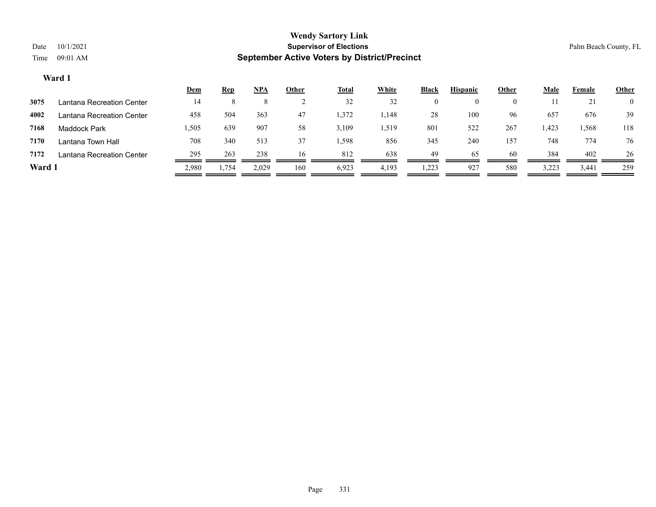|        |                           | <u>Dem</u> | <u>Rep</u> | NPA   | <u>Other</u> | <u>Total</u> | <b>White</b> | <b>Black</b> | <b>Hispanic</b> | Other | <b>Male</b> | Female | <b>Other</b>   |
|--------|---------------------------|------------|------------|-------|--------------|--------------|--------------|--------------|-----------------|-------|-------------|--------|----------------|
| 3075   | Lantana Recreation Center | 14         |            |       |              | 32           | 32           |              | $\theta$        | 0     |             | 21     | $\overline{0}$ |
| 4002   | Lantana Recreation Center | 458        | 504        | 363   | 47           | 1,372        | 1,148        | 28           | 100             | 96    | 657         | 676    | 39             |
| 7168   | Maddock Park              | 505. ا     | 639        | 907   | 58           | 3,109        | 1,519        | 801          | 522             | 267   | 1,423       | 1,568  | 118            |
| 7170   | Lantana Town Hall         | 708        | 340        | 513   | 37           | 1,598        | 856          | 345          | 240             | 157   | 748         | 774    | 76             |
| 7172   | Lantana Recreation Center | 295        | 263        | 238   | 16           | 812          | 638          | 49           | 65              | 60    | 384         | 402    | 26             |
| Ward 1 |                           | 2,980      | 1,754      | 2,029 | 160          | 6,923        | 4,193        | 1,223        | 927             | 580   | 3,223       | 3,441  | 259            |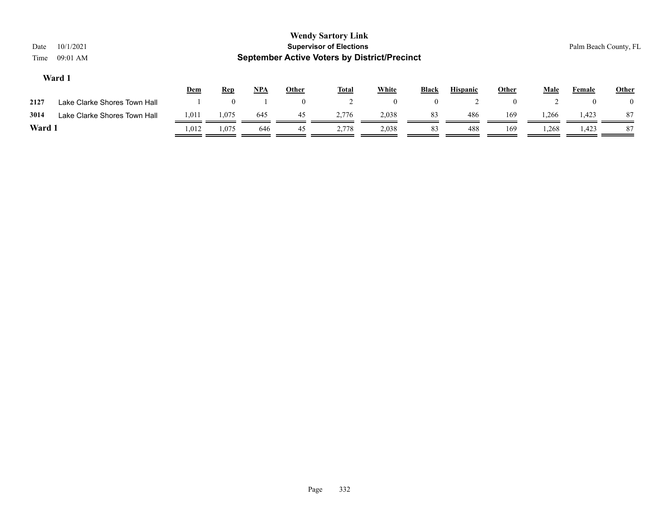| Date<br>Time | 10/1/2021<br>09:01 AM        |       |            |            |              | <b>Wendy Sartory Link</b><br><b>Supervisor of Elections</b><br><b>September Active Voters by District/Precinct</b> |              |                |                 |              |             | Palm Beach County, FL |                |
|--------------|------------------------------|-------|------------|------------|--------------|--------------------------------------------------------------------------------------------------------------------|--------------|----------------|-----------------|--------------|-------------|-----------------------|----------------|
|              | Ward 1                       | Dem   | <u>Rep</u> | <b>NPA</b> | <b>Other</b> | <b>Total</b>                                                                                                       | <b>White</b> | <b>Black</b>   | <b>Hispanic</b> | <b>Other</b> | <b>Male</b> | Female                | <b>Other</b>   |
| 2127         | Lake Clarke Shores Town Hall |       |            |            | $\mathbf{0}$ |                                                                                                                    | $\mathbf{0}$ | $\overline{0}$ |                 | $\mathbf{0}$ | ∠           |                       | $\overline{0}$ |
| 3014         | Lake Clarke Shores Town Hall | 1,011 | 1,075      | 645        | 45           | 2,776                                                                                                              | 2,038        | 83             | 486             | 169          | 1,266       | 1,423                 | 87             |
| Ward 1       |                              | 1,012 | 1,075      | 646        | 45           | 2,778                                                                                                              | 2,038        | 83             | 488             | 169          | 1,268       | 1,423                 | 87             |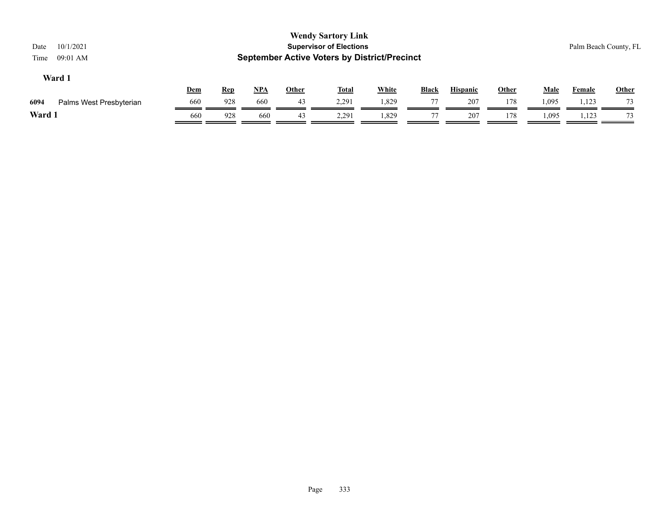| 10/1/2021<br>Date<br>09:01 AM<br>Time |     |            |            |       | <b>Wendy Sartory Link</b><br><b>Supervisor of Elections</b><br><b>September Active Voters by District/Precinct</b> |              |              |                 |              |       |        | Palm Beach County, FL |
|---------------------------------------|-----|------------|------------|-------|--------------------------------------------------------------------------------------------------------------------|--------------|--------------|-----------------|--------------|-------|--------|-----------------------|
| Ward 1                                | Dem | <b>Rep</b> | <u>NPA</u> | Other | <u>Total</u>                                                                                                       | <b>White</b> | <b>Black</b> | <b>Hispanic</b> | <b>Other</b> | Male  | Female | <b>Other</b>          |
| 6094<br>Palms West Presbyterian       | 660 | 928        | 660        | 43    | 2.291                                                                                                              | 1,829        | 77           | 207             | 178          | 1,095 | 1,123  | 73                    |
| Ward 1                                | 660 | 928        | 660        | 43    | 2,291                                                                                                              | 1,829        | 77           | 207             | 178          | 1,095 | 1,123  | 73                    |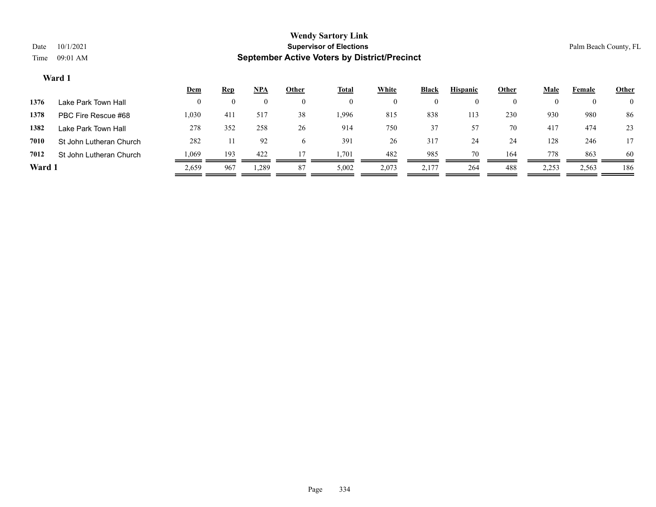|        |                         | <u>Dem</u> | <u>Rep</u> | NPA   | Other    | Total | White    | Black | <b>Hispanic</b> | Other    | Male  | Female | <b>Other</b>   |
|--------|-------------------------|------------|------------|-------|----------|-------|----------|-------|-----------------|----------|-------|--------|----------------|
| 1376   | Lake Park Town Hall     | $\Omega$   | $\theta$   |       | $\Omega$ |       | $\theta$ |       | $\theta$        | $\theta$ |       |        | $\overline{0}$ |
| 1378   | PBC Fire Rescue #68     | 1,030      | 411        | 517   | 38       | .996  | 815      | 838   | 113             | 230      | 930   | 980    | 86             |
| 1382   | Lake Park Town Hall     | 278        | 352        | 258   | 26       | 914   | 750      | 37    | 57              | 70       | 417   | 474    | 23             |
| 7010   | St John Lutheran Church | 282        |            | 92    | 6        | 391   | 26       | 317   | 24              | 24       | 128   | 246    | 17             |
| 7012   | St John Lutheran Church | 1,069      | 193        | 422   | 17       | .701  | 482      | 985   | 70              | 164      | 778   | 863    | 60             |
| Ward 1 |                         | 2,659      | 967        | 1,289 | 87       | 5,002 | 2,073    | 2,177 | 264             | 488      | 2,253 | 2,563  | 186            |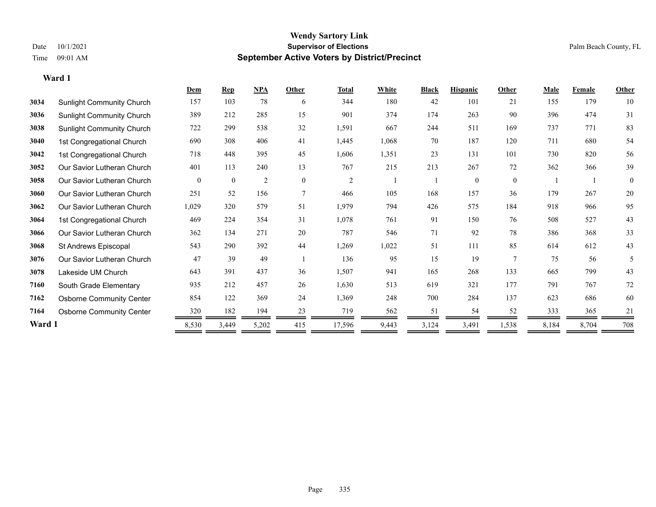### **Wendy Sartory Link** Date 10/1/2021 **Supervisor of Elections** Palm Beach County, FL Time 09:01 AM **September Active Voters by District/Precinct**

|        |                                  | Dem      | <b>Rep</b>   | NPA            | Other    | <b>Total</b>   | White | <b>Black</b> | <b>Hispanic</b> | Other          | <b>Male</b> | Female | Other        |
|--------|----------------------------------|----------|--------------|----------------|----------|----------------|-------|--------------|-----------------|----------------|-------------|--------|--------------|
| 3034   | <b>Sunlight Community Church</b> | 157      | 103          | 78             | 6        | 344            | 180   | 42           | 101             | 21             | 155         | 179    | 10           |
| 3036   | Sunlight Community Church        | 389      | 212          | 285            | 15       | 901            | 374   | 174          | 263             | 90             | 396         | 474    | 31           |
| 3038   | <b>Sunlight Community Church</b> | 722      | 299          | 538            | 32       | 1,591          | 667   | 244          | 511             | 169            | 737         | 771    | 83           |
| 3040   | 1st Congregational Church        | 690      | 308          | 406            | 41       | 1,445          | 1,068 | 70           | 187             | 120            | 711         | 680    | 54           |
| 3042   | 1st Congregational Church        | 718      | 448          | 395            | 45       | 1,606          | 1,351 | 23           | 131             | 101            | 730         | 820    | 56           |
| 3052   | Our Savior Lutheran Church       | 401      | 113          | 240            | 13       | 767            | 215   | 213          | 267             | 72             | 362         | 366    | 39           |
| 3058   | Our Savior Lutheran Church       | $\theta$ | $\mathbf{0}$ | $\overline{2}$ | $\theta$ | $\overline{2}$ |       |              | $\theta$        | $\theta$       |             |        | $\mathbf{0}$ |
| 3060   | Our Savior Lutheran Church       | 251      | 52           | 156            | 7        | 466            | 105   | 168          | 157             | 36             | 179         | 267    | $20\,$       |
| 3062   | Our Savior Lutheran Church       | 1,029    | 320          | 579            | 51       | 1,979          | 794   | 426          | 575             | 184            | 918         | 966    | 95           |
| 3064   | 1st Congregational Church        | 469      | 224          | 354            | 31       | 1,078          | 761   | 91           | 150             | 76             | 508         | 527    | 43           |
| 3066   | Our Savior Lutheran Church       | 362      | 134          | 271            | 20       | 787            | 546   | 71           | 92              | 78             | 386         | 368    | 33           |
| 3068   | St Andrews Episcopal             | 543      | 290          | 392            | 44       | 1,269          | 1,022 | 51           | 111             | 85             | 614         | 612    | 43           |
| 3076   | Our Savior Lutheran Church       | 47       | 39           | 49             |          | 136            | 95    | 15           | 19              | $\overline{7}$ | 75          | 56     | 5            |
| 3078   | Lakeside UM Church               | 643      | 391          | 437            | 36       | 1,507          | 941   | 165          | 268             | 133            | 665         | 799    | 43           |
| 7160   | South Grade Elementary           | 935      | 212          | 457            | 26       | 1,630          | 513   | 619          | 321             | 177            | 791         | 767    | 72           |
| 7162   | <b>Osborne Community Center</b>  | 854      | 122          | 369            | 24       | 1,369          | 248   | 700          | 284             | 137            | 623         | 686    | 60           |
| 7164   | <b>Osborne Community Center</b>  | 320      | 182          | 194            | 23       | 719            | 562   | 51           | 54              | 52             | 333         | 365    | 21           |
| Ward 1 |                                  | 8,530    | 3,449        | 5,202          | 415      | 17,596         | 9,443 | 3,124        | 3,491           | 1,538          | 8,184       | 8,704  | 708          |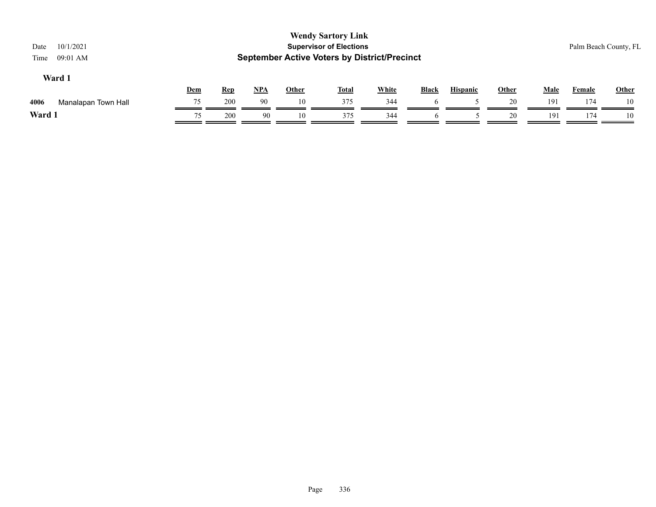| 10/1/2021<br>Date<br>09:01 AM<br>Time |     |            |       |              | <b>Wendy Sartory Link</b><br><b>Supervisor of Elections</b><br><b>September Active Voters by District/Precinct</b> |              |                |                 |              |             | Palm Beach County, FL |              |
|---------------------------------------|-----|------------|-------|--------------|--------------------------------------------------------------------------------------------------------------------|--------------|----------------|-----------------|--------------|-------------|-----------------------|--------------|
| Ward 1                                | Dem | <b>Rep</b> | $NPA$ | <b>Other</b> | <b>Total</b>                                                                                                       | <b>White</b> | Black          | <b>Hispanic</b> | <b>Other</b> | <b>Male</b> | Female                | <b>Other</b> |
| 4006<br>Manalapan Town Hall           | 75  | 200        | 90    | 10           | 375                                                                                                                | 344          |                |                 | 20           | 191         | 174                   | 10           |
| Ward 1                                | 75  | 200        | 90    | 10           | 375                                                                                                                | 344          | $\mathfrak{h}$ |                 | 20           | 191         | 174                   | 10           |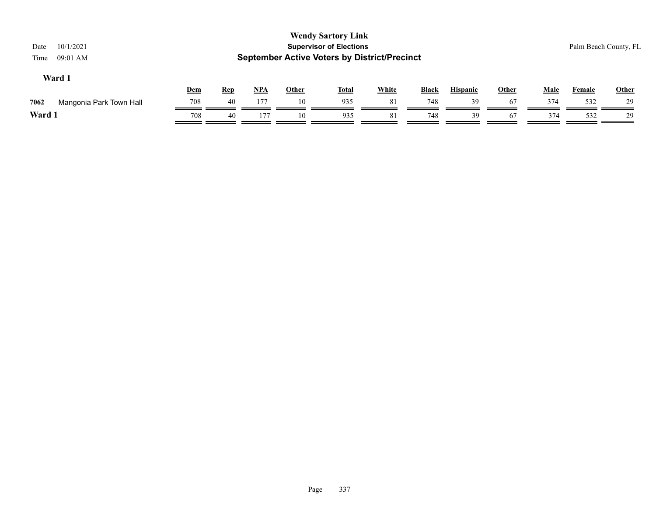| 10/1/2021<br>Date<br>09:01 AM<br>Time |            |            |       |              | <b>Wendy Sartory Link</b><br><b>Supervisor of Elections</b><br><b>September Active Voters by District/Precinct</b> |              |              |                 |              |             | Palm Beach County, FL |              |
|---------------------------------------|------------|------------|-------|--------------|--------------------------------------------------------------------------------------------------------------------|--------------|--------------|-----------------|--------------|-------------|-----------------------|--------------|
| Ward 1                                | <b>Dem</b> | <u>Rep</u> | $NPA$ | <u>Other</u> | <u>Total</u>                                                                                                       | <b>White</b> | <b>Black</b> | <b>Hispanic</b> | <b>Other</b> | <b>Male</b> | <b>Female</b>         | <b>Other</b> |
| 7062<br>Mangonia Park Town Hall       | 708        | 40         | 177   | 10           | 935                                                                                                                | 81           | 748          | 39              | 67           | 374         | 532                   | 29           |
| Ward 1                                | 708        | 40         | 177   | 10           | 935                                                                                                                | 81           | 748          | 39              | 67           | 374         | 532                   | 29           |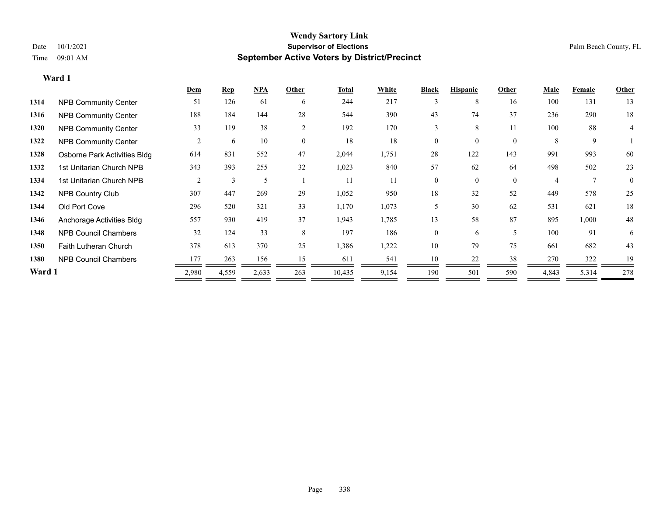### **Wendy Sartory Link** Date  $10/1/2021$  Palm Beach County, FL Time 09:01 AM **September Active Voters by District/Precinct**

|        |                              | Dem            | <b>Rep</b> | <b>NPA</b> | Other        | <b>Total</b> | White | <b>Black</b> | <b>Hispanic</b>  | Other                    | <b>Male</b> | Female       | Other    |
|--------|------------------------------|----------------|------------|------------|--------------|--------------|-------|--------------|------------------|--------------------------|-------------|--------------|----------|
| 1314   | <b>NPB Community Center</b>  | 51             | 126        | 61         | 6            | 244          | 217   | 3            | 8                | 16                       | 100         | 131          | 13       |
| 1316   | <b>NPB Community Center</b>  | 188            | 184        | 144        | 28           | 544          | 390   | 43           | 74               | 37                       | 236         | 290          | 18       |
| 1320   | <b>NPB Community Center</b>  | 33             | 119        | 38         | 2            | 192          | 170   | 3            | 8                | 11                       | 100         | 88           | 4        |
| 1322   | <b>NPB Community Center</b>  | $\overline{c}$ | 6          | 10         | $\mathbf{0}$ | 18           | 18    | $\theta$     | $\boldsymbol{0}$ | $\overline{0}$           | 8           | 9            |          |
| 1328   | Osborne Park Activities Bldg | 614            | 831        | 552        | 47           | 2,044        | 1,751 | 28           | 122              | 143                      | 991         | 993          | 60       |
| 1332   | 1st Unitarian Church NPB     | 343            | 393        | 255        | 32           | 1,023        | 840   | 57           | 62               | 64                       | 498         | 502          | 23       |
| 1334   | 1st Unitarian Church NPB     | $\overline{2}$ | 3          | 5          |              | 11           | 11    | $\theta$     | $\overline{0}$   | $\theta$                 | 4           | $\mathbf{7}$ | $\Omega$ |
| 1342   | <b>NPB Country Club</b>      | 307            | 447        | 269        | 29           | 1,052        | 950   | 18           | 32               | 52                       | 449         | 578          | 25       |
| 1344   | Old Port Cove                | 296            | 520        | 321        | 33           | 1,170        | 1,073 | 5            | 30               | 62                       | 531         | 621          | 18       |
| 1346   | Anchorage Activities Bldg    | 557            | 930        | 419        | 37           | 1,943        | 1,785 | 13           | 58               | 87                       | 895         | 1,000        | 48       |
| 1348   | <b>NPB Council Chambers</b>  | 32             | 124        | 33         | 8            | 197          | 186   | $\Omega$     | 6                | $\overline{\phantom{0}}$ | 100         | 91           | 6        |
| 1350   | Faith Lutheran Church        | 378            | 613        | 370        | 25           | 1,386        | 1,222 | 10           | 79               | 75                       | 661         | 682          | 43       |
| 1380   | <b>NPB Council Chambers</b>  | 177            | 263        | 156        | 15           | 611          | 541   | 10           | 22               | 38                       | 270         | 322          | 19       |
| Ward 1 |                              | 2,980          | 4,559      | 2,633      | 263          | 10,435       | 9,154 | 190          | 501              | 590                      | 4,843       | 5,314        | 278      |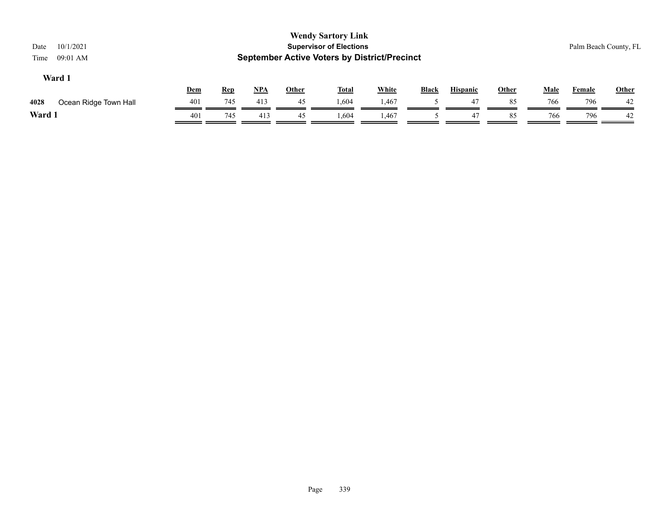| 10/1/2021<br>Date<br>09:01 AM<br>Time |     |            |            |              | <b>Wendy Sartory Link</b><br><b>Supervisor of Elections</b><br><b>September Active Voters by District/Precinct</b> |              |              |                 |       |             | Palm Beach County, FL |              |
|---------------------------------------|-----|------------|------------|--------------|--------------------------------------------------------------------------------------------------------------------|--------------|--------------|-----------------|-------|-------------|-----------------------|--------------|
| Ward 1                                | Dem | <u>Rep</u> | <u>NPA</u> | <b>Other</b> | <b>Total</b>                                                                                                       | <b>White</b> | <b>Black</b> | <b>Hispanic</b> | Other | <b>Male</b> | <b>Female</b>         | <b>Other</b> |
| 4028<br>Ocean Ridge Town Hall         | 401 | 745        | 413        | 45           | 1,604                                                                                                              | 1,467        |              | 47              | 85    | 766         | 796                   | 42           |
| Ward 1                                | 401 | 745        | 413        | 45           | 1,604                                                                                                              | 1,467        |              | 47              | 85    | 766         | 796                   | 42           |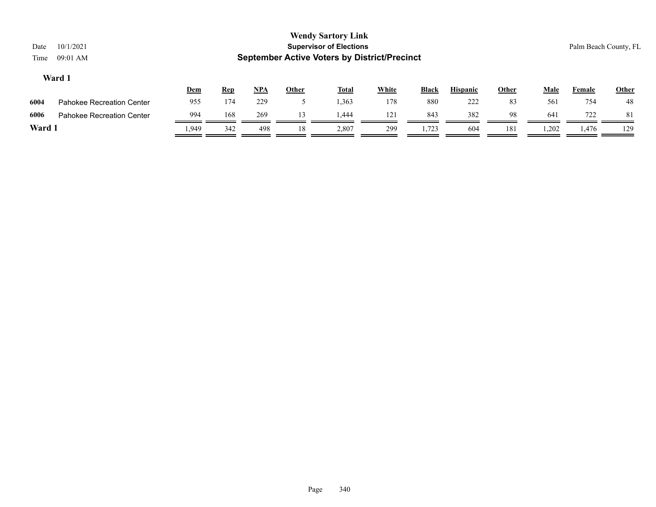| Date<br>Time | 10/1/2021<br>$09:01$ AM          |      |            |       |       | <b>Wendy Sartory Link</b><br><b>Supervisor of Elections</b><br><b>September Active Voters by District/Precinct</b> |              |              |                 |              |             | Palm Beach County, FL |              |
|--------------|----------------------------------|------|------------|-------|-------|--------------------------------------------------------------------------------------------------------------------|--------------|--------------|-----------------|--------------|-------------|-----------------------|--------------|
|              | Ward 1                           | Dem  | <b>Rep</b> | $NPA$ | Other | <u>Total</u>                                                                                                       | <b>White</b> | <b>Black</b> | <b>Hispanic</b> | <b>Other</b> | <b>Male</b> | <b>Female</b>         | <b>Other</b> |
| 6004         | <b>Pahokee Recreation Center</b> | 955  | 174        | 229   |       | 1,363                                                                                                              | 178          | 880          | 222             | 83           | 561         | 754                   | 48           |
| 6006         | <b>Pahokee Recreation Center</b> | 994  | 168        | 269   | 13    | .444                                                                                                               | 121          | 843          | 382             | 98           | 641         | 722                   | -81          |
| Ward 1       |                                  | .949 | 342        | 498   | 18    | 2,807                                                                                                              | 299          | 1,723        | 604             | 181          | 1,202       | 1,476                 | 129          |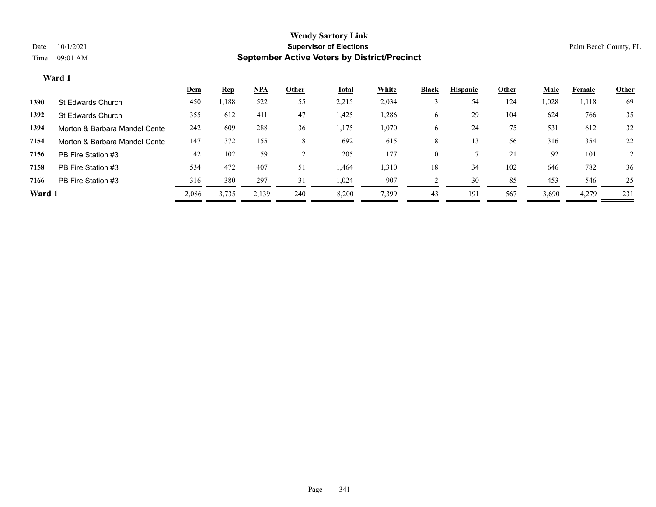|        |                               | Dem   | <b>Rep</b> | $NPA$ | Other | <b>Total</b> | White | <b>Black</b> | <b>Hispanic</b> | Other | Male  | Female | <b>Other</b> |
|--------|-------------------------------|-------|------------|-------|-------|--------------|-------|--------------|-----------------|-------|-------|--------|--------------|
| 1390   | St Edwards Church             | 450   | 1,188      | 522   | 55    | 2,215        | 2,034 |              | 54              | 124   | 1,028 | 1,118  | 69           |
| 1392   | St Edwards Church             | 355   | 612        | 411   | 47    | 1,425        | 1,286 | 6            | 29              | 104   | 624   | 766    | 35           |
| 1394   | Morton & Barbara Mandel Cente | 242   | 609        | 288   | 36    | 1,175        | 1,070 | 6            | 24              | 75    | 531   | 612    | 32           |
| 7154   | Morton & Barbara Mandel Cente | 147   | 372        | 155   | 18    | 692          | 615   | 8            |                 | 56    | 316   | 354    | 22           |
| 7156   | PB Fire Station #3            | 42    | 102        | 59    |       | 205          | 177   | $\theta$     |                 | 21    | 92    | 101    | 12           |
| 7158   | PB Fire Station #3            | 534   | 472        | 407   | 51    | 1,464        | 1,310 | 18           | 34              | 102   | 646   | 782    | 36           |
| 7166   | PB Fire Station #3            | 316   | 380        | 297   | 31    | 1,024        | 907   |              | 30              | 85    | 453   | 546    | 25           |
| Ward 1 |                               | 2,086 | 3,735      | 2,139 | 240   | 8,200        | 7,399 | 43           | 191             | 567   | 3,690 | 4,279  | 231          |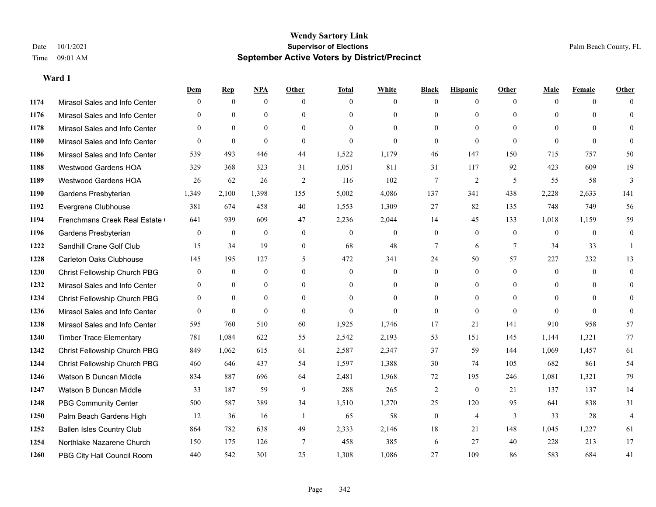|      |                                  | Dem            | <b>Rep</b>   | NPA              | <b>Other</b>   | <b>Total</b>     | <b>White</b>     | <b>Black</b>     | <b>Hispanic</b> | <b>Other</b> | <b>Male</b>  | <b>Female</b> | <b>Other</b>   |
|------|----------------------------------|----------------|--------------|------------------|----------------|------------------|------------------|------------------|-----------------|--------------|--------------|---------------|----------------|
| 1174 | Mirasol Sales and Info Center    | $\Omega$       | $\mathbf{0}$ | $\mathbf{0}$     | $\Omega$       | $\Omega$         | $\overline{0}$   | $\mathbf{0}$     | $\overline{0}$  | $\theta$     | $\theta$     | $\theta$      | $\Omega$       |
| 1176 | Mirasol Sales and Info Center    | $\Omega$       | $\theta$     | $\mathbf{0}$     | $\theta$       | $\Omega$         | $\overline{0}$   | $\theta$         | $\mathbf{0}$    | $\Omega$     | $\theta$     | $\Omega$      | $\theta$       |
| 1178 | Mirasol Sales and Info Center    | $\Omega$       | $\theta$     | $\theta$         | $\Omega$       | $\Omega$         | $\Omega$         | $\Omega$         | $\theta$        | $\Omega$     | $\Omega$     | $\Omega$      | $\Omega$       |
| 1180 | Mirasol Sales and Info Center    | $\theta$       | $\theta$     | $\theta$         | $\theta$       | $\theta$         | $\Omega$         | $\theta$         | $\theta$        | $\Omega$     | $\Omega$     | $\Omega$      | $\Omega$       |
| 1186 | Mirasol Sales and Info Center    | 539            | 493          | 446              | 44             | 1,522            | 1,179            | 46               | 147             | 150          | 715          | 757           | 50             |
| 1188 | <b>Westwood Gardens HOA</b>      | 329            | 368          | 323              | 31             | 1,051            | 811              | 31               | 117             | 92           | 423          | 609           | 19             |
| 1189 | Westwood Gardens HOA             | 26             | 62           | 26               | $\overline{2}$ | 116              | 102              | $7\phantom{.0}$  | $\overline{2}$  | 5            | 55           | 58            | 3              |
| 1190 | Gardens Presbyterian             | 1,349          | 2,100        | 1,398            | 155            | 5,002            | 4,086            | 137              | 341             | 438          | 2,228        | 2,633         | 141            |
| 1192 | Evergrene Clubhouse              | 381            | 674          | 458              | 40             | 1,553            | 1,309            | 27               | 82              | 135          | 748          | 749           | 56             |
| 1194 | Frenchmans Creek Real Estate     | 641            | 939          | 609              | 47             | 2,236            | 2,044            | 14               | 45              | 133          | 1,018        | 1,159         | 59             |
| 1196 | Gardens Presbyterian             | $\theta$       | $\mathbf{0}$ | $\mathbf{0}$     | $\theta$       | $\theta$         | $\overline{0}$   | $\mathbf{0}$     | $\theta$        | $\theta$     | $\theta$     | $\theta$      | $\mathbf{0}$   |
| 1222 | Sandhill Crane Golf Club         | 15             | 34           | 19               | $\overline{0}$ | 68               | 48               | 7                | 6               | $\tau$       | 34           | 33            | $\mathbf{1}$   |
| 1228 | <b>Carleton Oaks Clubhouse</b>   | 145            | 195          | 127              | 5              | 472              | 341              | 24               | 50              | 57           | 227          | 232           | 13             |
| 1230 | Christ Fellowship Church PBG     | $\mathbf{0}$   | $\mathbf{0}$ | $\boldsymbol{0}$ | $\mathbf{0}$   | $\boldsymbol{0}$ | $\boldsymbol{0}$ | $\boldsymbol{0}$ | $\overline{0}$  | $\mathbf{0}$ | $\mathbf{0}$ | $\mathbf{0}$  | $\mathbf{0}$   |
| 1232 | Mirasol Sales and Info Center    | $\overline{0}$ | $\mathbf{0}$ | $\mathbf{0}$     | $\theta$       | $\Omega$         | $\overline{0}$   | $\overline{0}$   | $\mathbf{0}$    | $\Omega$     | $\theta$     | $\theta$      | $\mathbf{0}$   |
| 1234 | Christ Fellowship Church PBG     | $\theta$       | $\theta$     | $\theta$         | $\Omega$       | $\Omega$         | $\Omega$         | $\theta$         | $\theta$        | $\Omega$     | $\Omega$     | $\Omega$      | $\Omega$       |
| 1236 | Mirasol Sales and Info Center    | $\theta$       | $\theta$     | $\theta$         | $\theta$       | $\theta$         | $\Omega$         | $\mathbf{0}$     | $\theta$        | $\theta$     | $\theta$     | $\theta$      | $\theta$       |
| 1238 | Mirasol Sales and Info Center    | 595            | 760          | 510              | 60             | 1,925            | 1,746            | 17               | 21              | 141          | 910          | 958           | 57             |
| 1240 | <b>Timber Trace Elementary</b>   | 781            | 1,084        | 622              | 55             | 2,542            | 2,193            | 53               | 151             | 145          | 1,144        | 1,321         | $77\,$         |
| 1242 | Christ Fellowship Church PBG     | 849            | 1,062        | 615              | 61             | 2,587            | 2,347            | 37               | 59              | 144          | 1,069        | 1,457         | 61             |
| 1244 | Christ Fellowship Church PBG     | 460            | 646          | 437              | 54             | 1,597            | 1,388            | 30               | 74              | 105          | 682          | 861           | 54             |
| 1246 | Watson B Duncan Middle           | 834            | 887          | 696              | 64             | 2,481            | 1,968            | 72               | 195             | 246          | 1,081        | 1,321         | 79             |
| 1247 | Watson B Duncan Middle           | 33             | 187          | 59               | 9              | 288              | 265              | $\overline{2}$   | $\theta$        | 21           | 137          | 137           | 14             |
| 1248 | <b>PBG Community Center</b>      | 500            | 587          | 389              | 34             | 1,510            | 1,270            | 25               | 120             | 95           | 641          | 838           | 31             |
| 1250 | Palm Beach Gardens High          | 12             | 36           | 16               | -1             | 65               | 58               | $\boldsymbol{0}$ | $\overline{4}$  | 3            | 33           | 28            | $\overline{4}$ |
| 1252 | <b>Ballen Isles Country Club</b> | 864            | 782          | 638              | 49             | 2,333            | 2,146            | 18               | 21              | 148          | 1,045        | 1,227         | 61             |
| 1254 | Northlake Nazarene Church        | 150            | 175          | 126              | 7              | 458              | 385              | 6                | 27              | 40           | 228          | 213           | 17             |
| 1260 | PBG City Hall Council Room       | 440            | 542          | 301              | 25             | 1,308            | 1.086            | 27               | 109             | 86           | 583          | 684           | 41             |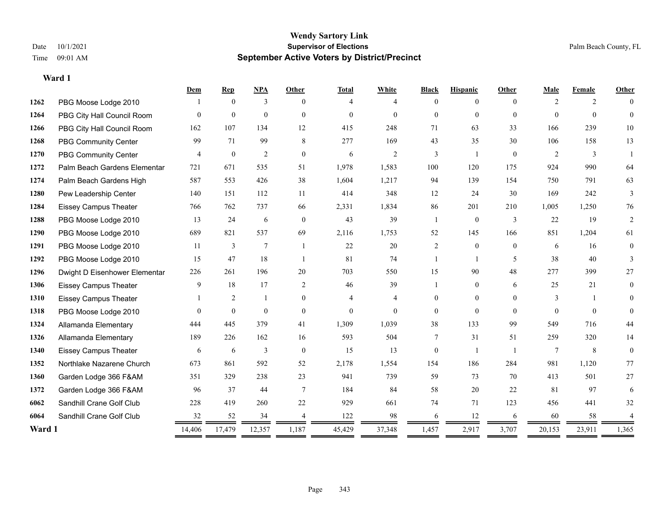|        |                               | Dem            | <b>Rep</b>     | NPA            | <b>Other</b>   | <b>Total</b> | White          | <b>Black</b>   | <b>Hispanic</b> | Other          | Male            | Female   | Other          |
|--------|-------------------------------|----------------|----------------|----------------|----------------|--------------|----------------|----------------|-----------------|----------------|-----------------|----------|----------------|
| 1262   | PBG Moose Lodge 2010          |                | $\theta$       | 3              | $\Omega$       | 4            | 4              | $\theta$       | $\Omega$        | $\Omega$       | $\mathcal{L}$   | 2        | $\Omega$       |
| 1264   | PBG City Hall Council Room    | $\Omega$       | $\mathbf{0}$   | $\mathbf{0}$   | $\theta$       | $\Omega$     | $\Omega$       | $\theta$       | $\theta$        | $\theta$       | $\Omega$        | $\theta$ | $\Omega$       |
| 1266   | PBG City Hall Council Room    | 162            | 107            | 134            | 12             | 415          | 248            | 71             | 63              | 33             | 166             | 239      | 10             |
| 1268   | <b>PBG Community Center</b>   | 99             | 71             | 99             | 8              | 277          | 169            | 43             | 35              | 30             | 106             | 158      | 13             |
| 1270   | <b>PBG Community Center</b>   | $\overline{4}$ | $\mathbf{0}$   | $\overline{2}$ | $\theta$       | 6            | 2              | 3              | 1               | $\theta$       | 2               | 3        |                |
| 1272   | Palm Beach Gardens Elementar  | 721            | 671            | 535            | 51             | 1,978        | 1,583          | 100            | 120             | 175            | 924             | 990      | 64             |
| 1274   | Palm Beach Gardens High       | 587            | 553            | 426            | 38             | 1,604        | 1,217          | 94             | 139             | 154            | 750             | 791      | 63             |
| 1280   | Pew Leadership Center         | 140            | 151            | 112            | 11             | 414          | 348            | 12             | 24              | 30             | 169             | 242      | 3              |
| 1284   | <b>Eissey Campus Theater</b>  | 766            | 762            | 737            | 66             | 2,331        | 1,834          | 86             | 201             | 210            | 1,005           | 1,250    | 76             |
| 1288   | PBG Moose Lodge 2010          | 13             | 24             | 6              | $\mathbf{0}$   | 43           | 39             | 1              | $\overline{0}$  | 3              | 22              | 19       | 2              |
| 1290   | PBG Moose Lodge 2010          | 689            | 821            | 537            | 69             | 2,116        | 1,753          | 52             | 145             | 166            | 851             | 1,204    | 61             |
| 1291   | PBG Moose Lodge 2010          | 11             | 3              | $\overline{7}$ | $\overline{1}$ | 22           | 20             | $\overline{c}$ | $\mathbf{0}$    | $\theta$       | 6               | 16       | $\overline{0}$ |
| 1292   | PBG Moose Lodge 2010          | 15             | 47             | 18             | $\overline{1}$ | 81           | 74             |                | $\mathbf{1}$    | 5              | 38              | 40       | 3              |
| 1296   | Dwight D Eisenhower Elementar | 226            | 261            | 196            | 20             | 703          | 550            | 15             | 90              | 48             | 277             | 399      | 27             |
| 1306   | <b>Eissey Campus Theater</b>  | 9              | 18             | 17             | 2              | 46           | 39             | $\mathbf{1}$   | $\theta$        | 6              | 25              | 21       | 0              |
| 1310   | <b>Eissey Campus Theater</b>  |                | $\overline{c}$ | -1             | $\overline{0}$ | 4            | $\overline{4}$ | 0              | $\overline{0}$  | $\theta$       | 3               |          | 0              |
| 1318   | PBG Moose Lodge 2010          | $\Omega$       | $\mathbf{0}$   | $\mathbf{0}$   | $\theta$       | $\mathbf{0}$ | $\Omega$       | $\Omega$       | $\theta$        | $\Omega$       | $\Omega$        | $\Omega$ | $\Omega$       |
| 1324   | Allamanda Elementary          | 444            | 445            | 379            | 41             | 1,309        | 1,039          | 38             | 133             | 99             | 549             | 716      | 44             |
| 1326   | Allamanda Elementary          | 189            | 226            | 162            | 16             | 593          | 504            | 7              | 31              | 51             | 259             | 320      | 14             |
| 1340   | <b>Eissey Campus Theater</b>  | 6              | 6              | 3              | $\mathbf{0}$   | 15           | 13             | $\overline{0}$ |                 | $\overline{1}$ | $7\phantom{.0}$ | 8        | $\theta$       |
| 1352   | Northlake Nazarene Church     | 673            | 861            | 592            | 52             | 2,178        | 1,554          | 154            | 186             | 284            | 981             | 1,120    | 77             |
| 1360   | Garden Lodge 366 F&AM         | 351            | 329            | 238            | 23             | 941          | 739            | 59             | 73              | 70             | 413             | 501      | 27             |
| 1372   | Garden Lodge 366 F&AM         | 96             | 37             | 44             | $\overline{7}$ | 184          | 84             | 58             | 20              | 22             | 81              | 97       | 6              |
| 6062   | Sandhill Crane Golf Club      | 228            | 419            | 260            | $22\,$         | 929          | 661            | 74             | 71              | 123            | 456             | 441      | 32             |
| 6064   | Sandhill Crane Golf Club      | 32             | 52             | 34             |                | 122          | 98             | 6              | 12              | 6              | 60              | 58       |                |
| Ward 1 |                               | 14,406         | 17,479         | 12,357         | 1,187          | 45,429       | 37,348         | 1,457          | 2,917           | 3,707          | 20,153          | 23,911   | 1,365          |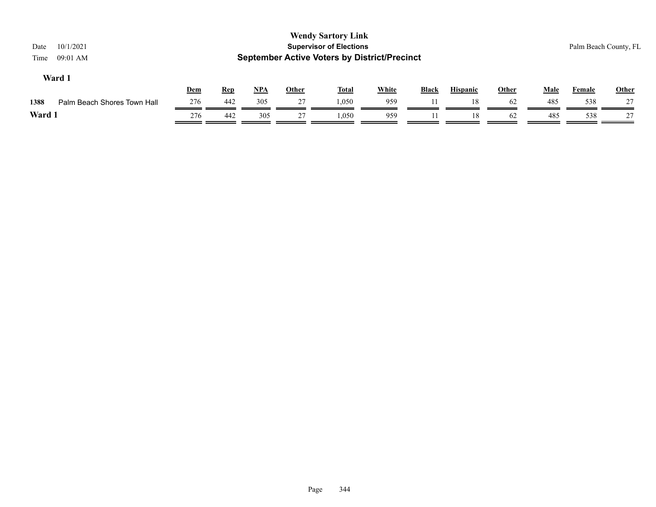| 10/1/2021<br>Date<br>$09:01$ AM<br>Time |            |            |     |       | <b>Wendy Sartory Link</b><br><b>Supervisor of Elections</b><br><b>September Active Voters by District/Precinct</b> |              |              |                 |       |      |        | Palm Beach County, FL |
|-----------------------------------------|------------|------------|-----|-------|--------------------------------------------------------------------------------------------------------------------|--------------|--------------|-----------------|-------|------|--------|-----------------------|
| Ward 1                                  | <b>Dem</b> | <b>Rep</b> | NPA | Other | <u>Total</u>                                                                                                       | <b>White</b> | <b>Black</b> | <b>Hispanic</b> | Other | Male | Female | <b>Other</b>          |
| Palm Beach Shores Town Hall<br>1388     | 276        | 442        | 305 | 27    | 1,050                                                                                                              | 959          |              | 18              | 62    | 485  | 538    | 27                    |
| Ward 1                                  | 276        | 442        | 305 | 27    | 1.050                                                                                                              | 959          |              | 18              | 62    | 485  | 538    | 27                    |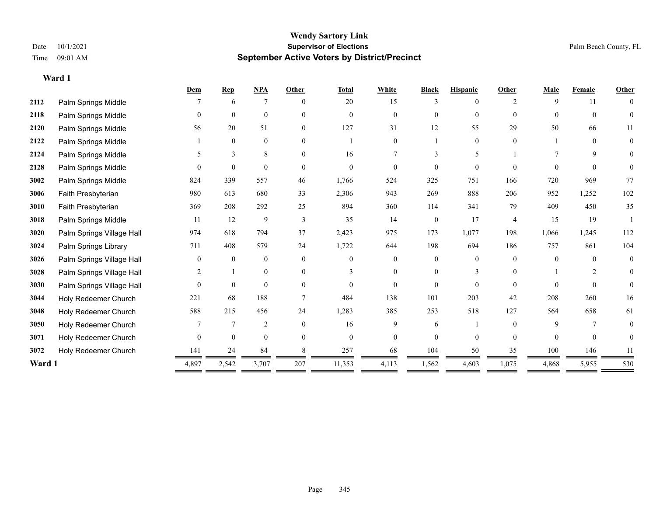### **Wendy Sartory Link** Date 10/1/2021 **Supervisor of Elections** Palm Beach County, FL Time 09:01 AM **September Active Voters by District/Precinct**

|        |                           | Dem            | <b>Rep</b>     | NPA              | Other    | <b>Total</b> | White    | <b>Black</b>   | <b>Hispanic</b> | <b>Other</b>   | <b>Male</b> | Female         | <b>Other</b>   |
|--------|---------------------------|----------------|----------------|------------------|----------|--------------|----------|----------------|-----------------|----------------|-------------|----------------|----------------|
| 2112   | Palm Springs Middle       |                | 6              | $\overline{7}$   | $\theta$ | 20           | 15       | 3              | $\Omega$        | 2              | 9           | 11             | $\theta$       |
| 2118   | Palm Springs Middle       | $\Omega$       | $\mathbf{0}$   | $\mathbf{0}$     | $\Omega$ | $\theta$     | $\theta$ | $\theta$       | $\theta$        | $\Omega$       | $\theta$    | $\theta$       | $\mathbf{0}$   |
| 2120   | Palm Springs Middle       | 56             | 20             | 51               | $\Omega$ | 127          | 31       | 12             | 55              | 29             | 50          | 66             | 11             |
| 2122   | Palm Springs Middle       |                | $\mathbf{0}$   | $\mathbf{0}$     | $\theta$ |              | $\theta$ |                | $\theta$        | $\theta$       |             | $\theta$       | $\overline{0}$ |
| 2124   | Palm Springs Middle       | 5              | 3              | 8                | $\theta$ | 16           | 7        | 3              | 5               |                |             | 9              | 0              |
| 2128   | Palm Springs Middle       |                | $\theta$       | $\theta$         | $\Omega$ | $\theta$     | $\theta$ | $\theta$       | $\theta$        | $\Omega$       | $\Omega$    | $\Omega$       | $\theta$       |
| 3002   | Palm Springs Middle       | 824            | 339            | 557              | 46       | 1,766        | 524      | 325            | 751             | 166            | 720         | 969            | 77             |
| 3006   | Faith Presbyterian        | 980            | 613            | 680              | 33       | 2,306        | 943      | 269            | 888             | 206            | 952         | 1,252          | 102            |
| 3010   | Faith Presbyterian        | 369            | 208            | 292              | 25       | 894          | 360      | 114            | 341             | 79             | 409         | 450            | 35             |
| 3018   | Palm Springs Middle       | 11             | 12             | 9                | 3        | 35           | 14       | $\overline{0}$ | 17              | $\overline{4}$ | 15          | 19             |                |
| 3020   | Palm Springs Village Hall | 974            | 618            | 794              | 37       | 2,423        | 975      | 173            | 1,077           | 198            | 1,066       | 1,245          | 112            |
| 3024   | Palm Springs Library      | 711            | 408            | 579              | 24       | 1,722        | 644      | 198            | 694             | 186            | 757         | 861            | 104            |
| 3026   | Palm Springs Village Hall | $\Omega$       | $\mathbf{0}$   | $\boldsymbol{0}$ | $\Omega$ | $\Omega$     | $\theta$ | $\overline{0}$ | $\theta$        | $\Omega$       | $\Omega$    | $\theta$       | $\mathbf{0}$   |
| 3028   | Palm Springs Village Hall | $\overline{2}$ |                | $\mathbf{0}$     | $\Omega$ |              | $\Omega$ | $\theta$       | 3               | $\Omega$       |             | $\overline{2}$ | $\theta$       |
| 3030   | Palm Springs Village Hall | 0              | $\overline{0}$ | $\mathbf{0}$     | $\Omega$ | $\Omega$     | $\Omega$ | $\theta$       | $\theta$        | $\Omega$       | $\theta$    | $\theta$       | $\overline{0}$ |
| 3044   | Holy Redeemer Church      | 221            | 68             | 188              |          | 484          | 138      | 101            | 203             | 42             | 208         | 260            | 16             |
| 3048   | Holy Redeemer Church      | 588            | 215            | 456              | 24       | 1,283        | 385      | 253            | 518             | 127            | 564         | 658            | 61             |
| 3050   | Holy Redeemer Church      |                | 7              | $\overline{c}$   | $\Omega$ | 16           | 9        | 6              |                 | $\Omega$       | 9           |                | 0              |
| 3071   | Holy Redeemer Church      | 0              | $\mathbf{0}$   | $\mathbf{0}$     | $\Omega$ | $\mathbf{0}$ | $\Omega$ | $\theta$       | $\theta$        | $\Omega$       | $\theta$    | $\Omega$       | $\overline{0}$ |
| 3072   | Holy Redeemer Church      | 141            | 24             | 84               |          | 257          | 68       | 104            | 50              | 35             | 100         | 146            | 11             |
| Ward 1 |                           | 4,897          | 2,542          | 3,707            | 207      | 11,353       | 4,113    | 1,562          | 4,603           | 1,075          | 4,868       | 5,955          | 530            |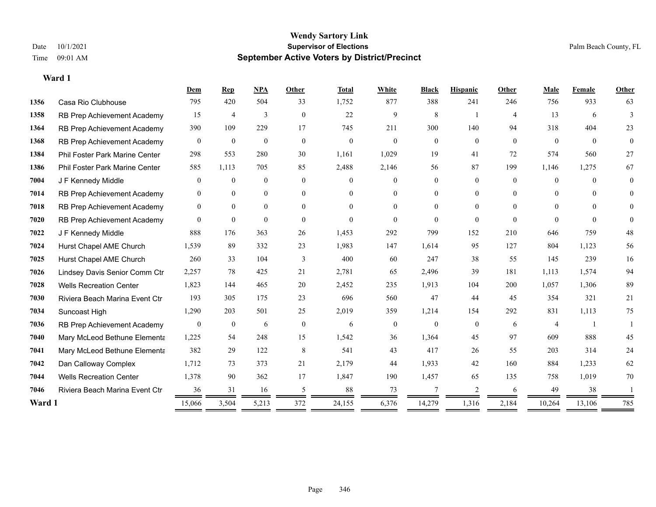|        |                                       | Dem              | Rep              | NPA              | Other          | <b>Total</b> | White          | <b>Black</b>   | <b>Hispanic</b> | Other          | Male     | Female   | Other    |
|--------|---------------------------------------|------------------|------------------|------------------|----------------|--------------|----------------|----------------|-----------------|----------------|----------|----------|----------|
| 1356   | Casa Rio Clubhouse                    | 795              | 420              | 504              | 33             | 1,752        | 877            | 388            | 241             | 246            | 756      | 933      | 63       |
| 1358   | RB Prep Achievement Academy           | 15               | 4                | 3                | $\mathbf{0}$   | 22           | 9              | 8              |                 | $\overline{4}$ | 13       | 6        | 3        |
| 1364   | RB Prep Achievement Academy           | 390              | 109              | 229              | 17             | 745          | 211            | 300            | 140             | 94             | 318      | 404      | 23       |
| 1368   | RB Prep Achievement Academy           | $\overline{0}$   | $\theta$         | $\mathbf{0}$     | $\overline{0}$ | $\theta$     | $\overline{0}$ | $\overline{0}$ | $\overline{0}$  | $\theta$       | $\theta$ | $\theta$ | $\theta$ |
| 1384   | <b>Phil Foster Park Marine Center</b> | 298              | 553              | 280              | 30             | 1,161        | 1,029          | 19             | 41              | 72             | 574      | 560      | 27       |
| 1386   | Phil Foster Park Marine Center        | 585              | 1,113            | 705              | 85             | 2,488        | 2,146          | 56             | 87              | 199            | 1,146    | 1,275    | 67       |
| 7004   | J F Kennedy Middle                    | $\overline{0}$   | $\mathbf{0}$     | $\boldsymbol{0}$ | $\theta$       | $\Omega$     | $\overline{0}$ | 0              | $\overline{0}$  | $\Omega$       | $\theta$ | $\Omega$ | $\theta$ |
| 7014   | RB Prep Achievement Academy           | $\mathbf{0}$     | $\mathbf{0}$     | $\boldsymbol{0}$ | $\overline{0}$ | $\Omega$     | $\overline{0}$ | $\overline{0}$ | $\overline{0}$  | $\theta$       | $\theta$ | $\theta$ | $\theta$ |
| 7018   | RB Prep Achievement Academy           | $\mathbf{0}$     | $\theta$         | $\overline{0}$   | $\theta$       | $\Omega$     | $\Omega$       | $\Omega$       | $\theta$        | $\Omega$       | $\theta$ | $\Omega$ | 0        |
| 7020   | RB Prep Achievement Academy           | $\overline{0}$   | $\mathbf{0}$     | $\mathbf{0}$     | $\theta$       | $\mathbf{0}$ | $\Omega$       | $\Omega$       | $\theta$        | $\theta$       | $\Omega$ | $\theta$ | $\theta$ |
| 7022   | J F Kennedy Middle                    | 888              | 176              | 363              | 26             | 1,453        | 292            | 799            | 152             | 210            | 646      | 759      | 48       |
| 7024   | Hurst Chapel AME Church               | 1,539            | 89               | 332              | 23             | 1,983        | 147            | 1,614          | 95              | 127            | 804      | 1,123    | 56       |
| 7025   | Hurst Chapel AME Church               | 260              | 33               | 104              | 3              | 400          | 60             | 247            | 38              | 55             | 145      | 239      | 16       |
| 7026   | Lindsey Davis Senior Comm Ctr         | 2,257            | 78               | 425              | 21             | 2,781        | 65             | 2,496          | 39              | 181            | 1,113    | 1,574    | 94       |
| 7028   | <b>Wells Recreation Center</b>        | 1,823            | 144              | 465              | 20             | 2,452        | 235            | 1,913          | 104             | 200            | 1,057    | 1,306    | 89       |
| 7030   | Riviera Beach Marina Event Ctr        | 193              | 305              | 175              | 23             | 696          | 560            | 47             | 44              | 45             | 354      | 321      | 21       |
| 7034   | Suncoast High                         | 1,290            | 203              | 501              | 25             | 2,019        | 359            | 1,214          | 154             | 292            | 831      | 1,113    | 75       |
| 7036   | RB Prep Achievement Academy           | $\boldsymbol{0}$ | $\boldsymbol{0}$ | 6                | $\mathbf{0}$   | 6            | $\overline{0}$ | $\theta$       | $\overline{0}$  | 6              | 4        |          |          |
| 7040   | Mary McLeod Bethune Elementa          | 1,225            | 54               | 248              | 15             | 1,542        | 36             | 1,364          | 45              | 97             | 609      | 888      | 45       |
| 7041   | Mary McLeod Bethune Elementa          | 382              | 29               | 122              | 8              | 541          | 43             | 417            | 26              | 55             | 203      | 314      | 24       |
| 7042   | Dan Calloway Complex                  | 1,712            | 73               | 373              | 21             | 2,179        | 44             | 1,933          | 42              | 160            | 884      | 1,233    | 62       |
| 7044   | <b>Wells Recreation Center</b>        | 1,378            | 90               | 362              | 17             | 1,847        | 190            | 1,457          | 65              | 135            | 758      | 1,019    | 70       |
| 7046   | Riviera Beach Marina Event Ctr        | 36               | 31               | 16               | 5              | 88           | 73             | 7              | 2               | 6              | 49       | 38       |          |
| Ward 1 |                                       | 15,066           | 3,504            | 5,213            | 372            | 24,155       | 6,376          | 14,279         | 1,316           | 2,184          | 10,264   | 13,106   | 785      |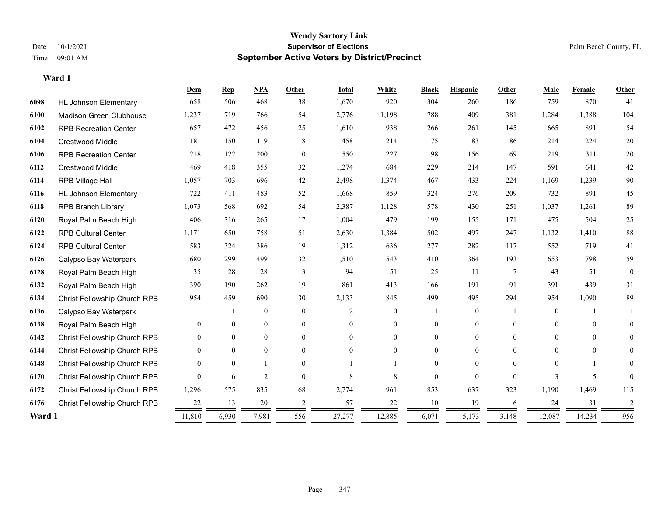#### **Wendy Sartory Link** Date 10/1/2021 **Supervisor of Elections** Palm Beach County, FL Time 09:01 AM **September Active Voters by District/Precinct**

# **Dem Rep NPA Other Total White Black Hispanic Other Male Female Other** HL Johnson Elementary 658 506 468 38 1,670 920 304 260 186 759 870 41 Madison Green Clubhouse 1,237 719 766 54 2,776 1,198 788 409 381 1,284 1,388 104 RPB Recreation Center 657 472 456 25 1,610 938 266 261 145 665 891 54 Crestwood Middle 181 150 119 8 458 214 75 83 86 214 224 20 RPB Recreation Center 218 122 200 10 550 227 98 156 69 219 311 20 Crestwood Middle 469 418 355 32 1,274 684 229 214 147 591 641 42 RPB Village Hall 1,057 703 696 42 2,498 1,374 467 433 224 1,169 1,239 90 HL Johnson Elementary 722 411 483 52 1,668 859 324 276 209 732 891 45 RPB Branch Library 1,073 568 692 54 2,387 1,128 578 430 251 1,037 1,261 89 Royal Palm Beach High 406 316 265 17 1,004 479 199 155 171 475 504 25 RPB Cultural Center 1,171 650 758 51 2,630 1,384 502 497 247 1,132 1,410 88 RPB Cultural Center 583 324 386 19 1,312 636 277 282 117 552 719 41 Calypso Bay Waterpark 680 299 499 32 1,510 543 410 364 193 653 798 59 Royal Palm Beach High 35 28 28 3 94 51 25 11 7 43 51 0 Royal Palm Beach High 390 190 262 19 861 413 166 191 91 391 439 31 Christ Fellowship Church RPB 954 459 690 30 2,133 845 499 495 294 954 1,090 89 Calypso Bay Waterpark 1 1 0 0 0 2 0 1 0 1 0 1 1 Royal Palm Beach High 0 0 0 0 0 0 0 0 0 0 0 0 Christ Fellowship Church RPB 0 0 0 0 0 0 0 0 0 0 0 0 Christ Fellowship Church RPB 0 0 0 0 0 0 0 0 0 0 0 0 Christ Fellowship Church RPB 0 0 1 0 1 1 0 0 0 0 1 0 Christ Fellowship Church RPB 0 6 2 0 8 8 0 0 0 3 5 0 Christ Fellowship Church RPB 1,296 575 835 68 2,774 961 853 637 323 1,190 1,469 115 Christ Fellowship Church RPB 22 13 20 2 57 22 10 19 6 24 31 2 **Ward 1** 11,810 6,930 7,981 556 27,277 12,885 6,071 5,173 3,148 12,087 14,234 956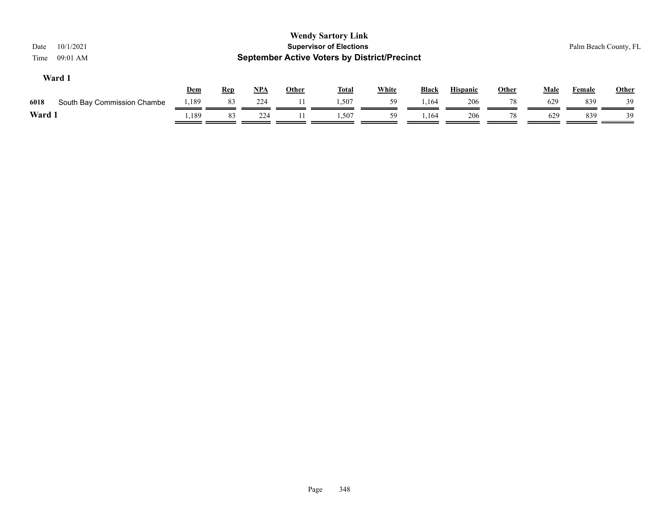| 10/1/2021<br>Date<br>09:01 AM<br>Time |       |            |       |              | <b>Wendy Sartory Link</b><br><b>Supervisor of Elections</b><br><b>September Active Voters by District/Precinct</b> |              |              |                 |              |             |               | Palm Beach County, FL |
|---------------------------------------|-------|------------|-------|--------------|--------------------------------------------------------------------------------------------------------------------|--------------|--------------|-----------------|--------------|-------------|---------------|-----------------------|
| Ward 1                                | Dem   | <u>Rep</u> | $NPA$ | <b>Other</b> | <u>Total</u>                                                                                                       | <b>White</b> | <b>Black</b> | <b>Hispanic</b> | <u>Other</u> | <b>Male</b> | <b>Female</b> | Other                 |
| 6018<br>South Bay Commission Chambe   | 1,189 | 83         | 224   |              | 1,507                                                                                                              | 59           | 1,164        | 206             | 78           | 629         | 839           | 39                    |
| Ward 1                                | .,189 | 83         | 224   |              | 1.507                                                                                                              | 59           | .164         | 206             | 78           | 629         | 839           | 39                    |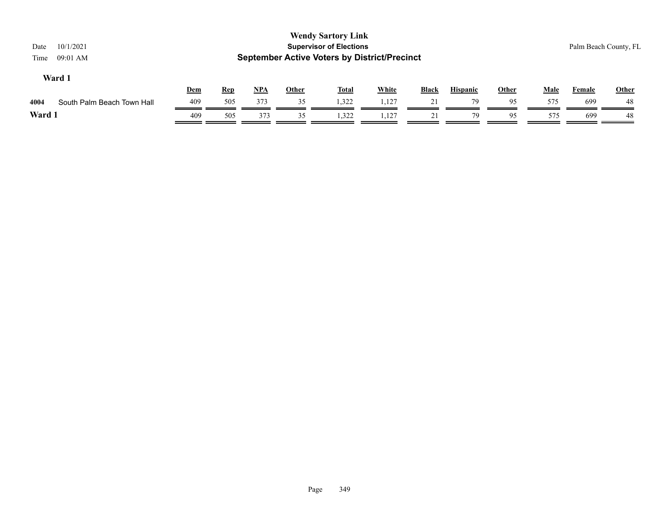| 10/1/2021<br>Date<br>09:01 AM<br>Time |     |            |       |              | <b>Wendy Sartory Link</b><br><b>Supervisor of Elections</b><br><b>September Active Voters by District/Precinct</b> |              |              |                 |              |             | Palm Beach County, FL |              |
|---------------------------------------|-----|------------|-------|--------------|--------------------------------------------------------------------------------------------------------------------|--------------|--------------|-----------------|--------------|-------------|-----------------------|--------------|
| Ward 1                                | Dem | <b>Rep</b> | $NPA$ | <b>Other</b> | <b>Total</b>                                                                                                       | <b>White</b> | <b>Black</b> | <b>Hispanic</b> | <b>Other</b> | <b>Male</b> | Female                | <b>Other</b> |
| South Palm Beach Town Hall<br>4004    | 409 | 505        | 373   | 35           | 1,322                                                                                                              | 1,127        | 21           | 79              | 95           | 575         | 699                   | -48          |
| Ward 1                                | 409 | 505        | 373   | 35           | 1,322                                                                                                              | 1,127        | 21           | 79              | 95           | 575         | 699                   | -48          |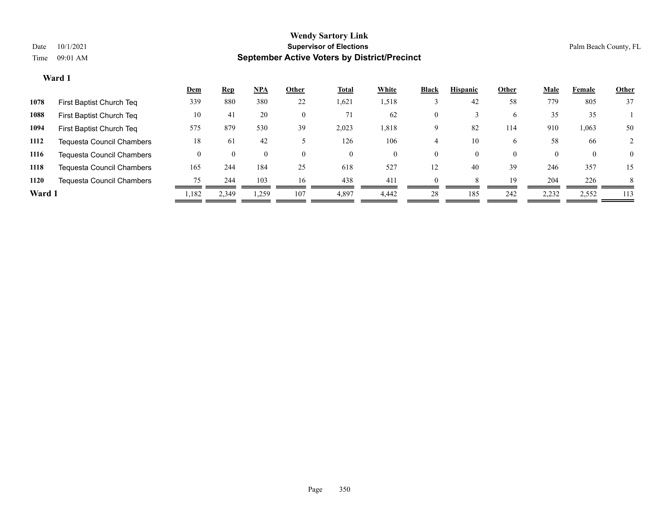| <u>Dem</u>                                                                       | <b>Rep</b>                                                                                                                     | <u>NPA</u> | Other          | <u>Total</u> | White    | <b>Black</b> | <b>Hispanic</b> | Other    | <b>Male</b> | Female   | <b>Other</b> |
|----------------------------------------------------------------------------------|--------------------------------------------------------------------------------------------------------------------------------|------------|----------------|--------------|----------|--------------|-----------------|----------|-------------|----------|--------------|
| 339                                                                              | 880                                                                                                                            | 380        | 22             | 1,621        | 1,518    |              | 42              | 58       | 779         | 805      | 37           |
| 10                                                                               | 41                                                                                                                             | 20         | $\overline{0}$ | 71           | 62       | 0            |                 | 6        | 35          | 35       |              |
| 575                                                                              | 879                                                                                                                            | 530        | 39             | 2,023        | 1,818    | 9            | 82              | 114      | 910         | 1,063    | 50           |
| 18                                                                               | 61                                                                                                                             | 42         |                | 126          | 106      |              | 10              | $\sigma$ | 58          | 66       |              |
| $\theta$                                                                         | 0                                                                                                                              |            | $\theta$       | $\theta$     | $\theta$ | O.           | 0               | $\theta$ | $\theta$    | $\theta$ | $\theta$     |
| 165                                                                              | 244                                                                                                                            | 184        | 25             | 618          | 527      | 12           | 40              | 39       | 246         | 357      | 15           |
| 75                                                                               | 244                                                                                                                            | 103        | 16             | 438          | 411      |              |                 | 19       | 204         | 226      | 8            |
| 1,182                                                                            | 2,349                                                                                                                          | ,259       | 107            | 4,897        | 4.442    | 28           | 185             | 242      | 2,232       | 2,552    | 113          |
| First Baptist Church Teg<br>First Baptist Church Teq<br>First Baptist Church Teq | Tequesta Council Chambers<br>Tequesta Council Chambers<br><b>Tequesta Council Chambers</b><br><b>Tequesta Council Chambers</b> |            |                |              |          |              |                 |          |             |          |              |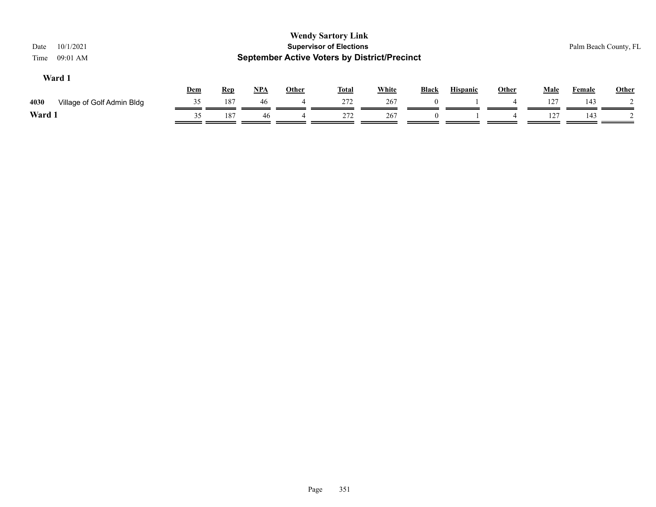| 10/1/2021<br>Date<br>09:01 AM<br>Time |     |            |       |              | <b>Wendy Sartory Link</b><br><b>Supervisor of Elections</b><br><b>September Active Voters by District/Precinct</b> |              |              |                 |              |             |               | Palm Beach County, FL |
|---------------------------------------|-----|------------|-------|--------------|--------------------------------------------------------------------------------------------------------------------|--------------|--------------|-----------------|--------------|-------------|---------------|-----------------------|
| Ward 1                                | Dem | <b>Rep</b> | $NPA$ | <b>Other</b> | <u>Total</u>                                                                                                       | <b>White</b> | <b>Black</b> | <b>Hispanic</b> | <b>Other</b> | <b>Male</b> | <b>Female</b> | Other                 |
| 4030<br>Village of Golf Admin Bldg    | 35  | 187        | 46    |              | 272                                                                                                                | 267          | $\Omega$     |                 |              | 127         | 143           |                       |
| Ward 1                                | 35  | 187        | 46    |              | 272                                                                                                                | 267          | $\Omega$     |                 |              | 127         | 143           |                       |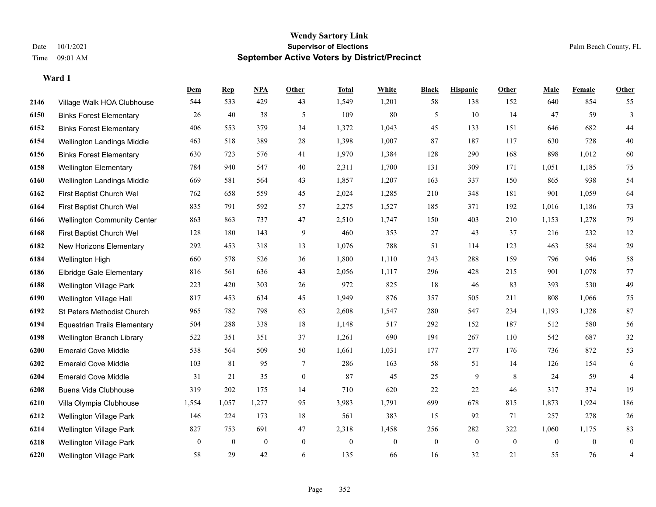#### **Wendy Sartory Link** Date 10/1/2021 **Supervisor of Elections** Palm Beach County, FL Time 09:01 AM **September Active Voters by District/Precinct**

# **Dem Rep NPA Other Total White Black Hispanic Other Male Female Other** Village Walk HOA Clubhouse 544 533 429 43 1,549 1,201 58 138 152 640 854 55 Binks Forest Elementary 26 40 38 5 109 80 5 10 14 47 59 3 Binks Forest Elementary 406 553 379 34 1,372 1,043 45 133 151 646 682 44 Wellington Landings Middle 463 518 389 28 1,398 1,007 87 187 117 630 728 40 Binks Forest Elementary 630 723 576 41 1,970 1,384 128 290 168 898 1,012 60 Wellington Elementary 784 940 547 40 2,311 1,700 131 309 171 1,051 1,185 75 Wellington Landings Middle 669 581 564 43 1,857 1,207 163 337 150 865 938 54 First Baptist Church Wel 762 658 559 45 2,024 1,285 210 348 181 901 1,059 64 First Baptist Church Wel 835 791 592 57 2,275 1,527 185 371 192 1,016 1,186 73 Wellington Community Center 863 863 737 47 2,510 1,747 150 403 210 1,153 1,278 79 First Baptist Church Wel 128 180 143 9 460 353 27 43 37 216 232 12 New Horizons Elementary 292 453 318 13 1,076 788 51 114 123 463 584 29 Wellington High 660 578 526 36 1,800 1,110 243 288 159 796 946 58 Elbridge Gale Elementary 816 561 636 43 2,056 1,117 296 428 215 901 1,078 77 Wellington Village Park 223 420 303 26 972 825 18 46 83 393 530 49 Wellington Village Hall 817 453 634 45 1,949 876 357 505 211 808 1,066 75 St Peters Methodist Church 965 782 798 63 2,608 1,547 280 547 234 1,193 1,328 87 Equestrian Trails Elementary 504 288 338 18 1,148 517 292 152 187 512 580 56 Wellington Branch Library 522 351 351 37 1,261 690 194 267 110 542 687 32 Emerald Cove Middle 538 564 509 50 1,661 1,031 177 277 176 736 872 53 Emerald Cove Middle 103 81 95 7 286 163 58 51 14 126 154 6 Emerald Cove Middle 31 21 35 0 87 45 25 9 8 24 59 4 Buena Vida Clubhouse 319 202 175 14 710 620 22 22 46 317 374 19 Villa Olympia Clubhouse 1,554 1,057 1,277 95 3,983 1,791 699 678 815 1,873 1,924 186 Wellington Village Park 146 224 173 18 561 383 15 92 71 257 278 26 Wellington Village Park 827 753 691 47 2,318 1,458 256 282 322 1,060 1,175 83 Wellington Village Park 0 0 0 0 0 0 0 0 0 0 0 0

Wellington Village Park 58 29 42 6 135 66 16 32 21 55 76 4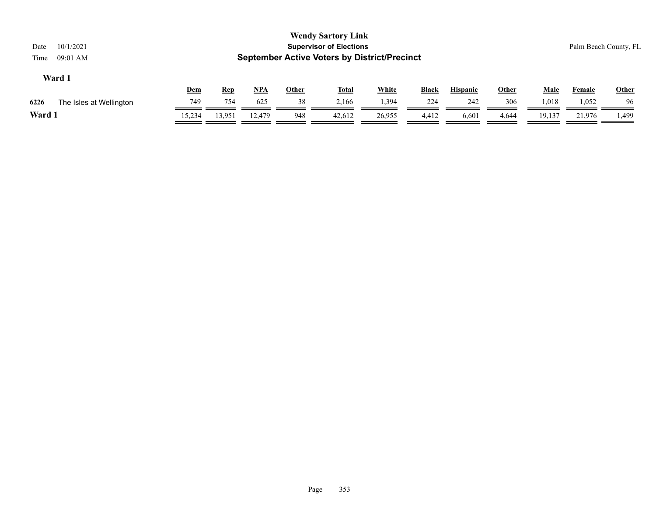| 10/1/2021<br>Date<br>09:01 AM<br>Time |            |            |        |              | <b>Wendy Sartory Link</b><br><b>Supervisor of Elections</b><br><b>September Active Voters by District/Precinct</b> |              |              |                 |              |             |               | Palm Beach County, FL |
|---------------------------------------|------------|------------|--------|--------------|--------------------------------------------------------------------------------------------------------------------|--------------|--------------|-----------------|--------------|-------------|---------------|-----------------------|
| Ward 1                                | <u>Dem</u> | <u>Rep</u> | NPA    | <b>Other</b> | <b>Total</b>                                                                                                       | <b>White</b> | <b>Black</b> | <b>Hispanic</b> | <b>Other</b> | <b>Male</b> | <b>Female</b> | <b>Other</b>          |
| 6226<br>The Isles at Wellington       | 749        | 754        | 625    | 38           | 2,166                                                                                                              | 1,394        | 224          | 242             | 306          | 1,018       | 1,052         | 96                    |
| Ward 1                                | 15,234     | 13,951     | 12.479 | 948          | 42,612                                                                                                             | 26,955       | 4,412        | 6,601           | 4,644        | 19,137      | 21,976        | 499. ،                |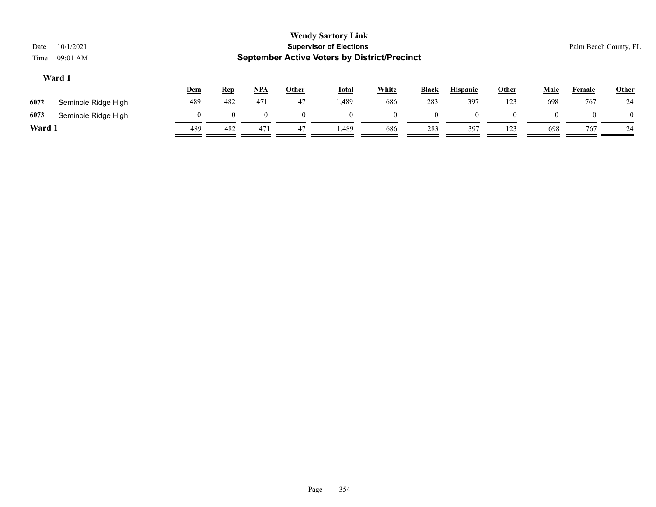| Date<br>Time                                                                                                                                                   | 10/1/2021<br>09:01 AM |          |          |          |          | <b>Wendy Sartory Link</b><br><b>Supervisor of Elections</b><br><b>September Active Voters by District/Precinct</b> |          |          |     |     |     |     | Palm Beach County, FL |
|----------------------------------------------------------------------------------------------------------------------------------------------------------------|-----------------------|----------|----------|----------|----------|--------------------------------------------------------------------------------------------------------------------|----------|----------|-----|-----|-----|-----|-----------------------|
| Ward 1<br><u>NPA</u><br><b>White</b><br><b>Hispanic</b><br>Other<br><b>Male</b><br><b>Other</b><br><b>Total</b><br>Black<br>Dem<br><b>Rep</b><br><b>Female</b> |                       |          |          |          |          |                                                                                                                    |          |          |     |     |     |     | <b>Other</b>          |
| 6072                                                                                                                                                           | Seminole Ridge High   | 489      | 482      | 471      | 47       | 1,489                                                                                                              | 686      | 283      | 397 | 123 | 698 | 767 | 24                    |
| 6073                                                                                                                                                           | Seminole Ridge High   | $\Omega$ | $\Omega$ | $\Omega$ | $\Omega$ | $\Omega$                                                                                                           | $\Omega$ | $\Omega$ |     |     |     |     | $\theta$              |
| Ward 1                                                                                                                                                         |                       | 489      | 482      | 471      | 47       | 1,489                                                                                                              | 686      | 283      | 397 | 123 | 698 | 767 | 24                    |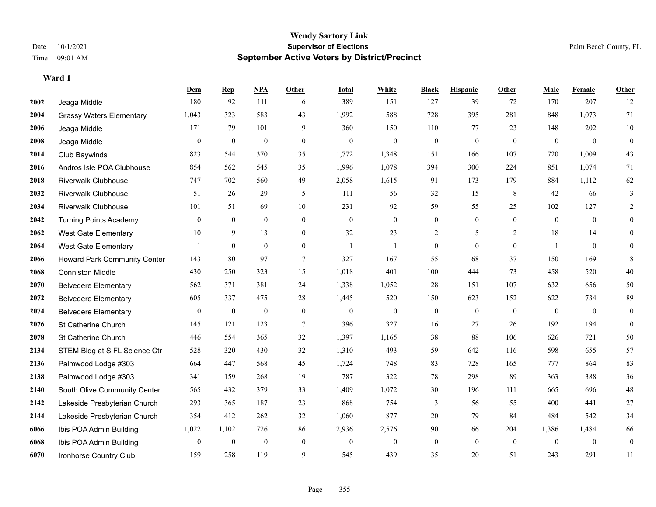|      |                                 | Dem              | <b>Rep</b>       | NPA              | <b>Other</b>   | <b>Total</b> | <b>White</b>     | <b>Black</b>     | <b>Hispanic</b>  | <b>Other</b> | <b>Male</b>      | <b>Female</b>  | <b>Other</b>   |
|------|---------------------------------|------------------|------------------|------------------|----------------|--------------|------------------|------------------|------------------|--------------|------------------|----------------|----------------|
| 2002 | Jeaga Middle                    | 180              | 92               | 111              | 6              | 389          | 151              | 127              | 39               | 72           | 170              | 207            | 12             |
| 2004 | <b>Grassy Waters Elementary</b> | 1,043            | 323              | 583              | 43             | 1,992        | 588              | 728              | 395              | 281          | 848              | 1,073          | 71             |
| 2006 | Jeaga Middle                    | 171              | 79               | 101              | 9              | 360          | 150              | 110              | 77               | 23           | 148              | 202            | 10             |
| 2008 | Jeaga Middle                    | $\overline{0}$   | $\boldsymbol{0}$ | $\mathbf{0}$     | $\mathbf{0}$   | $\mathbf{0}$ | $\overline{0}$   | $\boldsymbol{0}$ | $\overline{0}$   | $\mathbf{0}$ | $\mathbf{0}$     | $\mathbf{0}$   | $\mathbf{0}$   |
| 2014 | Club Baywinds                   | 823              | 544              | 370              | 35             | 1,772        | 1,348            | 151              | 166              | 107          | 720              | 1,009          | 43             |
| 2016 | Andros Isle POA Clubhouse       | 854              | 562              | 545              | 35             | 1,996        | 1,078            | 394              | 300              | 224          | 851              | 1,074          | 71             |
| 2018 | <b>Riverwalk Clubhouse</b>      | 747              | 702              | 560              | 49             | 2,058        | 1,615            | 91               | 173              | 179          | 884              | 1,112          | 62             |
| 2032 | <b>Riverwalk Clubhouse</b>      | 51               | 26               | 29               | 5              | 111          | 56               | 32               | 15               | 8            | 42               | 66             | $\mathfrak{Z}$ |
| 2034 | <b>Riverwalk Clubhouse</b>      | 101              | 51               | 69               | 10             | 231          | 92               | 59               | 55               | 25           | 102              | 127            | $\overline{2}$ |
| 2042 | <b>Turning Points Academy</b>   | $\mathbf{0}$     | $\overline{0}$   | $\mathbf{0}$     | $\mathbf{0}$   | $\mathbf{0}$ | $\boldsymbol{0}$ | $\boldsymbol{0}$ | $\overline{0}$   | $\theta$     | $\theta$         | $\overline{0}$ | $\overline{0}$ |
| 2062 | <b>West Gate Elementary</b>     | 10               | 9                | 13               | $\theta$       | 32           | 23               | 2                | 5                | 2            | 18               | 14             | $\theta$       |
| 2064 | <b>West Gate Elementary</b>     |                  | $\mathbf{0}$     | $\mathbf{0}$     | $\overline{0}$ | 1            |                  | $\overline{0}$   | $\overline{0}$   | $\mathbf{0}$ | $\overline{1}$   | $\theta$       | $\theta$       |
| 2066 | Howard Park Community Center    | 143              | 80               | 97               | $\tau$         | 327          | 167              | 55               | 68               | 37           | 150              | 169            | 8              |
| 2068 | <b>Conniston Middle</b>         | 430              | 250              | 323              | 15             | 1,018        | 401              | 100              | 444              | 73           | 458              | 520            | 40             |
| 2070 | <b>Belvedere Elementary</b>     | 562              | 371              | 381              | 24             | 1,338        | 1,052            | 28               | 151              | 107          | 632              | 656            | 50             |
| 2072 | <b>Belvedere Elementary</b>     | 605              | 337              | 475              | 28             | 1,445        | 520              | 150              | 623              | 152          | 622              | 734            | 89             |
| 2074 | <b>Belvedere Elementary</b>     | $\boldsymbol{0}$ | $\boldsymbol{0}$ | $\boldsymbol{0}$ | $\mathbf{0}$   | $\mathbf{0}$ | $\boldsymbol{0}$ | $\boldsymbol{0}$ | $\boldsymbol{0}$ | $\mathbf{0}$ | $\boldsymbol{0}$ | $\mathbf{0}$   | $\bf{0}$       |
| 2076 | St Catherine Church             | 145              | 121              | 123              | 7              | 396          | 327              | 16               | 27               | 26           | 192              | 194            | $10\,$         |
| 2078 | St Catherine Church             | 446              | 554              | 365              | 32             | 1,397        | 1,165            | 38               | 88               | 106          | 626              | 721            | 50             |
| 2134 | STEM Bldg at S FL Science Ctr   | 528              | 320              | 430              | 32             | 1,310        | 493              | 59               | 642              | 116          | 598              | 655            | 57             |
| 2136 | Palmwood Lodge #303             | 664              | 447              | 568              | 45             | 1,724        | 748              | 83               | 728              | 165          | 777              | 864            | 83             |
| 2138 | Palmwood Lodge #303             | 341              | 159              | 268              | 19             | 787          | 322              | 78               | 298              | 89           | 363              | 388            | 36             |
| 2140 | South Olive Community Center    | 565              | 432              | 379              | 33             | 1,409        | 1,072            | 30               | 196              | 111          | 665              | 696            | $48\,$         |
| 2142 | Lakeside Presbyterian Church    | 293              | 365              | 187              | 23             | 868          | 754              | 3                | 56               | 55           | 400              | 441            | $27\,$         |
| 2144 | Lakeside Presbyterian Church    | 354              | 412              | 262              | 32             | 1,060        | 877              | 20               | 79               | 84           | 484              | 542            | 34             |
| 6066 | Ibis POA Admin Building         | 1,022            | 1,102            | 726              | 86             | 2,936        | 2,576            | 90               | 66               | 204          | 1,386            | 1,484          | 66             |
| 6068 | Ibis POA Admin Building         | $\mathbf{0}$     | $\boldsymbol{0}$ | $\boldsymbol{0}$ | $\mathbf{0}$   | $\mathbf{0}$ | $\overline{0}$   | $\overline{0}$   | $\overline{0}$   | $\mathbf{0}$ | $\mathbf{0}$     | $\mathbf{0}$   | $\mathbf{0}$   |
| 6070 | Ironhorse Country Club          | 159              | 258              | 119              | 9              | 545          | 439              | 35               | 20               | 51           | 243              | 291            | 11             |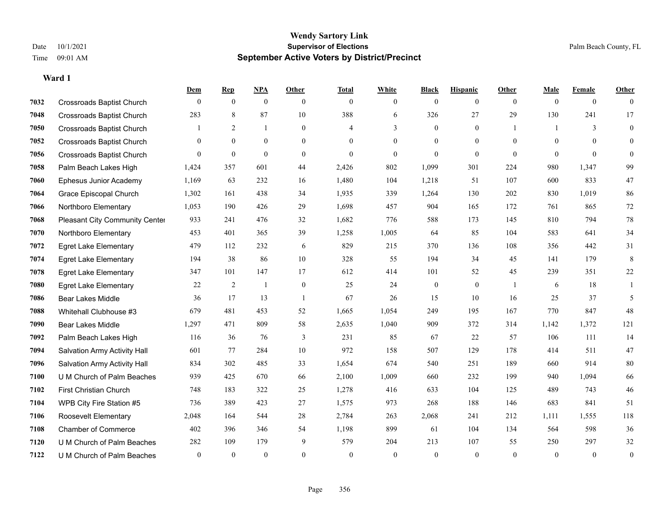|      |                                  | Dem            | <b>Rep</b>     | NPA              | <b>Other</b>     | <b>Total</b>   | <b>White</b>     | <b>Black</b>     | <b>Hispanic</b>  | Other          | <b>Male</b>  | <b>Female</b>  | <b>Other</b> |
|------|----------------------------------|----------------|----------------|------------------|------------------|----------------|------------------|------------------|------------------|----------------|--------------|----------------|--------------|
| 7032 | <b>Crossroads Baptist Church</b> | $\mathbf{0}$   | $\overline{0}$ | $\overline{0}$   | $\mathbf{0}$     | $\theta$       | $\overline{0}$   | $\mathbf{0}$     | $\boldsymbol{0}$ | $\overline{0}$ | $\mathbf{0}$ | $\overline{0}$ | $\theta$     |
| 7048 | <b>Crossroads Baptist Church</b> | 283            | 8              | 87               | 10               | 388            | 6                | 326              | 27               | 29             | 130          | 241            | 17           |
| 7050 | <b>Crossroads Baptist Church</b> | 1              | 2              | $\mathbf{1}$     | $\theta$         | $\overline{4}$ | 3                | $\theta$         | $\theta$         | $\mathbf{1}$   |              | 3              | $\mathbf{0}$ |
| 7052 | <b>Crossroads Baptist Church</b> | $\overline{0}$ | $\mathbf{0}$   | $\boldsymbol{0}$ | $\boldsymbol{0}$ | $\theta$       | $\boldsymbol{0}$ | $\boldsymbol{0}$ | $\boldsymbol{0}$ | $\mathbf{0}$   | $\mathbf{0}$ | $\mathbf{0}$   | $\mathbf{0}$ |
| 7056 | <b>Crossroads Baptist Church</b> | $\Omega$       | $\mathbf{0}$   | $\mathbf{0}$     | $\overline{0}$   | $\theta$       | $\mathbf{0}$     | $\mathbf{0}$     | $\overline{0}$   | $\theta$       | $\theta$     | $\theta$       | $\mathbf{0}$ |
| 7058 | Palm Beach Lakes High            | 1,424          | 357            | 601              | 44               | 2,426          | 802              | 1,099            | 301              | 224            | 980          | 1,347          | 99           |
| 7060 | Ephesus Junior Academy           | 1,169          | 63             | 232              | 16               | 1,480          | 104              | 1,218            | 51               | 107            | 600          | 833            | 47           |
| 7064 | Grace Episcopal Church           | 1,302          | 161            | 438              | 34               | 1,935          | 339              | 1,264            | 130              | 202            | 830          | 1,019          | 86           |
| 7066 | Northboro Elementary             | 1,053          | 190            | 426              | 29               | 1,698          | 457              | 904              | 165              | 172            | 761          | 865            | 72           |
| 7068 | Pleasant City Community Center   | 933            | 241            | 476              | 32               | 1,682          | 776              | 588              | 173              | 145            | 810          | 794            | $78\,$       |
| 7070 | Northboro Elementary             | 453            | 401            | 365              | 39               | 1,258          | 1,005            | 64               | 85               | 104            | 583          | 641            | 34           |
| 7072 | <b>Egret Lake Elementary</b>     | 479            | 112            | 232              | 6                | 829            | 215              | 370              | 136              | 108            | 356          | 442            | 31           |
| 7074 | <b>Egret Lake Elementary</b>     | 194            | 38             | 86               | $10\,$           | 328            | 55               | 194              | 34               | 45             | 141          | 179            | 8            |
| 7078 | <b>Egret Lake Elementary</b>     | 347            | 101            | 147              | 17               | 612            | 414              | 101              | 52               | 45             | 239          | 351            | $22\,$       |
| 7080 | <b>Egret Lake Elementary</b>     | 22             | 2              | $\mathbf{1}$     | $\mathbf{0}$     | 25             | 24               | $\mathbf{0}$     | $\mathbf{0}$     | $\overline{1}$ | 6            | 18             | 1            |
| 7086 | <b>Bear Lakes Middle</b>         | 36             | 17             | 13               | $\mathbf{1}$     | 67             | 26               | 15               | 10               | 16             | 25           | 37             | 5            |
| 7088 | Whitehall Clubhouse #3           | 679            | 481            | 453              | 52               | 1,665          | 1,054            | 249              | 195              | 167            | 770          | 847            | 48           |
| 7090 | <b>Bear Lakes Middle</b>         | 1,297          | 471            | 809              | 58               | 2,635          | 1,040            | 909              | 372              | 314            | 1,142        | 1,372          | 121          |
| 7092 | Palm Beach Lakes High            | 116            | 36             | 76               | 3                | 231            | 85               | 67               | 22               | 57             | 106          | 111            | 14           |
| 7094 | Salvation Army Activity Hall     | 601            | 77             | 284              | 10               | 972            | 158              | 507              | 129              | 178            | 414          | 511            | 47           |
| 7096 | Salvation Army Activity Hall     | 834            | 302            | 485              | 33               | 1,654          | 674              | 540              | 251              | 189            | 660          | 914            | $80\,$       |
| 7100 | U M Church of Palm Beaches       | 939            | 425            | 670              | 66               | 2,100          | 1,009            | 660              | 232              | 199            | 940          | 1,094          | 66           |
| 7102 | First Christian Church           | 748            | 183            | 322              | 25               | 1,278          | 416              | 633              | 104              | 125            | 489          | 743            | $46\,$       |
| 7104 | WPB City Fire Station #5         | 736            | 389            | 423              | 27               | 1,575          | 973              | 268              | 188              | 146            | 683          | 841            | 51           |
| 7106 | Roosevelt Elementary             | 2,048          | 164            | 544              | 28               | 2,784          | 263              | 2,068            | 241              | 212            | 1,111        | 1,555          | 118          |
| 7108 | <b>Chamber of Commerce</b>       | 402            | 396            | 346              | 54               | 1,198          | 899              | 61               | 104              | 134            | 564          | 598            | 36           |
| 7120 | U M Church of Palm Beaches       | 282            | 109            | 179              | 9                | 579            | 204              | 213              | 107              | 55             | 250          | 297            | $32\,$       |
| 7122 | U M Church of Palm Beaches       | $\overline{0}$ | $\theta$       | $\theta$         | $\theta$         | $\theta$       | $\theta$         | $\theta$         | $\theta$         | $\theta$       | $\theta$     | $\theta$       | $\mathbf{0}$ |